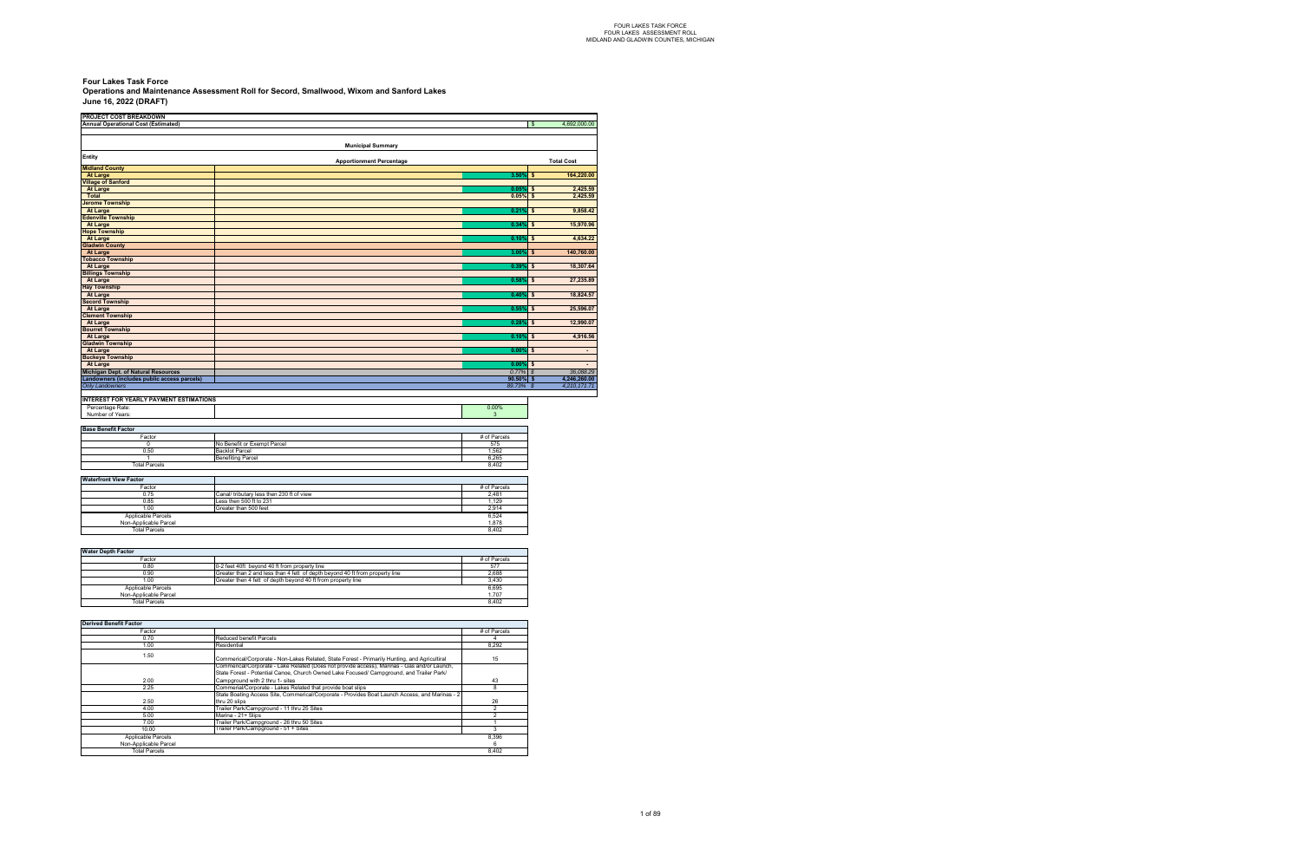| <b>PROJECT COST BREAKDOWN</b>                  |                                           |                                 |              |                           |                   |
|------------------------------------------------|-------------------------------------------|---------------------------------|--------------|---------------------------|-------------------|
| Annual Operational Cost (Estimated)            |                                           |                                 |              | $\mathbf{\hat{s}}$        | 4,692,000.00      |
|                                                |                                           |                                 |              |                           |                   |
|                                                |                                           | <b>Municipal Summary</b>        |              |                           |                   |
|                                                |                                           |                                 |              |                           |                   |
| Entity                                         |                                           | <b>Apportionment Percentage</b> |              |                           | <b>Total Cost</b> |
| <b>Midland County</b>                          |                                           |                                 |              |                           |                   |
| <b>At Large</b>                                |                                           |                                 | 3.50%        | $\ddot{\bullet}$          | 164,220.00        |
| <b>Village of Sanford</b>                      |                                           |                                 |              |                           |                   |
| <b>At Large</b>                                |                                           |                                 | 0.05%        | \$                        | 2,425.59          |
| <b>Total</b>                                   |                                           |                                 | 0.05%        | $\mathbf{s}$              | 2,425.59          |
| <b>Jerome Township</b>                         |                                           |                                 |              |                           |                   |
| <b>At Large</b><br><b>Edenville Township</b>   |                                           |                                 | 0.21%        | -\$                       | 9,858.42          |
| <b>At Large</b>                                |                                           |                                 | 0.34%        | $\boldsymbol{\mathsf{s}}$ | 15,970.96         |
| <b>Hope Township</b>                           |                                           |                                 |              |                           |                   |
| <b>At Large</b>                                |                                           |                                 | 0.10%        | $\boldsymbol{\mathsf{s}}$ | 4,634.22          |
| <b>Gladwin County</b>                          |                                           |                                 |              |                           |                   |
| <b>At Large</b>                                |                                           |                                 | 3.00%        | \$                        | 140,760.00        |
| <b>Tobacco Township</b>                        |                                           |                                 |              |                           |                   |
| <b>At Large</b>                                |                                           |                                 | 0.39%        | \$                        | 18,307.64         |
| <b>Billings Township</b>                       |                                           |                                 |              |                           |                   |
| <b>At Large</b>                                |                                           |                                 | 0.58%        | \$                        | 27,235.89         |
| <b>Hay Township</b>                            |                                           |                                 |              |                           |                   |
| <b>At Large</b>                                |                                           |                                 | 0.40%        | \$                        | 18,824.57         |
| <b>Secord Township</b>                         |                                           |                                 |              |                           |                   |
| <b>At Large</b>                                |                                           |                                 | 0.55%        | \$                        | 25,596.07         |
| <b>Clement Township</b>                        |                                           |                                 |              |                           |                   |
| <b>At Large</b>                                |                                           |                                 | 0.28%        | $\mathbf{s}$              | 12,990.07         |
| <b>Bourret Township</b>                        |                                           |                                 |              |                           |                   |
| <b>At Large</b>                                |                                           |                                 | 0.10%        | $\mathbf{s}$              | 4,916.56          |
| <b>Gladwin Township</b>                        |                                           |                                 |              |                           |                   |
| <b>At Large</b>                                |                                           |                                 | $0.00\%$     | s                         | $\blacksquare$    |
| <b>Buckeye Township</b><br><b>At Large</b>     |                                           |                                 | 0.00%        | $\boldsymbol{\mathsf{s}}$ |                   |
| <b>Michigan Dept. of Natural Resources</b>     |                                           |                                 | 0.77%        | $\mathcal{S}$             | 36,088.29         |
| Landowners (includes public access parcels)    |                                           |                                 | $90.50\%$ \$ |                           | 4,246,260.00      |
| <b>Only Landowners</b>                         |                                           |                                 | 89.73% \$    |                           | 4,210,171.71      |
|                                                |                                           |                                 |              |                           |                   |
| <b>INTEREST FOR YEARLY PAYMENT ESTIMATIONS</b> |                                           |                                 |              |                           |                   |
| Percentage Rate:                               |                                           |                                 | 0.00%        |                           |                   |
| Number of Years:                               |                                           |                                 | $\mathbf{3}$ |                           |                   |
|                                                |                                           |                                 |              |                           |                   |
| <b>Base Benefit Factor</b>                     |                                           |                                 |              |                           |                   |
| Factor                                         |                                           |                                 | # of Parcels |                           |                   |
| $\mathbf 0$                                    | No Benefit or Exempt Parcel               |                                 | 575          |                           |                   |
| 0.50                                           | <b>Backlot Parcel</b>                     |                                 | 1,562        |                           |                   |
| $\mathbf{1}$                                   | <b>Benefiting Parcel</b>                  |                                 | 6,265        |                           |                   |
| <b>Total Parcels</b>                           |                                           |                                 | 8,402        |                           |                   |
|                                                |                                           |                                 |              |                           |                   |
| <b>Waterfront View Factor</b>                  |                                           |                                 |              |                           |                   |
| Factor                                         |                                           |                                 | # of Parcels |                           |                   |
| 0.75                                           | Canal/ tributary less then 230 ft of view |                                 | 2,481        |                           |                   |
| 0.85                                           | Less then 500 ft to 231                   |                                 | 1,129        |                           |                   |
| 1.00                                           | Greater than 500 feet                     |                                 | 2,914        |                           |                   |
| Applicable Parcels                             |                                           |                                 | 6,524        |                           |                   |
| Non-Applicable Parcel                          |                                           |                                 | 1,878        |                           |                   |
| <b>Total Parcels</b>                           |                                           |                                 | 8,402        |                           |                   |

#### **June 16, 2022 (DRAFT) Four Lakes Task Force Operations and Maintenance Assessment Roll for Secord, Smallwood, Wixom and Sanford Lakes**

| <b>Water Depth Factor</b> |                                                                              |              |
|---------------------------|------------------------------------------------------------------------------|--------------|
| Factor                    |                                                                              | # of Parcels |
| 0.80                      | 0-2 feet 40ft bevond 40 ft from property line                                | 577          |
| 0.90                      | Greater than 2 and less than 4 fett of depth beyond 40 ft from property line | 2.688        |
| 1.00                      | Greater then 4 fett of depth beyond 40 ft from property line                 | 3.430        |
| Applicable Parcels        |                                                                              | 6,695        |
| Non-Applicable Parcel     |                                                                              | 1.707        |
| <b>Total Parcels</b>      |                                                                              | 8.402        |

| <b>Derived Benefit Factor</b> |                                                                                                |              |
|-------------------------------|------------------------------------------------------------------------------------------------|--------------|
| Factor                        |                                                                                                | # of Parcels |
| 0.70                          | Reduced benefit Parcels                                                                        |              |
| 1.00                          | Residential                                                                                    | 8.292        |
| 1.50                          | Commerical/Corporate - Non-Lakes Related, State Forest - Primarily Hunting, and Agricultiral   | 15           |
|                               | Commerical/Corporate - Lake Related (Does not provide access), Marinas - Gas and/or Launch,    |              |
|                               | State Forest - Potential Canoe, Church Owned Lake Focused/ Campground, and Trailer Park/       |              |
| 2.00                          | Camparound with 2 thru 1- sites                                                                | 43           |
| 2.25                          | Commerial/Corporate - Lakes Related that provide boat slips                                    | 8            |
|                               | State Boating Access Site, Commerical/Corporate - Provides Boat Launch Access, and Marinas - 2 |              |
| 2.50                          | thru 20 slips                                                                                  | 26           |
| 4.00                          | Trailer Park/Campground - 11 thru 25 Sites                                                     | 2            |
| 5.00                          | Marina - 21+ Slips                                                                             |              |
| 7.00                          | Trailer Park/Campground - 26 thru 50 Sites                                                     |              |
| 10.00                         | Trailer Park/Campground - 51 + Sites                                                           | 3            |
| Applicable Parcels            |                                                                                                | 8,396        |
| Non-Applicable Parcel         |                                                                                                | 6            |
| <b>Total Parcels</b>          |                                                                                                | 8,402        |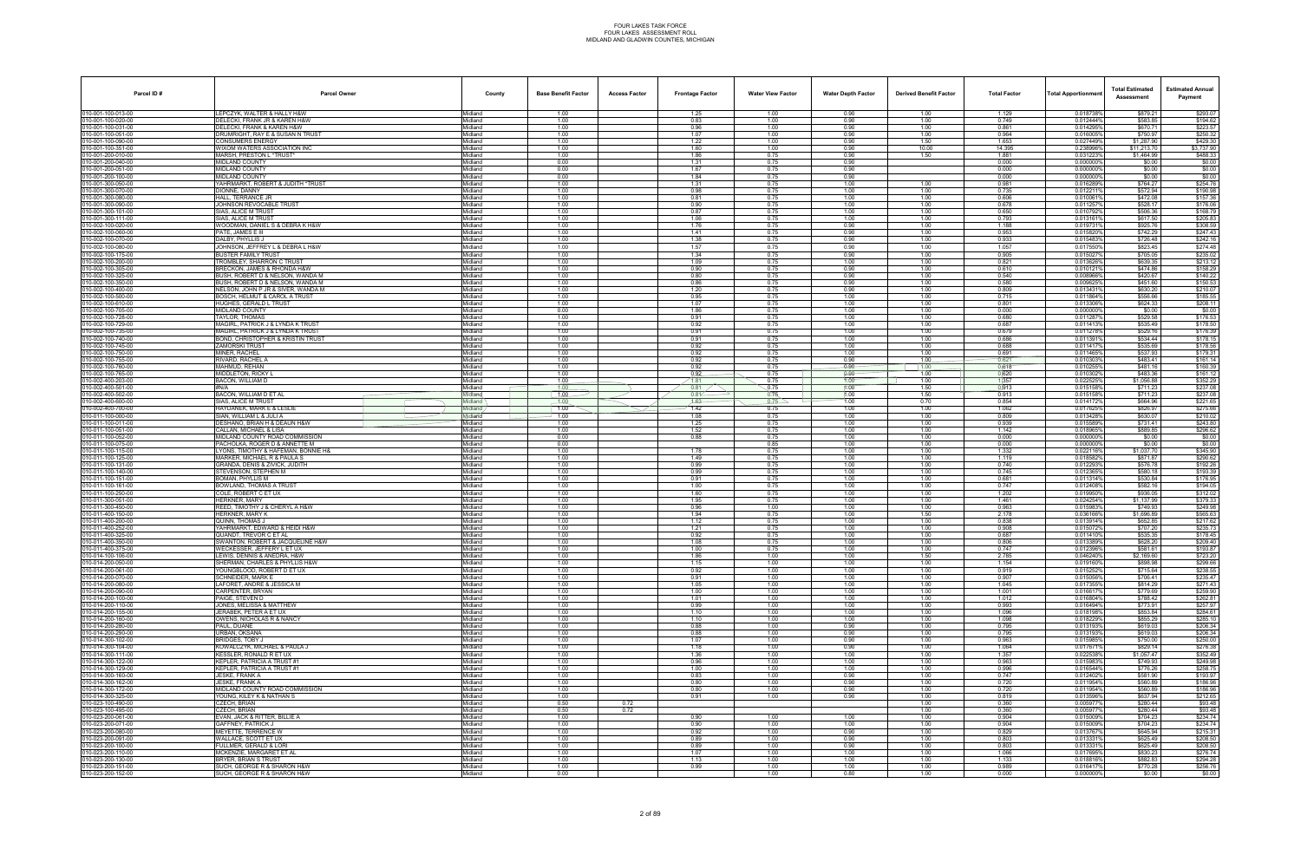| Parcel ID#                             | <b>Parcel Owner</b>                                                   | County                     | <b>Base Benefit Factor</b> | <b>Access Factor</b> | <b>Frontage Factor</b> | <b>Water View Factor</b> | <b>Water Depth Factor</b> | <b>Derived Benefit Factor</b> | <b>Total Factor</b> | Total Apportionmer     | <b>Total Estimated</b><br>Assessment | <b>Estimated Annual</b><br>Payment |
|----------------------------------------|-----------------------------------------------------------------------|----------------------------|----------------------------|----------------------|------------------------|--------------------------|---------------------------|-------------------------------|---------------------|------------------------|--------------------------------------|------------------------------------|
| 010-001-100-013-00                     | LEPCZYK, WALTER & HALLY H&W                                           | Midland                    | 1.00                       |                      | 1.25                   | 1.00                     | 0.90                      | 1.00                          | 1.129               | 0.018738%              | \$879.21                             | \$293.07                           |
| 10-001-100-020-00<br>10-001-100-031-00 | DELECKI, FRANK JR & KAREN H&W<br>DELECKI. FRANK & KAREN H&W           | Midland<br>Midland         | 1.00<br>1.00               |                      | 0.83<br>0.96           | 1.00<br>1.00             | 0.90<br>0.90              | 1.00<br>1.00                  | 0.749<br>0.861      | 0.012444%<br>0.014295% | \$583.85<br>\$670.71                 | \$194.62<br>\$223.57               |
| 10-001-100-051-00                      | DRUMRIGHT, RAY E & SUSAN N TRUST                                      | Midland                    | 1.00                       |                      | 1.07                   | 1.00                     | 0.90                      | 1.00                          | 0.964               | 0.016005%              | \$750.97                             | \$250.32                           |
| 10-001-100-090-00                      | CONSUMERS ENERGY                                                      | Midland                    | 1.00                       |                      | 1.22                   | 1.00                     | 0.90                      | 1.50                          | 1.653               | 0.027449%              | \$1,287.90                           | \$429.30                           |
| 10-001-100-351-00                      | WIXOM WATERS ASSOCIATION INC                                          | Midland                    | 1.00                       |                      | 1.60                   | 1.00                     | 0.90                      | 10.00                         | 14.395              | 0.238996%              | \$11,213.70                          | \$3,737.90                         |
| 10-001-200-010-00<br>10-001-200-040-00 | MARSH, PRESTON L *TRUST*<br>MIDLAND COUNTY                            | Midland<br>Midland         | 1.00<br>0.00               |                      | 1.86<br>1.31           | 0.75<br>0.75             | 0.90<br>0.90              | 1.50                          | 1.881<br>0.000      | 0.031223%<br>0.000000% | \$1,464.99<br>\$0.00                 | \$488.33<br>\$0.00                 |
| 10-001-200-051-00                      | MIDLAND COUNTY                                                        | Midland                    | 0.00                       |                      | 1.67                   | 0.75                     | 0.90                      |                               | 0.000               | 0.000000%              | \$0.00                               | \$0.00                             |
| 10-001-200-100-00                      | MIDLAND COUNTY                                                        | Midland                    | 0.00                       |                      | 1.84                   | 0.75                     | 0.90                      |                               | 0.000               | 0.0000009              | \$0.00                               | \$0.00                             |
| 10-001-300-050-00<br>10-001-300-070-00 | YAHRMARKT, ROBERT & JUDITH *TRUST<br>DIONNE, DANNY                    | Midland<br>Midland         | 1.00<br>1.00               |                      | 1.31<br>0.98           | 0.75<br>0.75             | 1.00<br>1.00              | 1.00<br>1.00                  | 0.981<br>0.735      | 0.0162899<br>0.012211% | \$764.27<br>\$572.94                 | \$254.76<br>\$190.98               |
| 10-001-300-080-00                      | HALL. TERRANCE JR                                                     | Midland                    | 1.00                       |                      | 0.81                   | 0.75                     | 1.00                      | 1.00                          | 0.606               | 0.0100619              | \$472.08                             | \$157.36                           |
| 10-001-300-090-00                      | JOHNSON REVOCABLE TRUST                                               | Midland                    | 1.00                       |                      | 0.90                   | 0.75                     | 1.00                      | 1.00                          | 0.678               | 0.0112579              | \$528.17                             | \$176.06                           |
| 10-001-300-101-00<br>10-001-300-111-00 | SIAS, ALICE M TRUST<br>SIAS, ALICE M TRUST                            | Midland<br>Midland         | 1.00<br>1.00               |                      | 0.87<br>1.06           | 0.75<br>0.75             | 1.00<br>1.00              | 1.00<br>1.00                  | 0.650<br>0.793      | 0.0107929<br>0.0131619 | \$506.36<br>\$617.50                 | \$168.79<br>\$205.83               |
| 10-002-100-020-00                      | WOODMAN, DANIEL S & DEBRA K H&W                                       | Midland                    | 1.00                       |                      | 1.76                   | 0.75                     | 0.90                      | 1.00                          | 1.188               | 0.019731%              | \$925.76                             | \$308.59                           |
| 0-002-100-060-00                       | PATE, JAMES E III                                                     | <i>l</i> idland            | 1.00                       |                      | 1.41                   | 0.75                     | 0.90                      | 1.00                          | 0.953               | 0.0158209              | \$742.29                             | \$247.43                           |
| 10-002-100-070-00                      | DALBY. PHYLLIS J                                                      | Midland                    | 1.00                       |                      | 1.38<br>1.57           | 0.75<br>0.75             | 0.90<br>0.90              | 1.00                          | 0.933<br>1.057      | 0.0154839              | \$726.48<br>\$823.45                 | \$242.16                           |
| 10-002-100-080-00<br>10-002-100-175-00 | JOHNSON, JEFFREY L & DEBRA L H&W<br>BUSTER FAMILY TRUST               | Midland<br>Midland         | 1.00<br>1.00               |                      | 1.34                   | 0.75                     | 0.90                      | 1.00<br>1.00                  | 0.905               | 0.017550%<br>0.015027% | \$705.05                             | \$274.48<br>\$235.02               |
| 10-002-100-200-00                      | <b>FROMBLEY, SHARRON C TRUST</b>                                      | Midland                    | 1.00                       |                      | 1.09                   | 0.75                     | 1.00                      | 1.00                          | 0.821               | 0.013626%              | \$639.35                             | \$213.12                           |
| 10-002-100-305-00                      | BRECKON. JAMES & RHONDA H&W                                           | Midland                    | 1.00                       |                      | 0.90                   | 0.75                     | 0.90                      | 1.00                          | 0.610               | 0.0101219              | \$474.86                             | \$158.29                           |
| 10-002-100-325-00<br>10-002-100-350-00 | BUSH, ROBERT D & NELSON, WANDA M<br>BUSH, ROBERT D & NELSON, WANDA M. | Midland<br>Midland         | 1.00<br>1.00               |                      | 0.80<br>0.86           | 0.75<br>0.75             | 0.90<br>0.90              | 1.00<br>1.00                  | 0.540<br>0.580      | 0.008966%<br>0.009625% | \$420.67<br>\$451.60                 | \$140.22<br>\$150.53               |
| 10-002-100-400-00                      | NELSON, JOHN P JR & SIVER, WANDA M                                    | Midland                    | 1.00                       |                      | 1.20                   | 0.75                     | 0.90                      | 1.00                          | 0.809               | 0.0134319              | \$630.20                             | \$210.07                           |
| 0-002-100-500-00                       | BOSCH, HELMUT & CAROL A TRUST                                         | <i>l</i> idland            | 1.00                       |                      | 0.95                   | 0.75                     | 1.00                      | 1.00                          | 0.715               | 0.011864%              | \$556.66                             | \$185.55                           |
| 10-002-100-610-00                      | HUGHES, GERALD L TRUST                                                | Midland                    | 1.00                       |                      | 1.07                   | 0.75                     | 1.00                      | 1.00                          | 0.801               | 0.013306%              | \$624.33                             | \$208.11                           |
| 10-002-100-705-00<br>10-002-100-728-00 | MIDLAND COUNTY<br>TAYLOR, THOMAS                                      | Midland<br>Midland         | 0.00<br>1.00               |                      | 1.86<br>0.91           | 0.75<br>0.75             | 1.00<br>1.00              | 1.00<br>1.00                  | 0.000<br>0.680      | 0.000000%<br>0.011287% | \$0.00<br>\$529.58                   | \$0.00<br>\$176.53                 |
| 10-002-100-729-00                      | MAGIRL, PATRICK J & LYNDA K TRUST                                     | Midland                    | 1.00                       |                      | 0.92                   | 0.75                     | 1.00                      | 1.00                          | 0.687               | 0.011413%              | \$535.49                             | \$178.50                           |
| 10-002-100-735-00                      | MAGIRL, PATRICK J & LYNDA K TRUST                                     | Midland                    | 1.00                       |                      | 0.91                   | 0.75                     | 1.00                      | 1.00                          | 0.679               | 0.011278%              | \$529.16                             | \$176.39                           |
| 10-002-100-740-00<br>10-002-100-745-00 | <b>BOND, CHRISTOPHER &amp; KRISTIN TRUST</b><br><b>ZAMORSKI TRUST</b> | Midland<br>Midland         | 1.00<br>1.00               |                      | 0.91<br>0.92           | 0.75<br>0.75             | 1.00<br>1.00              | 1.00<br>1.00                  | 0.686<br>0.688      | 0.0113919<br>0.0114179 | \$534.44<br>\$535.69                 | \$178.15<br>\$178.56               |
| 10-002-100-750-00                      | MINER, RACHEL                                                         | Midland                    | 1.00                       |                      | 0.92                   | 0.75                     | 1.00                      | 1.00                          | 0.691               | 0.011465%              | \$537.93                             | \$179.31                           |
| 10-002-100-755-00                      | RIVARD, RACHEL A                                                      | Midland                    | 1.00                       |                      | 0.92                   | 0.75                     | 0.90                      | 1.00                          | 0.621               | 0.0103039              | \$483.41                             | \$161.14                           |
| 0-002-100-760-00                       | MAHMUD, REHAN                                                         | <i>l</i> idland            | 1.00                       |                      | 0.92                   | 0.75                     | 0.90                      | 1.00                          | 0.618               | 0.0102559              | \$481.16                             | \$160.39                           |
| 10-002-100-765-00<br>10-002-400-203-00 | MIDDLETON, RICKY L<br>BACON, WILLIAM D                                | Midland<br>Midland         | 1.00<br>1.00               |                      | 0.92<br>1.81           | 0.75<br>0.75             | $0.90 -$<br>1.00          | 1.00<br>1.00                  | 0.620<br>1.357      | 0.010302%<br>0.022525% | \$483.36<br>\$1,056.88               | \$161.12<br>\$352.29               |
| 10-002-400-501-00                      | #N/A                                                                  | Midland                    | 1.00                       |                      | 0.81                   | 0.75                     | 1.00                      | 1.50                          | 0913                | 0.015158%              | \$711.23                             | \$237.08                           |
| 10-002-400-502-00                      | BACON, WILLIAM D ET AL                                                | Midland                    | 1.00                       |                      | 0.81                   | 0.75                     | 1.00                      | 1.50                          | 0.913               | 0.015158%              | \$711.23                             | \$237.08                           |
| 10-002-400-600-00<br>10-002-400-700-00 | SIAS, ALICE M TRUST<br>HAYDANEK, MARK E & LESLIE                      | lidland<br>Midland         | 1.00<br>1.00               |                      | $4.63 -$<br>1.42       | 0.75<br>0.75             | 1.00<br>1.00              | 0.70<br>1.00                  | 0.854<br>1.062      | 0.014172%<br>0.017625% | \$664.96<br>\$826.97                 | \$221.65<br>\$275.66               |
| 10-011-100-000-00                      | SIAN. WILLIAM L & JULI A                                              | <i><b>Aidland</b></i>      | 1.00                       |                      | 1.08                   | 0.75                     | 1.00                      | 1.00                          | 0.809               | 0.013428%              | \$630.07                             | \$210.02                           |
| 10-011-100-011-00                      | DESHANO, BRIAN H & DEAUN H&W                                          | Midland                    | 1.00                       |                      | 1.25                   | 0.75                     | 1.00                      | 1.00                          | 0.939               | 0.015589%              | \$731.41                             | \$243.80                           |
| 10-011-100-051-00                      | CALLAN, MICHAEL & LISA<br>MIDLAND COUNTY ROAD COMMISSION              | Midland<br><i>l</i> idland | 1.00                       |                      | 1.52                   | 0.75                     | 1.00<br>1.00              | 1.00                          | 1.142<br>0.000      | 0.018965%<br>0.0000009 | \$889.85                             | \$296.62                           |
| 10-011-100-052-00<br>10-011-100-075-00 | PACHOLKA. ROGER D & ANNETTE M                                         | Midland                    | 0.00<br>0.00               |                      | 0.88                   | 0.75<br>0.85             | 1.00                      | 1.00<br>1.00                  | 0.000               | 0.000000%              | \$0.00<br>\$0.00                     | \$0.00<br>\$0.00                   |
| 10-011-100-115-00                      | LYONS, TIMOTHY & HAFEMAN, BONNIE H&                                   | Midland                    | 1.00                       |                      | 1.78                   | 0.75                     | 1.00                      | 1.00                          | 1.332               | 0.022116%              | \$1,037.70                           | \$345.90                           |
| 10-011-100-125-00                      | MARKER, MICHAEL R & PAULA S                                           | Midland                    | 1.00                       |                      | 1.49                   | 0.75                     | 1.00                      | 1.00                          | 1.119               | 0.018582%              | \$871.87                             | \$290.62                           |
| 10-011-100-131-00<br>10-011-100-140-00 | GRANDA, DENIS & ZIVICK, JUDITH<br>STEVENSON, STEPHEN M                | Midland<br>Midland         | 1.00<br>1.00               |                      | 0.99<br>0.99           | 0.75<br>0.75             | 1.00<br>1.00              | 1.00<br>1.00                  | 0.740<br>0.745      | 0.0122939<br>0.012365% | \$576.78<br>\$580.18                 | \$192.26<br>\$193.39               |
| 10-011-100-151-00                      | BOMAN. PHYLLIS M                                                      | Midland                    | 1.00                       |                      | 0.91                   | 0.75                     | 1.00                      | 1.00                          | 0.681               | 0.011314%              | \$530.84                             | \$176.95                           |
| 10-011-100-161-00                      | BOWLAND, THOMAS A TRUST                                               | Midland                    | 1.00                       |                      | 1.00                   | 0.75                     | 1.00                      | 1.00                          | 0.747               | 0.012408%              | \$582.16                             | \$194.05                           |
| 10-011-100-250-00<br>10-011-300-051-00 | COLE, ROBERT C ET UX<br><b>HERKNER, MARY</b>                          | Midland<br>Midland         | 1.00<br>1.00               |                      | 1.60<br>1.95           | 0.75<br>0.75             | 1.00<br>1.00              | 1.00<br>1.00                  | 1.202<br>1.461      | 0.019950%<br>0.024254% | \$936.05<br>\$1,137.99               | \$312.02<br>\$379.33               |
| 10-011-300-450-00                      | REED, TIMOTHY J & CHERYL A H&W                                        | <i>l</i> idland            | 1.00                       |                      | 0.96                   | 1.00                     | 1.00                      | 1.00                          | 0.963               | 0.0159839              | \$749.93                             | \$249.98                           |
| 10-011-400-150-00                      | HERKNER, MARY K                                                       | Midland                    | 1.00                       |                      | 1.94                   | 0.75                     | 1.00                      | 1.50                          | 2.178               | 0.036166%              | \$1,696.89                           | \$565.63                           |
| 10-011-400-200-00                      | QUINN. THOMAS J                                                       | Midland                    | 1.00                       |                      | 1.12                   | 0.75                     | 1.00                      | 1.00                          | 0.838               | 0.013914%              | \$652.85                             | \$217.62                           |
| 10-011-400-252-00<br>10-011-400-325-00 | YAHRMARKT, EDWARD & HEIDI H&W<br>QUANDT. TREVOR C ET AL               | Midland<br>Midland         | 1.00<br>1.00               |                      | 1.21<br>0.92           | 0.75<br>0.75             | 1.00<br>1.00              | 1.00<br>1.00                  | 0.908<br>0.687      | 0.0150729<br>0.0114109 | \$707.20<br>\$535.35                 | \$235.73<br>\$178.45               |
| 10-011-400-350-00                      | SWANTON, ROBERT & JACQUELINE H&W                                      | <i>l</i> idland            | 1.00                       |                      | 1.08                   | 0.75                     | 1.00                      | 1.00                          | 0.806               | 0.013389%              | \$628.20                             | \$209.40                           |
| 010-011-400-375-00                     | WECKESSER, JEFFERY L ET UX                                            | Aidland                    | 1.00                       |                      | 1.00                   | 0.75                     | 1.00                      | 1.00                          | 0.747               | 0.012396%              | \$581.61                             | \$193.87                           |
| 10-014-100-106-00<br>10-014-200-050-00 | LEWIS, DENNIS & ANEDRA, H&W<br>SHERMAN, CHARLES & PHYLLIS H&W         | Midland<br>Midland         | 1.00                       |                      | 1.86<br>1.15           | 1.00<br>1.00             | 1.00<br>1.00              | 1.50<br>1.00                  | 2.785<br>1.154      | 0.046240%<br>0.019160% | \$2,169.60<br>\$898.98               | \$723.20<br>\$299.66               |
| 10-014-200-061-00                      | YOUNGBLOOD, ROBERT D ET UX                                            | Midland                    | 1.00<br>1.00               |                      | 0.92                   | 1.00                     | 1.00                      | 1.00                          | 0.919               | 0.0152529              | \$715.64                             | \$238.55                           |
| 10-014-200-070-00                      | <b>SCHNEIDER, MARK E</b>                                              | Midland                    | 1.00                       |                      | 0.91                   | 1.00                     | 1.00                      | 1.00                          | 0.907               | 0.015056%              | \$706.41                             | \$235.47                           |
| 10-014-200-080-00                      | LAFORET, ANDRE & JESSICA M                                            | Midland                    | 1.00                       |                      | 1.05                   | 1.00                     | 1.00                      | 1.00                          | 1.045               | 0.017355%              | \$814.29                             | \$271.43                           |
| 10-014-200-090-00<br>10-014-200-100-00 | CARPENTER, BRYAN<br>PAIGE, STEVEN D                                   | Midland<br>Midland         | 1.00<br>1.00               |                      | 1.00<br>1.01           | 1.00<br>1.00             | 1.00<br>1.00              | 1.00<br>1.00                  | 1.001<br>1.012      | 0.016617%<br>0.016804% | \$779.69<br>\$788.42                 | \$259.90<br>\$262.81               |
| 10-014-200-110-00                      | JONES, MELISSA & MATTHEW                                              | Midland                    | 1.00                       |                      | 0.99                   | 1.00                     | 1.00                      | 1.00                          | 0.993               | 0.016494%              | \$773.91                             | \$257.97                           |
| 10-014-200-155-00                      | JERABEK, PETER A ET UX                                                | Midland                    | 1.00                       |                      | 1.10                   | 1.00                     | 1.00                      | 1.00                          | 1.096               | 0.018198%              | \$853.84                             | \$284.61                           |
| 10-014-200-160-00<br>10-014-200-280-00 | OWENS, NICHOLAS R & NANCY<br>PAUL. DUANE                              | Midland<br>Midland         | 1.00<br>1.00               |                      | 1.10<br>0.88           | 1.00<br>1.00             | 1.00<br>0.90              | 1.00<br>1.00                  | 1.098<br>0.795      | 0.018229%<br>0.013193% | \$855.29<br>\$619.03                 | \$285.10<br>\$206.34               |
| 10-014-200-290-00                      | URBAN, OKSANA                                                         | Midland                    | 1.00                       |                      | 0.88                   | 1.00                     | 0.90                      | 1.00                          | 0.795               | 0.013193%              | \$619.03                             | \$206.34                           |
| 10-014-300-102-00                      | BRIDGES, TOBY J                                                       | Midland                    | 1.00                       |                      | 1.07                   | 1.00                     | 0.90                      | 1.00                          | 0.963               | 0.015985%              | \$750.00                             | \$250.00                           |
| 10-014-300-104-00<br>10-014-300-111-00 | KOWALCZYK, MICHAEL & PAULA J<br>KESSLER. RONALD R ET UX               | Midland<br>Midland         | 1.00                       |                      | 1.18                   | 1.00                     | 0.90                      | 1.00                          | 1.064<br>1.357      | 0.017671%<br>0.022538% | \$829.14<br>\$1,057.47               | \$276.38<br>\$352.49               |
| 10-014-300-122-00                      | <b>KEPLER, PATRICIA A TRUST #1</b>                                    | Midland                    | 1.00<br>1.00               |                      | 1.36<br>0.96           | 1.00<br>1.00             | 1.00<br>1.00              | 1.00<br>1.00                  | 0.963               | 0.015983%              | \$749.93                             | \$249.98                           |
| 10-014-300-129-00                      | KEPLER. PATRICIA A TRUST #1                                           | Midland                    | 1.00                       |                      | 1.00                   | 1.00                     | 1.00                      | 1.00                          | 0.996               | 0.016544%              | \$776.26                             | \$258.75                           |
| 10-014-300-160-00                      | JESKE, FRANK A                                                        | Midland                    | 1.00                       |                      | 0.83                   | 1.00                     | 0.90                      | 1.00                          | 0.747               | 0.012402%              | \$581.90                             | \$193.97                           |
| 10-014-300-162-00<br>10-014-300-172-00 | JESKE, FRANK A<br>MIDLAND COUNTY ROAD COMMISSION                      | Midland<br>Midland         | 1.00<br>1.00               |                      | 0.80<br>0.80           | 1.00<br>1.00             | 0.90<br>0.90              | 1.00<br>1.00                  | 0.720<br>0.720      | 0.011954%<br>0.011954% | \$560.89<br>\$560.89                 | \$186.96<br>\$186.96               |
| 10-014-300-325-00                      | YOUNG. KILEY K & NATHAN S                                             | Midland                    | 1.00                       |                      | 0.91                   | 1.00                     | 0.90                      | 1.00                          | 0.819               | 0.013596%              | \$637.94                             | \$212.65                           |
| 10-023-100-490-00                      | CZECH, BRIAN                                                          | Midland                    | 0.50                       | 0.72                 |                        |                          |                           | 1.00                          | 0.360               | 0.005977%              | \$280.44                             | \$93.48                            |
| 10-023-100-495-00                      | CZECH, BRIAN                                                          | Midland                    | 0.50                       | 0.72                 |                        |                          |                           | 1.00                          | 0.360               | 0.005977%              | \$280.44                             | \$93.48                            |
| 10-023-200-061-00<br>10-023-200-071-00 | EVAN, JACK & RITTER, BILLIE A<br><b>GAFFNEY, PATRICK J</b>            | Midland<br>Midland         | 1.00<br>1.00               |                      | 0.90<br>0.90           | 1.00<br>1.00             | 1.00<br>1.00              | 1.00<br>1.00                  | 0.904<br>0.904      | 0.015009%<br>0.015009% | \$704.23<br>\$704.23                 | \$234.74<br>\$234.74               |
| 10-023-200-080-00                      | <b>MEYETTE, TERRENCE W</b>                                            | Midland                    | 1.00                       |                      | 0.92                   | 1.00                     | 0.90                      | 1.00                          | 0.829               | 0.013767%              | \$645.94                             | \$215.31                           |
| 10-023-200-091-00                      | WALLACE, SCOTT ET UX                                                  | Midland                    | 1.00                       |                      | 0.89                   | 1.00                     | 0.90                      | 1.00                          | 0.803               | 0.013331%              | \$625.49                             | \$208.50                           |
| 10-023-200-100-00<br>10-023-200-110-00 | FULLMER, GERALD & LORI<br>MCKENZIE. MARGARET ET AL                    | Midland<br>Midland         | 1.00<br>1.00               |                      | 0.89<br>1.07           | 1.00<br>1.00             | 0.90<br>1.00              | 1.00<br>1.00                  | 0.803<br>1.066      | 0.013331%<br>0.017695% | \$625.49<br>\$830.23                 | \$208.50<br>\$276.74               |
| 10-023-200-130-00                      | BRYER, BRIAN S TRUST                                                  | Midland                    | 1.00                       |                      | 1.13                   | 1.00                     | 1.00                      | 1.00                          | 1.133               | 0.018816%              | \$882.83                             | \$294.28                           |
| 10-023-200-151-00                      | SUCH, GEORGE R & SHARON H&W                                           | Midland                    | 1.00                       |                      | 0.99                   | 1.00                     | 1.00                      | 1.00                          | 0.989               | 0.016417%              | \$770.28                             | \$256.76                           |
| 010-023-200-152-00                     | SUCH, GEORGE R & SHARON H&W                                           | Midland                    | 0.00                       |                      |                        | 1.00                     | 0.80                      | 1.00                          | 0.000               | 0.000000%              | \$0.00                               | \$0.00                             |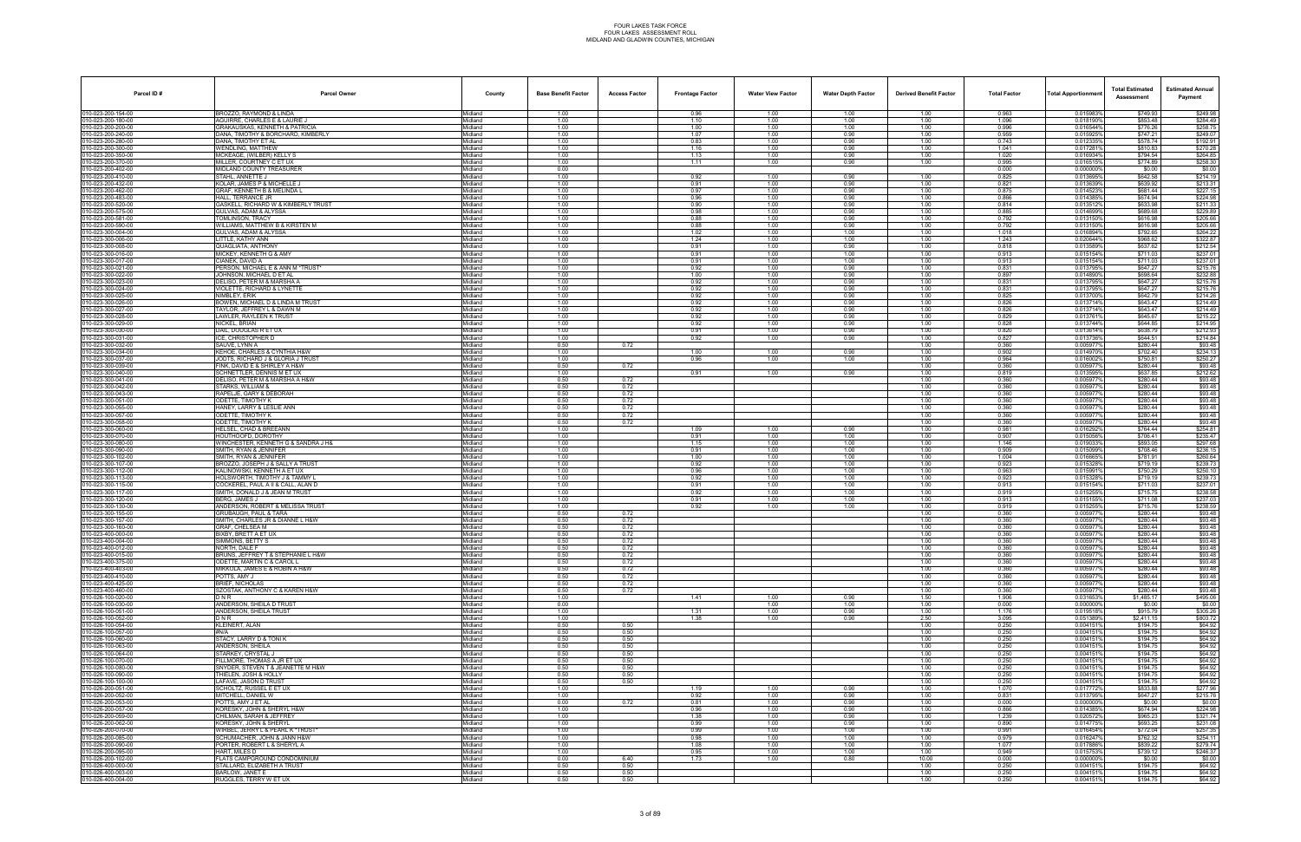| Parcel ID#                             | <b>Parcel Owner</b>                                             | County                     | <b>Base Benefit Factor</b> | <b>Access Factor</b> | <b>Frontage Factor</b> | <b>Water View Factor</b> | <b>Water Depth Factor</b> | <b>Derived Benefit Factor</b> | <b>Total Factor</b> | Total Apportionmer     | <b>Total Estimated</b><br>Assessment | <b>Estimated Annual</b><br>Payment |
|----------------------------------------|-----------------------------------------------------------------|----------------------------|----------------------------|----------------------|------------------------|--------------------------|---------------------------|-------------------------------|---------------------|------------------------|--------------------------------------|------------------------------------|
| 010-023-200-154-00                     | <b>BROZZO, RAYMOND &amp; LINDA</b>                              | Midland                    | 1.00                       |                      | 0.96                   | 1.00                     | 1.00                      | 1.00                          | 0.963               | 0.015983%              | \$749.93                             | \$249.98                           |
| 10-023-200-180-00<br>10-023-200-200-00 | AGUIRRE, CHARLES E & LAURIE J<br>GRAKAUSKAS. KENNETH & PATRICIA | Midland<br>Midland         | 1.00<br>1.00               |                      | 1.10<br>1.00           | 1.00<br>1.00             | 1.00<br>1.00              | 1.00<br>1.00                  | 1.096<br>0.996      | 0.018190%<br>0.016544% | \$853.48<br>\$776.26                 | \$284.49<br>\$258.75               |
| 10-023-200-240-00                      | DANA, TIMOTHY & BORCHARD, KIMBERLY                              | Midland                    | 1.00                       |                      | 1.07                   | 1.00                     | 0.90                      | 1.00                          | 0.959               | 0.015925%              | \$747.21                             | \$249.07                           |
| 10-023-200-280-00                      | DANA, TIMOTHY ET AL                                             | Midland                    | 1.00                       |                      | 0.83                   | 1.00                     | 0.90                      | 1.00                          | 0.743               | 0.012335%              | \$578.74                             | \$192.91                           |
| 10-023-200-300-00<br>10-023-200-350-00 | <b>WENDLING, MATTHEW</b><br>MCKEAGE, (WILBER) KELLY S           | Midland<br>Midland         | 1.00<br>1.00               |                      | 1.16<br>1.13           | 1.00<br>1.00             | 0.90<br>0.90              | 1.00<br>1.00                  | 1.041<br>1.020      | 0.0172819<br>0.016934% | \$810.83<br>\$794.54                 | \$270.28<br>\$264.85               |
| 0-023-200-370-00                       | MILLER, COURTNEY C ET UX                                        | Midland                    | 1.00                       |                      | 1.11                   | 1.00                     | 0.90                      | 1.00                          | 0.995               | 0.0165159              | \$774.89                             | \$258.30                           |
| 10-023-200-402-00<br>10-023-200-410-00 | MIDLAND COUNTY TREASURER<br>STAHL. ANNETTE J                    | Midland<br>Midland         | 0.00<br>1.00               |                      | 0.92                   | 1.00                     | 0.90                      | 1.00                          | 0.000<br>0.825      | 0.000000%<br>0.013695% | \$0.00<br>\$642.58                   | \$0.00<br>\$214.19                 |
| 10-023-200-432-00                      | KOLAR, JAMES P & MICHELLE J                                     | Midland                    | 1.00                       |                      | 0.91                   | 1.00                     | 0.90                      | 1.00                          | 0.821               | 0.013639%              | \$639.92                             | \$213.31                           |
| 10-023-200-462-00                      | GRAF, KENNETH B & MELINDA L                                     | Midland                    | 1.00                       |                      | 0.97                   | 1.00                     | 0.90                      | 1.00                          | 0.875               | 0.014523%              | \$681.44                             | \$227.15                           |
| 10-023-200-483-00<br>10-023-200-520-00 | HALL, TERRANCE JR<br>GASKELL, RICHARD W & KIMBERLY TRUST        | Midland<br>Midland         | 1.00<br>1.00               |                      | 0.96<br>0.90           | 1.00<br>1.00             | 0.90<br>0.90              | 1.00<br>1.00                  | 0.866<br>0.814      | 0.014385%<br>0.0135129 | \$674.94<br>\$633.98                 | \$224.98<br>\$211.33               |
| 10-023-200-575-00                      | GULVAS, ADAM & ALYSSA                                           | Midland                    | 1.00                       |                      | 0.98                   | 1.00                     | 0.90                      | 1.00                          | 0.885               | 0.014699%              | \$689.68                             | \$229.89                           |
| 10-023-200-581-00                      | TOMLINSON, TRACY<br>WILLIAMS, MATTHEW B & KIRSTEN M             | Midland                    | 1.00<br>1.00               |                      | 0.88<br>0.88           | 1.00<br>1.00             | 0.90<br>0.90              | 1.00<br>1.00                  | 0.792<br>0.792      | 0.013150%<br>0.013150% | \$616.98<br>\$616.98                 | \$205.66<br>\$205.66               |
| 10-023-200-590-00<br>0-023-300-004-00  | GULVAS, ADAM & ALYSSA                                           | Midland<br><i>l</i> idland | 1.00                       |                      | 1.02                   | 1.00                     | 1.00                      | 1.00                          | 1.018               | 0.016894%              | \$792.65                             | \$264.22                           |
| 10-023-300-006-00                      | LITTLE, KATHY ANN                                               | Midland                    | 1.00                       |                      | 1.24                   | 1.00                     | 1.00                      | 1.00                          | 1.243               | 0.020644%              | \$968.62                             | \$322.87                           |
| 10-023-300-008-00<br>10-023-300-016-00 | QUAGLIATA, ANTHONY<br>MICKEY, KENNETH G & AMY                   | Midland<br>Midland         | 1.00<br>1.00               |                      | 0.91<br>0.91           | 1.00<br>1.00             | 0.90<br>1.00              | 1.00<br>1.00                  | 0.818<br>0.913      | 0.013589%<br>0.015154% | \$637.62<br>\$711.03                 | \$212.54<br>\$237.01               |
| 10-023-300-017-00                      | CIANEK, DAVID A                                                 | Midland                    | 1.00                       |                      | 0.91                   | 1.00                     | 1.00                      | 1.00                          | 0.913               | 0.015154%              | \$711.03                             | \$237.01                           |
| 10-023-300-021-00<br>10-023-300-022-00 | PERSON, MICHAEL E & ANN M *TRUST*<br>JOHNSON, MICHAEL D ET AL   | Midland<br>Midland         | 1.00<br>1.00               |                      | 0.92<br>1.00           | 1.00<br>1.00             | 0.90<br>0.90              | 1.00<br>1.00                  | 0.831<br>0.897      | 0.013795%<br>0.014890% | \$647.27<br>\$698.64                 | \$215.76<br>\$232.88               |
| 10-023-300-023-00                      | DELISO. PETER M & MARSHA A                                      | Midland                    | 1.00                       |                      | 0.92                   | 1.00                     | 0.90                      | 1.00                          | 0.831               | 0.0137959              | \$647.27                             | \$215.76                           |
| 10-023-300-024-00                      | VIOLETTE, RICHARD & LYNETTE                                     | Midland                    | 1.00                       |                      | 0.92                   | 1.00                     | 0.90                      | 1.00                          | 0.831               | 0.013795%              | \$647.27                             | \$215.76                           |
| 10-023-300-025-00<br>0-023-300-026-00  | NIMBLEY, ERIK<br>BOWEN, MICHAEL D & LINDA M TRUST               | Midland<br><i>l</i> idland | 1.00<br>1.00               |                      | 0.92<br>0.92           | 1.00<br>1.00             | 0.90<br>0.90              | 1.00<br>1.00                  | 0.825<br>0.826      | 0.0137009<br>0.013714% | \$642.79<br>\$643.47                 | \$214.26<br>\$214.49               |
| 10-023-300-027-00                      | TAYLOR, JEFFREY L & DAWN M                                      | Midland                    | 1.00                       |                      | 0.92                   | 1.00                     | 0.90                      | 1.00                          | 0.826               | 0.013714%              | \$643.47                             | \$214.49                           |
| 10-023-300-028-00                      | LAWLER, RAYLEEN K TRUST                                         | Midland                    | 1.00                       |                      | 0.92                   | 1.00                     | 0.90                      | 1.00                          | 0.829               | 0.013761               | \$645.67                             | \$215.22                           |
| 10-023-300-029-00<br>10-023-300-030-00 | NICKEL, BRIAN<br>DAIL, DOUGLAS R ET UX                          | Midland<br>Midland         | 1.00<br>1.00               |                      | 0.92<br>0.91           | 1.00<br>1.00             | 0.90<br>0.90              | 1.00<br>1.00                  | 0.828<br>0.820      | 0.013744%<br>0.013614% | \$644.85<br>\$638.79                 | \$214.95<br>\$212.93               |
| 10-023-300-031-00                      | ICE, CHRISTOPHER D                                              | <i>l</i> idland            | 1.00                       |                      | 0.92                   | 1.00                     | 0.90                      | 1.00                          | 0.827               | 0.013736%              | \$644.51                             | \$214.84                           |
| 10-023-300-032-00<br>10-023-300-034-00 | SAUVE, LYNN A<br>KEHOE, CHARLES & CYNTHIA H&W                   | Midland<br>Midland         | 0.50<br>1.00               | 0.72                 | 1.00                   | 1.00                     | 0.90                      | 1.00<br>1.00                  | 0.360<br>0.902      | 0.0059779<br>0.014970  | \$280.44<br>\$702.40                 | \$93.48<br>\$234.13                |
| 10-023-300-037-00                      | JODTS. RICHARD J & GLORIA J TRUST                               | Midland                    | 1.00                       |                      | 0.96                   | 1.00                     | 1.00                      | 1.00                          | 0.964               | 0.016002%              | \$750.81                             | \$250.27                           |
| 10-023-300-039-00                      | FINK, DAVID E & SHIRLEY A H&W                                   | Midland                    | 0.50                       | 0.72                 |                        |                          |                           | 1.00                          | 0.360               | 0.0059779              | \$280.44                             | \$93.48                            |
| 0-023-300-040-00<br>10-023-300-041-00  | SCHNETTLER, DENNIS M ET UX<br>DELISO, PETER M & MARSHA A H&W    | lidland<br>Midland         | 1.00<br>0.50               | 0.72                 | 0.91                   | 1.00                     | 0.90                      | 1.00<br>1.00                  | 0.819<br>0.360      | 0.0135959<br>0.005977% | \$637.85<br>\$280.44                 | \$212.62<br>\$93.48                |
| 10-023-300-042-00                      | STARKS. WILLIAM &                                               | Midland                    | 0.50                       | 0.72                 |                        |                          |                           | 1.00                          | 0.360               | 0.005977               | \$280.44                             | \$93.48                            |
| 10-023-300-043-00<br>10-023-300-051-00 | RAPELJE, GARY & DEBORAH<br>ODETTE, TIMOTHY K                    | Midland<br>Midland         | 0.50<br>0.50               | 0.72<br>0.72         |                        |                          |                           | 1.00<br>1.00                  | 0.360<br>0.360      | 0.005977%<br>0.0059779 | \$280.44<br>\$280.44                 | \$93.48<br>\$93.48                 |
| 10-023-300-055-00                      | HANEY, LARRY & LESLIE ANN                                       | <i>l</i> idland            | 0.50                       | 0.72                 |                        |                          |                           | 1.00                          | 0.360               | 0.005977               | \$280.44                             | \$93.48                            |
| 10-023-300-057-00                      | ODETTE. TIMOTHY K                                               | Midland                    | 0.50                       | 0.72                 |                        |                          |                           | 1.00                          | 0.360               | 0.005977%              | \$280.44                             | \$93.48                            |
| 10-023-300-058-00<br>10-023-300-060-00 | ODETTE, TIMOTHY K<br>HELSEL, CHAD & BREEANN                     | Midland<br>Midland         | 0.50<br>1.00               | 0.72                 | 1.09                   | 1.00                     | 0.90                      | 1.00<br>1.00                  | 0.360<br>0.981      | 0.005977<br>0.016292%  | \$280.44<br>\$764.44                 | \$93.48<br>\$254.81                |
| 10-023-300-070-00                      | HOUTHOOFD, DOROTHY                                              | Midland                    | 1.00                       |                      | 0.91                   | 1.00                     | 1.00                      | 1.00                          | 0.907               | 0.0150569              | \$706.41                             | \$235.47                           |
| 0-023-300-080-00<br>10-023-300-090-00  | WINCHESTER, KENNETH G & SANDRA J H&<br>SMITH, RYAN & JENNIFER   | lidland<br>Midland         | 1.00<br>1.00               |                      | 1.15<br>0.91           | 1.00<br>1.00             | 1.00<br>1.00              | 1.00<br>1.00                  | 1.146<br>0.909      | 0.019033<br>0.015099%  | \$893.05<br>\$708.46                 | \$297.68<br>\$236.15               |
| 10-023-300-102-00                      | SMITH, RYAN & JENNIFER                                          | Midland                    | 1.00                       |                      | 1.00                   | 1.00                     | 1.00                      | 1.00                          | 1.004               | 0.016665%              | \$781.91                             | \$260.64                           |
| 10-023-300-107-00                      | BROZZO, JOSEPH J & SALLY A TRUST                                | Midland                    | 1.00                       |                      | 0.92                   | 1.00                     | 1.00                      | 1.00                          | 0.923               | 0.015328%              | \$719.19                             | \$239.73                           |
| 10-023-300-112-00<br>10-023-300-113-00 | KALINOWSKI, KENNETH A ET UX<br>HOLSWORTH, TIMOTHY J & TAMMY L   | Midland<br><i>l</i> idland | 1.00<br>1.00               |                      | 0.96<br>0.92           | 1.00<br>1.00             | 1.00<br>1.00              | 1.00<br>1.00                  | 0.963<br>0.923      | 0.015991%<br>0.0153289 | \$750.29<br>\$719.19                 | \$250.10<br>\$239.73               |
| 10-023-300-115-00                      | COCKEREL, PAUL A II & CALL, ALAN D                              | Midland                    | 1.00                       |                      | 0.91                   | 1.00                     | 1.00                      | 1.00                          | 0.913               | 0.015154%              | \$711.03                             | \$237.01                           |
| 10-023-300-117-00<br>10-023-300-120-00 | SMITH, DONALD J & JEAN M TRUST<br>BERG. JAMES J                 | Midland<br>Midland         | 1.00<br>1.00               |                      | 0.92<br>0.91           | 1.00<br>1.00             | 1.00<br>1.00              | 1.00<br>1.00                  | 0.919<br>0.913      | 0.015255%<br>0.015155% | \$715.75<br>\$711.08                 | \$238.58<br>\$237.03               |
| 10-023-300-130-00                      | ANDERSON, ROBERT & MELISSA TRUST                                | Midland                    | 1.00                       |                      | 0.92                   | 1.00                     | 1.00                      | 1.00                          | 0.919               | 0.0152559              | \$715.76                             | \$238.59                           |
| 0-023-300-155-00                       | GRUBAUGH, PAUL & TARA                                           | lidland                    | 0.50                       | 0.72                 |                        |                          |                           | 1.00                          | 0.360               | 0.005977               | \$280.44                             | \$93.48                            |
| 10-023-300-157-00<br>10-023-300-160-00 | SMITH, CHARLES JR & DIANNE L H&W<br>GRAF, CHELSEA M             | Midland<br>Midland         | 0.50<br>0.50               | 0.72<br>0.72         |                        |                          |                           | 1.00<br>1.00                  | 0.360<br>0.360      | 0.005977%<br>0.005977  | \$280.44<br>\$280.44                 | \$93.48<br>\$93.48                 |
| 10-023-400-000-00                      | BIXBY, BRETT A ET UX                                            | Midland                    | 0.50                       | 0.72                 |                        |                          |                           | 1.00                          | 0.360               | 0.0059779              | \$280.44                             | \$93.48                            |
| 10-023-400-004-00                      | SIMMONS, BETTY S                                                | Midland                    | 0.50                       | 0.72                 |                        |                          |                           | 1.00                          | 0.360               | 0.005977               | \$280.44                             | \$93.48                            |
| 10-023-400-012-00<br>10-023-400-015-00 | NORTH, DALE F<br>BRUNS, JEFFREY T & STEPHANIE L H&W             | <b>lidland</b><br>Midland  | 0.50<br>0.50               | 0.72<br>0.72         |                        |                          |                           | 1.00<br>1.00                  | 0.360<br>0.360      | 0.005977<br>0.005977%  | \$280.44<br>\$280.44                 | \$93.48<br>\$93.48                 |
| 10-023-400-375-00                      | ODETTE, MARTIN C & CAROL L                                      | Midland                    | 0.50                       | 0.72                 |                        |                          |                           | 1.00                          | 0.360               | 0.005977%              | \$280.44                             | \$93.48                            |
| 10-023-400-403-00<br>10-023-400-410-00 | MIKKOLA, JAMES E & ROBIN A H&W<br>POTTS, AMY J                  | Midland<br>Midland         | 0.50<br>0.50               | 0.72<br>0.72         |                        |                          |                           | 1.00<br>1.00                  | 0.360<br>0.360      | 0.005977%<br>0.0059779 | \$280.44<br>\$280.44                 | \$93.48<br>\$93.48                 |
| 10-023-400-425-00                      | BRIEF, NICHOLAS                                                 | <i>l</i> idland            | 0.50                       | 0.72                 |                        |                          |                           | 1.00                          | 0.360               | 0.005977               | \$280.44                             | \$93.48                            |
| 10-023-400-460-00                      | SZOSTAK, ANTHONY C & KAREN H&W                                  | Midland                    | 0.50                       | 0.72                 |                        |                          |                           | 1.00                          | 0.360               | 0.005977%              | \$280.44                             | \$93.48                            |
| 10-026-100-020-00<br>10-026-100-030-00 | DNR<br>ANDERSON, SHEILA D TRUST                                 | Midland<br>Midland         | 1.00<br>0.00               |                      | 1.41                   | 1.00<br>1.00             | 0.90<br>1.00              | 1.50<br>1.00                  | 1.906<br>0.000      | 0.031653%<br>0.000000% | \$1,485.17<br>\$0.00                 | \$495.06<br>\$0.00                 |
| 10-026-100-051-00                      | ANDERSON, SHEILA TRUST                                          | Midland                    | 1.00                       |                      | 1.31                   | 1.00                     | 0.90                      | 1.00                          | 1.176               | 0.019518%              | \$915.79                             | \$305.26                           |
| 10-026-100-052-00<br>10-026-100-054-00 | DNR<br><b>KLEINERT, ALAN</b>                                    | <i>l</i> idland<br>Midland | 1.00<br>0.50               | 0.50                 | 1.38                   | 1.00                     | 0.90                      | 2.50<br>1.00                  | 3.095<br>0.250      | 0.051389%<br>0.004151% | \$2,411.15<br>\$194.75               | \$803.72<br>\$64.92                |
| 10-026-100-057-00                      | #N/A                                                            | Midland                    | 0.50                       | 0.50                 |                        |                          |                           | 1.00                          | 0.250               | 0.0041519              | \$194.75                             | \$64.92                            |
| 10-026-100-060-00                      | STACY, LARRY D & TONIK                                          | Midland                    | 0.50                       | 0.50                 |                        |                          |                           | 1.00                          | 0.250               | 0.004151%              | \$194.75                             | \$64.92                            |
| 10-026-100-063-00<br>10-026-100-064-00 | ANDERSON, SHEILA<br>STARKEY, CRYSTAL J                          | Midland<br><i>l</i> idland | 0.50<br>0.50               | 0.50<br>0.50         |                        |                          |                           | 1.00<br>1.00                  | 0.250<br>0.250      | 0.0041519<br>0.004151  | \$194.75<br>\$194.75                 | \$64.92<br>\$64.92                 |
| 10-026-100-070-00                      | FILLMORE. THOMAS A JR ET UX                                     | Midland                    | 0.50                       | 0.50                 |                        |                          |                           | 1.00                          | 0.250               | 0.004151%              | \$194.75                             | \$64.92                            |
| 10-026-100-080-00<br>10-026-100-090-00 | SNYDER, STEVEN T & JEANETTE M H&W<br>THIELEN. JOSH & HOLLY      | Midland                    | 0.50<br>0.50               | 0.50<br>0.50         |                        |                          |                           | 1.00<br>1.00                  | 0.250               | 0.004151%<br>0.0041519 | \$194.75<br>\$194.75                 | \$64.92<br>\$64.92                 |
| 10-026-100-100-00                      | LAFAVE, JASON D TRUST                                           | Midland<br>Midland         | 0.50                       | 0.50                 |                        |                          |                           | 1.00                          | 0.250<br>0.250      | 0.0041519              | \$194.75                             | \$64.92                            |
| 10-026-200-051-00                      | SCHOLTZ, RUSSEL E ET UX                                         | Midland                    | 1.00                       |                      | 1.19                   | 1.00                     | 0.90                      | 1.00                          | 1.070               | 0.017772%              | \$833.88                             | \$277.96                           |
| 10-026-200-052-00<br>10-026-200-053-00 | MITCHELL, DANIEL W<br>POTTS, AMY J ET AL                        | Midland<br>Midland         | 1.00<br>0.00               | 0.72                 | 0.92<br>0.81           | 1.00<br>1.00             | 0.90<br>0.90              | 1.00<br>1.00                  | 0.831<br>0.000      | 0.013795%<br>0.000000% | \$647.27<br>\$0.00                   | \$215.76<br>\$0.00                 |
| 10-026-200-057-00                      | KORESKY, JOHN & SHERYL H&W                                      | Midland                    | 1.00                       |                      | 0.96                   | 1.00                     | 0.90                      | 1.00                          | 0.866               | 0.014385%              | \$674.94                             | \$224.98                           |
| 10-026-200-059-00                      | CHILMAN, SARAH & JEFFREY                                        | Midland                    | 1.00                       |                      | 1.38                   | 1.00                     | 0.90                      | 1.00                          | 1.239               | 0.0205729              | \$965.23                             | \$321.74                           |
| 10-026-200-062-00<br>10-026-200-070-00 | KORESKY, JOHN & SHERYL<br>WIRBEL, JERRY L & PEARL K *TRUST*     | Midland<br>Midland         | 1.00<br>1.00               |                      | 0.99<br>0.99           | 1.00<br>1.00             | 0.90<br>1.00              | 1.00<br>1.00                  | 0.890<br>0.991      | 0.0147759<br>0.016454% | \$693.25<br>\$772.04                 | \$231.08<br>\$257.35               |
| 10-026-200-085-00                      | SCHUMACHER. JOHN & JANN H&W                                     | Midland                    | 1.00                       |                      | 0.98                   | 1.00                     | 1.00                      | 1.00                          | 0.979               | 0.016247%              | \$762.32                             | \$254.11                           |
| 10-026-200-090-00<br>10-026-200-095-00 | PORTER, ROBERT L & SHERYL A<br>HART, MILES D                    | Midland<br>Midland         | 1.00<br>1.00               |                      | 1.08<br>0.95           | 1.00<br>1.00             | 1.00<br>1.00              | 1.00<br>1.00                  | 1.077<br>0.949      | 0.017886%<br>0.015753% | \$839.22<br>\$739.12                 | \$279.74<br>\$246.37               |
| 10-026-200-102-00                      | FLATS CAMPGROUND CONDOMINIUM                                    | Midland                    | 0.00                       | 6.40                 | 1.73                   | 1.00                     | 0.80                      | 10.00                         | 0.000               | 0.000000%              | \$0.00                               | \$0.00                             |
| 10-026-400-000-00                      | STALLARD. ELIZABETH A TRUST                                     | Midland                    | 0.50                       | 0.50                 |                        |                          |                           | 1.00                          | 0.250               | 0.004151%              | \$194.75                             | \$64.92<br>\$64.92                 |
| 10-026-400-003-00<br>10-026-400-004-00 | BARLOW, JANET E<br>RUGGLES, TERRY W ET UX                       | Midland<br>Midland         | 0.50<br>0.50               | 0.50<br>0.50         |                        |                          |                           | 1.00<br>1.00                  | 0.250<br>0.250      | 0.004151%<br>0.004151% | \$194.75<br>\$194.75                 | \$64.92                            |
|                                        |                                                                 |                            |                            |                      |                        |                          |                           |                               |                     |                        |                                      |                                    |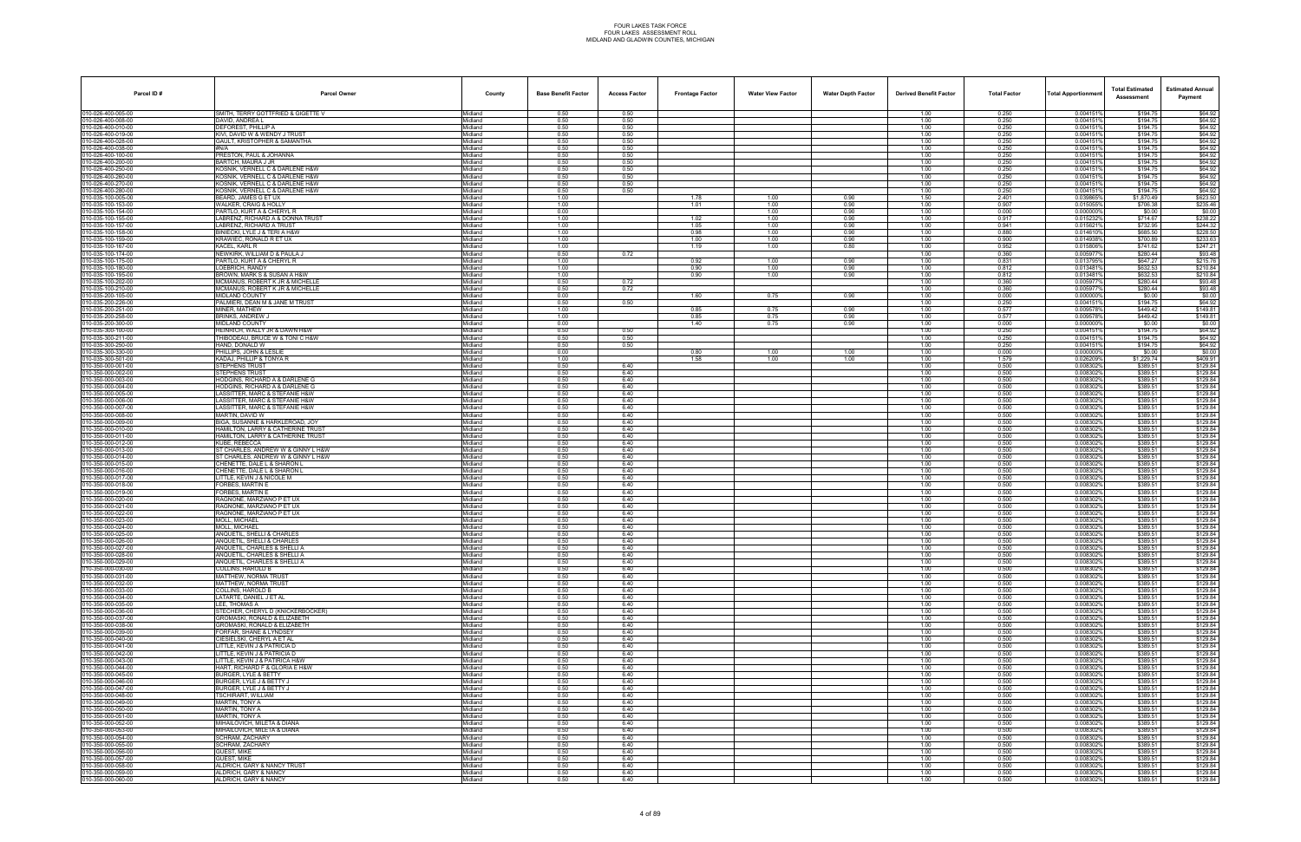| Parcel ID#                               | <b>Parcel Owner</b>                                                    | County             | <b>Base Benefit Factor</b> | <b>Access Factor</b> | <b>Frontage Factor</b> | <b>Water View Factor</b> | <b>Water Depth Factor</b> | <b>Derived Benefit Factor</b> | <b>Total Factor</b> | <b>Total Apportionmen</b> | <b>Total Estimated</b><br>Assessment | <b>Estimated Annual</b><br>Payment |
|------------------------------------------|------------------------------------------------------------------------|--------------------|----------------------------|----------------------|------------------------|--------------------------|---------------------------|-------------------------------|---------------------|---------------------------|--------------------------------------|------------------------------------|
| 010-026-400-005-00                       | SMITH, TERRY GOTTFRIED & GIGETTE V                                     | Midland            | 0.50                       | 0.50                 |                        |                          |                           | 1.00                          | 0.250               | 0.004151%                 | \$194.75                             | \$64.92                            |
| 010-026-400-008-00                       | DAVID, ANDREA L                                                        | Midland            | 0.50                       | 0.50                 |                        |                          |                           | 1.00                          | 0.250               | 0.0041519                 | \$194.75                             | \$64.92                            |
| 010-026-400-010-00<br>010-026-400-019-00 | DEFOREST. PHILLIP A<br>KIVI, DAVID W & WENDY J TRUST                   | Midland<br>Midland | 0.50<br>0.50               | 0.50<br>0.50         |                        |                          |                           | 1.00<br>1.00                  | 0.250<br>0.250      | 0.0041519<br>0.0041519    | \$194.75<br>\$194.75                 | \$64.92<br>\$64.92                 |
| 010-026-400-028-00                       | GAULT, KRISTOPHER & SAMANTHA                                           | Midland            | 0.50                       | 0.50                 |                        |                          |                           | 1.00                          | 0.250               | 0.0041519                 | \$194.75                             | \$64.92                            |
| 010-026-400-038-00                       | #N/A                                                                   | Midland            | 0.50                       | 0.50                 |                        |                          |                           | 1.00                          | 0.250               | 0.0041519                 | \$194.75                             | \$64.92                            |
| 010-026-400-100-00<br>010-026-400-200-00 | PRESTON, PAUL & JOHANNA<br>BARTCH, MAURA J JR                          | Midland<br>Midland | 0.50<br>0.50               | 0.50<br>0.50         |                        |                          |                           | 1.00<br>1.00                  | 0.250<br>0.250      | 0.0041519<br>0.004151     | \$194.75<br>\$194.75                 | \$64.92<br>\$64.92                 |
| 010-026-400-250-00                       | KOSNIK, VERNELL C & DARLENE H&W                                        | Midland            | 0.50                       | 0.50                 |                        |                          |                           | 1.00                          | 0.250               | 0.0041519                 | \$194.75                             | \$64.92                            |
| 010-026-400-260-00                       | KOSNIK, VERNELL C & DARLENE H&W                                        | Midland            | 0.50                       | 0.50                 |                        |                          |                           | 1.00                          | 0.250               | 0.0041519                 | \$194.75                             | \$64.92                            |
| 010-026-400-270-00<br>010-026-400-280-00 | KOSNIK. VERNELL C & DARLENE H&W<br>KOSNIK, VERNELL C & DARLENE H&W     | Midland<br>Midland | 0.50<br>0.50               | 0.50<br>0.50         |                        |                          |                           | 1.00<br>1.00                  | 0.250<br>0.250      | 0.0041519<br>0.0041519    | \$194.75<br>\$194.75                 | \$64.92<br>\$64.92                 |
| 010-035-100-005-00                       | BEARD, JAMES G ET UX                                                   | Midland            | 1.00                       |                      | 1.78                   | 1.00                     | 0.90                      | 1.50                          | 2.401               | 0.039865%                 | \$1,870.49                           | \$623.50                           |
| 010-035-100-153-00                       | WALKER, CRAIG & HOLLY                                                  | Midland            | 1.00                       |                      | 1.01                   | 1.00                     | 0.90                      | 1.00                          | 0.907               | 0.015055%                 | \$706.38                             | \$235.46                           |
| 010-035-100-154-00<br>010-035-100-155-00 | PARTLO, KURT A & CHERYL R<br>LABRENZ, RICHARD A & DONNA TRUST          | Midland<br>Midland | 0.00<br>1.00               |                      | 1.02                   | 1.00<br>1.00             | 0.90<br>0.90              | 1.00<br>1.00                  | 0.000<br>0.917      | 0.0000009<br>0.0152329    | \$0.00<br>\$714.67                   | \$0.00<br>\$238.22                 |
| 010-035-100-157-00                       | LABRENZ, RICHARD A TRUST                                               | Midland            | 1.00                       |                      | 1.05                   | 1.00                     | 0.90                      | 1.00                          | 0.941               | 0.0156219                 | \$732.95                             | \$244.32                           |
| 010-035-100-158-00                       | BINIECKI, LYLE J & TERI A H&W                                          | Midland            | 1.00                       |                      | 0.98                   | 1.00                     | 0.90                      | 1.00                          | 0.880               | 0.0146109                 | \$685.50                             | \$228.50                           |
| 010-035-100-159-00<br>010-035-100-167-00 | KRAWIEC, RONALD R ET UX<br>KACEL, KARL R                               | Midland            | 1.00<br>1.00               |                      | 1.00                   | 1.00                     | 0.90<br>0.80              | 1.00                          | 0.900<br>0.952      | 0.014938%<br>0.015806%    | \$700.89<br>\$741.62                 | \$233.63<br>\$247.21               |
| 010-035-100-174-00                       | NEWKIRK, WILLIAM D & PAULA J                                           | Midland<br>Midland | 0.50                       | 0.72                 | 1.19                   | 1.00                     |                           | 1.00<br>1.00                  | 0.360               | 0.005977%                 | \$280.44                             | \$93.48                            |
| 010-035-100-175-00                       | PARTLO, KURT A & CHERYL R                                              | Midland            | 1.00                       |                      | 0.92                   | 1.00                     | 0.90                      | 1.00                          | 0.831               | 0.013795%                 | \$647.27                             | \$215.76                           |
| 010-035-100-180-00                       | LOEBRICH, RANDY                                                        | Midland            | 1.00                       |                      | 0.90                   | 1.00                     | 0.90                      | 1.00                          | 0.812               | 0.0134819                 | \$632.53                             | \$210.84                           |
| 010-035-100-195-00<br>010-035-100-202-00 | BROWN, MARK S & SUSAN A H&W<br>MCMANUS, ROBERT K JR & MICHELLE         | Midland<br>Midland | 1.00<br>0.50               | 0.72                 | 0.90                   | 1.00                     | 0.90                      | 1.00<br>1.00                  | 0.812<br>0.360      | 0.013481%<br>0.005977     | \$632.53<br>\$280.44                 | \$210.84<br>\$93.48                |
| 010-035-100-210-00                       | MCMANUS, ROBERT K JR & MICHELLE                                        | Midland            | 0.50                       | 0.72                 |                        |                          |                           | 1.00                          | 0.360               | 0.0059779                 | \$280.44                             | \$93.48                            |
| 010-035-200-105-00                       | <b>MIDLAND COUNTY</b>                                                  | Midland            | 0.00                       |                      | 1.60                   | 0.75                     | 0.90                      | 1.00                          | 0.000               | 0.0000009                 | \$0.00                               | \$0.00                             |
| 010-035-200-226-00<br>010-035-200-251-00 | PALMIERI, DEAN M & JANE M TRUST<br>MINER, MATHEW                       | Midland            | 0.50                       | 0.50                 |                        |                          |                           | 1.00                          | 0.250<br>0.577      | 0.004151<br>0.0095789     | \$194.75<br>\$449.42                 | \$64.92<br>\$149.81                |
| 010-035-200-258-00                       | BRINKS, ANDREW J                                                       | Midland<br>Midland | 1.00<br>1.00               |                      | 0.85<br>0.85           | 0.75<br>0.75             | 0.90<br>0.90              | 1.00<br>1.00                  | 0.577               | 0.009578                  | \$449.42                             | \$149.81                           |
| 010-035-200-300-00                       | MIDLAND COUNTY                                                         | Midland            | 0.00                       |                      | 1.40                   | 0.75                     | 0.90                      | 1.00                          | 0.000               | 0.000000%                 | \$0.00                               | \$0.00                             |
| 010-035-300-100-00                       | HEINRICH, WALLY JR & DAWN H&W                                          | Midland            | 0.50                       | 0.50                 |                        |                          |                           | 1.00                          | 0.250               | 0.0041519                 | \$194.75                             | \$64.92                            |
| 010-035-300-211-00<br>010-035-300-250-00 | THIBODEAU, BRUCE W & TONI C H&W<br>HAND, DONALD W                      | Midland<br>Midland | 0.50<br>0.50               | 0.50<br>0.50         |                        |                          |                           | 1.00<br>1.00                  | 0.250<br>0.250      | 0.004151<br>0.0041519     | \$194.75<br>\$194.75                 | \$64.92<br>\$64.92                 |
| 010-035-300-330-00                       | PHILLIPS, JOHN & LESLIE                                                | Midland            | 0.00                       |                      | 0.80                   | 1.00                     | 1.00                      | 1.00                          | 0.000               | 0.0000009                 | \$0.00                               | \$0.00                             |
| 010-035-300-501-00                       | KADAJ, PHILLIP & TONYA R                                               | Midland            | 1.00                       |                      | 1.58                   | 1.00                     | 1.00                      | 1.00                          | 1.579               | 0.026209%                 | \$1,229.74                           | \$409.91                           |
| 010-350-000-001-00<br>010-350-000-002-00 | STEPHENS TRUST<br>STEPHENS TRUST                                       | Midland<br>Midland | 0.50<br>0.50               | 6.40<br>6.40         |                        |                          |                           | 1.00<br>1.00                  | 0.500<br>0.500      | 0.008302<br>0.0083029     | \$389.51<br>\$389.51                 | \$129.84<br>\$129.84               |
| 010-350-000-003-00                       | HODGINS, RICHARD A & DARLENE G                                         | Midland            | 0.50                       | 6.40                 |                        |                          |                           | 1.00                          | 0.500               | 0.0083029                 | \$389.51                             | \$129.84                           |
| 010-350-000-004-00                       | HODGINS, RICHARD A & DARLENE G                                         | Midland            | 0.50                       | 6.40                 |                        |                          |                           | 1.00                          | 0.500               | 0.008302                  | \$389.51                             | \$129.84                           |
| 010-350-000-005-00                       | LASSITTER. MARC & STEFANIE H&W                                         | Midland            | 0.50                       | 6.40                 |                        |                          |                           | 1.00                          | 0.500               | 0.008302%                 | \$389.51                             | \$129.84                           |
| 010-350-000-006-00<br>010-350-000-007-00 | LASSITTER, MARC & STEFANIE H&W<br>LASSITTER, MARC & STEFANIE H&W       | Midland<br>Midland | 0.50<br>0.50               | 6.40<br>6.40         |                        |                          |                           | 1.00<br>1.00                  | 0.500<br>0.500      | 0.0083029<br>0.0083029    | \$389.51<br>\$389.51                 | \$129.84<br>\$129.84               |
| 010-350-000-008-00                       | MARTIN, DAVID W                                                        | Midland            | 0.50                       | 6.40                 |                        |                          |                           | 1.00                          | 0.500               | 0.008302%                 | \$389.51                             | \$129.84                           |
| 010-350-000-009-00                       | BIGA, SUSANNE & HARKLEROAD, JOY                                        | Midland            | 0.50                       | 6.40                 |                        |                          |                           | 1.00                          | 0.500               | 0.0083029                 | \$389.51                             | \$129.84                           |
| 010-350-000-010-00<br>010-350-000-011-00 | HAMILTON, LARRY & CATHERINE TRUST<br>HAMILTON, LARRY & CATHERINE TRUST | Midland<br>Midland | 0.50<br>0.50               | 6.40<br>6.40         |                        |                          |                           | 1.00<br>1.00                  | 0.500<br>0.500      | 0.008302%<br>0.008302     | \$389.51<br>\$389.51                 | \$129.84<br>\$129.84               |
| 010-350-000-012-00                       | KUBE. REBECCA                                                          | Midland            | 0.50                       | 6.40                 |                        |                          |                           | 1.00                          | 0.500               | 0.0083029                 | \$389.51                             | \$129.84                           |
| 010-350-000-013-00                       | ST CHARLES, ANDREW W & GINNY L H&W                                     | Midland            | 0.50                       | 6.40                 |                        |                          |                           | 1.00                          | 0.500               | 0.008302%                 | \$389.51                             | \$129.84                           |
| 010-350-000-014-00<br>010-350-000-015-00 | ST CHARLES, ANDREW W & GINNY L H&W<br>CHENETTE, DALE L & SHARON L      | Midland<br>Midland | 0.50<br>0.50               | 6.40<br>6.40         |                        |                          |                           | 1.00<br>1.00                  | 0.500<br>0.500      | 0.008302<br>0.008302%     | \$389.51<br>\$389.51                 | \$129.84<br>\$129.84               |
| 010-350-000-016-00                       | CHENETTE, DALE L & SHARON L                                            | Midland            | 0.50                       | 6.40                 |                        |                          |                           | 1.00                          | 0.500               | 0.0083029                 | \$389.51                             | \$129.84                           |
| 010-350-000-017-00                       | LITTLE, KEVIN J & NICOLE M                                             | Midland            | 0.50                       | 6.40                 |                        |                          |                           | 1.00                          | 0.500               | 0.0083029                 | \$389.51                             | \$129.84                           |
| 010-350-000-018-00                       | <b>FORBES, MARTIN E</b>                                                | Midland            | 0.50                       | 6.40                 |                        |                          |                           | 1.00                          | 0.500               | 0.008302%                 | \$389.51                             | \$129.84                           |
| 010-350-000-019-00<br>010-350-000-020-00 | FORBES, MARTIN E<br>RAGNONE, MARZIANO P ET UX                          | Midland<br>Midland | 0.50<br>0.50               | 6.40<br>6.40         |                        |                          |                           | 1.00<br>1.00                  | 0.500<br>0.500      | 0.0083029<br>0.008302%    | \$389.51<br>\$389.51                 | \$129.84<br>\$129.84               |
| 010-350-000-021-00                       | RAGNONE, MARZIANO P ET UX                                              | Midland            | 0.50                       | 6.40                 |                        |                          |                           | 1.00                          | 0.500               | 0.008302                  | \$389.51                             | \$129.84                           |
| 010-350-000-022-00                       | RAGNONE, MARZIANO P ET UX                                              | Midland            | 0.50                       | 6.40                 |                        |                          |                           | 1.00                          | 0.500               | 0.0083029                 | \$389.51                             | \$129.84                           |
| 010-350-000-023-00<br>010-350-000-024-00 | MOLL. MICHAEL<br>MOLL, MICHAEL                                         | Midland<br>Midland | 0.50<br>0.50               | 6.40<br>6.40         |                        |                          |                           | 1.00<br>1.00                  | 0.500<br>0.500      | 0.008302%<br>0.008302     | \$389.51<br>\$389.51                 | \$129.84<br>\$129.84               |
| 010-350-000-025-00                       | ANQUETIL. SHELLI & CHARLES                                             | Midland            | 0.50                       | 6.40                 |                        |                          |                           | 1.00                          | 0.500               | 0.008302%                 | \$389.51                             | \$129.84                           |
| 010-350-000-026-00                       | ANQUETIL, SHELLI & CHARLES                                             | Midland            | 0.50                       | 6.40                 |                        |                          |                           | 1.00                          | 0.500               | 0.008302                  | \$389.51                             | \$129.84                           |
| 010-350-000-027-00<br>010-350-000-028-00 | ANQUETIL, CHARLES & SHELLI A<br>ANQUETIL, CHARLES & SHELLI A           | Midland            | 0.50                       | 6.40<br>6.40         |                        |                          |                           | 1.00                          | 0.500               | 0.008302%<br>0.008302%    | \$389.51                             | \$129.84                           |
| 010-350-000-029-00                       | ANQUETIL, CHARLES & SHELLI A                                           | Midland<br>Midland | 0.50<br>0.50               | 6.40                 |                        |                          |                           | 1.00<br>1.00                  | 0.500<br>0.500      | 0.008302%                 | \$389.51<br>\$389.51                 | \$129.84<br>\$129.84               |
| 010-350-000-030-00                       | COLLINS, HAROLD B                                                      | Midland            | 0.50                       | 6.40                 |                        |                          |                           | 1.00                          | 0.500               | 0.008302%                 | \$389.51                             | \$129.84                           |
| 010-350-000-031-00                       | MATTHEW, NORMA TRUST                                                   | Midland            | 0.50                       | 6.40                 |                        |                          |                           | 1.00                          | 0.500               | 0.008302                  | \$389.51                             | \$129.84                           |
| 010-350-000-032-00<br>010-350-000-033-00 | MATTHEW, NORMA TRUST<br>COLLINS, HAROLD B                              | Midland<br>Midland | 0.50<br>0.50               | 6.40<br>6.40         |                        |                          |                           | 1.00<br>1.00                  | 0.500<br>0.500      | 0.0083029<br>0.008302%    | \$389.51<br>\$389.51                 | \$129.84<br>\$129.84               |
| 010-350-000-034-00                       | LATARTE, DANIEL J ET AL                                                | Midland            | 0.50                       | 6.40                 |                        |                          |                           | 1.00                          | 0.500               | 0.008302%                 | \$389.51                             | \$129.84                           |
| 010-350-000-035-00                       | LEE. THOMAS A                                                          | Midland            | 0.50                       | 6.40                 |                        |                          |                           | 1.00                          | 0.500               | 0.008302%                 | \$389.51                             | \$129.84                           |
| 010-350-000-036-00<br>010-350-000-037-00 | STECHER, CHERYL D (KNICKERBOCKER)<br>GROMASKI, RONALD & ELIZABETH      | Midland<br>Midland | 0.50<br>0.50               | 6.40<br>6.40         |                        |                          |                           | 1.00<br>1.00                  | 0.500<br>0.500      | 0.0083029<br>0.0083029    | \$389.51<br>\$389.51                 | \$129.84<br>\$129.84               |
| 010-350-000-038-00                       | <b>GROMASKI, RONALD &amp; ELIZABETH</b>                                | Midland            | 0.50                       | 6.40                 |                        |                          |                           | 1.00                          | 0.500               | 0.008302%                 | \$389.51                             | \$129.84                           |
| 010-350-000-039-00                       | FORFAR, SHANE & LYNDSEY                                                | Midland            | 0.50                       | 6.40                 |                        |                          |                           | 1.00                          | 0.500               | 0.0083029                 | \$389.51                             | \$129.84                           |
| 010-350-000-040-00<br>010-350-000-041-00 | CIESIELSKI, CHERYL A ET AL<br>LITTLE, KEVIN J & PATRICIA D             | Midland<br>Midland | 0.50<br>0.50               | 6.40<br>6.40         |                        |                          |                           | 1.00<br>1.00                  | 0.500<br>0.500      | 0.008302%<br>0.0083029    | \$389.51<br>\$389.51                 | \$129.84<br>\$129.84               |
| 010-350-000-042-00                       | LITTLE, KEVIN J & PATRICIA D                                           | Midland            | 0.50                       | 6.40                 |                        |                          |                           | 1.00                          | 0.500               | 0.0083029                 | \$389.51                             | \$129.84                           |
| 010-350-000-043-00                       | LITTLE, KEVIN J & PATIRICA H&W                                         | Midland            | 0.50                       | 6.40                 |                        |                          |                           | 1.00                          | 0.500               | 0.008302%                 | \$389.51                             | \$129.84                           |
| 010-350-000-044-00<br>010-350-000-045-00 | HART, RICHARD F & GLORIA E H&W<br>BURGER, LYLE & BETTY                 | Midland<br>Midland | 0.50<br>0.50               | 6.40<br>6.40         |                        |                          |                           | 1.00<br>1.00                  | 0.500<br>0.500      | 0.008302%<br>0.008302%    | \$389.51<br>\$389.51                 | \$129.84<br>\$129.84               |
| 010-350-000-046-00                       | BURGER, LYLE J & BETTY J                                               | Midland            | 0.50                       | 6.40                 |                        |                          |                           | 1.00                          | 0.500               | 0.0083029                 | \$389.51                             | \$129.84                           |
| 010-350-000-047-00                       | BURGER, LYLE J & BETTY J                                               | Midland            | 0.50                       | 6.40                 |                        |                          |                           | 1.00                          | 0.500               | 0.0083029                 | \$389.51                             | \$129.84                           |
| 010-350-000-048-00                       | <b>TSCHIRART, WILLIAM</b>                                              | Midland            | 0.50                       | 6.40                 |                        |                          |                           | 1.00                          | 0.500               | 0.008302%                 | \$389.51                             | \$129.84                           |
| 010-350-000-049-00<br>010-350-000-050-00 | MARTIN, TONY A<br>MARTIN, TONY A                                       | Midland<br>Midland | 0.50<br>0.50               | 6.40<br>6.40         |                        |                          |                           | 1.00<br>1.00                  | 0.500<br>0.500      | 0.0083029<br>0.0083029    | \$389.51<br>\$389.51                 | \$129.84<br>\$129.84               |
| 010-350-000-051-00                       | MARTIN, TONY A                                                         | Midland            | 0.50                       | 6.40                 |                        |                          |                           | 1.00                          | 0.500               | 0.0083029                 | \$389.51                             | \$129.84                           |
| 010-350-000-052-00                       | MIHAILOVICH, MILETA & DIANA                                            | Midland            | 0.50                       | 6.40                 |                        |                          |                           | 1.00                          | 0.500               | 0.0083029                 | \$389.51                             | \$129.84                           |
| 010-350-000-053-00<br>010-350-000-054-00 | MIHAILOVICH. MILETA & DIANA<br><b>SCHRAM, ZACHARY</b>                  | Midland<br>Midland | 0.50<br>0.50               | 6.40<br>6.40         |                        |                          |                           | 1.00<br>1.00                  | 0.500<br>0.500      | 0.008302%<br>0.0083029    | \$389.51<br>\$389.51                 | \$129.84<br>\$129.84               |
| 010-350-000-055-00                       | <b>SCHRAM, ZACHARY</b>                                                 | Midland            | 0.50                       | 6.40                 |                        |                          |                           | 1.00                          | 0.500               | 0.0083029                 | \$389.51                             | \$129.84                           |
| 010-350-000-056-00                       | <b>GUEST, MIKE</b>                                                     | Midland            | 0.50                       | 6.40                 |                        |                          |                           | 1.00                          | 0.500               | 0.0083029                 | \$389.51                             | \$129.84                           |
| 010-350-000-057-00<br>010-350-000-058-00 | <b>GUEST, MIKE</b><br>ALDRICH, GARY & NANCY TRUST                      | Midland<br>Midland | 0.50<br>0.50               | 6.40<br>6.40         |                        |                          |                           | 1.00<br>1.00                  | 0.500<br>0.500      | 0.0083029<br>0.008302%    | \$389.51<br>\$389.51                 | \$129.84<br>\$129.84               |
| 010-350-000-059-00                       | ALDRICH, GARY & NANCY                                                  | Midland            | 0.50                       | 6.40                 |                        |                          |                           | 1.00                          | 0.500               | 0.008302%                 | \$389.51                             | \$129.84                           |
| 010-350-000-060-00                       | ALDRICH, GARY & NANCY                                                  | Midland            | 0.50                       | 6.40                 |                        |                          |                           | 1.00                          | 0.500               | 0.008302%                 | \$389.51                             | \$129.84                           |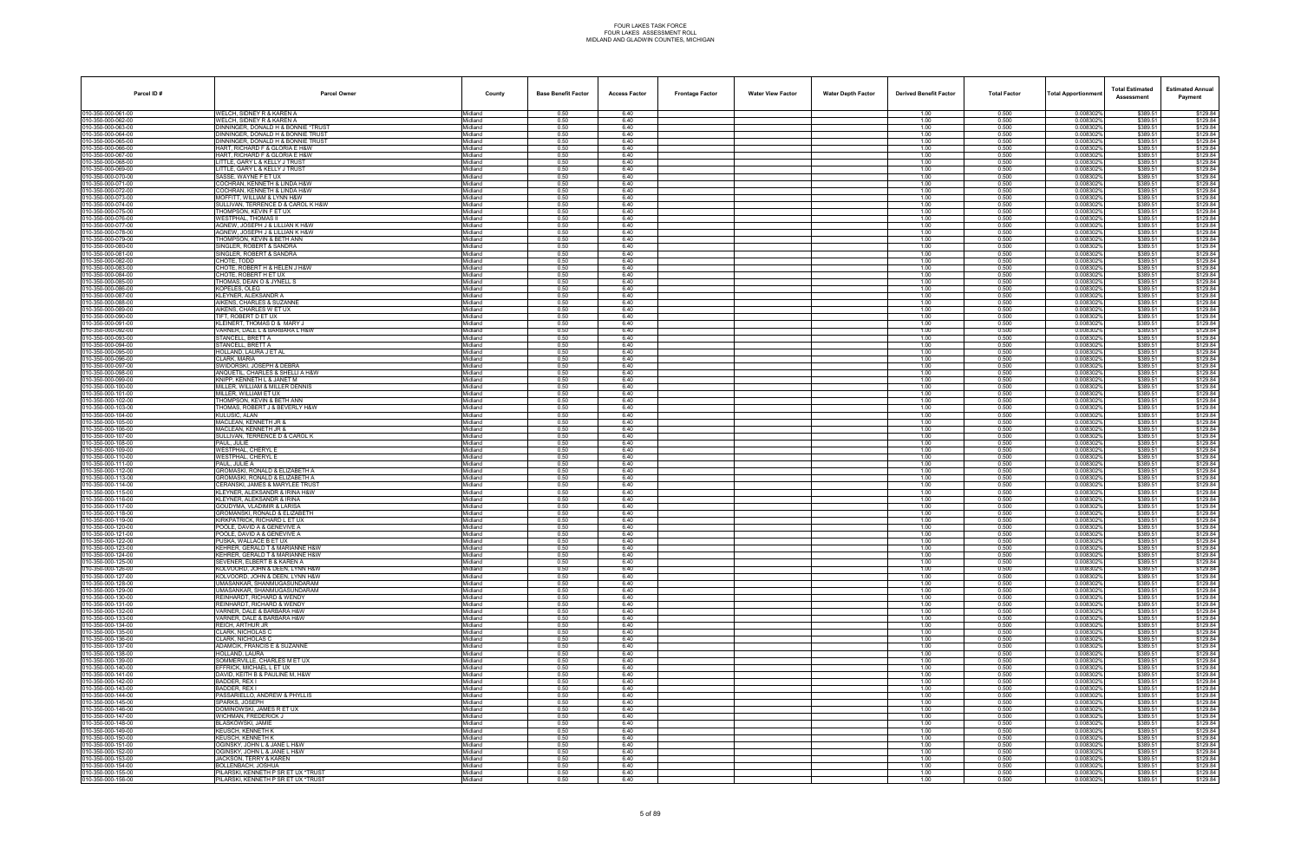| Parcel ID#                               | <b>Parcel Owner</b>                                               | County             | <b>Base Benefit Factor</b> | <b>Access Factor</b> | <b>Frontage Factor</b> | <b>Water View Factor</b> | <b>Water Depth Factor</b> | <b>Derived Benefit Factor</b> | <b>Total Factor</b> | <b>Total Apportionmen</b> | <b>Total Estimated</b><br>Assessment | <b>Estimated Annual</b><br>Payment |
|------------------------------------------|-------------------------------------------------------------------|--------------------|----------------------------|----------------------|------------------------|--------------------------|---------------------------|-------------------------------|---------------------|---------------------------|--------------------------------------|------------------------------------|
| 010-350-000-061-00                       | WELCH, SIDNEY R & KAREN A                                         | Midland            | 0.50                       | 6.40                 |                        |                          |                           | 1.00                          | 0.500               | 0.008302%                 | \$389.51                             | \$129.84                           |
| 10-350-000-062-00<br>10-350-000-063-00   | WELCH, SIDNEY R & KAREN A<br>DINNINGER, DONALD H & BONNIE *TRUST  | Midland<br>Midland | 0.50<br>0.50               | 6.40<br>6.40         |                        |                          |                           | 1.00<br>1.00                  | 0.500<br>0.500      | 0.0083029<br>0.008302     | \$389.51<br>\$389.51                 | \$129.84<br>\$129.84               |
| 10-350-000-064-00                        | <b>DINNINGER, DONALD H &amp; BONNIE TRUST</b>                     | Midland            | 0.50                       | 6.40                 |                        |                          |                           | 1.00                          | 0.500               | 0.008302%                 | \$389.51                             | \$129.84                           |
| 10-350-000-065-00                        | <b>JINNINGER, DONALD H &amp; BONNIE TRUST</b>                     | Midland            | 0.50                       | 6.40                 |                        |                          |                           | 1.00                          | 0.500               | 0.0083029                 | \$389.51                             | \$129.84                           |
| 10-350-000-066-00<br>10-350-000-067-00   | HART, RICHARD F & GLORIA E H&W<br>HART, RICHARD F & GLORIA E H&W  | Midland<br>Midland | 0.50<br>0.50               | 6.40<br>6.40         |                        |                          |                           | 1.00<br>1.00                  | 0.500<br>0.500      | 0.008302%<br>0.008302     | \$389.51<br>\$389.51                 | \$129.84                           |
| 10-350-000-068-00                        | LITTLE, GARY L & KELLY J TRUST                                    | Midland            | 0.50                       | 6.40                 |                        |                          |                           | 1.00                          | 0.500               | 0.008302                  | \$389.51                             | \$129.84<br>\$129.84               |
| 10-350-000-069-00                        | LITTLE, GARY L & KELLY J TRUST                                    | Midland            | 0.50                       | 6.40                 |                        |                          |                           | 1.00                          | 0.500               | 0.008302%                 | \$389.51                             | \$129.84                           |
| 10-350-000-070-00                        | SASSE, WAYNE F ET UX                                              | Midland            | 0.50                       | 6.40                 |                        |                          |                           | 1.00                          | 0.500               | 0.0083029                 | \$389.51                             | \$129.84                           |
| 10-350-000-071-00<br>10-350-000-072-00   | COCHRAN, KENNETH & LINDA H&W<br>COCHRAN, KENNETH & LINDA H&W      | Midland<br>Midland | 0.50<br>0.50               | 6.40<br>6.40         |                        |                          |                           | 1.00<br>1.00                  | 0.500<br>0.500      | 0.0083029<br>0.0083029    | \$389.51<br>\$389.51                 | \$129.84<br>\$129.84               |
| 10-350-000-073-00                        | MOFFITT, WILLIAM & LYNN H&W                                       | Midland            | 0.50                       | 6.40                 |                        |                          |                           | 1.00                          | 0.500               | 0.008302                  | \$389.51                             | \$129.84                           |
| 10-350-000-074-00                        | SULLIVAN, TERRENCE D & CAROL K H&W                                | Midland            | 0.50                       | 6.40                 |                        |                          |                           | 1.00                          | 0.500               | 0.008302%                 | \$389.51                             | \$129.84                           |
| 10-350-000-075-00<br>10-350-000-076-00   | <b>THOMPSON, KEVIN F ET UX</b><br><b>WESTPHAL, THOMAS II</b>      | Midland<br>Midland | 0.50<br>0.50               | 6.40<br>6.40         |                        |                          |                           | 1.00<br>1.00                  | 0.500<br>0.500      | 0.008302%<br>0.0083029    | \$389.51<br>\$389.51                 | \$129.84<br>\$129.84               |
| 10-350-000-077-00                        | AGNEW, JOSEPH J & LILLIAN K H&W                                   | Midland            | 0.50                       | 6.40                 |                        |                          |                           | 1.00                          | 0.500               | 0.0083029                 | \$389.51                             | \$129.84                           |
| 10-350-000-078-00                        | AGNEW, JOSEPH J & LILLIAN K H&W                                   | Viidland           | 0.50                       | 6.40                 |                        |                          |                           | 1.00                          | 0.500               | 0.008302                  | \$389.51                             | \$129.84                           |
| 10-350-000-079-00                        | THOMPSON, KEVIN & BETH ANN                                        | Midland            | 0.50                       | 6.40<br>6.40         |                        |                          |                           | 1.00                          | 0.500               | 0.008302%                 | \$389.51                             | \$129.84                           |
| 10-350-000-080-00<br>10-350-000-081-00   | SINGLER, ROBERT & SANDRA<br>SINGLER, ROBERT & SANDRA              | Midland<br>Midland | 0.50<br>0.50               | 6.40                 |                        |                          |                           | 1.00<br>1.00                  | 0.500<br>0.500      | 0.008302%<br>0.0083029    | \$389.51<br>\$389.51                 | \$129.84<br>\$129.84               |
| 10-350-000-082-00                        | CHOTE, TODD                                                       | Midland            | 0.50                       | 6.40                 |                        |                          |                           | 1.00                          | 0.500               | 0.0083029                 | \$389.51                             | \$129.84                           |
| 10-350-000-083-00                        | CHOTE, ROBERT H & HELEN J H&W                                     | Midland            | 0.50                       | 6.40                 |                        |                          |                           | 1.00                          | 0.500               | 0.008302                  | \$389.51                             | \$129.84                           |
| 10-350-000-084-00<br>10-350-000-085-00   | CHOTE, ROBERT H ET UX<br>THOMAS, DEAN O & JYNELL S                | Midland<br>Midland | 0.50<br>0.50               | 6.40<br>6.40         |                        |                          |                           | 1.00<br>1.00                  | 0.500<br>0.500      | 0.008302%<br>0.0083029    | \$389.51<br>\$389.51                 | \$129.84<br>\$129.84               |
| 10-350-000-086-00                        | <b>KOPELES, OLEG</b>                                              | Midland            | 0.50                       | 6.40                 |                        |                          |                           | 1.00                          | 0.500               | 0.0083029                 | \$389.51                             | \$129.84                           |
| 10-350-000-087-00                        | <b>KLEYNER, ALEKSANDR A</b>                                       | Midland            | 0.50                       | 6.40                 |                        |                          |                           | 1.00                          | 0.500               | 0.0083029                 | \$389.51                             | \$129.84                           |
| 10-350-000-088-00                        | AIKENS, CHARLES & SUZANNE                                         | Midland            | 0.50                       | 6.40                 |                        |                          |                           | 1.00                          | 0.500               | 0.008302                  | \$389.51                             | \$129.84                           |
| 10-350-000-089-00<br>10-350-000-090-00   | AIKENS, CHARLES W ET UX<br>TIFT. ROBERT D ET UX                   | Midland<br>Midland | 0.50<br>0.50               | 6.40<br>6.40         |                        |                          |                           | 1.00<br>1.00                  | 0.500<br>0.500      | 0.008302%<br>0.008302%    | \$389.51<br>\$389.51                 | \$129.84<br>\$129.84               |
| 10-350-000-091-00                        | KLEINERT. THOMAS D & MARY J                                       | Midland            | 0.50                       | 6.40                 |                        |                          |                           | 1.00                          | 0.500               | 0.008302                  | \$389.51                             | \$129.84                           |
| 10-350-000-092-00                        | VARNER, DALE L & BARBARA L H&W                                    | Midland            | 0.50                       | 6.40                 |                        |                          |                           | 1.00                          | 0.500               | 0.008302%                 | \$389.51                             | \$129.84                           |
| 10-350-000-093-00<br>10-350-000-094-00   | STANCELL, BRETT A<br>STANCELL, BRETT A                            | Midland<br>Midland | 0.50<br>0.50               | 6.40<br>6.40         |                        |                          |                           | 1.00<br>1.00                  | 0.500<br>0.500      | 0.008302<br>0.008302%     | \$389.51<br>\$389.51                 | \$129.84<br>\$129.84               |
| 10-350-000-095-00                        | <b>HOLLAND, LAURA J ET AL</b>                                     | Midland            | 0.50                       | 6.40                 |                        |                          |                           | 1.00                          | 0.500               | 0.0083029                 | \$389.51                             | \$129.84                           |
| 10-350-000-096-00                        | CLARK, MARIA                                                      | Midland            | 0.50                       | 6.40                 |                        |                          |                           | 1.00                          | 0.500               | 0.008302                  | \$389.51                             | \$129.84                           |
| 10-350-000-097-00                        | SWIDORSKI, JOSEPH & DEBRA                                         | Midland            | 0.50<br>0.50               | 6.40<br>6.40         |                        |                          |                           | 1.00                          | 0.500               | 0.008302%                 | \$389.51<br>\$389.51                 | \$129.84                           |
| 10-350-000-098-00<br>10-350-000-099-00   | ANQUETIL, CHARLES & SHELLI A H&W<br>KNIPP, KENNETH L & JANET M    | Midland<br>Midland | 0.50                       | 6.40                 |                        |                          |                           | 1.00<br>1.00                  | 0.500<br>0.500      | 0.008302<br>0.008302%     | \$389.51                             | \$129.84<br>\$129.84               |
| 10-350-000-100-00                        | <b>MILLER, WILLIAM &amp; MILLER DENNIS</b>                        | Midland            | 0.50                       | 6.40                 |                        |                          |                           | 1.00                          | 0.500               | 0.008302%                 | \$389.51                             | \$129.84                           |
| 10-350-000-101-00                        | MILLER, WILLIAM ET UX                                             | Midland            | 0.50                       | 6.40                 |                        |                          |                           | 1.00                          | 0.500               | 0.008302                  | \$389.51                             | \$129.84                           |
| 10-350-000-102-00<br>10-350-000-103-00   | THOMPSON, KEVIN & BETH ANN<br>THOMAS, ROBERT J & BEVERLY H&W      | Midland<br>Midland | 0.50<br>0.50               | 6.40<br>6.40         |                        |                          |                           | 1.00<br>1.00                  | 0.500<br>0.500      | 0.008302%<br>0.0083029    | \$389.51<br>\$389.51                 | \$129.84<br>\$129.84               |
| 10-350-000-104-00                        | KULUSIC. ALAN                                                     | Midland            | 0.50                       | 6.40                 |                        |                          |                           | 1.00                          | 0.500               | 0.008302%                 | \$389.51                             | \$129.84                           |
| 10-350-000-105-00                        | MACLEAN, KENNETH JR &                                             | Midland            | 0.50                       | 6.40                 |                        |                          |                           | 1.00                          | 0.500               | 0.0083029                 | \$389.51                             | \$129.84                           |
| 10-350-000-106-00<br>10-350-000-107-00   | MACLEAN, KENNETH JR &<br>SULLIVAN, TERRENCE D & CAROL K           | Midland<br>Midland | 0.50<br>0.50               | 6.40<br>6.40         |                        |                          |                           | 1.00<br>1.00                  | 0.500<br>0.500      | 0.008302<br>0.008302%     | \$389.51<br>\$389.51                 | \$129.84<br>\$129.84               |
| 10-350-000-108-00                        | PAUL, JULIE                                                       | Midland            | 0.50                       | 6.40                 |                        |                          |                           | 1.00                          | 0.500               | 0.008302                  | \$389.51                             | \$129.84                           |
| 10-350-000-109-00                        | WESTPHAL. CHERYL E                                                | Midland            | 0.50                       | 6.40                 |                        |                          |                           | 1.00                          | 0.500               | 0.008302%                 | \$389.51                             | \$129.84                           |
| 10-350-000-110-00                        | WESTPHAL, CHERYL E                                                | Midland            | 0.50                       | 6.40                 |                        |                          |                           | 1.00                          | 0.500               | 0.0083029                 | \$389.51                             | \$129.84                           |
| 10-350-000-111-00<br>10-350-000-112-00   | PAUL. JULIE A<br>GROMASKI, RONALD & ELIZABETH A                   | Midland<br>Midland | 0.50<br>0.50               | 6.40<br>6.40         |                        |                          |                           | 1.00<br>1.00                  | 0.500<br>0.500      | 0.008302<br>0.008302%     | \$389.51<br>\$389.51                 | \$129.84<br>\$129.84               |
| 10-350-000-113-00                        | GROMASKI, RONALD & ELIZABETH A                                    | Midland            | 0.50                       | 6.40                 |                        |                          |                           | 1.00                          | 0.500               | 0.0083029                 | \$389.51                             | \$129.84                           |
| 10-350-000-114-00                        | CERANSKI, JAMES & MARYLEE TRUST                                   | Midland            | 0.50                       | 6.40                 |                        |                          |                           | 1.00                          | 0.500               | 0.008302%                 | \$389.51                             | \$129.84                           |
| 10-350-000-115-00<br>10-350-000-116-00   | KLEYNER, ALEKSANDR & IRINA H&W<br>KLEYNER, ALEKSANDR & IRINA      | Midland<br>Midland | 0.50<br>0.50               | 6.40<br>6.40         |                        |                          |                           | 1.00<br>1.00                  | 0.500<br>0.500      | 0.0083029<br>0.008302     | \$389.51<br>\$389.51                 | \$129.84<br>\$129.84               |
| 010-350-000-117-00                       | GOUDYMA, VLADIMIR & LARISA                                        | Midland            | 0.50                       | 6.40                 |                        |                          |                           | 1.00                          | 0.500               | 0.008302%                 | \$389.51                             | \$129.84                           |
| 10-350-000-118-00                        | <b>GROMANSKI, RONALD &amp; ELIZABETH</b>                          | Midland            | 0.50                       | 6.40                 |                        |                          |                           | 1.00                          | 0.500               | 0.008302                  | \$389.51                             | \$129.84                           |
| 10-350-000-119-00<br>10-350-000-120-00   | KIRKPATRICK, RICHARD L ET UX<br>POOLE, DAVID A & GENEVIVE A       | Midland<br>Midland | 0.50<br>0.50               | 6.40<br>6.40         |                        |                          |                           | 1.00<br>1.00                  | 0.500<br>0.500      | 0.008302%<br>0.0083029    | \$389.51<br>\$389.51                 | \$129.84<br>\$129.84               |
| 10-350-000-121-00                        | POOLE, DAVID A & GENEVIVE A                                       | Midland            | 0.50                       | 6.40                 |                        |                          |                           | 1.00                          | 0.500               | 0.008302                  | \$389.51                             | \$129.84                           |
| 010-350-000-122-00                       | PUSKA. WALLACE B ET UX                                            | Midland            | 0.50                       | 6.40                 |                        |                          |                           | 1.00                          | 0.500               | 0.008302%                 | \$389.51                             | \$129.84                           |
| 010-350-000-123-00                       | KEHRER, GERALD T & MARIANNE H&W                                   | Midland            | 0.50                       | 6.40                 |                        |                          |                           | 1.00                          | 0.500               | 0.008302%                 | \$389.51                             | \$129.84                           |
| 010-350-000-124-00<br>010-350-000-125-00 | KEHRER. GERALD T & MARIANNE H&W<br>SEVENER, ELBERT B & KAREN A    | Midland<br>Midland | 0.50<br>0.50               | 6.40<br>6.40         |                        |                          |                           | 1.00<br>1.00                  | 0.500<br>0.500      | 0.008302%<br>0.008302%    | \$389.51<br>\$389.51                 | \$129.84<br>\$129.84               |
| 010-350-000-126-00                       | KOLVOORD. JOHN & DEEN. LYNN H&W                                   | Midland            | 0.50                       | 6.40                 |                        |                          |                           | 1.00                          | 0.500               | 0.0083029                 | \$389.51                             | \$129.84                           |
| 010-350-000-127-00                       | KOLVOORD, JOHN & DEEN, LYNN H&W                                   | Midland            | 0.50                       | 6.40                 |                        |                          |                           | 1.00                          | 0.500               | 0.008302%                 | \$389.51                             | \$129.84                           |
| 10-350-000-128-00<br>10-350-000-129-00   | UMASANKAR, SHANMUGASUNDARAM<br><b>JMASANKAR, SHANMUGASUNDARAM</b> | Midland<br>Midland | 0.50<br>0.50               | 6.40<br>6.40         |                        |                          |                           | 1.00<br>1.00                  | 0.500<br>0.500      | 0.0083029<br>0.008302%    | \$389.51<br>\$389.51                 | \$129.84<br>\$129.84               |
| 10-350-000-130-00                        | REINHARDT, RICHARD & WENDY                                        | Midland            | 0.50                       | 6.40                 |                        |                          |                           | 1.00                          | 0.500               | 0.008302%                 | \$389.51                             | \$129.84                           |
| 10-350-000-131-00                        | REINHARDT, RICHARD & WENDY                                        | Midland            | 0.50                       | 6.40                 |                        |                          |                           | 1.00                          | 0.500               | 0.0083029                 | \$389.51                             | \$129.84                           |
| 010-350-000-132-00<br>10-350-000-133-00  | VARNER, DALE & BARBARA H&W<br>VARNER, DALE & BARBARA H&W          | Midland<br>Midland | 0.50<br>0.50               | 6.40<br>6.40         |                        |                          |                           | 1.00<br>1.00                  | 0.500<br>0.500      | 0.008302%<br>0.008302%    | \$389.51<br>\$389.51                 | \$129.84<br>\$129.84               |
| 10-350-000-134-00                        | REICH, ARTHUR JR                                                  | Midland            | 0.50                       | 6.40                 |                        |                          |                           | 1.00                          | 0.500               | 0.008302%                 | \$389.51                             | \$129.84                           |
| 010-350-000-135-00                       | CLARK, NICHOLAS C                                                 | Midland            | 0.50                       | 6.40                 |                        |                          |                           | 1.00                          | 0.500               | 0.008302%                 | \$389.51                             | \$129.84                           |
| 010-350-000-136-00                       | CLARK, NICHOLAS C                                                 | Midland            | 0.50                       | 6.40                 |                        |                          |                           | 1.00                          | 0.500               | 0.0083029                 | \$389.51                             | \$129.84                           |
| 010-350-000-137-00<br>10-350-000-138-00  | ADAMCIK, FRANCIS E & SUZANNE<br>HOLLAND, LAURA                    | Midland<br>Midland | 0.50<br>0.50               | 6.40<br>6.40         |                        |                          |                           | 1.00<br>1.00                  | 0.500<br>0.500      | 0.008302%<br>0.0083029    | \$389.51<br>\$389.51                 | \$129.84<br>\$129.84               |
| 10-350-000-139-00                        | SOMMERVILLE, CHARLES M ET UX                                      | Midland            | 0.50                       | 6.40                 |                        |                          |                           | 1.00                          | 0.500               | 0.008302%                 | \$389.51                             | \$129.84                           |
| 10-350-000-140-00                        | EFFRICK, MICHAEL L ET UX                                          | Midland            | 0.50                       | 6.40                 |                        |                          |                           | 1.00                          | 0.500               | 0.008302%                 | \$389.51                             | \$129.84                           |
| 10-350-000-141-00<br>010-350-000-142-00  | DAVID, KEITH B & PAULINE M, H&W<br>BADDER, REX I                  | Midland<br>Midland | 0.50<br>0.50               | 6.40<br>6.40         |                        |                          |                           | 1.00<br>1.00                  | 0.500<br>0.500      | 0.008302%<br>0.008302%    | \$389.51<br>\$389.51                 | \$129.84<br>\$129.84               |
| 10-350-000-143-00                        | BADDER, REX I                                                     | Midland            | 0.50                       | 6.40                 |                        |                          |                           | 1.00                          | 0.500               | 0.008302%                 | \$389.51                             | \$129.84                           |
| 10-350-000-144-00                        | PASSARIELLO, ANDREW & PHYLLIS                                     | Midland            | 0.50                       | 6.40                 |                        |                          |                           | 1.00                          | 0.500               | 0.008302%                 | \$389.51                             | \$129.84                           |
| 010-350-000-145-00                       | SPARKS, JOSEPH<br>DOMINOWSKI, JAMES R ET UX                       | Midland            | 0.50                       | 6.40                 |                        |                          |                           | 1.00                          | 0.500               | 0.008302%                 | \$389.51                             | \$129.84                           |
| 010-350-000-146-00<br>010-350-000-147-00 | WICHMAN, FREDERICK J                                              | Midland<br>Midland | 0.50<br>0.50               | 6.40<br>6.40         |                        |                          |                           | 1.00<br>1.00                  | 0.500<br>0.500      | 0.008302%<br>0.008302%    | \$389.51<br>\$389.51                 | \$129.84<br>\$129.84               |
| 10-350-000-148-00                        | BLASKOWSKI, JAMIE                                                 | Midland            | 0.50                       | 6.40                 |                        |                          |                           | 1.00                          | 0.500               | 0.008302%                 | \$389.51                             | \$129.84                           |
| 10-350-000-149-00                        | KEUSCH, KENNETH K                                                 | Midland            | 0.50                       | 6.40                 |                        |                          |                           | 1.00                          | 0.500               | 0.0083029                 | \$389.51                             | \$129.84                           |
| 10-350-000-150-00<br>10-350-000-151-00   | KEUSCH, KENNETH K<br>OGINSKY, JOHN L & JANE L H&W                 | Midland<br>Midland | 0.50<br>0.50               | 6.40<br>6.40         |                        |                          |                           | 1.00<br>1.00                  | 0.500<br>0.500      | 0.008302%<br>0.008302%    | \$389.51<br>\$389.51                 | \$129.84<br>\$129.84               |
| 010-350-000-152-00                       | OGINSKY, JOHN L & JANE L H&W                                      | Midland            | 0.50                       | 6.40                 |                        |                          |                           | 1.00                          | 0.500               | 0.008302%                 | \$389.51                             | \$129.84                           |
| 10-350-000-153-00                        | JACKSON, TERRY & KAREN                                            | Midland            | 0.50                       | 6.40                 |                        |                          |                           | 1.00                          | 0.500               | 0.008302%                 | \$389.51                             | \$129.84                           |
| 10-350-000-154-00<br>010-350-000-155-00  | <b>BOLLENBACH, JOSHUA</b><br>PILARSKI, KENNETH P SR ET UX *TRUST  | Midland<br>Midland | 0.50<br>0.50               | 6.40<br>6.40         |                        |                          |                           | 1.00<br>1.00                  | 0.500<br>0.500      | 0.0083029<br>0.008302%    | \$389.51<br>\$389.51                 | \$129.84<br>\$129.84               |
| 010-350-000-156-00                       | PILARSKI, KENNETH P SR ET UX *TRUST                               | Midland            | 0.50                       | 6.40                 |                        |                          |                           | 1.00                          | 0.500               | 0.008302%                 | \$389.51                             | \$129.84                           |
|                                          |                                                                   |                    |                            |                      |                        |                          |                           |                               |                     |                           |                                      |                                    |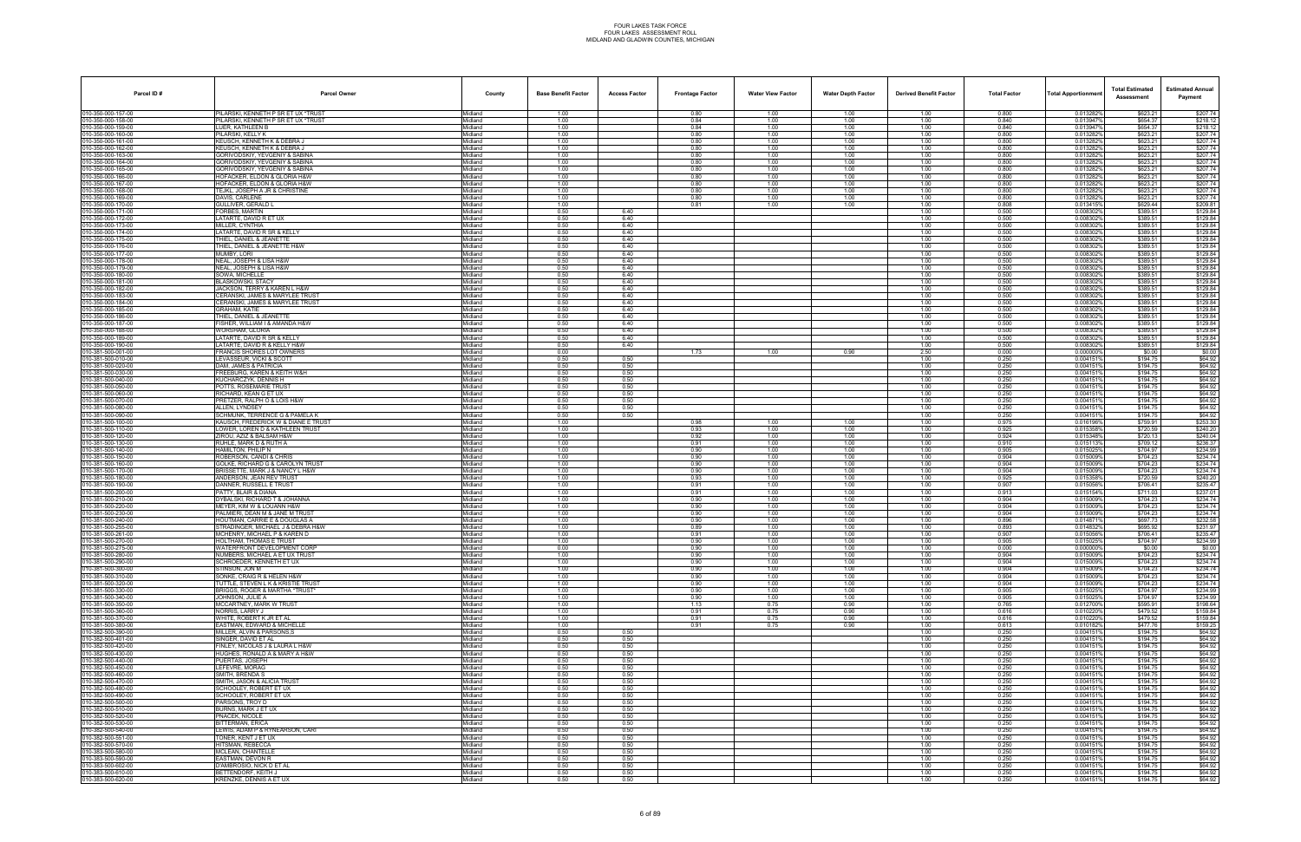| Parcel ID#                               | <b>Parcel Owner</b>                                                      | County              | <b>Base Benefit Factor</b> | <b>Access Factor</b> | <b>Frontage Factor</b> | <b>Water View Factor</b> | <b>Water Depth Factor</b> | <b>Derived Benefit Factor</b> | <b>Total Factor</b> | <b>Total Apportionmen</b> | <b>Total Estimated</b><br>Assessment | <b>Estimated Annual</b><br>Payment |
|------------------------------------------|--------------------------------------------------------------------------|---------------------|----------------------------|----------------------|------------------------|--------------------------|---------------------------|-------------------------------|---------------------|---------------------------|--------------------------------------|------------------------------------|
| 010-350-000-157-00                       | PILARSKI. KENNETH P SR ET UX *TRUST                                      | Midland             | 1.00                       |                      | 0.80                   | 1.00                     | 1.00                      | 1.00                          | 0.800               | 0.013282%                 | \$623.21                             | \$207.74                           |
| 010-350-000-158-00<br>10-350-000-159-00  | PILARSKI, KENNETH P SR ET UX *TRUST                                      | Midland             | 1.00                       |                      | 0.84                   | 1.00                     | 1.00                      | 1.00                          | 0.840<br>0.840      | 0.0139479                 | \$654.37                             | \$218.12<br>\$218.12               |
| 10-350-000-160-00                        | LUER, KATHLEEN B<br><b>ILARSKI, KELLY K</b>                              | Midland<br>Midland  | 1.00<br>1.00               |                      | 0.84<br>0.80           | 1.00<br>1.00             | 1.00<br>1.00              | 1.00<br>1.00                  | 0.800               | 0.0139479<br>0.013282%    | \$654.37<br>\$623.21                 | \$207.74                           |
| 10-350-000-161-00                        | KEUSCH, KENNETH K & DEBRA J                                              | Midland             | 1.00                       |                      | 0.80                   | 1.00                     | 1.00                      | 1.00                          | 0.800               | 0.013282%                 | \$623.21                             | \$207.74                           |
| 10-350-000-162-00                        | KEUSCH, KENNETH K & DEBRA J                                              | Midland             | 1.00                       |                      | 0.80                   | 1.00                     | 1.00                      | 1.00                          | 0.800               | 0.013282%                 | \$623.21                             | \$207.74                           |
| 10-350-000-163-00<br>10-350-000-164-00   | GORIVODSKIY, YEVGENIY & SABINA<br>GORIVODSKIY, YEVGENIY & SABINA         | Midland<br>Midland  | 1.00<br>1.00               |                      | 0.80<br>0.80           | 1.00<br>1.00             | 1.00<br>1.00              | 1.00<br>1.00                  | 0.800<br>0.800      | 0.0132829<br>0.0132829    | \$623.21<br>\$623.21                 | \$207.74<br>\$207.74               |
| 10-350-000-165-00                        | <b>GORIVODSKIY, YEVGENIY &amp; SABINA</b>                                | Midland             | 1.00                       |                      | 0.80                   | 1.00                     | 1.00                      | 1.00                          | 0.800               | 0.013282%                 | \$623.21                             | \$207.74                           |
| 10-350-000-166-00                        | HOFACKER, ELDON & GLORIA H&W                                             | Midland             | 1.00                       |                      | 0.80                   | 1.00                     | 1.00                      | 1.00                          | 0.800               | 0.013282%                 | \$623.21                             | \$207.74                           |
| 10-350-000-167-00<br>10-350-000-168-00   | HOFACKER, ELDON & GLORIA H&W<br>TEJKL, JOSEPH A JR & CHRISTINE           | Midland<br>Midland  | 1.00<br>1.00               |                      | 0.80<br>0.80           | 1.00<br>1.00             | 1.00<br>1.00              | 1.00<br>1.00                  | 0.800<br>0.800      | 0.013282%<br>0.013282%    | \$623.21<br>\$623.21                 | \$207.74<br>\$207.74               |
| 10-350-000-169-00                        | DAVIS, CARLENE                                                           | Midland             | 1.00                       |                      | 0.80                   | 1.00                     | 1.00                      | 1.00                          | 0.800               | 0.0132829                 | \$623.21                             | \$207.74                           |
| 10-350-000-170-00                        | <b>GULLIVER, GERALD L</b>                                                | Midland             | 1.00                       |                      | 0.81                   | 1.00                     | 1.00                      | 1.00                          | 0.808               | 0.013415%                 | \$629.44                             | \$209.81                           |
| 10-350-000-171-00                        | ORBES, MARTIN                                                            | Midland             | 0.50                       | 6.40                 |                        |                          |                           | 1.00                          | 0.500               | 0.0083029                 | \$389.51                             | \$129.84                           |
| 10-350-000-172-00<br>10-350-000-173-00   | LATARTE, DAVID R ET UX<br>MILLER, CYNTHIA                                | Midland<br>Midland  | 0.50<br>0.50               | 6.40<br>6.40         |                        |                          |                           | 1.00<br>1.00                  | 0.500<br>0.500      | 0.0083029<br>0.0083029    | \$389.51<br>\$389.51                 | \$129.84<br>\$129.84               |
| 10-350-000-174-00                        | LATARTE, DAVID R SR & KELLY                                              | Midland             | 0.50                       | 6.40                 |                        |                          |                           | 1.00                          | 0.500               | 0.008302                  | \$389.51                             | \$129.84                           |
| 10-350-000-175-00                        | THIEL. DANIEL & JEANETTE                                                 | Midland             | 0.50                       | 6.40                 |                        |                          |                           | 1.00                          | 0.500               | 0.008302%                 | \$389.51                             | \$129.84                           |
| 10-350-000-176-00<br>10-350-000-177-00   | THIEL, DANIEL & JEANETTE H&W<br>MUMBY. LORI                              | Midland<br>Midland  | 0.50<br>0.50               | 6.40<br>6.40         |                        |                          |                           | 1.00<br>1.00                  | 0.500<br>0.500      | 0.0083029<br>0.008302     | \$389.51<br>\$389.51                 | \$129.84<br>\$129.84               |
| 10-350-000-178-00                        | NEAL, JOSEPH & LISA H&W                                                  | Midland             | 0.50                       | 6.40                 |                        |                          |                           | 1.00                          | 0.500               | 0.0083029                 | \$389.51                             | \$129.84                           |
| 10-350-000-179-00                        | NEAL, JOSEPH & LISA H&W                                                  | Midland             | 0.50                       | 6.40                 |                        |                          |                           | 1.00                          | 0.500               | 0.008302                  | \$389.51                             | \$129.84                           |
| 10-350-000-180-00<br>10-350-000-181-00   | SOWA. MICHELLE<br><b>BLASKOWSKI, STACY</b>                               | Midland<br>Midland  | 0.50<br>0.50               | 6.40<br>6.40         |                        |                          |                           | 1.00<br>1.00                  | 0.500<br>0.500      | 0.008302%<br>0.008302%    | \$389.51<br>\$389.51                 | \$129.84<br>\$129.84               |
| 10-350-000-182-00                        | JACKSON, TERRY & KAREN L H&W                                             | Midland             | 0.50                       | 6.40                 |                        |                          |                           | 1.00                          | 0.500               | 0.0083029                 | \$389.51                             | \$129.84                           |
| 10-350-000-183-00                        | CERANSKI, JAMES & MARYLEE TRUST                                          | Midland             | 0.50                       | 6.40                 |                        |                          |                           | 1.00                          | 0.500               | 0.0083029                 | \$389.51                             | \$129.84                           |
| 10-350-000-184-00                        | CERANSKI, JAMES & MARYLEE TRUST                                          | Viidland            | 0.50                       | 6.40                 |                        |                          |                           | 1.00                          | 0.500               | 0.008302                  | \$389.51                             | \$129.84                           |
| 10-350-000-185-00<br>10-350-000-186-00   | <b>GRAHAM, KATIE</b><br>THIEL, DANIEL & JEANETTE                         | Midland<br>Midland  | 0.50<br>0.50               | 6.40<br>6.40         |                        |                          |                           | 1.00<br>1.00                  | 0.500<br>0.500      | 0.008302%<br>0.008302%    | \$389.51<br>\$389.51                 | \$129.84<br>\$129.84               |
| 10-350-000-187-00                        | FISHER, WILLIAM I & AMANDA H&W                                           | Midland             | 0.50                       | 6.40                 |                        |                          |                           | 1.00                          | 0.500               | 0.008302                  | \$389.51                             | \$129.84                           |
| 10-350-000-188-00                        | WORSHAM, GLORIA                                                          | Midland             | 0.50                       | 6.40                 |                        |                          |                           | 1.00                          | 0.500               | 0.008302%                 | \$389.51                             | \$129.84                           |
| 10-350-000-189-00<br>10-350-000-190-00   | ATARTE, DAVID R SR & KELLY<br><b>ATARTE, DAVID R &amp; KELLY H&amp;W</b> | Midland             | 0.50<br>0.50               | 6.40<br>6.40         |                        |                          |                           | 1.00<br>1.00                  | 0.500<br>0.500      | 0.008302<br>0.008302%     | \$389.51<br>\$389.51                 | \$129.84<br>\$129.84               |
| 10-381-500-001-00                        | <b>FRANCIS SHORES LOT OWNERS</b>                                         | Midland<br>Midland  | 0.00                       |                      | 1.73                   | 1.00                     | 0.90                      | 2.50                          | 0.000               | 0.000000%                 | \$0.00                               | \$0.00                             |
| 10-381-500-010-00                        | LEVASSEUR, VICKI & SCOTT                                                 | Midland             | 0.50                       | 0.50                 |                        |                          |                           | 1.00                          | 0.250               | 0.004151                  | \$194.75                             | \$64.92                            |
| 10-381-500-020-00                        | DAM, JAMES & PATRICIA                                                    | Midland             | 0.50                       | 0.50                 |                        |                          |                           | 1.00                          | 0.250               | 0.0041519                 | \$194.75                             | \$64.92                            |
| 10-381-500-030-00<br>10-381-500-040-00   | FREEBURG, KAREN & KEITH W&H<br>KUCHARCZYK. DENNIS H                      | Viidland<br>Midland | 0.50<br>0.50               | 0.50<br>0.50         |                        |                          |                           | 1.00<br>1.00                  | 0.250<br>0.250      | 0.004151<br>0.0041519     | \$194.75<br>\$194.75                 | \$64.92<br>\$64.92                 |
| 10-381-500-050-00                        | <b>POTTS, ROSEMARIE TRUST</b>                                            | Midland             | 0.50                       | 0.50                 |                        |                          |                           | 1.00                          | 0.250               | 0.0041519                 | \$194.75                             | \$64.92                            |
| 10-381-500-060-00                        | RICHARD, KEAN G ET UX                                                    | Midland             | 0.50                       | 0.50                 |                        |                          |                           | 1.00                          | 0.250               | 0.004151                  | \$194.75                             | \$64.92                            |
| 010-381-500-070-00<br>10-381-500-080-00  | PRETZER, RALPH O & LOIS H&W<br>ALLEN, LYNDSEY                            | Midland             | 0.50<br>0.50               | 0.50<br>0.50         |                        |                          |                           | 1.00<br>1.00                  | 0.250<br>0.250      | 0.0041519<br>0.0041519    | \$194.75<br>\$194.75                 | \$64.92<br>\$64.92                 |
| 10-381-500-090-00                        | SCHMUNK, TERRENCE G & PAMELA K                                           | Midland<br>Midland  | 0.50                       | 0.50                 |                        |                          |                           | 1.00                          | 0.250               | 0.0041519                 | \$194.75                             | \$64.92                            |
| 10-381-500-100-00                        | KAUSCH, FREDERICK W & DIANE E TRUST                                      | Midland             | 1.00                       |                      | 0.98                   | 1.00                     | 1.00                      | 1.00                          | 0.975               | 0.016196%                 | \$759.91                             | \$253.30                           |
| 10-381-500-110-00                        | LOWER, LOREN D & KATHLEEN TRUST                                          | Midland             | 1.00                       |                      | 0.93                   | 1.00                     | 1.00                      | 1.00                          | 0.925               | 0.0153589                 | \$720.59                             | \$240.20                           |
| 010-381-500-120-00<br>10-381-500-130-00  | ZIROU, AZIZ & BALSAM H&W<br>RUHLE, MARK D & RUTH A                       | Midland<br>Midland  | 1.00<br>1.00               |                      | 0.92<br>0.91           | 1.00<br>1.00             | 1.00<br>1.00              | 1.00<br>1.00                  | 0.924<br>0.910      | 0.015348%<br>0.015113     | \$720.13<br>\$709.12                 | \$240.04<br>\$236.37               |
| 10-381-500-140-00                        | HAMILTON. PHILIP N                                                       | Midland             | 1.00                       |                      | 0.90                   | 1.00                     | 1.00                      | 1.00                          | 0.905               | 0.015025%                 | \$704.97                             | \$234.99                           |
| 010-381-500-150-00                       | ROBERSON, CANDI & CHRIS                                                  | Midland             | 1.00                       |                      | 0.90                   | 1.00                     | 1.00                      | 1.00                          | 0.904               | 0.015009%                 | \$704.23                             | \$234.74                           |
| 10-381-500-160-00<br>010-381-500-170-00  | GOLKE, RICHARD G & CAROLYN TRUST<br>BRISSETTE, MARK J & NANCY L H&W      | Midland<br>Midland  | 1.00<br>1.00               |                      | 0.90<br>0.90           | 1.00<br>1.00             | 1.00<br>1.00              | 1.00<br>1.00                  | 0.904<br>0.904      | 0.0150099<br>0.015009%    | \$704.23<br>\$704.23                 | \$234.74<br>\$234.74               |
| 10-381-500-180-00                        | ANDERSON, JEAN REV TRUST                                                 | Midland             | 1.00                       |                      | 0.93                   | 1.00                     | 1.00                      | 1.00                          | 0.925               | 0.015358%                 | \$720.59                             | \$240.20                           |
| 10-381-500-190-00                        | DANNER, RUSSELL E TRUST                                                  | Midland             | 1.00                       |                      | 0.91                   | 1.00                     | 1.00                      | 1.00                          | 0.907               | 0.015056%                 | \$706.41                             | \$235.47                           |
| 10-381-500-200-00                        | PATTY, BLAIR & DIANA<br><b>DYBALSKI, RICHARD T &amp; JOHANNA</b>         | Midland             | 1.00                       |                      | 0.91                   | 1.00                     | 1.00                      | 1.00                          | 0.913               | 0.015154%                 | \$711.03                             | \$237.01                           |
| 10-381-500-210-00<br>010-381-500-220-00  | MEYER, KIM W & LOUANN H&W                                                | Midland<br>Midland  | 1.00<br>1.00               |                      | 0.90<br>0.90           | 1.00<br>1.00             | 1.00<br>1.00              | 1.00<br>1.00                  | 0.904<br>0.904      | 0.0150099<br>0.015009%    | \$704.23<br>\$704.23                 | \$234.74<br>\$234.74               |
| 10-381-500-230-00                        | PALMIERI. DEAN M & JANE M TRUST                                          | Midland             | 1.00                       |                      | 0.90                   | 1.00                     | 1.00                      | 1.00                          | 0.904               | 0.015009%                 | \$704.23                             | \$234.74                           |
| 10-381-500-240-00                        | HOUTMAN, CARRIE E & DOUGLAS A                                            | Midland             | 1.00                       |                      | 0.90                   | 1.00                     | 1.00                      | 1.00                          | 0.896               | 0.0148719                 | \$697.73                             | \$232.58                           |
| 10-381-500-255-00<br>10-381-500-261-00   | STRADINGER. MICHAEL J & DEBRA H&W<br>MCHENRY, MICHAEL P & KAREN D        | Midland<br>Midland  | 1.00<br>1.00               |                      | 0.89<br>0.91           | 1.00<br>1.00             | 1.00<br>1.00              | 1.00<br>1.00                  | 0.893<br>0.907      | 0.0148329<br>0.0150569    | \$695.92<br>\$706.41                 | \$231.97<br>\$235.47               |
| 010-381-500-270-00                       | HOLTHAM, THOMAS E TRUST                                                  | Midland             | 1.00                       |                      | 0.90                   | 1.00                     | 1.00                      | 1.00                          | 0.905               | 0.015025%                 | \$704.97                             | \$234.99                           |
| 010-381-500-275-00                       | WATERFRONT DEVELOPMENT CORP                                              | Midland             | 0.00                       |                      | 0.90                   | 1.00                     | 1.00                      | 1.00                          | 0.000               | 0.000000%                 | \$0.00                               | \$0.00                             |
| 010-381-500-280-00<br>010-381-500-290-00 | NUMBERS, MICHAEL A ET UX TRUST<br>SCHROEDER, KENNETH ET UX               | Midland<br>Midland  | 1.00<br>1.00               |                      | 0.90<br>0.90           | 1.00<br>1.00             | 1.00<br>1.00              | 1.00<br>1.00                  | 0.904<br>0.904      | 0.015009%<br>0.015009%    | \$704.23<br>\$704.23                 | \$234.74<br>\$234.74               |
| 010-381-500-300-00                       | STINSON, JON M                                                           | Midland             | 1.00                       |                      | 0.90                   | 1.00                     | 1.00                      | 1.00                          | 0.904               | 0.015009%                 | \$704.23                             | \$234.74                           |
| 010-381-500-310-00                       | SONKE, CRAIG R & HELEN H&W                                               | Midland             | 1.00                       |                      | 0.90                   | 1.00                     | 1.00                      | 1.00                          | 0.904               | 0.015009%                 | \$704.23                             | \$234.74                           |
| 010-381-500-320-00                       | TUTTLE, STEVEN L K & KRISTIE TRUST                                       | Midland             | 1.00                       |                      | 0.90                   | 1.00                     | 1.00                      | 1.00                          | 0.904               | 0.015009%                 | \$704.23                             | \$234.74                           |
| 10-381-500-330-00<br>010-381-500-340-00  | <b>BRIGGS, ROGER &amp; MARTHA *TRUST*</b><br>Johnson, Julie A            | Midland<br>Midland  | 1.00<br>1.00               |                      | 0.90<br>0.90           | 1.00<br>1.00             | 1.00<br>1.00              | 1.00<br>1.00                  | 0.905<br>0.905      | 0.015025%<br>0.015025%    | \$704.97<br>\$704.97                 | \$234.99<br>\$234.99               |
| 10-381-500-350-00                        | MCCARTNEY, MARK W TRUST                                                  | Midland             | 1.00                       |                      | 1.13                   | 0.75                     | 0.90                      | 1.00                          | 0.765               | 0.012700%                 | \$595.91                             | \$198.64                           |
| 010-381-500-360-00                       | NORRIS, LARRY J                                                          | Midland             | 1.00                       |                      | 0.91                   | 0.75                     | 0.90                      | 1.00                          | 0.616               | 0.010220%                 | \$479.52                             | \$159.84                           |
| 010-381-500-370-00<br>010-381-500-380-00 | WHITE, ROBERT K JR ET AL<br>EASTMAN, EDWARD & MICHELLE                   | Midland<br>Midland  | 1.00<br>1.00               |                      | 0.91<br>0.91           | 0.75<br>0.75             | 0.90<br>0.90              | 1.00<br>1.00                  | 0.616<br>0.613      | 0.010220%<br>0.010182%    | \$479.52<br>\$477.76                 | \$159.84<br>\$159.25               |
| 010-382-500-390-00                       | MILLER, ALVIN & PARSONS,S                                                | Midland             | 0.50                       | 0.50                 |                        |                          |                           | 1.00                          | 0.250               | 0.0041519                 | \$194.75                             | \$64.92                            |
| 010-382-500-401-00                       | SINGER, DAVID ET AL                                                      | Midland             | 0.50                       | 0.50                 |                        |                          |                           | 1.00                          | 0.250               | 0.0041519                 | \$194.75                             | \$64.92                            |
| 010-382-500-420-00<br>10-382-500-430-00  | FINLEY, NICOLAS J & LAURA L H&W<br>HUGHES, RONALD A & MARY A H&W         | Midland<br>Midland  | 0.50<br>0.50               | 0.50<br>0.50         |                        |                          |                           | 1.00<br>1.00                  | 0.250<br>0.250      | 0.0041519<br>0.0041519    | \$194.75<br>\$194.75                 | \$64.92<br>\$64.92                 |
| 10-382-500-440-00                        | PUERTAS, JOSEPH                                                          | Midland             | 0.50                       | 0.50                 |                        |                          |                           | 1.00                          | 0.250               | 0.004151%                 | \$194.75                             | \$64.92                            |
| 10-382-500-450-00                        | LEFEVRE, MORAG                                                           | Midland             | 0.50                       | 0.50                 |                        |                          |                           | 1.00                          | 0.250               | 0.0041519                 | \$194.75                             | \$64.92                            |
| 10-382-500-460-00                        | SMITH, BRENDA S                                                          | Midland             | 0.50                       | 0.50                 |                        |                          |                           | 1.00                          | 0.250               | 0.004151%                 | \$194.75                             | \$64.92                            |
| 010-382-500-470-00<br>010-382-500-480-00 | SMITH, JASON & ALICIA TRUST<br>SCHOOLEY, ROBERT ET UX                    | Midland<br>Midland  | 0.50<br>0.50               | 0.50<br>0.50         |                        |                          |                           | 1.00<br>1.00                  | 0.250<br>0.250      | 0.004151%<br>0.004151%    | \$194.75<br>\$194.75                 | \$64.92<br>\$64.92                 |
| 10-382-500-490-00                        | SCHOOLEY, ROBERT ET UX                                                   | Midland             | 0.50                       | 0.50                 |                        |                          |                           | 1.00                          | 0.250               | 0.004151%                 | \$194.75                             | \$64.92                            |
| 010-382-500-500-00                       | PARSONS, TROY D                                                          | Midland             | 0.50                       | 0.50                 |                        |                          |                           | 1.00                          | 0.250               | 0.0041519                 | \$194.75                             | \$64.92                            |
| 010-382-500-510-00<br>010-382-500-520-00 | BURNS, MARK J ET UX<br>PNACEK, NICOLE                                    | Midland<br>Midland  | 0.50<br>0.50               | 0.50<br>0.50         |                        |                          |                           | 1.00<br>1.00                  | 0.250<br>0.250      | 0.004151%<br>0.0041519    | \$194.75<br>\$194.75                 | \$64.92<br>\$64.92                 |
| 10-382-500-530-00                        | BITTERMAN, ERICA                                                         | Midland             | 0.50                       | 0.50                 |                        |                          |                           | 1.00                          | 0.250               | 0.0041519                 | \$194.75                             | \$64.92                            |
| 10-382-500-540-00                        | LEWIS, ADAM P & RYNEARSON, CARI                                          | Midland             | 0.50                       | 0.50                 |                        |                          |                           | 1.00                          | 0.250               | 0.0041519                 | \$194.75                             | \$64.92                            |
| 10-382-500-551-00                        | TONER, KENT J ET UX                                                      | Midland             | 0.50                       | 0.50                 |                        |                          |                           | 1.00                          | 0.250               | 0.0041519                 | \$194.75                             | \$64.92                            |
| 10-382-500-570-00<br>010-383-500-580-00  | HITSMAN, REBECCA<br>MCLEAN, CHANTELLE                                    | Midland<br>Midland  | 0.50<br>0.50               | 0.50<br>0.50         |                        |                          |                           | 1.00<br>1.00                  | 0.250<br>0.250      | 0.004151%<br>0.0041519    | \$194.75<br>\$194.75                 | \$64.92<br>\$64.92                 |
| 10-383-500-590-00                        | EASTMAN, DEVON R                                                         | Midland             | 0.50                       | 0.50                 |                        |                          |                           | 1.00                          | 0.250               | 0.004151%                 | \$194.75                             | \$64.92                            |
| 10-383-500-602-00                        | <b>J'AMBROSIO, NICK D ET AL</b>                                          | Midland             | 0.50                       | 0.50                 |                        |                          |                           | 1.00                          | 0.250               | 0.004151%                 | \$194.75                             | \$64.92                            |
| 010-383-500-610-00<br>010-383-500-620-00 | BETTENDORF, KEITH J<br>KRENZKE, DENNIS A ET UX                           | Midland<br>Midland  | 0.50<br>0.50               | 0.50<br>0.50         |                        |                          |                           | 1.00<br>1.00                  | 0.250<br>0.250      | 0.0041519<br>0.004151%    | \$194.75<br>\$194.75                 | \$64.92<br>\$64.92                 |
|                                          |                                                                          |                     |                            |                      |                        |                          |                           |                               |                     |                           |                                      |                                    |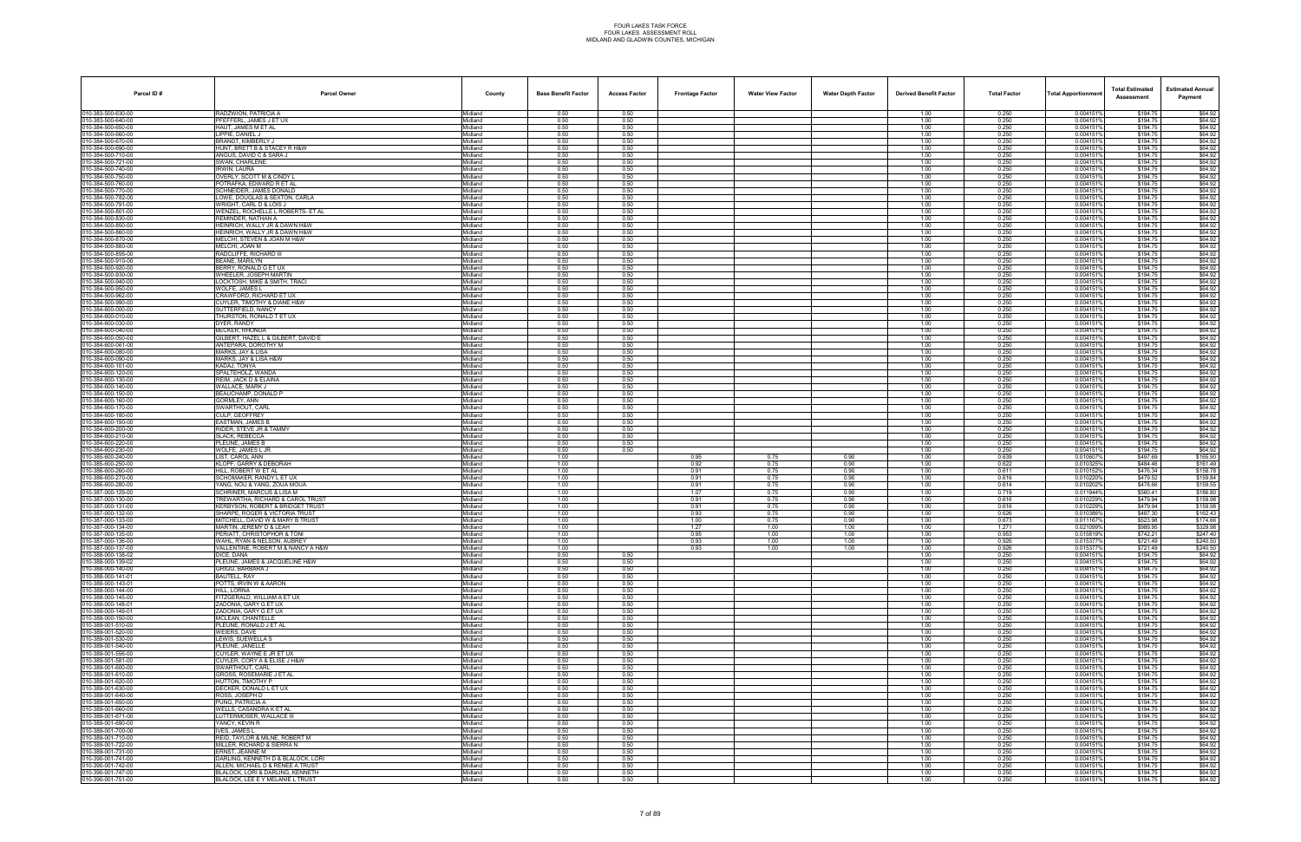| Parcel ID#                               | <b>Parcel Owner</b>                                                | County             | <b>Base Benefit Factor</b> | <b>Access Factor</b> | <b>Frontage Factor</b> | <b>Water View Factor</b> | <b>Water Depth Factor</b> | <b>Derived Benefit Factor</b> | <b>Total Factor</b> | <b>Total Apportionmen</b> | <b>Total Estimated</b><br>Assessment | <b>Estimated Annual</b><br>Payment |
|------------------------------------------|--------------------------------------------------------------------|--------------------|----------------------------|----------------------|------------------------|--------------------------|---------------------------|-------------------------------|---------------------|---------------------------|--------------------------------------|------------------------------------|
| 010-383-500-630-00                       | RADZWION, PATRICIA A                                               | Midland            | 0.50                       | 0.50                 |                        |                          |                           | 1.00                          | 0.250               | 0.004151%                 | \$194.75                             | \$64.92                            |
| 010-383-500-640-00                       | PFEFFERL, JAMES J ET UX                                            | Midland            | 0.50                       | 0.50                 |                        |                          |                           | 1.00                          | 0.250               | 0.004151                  | \$194.75                             | \$64.92                            |
| 010-384-500-650-00<br>010-384-500-660-00 | HAUT, JAMES M ET AL<br><b>IPPIE, DANIEL J</b>                      | Midland<br>Midland | 0.50<br>0.50               | 0.50<br>0.50         |                        |                          |                           | 1.00<br>1.00                  | 0.250<br>0.250      | 0.004151<br>0.0041519     | \$194.75<br>\$194.75                 | \$64.92<br>\$64.92                 |
| 010-384-500-670-00                       | BRANDT, KIMBERLY J                                                 | Midland            | 0.50                       | 0.50                 |                        |                          |                           | 1.00                          | 0.250               | 0.0041519                 | \$194.75                             | \$64.92                            |
| 010-384-500-690-00                       | HUNT, BRETT B & STACEY R H&W                                       | Midland            | 0.50                       | 0.50                 |                        |                          |                           | 1.00                          | 0.250               | 0.0041519                 | \$194.75                             | \$64.92                            |
| 010-384-500-710-00                       | ANGUS, DAVID C & SARA J                                            | Midland            | 0.50                       | 0.50                 |                        |                          |                           | 1.00                          | 0.250               | 0.004151                  | \$194.75                             | \$64.92                            |
| 010-384-500-721-00                       | SWAN, CHARLENE                                                     | Midland            | 0.50                       | 0.50                 |                        |                          |                           | 1.00                          | 0.250               | 0.004151                  | \$194.75                             | \$64.92                            |
| 010-384-500-740-00<br>010-384-500-750-00 | IRWIN. LAURA<br>OVERLY, SCOTT M & CINDY L                          | Midland<br>Midland | 0.50<br>0.50               | 0.50<br>0.50         |                        |                          |                           | 1.00<br>1.00                  | 0.250<br>0.250      | 0.0041519<br>0.0041519    | \$194.75<br>\$194.75                 | \$64.92<br>\$64.92                 |
| 010-384-500-760-00                       | POTRAFKA, EDWARD R ET AL                                           | Midland            | 0.50                       | 0.50                 |                        |                          |                           | 1.00                          | 0.250               | 0.0041519                 | \$194.75                             | \$64.92                            |
| 010-384-500-770-00                       | SCHNEIDER, JAMES DONALD                                            | Midland            | 0.50                       | 0.50                 |                        |                          |                           | 1.00                          | 0.250               | 0.0041519                 | \$194.75                             | \$64.92                            |
| 010-384-500-782-00                       | LOWE, DOUGLAS & SEXTON, CARLA                                      | Midland            | 0.50                       | 0.50                 |                        |                          |                           | 1.00                          | 0.250               | 0.004151                  | \$194.75                             | \$64.92                            |
| 010-384-500-791-00<br>010-384-500-801-00 | WRIGHT. CARL D & LOIS J                                            | Midland<br>Midland | 0.50<br>0.50               | 0.50                 |                        |                          |                           | 1.00<br>1.00                  | 0.250               | 0.0041519<br>0.0041519    | \$194.75<br>\$194.75                 | \$64.92<br>\$64.92                 |
| 010-384-500-830-00                       | WENZEL, ROCHELLE L ROBERTS- ET AL<br>REMINDER, NATHAN A            | Midland            | 0.50                       | 0.50<br>0.50         |                        |                          |                           | 1.00                          | 0.250<br>0.250      | 0.0041519                 | \$194.75                             | \$64.92                            |
| 010-384-500-850-00                       | HEINRICH, WALLY JR & DAWN H&W                                      | Midland            | 0.50                       | 0.50                 |                        |                          |                           | 1.00                          | 0.250               | 0.0041519                 | \$194.75                             | \$64.92                            |
| 010-384-500-860-00                       | HEINRICH, WALLY JR & DAWN H&W                                      | Midland            | 0.50                       | 0.50                 |                        |                          |                           | 1.00                          | 0.250               | 0.004151                  | \$194.75                             | \$64.92                            |
| 010-384-500-870-00<br>010-384-500-880-00 | MELCHI. STEVEN & JOAN M H&W<br>MELCHI. JOAN M                      | Midland            | 0.50                       | 0.50                 |                        |                          |                           | 1.00                          | 0.250               | 0.0041519<br>0.0041519    | \$194.75<br>\$194.75                 | \$64.92                            |
| 010-384-500-895-00                       | RADCLIFFE, RICHARD III                                             | Midland<br>Midland | 0.50<br>0.50               | 0.50<br>0.50         |                        |                          |                           | 1.00<br>1.00                  | 0.250<br>0.250      | 0.0041519                 | \$194.75                             | \$64.92<br>\$64.92                 |
| 010-384-500-910-00                       | BEANE, MARILYN                                                     | Midland            | 0.50                       | 0.50                 |                        |                          |                           | 1.00                          | 0.250               | 0.0041519                 | \$194.75                             | \$64.92                            |
| 010-384-500-920-00                       | BERRY, RONALD G ET UX                                              | Midland            | 0.50                       | 0.50                 |                        |                          |                           | 1.00                          | 0.250               | 0.004151'                 | \$194.75                             | \$64.92                            |
| 010-384-500-930-00                       | WHEELER, JOSEPH MARTIN                                             | Midland            | 0.50                       | 0.50                 |                        |                          |                           | 1.00                          | 0.250               | 0.0041519                 | \$194.75                             | \$64.92                            |
| 010-384-500-940-00<br>010-384-500-950-00 | LOCKTOSH, MIKE & SMITH, TRACI<br><b>WOLFE, JAMES L</b>             | Midland<br>Midland | 0.50<br>0.50               | 0.50<br>0.50         |                        |                          |                           | 1.00<br>1.00                  | 0.250<br>0.250      | 0.0041519<br>0.0041519    | \$194.75<br>\$194.75                 | \$64.92<br>\$64.92                 |
| 010-384-500-962-00                       | CRAWFORD, RICHARD ET UX                                            | Midland            | 0.50                       | 0.50                 |                        |                          |                           | 1.00                          | 0.250               | 0.0041519                 | \$194.75                             | \$64.92                            |
| 00-384-500-990-00                        | CUYLER, TIMOTHY & DIANE H&W                                        | Midland            | 0.50                       | 0.50                 |                        |                          |                           | 1.00                          | 0.250               | 0.004151                  | \$194.75                             | \$64.92                            |
| 010-384-600-000-00                       | SUTTERFIELD, NANCY                                                 | Midland            | 0.50                       | 0.50                 |                        |                          |                           | 1.00                          | 0.250               | 0.0041519                 | \$194.75                             | \$64.92                            |
| 010-384-600-010-00                       | THURSTON, RONALD T ET UX                                           | Midland            | 0.50                       | 0.50                 |                        |                          |                           | 1.00                          | 0.250               | 0.0041519                 | \$194.75                             | \$64.92                            |
| 010-384-600-030-00<br>010-384-600-040-00 | DYER, RANDY<br><b>BECKER, RHONDA</b>                               | Midland<br>Midland | 0.50<br>0.50               | 0.50<br>0.50         |                        |                          |                           | 1.00<br>1.00                  | 0.250<br>0.250      | 0.004151<br>0.0041519     | \$194.75<br>\$194.75                 | \$64.92<br>\$64.92                 |
| 010-384-600-050-00                       | GILBERT, HAZEL L & GILBERT, DAVID E                                | Midland            | 0.50                       | 0.50                 |                        |                          |                           | 1.00                          | 0.250               | 0.0041519                 | \$194.75                             | \$64.92                            |
| 010-384-600-061-00                       | ANTEPARA, DOROTHY M                                                | Midland            | 0.50                       | 0.50                 |                        |                          |                           | 1.00                          | 0.250               | 0.004151%                 | \$194.75                             | \$64.92                            |
| 010-384-600-080-00                       | MARKS. JAY & LISA                                                  | Midland            | 0.50                       | 0.50                 |                        |                          |                           | 1.00                          | 0.250               | 0.004151%                 | \$194.75                             | \$64.92                            |
| 010-384-600-090-00                       | MARKS, JAY & LISA H&W                                              | Midland            | 0.50                       | 0.50                 |                        |                          |                           | 1.00                          | 0.250               | 0.004151                  | \$194.75                             | \$64.92                            |
| 010-384-600-101-00<br>010-384-600-120-00 | KADAJ. TONYA<br>SPALTEHOLZ, WANDA                                  | Midland<br>Midland | 0.50<br>0.50               | 0.50<br>0.50         |                        |                          |                           | 1.00<br>1.00                  | 0.250<br>0.250      | 0.0041519<br>0.004151     | \$194.75<br>\$194.75                 | \$64.92<br>\$64.92                 |
| 010-384-600-130-00                       | REIM. JACK D & ELAINA                                              | Midland            | 0.50                       | 0.50                 |                        |                          |                           | 1.00                          | 0.250               | 0.0041519                 | \$194.75                             | \$64.92                            |
| 010-384-600-140-00                       | WALLACE. MARK J                                                    | Midland            | 0.50                       | 0.50                 |                        |                          |                           | 1.00                          | 0.250               | 0.0041519                 | \$194.75                             | \$64.92                            |
| 010-384-600-150-00                       | BEAUCHAMP, DONALD P                                                | Midland            | 0.50                       | 0.50                 |                        |                          |                           | 1.00                          | 0.250               | 0.004151                  | \$194.75                             | \$64.92                            |
| 010-384-600-160-00<br>010-384-600-170-00 | GORMLEY, ANN<br>SWARTHOUT, CARL                                    | Midland<br>Midland | 0.50<br>0.50               | 0.50<br>0.50         |                        |                          |                           | 1.00<br>1.00                  | 0.250<br>0.250      | 0.0041519<br>0.0041519    | \$194.75<br>\$194.75                 | \$64.92<br>\$64.92                 |
| 010-384-600-180-00                       | CULP. GEOFFREY                                                     | Midland            | 0.50                       | 0.50                 |                        |                          |                           | 1.00                          | 0.250               | 0.004151%                 | \$194.75                             | \$64.92                            |
| 010-384-600-190-00                       | <b>EASTMAN, JAMES B</b>                                            | Midland            | 0.50                       | 0.50                 |                        |                          |                           | 1.00                          | 0.250               | 0.0041519                 | \$194.75                             | \$64.92                            |
| 010-384-600-200-00                       | RIDER, STEVE JR & TAMMY                                            | Midland            | 0.50                       | 0.50                 |                        |                          |                           | 1.00                          | 0.250               | 0.004151                  | \$194.75                             | \$64.92                            |
| 010-384-600-210-00                       | <b>SLACK, REBECCA</b>                                              | Midland            | 0.50                       | 0.50                 |                        |                          |                           | 1.00                          | 0.250               | 0.0041519<br>0.0041519    | \$194.75                             | \$64.92                            |
| 010-384-600-220-00<br>010-384-600-230-00 | PLEUNE, JAMES B<br>WOLFE. JAMES L JR                               | Midland<br>Midland | 0.50<br>0.50               | 0.50<br>0.50         |                        |                          |                           | 1.00<br>1.00                  | 0.250<br>0.250      | 0.004151%                 | \$194.75<br>\$194.75                 | \$64.92<br>\$64.92                 |
| 010-385-600-240-00                       | LIST. CAROL ANN                                                    | Midland            | 1.00                       |                      | 0.95                   | 0.75                     | 0.90                      | 1.00                          | 0.639               | 0.0106079                 | \$497.69                             | \$165.90                           |
| 010-385-600-250-00                       | KLOPF, GARRY & DEBORAH                                             | Midland            | 1.00                       |                      | 0.92                   | 0.75                     | 0.90                      | 1.00                          | 0.622               | 0.010325                  | \$484.46                             | \$161.49                           |
| 010-386-600-260-00                       | HILL. ROBERT W ET AL                                               | Midland            | 1.00                       |                      | 0.91                   | 0.75                     | 0.90                      | 1.00                          | 0.611               | 0.010152%                 | \$476.34                             | \$158.78                           |
| 010-386-600-270-00<br>010-386-600-280-00 | SCHOMAKER, RANDY L ET UX<br>YANG, NOU & YANG, ZOUA MOUA            | Midland<br>Midland | 1.00<br>1.00               |                      | 0.91<br>0.91           | 0.75<br>0.75             | 0.90<br>0.90              | 1.00<br>1.00                  | 0.616<br>0.614      | 0.0102209<br>0.010202%    | \$479.52<br>\$478.66                 | \$159.84<br>\$159.55               |
| 010-387-000-129-00                       | SCHRINER, MARCUS & LISA M                                          | Midland            | 1.00                       |                      | 1.07                   | 0.75                     | 0.90                      | 1.00                          | 0.719               | 0.011944%                 | \$560.41                             | \$186.80                           |
| 010-387-000-130-00                       | TREWARTHA, RICHARD & CAROL TRUST                                   | Midland            | 1.00                       |                      | 0.91                   | 0.75                     | 0.90                      | 1.00                          | 0.616               | 0.0102299                 | \$479.94                             | \$159.98                           |
| 010-387-000-131-00                       | KERBYSON, ROBERT & BRIDGET TRUST                                   | Midland            | 1.00                       |                      | 0.91                   | 0.75                     | 0.90                      | 1.00                          | 0.616               | 0.010229%                 | \$479.94                             | \$159.98                           |
| 010-387-000-132-00<br>010-387-000-133-00 | SHARPE, ROGER & VICTORIA TRUST<br>MITCHELL, DAVID W & MARY B TRUST | Midland<br>Midland | 1.00<br>1.00               |                      | 0.93<br>1.00           | 0.75<br>0.75             | 0.90<br>0.90              | 1.00<br>1.00                  | 0.626<br>0.673      | 0.0103869<br>0.011167%    | \$487.30<br>\$523.98                 | \$162.43<br>\$174.66               |
| 010-387-000-134-00                       | MARTIN, JEREMY D & LEAH                                            | Midland            | 1.00                       |                      | 1.27                   | 1.00                     | 1.00                      | 1.00                          | 1.271               | 0.021099%                 | \$989.95                             | \$329.98                           |
| 010-387-000-135-00                       | PERIATT, CHRISTOPHOR & TON                                         | Midland            | 1.00                       |                      | 0.95                   | 1.00                     | 1.00                      | 1.00                          | 0.953               | 0.0158199                 | \$742.21                             | \$247.40                           |
| 010-387-000-136-00                       | WAHL, RYAN & NELSON, AUBREY                                        | Midland            | 1.00                       |                      | 0.93                   | 1.00                     | 1.00                      | 1.00                          | 0.926               | 0.0153779                 | \$721.49                             | \$240.50                           |
| 010-387-000-137-00                       | VALLENTINE, ROBERT M & NANCY A H&W                                 | Midland            | 1.00                       |                      | 0.93                   | 1.00                     | 1.00                      | 1.00                          | 0.926               | 0.0153779                 | \$721.49                             | \$240.50                           |
| 010-388-000-138-02<br>010-388-000-139-02 | DICE. DANA<br>PLEUNE, JAMES & JACQUELINE H&W                       | Midland<br>Midland | 0.50<br>0.50               | 0.50<br>0.50         |                        |                          |                           | 1.00<br>1.00                  | 0.250<br>0.250      | 0.004151%<br>0.0041519    | \$194.75<br>\$194.75                 | \$64.92<br>\$64.92                 |
| 010-388-000-140-00                       | GRIGG. BARBARA J                                                   | Midland            | 0.50                       | 0.50                 |                        |                          |                           | 1.00                          | 0.250               | 0.0041519                 | \$194.75                             | \$64.92                            |
| 010-388-000-141-01                       | BAUTELL, RAY                                                       | Midland            | 0.50                       | 0.50                 |                        |                          |                           | 1.00                          | 0.250               | 0.0041519                 | \$194.75                             | \$64.92                            |
| 010-388-000-143-01                       | POTTS, IRVIN W & AARON                                             | Midland            | 0.50                       | 0.50                 |                        |                          |                           | 1.00                          | 0.250               | 0.0041519                 | \$194.75                             | \$64.92                            |
| 010-388-000-144-00<br>010-388-000-145-00 | HILL. LORNA<br>FITZGERALD, WILLIAM A ET UX                         | Midland<br>Midland | 0.50<br>0.50               | 0.50<br>0.50         |                        |                          |                           | 1.00<br>1.00                  | 0.250<br>0.250      | 0.004151%<br>0.0041519    | \$194.75<br>\$194.75                 | \$64.92<br>\$64.92                 |
| 010-388-000-148-01                       | ZADONIA, GARY G ET UX                                              | Midland            | 0.50                       | 0.50                 |                        |                          |                           | 1.00                          | 0.250               | 0.0041519                 | \$194.75                             | \$64.92                            |
| 010-388-000-149-01                       | ZADONIA, GARY G ET UX                                              | Midland            | 0.50                       | 0.50                 |                        |                          |                           | 1.00                          | 0.250               | 0.0041519                 | \$194.75                             | \$64.92                            |
| 010-388-000-150-00                       | MCLEAN, CHANTELLE                                                  | Midland            | 0.50                       | 0.50                 |                        |                          |                           | 1.00                          | 0.250               | 0.0041519                 | \$194.75                             | \$64.92                            |
| 010-389-001-510-00<br>010-389-001-520-00 | PLEUNE, RONALD J ET AL<br><b>WEIERS, DAVE</b>                      | Midland<br>Midland | 0.50<br>0.50               | 0.50<br>0.50         |                        |                          |                           | 1.00<br>1.00                  | 0.250<br>0.250      | 0.004151%<br>0.0041519    | \$194.75<br>\$194.75                 | \$64.92<br>\$64.92                 |
| 010-389-001-530-00                       | LEWIS, SUEWELLA S                                                  | Midland            | 0.50                       | 0.50                 |                        |                          |                           | 1.00                          | 0.250               | 0.0041519                 | \$194.75                             | \$64.92                            |
| 010-389-001-540-00                       | PLEUNE, JANELLE                                                    | Midland            | 0.50                       | 0.50                 |                        |                          |                           | 1.00                          | 0.250               | 0.0041519                 | \$194.75                             | \$64.92                            |
| 010-389-001-556-00                       | CUYLER, WAYNE E JR ET UX                                           | Midland            | 0.50                       | 0.50                 |                        |                          |                           | 1.00                          | 0.250               | 0.0041519                 | \$194.75                             | \$64.92                            |
| 010-389-001-581-00                       | CUYLER, CORY A & ELISE J H&W                                       | Midland            | 0.50                       | 0.50                 |                        |                          |                           | 1.00                          | 0.250               | 0.004151%                 | \$194.75                             | \$64.92                            |
| 010-389-001-600-00<br>010-389-001-610-00 | SWARTHOUT, CARL<br>GROSS, ROSEMARIE J ET AL                        | Midland<br>Midland | 0.50<br>0.50               | 0.50<br>0.50         |                        |                          |                           | 1.00<br>1.00                  | 0.250<br>0.250      | 0.0041519<br>0.004151%    | \$194.75<br>\$194.75                 | \$64.92<br>\$64.92                 |
| 010-389-001-620-00                       | HUTTON, TIMOTHY P                                                  | Midland            | 0.50                       | 0.50                 |                        |                          |                           | 1.00                          | 0.250               | 0.0041519                 | \$194.75                             | \$64.92                            |
| 010-389-001-630-00                       | DECKER, DONALD L ET UX                                             | Midland            | 0.50                       | 0.50                 |                        |                          |                           | 1.00                          | 0.250               | 0.0041519                 | \$194.75                             | \$64.92                            |
| 010-389-001-640-00                       | ROSS, JOSEPH D                                                     | Midland            | 0.50                       | 0.50                 |                        |                          |                           | 1.00                          | 0.250               | 0.004151%                 | \$194.75                             | \$64.92                            |
| 010-389-001-650-00<br>010-389-001-660-00 | PUNG, PATRICIA A<br>WELLS, CASANDRA K ET AL                        | Midland<br>Midland | 0.50<br>0.50               | 0.50<br>0.50         |                        |                          |                           | 1.00<br>1.00                  | 0.250<br>0.250      | 0.0041519<br>0.0041519    | \$194.75<br>\$194.75                 | \$64.92<br>\$64.92                 |
| 010-389-001-671-00                       | LUTTERMOSER, WALLACE III                                           | Midland            | 0.50                       | 0.50                 |                        |                          |                           | 1.00                          | 0.250               | 0.0041519                 | \$194.75                             | \$64.92                            |
| 010-389-001-690-00                       | YANCY, KEVIN R                                                     | Midland            | 0.50                       | 0.50                 |                        |                          |                           | 1.00                          | 0.250               | 0.0041519                 | \$194.75                             | \$64.92                            |
| 010-389-001-700-00                       | <b>IVES. JAMES L</b>                                               | Midland            | 0.50                       | 0.50                 |                        |                          |                           | 1.00                          | 0.250               | 0.0041519                 | \$194.75                             | \$64.92                            |
| 010-389-001-710-00                       | REID, TAYLOR & MILNE, ROBERT M                                     | Midland            | 0.50                       | 0.50                 |                        |                          |                           | 1.00                          | 0.250               | 0.0041519                 | \$194.75                             | \$64.92                            |
| 010-389-001-722-00<br>010-389-001-731-00 | MILLER, RICHARD & SIERRA N<br>ERNST. JEANNE M                      | Midland<br>Midland | 0.50<br>0.50               | 0.50<br>0.50         |                        |                          |                           | 1.00<br>1.00                  | 0.250<br>0.250      | 0.004151%<br>0.0041519    | \$194.75<br>\$194.75                 | \$64.92<br>\$64.92                 |
| 010-390-001-741-00                       | DARLING, KENNETH D & BLALOCK, LORI                                 | Midland            | 0.50                       | 0.50                 |                        |                          |                           | 1.00                          | 0.250               | 0.0041519                 | \$194.75                             | \$64.92                            |
| 010-390-001-742-00                       | ALLEN, MICHAEL D & RENEE A TRUST                                   | Midland            | 0.50                       | 0.50                 |                        |                          |                           | 1.00                          | 0.250               | 0.004151%                 | \$194.75                             | \$64.92                            |
| 010-390-001-747-00                       | BLALOCK, LORI & DARLING, KENNETH                                   | Midland            | 0.50                       | 0.50                 |                        |                          |                           | 1.00                          | 0.250               | 0.0041519                 | \$194.75                             | \$64.92                            |
| 010-390-001-751-00                       | BLALOCK, LEE E Y MELANIE L TRUST                                   | Midland            | 0.50                       | 0.50                 |                        |                          |                           | 1.00                          | 0.250               | 0.004151%                 | \$194.75                             | \$64.92                            |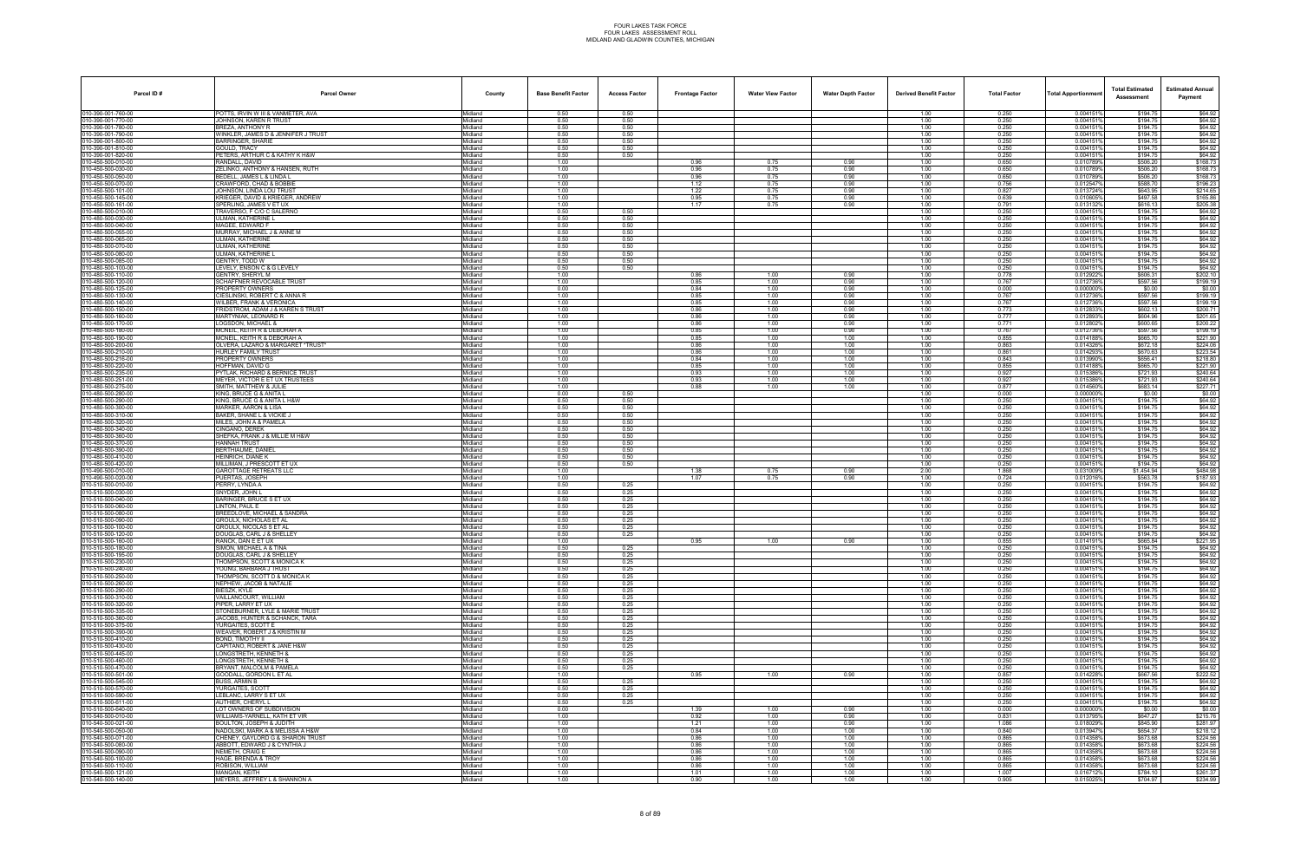| Parcel ID#                               | <b>Parcel Owner</b>                                              | County             | <b>Base Benefit Factor</b> | <b>Access Factor</b> | <b>Frontage Factor</b> | <b>Water View Factor</b> | <b>Water Depth Factor</b> | <b>Derived Benefit Factor</b> | <b>Total Factor</b> | Total Apportionmen     | <b>Total Estimated</b><br>Assessment | <b>Estimated Annual</b><br>Payment |
|------------------------------------------|------------------------------------------------------------------|--------------------|----------------------------|----------------------|------------------------|--------------------------|---------------------------|-------------------------------|---------------------|------------------------|--------------------------------------|------------------------------------|
| 010-390-001-760-00                       | POTTS. IRVIN W III & VANMETER. AVA                               | Midland            | 0.50                       | 0.50                 |                        |                          |                           | 1.00                          | 0.250               | 0.004151%              | \$194.75                             | \$64.92                            |
| 010-390-001-770-00                       | JOHNSON, KAREN R TRUST                                           | Midland            | 0.50                       | 0.50                 |                        |                          |                           | 1.00                          | 0.250               | 0.004151%              | \$194.75                             | \$64.92                            |
| 10-390-001-780-00<br>10-390-001-790-00   | REZA. ANTHONY R<br>WINKLER, JAMES D & JENNIFER J TRUST           | Midland<br>Midland | 0.50<br>0.50               | 0.50<br>0.50         |                        |                          |                           | 1.00<br>1.00                  | 0.250<br>0.250      | 0.004151%<br>0.004151% | \$194.75<br>\$194.75                 | \$64.92<br>\$64.92                 |
| 10-390-001-800-00                        | <b>BARRINGER, SHARIE</b>                                         | Midland            | 0.50                       | 0.50                 |                        |                          |                           | 1.00                          | 0.250               | 0.004151%              | \$194.75                             | \$64.92                            |
| 10-390-001-810-00                        | GOULD, TRACY                                                     | Midland            | 0.50                       | 0.50                 |                        |                          |                           | 1.00                          | 0.250               | 0.004151%              | \$194.75                             | \$64.92                            |
| 10-390-001-820-00<br>10-450-500-010-00   | PETERS, ARTHUR C & KATHY K H&W<br>RANDALL, DAVID                 | Midland<br>Midland | 0.50<br>1.00               | 0.50                 | 0.96                   | 0.75                     | 0.90                      | 1.00<br>1.00                  | 0.250<br>0.650      | 0.004151%<br>0.0107899 | \$194.75<br>\$506.20                 | \$64.92<br>\$168.73                |
| 10-450-500-030-00                        | ZELINKO, ANTHONY & HANSEN, RUTH                                  | Midland            | 1.00                       |                      | 0.96                   | 0.75                     | 0.90                      | 1.00                          | 0.650               | 0.010789%              | \$506.20                             | \$168.73                           |
| 10-450-500-050-00                        | BEDELL, JAMES L & LINDA L                                        | Midland            | 1.00                       |                      | 0.96                   | 0.75                     | 0.90                      | 1.00                          | 0.650               | 0.010789%              | \$506.20                             | \$168.73                           |
| 10-450-500-070-00                        | CRAWFORD, CHAD & BOBBIE                                          | Midland            | 1.00<br>1.00               |                      | 1.12<br>1.22           | 0.75<br>0.75             | 0.90<br>0.90              | 1.00<br>1.00                  | 0.756<br>0.827      | 0.012547%<br>0.013724% | \$588.70<br>\$643.95                 | \$196.23<br>\$214.65               |
| 10-450-500-101-00<br>10-450-500-145-00   | JOHNSON, LINDA LOU TRUST<br>(RIEGER, DAVID & KRIEGER, ANDREW     | Midland<br>Midland | 1.00                       |                      | 0.95                   | 0.75                     | 0.90                      | 1.00                          | 0.639               | 0.010605%              | \$497.58                             | \$165.86                           |
| 10-450-500-161-00                        | SPERLING, JAMES V ET UX                                          | Midland            | 1.00                       |                      | 1.17                   | 0.75                     | 0.90                      | 1.00                          | 0.791               | 0.013132%              | \$616.13                             | \$205.38                           |
| 10-480-500-010-00                        | TRAVERSO, F C/O C SALERNO                                        | Midland            | 0.50                       | 0.50                 |                        |                          |                           | 1.00                          | 0.250               | 0.004151%              | \$194.75                             | \$64.92                            |
| 10-480-500-030-00<br>10-480-500-040-00   | JLMAN, KATHERINE L<br>MAGEE, EDWARD F                            | Midland<br>Midland | 0.50<br>0.50               | 0.50<br>0.50         |                        |                          |                           | 1.00<br>1.00                  | 0.250<br>0.250      | 0.004151%<br>0.004151% | \$194.75<br>\$194.75                 | \$64.92<br>\$64.92                 |
| 10-480-500-055-00                        | MURRAY, MICHAEL J & ANNE M                                       | Midland            | 0.50                       | 0.50                 |                        |                          |                           | 1.00                          | 0.250               | 0.0041519              | \$194.75                             | \$64.92                            |
| 10-480-500-065-00                        | <b>JLMAN, KATHERINE</b>                                          | Midland            | 0.50                       | 0.50                 |                        |                          |                           | 1.00                          | 0.250               | 0.004151%              | \$194.75                             | \$64.92                            |
| 10-480-500-070-00<br>0-480-500-080-00    | ULMAN. KATHERINE<br><b>JLMAN, KATHERINE L</b>                    | Midland<br>Midland | 0.50<br>0.50               | 0.50<br>0.50         |                        |                          |                           | 1.00<br>1.00                  | 0.250<br>0.250      | 0.0041519<br>0.004151% | \$194.75<br>\$194.75                 | \$64.92<br>\$64.92                 |
| 10-480-500-085-00                        | GENTRY, TODD W                                                   | Midland            | 0.50                       | 0.50                 |                        |                          |                           | 1.00                          | 0.250               | 0.004151%              | \$194.75                             | \$64.92                            |
| 10-480-500-100-00                        | EVELY, ENSON C & G LEVELY                                        | Midland            | 0.50                       | 0.50                 |                        |                          |                           | 1.00                          | 0.250               | 0.0041519              | \$194.75                             | \$64.92                            |
| 10-480-500-110-00                        | GENTRY, SHERYL M                                                 | Midland            | 1.00                       |                      | 0.86                   | 1.00                     | 0.90                      | 1.00                          | 0.778               | 0.012922%              | \$606.31                             | \$202.10                           |
| 10-480-500-120-00<br>10-480-500-125-00   | SCHAFFNER REVOCABLE TRUST<br><b>PROPERTY OWNERS</b>              | Midland<br>Midland | 1.00<br>0.00               |                      | 0.85<br>0.84           | 1.00<br>1.00             | 0.90<br>0.90              | 1.00<br>1.00                  | 0.767<br>0.000      | 0.0127369<br>0.000000% | \$597.56<br>\$0.00                   | \$199.19<br>\$0.00                 |
| 10-480-500-130-00                        | CIESLINSKI, ROBERT C & ANNA R                                    | Midland            | 1.00                       |                      | 0.85                   | 1.00                     | 0.90                      | 1.00                          | 0.767               | 0.012736%              | \$597.56                             | \$199.19                           |
| 10-480-500-140-00                        | VILBER, FRANK & VERONICA                                         | Midland            | 1.00                       |                      | 0.85                   | 1.00                     | 0.90                      | 1.00                          | 0.767               | 0.0127369              | \$597.56                             | \$199.19                           |
| 10-480-500-150-00                        | FRIDSTROM, ADAM J & KAREN S TRUST                                | Midland            | 1.00                       |                      | 0.86                   | 1.00                     | 0.90                      | 1.00                          | 0.773               | 0.012833%              | \$602.13                             | \$200.71                           |
| 10-480-500-160-00<br>10-480-500-170-00   | MARTYNIAK, LEONARD R<br>LOGSDON, MICHAEL &                       | Midland<br>Midland | 1.00<br>1.00               |                      | 0.86<br>0.86           | 1.00<br>1.00             | 0.90<br>0.90              | 1.00<br>1.00                  | 0.777<br>0.771      | 0.012893%<br>0.012802% | \$604.96<br>\$600.65                 | \$201.65<br>\$200.22               |
| 10-480-500-180-00                        | MCNEIL, KEITH R & DEBORAH A                                      | Midland            | 1.00                       |                      | 0.85                   | 1.00                     | 0.90                      | 1.00                          | 0.767               | 0.012736%              | \$597.56                             | \$199.19                           |
| 10-480-500-190-00                        | MCNEIL, KEITH R & DEBORAH A                                      | Midland            | 1.00                       |                      | 0.85                   | 1.00                     | 1.00                      | 1.00                          | 0.855               | 0.014188%              | \$665.70                             | \$221.90                           |
| 10-480-500-200-00<br>10-480-500-210-00   | OLVERA, LAZARO & MARGARET *TRUST*<br>HURLEY FAMILY TRUST         | Midland<br>Midland | 1.00<br>1.00               |                      | 0.86<br>0.86           | 1.00<br>1.00             | 1.00<br>1.00              | 1.00<br>1.00                  | 0.863<br>0.861      | 0.014326%<br>0.014293% | \$672.18<br>\$670.63                 | \$224.06<br>\$223.54               |
| 10-480-500-216-00                        | PROPERTY OWNERS                                                  | Midland            | 1.00                       |                      | 0.84                   | 1.00                     | 1.00                      | 1.00                          | 0.843               | 0.013990%              | \$656.41                             | \$218.80                           |
| 10-480-500-220-00                        | HOFFMAN, DAVID G                                                 | Midland            | 1.00                       |                      | 0.85                   | 1.00                     | 1.00                      | 1.00                          | 0.855               | 0.014188%              | \$665.70                             | \$221.90                           |
| 0-480-500-235-00                         | YTLAK, RICHARD & BERNICE TRUST<br>MEYER, VICTOR E ET UX TRUSTEES | Midland            | 1.00                       |                      | 0.93                   | 1.00                     | 1.00                      | 1.00                          | 0.927<br>0.927      | 0.0153869<br>0.015386% | \$721.93                             | \$240.64<br>\$240.64               |
| 10-480-500-251-00<br>10-480-500-275-00   | SMITH, MATTHEW & JULIE                                           | Midland<br>Midland | 1.00<br>1.00               |                      | 0.93<br>0.88           | 1.00<br>1.00             | 1.00<br>1.00              | 1.00<br>1.00                  | 0.877               | 0.014560%              | \$721.93<br>\$683.14                 | \$227.71                           |
| 10-480-500-280-00                        | KING. BRUCE G & ANITA L                                          | Midland            | 0.00                       | 0.50                 |                        |                          |                           | 1.00                          | 0.000               | 0.000000%              | \$0.00                               | \$0.00                             |
| 10-480-500-290-00                        | KING, BRUCE G & ANITA L H&W                                      | Midland            | 0.50                       | 0.50                 |                        |                          |                           | 1.00                          | 0.250               | 0.004151%              | \$194.75                             | \$64.92                            |
| 10-480-500-300-00<br>10-480-500-310-00   | <b>MARKER, AARON &amp; LISA</b><br>BAKER, SHANE L & VICKIE J     | Midland<br>Midland | 0.50<br>0.50               | 0.50<br>0.50         |                        |                          |                           | 1.00<br>1.00                  | 0.250<br>0.250      | 0.0041519<br>0.004151% | \$194.75<br>\$194.75                 | \$64.92<br>\$64.92                 |
| 10-480-500-320-00                        | MILES, JOHN A & PAMELA                                           | Midland            | 0.50                       | 0.50                 |                        |                          |                           | 1.00                          | 0.250               | 0.0041519              | \$194.75                             | \$64.92                            |
| 10-480-500-340-00                        | CINGANO. DEREK                                                   | Midland            | 0.50                       | 0.50                 |                        |                          |                           | 1.00                          | 0.250               | 0.004151%              | \$194.75                             | \$64.92                            |
| 10-480-500-360-00<br>0-480-500-370-00    | SHEFKA, FRANK J & MILLIE M H&W<br><b>HANNAH TRUST</b>            | Midland            | 0.50<br>0.50               | 0.50<br>0.50         |                        |                          |                           | 1.00<br>1.00                  | 0.250<br>0.250      | 0.0041519<br>0.004151  | \$194.75<br>\$194.75                 | \$64.92<br>\$64.92                 |
| 10-480-500-390-00                        | <b>BERTHIAUME, DANIEL</b>                                        | Midland<br>Midland | 0.50                       | 0.50                 |                        |                          |                           | 1.00                          | 0.250               | 0.004151%              | \$194.75                             | \$64.92                            |
| 10-480-500-410-00                        | HEINRICH, DIANE K                                                | Midland            | 0.50                       | 0.50                 |                        |                          |                           | 1.00                          | 0.250               | 0.0041519              | \$194.75                             | \$64.92                            |
| 10-480-500-420-00                        | MILLIMAN, J PRESCOTT ET UX                                       | Midland            | 0.50                       | 0.50                 |                        |                          |                           | 1.00                          | 0.250               | 0.004151%              | \$194.75                             | \$64.92                            |
| 10-490-500-010-00<br>10-490-500-020-00   | <b>GAROTTAGE RETREATS LLC</b><br>PUERTAS, JOSEPH                 | Midland<br>Midland | 1.00<br>1.00               |                      | 1.38<br>1.07           | 0.75<br>0.75             | 0.90<br>0.90              | 2.00<br>1.00                  | 1.868<br>0.724      | 0.031009%<br>0.0120169 | \$1,454.94<br>\$563.78               | \$484.98<br>\$187.93               |
| 10-510-500-010-00                        | PERRY, LYNDA A                                                   | Midland            | 0.50                       | 0.25                 |                        |                          |                           | 1.00                          | 0.250               | 0.004151%              | \$194.75                             | \$64.92                            |
| 10-510-500-030-00                        | SNYDER, JOHN L                                                   | Midland            | 0.50                       | 0.25                 |                        |                          |                           | 1.00                          | 0.250               | 0.004151%              | \$194.75                             | \$64.92                            |
| 10-510-500-040-00<br>10-510-500-060-00   | BARINGER, BRUCE S ET UX<br>INTON, PAUL E                         | Midland<br>Midland | 0.50<br>0.50               | 0.25<br>0.25         |                        |                          |                           | 1.00<br>1.00                  | 0.250<br>0.250      | 0.004151%<br>0.0041519 | \$194.75<br>\$194.75                 | \$64.92<br>\$64.92                 |
| 10-510-500-080-00                        | REEDLOVE, MICHAEL & SANDRA                                       | Midland            | 0.50                       | 0.25                 |                        |                          |                           | 1.00                          | 0.250               | 0.0041519              | \$194.75                             | \$64.92                            |
| 10-510-500-090-00                        | <b>GROULX, NICHOLAS ET AL</b>                                    | Midland            | 0.50                       | 0.25                 |                        |                          |                           | 1.00                          | 0.250               | 0.004151%              | \$194.75                             | \$64.92                            |
| 10-510-500-100-00                        | GROULX, NICOLAS S ET AL                                          | Midland            | 0.50                       | 0.25                 |                        |                          |                           | 1.00                          | 0.250               | 0.0041519              | \$194.75                             | \$64.92                            |
| 010-510-500-120-00<br>010-510-500-160-00 | DOUGLAS, CARL J & SHELLEY<br>RANCK, DAN E ET UX                  | Midland<br>Midland | 0.50<br>1.00               | 0.25                 | 0.95                   | 1.00                     | 0.90                      | 1.00<br>1.00                  | 0.250<br>0.855      | 0.004151%<br>0.0141919 | \$194.75<br>\$665.84                 | \$64.92<br>\$221.95                |
| 010-510-500-180-00                       | SIMON, MICHAEL A & TINA                                          | Midland            | 0.50                       | 0.25                 |                        |                          |                           | 1.00                          | 0.250               | 0.004151%              | \$194.75                             | \$64.92                            |
| 010-510-500-195-00                       | DOUGLAS, CARL J & SHELLEY                                        | Midland            | 0.50                       | 0.25                 |                        |                          |                           | 1.00                          | 0.250               | 0.004151%              | \$194.75                             | \$64.92                            |
| 10-510-500-230-00<br>010-510-500-240-00  | THOMPSON. SCOTT & MONICA K<br>YOUNG, BARBARA J TRUST             | Midland<br>Midland | 0.50<br>0.50               | 0.25<br>0.25         |                        |                          |                           | 1.00<br>1.00                  | 0.250<br>0.250      | 0.004151%<br>0.004151% | \$194.75<br>\$194.75                 | \$64.92<br>\$64.92                 |
| 10-510-500-250-00                        | THOMPSON, SCOTT D & MONICA K                                     | Midland            | 0.50                       | 0.25                 |                        |                          |                           | 1.00                          | 0.250               | 0.004151%              | \$194.75                             | \$64.92                            |
| 10-510-500-260-00                        | <b>NEPHEW, JACOB &amp; NATALIE</b>                               | Midland            | 0.50                       | 0.25                 |                        |                          |                           | 1.00                          | 0.250               | 0.0041519              | \$194.75                             | \$64.92                            |
| 10-510-500-290-00<br>10-510-500-310-00   | BIESZK. KYLE                                                     | Midland            | 0.50<br>0.50               | 0.25                 |                        |                          |                           | 1.00                          | 0.250<br>0.250      | 0.004151%<br>0.004151% | \$194.75<br>\$194.75                 | \$64.92<br>\$64.92                 |
| 010-510-500-320-00                       | VAILLANCOURT, WILLIAM<br>PIPER. LARRY ET UX                      | Midland<br>Midland | 0.50                       | 0.25<br>0.25         |                        |                          |                           | 1.00<br>1.00                  | 0.250               | 0.004151%              | \$194.75                             | \$64.92                            |
| 10-510-500-335-00                        | STONEBURNER, LYLE & MARIE TRUST                                  | Midland            | 0.50                       | 0.25                 |                        |                          |                           | 1.00                          | 0.250               | 0.004151%              | \$194.75                             | \$64.92                            |
| 10-510-500-360-00                        | JACOBS, HUNTER & SCHANCK, TARA                                   | Midland            | 0.50                       | 0.25                 |                        |                          |                           | 1.00                          | 0.250               | 0.004151%              | \$194.75                             | \$64.92                            |
| 010-510-500-375-00<br>10-510-500-390-00  | YURGAITES, SCOTT E<br>WEAVER, ROBERT J & KRISTIN M               | Midland<br>Midland | 0.50<br>0.50               | 0.25<br>0.25         |                        |                          |                           | 1.00<br>1.00                  | 0.250<br>0.250      | 0.004151%<br>0.004151% | \$194.75<br>\$194.75                 | \$64.92<br>\$64.92                 |
| 010-510-500-410-00                       | BOND. TIMOTHY II                                                 | Midland            | 0.50                       | 0.25                 |                        |                          |                           | 1.00                          | 0.250               | 0.004151%              | \$194.75                             | \$64.92                            |
| 10-510-500-430-00                        | CAPITANO, ROBERT & JANE H&W                                      | Midland            | 0.50                       | 0.25                 |                        |                          |                           | 1.00                          | 0.250               | 0.004151%              | \$194.75                             | \$64.92                            |
| 10-510-500-445-00<br>010-510-500-460-00  | ONGSTRETH, KENNETH &<br><b>LONGSTRETH, KENNETH &amp;</b>         | Midland<br>Midland | 0.50<br>0.50               | 0.25<br>0.25         |                        |                          |                           | 1.00<br>1.00                  | 0.250<br>0.250      | 0.004151%<br>0.004151% | \$194.75<br>\$194.75                 | \$64.92<br>\$64.92                 |
| 10-510-500-470-00                        | BRYANT, MALCOLM & PAMELA                                         | Midland            | 0.50                       | 0.25                 |                        |                          |                           | 1.00                          | 0.250               | 0.004151%              | \$194.75                             | \$64.92                            |
| 010-510-500-501-00                       | GOODALL, GORDON L ET AL                                          | Midland            | 1.00                       |                      | 0.95                   | 1.00                     | 0.90                      | 1.00                          | 0.857               | 0.014228%              | \$667.56                             | \$222.52                           |
| 10-510-500-545-00                        | <b>BUSS, ARMIN B</b>                                             | Midland            | 0.50                       | 0.25                 |                        |                          |                           | 1.00                          | 0.250               | 0.004151%              | \$194.75                             | \$64.92                            |
| 10-510-500-570-00<br>010-510-500-590-00  | YURGAITES, SCOTT<br>LEBLANC. LARRY S ET UX                       | Midland<br>Midland | 0.50<br>0.50               | 0.25<br>0.25         |                        |                          |                           | 1.00<br>1.00                  | 0.250<br>0.250      | 0.004151%<br>0.004151% | \$194.75<br>\$194.75                 | \$64.92<br>\$64.92                 |
| 10-510-500-611-00                        | AUTHIER, CHERYL L                                                | Midland            | 0.50                       | 0.25                 |                        |                          |                           | 1.00                          | 0.250               | 0.004151%              | \$194.75                             | \$64.92                            |
| 10-510-500-640-00                        | LOT OWNERS OF SUBDIVISION                                        | Midland            | 0.00                       |                      | 1.39                   | 1.00                     | 0.90                      | 1.00                          | 0.000               | 0.000000%              | \$0.00                               | \$0.00                             |
| 10-540-500-010-00<br>10-540-500-021-00   | WILLIAMS-YARNELL, KATH ET VIR<br>BOULTON, JOSEPH & JUDITH        | Midland<br>Midland | 1.00<br>1.00               |                      | 0.92<br>1.21           | 1.00<br>1.00             | 0.90<br>0.90              | 1.00<br>1.00                  | 0.831<br>1.086      | 0.013795%<br>0.018029% | \$647.27<br>\$845.90                 | \$215.76<br>\$281.97               |
| 10-540-500-050-00                        | NADOLSKI, MARK A & MELISSA A H&W                                 | Midland            | 1.00                       |                      | 0.84                   | 1.00                     | 1.00                      | 1.00                          | 0.840               | 0.013947%              | \$654.37                             | \$218.12                           |
| 10-540-500-071-00                        | CHENEY, GAYLORD G & SHARON TRUST                                 | Midland            | 1.00                       |                      | 0.86                   | 1.00                     | 1.00                      | 1.00                          | 0.865               | 0.014358%              | \$673.68                             | \$224.56                           |
| 10-540-500-080-00                        | ABBOTT, EDWARD J & CYNTHIA J                                     | Midland            | 1.00                       |                      | 0.86                   | 1.00                     | 1.00                      | 1.00                          | 0.865               | 0.014358%              | \$673.68                             | \$224.56                           |
| 10-540-500-090-00<br>10-540-500-100-00   | NEMETH, CRAIG E<br>HAGE, BRENDA & TROY                           | Midland<br>Midland | 1.00<br>1.00               |                      | 0.86<br>0.86           | 1.00<br>1.00             | 1.00<br>1.00              | 1.00<br>1.00                  | 0.865<br>0.865      | 0.014358%<br>0.014358% | \$673.68<br>\$673.68                 | \$224.56<br>\$224.56               |
| 10-540-500-110-00                        | ROBISON, WILLIAM                                                 | Midland            | 1.00                       |                      | 0.86                   | 1.00                     | 1.00                      | 1.00                          | 0.865               | 0.014358%              | \$673.68                             | \$224.56                           |
| 10-540-500-121-00                        | MANGAN, KEITH                                                    | Midland            | 1.00                       |                      | 1.01                   | 1.00                     | 1.00                      | 1.00                          | 1.007               | 0.016712%              | \$784.10                             | \$261.37                           |
| 10-540-500-140-00                        | MEYERS, JEFFREY L & SHANNON A                                    | Midland            | 1.00                       |                      | 0.90                   | 1.00                     | 1.00                      | 1.00                          | 0.905               | 0.015025%              | \$704.97                             | \$234.99                           |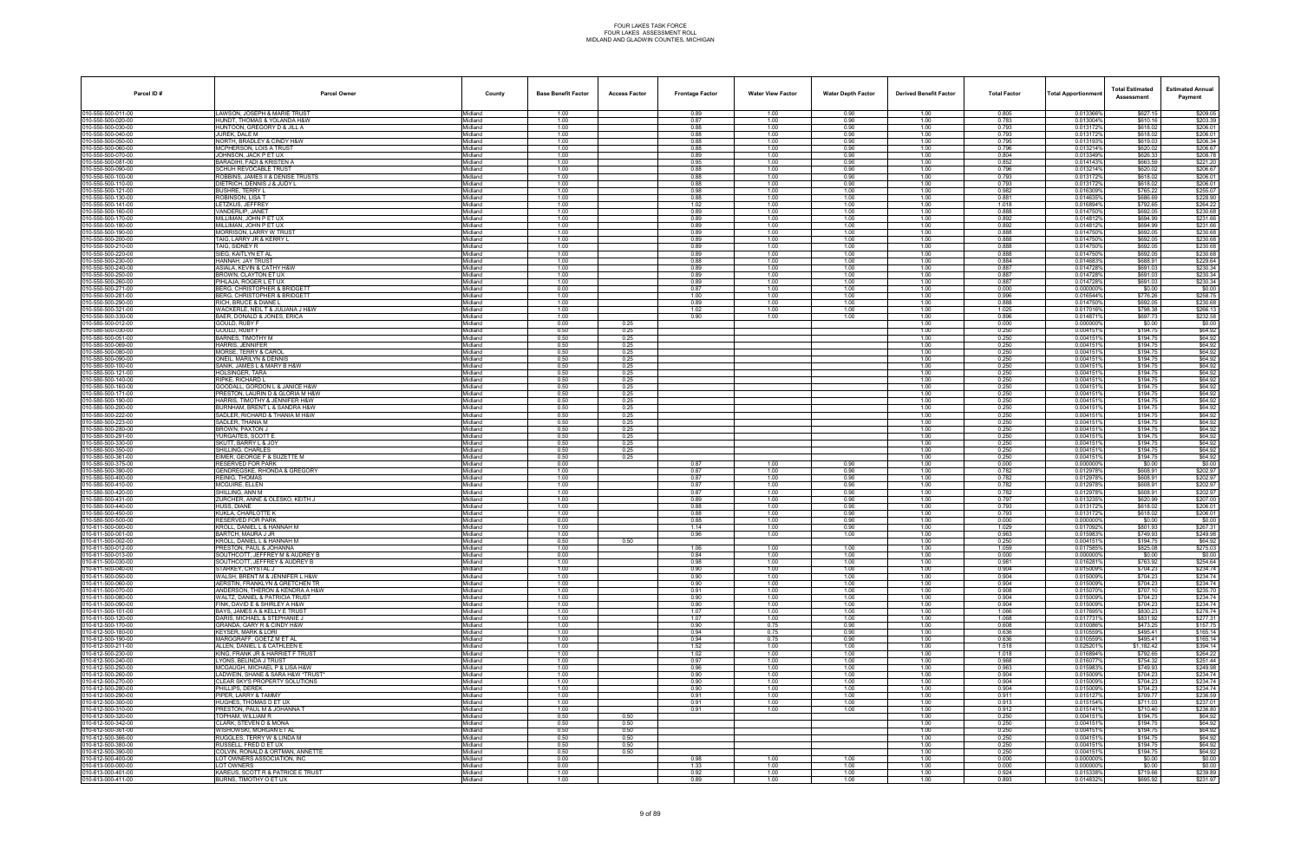| LAWSON, JOSEPH & MARIE TRUST<br>0.013366%<br>\$627.15<br>Midland<br>1.00<br>0.89<br>1.00<br>0.90<br>1.00<br>0.805<br>1.00<br>1.00<br>0.783<br>0.013004%<br>10-550-500-020-00<br>HUNDT, THOMAS & YOLANDA H&W<br>Midland<br>0.87<br>0.90<br>1.00<br>\$610.16<br>\$203.39<br>10-550-500-030-00<br>HUNTOON, GREGORY D & JILL A<br>Midland<br>1.00<br>0.88<br>1.00<br>0.90<br>1.00<br>0.793<br>0.0131729<br>\$618.02<br>\$206.01<br>10-550-500-040-00<br>JUREK. DALE M<br>1.00<br>1.00<br>1.00<br>0.793<br>0.013172%<br>\$618.02<br>Midland<br>0.88<br>0.90<br>\$206.34<br>10-550-500-050-00<br>NORTH, BRADLEY & CINDY H&W<br>Midland<br>1.00<br>0.88<br>1.00<br>0.90<br>1.00<br>0.795<br>0.013193%<br>\$619.03<br>1.00<br>0.88<br>1.00<br>0.90<br>1.00<br>0.0132149<br>\$620.02<br>\$206.67<br>10-550-500-060-00<br>MCPHERSON, LOIS A TRUST<br>Midland<br>0.796<br>1.00<br>1.00<br>0.90<br>0.804<br>\$626.33<br>10-550-500-070-00<br>JOHNSON, JACK P ET UX<br>Midland<br>0.89<br>1.00<br>0.013349%<br>10-550-500-081-00<br>BARADIHI, FADI & KRISTEN A<br>Midland<br>1.00<br>0.95<br>1.00<br>0.90<br>1.00<br>0.852<br>0.014143%<br>\$663.59<br>\$221.20<br>SCHUH REVOCABLE TRUST<br>1.00<br>1.00<br>0.90<br>1.00<br>0.796<br>0.013214%<br>\$206.67<br>10-550-500-090-00<br>Midland<br>0.88<br>\$620.02<br>1.00<br>0.793<br>10-550-500-100-00<br>ROBBINS, JAMES II & DENISE TRUSTS<br>Midland<br>0.88<br>1.00<br>0.90<br>1.00<br>0.013172%<br>\$618.02<br>DIETRICH, DENNIS J & JUDY L<br>1.00<br>0.88<br>1.00<br>0.90<br>1.00<br>0.793<br>0.0131729<br>\$618.02<br>\$206.01<br>010-550-500-110-00<br>Midland<br>1.00<br>1.00<br>1.00<br>0.982<br>\$765.22<br>\$255.07<br>10-550-500-121-00<br>BUSHRE, TERRY I<br>Midland<br>0.98<br>1.00<br>0.0163099<br>10-550-500-130-00<br>ROBINSON, LISA T<br>Midland<br>1.00<br>0.88<br>1.00<br>1.00<br>1.00<br>0.881<br>0.0146359<br>\$686.69<br>10-550-500-141-00<br>LETZKUS, JEFFREY<br>1.00<br>1.00<br>1.018<br>0.016894%<br>\$792.65<br>Midland<br>1.02<br>1.00<br>1.00<br>0.888<br>\$230.68<br>10-550-500-160-00<br>VANDERLIP, JANET<br>Midland<br>1.00<br>0.89<br>1.00<br>1.00<br>1.00<br>0.014750%<br>\$692.05<br>MILLIMAN, JOHN P ET UX<br>1.00<br>0.89<br>1.00<br>1.00<br>1.00<br>0.892<br>0.0148129<br>\$694.99<br>10-550-500-170-00<br>Midland<br>1.00<br>1.00<br>1.00<br>0.892<br>\$694.99<br>10-550-500-180-00<br>MILLIMAN, JOHN P ET UX<br>Midland<br>0.89<br>1.00<br>0.0148129<br>10-550-500-190-00<br><b>MORRISON, LARRY W TRUS</b><br>Midland<br>1.00<br>0.89<br>1.00<br>1.00<br>1.00<br>0.888<br>0.0147509<br>\$692.05<br>\$230.68<br>TAIG, LARRY JR & KERRY L<br>1.00<br>1.00<br>1.00<br>1.00<br>0.888<br>0.014750%<br>10-550-500-200-00<br>Midland<br>0.89<br>\$692.05<br>1.00<br>0.888<br>10-550-500-210-00<br>TAIG, SIDNEY R<br>Midland<br>0.89<br>1.00<br>1.00<br>1.00<br>0.014750%<br>\$692.05<br>1.00<br>0.89<br>1.00<br>1.00<br>1.00<br>0.888<br>0.0147509<br>\$692.05<br>\$230.68<br>10-550-500-220-00<br>SIEG, KAITLYN ET AL<br>Midland<br>1.00<br>1.00<br>1.00<br>1.00<br>0.884<br>0.014683%<br>\$688.91<br>10-550-500-230-00<br>HANNAH. JAY TRUST<br>Midland<br>0.88<br>0.887<br>10-550-500-240-00<br>ASIALA, KEVIN & CATHY H&W<br>Midland<br>1.00<br>0.89<br>1.00<br>1.00<br>1.00<br>0.0147289<br>\$691.03<br>10-550-500-250-00<br>BROWN, CLAYTON ET UX<br>1.00<br>0.887<br>0.014728%<br>\$691.03<br>\$230.34<br>Midland<br>0.89<br>1.00<br>1.00<br>1.00<br>1.00<br>0.887<br>\$230.34<br>10-550-500-260-00<br>PIHLAJA. ROGER L ET UX<br>Midland<br>0.89<br>1.00<br>1.00<br>1.00<br>0.0147289<br>\$691.03<br>0.00<br>0.87<br>1.00<br>1.00<br>1.00<br>0.000<br>0.0000009<br>\$0.00<br>10-550-500-271-00<br>BERG, CHRISTOPHER & BRIDGETT<br>Midland<br>1.00<br>1.00<br>1.00<br>0.996<br>0.016544%<br>10-550-500-281-00<br>BERG, CHRISTOPHER & BRIDGETT<br>Midland<br>1.00<br>1.00<br>\$776.26<br>\$258.75<br>0.888<br>10-550-500-290-00<br>RICH, BRUCE & DIANE L<br>Midland<br>1.00<br>0.89<br>1.00<br>1.00<br>1.00<br>0.014750%<br>\$692.05<br>\$230.68<br>10-550-500-321-00<br>WACKERLE, NEIL T & JULIANA J H&W<br>1.00<br>1.00<br>1.00<br>1.025<br>0.017016%<br>\$798.38<br>Midland<br>1.02<br>1.00<br>1.00<br>10-550-500-330-00<br>BAER, DONALD & JONES, ERICA<br>Midland<br>0.90<br>1.00<br>1.00<br>1.00<br>0.896<br>0.014871%<br>\$697.73<br>10-580-500-012-00<br>GOULD, RUBY F<br>0.00<br>0.25<br>1.00<br>0.000<br>0.0000009<br>\$0.00<br>\$0.00<br>Midland<br>0.50<br>1.00<br>0.250<br>0.0041519<br>\$194.75<br>10-580-500-030-00<br>GOULD. RUBY F<br>Midland<br>0.25<br>0.50<br>\$194.75<br>10-580-500-051-00<br>BARNES. TIMOTHY M<br>Midland<br>0.25<br>1.00<br>0.250<br>0.0041519<br>\$64.92<br>10-580-500-069-00<br>HARRIS, JENNIFER<br>0.50<br>0.0041519<br>\$194.75<br>Midland<br>0.25<br>1.00<br>0.250<br>\$194.75<br>10-580-500-080-00<br>MORSE. TERRY & CAROL<br>Midland<br>0.50<br>0.25<br>1.00<br>0.250<br>0.0041519<br>10-580-500-090-00<br>ONEIL, MARILYN & DENNIS<br>0.50<br>0.25<br>1.00<br>0.250<br>0.004151<br>\$194.75<br>Midland<br>0.50<br>1.00<br>0.250<br>0.0041519<br>10-580-500-100-00<br>SANIK, JAMES L & MARY B H&W<br>Midland<br>0.25<br>\$194.75<br>\$64.92<br>0.50<br>1.00<br>0.250<br>10-580-500-121-00<br>HOLSINGER, TARA<br>Midland<br>0.25<br>0.0041519<br>\$194.75<br>10-580-500-140-00<br>RIPKE. RICHARD L<br>0.50<br>1.00<br>0.250<br>0.0041519<br>\$194.75<br>Midland<br>0.25<br>10-580-500-160-00<br>GOODALL, GORDON L & JANICE H&W<br>Midland<br>0.50<br>0.25<br>1.00<br>0.250<br>0.0041519<br>\$194.75<br>\$64.92<br>10-580-500-171-00<br>RESTON, LAURIN D & GLORIA M H&W<br>0.50<br>0.25<br>1.00<br>0.250<br>0.004151<br>\$194.75<br>\$64.92<br>Midland<br>0.50<br>1.00<br>0.250<br>0.0041519<br>10-580-500-190-00<br>HARRIS, TIMOTHY & JENNIFER H&W<br>Midland<br>0.25<br>\$194.75<br>Midland<br>0.50<br>1.00<br>0.250<br>0.0041519<br>\$194.75<br>\$64.92<br>10-580-500-200-00<br>BURNHAM. BRENT L & SANDRA H&W<br>0.25<br>\$64.92<br>10-580-500-222-00<br>SADLER, RICHARD & THANIA M H&W<br>0.50<br>0.250<br>0.0041519<br>\$194.75<br>Midland<br>0.25<br>1.00<br>\$194.75<br>10-580-500-223-00<br>SADLER, THANIA M<br>Midland<br>0.50<br>0.25<br>1.00<br>0.250<br>0.0041519<br>10-580-500-280-00<br><b>BROWN, PAXTON J</b><br>0.50<br>0.25<br>1.00<br>0.250<br>0.004151<br>\$194.75<br>Midland<br>0.50<br>10-580-500-291-00<br>YURGAITES, SCOTT E<br>Midland<br>0.25<br>1.00<br>0.250<br>0.0041519<br>\$194.75<br>\$64.92<br>0.50<br>1.00<br>0.250<br>10-580-500-330-00<br>SKUTT. BARRY L & JOY<br>Midland<br>0.25<br>0.0041519<br>\$194.75<br>0.50<br>10-580-500-350-00<br>SHILLING, CHARLES<br>1.00<br>0.250<br>0.0041519<br>\$194.75<br>Midland<br>0.25<br>10-580-500-361-00<br>EIMER. GEORGE F & SUZETTE M<br>Midland<br>0.50<br>0.25<br>1.00<br>0.250<br>0.004151<br>\$194.75<br>\$64.92<br>10-580-500-375-00<br>RESERVED FOR PARK<br>0.00<br>0.87<br>1.00<br>0.90<br>1.00<br>0.000<br>0.0000009<br>\$0.00<br>Midland<br>1.00<br>1.00<br>0.782<br>0.012978%<br>10-580-500-390-00<br>GENDREGSKE, RHONDA & GREGORY<br>Midland<br>0.87<br>1.00<br>0.90<br>\$608.91<br>10-580-500-400-00<br>Midland<br>1.00<br>1.00<br>0.782<br>\$608.91<br>\$202.97<br>REINIG. THOMAS<br>0.87<br>1.00<br>0.90<br>0.012978%<br>\$202.97<br>10-580-500-410-00<br>MCGUIRE, ELLEN<br>Midland<br>1.00<br>0.87<br>0.782<br>0.012978%<br>\$608.91<br>1.00<br>0.90<br>1.00<br>10-580-500-420-00<br>SHILLING. ANN M<br>Midland<br>1.00<br>0.87<br>1.00<br>0.90<br>1.00<br>0.782<br>0.012978%<br>\$608.91<br>10-580-500-431-00<br>ZURCHER, ANNE & OLESKO, KEITH J<br>Midland<br>1.00<br>0.89<br>1.00<br>0.90<br>1.00<br>0.797<br>0.013235%<br>\$620.99<br>\$207.00<br>10-580-500-440-00<br>HUSS, DIANE<br>Midland<br>1.00<br>0.88<br>1.00<br>0.90<br>1.00<br>0.793<br>0.013172%<br>\$618.02<br>\$206.01<br>KUKLA, CHARLOTTE K<br>1.00<br>0.793<br>10-580-500-450-00<br>Midland<br>0.88<br>1.00<br>0.90<br>1.00<br>0.0131729<br>\$618.02<br>10-580-500-500-00<br><b>RESERVED FOR PARK</b><br>0.000<br>\$0.00<br>0.00<br>0.88<br>1.00<br>0.90<br>1.00<br>0.0000009<br>\$0.00<br>Midland<br>10-611-500-000-00<br>(ROLL, DANIEL L & HANNAH M<br>1.00<br>1.14<br>1.00<br>0.90<br>1.00<br>1.029<br>0.017092<br>\$801.93<br>\$267.31<br>Midland<br>10-611-500-001-00<br>BARTCH, MAURA J JR<br>Midland<br>1.00<br>0.96<br>1.00<br>1.00<br>1.00<br>0.963<br>0.0159839<br>\$749.93<br>010-611-500-002-00<br>KROLL, DANIEL L & HANNAH M<br>Midland<br>0.50<br>0.50<br>1.00<br>0.250<br>0.0041519<br>\$194.75<br>1.00<br>010-611-500-012-00<br><b>PRESTON, PAUL &amp; JOHANNA</b><br>Midland<br>1.00<br>1.06<br>1.00<br>1.00<br>1.059<br>0.017585%<br>\$825.08<br>\$275.03<br>10-611-500-013-00<br>SOUTHCOTT, JEFFREY M & AUDREY B<br>0.84<br>0.000000%<br>\$0.00<br>Midland<br>0.00<br>1.00<br>1.00<br>1.00<br>0.000<br>\$763.92<br>10-611-500-030-00<br>SOUTHCOTT, JEFFREY & AUDREY B<br>Midland<br>1.00<br>0.98<br>1.00<br>1.00<br>1.00<br>0.981<br>0.016281%<br>10-611-500-040-00<br>STARKEY, CRYSTAL J<br>Midland<br>1.00<br>0.90<br>1.00<br>1.00<br>1.00<br>0.904<br>0.015009%<br>\$704.23<br>\$234.74<br>1.00<br>0.904<br>0.015009%<br>\$704.23<br>10-611-500-050-00<br>WALSH. BRENT M & JENNIFER L H&W<br>Midland<br>0.90<br>1.00<br>1.00<br>1.00<br>AERSTIN. FRANKLYN & GRETCHEN TR<br>Midland<br>1.00<br>1.00<br>0.904<br>0.015009%<br>\$704.23<br>10-611-500-060-00<br>0.90<br>1.00<br>1.00<br>0.0150709<br>10-611-500-070-00<br>ANDERSON, THERON & KENDRA A H&W<br>Midland<br>1.00<br>0.91<br>1.00<br>1.00<br>0.908<br>\$707.10<br>\$235.70<br>1.00<br>10-611-500-080-00<br>WALTZ. DANIEL & PATRICIA TRUST<br>Midland<br>1.00<br>0.90<br>1.00<br>1.00<br>1.00<br>0.904<br>0.015009%<br>\$704.23<br>10-611-500-090-00<br>FINK, DAVID E & SHIRLEY A H&W<br>Midland<br>1.00<br>0.90<br>1.00<br>1.00<br>1.00<br>0.904<br>0.015009%<br>\$704.23<br>1.00<br>10-611-500-101-00<br>BAYS, JAMES A & KELLY E TRUST<br>Midland<br>1.07<br>1.00<br>1.00<br>1.00<br>1.066<br>0.017695%<br>\$830.23<br>\$276.74<br>Midland<br>1.00<br>1.07<br>1.00<br>1.00<br>1.00<br>1.068<br>0.017731%<br>\$831.92<br>10-611-500-120-00<br>DARIS. MICHAEL & STEPHANIE J<br>10-612-500-170-00<br>GRANDA, GARY R & CINDY H&W<br>Midland<br>1.00<br>0.90<br>0.75<br>0.90<br>0.608<br>0.010086%<br>\$473.25<br>1.00<br>10-612-500-180-00<br>KEYSER. MARK & LORI<br>Midland<br>1.00<br>0.94<br>0.75<br>0.90<br>1.00<br>0.636<br>0.010559%<br>\$495.41<br>\$165.14<br>10-612-500-190-00<br>MARGGRAFF, GOETZ M ET AL<br>Midland<br>1.00<br>0.94<br>0.75<br>0.90<br>1.00<br>0.636<br>0.010559%<br>\$495.41<br>\$165.14<br>0.025201%<br>\$1.182.42<br>10-612-500-211-00<br>ALLEN, DANIEL L & CATHLEEN E<br>Midland<br>1.00<br>1.52<br>1.00<br>1.00<br>1.00<br>1.518<br>KING. FRANK JR & HARRIET F TRUST<br>Midland<br>1.00<br>1.02<br>1.00<br>1.018<br>0.016894%<br>\$792.65<br>\$264.22<br>10-612-500-230-00<br>1.00<br>1.00<br>0.016077%<br>\$754.32<br>10-612-500-240-00<br>LYONS, BELINDA J TRUST<br>1.00<br>0.97<br>1.00<br>1.00<br>0.968<br>\$251.44<br>Midland<br>1.00<br>10-612-500-250-00<br>MCGAUGH, MICHAEL P & LISA H&W<br>Midland<br>1.00<br>0.96<br>1.00<br>1.00<br>1.00<br>0.963<br>0.015983%<br>\$749.93<br>10-612-500-260-00<br>LADWEIN, SHANE & SARA H&W *TRUST*<br>Midland<br>1.00<br>0.90<br>1.00<br>1.00<br>1.00<br>0.904<br>0.015009%<br>\$704.23<br>1.00<br>1.00<br>1.00<br>0.904<br>0.015009%<br>\$704.23<br>10-612-500-270-00<br>CLEAR SKY'S PROPERTY SOLUTIONS<br>Midland<br>0.90<br>1.00<br>\$234.74<br>Midland<br>1.00<br>0.90<br>1.00<br>1.00<br>1.00<br>0.904<br>0.015009%<br>\$704.23<br>10-612-500-280-00<br>PHILLIPS. DEREK<br>10-612-500-290-00<br>PIPER, LARRY & TAMMY<br>0.91<br>1.00<br>0.911<br>0.0151279<br>\$709.77<br>Midland<br>1.00<br>1.00<br>1.00<br>10-612-500-300-00<br>HUGHES, THOMAS D ET UX<br>Midland<br>1.00<br>0.91<br>1.00<br>1.00<br>1.00<br>0.913<br>0.015154%<br>\$711.03<br>\$237.01<br>10-612-500-310-00<br>PRESTON, PAUL M & JOHANNA T<br>Midland<br>1.00<br>0.91<br>1.00<br>1.00<br>1.00<br>0.912<br>0.015141%<br>\$710.40<br>0.50<br>0.250<br>0.0041519<br>\$194.75<br>10-612-500-320-00<br>TOPHAM. WILLIAM R<br>Midland<br>0.50<br>1.00<br>Midland<br>0.50<br>0.250<br>0.004151%<br>\$194.75<br>\$64.92<br>10-612-500-342-00<br>CLARK. STEVEN D & MONA<br>0.50<br>1.00<br>0.0041519<br>\$194.75<br>10-612-500-361-00<br>WISHOWSKI, MORGAN ET AL<br>0.50<br>0.50<br>1.00<br>0.250<br>Midland<br>10-612-500-366-00<br>RUGGLES, TERRY W & LINDA M<br>Midland<br>0.50<br>0.50<br>1.00<br>0.250<br>0.0041519<br>\$194.75<br>10-612-500-380-00<br>RUSSELL, FRED D ET UX<br>Midland<br>0.50<br>0.50<br>1.00<br>0.250<br>0.004151%<br>\$194.75<br>0.50<br>0.250<br>0.0041519<br>\$194.75<br>\$64.92<br>10-612-500-390-00<br>COLVIN, RONALD & ORTMAN, ANNETTE<br>Midland<br>0.50<br>1.00<br>LOT OWNERS ASSOCIATION. INC<br>Midland<br>0.00<br>0.000<br>0.000000%<br>10-612-500-400-00<br>0.98<br>1.00<br>1.00<br>1.00<br>\$0.00<br>0.0000009<br>10-613-000-000-00<br>LOT OWNERS<br>0.00<br>1.00<br>0.000<br>\$0.00<br>Midland<br>1.33<br>1.00<br>1.00<br>10-613-000-401-00<br>KAREUS, SCOTT R & PATRICE E TRUST<br>Midland<br>1.00<br>0.92<br>1.00<br>1.00<br>1.00<br>0.924<br>0.0153389<br>\$719.66<br>\$239.89<br>BURNS, TIMOTHY O ET UX<br>Midland<br>1.00<br>0.89<br>1.00<br>1.00<br>1.00<br>0.893<br>0.014832%<br>\$695.92 | Parcel ID#         | <b>Parcel Owner</b> | County | <b>Base Benefit Factor</b> | <b>Access Factor</b> | <b>Frontage Factor</b> | <b>Water View Factor</b> | <b>Water Depth Factor</b> | <b>Derived Benefit Factor</b> | <b>Total Factor</b> | <b>Total Apportionmer</b> | <b>Total Estimated</b><br>Assessment | <b>Estimated Annual</b><br>Payment |
|------------------------------------------------------------------------------------------------------------------------------------------------------------------------------------------------------------------------------------------------------------------------------------------------------------------------------------------------------------------------------------------------------------------------------------------------------------------------------------------------------------------------------------------------------------------------------------------------------------------------------------------------------------------------------------------------------------------------------------------------------------------------------------------------------------------------------------------------------------------------------------------------------------------------------------------------------------------------------------------------------------------------------------------------------------------------------------------------------------------------------------------------------------------------------------------------------------------------------------------------------------------------------------------------------------------------------------------------------------------------------------------------------------------------------------------------------------------------------------------------------------------------------------------------------------------------------------------------------------------------------------------------------------------------------------------------------------------------------------------------------------------------------------------------------------------------------------------------------------------------------------------------------------------------------------------------------------------------------------------------------------------------------------------------------------------------------------------------------------------------------------------------------------------------------------------------------------------------------------------------------------------------------------------------------------------------------------------------------------------------------------------------------------------------------------------------------------------------------------------------------------------------------------------------------------------------------------------------------------------------------------------------------------------------------------------------------------------------------------------------------------------------------------------------------------------------------------------------------------------------------------------------------------------------------------------------------------------------------------------------------------------------------------------------------------------------------------------------------------------------------------------------------------------------------------------------------------------------------------------------------------------------------------------------------------------------------------------------------------------------------------------------------------------------------------------------------------------------------------------------------------------------------------------------------------------------------------------------------------------------------------------------------------------------------------------------------------------------------------------------------------------------------------------------------------------------------------------------------------------------------------------------------------------------------------------------------------------------------------------------------------------------------------------------------------------------------------------------------------------------------------------------------------------------------------------------------------------------------------------------------------------------------------------------------------------------------------------------------------------------------------------------------------------------------------------------------------------------------------------------------------------------------------------------------------------------------------------------------------------------------------------------------------------------------------------------------------------------------------------------------------------------------------------------------------------------------------------------------------------------------------------------------------------------------------------------------------------------------------------------------------------------------------------------------------------------------------------------------------------------------------------------------------------------------------------------------------------------------------------------------------------------------------------------------------------------------------------------------------------------------------------------------------------------------------------------------------------------------------------------------------------------------------------------------------------------------------------------------------------------------------------------------------------------------------------------------------------------------------------------------------------------------------------------------------------------------------------------------------------------------------------------------------------------------------------------------------------------------------------------------------------------------------------------------------------------------------------------------------------------------------------------------------------------------------------------------------------------------------------------------------------------------------------------------------------------------------------------------------------------------------------------------------------------------------------------------------------------------------------------------------------------------------------------------------------------------------------------------------------------------------------------------------------------------------------------------------------------------------------------------------------------------------------------------------------------------------------------------------------------------------------------------------------------------------------------------------------------------------------------------------------------------------------------------------------------------------------------------------------------------------------------------------------------------------------------------------------------------------------------------------------------------------------------------------------------------------------------------------------------------------------------------------------------------------------------------------------------------------------------------------------------------------------------------------------------------------------------------------------------------------------------------------------------------------------------------------------------------------------------------------------------------------------------------------------------------------------------------------------------------------------------------------------------------------------------------------------------------------------------------------------------------------------------------------------------------------------------------------------------------------------------------------------------------------------------------------------------------------------------------------------------------------------------------------------------------------------------------------------------------------------------------------------------------------------------------------------------------------------------------------------------------------------------------------------------------------------------------------------------------------------------------------------------------------------------------------------------------------------------------------------------------------------------------------------------------------------------------------------------------------------------------------------------------------------------------------------------------------------------------------------------------------------------------------------------------------------------------------------------------------------------------------------------------------------------------------------------------------------------------------------------------------------------------------------------------------------------------------------------------------------------------------------------------------------------------------------------------------------------------------------------------------------------------------------------------------------------------------------------------------------------------------------------------------------------------------------------------------------------------------------------------------------------------------------------------------------------------------------------------------------------------------------------------------------------------------------------------------------------------------------------------------------------------------------------------------------------------------------------------------------------------------------------------------------------------------------------------------------------------------------------------------------------------------------------------------------------------------------------------------------------------------------------------------------------------------------------------------------------------------------------------------------------------------------------------------------------------------------------------------------------------------------------------------------------------------------------------------------------------------------------------------------------------------------------------------------------------------------------------------------------------------------------------------------------------------------------------------------------------------------------------------------------------------------------------------------------------------------------------------------------------------------------------------------------------------------------------------------------------------------------------------------------------------------------------------------------------------------------------------------------------------------------------------------------------------------------------------------------------------------------------------------------------------------------------------------------------------------------------------------------------------------------------------------------------------------------------------------------------------------------------------------------------------------------------------------------------------------------------------------------------------------------------------------------------------------------------------------------------------------------------------------------------------------------------------------------------------------------------------------------------------------------------------------------------------------------------------------------------------------------------------------------------------------------------------------------------------------------------------------------------------------------------------------------------------------------------------------------------------------------------------------------------------------------------------------------------------------------------------------------------------------------------------------------------------------------------------------------------------------------------------------------------------------------------------------------------------------------------------------------------------------------------------------------------------------------------------------------------------------------------------------------------------------------------------------------------------------------------------------------------------------------------------------------------------------------------------------------------------------------------------------------------------------------------------------|--------------------|---------------------|--------|----------------------------|----------------------|------------------------|--------------------------|---------------------------|-------------------------------|---------------------|---------------------------|--------------------------------------|------------------------------------|
|                                                                                                                                                                                                                                                                                                                                                                                                                                                                                                                                                                                                                                                                                                                                                                                                                                                                                                                                                                                                                                                                                                                                                                                                                                                                                                                                                                                                                                                                                                                                                                                                                                                                                                                                                                                                                                                                                                                                                                                                                                                                                                                                                                                                                                                                                                                                                                                                                                                                                                                                                                                                                                                                                                                                                                                                                                                                                                                                                                                                                                                                                                                                                                                                                                                                                                                                                                                                                                                                                                                                                                                                                                                                                                                                                                                                                                                                                                                                                                                                                                                                                                                                                                                                                                                                                                                                                                                                                                                                                                                                                                                                                                                                                                                                                                                                                                                                                                                                                                                                                                                                                                                                                                                                                                                                                                                                                                                                                                                                                                                                                                                                                                                                                                                                                                                                                                                                                                                                                                                                                                                                                                                                                                                                                                                                                                                                                                                                                                                                                                                                                                                                                                                                                                                                                                                                                                                                                                                                                                                                                                                                                                                                                                                                                                                                                                                                                                                                                                                                                                                                                                                                                                                                                                                                                                                                                                                                                                                                                                                                                                                                                                                                                                                                                                                                                                                                                                                                                                                                                                                                                                                                                                                                                                                                                                                                                                                                                                                                                                                                                                                                                                                                                                                                                                                                                                                                                                                                                                                                                                                                                                                                                                                                                                                                                                                                                                                                                                                                                                                                                                                                                                                                                                                                                                                                                                                                                                                                                                                                                                                                                                                                                                                                                                                                                                                                                                                                                                                                                                                                                                                                                                                                                                                                                                                                                                                                                                                                                                                                                                                                                                                                                                                                                                                                                                                                                                                                                                                                                                                                                                                                                                                                                                                                                                                                                                                                                                                                                                                                                                                                                                                                                                                                                                                                                                                                                                                                                                                                                                                                                                                                                                                                                                                                                                                                                                                                          | 010-550-500-011-00 |                     |        |                            |                      |                        |                          |                           |                               |                     |                           |                                      | \$209.05                           |
|                                                                                                                                                                                                                                                                                                                                                                                                                                                                                                                                                                                                                                                                                                                                                                                                                                                                                                                                                                                                                                                                                                                                                                                                                                                                                                                                                                                                                                                                                                                                                                                                                                                                                                                                                                                                                                                                                                                                                                                                                                                                                                                                                                                                                                                                                                                                                                                                                                                                                                                                                                                                                                                                                                                                                                                                                                                                                                                                                                                                                                                                                                                                                                                                                                                                                                                                                                                                                                                                                                                                                                                                                                                                                                                                                                                                                                                                                                                                                                                                                                                                                                                                                                                                                                                                                                                                                                                                                                                                                                                                                                                                                                                                                                                                                                                                                                                                                                                                                                                                                                                                                                                                                                                                                                                                                                                                                                                                                                                                                                                                                                                                                                                                                                                                                                                                                                                                                                                                                                                                                                                                                                                                                                                                                                                                                                                                                                                                                                                                                                                                                                                                                                                                                                                                                                                                                                                                                                                                                                                                                                                                                                                                                                                                                                                                                                                                                                                                                                                                                                                                                                                                                                                                                                                                                                                                                                                                                                                                                                                                                                                                                                                                                                                                                                                                                                                                                                                                                                                                                                                                                                                                                                                                                                                                                                                                                                                                                                                                                                                                                                                                                                                                                                                                                                                                                                                                                                                                                                                                                                                                                                                                                                                                                                                                                                                                                                                                                                                                                                                                                                                                                                                                                                                                                                                                                                                                                                                                                                                                                                                                                                                                                                                                                                                                                                                                                                                                                                                                                                                                                                                                                                                                                                                                                                                                                                                                                                                                                                                                                                                                                                                                                                                                                                                                                                                                                                                                                                                                                                                                                                                                                                                                                                                                                                                                                                                                                                                                                                                                                                                                                                                                                                                                                                                                                                                                                                                                                                                                                                                                                                                                                                                                                                                                                                                                                                                                          |                    |                     |        |                            |                      |                        |                          |                           |                               |                     |                           |                                      |                                    |
|                                                                                                                                                                                                                                                                                                                                                                                                                                                                                                                                                                                                                                                                                                                                                                                                                                                                                                                                                                                                                                                                                                                                                                                                                                                                                                                                                                                                                                                                                                                                                                                                                                                                                                                                                                                                                                                                                                                                                                                                                                                                                                                                                                                                                                                                                                                                                                                                                                                                                                                                                                                                                                                                                                                                                                                                                                                                                                                                                                                                                                                                                                                                                                                                                                                                                                                                                                                                                                                                                                                                                                                                                                                                                                                                                                                                                                                                                                                                                                                                                                                                                                                                                                                                                                                                                                                                                                                                                                                                                                                                                                                                                                                                                                                                                                                                                                                                                                                                                                                                                                                                                                                                                                                                                                                                                                                                                                                                                                                                                                                                                                                                                                                                                                                                                                                                                                                                                                                                                                                                                                                                                                                                                                                                                                                                                                                                                                                                                                                                                                                                                                                                                                                                                                                                                                                                                                                                                                                                                                                                                                                                                                                                                                                                                                                                                                                                                                                                                                                                                                                                                                                                                                                                                                                                                                                                                                                                                                                                                                                                                                                                                                                                                                                                                                                                                                                                                                                                                                                                                                                                                                                                                                                                                                                                                                                                                                                                                                                                                                                                                                                                                                                                                                                                                                                                                                                                                                                                                                                                                                                                                                                                                                                                                                                                                                                                                                                                                                                                                                                                                                                                                                                                                                                                                                                                                                                                                                                                                                                                                                                                                                                                                                                                                                                                                                                                                                                                                                                                                                                                                                                                                                                                                                                                                                                                                                                                                                                                                                                                                                                                                                                                                                                                                                                                                                                                                                                                                                                                                                                                                                                                                                                                                                                                                                                                                                                                                                                                                                                                                                                                                                                                                                                                                                                                                                                                                                                                                                                                                                                                                                                                                                                                                                                                                                                                                                                                          |                    |                     |        |                            |                      |                        |                          |                           |                               |                     |                           |                                      | \$206.01                           |
|                                                                                                                                                                                                                                                                                                                                                                                                                                                                                                                                                                                                                                                                                                                                                                                                                                                                                                                                                                                                                                                                                                                                                                                                                                                                                                                                                                                                                                                                                                                                                                                                                                                                                                                                                                                                                                                                                                                                                                                                                                                                                                                                                                                                                                                                                                                                                                                                                                                                                                                                                                                                                                                                                                                                                                                                                                                                                                                                                                                                                                                                                                                                                                                                                                                                                                                                                                                                                                                                                                                                                                                                                                                                                                                                                                                                                                                                                                                                                                                                                                                                                                                                                                                                                                                                                                                                                                                                                                                                                                                                                                                                                                                                                                                                                                                                                                                                                                                                                                                                                                                                                                                                                                                                                                                                                                                                                                                                                                                                                                                                                                                                                                                                                                                                                                                                                                                                                                                                                                                                                                                                                                                                                                                                                                                                                                                                                                                                                                                                                                                                                                                                                                                                                                                                                                                                                                                                                                                                                                                                                                                                                                                                                                                                                                                                                                                                                                                                                                                                                                                                                                                                                                                                                                                                                                                                                                                                                                                                                                                                                                                                                                                                                                                                                                                                                                                                                                                                                                                                                                                                                                                                                                                                                                                                                                                                                                                                                                                                                                                                                                                                                                                                                                                                                                                                                                                                                                                                                                                                                                                                                                                                                                                                                                                                                                                                                                                                                                                                                                                                                                                                                                                                                                                                                                                                                                                                                                                                                                                                                                                                                                                                                                                                                                                                                                                                                                                                                                                                                                                                                                                                                                                                                                                                                                                                                                                                                                                                                                                                                                                                                                                                                                                                                                                                                                                                                                                                                                                                                                                                                                                                                                                                                                                                                                                                                                                                                                                                                                                                                                                                                                                                                                                                                                                                                                                                                                                                                                                                                                                                                                                                                                                                                                                                                                                                                                                                          |                    |                     |        |                            |                      |                        |                          |                           |                               |                     |                           |                                      |                                    |
|                                                                                                                                                                                                                                                                                                                                                                                                                                                                                                                                                                                                                                                                                                                                                                                                                                                                                                                                                                                                                                                                                                                                                                                                                                                                                                                                                                                                                                                                                                                                                                                                                                                                                                                                                                                                                                                                                                                                                                                                                                                                                                                                                                                                                                                                                                                                                                                                                                                                                                                                                                                                                                                                                                                                                                                                                                                                                                                                                                                                                                                                                                                                                                                                                                                                                                                                                                                                                                                                                                                                                                                                                                                                                                                                                                                                                                                                                                                                                                                                                                                                                                                                                                                                                                                                                                                                                                                                                                                                                                                                                                                                                                                                                                                                                                                                                                                                                                                                                                                                                                                                                                                                                                                                                                                                                                                                                                                                                                                                                                                                                                                                                                                                                                                                                                                                                                                                                                                                                                                                                                                                                                                                                                                                                                                                                                                                                                                                                                                                                                                                                                                                                                                                                                                                                                                                                                                                                                                                                                                                                                                                                                                                                                                                                                                                                                                                                                                                                                                                                                                                                                                                                                                                                                                                                                                                                                                                                                                                                                                                                                                                                                                                                                                                                                                                                                                                                                                                                                                                                                                                                                                                                                                                                                                                                                                                                                                                                                                                                                                                                                                                                                                                                                                                                                                                                                                                                                                                                                                                                                                                                                                                                                                                                                                                                                                                                                                                                                                                                                                                                                                                                                                                                                                                                                                                                                                                                                                                                                                                                                                                                                                                                                                                                                                                                                                                                                                                                                                                                                                                                                                                                                                                                                                                                                                                                                                                                                                                                                                                                                                                                                                                                                                                                                                                                                                                                                                                                                                                                                                                                                                                                                                                                                                                                                                                                                                                                                                                                                                                                                                                                                                                                                                                                                                                                                                                                                                                                                                                                                                                                                                                                                                                                                                                                                                                                                                                          |                    |                     |        |                            |                      |                        |                          |                           |                               |                     |                           |                                      | \$208.78                           |
|                                                                                                                                                                                                                                                                                                                                                                                                                                                                                                                                                                                                                                                                                                                                                                                                                                                                                                                                                                                                                                                                                                                                                                                                                                                                                                                                                                                                                                                                                                                                                                                                                                                                                                                                                                                                                                                                                                                                                                                                                                                                                                                                                                                                                                                                                                                                                                                                                                                                                                                                                                                                                                                                                                                                                                                                                                                                                                                                                                                                                                                                                                                                                                                                                                                                                                                                                                                                                                                                                                                                                                                                                                                                                                                                                                                                                                                                                                                                                                                                                                                                                                                                                                                                                                                                                                                                                                                                                                                                                                                                                                                                                                                                                                                                                                                                                                                                                                                                                                                                                                                                                                                                                                                                                                                                                                                                                                                                                                                                                                                                                                                                                                                                                                                                                                                                                                                                                                                                                                                                                                                                                                                                                                                                                                                                                                                                                                                                                                                                                                                                                                                                                                                                                                                                                                                                                                                                                                                                                                                                                                                                                                                                                                                                                                                                                                                                                                                                                                                                                                                                                                                                                                                                                                                                                                                                                                                                                                                                                                                                                                                                                                                                                                                                                                                                                                                                                                                                                                                                                                                                                                                                                                                                                                                                                                                                                                                                                                                                                                                                                                                                                                                                                                                                                                                                                                                                                                                                                                                                                                                                                                                                                                                                                                                                                                                                                                                                                                                                                                                                                                                                                                                                                                                                                                                                                                                                                                                                                                                                                                                                                                                                                                                                                                                                                                                                                                                                                                                                                                                                                                                                                                                                                                                                                                                                                                                                                                                                                                                                                                                                                                                                                                                                                                                                                                                                                                                                                                                                                                                                                                                                                                                                                                                                                                                                                                                                                                                                                                                                                                                                                                                                                                                                                                                                                                                                                                                                                                                                                                                                                                                                                                                                                                                                                                                                                                                                          |                    |                     |        |                            |                      |                        |                          |                           |                               |                     |                           |                                      |                                    |
|                                                                                                                                                                                                                                                                                                                                                                                                                                                                                                                                                                                                                                                                                                                                                                                                                                                                                                                                                                                                                                                                                                                                                                                                                                                                                                                                                                                                                                                                                                                                                                                                                                                                                                                                                                                                                                                                                                                                                                                                                                                                                                                                                                                                                                                                                                                                                                                                                                                                                                                                                                                                                                                                                                                                                                                                                                                                                                                                                                                                                                                                                                                                                                                                                                                                                                                                                                                                                                                                                                                                                                                                                                                                                                                                                                                                                                                                                                                                                                                                                                                                                                                                                                                                                                                                                                                                                                                                                                                                                                                                                                                                                                                                                                                                                                                                                                                                                                                                                                                                                                                                                                                                                                                                                                                                                                                                                                                                                                                                                                                                                                                                                                                                                                                                                                                                                                                                                                                                                                                                                                                                                                                                                                                                                                                                                                                                                                                                                                                                                                                                                                                                                                                                                                                                                                                                                                                                                                                                                                                                                                                                                                                                                                                                                                                                                                                                                                                                                                                                                                                                                                                                                                                                                                                                                                                                                                                                                                                                                                                                                                                                                                                                                                                                                                                                                                                                                                                                                                                                                                                                                                                                                                                                                                                                                                                                                                                                                                                                                                                                                                                                                                                                                                                                                                                                                                                                                                                                                                                                                                                                                                                                                                                                                                                                                                                                                                                                                                                                                                                                                                                                                                                                                                                                                                                                                                                                                                                                                                                                                                                                                                                                                                                                                                                                                                                                                                                                                                                                                                                                                                                                                                                                                                                                                                                                                                                                                                                                                                                                                                                                                                                                                                                                                                                                                                                                                                                                                                                                                                                                                                                                                                                                                                                                                                                                                                                                                                                                                                                                                                                                                                                                                                                                                                                                                                                                                                                                                                                                                                                                                                                                                                                                                                                                                                                                                                                                          |                    |                     |        |                            |                      |                        |                          |                           |                               |                     |                           |                                      | \$206.01                           |
|                                                                                                                                                                                                                                                                                                                                                                                                                                                                                                                                                                                                                                                                                                                                                                                                                                                                                                                                                                                                                                                                                                                                                                                                                                                                                                                                                                                                                                                                                                                                                                                                                                                                                                                                                                                                                                                                                                                                                                                                                                                                                                                                                                                                                                                                                                                                                                                                                                                                                                                                                                                                                                                                                                                                                                                                                                                                                                                                                                                                                                                                                                                                                                                                                                                                                                                                                                                                                                                                                                                                                                                                                                                                                                                                                                                                                                                                                                                                                                                                                                                                                                                                                                                                                                                                                                                                                                                                                                                                                                                                                                                                                                                                                                                                                                                                                                                                                                                                                                                                                                                                                                                                                                                                                                                                                                                                                                                                                                                                                                                                                                                                                                                                                                                                                                                                                                                                                                                                                                                                                                                                                                                                                                                                                                                                                                                                                                                                                                                                                                                                                                                                                                                                                                                                                                                                                                                                                                                                                                                                                                                                                                                                                                                                                                                                                                                                                                                                                                                                                                                                                                                                                                                                                                                                                                                                                                                                                                                                                                                                                                                                                                                                                                                                                                                                                                                                                                                                                                                                                                                                                                                                                                                                                                                                                                                                                                                                                                                                                                                                                                                                                                                                                                                                                                                                                                                                                                                                                                                                                                                                                                                                                                                                                                                                                                                                                                                                                                                                                                                                                                                                                                                                                                                                                                                                                                                                                                                                                                                                                                                                                                                                                                                                                                                                                                                                                                                                                                                                                                                                                                                                                                                                                                                                                                                                                                                                                                                                                                                                                                                                                                                                                                                                                                                                                                                                                                                                                                                                                                                                                                                                                                                                                                                                                                                                                                                                                                                                                                                                                                                                                                                                                                                                                                                                                                                                                                                                                                                                                                                                                                                                                                                                                                                                                                                                                                                                          |                    |                     |        |                            |                      |                        |                          |                           |                               |                     |                           |                                      |                                    |
|                                                                                                                                                                                                                                                                                                                                                                                                                                                                                                                                                                                                                                                                                                                                                                                                                                                                                                                                                                                                                                                                                                                                                                                                                                                                                                                                                                                                                                                                                                                                                                                                                                                                                                                                                                                                                                                                                                                                                                                                                                                                                                                                                                                                                                                                                                                                                                                                                                                                                                                                                                                                                                                                                                                                                                                                                                                                                                                                                                                                                                                                                                                                                                                                                                                                                                                                                                                                                                                                                                                                                                                                                                                                                                                                                                                                                                                                                                                                                                                                                                                                                                                                                                                                                                                                                                                                                                                                                                                                                                                                                                                                                                                                                                                                                                                                                                                                                                                                                                                                                                                                                                                                                                                                                                                                                                                                                                                                                                                                                                                                                                                                                                                                                                                                                                                                                                                                                                                                                                                                                                                                                                                                                                                                                                                                                                                                                                                                                                                                                                                                                                                                                                                                                                                                                                                                                                                                                                                                                                                                                                                                                                                                                                                                                                                                                                                                                                                                                                                                                                                                                                                                                                                                                                                                                                                                                                                                                                                                                                                                                                                                                                                                                                                                                                                                                                                                                                                                                                                                                                                                                                                                                                                                                                                                                                                                                                                                                                                                                                                                                                                                                                                                                                                                                                                                                                                                                                                                                                                                                                                                                                                                                                                                                                                                                                                                                                                                                                                                                                                                                                                                                                                                                                                                                                                                                                                                                                                                                                                                                                                                                                                                                                                                                                                                                                                                                                                                                                                                                                                                                                                                                                                                                                                                                                                                                                                                                                                                                                                                                                                                                                                                                                                                                                                                                                                                                                                                                                                                                                                                                                                                                                                                                                                                                                                                                                                                                                                                                                                                                                                                                                                                                                                                                                                                                                                                                                                                                                                                                                                                                                                                                                                                                                                                                                                                                                                                          |                    |                     |        |                            |                      |                        |                          |                           |                               |                     |                           |                                      | \$228.90                           |
|                                                                                                                                                                                                                                                                                                                                                                                                                                                                                                                                                                                                                                                                                                                                                                                                                                                                                                                                                                                                                                                                                                                                                                                                                                                                                                                                                                                                                                                                                                                                                                                                                                                                                                                                                                                                                                                                                                                                                                                                                                                                                                                                                                                                                                                                                                                                                                                                                                                                                                                                                                                                                                                                                                                                                                                                                                                                                                                                                                                                                                                                                                                                                                                                                                                                                                                                                                                                                                                                                                                                                                                                                                                                                                                                                                                                                                                                                                                                                                                                                                                                                                                                                                                                                                                                                                                                                                                                                                                                                                                                                                                                                                                                                                                                                                                                                                                                                                                                                                                                                                                                                                                                                                                                                                                                                                                                                                                                                                                                                                                                                                                                                                                                                                                                                                                                                                                                                                                                                                                                                                                                                                                                                                                                                                                                                                                                                                                                                                                                                                                                                                                                                                                                                                                                                                                                                                                                                                                                                                                                                                                                                                                                                                                                                                                                                                                                                                                                                                                                                                                                                                                                                                                                                                                                                                                                                                                                                                                                                                                                                                                                                                                                                                                                                                                                                                                                                                                                                                                                                                                                                                                                                                                                                                                                                                                                                                                                                                                                                                                                                                                                                                                                                                                                                                                                                                                                                                                                                                                                                                                                                                                                                                                                                                                                                                                                                                                                                                                                                                                                                                                                                                                                                                                                                                                                                                                                                                                                                                                                                                                                                                                                                                                                                                                                                                                                                                                                                                                                                                                                                                                                                                                                                                                                                                                                                                                                                                                                                                                                                                                                                                                                                                                                                                                                                                                                                                                                                                                                                                                                                                                                                                                                                                                                                                                                                                                                                                                                                                                                                                                                                                                                                                                                                                                                                                                                                                                                                                                                                                                                                                                                                                                                                                                                                                                                                                                                          |                    |                     |        |                            |                      |                        |                          |                           |                               |                     |                           |                                      | \$264.22                           |
|                                                                                                                                                                                                                                                                                                                                                                                                                                                                                                                                                                                                                                                                                                                                                                                                                                                                                                                                                                                                                                                                                                                                                                                                                                                                                                                                                                                                                                                                                                                                                                                                                                                                                                                                                                                                                                                                                                                                                                                                                                                                                                                                                                                                                                                                                                                                                                                                                                                                                                                                                                                                                                                                                                                                                                                                                                                                                                                                                                                                                                                                                                                                                                                                                                                                                                                                                                                                                                                                                                                                                                                                                                                                                                                                                                                                                                                                                                                                                                                                                                                                                                                                                                                                                                                                                                                                                                                                                                                                                                                                                                                                                                                                                                                                                                                                                                                                                                                                                                                                                                                                                                                                                                                                                                                                                                                                                                                                                                                                                                                                                                                                                                                                                                                                                                                                                                                                                                                                                                                                                                                                                                                                                                                                                                                                                                                                                                                                                                                                                                                                                                                                                                                                                                                                                                                                                                                                                                                                                                                                                                                                                                                                                                                                                                                                                                                                                                                                                                                                                                                                                                                                                                                                                                                                                                                                                                                                                                                                                                                                                                                                                                                                                                                                                                                                                                                                                                                                                                                                                                                                                                                                                                                                                                                                                                                                                                                                                                                                                                                                                                                                                                                                                                                                                                                                                                                                                                                                                                                                                                                                                                                                                                                                                                                                                                                                                                                                                                                                                                                                                                                                                                                                                                                                                                                                                                                                                                                                                                                                                                                                                                                                                                                                                                                                                                                                                                                                                                                                                                                                                                                                                                                                                                                                                                                                                                                                                                                                                                                                                                                                                                                                                                                                                                                                                                                                                                                                                                                                                                                                                                                                                                                                                                                                                                                                                                                                                                                                                                                                                                                                                                                                                                                                                                                                                                                                                                                                                                                                                                                                                                                                                                                                                                                                                                                                                                                                          |                    |                     |        |                            |                      |                        |                          |                           |                               |                     |                           |                                      | \$231.66                           |
|                                                                                                                                                                                                                                                                                                                                                                                                                                                                                                                                                                                                                                                                                                                                                                                                                                                                                                                                                                                                                                                                                                                                                                                                                                                                                                                                                                                                                                                                                                                                                                                                                                                                                                                                                                                                                                                                                                                                                                                                                                                                                                                                                                                                                                                                                                                                                                                                                                                                                                                                                                                                                                                                                                                                                                                                                                                                                                                                                                                                                                                                                                                                                                                                                                                                                                                                                                                                                                                                                                                                                                                                                                                                                                                                                                                                                                                                                                                                                                                                                                                                                                                                                                                                                                                                                                                                                                                                                                                                                                                                                                                                                                                                                                                                                                                                                                                                                                                                                                                                                                                                                                                                                                                                                                                                                                                                                                                                                                                                                                                                                                                                                                                                                                                                                                                                                                                                                                                                                                                                                                                                                                                                                                                                                                                                                                                                                                                                                                                                                                                                                                                                                                                                                                                                                                                                                                                                                                                                                                                                                                                                                                                                                                                                                                                                                                                                                                                                                                                                                                                                                                                                                                                                                                                                                                                                                                                                                                                                                                                                                                                                                                                                                                                                                                                                                                                                                                                                                                                                                                                                                                                                                                                                                                                                                                                                                                                                                                                                                                                                                                                                                                                                                                                                                                                                                                                                                                                                                                                                                                                                                                                                                                                                                                                                                                                                                                                                                                                                                                                                                                                                                                                                                                                                                                                                                                                                                                                                                                                                                                                                                                                                                                                                                                                                                                                                                                                                                                                                                                                                                                                                                                                                                                                                                                                                                                                                                                                                                                                                                                                                                                                                                                                                                                                                                                                                                                                                                                                                                                                                                                                                                                                                                                                                                                                                                                                                                                                                                                                                                                                                                                                                                                                                                                                                                                                                                                                                                                                                                                                                                                                                                                                                                                                                                                                                                                                                          |                    |                     |        |                            |                      |                        |                          |                           |                               |                     |                           |                                      | \$231.66                           |
|                                                                                                                                                                                                                                                                                                                                                                                                                                                                                                                                                                                                                                                                                                                                                                                                                                                                                                                                                                                                                                                                                                                                                                                                                                                                                                                                                                                                                                                                                                                                                                                                                                                                                                                                                                                                                                                                                                                                                                                                                                                                                                                                                                                                                                                                                                                                                                                                                                                                                                                                                                                                                                                                                                                                                                                                                                                                                                                                                                                                                                                                                                                                                                                                                                                                                                                                                                                                                                                                                                                                                                                                                                                                                                                                                                                                                                                                                                                                                                                                                                                                                                                                                                                                                                                                                                                                                                                                                                                                                                                                                                                                                                                                                                                                                                                                                                                                                                                                                                                                                                                                                                                                                                                                                                                                                                                                                                                                                                                                                                                                                                                                                                                                                                                                                                                                                                                                                                                                                                                                                                                                                                                                                                                                                                                                                                                                                                                                                                                                                                                                                                                                                                                                                                                                                                                                                                                                                                                                                                                                                                                                                                                                                                                                                                                                                                                                                                                                                                                                                                                                                                                                                                                                                                                                                                                                                                                                                                                                                                                                                                                                                                                                                                                                                                                                                                                                                                                                                                                                                                                                                                                                                                                                                                                                                                                                                                                                                                                                                                                                                                                                                                                                                                                                                                                                                                                                                                                                                                                                                                                                                                                                                                                                                                                                                                                                                                                                                                                                                                                                                                                                                                                                                                                                                                                                                                                                                                                                                                                                                                                                                                                                                                                                                                                                                                                                                                                                                                                                                                                                                                                                                                                                                                                                                                                                                                                                                                                                                                                                                                                                                                                                                                                                                                                                                                                                                                                                                                                                                                                                                                                                                                                                                                                                                                                                                                                                                                                                                                                                                                                                                                                                                                                                                                                                                                                                                                                                                                                                                                                                                                                                                                                                                                                                                                                                                                                                          |                    |                     |        |                            |                      |                        |                          |                           |                               |                     |                           |                                      | \$230.68                           |
|                                                                                                                                                                                                                                                                                                                                                                                                                                                                                                                                                                                                                                                                                                                                                                                                                                                                                                                                                                                                                                                                                                                                                                                                                                                                                                                                                                                                                                                                                                                                                                                                                                                                                                                                                                                                                                                                                                                                                                                                                                                                                                                                                                                                                                                                                                                                                                                                                                                                                                                                                                                                                                                                                                                                                                                                                                                                                                                                                                                                                                                                                                                                                                                                                                                                                                                                                                                                                                                                                                                                                                                                                                                                                                                                                                                                                                                                                                                                                                                                                                                                                                                                                                                                                                                                                                                                                                                                                                                                                                                                                                                                                                                                                                                                                                                                                                                                                                                                                                                                                                                                                                                                                                                                                                                                                                                                                                                                                                                                                                                                                                                                                                                                                                                                                                                                                                                                                                                                                                                                                                                                                                                                                                                                                                                                                                                                                                                                                                                                                                                                                                                                                                                                                                                                                                                                                                                                                                                                                                                                                                                                                                                                                                                                                                                                                                                                                                                                                                                                                                                                                                                                                                                                                                                                                                                                                                                                                                                                                                                                                                                                                                                                                                                                                                                                                                                                                                                                                                                                                                                                                                                                                                                                                                                                                                                                                                                                                                                                                                                                                                                                                                                                                                                                                                                                                                                                                                                                                                                                                                                                                                                                                                                                                                                                                                                                                                                                                                                                                                                                                                                                                                                                                                                                                                                                                                                                                                                                                                                                                                                                                                                                                                                                                                                                                                                                                                                                                                                                                                                                                                                                                                                                                                                                                                                                                                                                                                                                                                                                                                                                                                                                                                                                                                                                                                                                                                                                                                                                                                                                                                                                                                                                                                                                                                                                                                                                                                                                                                                                                                                                                                                                                                                                                                                                                                                                                                                                                                                                                                                                                                                                                                                                                                                                                                                                                                                                          |                    |                     |        |                            |                      |                        |                          |                           |                               |                     |                           |                                      | \$230.68                           |
|                                                                                                                                                                                                                                                                                                                                                                                                                                                                                                                                                                                                                                                                                                                                                                                                                                                                                                                                                                                                                                                                                                                                                                                                                                                                                                                                                                                                                                                                                                                                                                                                                                                                                                                                                                                                                                                                                                                                                                                                                                                                                                                                                                                                                                                                                                                                                                                                                                                                                                                                                                                                                                                                                                                                                                                                                                                                                                                                                                                                                                                                                                                                                                                                                                                                                                                                                                                                                                                                                                                                                                                                                                                                                                                                                                                                                                                                                                                                                                                                                                                                                                                                                                                                                                                                                                                                                                                                                                                                                                                                                                                                                                                                                                                                                                                                                                                                                                                                                                                                                                                                                                                                                                                                                                                                                                                                                                                                                                                                                                                                                                                                                                                                                                                                                                                                                                                                                                                                                                                                                                                                                                                                                                                                                                                                                                                                                                                                                                                                                                                                                                                                                                                                                                                                                                                                                                                                                                                                                                                                                                                                                                                                                                                                                                                                                                                                                                                                                                                                                                                                                                                                                                                                                                                                                                                                                                                                                                                                                                                                                                                                                                                                                                                                                                                                                                                                                                                                                                                                                                                                                                                                                                                                                                                                                                                                                                                                                                                                                                                                                                                                                                                                                                                                                                                                                                                                                                                                                                                                                                                                                                                                                                                                                                                                                                                                                                                                                                                                                                                                                                                                                                                                                                                                                                                                                                                                                                                                                                                                                                                                                                                                                                                                                                                                                                                                                                                                                                                                                                                                                                                                                                                                                                                                                                                                                                                                                                                                                                                                                                                                                                                                                                                                                                                                                                                                                                                                                                                                                                                                                                                                                                                                                                                                                                                                                                                                                                                                                                                                                                                                                                                                                                                                                                                                                                                                                                                                                                                                                                                                                                                                                                                                                                                                                                                                                                                                          |                    |                     |        |                            |                      |                        |                          |                           |                               |                     |                           |                                      | \$229.64                           |
|                                                                                                                                                                                                                                                                                                                                                                                                                                                                                                                                                                                                                                                                                                                                                                                                                                                                                                                                                                                                                                                                                                                                                                                                                                                                                                                                                                                                                                                                                                                                                                                                                                                                                                                                                                                                                                                                                                                                                                                                                                                                                                                                                                                                                                                                                                                                                                                                                                                                                                                                                                                                                                                                                                                                                                                                                                                                                                                                                                                                                                                                                                                                                                                                                                                                                                                                                                                                                                                                                                                                                                                                                                                                                                                                                                                                                                                                                                                                                                                                                                                                                                                                                                                                                                                                                                                                                                                                                                                                                                                                                                                                                                                                                                                                                                                                                                                                                                                                                                                                                                                                                                                                                                                                                                                                                                                                                                                                                                                                                                                                                                                                                                                                                                                                                                                                                                                                                                                                                                                                                                                                                                                                                                                                                                                                                                                                                                                                                                                                                                                                                                                                                                                                                                                                                                                                                                                                                                                                                                                                                                                                                                                                                                                                                                                                                                                                                                                                                                                                                                                                                                                                                                                                                                                                                                                                                                                                                                                                                                                                                                                                                                                                                                                                                                                                                                                                                                                                                                                                                                                                                                                                                                                                                                                                                                                                                                                                                                                                                                                                                                                                                                                                                                                                                                                                                                                                                                                                                                                                                                                                                                                                                                                                                                                                                                                                                                                                                                                                                                                                                                                                                                                                                                                                                                                                                                                                                                                                                                                                                                                                                                                                                                                                                                                                                                                                                                                                                                                                                                                                                                                                                                                                                                                                                                                                                                                                                                                                                                                                                                                                                                                                                                                                                                                                                                                                                                                                                                                                                                                                                                                                                                                                                                                                                                                                                                                                                                                                                                                                                                                                                                                                                                                                                                                                                                                                                                                                                                                                                                                                                                                                                                                                                                                                                                                                                                                                          |                    |                     |        |                            |                      |                        |                          |                           |                               |                     |                           |                                      | \$230.34                           |
|                                                                                                                                                                                                                                                                                                                                                                                                                                                                                                                                                                                                                                                                                                                                                                                                                                                                                                                                                                                                                                                                                                                                                                                                                                                                                                                                                                                                                                                                                                                                                                                                                                                                                                                                                                                                                                                                                                                                                                                                                                                                                                                                                                                                                                                                                                                                                                                                                                                                                                                                                                                                                                                                                                                                                                                                                                                                                                                                                                                                                                                                                                                                                                                                                                                                                                                                                                                                                                                                                                                                                                                                                                                                                                                                                                                                                                                                                                                                                                                                                                                                                                                                                                                                                                                                                                                                                                                                                                                                                                                                                                                                                                                                                                                                                                                                                                                                                                                                                                                                                                                                                                                                                                                                                                                                                                                                                                                                                                                                                                                                                                                                                                                                                                                                                                                                                                                                                                                                                                                                                                                                                                                                                                                                                                                                                                                                                                                                                                                                                                                                                                                                                                                                                                                                                                                                                                                                                                                                                                                                                                                                                                                                                                                                                                                                                                                                                                                                                                                                                                                                                                                                                                                                                                                                                                                                                                                                                                                                                                                                                                                                                                                                                                                                                                                                                                                                                                                                                                                                                                                                                                                                                                                                                                                                                                                                                                                                                                                                                                                                                                                                                                                                                                                                                                                                                                                                                                                                                                                                                                                                                                                                                                                                                                                                                                                                                                                                                                                                                                                                                                                                                                                                                                                                                                                                                                                                                                                                                                                                                                                                                                                                                                                                                                                                                                                                                                                                                                                                                                                                                                                                                                                                                                                                                                                                                                                                                                                                                                                                                                                                                                                                                                                                                                                                                                                                                                                                                                                                                                                                                                                                                                                                                                                                                                                                                                                                                                                                                                                                                                                                                                                                                                                                                                                                                                                                                                                                                                                                                                                                                                                                                                                                                                                                                                                                                                                                          |                    |                     |        |                            |                      |                        |                          |                           |                               |                     |                           |                                      |                                    |
|                                                                                                                                                                                                                                                                                                                                                                                                                                                                                                                                                                                                                                                                                                                                                                                                                                                                                                                                                                                                                                                                                                                                                                                                                                                                                                                                                                                                                                                                                                                                                                                                                                                                                                                                                                                                                                                                                                                                                                                                                                                                                                                                                                                                                                                                                                                                                                                                                                                                                                                                                                                                                                                                                                                                                                                                                                                                                                                                                                                                                                                                                                                                                                                                                                                                                                                                                                                                                                                                                                                                                                                                                                                                                                                                                                                                                                                                                                                                                                                                                                                                                                                                                                                                                                                                                                                                                                                                                                                                                                                                                                                                                                                                                                                                                                                                                                                                                                                                                                                                                                                                                                                                                                                                                                                                                                                                                                                                                                                                                                                                                                                                                                                                                                                                                                                                                                                                                                                                                                                                                                                                                                                                                                                                                                                                                                                                                                                                                                                                                                                                                                                                                                                                                                                                                                                                                                                                                                                                                                                                                                                                                                                                                                                                                                                                                                                                                                                                                                                                                                                                                                                                                                                                                                                                                                                                                                                                                                                                                                                                                                                                                                                                                                                                                                                                                                                                                                                                                                                                                                                                                                                                                                                                                                                                                                                                                                                                                                                                                                                                                                                                                                                                                                                                                                                                                                                                                                                                                                                                                                                                                                                                                                                                                                                                                                                                                                                                                                                                                                                                                                                                                                                                                                                                                                                                                                                                                                                                                                                                                                                                                                                                                                                                                                                                                                                                                                                                                                                                                                                                                                                                                                                                                                                                                                                                                                                                                                                                                                                                                                                                                                                                                                                                                                                                                                                                                                                                                                                                                                                                                                                                                                                                                                                                                                                                                                                                                                                                                                                                                                                                                                                                                                                                                                                                                                                                                                                                                                                                                                                                                                                                                                                                                                                                                                                                                                                                          |                    |                     |        |                            |                      |                        |                          |                           |                               |                     |                           |                                      | \$0.00                             |
|                                                                                                                                                                                                                                                                                                                                                                                                                                                                                                                                                                                                                                                                                                                                                                                                                                                                                                                                                                                                                                                                                                                                                                                                                                                                                                                                                                                                                                                                                                                                                                                                                                                                                                                                                                                                                                                                                                                                                                                                                                                                                                                                                                                                                                                                                                                                                                                                                                                                                                                                                                                                                                                                                                                                                                                                                                                                                                                                                                                                                                                                                                                                                                                                                                                                                                                                                                                                                                                                                                                                                                                                                                                                                                                                                                                                                                                                                                                                                                                                                                                                                                                                                                                                                                                                                                                                                                                                                                                                                                                                                                                                                                                                                                                                                                                                                                                                                                                                                                                                                                                                                                                                                                                                                                                                                                                                                                                                                                                                                                                                                                                                                                                                                                                                                                                                                                                                                                                                                                                                                                                                                                                                                                                                                                                                                                                                                                                                                                                                                                                                                                                                                                                                                                                                                                                                                                                                                                                                                                                                                                                                                                                                                                                                                                                                                                                                                                                                                                                                                                                                                                                                                                                                                                                                                                                                                                                                                                                                                                                                                                                                                                                                                                                                                                                                                                                                                                                                                                                                                                                                                                                                                                                                                                                                                                                                                                                                                                                                                                                                                                                                                                                                                                                                                                                                                                                                                                                                                                                                                                                                                                                                                                                                                                                                                                                                                                                                                                                                                                                                                                                                                                                                                                                                                                                                                                                                                                                                                                                                                                                                                                                                                                                                                                                                                                                                                                                                                                                                                                                                                                                                                                                                                                                                                                                                                                                                                                                                                                                                                                                                                                                                                                                                                                                                                                                                                                                                                                                                                                                                                                                                                                                                                                                                                                                                                                                                                                                                                                                                                                                                                                                                                                                                                                                                                                                                                                                                                                                                                                                                                                                                                                                                                                                                                                                                                                                                          |                    |                     |        |                            |                      |                        |                          |                           |                               |                     |                           |                                      |                                    |
|                                                                                                                                                                                                                                                                                                                                                                                                                                                                                                                                                                                                                                                                                                                                                                                                                                                                                                                                                                                                                                                                                                                                                                                                                                                                                                                                                                                                                                                                                                                                                                                                                                                                                                                                                                                                                                                                                                                                                                                                                                                                                                                                                                                                                                                                                                                                                                                                                                                                                                                                                                                                                                                                                                                                                                                                                                                                                                                                                                                                                                                                                                                                                                                                                                                                                                                                                                                                                                                                                                                                                                                                                                                                                                                                                                                                                                                                                                                                                                                                                                                                                                                                                                                                                                                                                                                                                                                                                                                                                                                                                                                                                                                                                                                                                                                                                                                                                                                                                                                                                                                                                                                                                                                                                                                                                                                                                                                                                                                                                                                                                                                                                                                                                                                                                                                                                                                                                                                                                                                                                                                                                                                                                                                                                                                                                                                                                                                                                                                                                                                                                                                                                                                                                                                                                                                                                                                                                                                                                                                                                                                                                                                                                                                                                                                                                                                                                                                                                                                                                                                                                                                                                                                                                                                                                                                                                                                                                                                                                                                                                                                                                                                                                                                                                                                                                                                                                                                                                                                                                                                                                                                                                                                                                                                                                                                                                                                                                                                                                                                                                                                                                                                                                                                                                                                                                                                                                                                                                                                                                                                                                                                                                                                                                                                                                                                                                                                                                                                                                                                                                                                                                                                                                                                                                                                                                                                                                                                                                                                                                                                                                                                                                                                                                                                                                                                                                                                                                                                                                                                                                                                                                                                                                                                                                                                                                                                                                                                                                                                                                                                                                                                                                                                                                                                                                                                                                                                                                                                                                                                                                                                                                                                                                                                                                                                                                                                                                                                                                                                                                                                                                                                                                                                                                                                                                                                                                                                                                                                                                                                                                                                                                                                                                                                                                                                                                                                                          |                    |                     |        |                            |                      |                        |                          |                           |                               |                     |                           |                                      | \$266.13                           |
|                                                                                                                                                                                                                                                                                                                                                                                                                                                                                                                                                                                                                                                                                                                                                                                                                                                                                                                                                                                                                                                                                                                                                                                                                                                                                                                                                                                                                                                                                                                                                                                                                                                                                                                                                                                                                                                                                                                                                                                                                                                                                                                                                                                                                                                                                                                                                                                                                                                                                                                                                                                                                                                                                                                                                                                                                                                                                                                                                                                                                                                                                                                                                                                                                                                                                                                                                                                                                                                                                                                                                                                                                                                                                                                                                                                                                                                                                                                                                                                                                                                                                                                                                                                                                                                                                                                                                                                                                                                                                                                                                                                                                                                                                                                                                                                                                                                                                                                                                                                                                                                                                                                                                                                                                                                                                                                                                                                                                                                                                                                                                                                                                                                                                                                                                                                                                                                                                                                                                                                                                                                                                                                                                                                                                                                                                                                                                                                                                                                                                                                                                                                                                                                                                                                                                                                                                                                                                                                                                                                                                                                                                                                                                                                                                                                                                                                                                                                                                                                                                                                                                                                                                                                                                                                                                                                                                                                                                                                                                                                                                                                                                                                                                                                                                                                                                                                                                                                                                                                                                                                                                                                                                                                                                                                                                                                                                                                                                                                                                                                                                                                                                                                                                                                                                                                                                                                                                                                                                                                                                                                                                                                                                                                                                                                                                                                                                                                                                                                                                                                                                                                                                                                                                                                                                                                                                                                                                                                                                                                                                                                                                                                                                                                                                                                                                                                                                                                                                                                                                                                                                                                                                                                                                                                                                                                                                                                                                                                                                                                                                                                                                                                                                                                                                                                                                                                                                                                                                                                                                                                                                                                                                                                                                                                                                                                                                                                                                                                                                                                                                                                                                                                                                                                                                                                                                                                                                                                                                                                                                                                                                                                                                                                                                                                                                                                                                                                                          |                    |                     |        |                            |                      |                        |                          |                           |                               |                     |                           |                                      | \$232.58                           |
|                                                                                                                                                                                                                                                                                                                                                                                                                                                                                                                                                                                                                                                                                                                                                                                                                                                                                                                                                                                                                                                                                                                                                                                                                                                                                                                                                                                                                                                                                                                                                                                                                                                                                                                                                                                                                                                                                                                                                                                                                                                                                                                                                                                                                                                                                                                                                                                                                                                                                                                                                                                                                                                                                                                                                                                                                                                                                                                                                                                                                                                                                                                                                                                                                                                                                                                                                                                                                                                                                                                                                                                                                                                                                                                                                                                                                                                                                                                                                                                                                                                                                                                                                                                                                                                                                                                                                                                                                                                                                                                                                                                                                                                                                                                                                                                                                                                                                                                                                                                                                                                                                                                                                                                                                                                                                                                                                                                                                                                                                                                                                                                                                                                                                                                                                                                                                                                                                                                                                                                                                                                                                                                                                                                                                                                                                                                                                                                                                                                                                                                                                                                                                                                                                                                                                                                                                                                                                                                                                                                                                                                                                                                                                                                                                                                                                                                                                                                                                                                                                                                                                                                                                                                                                                                                                                                                                                                                                                                                                                                                                                                                                                                                                                                                                                                                                                                                                                                                                                                                                                                                                                                                                                                                                                                                                                                                                                                                                                                                                                                                                                                                                                                                                                                                                                                                                                                                                                                                                                                                                                                                                                                                                                                                                                                                                                                                                                                                                                                                                                                                                                                                                                                                                                                                                                                                                                                                                                                                                                                                                                                                                                                                                                                                                                                                                                                                                                                                                                                                                                                                                                                                                                                                                                                                                                                                                                                                                                                                                                                                                                                                                                                                                                                                                                                                                                                                                                                                                                                                                                                                                                                                                                                                                                                                                                                                                                                                                                                                                                                                                                                                                                                                                                                                                                                                                                                                                                                                                                                                                                                                                                                                                                                                                                                                                                                                                                                                          |                    |                     |        |                            |                      |                        |                          |                           |                               |                     |                           |                                      | \$64.92                            |
|                                                                                                                                                                                                                                                                                                                                                                                                                                                                                                                                                                                                                                                                                                                                                                                                                                                                                                                                                                                                                                                                                                                                                                                                                                                                                                                                                                                                                                                                                                                                                                                                                                                                                                                                                                                                                                                                                                                                                                                                                                                                                                                                                                                                                                                                                                                                                                                                                                                                                                                                                                                                                                                                                                                                                                                                                                                                                                                                                                                                                                                                                                                                                                                                                                                                                                                                                                                                                                                                                                                                                                                                                                                                                                                                                                                                                                                                                                                                                                                                                                                                                                                                                                                                                                                                                                                                                                                                                                                                                                                                                                                                                                                                                                                                                                                                                                                                                                                                                                                                                                                                                                                                                                                                                                                                                                                                                                                                                                                                                                                                                                                                                                                                                                                                                                                                                                                                                                                                                                                                                                                                                                                                                                                                                                                                                                                                                                                                                                                                                                                                                                                                                                                                                                                                                                                                                                                                                                                                                                                                                                                                                                                                                                                                                                                                                                                                                                                                                                                                                                                                                                                                                                                                                                                                                                                                                                                                                                                                                                                                                                                                                                                                                                                                                                                                                                                                                                                                                                                                                                                                                                                                                                                                                                                                                                                                                                                                                                                                                                                                                                                                                                                                                                                                                                                                                                                                                                                                                                                                                                                                                                                                                                                                                                                                                                                                                                                                                                                                                                                                                                                                                                                                                                                                                                                                                                                                                                                                                                                                                                                                                                                                                                                                                                                                                                                                                                                                                                                                                                                                                                                                                                                                                                                                                                                                                                                                                                                                                                                                                                                                                                                                                                                                                                                                                                                                                                                                                                                                                                                                                                                                                                                                                                                                                                                                                                                                                                                                                                                                                                                                                                                                                                                                                                                                                                                                                                                                                                                                                                                                                                                                                                                                                                                                                                                                                                                                          |                    |                     |        |                            |                      |                        |                          |                           |                               |                     |                           |                                      | \$64.92                            |
|                                                                                                                                                                                                                                                                                                                                                                                                                                                                                                                                                                                                                                                                                                                                                                                                                                                                                                                                                                                                                                                                                                                                                                                                                                                                                                                                                                                                                                                                                                                                                                                                                                                                                                                                                                                                                                                                                                                                                                                                                                                                                                                                                                                                                                                                                                                                                                                                                                                                                                                                                                                                                                                                                                                                                                                                                                                                                                                                                                                                                                                                                                                                                                                                                                                                                                                                                                                                                                                                                                                                                                                                                                                                                                                                                                                                                                                                                                                                                                                                                                                                                                                                                                                                                                                                                                                                                                                                                                                                                                                                                                                                                                                                                                                                                                                                                                                                                                                                                                                                                                                                                                                                                                                                                                                                                                                                                                                                                                                                                                                                                                                                                                                                                                                                                                                                                                                                                                                                                                                                                                                                                                                                                                                                                                                                                                                                                                                                                                                                                                                                                                                                                                                                                                                                                                                                                                                                                                                                                                                                                                                                                                                                                                                                                                                                                                                                                                                                                                                                                                                                                                                                                                                                                                                                                                                                                                                                                                                                                                                                                                                                                                                                                                                                                                                                                                                                                                                                                                                                                                                                                                                                                                                                                                                                                                                                                                                                                                                                                                                                                                                                                                                                                                                                                                                                                                                                                                                                                                                                                                                                                                                                                                                                                                                                                                                                                                                                                                                                                                                                                                                                                                                                                                                                                                                                                                                                                                                                                                                                                                                                                                                                                                                                                                                                                                                                                                                                                                                                                                                                                                                                                                                                                                                                                                                                                                                                                                                                                                                                                                                                                                                                                                                                                                                                                                                                                                                                                                                                                                                                                                                                                                                                                                                                                                                                                                                                                                                                                                                                                                                                                                                                                                                                                                                                                                                                                                                                                                                                                                                                                                                                                                                                                                                                                                                                                                                                          |                    |                     |        |                            |                      |                        |                          |                           |                               |                     |                           |                                      | \$64.92                            |
|                                                                                                                                                                                                                                                                                                                                                                                                                                                                                                                                                                                                                                                                                                                                                                                                                                                                                                                                                                                                                                                                                                                                                                                                                                                                                                                                                                                                                                                                                                                                                                                                                                                                                                                                                                                                                                                                                                                                                                                                                                                                                                                                                                                                                                                                                                                                                                                                                                                                                                                                                                                                                                                                                                                                                                                                                                                                                                                                                                                                                                                                                                                                                                                                                                                                                                                                                                                                                                                                                                                                                                                                                                                                                                                                                                                                                                                                                                                                                                                                                                                                                                                                                                                                                                                                                                                                                                                                                                                                                                                                                                                                                                                                                                                                                                                                                                                                                                                                                                                                                                                                                                                                                                                                                                                                                                                                                                                                                                                                                                                                                                                                                                                                                                                                                                                                                                                                                                                                                                                                                                                                                                                                                                                                                                                                                                                                                                                                                                                                                                                                                                                                                                                                                                                                                                                                                                                                                                                                                                                                                                                                                                                                                                                                                                                                                                                                                                                                                                                                                                                                                                                                                                                                                                                                                                                                                                                                                                                                                                                                                                                                                                                                                                                                                                                                                                                                                                                                                                                                                                                                                                                                                                                                                                                                                                                                                                                                                                                                                                                                                                                                                                                                                                                                                                                                                                                                                                                                                                                                                                                                                                                                                                                                                                                                                                                                                                                                                                                                                                                                                                                                                                                                                                                                                                                                                                                                                                                                                                                                                                                                                                                                                                                                                                                                                                                                                                                                                                                                                                                                                                                                                                                                                                                                                                                                                                                                                                                                                                                                                                                                                                                                                                                                                                                                                                                                                                                                                                                                                                                                                                                                                                                                                                                                                                                                                                                                                                                                                                                                                                                                                                                                                                                                                                                                                                                                                                                                                                                                                                                                                                                                                                                                                                                                                                                                                                                                          |                    |                     |        |                            |                      |                        |                          |                           |                               |                     |                           |                                      | \$64.92                            |
|                                                                                                                                                                                                                                                                                                                                                                                                                                                                                                                                                                                                                                                                                                                                                                                                                                                                                                                                                                                                                                                                                                                                                                                                                                                                                                                                                                                                                                                                                                                                                                                                                                                                                                                                                                                                                                                                                                                                                                                                                                                                                                                                                                                                                                                                                                                                                                                                                                                                                                                                                                                                                                                                                                                                                                                                                                                                                                                                                                                                                                                                                                                                                                                                                                                                                                                                                                                                                                                                                                                                                                                                                                                                                                                                                                                                                                                                                                                                                                                                                                                                                                                                                                                                                                                                                                                                                                                                                                                                                                                                                                                                                                                                                                                                                                                                                                                                                                                                                                                                                                                                                                                                                                                                                                                                                                                                                                                                                                                                                                                                                                                                                                                                                                                                                                                                                                                                                                                                                                                                                                                                                                                                                                                                                                                                                                                                                                                                                                                                                                                                                                                                                                                                                                                                                                                                                                                                                                                                                                                                                                                                                                                                                                                                                                                                                                                                                                                                                                                                                                                                                                                                                                                                                                                                                                                                                                                                                                                                                                                                                                                                                                                                                                                                                                                                                                                                                                                                                                                                                                                                                                                                                                                                                                                                                                                                                                                                                                                                                                                                                                                                                                                                                                                                                                                                                                                                                                                                                                                                                                                                                                                                                                                                                                                                                                                                                                                                                                                                                                                                                                                                                                                                                                                                                                                                                                                                                                                                                                                                                                                                                                                                                                                                                                                                                                                                                                                                                                                                                                                                                                                                                                                                                                                                                                                                                                                                                                                                                                                                                                                                                                                                                                                                                                                                                                                                                                                                                                                                                                                                                                                                                                                                                                                                                                                                                                                                                                                                                                                                                                                                                                                                                                                                                                                                                                                                                                                                                                                                                                                                                                                                                                                                                                                                                                                                                                                                          |                    |                     |        |                            |                      |                        |                          |                           |                               |                     |                           |                                      | \$64.92                            |
|                                                                                                                                                                                                                                                                                                                                                                                                                                                                                                                                                                                                                                                                                                                                                                                                                                                                                                                                                                                                                                                                                                                                                                                                                                                                                                                                                                                                                                                                                                                                                                                                                                                                                                                                                                                                                                                                                                                                                                                                                                                                                                                                                                                                                                                                                                                                                                                                                                                                                                                                                                                                                                                                                                                                                                                                                                                                                                                                                                                                                                                                                                                                                                                                                                                                                                                                                                                                                                                                                                                                                                                                                                                                                                                                                                                                                                                                                                                                                                                                                                                                                                                                                                                                                                                                                                                                                                                                                                                                                                                                                                                                                                                                                                                                                                                                                                                                                                                                                                                                                                                                                                                                                                                                                                                                                                                                                                                                                                                                                                                                                                                                                                                                                                                                                                                                                                                                                                                                                                                                                                                                                                                                                                                                                                                                                                                                                                                                                                                                                                                                                                                                                                                                                                                                                                                                                                                                                                                                                                                                                                                                                                                                                                                                                                                                                                                                                                                                                                                                                                                                                                                                                                                                                                                                                                                                                                                                                                                                                                                                                                                                                                                                                                                                                                                                                                                                                                                                                                                                                                                                                                                                                                                                                                                                                                                                                                                                                                                                                                                                                                                                                                                                                                                                                                                                                                                                                                                                                                                                                                                                                                                                                                                                                                                                                                                                                                                                                                                                                                                                                                                                                                                                                                                                                                                                                                                                                                                                                                                                                                                                                                                                                                                                                                                                                                                                                                                                                                                                                                                                                                                                                                                                                                                                                                                                                                                                                                                                                                                                                                                                                                                                                                                                                                                                                                                                                                                                                                                                                                                                                                                                                                                                                                                                                                                                                                                                                                                                                                                                                                                                                                                                                                                                                                                                                                                                                                                                                                                                                                                                                                                                                                                                                                                                                                                                                                                                          |                    |                     |        |                            |                      |                        |                          |                           |                               |                     |                           |                                      | \$64.92                            |
|                                                                                                                                                                                                                                                                                                                                                                                                                                                                                                                                                                                                                                                                                                                                                                                                                                                                                                                                                                                                                                                                                                                                                                                                                                                                                                                                                                                                                                                                                                                                                                                                                                                                                                                                                                                                                                                                                                                                                                                                                                                                                                                                                                                                                                                                                                                                                                                                                                                                                                                                                                                                                                                                                                                                                                                                                                                                                                                                                                                                                                                                                                                                                                                                                                                                                                                                                                                                                                                                                                                                                                                                                                                                                                                                                                                                                                                                                                                                                                                                                                                                                                                                                                                                                                                                                                                                                                                                                                                                                                                                                                                                                                                                                                                                                                                                                                                                                                                                                                                                                                                                                                                                                                                                                                                                                                                                                                                                                                                                                                                                                                                                                                                                                                                                                                                                                                                                                                                                                                                                                                                                                                                                                                                                                                                                                                                                                                                                                                                                                                                                                                                                                                                                                                                                                                                                                                                                                                                                                                                                                                                                                                                                                                                                                                                                                                                                                                                                                                                                                                                                                                                                                                                                                                                                                                                                                                                                                                                                                                                                                                                                                                                                                                                                                                                                                                                                                                                                                                                                                                                                                                                                                                                                                                                                                                                                                                                                                                                                                                                                                                                                                                                                                                                                                                                                                                                                                                                                                                                                                                                                                                                                                                                                                                                                                                                                                                                                                                                                                                                                                                                                                                                                                                                                                                                                                                                                                                                                                                                                                                                                                                                                                                                                                                                                                                                                                                                                                                                                                                                                                                                                                                                                                                                                                                                                                                                                                                                                                                                                                                                                                                                                                                                                                                                                                                                                                                                                                                                                                                                                                                                                                                                                                                                                                                                                                                                                                                                                                                                                                                                                                                                                                                                                                                                                                                                                                                                                                                                                                                                                                                                                                                                                                                                                                                                                                                                                          |                    |                     |        |                            |                      |                        |                          |                           |                               |                     |                           |                                      |                                    |
|                                                                                                                                                                                                                                                                                                                                                                                                                                                                                                                                                                                                                                                                                                                                                                                                                                                                                                                                                                                                                                                                                                                                                                                                                                                                                                                                                                                                                                                                                                                                                                                                                                                                                                                                                                                                                                                                                                                                                                                                                                                                                                                                                                                                                                                                                                                                                                                                                                                                                                                                                                                                                                                                                                                                                                                                                                                                                                                                                                                                                                                                                                                                                                                                                                                                                                                                                                                                                                                                                                                                                                                                                                                                                                                                                                                                                                                                                                                                                                                                                                                                                                                                                                                                                                                                                                                                                                                                                                                                                                                                                                                                                                                                                                                                                                                                                                                                                                                                                                                                                                                                                                                                                                                                                                                                                                                                                                                                                                                                                                                                                                                                                                                                                                                                                                                                                                                                                                                                                                                                                                                                                                                                                                                                                                                                                                                                                                                                                                                                                                                                                                                                                                                                                                                                                                                                                                                                                                                                                                                                                                                                                                                                                                                                                                                                                                                                                                                                                                                                                                                                                                                                                                                                                                                                                                                                                                                                                                                                                                                                                                                                                                                                                                                                                                                                                                                                                                                                                                                                                                                                                                                                                                                                                                                                                                                                                                                                                                                                                                                                                                                                                                                                                                                                                                                                                                                                                                                                                                                                                                                                                                                                                                                                                                                                                                                                                                                                                                                                                                                                                                                                                                                                                                                                                                                                                                                                                                                                                                                                                                                                                                                                                                                                                                                                                                                                                                                                                                                                                                                                                                                                                                                                                                                                                                                                                                                                                                                                                                                                                                                                                                                                                                                                                                                                                                                                                                                                                                                                                                                                                                                                                                                                                                                                                                                                                                                                                                                                                                                                                                                                                                                                                                                                                                                                                                                                                                                                                                                                                                                                                                                                                                                                                                                                                                                                                                                                          |                    |                     |        |                            |                      |                        |                          |                           |                               |                     |                           |                                      | \$64.92                            |
|                                                                                                                                                                                                                                                                                                                                                                                                                                                                                                                                                                                                                                                                                                                                                                                                                                                                                                                                                                                                                                                                                                                                                                                                                                                                                                                                                                                                                                                                                                                                                                                                                                                                                                                                                                                                                                                                                                                                                                                                                                                                                                                                                                                                                                                                                                                                                                                                                                                                                                                                                                                                                                                                                                                                                                                                                                                                                                                                                                                                                                                                                                                                                                                                                                                                                                                                                                                                                                                                                                                                                                                                                                                                                                                                                                                                                                                                                                                                                                                                                                                                                                                                                                                                                                                                                                                                                                                                                                                                                                                                                                                                                                                                                                                                                                                                                                                                                                                                                                                                                                                                                                                                                                                                                                                                                                                                                                                                                                                                                                                                                                                                                                                                                                                                                                                                                                                                                                                                                                                                                                                                                                                                                                                                                                                                                                                                                                                                                                                                                                                                                                                                                                                                                                                                                                                                                                                                                                                                                                                                                                                                                                                                                                                                                                                                                                                                                                                                                                                                                                                                                                                                                                                                                                                                                                                                                                                                                                                                                                                                                                                                                                                                                                                                                                                                                                                                                                                                                                                                                                                                                                                                                                                                                                                                                                                                                                                                                                                                                                                                                                                                                                                                                                                                                                                                                                                                                                                                                                                                                                                                                                                                                                                                                                                                                                                                                                                                                                                                                                                                                                                                                                                                                                                                                                                                                                                                                                                                                                                                                                                                                                                                                                                                                                                                                                                                                                                                                                                                                                                                                                                                                                                                                                                                                                                                                                                                                                                                                                                                                                                                                                                                                                                                                                                                                                                                                                                                                                                                                                                                                                                                                                                                                                                                                                                                                                                                                                                                                                                                                                                                                                                                                                                                                                                                                                                                                                                                                                                                                                                                                                                                                                                                                                                                                                                                                                                                          |                    |                     |        |                            |                      |                        |                          |                           |                               |                     |                           |                                      |                                    |
|                                                                                                                                                                                                                                                                                                                                                                                                                                                                                                                                                                                                                                                                                                                                                                                                                                                                                                                                                                                                                                                                                                                                                                                                                                                                                                                                                                                                                                                                                                                                                                                                                                                                                                                                                                                                                                                                                                                                                                                                                                                                                                                                                                                                                                                                                                                                                                                                                                                                                                                                                                                                                                                                                                                                                                                                                                                                                                                                                                                                                                                                                                                                                                                                                                                                                                                                                                                                                                                                                                                                                                                                                                                                                                                                                                                                                                                                                                                                                                                                                                                                                                                                                                                                                                                                                                                                                                                                                                                                                                                                                                                                                                                                                                                                                                                                                                                                                                                                                                                                                                                                                                                                                                                                                                                                                                                                                                                                                                                                                                                                                                                                                                                                                                                                                                                                                                                                                                                                                                                                                                                                                                                                                                                                                                                                                                                                                                                                                                                                                                                                                                                                                                                                                                                                                                                                                                                                                                                                                                                                                                                                                                                                                                                                                                                                                                                                                                                                                                                                                                                                                                                                                                                                                                                                                                                                                                                                                                                                                                                                                                                                                                                                                                                                                                                                                                                                                                                                                                                                                                                                                                                                                                                                                                                                                                                                                                                                                                                                                                                                                                                                                                                                                                                                                                                                                                                                                                                                                                                                                                                                                                                                                                                                                                                                                                                                                                                                                                                                                                                                                                                                                                                                                                                                                                                                                                                                                                                                                                                                                                                                                                                                                                                                                                                                                                                                                                                                                                                                                                                                                                                                                                                                                                                                                                                                                                                                                                                                                                                                                                                                                                                                                                                                                                                                                                                                                                                                                                                                                                                                                                                                                                                                                                                                                                                                                                                                                                                                                                                                                                                                                                                                                                                                                                                                                                                                                                                                                                                                                                                                                                                                                                                                                                                                                                                                                                                                          |                    |                     |        |                            |                      |                        |                          |                           |                               |                     |                           |                                      | \$64.92                            |
|                                                                                                                                                                                                                                                                                                                                                                                                                                                                                                                                                                                                                                                                                                                                                                                                                                                                                                                                                                                                                                                                                                                                                                                                                                                                                                                                                                                                                                                                                                                                                                                                                                                                                                                                                                                                                                                                                                                                                                                                                                                                                                                                                                                                                                                                                                                                                                                                                                                                                                                                                                                                                                                                                                                                                                                                                                                                                                                                                                                                                                                                                                                                                                                                                                                                                                                                                                                                                                                                                                                                                                                                                                                                                                                                                                                                                                                                                                                                                                                                                                                                                                                                                                                                                                                                                                                                                                                                                                                                                                                                                                                                                                                                                                                                                                                                                                                                                                                                                                                                                                                                                                                                                                                                                                                                                                                                                                                                                                                                                                                                                                                                                                                                                                                                                                                                                                                                                                                                                                                                                                                                                                                                                                                                                                                                                                                                                                                                                                                                                                                                                                                                                                                                                                                                                                                                                                                                                                                                                                                                                                                                                                                                                                                                                                                                                                                                                                                                                                                                                                                                                                                                                                                                                                                                                                                                                                                                                                                                                                                                                                                                                                                                                                                                                                                                                                                                                                                                                                                                                                                                                                                                                                                                                                                                                                                                                                                                                                                                                                                                                                                                                                                                                                                                                                                                                                                                                                                                                                                                                                                                                                                                                                                                                                                                                                                                                                                                                                                                                                                                                                                                                                                                                                                                                                                                                                                                                                                                                                                                                                                                                                                                                                                                                                                                                                                                                                                                                                                                                                                                                                                                                                                                                                                                                                                                                                                                                                                                                                                                                                                                                                                                                                                                                                                                                                                                                                                                                                                                                                                                                                                                                                                                                                                                                                                                                                                                                                                                                                                                                                                                                                                                                                                                                                                                                                                                                                                                                                                                                                                                                                                                                                                                                                                                                                                                                                                                          |                    |                     |        |                            |                      |                        |                          |                           |                               |                     |                           |                                      | \$64.92                            |
|                                                                                                                                                                                                                                                                                                                                                                                                                                                                                                                                                                                                                                                                                                                                                                                                                                                                                                                                                                                                                                                                                                                                                                                                                                                                                                                                                                                                                                                                                                                                                                                                                                                                                                                                                                                                                                                                                                                                                                                                                                                                                                                                                                                                                                                                                                                                                                                                                                                                                                                                                                                                                                                                                                                                                                                                                                                                                                                                                                                                                                                                                                                                                                                                                                                                                                                                                                                                                                                                                                                                                                                                                                                                                                                                                                                                                                                                                                                                                                                                                                                                                                                                                                                                                                                                                                                                                                                                                                                                                                                                                                                                                                                                                                                                                                                                                                                                                                                                                                                                                                                                                                                                                                                                                                                                                                                                                                                                                                                                                                                                                                                                                                                                                                                                                                                                                                                                                                                                                                                                                                                                                                                                                                                                                                                                                                                                                                                                                                                                                                                                                                                                                                                                                                                                                                                                                                                                                                                                                                                                                                                                                                                                                                                                                                                                                                                                                                                                                                                                                                                                                                                                                                                                                                                                                                                                                                                                                                                                                                                                                                                                                                                                                                                                                                                                                                                                                                                                                                                                                                                                                                                                                                                                                                                                                                                                                                                                                                                                                                                                                                                                                                                                                                                                                                                                                                                                                                                                                                                                                                                                                                                                                                                                                                                                                                                                                                                                                                                                                                                                                                                                                                                                                                                                                                                                                                                                                                                                                                                                                                                                                                                                                                                                                                                                                                                                                                                                                                                                                                                                                                                                                                                                                                                                                                                                                                                                                                                                                                                                                                                                                                                                                                                                                                                                                                                                                                                                                                                                                                                                                                                                                                                                                                                                                                                                                                                                                                                                                                                                                                                                                                                                                                                                                                                                                                                                                                                                                                                                                                                                                                                                                                                                                                                                                                                                                                                                          |                    |                     |        |                            |                      |                        |                          |                           |                               |                     |                           |                                      | \$64.92                            |
|                                                                                                                                                                                                                                                                                                                                                                                                                                                                                                                                                                                                                                                                                                                                                                                                                                                                                                                                                                                                                                                                                                                                                                                                                                                                                                                                                                                                                                                                                                                                                                                                                                                                                                                                                                                                                                                                                                                                                                                                                                                                                                                                                                                                                                                                                                                                                                                                                                                                                                                                                                                                                                                                                                                                                                                                                                                                                                                                                                                                                                                                                                                                                                                                                                                                                                                                                                                                                                                                                                                                                                                                                                                                                                                                                                                                                                                                                                                                                                                                                                                                                                                                                                                                                                                                                                                                                                                                                                                                                                                                                                                                                                                                                                                                                                                                                                                                                                                                                                                                                                                                                                                                                                                                                                                                                                                                                                                                                                                                                                                                                                                                                                                                                                                                                                                                                                                                                                                                                                                                                                                                                                                                                                                                                                                                                                                                                                                                                                                                                                                                                                                                                                                                                                                                                                                                                                                                                                                                                                                                                                                                                                                                                                                                                                                                                                                                                                                                                                                                                                                                                                                                                                                                                                                                                                                                                                                                                                                                                                                                                                                                                                                                                                                                                                                                                                                                                                                                                                                                                                                                                                                                                                                                                                                                                                                                                                                                                                                                                                                                                                                                                                                                                                                                                                                                                                                                                                                                                                                                                                                                                                                                                                                                                                                                                                                                                                                                                                                                                                                                                                                                                                                                                                                                                                                                                                                                                                                                                                                                                                                                                                                                                                                                                                                                                                                                                                                                                                                                                                                                                                                                                                                                                                                                                                                                                                                                                                                                                                                                                                                                                                                                                                                                                                                                                                                                                                                                                                                                                                                                                                                                                                                                                                                                                                                                                                                                                                                                                                                                                                                                                                                                                                                                                                                                                                                                                                                                                                                                                                                                                                                                                                                                                                                                                                                                                                                                          |                    |                     |        |                            |                      |                        |                          |                           |                               |                     |                           |                                      | \$64.92                            |
|                                                                                                                                                                                                                                                                                                                                                                                                                                                                                                                                                                                                                                                                                                                                                                                                                                                                                                                                                                                                                                                                                                                                                                                                                                                                                                                                                                                                                                                                                                                                                                                                                                                                                                                                                                                                                                                                                                                                                                                                                                                                                                                                                                                                                                                                                                                                                                                                                                                                                                                                                                                                                                                                                                                                                                                                                                                                                                                                                                                                                                                                                                                                                                                                                                                                                                                                                                                                                                                                                                                                                                                                                                                                                                                                                                                                                                                                                                                                                                                                                                                                                                                                                                                                                                                                                                                                                                                                                                                                                                                                                                                                                                                                                                                                                                                                                                                                                                                                                                                                                                                                                                                                                                                                                                                                                                                                                                                                                                                                                                                                                                                                                                                                                                                                                                                                                                                                                                                                                                                                                                                                                                                                                                                                                                                                                                                                                                                                                                                                                                                                                                                                                                                                                                                                                                                                                                                                                                                                                                                                                                                                                                                                                                                                                                                                                                                                                                                                                                                                                                                                                                                                                                                                                                                                                                                                                                                                                                                                                                                                                                                                                                                                                                                                                                                                                                                                                                                                                                                                                                                                                                                                                                                                                                                                                                                                                                                                                                                                                                                                                                                                                                                                                                                                                                                                                                                                                                                                                                                                                                                                                                                                                                                                                                                                                                                                                                                                                                                                                                                                                                                                                                                                                                                                                                                                                                                                                                                                                                                                                                                                                                                                                                                                                                                                                                                                                                                                                                                                                                                                                                                                                                                                                                                                                                                                                                                                                                                                                                                                                                                                                                                                                                                                                                                                                                                                                                                                                                                                                                                                                                                                                                                                                                                                                                                                                                                                                                                                                                                                                                                                                                                                                                                                                                                                                                                                                                                                                                                                                                                                                                                                                                                                                                                                                                                                                                                                          |                    |                     |        |                            |                      |                        |                          |                           |                               |                     |                           |                                      | \$0.00                             |
|                                                                                                                                                                                                                                                                                                                                                                                                                                                                                                                                                                                                                                                                                                                                                                                                                                                                                                                                                                                                                                                                                                                                                                                                                                                                                                                                                                                                                                                                                                                                                                                                                                                                                                                                                                                                                                                                                                                                                                                                                                                                                                                                                                                                                                                                                                                                                                                                                                                                                                                                                                                                                                                                                                                                                                                                                                                                                                                                                                                                                                                                                                                                                                                                                                                                                                                                                                                                                                                                                                                                                                                                                                                                                                                                                                                                                                                                                                                                                                                                                                                                                                                                                                                                                                                                                                                                                                                                                                                                                                                                                                                                                                                                                                                                                                                                                                                                                                                                                                                                                                                                                                                                                                                                                                                                                                                                                                                                                                                                                                                                                                                                                                                                                                                                                                                                                                                                                                                                                                                                                                                                                                                                                                                                                                                                                                                                                                                                                                                                                                                                                                                                                                                                                                                                                                                                                                                                                                                                                                                                                                                                                                                                                                                                                                                                                                                                                                                                                                                                                                                                                                                                                                                                                                                                                                                                                                                                                                                                                                                                                                                                                                                                                                                                                                                                                                                                                                                                                                                                                                                                                                                                                                                                                                                                                                                                                                                                                                                                                                                                                                                                                                                                                                                                                                                                                                                                                                                                                                                                                                                                                                                                                                                                                                                                                                                                                                                                                                                                                                                                                                                                                                                                                                                                                                                                                                                                                                                                                                                                                                                                                                                                                                                                                                                                                                                                                                                                                                                                                                                                                                                                                                                                                                                                                                                                                                                                                                                                                                                                                                                                                                                                                                                                                                                                                                                                                                                                                                                                                                                                                                                                                                                                                                                                                                                                                                                                                                                                                                                                                                                                                                                                                                                                                                                                                                                                                                                                                                                                                                                                                                                                                                                                                                                                                                                                                                                                          |                    |                     |        |                            |                      |                        |                          |                           |                               |                     |                           |                                      | \$202.97                           |
|                                                                                                                                                                                                                                                                                                                                                                                                                                                                                                                                                                                                                                                                                                                                                                                                                                                                                                                                                                                                                                                                                                                                                                                                                                                                                                                                                                                                                                                                                                                                                                                                                                                                                                                                                                                                                                                                                                                                                                                                                                                                                                                                                                                                                                                                                                                                                                                                                                                                                                                                                                                                                                                                                                                                                                                                                                                                                                                                                                                                                                                                                                                                                                                                                                                                                                                                                                                                                                                                                                                                                                                                                                                                                                                                                                                                                                                                                                                                                                                                                                                                                                                                                                                                                                                                                                                                                                                                                                                                                                                                                                                                                                                                                                                                                                                                                                                                                                                                                                                                                                                                                                                                                                                                                                                                                                                                                                                                                                                                                                                                                                                                                                                                                                                                                                                                                                                                                                                                                                                                                                                                                                                                                                                                                                                                                                                                                                                                                                                                                                                                                                                                                                                                                                                                                                                                                                                                                                                                                                                                                                                                                                                                                                                                                                                                                                                                                                                                                                                                                                                                                                                                                                                                                                                                                                                                                                                                                                                                                                                                                                                                                                                                                                                                                                                                                                                                                                                                                                                                                                                                                                                                                                                                                                                                                                                                                                                                                                                                                                                                                                                                                                                                                                                                                                                                                                                                                                                                                                                                                                                                                                                                                                                                                                                                                                                                                                                                                                                                                                                                                                                                                                                                                                                                                                                                                                                                                                                                                                                                                                                                                                                                                                                                                                                                                                                                                                                                                                                                                                                                                                                                                                                                                                                                                                                                                                                                                                                                                                                                                                                                                                                                                                                                                                                                                                                                                                                                                                                                                                                                                                                                                                                                                                                                                                                                                                                                                                                                                                                                                                                                                                                                                                                                                                                                                                                                                                                                                                                                                                                                                                                                                                                                                                                                                                                                                                                                          |                    |                     |        |                            |                      |                        |                          |                           |                               |                     |                           |                                      |                                    |
|                                                                                                                                                                                                                                                                                                                                                                                                                                                                                                                                                                                                                                                                                                                                                                                                                                                                                                                                                                                                                                                                                                                                                                                                                                                                                                                                                                                                                                                                                                                                                                                                                                                                                                                                                                                                                                                                                                                                                                                                                                                                                                                                                                                                                                                                                                                                                                                                                                                                                                                                                                                                                                                                                                                                                                                                                                                                                                                                                                                                                                                                                                                                                                                                                                                                                                                                                                                                                                                                                                                                                                                                                                                                                                                                                                                                                                                                                                                                                                                                                                                                                                                                                                                                                                                                                                                                                                                                                                                                                                                                                                                                                                                                                                                                                                                                                                                                                                                                                                                                                                                                                                                                                                                                                                                                                                                                                                                                                                                                                                                                                                                                                                                                                                                                                                                                                                                                                                                                                                                                                                                                                                                                                                                                                                                                                                                                                                                                                                                                                                                                                                                                                                                                                                                                                                                                                                                                                                                                                                                                                                                                                                                                                                                                                                                                                                                                                                                                                                                                                                                                                                                                                                                                                                                                                                                                                                                                                                                                                                                                                                                                                                                                                                                                                                                                                                                                                                                                                                                                                                                                                                                                                                                                                                                                                                                                                                                                                                                                                                                                                                                                                                                                                                                                                                                                                                                                                                                                                                                                                                                                                                                                                                                                                                                                                                                                                                                                                                                                                                                                                                                                                                                                                                                                                                                                                                                                                                                                                                                                                                                                                                                                                                                                                                                                                                                                                                                                                                                                                                                                                                                                                                                                                                                                                                                                                                                                                                                                                                                                                                                                                                                                                                                                                                                                                                                                                                                                                                                                                                                                                                                                                                                                                                                                                                                                                                                                                                                                                                                                                                                                                                                                                                                                                                                                                                                                                                                                                                                                                                                                                                                                                                                                                                                                                                                                                                                                          |                    |                     |        |                            |                      |                        |                          |                           |                               |                     |                           |                                      | \$202.97                           |
|                                                                                                                                                                                                                                                                                                                                                                                                                                                                                                                                                                                                                                                                                                                                                                                                                                                                                                                                                                                                                                                                                                                                                                                                                                                                                                                                                                                                                                                                                                                                                                                                                                                                                                                                                                                                                                                                                                                                                                                                                                                                                                                                                                                                                                                                                                                                                                                                                                                                                                                                                                                                                                                                                                                                                                                                                                                                                                                                                                                                                                                                                                                                                                                                                                                                                                                                                                                                                                                                                                                                                                                                                                                                                                                                                                                                                                                                                                                                                                                                                                                                                                                                                                                                                                                                                                                                                                                                                                                                                                                                                                                                                                                                                                                                                                                                                                                                                                                                                                                                                                                                                                                                                                                                                                                                                                                                                                                                                                                                                                                                                                                                                                                                                                                                                                                                                                                                                                                                                                                                                                                                                                                                                                                                                                                                                                                                                                                                                                                                                                                                                                                                                                                                                                                                                                                                                                                                                                                                                                                                                                                                                                                                                                                                                                                                                                                                                                                                                                                                                                                                                                                                                                                                                                                                                                                                                                                                                                                                                                                                                                                                                                                                                                                                                                                                                                                                                                                                                                                                                                                                                                                                                                                                                                                                                                                                                                                                                                                                                                                                                                                                                                                                                                                                                                                                                                                                                                                                                                                                                                                                                                                                                                                                                                                                                                                                                                                                                                                                                                                                                                                                                                                                                                                                                                                                                                                                                                                                                                                                                                                                                                                                                                                                                                                                                                                                                                                                                                                                                                                                                                                                                                                                                                                                                                                                                                                                                                                                                                                                                                                                                                                                                                                                                                                                                                                                                                                                                                                                                                                                                                                                                                                                                                                                                                                                                                                                                                                                                                                                                                                                                                                                                                                                                                                                                                                                                                                                                                                                                                                                                                                                                                                                                                                                                                                                                                                                          |                    |                     |        |                            |                      |                        |                          |                           |                               |                     |                           |                                      |                                    |
|                                                                                                                                                                                                                                                                                                                                                                                                                                                                                                                                                                                                                                                                                                                                                                                                                                                                                                                                                                                                                                                                                                                                                                                                                                                                                                                                                                                                                                                                                                                                                                                                                                                                                                                                                                                                                                                                                                                                                                                                                                                                                                                                                                                                                                                                                                                                                                                                                                                                                                                                                                                                                                                                                                                                                                                                                                                                                                                                                                                                                                                                                                                                                                                                                                                                                                                                                                                                                                                                                                                                                                                                                                                                                                                                                                                                                                                                                                                                                                                                                                                                                                                                                                                                                                                                                                                                                                                                                                                                                                                                                                                                                                                                                                                                                                                                                                                                                                                                                                                                                                                                                                                                                                                                                                                                                                                                                                                                                                                                                                                                                                                                                                                                                                                                                                                                                                                                                                                                                                                                                                                                                                                                                                                                                                                                                                                                                                                                                                                                                                                                                                                                                                                                                                                                                                                                                                                                                                                                                                                                                                                                                                                                                                                                                                                                                                                                                                                                                                                                                                                                                                                                                                                                                                                                                                                                                                                                                                                                                                                                                                                                                                                                                                                                                                                                                                                                                                                                                                                                                                                                                                                                                                                                                                                                                                                                                                                                                                                                                                                                                                                                                                                                                                                                                                                                                                                                                                                                                                                                                                                                                                                                                                                                                                                                                                                                                                                                                                                                                                                                                                                                                                                                                                                                                                                                                                                                                                                                                                                                                                                                                                                                                                                                                                                                                                                                                                                                                                                                                                                                                                                                                                                                                                                                                                                                                                                                                                                                                                                                                                                                                                                                                                                                                                                                                                                                                                                                                                                                                                                                                                                                                                                                                                                                                                                                                                                                                                                                                                                                                                                                                                                                                                                                                                                                                                                                                                                                                                                                                                                                                                                                                                                                                                                                                                                                                                                                          |                    |                     |        |                            |                      |                        |                          |                           |                               |                     |                           |                                      | \$206.01                           |
|                                                                                                                                                                                                                                                                                                                                                                                                                                                                                                                                                                                                                                                                                                                                                                                                                                                                                                                                                                                                                                                                                                                                                                                                                                                                                                                                                                                                                                                                                                                                                                                                                                                                                                                                                                                                                                                                                                                                                                                                                                                                                                                                                                                                                                                                                                                                                                                                                                                                                                                                                                                                                                                                                                                                                                                                                                                                                                                                                                                                                                                                                                                                                                                                                                                                                                                                                                                                                                                                                                                                                                                                                                                                                                                                                                                                                                                                                                                                                                                                                                                                                                                                                                                                                                                                                                                                                                                                                                                                                                                                                                                                                                                                                                                                                                                                                                                                                                                                                                                                                                                                                                                                                                                                                                                                                                                                                                                                                                                                                                                                                                                                                                                                                                                                                                                                                                                                                                                                                                                                                                                                                                                                                                                                                                                                                                                                                                                                                                                                                                                                                                                                                                                                                                                                                                                                                                                                                                                                                                                                                                                                                                                                                                                                                                                                                                                                                                                                                                                                                                                                                                                                                                                                                                                                                                                                                                                                                                                                                                                                                                                                                                                                                                                                                                                                                                                                                                                                                                                                                                                                                                                                                                                                                                                                                                                                                                                                                                                                                                                                                                                                                                                                                                                                                                                                                                                                                                                                                                                                                                                                                                                                                                                                                                                                                                                                                                                                                                                                                                                                                                                                                                                                                                                                                                                                                                                                                                                                                                                                                                                                                                                                                                                                                                                                                                                                                                                                                                                                                                                                                                                                                                                                                                                                                                                                                                                                                                                                                                                                                                                                                                                                                                                                                                                                                                                                                                                                                                                                                                                                                                                                                                                                                                                                                                                                                                                                                                                                                                                                                                                                                                                                                                                                                                                                                                                                                                                                                                                                                                                                                                                                                                                                                                                                                                                                                                                                          |                    |                     |        |                            |                      |                        |                          |                           |                               |                     |                           |                                      |                                    |
|                                                                                                                                                                                                                                                                                                                                                                                                                                                                                                                                                                                                                                                                                                                                                                                                                                                                                                                                                                                                                                                                                                                                                                                                                                                                                                                                                                                                                                                                                                                                                                                                                                                                                                                                                                                                                                                                                                                                                                                                                                                                                                                                                                                                                                                                                                                                                                                                                                                                                                                                                                                                                                                                                                                                                                                                                                                                                                                                                                                                                                                                                                                                                                                                                                                                                                                                                                                                                                                                                                                                                                                                                                                                                                                                                                                                                                                                                                                                                                                                                                                                                                                                                                                                                                                                                                                                                                                                                                                                                                                                                                                                                                                                                                                                                                                                                                                                                                                                                                                                                                                                                                                                                                                                                                                                                                                                                                                                                                                                                                                                                                                                                                                                                                                                                                                                                                                                                                                                                                                                                                                                                                                                                                                                                                                                                                                                                                                                                                                                                                                                                                                                                                                                                                                                                                                                                                                                                                                                                                                                                                                                                                                                                                                                                                                                                                                                                                                                                                                                                                                                                                                                                                                                                                                                                                                                                                                                                                                                                                                                                                                                                                                                                                                                                                                                                                                                                                                                                                                                                                                                                                                                                                                                                                                                                                                                                                                                                                                                                                                                                                                                                                                                                                                                                                                                                                                                                                                                                                                                                                                                                                                                                                                                                                                                                                                                                                                                                                                                                                                                                                                                                                                                                                                                                                                                                                                                                                                                                                                                                                                                                                                                                                                                                                                                                                                                                                                                                                                                                                                                                                                                                                                                                                                                                                                                                                                                                                                                                                                                                                                                                                                                                                                                                                                                                                                                                                                                                                                                                                                                                                                                                                                                                                                                                                                                                                                                                                                                                                                                                                                                                                                                                                                                                                                                                                                                                                                                                                                                                                                                                                                                                                                                                                                                                                                                                                                                          |                    |                     |        |                            |                      |                        |                          |                           |                               |                     |                           |                                      | \$249.98                           |
|                                                                                                                                                                                                                                                                                                                                                                                                                                                                                                                                                                                                                                                                                                                                                                                                                                                                                                                                                                                                                                                                                                                                                                                                                                                                                                                                                                                                                                                                                                                                                                                                                                                                                                                                                                                                                                                                                                                                                                                                                                                                                                                                                                                                                                                                                                                                                                                                                                                                                                                                                                                                                                                                                                                                                                                                                                                                                                                                                                                                                                                                                                                                                                                                                                                                                                                                                                                                                                                                                                                                                                                                                                                                                                                                                                                                                                                                                                                                                                                                                                                                                                                                                                                                                                                                                                                                                                                                                                                                                                                                                                                                                                                                                                                                                                                                                                                                                                                                                                                                                                                                                                                                                                                                                                                                                                                                                                                                                                                                                                                                                                                                                                                                                                                                                                                                                                                                                                                                                                                                                                                                                                                                                                                                                                                                                                                                                                                                                                                                                                                                                                                                                                                                                                                                                                                                                                                                                                                                                                                                                                                                                                                                                                                                                                                                                                                                                                                                                                                                                                                                                                                                                                                                                                                                                                                                                                                                                                                                                                                                                                                                                                                                                                                                                                                                                                                                                                                                                                                                                                                                                                                                                                                                                                                                                                                                                                                                                                                                                                                                                                                                                                                                                                                                                                                                                                                                                                                                                                                                                                                                                                                                                                                                                                                                                                                                                                                                                                                                                                                                                                                                                                                                                                                                                                                                                                                                                                                                                                                                                                                                                                                                                                                                                                                                                                                                                                                                                                                                                                                                                                                                                                                                                                                                                                                                                                                                                                                                                                                                                                                                                                                                                                                                                                                                                                                                                                                                                                                                                                                                                                                                                                                                                                                                                                                                                                                                                                                                                                                                                                                                                                                                                                                                                                                                                                                                                                                                                                                                                                                                                                                                                                                                                                                                                                                                                                                                          |                    |                     |        |                            |                      |                        |                          |                           |                               |                     |                           |                                      | \$64.92                            |
|                                                                                                                                                                                                                                                                                                                                                                                                                                                                                                                                                                                                                                                                                                                                                                                                                                                                                                                                                                                                                                                                                                                                                                                                                                                                                                                                                                                                                                                                                                                                                                                                                                                                                                                                                                                                                                                                                                                                                                                                                                                                                                                                                                                                                                                                                                                                                                                                                                                                                                                                                                                                                                                                                                                                                                                                                                                                                                                                                                                                                                                                                                                                                                                                                                                                                                                                                                                                                                                                                                                                                                                                                                                                                                                                                                                                                                                                                                                                                                                                                                                                                                                                                                                                                                                                                                                                                                                                                                                                                                                                                                                                                                                                                                                                                                                                                                                                                                                                                                                                                                                                                                                                                                                                                                                                                                                                                                                                                                                                                                                                                                                                                                                                                                                                                                                                                                                                                                                                                                                                                                                                                                                                                                                                                                                                                                                                                                                                                                                                                                                                                                                                                                                                                                                                                                                                                                                                                                                                                                                                                                                                                                                                                                                                                                                                                                                                                                                                                                                                                                                                                                                                                                                                                                                                                                                                                                                                                                                                                                                                                                                                                                                                                                                                                                                                                                                                                                                                                                                                                                                                                                                                                                                                                                                                                                                                                                                                                                                                                                                                                                                                                                                                                                                                                                                                                                                                                                                                                                                                                                                                                                                                                                                                                                                                                                                                                                                                                                                                                                                                                                                                                                                                                                                                                                                                                                                                                                                                                                                                                                                                                                                                                                                                                                                                                                                                                                                                                                                                                                                                                                                                                                                                                                                                                                                                                                                                                                                                                                                                                                                                                                                                                                                                                                                                                                                                                                                                                                                                                                                                                                                                                                                                                                                                                                                                                                                                                                                                                                                                                                                                                                                                                                                                                                                                                                                                                                                                                                                                                                                                                                                                                                                                                                                                                                                                                                                                          |                    |                     |        |                            |                      |                        |                          |                           |                               |                     |                           |                                      | \$0.00                             |
|                                                                                                                                                                                                                                                                                                                                                                                                                                                                                                                                                                                                                                                                                                                                                                                                                                                                                                                                                                                                                                                                                                                                                                                                                                                                                                                                                                                                                                                                                                                                                                                                                                                                                                                                                                                                                                                                                                                                                                                                                                                                                                                                                                                                                                                                                                                                                                                                                                                                                                                                                                                                                                                                                                                                                                                                                                                                                                                                                                                                                                                                                                                                                                                                                                                                                                                                                                                                                                                                                                                                                                                                                                                                                                                                                                                                                                                                                                                                                                                                                                                                                                                                                                                                                                                                                                                                                                                                                                                                                                                                                                                                                                                                                                                                                                                                                                                                                                                                                                                                                                                                                                                                                                                                                                                                                                                                                                                                                                                                                                                                                                                                                                                                                                                                                                                                                                                                                                                                                                                                                                                                                                                                                                                                                                                                                                                                                                                                                                                                                                                                                                                                                                                                                                                                                                                                                                                                                                                                                                                                                                                                                                                                                                                                                                                                                                                                                                                                                                                                                                                                                                                                                                                                                                                                                                                                                                                                                                                                                                                                                                                                                                                                                                                                                                                                                                                                                                                                                                                                                                                                                                                                                                                                                                                                                                                                                                                                                                                                                                                                                                                                                                                                                                                                                                                                                                                                                                                                                                                                                                                                                                                                                                                                                                                                                                                                                                                                                                                                                                                                                                                                                                                                                                                                                                                                                                                                                                                                                                                                                                                                                                                                                                                                                                                                                                                                                                                                                                                                                                                                                                                                                                                                                                                                                                                                                                                                                                                                                                                                                                                                                                                                                                                                                                                                                                                                                                                                                                                                                                                                                                                                                                                                                                                                                                                                                                                                                                                                                                                                                                                                                                                                                                                                                                                                                                                                                                                                                                                                                                                                                                                                                                                                                                                                                                                                                                                                          |                    |                     |        |                            |                      |                        |                          |                           |                               |                     |                           |                                      | \$254.64                           |
|                                                                                                                                                                                                                                                                                                                                                                                                                                                                                                                                                                                                                                                                                                                                                                                                                                                                                                                                                                                                                                                                                                                                                                                                                                                                                                                                                                                                                                                                                                                                                                                                                                                                                                                                                                                                                                                                                                                                                                                                                                                                                                                                                                                                                                                                                                                                                                                                                                                                                                                                                                                                                                                                                                                                                                                                                                                                                                                                                                                                                                                                                                                                                                                                                                                                                                                                                                                                                                                                                                                                                                                                                                                                                                                                                                                                                                                                                                                                                                                                                                                                                                                                                                                                                                                                                                                                                                                                                                                                                                                                                                                                                                                                                                                                                                                                                                                                                                                                                                                                                                                                                                                                                                                                                                                                                                                                                                                                                                                                                                                                                                                                                                                                                                                                                                                                                                                                                                                                                                                                                                                                                                                                                                                                                                                                                                                                                                                                                                                                                                                                                                                                                                                                                                                                                                                                                                                                                                                                                                                                                                                                                                                                                                                                                                                                                                                                                                                                                                                                                                                                                                                                                                                                                                                                                                                                                                                                                                                                                                                                                                                                                                                                                                                                                                                                                                                                                                                                                                                                                                                                                                                                                                                                                                                                                                                                                                                                                                                                                                                                                                                                                                                                                                                                                                                                                                                                                                                                                                                                                                                                                                                                                                                                                                                                                                                                                                                                                                                                                                                                                                                                                                                                                                                                                                                                                                                                                                                                                                                                                                                                                                                                                                                                                                                                                                                                                                                                                                                                                                                                                                                                                                                                                                                                                                                                                                                                                                                                                                                                                                                                                                                                                                                                                                                                                                                                                                                                                                                                                                                                                                                                                                                                                                                                                                                                                                                                                                                                                                                                                                                                                                                                                                                                                                                                                                                                                                                                                                                                                                                                                                                                                                                                                                                                                                                                                                                                          |                    |                     |        |                            |                      |                        |                          |                           |                               |                     |                           |                                      | \$234.74                           |
|                                                                                                                                                                                                                                                                                                                                                                                                                                                                                                                                                                                                                                                                                                                                                                                                                                                                                                                                                                                                                                                                                                                                                                                                                                                                                                                                                                                                                                                                                                                                                                                                                                                                                                                                                                                                                                                                                                                                                                                                                                                                                                                                                                                                                                                                                                                                                                                                                                                                                                                                                                                                                                                                                                                                                                                                                                                                                                                                                                                                                                                                                                                                                                                                                                                                                                                                                                                                                                                                                                                                                                                                                                                                                                                                                                                                                                                                                                                                                                                                                                                                                                                                                                                                                                                                                                                                                                                                                                                                                                                                                                                                                                                                                                                                                                                                                                                                                                                                                                                                                                                                                                                                                                                                                                                                                                                                                                                                                                                                                                                                                                                                                                                                                                                                                                                                                                                                                                                                                                                                                                                                                                                                                                                                                                                                                                                                                                                                                                                                                                                                                                                                                                                                                                                                                                                                                                                                                                                                                                                                                                                                                                                                                                                                                                                                                                                                                                                                                                                                                                                                                                                                                                                                                                                                                                                                                                                                                                                                                                                                                                                                                                                                                                                                                                                                                                                                                                                                                                                                                                                                                                                                                                                                                                                                                                                                                                                                                                                                                                                                                                                                                                                                                                                                                                                                                                                                                                                                                                                                                                                                                                                                                                                                                                                                                                                                                                                                                                                                                                                                                                                                                                                                                                                                                                                                                                                                                                                                                                                                                                                                                                                                                                                                                                                                                                                                                                                                                                                                                                                                                                                                                                                                                                                                                                                                                                                                                                                                                                                                                                                                                                                                                                                                                                                                                                                                                                                                                                                                                                                                                                                                                                                                                                                                                                                                                                                                                                                                                                                                                                                                                                                                                                                                                                                                                                                                                                                                                                                                                                                                                                                                                                                                                                                                                                                                                                                                          |                    |                     |        |                            |                      |                        |                          |                           |                               |                     |                           |                                      | \$234.74                           |
|                                                                                                                                                                                                                                                                                                                                                                                                                                                                                                                                                                                                                                                                                                                                                                                                                                                                                                                                                                                                                                                                                                                                                                                                                                                                                                                                                                                                                                                                                                                                                                                                                                                                                                                                                                                                                                                                                                                                                                                                                                                                                                                                                                                                                                                                                                                                                                                                                                                                                                                                                                                                                                                                                                                                                                                                                                                                                                                                                                                                                                                                                                                                                                                                                                                                                                                                                                                                                                                                                                                                                                                                                                                                                                                                                                                                                                                                                                                                                                                                                                                                                                                                                                                                                                                                                                                                                                                                                                                                                                                                                                                                                                                                                                                                                                                                                                                                                                                                                                                                                                                                                                                                                                                                                                                                                                                                                                                                                                                                                                                                                                                                                                                                                                                                                                                                                                                                                                                                                                                                                                                                                                                                                                                                                                                                                                                                                                                                                                                                                                                                                                                                                                                                                                                                                                                                                                                                                                                                                                                                                                                                                                                                                                                                                                                                                                                                                                                                                                                                                                                                                                                                                                                                                                                                                                                                                                                                                                                                                                                                                                                                                                                                                                                                                                                                                                                                                                                                                                                                                                                                                                                                                                                                                                                                                                                                                                                                                                                                                                                                                                                                                                                                                                                                                                                                                                                                                                                                                                                                                                                                                                                                                                                                                                                                                                                                                                                                                                                                                                                                                                                                                                                                                                                                                                                                                                                                                                                                                                                                                                                                                                                                                                                                                                                                                                                                                                                                                                                                                                                                                                                                                                                                                                                                                                                                                                                                                                                                                                                                                                                                                                                                                                                                                                                                                                                                                                                                                                                                                                                                                                                                                                                                                                                                                                                                                                                                                                                                                                                                                                                                                                                                                                                                                                                                                                                                                                                                                                                                                                                                                                                                                                                                                                                                                                                                                                                                          |                    |                     |        |                            |                      |                        |                          |                           |                               |                     |                           |                                      | \$234.74                           |
|                                                                                                                                                                                                                                                                                                                                                                                                                                                                                                                                                                                                                                                                                                                                                                                                                                                                                                                                                                                                                                                                                                                                                                                                                                                                                                                                                                                                                                                                                                                                                                                                                                                                                                                                                                                                                                                                                                                                                                                                                                                                                                                                                                                                                                                                                                                                                                                                                                                                                                                                                                                                                                                                                                                                                                                                                                                                                                                                                                                                                                                                                                                                                                                                                                                                                                                                                                                                                                                                                                                                                                                                                                                                                                                                                                                                                                                                                                                                                                                                                                                                                                                                                                                                                                                                                                                                                                                                                                                                                                                                                                                                                                                                                                                                                                                                                                                                                                                                                                                                                                                                                                                                                                                                                                                                                                                                                                                                                                                                                                                                                                                                                                                                                                                                                                                                                                                                                                                                                                                                                                                                                                                                                                                                                                                                                                                                                                                                                                                                                                                                                                                                                                                                                                                                                                                                                                                                                                                                                                                                                                                                                                                                                                                                                                                                                                                                                                                                                                                                                                                                                                                                                                                                                                                                                                                                                                                                                                                                                                                                                                                                                                                                                                                                                                                                                                                                                                                                                                                                                                                                                                                                                                                                                                                                                                                                                                                                                                                                                                                                                                                                                                                                                                                                                                                                                                                                                                                                                                                                                                                                                                                                                                                                                                                                                                                                                                                                                                                                                                                                                                                                                                                                                                                                                                                                                                                                                                                                                                                                                                                                                                                                                                                                                                                                                                                                                                                                                                                                                                                                                                                                                                                                                                                                                                                                                                                                                                                                                                                                                                                                                                                                                                                                                                                                                                                                                                                                                                                                                                                                                                                                                                                                                                                                                                                                                                                                                                                                                                                                                                                                                                                                                                                                                                                                                                                                                                                                                                                                                                                                                                                                                                                                                                                                                                                                                                                                          |                    |                     |        |                            |                      |                        |                          |                           |                               |                     |                           |                                      | \$234.74                           |
|                                                                                                                                                                                                                                                                                                                                                                                                                                                                                                                                                                                                                                                                                                                                                                                                                                                                                                                                                                                                                                                                                                                                                                                                                                                                                                                                                                                                                                                                                                                                                                                                                                                                                                                                                                                                                                                                                                                                                                                                                                                                                                                                                                                                                                                                                                                                                                                                                                                                                                                                                                                                                                                                                                                                                                                                                                                                                                                                                                                                                                                                                                                                                                                                                                                                                                                                                                                                                                                                                                                                                                                                                                                                                                                                                                                                                                                                                                                                                                                                                                                                                                                                                                                                                                                                                                                                                                                                                                                                                                                                                                                                                                                                                                                                                                                                                                                                                                                                                                                                                                                                                                                                                                                                                                                                                                                                                                                                                                                                                                                                                                                                                                                                                                                                                                                                                                                                                                                                                                                                                                                                                                                                                                                                                                                                                                                                                                                                                                                                                                                                                                                                                                                                                                                                                                                                                                                                                                                                                                                                                                                                                                                                                                                                                                                                                                                                                                                                                                                                                                                                                                                                                                                                                                                                                                                                                                                                                                                                                                                                                                                                                                                                                                                                                                                                                                                                                                                                                                                                                                                                                                                                                                                                                                                                                                                                                                                                                                                                                                                                                                                                                                                                                                                                                                                                                                                                                                                                                                                                                                                                                                                                                                                                                                                                                                                                                                                                                                                                                                                                                                                                                                                                                                                                                                                                                                                                                                                                                                                                                                                                                                                                                                                                                                                                                                                                                                                                                                                                                                                                                                                                                                                                                                                                                                                                                                                                                                                                                                                                                                                                                                                                                                                                                                                                                                                                                                                                                                                                                                                                                                                                                                                                                                                                                                                                                                                                                                                                                                                                                                                                                                                                                                                                                                                                                                                                                                                                                                                                                                                                                                                                                                                                                                                                                                                                                                                                          |                    |                     |        |                            |                      |                        |                          |                           |                               |                     |                           |                                      | \$277.31                           |
|                                                                                                                                                                                                                                                                                                                                                                                                                                                                                                                                                                                                                                                                                                                                                                                                                                                                                                                                                                                                                                                                                                                                                                                                                                                                                                                                                                                                                                                                                                                                                                                                                                                                                                                                                                                                                                                                                                                                                                                                                                                                                                                                                                                                                                                                                                                                                                                                                                                                                                                                                                                                                                                                                                                                                                                                                                                                                                                                                                                                                                                                                                                                                                                                                                                                                                                                                                                                                                                                                                                                                                                                                                                                                                                                                                                                                                                                                                                                                                                                                                                                                                                                                                                                                                                                                                                                                                                                                                                                                                                                                                                                                                                                                                                                                                                                                                                                                                                                                                                                                                                                                                                                                                                                                                                                                                                                                                                                                                                                                                                                                                                                                                                                                                                                                                                                                                                                                                                                                                                                                                                                                                                                                                                                                                                                                                                                                                                                                                                                                                                                                                                                                                                                                                                                                                                                                                                                                                                                                                                                                                                                                                                                                                                                                                                                                                                                                                                                                                                                                                                                                                                                                                                                                                                                                                                                                                                                                                                                                                                                                                                                                                                                                                                                                                                                                                                                                                                                                                                                                                                                                                                                                                                                                                                                                                                                                                                                                                                                                                                                                                                                                                                                                                                                                                                                                                                                                                                                                                                                                                                                                                                                                                                                                                                                                                                                                                                                                                                                                                                                                                                                                                                                                                                                                                                                                                                                                                                                                                                                                                                                                                                                                                                                                                                                                                                                                                                                                                                                                                                                                                                                                                                                                                                                                                                                                                                                                                                                                                                                                                                                                                                                                                                                                                                                                                                                                                                                                                                                                                                                                                                                                                                                                                                                                                                                                                                                                                                                                                                                                                                                                                                                                                                                                                                                                                                                                                                                                                                                                                                                                                                                                                                                                                                                                                                                                                                                          |                    |                     |        |                            |                      |                        |                          |                           |                               |                     |                           |                                      | \$157.75                           |
|                                                                                                                                                                                                                                                                                                                                                                                                                                                                                                                                                                                                                                                                                                                                                                                                                                                                                                                                                                                                                                                                                                                                                                                                                                                                                                                                                                                                                                                                                                                                                                                                                                                                                                                                                                                                                                                                                                                                                                                                                                                                                                                                                                                                                                                                                                                                                                                                                                                                                                                                                                                                                                                                                                                                                                                                                                                                                                                                                                                                                                                                                                                                                                                                                                                                                                                                                                                                                                                                                                                                                                                                                                                                                                                                                                                                                                                                                                                                                                                                                                                                                                                                                                                                                                                                                                                                                                                                                                                                                                                                                                                                                                                                                                                                                                                                                                                                                                                                                                                                                                                                                                                                                                                                                                                                                                                                                                                                                                                                                                                                                                                                                                                                                                                                                                                                                                                                                                                                                                                                                                                                                                                                                                                                                                                                                                                                                                                                                                                                                                                                                                                                                                                                                                                                                                                                                                                                                                                                                                                                                                                                                                                                                                                                                                                                                                                                                                                                                                                                                                                                                                                                                                                                                                                                                                                                                                                                                                                                                                                                                                                                                                                                                                                                                                                                                                                                                                                                                                                                                                                                                                                                                                                                                                                                                                                                                                                                                                                                                                                                                                                                                                                                                                                                                                                                                                                                                                                                                                                                                                                                                                                                                                                                                                                                                                                                                                                                                                                                                                                                                                                                                                                                                                                                                                                                                                                                                                                                                                                                                                                                                                                                                                                                                                                                                                                                                                                                                                                                                                                                                                                                                                                                                                                                                                                                                                                                                                                                                                                                                                                                                                                                                                                                                                                                                                                                                                                                                                                                                                                                                                                                                                                                                                                                                                                                                                                                                                                                                                                                                                                                                                                                                                                                                                                                                                                                                                                                                                                                                                                                                                                                                                                                                                                                                                                                                                                                          |                    |                     |        |                            |                      |                        |                          |                           |                               |                     |                           |                                      |                                    |
|                                                                                                                                                                                                                                                                                                                                                                                                                                                                                                                                                                                                                                                                                                                                                                                                                                                                                                                                                                                                                                                                                                                                                                                                                                                                                                                                                                                                                                                                                                                                                                                                                                                                                                                                                                                                                                                                                                                                                                                                                                                                                                                                                                                                                                                                                                                                                                                                                                                                                                                                                                                                                                                                                                                                                                                                                                                                                                                                                                                                                                                                                                                                                                                                                                                                                                                                                                                                                                                                                                                                                                                                                                                                                                                                                                                                                                                                                                                                                                                                                                                                                                                                                                                                                                                                                                                                                                                                                                                                                                                                                                                                                                                                                                                                                                                                                                                                                                                                                                                                                                                                                                                                                                                                                                                                                                                                                                                                                                                                                                                                                                                                                                                                                                                                                                                                                                                                                                                                                                                                                                                                                                                                                                                                                                                                                                                                                                                                                                                                                                                                                                                                                                                                                                                                                                                                                                                                                                                                                                                                                                                                                                                                                                                                                                                                                                                                                                                                                                                                                                                                                                                                                                                                                                                                                                                                                                                                                                                                                                                                                                                                                                                                                                                                                                                                                                                                                                                                                                                                                                                                                                                                                                                                                                                                                                                                                                                                                                                                                                                                                                                                                                                                                                                                                                                                                                                                                                                                                                                                                                                                                                                                                                                                                                                                                                                                                                                                                                                                                                                                                                                                                                                                                                                                                                                                                                                                                                                                                                                                                                                                                                                                                                                                                                                                                                                                                                                                                                                                                                                                                                                                                                                                                                                                                                                                                                                                                                                                                                                                                                                                                                                                                                                                                                                                                                                                                                                                                                                                                                                                                                                                                                                                                                                                                                                                                                                                                                                                                                                                                                                                                                                                                                                                                                                                                                                                                                                                                                                                                                                                                                                                                                                                                                                                                                                                                                                                          |                    |                     |        |                            |                      |                        |                          |                           |                               |                     |                           |                                      | \$394.14                           |
|                                                                                                                                                                                                                                                                                                                                                                                                                                                                                                                                                                                                                                                                                                                                                                                                                                                                                                                                                                                                                                                                                                                                                                                                                                                                                                                                                                                                                                                                                                                                                                                                                                                                                                                                                                                                                                                                                                                                                                                                                                                                                                                                                                                                                                                                                                                                                                                                                                                                                                                                                                                                                                                                                                                                                                                                                                                                                                                                                                                                                                                                                                                                                                                                                                                                                                                                                                                                                                                                                                                                                                                                                                                                                                                                                                                                                                                                                                                                                                                                                                                                                                                                                                                                                                                                                                                                                                                                                                                                                                                                                                                                                                                                                                                                                                                                                                                                                                                                                                                                                                                                                                                                                                                                                                                                                                                                                                                                                                                                                                                                                                                                                                                                                                                                                                                                                                                                                                                                                                                                                                                                                                                                                                                                                                                                                                                                                                                                                                                                                                                                                                                                                                                                                                                                                                                                                                                                                                                                                                                                                                                                                                                                                                                                                                                                                                                                                                                                                                                                                                                                                                                                                                                                                                                                                                                                                                                                                                                                                                                                                                                                                                                                                                                                                                                                                                                                                                                                                                                                                                                                                                                                                                                                                                                                                                                                                                                                                                                                                                                                                                                                                                                                                                                                                                                                                                                                                                                                                                                                                                                                                                                                                                                                                                                                                                                                                                                                                                                                                                                                                                                                                                                                                                                                                                                                                                                                                                                                                                                                                                                                                                                                                                                                                                                                                                                                                                                                                                                                                                                                                                                                                                                                                                                                                                                                                                                                                                                                                                                                                                                                                                                                                                                                                                                                                                                                                                                                                                                                                                                                                                                                                                                                                                                                                                                                                                                                                                                                                                                                                                                                                                                                                                                                                                                                                                                                                                                                                                                                                                                                                                                                                                                                                                                                                                                                                                                                          |                    |                     |        |                            |                      |                        |                          |                           |                               |                     |                           |                                      |                                    |
|                                                                                                                                                                                                                                                                                                                                                                                                                                                                                                                                                                                                                                                                                                                                                                                                                                                                                                                                                                                                                                                                                                                                                                                                                                                                                                                                                                                                                                                                                                                                                                                                                                                                                                                                                                                                                                                                                                                                                                                                                                                                                                                                                                                                                                                                                                                                                                                                                                                                                                                                                                                                                                                                                                                                                                                                                                                                                                                                                                                                                                                                                                                                                                                                                                                                                                                                                                                                                                                                                                                                                                                                                                                                                                                                                                                                                                                                                                                                                                                                                                                                                                                                                                                                                                                                                                                                                                                                                                                                                                                                                                                                                                                                                                                                                                                                                                                                                                                                                                                                                                                                                                                                                                                                                                                                                                                                                                                                                                                                                                                                                                                                                                                                                                                                                                                                                                                                                                                                                                                                                                                                                                                                                                                                                                                                                                                                                                                                                                                                                                                                                                                                                                                                                                                                                                                                                                                                                                                                                                                                                                                                                                                                                                                                                                                                                                                                                                                                                                                                                                                                                                                                                                                                                                                                                                                                                                                                                                                                                                                                                                                                                                                                                                                                                                                                                                                                                                                                                                                                                                                                                                                                                                                                                                                                                                                                                                                                                                                                                                                                                                                                                                                                                                                                                                                                                                                                                                                                                                                                                                                                                                                                                                                                                                                                                                                                                                                                                                                                                                                                                                                                                                                                                                                                                                                                                                                                                                                                                                                                                                                                                                                                                                                                                                                                                                                                                                                                                                                                                                                                                                                                                                                                                                                                                                                                                                                                                                                                                                                                                                                                                                                                                                                                                                                                                                                                                                                                                                                                                                                                                                                                                                                                                                                                                                                                                                                                                                                                                                                                                                                                                                                                                                                                                                                                                                                                                                                                                                                                                                                                                                                                                                                                                                                                                                                                                                                                          |                    |                     |        |                            |                      |                        |                          |                           |                               |                     |                           |                                      | \$249.98                           |
|                                                                                                                                                                                                                                                                                                                                                                                                                                                                                                                                                                                                                                                                                                                                                                                                                                                                                                                                                                                                                                                                                                                                                                                                                                                                                                                                                                                                                                                                                                                                                                                                                                                                                                                                                                                                                                                                                                                                                                                                                                                                                                                                                                                                                                                                                                                                                                                                                                                                                                                                                                                                                                                                                                                                                                                                                                                                                                                                                                                                                                                                                                                                                                                                                                                                                                                                                                                                                                                                                                                                                                                                                                                                                                                                                                                                                                                                                                                                                                                                                                                                                                                                                                                                                                                                                                                                                                                                                                                                                                                                                                                                                                                                                                                                                                                                                                                                                                                                                                                                                                                                                                                                                                                                                                                                                                                                                                                                                                                                                                                                                                                                                                                                                                                                                                                                                                                                                                                                                                                                                                                                                                                                                                                                                                                                                                                                                                                                                                                                                                                                                                                                                                                                                                                                                                                                                                                                                                                                                                                                                                                                                                                                                                                                                                                                                                                                                                                                                                                                                                                                                                                                                                                                                                                                                                                                                                                                                                                                                                                                                                                                                                                                                                                                                                                                                                                                                                                                                                                                                                                                                                                                                                                                                                                                                                                                                                                                                                                                                                                                                                                                                                                                                                                                                                                                                                                                                                                                                                                                                                                                                                                                                                                                                                                                                                                                                                                                                                                                                                                                                                                                                                                                                                                                                                                                                                                                                                                                                                                                                                                                                                                                                                                                                                                                                                                                                                                                                                                                                                                                                                                                                                                                                                                                                                                                                                                                                                                                                                                                                                                                                                                                                                                                                                                                                                                                                                                                                                                                                                                                                                                                                                                                                                                                                                                                                                                                                                                                                                                                                                                                                                                                                                                                                                                                                                                                                                                                                                                                                                                                                                                                                                                                                                                                                                                                                                                                          |                    |                     |        |                            |                      |                        |                          |                           |                               |                     |                           |                                      | \$234.74                           |
|                                                                                                                                                                                                                                                                                                                                                                                                                                                                                                                                                                                                                                                                                                                                                                                                                                                                                                                                                                                                                                                                                                                                                                                                                                                                                                                                                                                                                                                                                                                                                                                                                                                                                                                                                                                                                                                                                                                                                                                                                                                                                                                                                                                                                                                                                                                                                                                                                                                                                                                                                                                                                                                                                                                                                                                                                                                                                                                                                                                                                                                                                                                                                                                                                                                                                                                                                                                                                                                                                                                                                                                                                                                                                                                                                                                                                                                                                                                                                                                                                                                                                                                                                                                                                                                                                                                                                                                                                                                                                                                                                                                                                                                                                                                                                                                                                                                                                                                                                                                                                                                                                                                                                                                                                                                                                                                                                                                                                                                                                                                                                                                                                                                                                                                                                                                                                                                                                                                                                                                                                                                                                                                                                                                                                                                                                                                                                                                                                                                                                                                                                                                                                                                                                                                                                                                                                                                                                                                                                                                                                                                                                                                                                                                                                                                                                                                                                                                                                                                                                                                                                                                                                                                                                                                                                                                                                                                                                                                                                                                                                                                                                                                                                                                                                                                                                                                                                                                                                                                                                                                                                                                                                                                                                                                                                                                                                                                                                                                                                                                                                                                                                                                                                                                                                                                                                                                                                                                                                                                                                                                                                                                                                                                                                                                                                                                                                                                                                                                                                                                                                                                                                                                                                                                                                                                                                                                                                                                                                                                                                                                                                                                                                                                                                                                                                                                                                                                                                                                                                                                                                                                                                                                                                                                                                                                                                                                                                                                                                                                                                                                                                                                                                                                                                                                                                                                                                                                                                                                                                                                                                                                                                                                                                                                                                                                                                                                                                                                                                                                                                                                                                                                                                                                                                                                                                                                                                                                                                                                                                                                                                                                                                                                                                                                                                                                                                                                                          |                    |                     |        |                            |                      |                        |                          |                           |                               |                     |                           |                                      | \$234.74                           |
|                                                                                                                                                                                                                                                                                                                                                                                                                                                                                                                                                                                                                                                                                                                                                                                                                                                                                                                                                                                                                                                                                                                                                                                                                                                                                                                                                                                                                                                                                                                                                                                                                                                                                                                                                                                                                                                                                                                                                                                                                                                                                                                                                                                                                                                                                                                                                                                                                                                                                                                                                                                                                                                                                                                                                                                                                                                                                                                                                                                                                                                                                                                                                                                                                                                                                                                                                                                                                                                                                                                                                                                                                                                                                                                                                                                                                                                                                                                                                                                                                                                                                                                                                                                                                                                                                                                                                                                                                                                                                                                                                                                                                                                                                                                                                                                                                                                                                                                                                                                                                                                                                                                                                                                                                                                                                                                                                                                                                                                                                                                                                                                                                                                                                                                                                                                                                                                                                                                                                                                                                                                                                                                                                                                                                                                                                                                                                                                                                                                                                                                                                                                                                                                                                                                                                                                                                                                                                                                                                                                                                                                                                                                                                                                                                                                                                                                                                                                                                                                                                                                                                                                                                                                                                                                                                                                                                                                                                                                                                                                                                                                                                                                                                                                                                                                                                                                                                                                                                                                                                                                                                                                                                                                                                                                                                                                                                                                                                                                                                                                                                                                                                                                                                                                                                                                                                                                                                                                                                                                                                                                                                                                                                                                                                                                                                                                                                                                                                                                                                                                                                                                                                                                                                                                                                                                                                                                                                                                                                                                                                                                                                                                                                                                                                                                                                                                                                                                                                                                                                                                                                                                                                                                                                                                                                                                                                                                                                                                                                                                                                                                                                                                                                                                                                                                                                                                                                                                                                                                                                                                                                                                                                                                                                                                                                                                                                                                                                                                                                                                                                                                                                                                                                                                                                                                                                                                                                                                                                                                                                                                                                                                                                                                                                                                                                                                                                                                                          |                    |                     |        |                            |                      |                        |                          |                           |                               |                     |                           |                                      | \$236.59                           |
|                                                                                                                                                                                                                                                                                                                                                                                                                                                                                                                                                                                                                                                                                                                                                                                                                                                                                                                                                                                                                                                                                                                                                                                                                                                                                                                                                                                                                                                                                                                                                                                                                                                                                                                                                                                                                                                                                                                                                                                                                                                                                                                                                                                                                                                                                                                                                                                                                                                                                                                                                                                                                                                                                                                                                                                                                                                                                                                                                                                                                                                                                                                                                                                                                                                                                                                                                                                                                                                                                                                                                                                                                                                                                                                                                                                                                                                                                                                                                                                                                                                                                                                                                                                                                                                                                                                                                                                                                                                                                                                                                                                                                                                                                                                                                                                                                                                                                                                                                                                                                                                                                                                                                                                                                                                                                                                                                                                                                                                                                                                                                                                                                                                                                                                                                                                                                                                                                                                                                                                                                                                                                                                                                                                                                                                                                                                                                                                                                                                                                                                                                                                                                                                                                                                                                                                                                                                                                                                                                                                                                                                                                                                                                                                                                                                                                                                                                                                                                                                                                                                                                                                                                                                                                                                                                                                                                                                                                                                                                                                                                                                                                                                                                                                                                                                                                                                                                                                                                                                                                                                                                                                                                                                                                                                                                                                                                                                                                                                                                                                                                                                                                                                                                                                                                                                                                                                                                                                                                                                                                                                                                                                                                                                                                                                                                                                                                                                                                                                                                                                                                                                                                                                                                                                                                                                                                                                                                                                                                                                                                                                                                                                                                                                                                                                                                                                                                                                                                                                                                                                                                                                                                                                                                                                                                                                                                                                                                                                                                                                                                                                                                                                                                                                                                                                                                                                                                                                                                                                                                                                                                                                                                                                                                                                                                                                                                                                                                                                                                                                                                                                                                                                                                                                                                                                                                                                                                                                                                                                                                                                                                                                                                                                                                                                                                                                                                                                                          |                    |                     |        |                            |                      |                        |                          |                           |                               |                     |                           |                                      | \$236.80                           |
|                                                                                                                                                                                                                                                                                                                                                                                                                                                                                                                                                                                                                                                                                                                                                                                                                                                                                                                                                                                                                                                                                                                                                                                                                                                                                                                                                                                                                                                                                                                                                                                                                                                                                                                                                                                                                                                                                                                                                                                                                                                                                                                                                                                                                                                                                                                                                                                                                                                                                                                                                                                                                                                                                                                                                                                                                                                                                                                                                                                                                                                                                                                                                                                                                                                                                                                                                                                                                                                                                                                                                                                                                                                                                                                                                                                                                                                                                                                                                                                                                                                                                                                                                                                                                                                                                                                                                                                                                                                                                                                                                                                                                                                                                                                                                                                                                                                                                                                                                                                                                                                                                                                                                                                                                                                                                                                                                                                                                                                                                                                                                                                                                                                                                                                                                                                                                                                                                                                                                                                                                                                                                                                                                                                                                                                                                                                                                                                                                                                                                                                                                                                                                                                                                                                                                                                                                                                                                                                                                                                                                                                                                                                                                                                                                                                                                                                                                                                                                                                                                                                                                                                                                                                                                                                                                                                                                                                                                                                                                                                                                                                                                                                                                                                                                                                                                                                                                                                                                                                                                                                                                                                                                                                                                                                                                                                                                                                                                                                                                                                                                                                                                                                                                                                                                                                                                                                                                                                                                                                                                                                                                                                                                                                                                                                                                                                                                                                                                                                                                                                                                                                                                                                                                                                                                                                                                                                                                                                                                                                                                                                                                                                                                                                                                                                                                                                                                                                                                                                                                                                                                                                                                                                                                                                                                                                                                                                                                                                                                                                                                                                                                                                                                                                                                                                                                                                                                                                                                                                                                                                                                                                                                                                                                                                                                                                                                                                                                                                                                                                                                                                                                                                                                                                                                                                                                                                                                                                                                                                                                                                                                                                                                                                                                                                                                                                                                                                                          |                    |                     |        |                            |                      |                        |                          |                           |                               |                     |                           |                                      | \$64.92                            |
|                                                                                                                                                                                                                                                                                                                                                                                                                                                                                                                                                                                                                                                                                                                                                                                                                                                                                                                                                                                                                                                                                                                                                                                                                                                                                                                                                                                                                                                                                                                                                                                                                                                                                                                                                                                                                                                                                                                                                                                                                                                                                                                                                                                                                                                                                                                                                                                                                                                                                                                                                                                                                                                                                                                                                                                                                                                                                                                                                                                                                                                                                                                                                                                                                                                                                                                                                                                                                                                                                                                                                                                                                                                                                                                                                                                                                                                                                                                                                                                                                                                                                                                                                                                                                                                                                                                                                                                                                                                                                                                                                                                                                                                                                                                                                                                                                                                                                                                                                                                                                                                                                                                                                                                                                                                                                                                                                                                                                                                                                                                                                                                                                                                                                                                                                                                                                                                                                                                                                                                                                                                                                                                                                                                                                                                                                                                                                                                                                                                                                                                                                                                                                                                                                                                                                                                                                                                                                                                                                                                                                                                                                                                                                                                                                                                                                                                                                                                                                                                                                                                                                                                                                                                                                                                                                                                                                                                                                                                                                                                                                                                                                                                                                                                                                                                                                                                                                                                                                                                                                                                                                                                                                                                                                                                                                                                                                                                                                                                                                                                                                                                                                                                                                                                                                                                                                                                                                                                                                                                                                                                                                                                                                                                                                                                                                                                                                                                                                                                                                                                                                                                                                                                                                                                                                                                                                                                                                                                                                                                                                                                                                                                                                                                                                                                                                                                                                                                                                                                                                                                                                                                                                                                                                                                                                                                                                                                                                                                                                                                                                                                                                                                                                                                                                                                                                                                                                                                                                                                                                                                                                                                                                                                                                                                                                                                                                                                                                                                                                                                                                                                                                                                                                                                                                                                                                                                                                                                                                                                                                                                                                                                                                                                                                                                                                                                                                                                                          |                    |                     |        |                            |                      |                        |                          |                           |                               |                     |                           |                                      | \$64.92                            |
|                                                                                                                                                                                                                                                                                                                                                                                                                                                                                                                                                                                                                                                                                                                                                                                                                                                                                                                                                                                                                                                                                                                                                                                                                                                                                                                                                                                                                                                                                                                                                                                                                                                                                                                                                                                                                                                                                                                                                                                                                                                                                                                                                                                                                                                                                                                                                                                                                                                                                                                                                                                                                                                                                                                                                                                                                                                                                                                                                                                                                                                                                                                                                                                                                                                                                                                                                                                                                                                                                                                                                                                                                                                                                                                                                                                                                                                                                                                                                                                                                                                                                                                                                                                                                                                                                                                                                                                                                                                                                                                                                                                                                                                                                                                                                                                                                                                                                                                                                                                                                                                                                                                                                                                                                                                                                                                                                                                                                                                                                                                                                                                                                                                                                                                                                                                                                                                                                                                                                                                                                                                                                                                                                                                                                                                                                                                                                                                                                                                                                                                                                                                                                                                                                                                                                                                                                                                                                                                                                                                                                                                                                                                                                                                                                                                                                                                                                                                                                                                                                                                                                                                                                                                                                                                                                                                                                                                                                                                                                                                                                                                                                                                                                                                                                                                                                                                                                                                                                                                                                                                                                                                                                                                                                                                                                                                                                                                                                                                                                                                                                                                                                                                                                                                                                                                                                                                                                                                                                                                                                                                                                                                                                                                                                                                                                                                                                                                                                                                                                                                                                                                                                                                                                                                                                                                                                                                                                                                                                                                                                                                                                                                                                                                                                                                                                                                                                                                                                                                                                                                                                                                                                                                                                                                                                                                                                                                                                                                                                                                                                                                                                                                                                                                                                                                                                                                                                                                                                                                                                                                                                                                                                                                                                                                                                                                                                                                                                                                                                                                                                                                                                                                                                                                                                                                                                                                                                                                                                                                                                                                                                                                                                                                                                                                                                                                                                                                                          |                    |                     |        |                            |                      |                        |                          |                           |                               |                     |                           |                                      | \$64.92                            |
|                                                                                                                                                                                                                                                                                                                                                                                                                                                                                                                                                                                                                                                                                                                                                                                                                                                                                                                                                                                                                                                                                                                                                                                                                                                                                                                                                                                                                                                                                                                                                                                                                                                                                                                                                                                                                                                                                                                                                                                                                                                                                                                                                                                                                                                                                                                                                                                                                                                                                                                                                                                                                                                                                                                                                                                                                                                                                                                                                                                                                                                                                                                                                                                                                                                                                                                                                                                                                                                                                                                                                                                                                                                                                                                                                                                                                                                                                                                                                                                                                                                                                                                                                                                                                                                                                                                                                                                                                                                                                                                                                                                                                                                                                                                                                                                                                                                                                                                                                                                                                                                                                                                                                                                                                                                                                                                                                                                                                                                                                                                                                                                                                                                                                                                                                                                                                                                                                                                                                                                                                                                                                                                                                                                                                                                                                                                                                                                                                                                                                                                                                                                                                                                                                                                                                                                                                                                                                                                                                                                                                                                                                                                                                                                                                                                                                                                                                                                                                                                                                                                                                                                                                                                                                                                                                                                                                                                                                                                                                                                                                                                                                                                                                                                                                                                                                                                                                                                                                                                                                                                                                                                                                                                                                                                                                                                                                                                                                                                                                                                                                                                                                                                                                                                                                                                                                                                                                                                                                                                                                                                                                                                                                                                                                                                                                                                                                                                                                                                                                                                                                                                                                                                                                                                                                                                                                                                                                                                                                                                                                                                                                                                                                                                                                                                                                                                                                                                                                                                                                                                                                                                                                                                                                                                                                                                                                                                                                                                                                                                                                                                                                                                                                                                                                                                                                                                                                                                                                                                                                                                                                                                                                                                                                                                                                                                                                                                                                                                                                                                                                                                                                                                                                                                                                                                                                                                                                                                                                                                                                                                                                                                                                                                                                                                                                                                                                                                                          |                    |                     |        |                            |                      |                        |                          |                           |                               |                     |                           |                                      | \$64.92                            |
|                                                                                                                                                                                                                                                                                                                                                                                                                                                                                                                                                                                                                                                                                                                                                                                                                                                                                                                                                                                                                                                                                                                                                                                                                                                                                                                                                                                                                                                                                                                                                                                                                                                                                                                                                                                                                                                                                                                                                                                                                                                                                                                                                                                                                                                                                                                                                                                                                                                                                                                                                                                                                                                                                                                                                                                                                                                                                                                                                                                                                                                                                                                                                                                                                                                                                                                                                                                                                                                                                                                                                                                                                                                                                                                                                                                                                                                                                                                                                                                                                                                                                                                                                                                                                                                                                                                                                                                                                                                                                                                                                                                                                                                                                                                                                                                                                                                                                                                                                                                                                                                                                                                                                                                                                                                                                                                                                                                                                                                                                                                                                                                                                                                                                                                                                                                                                                                                                                                                                                                                                                                                                                                                                                                                                                                                                                                                                                                                                                                                                                                                                                                                                                                                                                                                                                                                                                                                                                                                                                                                                                                                                                                                                                                                                                                                                                                                                                                                                                                                                                                                                                                                                                                                                                                                                                                                                                                                                                                                                                                                                                                                                                                                                                                                                                                                                                                                                                                                                                                                                                                                                                                                                                                                                                                                                                                                                                                                                                                                                                                                                                                                                                                                                                                                                                                                                                                                                                                                                                                                                                                                                                                                                                                                                                                                                                                                                                                                                                                                                                                                                                                                                                                                                                                                                                                                                                                                                                                                                                                                                                                                                                                                                                                                                                                                                                                                                                                                                                                                                                                                                                                                                                                                                                                                                                                                                                                                                                                                                                                                                                                                                                                                                                                                                                                                                                                                                                                                                                                                                                                                                                                                                                                                                                                                                                                                                                                                                                                                                                                                                                                                                                                                                                                                                                                                                                                                                                                                                                                                                                                                                                                                                                                                                                                                                                                                                                                                          |                    |                     |        |                            |                      |                        |                          |                           |                               |                     |                           |                                      | \$0.00                             |
|                                                                                                                                                                                                                                                                                                                                                                                                                                                                                                                                                                                                                                                                                                                                                                                                                                                                                                                                                                                                                                                                                                                                                                                                                                                                                                                                                                                                                                                                                                                                                                                                                                                                                                                                                                                                                                                                                                                                                                                                                                                                                                                                                                                                                                                                                                                                                                                                                                                                                                                                                                                                                                                                                                                                                                                                                                                                                                                                                                                                                                                                                                                                                                                                                                                                                                                                                                                                                                                                                                                                                                                                                                                                                                                                                                                                                                                                                                                                                                                                                                                                                                                                                                                                                                                                                                                                                                                                                                                                                                                                                                                                                                                                                                                                                                                                                                                                                                                                                                                                                                                                                                                                                                                                                                                                                                                                                                                                                                                                                                                                                                                                                                                                                                                                                                                                                                                                                                                                                                                                                                                                                                                                                                                                                                                                                                                                                                                                                                                                                                                                                                                                                                                                                                                                                                                                                                                                                                                                                                                                                                                                                                                                                                                                                                                                                                                                                                                                                                                                                                                                                                                                                                                                                                                                                                                                                                                                                                                                                                                                                                                                                                                                                                                                                                                                                                                                                                                                                                                                                                                                                                                                                                                                                                                                                                                                                                                                                                                                                                                                                                                                                                                                                                                                                                                                                                                                                                                                                                                                                                                                                                                                                                                                                                                                                                                                                                                                                                                                                                                                                                                                                                                                                                                                                                                                                                                                                                                                                                                                                                                                                                                                                                                                                                                                                                                                                                                                                                                                                                                                                                                                                                                                                                                                                                                                                                                                                                                                                                                                                                                                                                                                                                                                                                                                                                                                                                                                                                                                                                                                                                                                                                                                                                                                                                                                                                                                                                                                                                                                                                                                                                                                                                                                                                                                                                                                                                                                                                                                                                                                                                                                                                                                                                                                                                                                                                                                          |                    |                     |        |                            |                      |                        |                          |                           |                               |                     |                           |                                      | \$0.00                             |
|                                                                                                                                                                                                                                                                                                                                                                                                                                                                                                                                                                                                                                                                                                                                                                                                                                                                                                                                                                                                                                                                                                                                                                                                                                                                                                                                                                                                                                                                                                                                                                                                                                                                                                                                                                                                                                                                                                                                                                                                                                                                                                                                                                                                                                                                                                                                                                                                                                                                                                                                                                                                                                                                                                                                                                                                                                                                                                                                                                                                                                                                                                                                                                                                                                                                                                                                                                                                                                                                                                                                                                                                                                                                                                                                                                                                                                                                                                                                                                                                                                                                                                                                                                                                                                                                                                                                                                                                                                                                                                                                                                                                                                                                                                                                                                                                                                                                                                                                                                                                                                                                                                                                                                                                                                                                                                                                                                                                                                                                                                                                                                                                                                                                                                                                                                                                                                                                                                                                                                                                                                                                                                                                                                                                                                                                                                                                                                                                                                                                                                                                                                                                                                                                                                                                                                                                                                                                                                                                                                                                                                                                                                                                                                                                                                                                                                                                                                                                                                                                                                                                                                                                                                                                                                                                                                                                                                                                                                                                                                                                                                                                                                                                                                                                                                                                                                                                                                                                                                                                                                                                                                                                                                                                                                                                                                                                                                                                                                                                                                                                                                                                                                                                                                                                                                                                                                                                                                                                                                                                                                                                                                                                                                                                                                                                                                                                                                                                                                                                                                                                                                                                                                                                                                                                                                                                                                                                                                                                                                                                                                                                                                                                                                                                                                                                                                                                                                                                                                                                                                                                                                                                                                                                                                                                                                                                                                                                                                                                                                                                                                                                                                                                                                                                                                                                                                                                                                                                                                                                                                                                                                                                                                                                                                                                                                                                                                                                                                                                                                                                                                                                                                                                                                                                                                                                                                                                                                                                                                                                                                                                                                                                                                                                                                                                                                                                                                                                          | 010-613-000-411-00 |                     |        |                            |                      |                        |                          |                           |                               |                     |                           |                                      | \$231.97                           |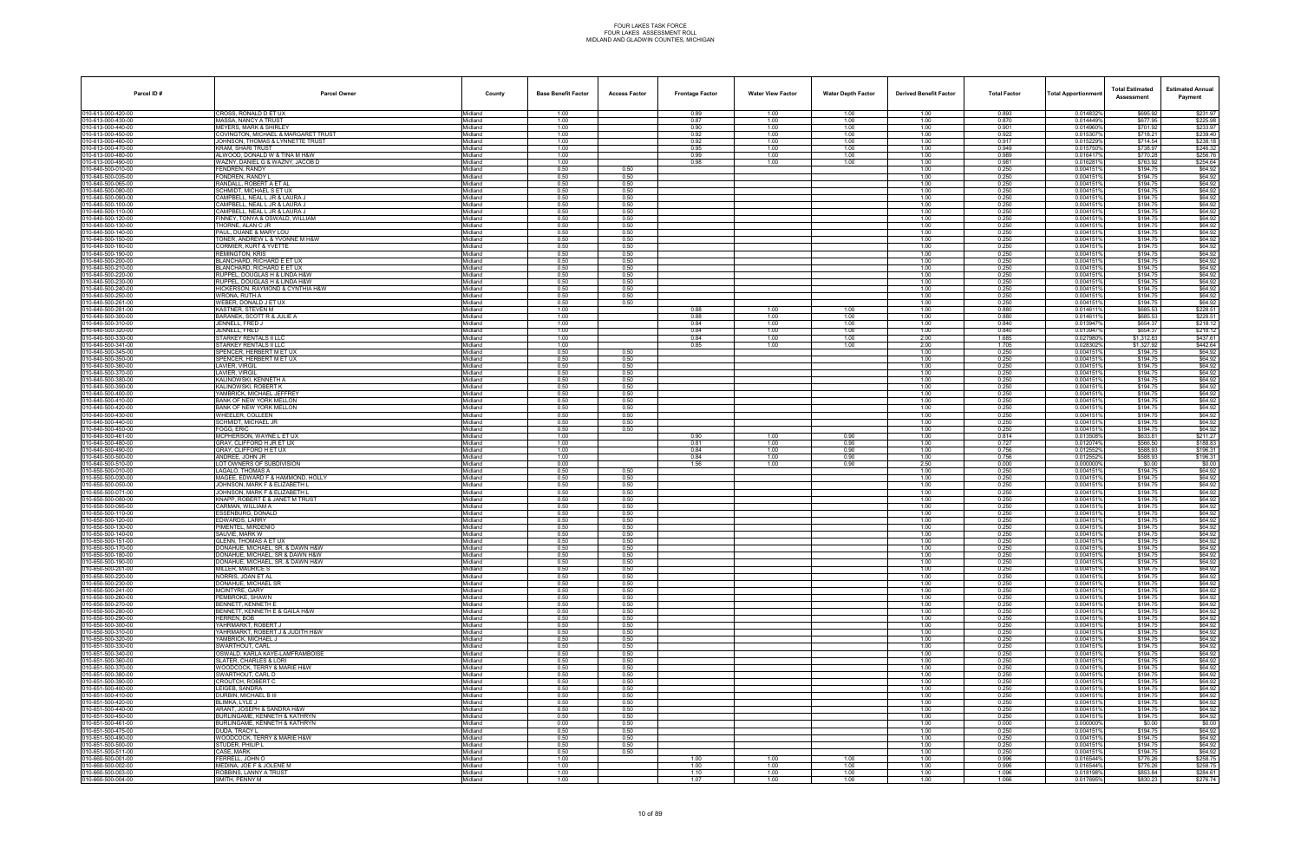| Parcel ID#                              | <b>Parcel Owner</b>                                                | County             | <b>Base Benefit Factor</b> | <b>Access Factor</b> | <b>Frontage Factor</b> | <b>Water View Factor</b> | <b>Water Depth Factor</b> | <b>Derived Benefit Factor</b> | <b>Total Factor</b> | <b>Total Apportionmer</b> | <b>Total Estimated</b><br>Assessment | <b>Estimated Annual</b><br>Payment |
|-----------------------------------------|--------------------------------------------------------------------|--------------------|----------------------------|----------------------|------------------------|--------------------------|---------------------------|-------------------------------|---------------------|---------------------------|--------------------------------------|------------------------------------|
| 010-613-000-420-00                      | CROSS, RONALD D ET UX                                              | Midland            | 1.00                       |                      | 0.89                   | 1.00                     | 1.00                      | 1.00                          | 0.893               | 0.014832%                 | \$695.92                             | \$231.97                           |
| 10-613-000-430-00<br>10-613-000-440-00  | MASSA, NANCY A TRUST<br>MEYERS. MARK & SHIRLEY                     | Midland<br>Midland | 1.00<br>1.00               |                      | 0.87<br>0.90           | 1.00<br>1.00             | 1.00<br>1.00              | 1.00<br>1.00                  | 0.870<br>0.901      | 0.014449%<br>0.014960%    | \$677.95<br>\$701.92                 | \$225.98<br>\$233.97               |
| 10-613-000-450-00                       | COVINGTON, MICHAEL & MARGARET TRUST                                | Midland            | 1.00                       |                      | 0.92                   | 1.00                     | 1.00                      | 1.00                          | 0.922               | 0.0153079                 | \$718.21                             | \$239.40                           |
| 10-613-000-460-00                       | JOHNSON, THOMAS & LYNNETTE TRUST                                   | Midland            | 1.00                       |                      | 0.92                   | 1.00                     | 1.00                      | 1.00                          | 0.917               | 0.015229%                 | \$714.54                             | \$238.18                           |
| 10-613-000-470-00<br>10-613-000-480-00  | KRAM, SHARI TRUST<br>ALWOOD, DONALD W & TINA M H&W                 | Midland<br>Midland | 1.00<br>1.00               |                      | 0.95<br>0.99           | 1.00<br>1.00             | 1.00<br>1.00              | 1.00<br>1.00                  | 0.949<br>0.989      | 0.0157509<br>0.0164179    | \$738.97<br>\$770.28                 | \$246.32<br>\$256.76               |
| 0-613-000-490-00                        | WAZNY, DANIEL G & WAZNY, JACOB D                                   | Midland            | 1.00                       |                      | 0.98                   | 1.00                     | 1.00                      | 1.00                          | 0.981               | 0.0162819                 | \$763.92                             | \$254.64                           |
| 10-640-500-010-00                       | FENDREN, RANDY                                                     | Midland            | 0.50                       | 0.50                 |                        |                          |                           | 1.00                          | 0.250               | 0.0041519                 | \$194.75                             | \$64.92                            |
| 10-640-500-035-00<br>10-640-500-065-00  | FONDREN, RANDY L<br>RANDALL, ROBERT A ET AL                        | Midland<br>Midland | 0.50<br>0.50               | 0.50<br>0.50         |                        |                          |                           | 1.00<br>1.00                  | 0.250<br>0.250      | 0.0041519<br>0.0041519    | \$194.75<br>\$194.75                 | \$64.92<br>\$64.92                 |
| 10-640-500-080-00                       | SCHMIDT, MICHAEL S ET UX                                           | Midland            | 0.50                       | 0.50                 |                        |                          |                           | 1.00                          | 0.250               | 0.0041519                 | \$194.75                             | \$64.92                            |
| 10-640-500-090-00                       | AMPBELL, NEAL L JR & LAURA J                                       | Midland            | 0.50                       | 0.50                 |                        |                          |                           | 1.00                          | 0.250               | 0.0041519                 | \$194.75                             | \$64.92                            |
| 10-640-500-100-00<br>10-640-500-110-00  | CAMPBELL, NEAL L JR & LAURA J<br>CAMPBELL, NEAL L JR & LAURA J     | Midland<br>Midland | 0.50<br>0.50               | 0.50<br>0.50         |                        |                          |                           | 1.00<br>1.00                  | 0.250<br>0.250      | 0.0041519<br>0.0041519    | \$194.75<br>\$194.75                 | \$64.92<br>\$64.92                 |
| 10-640-500-120-00                       | FINNEY, TONYA & OSWALD, WILLIAM                                    | Midland            | 0.50                       | 0.50                 |                        |                          |                           | 1.00                          | 0.250               | 0.0041519                 | \$194.75                             | \$64.92                            |
| 10-640-500-130-00                       | THORNE, ALAN C JR                                                  | Midland            | 0.50                       | 0.50                 |                        |                          |                           | 1.00                          | 0.250               | 0.0041519                 | \$194.75                             | \$64.92                            |
| 10-640-500-140-00                       | PAUL, DUANE & MARY LOU<br>TONER, ANDREW L & YVONNE M H&W           | Aidland            | 0.50                       | 0.50                 |                        |                          |                           | 1.00                          | 0.250               | 0.004151<br>0.0041519     | \$194.75<br>\$194.75                 | \$64.92<br>\$64.92                 |
| 10-640-500-150-00<br>10-640-500-160-00  | CORMIER, KURT & YVETTE                                             | Midland<br>Midland | 0.50<br>0.50               | 0.50<br>0.50         |                        |                          |                           | 1.00<br>1.00                  | 0.250<br>0.250      | 0.004151                  | \$194.75                             | \$64.92                            |
| 10-640-500-190-00                       | REMINGTON, KRIS                                                    | Midland            | 0.50                       | 0.50                 |                        |                          |                           | 1.00                          | 0.250               | 0.0041519                 | \$194.75                             | \$64.92                            |
| 10-640-500-200-00                       | BLANCHARD, RICHARD E ET UX                                         | Midland            | 0.50<br>0.50               | 0.50                 |                        |                          |                           | 1.00                          | 0.250               | 0.0041519                 | \$194.75                             | \$64.92                            |
| 0-640-500-210-00<br>10-640-500-220-00   | <b>BLANCHARD, RICHARD E ET UX</b><br>RUPPEL, DOUGLAS H & LINDA H&W | Midland<br>Midland | 0.50                       | 0.50<br>0.50         |                        |                          |                           | 1.00<br>1.00                  | 0.250<br>0.250      | 0.004151<br>0.0041519     | \$194.75<br>\$194.75                 | \$64.92<br>\$64.92                 |
| 10-640-500-230-00                       | RUPPEL, DOUGLAS H & LINDA H&W                                      | Midland            | 0.50                       | 0.50                 |                        |                          |                           | 1.00                          | 0.250               | 0.0041519                 | \$194.75                             | \$64.92                            |
| 10-640-500-240-00                       | HICKERSON, RAYMOND & CYNTHIA H&W                                   | Midland            | 0.50                       | 0.50                 |                        |                          |                           | 1.00                          | 0.250               | 0.0041519                 | \$194.75                             | \$64.92                            |
| 10-640-500-250-00<br>10-640-500-261-00  | WRONA, RUTH A<br>WEBER, DONALD J ET UX                             | Midland<br>Aidland | 0.50<br>0.50               | 0.50<br>0.50         |                        |                          |                           | 1.00<br>1.00                  | 0.250<br>0.250      | 0.0041519<br>0.004151     | \$194.75<br>\$194.75                 | \$64.92<br>\$64.92                 |
| 10-640-500-281-00                       | KASTNER, STEVEN M                                                  | Midland            | 1.00                       |                      | 0.88                   | 1.00                     | 1.00                      | 1.00                          | 0.880               | 0.014611                  | \$685.53                             | \$228.51                           |
| 10-640-500-300-00                       | <b>BARANEK, SCOTT R &amp; JULIE A</b>                              | Midland            | 1.00                       |                      | 0.88                   | 1.00                     | 1.00                      | 1.00                          | 0.880               | 0.014611                  | \$685.53                             | \$228.51                           |
| 10-640-500-310-00                       | JENNELL, FRED J                                                    | Midland            | 1.00                       |                      | 0.84                   | 1.00                     | 1.00                      | 1.00<br>1.00                  | 0.840<br>0.840      | 0.013947%<br>0.013947%    | \$654.37<br>\$654.37                 | \$218.12<br>\$218.12               |
| 10-640-500-320-00<br>10-640-500-330-00  | JENNELL, FRED<br>STARKEY RENTALS II LLC                            | Midland<br>Aidland | 1.00<br>1.00               |                      | 0.84<br>0.84           | 1.00<br>1.00             | 1.00<br>1.00              | 2.00                          | 1.685               | 0.027980%                 | \$1,312.83                           | \$437.61                           |
| 10-640-500-341-00                       | STARKEY RENTALS ILLLC                                              | Midland            | 1.00                       |                      | 0.85                   | 1.00                     | 1.00                      | 2.00                          | 1.705               | 0.028302%                 | \$1,327.92                           | \$442.64                           |
| 10-640-500-345-00                       | SPENCER, HERBERT M ET UX                                           | Midland            | 0.50                       | 0.50                 |                        |                          |                           | 1.00                          | 0.250               | 0.0041519                 | \$194.75                             | \$64.92                            |
| 10-640-500-350-00<br>10-640-500-360-00  | SPENCER, HERBERT M ET UX<br>LAVIER, VIRGIL                         | Midland<br>Midland | 0.50<br>0.50               | 0.50<br>0.50         |                        |                          |                           | 1.00<br>1.00                  | 0.250<br>0.250      | 0.0041519<br>0.0041519    | \$194.75<br>\$194.75                 | \$64.92<br>\$64.92                 |
| 10-640-500-370-00                       | <b>AVIER, VIRGIL</b>                                               | Aidland            | 0.50                       | 0.50                 |                        |                          |                           | 1.00                          | 0.250               | 0.004151                  | \$194.75                             | \$64.92                            |
| 10-640-500-380-00                       | KALINOWSKI, KENNETH A                                              | Midland            | 0.50                       | 0.50                 |                        |                          |                           | 1.00                          | 0.250               | 0.0041519                 | \$194.75                             | \$64.92                            |
| 10-640-500-390-00<br>10-640-500-400-00  | KALINOWSKI, ROBERT K<br>YAMBRICK, MICHAEL JEFFREY                  | Midland<br>Midland | 0.50<br>0.50               | 0.50<br>0.50         |                        |                          |                           | 1.00<br>1.00                  | 0.250<br>0.250      | 0.004151<br>0.0041519     | \$194.75<br>\$194.75                 | \$64.92<br>\$64.92                 |
| 10-640-500-410-00                       | BANK OF NEW YORK MELLON                                            | Midland            | 0.50                       | 0.50                 |                        |                          |                           | 1.00                          | 0.250               | 0.0041519                 | \$194.75                             | \$64.92                            |
| 10-640-500-420-00                       | BANK OF NEW YORK MELLON                                            | Aidland            | 0.50                       | 0.50                 |                        |                          |                           | 1.00                          | 0.250               | 0.004151                  | \$194.75                             | \$64.92                            |
| 10-640-500-430-00<br>10-640-500-440-00  | WHEELER, COLLEEN<br>SCHMIDT, MICHAEL JR                            | Midland<br>Midland | 0.50<br>0.50               | 0.50<br>0.50         |                        |                          |                           | 1.00<br>1.00                  | 0.250<br>0.250      | 0.004151%<br>0.0041519    | \$194.75<br>\$194.75                 | \$64.92<br>\$64.92                 |
| 10-640-500-450-00                       | FOGG, ERIC                                                         | Midland            | 0.50                       | 0.50                 |                        |                          |                           | 1.00                          | 0.250               | 0.0041519                 | \$194.75                             | \$64.92                            |
| 10-640-500-461-00                       | MCPHERSON, WAYNE L ET UX                                           | Midland            | 1.00                       |                      | 0.90                   | 1.00                     | 0.90                      | 1.00                          | 0.814               | 0.0135089                 | \$633.81                             | \$211.27                           |
| 0-640-500-480-00<br>0-640-500-490-00    | RAY, CLIFFORD H JR ET UX<br>GRAY, CLIFFORD H ET UX                 | Aidland<br>Midland | 1.00<br>1.00               |                      | 0.81<br>0.84           | 1.00<br>1.00             | 0.90<br>0.90              | 1.00<br>1.00                  | 0.727<br>0.756      | 0.012074%<br>0.012552%    | \$566.50<br>\$588.93                 | \$188.83<br>\$196.31               |
| 10-640-500-500-00                       | ANDREE, JOHN JR                                                    | Midland            | 1.00                       |                      | 0.84                   | 1.00                     | 0.90                      | 1.00                          | 0.756               | 0.0125529                 | \$588.93                             | \$196.31                           |
| 10-640-500-510-00                       | LOT OWNERS OF SUBDIVISION                                          | Midland            | 0.00                       |                      | 1.56                   | 1.00                     | 0.90                      | 2.50                          | 0.000               | 0.000000%                 | \$0.00                               | \$0.00                             |
| 10-650-500-010-00<br>10-650-500-030-00  | AGALO, THOMAS A<br>MAGEE, EDWARD F & HAMMOND, HOLLY                | Midland<br>Aidland | 0.50<br>0.50               | 0.50<br>0.50         |                        |                          |                           | 1.00<br>1.00                  | 0.250<br>0.250      | 0.0041519<br>0.004151     | \$194.75<br>\$194.75                 | \$64.92<br>\$64.92                 |
| 10-650-500-050-00                       | JOHNSON, MARK F & ELIZABETH L                                      | Midland            | 0.50                       | 0.50                 |                        |                          |                           | 1.00                          | 0.250               | 0.004151%                 | \$194.75                             | \$64.92                            |
| 10-650-500-071-00                       | <b>JOHNSON, MARK F &amp; ELIZABETH L</b>                           | Midland            | 0.50                       | 0.50                 |                        |                          |                           | 1.00                          | 0.250               | 0.0041519                 | \$194.75                             | \$64.92                            |
| 10-650-500-080-00<br>10-650-500-095-00  | KNAPP, ROBERT E & JANET M TRUST<br>CARMAN, WILLIAM A               | Midland<br>Midland | 0.50<br>0.50               | 0.50<br>0.50         |                        |                          |                           | 1.00<br>1.00                  | 0.250<br>0.250      | 0.0041519<br>0.0041519    | \$194.75<br>\$194.75                 | \$64.92<br>\$64.92                 |
| 0-650-500-110-00                        | <b>ESSENBURG, DONALD</b>                                           | Aidland            | 0.50                       | 0.50                 |                        |                          |                           | 1.00                          | 0.250               | 0.004151                  | \$194.75                             | \$64.92                            |
| 10-650-500-120-00                       | EDWARDS, LARRY                                                     | Midland            | 0.50                       | 0.50                 |                        |                          |                           | 1.00                          | 0.250               | 0.004151%                 | \$194.75                             | \$64.92                            |
| 10-650-500-130-00                       | PIMENTEL, MIRDENIO                                                 | Midland            | 0.50                       | 0.50                 |                        |                          |                           | 1.00                          | 0.250               | 0.004151                  | \$194.75                             | \$64.92                            |
| 10-650-500-140-00<br>10-650-500-151-00  | SAUVIE. MARK W<br><b>GLENN, THOMAS A ET UX</b>                     | Midland<br>Midland | 0.50<br>0.50               | 0.50<br>0.50         |                        |                          |                           | 1.00<br>1.00                  | 0.250<br>0.250      | 0.004151<br>0.0041519     | \$194.75<br>\$194.75                 | \$64.92<br>\$64.92                 |
| 010-650-500-170-00                      | DONAHUE, MICHAEL, SR, & DAWN H&W                                   | Aidland            | 0.50                       | 0.50                 |                        |                          |                           | 1.00                          | 0.250               | 0.004151                  | \$194.75                             | \$64.92                            |
| 10-650-500-180-00                       | DONAHUE, MICHAEL, SR & DAWN H&W                                    | Midland            | 0.50                       | 0.50                 |                        |                          |                           | 1.00                          | 0.250               | 0.004151%                 | \$194.75                             | \$64.92                            |
| 10-650-500-190-00<br>10-650-500-201-00  | DONAHUE, MICHAEL, SR. & DAWN H&W<br>MILLER, MAURICE S              | Midland<br>Midland | 0.50<br>0.50               | 0.50<br>0.50         |                        |                          |                           | 1.00<br>1.00                  | 0.250<br>0.250      | 0.0041519<br>0.004151%    | \$194.75<br>\$194.75                 | \$64.92<br>\$64.92                 |
| 10-650-500-220-00                       | NORRIS, JOAN ET AL                                                 | Midland            | 0.50                       | 0.50                 |                        |                          |                           | 1.00                          | 0.250               | 0.0041519                 | \$194.75                             | \$64.92                            |
| 10-650-500-230-00                       | DONAHUE, MICHAEL SR                                                | Midland            | 0.50                       | 0.50                 |                        |                          |                           | 1.00                          | 0.250               | 0.004151                  | \$194.75                             | \$64.92                            |
| 10-650-500-241-00<br>10-650-500-260-00  | MCINTYRE, GARY<br><b>PEMBROKE, SHAWN</b>                           | Midland<br>Midland | 0.50<br>0.50               | 0.50<br>0.50         |                        |                          |                           | 1.00<br>1.00                  | 0.250<br>0.250      | 0.004151%<br>0.0041519    | \$194.75<br>\$194.75                 | \$64.92<br>\$64.92                 |
| 10-650-500-270-00                       | BENNETT, KENNETH E                                                 | Midland            | 0.50                       | 0.50                 |                        |                          |                           | 1.00                          | 0.250               | 0.0041519                 | \$194.75                             | \$64.92                            |
| 10-650-500-280-00                       | BENNETT, KENNETH E & GAILA H&W                                     | Midland            | 0.50                       | 0.50                 |                        |                          |                           | 1.00                          | 0.250               | 0.0041519                 | \$194.75                             | \$64.92                            |
| 10-650-500-290-00<br>010-650-500-300-00 | IERREN, BOB<br>YAHRMARKT, ROBERT J                                 | Midland<br>Midland | 0.50<br>0.50               | 0.50<br>0.50         |                        |                          |                           | 1.00<br>1.00                  | 0.250<br>0.250      | 0.0041519<br>0.004151%    | \$194.75<br>\$194.75                 | \$64.92<br>\$64.92                 |
| 10-650-500-310-00                       | YAHRMARKT, ROBERT J & JUDITH H&W                                   | Midland            | 0.50                       | 0.50                 |                        |                          |                           | 1.00                          | 0.250               | 0.0041519                 | \$194.75                             | \$64.92                            |
| 10-650-500-320-00                       | YAMBRICK, MICHAEL J                                                | Midland            | 0.50                       | 0.50                 |                        |                          |                           | 1.00                          | 0.250               | 0.0041519                 | \$194.75                             | \$64.92                            |
| 10-651-500-330-00<br>10-651-500-340-00  | SWARTHOUT, CARL<br>SWALD, KARLA KAYE-LAMFRAMBOISE                  | Midland<br>Midland | 0.50<br>0.50               | 0.50<br>0.50         |                        |                          |                           | 1.00<br>1.00                  | 0.250<br>0.250      | 0.0041519<br>0.004151     | \$194.75<br>\$194.75                 | \$64.92<br>\$64.92                 |
| 10-651-500-360-00                       | <b>SLATER, CHARLES &amp; LORI</b>                                  | Midland            | 0.50                       | 0.50                 |                        |                          |                           | 1.00                          | 0.250               | 0.004151%                 | \$194.75                             | \$64.92                            |
| 10-651-500-370-00                       | WOODCOCK, TERRY & MARIE H&W                                        | Midland            | 0.50                       | 0.50                 |                        |                          |                           | 1.00                          | 0.250               | 0.0041519                 | \$194.75                             | \$64.92                            |
| 010-651-500-380-00<br>10-651-500-390-00 | SWARTHOUT, CARL D<br>CROUTCH, ROBERT C                             | Midland<br>Midland | 0.50<br>0.50               | 0.50<br>0.50         |                        |                          |                           | 1.00<br>1.00                  | 0.250<br>0.250      | 0.0041519<br>0.0041519    | \$194.75<br>\$194.75                 | \$64.92<br>\$64.92                 |
| 10-651-500-400-00                       | EIGEB, SANDRA                                                      | Midland            | 0.50                       | 0.50                 |                        |                          |                           | 1.00                          | 0.250               | 0.0041519                 | \$194.75                             | \$64.92                            |
| 010-651-500-410-00                      | DURBIN, MICHAEL B III                                              | Midland            | 0.50                       | 0.50                 |                        |                          |                           | 1.00                          | 0.250               | 0.004151%                 | \$194.75                             | \$64.92                            |
| 10-651-500-420-00<br>10-651-500-440-00  | BLIMKA. LYLE J<br>ARANT. JOSEPH & SANDRA H&W                       | Midland<br>Midland | 0.50<br>0.50               | 0.50<br>0.50         |                        |                          |                           | 1.00                          | 0.250<br>0.250      | 0.0041519<br>0.0041519    | \$194.75<br>\$194.75                 | \$64.92<br>\$64.92                 |
| 10-651-500-450-00                       | BURLINGAME. KENNETH & KATHRYN                                      | Midland            | 0.50                       | 0.50                 |                        |                          |                           | 1.00<br>1.00                  | 0.250               | 0.0041519                 | \$194.75                             | \$64.92                            |
| 10-651-500-461-00                       | BURLINGAME, KENNETH & KATHRYN                                      | Midland            | 0.00                       | 0.50                 |                        |                          |                           | 1.00                          | 0.000               | 0.0000009                 | \$0.00                               | \$0.00                             |
| 010-651-500-475-00<br>10-651-500-490-00 | DUDA, TRACY L<br>WOODCOCK, TERRY & MARIE H&W                       | Midland            | 0.50<br>0.50               | 0.50<br>0.50         |                        |                          |                           | 1.00<br>1.00                  | 0.250<br>0.250      | 0.004151%<br>0.004151%    | \$194.75<br>\$194.75                 | \$64.92<br>\$64.92                 |
| 10-651-500-500-00                       | STUDER, PHILIP L                                                   | Midland<br>Midland | 0.50                       | 0.50                 |                        |                          |                           | 1.00                          | 0.250               | 0.0041519                 | \$194.75                             | \$64.92                            |
| 10-651-500-511-00                       | CASE, MARK                                                         | Midland            | 0.50                       | 0.50                 |                        |                          |                           | 1.00                          | 0.250               | 0.0041519                 | \$194.75                             | \$64.92                            |
| 10-660-500-001-00                       | ERRELL, JOHN O                                                     | Midland            | 1.00                       |                      | 1.00                   | 1.00                     | 1.00                      | 1.00                          | 0.996               | 0.016544%                 | \$776.26                             | \$258.75                           |
| 010-660-500-002-00<br>10-660-500-003-00 | MEDINA. JOE F & JOLENE M<br>ROBBINS, LANNY A TRUST                 | Midland<br>Midland | 1.00<br>1.00               |                      | 1.00<br>1.10           | 1.00<br>1.00             | 1.00<br>1.00              | 1.00<br>1.00                  | 0.996<br>1.096      | 0.016544%<br>0.018198%    | \$776.26<br>\$853.84                 | \$258.75<br>\$284.61               |
| 10-660-500-004-00                       | SMITH, PENNY M                                                     | Midland            | 1.00                       |                      | 1.07                   | 1.00                     | 1.00                      | 1.00                          | 1.066               | 0.017695%                 | \$830.23                             | \$276.74                           |
|                                         |                                                                    |                    |                            |                      |                        |                          |                           |                               |                     |                           |                                      |                                    |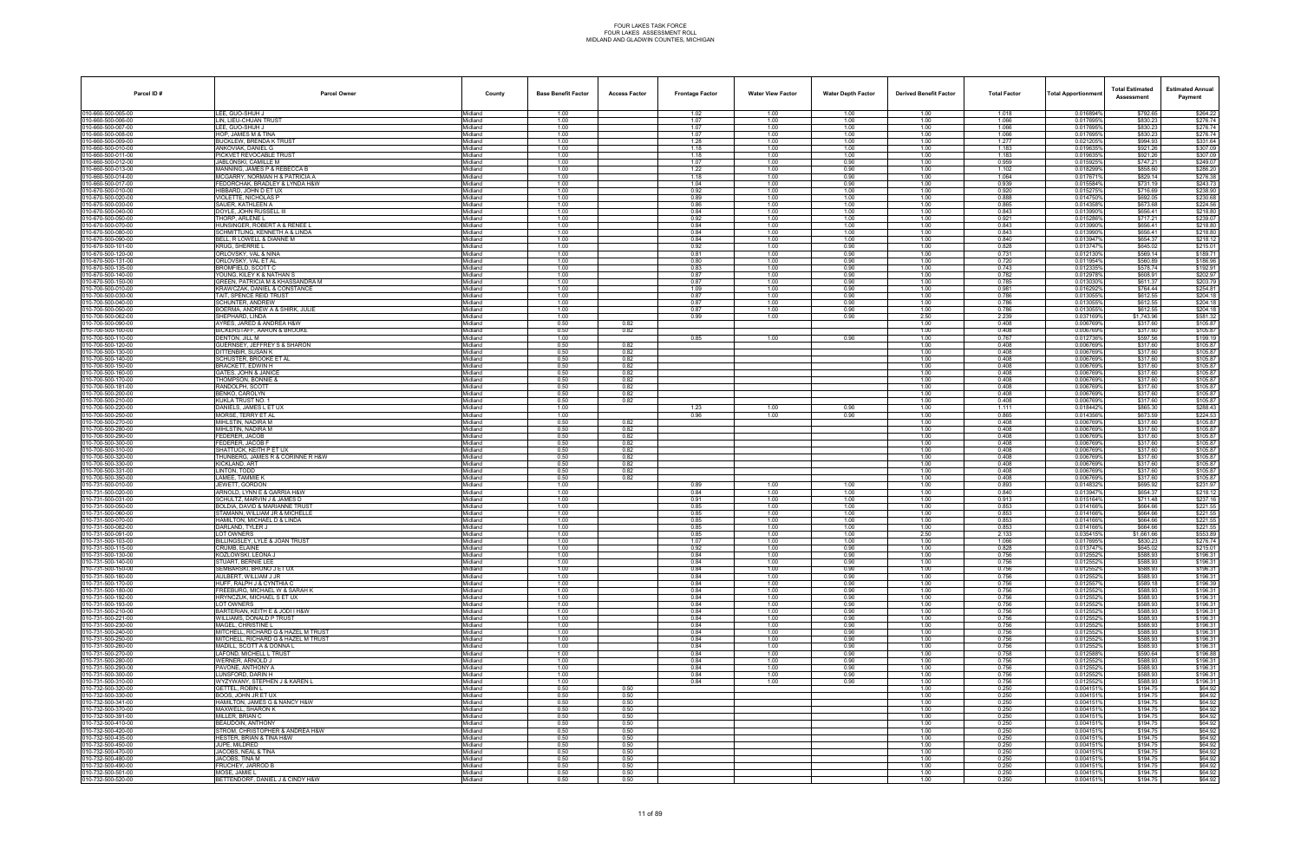| Parcel ID#                               | <b>Parcel Owner</b>                                               | County             | <b>Base Benefit Factor</b> | <b>Access Factor</b> | <b>Frontage Factor</b> | <b>Water View Factor</b> | <b>Water Depth Factor</b> | <b>Derived Benefit Factor</b> | <b>Total Factor</b> | Total Apportionmer     | <b>Total Estimated</b><br>Assessment | <b>Estimated Annual</b><br>Payment |
|------------------------------------------|-------------------------------------------------------------------|--------------------|----------------------------|----------------------|------------------------|--------------------------|---------------------------|-------------------------------|---------------------|------------------------|--------------------------------------|------------------------------------|
| 010-660-500-005-00                       | LEE. GUO-SHUH J                                                   | Midland            | 1.00                       |                      | 1.02                   | 1.00                     | 1.00                      | 1.00                          | 1.018               | 0.016894%              | \$792.65                             | \$264.22                           |
| 10-660-500-006-00<br>0-660-500-007-00    | LIN, LIEU-CHUAN TRUST<br>LEE, GUO-SHUH J                          | Midland<br>Midland | 1.00<br>1.00               |                      | 1.07<br>1.07           | 1.00<br>1.00             | 1.00<br>1.00              | 1.00<br>1.00                  | 1.066<br>1.066      | 0.017695%<br>0.017695% | \$830.23<br>\$830.23                 | \$276.74<br>\$276.74               |
| 10-660-500-008-00                        | <b>HOP. JAMES M &amp; TINA</b>                                    | Midland            | 1.00                       |                      | 1.07                   | 1.00                     | 1.00                      | 1.00                          | 1.066               | 0.017695%              | \$830.23                             | \$276.74                           |
| 10-660-500-009-00                        | <b>BUCKLEW, BRENDA K TRUST</b>                                    | Midland            | 1.00                       |                      | 1.28                   | 1.00                     | 1.00                      | 1.00                          | 1.277               | 0.021205%              | \$994.93                             | \$331.64                           |
| 10-660-500-010-00<br>10-660-500-011-00   | ANKOVIAK, DANIEL G<br>PICKVET REVOCABLE TRUST                     | Midland<br>Midland | 1.00<br>1.00               |                      | 1.18<br>1.18           | 1.00<br>1.00             | 1.00<br>1.00              | 1.00<br>1.00                  | 1.183<br>1.183      | 0.0196359<br>0.019635% | \$921.26<br>\$921.26                 | \$307.09<br>\$307.09               |
| 0-660-500-012-00                         | ABLONSKI. CAMILLE M                                               | Midland            | 1.00                       |                      | 1.07                   | 1.00                     | 0.90                      | 1.00                          | 0.959               | 0.0159259              | \$747.21                             | \$249.07                           |
| 10-660-500-013-00<br>10-660-500-014-00   | MANNING, JAMES P & REBECCA B<br>MCGARRY, NORMAN H & PATRICIA A    | Midland<br>Midland | 1.00<br>1.00               |                      | 1.22<br>1.18           | 1.00<br>1.00             | 0.90<br>0.90              | 1.00<br>1.00                  | 1.102<br>1.064      | 0.018299%<br>0.0176719 | \$858.60<br>\$829.14                 | \$286.20<br>\$276.38               |
| 10-660-500-017-00                        | FEDORCHAK, BRADLEY & LYNDA H&W                                    | Midland            | 1.00                       |                      | 1.04                   | 1.00                     | 0.90                      | 1.00                          | 0.939               | 0.015584%              | \$731.19                             | \$243.73                           |
| 10-670-500-010-00                        | HIBBARD, JOHN D ET UX                                             | Midland            | 1.00                       |                      | 0.92                   | 1.00                     | 1.00                      | 1.00                          | 0.920               | 0.015275%              | \$716.69                             | \$238.90                           |
| 10-670-500-020-00<br>10-670-500-030-00   | VIOLETTE, NICHOLAS P<br>SAUER, KATHLEEN A                         | Midland<br>Midland | 1.00<br>1.00               |                      | 0.89<br>0.86           | 1.00<br>1.00             | 1.00<br>1.00              | 1.00<br>1.00                  | 0.888<br>0.865      | 0.0147509<br>0.0143589 | \$692.05<br>\$673.68                 | \$230.68<br>\$224.56               |
| 10-670-500-040-00                        | DOYLE, JOHN RUSSELL III                                           | Midland            | 1.00                       |                      | 0.84                   | 1.00                     | 1.00                      | 1.00                          | 0.843               | 0.013990%              | \$656.41                             | \$218.80                           |
| 10-670-500-050-00<br>10-670-500-070-00   | THORP, ARLENE L<br>HUNSINGER, ROBERT A & RENEE L                  | Midland<br>Midland | 1.00<br>1.00               |                      | 0.92<br>0.84           | 1.00<br>1.00             | 1.00<br>1.00              | 1.00<br>1.00                  | 0.921<br>0.843      | 0.015286%<br>0.013990% | \$717.21<br>\$656.41                 | \$239.07<br>\$218.80               |
| 10-670-500-080-00                        | SCHMITTLING, KENNETH A & LINDA                                    | Aidland            | 1.00                       |                      | 0.84                   | 1.00                     | 1.00                      | 1.00                          | 0.843               | 0.013990%              | \$656.41                             | \$218.80                           |
| 10-670-500-090-00                        | BELL, R LOWELL & DIANNE M                                         | Midland            | 1.00                       |                      | 0.84                   | 1.00                     | 1.00                      | 1.00                          | 0.840               | 0.0139479              | \$654.37                             | \$218.12                           |
| 10-670-500-101-00<br>10-670-500-120-00   | KRUG, SHERRIE L<br>ORLOVSKY, VAL & NINA                           | Midland<br>Midland | 1.00<br>1.00               |                      | 0.92<br>0.81           | 1.00<br>1.00             | 0.90<br>0.90              | 1.00<br>1.00                  | 0.828<br>0.731      | 0.0137479<br>0.0121309 | \$645.02<br>\$569.14                 | \$215.01<br>\$189.71               |
| 10-670-500-131-00                        | ORLOVSKY, VAL ET AL                                               | Midland            | 1.00                       |                      | 0.80                   | 1.00                     | 0.90                      | 1.00                          | 0.720               | 0.011954%              | \$560.89                             | \$186.96                           |
| 10-670-500-135-00<br>10-670-500-140-00   | ROMFIELD, SCOTT C<br>YOUNG. KILEY K & NATHAN S                    | Midland<br>Midland | 1.00<br>1.00               |                      | 0.83<br>0.87           | 1.00<br>1.00             | 0.90<br>0.90              | 1.00<br>1.00                  | 0.743<br>0.782      | 0.012335%<br>0.012978% | \$578.74<br>\$608.91                 | \$192.91<br>\$202.97               |
| 10-670-500-150-00                        | GREEN, PATRICIA M & KHASSANDRA M                                  | Midland            | 1.00                       |                      | 0.87                   | 1.00                     | 0.90                      | 1.00                          | 0.785               | 0.0130309              | \$611.37                             | \$203.79                           |
| 10-700-500-010-00                        | KRAWCZAK, DANIEL & CONSTANCE                                      | Midland            | 1.00                       |                      | 1.09                   | 1.00                     | 0.90                      | 1.00                          | 0.981               | 0.016292%              | \$764.44                             | \$254.81                           |
| 10-700-500-030-00<br>10-700-500-040-00   | TAIT, SPENCE REID TRUST<br><b>SCHUNTER, ANDREW</b>                | Midland<br>Aidland | 1.00<br>1.00               |                      | 0.87<br>0.87           | 1.00<br>1.00             | 0.90<br>0.90              | 1.00<br>1.00                  | 0.786<br>0.786      | 0.0130559<br>0.013055% | \$612.55<br>\$612.55                 | \$204.18<br>\$204.18               |
| 10-700-500-050-00                        | BOERMA, ANDREW A & SHIRK, JULIE                                   | Midland            | 1.00                       |                      | 0.87                   | 1.00                     | 0.90                      | 1.00                          | 0.786               | 0.013055%              | \$612.55                             | \$204.18                           |
| 10-700-500-062-00<br>010-700-500-090-00  | SHEPHARD, LINDA<br>AYRES, JARED & ANDREA H&W                      | Midland<br>Midland | 1.00<br>0.50               | 0.82                 | 0.99                   | 1.00                     | 0.90                      | 2.50<br>1.00                  | 2.239<br>0.408      | 0.037169%<br>0.006769% | \$1,743.96<br>\$317.60               | \$581.32<br>\$105.87               |
| 10-700-500-100-00                        | <b>BICKERSTAFF, AARON &amp; BROOKE</b>                            | Midland            | 0.50                       | 0.82                 |                        |                          |                           | 1.00                          | 0.408               | 0.006769%              | \$317.60                             | \$105.87                           |
| 10-700-500-110-00                        | denton, jill m                                                    | Midland            | 1.00                       |                      | 0.85                   | 1.00                     | 0.90                      | 1.00                          | 0.767               | 0.012736%              | \$597.56                             | \$199.19                           |
| 10-700-500-120-00<br>10-700-500-130-00   | <b>GUERNSEY, JEFFREY S &amp; SHARON</b><br>DITTENBIR, SUSAN K     | Midland<br>Midland | 0.50<br>0.50               | 0.82<br>0.82         |                        |                          |                           | 1.00<br>1.00                  | 0.408<br>0.408      | 0.006769%<br>0.0067699 | \$317.60<br>\$317.60                 | \$105.87<br>\$105.87               |
| 10-700-500-140-00                        | SCHUSTER, BROOKE ET AL                                            | Midland            | 0.50                       | 0.82                 |                        |                          |                           | 1.00                          | 0.408               | 0.006769%              | \$317.60                             | \$105.87                           |
| 10-700-500-150-00<br>10-700-500-160-00   | BRACKETT, EDWIN H<br>GATES, JOHN & JANICE                         | Midland<br>Aidland | 0.50<br>0.50               | 0.82<br>0.82         |                        |                          |                           | 1.00<br>1.00                  | 0.408<br>0.408      | 0.0067699<br>0.0067699 | \$317.60<br>\$317.60                 | \$105.87<br>\$105.87               |
| 10-700-500-170-00                        | THOMPSON, BONNIE &                                                | Midland            | 0.50                       | 0.82                 |                        |                          |                           | 1.00                          | 0.408               | 0.006769%              | \$317.60                             | \$105.87                           |
| 10-700-500-181-00                        | RANDOLPH, SCOTT                                                   | Midland            | 0.50                       | 0.82                 |                        |                          |                           | 1.00                          | 0.408               | 0.006769               | \$317.60                             | \$105.87                           |
| 10-700-500-200-00<br>10-700-500-210-00   | BENKO, CAROLYN<br>KUKLA TRUST NO. 1                               | Midland<br>Midland | 0.50<br>0.50               | 0.82<br>0.82         |                        |                          |                           | 1.00<br>1.00                  | 0.408<br>0.408      | 0.006769%<br>0.0067699 | \$317.60<br>\$317.60                 | \$105.87<br>\$105.87               |
| 10-700-500-220-00                        | )ANIELS, JAMES L ET UX                                            | Aidland            | 1.00                       |                      | 1.23                   | 1.00                     | 0.90                      | 1.00                          | 1.111               | 0.018442%              | \$865.30                             | \$288.43                           |
| 10-700-500-250-00                        | MORSE, TERRY ET AL<br>MIHLSTIN, NADIRA M                          | Midland            | 1.00                       |                      | 0.96                   | 1.00                     | 0.90                      | 1.00                          | 0.865               | 0.014356%<br>0.0067699 | \$673.59                             | \$224.53                           |
| 10-700-500-270-00<br>010-700-500-280-00  | MIHLSTIN, NADIRA M                                                | Midland<br>Midland | 0.50<br>0.50               | 0.82<br>0.82         |                        |                          |                           | 1.00<br>1.00                  | 0.408<br>0.408      | 0.006769%              | \$317.60<br>\$317.60                 | \$105.87<br>\$105.87               |
| 10-700-500-290-00                        | FEDERER, JACOB                                                    | Midland            | 0.50                       | 0.82                 |                        |                          |                           | 1.00                          | 0.408               | 0.0067699              | \$317.60                             | \$105.87                           |
| 10-700-500-300-00<br>10-700-500-310-00   | EDERER, JACOB F<br>SHATTUCK, KEITH P ET UX                        | Aidland<br>Midland | 0.50<br>0.50               | 0.82<br>0.82         |                        |                          |                           | 1.00<br>1.00                  | 0.408<br>0.408      | 0.006769<br>0.006769%  | \$317.60<br>\$317.60                 | \$105.87<br>\$105.87               |
| 10-700-500-320-00                        | THUNBERG, JAMES R & CORINNE R H&W                                 | Midland            | 0.50                       | 0.82                 |                        |                          |                           | 1.00                          | 0.408               | 0.0067699              | \$317.60                             | \$105.87                           |
| 010-700-500-330-00<br>10-700-500-331-00  | KICKLAND, ART<br>INTON, TODD                                      | Midland            | 0.50<br>0.50               | 0.82<br>0.82         |                        |                          |                           | 1.00<br>1.00                  | 0.408<br>0.408      | 0.006769%<br>0.0067699 | \$317.60<br>\$317.60                 | \$105.87<br>\$105.87               |
| 10-700-500-350-00                        | LAMEE, TAMMIE K                                                   | Midland<br>Aidland | 0.50                       | 0.82                 |                        |                          |                           | 1.00                          | 0.408               | 0.0067699              | \$317.60                             | \$105.87                           |
| 010-731-500-010-00                       | JEWETT, GORDON                                                    | Midland            | 1.00                       |                      | 0.89                   | 1.00                     | 1.00                      | 1.00                          | 0.893               | 0.014832%              | \$695.92                             | \$231.97                           |
| 10-731-500-020-00<br>010-731-500-031-00  | ARNOLD, LYNN E & GARRIA H&W<br>SCHULTZ, MARVIN J & JAMES D        | Midland<br>Midland | 1.00<br>1.00               |                      | 0.84<br>0.91           | 1.00<br>1.00             | 1.00<br>1.00              | 1.00<br>1.00                  | 0.840<br>0.913      | 0.013947%<br>0.015164% | \$654.37<br>\$711.48                 | \$218.12<br>\$237.16               |
| 10-731-500-050-00                        | <b>BOLDIA, DAVID &amp; MARIANNE TRUS</b>                          | Midland            | 1.00                       |                      | 0.85                   | 1.00                     | 1.00                      | 1.00                          | 0.853               | 0.0141669              | \$664.66                             | \$221.55                           |
| 10-731-500-060-00<br>010-731-500-070-00  | STAMANN. WILLIAM JR & MICHELLE<br>HAMILTON, MICHAEL D & LINDA     | Aidland<br>Midland | 1.00<br>1.00               |                      | 0.85<br>0.85           | 1.00<br>1.00             | 1.00<br>1.00              | 1.00<br>1.00                  | 0.853<br>0.853      | 0.0141669<br>0.014166% | \$664.66<br>\$664.66                 | \$221.55<br>\$221.55               |
| 10-731-500-082-00                        | DARLAND, TYLER J                                                  | Midland            | 1.00                       |                      | 0.85                   | 1.00                     | 1.00                      | 1.00                          | 0.853               | 0.0141669              | \$664.66                             | \$221.55                           |
| 010-731-500-091-00                       | <b>LOT OWNERS</b>                                                 | Midland            | 1.00                       |                      | 0.85                   | 1.00                     | 1.00                      | 2.50                          | 2.133               | 0.035415%              | \$1,661.66                           | \$553.89                           |
| 010-731-500-103-00<br>010-731-500-115-00 | <b>BILLINGSLEY, LYLE &amp; JOAN TRUST</b><br><b>CRUMB, ELAINE</b> | Midland<br>Aidland | 1.00<br>1.00               |                      | 1.07<br>0.92           | 1.00<br>1.00             | 1.00<br>0.90              | 1.00<br>1.00                  | 1.066<br>0.828      | 0.0176959<br>0.013747% | \$830.23<br>\$645.02                 | \$276.74<br>\$215.01               |
| 010-731-500-130-00                       | KOZLOWSKI, LEONA J                                                | Midland            | 1.00                       |                      | 0.84                   | 1.00                     | 0.90                      | 1.00                          | 0.756               | 0.012552%              | \$588.93                             | \$196.31                           |
| 10-731-500-140-00<br>010-731-500-150-00  | STUART, BERNIE LEE<br>SEMBARSKI, BRUNO J ET UX                    | Midland<br>Midland | 1.00<br>1.00               |                      | 0.84<br>0.84           | 1.00<br>1.00             | 0.90<br>0.90              | 1.00<br>1.00                  | 0.756<br>0.756      | 0.012552%<br>0.012552% | \$588.93<br>\$588.93                 | \$196.31<br>\$196.31               |
| 010-731-500-160-00                       | AULBERT, WILLIAM J JR                                             | Midland            | 1.00                       |                      | 0.84                   | 1.00                     | 0.90                      | 1.00                          | 0.756               | 0.0125529              | \$588.93                             | \$196.31                           |
| 10-731-500-170-00                        | HUFF, RALPH J & CYNTHIA C                                         | Midland            | 1.00                       |                      | 0.84                   | 1.00                     | 0.90                      | 1.00                          | 0.756               | 0.012557               | \$589.18                             | \$196.39                           |
| 010-731-500-180-00<br>10-731-500-192-00  | FREEBURG. MICHAEL W & SARAH K<br>HRYNCZUK, MICHAEL S ET UX        | Midland<br>Midland | 1.00<br>1.00               |                      | 0.84<br>0.84           | 1.00<br>1.00             | 0.90<br>0.90              | 1.00<br>1.00                  | 0.756<br>0.756      | 0.012552%<br>0.012552% | \$588.93<br>\$588.93                 | \$196.31<br>\$196.31               |
| 010-731-500-193-00                       | LOT OWNERS                                                        | Midland            | 1.00                       |                      | 0.84                   | 1.00                     | 0.90                      | 1.00                          | 0.756               | 0.012552%              | \$588.93                             | \$196.31                           |
| 10-731-500-210-00<br>10-731-500-221-00   | BARTERIAN, KEITH E & JODI I H&W<br>NILLIAMS, DONALD P TRUST       | Midland<br>Midland | 1.00<br>1.00               |                      | 0.84<br>0.84           | 1.00<br>1.00             | 0.90<br>0.90              | 1.00<br>1.00                  | 0.756<br>0.756      | 0.012552%              | \$588.93<br>\$588.93                 | \$196.31<br>\$196.31               |
| 010-731-500-230-00                       | MAGEL. CHRISTINE L                                                | Midland            | 1.00                       |                      | 0.84                   | 1.00                     | 0.90                      | 1.00                          | 0.756               | 0.012552%<br>0.012552% | \$588.93                             | \$196.31                           |
| 010-731-500-240-00                       | MITCHELL, RICHARD G & HAZEL M TRUST                               | Midland            | 1.00                       |                      | 0.84                   | 1.00                     | 0.90                      | 1.00                          | 0.756               | 0.012552%              | \$588.93                             | \$196.31                           |
| 010-731-500-250-00<br>010-731-500-260-00 | MITCHELL, RICHARD G & HAZEL M TRUST<br>MADILL, SCOTT A & DONNA L  | Midland<br>Midland | 1.00<br>1.00               |                      | 0.84<br>0.84           | 1.00<br>1.00             | 0.90<br>0.90              | 1.00<br>1.00                  | 0.756<br>0.756      | 0.012552%<br>0.0125529 | \$588.93<br>\$588.93                 | \$196.31<br>\$196.31               |
| 10-731-500-270-00                        | <b>LAFOND, MICHELL L TRUST</b>                                    | Midland            | 1.00                       |                      | 0.84                   | 1.00                     | 0.90                      | 1.00                          | 0.758               | 0.0125889              | \$590.64                             | \$196.88                           |
| 010-731-500-280-00<br>10-731-500-290-00  | WERNER, ARNOLD J<br>PAVONE, ANTHONY A                             | Midland<br>Midland | 1.00<br>1.00               |                      | 0.84<br>0.84           | 1.00<br>1.00             | 0.90<br>0.90              | 1.00<br>1.00                  | 0.756<br>0.756      | 0.012552%<br>0.012552% | \$588.93<br>\$588.93                 | \$196.31<br>\$196.31               |
| 010-731-500-300-00                       | LUNSFORD, DARIN H                                                 | Midland            | 1.00                       |                      | 0.84                   | 1.00                     | 0.90                      | 1.00                          | 0.756               | 0.012552%              | \$588.93                             | \$196.31                           |
| 010-731-500-310-00                       | WYZYWANY, STEPHEN J & KAREN L                                     | Midland            | 1.00                       |                      | 0.84                   | 1.00                     | 0.90                      | 1.00                          | 0.756               | 0.012552%              | \$588.93                             | \$196.31                           |
| 10-732-500-320-00<br>010-732-500-330-00  | SETTEL, ROBIN L<br>BOOS, JOHN JR ET UX                            | Midland<br>Midland | 0.50<br>0.50               | 0.50<br>0.50         |                        |                          |                           | 1.00<br>1.00                  | 0.250<br>0.250      | 0.0041519<br>0.004151% | \$194.75<br>\$194.75                 | \$64.92<br>\$64.92                 |
| 10-732-500-341-00                        | HAMILTON, JAMES G & NANCY H&W                                     | Midland            | 0.50                       | 0.50                 |                        |                          |                           | 1.00                          | 0.250               | 0.0041519              | \$194.75                             | \$64.92                            |
| 010-732-500-370-00                       | MAXWELL, SHARON K                                                 | Midland            | 0.50                       | 0.50                 |                        |                          |                           | 1.00                          | 0.250               | 0.0041519              | \$194.75                             | \$64.92                            |
| 10-732-500-391-00<br>10-732-500-410-00   | MILLER, BRIAN C<br>BEAUDOIN, ANTHONY                              | Midland<br>Midland | 0.50<br>0.50               | 0.50<br>0.50         |                        |                          |                           | 1.00<br>1.00                  | 0.250<br>0.250      | 0.0041519<br>0.004151  | \$194.75<br>\$194.75                 | \$64.92<br>\$64.92                 |
| 010-732-500-420-00                       | STROM, CHRISTOPHER & ANDREA H&W                                   | Midland            | 0.50                       | 0.50                 |                        |                          |                           | 1.00                          | 0.250               | 0.004151%              | \$194.75                             | \$64.92                            |
| 10-732-500-435-00<br>10-732-500-450-00   | HESTER, BRIAN & TINA H&W<br>JUPE. MILDRED                         | Midland<br>Midland | 0.50<br>0.50               | 0.50<br>0.50         |                        |                          |                           | 1.00<br>1.00                  | 0.250<br>0.250      | 0.0041519<br>0.0041519 | \$194.75<br>\$194.75                 | \$64.92<br>\$64.92                 |
| 10-732-500-470-00                        | JACOBS, NEAL & TINA                                               | Midland            | 0.50                       | 0.50                 |                        |                          |                           | 1.00                          | 0.250               | 0.0041519              | \$194.75                             | \$64.92                            |
| 10-732-500-480-00                        | JACOBS, TINA M                                                    | Midland            | 0.50                       | 0.50                 |                        |                          |                           | 1.00                          | 0.250               | 0.0041519              | \$194.75                             | \$64.92                            |
| 010-732-500-490-00<br>010-732-500-501-00 | FRUCHEY, JARROD B<br>MOSE JAMIE L                                 | Midland<br>Midland | 0.50<br>0.50               | 0.50<br>0.50         |                        |                          |                           | 1.00<br>1.00                  | 0.250<br>0.250      | 0.004151%<br>0.004151% | \$194.75<br>\$194.75                 | \$64.92<br>\$64.92                 |
| 010-732-500-520-00                       | BETTENDORF, DANIEL J & CINDY H&W                                  | Midland            | 0.50                       | 0.50                 |                        |                          |                           | 1.00                          | 0.250               | 0.004151%              | \$194.75                             | \$64.92                            |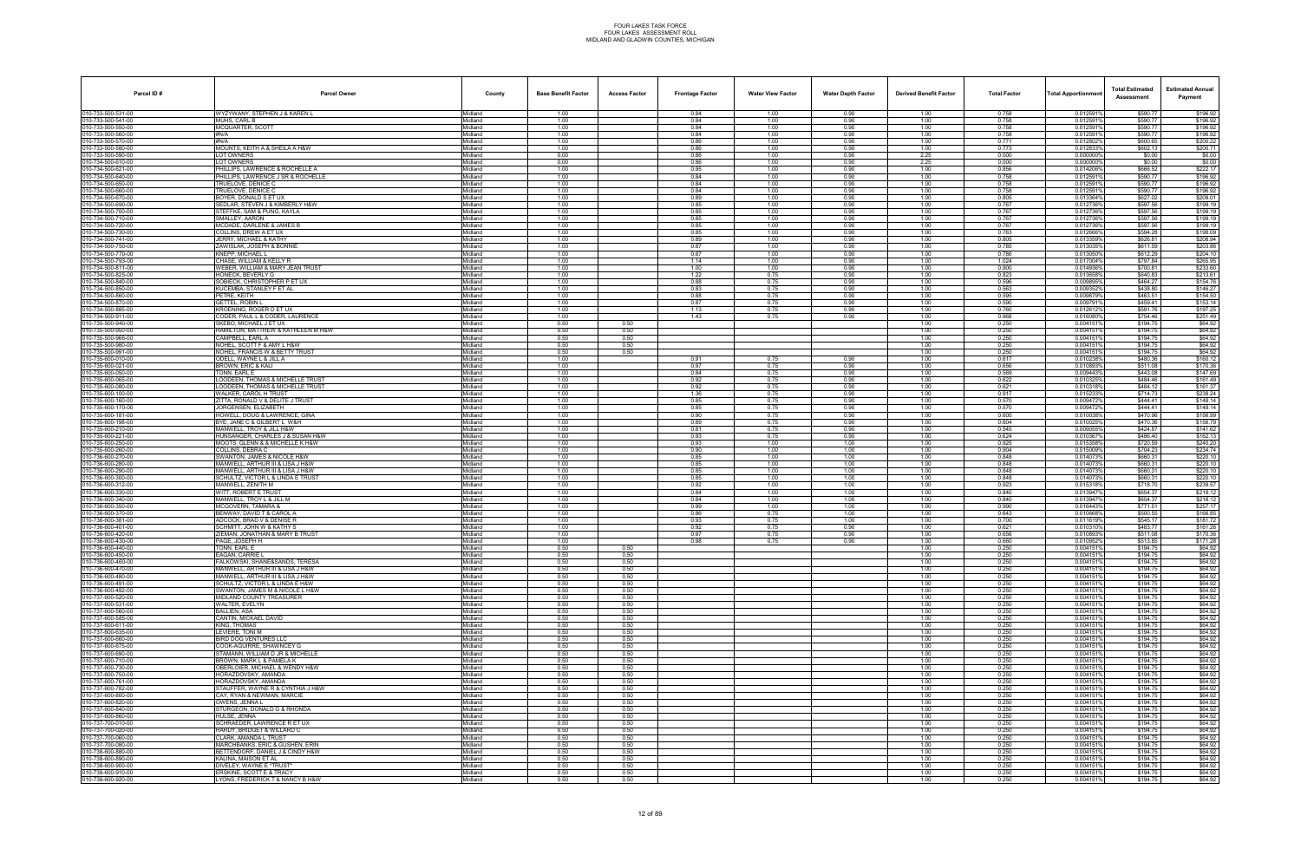| 010-733-500-531-00<br>0.012591%<br>\$590.77<br>WYZYWANY, STEPHEN J & KAREN L<br>1.00<br>0.84<br>1.00<br>0.90<br>1.00<br>0.758<br>Midland<br>010-733-500-541-00<br>1.00<br>1.00<br>1.00<br>0.758<br>0.0125919<br><b>MUHS, CARL B</b><br>Midland<br>0.84<br>0.90<br>\$590.77<br>010-733-500-550-00<br>MCQUARTER, SCOTT<br>Midland<br>1.00<br>0.84<br>1.00<br>1.00<br>0.758<br>0.0125919<br>\$590.77<br>0.90<br>010-733-500-560-00<br>#N/A<br>0.758<br>Midland<br>1.00<br>0.84<br>1.00<br>0.90<br>1.00<br>0.012591%<br>\$590.77<br>010-733-500-570-00<br>0.86<br>#N/A<br>Midland<br>1.00<br>1.00<br>0.90<br>1.00<br>0.771<br>0.012802%<br>\$600.65<br>010-733-500-580-00<br>1.00<br>0.86<br>1.00<br>0.90<br>1.00<br>0.773<br>0.0128339<br>\$602.13<br>MOUNTS, KEITH A & SHEILA A H&W<br>Midland<br>010-733-500-590-00<br>1.00<br>0.90<br>2.25<br>0.000<br>LOT OWNERS<br>Midland<br>0.00<br>0.86<br>0.0000009<br>\$0.00<br>010-734-500-610-00<br>0.00<br>0.000<br><b>LOT OWNERS</b><br>Midland<br>0.86<br>1.00<br>0.90<br>2.25<br>0.000000%<br>\$0.00<br>010-734-500-621-00<br>PHILLIPS, LAWRENCE & ROCHELLE A<br>1.00<br>1.00<br>0.90<br>0.856<br>0.014206%<br>Midland<br>0.95<br>1.00<br>\$666.52<br>010-734-500-640-00<br>PHILLIPS. LAWRENCE J SR & ROCHELLE<br>Midland<br>1.00<br>0.84<br>1.00<br>0.90<br>1.00<br>0.758<br>0.0125919<br>\$590.77<br>010-734-500-650-00<br>TRUELOVE, DENICE C<br>1.00<br>0.84<br>1.00<br>0.90<br>1.00<br>0.758<br>0.0125919<br>\$590.77<br>Midland<br>010-734-500-660-00<br>1.00<br>0.84<br>1.00<br>1.00<br>0.758<br>0.012591%<br>TRUELOVE, DENICE C<br>Midland<br>0.90<br>\$590.77<br>010-734-500-670-00<br>1.00<br>1.00<br>0.805<br>0.013364%<br>\$627.02<br>BOYER. DONALD S ET UX<br>Midland<br>0.89<br>1.00<br>0.90<br>010-734-500-690-00<br>SEDLAR, STEVEN J & KIMBERLY H&W<br>Midland<br>1.00<br>0.85<br>0.90<br>0.767<br>0.012736%<br>\$597.56<br>1.00<br>1.00<br>010-734-500-700-00<br>STEFFKE, SAM & PUNG, KAYLA<br>Midland<br>1.00<br>0.85<br>1.00<br>0.90<br>1.00<br>0.767<br>0.0127369<br>\$597.56<br>010-734-500-710-00<br>SMALLEY, AARON<br>Midland<br>1.00<br>0.85<br>1.00<br>0.90<br>1.00<br>0.767<br>0.012736%<br>\$597.56<br>010-734-500-720-00<br>MCDADE, DARLENE & JAMES B<br>Midland<br>1.00<br>0.85<br>1.00<br>0.90<br>1.00<br>0.767<br>0.012736%<br>\$597.56<br>010-734-500-730-00<br>1.00<br>0.85<br>1.00<br>0.763<br>0.012666%<br>\$594.28<br>COLLINS, DREW A ET UX<br>Midland<br>1.00<br>0.90<br>010-734-500-741-00<br>0.805<br>0.013359%<br>JERRY, MICHAEL & KATHY<br>Midland<br>1.00<br>0.89<br>1.00<br>0.90<br>1.00<br>\$626.81<br>010-734-500-750-00<br>ZAWISLAK, JOSEPH & BONNIE<br>Midland<br>1.00<br>0.87<br>1.00<br>0.90<br>1.00<br>0.785<br>0.013035<br>\$611.59<br>010-734-500-770-00<br>KNEPP, MICHAEL L<br>Midland<br>1.00<br>0.87<br>1.00<br>0.90<br>1.00<br>0.786<br>0.013050%<br>\$612.29<br>010-734-500-793-00<br>CHASE, WILLIAM & KELLY R<br>Midland<br>1.00<br>1.14<br>1.00<br>0.90<br>1.00<br>1.024<br>0.017004%<br>\$797.84<br>010-734-500-811-00<br>1.00<br>0.900<br>\$700.81<br>WEBER, WILLIAM & MARY JEAN TRUST<br>Midland<br>1.00<br>1.00<br>1.00<br>0.90<br>0.014936%<br>010-734-500-825-00<br>0.013658%<br>HONECK, BEVERLY G<br>Midland<br>1.00<br>1.22<br>0.75<br>0.90<br>1.00<br>0.823<br>\$640.83<br>010-734-500-840-00<br>SOBIECK, CHRISTOPHER P ET UX<br>Midland<br>1.00<br>0.88<br>0.75<br>0.90<br>1.00<br>0.596<br>0.009895<br>\$464.27<br>010-734-500-850-00<br>KUCEMBA, STANLEY F ET AL<br>Midland<br>1.00<br>0.83<br>0.75<br>0.90<br>1.00<br>0.563<br>0.009352%<br>\$438.80<br>010-734-500-860-00<br>PETRE, KEITH<br>Midland<br>1.00<br>0.88<br>0.75<br>0.90<br>1.00<br>0.595<br>0.009879%<br>\$463.51<br>010-734-500-870-00<br><b>GETTEL, ROBIN L</b><br>Midland<br>1.00<br>0.87<br>0.75<br>0.90<br>1.00<br>0.590<br>0.009791%<br>\$459.41<br>010-734-500-885-00<br>KROENING, ROGER D ET UX<br>1.00<br>0.760<br>0.0126129<br>Midland<br>1.13<br>0.75<br>0.90<br>1.00<br>\$591.76<br>010-734-500-911-00<br>CODER, PAUL L & CODER, LAURENCE<br>1.00<br>1.43<br>0.75<br>0.90<br>1.00<br>0.968<br>0.0160809<br>\$754.46<br>Midland<br>010-735-500-940-00<br>SKEBO, MICHAEL J ET UX<br>Midland<br>0.50<br>0.50<br>1.00<br>0.250<br>0.0041519<br>\$194.75<br>010-735-500-950-00<br>1.00<br>HAMILTON, MATTHEW & KATHLEEN M H&W<br>Midland<br>0.50<br>0.50<br>0.250<br>0.0041519<br>\$194.75<br>010-735-500-966-00<br>CAMPBELL, EARL A<br>Midland<br>0.50<br>0.50<br>1.00<br>0.250<br>0.0041519<br>\$194.75<br>010-735-500-980-00<br>0.0041519<br>\$194.75<br>NOHEL, SCOTT F & AMY L H&W<br>Midland<br>0.50<br>0.50<br>1.00<br>0.250<br>010-735-500-991-00<br>NOHEL, FRANCIS W & BETTY TRUST<br>Midland<br>0.50<br>0.50<br>1.00<br>0.250<br>0.0041519<br>\$194.75<br>010-735-600-010-00<br>ODELL, WAYNE L & JILL A<br>Midland<br>1.00<br>0.75<br>1.00<br>0.617<br>0.010238%<br>\$480.36<br>0.91<br>0.90<br>010-735-600-021-00<br>BROWN, ERIC & KALI<br>1.00<br>0.656<br>Midland<br>0.97<br>0.75<br>0.90<br>1.00<br>0.010893<br>\$511.08<br>010-735-600-050-00<br>TONN. EARL E<br>Midland<br>1.00<br>0.84<br>0.75<br>0.90<br>1.00<br>0.569<br>0.009443%<br>\$443.08<br>010-735-600-065-00<br>\$484.46<br>LOODEEN, THOMAS & MICHELLE TRUST<br>Midland<br>1.00<br>0.92<br>0.75<br>0.90<br>1.00<br>0.622<br>0.010325%<br>010-735-600-080-00<br>LOODEEN, THOMAS & MICHELLE TRUST<br>Midland<br>1.00<br>0.92<br>0.75<br>0.90<br>1.00<br>0.621<br>0.010318%<br>\$484.12<br>010-735-600-100-00<br>WALKER, CAROL H TRUST<br>1.00<br>1.36<br>0.75<br>0.90<br>1.00<br>0.917<br>0.0152339<br>\$714.73<br>Midland<br>010-735-600-160-00<br>1.00<br>0.75<br>1.00<br>0.0094729<br>ZITTA, RONALD V & DELITE J TRUST<br>Midland<br>0.85<br>0.90<br>0.570<br>\$444.41<br>010-735-600-170-00<br>JORGENSEN, ELIZABETH<br>Midland<br>1.00<br>0.85<br>0.75<br>0.90<br>1.00<br>0.570<br>0.0094729<br>\$444.41<br>010-735-600-181-00<br>HOWELL, DOUG & LAWRENCE, GINA<br>Midland<br>1.00<br>0.90<br>0.75<br>0.90<br>1.00<br>0.605<br>0.010038%<br>\$470.96<br>010-735-600-198-00<br>0.89<br>0.604<br>BYE, JANE C & GILBERT L W&H<br>Midland<br>1.00<br>0.75<br>0.90<br>1.00<br>0.010025%<br>\$470.36<br>010-735-600-210-00<br>1.00<br>0.81<br>0.75<br>1.00<br>0.545<br>0.009055%<br>\$424.87<br>MANWELL, TROY & JILL H&W<br>Midland<br>0.90<br>010-735-600-221-00<br>0.75<br>1.00<br>0.624<br>HUNSANGER, CHARLES J & SUSAN H&W<br>Midland<br>1.00<br>0.93<br>0.90<br>0.0103679<br>\$486.40<br>010-735-600-250-00<br>MOOTS, GLENN & & MICHELLE K H&W<br>Midland<br>1.00<br>0.93<br>1.00<br>1.00<br>1.00<br>0.925<br>0.0153589<br>\$720.59<br>010-735-600-260-00<br>COLLINS, DEBRA C<br>1.00<br>0.90<br>1.00<br>1.00<br>1.00<br>0.904<br>0.015009%<br>\$704.23<br>Midland<br>010-736-600-270-00<br>0.85<br>0.848<br>SWANTON, JAMES & NICOLE H&W<br>Midland<br>1.00<br>1.00<br>1.00<br>1.00<br>0.014073%<br>\$660.31<br>010-736-600-280-00<br>MANWELL, ARTHUR III & LISA J H&W<br>1.00<br>0.85<br>1.00<br>1.00<br>1.00<br>0.848<br>0.0140739<br>\$660.31<br>Midland<br>010-736-600-290-00<br>1.00<br>1.00<br>1.00<br>0.848<br>MANWELL, ARTHUR III & LISA J H&W<br>Midland<br>0.85<br>1.00<br>0.014073%<br>\$660.31<br>010-736-600-300-00<br>1.00<br>0.848<br>SCHULTZ, VICTOR L & LINDA E TRUST<br>Midland<br>1.00<br>0.85<br>1.00<br>1.00<br>0.014073%<br>\$660.31<br>010-736-600-312-00<br>MANWELL, ZENITH M<br>0.015318%<br>Midland<br>1.00<br>0.92<br>1.00<br>1.00<br>1.00<br>0.923<br>\$718.70<br>010-736-600-330-00<br>WITT, ROBERT E TRUST<br>Midland<br>1.00<br>0.84<br>1.00<br>1.00<br>1.00<br>0.840<br>0.013947%<br>\$654.37<br>010-736-600-340-00<br>1.00<br>0.84<br>1.00<br>1.00<br>1.00<br>0.840<br>0.0139479<br>\$654.37<br>MANWELL, TROY L & JILL M<br>Midland<br>010-736-600-350-00<br>1.00<br>MCGOVERN. TAMARA &<br>Midland<br>1.00<br>0.99<br>1.00<br>1.00<br>0.990<br>0.016443%<br>\$771.51<br>010-736-600-370-00<br>1.00<br>0.75<br>1.00<br>0.643<br>BENWAY. DAVID T & CAROL A<br>Midland<br>0.86<br>1.00<br>0.010668%<br>\$500.55<br>010-736-600-381-00<br>ADCOCK, BRAD V & DENISE F<br>1.00<br>0.93<br>0.75<br>1.00<br>1.00<br>0.700<br>0.0116199<br>\$545.17<br>Midland<br>010-736-600-401-00<br>SCHMITT, JOHN W & KATHY S<br>Midland<br>1.00<br>0.92<br>0.75<br>0.90<br>1.00<br>0.621<br>0.010310<br>\$483.77<br>010-736-600-420-00<br>ZIEMAN, JONATHAN & MARY B TRUST<br>1.00<br>0.97<br>0.75<br>0.90<br>1.00<br>0.656<br>0.010893%<br>\$511.08<br>Midland<br>PAGE, JOSEPH H<br>Midland<br>1.00<br>0.98<br>0.75<br>0.90<br>1.00<br>0.660<br>0.010952%<br>\$513.85<br>fonn, earl e<br>Midland<br>0.50<br>0.50<br>1.00<br>0.250<br>0.0041519<br>\$194.75<br>010-736-600-450-00<br>EAGAN, CARRIE L<br>Midland<br>0.004151%<br>\$194.75<br>0.50<br>0.50<br>1.00<br>0.250<br>010-736-600-460-00<br>FALKOWSKI, SHANE&SANDS, TERESA<br>Midland<br>0.50<br>0.50<br>1.00<br>0.250<br>0.0041519<br>\$194.75<br>010-736-600-470-00<br>MANWELL, ARTHUR III & LISA J H&W<br>Midland<br>0.50<br>0.50<br>1.00<br>0.250<br>0.0041519<br>\$194.75<br>010-736-600-480-00<br>0.50<br>0.50<br>1.00<br>MANWELL, ARTHUR III & LISA J H&W<br>Midland<br>0.250<br>0.0041519<br>\$194.75<br>010-736-600-491-00<br>SCHULTZ, VICTOR L & LINDA E H&W<br>Midland<br>0.50<br>1.00<br>0.250<br>\$194.75<br>0.50<br>0.004151%<br>010-736-600-492-00<br>0.0041519<br>\$194.75<br>SWANTON, JAMES M & NICOLE L H&W<br>Midland<br>0.50<br>0.50<br>1.00<br>0.250<br>010-737-600-520-00<br>MIDLAND COUNTY TREASURER<br>Midland<br>0.50<br>0.50<br>1.00<br>0.250<br>0.0041519<br>\$194.75<br>010-737-600-531-00<br>WALTER, EVELYN<br>Midland<br>0.50<br>0.50<br>1.00<br>0.250<br>0.004151%<br>\$194.75<br>010-737-600-560-00<br><b>BALLIEN, ASA</b><br>0.50<br>0.50<br>1.00<br>\$194.75<br>Midland<br>0.250<br>0.0041519<br>010-737-600-585-00<br>CANTIN, MICKAEL DAVID<br>0.50<br>0.50<br>1.00<br>0.250<br>0.004151%<br>\$194.75<br>Midland<br>010-737-600-611-00<br>0.0041519<br>\$194.75<br>KING. THOMAS<br>Midland<br>0.50<br>1.00<br>0.250<br>0.50<br>010-737-600-635-00<br>LEVIERE, TONI M<br>Midland<br>0.50<br>0.50<br>1.00<br>0.250<br>0.0041519<br>\$194.75<br>010-737-600-660-00<br>BIRD DOG VENTURES LLC<br>Midland<br>0.50<br>0.50<br>1.00<br>0.250<br>0.0041519<br>\$194.75<br>010-737-600-675-00<br>Midland<br>0.50<br>0.50<br>1.00<br>0.250<br>0.0041519<br>\$194.75<br>COOK-AGUIRRE, SHAWNCEY G<br>010-737-600-690-00<br>STAMANN, WILLIAM D JR & MICHELLE<br>\$194.75<br>Midland<br>0.50<br>0.50<br>1.00<br>0.250<br>0.0041519<br>010-737-600-710-00<br>BROWN, MARK L & PAMELA K<br>0.50<br>0.50<br>1.00<br>0.250<br>0.0041519<br>\$194.75<br>Midland<br>010-737-600-730-00<br>\$194.75<br>OBERLOIER, MICHAEL & WENDY H&W<br>Midland<br>0.50<br>0.50<br>1.00<br>0.250<br>0.004151%<br>010-737-600-750-00<br>HORAZDOVSKY, AMANDA<br>Midland<br>0.50<br>0.50<br>1.00<br>0.250<br>0.0041519<br>\$194.75<br>Midland<br>0.50<br>0.50<br>1.00<br>0.0041519<br>\$194.75<br>HORAZDOVSKY, AMANDA<br>0.250<br>STAUFFER, WAYNE R & CYNTHIA J H&W<br>\$194.75<br>Midland<br>0.50<br>0.50<br>1.00<br>0.250<br>0.0041519<br>010-737-600-800-00<br>\$194.75<br>CAY, RYAN & NEWMAN, MARCIE<br>Midland<br>0.50<br>0.250<br>0.004151%<br>0.50<br>1.00<br>010-737-600-820-00<br>0.250<br>0.004151%<br>\$194.75<br>OWENS, JENNA L<br>Midland<br>0.50<br>0.50<br>1.00<br>010-737-600-840-00<br>STURGEON, DONALD G & RHONDA<br>Midland<br>0.50<br>0.50<br>1.00<br>0.250<br>0.0041519<br>\$194.75<br>010-737-600-860-00<br>Midland<br>0.50<br>0.50<br>1.00<br>0.250<br>0.0041519<br>\$194.75<br>HULSE, JENNA<br>010-737-700-010-00<br>SCHRAEDER, LAWRENCE R ET UX<br>\$194.75<br>Midland<br>0.50<br>0.50<br>1.00<br>0.250<br>0.0041519<br>010-737-700-020-00<br>HARDY, BRIDGET & WILLARD C<br>0.004151%<br>\$194.75<br>Midland<br>0.50<br>0.50<br>1.00<br>0.250<br>010-737-700-060-00<br>0.250<br>0.004151%<br>\$194.75<br>CLARK, AMANDA L TRUST<br>Midland<br>0.50<br>0.50<br>1.00<br>010-737-700-080-00<br>MARCHBANKS, ERIC & GUSHEN, ERIN<br>Midland<br>0.50<br>0.50<br>1.00<br>0.250<br>0.0041519<br>\$194.75<br>010-738-600-880-00<br>BETTENDORF, DANIEL J & CINDY H&W<br>Midland<br>0.50<br>0.50<br>1.00<br>0.250<br>0.0041519<br>\$194.75<br>010-738-600-890-00<br>KALINA, MAISON ET AL<br>0.0041519<br>\$194.75<br>Midland<br>0.50<br>0.50<br>1.00<br>0.250<br>010-738-600-900-00<br>DIVELEY. WAYNE E *TRUST*<br>0.004151%<br>\$194.75<br>Midland<br>0.50<br>1.00<br>0.250<br>0.50 | Parcel ID# | <b>Parcel Owner</b> | County | <b>Base Benefit Factor</b> | <b>Access Factor</b> | <b>Frontage Factor</b> | <b>Water View Factor</b> | <b>Water Depth Factor</b> | <b>Derived Benefit Factor</b> | <b>Total Factor</b> | Total Apportionmer | <b>Total Estimated</b><br>Assessment | <b>Estimated Annual</b><br>Payment |
|----------------------------------------------------------------------------------------------------------------------------------------------------------------------------------------------------------------------------------------------------------------------------------------------------------------------------------------------------------------------------------------------------------------------------------------------------------------------------------------------------------------------------------------------------------------------------------------------------------------------------------------------------------------------------------------------------------------------------------------------------------------------------------------------------------------------------------------------------------------------------------------------------------------------------------------------------------------------------------------------------------------------------------------------------------------------------------------------------------------------------------------------------------------------------------------------------------------------------------------------------------------------------------------------------------------------------------------------------------------------------------------------------------------------------------------------------------------------------------------------------------------------------------------------------------------------------------------------------------------------------------------------------------------------------------------------------------------------------------------------------------------------------------------------------------------------------------------------------------------------------------------------------------------------------------------------------------------------------------------------------------------------------------------------------------------------------------------------------------------------------------------------------------------------------------------------------------------------------------------------------------------------------------------------------------------------------------------------------------------------------------------------------------------------------------------------------------------------------------------------------------------------------------------------------------------------------------------------------------------------------------------------------------------------------------------------------------------------------------------------------------------------------------------------------------------------------------------------------------------------------------------------------------------------------------------------------------------------------------------------------------------------------------------------------------------------------------------------------------------------------------------------------------------------------------------------------------------------------------------------------------------------------------------------------------------------------------------------------------------------------------------------------------------------------------------------------------------------------------------------------------------------------------------------------------------------------------------------------------------------------------------------------------------------------------------------------------------------------------------------------------------------------------------------------------------------------------------------------------------------------------------------------------------------------------------------------------------------------------------------------------------------------------------------------------------------------------------------------------------------------------------------------------------------------------------------------------------------------------------------------------------------------------------------------------------------------------------------------------------------------------------------------------------------------------------------------------------------------------------------------------------------------------------------------------------------------------------------------------------------------------------------------------------------------------------------------------------------------------------------------------------------------------------------------------------------------------------------------------------------------------------------------------------------------------------------------------------------------------------------------------------------------------------------------------------------------------------------------------------------------------------------------------------------------------------------------------------------------------------------------------------------------------------------------------------------------------------------------------------------------------------------------------------------------------------------------------------------------------------------------------------------------------------------------------------------------------------------------------------------------------------------------------------------------------------------------------------------------------------------------------------------------------------------------------------------------------------------------------------------------------------------------------------------------------------------------------------------------------------------------------------------------------------------------------------------------------------------------------------------------------------------------------------------------------------------------------------------------------------------------------------------------------------------------------------------------------------------------------------------------------------------------------------------------------------------------------------------------------------------------------------------------------------------------------------------------------------------------------------------------------------------------------------------------------------------------------------------------------------------------------------------------------------------------------------------------------------------------------------------------------------------------------------------------------------------------------------------------------------------------------------------------------------------------------------------------------------------------------------------------------------------------------------------------------------------------------------------------------------------------------------------------------------------------------------------------------------------------------------------------------------------------------------------------------------------------------------------------------------------------------------------------------------------------------------------------------------------------------------------------------------------------------------------------------------------------------------------------------------------------------------------------------------------------------------------------------------------------------------------------------------------------------------------------------------------------------------------------------------------------------------------------------------------------------------------------------------------------------------------------------------------------------------------------------------------------------------------------------------------------------------------------------------------------------------------------------------------------------------------------------------------------------------------------------------------------------------------------------------------------------------------------------------------------------------------------------------------------------------------------------------------------------------------------------------------------------------------------------------------------------------------------------------------------------------------------------------------------------------------------------------------------------------------------------------------------------------------------------------------------------------------------------------------------------------------------------------------------------------------------------------------------------------------------------------------------------------------------------------------------------------------------------------------------------------------------------------------------------------------------------------------------------------------------------------------------------------------------------------------------------------------------------------------------------------------------------------------------------------------------------------------------------------------------------------------------------------------------------------------------------------------------------------------------------------------------------------------------------------------------------------------------------------------------------------------------------------------------------------------------------------------------------------------------------------------------------------------------------------------------------------------------------------------------------------------------------------------------------------------------------------------------------------------------------------------------------------------------------------------------------------------------------------------------------------------------------------------------------------------------------------------------------------------------------------------------------------------------------------------------------------------------------------------------------------------------------------------------------------------------------------------------------------------------------------------------------------------------------------------------------------------------------------------------------------------------------------------------------------------------------------------------------------------------------------------------------------------------------------------------------------------------------------------------------------------------------------------------------------------------------------------------------------------------------------------------------------------------------------------------------------------------------------------------------------------------------------------------------------------------------------------------------------------------------------------------------------------------------------------------------------------------------------------------------------------------------------------------------------------------------------------------------------------------------------------------------------------------------------------------------------------------------------------------------------------------------------------------------------------------------------------------------------------------------------------------------------------------------------------------------------------------------------------------------------------------------------------------------------------------------------------------------------------------------------------------------------------------------------------------------------------------------------------------------|------------|---------------------|--------|----------------------------|----------------------|------------------------|--------------------------|---------------------------|-------------------------------|---------------------|--------------------|--------------------------------------|------------------------------------|
| 010-736-600-430-00<br>010-736-600-440-00<br>010-737-600-761-00<br>010-737-600-782-00                                                                                                                                                                                                                                                                                                                                                                                                                                                                                                                                                                                                                                                                                                                                                                                                                                                                                                                                                                                                                                                                                                                                                                                                                                                                                                                                                                                                                                                                                                                                                                                                                                                                                                                                                                                                                                                                                                                                                                                                                                                                                                                                                                                                                                                                                                                                                                                                                                                                                                                                                                                                                                                                                                                                                                                                                                                                                                                                                                                                                                                                                                                                                                                                                                                                                                                                                                                                                                                                                                                                                                                                                                                                                                                                                                                                                                                                                                                                                                                                                                                                                                                                                                                                                                                                                                                                                                                                                                                                                                                                                                                                                                                                                                                                                                                                                                                                                                                                                                                                                                                                                                                                                                                                                                                                                                                                                                                                                                                                                                                                                                                                                                                                                                                                                                                                                                                                                                                                                                                                                                                                                                                                                                                                                                                                                                                                                                                                                                                                                                                                                                                                                                                                                                                                                                                                                                                                                                                                                                                                                                                                                                                                                                                                                                                                                                                                                                                                                                                                                                                                                                                                                                                                                                                                                                                                                                                                                                                                                                                                                                                                                                                                                                                                                                                                                                                                                                                                                                                                                                                                                                                                                                                                                                                                                                                                                                                                                                                                                                                                                                                                                                                                                                                                                                                                                                                                                                                                                                                                                                                                                                                                                                                                                                                                                                                                                                                                                                                                                                                                                                                                                                                                                                                                                                                                                                                                                                                                                                                                                                                                                                                                                                                                                                                                                                                                                                                                                                                                                                                                                                                                                                                                                                                                                                                                                                                                                                                                                                                                                                                                                                                                                                                                                                                                                                                                                                                                                                                                                                                                                                                                                                                                                                                                                                                                                                                                             |            |                     |        |                            |                      |                        |                          |                           |                               |                     |                    |                                      | \$196.92                           |
|                                                                                                                                                                                                                                                                                                                                                                                                                                                                                                                                                                                                                                                                                                                                                                                                                                                                                                                                                                                                                                                                                                                                                                                                                                                                                                                                                                                                                                                                                                                                                                                                                                                                                                                                                                                                                                                                                                                                                                                                                                                                                                                                                                                                                                                                                                                                                                                                                                                                                                                                                                                                                                                                                                                                                                                                                                                                                                                                                                                                                                                                                                                                                                                                                                                                                                                                                                                                                                                                                                                                                                                                                                                                                                                                                                                                                                                                                                                                                                                                                                                                                                                                                                                                                                                                                                                                                                                                                                                                                                                                                                                                                                                                                                                                                                                                                                                                                                                                                                                                                                                                                                                                                                                                                                                                                                                                                                                                                                                                                                                                                                                                                                                                                                                                                                                                                                                                                                                                                                                                                                                                                                                                                                                                                                                                                                                                                                                                                                                                                                                                                                                                                                                                                                                                                                                                                                                                                                                                                                                                                                                                                                                                                                                                                                                                                                                                                                                                                                                                                                                                                                                                                                                                                                                                                                                                                                                                                                                                                                                                                                                                                                                                                                                                                                                                                                                                                                                                                                                                                                                                                                                                                                                                                                                                                                                                                                                                                                                                                                                                                                                                                                                                                                                                                                                                                                                                                                                                                                                                                                                                                                                                                                                                                                                                                                                                                                                                                                                                                                                                                                                                                                                                                                                                                                                                                                                                                                                                                                                                                                                                                                                                                                                                                                                                                                                                                                                                                                                                                                                                                                                                                                                                                                                                                                                                                                                                                                                                                                                                                                                                                                                                                                                                                                                                                                                                                                                                                                                                                                                                                                                                                                                                                                                                                                                                                                                                                                                                                                  |            |                     |        |                            |                      |                        |                          |                           |                               |                     |                    |                                      | \$196.92<br>\$196.92               |
|                                                                                                                                                                                                                                                                                                                                                                                                                                                                                                                                                                                                                                                                                                                                                                                                                                                                                                                                                                                                                                                                                                                                                                                                                                                                                                                                                                                                                                                                                                                                                                                                                                                                                                                                                                                                                                                                                                                                                                                                                                                                                                                                                                                                                                                                                                                                                                                                                                                                                                                                                                                                                                                                                                                                                                                                                                                                                                                                                                                                                                                                                                                                                                                                                                                                                                                                                                                                                                                                                                                                                                                                                                                                                                                                                                                                                                                                                                                                                                                                                                                                                                                                                                                                                                                                                                                                                                                                                                                                                                                                                                                                                                                                                                                                                                                                                                                                                                                                                                                                                                                                                                                                                                                                                                                                                                                                                                                                                                                                                                                                                                                                                                                                                                                                                                                                                                                                                                                                                                                                                                                                                                                                                                                                                                                                                                                                                                                                                                                                                                                                                                                                                                                                                                                                                                                                                                                                                                                                                                                                                                                                                                                                                                                                                                                                                                                                                                                                                                                                                                                                                                                                                                                                                                                                                                                                                                                                                                                                                                                                                                                                                                                                                                                                                                                                                                                                                                                                                                                                                                                                                                                                                                                                                                                                                                                                                                                                                                                                                                                                                                                                                                                                                                                                                                                                                                                                                                                                                                                                                                                                                                                                                                                                                                                                                                                                                                                                                                                                                                                                                                                                                                                                                                                                                                                                                                                                                                                                                                                                                                                                                                                                                                                                                                                                                                                                                                                                                                                                                                                                                                                                                                                                                                                                                                                                                                                                                                                                                                                                                                                                                                                                                                                                                                                                                                                                                                                                                                                                                                                                                                                                                                                                                                                                                                                                                                                                                                                                                                  |            |                     |        |                            |                      |                        |                          |                           |                               |                     |                    |                                      | \$196.92                           |
|                                                                                                                                                                                                                                                                                                                                                                                                                                                                                                                                                                                                                                                                                                                                                                                                                                                                                                                                                                                                                                                                                                                                                                                                                                                                                                                                                                                                                                                                                                                                                                                                                                                                                                                                                                                                                                                                                                                                                                                                                                                                                                                                                                                                                                                                                                                                                                                                                                                                                                                                                                                                                                                                                                                                                                                                                                                                                                                                                                                                                                                                                                                                                                                                                                                                                                                                                                                                                                                                                                                                                                                                                                                                                                                                                                                                                                                                                                                                                                                                                                                                                                                                                                                                                                                                                                                                                                                                                                                                                                                                                                                                                                                                                                                                                                                                                                                                                                                                                                                                                                                                                                                                                                                                                                                                                                                                                                                                                                                                                                                                                                                                                                                                                                                                                                                                                                                                                                                                                                                                                                                                                                                                                                                                                                                                                                                                                                                                                                                                                                                                                                                                                                                                                                                                                                                                                                                                                                                                                                                                                                                                                                                                                                                                                                                                                                                                                                                                                                                                                                                                                                                                                                                                                                                                                                                                                                                                                                                                                                                                                                                                                                                                                                                                                                                                                                                                                                                                                                                                                                                                                                                                                                                                                                                                                                                                                                                                                                                                                                                                                                                                                                                                                                                                                                                                                                                                                                                                                                                                                                                                                                                                                                                                                                                                                                                                                                                                                                                                                                                                                                                                                                                                                                                                                                                                                                                                                                                                                                                                                                                                                                                                                                                                                                                                                                                                                                                                                                                                                                                                                                                                                                                                                                                                                                                                                                                                                                                                                                                                                                                                                                                                                                                                                                                                                                                                                                                                                                                                                                                                                                                                                                                                                                                                                                                                                                                                                                                                                                  |            |                     |        |                            |                      |                        |                          |                           |                               |                     |                    |                                      | \$200.22                           |
|                                                                                                                                                                                                                                                                                                                                                                                                                                                                                                                                                                                                                                                                                                                                                                                                                                                                                                                                                                                                                                                                                                                                                                                                                                                                                                                                                                                                                                                                                                                                                                                                                                                                                                                                                                                                                                                                                                                                                                                                                                                                                                                                                                                                                                                                                                                                                                                                                                                                                                                                                                                                                                                                                                                                                                                                                                                                                                                                                                                                                                                                                                                                                                                                                                                                                                                                                                                                                                                                                                                                                                                                                                                                                                                                                                                                                                                                                                                                                                                                                                                                                                                                                                                                                                                                                                                                                                                                                                                                                                                                                                                                                                                                                                                                                                                                                                                                                                                                                                                                                                                                                                                                                                                                                                                                                                                                                                                                                                                                                                                                                                                                                                                                                                                                                                                                                                                                                                                                                                                                                                                                                                                                                                                                                                                                                                                                                                                                                                                                                                                                                                                                                                                                                                                                                                                                                                                                                                                                                                                                                                                                                                                                                                                                                                                                                                                                                                                                                                                                                                                                                                                                                                                                                                                                                                                                                                                                                                                                                                                                                                                                                                                                                                                                                                                                                                                                                                                                                                                                                                                                                                                                                                                                                                                                                                                                                                                                                                                                                                                                                                                                                                                                                                                                                                                                                                                                                                                                                                                                                                                                                                                                                                                                                                                                                                                                                                                                                                                                                                                                                                                                                                                                                                                                                                                                                                                                                                                                                                                                                                                                                                                                                                                                                                                                                                                                                                                                                                                                                                                                                                                                                                                                                                                                                                                                                                                                                                                                                                                                                                                                                                                                                                                                                                                                                                                                                                                                                                                                                                                                                                                                                                                                                                                                                                                                                                                                                                                                                                  |            |                     |        |                            |                      |                        |                          |                           |                               |                     |                    |                                      | \$200.71                           |
|                                                                                                                                                                                                                                                                                                                                                                                                                                                                                                                                                                                                                                                                                                                                                                                                                                                                                                                                                                                                                                                                                                                                                                                                                                                                                                                                                                                                                                                                                                                                                                                                                                                                                                                                                                                                                                                                                                                                                                                                                                                                                                                                                                                                                                                                                                                                                                                                                                                                                                                                                                                                                                                                                                                                                                                                                                                                                                                                                                                                                                                                                                                                                                                                                                                                                                                                                                                                                                                                                                                                                                                                                                                                                                                                                                                                                                                                                                                                                                                                                                                                                                                                                                                                                                                                                                                                                                                                                                                                                                                                                                                                                                                                                                                                                                                                                                                                                                                                                                                                                                                                                                                                                                                                                                                                                                                                                                                                                                                                                                                                                                                                                                                                                                                                                                                                                                                                                                                                                                                                                                                                                                                                                                                                                                                                                                                                                                                                                                                                                                                                                                                                                                                                                                                                                                                                                                                                                                                                                                                                                                                                                                                                                                                                                                                                                                                                                                                                                                                                                                                                                                                                                                                                                                                                                                                                                                                                                                                                                                                                                                                                                                                                                                                                                                                                                                                                                                                                                                                                                                                                                                                                                                                                                                                                                                                                                                                                                                                                                                                                                                                                                                                                                                                                                                                                                                                                                                                                                                                                                                                                                                                                                                                                                                                                                                                                                                                                                                                                                                                                                                                                                                                                                                                                                                                                                                                                                                                                                                                                                                                                                                                                                                                                                                                                                                                                                                                                                                                                                                                                                                                                                                                                                                                                                                                                                                                                                                                                                                                                                                                                                                                                                                                                                                                                                                                                                                                                                                                                                                                                                                                                                                                                                                                                                                                                                                                                                                                                                                  |            |                     |        |                            |                      |                        |                          |                           |                               |                     |                    |                                      | \$0.00<br>\$0.00                   |
|                                                                                                                                                                                                                                                                                                                                                                                                                                                                                                                                                                                                                                                                                                                                                                                                                                                                                                                                                                                                                                                                                                                                                                                                                                                                                                                                                                                                                                                                                                                                                                                                                                                                                                                                                                                                                                                                                                                                                                                                                                                                                                                                                                                                                                                                                                                                                                                                                                                                                                                                                                                                                                                                                                                                                                                                                                                                                                                                                                                                                                                                                                                                                                                                                                                                                                                                                                                                                                                                                                                                                                                                                                                                                                                                                                                                                                                                                                                                                                                                                                                                                                                                                                                                                                                                                                                                                                                                                                                                                                                                                                                                                                                                                                                                                                                                                                                                                                                                                                                                                                                                                                                                                                                                                                                                                                                                                                                                                                                                                                                                                                                                                                                                                                                                                                                                                                                                                                                                                                                                                                                                                                                                                                                                                                                                                                                                                                                                                                                                                                                                                                                                                                                                                                                                                                                                                                                                                                                                                                                                                                                                                                                                                                                                                                                                                                                                                                                                                                                                                                                                                                                                                                                                                                                                                                                                                                                                                                                                                                                                                                                                                                                                                                                                                                                                                                                                                                                                                                                                                                                                                                                                                                                                                                                                                                                                                                                                                                                                                                                                                                                                                                                                                                                                                                                                                                                                                                                                                                                                                                                                                                                                                                                                                                                                                                                                                                                                                                                                                                                                                                                                                                                                                                                                                                                                                                                                                                                                                                                                                                                                                                                                                                                                                                                                                                                                                                                                                                                                                                                                                                                                                                                                                                                                                                                                                                                                                                                                                                                                                                                                                                                                                                                                                                                                                                                                                                                                                                                                                                                                                                                                                                                                                                                                                                                                                                                                                                                                                                  |            |                     |        |                            |                      |                        |                          |                           |                               |                     |                    |                                      | \$222.17                           |
|                                                                                                                                                                                                                                                                                                                                                                                                                                                                                                                                                                                                                                                                                                                                                                                                                                                                                                                                                                                                                                                                                                                                                                                                                                                                                                                                                                                                                                                                                                                                                                                                                                                                                                                                                                                                                                                                                                                                                                                                                                                                                                                                                                                                                                                                                                                                                                                                                                                                                                                                                                                                                                                                                                                                                                                                                                                                                                                                                                                                                                                                                                                                                                                                                                                                                                                                                                                                                                                                                                                                                                                                                                                                                                                                                                                                                                                                                                                                                                                                                                                                                                                                                                                                                                                                                                                                                                                                                                                                                                                                                                                                                                                                                                                                                                                                                                                                                                                                                                                                                                                                                                                                                                                                                                                                                                                                                                                                                                                                                                                                                                                                                                                                                                                                                                                                                                                                                                                                                                                                                                                                                                                                                                                                                                                                                                                                                                                                                                                                                                                                                                                                                                                                                                                                                                                                                                                                                                                                                                                                                                                                                                                                                                                                                                                                                                                                                                                                                                                                                                                                                                                                                                                                                                                                                                                                                                                                                                                                                                                                                                                                                                                                                                                                                                                                                                                                                                                                                                                                                                                                                                                                                                                                                                                                                                                                                                                                                                                                                                                                                                                                                                                                                                                                                                                                                                                                                                                                                                                                                                                                                                                                                                                                                                                                                                                                                                                                                                                                                                                                                                                                                                                                                                                                                                                                                                                                                                                                                                                                                                                                                                                                                                                                                                                                                                                                                                                                                                                                                                                                                                                                                                                                                                                                                                                                                                                                                                                                                                                                                                                                                                                                                                                                                                                                                                                                                                                                                                                                                                                                                                                                                                                                                                                                                                                                                                                                                                                                                                  |            |                     |        |                            |                      |                        |                          |                           |                               |                     |                    |                                      | \$196.92                           |
|                                                                                                                                                                                                                                                                                                                                                                                                                                                                                                                                                                                                                                                                                                                                                                                                                                                                                                                                                                                                                                                                                                                                                                                                                                                                                                                                                                                                                                                                                                                                                                                                                                                                                                                                                                                                                                                                                                                                                                                                                                                                                                                                                                                                                                                                                                                                                                                                                                                                                                                                                                                                                                                                                                                                                                                                                                                                                                                                                                                                                                                                                                                                                                                                                                                                                                                                                                                                                                                                                                                                                                                                                                                                                                                                                                                                                                                                                                                                                                                                                                                                                                                                                                                                                                                                                                                                                                                                                                                                                                                                                                                                                                                                                                                                                                                                                                                                                                                                                                                                                                                                                                                                                                                                                                                                                                                                                                                                                                                                                                                                                                                                                                                                                                                                                                                                                                                                                                                                                                                                                                                                                                                                                                                                                                                                                                                                                                                                                                                                                                                                                                                                                                                                                                                                                                                                                                                                                                                                                                                                                                                                                                                                                                                                                                                                                                                                                                                                                                                                                                                                                                                                                                                                                                                                                                                                                                                                                                                                                                                                                                                                                                                                                                                                                                                                                                                                                                                                                                                                                                                                                                                                                                                                                                                                                                                                                                                                                                                                                                                                                                                                                                                                                                                                                                                                                                                                                                                                                                                                                                                                                                                                                                                                                                                                                                                                                                                                                                                                                                                                                                                                                                                                                                                                                                                                                                                                                                                                                                                                                                                                                                                                                                                                                                                                                                                                                                                                                                                                                                                                                                                                                                                                                                                                                                                                                                                                                                                                                                                                                                                                                                                                                                                                                                                                                                                                                                                                                                                                                                                                                                                                                                                                                                                                                                                                                                                                                                                                                                  |            |                     |        |                            |                      |                        |                          |                           |                               |                     |                    |                                      | \$196.92<br>\$196.92               |
|                                                                                                                                                                                                                                                                                                                                                                                                                                                                                                                                                                                                                                                                                                                                                                                                                                                                                                                                                                                                                                                                                                                                                                                                                                                                                                                                                                                                                                                                                                                                                                                                                                                                                                                                                                                                                                                                                                                                                                                                                                                                                                                                                                                                                                                                                                                                                                                                                                                                                                                                                                                                                                                                                                                                                                                                                                                                                                                                                                                                                                                                                                                                                                                                                                                                                                                                                                                                                                                                                                                                                                                                                                                                                                                                                                                                                                                                                                                                                                                                                                                                                                                                                                                                                                                                                                                                                                                                                                                                                                                                                                                                                                                                                                                                                                                                                                                                                                                                                                                                                                                                                                                                                                                                                                                                                                                                                                                                                                                                                                                                                                                                                                                                                                                                                                                                                                                                                                                                                                                                                                                                                                                                                                                                                                                                                                                                                                                                                                                                                                                                                                                                                                                                                                                                                                                                                                                                                                                                                                                                                                                                                                                                                                                                                                                                                                                                                                                                                                                                                                                                                                                                                                                                                                                                                                                                                                                                                                                                                                                                                                                                                                                                                                                                                                                                                                                                                                                                                                                                                                                                                                                                                                                                                                                                                                                                                                                                                                                                                                                                                                                                                                                                                                                                                                                                                                                                                                                                                                                                                                                                                                                                                                                                                                                                                                                                                                                                                                                                                                                                                                                                                                                                                                                                                                                                                                                                                                                                                                                                                                                                                                                                                                                                                                                                                                                                                                                                                                                                                                                                                                                                                                                                                                                                                                                                                                                                                                                                                                                                                                                                                                                                                                                                                                                                                                                                                                                                                                                                                                                                                                                                                                                                                                                                                                                                                                                                                                                                                                  |            |                     |        |                            |                      |                        |                          |                           |                               |                     |                    |                                      | \$209.01                           |
|                                                                                                                                                                                                                                                                                                                                                                                                                                                                                                                                                                                                                                                                                                                                                                                                                                                                                                                                                                                                                                                                                                                                                                                                                                                                                                                                                                                                                                                                                                                                                                                                                                                                                                                                                                                                                                                                                                                                                                                                                                                                                                                                                                                                                                                                                                                                                                                                                                                                                                                                                                                                                                                                                                                                                                                                                                                                                                                                                                                                                                                                                                                                                                                                                                                                                                                                                                                                                                                                                                                                                                                                                                                                                                                                                                                                                                                                                                                                                                                                                                                                                                                                                                                                                                                                                                                                                                                                                                                                                                                                                                                                                                                                                                                                                                                                                                                                                                                                                                                                                                                                                                                                                                                                                                                                                                                                                                                                                                                                                                                                                                                                                                                                                                                                                                                                                                                                                                                                                                                                                                                                                                                                                                                                                                                                                                                                                                                                                                                                                                                                                                                                                                                                                                                                                                                                                                                                                                                                                                                                                                                                                                                                                                                                                                                                                                                                                                                                                                                                                                                                                                                                                                                                                                                                                                                                                                                                                                                                                                                                                                                                                                                                                                                                                                                                                                                                                                                                                                                                                                                                                                                                                                                                                                                                                                                                                                                                                                                                                                                                                                                                                                                                                                                                                                                                                                                                                                                                                                                                                                                                                                                                                                                                                                                                                                                                                                                                                                                                                                                                                                                                                                                                                                                                                                                                                                                                                                                                                                                                                                                                                                                                                                                                                                                                                                                                                                                                                                                                                                                                                                                                                                                                                                                                                                                                                                                                                                                                                                                                                                                                                                                                                                                                                                                                                                                                                                                                                                                                                                                                                                                                                                                                                                                                                                                                                                                                                                                                                                  |            |                     |        |                            |                      |                        |                          |                           |                               |                     |                    |                                      | \$199.19                           |
|                                                                                                                                                                                                                                                                                                                                                                                                                                                                                                                                                                                                                                                                                                                                                                                                                                                                                                                                                                                                                                                                                                                                                                                                                                                                                                                                                                                                                                                                                                                                                                                                                                                                                                                                                                                                                                                                                                                                                                                                                                                                                                                                                                                                                                                                                                                                                                                                                                                                                                                                                                                                                                                                                                                                                                                                                                                                                                                                                                                                                                                                                                                                                                                                                                                                                                                                                                                                                                                                                                                                                                                                                                                                                                                                                                                                                                                                                                                                                                                                                                                                                                                                                                                                                                                                                                                                                                                                                                                                                                                                                                                                                                                                                                                                                                                                                                                                                                                                                                                                                                                                                                                                                                                                                                                                                                                                                                                                                                                                                                                                                                                                                                                                                                                                                                                                                                                                                                                                                                                                                                                                                                                                                                                                                                                                                                                                                                                                                                                                                                                                                                                                                                                                                                                                                                                                                                                                                                                                                                                                                                                                                                                                                                                                                                                                                                                                                                                                                                                                                                                                                                                                                                                                                                                                                                                                                                                                                                                                                                                                                                                                                                                                                                                                                                                                                                                                                                                                                                                                                                                                                                                                                                                                                                                                                                                                                                                                                                                                                                                                                                                                                                                                                                                                                                                                                                                                                                                                                                                                                                                                                                                                                                                                                                                                                                                                                                                                                                                                                                                                                                                                                                                                                                                                                                                                                                                                                                                                                                                                                                                                                                                                                                                                                                                                                                                                                                                                                                                                                                                                                                                                                                                                                                                                                                                                                                                                                                                                                                                                                                                                                                                                                                                                                                                                                                                                                                                                                                                                                                                                                                                                                                                                                                                                                                                                                                                                                                                                                                  |            |                     |        |                            |                      |                        |                          |                           |                               |                     |                    |                                      | \$199.19<br>\$199.19               |
|                                                                                                                                                                                                                                                                                                                                                                                                                                                                                                                                                                                                                                                                                                                                                                                                                                                                                                                                                                                                                                                                                                                                                                                                                                                                                                                                                                                                                                                                                                                                                                                                                                                                                                                                                                                                                                                                                                                                                                                                                                                                                                                                                                                                                                                                                                                                                                                                                                                                                                                                                                                                                                                                                                                                                                                                                                                                                                                                                                                                                                                                                                                                                                                                                                                                                                                                                                                                                                                                                                                                                                                                                                                                                                                                                                                                                                                                                                                                                                                                                                                                                                                                                                                                                                                                                                                                                                                                                                                                                                                                                                                                                                                                                                                                                                                                                                                                                                                                                                                                                                                                                                                                                                                                                                                                                                                                                                                                                                                                                                                                                                                                                                                                                                                                                                                                                                                                                                                                                                                                                                                                                                                                                                                                                                                                                                                                                                                                                                                                                                                                                                                                                                                                                                                                                                                                                                                                                                                                                                                                                                                                                                                                                                                                                                                                                                                                                                                                                                                                                                                                                                                                                                                                                                                                                                                                                                                                                                                                                                                                                                                                                                                                                                                                                                                                                                                                                                                                                                                                                                                                                                                                                                                                                                                                                                                                                                                                                                                                                                                                                                                                                                                                                                                                                                                                                                                                                                                                                                                                                                                                                                                                                                                                                                                                                                                                                                                                                                                                                                                                                                                                                                                                                                                                                                                                                                                                                                                                                                                                                                                                                                                                                                                                                                                                                                                                                                                                                                                                                                                                                                                                                                                                                                                                                                                                                                                                                                                                                                                                                                                                                                                                                                                                                                                                                                                                                                                                                                                                                                                                                                                                                                                                                                                                                                                                                                                                                                                                                                  |            |                     |        |                            |                      |                        |                          |                           |                               |                     |                    |                                      | \$199.19                           |
|                                                                                                                                                                                                                                                                                                                                                                                                                                                                                                                                                                                                                                                                                                                                                                                                                                                                                                                                                                                                                                                                                                                                                                                                                                                                                                                                                                                                                                                                                                                                                                                                                                                                                                                                                                                                                                                                                                                                                                                                                                                                                                                                                                                                                                                                                                                                                                                                                                                                                                                                                                                                                                                                                                                                                                                                                                                                                                                                                                                                                                                                                                                                                                                                                                                                                                                                                                                                                                                                                                                                                                                                                                                                                                                                                                                                                                                                                                                                                                                                                                                                                                                                                                                                                                                                                                                                                                                                                                                                                                                                                                                                                                                                                                                                                                                                                                                                                                                                                                                                                                                                                                                                                                                                                                                                                                                                                                                                                                                                                                                                                                                                                                                                                                                                                                                                                                                                                                                                                                                                                                                                                                                                                                                                                                                                                                                                                                                                                                                                                                                                                                                                                                                                                                                                                                                                                                                                                                                                                                                                                                                                                                                                                                                                                                                                                                                                                                                                                                                                                                                                                                                                                                                                                                                                                                                                                                                                                                                                                                                                                                                                                                                                                                                                                                                                                                                                                                                                                                                                                                                                                                                                                                                                                                                                                                                                                                                                                                                                                                                                                                                                                                                                                                                                                                                                                                                                                                                                                                                                                                                                                                                                                                                                                                                                                                                                                                                                                                                                                                                                                                                                                                                                                                                                                                                                                                                                                                                                                                                                                                                                                                                                                                                                                                                                                                                                                                                                                                                                                                                                                                                                                                                                                                                                                                                                                                                                                                                                                                                                                                                                                                                                                                                                                                                                                                                                                                                                                                                                                                                                                                                                                                                                                                                                                                                                                                                                                                                                                                  |            |                     |        |                            |                      |                        |                          |                           |                               |                     |                    |                                      | \$198.09                           |
|                                                                                                                                                                                                                                                                                                                                                                                                                                                                                                                                                                                                                                                                                                                                                                                                                                                                                                                                                                                                                                                                                                                                                                                                                                                                                                                                                                                                                                                                                                                                                                                                                                                                                                                                                                                                                                                                                                                                                                                                                                                                                                                                                                                                                                                                                                                                                                                                                                                                                                                                                                                                                                                                                                                                                                                                                                                                                                                                                                                                                                                                                                                                                                                                                                                                                                                                                                                                                                                                                                                                                                                                                                                                                                                                                                                                                                                                                                                                                                                                                                                                                                                                                                                                                                                                                                                                                                                                                                                                                                                                                                                                                                                                                                                                                                                                                                                                                                                                                                                                                                                                                                                                                                                                                                                                                                                                                                                                                                                                                                                                                                                                                                                                                                                                                                                                                                                                                                                                                                                                                                                                                                                                                                                                                                                                                                                                                                                                                                                                                                                                                                                                                                                                                                                                                                                                                                                                                                                                                                                                                                                                                                                                                                                                                                                                                                                                                                                                                                                                                                                                                                                                                                                                                                                                                                                                                                                                                                                                                                                                                                                                                                                                                                                                                                                                                                                                                                                                                                                                                                                                                                                                                                                                                                                                                                                                                                                                                                                                                                                                                                                                                                                                                                                                                                                                                                                                                                                                                                                                                                                                                                                                                                                                                                                                                                                                                                                                                                                                                                                                                                                                                                                                                                                                                                                                                                                                                                                                                                                                                                                                                                                                                                                                                                                                                                                                                                                                                                                                                                                                                                                                                                                                                                                                                                                                                                                                                                                                                                                                                                                                                                                                                                                                                                                                                                                                                                                                                                                                                                                                                                                                                                                                                                                                                                                                                                                                                                                                                                  |            |                     |        |                            |                      |                        |                          |                           |                               |                     |                    |                                      | \$208.94<br>\$203.86               |
|                                                                                                                                                                                                                                                                                                                                                                                                                                                                                                                                                                                                                                                                                                                                                                                                                                                                                                                                                                                                                                                                                                                                                                                                                                                                                                                                                                                                                                                                                                                                                                                                                                                                                                                                                                                                                                                                                                                                                                                                                                                                                                                                                                                                                                                                                                                                                                                                                                                                                                                                                                                                                                                                                                                                                                                                                                                                                                                                                                                                                                                                                                                                                                                                                                                                                                                                                                                                                                                                                                                                                                                                                                                                                                                                                                                                                                                                                                                                                                                                                                                                                                                                                                                                                                                                                                                                                                                                                                                                                                                                                                                                                                                                                                                                                                                                                                                                                                                                                                                                                                                                                                                                                                                                                                                                                                                                                                                                                                                                                                                                                                                                                                                                                                                                                                                                                                                                                                                                                                                                                                                                                                                                                                                                                                                                                                                                                                                                                                                                                                                                                                                                                                                                                                                                                                                                                                                                                                                                                                                                                                                                                                                                                                                                                                                                                                                                                                                                                                                                                                                                                                                                                                                                                                                                                                                                                                                                                                                                                                                                                                                                                                                                                                                                                                                                                                                                                                                                                                                                                                                                                                                                                                                                                                                                                                                                                                                                                                                                                                                                                                                                                                                                                                                                                                                                                                                                                                                                                                                                                                                                                                                                                                                                                                                                                                                                                                                                                                                                                                                                                                                                                                                                                                                                                                                                                                                                                                                                                                                                                                                                                                                                                                                                                                                                                                                                                                                                                                                                                                                                                                                                                                                                                                                                                                                                                                                                                                                                                                                                                                                                                                                                                                                                                                                                                                                                                                                                                                                                                                                                                                                                                                                                                                                                                                                                                                                                                                                                                                  |            |                     |        |                            |                      |                        |                          |                           |                               |                     |                    |                                      | \$204.10                           |
|                                                                                                                                                                                                                                                                                                                                                                                                                                                                                                                                                                                                                                                                                                                                                                                                                                                                                                                                                                                                                                                                                                                                                                                                                                                                                                                                                                                                                                                                                                                                                                                                                                                                                                                                                                                                                                                                                                                                                                                                                                                                                                                                                                                                                                                                                                                                                                                                                                                                                                                                                                                                                                                                                                                                                                                                                                                                                                                                                                                                                                                                                                                                                                                                                                                                                                                                                                                                                                                                                                                                                                                                                                                                                                                                                                                                                                                                                                                                                                                                                                                                                                                                                                                                                                                                                                                                                                                                                                                                                                                                                                                                                                                                                                                                                                                                                                                                                                                                                                                                                                                                                                                                                                                                                                                                                                                                                                                                                                                                                                                                                                                                                                                                                                                                                                                                                                                                                                                                                                                                                                                                                                                                                                                                                                                                                                                                                                                                                                                                                                                                                                                                                                                                                                                                                                                                                                                                                                                                                                                                                                                                                                                                                                                                                                                                                                                                                                                                                                                                                                                                                                                                                                                                                                                                                                                                                                                                                                                                                                                                                                                                                                                                                                                                                                                                                                                                                                                                                                                                                                                                                                                                                                                                                                                                                                                                                                                                                                                                                                                                                                                                                                                                                                                                                                                                                                                                                                                                                                                                                                                                                                                                                                                                                                                                                                                                                                                                                                                                                                                                                                                                                                                                                                                                                                                                                                                                                                                                                                                                                                                                                                                                                                                                                                                                                                                                                                                                                                                                                                                                                                                                                                                                                                                                                                                                                                                                                                                                                                                                                                                                                                                                                                                                                                                                                                                                                                                                                                                                                                                                                                                                                                                                                                                                                                                                                                                                                                                                                                  |            |                     |        |                            |                      |                        |                          |                           |                               |                     |                    |                                      | \$265.95                           |
|                                                                                                                                                                                                                                                                                                                                                                                                                                                                                                                                                                                                                                                                                                                                                                                                                                                                                                                                                                                                                                                                                                                                                                                                                                                                                                                                                                                                                                                                                                                                                                                                                                                                                                                                                                                                                                                                                                                                                                                                                                                                                                                                                                                                                                                                                                                                                                                                                                                                                                                                                                                                                                                                                                                                                                                                                                                                                                                                                                                                                                                                                                                                                                                                                                                                                                                                                                                                                                                                                                                                                                                                                                                                                                                                                                                                                                                                                                                                                                                                                                                                                                                                                                                                                                                                                                                                                                                                                                                                                                                                                                                                                                                                                                                                                                                                                                                                                                                                                                                                                                                                                                                                                                                                                                                                                                                                                                                                                                                                                                                                                                                                                                                                                                                                                                                                                                                                                                                                                                                                                                                                                                                                                                                                                                                                                                                                                                                                                                                                                                                                                                                                                                                                                                                                                                                                                                                                                                                                                                                                                                                                                                                                                                                                                                                                                                                                                                                                                                                                                                                                                                                                                                                                                                                                                                                                                                                                                                                                                                                                                                                                                                                                                                                                                                                                                                                                                                                                                                                                                                                                                                                                                                                                                                                                                                                                                                                                                                                                                                                                                                                                                                                                                                                                                                                                                                                                                                                                                                                                                                                                                                                                                                                                                                                                                                                                                                                                                                                                                                                                                                                                                                                                                                                                                                                                                                                                                                                                                                                                                                                                                                                                                                                                                                                                                                                                                                                                                                                                                                                                                                                                                                                                                                                                                                                                                                                                                                                                                                                                                                                                                                                                                                                                                                                                                                                                                                                                                                                                                                                                                                                                                                                                                                                                                                                                                                                                                                                                                                  |            |                     |        |                            |                      |                        |                          |                           |                               |                     |                    |                                      | \$233.60                           |
|                                                                                                                                                                                                                                                                                                                                                                                                                                                                                                                                                                                                                                                                                                                                                                                                                                                                                                                                                                                                                                                                                                                                                                                                                                                                                                                                                                                                                                                                                                                                                                                                                                                                                                                                                                                                                                                                                                                                                                                                                                                                                                                                                                                                                                                                                                                                                                                                                                                                                                                                                                                                                                                                                                                                                                                                                                                                                                                                                                                                                                                                                                                                                                                                                                                                                                                                                                                                                                                                                                                                                                                                                                                                                                                                                                                                                                                                                                                                                                                                                                                                                                                                                                                                                                                                                                                                                                                                                                                                                                                                                                                                                                                                                                                                                                                                                                                                                                                                                                                                                                                                                                                                                                                                                                                                                                                                                                                                                                                                                                                                                                                                                                                                                                                                                                                                                                                                                                                                                                                                                                                                                                                                                                                                                                                                                                                                                                                                                                                                                                                                                                                                                                                                                                                                                                                                                                                                                                                                                                                                                                                                                                                                                                                                                                                                                                                                                                                                                                                                                                                                                                                                                                                                                                                                                                                                                                                                                                                                                                                                                                                                                                                                                                                                                                                                                                                                                                                                                                                                                                                                                                                                                                                                                                                                                                                                                                                                                                                                                                                                                                                                                                                                                                                                                                                                                                                                                                                                                                                                                                                                                                                                                                                                                                                                                                                                                                                                                                                                                                                                                                                                                                                                                                                                                                                                                                                                                                                                                                                                                                                                                                                                                                                                                                                                                                                                                                                                                                                                                                                                                                                                                                                                                                                                                                                                                                                                                                                                                                                                                                                                                                                                                                                                                                                                                                                                                                                                                                                                                                                                                                                                                                                                                                                                                                                                                                                                                                                                                                  |            |                     |        |                            |                      |                        |                          |                           |                               |                     |                    |                                      | \$213.61<br>\$154.76               |
|                                                                                                                                                                                                                                                                                                                                                                                                                                                                                                                                                                                                                                                                                                                                                                                                                                                                                                                                                                                                                                                                                                                                                                                                                                                                                                                                                                                                                                                                                                                                                                                                                                                                                                                                                                                                                                                                                                                                                                                                                                                                                                                                                                                                                                                                                                                                                                                                                                                                                                                                                                                                                                                                                                                                                                                                                                                                                                                                                                                                                                                                                                                                                                                                                                                                                                                                                                                                                                                                                                                                                                                                                                                                                                                                                                                                                                                                                                                                                                                                                                                                                                                                                                                                                                                                                                                                                                                                                                                                                                                                                                                                                                                                                                                                                                                                                                                                                                                                                                                                                                                                                                                                                                                                                                                                                                                                                                                                                                                                                                                                                                                                                                                                                                                                                                                                                                                                                                                                                                                                                                                                                                                                                                                                                                                                                                                                                                                                                                                                                                                                                                                                                                                                                                                                                                                                                                                                                                                                                                                                                                                                                                                                                                                                                                                                                                                                                                                                                                                                                                                                                                                                                                                                                                                                                                                                                                                                                                                                                                                                                                                                                                                                                                                                                                                                                                                                                                                                                                                                                                                                                                                                                                                                                                                                                                                                                                                                                                                                                                                                                                                                                                                                                                                                                                                                                                                                                                                                                                                                                                                                                                                                                                                                                                                                                                                                                                                                                                                                                                                                                                                                                                                                                                                                                                                                                                                                                                                                                                                                                                                                                                                                                                                                                                                                                                                                                                                                                                                                                                                                                                                                                                                                                                                                                                                                                                                                                                                                                                                                                                                                                                                                                                                                                                                                                                                                                                                                                                                                                                                                                                                                                                                                                                                                                                                                                                                                                                                                                                  |            |                     |        |                            |                      |                        |                          |                           |                               |                     |                    |                                      | \$146.27                           |
|                                                                                                                                                                                                                                                                                                                                                                                                                                                                                                                                                                                                                                                                                                                                                                                                                                                                                                                                                                                                                                                                                                                                                                                                                                                                                                                                                                                                                                                                                                                                                                                                                                                                                                                                                                                                                                                                                                                                                                                                                                                                                                                                                                                                                                                                                                                                                                                                                                                                                                                                                                                                                                                                                                                                                                                                                                                                                                                                                                                                                                                                                                                                                                                                                                                                                                                                                                                                                                                                                                                                                                                                                                                                                                                                                                                                                                                                                                                                                                                                                                                                                                                                                                                                                                                                                                                                                                                                                                                                                                                                                                                                                                                                                                                                                                                                                                                                                                                                                                                                                                                                                                                                                                                                                                                                                                                                                                                                                                                                                                                                                                                                                                                                                                                                                                                                                                                                                                                                                                                                                                                                                                                                                                                                                                                                                                                                                                                                                                                                                                                                                                                                                                                                                                                                                                                                                                                                                                                                                                                                                                                                                                                                                                                                                                                                                                                                                                                                                                                                                                                                                                                                                                                                                                                                                                                                                                                                                                                                                                                                                                                                                                                                                                                                                                                                                                                                                                                                                                                                                                                                                                                                                                                                                                                                                                                                                                                                                                                                                                                                                                                                                                                                                                                                                                                                                                                                                                                                                                                                                                                                                                                                                                                                                                                                                                                                                                                                                                                                                                                                                                                                                                                                                                                                                                                                                                                                                                                                                                                                                                                                                                                                                                                                                                                                                                                                                                                                                                                                                                                                                                                                                                                                                                                                                                                                                                                                                                                                                                                                                                                                                                                                                                                                                                                                                                                                                                                                                                                                                                                                                                                                                                                                                                                                                                                                                                                                                                                                                                  |            |                     |        |                            |                      |                        |                          |                           |                               |                     |                    |                                      | \$154.50                           |
|                                                                                                                                                                                                                                                                                                                                                                                                                                                                                                                                                                                                                                                                                                                                                                                                                                                                                                                                                                                                                                                                                                                                                                                                                                                                                                                                                                                                                                                                                                                                                                                                                                                                                                                                                                                                                                                                                                                                                                                                                                                                                                                                                                                                                                                                                                                                                                                                                                                                                                                                                                                                                                                                                                                                                                                                                                                                                                                                                                                                                                                                                                                                                                                                                                                                                                                                                                                                                                                                                                                                                                                                                                                                                                                                                                                                                                                                                                                                                                                                                                                                                                                                                                                                                                                                                                                                                                                                                                                                                                                                                                                                                                                                                                                                                                                                                                                                                                                                                                                                                                                                                                                                                                                                                                                                                                                                                                                                                                                                                                                                                                                                                                                                                                                                                                                                                                                                                                                                                                                                                                                                                                                                                                                                                                                                                                                                                                                                                                                                                                                                                                                                                                                                                                                                                                                                                                                                                                                                                                                                                                                                                                                                                                                                                                                                                                                                                                                                                                                                                                                                                                                                                                                                                                                                                                                                                                                                                                                                                                                                                                                                                                                                                                                                                                                                                                                                                                                                                                                                                                                                                                                                                                                                                                                                                                                                                                                                                                                                                                                                                                                                                                                                                                                                                                                                                                                                                                                                                                                                                                                                                                                                                                                                                                                                                                                                                                                                                                                                                                                                                                                                                                                                                                                                                                                                                                                                                                                                                                                                                                                                                                                                                                                                                                                                                                                                                                                                                                                                                                                                                                                                                                                                                                                                                                                                                                                                                                                                                                                                                                                                                                                                                                                                                                                                                                                                                                                                                                                                                                                                                                                                                                                                                                                                                                                                                                                                                                                                                                  |            |                     |        |                            |                      |                        |                          |                           |                               |                     |                    |                                      | \$153.14<br>\$197.25               |
|                                                                                                                                                                                                                                                                                                                                                                                                                                                                                                                                                                                                                                                                                                                                                                                                                                                                                                                                                                                                                                                                                                                                                                                                                                                                                                                                                                                                                                                                                                                                                                                                                                                                                                                                                                                                                                                                                                                                                                                                                                                                                                                                                                                                                                                                                                                                                                                                                                                                                                                                                                                                                                                                                                                                                                                                                                                                                                                                                                                                                                                                                                                                                                                                                                                                                                                                                                                                                                                                                                                                                                                                                                                                                                                                                                                                                                                                                                                                                                                                                                                                                                                                                                                                                                                                                                                                                                                                                                                                                                                                                                                                                                                                                                                                                                                                                                                                                                                                                                                                                                                                                                                                                                                                                                                                                                                                                                                                                                                                                                                                                                                                                                                                                                                                                                                                                                                                                                                                                                                                                                                                                                                                                                                                                                                                                                                                                                                                                                                                                                                                                                                                                                                                                                                                                                                                                                                                                                                                                                                                                                                                                                                                                                                                                                                                                                                                                                                                                                                                                                                                                                                                                                                                                                                                                                                                                                                                                                                                                                                                                                                                                                                                                                                                                                                                                                                                                                                                                                                                                                                                                                                                                                                                                                                                                                                                                                                                                                                                                                                                                                                                                                                                                                                                                                                                                                                                                                                                                                                                                                                                                                                                                                                                                                                                                                                                                                                                                                                                                                                                                                                                                                                                                                                                                                                                                                                                                                                                                                                                                                                                                                                                                                                                                                                                                                                                                                                                                                                                                                                                                                                                                                                                                                                                                                                                                                                                                                                                                                                                                                                                                                                                                                                                                                                                                                                                                                                                                                                                                                                                                                                                                                                                                                                                                                                                                                                                                                                                                                  |            |                     |        |                            |                      |                        |                          |                           |                               |                     |                    |                                      | \$251.49                           |
|                                                                                                                                                                                                                                                                                                                                                                                                                                                                                                                                                                                                                                                                                                                                                                                                                                                                                                                                                                                                                                                                                                                                                                                                                                                                                                                                                                                                                                                                                                                                                                                                                                                                                                                                                                                                                                                                                                                                                                                                                                                                                                                                                                                                                                                                                                                                                                                                                                                                                                                                                                                                                                                                                                                                                                                                                                                                                                                                                                                                                                                                                                                                                                                                                                                                                                                                                                                                                                                                                                                                                                                                                                                                                                                                                                                                                                                                                                                                                                                                                                                                                                                                                                                                                                                                                                                                                                                                                                                                                                                                                                                                                                                                                                                                                                                                                                                                                                                                                                                                                                                                                                                                                                                                                                                                                                                                                                                                                                                                                                                                                                                                                                                                                                                                                                                                                                                                                                                                                                                                                                                                                                                                                                                                                                                                                                                                                                                                                                                                                                                                                                                                                                                                                                                                                                                                                                                                                                                                                                                                                                                                                                                                                                                                                                                                                                                                                                                                                                                                                                                                                                                                                                                                                                                                                                                                                                                                                                                                                                                                                                                                                                                                                                                                                                                                                                                                                                                                                                                                                                                                                                                                                                                                                                                                                                                                                                                                                                                                                                                                                                                                                                                                                                                                                                                                                                                                                                                                                                                                                                                                                                                                                                                                                                                                                                                                                                                                                                                                                                                                                                                                                                                                                                                                                                                                                                                                                                                                                                                                                                                                                                                                                                                                                                                                                                                                                                                                                                                                                                                                                                                                                                                                                                                                                                                                                                                                                                                                                                                                                                                                                                                                                                                                                                                                                                                                                                                                                                                                                                                                                                                                                                                                                                                                                                                                                                                                                                                                                                  |            |                     |        |                            |                      |                        |                          |                           |                               |                     |                    |                                      | \$64.92                            |
|                                                                                                                                                                                                                                                                                                                                                                                                                                                                                                                                                                                                                                                                                                                                                                                                                                                                                                                                                                                                                                                                                                                                                                                                                                                                                                                                                                                                                                                                                                                                                                                                                                                                                                                                                                                                                                                                                                                                                                                                                                                                                                                                                                                                                                                                                                                                                                                                                                                                                                                                                                                                                                                                                                                                                                                                                                                                                                                                                                                                                                                                                                                                                                                                                                                                                                                                                                                                                                                                                                                                                                                                                                                                                                                                                                                                                                                                                                                                                                                                                                                                                                                                                                                                                                                                                                                                                                                                                                                                                                                                                                                                                                                                                                                                                                                                                                                                                                                                                                                                                                                                                                                                                                                                                                                                                                                                                                                                                                                                                                                                                                                                                                                                                                                                                                                                                                                                                                                                                                                                                                                                                                                                                                                                                                                                                                                                                                                                                                                                                                                                                                                                                                                                                                                                                                                                                                                                                                                                                                                                                                                                                                                                                                                                                                                                                                                                                                                                                                                                                                                                                                                                                                                                                                                                                                                                                                                                                                                                                                                                                                                                                                                                                                                                                                                                                                                                                                                                                                                                                                                                                                                                                                                                                                                                                                                                                                                                                                                                                                                                                                                                                                                                                                                                                                                                                                                                                                                                                                                                                                                                                                                                                                                                                                                                                                                                                                                                                                                                                                                                                                                                                                                                                                                                                                                                                                                                                                                                                                                                                                                                                                                                                                                                                                                                                                                                                                                                                                                                                                                                                                                                                                                                                                                                                                                                                                                                                                                                                                                                                                                                                                                                                                                                                                                                                                                                                                                                                                                                                                                                                                                                                                                                                                                                                                                                                                                                                                                                                                  |            |                     |        |                            |                      |                        |                          |                           |                               |                     |                    |                                      | \$64.92<br>\$64.92                 |
|                                                                                                                                                                                                                                                                                                                                                                                                                                                                                                                                                                                                                                                                                                                                                                                                                                                                                                                                                                                                                                                                                                                                                                                                                                                                                                                                                                                                                                                                                                                                                                                                                                                                                                                                                                                                                                                                                                                                                                                                                                                                                                                                                                                                                                                                                                                                                                                                                                                                                                                                                                                                                                                                                                                                                                                                                                                                                                                                                                                                                                                                                                                                                                                                                                                                                                                                                                                                                                                                                                                                                                                                                                                                                                                                                                                                                                                                                                                                                                                                                                                                                                                                                                                                                                                                                                                                                                                                                                                                                                                                                                                                                                                                                                                                                                                                                                                                                                                                                                                                                                                                                                                                                                                                                                                                                                                                                                                                                                                                                                                                                                                                                                                                                                                                                                                                                                                                                                                                                                                                                                                                                                                                                                                                                                                                                                                                                                                                                                                                                                                                                                                                                                                                                                                                                                                                                                                                                                                                                                                                                                                                                                                                                                                                                                                                                                                                                                                                                                                                                                                                                                                                                                                                                                                                                                                                                                                                                                                                                                                                                                                                                                                                                                                                                                                                                                                                                                                                                                                                                                                                                                                                                                                                                                                                                                                                                                                                                                                                                                                                                                                                                                                                                                                                                                                                                                                                                                                                                                                                                                                                                                                                                                                                                                                                                                                                                                                                                                                                                                                                                                                                                                                                                                                                                                                                                                                                                                                                                                                                                                                                                                                                                                                                                                                                                                                                                                                                                                                                                                                                                                                                                                                                                                                                                                                                                                                                                                                                                                                                                                                                                                                                                                                                                                                                                                                                                                                                                                                                                                                                                                                                                                                                                                                                                                                                                                                                                                                                                                  |            |                     |        |                            |                      |                        |                          |                           |                               |                     |                    |                                      | \$64.92                            |
|                                                                                                                                                                                                                                                                                                                                                                                                                                                                                                                                                                                                                                                                                                                                                                                                                                                                                                                                                                                                                                                                                                                                                                                                                                                                                                                                                                                                                                                                                                                                                                                                                                                                                                                                                                                                                                                                                                                                                                                                                                                                                                                                                                                                                                                                                                                                                                                                                                                                                                                                                                                                                                                                                                                                                                                                                                                                                                                                                                                                                                                                                                                                                                                                                                                                                                                                                                                                                                                                                                                                                                                                                                                                                                                                                                                                                                                                                                                                                                                                                                                                                                                                                                                                                                                                                                                                                                                                                                                                                                                                                                                                                                                                                                                                                                                                                                                                                                                                                                                                                                                                                                                                                                                                                                                                                                                                                                                                                                                                                                                                                                                                                                                                                                                                                                                                                                                                                                                                                                                                                                                                                                                                                                                                                                                                                                                                                                                                                                                                                                                                                                                                                                                                                                                                                                                                                                                                                                                                                                                                                                                                                                                                                                                                                                                                                                                                                                                                                                                                                                                                                                                                                                                                                                                                                                                                                                                                                                                                                                                                                                                                                                                                                                                                                                                                                                                                                                                                                                                                                                                                                                                                                                                                                                                                                                                                                                                                                                                                                                                                                                                                                                                                                                                                                                                                                                                                                                                                                                                                                                                                                                                                                                                                                                                                                                                                                                                                                                                                                                                                                                                                                                                                                                                                                                                                                                                                                                                                                                                                                                                                                                                                                                                                                                                                                                                                                                                                                                                                                                                                                                                                                                                                                                                                                                                                                                                                                                                                                                                                                                                                                                                                                                                                                                                                                                                                                                                                                                                                                                                                                                                                                                                                                                                                                                                                                                                                                                                                                                  |            |                     |        |                            |                      |                        |                          |                           |                               |                     |                    |                                      | \$64.92                            |
|                                                                                                                                                                                                                                                                                                                                                                                                                                                                                                                                                                                                                                                                                                                                                                                                                                                                                                                                                                                                                                                                                                                                                                                                                                                                                                                                                                                                                                                                                                                                                                                                                                                                                                                                                                                                                                                                                                                                                                                                                                                                                                                                                                                                                                                                                                                                                                                                                                                                                                                                                                                                                                                                                                                                                                                                                                                                                                                                                                                                                                                                                                                                                                                                                                                                                                                                                                                                                                                                                                                                                                                                                                                                                                                                                                                                                                                                                                                                                                                                                                                                                                                                                                                                                                                                                                                                                                                                                                                                                                                                                                                                                                                                                                                                                                                                                                                                                                                                                                                                                                                                                                                                                                                                                                                                                                                                                                                                                                                                                                                                                                                                                                                                                                                                                                                                                                                                                                                                                                                                                                                                                                                                                                                                                                                                                                                                                                                                                                                                                                                                                                                                                                                                                                                                                                                                                                                                                                                                                                                                                                                                                                                                                                                                                                                                                                                                                                                                                                                                                                                                                                                                                                                                                                                                                                                                                                                                                                                                                                                                                                                                                                                                                                                                                                                                                                                                                                                                                                                                                                                                                                                                                                                                                                                                                                                                                                                                                                                                                                                                                                                                                                                                                                                                                                                                                                                                                                                                                                                                                                                                                                                                                                                                                                                                                                                                                                                                                                                                                                                                                                                                                                                                                                                                                                                                                                                                                                                                                                                                                                                                                                                                                                                                                                                                                                                                                                                                                                                                                                                                                                                                                                                                                                                                                                                                                                                                                                                                                                                                                                                                                                                                                                                                                                                                                                                                                                                                                                                                                                                                                                                                                                                                                                                                                                                                                                                                                                                                                                  |            |                     |        |                            |                      |                        |                          |                           |                               |                     |                    |                                      | \$160.12                           |
|                                                                                                                                                                                                                                                                                                                                                                                                                                                                                                                                                                                                                                                                                                                                                                                                                                                                                                                                                                                                                                                                                                                                                                                                                                                                                                                                                                                                                                                                                                                                                                                                                                                                                                                                                                                                                                                                                                                                                                                                                                                                                                                                                                                                                                                                                                                                                                                                                                                                                                                                                                                                                                                                                                                                                                                                                                                                                                                                                                                                                                                                                                                                                                                                                                                                                                                                                                                                                                                                                                                                                                                                                                                                                                                                                                                                                                                                                                                                                                                                                                                                                                                                                                                                                                                                                                                                                                                                                                                                                                                                                                                                                                                                                                                                                                                                                                                                                                                                                                                                                                                                                                                                                                                                                                                                                                                                                                                                                                                                                                                                                                                                                                                                                                                                                                                                                                                                                                                                                                                                                                                                                                                                                                                                                                                                                                                                                                                                                                                                                                                                                                                                                                                                                                                                                                                                                                                                                                                                                                                                                                                                                                                                                                                                                                                                                                                                                                                                                                                                                                                                                                                                                                                                                                                                                                                                                                                                                                                                                                                                                                                                                                                                                                                                                                                                                                                                                                                                                                                                                                                                                                                                                                                                                                                                                                                                                                                                                                                                                                                                                                                                                                                                                                                                                                                                                                                                                                                                                                                                                                                                                                                                                                                                                                                                                                                                                                                                                                                                                                                                                                                                                                                                                                                                                                                                                                                                                                                                                                                                                                                                                                                                                                                                                                                                                                                                                                                                                                                                                                                                                                                                                                                                                                                                                                                                                                                                                                                                                                                                                                                                                                                                                                                                                                                                                                                                                                                                                                                                                                                                                                                                                                                                                                                                                                                                                                                                                                                                                                  |            |                     |        |                            |                      |                        |                          |                           |                               |                     |                    |                                      | \$170.36<br>\$147.69               |
|                                                                                                                                                                                                                                                                                                                                                                                                                                                                                                                                                                                                                                                                                                                                                                                                                                                                                                                                                                                                                                                                                                                                                                                                                                                                                                                                                                                                                                                                                                                                                                                                                                                                                                                                                                                                                                                                                                                                                                                                                                                                                                                                                                                                                                                                                                                                                                                                                                                                                                                                                                                                                                                                                                                                                                                                                                                                                                                                                                                                                                                                                                                                                                                                                                                                                                                                                                                                                                                                                                                                                                                                                                                                                                                                                                                                                                                                                                                                                                                                                                                                                                                                                                                                                                                                                                                                                                                                                                                                                                                                                                                                                                                                                                                                                                                                                                                                                                                                                                                                                                                                                                                                                                                                                                                                                                                                                                                                                                                                                                                                                                                                                                                                                                                                                                                                                                                                                                                                                                                                                                                                                                                                                                                                                                                                                                                                                                                                                                                                                                                                                                                                                                                                                                                                                                                                                                                                                                                                                                                                                                                                                                                                                                                                                                                                                                                                                                                                                                                                                                                                                                                                                                                                                                                                                                                                                                                                                                                                                                                                                                                                                                                                                                                                                                                                                                                                                                                                                                                                                                                                                                                                                                                                                                                                                                                                                                                                                                                                                                                                                                                                                                                                                                                                                                                                                                                                                                                                                                                                                                                                                                                                                                                                                                                                                                                                                                                                                                                                                                                                                                                                                                                                                                                                                                                                                                                                                                                                                                                                                                                                                                                                                                                                                                                                                                                                                                                                                                                                                                                                                                                                                                                                                                                                                                                                                                                                                                                                                                                                                                                                                                                                                                                                                                                                                                                                                                                                                                                                                                                                                                                                                                                                                                                                                                                                                                                                                                                                                                  |            |                     |        |                            |                      |                        |                          |                           |                               |                     |                    |                                      | \$161.49                           |
|                                                                                                                                                                                                                                                                                                                                                                                                                                                                                                                                                                                                                                                                                                                                                                                                                                                                                                                                                                                                                                                                                                                                                                                                                                                                                                                                                                                                                                                                                                                                                                                                                                                                                                                                                                                                                                                                                                                                                                                                                                                                                                                                                                                                                                                                                                                                                                                                                                                                                                                                                                                                                                                                                                                                                                                                                                                                                                                                                                                                                                                                                                                                                                                                                                                                                                                                                                                                                                                                                                                                                                                                                                                                                                                                                                                                                                                                                                                                                                                                                                                                                                                                                                                                                                                                                                                                                                                                                                                                                                                                                                                                                                                                                                                                                                                                                                                                                                                                                                                                                                                                                                                                                                                                                                                                                                                                                                                                                                                                                                                                                                                                                                                                                                                                                                                                                                                                                                                                                                                                                                                                                                                                                                                                                                                                                                                                                                                                                                                                                                                                                                                                                                                                                                                                                                                                                                                                                                                                                                                                                                                                                                                                                                                                                                                                                                                                                                                                                                                                                                                                                                                                                                                                                                                                                                                                                                                                                                                                                                                                                                                                                                                                                                                                                                                                                                                                                                                                                                                                                                                                                                                                                                                                                                                                                                                                                                                                                                                                                                                                                                                                                                                                                                                                                                                                                                                                                                                                                                                                                                                                                                                                                                                                                                                                                                                                                                                                                                                                                                                                                                                                                                                                                                                                                                                                                                                                                                                                                                                                                                                                                                                                                                                                                                                                                                                                                                                                                                                                                                                                                                                                                                                                                                                                                                                                                                                                                                                                                                                                                                                                                                                                                                                                                                                                                                                                                                                                                                                                                                                                                                                                                                                                                                                                                                                                                                                                                                                                                                  |            |                     |        |                            |                      |                        |                          |                           |                               |                     |                    |                                      | \$161.37                           |
|                                                                                                                                                                                                                                                                                                                                                                                                                                                                                                                                                                                                                                                                                                                                                                                                                                                                                                                                                                                                                                                                                                                                                                                                                                                                                                                                                                                                                                                                                                                                                                                                                                                                                                                                                                                                                                                                                                                                                                                                                                                                                                                                                                                                                                                                                                                                                                                                                                                                                                                                                                                                                                                                                                                                                                                                                                                                                                                                                                                                                                                                                                                                                                                                                                                                                                                                                                                                                                                                                                                                                                                                                                                                                                                                                                                                                                                                                                                                                                                                                                                                                                                                                                                                                                                                                                                                                                                                                                                                                                                                                                                                                                                                                                                                                                                                                                                                                                                                                                                                                                                                                                                                                                                                                                                                                                                                                                                                                                                                                                                                                                                                                                                                                                                                                                                                                                                                                                                                                                                                                                                                                                                                                                                                                                                                                                                                                                                                                                                                                                                                                                                                                                                                                                                                                                                                                                                                                                                                                                                                                                                                                                                                                                                                                                                                                                                                                                                                                                                                                                                                                                                                                                                                                                                                                                                                                                                                                                                                                                                                                                                                                                                                                                                                                                                                                                                                                                                                                                                                                                                                                                                                                                                                                                                                                                                                                                                                                                                                                                                                                                                                                                                                                                                                                                                                                                                                                                                                                                                                                                                                                                                                                                                                                                                                                                                                                                                                                                                                                                                                                                                                                                                                                                                                                                                                                                                                                                                                                                                                                                                                                                                                                                                                                                                                                                                                                                                                                                                                                                                                                                                                                                                                                                                                                                                                                                                                                                                                                                                                                                                                                                                                                                                                                                                                                                                                                                                                                                                                                                                                                                                                                                                                                                                                                                                                                                                                                                                                                                  |            |                     |        |                            |                      |                        |                          |                           |                               |                     |                    |                                      | \$238.24<br>\$148.14               |
|                                                                                                                                                                                                                                                                                                                                                                                                                                                                                                                                                                                                                                                                                                                                                                                                                                                                                                                                                                                                                                                                                                                                                                                                                                                                                                                                                                                                                                                                                                                                                                                                                                                                                                                                                                                                                                                                                                                                                                                                                                                                                                                                                                                                                                                                                                                                                                                                                                                                                                                                                                                                                                                                                                                                                                                                                                                                                                                                                                                                                                                                                                                                                                                                                                                                                                                                                                                                                                                                                                                                                                                                                                                                                                                                                                                                                                                                                                                                                                                                                                                                                                                                                                                                                                                                                                                                                                                                                                                                                                                                                                                                                                                                                                                                                                                                                                                                                                                                                                                                                                                                                                                                                                                                                                                                                                                                                                                                                                                                                                                                                                                                                                                                                                                                                                                                                                                                                                                                                                                                                                                                                                                                                                                                                                                                                                                                                                                                                                                                                                                                                                                                                                                                                                                                                                                                                                                                                                                                                                                                                                                                                                                                                                                                                                                                                                                                                                                                                                                                                                                                                                                                                                                                                                                                                                                                                                                                                                                                                                                                                                                                                                                                                                                                                                                                                                                                                                                                                                                                                                                                                                                                                                                                                                                                                                                                                                                                                                                                                                                                                                                                                                                                                                                                                                                                                                                                                                                                                                                                                                                                                                                                                                                                                                                                                                                                                                                                                                                                                                                                                                                                                                                                                                                                                                                                                                                                                                                                                                                                                                                                                                                                                                                                                                                                                                                                                                                                                                                                                                                                                                                                                                                                                                                                                                                                                                                                                                                                                                                                                                                                                                                                                                                                                                                                                                                                                                                                                                                                                                                                                                                                                                                                                                                                                                                                                                                                                                                                                                  |            |                     |        |                            |                      |                        |                          |                           |                               |                     |                    |                                      | \$148.14                           |
|                                                                                                                                                                                                                                                                                                                                                                                                                                                                                                                                                                                                                                                                                                                                                                                                                                                                                                                                                                                                                                                                                                                                                                                                                                                                                                                                                                                                                                                                                                                                                                                                                                                                                                                                                                                                                                                                                                                                                                                                                                                                                                                                                                                                                                                                                                                                                                                                                                                                                                                                                                                                                                                                                                                                                                                                                                                                                                                                                                                                                                                                                                                                                                                                                                                                                                                                                                                                                                                                                                                                                                                                                                                                                                                                                                                                                                                                                                                                                                                                                                                                                                                                                                                                                                                                                                                                                                                                                                                                                                                                                                                                                                                                                                                                                                                                                                                                                                                                                                                                                                                                                                                                                                                                                                                                                                                                                                                                                                                                                                                                                                                                                                                                                                                                                                                                                                                                                                                                                                                                                                                                                                                                                                                                                                                                                                                                                                                                                                                                                                                                                                                                                                                                                                                                                                                                                                                                                                                                                                                                                                                                                                                                                                                                                                                                                                                                                                                                                                                                                                                                                                                                                                                                                                                                                                                                                                                                                                                                                                                                                                                                                                                                                                                                                                                                                                                                                                                                                                                                                                                                                                                                                                                                                                                                                                                                                                                                                                                                                                                                                                                                                                                                                                                                                                                                                                                                                                                                                                                                                                                                                                                                                                                                                                                                                                                                                                                                                                                                                                                                                                                                                                                                                                                                                                                                                                                                                                                                                                                                                                                                                                                                                                                                                                                                                                                                                                                                                                                                                                                                                                                                                                                                                                                                                                                                                                                                                                                                                                                                                                                                                                                                                                                                                                                                                                                                                                                                                                                                                                                                                                                                                                                                                                                                                                                                                                                                                                                                                                  |            |                     |        |                            |                      |                        |                          |                           |                               |                     |                    |                                      | \$156.99                           |
|                                                                                                                                                                                                                                                                                                                                                                                                                                                                                                                                                                                                                                                                                                                                                                                                                                                                                                                                                                                                                                                                                                                                                                                                                                                                                                                                                                                                                                                                                                                                                                                                                                                                                                                                                                                                                                                                                                                                                                                                                                                                                                                                                                                                                                                                                                                                                                                                                                                                                                                                                                                                                                                                                                                                                                                                                                                                                                                                                                                                                                                                                                                                                                                                                                                                                                                                                                                                                                                                                                                                                                                                                                                                                                                                                                                                                                                                                                                                                                                                                                                                                                                                                                                                                                                                                                                                                                                                                                                                                                                                                                                                                                                                                                                                                                                                                                                                                                                                                                                                                                                                                                                                                                                                                                                                                                                                                                                                                                                                                                                                                                                                                                                                                                                                                                                                                                                                                                                                                                                                                                                                                                                                                                                                                                                                                                                                                                                                                                                                                                                                                                                                                                                                                                                                                                                                                                                                                                                                                                                                                                                                                                                                                                                                                                                                                                                                                                                                                                                                                                                                                                                                                                                                                                                                                                                                                                                                                                                                                                                                                                                                                                                                                                                                                                                                                                                                                                                                                                                                                                                                                                                                                                                                                                                                                                                                                                                                                                                                                                                                                                                                                                                                                                                                                                                                                                                                                                                                                                                                                                                                                                                                                                                                                                                                                                                                                                                                                                                                                                                                                                                                                                                                                                                                                                                                                                                                                                                                                                                                                                                                                                                                                                                                                                                                                                                                                                                                                                                                                                                                                                                                                                                                                                                                                                                                                                                                                                                                                                                                                                                                                                                                                                                                                                                                                                                                                                                                                                                                                                                                                                                                                                                                                                                                                                                                                                                                                                                                                                  |            |                     |        |                            |                      |                        |                          |                           |                               |                     |                    |                                      | \$156.79                           |
|                                                                                                                                                                                                                                                                                                                                                                                                                                                                                                                                                                                                                                                                                                                                                                                                                                                                                                                                                                                                                                                                                                                                                                                                                                                                                                                                                                                                                                                                                                                                                                                                                                                                                                                                                                                                                                                                                                                                                                                                                                                                                                                                                                                                                                                                                                                                                                                                                                                                                                                                                                                                                                                                                                                                                                                                                                                                                                                                                                                                                                                                                                                                                                                                                                                                                                                                                                                                                                                                                                                                                                                                                                                                                                                                                                                                                                                                                                                                                                                                                                                                                                                                                                                                                                                                                                                                                                                                                                                                                                                                                                                                                                                                                                                                                                                                                                                                                                                                                                                                                                                                                                                                                                                                                                                                                                                                                                                                                                                                                                                                                                                                                                                                                                                                                                                                                                                                                                                                                                                                                                                                                                                                                                                                                                                                                                                                                                                                                                                                                                                                                                                                                                                                                                                                                                                                                                                                                                                                                                                                                                                                                                                                                                                                                                                                                                                                                                                                                                                                                                                                                                                                                                                                                                                                                                                                                                                                                                                                                                                                                                                                                                                                                                                                                                                                                                                                                                                                                                                                                                                                                                                                                                                                                                                                                                                                                                                                                                                                                                                                                                                                                                                                                                                                                                                                                                                                                                                                                                                                                                                                                                                                                                                                                                                                                                                                                                                                                                                                                                                                                                                                                                                                                                                                                                                                                                                                                                                                                                                                                                                                                                                                                                                                                                                                                                                                                                                                                                                                                                                                                                                                                                                                                                                                                                                                                                                                                                                                                                                                                                                                                                                                                                                                                                                                                                                                                                                                                                                                                                                                                                                                                                                                                                                                                                                                                                                                                                                                                                  |            |                     |        |                            |                      |                        |                          |                           |                               |                     |                    |                                      | \$141.62<br>\$162.13               |
|                                                                                                                                                                                                                                                                                                                                                                                                                                                                                                                                                                                                                                                                                                                                                                                                                                                                                                                                                                                                                                                                                                                                                                                                                                                                                                                                                                                                                                                                                                                                                                                                                                                                                                                                                                                                                                                                                                                                                                                                                                                                                                                                                                                                                                                                                                                                                                                                                                                                                                                                                                                                                                                                                                                                                                                                                                                                                                                                                                                                                                                                                                                                                                                                                                                                                                                                                                                                                                                                                                                                                                                                                                                                                                                                                                                                                                                                                                                                                                                                                                                                                                                                                                                                                                                                                                                                                                                                                                                                                                                                                                                                                                                                                                                                                                                                                                                                                                                                                                                                                                                                                                                                                                                                                                                                                                                                                                                                                                                                                                                                                                                                                                                                                                                                                                                                                                                                                                                                                                                                                                                                                                                                                                                                                                                                                                                                                                                                                                                                                                                                                                                                                                                                                                                                                                                                                                                                                                                                                                                                                                                                                                                                                                                                                                                                                                                                                                                                                                                                                                                                                                                                                                                                                                                                                                                                                                                                                                                                                                                                                                                                                                                                                                                                                                                                                                                                                                                                                                                                                                                                                                                                                                                                                                                                                                                                                                                                                                                                                                                                                                                                                                                                                                                                                                                                                                                                                                                                                                                                                                                                                                                                                                                                                                                                                                                                                                                                                                                                                                                                                                                                                                                                                                                                                                                                                                                                                                                                                                                                                                                                                                                                                                                                                                                                                                                                                                                                                                                                                                                                                                                                                                                                                                                                                                                                                                                                                                                                                                                                                                                                                                                                                                                                                                                                                                                                                                                                                                                                                                                                                                                                                                                                                                                                                                                                                                                                                                                                                                  |            |                     |        |                            |                      |                        |                          |                           |                               |                     |                    |                                      | \$240.20                           |
|                                                                                                                                                                                                                                                                                                                                                                                                                                                                                                                                                                                                                                                                                                                                                                                                                                                                                                                                                                                                                                                                                                                                                                                                                                                                                                                                                                                                                                                                                                                                                                                                                                                                                                                                                                                                                                                                                                                                                                                                                                                                                                                                                                                                                                                                                                                                                                                                                                                                                                                                                                                                                                                                                                                                                                                                                                                                                                                                                                                                                                                                                                                                                                                                                                                                                                                                                                                                                                                                                                                                                                                                                                                                                                                                                                                                                                                                                                                                                                                                                                                                                                                                                                                                                                                                                                                                                                                                                                                                                                                                                                                                                                                                                                                                                                                                                                                                                                                                                                                                                                                                                                                                                                                                                                                                                                                                                                                                                                                                                                                                                                                                                                                                                                                                                                                                                                                                                                                                                                                                                                                                                                                                                                                                                                                                                                                                                                                                                                                                                                                                                                                                                                                                                                                                                                                                                                                                                                                                                                                                                                                                                                                                                                                                                                                                                                                                                                                                                                                                                                                                                                                                                                                                                                                                                                                                                                                                                                                                                                                                                                                                                                                                                                                                                                                                                                                                                                                                                                                                                                                                                                                                                                                                                                                                                                                                                                                                                                                                                                                                                                                                                                                                                                                                                                                                                                                                                                                                                                                                                                                                                                                                                                                                                                                                                                                                                                                                                                                                                                                                                                                                                                                                                                                                                                                                                                                                                                                                                                                                                                                                                                                                                                                                                                                                                                                                                                                                                                                                                                                                                                                                                                                                                                                                                                                                                                                                                                                                                                                                                                                                                                                                                                                                                                                                                                                                                                                                                                                                                                                                                                                                                                                                                                                                                                                                                                                                                                                                                                  |            |                     |        |                            |                      |                        |                          |                           |                               |                     |                    |                                      | \$234.74                           |
|                                                                                                                                                                                                                                                                                                                                                                                                                                                                                                                                                                                                                                                                                                                                                                                                                                                                                                                                                                                                                                                                                                                                                                                                                                                                                                                                                                                                                                                                                                                                                                                                                                                                                                                                                                                                                                                                                                                                                                                                                                                                                                                                                                                                                                                                                                                                                                                                                                                                                                                                                                                                                                                                                                                                                                                                                                                                                                                                                                                                                                                                                                                                                                                                                                                                                                                                                                                                                                                                                                                                                                                                                                                                                                                                                                                                                                                                                                                                                                                                                                                                                                                                                                                                                                                                                                                                                                                                                                                                                                                                                                                                                                                                                                                                                                                                                                                                                                                                                                                                                                                                                                                                                                                                                                                                                                                                                                                                                                                                                                                                                                                                                                                                                                                                                                                                                                                                                                                                                                                                                                                                                                                                                                                                                                                                                                                                                                                                                                                                                                                                                                                                                                                                                                                                                                                                                                                                                                                                                                                                                                                                                                                                                                                                                                                                                                                                                                                                                                                                                                                                                                                                                                                                                                                                                                                                                                                                                                                                                                                                                                                                                                                                                                                                                                                                                                                                                                                                                                                                                                                                                                                                                                                                                                                                                                                                                                                                                                                                                                                                                                                                                                                                                                                                                                                                                                                                                                                                                                                                                                                                                                                                                                                                                                                                                                                                                                                                                                                                                                                                                                                                                                                                                                                                                                                                                                                                                                                                                                                                                                                                                                                                                                                                                                                                                                                                                                                                                                                                                                                                                                                                                                                                                                                                                                                                                                                                                                                                                                                                                                                                                                                                                                                                                                                                                                                                                                                                                                                                                                                                                                                                                                                                                                                                                                                                                                                                                                                                                                  |            |                     |        |                            |                      |                        |                          |                           |                               |                     |                    |                                      | \$220.10<br>\$220.10               |
|                                                                                                                                                                                                                                                                                                                                                                                                                                                                                                                                                                                                                                                                                                                                                                                                                                                                                                                                                                                                                                                                                                                                                                                                                                                                                                                                                                                                                                                                                                                                                                                                                                                                                                                                                                                                                                                                                                                                                                                                                                                                                                                                                                                                                                                                                                                                                                                                                                                                                                                                                                                                                                                                                                                                                                                                                                                                                                                                                                                                                                                                                                                                                                                                                                                                                                                                                                                                                                                                                                                                                                                                                                                                                                                                                                                                                                                                                                                                                                                                                                                                                                                                                                                                                                                                                                                                                                                                                                                                                                                                                                                                                                                                                                                                                                                                                                                                                                                                                                                                                                                                                                                                                                                                                                                                                                                                                                                                                                                                                                                                                                                                                                                                                                                                                                                                                                                                                                                                                                                                                                                                                                                                                                                                                                                                                                                                                                                                                                                                                                                                                                                                                                                                                                                                                                                                                                                                                                                                                                                                                                                                                                                                                                                                                                                                                                                                                                                                                                                                                                                                                                                                                                                                                                                                                                                                                                                                                                                                                                                                                                                                                                                                                                                                                                                                                                                                                                                                                                                                                                                                                                                                                                                                                                                                                                                                                                                                                                                                                                                                                                                                                                                                                                                                                                                                                                                                                                                                                                                                                                                                                                                                                                                                                                                                                                                                                                                                                                                                                                                                                                                                                                                                                                                                                                                                                                                                                                                                                                                                                                                                                                                                                                                                                                                                                                                                                                                                                                                                                                                                                                                                                                                                                                                                                                                                                                                                                                                                                                                                                                                                                                                                                                                                                                                                                                                                                                                                                                                                                                                                                                                                                                                                                                                                                                                                                                                                                                                                                                  |            |                     |        |                            |                      |                        |                          |                           |                               |                     |                    |                                      | \$220.10                           |
|                                                                                                                                                                                                                                                                                                                                                                                                                                                                                                                                                                                                                                                                                                                                                                                                                                                                                                                                                                                                                                                                                                                                                                                                                                                                                                                                                                                                                                                                                                                                                                                                                                                                                                                                                                                                                                                                                                                                                                                                                                                                                                                                                                                                                                                                                                                                                                                                                                                                                                                                                                                                                                                                                                                                                                                                                                                                                                                                                                                                                                                                                                                                                                                                                                                                                                                                                                                                                                                                                                                                                                                                                                                                                                                                                                                                                                                                                                                                                                                                                                                                                                                                                                                                                                                                                                                                                                                                                                                                                                                                                                                                                                                                                                                                                                                                                                                                                                                                                                                                                                                                                                                                                                                                                                                                                                                                                                                                                                                                                                                                                                                                                                                                                                                                                                                                                                                                                                                                                                                                                                                                                                                                                                                                                                                                                                                                                                                                                                                                                                                                                                                                                                                                                                                                                                                                                                                                                                                                                                                                                                                                                                                                                                                                                                                                                                                                                                                                                                                                                                                                                                                                                                                                                                                                                                                                                                                                                                                                                                                                                                                                                                                                                                                                                                                                                                                                                                                                                                                                                                                                                                                                                                                                                                                                                                                                                                                                                                                                                                                                                                                                                                                                                                                                                                                                                                                                                                                                                                                                                                                                                                                                                                                                                                                                                                                                                                                                                                                                                                                                                                                                                                                                                                                                                                                                                                                                                                                                                                                                                                                                                                                                                                                                                                                                                                                                                                                                                                                                                                                                                                                                                                                                                                                                                                                                                                                                                                                                                                                                                                                                                                                                                                                                                                                                                                                                                                                                                                                                                                                                                                                                                                                                                                                                                                                                                                                                                                                                                                  |            |                     |        |                            |                      |                        |                          |                           |                               |                     |                    |                                      | \$220.10                           |
|                                                                                                                                                                                                                                                                                                                                                                                                                                                                                                                                                                                                                                                                                                                                                                                                                                                                                                                                                                                                                                                                                                                                                                                                                                                                                                                                                                                                                                                                                                                                                                                                                                                                                                                                                                                                                                                                                                                                                                                                                                                                                                                                                                                                                                                                                                                                                                                                                                                                                                                                                                                                                                                                                                                                                                                                                                                                                                                                                                                                                                                                                                                                                                                                                                                                                                                                                                                                                                                                                                                                                                                                                                                                                                                                                                                                                                                                                                                                                                                                                                                                                                                                                                                                                                                                                                                                                                                                                                                                                                                                                                                                                                                                                                                                                                                                                                                                                                                                                                                                                                                                                                                                                                                                                                                                                                                                                                                                                                                                                                                                                                                                                                                                                                                                                                                                                                                                                                                                                                                                                                                                                                                                                                                                                                                                                                                                                                                                                                                                                                                                                                                                                                                                                                                                                                                                                                                                                                                                                                                                                                                                                                                                                                                                                                                                                                                                                                                                                                                                                                                                                                                                                                                                                                                                                                                                                                                                                                                                                                                                                                                                                                                                                                                                                                                                                                                                                                                                                                                                                                                                                                                                                                                                                                                                                                                                                                                                                                                                                                                                                                                                                                                                                                                                                                                                                                                                                                                                                                                                                                                                                                                                                                                                                                                                                                                                                                                                                                                                                                                                                                                                                                                                                                                                                                                                                                                                                                                                                                                                                                                                                                                                                                                                                                                                                                                                                                                                                                                                                                                                                                                                                                                                                                                                                                                                                                                                                                                                                                                                                                                                                                                                                                                                                                                                                                                                                                                                                                                                                                                                                                                                                                                                                                                                                                                                                                                                                                                                                                  |            |                     |        |                            |                      |                        |                          |                           |                               |                     |                    |                                      | \$239.57<br>\$218.12               |
|                                                                                                                                                                                                                                                                                                                                                                                                                                                                                                                                                                                                                                                                                                                                                                                                                                                                                                                                                                                                                                                                                                                                                                                                                                                                                                                                                                                                                                                                                                                                                                                                                                                                                                                                                                                                                                                                                                                                                                                                                                                                                                                                                                                                                                                                                                                                                                                                                                                                                                                                                                                                                                                                                                                                                                                                                                                                                                                                                                                                                                                                                                                                                                                                                                                                                                                                                                                                                                                                                                                                                                                                                                                                                                                                                                                                                                                                                                                                                                                                                                                                                                                                                                                                                                                                                                                                                                                                                                                                                                                                                                                                                                                                                                                                                                                                                                                                                                                                                                                                                                                                                                                                                                                                                                                                                                                                                                                                                                                                                                                                                                                                                                                                                                                                                                                                                                                                                                                                                                                                                                                                                                                                                                                                                                                                                                                                                                                                                                                                                                                                                                                                                                                                                                                                                                                                                                                                                                                                                                                                                                                                                                                                                                                                                                                                                                                                                                                                                                                                                                                                                                                                                                                                                                                                                                                                                                                                                                                                                                                                                                                                                                                                                                                                                                                                                                                                                                                                                                                                                                                                                                                                                                                                                                                                                                                                                                                                                                                                                                                                                                                                                                                                                                                                                                                                                                                                                                                                                                                                                                                                                                                                                                                                                                                                                                                                                                                                                                                                                                                                                                                                                                                                                                                                                                                                                                                                                                                                                                                                                                                                                                                                                                                                                                                                                                                                                                                                                                                                                                                                                                                                                                                                                                                                                                                                                                                                                                                                                                                                                                                                                                                                                                                                                                                                                                                                                                                                                                                                                                                                                                                                                                                                                                                                                                                                                                                                                                                                                                  |            |                     |        |                            |                      |                        |                          |                           |                               |                     |                    |                                      | \$218.12                           |
|                                                                                                                                                                                                                                                                                                                                                                                                                                                                                                                                                                                                                                                                                                                                                                                                                                                                                                                                                                                                                                                                                                                                                                                                                                                                                                                                                                                                                                                                                                                                                                                                                                                                                                                                                                                                                                                                                                                                                                                                                                                                                                                                                                                                                                                                                                                                                                                                                                                                                                                                                                                                                                                                                                                                                                                                                                                                                                                                                                                                                                                                                                                                                                                                                                                                                                                                                                                                                                                                                                                                                                                                                                                                                                                                                                                                                                                                                                                                                                                                                                                                                                                                                                                                                                                                                                                                                                                                                                                                                                                                                                                                                                                                                                                                                                                                                                                                                                                                                                                                                                                                                                                                                                                                                                                                                                                                                                                                                                                                                                                                                                                                                                                                                                                                                                                                                                                                                                                                                                                                                                                                                                                                                                                                                                                                                                                                                                                                                                                                                                                                                                                                                                                                                                                                                                                                                                                                                                                                                                                                                                                                                                                                                                                                                                                                                                                                                                                                                                                                                                                                                                                                                                                                                                                                                                                                                                                                                                                                                                                                                                                                                                                                                                                                                                                                                                                                                                                                                                                                                                                                                                                                                                                                                                                                                                                                                                                                                                                                                                                                                                                                                                                                                                                                                                                                                                                                                                                                                                                                                                                                                                                                                                                                                                                                                                                                                                                                                                                                                                                                                                                                                                                                                                                                                                                                                                                                                                                                                                                                                                                                                                                                                                                                                                                                                                                                                                                                                                                                                                                                                                                                                                                                                                                                                                                                                                                                                                                                                                                                                                                                                                                                                                                                                                                                                                                                                                                                                                                                                                                                                                                                                                                                                                                                                                                                                                                                                                                                                                  |            |                     |        |                            |                      |                        |                          |                           |                               |                     |                    |                                      | \$257.17                           |
|                                                                                                                                                                                                                                                                                                                                                                                                                                                                                                                                                                                                                                                                                                                                                                                                                                                                                                                                                                                                                                                                                                                                                                                                                                                                                                                                                                                                                                                                                                                                                                                                                                                                                                                                                                                                                                                                                                                                                                                                                                                                                                                                                                                                                                                                                                                                                                                                                                                                                                                                                                                                                                                                                                                                                                                                                                                                                                                                                                                                                                                                                                                                                                                                                                                                                                                                                                                                                                                                                                                                                                                                                                                                                                                                                                                                                                                                                                                                                                                                                                                                                                                                                                                                                                                                                                                                                                                                                                                                                                                                                                                                                                                                                                                                                                                                                                                                                                                                                                                                                                                                                                                                                                                                                                                                                                                                                                                                                                                                                                                                                                                                                                                                                                                                                                                                                                                                                                                                                                                                                                                                                                                                                                                                                                                                                                                                                                                                                                                                                                                                                                                                                                                                                                                                                                                                                                                                                                                                                                                                                                                                                                                                                                                                                                                                                                                                                                                                                                                                                                                                                                                                                                                                                                                                                                                                                                                                                                                                                                                                                                                                                                                                                                                                                                                                                                                                                                                                                                                                                                                                                                                                                                                                                                                                                                                                                                                                                                                                                                                                                                                                                                                                                                                                                                                                                                                                                                                                                                                                                                                                                                                                                                                                                                                                                                                                                                                                                                                                                                                                                                                                                                                                                                                                                                                                                                                                                                                                                                                                                                                                                                                                                                                                                                                                                                                                                                                                                                                                                                                                                                                                                                                                                                                                                                                                                                                                                                                                                                                                                                                                                                                                                                                                                                                                                                                                                                                                                                                                                                                                                                                                                                                                                                                                                                                                                                                                                                                                                                  |            |                     |        |                            |                      |                        |                          |                           |                               |                     |                    |                                      | \$166.85<br>\$181.72               |
|                                                                                                                                                                                                                                                                                                                                                                                                                                                                                                                                                                                                                                                                                                                                                                                                                                                                                                                                                                                                                                                                                                                                                                                                                                                                                                                                                                                                                                                                                                                                                                                                                                                                                                                                                                                                                                                                                                                                                                                                                                                                                                                                                                                                                                                                                                                                                                                                                                                                                                                                                                                                                                                                                                                                                                                                                                                                                                                                                                                                                                                                                                                                                                                                                                                                                                                                                                                                                                                                                                                                                                                                                                                                                                                                                                                                                                                                                                                                                                                                                                                                                                                                                                                                                                                                                                                                                                                                                                                                                                                                                                                                                                                                                                                                                                                                                                                                                                                                                                                                                                                                                                                                                                                                                                                                                                                                                                                                                                                                                                                                                                                                                                                                                                                                                                                                                                                                                                                                                                                                                                                                                                                                                                                                                                                                                                                                                                                                                                                                                                                                                                                                                                                                                                                                                                                                                                                                                                                                                                                                                                                                                                                                                                                                                                                                                                                                                                                                                                                                                                                                                                                                                                                                                                                                                                                                                                                                                                                                                                                                                                                                                                                                                                                                                                                                                                                                                                                                                                                                                                                                                                                                                                                                                                                                                                                                                                                                                                                                                                                                                                                                                                                                                                                                                                                                                                                                                                                                                                                                                                                                                                                                                                                                                                                                                                                                                                                                                                                                                                                                                                                                                                                                                                                                                                                                                                                                                                                                                                                                                                                                                                                                                                                                                                                                                                                                                                                                                                                                                                                                                                                                                                                                                                                                                                                                                                                                                                                                                                                                                                                                                                                                                                                                                                                                                                                                                                                                                                                                                                                                                                                                                                                                                                                                                                                                                                                                                                                                                                  |            |                     |        |                            |                      |                        |                          |                           |                               |                     |                    |                                      | \$161.26                           |
|                                                                                                                                                                                                                                                                                                                                                                                                                                                                                                                                                                                                                                                                                                                                                                                                                                                                                                                                                                                                                                                                                                                                                                                                                                                                                                                                                                                                                                                                                                                                                                                                                                                                                                                                                                                                                                                                                                                                                                                                                                                                                                                                                                                                                                                                                                                                                                                                                                                                                                                                                                                                                                                                                                                                                                                                                                                                                                                                                                                                                                                                                                                                                                                                                                                                                                                                                                                                                                                                                                                                                                                                                                                                                                                                                                                                                                                                                                                                                                                                                                                                                                                                                                                                                                                                                                                                                                                                                                                                                                                                                                                                                                                                                                                                                                                                                                                                                                                                                                                                                                                                                                                                                                                                                                                                                                                                                                                                                                                                                                                                                                                                                                                                                                                                                                                                                                                                                                                                                                                                                                                                                                                                                                                                                                                                                                                                                                                                                                                                                                                                                                                                                                                                                                                                                                                                                                                                                                                                                                                                                                                                                                                                                                                                                                                                                                                                                                                                                                                                                                                                                                                                                                                                                                                                                                                                                                                                                                                                                                                                                                                                                                                                                                                                                                                                                                                                                                                                                                                                                                                                                                                                                                                                                                                                                                                                                                                                                                                                                                                                                                                                                                                                                                                                                                                                                                                                                                                                                                                                                                                                                                                                                                                                                                                                                                                                                                                                                                                                                                                                                                                                                                                                                                                                                                                                                                                                                                                                                                                                                                                                                                                                                                                                                                                                                                                                                                                                                                                                                                                                                                                                                                                                                                                                                                                                                                                                                                                                                                                                                                                                                                                                                                                                                                                                                                                                                                                                                                                                                                                                                                                                                                                                                                                                                                                                                                                                                                                                                                  |            |                     |        |                            |                      |                        |                          |                           |                               |                     |                    |                                      | \$170.36                           |
|                                                                                                                                                                                                                                                                                                                                                                                                                                                                                                                                                                                                                                                                                                                                                                                                                                                                                                                                                                                                                                                                                                                                                                                                                                                                                                                                                                                                                                                                                                                                                                                                                                                                                                                                                                                                                                                                                                                                                                                                                                                                                                                                                                                                                                                                                                                                                                                                                                                                                                                                                                                                                                                                                                                                                                                                                                                                                                                                                                                                                                                                                                                                                                                                                                                                                                                                                                                                                                                                                                                                                                                                                                                                                                                                                                                                                                                                                                                                                                                                                                                                                                                                                                                                                                                                                                                                                                                                                                                                                                                                                                                                                                                                                                                                                                                                                                                                                                                                                                                                                                                                                                                                                                                                                                                                                                                                                                                                                                                                                                                                                                                                                                                                                                                                                                                                                                                                                                                                                                                                                                                                                                                                                                                                                                                                                                                                                                                                                                                                                                                                                                                                                                                                                                                                                                                                                                                                                                                                                                                                                                                                                                                                                                                                                                                                                                                                                                                                                                                                                                                                                                                                                                                                                                                                                                                                                                                                                                                                                                                                                                                                                                                                                                                                                                                                                                                                                                                                                                                                                                                                                                                                                                                                                                                                                                                                                                                                                                                                                                                                                                                                                                                                                                                                                                                                                                                                                                                                                                                                                                                                                                                                                                                                                                                                                                                                                                                                                                                                                                                                                                                                                                                                                                                                                                                                                                                                                                                                                                                                                                                                                                                                                                                                                                                                                                                                                                                                                                                                                                                                                                                                                                                                                                                                                                                                                                                                                                                                                                                                                                                                                                                                                                                                                                                                                                                                                                                                                                                                                                                                                                                                                                                                                                                                                                                                                                                                                                                                                                  |            |                     |        |                            |                      |                        |                          |                           |                               |                     |                    |                                      | \$171.28                           |
|                                                                                                                                                                                                                                                                                                                                                                                                                                                                                                                                                                                                                                                                                                                                                                                                                                                                                                                                                                                                                                                                                                                                                                                                                                                                                                                                                                                                                                                                                                                                                                                                                                                                                                                                                                                                                                                                                                                                                                                                                                                                                                                                                                                                                                                                                                                                                                                                                                                                                                                                                                                                                                                                                                                                                                                                                                                                                                                                                                                                                                                                                                                                                                                                                                                                                                                                                                                                                                                                                                                                                                                                                                                                                                                                                                                                                                                                                                                                                                                                                                                                                                                                                                                                                                                                                                                                                                                                                                                                                                                                                                                                                                                                                                                                                                                                                                                                                                                                                                                                                                                                                                                                                                                                                                                                                                                                                                                                                                                                                                                                                                                                                                                                                                                                                                                                                                                                                                                                                                                                                                                                                                                                                                                                                                                                                                                                                                                                                                                                                                                                                                                                                                                                                                                                                                                                                                                                                                                                                                                                                                                                                                                                                                                                                                                                                                                                                                                                                                                                                                                                                                                                                                                                                                                                                                                                                                                                                                                                                                                                                                                                                                                                                                                                                                                                                                                                                                                                                                                                                                                                                                                                                                                                                                                                                                                                                                                                                                                                                                                                                                                                                                                                                                                                                                                                                                                                                                                                                                                                                                                                                                                                                                                                                                                                                                                                                                                                                                                                                                                                                                                                                                                                                                                                                                                                                                                                                                                                                                                                                                                                                                                                                                                                                                                                                                                                                                                                                                                                                                                                                                                                                                                                                                                                                                                                                                                                                                                                                                                                                                                                                                                                                                                                                                                                                                                                                                                                                                                                                                                                                                                                                                                                                                                                                                                                                                                                                                                                                                  |            |                     |        |                            |                      |                        |                          |                           |                               |                     |                    |                                      | \$64.92<br>\$64.92                 |
|                                                                                                                                                                                                                                                                                                                                                                                                                                                                                                                                                                                                                                                                                                                                                                                                                                                                                                                                                                                                                                                                                                                                                                                                                                                                                                                                                                                                                                                                                                                                                                                                                                                                                                                                                                                                                                                                                                                                                                                                                                                                                                                                                                                                                                                                                                                                                                                                                                                                                                                                                                                                                                                                                                                                                                                                                                                                                                                                                                                                                                                                                                                                                                                                                                                                                                                                                                                                                                                                                                                                                                                                                                                                                                                                                                                                                                                                                                                                                                                                                                                                                                                                                                                                                                                                                                                                                                                                                                                                                                                                                                                                                                                                                                                                                                                                                                                                                                                                                                                                                                                                                                                                                                                                                                                                                                                                                                                                                                                                                                                                                                                                                                                                                                                                                                                                                                                                                                                                                                                                                                                                                                                                                                                                                                                                                                                                                                                                                                                                                                                                                                                                                                                                                                                                                                                                                                                                                                                                                                                                                                                                                                                                                                                                                                                                                                                                                                                                                                                                                                                                                                                                                                                                                                                                                                                                                                                                                                                                                                                                                                                                                                                                                                                                                                                                                                                                                                                                                                                                                                                                                                                                                                                                                                                                                                                                                                                                                                                                                                                                                                                                                                                                                                                                                                                                                                                                                                                                                                                                                                                                                                                                                                                                                                                                                                                                                                                                                                                                                                                                                                                                                                                                                                                                                                                                                                                                                                                                                                                                                                                                                                                                                                                                                                                                                                                                                                                                                                                                                                                                                                                                                                                                                                                                                                                                                                                                                                                                                                                                                                                                                                                                                                                                                                                                                                                                                                                                                                                                                                                                                                                                                                                                                                                                                                                                                                                                                                                                                                  |            |                     |        |                            |                      |                        |                          |                           |                               |                     |                    |                                      | \$64.92                            |
|                                                                                                                                                                                                                                                                                                                                                                                                                                                                                                                                                                                                                                                                                                                                                                                                                                                                                                                                                                                                                                                                                                                                                                                                                                                                                                                                                                                                                                                                                                                                                                                                                                                                                                                                                                                                                                                                                                                                                                                                                                                                                                                                                                                                                                                                                                                                                                                                                                                                                                                                                                                                                                                                                                                                                                                                                                                                                                                                                                                                                                                                                                                                                                                                                                                                                                                                                                                                                                                                                                                                                                                                                                                                                                                                                                                                                                                                                                                                                                                                                                                                                                                                                                                                                                                                                                                                                                                                                                                                                                                                                                                                                                                                                                                                                                                                                                                                                                                                                                                                                                                                                                                                                                                                                                                                                                                                                                                                                                                                                                                                                                                                                                                                                                                                                                                                                                                                                                                                                                                                                                                                                                                                                                                                                                                                                                                                                                                                                                                                                                                                                                                                                                                                                                                                                                                                                                                                                                                                                                                                                                                                                                                                                                                                                                                                                                                                                                                                                                                                                                                                                                                                                                                                                                                                                                                                                                                                                                                                                                                                                                                                                                                                                                                                                                                                                                                                                                                                                                                                                                                                                                                                                                                                                                                                                                                                                                                                                                                                                                                                                                                                                                                                                                                                                                                                                                                                                                                                                                                                                                                                                                                                                                                                                                                                                                                                                                                                                                                                                                                                                                                                                                                                                                                                                                                                                                                                                                                                                                                                                                                                                                                                                                                                                                                                                                                                                                                                                                                                                                                                                                                                                                                                                                                                                                                                                                                                                                                                                                                                                                                                                                                                                                                                                                                                                                                                                                                                                                                                                                                                                                                                                                                                                                                                                                                                                                                                                                                                                                  |            |                     |        |                            |                      |                        |                          |                           |                               |                     |                    |                                      | \$64.92                            |
|                                                                                                                                                                                                                                                                                                                                                                                                                                                                                                                                                                                                                                                                                                                                                                                                                                                                                                                                                                                                                                                                                                                                                                                                                                                                                                                                                                                                                                                                                                                                                                                                                                                                                                                                                                                                                                                                                                                                                                                                                                                                                                                                                                                                                                                                                                                                                                                                                                                                                                                                                                                                                                                                                                                                                                                                                                                                                                                                                                                                                                                                                                                                                                                                                                                                                                                                                                                                                                                                                                                                                                                                                                                                                                                                                                                                                                                                                                                                                                                                                                                                                                                                                                                                                                                                                                                                                                                                                                                                                                                                                                                                                                                                                                                                                                                                                                                                                                                                                                                                                                                                                                                                                                                                                                                                                                                                                                                                                                                                                                                                                                                                                                                                                                                                                                                                                                                                                                                                                                                                                                                                                                                                                                                                                                                                                                                                                                                                                                                                                                                                                                                                                                                                                                                                                                                                                                                                                                                                                                                                                                                                                                                                                                                                                                                                                                                                                                                                                                                                                                                                                                                                                                                                                                                                                                                                                                                                                                                                                                                                                                                                                                                                                                                                                                                                                                                                                                                                                                                                                                                                                                                                                                                                                                                                                                                                                                                                                                                                                                                                                                                                                                                                                                                                                                                                                                                                                                                                                                                                                                                                                                                                                                                                                                                                                                                                                                                                                                                                                                                                                                                                                                                                                                                                                                                                                                                                                                                                                                                                                                                                                                                                                                                                                                                                                                                                                                                                                                                                                                                                                                                                                                                                                                                                                                                                                                                                                                                                                                                                                                                                                                                                                                                                                                                                                                                                                                                                                                                                                                                                                                                                                                                                                                                                                                                                                                                                                                                                                                  |            |                     |        |                            |                      |                        |                          |                           |                               |                     |                    |                                      | \$64.92<br>\$64.92                 |
|                                                                                                                                                                                                                                                                                                                                                                                                                                                                                                                                                                                                                                                                                                                                                                                                                                                                                                                                                                                                                                                                                                                                                                                                                                                                                                                                                                                                                                                                                                                                                                                                                                                                                                                                                                                                                                                                                                                                                                                                                                                                                                                                                                                                                                                                                                                                                                                                                                                                                                                                                                                                                                                                                                                                                                                                                                                                                                                                                                                                                                                                                                                                                                                                                                                                                                                                                                                                                                                                                                                                                                                                                                                                                                                                                                                                                                                                                                                                                                                                                                                                                                                                                                                                                                                                                                                                                                                                                                                                                                                                                                                                                                                                                                                                                                                                                                                                                                                                                                                                                                                                                                                                                                                                                                                                                                                                                                                                                                                                                                                                                                                                                                                                                                                                                                                                                                                                                                                                                                                                                                                                                                                                                                                                                                                                                                                                                                                                                                                                                                                                                                                                                                                                                                                                                                                                                                                                                                                                                                                                                                                                                                                                                                                                                                                                                                                                                                                                                                                                                                                                                                                                                                                                                                                                                                                                                                                                                                                                                                                                                                                                                                                                                                                                                                                                                                                                                                                                                                                                                                                                                                                                                                                                                                                                                                                                                                                                                                                                                                                                                                                                                                                                                                                                                                                                                                                                                                                                                                                                                                                                                                                                                                                                                                                                                                                                                                                                                                                                                                                                                                                                                                                                                                                                                                                                                                                                                                                                                                                                                                                                                                                                                                                                                                                                                                                                                                                                                                                                                                                                                                                                                                                                                                                                                                                                                                                                                                                                                                                                                                                                                                                                                                                                                                                                                                                                                                                                                                                                                                                                                                                                                                                                                                                                                                                                                                                                                                                                                                  |            |                     |        |                            |                      |                        |                          |                           |                               |                     |                    |                                      | \$64.92                            |
|                                                                                                                                                                                                                                                                                                                                                                                                                                                                                                                                                                                                                                                                                                                                                                                                                                                                                                                                                                                                                                                                                                                                                                                                                                                                                                                                                                                                                                                                                                                                                                                                                                                                                                                                                                                                                                                                                                                                                                                                                                                                                                                                                                                                                                                                                                                                                                                                                                                                                                                                                                                                                                                                                                                                                                                                                                                                                                                                                                                                                                                                                                                                                                                                                                                                                                                                                                                                                                                                                                                                                                                                                                                                                                                                                                                                                                                                                                                                                                                                                                                                                                                                                                                                                                                                                                                                                                                                                                                                                                                                                                                                                                                                                                                                                                                                                                                                                                                                                                                                                                                                                                                                                                                                                                                                                                                                                                                                                                                                                                                                                                                                                                                                                                                                                                                                                                                                                                                                                                                                                                                                                                                                                                                                                                                                                                                                                                                                                                                                                                                                                                                                                                                                                                                                                                                                                                                                                                                                                                                                                                                                                                                                                                                                                                                                                                                                                                                                                                                                                                                                                                                                                                                                                                                                                                                                                                                                                                                                                                                                                                                                                                                                                                                                                                                                                                                                                                                                                                                                                                                                                                                                                                                                                                                                                                                                                                                                                                                                                                                                                                                                                                                                                                                                                                                                                                                                                                                                                                                                                                                                                                                                                                                                                                                                                                                                                                                                                                                                                                                                                                                                                                                                                                                                                                                                                                                                                                                                                                                                                                                                                                                                                                                                                                                                                                                                                                                                                                                                                                                                                                                                                                                                                                                                                                                                                                                                                                                                                                                                                                                                                                                                                                                                                                                                                                                                                                                                                                                                                                                                                                                                                                                                                                                                                                                                                                                                                                                                                                  |            |                     |        |                            |                      |                        |                          |                           |                               |                     |                    |                                      | \$64.92                            |
|                                                                                                                                                                                                                                                                                                                                                                                                                                                                                                                                                                                                                                                                                                                                                                                                                                                                                                                                                                                                                                                                                                                                                                                                                                                                                                                                                                                                                                                                                                                                                                                                                                                                                                                                                                                                                                                                                                                                                                                                                                                                                                                                                                                                                                                                                                                                                                                                                                                                                                                                                                                                                                                                                                                                                                                                                                                                                                                                                                                                                                                                                                                                                                                                                                                                                                                                                                                                                                                                                                                                                                                                                                                                                                                                                                                                                                                                                                                                                                                                                                                                                                                                                                                                                                                                                                                                                                                                                                                                                                                                                                                                                                                                                                                                                                                                                                                                                                                                                                                                                                                                                                                                                                                                                                                                                                                                                                                                                                                                                                                                                                                                                                                                                                                                                                                                                                                                                                                                                                                                                                                                                                                                                                                                                                                                                                                                                                                                                                                                                                                                                                                                                                                                                                                                                                                                                                                                                                                                                                                                                                                                                                                                                                                                                                                                                                                                                                                                                                                                                                                                                                                                                                                                                                                                                                                                                                                                                                                                                                                                                                                                                                                                                                                                                                                                                                                                                                                                                                                                                                                                                                                                                                                                                                                                                                                                                                                                                                                                                                                                                                                                                                                                                                                                                                                                                                                                                                                                                                                                                                                                                                                                                                                                                                                                                                                                                                                                                                                                                                                                                                                                                                                                                                                                                                                                                                                                                                                                                                                                                                                                                                                                                                                                                                                                                                                                                                                                                                                                                                                                                                                                                                                                                                                                                                                                                                                                                                                                                                                                                                                                                                                                                                                                                                                                                                                                                                                                                                                                                                                                                                                                                                                                                                                                                                                                                                                                                                                                                                  |            |                     |        |                            |                      |                        |                          |                           |                               |                     |                    |                                      | \$64.92                            |
|                                                                                                                                                                                                                                                                                                                                                                                                                                                                                                                                                                                                                                                                                                                                                                                                                                                                                                                                                                                                                                                                                                                                                                                                                                                                                                                                                                                                                                                                                                                                                                                                                                                                                                                                                                                                                                                                                                                                                                                                                                                                                                                                                                                                                                                                                                                                                                                                                                                                                                                                                                                                                                                                                                                                                                                                                                                                                                                                                                                                                                                                                                                                                                                                                                                                                                                                                                                                                                                                                                                                                                                                                                                                                                                                                                                                                                                                                                                                                                                                                                                                                                                                                                                                                                                                                                                                                                                                                                                                                                                                                                                                                                                                                                                                                                                                                                                                                                                                                                                                                                                                                                                                                                                                                                                                                                                                                                                                                                                                                                                                                                                                                                                                                                                                                                                                                                                                                                                                                                                                                                                                                                                                                                                                                                                                                                                                                                                                                                                                                                                                                                                                                                                                                                                                                                                                                                                                                                                                                                                                                                                                                                                                                                                                                                                                                                                                                                                                                                                                                                                                                                                                                                                                                                                                                                                                                                                                                                                                                                                                                                                                                                                                                                                                                                                                                                                                                                                                                                                                                                                                                                                                                                                                                                                                                                                                                                                                                                                                                                                                                                                                                                                                                                                                                                                                                                                                                                                                                                                                                                                                                                                                                                                                                                                                                                                                                                                                                                                                                                                                                                                                                                                                                                                                                                                                                                                                                                                                                                                                                                                                                                                                                                                                                                                                                                                                                                                                                                                                                                                                                                                                                                                                                                                                                                                                                                                                                                                                                                                                                                                                                                                                                                                                                                                                                                                                                                                                                                                                                                                                                                                                                                                                                                                                                                                                                                                                                                                                                                  |            |                     |        |                            |                      |                        |                          |                           |                               |                     |                    |                                      | \$64.92<br>\$64.92                 |
|                                                                                                                                                                                                                                                                                                                                                                                                                                                                                                                                                                                                                                                                                                                                                                                                                                                                                                                                                                                                                                                                                                                                                                                                                                                                                                                                                                                                                                                                                                                                                                                                                                                                                                                                                                                                                                                                                                                                                                                                                                                                                                                                                                                                                                                                                                                                                                                                                                                                                                                                                                                                                                                                                                                                                                                                                                                                                                                                                                                                                                                                                                                                                                                                                                                                                                                                                                                                                                                                                                                                                                                                                                                                                                                                                                                                                                                                                                                                                                                                                                                                                                                                                                                                                                                                                                                                                                                                                                                                                                                                                                                                                                                                                                                                                                                                                                                                                                                                                                                                                                                                                                                                                                                                                                                                                                                                                                                                                                                                                                                                                                                                                                                                                                                                                                                                                                                                                                                                                                                                                                                                                                                                                                                                                                                                                                                                                                                                                                                                                                                                                                                                                                                                                                                                                                                                                                                                                                                                                                                                                                                                                                                                                                                                                                                                                                                                                                                                                                                                                                                                                                                                                                                                                                                                                                                                                                                                                                                                                                                                                                                                                                                                                                                                                                                                                                                                                                                                                                                                                                                                                                                                                                                                                                                                                                                                                                                                                                                                                                                                                                                                                                                                                                                                                                                                                                                                                                                                                                                                                                                                                                                                                                                                                                                                                                                                                                                                                                                                                                                                                                                                                                                                                                                                                                                                                                                                                                                                                                                                                                                                                                                                                                                                                                                                                                                                                                                                                                                                                                                                                                                                                                                                                                                                                                                                                                                                                                                                                                                                                                                                                                                                                                                                                                                                                                                                                                                                                                                                                                                                                                                                                                                                                                                                                                                                                                                                                                                                                                  |            |                     |        |                            |                      |                        |                          |                           |                               |                     |                    |                                      | \$64.92                            |
|                                                                                                                                                                                                                                                                                                                                                                                                                                                                                                                                                                                                                                                                                                                                                                                                                                                                                                                                                                                                                                                                                                                                                                                                                                                                                                                                                                                                                                                                                                                                                                                                                                                                                                                                                                                                                                                                                                                                                                                                                                                                                                                                                                                                                                                                                                                                                                                                                                                                                                                                                                                                                                                                                                                                                                                                                                                                                                                                                                                                                                                                                                                                                                                                                                                                                                                                                                                                                                                                                                                                                                                                                                                                                                                                                                                                                                                                                                                                                                                                                                                                                                                                                                                                                                                                                                                                                                                                                                                                                                                                                                                                                                                                                                                                                                                                                                                                                                                                                                                                                                                                                                                                                                                                                                                                                                                                                                                                                                                                                                                                                                                                                                                                                                                                                                                                                                                                                                                                                                                                                                                                                                                                                                                                                                                                                                                                                                                                                                                                                                                                                                                                                                                                                                                                                                                                                                                                                                                                                                                                                                                                                                                                                                                                                                                                                                                                                                                                                                                                                                                                                                                                                                                                                                                                                                                                                                                                                                                                                                                                                                                                                                                                                                                                                                                                                                                                                                                                                                                                                                                                                                                                                                                                                                                                                                                                                                                                                                                                                                                                                                                                                                                                                                                                                                                                                                                                                                                                                                                                                                                                                                                                                                                                                                                                                                                                                                                                                                                                                                                                                                                                                                                                                                                                                                                                                                                                                                                                                                                                                                                                                                                                                                                                                                                                                                                                                                                                                                                                                                                                                                                                                                                                                                                                                                                                                                                                                                                                                                                                                                                                                                                                                                                                                                                                                                                                                                                                                                                                                                                                                                                                                                                                                                                                                                                                                                                                                                                                                                  |            |                     |        |                            |                      |                        |                          |                           |                               |                     |                    |                                      | \$64.92                            |
|                                                                                                                                                                                                                                                                                                                                                                                                                                                                                                                                                                                                                                                                                                                                                                                                                                                                                                                                                                                                                                                                                                                                                                                                                                                                                                                                                                                                                                                                                                                                                                                                                                                                                                                                                                                                                                                                                                                                                                                                                                                                                                                                                                                                                                                                                                                                                                                                                                                                                                                                                                                                                                                                                                                                                                                                                                                                                                                                                                                                                                                                                                                                                                                                                                                                                                                                                                                                                                                                                                                                                                                                                                                                                                                                                                                                                                                                                                                                                                                                                                                                                                                                                                                                                                                                                                                                                                                                                                                                                                                                                                                                                                                                                                                                                                                                                                                                                                                                                                                                                                                                                                                                                                                                                                                                                                                                                                                                                                                                                                                                                                                                                                                                                                                                                                                                                                                                                                                                                                                                                                                                                                                                                                                                                                                                                                                                                                                                                                                                                                                                                                                                                                                                                                                                                                                                                                                                                                                                                                                                                                                                                                                                                                                                                                                                                                                                                                                                                                                                                                                                                                                                                                                                                                                                                                                                                                                                                                                                                                                                                                                                                                                                                                                                                                                                                                                                                                                                                                                                                                                                                                                                                                                                                                                                                                                                                                                                                                                                                                                                                                                                                                                                                                                                                                                                                                                                                                                                                                                                                                                                                                                                                                                                                                                                                                                                                                                                                                                                                                                                                                                                                                                                                                                                                                                                                                                                                                                                                                                                                                                                                                                                                                                                                                                                                                                                                                                                                                                                                                                                                                                                                                                                                                                                                                                                                                                                                                                                                                                                                                                                                                                                                                                                                                                                                                                                                                                                                                                                                                                                                                                                                                                                                                                                                                                                                                                                                                                                                                  |            |                     |        |                            |                      |                        |                          |                           |                               |                     |                    |                                      | \$64.92<br>\$64.92                 |
|                                                                                                                                                                                                                                                                                                                                                                                                                                                                                                                                                                                                                                                                                                                                                                                                                                                                                                                                                                                                                                                                                                                                                                                                                                                                                                                                                                                                                                                                                                                                                                                                                                                                                                                                                                                                                                                                                                                                                                                                                                                                                                                                                                                                                                                                                                                                                                                                                                                                                                                                                                                                                                                                                                                                                                                                                                                                                                                                                                                                                                                                                                                                                                                                                                                                                                                                                                                                                                                                                                                                                                                                                                                                                                                                                                                                                                                                                                                                                                                                                                                                                                                                                                                                                                                                                                                                                                                                                                                                                                                                                                                                                                                                                                                                                                                                                                                                                                                                                                                                                                                                                                                                                                                                                                                                                                                                                                                                                                                                                                                                                                                                                                                                                                                                                                                                                                                                                                                                                                                                                                                                                                                                                                                                                                                                                                                                                                                                                                                                                                                                                                                                                                                                                                                                                                                                                                                                                                                                                                                                                                                                                                                                                                                                                                                                                                                                                                                                                                                                                                                                                                                                                                                                                                                                                                                                                                                                                                                                                                                                                                                                                                                                                                                                                                                                                                                                                                                                                                                                                                                                                                                                                                                                                                                                                                                                                                                                                                                                                                                                                                                                                                                                                                                                                                                                                                                                                                                                                                                                                                                                                                                                                                                                                                                                                                                                                                                                                                                                                                                                                                                                                                                                                                                                                                                                                                                                                                                                                                                                                                                                                                                                                                                                                                                                                                                                                                                                                                                                                                                                                                                                                                                                                                                                                                                                                                                                                                                                                                                                                                                                                                                                                                                                                                                                                                                                                                                                                                                                                                                                                                                                                                                                                                                                                                                                                                                                                                                                                                  |            |                     |        |                            |                      |                        |                          |                           |                               |                     |                    |                                      | \$64.92                            |
|                                                                                                                                                                                                                                                                                                                                                                                                                                                                                                                                                                                                                                                                                                                                                                                                                                                                                                                                                                                                                                                                                                                                                                                                                                                                                                                                                                                                                                                                                                                                                                                                                                                                                                                                                                                                                                                                                                                                                                                                                                                                                                                                                                                                                                                                                                                                                                                                                                                                                                                                                                                                                                                                                                                                                                                                                                                                                                                                                                                                                                                                                                                                                                                                                                                                                                                                                                                                                                                                                                                                                                                                                                                                                                                                                                                                                                                                                                                                                                                                                                                                                                                                                                                                                                                                                                                                                                                                                                                                                                                                                                                                                                                                                                                                                                                                                                                                                                                                                                                                                                                                                                                                                                                                                                                                                                                                                                                                                                                                                                                                                                                                                                                                                                                                                                                                                                                                                                                                                                                                                                                                                                                                                                                                                                                                                                                                                                                                                                                                                                                                                                                                                                                                                                                                                                                                                                                                                                                                                                                                                                                                                                                                                                                                                                                                                                                                                                                                                                                                                                                                                                                                                                                                                                                                                                                                                                                                                                                                                                                                                                                                                                                                                                                                                                                                                                                                                                                                                                                                                                                                                                                                                                                                                                                                                                                                                                                                                                                                                                                                                                                                                                                                                                                                                                                                                                                                                                                                                                                                                                                                                                                                                                                                                                                                                                                                                                                                                                                                                                                                                                                                                                                                                                                                                                                                                                                                                                                                                                                                                                                                                                                                                                                                                                                                                                                                                                                                                                                                                                                                                                                                                                                                                                                                                                                                                                                                                                                                                                                                                                                                                                                                                                                                                                                                                                                                                                                                                                                                                                                                                                                                                                                                                                                                                                                                                                                                                                                                                                  |            |                     |        |                            |                      |                        |                          |                           |                               |                     |                    |                                      | \$64.92                            |
|                                                                                                                                                                                                                                                                                                                                                                                                                                                                                                                                                                                                                                                                                                                                                                                                                                                                                                                                                                                                                                                                                                                                                                                                                                                                                                                                                                                                                                                                                                                                                                                                                                                                                                                                                                                                                                                                                                                                                                                                                                                                                                                                                                                                                                                                                                                                                                                                                                                                                                                                                                                                                                                                                                                                                                                                                                                                                                                                                                                                                                                                                                                                                                                                                                                                                                                                                                                                                                                                                                                                                                                                                                                                                                                                                                                                                                                                                                                                                                                                                                                                                                                                                                                                                                                                                                                                                                                                                                                                                                                                                                                                                                                                                                                                                                                                                                                                                                                                                                                                                                                                                                                                                                                                                                                                                                                                                                                                                                                                                                                                                                                                                                                                                                                                                                                                                                                                                                                                                                                                                                                                                                                                                                                                                                                                                                                                                                                                                                                                                                                                                                                                                                                                                                                                                                                                                                                                                                                                                                                                                                                                                                                                                                                                                                                                                                                                                                                                                                                                                                                                                                                                                                                                                                                                                                                                                                                                                                                                                                                                                                                                                                                                                                                                                                                                                                                                                                                                                                                                                                                                                                                                                                                                                                                                                                                                                                                                                                                                                                                                                                                                                                                                                                                                                                                                                                                                                                                                                                                                                                                                                                                                                                                                                                                                                                                                                                                                                                                                                                                                                                                                                                                                                                                                                                                                                                                                                                                                                                                                                                                                                                                                                                                                                                                                                                                                                                                                                                                                                                                                                                                                                                                                                                                                                                                                                                                                                                                                                                                                                                                                                                                                                                                                                                                                                                                                                                                                                                                                                                                                                                                                                                                                                                                                                                                                                                                                                                                                                                  |            |                     |        |                            |                      |                        |                          |                           |                               |                     |                    |                                      | \$64.92<br>\$64.92                 |
|                                                                                                                                                                                                                                                                                                                                                                                                                                                                                                                                                                                                                                                                                                                                                                                                                                                                                                                                                                                                                                                                                                                                                                                                                                                                                                                                                                                                                                                                                                                                                                                                                                                                                                                                                                                                                                                                                                                                                                                                                                                                                                                                                                                                                                                                                                                                                                                                                                                                                                                                                                                                                                                                                                                                                                                                                                                                                                                                                                                                                                                                                                                                                                                                                                                                                                                                                                                                                                                                                                                                                                                                                                                                                                                                                                                                                                                                                                                                                                                                                                                                                                                                                                                                                                                                                                                                                                                                                                                                                                                                                                                                                                                                                                                                                                                                                                                                                                                                                                                                                                                                                                                                                                                                                                                                                                                                                                                                                                                                                                                                                                                                                                                                                                                                                                                                                                                                                                                                                                                                                                                                                                                                                                                                                                                                                                                                                                                                                                                                                                                                                                                                                                                                                                                                                                                                                                                                                                                                                                                                                                                                                                                                                                                                                                                                                                                                                                                                                                                                                                                                                                                                                                                                                                                                                                                                                                                                                                                                                                                                                                                                                                                                                                                                                                                                                                                                                                                                                                                                                                                                                                                                                                                                                                                                                                                                                                                                                                                                                                                                                                                                                                                                                                                                                                                                                                                                                                                                                                                                                                                                                                                                                                                                                                                                                                                                                                                                                                                                                                                                                                                                                                                                                                                                                                                                                                                                                                                                                                                                                                                                                                                                                                                                                                                                                                                                                                                                                                                                                                                                                                                                                                                                                                                                                                                                                                                                                                                                                                                                                                                                                                                                                                                                                                                                                                                                                                                                                                                                                                                                                                                                                                                                                                                                                                                                                                                                                                                                                                  |            |                     |        |                            |                      |                        |                          |                           |                               |                     |                    |                                      | \$64.92                            |
|                                                                                                                                                                                                                                                                                                                                                                                                                                                                                                                                                                                                                                                                                                                                                                                                                                                                                                                                                                                                                                                                                                                                                                                                                                                                                                                                                                                                                                                                                                                                                                                                                                                                                                                                                                                                                                                                                                                                                                                                                                                                                                                                                                                                                                                                                                                                                                                                                                                                                                                                                                                                                                                                                                                                                                                                                                                                                                                                                                                                                                                                                                                                                                                                                                                                                                                                                                                                                                                                                                                                                                                                                                                                                                                                                                                                                                                                                                                                                                                                                                                                                                                                                                                                                                                                                                                                                                                                                                                                                                                                                                                                                                                                                                                                                                                                                                                                                                                                                                                                                                                                                                                                                                                                                                                                                                                                                                                                                                                                                                                                                                                                                                                                                                                                                                                                                                                                                                                                                                                                                                                                                                                                                                                                                                                                                                                                                                                                                                                                                                                                                                                                                                                                                                                                                                                                                                                                                                                                                                                                                                                                                                                                                                                                                                                                                                                                                                                                                                                                                                                                                                                                                                                                                                                                                                                                                                                                                                                                                                                                                                                                                                                                                                                                                                                                                                                                                                                                                                                                                                                                                                                                                                                                                                                                                                                                                                                                                                                                                                                                                                                                                                                                                                                                                                                                                                                                                                                                                                                                                                                                                                                                                                                                                                                                                                                                                                                                                                                                                                                                                                                                                                                                                                                                                                                                                                                                                                                                                                                                                                                                                                                                                                                                                                                                                                                                                                                                                                                                                                                                                                                                                                                                                                                                                                                                                                                                                                                                                                                                                                                                                                                                                                                                                                                                                                                                                                                                                                                                                                                                                                                                                                                                                                                                                                                                                                                                                                                                                                  |            |                     |        |                            |                      |                        |                          |                           |                               |                     |                    |                                      | \$64.92                            |
|                                                                                                                                                                                                                                                                                                                                                                                                                                                                                                                                                                                                                                                                                                                                                                                                                                                                                                                                                                                                                                                                                                                                                                                                                                                                                                                                                                                                                                                                                                                                                                                                                                                                                                                                                                                                                                                                                                                                                                                                                                                                                                                                                                                                                                                                                                                                                                                                                                                                                                                                                                                                                                                                                                                                                                                                                                                                                                                                                                                                                                                                                                                                                                                                                                                                                                                                                                                                                                                                                                                                                                                                                                                                                                                                                                                                                                                                                                                                                                                                                                                                                                                                                                                                                                                                                                                                                                                                                                                                                                                                                                                                                                                                                                                                                                                                                                                                                                                                                                                                                                                                                                                                                                                                                                                                                                                                                                                                                                                                                                                                                                                                                                                                                                                                                                                                                                                                                                                                                                                                                                                                                                                                                                                                                                                                                                                                                                                                                                                                                                                                                                                                                                                                                                                                                                                                                                                                                                                                                                                                                                                                                                                                                                                                                                                                                                                                                                                                                                                                                                                                                                                                                                                                                                                                                                                                                                                                                                                                                                                                                                                                                                                                                                                                                                                                                                                                                                                                                                                                                                                                                                                                                                                                                                                                                                                                                                                                                                                                                                                                                                                                                                                                                                                                                                                                                                                                                                                                                                                                                                                                                                                                                                                                                                                                                                                                                                                                                                                                                                                                                                                                                                                                                                                                                                                                                                                                                                                                                                                                                                                                                                                                                                                                                                                                                                                                                                                                                                                                                                                                                                                                                                                                                                                                                                                                                                                                                                                                                                                                                                                                                                                                                                                                                                                                                                                                                                                                                                                                                                                                                                                                                                                                                                                                                                                                                                                                                                                                                                  |            |                     |        |                            |                      |                        |                          |                           |                               |                     |                    |                                      | \$64.92                            |
|                                                                                                                                                                                                                                                                                                                                                                                                                                                                                                                                                                                                                                                                                                                                                                                                                                                                                                                                                                                                                                                                                                                                                                                                                                                                                                                                                                                                                                                                                                                                                                                                                                                                                                                                                                                                                                                                                                                                                                                                                                                                                                                                                                                                                                                                                                                                                                                                                                                                                                                                                                                                                                                                                                                                                                                                                                                                                                                                                                                                                                                                                                                                                                                                                                                                                                                                                                                                                                                                                                                                                                                                                                                                                                                                                                                                                                                                                                                                                                                                                                                                                                                                                                                                                                                                                                                                                                                                                                                                                                                                                                                                                                                                                                                                                                                                                                                                                                                                                                                                                                                                                                                                                                                                                                                                                                                                                                                                                                                                                                                                                                                                                                                                                                                                                                                                                                                                                                                                                                                                                                                                                                                                                                                                                                                                                                                                                                                                                                                                                                                                                                                                                                                                                                                                                                                                                                                                                                                                                                                                                                                                                                                                                                                                                                                                                                                                                                                                                                                                                                                                                                                                                                                                                                                                                                                                                                                                                                                                                                                                                                                                                                                                                                                                                                                                                                                                                                                                                                                                                                                                                                                                                                                                                                                                                                                                                                                                                                                                                                                                                                                                                                                                                                                                                                                                                                                                                                                                                                                                                                                                                                                                                                                                                                                                                                                                                                                                                                                                                                                                                                                                                                                                                                                                                                                                                                                                                                                                                                                                                                                                                                                                                                                                                                                                                                                                                                                                                                                                                                                                                                                                                                                                                                                                                                                                                                                                                                                                                                                                                                                                                                                                                                                                                                                                                                                                                                                                                                                                                                                                                                                                                                                                                                                                                                                                                                                                                                                                                                  |            |                     |        |                            |                      |                        |                          |                           |                               |                     |                    |                                      | \$64.92<br>\$64.92                 |
|                                                                                                                                                                                                                                                                                                                                                                                                                                                                                                                                                                                                                                                                                                                                                                                                                                                                                                                                                                                                                                                                                                                                                                                                                                                                                                                                                                                                                                                                                                                                                                                                                                                                                                                                                                                                                                                                                                                                                                                                                                                                                                                                                                                                                                                                                                                                                                                                                                                                                                                                                                                                                                                                                                                                                                                                                                                                                                                                                                                                                                                                                                                                                                                                                                                                                                                                                                                                                                                                                                                                                                                                                                                                                                                                                                                                                                                                                                                                                                                                                                                                                                                                                                                                                                                                                                                                                                                                                                                                                                                                                                                                                                                                                                                                                                                                                                                                                                                                                                                                                                                                                                                                                                                                                                                                                                                                                                                                                                                                                                                                                                                                                                                                                                                                                                                                                                                                                                                                                                                                                                                                                                                                                                                                                                                                                                                                                                                                                                                                                                                                                                                                                                                                                                                                                                                                                                                                                                                                                                                                                                                                                                                                                                                                                                                                                                                                                                                                                                                                                                                                                                                                                                                                                                                                                                                                                                                                                                                                                                                                                                                                                                                                                                                                                                                                                                                                                                                                                                                                                                                                                                                                                                                                                                                                                                                                                                                                                                                                                                                                                                                                                                                                                                                                                                                                                                                                                                                                                                                                                                                                                                                                                                                                                                                                                                                                                                                                                                                                                                                                                                                                                                                                                                                                                                                                                                                                                                                                                                                                                                                                                                                                                                                                                                                                                                                                                                                                                                                                                                                                                                                                                                                                                                                                                                                                                                                                                                                                                                                                                                                                                                                                                                                                                                                                                                                                                                                                                                                                                                                                                                                                                                                                                                                                                                                                                                                                                                                                                                  |            |                     |        |                            |                      |                        |                          |                           |                               |                     |                    |                                      | \$64.92                            |
|                                                                                                                                                                                                                                                                                                                                                                                                                                                                                                                                                                                                                                                                                                                                                                                                                                                                                                                                                                                                                                                                                                                                                                                                                                                                                                                                                                                                                                                                                                                                                                                                                                                                                                                                                                                                                                                                                                                                                                                                                                                                                                                                                                                                                                                                                                                                                                                                                                                                                                                                                                                                                                                                                                                                                                                                                                                                                                                                                                                                                                                                                                                                                                                                                                                                                                                                                                                                                                                                                                                                                                                                                                                                                                                                                                                                                                                                                                                                                                                                                                                                                                                                                                                                                                                                                                                                                                                                                                                                                                                                                                                                                                                                                                                                                                                                                                                                                                                                                                                                                                                                                                                                                                                                                                                                                                                                                                                                                                                                                                                                                                                                                                                                                                                                                                                                                                                                                                                                                                                                                                                                                                                                                                                                                                                                                                                                                                                                                                                                                                                                                                                                                                                                                                                                                                                                                                                                                                                                                                                                                                                                                                                                                                                                                                                                                                                                                                                                                                                                                                                                                                                                                                                                                                                                                                                                                                                                                                                                                                                                                                                                                                                                                                                                                                                                                                                                                                                                                                                                                                                                                                                                                                                                                                                                                                                                                                                                                                                                                                                                                                                                                                                                                                                                                                                                                                                                                                                                                                                                                                                                                                                                                                                                                                                                                                                                                                                                                                                                                                                                                                                                                                                                                                                                                                                                                                                                                                                                                                                                                                                                                                                                                                                                                                                                                                                                                                                                                                                                                                                                                                                                                                                                                                                                                                                                                                                                                                                                                                                                                                                                                                                                                                                                                                                                                                                                                                                                                                                                                                                                                                                                                                                                                                                                                                                                                                                                                                                                                                  |            |                     |        |                            |                      |                        |                          |                           |                               |                     |                    |                                      | \$64.92                            |
|                                                                                                                                                                                                                                                                                                                                                                                                                                                                                                                                                                                                                                                                                                                                                                                                                                                                                                                                                                                                                                                                                                                                                                                                                                                                                                                                                                                                                                                                                                                                                                                                                                                                                                                                                                                                                                                                                                                                                                                                                                                                                                                                                                                                                                                                                                                                                                                                                                                                                                                                                                                                                                                                                                                                                                                                                                                                                                                                                                                                                                                                                                                                                                                                                                                                                                                                                                                                                                                                                                                                                                                                                                                                                                                                                                                                                                                                                                                                                                                                                                                                                                                                                                                                                                                                                                                                                                                                                                                                                                                                                                                                                                                                                                                                                                                                                                                                                                                                                                                                                                                                                                                                                                                                                                                                                                                                                                                                                                                                                                                                                                                                                                                                                                                                                                                                                                                                                                                                                                                                                                                                                                                                                                                                                                                                                                                                                                                                                                                                                                                                                                                                                                                                                                                                                                                                                                                                                                                                                                                                                                                                                                                                                                                                                                                                                                                                                                                                                                                                                                                                                                                                                                                                                                                                                                                                                                                                                                                                                                                                                                                                                                                                                                                                                                                                                                                                                                                                                                                                                                                                                                                                                                                                                                                                                                                                                                                                                                                                                                                                                                                                                                                                                                                                                                                                                                                                                                                                                                                                                                                                                                                                                                                                                                                                                                                                                                                                                                                                                                                                                                                                                                                                                                                                                                                                                                                                                                                                                                                                                                                                                                                                                                                                                                                                                                                                                                                                                                                                                                                                                                                                                                                                                                                                                                                                                                                                                                                                                                                                                                                                                                                                                                                                                                                                                                                                                                                                                                                                                                                                                                                                                                                                                                                                                                                                                                                                                                                                                                  |            |                     |        |                            |                      |                        |                          |                           |                               |                     |                    |                                      | \$64.92<br>\$64.92                 |
|                                                                                                                                                                                                                                                                                                                                                                                                                                                                                                                                                                                                                                                                                                                                                                                                                                                                                                                                                                                                                                                                                                                                                                                                                                                                                                                                                                                                                                                                                                                                                                                                                                                                                                                                                                                                                                                                                                                                                                                                                                                                                                                                                                                                                                                                                                                                                                                                                                                                                                                                                                                                                                                                                                                                                                                                                                                                                                                                                                                                                                                                                                                                                                                                                                                                                                                                                                                                                                                                                                                                                                                                                                                                                                                                                                                                                                                                                                                                                                                                                                                                                                                                                                                                                                                                                                                                                                                                                                                                                                                                                                                                                                                                                                                                                                                                                                                                                                                                                                                                                                                                                                                                                                                                                                                                                                                                                                                                                                                                                                                                                                                                                                                                                                                                                                                                                                                                                                                                                                                                                                                                                                                                                                                                                                                                                                                                                                                                                                                                                                                                                                                                                                                                                                                                                                                                                                                                                                                                                                                                                                                                                                                                                                                                                                                                                                                                                                                                                                                                                                                                                                                                                                                                                                                                                                                                                                                                                                                                                                                                                                                                                                                                                                                                                                                                                                                                                                                                                                                                                                                                                                                                                                                                                                                                                                                                                                                                                                                                                                                                                                                                                                                                                                                                                                                                                                                                                                                                                                                                                                                                                                                                                                                                                                                                                                                                                                                                                                                                                                                                                                                                                                                                                                                                                                                                                                                                                                                                                                                                                                                                                                                                                                                                                                                                                                                                                                                                                                                                                                                                                                                                                                                                                                                                                                                                                                                                                                                                                                                                                                                                                                                                                                                                                                                                                                                                                                                                                                                                                                                                                                                                                                                                                                                                                                                                                                                                                                                                                                  |            |                     |        |                            |                      |                        |                          |                           |                               |                     |                    |                                      | \$64.92                            |
|                                                                                                                                                                                                                                                                                                                                                                                                                                                                                                                                                                                                                                                                                                                                                                                                                                                                                                                                                                                                                                                                                                                                                                                                                                                                                                                                                                                                                                                                                                                                                                                                                                                                                                                                                                                                                                                                                                                                                                                                                                                                                                                                                                                                                                                                                                                                                                                                                                                                                                                                                                                                                                                                                                                                                                                                                                                                                                                                                                                                                                                                                                                                                                                                                                                                                                                                                                                                                                                                                                                                                                                                                                                                                                                                                                                                                                                                                                                                                                                                                                                                                                                                                                                                                                                                                                                                                                                                                                                                                                                                                                                                                                                                                                                                                                                                                                                                                                                                                                                                                                                                                                                                                                                                                                                                                                                                                                                                                                                                                                                                                                                                                                                                                                                                                                                                                                                                                                                                                                                                                                                                                                                                                                                                                                                                                                                                                                                                                                                                                                                                                                                                                                                                                                                                                                                                                                                                                                                                                                                                                                                                                                                                                                                                                                                                                                                                                                                                                                                                                                                                                                                                                                                                                                                                                                                                                                                                                                                                                                                                                                                                                                                                                                                                                                                                                                                                                                                                                                                                                                                                                                                                                                                                                                                                                                                                                                                                                                                                                                                                                                                                                                                                                                                                                                                                                                                                                                                                                                                                                                                                                                                                                                                                                                                                                                                                                                                                                                                                                                                                                                                                                                                                                                                                                                                                                                                                                                                                                                                                                                                                                                                                                                                                                                                                                                                                                                                                                                                                                                                                                                                                                                                                                                                                                                                                                                                                                                                                                                                                                                                                                                                                                                                                                                                                                                                                                                                                                                                                                                                                                                                                                                                                                                                                                                                                                                                                                                                                                                  |            |                     |        |                            |                      |                        |                          |                           |                               |                     |                    |                                      | \$64.92                            |
|                                                                                                                                                                                                                                                                                                                                                                                                                                                                                                                                                                                                                                                                                                                                                                                                                                                                                                                                                                                                                                                                                                                                                                                                                                                                                                                                                                                                                                                                                                                                                                                                                                                                                                                                                                                                                                                                                                                                                                                                                                                                                                                                                                                                                                                                                                                                                                                                                                                                                                                                                                                                                                                                                                                                                                                                                                                                                                                                                                                                                                                                                                                                                                                                                                                                                                                                                                                                                                                                                                                                                                                                                                                                                                                                                                                                                                                                                                                                                                                                                                                                                                                                                                                                                                                                                                                                                                                                                                                                                                                                                                                                                                                                                                                                                                                                                                                                                                                                                                                                                                                                                                                                                                                                                                                                                                                                                                                                                                                                                                                                                                                                                                                                                                                                                                                                                                                                                                                                                                                                                                                                                                                                                                                                                                                                                                                                                                                                                                                                                                                                                                                                                                                                                                                                                                                                                                                                                                                                                                                                                                                                                                                                                                                                                                                                                                                                                                                                                                                                                                                                                                                                                                                                                                                                                                                                                                                                                                                                                                                                                                                                                                                                                                                                                                                                                                                                                                                                                                                                                                                                                                                                                                                                                                                                                                                                                                                                                                                                                                                                                                                                                                                                                                                                                                                                                                                                                                                                                                                                                                                                                                                                                                                                                                                                                                                                                                                                                                                                                                                                                                                                                                                                                                                                                                                                                                                                                                                                                                                                                                                                                                                                                                                                                                                                                                                                                                                                                                                                                                                                                                                                                                                                                                                                                                                                                                                                                                                                                                                                                                                                                                                                                                                                                                                                                                                                                                                                                                                                                                                                                                                                                                                                                                                                                                                                                                                                                                                                                                  |            |                     |        |                            |                      |                        |                          |                           |                               |                     |                    |                                      | \$64.92                            |
| 010-738-600-910-00<br>Midland<br>0.250<br>0.004151%<br>\$194.75<br>ERSKINE, SCOTT E & TRACY<br>0.50<br>0.50<br>1.00                                                                                                                                                                                                                                                                                                                                                                                                                                                                                                                                                                                                                                                                                                                                                                                                                                                                                                                                                                                                                                                                                                                                                                                                                                                                                                                                                                                                                                                                                                                                                                                                                                                                                                                                                                                                                                                                                                                                                                                                                                                                                                                                                                                                                                                                                                                                                                                                                                                                                                                                                                                                                                                                                                                                                                                                                                                                                                                                                                                                                                                                                                                                                                                                                                                                                                                                                                                                                                                                                                                                                                                                                                                                                                                                                                                                                                                                                                                                                                                                                                                                                                                                                                                                                                                                                                                                                                                                                                                                                                                                                                                                                                                                                                                                                                                                                                                                                                                                                                                                                                                                                                                                                                                                                                                                                                                                                                                                                                                                                                                                                                                                                                                                                                                                                                                                                                                                                                                                                                                                                                                                                                                                                                                                                                                                                                                                                                                                                                                                                                                                                                                                                                                                                                                                                                                                                                                                                                                                                                                                                                                                                                                                                                                                                                                                                                                                                                                                                                                                                                                                                                                                                                                                                                                                                                                                                                                                                                                                                                                                                                                                                                                                                                                                                                                                                                                                                                                                                                                                                                                                                                                                                                                                                                                                                                                                                                                                                                                                                                                                                                                                                                                                                                                                                                                                                                                                                                                                                                                                                                                                                                                                                                                                                                                                                                                                                                                                                                                                                                                                                                                                                                                                                                                                                                                                                                                                                                                                                                                                                                                                                                                                                                                                                                                                                                                                                                                                                                                                                                                                                                                                                                                                                                                                                                                                                                                                                                                                                                                                                                                                                                                                                                                                                                                                                                                                                                                                                                                                                                                                                                                                                                                                                                                                                                                                                                              |            |                     |        |                            |                      |                        |                          |                           |                               |                     |                    |                                      | \$64.92<br>\$64.92                 |
| 010-738-600-920-00<br>LYONS, FREDERICK T & NANCY B H&W<br>Midland<br>0.50<br>0.50<br>1.00<br>0.250<br>0.004151%<br>\$194.75                                                                                                                                                                                                                                                                                                                                                                                                                                                                                                                                                                                                                                                                                                                                                                                                                                                                                                                                                                                                                                                                                                                                                                                                                                                                                                                                                                                                                                                                                                                                                                                                                                                                                                                                                                                                                                                                                                                                                                                                                                                                                                                                                                                                                                                                                                                                                                                                                                                                                                                                                                                                                                                                                                                                                                                                                                                                                                                                                                                                                                                                                                                                                                                                                                                                                                                                                                                                                                                                                                                                                                                                                                                                                                                                                                                                                                                                                                                                                                                                                                                                                                                                                                                                                                                                                                                                                                                                                                                                                                                                                                                                                                                                                                                                                                                                                                                                                                                                                                                                                                                                                                                                                                                                                                                                                                                                                                                                                                                                                                                                                                                                                                                                                                                                                                                                                                                                                                                                                                                                                                                                                                                                                                                                                                                                                                                                                                                                                                                                                                                                                                                                                                                                                                                                                                                                                                                                                                                                                                                                                                                                                                                                                                                                                                                                                                                                                                                                                                                                                                                                                                                                                                                                                                                                                                                                                                                                                                                                                                                                                                                                                                                                                                                                                                                                                                                                                                                                                                                                                                                                                                                                                                                                                                                                                                                                                                                                                                                                                                                                                                                                                                                                                                                                                                                                                                                                                                                                                                                                                                                                                                                                                                                                                                                                                                                                                                                                                                                                                                                                                                                                                                                                                                                                                                                                                                                                                                                                                                                                                                                                                                                                                                                                                                                                                                                                                                                                                                                                                                                                                                                                                                                                                                                                                                                                                                                                                                                                                                                                                                                                                                                                                                                                                                                                                                                                                                                                                                                                                                                                                                                                                                                                                                                                                                                                                                      |            |                     |        |                            |                      |                        |                          |                           |                               |                     |                    |                                      | \$64.92                            |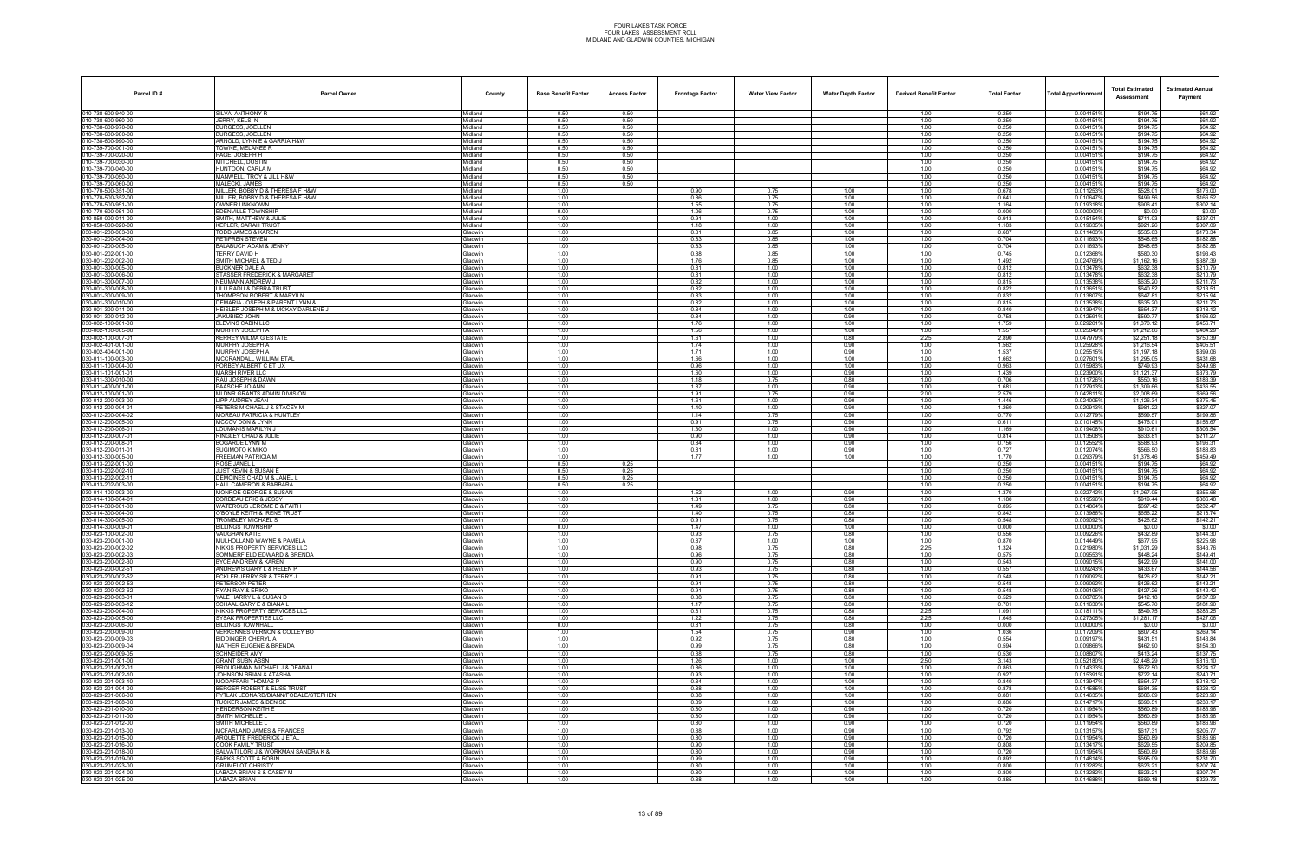| SILVA, ANTHONY R<br>0.50<br>0.50<br>0.250<br>0.004151%<br>\$194.75<br>\$64.92<br>Midland<br>1.00<br>0.50<br>0.50<br>010-738-600-960-00<br>JERRY, KELSI N<br>1.00<br>0.250<br>0.004151%<br>\$194.75<br>\$64.92<br>Midland<br>0.50<br>0.50<br>0.250<br><b>BURGESS, JOELLEN</b><br>1.00<br>0.0041519<br>\$194.75<br>\$64.92<br>10-738-600-970-00<br>Midland<br>010-738-600-980-00<br><b>BURGESS, JOELLEN</b><br>0.50<br>0.0041519<br>\$194.75<br>\$64.92<br>Midland<br>0.50<br>1.00<br>0.250<br>0.0041519<br>\$194.75<br>\$64.92<br>010-738-600-990-00<br>ARNOLD, LYNN E & GARRIA H&W<br>Midland<br>0.50<br>0.50<br>1.00<br>0.250<br>10-739-700-001-00<br>TOWNE, MELANEE R<br>0.50<br>0.50<br>0.250<br>0.0041519<br>\$194.75<br>\$64.92<br>Midland<br>1.00<br>PAGE, JOSEPH H<br>0.50<br>0.50<br>1.00<br>0.250<br>0.004151%<br>\$194.75<br>\$64.92<br>010-739-700-020-00<br>Midland<br>0.50<br>0.250<br>0.50<br>1.00<br>0.0041519<br>\$194.75<br>\$64.92<br>10-739-700-030-00<br>MITCHELL, DUSTIN<br>Midland<br>0.50<br>0.250<br>0.0041519<br>\$194.75<br>\$64.92<br>10-739-700-040-00<br>HUNTOON, CARLA M<br>0.50<br>1.00<br>Midland<br>0.250<br>0.0041519<br>\$194.75<br>\$64.92<br>10-739-700-050-00<br>MANWELL, TROY & JILL H&W<br>0.50<br>0.50<br>1.00<br>Midland<br>010-739-700-060-00<br>MALECKI, JAMES<br>0.50<br>0.50<br>1.00<br>0.250<br>0.0041519<br>\$194.75<br>\$64.92<br>Midland<br>1.00<br>1.00<br>0.678<br>0.011253%<br>\$528.01<br>\$176.00<br>010-770-500-351-00<br>MILLER, BOBBY D & THERESA F H&W<br>Midland<br>0.90<br>0.75<br>1.00<br>1.00<br>\$166.52<br>0.75<br>1.00<br>1.00<br>0.641<br>0.010647%<br>\$499.56<br>10-770-500-352-00<br>MILLER, BOBBY D & THERESA F H&W<br>Midland<br>0.86<br>010-770-500-951-00<br>OWNER UNKNOWN<br>0.019318%<br>\$906.41<br>\$302.14<br>Midland<br>1.00<br>0.75<br>1.00<br>1.00<br>1.164<br>1.55<br>\$0.00<br>010-770-600-051-00<br>EDENVILLE TOWNSHIP<br>Midland<br>0.00<br>0.000<br>0.0000009<br>\$0.00<br>1.06<br>0.75<br>1.00<br>1.00<br>10-850-000-011-00<br>SMITH, MATTHEW & JULIE<br>1.00<br>0.91<br>1.00<br>0.913<br>0.015154%<br>\$711.03<br>\$237.01<br>Midland<br>1.00<br>1.00<br>1.00<br>10-850-000-020-00<br><b>KEPLER, SARAH TRUST</b><br>1.18<br>1.00<br>1.00<br>1.00<br>1.183<br>0.019635%<br>\$921.26<br>\$307.09<br>Midland<br>0.687<br>1.00<br>0.81<br>0.85<br>0.0114039<br>\$178.34<br>80-001-200-003-00<br><b>TODD JAMES &amp; KAREN</b><br><b>Gladwin</b><br>1.00<br>1.00<br>\$535.03<br>30-001-200-004-00<br>PETIPREN STEVEN<br>0.704<br>0.011693%<br>\$548.65<br>\$182.88<br>1.00<br>0.83<br>0.85<br>1.00<br>1.00<br><b>Gladwin</b><br>BALABUCH ADAM & JENNY<br>1.00<br>0.83<br>0.704<br>0.0116939<br>\$548.65<br>\$182.88<br>30-001-200-005-00<br>Gladwin<br>0.85<br>1.00<br>1.00<br>030-001-202-001-00<br><b><i>TERRY DAVID H</i></b><br>1.00<br>0.88<br>0.85<br>1.00<br>1.00<br>0.745<br>0.012368%<br>\$580.30<br>\$193.43<br>Gladwin<br>1.00<br>\$1,162.16<br>\$387.39<br>SMITH MICHAEL & TED J<br>1.76<br>0.85<br>1.00<br>1.00<br>1.492<br>0.024769%<br>Gladwin<br>1.00<br>0.81<br>1.00<br>1.00<br>0.812<br>0.013478%<br>\$632.38<br>\$210.79<br>30-001-300-005-00<br>BUCKNER DALE A<br><b>Gladwin</b><br>1.00<br>30-001-300-006-00<br>STASSER FREDERICK & MARGARET<br>0.812<br>0.013478%<br>\$210.79<br><b>Gladwin</b><br>1.00<br>0.81<br>1.00<br>1.00<br>1.00<br>\$632.38<br>030-001-300-007-00<br>NEUMANN ANDREW J<br>Gladwin<br>\$211.73<br>1.00<br>0.82<br>1.00<br>1.00<br>1.00<br>0.815<br>0.013538%<br>\$635.20<br>030-001-300-008-00<br>LILU RADU & DEBRA TRUST<br>1.00<br>0.82<br>1.00<br>0.822<br>0.013651%<br>\$640.52<br>\$213.51<br>Gladwin<br>1.00<br>1.00<br>1.00<br>0.832<br>0.0138079<br>030-001-300-009-00<br>THOMPSON ROBERT & MARYILN<br>0.83<br>1.00<br>1.00<br>1.00<br>\$647.81<br>\$215.94<br><b>Gladwin</b><br>0.815<br>80-001-300-010-00<br>DEMARIA JOSEPH & PARENT LYNN &<br><b>Gladwin</b><br>1.00<br>0.82<br>1.00<br>1.00<br>1.00<br>0.013538%<br>\$635.20<br>\$211.73<br>30-001-300-011-00<br>HEISLER JOSEPH M & MCKAY DARLENE J<br>0.840<br>0.013947%<br>\$654.37<br><b>Gladwin</b><br>1.00<br>0.84<br>1.00<br>1.00<br>1.00<br>\$218.12<br>0.90<br>0.758<br>\$590.77<br>\$196.92<br>30-001-300-012-00<br><b>JAKUBIEC JOHN</b><br><b>Gladwin</b><br>1.00<br>0.84<br>1.00<br>1.00<br>0.012591<br>030-002-100-001-00<br><b>BLEVINS CABIN LLC</b><br>1.00<br>1.76<br>1.00<br>1.00<br>1.00<br>1.759<br>0.0292019<br>\$1,370.12<br>\$456.71<br>Gladwin<br>1.00<br>1.557<br>0.025849%<br>\$404.29<br>MURPHY JOSEPH A<br>1.56<br>1.00<br>1.00<br>1.00<br>\$1,212.86<br>030-002-100-005-00<br><b>Gladwin</b><br>2.890<br>1.00<br>1.00<br>2.25<br>0.047979%<br>\$750.39<br>30-002-100-007-0<br>KERREY WILMA G ESTATE<br><b>Gladwin</b><br>1.61<br>0.80<br>\$2,251.18<br>30-002-401-001-00<br><b>MURPHY JOSEPH A</b><br>1.74<br>1.562<br>\$1,216.54<br>\$405.51<br><b>Gladwin</b><br>1.00<br>1.00<br>0.90<br>1.00<br>0.025928%<br>30-002-404-001-00<br>MURPHY JOSEPH A<br>1.71<br>1.537<br>0.025515%<br>\$1,197.18<br>\$399.06<br>Gladwin<br>1.00<br>1.00<br>0.90<br>1.00<br>030-011-100-003-00<br>MCCRANDALL WILLIAM ETAL<br>1.00<br>1.66<br>1.662<br>0.027601%<br>\$1,295.05<br>\$431.68<br>Gladwin<br>1.00<br>1.00<br>1.00<br>1.00<br>0.96<br>1.00<br>0.963<br>0.0159839<br>\$249.98<br>030-011-100-004-00<br>FORBEY ALBERT C ET UX<br>1.00<br>1.00<br>\$749.93<br><b>Gladwin</b><br>80-011-101-001-0<br>MARSH RIVER LLC<br><b>Gladwin</b><br>1.00<br>1.60<br>1.00<br>0.90<br>1.00<br>1.439<br>0.023900%<br>\$1,121.37<br>\$373.79<br>30-011-300-010-00<br>RAU JOSEPH & DAWN<br>1.00<br>0.706<br>0.011726%<br>\$183.39<br><b>Gladwin</b><br>1.18<br>0.75<br>0.80<br>1.00<br>\$550.16<br>30-011-400-001-00<br>0.90<br>\$1,309.66<br>\$436.55<br>PAASCHE JO ANN<br><b>Gladwin</b><br>1.00<br>1.87<br>1.00<br>1.00<br>1.681<br>0.0279139<br>030-012-100-001-00<br>MI DNR GRANTS ADMIN DIVISION<br>1.00<br>1.91<br>0.75<br>0.90<br>2.00<br>2.579<br>0.0428119<br>\$2,008.69<br>\$669.56<br>Gladwin<br>1.00<br>0.90<br>0.024005%<br>\$1,126.34<br>\$375.45<br>030-012-200-003-00<br>LIPP AUDREY JEAN<br>1.61<br>1.00<br>1.00<br>1.446<br><b>Gladwin</b><br>1.00<br>1.260<br>\$327.07<br>30-012-200-004-0<br>PETERS MICHAEL J & STACEY M<br><b>Gladwin</b><br>1.40<br>1.00<br>0.90<br>1.00<br>0.020913%<br>\$981.22<br>030-012-200-004-02<br><b>MOREAU PATRICIA &amp; HUNTLEY</b><br>1.00<br>0.90<br>1.00<br>0.770<br>0.012779%<br>\$599.57<br>\$199.86<br>Gladwin<br>1.14<br>0.75<br>30-012-200-005-00<br>MCCOV DON & LYNN<br>0.91<br>\$476.01<br>\$158.67<br><b>Gladwin</b><br>1.00<br>0.75<br>0.90<br>1.00<br>0.611<br>0.010145%<br>030-012-200-006-01<br>LOUMANIS MARILYN J<br>1.00<br>0.90<br>1.169<br>0.019408%<br>\$303.54<br>Gladwin<br>1.30<br>1.00<br>1.00<br>\$910.61<br>1.00<br>0.90<br>1.00<br>0.90<br>1.00<br>0.814<br>0.0135089<br>\$211.27<br>30-012-200-007-01<br>RINGLEY CHAD & JULIE<br>\$633.81<br><b>Gladwin</b><br>BOGARDE LYNN M<br>1.00<br>0.84<br>1.00<br>0.90<br>1.00<br>0.756<br>0.0125529<br>\$588.93<br>\$196.3<br>80-012-200-008-0<br><b>Gladwin</b><br>30-012-200-011-01<br>SUGIMOTO KIMIKO<br>1.00<br>0.90<br>0.727<br>0.012074%<br>\$566.50<br>\$188.83<br><b>Gladwin</b><br>0.81<br>1.00<br>1.00<br>30-012-300-005-00<br>FREEMAN PATRICIA M<br>1.00<br>1.770<br>\$1,378.46<br>\$459.49<br><b>Gladwin</b><br>1.77<br>1.00<br>1.00<br>1.00<br>0.029379%<br>0.50<br>0.250<br>0.004151%<br>\$194.75<br>\$64.92<br>ROSE JANEL L<br>Gladwin<br>0.25<br>1.00<br>0.50<br>1.00<br>0.250<br>0.0041519<br>\$194.75<br>\$64.92<br>030-013-202-002-10<br>JUST KEVIN & SUSAN E<br>0.25<br><b>Gladwin</b><br>0.50<br>0.004151<br>30-013-202-002-1<br>DEMOINES CHAD M & JANEL L<br><b>Gladwin</b><br>0.25<br>1.00<br>0.250<br>\$194.75<br>\$64.92<br>030-013-202-003-00<br>HALL CAMERON & BARBARA<br>0.50<br>1.00<br>0.250<br>0.004151%<br>\$194.75<br>\$64.92<br>Gladwin<br>0.25<br>\$1,067.05<br>30-014-100-003-0<br>MONROE GEORGE & SUSAN<br>1.370<br>0.022742%<br>\$355.68<br><b>Gladwin</b><br>1.00<br>1.52<br>1.00<br>0.90<br>1.00<br>030-014-100-004-01<br><b>BORDEAU ERIC &amp; JESSY</b><br>1.180<br>0.019596%<br>\$919.44<br>\$306.48<br>Gladwin<br>1.00<br>1.31<br>1.00<br>0.90<br>1.00<br>1.00<br>1.49<br>0.75<br>0.80<br>1.00<br>0.895<br>0.014864%<br>\$697.42<br>\$232.47<br>30-014-300-001-00<br>WATEROUS JEROME E & FAITH<br><b>Gladwin</b><br>0-014-300-004-00<br>O'BOYLE KEITH & IRENE TRUST<br>1.00<br>1.40<br>0.75<br>0.80<br>1.00<br>0.842<br>0.013986%<br>\$656.22<br>\$218.74<br>ladwin<br>30-014-300-005-00<br><b>TROMBLEY MICHAEL S</b><br>1.00<br>0.80<br>1.00<br>0.548<br>0.009092%<br>\$426.62<br>\$142.21<br>Gladwin<br>0.91<br>0.75<br>80-014-300-009-0<br>BILLINGS TOWNSHIP<br>0.00<br>1.00<br>0.000<br>0.0000009<br><b>Gladwin</b><br>1.47<br>1.00<br>1.00<br>\$0.00<br>\$0.00<br>1.00<br>0.93<br>0.80<br>0.556<br>\$432.89<br>\$144.30<br><b><i>VAUGHAN KATIE</i></b><br>Gladwin<br>0.75<br>1.00<br>0.009226%<br>1.00<br>1.00<br>0.870<br>\$225.98<br>030-023-200-001-00<br>MULHOLLAND WAYNE & PAMELA<br>0.87<br>1.00<br>1.00<br>0.014449%<br>\$677.95<br><b>Gladwin</b><br>2.25<br>NIKKIS PROPERTY SERVICES LLC<br>1.00<br>0.75<br>0.80<br>1.324<br>\$1,031.29<br>\$343.76<br><b>Gladwin</b><br>0.98<br>0.021980%<br>SOMMERFIELD EDWARD & BRENDA<br>0.009553%<br>\$448.24<br>1.00<br>0.96<br>0.75<br>0.80<br>1.00<br>0.575<br>\$149.41<br>Gladwin<br>BYCE ANDREW & KAREN<br>1.00<br>0.90<br>0.80<br>0.009015%<br>30-023-200-002-30<br><b>Gladwin</b><br>0.75<br>1.00<br>0.543<br>\$422.99<br>\$141.00<br>ANDREWS GARY L & HELEN P<br>1.00<br>0.009243%<br>\$433.67<br>\$144.56<br>Gladwin<br>0.93<br>0.75<br>0.80<br>1.00<br>0.557<br>30-023-200-002-52<br>1.00<br>0.75<br>0.80<br>0.548<br>0.009092%<br>\$426.62<br>\$142.21<br>ECKLER JERRY SR & TERRY J<br><b>Gladwin</b><br>0.91<br>1.00<br>30-023-200-002-53<br>PETERSON PETER<br><b>Gladwin</b><br>1.00<br>0.91<br>0.75<br>0.80<br>1.00<br>0.548<br>0.009092%<br>\$426.62<br>\$142.21<br>30-023-200-002-62<br>RYAN RAY & ERIKO<br>Gladwin<br>1.00<br>0.91<br>0.75<br>0.80<br>1.00<br>0.548<br>0.009106%<br>\$427.26<br>\$142.42<br>30-023-200-003-01<br>YALE HARRY L & SUSAN D<br>1.00<br>0.80<br>0.529<br>0.008785%<br>\$137.39<br><b>Gladwin</b><br>0.88<br>0.75<br>1.00<br>\$412.18<br>030-023-200-003-12<br>SCHAAL GARY E & DIANA L<br>1.00<br>1.17<br>0.75<br>0.80<br>0.701<br>0.011630%<br>\$545.70<br>\$181.90<br>Gladwin<br>1.00<br>1.00<br>0.81<br>0.75<br>0.80<br>2.25<br>1.091<br>0.018111%<br>\$283.25<br>030-023-200-004-00<br>NIKKIS PROPERTY SERVICES LLC<br><b>Gladwin</b><br>\$849.75<br>1.00<br>30-023-200-005-00<br>SYSAK PROPERTIES LLC<br><b>Gladwin</b><br>1.22<br>0.75<br>0.80<br>2.25<br>1.645<br>0.027305%<br>\$1,281.17<br>\$427.06<br>030-023-200-006-00<br><b>BILLINGS TOWNHALL</b><br>Gladwin<br>0.00<br>0.81<br>0.75<br>0.80<br>1.00<br>0.000<br>0.000000%<br>\$0.00<br>\$0.00<br>30-023-200-009-00<br>VERKENNES VERNON & COLLEY BO<br>1.00<br>1.54<br>0.75<br>0.90<br>1.00<br>1.036<br>0.017209%<br>\$807.43<br>\$269.14<br>Gladwin<br>030-023-200-009-03<br>BIDDINGER CHERYL A<br>1.00<br>0.92<br>0.75<br>0.554<br>0.009197%<br>\$431.51<br>\$143.84<br>Gladwin<br>0.80<br>1.00<br>1.00<br>0.99<br>0.75<br>0.80<br>0.594<br>0.009866%<br>\$462.90<br>\$154.30<br>30-023-200-009-04<br>MATHER EUGENE & BRENDA<br>Gladwin<br>1.00<br>30-023-200-009-05<br>SCHNEIDER AMY<br><b>Gladwin</b><br>1.00<br>0.88<br>0.75<br>0.80<br>1.00<br>0.530<br>0.0088079<br>\$413.24<br>\$137.75<br>030-023-201-001-00<br><b>GRANT SUBN ASSN</b><br>Gladwin<br>1.00<br>1.26<br>1.00<br>1.00<br>2.50<br>3.143<br>0.052180%<br>\$2,448.29<br>\$816.10<br>30-023-201-002-01<br>BROUGHMAN MICHAEL J & DEANA L<br>1.00<br>0.86<br>1.00<br>1.00<br>0.863<br>0.014333%<br>\$672.50<br>\$224.17<br><b>Gladwin</b><br>1.00<br>JOHNSON BRIAN & ATASHA<br>1.00<br>0.93<br>1.00<br>1.00<br>1.00<br>0.927<br>0.015391%<br>\$722.14<br>\$240.71<br>Gladwin<br>MODAFFARI THOMAS P<br>1.00<br>0.84<br>1.00<br>1.00<br>1.00<br>0.840<br>0.013947%<br>\$654.37<br>\$218.12<br>Gladwin<br>1.00<br>\$684.35<br>30-023-201-004-00<br>BERGER ROBERT & ELISE TRUST<br><b>Gladwin</b><br>0.88<br>1.00<br>1.00<br>1.00<br>0.878<br>0.014585%<br>\$228.12<br>PYTLAK LEONARD/DIANN/FODALE/STEPHEN<br>Gladwin<br>1.00<br>0.88<br>1.00<br>1.00<br>1.00<br>0.881<br>0.014635%<br>\$686.69<br>\$228.90<br>0.886<br>0.014717%<br>\$690.51<br>\$230.17<br>030-023-201-008-00<br><b>TUCKER JAMES &amp; DENISE</b><br>1.00<br>0.89<br>1.00<br>1.00<br>1.00<br>Gladwin<br>030-023-201-010-00<br><b>HENDERSON KEITH E</b><br>1.00<br>0.80<br>0.90<br>0.720<br>0.011954%<br>\$560.89<br>\$186.96<br>Gladwin<br>1.00<br>1.00<br>1.00<br>1.00<br>0.90<br>0.720<br>0.011954%<br>\$560.89<br>030-023-201-011-00<br>SMITH MICHELLE L<br>Gladwin<br>0.80<br>1.00<br>\$186.96<br>1.00<br>1.00<br>0.90<br>0.720<br>30-023-201-012-00<br>SMITH MICHELLE L<br><b>Gladwin</b><br>0.80<br>1.00<br>0.011954%<br>\$560.89<br>\$186.96<br>030-023-201-013-00<br><b>MCFARLAND JAMES &amp; FRANCES</b><br>Gladwin<br>1.00<br>0.88<br>1.00<br>0.90<br>1.00<br>0.792<br>0.013157%<br>\$617.31<br>\$205.77<br>30-023-201-015-00<br>ARQUETTE FREDERICK J ETAL<br>1.00<br>0.80<br>0.90<br>1.00<br>0.720<br>0.011954%<br>\$560.89<br>\$186.96<br>Gladwin<br>1.00<br>030-023-201-016-00<br><b>COOK FAMILY TRUST</b><br>1.00<br>0.90<br>1.00<br>0.90<br>1.00<br>0.808<br>0.013417%<br>\$629.55<br>\$209.85<br>Gladwin<br>030-023-201-018-00<br>1.00<br>1.00<br>0.90<br>1.00<br>0.720<br>0.011954%<br>\$186.96<br>SALVATI LORI J & WORKMAN SANDRA K &<br>Gladwin<br>0.80<br>\$560.89<br>PARKS SCOTT & ROBIN<br>1.00<br>1.00<br>0.90<br>0.014814%<br>30-023-201-019-00<br><b>Gladwin</b><br>0.99<br>1.00<br>0.892<br>\$695.09<br>\$231.70<br><b>GRUMELOT CHRISTY</b><br>Gladwin<br>1.00<br>0.80<br>1.00<br>1.00<br>1.00<br>0.800<br>0.013282%<br>\$623.21<br>\$207.74<br>\$207.74<br>030-023-201-024-00<br>LABAZA BRIAN S & CASEY M<br>Gladwin<br>1.00<br>0.80<br>1.00<br>1.00<br>0.800<br>0.013282%<br>\$623.21<br>1.00<br>LABAZA BRIAN<br>Gladwin<br>1.00<br>0.88<br>1.00<br>1.00<br>1.00<br>0.885<br>0.014688%<br>\$689.18<br>\$229.73 | Parcel ID#         | <b>Parcel Owner</b> | County | <b>Base Benefit Factor</b> | <b>Access Factor</b> | <b>Frontage Factor</b> | <b>Water View Factor</b> | <b>Water Depth Factor</b> | <b>Derived Benefit Factor</b> | <b>Total Factor</b> | <b>Total Apportionmen</b> | <b>Total Estimated</b><br>Assessment | <b>Estimated Annual</b><br>Payment |
|----------------------------------------------------------------------------------------------------------------------------------------------------------------------------------------------------------------------------------------------------------------------------------------------------------------------------------------------------------------------------------------------------------------------------------------------------------------------------------------------------------------------------------------------------------------------------------------------------------------------------------------------------------------------------------------------------------------------------------------------------------------------------------------------------------------------------------------------------------------------------------------------------------------------------------------------------------------------------------------------------------------------------------------------------------------------------------------------------------------------------------------------------------------------------------------------------------------------------------------------------------------------------------------------------------------------------------------------------------------------------------------------------------------------------------------------------------------------------------------------------------------------------------------------------------------------------------------------------------------------------------------------------------------------------------------------------------------------------------------------------------------------------------------------------------------------------------------------------------------------------------------------------------------------------------------------------------------------------------------------------------------------------------------------------------------------------------------------------------------------------------------------------------------------------------------------------------------------------------------------------------------------------------------------------------------------------------------------------------------------------------------------------------------------------------------------------------------------------------------------------------------------------------------------------------------------------------------------------------------------------------------------------------------------------------------------------------------------------------------------------------------------------------------------------------------------------------------------------------------------------------------------------------------------------------------------------------------------------------------------------------------------------------------------------------------------------------------------------------------------------------------------------------------------------------------------------------------------------------------------------------------------------------------------------------------------------------------------------------------------------------------------------------------------------------------------------------------------------------------------------------------------------------------------------------------------------------------------------------------------------------------------------------------------------------------------------------------------------------------------------------------------------------------------------------------------------------------------------------------------------------------------------------------------------------------------------------------------------------------------------------------------------------------------------------------------------------------------------------------------------------------------------------------------------------------------------------------------------------------------------------------------------------------------------------------------------------------------------------------------------------------------------------------------------------------------------------------------------------------------------------------------------------------------------------------------------------------------------------------------------------------------------------------------------------------------------------------------------------------------------------------------------------------------------------------------------------------------------------------------------------------------------------------------------------------------------------------------------------------------------------------------------------------------------------------------------------------------------------------------------------------------------------------------------------------------------------------------------------------------------------------------------------------------------------------------------------------------------------------------------------------------------------------------------------------------------------------------------------------------------------------------------------------------------------------------------------------------------------------------------------------------------------------------------------------------------------------------------------------------------------------------------------------------------------------------------------------------------------------------------------------------------------------------------------------------------------------------------------------------------------------------------------------------------------------------------------------------------------------------------------------------------------------------------------------------------------------------------------------------------------------------------------------------------------------------------------------------------------------------------------------------------------------------------------------------------------------------------------------------------------------------------------------------------------------------------------------------------------------------------------------------------------------------------------------------------------------------------------------------------------------------------------------------------------------------------------------------------------------------------------------------------------------------------------------------------------------------------------------------------------------------------------------------------------------------------------------------------------------------------------------------------------------------------------------------------------------------------------------------------------------------------------------------------------------------------------------------------------------------------------------------------------------------------------------------------------------------------------------------------------------------------------------------------------------------------------------------------------------------------------------------------------------------------------------------------------------------------------------------------------------------------------------------------------------------------------------------------------------------------------------------------------------------------------------------------------------------------------------------------------------------------------------------------------------------------------------------------------------------------------------------------------------------------------------------------------------------------------------------------------------------------------------------------------------------------------------------------------------------------------------------------------------------------------------------------------------------------------------------------------------------------------------------------------------------------------------------------------------------------------------------------------------------------------------------------------------------------------------------------------------------------------------------------------------------------------------------------------------------------------------------------------------------------------------------------------------------------------------------------------------------------------------------------------------------------------------------------------------------------------------------------------------------------------------------------------------------------------------------------------------------------------------------------------------------------------------------------------------------------------------------------------------------------------------------------------------------------------------------------------------------------------------------------------------------------------------------------------------------------------------------------------------------------------------------------------------------------------------------------------------------------------------------------------------------------------------------------------------------------------------------------------------------------------------------------------------------------------------------------------------------------------------------------------------------------------------------------------------------------------------------------------------------------------------------------------------------------------------------------------------------------------------------------------------------------------------------------------------------------------------------------------------------------------------------------------------------------------------------------------------------------------------------------------------------------------------------------------------------------------------------------------------------------------------------------------------------------------------------------------------------------------------------------------------------------------------------------------------------------------------------------------------------------------------------------------------------------------------------------------------------------------------------------------------------------------------------------------------------------------------------------------------------------------------------------------------------------------------------------------------------------------------------------------------------------------------------------------------------------------------------------------------------------------------------------------------------------------------------------------------------------------------------------------------------------------------------------------------------------------------------------------------------------------------------------------------------------------------------------------------------------------------------------------------------------------------------------------------------------------------------------------------------------------------------------------------------------------------------------------------------------------------------------------------------------------------------------------------------------------------------------------------------------------------------------------------------------------------------------------------------------------------------------------------------------------------------------------------------------------------------------------------------------------------------------------------------------------------------------------------------------------------------------------------------------------------------------------------------------------------------------------------------------------------------------------------------------------------------------------------------------------------------------------------------------------------------------------------------------------------------------------------------------------------------------------------------------------------------------------------------------------------------------------------------------------------------------------------------------------------------------------------------------------------------------------------------------------------------------------------------------------------------------------------------------------------------------------------------------------------------------------------------------------------------------------------------------------------------------------------------------------------------------------------------------------------------------------------------------------------------------------------------------------------------------------------------------------------------------------------------------------------------------------------------------------------------------------------------------------------------------------------------------------------------------------------------------------------------------------------------------------------------------------------------------------------------------------------------------------------------------------------------------------------------------|--------------------|---------------------|--------|----------------------------|----------------------|------------------------|--------------------------|---------------------------|-------------------------------|---------------------|---------------------------|--------------------------------------|------------------------------------|
|                                                                                                                                                                                                                                                                                                                                                                                                                                                                                                                                                                                                                                                                                                                                                                                                                                                                                                                                                                                                                                                                                                                                                                                                                                                                                                                                                                                                                                                                                                                                                                                                                                                                                                                                                                                                                                                                                                                                                                                                                                                                                                                                                                                                                                                                                                                                                                                                                                                                                                                                                                                                                                                                                                                                                                                                                                                                                                                                                                                                                                                                                                                                                                                                                                                                                                                                                                                                                                                                                                                                                                                                                                                                                                                                                                                                                                                                                                                                                                                                                                                                                                                                                                                                                                                                                                                                                                                                                                                                                                                                                                                                                                                                                                                                                                                                                                                                                                                                                                                                                                                                                                                                                                                                                                                                                                                                                                                                                                                                                                                                                                                                                                                                                                                                                                                                                                                                                                                                                                                                                                                                                                                                                                                                                                                                                                                                                                                                                                                                                                                                                                                                                                                                                                                                                                                                                                                                                                                                                                                                                                                                                                                                                                                                                                                                                                                                                                                                                                                                                                                                                                                                                                                                                                                                                                                                                                                                                                                                                                                                                                                                                                                                                                                                                                                                                                                                                                                                                                                                                                                                                                                                                                                                                                                                                                                                                                                                                                                                                                                                                                                                                                                                                                                                                                                                                                                                                                                                                                                                                                                                                                                                                                                                                                                                                                                                                                                                                                                                                                                                                                                                                                                                                                                                                                                                                                                                                                                                                                                                                                                                                                                                                                                                                                                                                                                                                                                                                                                                                                                                                                                                                                                                                                                                                                                                                                                                                                                                                                                                                                                                                                                                                                                                                                                                                                                                                                                                                                                                                                                                                                                                                                                                                                                                                                                                                                                                                                                                                                                                                                                                                                                                                                                                                                                                                                                                                                                                                                                                                                                                                                                                                                                                                                                                                                                                                                                                                                                                                                                                                                                                                                                                                                                                                                                                                                                                                                                                                                                                                                                                                                                                                                                                                                                                    | 010-738-600-940-00 |                     |        |                            |                      |                        |                          |                           |                               |                     |                           |                                      |                                    |
|                                                                                                                                                                                                                                                                                                                                                                                                                                                                                                                                                                                                                                                                                                                                                                                                                                                                                                                                                                                                                                                                                                                                                                                                                                                                                                                                                                                                                                                                                                                                                                                                                                                                                                                                                                                                                                                                                                                                                                                                                                                                                                                                                                                                                                                                                                                                                                                                                                                                                                                                                                                                                                                                                                                                                                                                                                                                                                                                                                                                                                                                                                                                                                                                                                                                                                                                                                                                                                                                                                                                                                                                                                                                                                                                                                                                                                                                                                                                                                                                                                                                                                                                                                                                                                                                                                                                                                                                                                                                                                                                                                                                                                                                                                                                                                                                                                                                                                                                                                                                                                                                                                                                                                                                                                                                                                                                                                                                                                                                                                                                                                                                                                                                                                                                                                                                                                                                                                                                                                                                                                                                                                                                                                                                                                                                                                                                                                                                                                                                                                                                                                                                                                                                                                                                                                                                                                                                                                                                                                                                                                                                                                                                                                                                                                                                                                                                                                                                                                                                                                                                                                                                                                                                                                                                                                                                                                                                                                                                                                                                                                                                                                                                                                                                                                                                                                                                                                                                                                                                                                                                                                                                                                                                                                                                                                                                                                                                                                                                                                                                                                                                                                                                                                                                                                                                                                                                                                                                                                                                                                                                                                                                                                                                                                                                                                                                                                                                                                                                                                                                                                                                                                                                                                                                                                                                                                                                                                                                                                                                                                                                                                                                                                                                                                                                                                                                                                                                                                                                                                                                                                                                                                                                                                                                                                                                                                                                                                                                                                                                                                                                                                                                                                                                                                                                                                                                                                                                                                                                                                                                                                                                                                                                                                                                                                                                                                                                                                                                                                                                                                                                                                                                                                                                                                                                                                                                                                                                                                                                                                                                                                                                                                                                                                                                                                                                                                                                                                                                                                                                                                                                                                                                                                                                                                                                                                                                                                                                                                                                                                                                                                                                                                                                                                                                    |                    |                     |        |                            |                      |                        |                          |                           |                               |                     |                           |                                      |                                    |
|                                                                                                                                                                                                                                                                                                                                                                                                                                                                                                                                                                                                                                                                                                                                                                                                                                                                                                                                                                                                                                                                                                                                                                                                                                                                                                                                                                                                                                                                                                                                                                                                                                                                                                                                                                                                                                                                                                                                                                                                                                                                                                                                                                                                                                                                                                                                                                                                                                                                                                                                                                                                                                                                                                                                                                                                                                                                                                                                                                                                                                                                                                                                                                                                                                                                                                                                                                                                                                                                                                                                                                                                                                                                                                                                                                                                                                                                                                                                                                                                                                                                                                                                                                                                                                                                                                                                                                                                                                                                                                                                                                                                                                                                                                                                                                                                                                                                                                                                                                                                                                                                                                                                                                                                                                                                                                                                                                                                                                                                                                                                                                                                                                                                                                                                                                                                                                                                                                                                                                                                                                                                                                                                                                                                                                                                                                                                                                                                                                                                                                                                                                                                                                                                                                                                                                                                                                                                                                                                                                                                                                                                                                                                                                                                                                                                                                                                                                                                                                                                                                                                                                                                                                                                                                                                                                                                                                                                                                                                                                                                                                                                                                                                                                                                                                                                                                                                                                                                                                                                                                                                                                                                                                                                                                                                                                                                                                                                                                                                                                                                                                                                                                                                                                                                                                                                                                                                                                                                                                                                                                                                                                                                                                                                                                                                                                                                                                                                                                                                                                                                                                                                                                                                                                                                                                                                                                                                                                                                                                                                                                                                                                                                                                                                                                                                                                                                                                                                                                                                                                                                                                                                                                                                                                                                                                                                                                                                                                                                                                                                                                                                                                                                                                                                                                                                                                                                                                                                                                                                                                                                                                                                                                                                                                                                                                                                                                                                                                                                                                                                                                                                                                                                                                                                                                                                                                                                                                                                                                                                                                                                                                                                                                                                                                                                                                                                                                                                                                                                                                                                                                                                                                                                                                                                                                                                                                                                                                                                                                                                                                                                                                                                                                                                                                                                    |                    |                     |        |                            |                      |                        |                          |                           |                               |                     |                           |                                      |                                    |
|                                                                                                                                                                                                                                                                                                                                                                                                                                                                                                                                                                                                                                                                                                                                                                                                                                                                                                                                                                                                                                                                                                                                                                                                                                                                                                                                                                                                                                                                                                                                                                                                                                                                                                                                                                                                                                                                                                                                                                                                                                                                                                                                                                                                                                                                                                                                                                                                                                                                                                                                                                                                                                                                                                                                                                                                                                                                                                                                                                                                                                                                                                                                                                                                                                                                                                                                                                                                                                                                                                                                                                                                                                                                                                                                                                                                                                                                                                                                                                                                                                                                                                                                                                                                                                                                                                                                                                                                                                                                                                                                                                                                                                                                                                                                                                                                                                                                                                                                                                                                                                                                                                                                                                                                                                                                                                                                                                                                                                                                                                                                                                                                                                                                                                                                                                                                                                                                                                                                                                                                                                                                                                                                                                                                                                                                                                                                                                                                                                                                                                                                                                                                                                                                                                                                                                                                                                                                                                                                                                                                                                                                                                                                                                                                                                                                                                                                                                                                                                                                                                                                                                                                                                                                                                                                                                                                                                                                                                                                                                                                                                                                                                                                                                                                                                                                                                                                                                                                                                                                                                                                                                                                                                                                                                                                                                                                                                                                                                                                                                                                                                                                                                                                                                                                                                                                                                                                                                                                                                                                                                                                                                                                                                                                                                                                                                                                                                                                                                                                                                                                                                                                                                                                                                                                                                                                                                                                                                                                                                                                                                                                                                                                                                                                                                                                                                                                                                                                                                                                                                                                                                                                                                                                                                                                                                                                                                                                                                                                                                                                                                                                                                                                                                                                                                                                                                                                                                                                                                                                                                                                                                                                                                                                                                                                                                                                                                                                                                                                                                                                                                                                                                                                                                                                                                                                                                                                                                                                                                                                                                                                                                                                                                                                                                                                                                                                                                                                                                                                                                                                                                                                                                                                                                                                                                                                                                                                                                                                                                                                                                                                                                                                                                                                                                                                    |                    |                     |        |                            |                      |                        |                          |                           |                               |                     |                           |                                      |                                    |
|                                                                                                                                                                                                                                                                                                                                                                                                                                                                                                                                                                                                                                                                                                                                                                                                                                                                                                                                                                                                                                                                                                                                                                                                                                                                                                                                                                                                                                                                                                                                                                                                                                                                                                                                                                                                                                                                                                                                                                                                                                                                                                                                                                                                                                                                                                                                                                                                                                                                                                                                                                                                                                                                                                                                                                                                                                                                                                                                                                                                                                                                                                                                                                                                                                                                                                                                                                                                                                                                                                                                                                                                                                                                                                                                                                                                                                                                                                                                                                                                                                                                                                                                                                                                                                                                                                                                                                                                                                                                                                                                                                                                                                                                                                                                                                                                                                                                                                                                                                                                                                                                                                                                                                                                                                                                                                                                                                                                                                                                                                                                                                                                                                                                                                                                                                                                                                                                                                                                                                                                                                                                                                                                                                                                                                                                                                                                                                                                                                                                                                                                                                                                                                                                                                                                                                                                                                                                                                                                                                                                                                                                                                                                                                                                                                                                                                                                                                                                                                                                                                                                                                                                                                                                                                                                                                                                                                                                                                                                                                                                                                                                                                                                                                                                                                                                                                                                                                                                                                                                                                                                                                                                                                                                                                                                                                                                                                                                                                                                                                                                                                                                                                                                                                                                                                                                                                                                                                                                                                                                                                                                                                                                                                                                                                                                                                                                                                                                                                                                                                                                                                                                                                                                                                                                                                                                                                                                                                                                                                                                                                                                                                                                                                                                                                                                                                                                                                                                                                                                                                                                                                                                                                                                                                                                                                                                                                                                                                                                                                                                                                                                                                                                                                                                                                                                                                                                                                                                                                                                                                                                                                                                                                                                                                                                                                                                                                                                                                                                                                                                                                                                                                                                                                                                                                                                                                                                                                                                                                                                                                                                                                                                                                                                                                                                                                                                                                                                                                                                                                                                                                                                                                                                                                                                                                                                                                                                                                                                                                                                                                                                                                                                                                                                                                                                    |                    |                     |        |                            |                      |                        |                          |                           |                               |                     |                           |                                      |                                    |
|                                                                                                                                                                                                                                                                                                                                                                                                                                                                                                                                                                                                                                                                                                                                                                                                                                                                                                                                                                                                                                                                                                                                                                                                                                                                                                                                                                                                                                                                                                                                                                                                                                                                                                                                                                                                                                                                                                                                                                                                                                                                                                                                                                                                                                                                                                                                                                                                                                                                                                                                                                                                                                                                                                                                                                                                                                                                                                                                                                                                                                                                                                                                                                                                                                                                                                                                                                                                                                                                                                                                                                                                                                                                                                                                                                                                                                                                                                                                                                                                                                                                                                                                                                                                                                                                                                                                                                                                                                                                                                                                                                                                                                                                                                                                                                                                                                                                                                                                                                                                                                                                                                                                                                                                                                                                                                                                                                                                                                                                                                                                                                                                                                                                                                                                                                                                                                                                                                                                                                                                                                                                                                                                                                                                                                                                                                                                                                                                                                                                                                                                                                                                                                                                                                                                                                                                                                                                                                                                                                                                                                                                                                                                                                                                                                                                                                                                                                                                                                                                                                                                                                                                                                                                                                                                                                                                                                                                                                                                                                                                                                                                                                                                                                                                                                                                                                                                                                                                                                                                                                                                                                                                                                                                                                                                                                                                                                                                                                                                                                                                                                                                                                                                                                                                                                                                                                                                                                                                                                                                                                                                                                                                                                                                                                                                                                                                                                                                                                                                                                                                                                                                                                                                                                                                                                                                                                                                                                                                                                                                                                                                                                                                                                                                                                                                                                                                                                                                                                                                                                                                                                                                                                                                                                                                                                                                                                                                                                                                                                                                                                                                                                                                                                                                                                                                                                                                                                                                                                                                                                                                                                                                                                                                                                                                                                                                                                                                                                                                                                                                                                                                                                                                                                                                                                                                                                                                                                                                                                                                                                                                                                                                                                                                                                                                                                                                                                                                                                                                                                                                                                                                                                                                                                                                                                                                                                                                                                                                                                                                                                                                                                                                                                                                                                                                    |                    |                     |        |                            |                      |                        |                          |                           |                               |                     |                           |                                      |                                    |
|                                                                                                                                                                                                                                                                                                                                                                                                                                                                                                                                                                                                                                                                                                                                                                                                                                                                                                                                                                                                                                                                                                                                                                                                                                                                                                                                                                                                                                                                                                                                                                                                                                                                                                                                                                                                                                                                                                                                                                                                                                                                                                                                                                                                                                                                                                                                                                                                                                                                                                                                                                                                                                                                                                                                                                                                                                                                                                                                                                                                                                                                                                                                                                                                                                                                                                                                                                                                                                                                                                                                                                                                                                                                                                                                                                                                                                                                                                                                                                                                                                                                                                                                                                                                                                                                                                                                                                                                                                                                                                                                                                                                                                                                                                                                                                                                                                                                                                                                                                                                                                                                                                                                                                                                                                                                                                                                                                                                                                                                                                                                                                                                                                                                                                                                                                                                                                                                                                                                                                                                                                                                                                                                                                                                                                                                                                                                                                                                                                                                                                                                                                                                                                                                                                                                                                                                                                                                                                                                                                                                                                                                                                                                                                                                                                                                                                                                                                                                                                                                                                                                                                                                                                                                                                                                                                                                                                                                                                                                                                                                                                                                                                                                                                                                                                                                                                                                                                                                                                                                                                                                                                                                                                                                                                                                                                                                                                                                                                                                                                                                                                                                                                                                                                                                                                                                                                                                                                                                                                                                                                                                                                                                                                                                                                                                                                                                                                                                                                                                                                                                                                                                                                                                                                                                                                                                                                                                                                                                                                                                                                                                                                                                                                                                                                                                                                                                                                                                                                                                                                                                                                                                                                                                                                                                                                                                                                                                                                                                                                                                                                                                                                                                                                                                                                                                                                                                                                                                                                                                                                                                                                                                                                                                                                                                                                                                                                                                                                                                                                                                                                                                                                                                                                                                                                                                                                                                                                                                                                                                                                                                                                                                                                                                                                                                                                                                                                                                                                                                                                                                                                                                                                                                                                                                                                                                                                                                                                                                                                                                                                                                                                                                                                                                                                                                    |                    |                     |        |                            |                      |                        |                          |                           |                               |                     |                           |                                      |                                    |
|                                                                                                                                                                                                                                                                                                                                                                                                                                                                                                                                                                                                                                                                                                                                                                                                                                                                                                                                                                                                                                                                                                                                                                                                                                                                                                                                                                                                                                                                                                                                                                                                                                                                                                                                                                                                                                                                                                                                                                                                                                                                                                                                                                                                                                                                                                                                                                                                                                                                                                                                                                                                                                                                                                                                                                                                                                                                                                                                                                                                                                                                                                                                                                                                                                                                                                                                                                                                                                                                                                                                                                                                                                                                                                                                                                                                                                                                                                                                                                                                                                                                                                                                                                                                                                                                                                                                                                                                                                                                                                                                                                                                                                                                                                                                                                                                                                                                                                                                                                                                                                                                                                                                                                                                                                                                                                                                                                                                                                                                                                                                                                                                                                                                                                                                                                                                                                                                                                                                                                                                                                                                                                                                                                                                                                                                                                                                                                                                                                                                                                                                                                                                                                                                                                                                                                                                                                                                                                                                                                                                                                                                                                                                                                                                                                                                                                                                                                                                                                                                                                                                                                                                                                                                                                                                                                                                                                                                                                                                                                                                                                                                                                                                                                                                                                                                                                                                                                                                                                                                                                                                                                                                                                                                                                                                                                                                                                                                                                                                                                                                                                                                                                                                                                                                                                                                                                                                                                                                                                                                                                                                                                                                                                                                                                                                                                                                                                                                                                                                                                                                                                                                                                                                                                                                                                                                                                                                                                                                                                                                                                                                                                                                                                                                                                                                                                                                                                                                                                                                                                                                                                                                                                                                                                                                                                                                                                                                                                                                                                                                                                                                                                                                                                                                                                                                                                                                                                                                                                                                                                                                                                                                                                                                                                                                                                                                                                                                                                                                                                                                                                                                                                                                                                                                                                                                                                                                                                                                                                                                                                                                                                                                                                                                                                                                                                                                                                                                                                                                                                                                                                                                                                                                                                                                                                                                                                                                                                                                                                                                                                                                                                                                                                                                                                                                    |                    |                     |        |                            |                      |                        |                          |                           |                               |                     |                           |                                      |                                    |
|                                                                                                                                                                                                                                                                                                                                                                                                                                                                                                                                                                                                                                                                                                                                                                                                                                                                                                                                                                                                                                                                                                                                                                                                                                                                                                                                                                                                                                                                                                                                                                                                                                                                                                                                                                                                                                                                                                                                                                                                                                                                                                                                                                                                                                                                                                                                                                                                                                                                                                                                                                                                                                                                                                                                                                                                                                                                                                                                                                                                                                                                                                                                                                                                                                                                                                                                                                                                                                                                                                                                                                                                                                                                                                                                                                                                                                                                                                                                                                                                                                                                                                                                                                                                                                                                                                                                                                                                                                                                                                                                                                                                                                                                                                                                                                                                                                                                                                                                                                                                                                                                                                                                                                                                                                                                                                                                                                                                                                                                                                                                                                                                                                                                                                                                                                                                                                                                                                                                                                                                                                                                                                                                                                                                                                                                                                                                                                                                                                                                                                                                                                                                                                                                                                                                                                                                                                                                                                                                                                                                                                                                                                                                                                                                                                                                                                                                                                                                                                                                                                                                                                                                                                                                                                                                                                                                                                                                                                                                                                                                                                                                                                                                                                                                                                                                                                                                                                                                                                                                                                                                                                                                                                                                                                                                                                                                                                                                                                                                                                                                                                                                                                                                                                                                                                                                                                                                                                                                                                                                                                                                                                                                                                                                                                                                                                                                                                                                                                                                                                                                                                                                                                                                                                                                                                                                                                                                                                                                                                                                                                                                                                                                                                                                                                                                                                                                                                                                                                                                                                                                                                                                                                                                                                                                                                                                                                                                                                                                                                                                                                                                                                                                                                                                                                                                                                                                                                                                                                                                                                                                                                                                                                                                                                                                                                                                                                                                                                                                                                                                                                                                                                                                                                                                                                                                                                                                                                                                                                                                                                                                                                                                                                                                                                                                                                                                                                                                                                                                                                                                                                                                                                                                                                                                                                                                                                                                                                                                                                                                                                                                                                                                                                                                                                                                    |                    |                     |        |                            |                      |                        |                          |                           |                               |                     |                           |                                      |                                    |
|                                                                                                                                                                                                                                                                                                                                                                                                                                                                                                                                                                                                                                                                                                                                                                                                                                                                                                                                                                                                                                                                                                                                                                                                                                                                                                                                                                                                                                                                                                                                                                                                                                                                                                                                                                                                                                                                                                                                                                                                                                                                                                                                                                                                                                                                                                                                                                                                                                                                                                                                                                                                                                                                                                                                                                                                                                                                                                                                                                                                                                                                                                                                                                                                                                                                                                                                                                                                                                                                                                                                                                                                                                                                                                                                                                                                                                                                                                                                                                                                                                                                                                                                                                                                                                                                                                                                                                                                                                                                                                                                                                                                                                                                                                                                                                                                                                                                                                                                                                                                                                                                                                                                                                                                                                                                                                                                                                                                                                                                                                                                                                                                                                                                                                                                                                                                                                                                                                                                                                                                                                                                                                                                                                                                                                                                                                                                                                                                                                                                                                                                                                                                                                                                                                                                                                                                                                                                                                                                                                                                                                                                                                                                                                                                                                                                                                                                                                                                                                                                                                                                                                                                                                                                                                                                                                                                                                                                                                                                                                                                                                                                                                                                                                                                                                                                                                                                                                                                                                                                                                                                                                                                                                                                                                                                                                                                                                                                                                                                                                                                                                                                                                                                                                                                                                                                                                                                                                                                                                                                                                                                                                                                                                                                                                                                                                                                                                                                                                                                                                                                                                                                                                                                                                                                                                                                                                                                                                                                                                                                                                                                                                                                                                                                                                                                                                                                                                                                                                                                                                                                                                                                                                                                                                                                                                                                                                                                                                                                                                                                                                                                                                                                                                                                                                                                                                                                                                                                                                                                                                                                                                                                                                                                                                                                                                                                                                                                                                                                                                                                                                                                                                                                                                                                                                                                                                                                                                                                                                                                                                                                                                                                                                                                                                                                                                                                                                                                                                                                                                                                                                                                                                                                                                                                                                                                                                                                                                                                                                                                                                                                                                                                                                                                                                                                    |                    |                     |        |                            |                      |                        |                          |                           |                               |                     |                           |                                      |                                    |
|                                                                                                                                                                                                                                                                                                                                                                                                                                                                                                                                                                                                                                                                                                                                                                                                                                                                                                                                                                                                                                                                                                                                                                                                                                                                                                                                                                                                                                                                                                                                                                                                                                                                                                                                                                                                                                                                                                                                                                                                                                                                                                                                                                                                                                                                                                                                                                                                                                                                                                                                                                                                                                                                                                                                                                                                                                                                                                                                                                                                                                                                                                                                                                                                                                                                                                                                                                                                                                                                                                                                                                                                                                                                                                                                                                                                                                                                                                                                                                                                                                                                                                                                                                                                                                                                                                                                                                                                                                                                                                                                                                                                                                                                                                                                                                                                                                                                                                                                                                                                                                                                                                                                                                                                                                                                                                                                                                                                                                                                                                                                                                                                                                                                                                                                                                                                                                                                                                                                                                                                                                                                                                                                                                                                                                                                                                                                                                                                                                                                                                                                                                                                                                                                                                                                                                                                                                                                                                                                                                                                                                                                                                                                                                                                                                                                                                                                                                                                                                                                                                                                                                                                                                                                                                                                                                                                                                                                                                                                                                                                                                                                                                                                                                                                                                                                                                                                                                                                                                                                                                                                                                                                                                                                                                                                                                                                                                                                                                                                                                                                                                                                                                                                                                                                                                                                                                                                                                                                                                                                                                                                                                                                                                                                                                                                                                                                                                                                                                                                                                                                                                                                                                                                                                                                                                                                                                                                                                                                                                                                                                                                                                                                                                                                                                                                                                                                                                                                                                                                                                                                                                                                                                                                                                                                                                                                                                                                                                                                                                                                                                                                                                                                                                                                                                                                                                                                                                                                                                                                                                                                                                                                                                                                                                                                                                                                                                                                                                                                                                                                                                                                                                                                                                                                                                                                                                                                                                                                                                                                                                                                                                                                                                                                                                                                                                                                                                                                                                                                                                                                                                                                                                                                                                                                                                                                                                                                                                                                                                                                                                                                                                                                                                                                                                                                    |                    |                     |        |                            |                      |                        |                          |                           |                               |                     |                           |                                      |                                    |
|                                                                                                                                                                                                                                                                                                                                                                                                                                                                                                                                                                                                                                                                                                                                                                                                                                                                                                                                                                                                                                                                                                                                                                                                                                                                                                                                                                                                                                                                                                                                                                                                                                                                                                                                                                                                                                                                                                                                                                                                                                                                                                                                                                                                                                                                                                                                                                                                                                                                                                                                                                                                                                                                                                                                                                                                                                                                                                                                                                                                                                                                                                                                                                                                                                                                                                                                                                                                                                                                                                                                                                                                                                                                                                                                                                                                                                                                                                                                                                                                                                                                                                                                                                                                                                                                                                                                                                                                                                                                                                                                                                                                                                                                                                                                                                                                                                                                                                                                                                                                                                                                                                                                                                                                                                                                                                                                                                                                                                                                                                                                                                                                                                                                                                                                                                                                                                                                                                                                                                                                                                                                                                                                                                                                                                                                                                                                                                                                                                                                                                                                                                                                                                                                                                                                                                                                                                                                                                                                                                                                                                                                                                                                                                                                                                                                                                                                                                                                                                                                                                                                                                                                                                                                                                                                                                                                                                                                                                                                                                                                                                                                                                                                                                                                                                                                                                                                                                                                                                                                                                                                                                                                                                                                                                                                                                                                                                                                                                                                                                                                                                                                                                                                                                                                                                                                                                                                                                                                                                                                                                                                                                                                                                                                                                                                                                                                                                                                                                                                                                                                                                                                                                                                                                                                                                                                                                                                                                                                                                                                                                                                                                                                                                                                                                                                                                                                                                                                                                                                                                                                                                                                                                                                                                                                                                                                                                                                                                                                                                                                                                                                                                                                                                                                                                                                                                                                                                                                                                                                                                                                                                                                                                                                                                                                                                                                                                                                                                                                                                                                                                                                                                                                                                                                                                                                                                                                                                                                                                                                                                                                                                                                                                                                                                                                                                                                                                                                                                                                                                                                                                                                                                                                                                                                                                                                                                                                                                                                                                                                                                                                                                                                                                                                                                                                    |                    |                     |        |                            |                      |                        |                          |                           |                               |                     |                           |                                      |                                    |
|                                                                                                                                                                                                                                                                                                                                                                                                                                                                                                                                                                                                                                                                                                                                                                                                                                                                                                                                                                                                                                                                                                                                                                                                                                                                                                                                                                                                                                                                                                                                                                                                                                                                                                                                                                                                                                                                                                                                                                                                                                                                                                                                                                                                                                                                                                                                                                                                                                                                                                                                                                                                                                                                                                                                                                                                                                                                                                                                                                                                                                                                                                                                                                                                                                                                                                                                                                                                                                                                                                                                                                                                                                                                                                                                                                                                                                                                                                                                                                                                                                                                                                                                                                                                                                                                                                                                                                                                                                                                                                                                                                                                                                                                                                                                                                                                                                                                                                                                                                                                                                                                                                                                                                                                                                                                                                                                                                                                                                                                                                                                                                                                                                                                                                                                                                                                                                                                                                                                                                                                                                                                                                                                                                                                                                                                                                                                                                                                                                                                                                                                                                                                                                                                                                                                                                                                                                                                                                                                                                                                                                                                                                                                                                                                                                                                                                                                                                                                                                                                                                                                                                                                                                                                                                                                                                                                                                                                                                                                                                                                                                                                                                                                                                                                                                                                                                                                                                                                                                                                                                                                                                                                                                                                                                                                                                                                                                                                                                                                                                                                                                                                                                                                                                                                                                                                                                                                                                                                                                                                                                                                                                                                                                                                                                                                                                                                                                                                                                                                                                                                                                                                                                                                                                                                                                                                                                                                                                                                                                                                                                                                                                                                                                                                                                                                                                                                                                                                                                                                                                                                                                                                                                                                                                                                                                                                                                                                                                                                                                                                                                                                                                                                                                                                                                                                                                                                                                                                                                                                                                                                                                                                                                                                                                                                                                                                                                                                                                                                                                                                                                                                                                                                                                                                                                                                                                                                                                                                                                                                                                                                                                                                                                                                                                                                                                                                                                                                                                                                                                                                                                                                                                                                                                                                                                                                                                                                                                                                                                                                                                                                                                                                                                                                                                                                    |                    |                     |        |                            |                      |                        |                          |                           |                               |                     |                           |                                      |                                    |
|                                                                                                                                                                                                                                                                                                                                                                                                                                                                                                                                                                                                                                                                                                                                                                                                                                                                                                                                                                                                                                                                                                                                                                                                                                                                                                                                                                                                                                                                                                                                                                                                                                                                                                                                                                                                                                                                                                                                                                                                                                                                                                                                                                                                                                                                                                                                                                                                                                                                                                                                                                                                                                                                                                                                                                                                                                                                                                                                                                                                                                                                                                                                                                                                                                                                                                                                                                                                                                                                                                                                                                                                                                                                                                                                                                                                                                                                                                                                                                                                                                                                                                                                                                                                                                                                                                                                                                                                                                                                                                                                                                                                                                                                                                                                                                                                                                                                                                                                                                                                                                                                                                                                                                                                                                                                                                                                                                                                                                                                                                                                                                                                                                                                                                                                                                                                                                                                                                                                                                                                                                                                                                                                                                                                                                                                                                                                                                                                                                                                                                                                                                                                                                                                                                                                                                                                                                                                                                                                                                                                                                                                                                                                                                                                                                                                                                                                                                                                                                                                                                                                                                                                                                                                                                                                                                                                                                                                                                                                                                                                                                                                                                                                                                                                                                                                                                                                                                                                                                                                                                                                                                                                                                                                                                                                                                                                                                                                                                                                                                                                                                                                                                                                                                                                                                                                                                                                                                                                                                                                                                                                                                                                                                                                                                                                                                                                                                                                                                                                                                                                                                                                                                                                                                                                                                                                                                                                                                                                                                                                                                                                                                                                                                                                                                                                                                                                                                                                                                                                                                                                                                                                                                                                                                                                                                                                                                                                                                                                                                                                                                                                                                                                                                                                                                                                                                                                                                                                                                                                                                                                                                                                                                                                                                                                                                                                                                                                                                                                                                                                                                                                                                                                                                                                                                                                                                                                                                                                                                                                                                                                                                                                                                                                                                                                                                                                                                                                                                                                                                                                                                                                                                                                                                                                                                                                                                                                                                                                                                                                                                                                                                                                                                                                                                                                    |                    |                     |        |                            |                      |                        |                          |                           |                               |                     |                           |                                      |                                    |
|                                                                                                                                                                                                                                                                                                                                                                                                                                                                                                                                                                                                                                                                                                                                                                                                                                                                                                                                                                                                                                                                                                                                                                                                                                                                                                                                                                                                                                                                                                                                                                                                                                                                                                                                                                                                                                                                                                                                                                                                                                                                                                                                                                                                                                                                                                                                                                                                                                                                                                                                                                                                                                                                                                                                                                                                                                                                                                                                                                                                                                                                                                                                                                                                                                                                                                                                                                                                                                                                                                                                                                                                                                                                                                                                                                                                                                                                                                                                                                                                                                                                                                                                                                                                                                                                                                                                                                                                                                                                                                                                                                                                                                                                                                                                                                                                                                                                                                                                                                                                                                                                                                                                                                                                                                                                                                                                                                                                                                                                                                                                                                                                                                                                                                                                                                                                                                                                                                                                                                                                                                                                                                                                                                                                                                                                                                                                                                                                                                                                                                                                                                                                                                                                                                                                                                                                                                                                                                                                                                                                                                                                                                                                                                                                                                                                                                                                                                                                                                                                                                                                                                                                                                                                                                                                                                                                                                                                                                                                                                                                                                                                                                                                                                                                                                                                                                                                                                                                                                                                                                                                                                                                                                                                                                                                                                                                                                                                                                                                                                                                                                                                                                                                                                                                                                                                                                                                                                                                                                                                                                                                                                                                                                                                                                                                                                                                                                                                                                                                                                                                                                                                                                                                                                                                                                                                                                                                                                                                                                                                                                                                                                                                                                                                                                                                                                                                                                                                                                                                                                                                                                                                                                                                                                                                                                                                                                                                                                                                                                                                                                                                                                                                                                                                                                                                                                                                                                                                                                                                                                                                                                                                                                                                                                                                                                                                                                                                                                                                                                                                                                                                                                                                                                                                                                                                                                                                                                                                                                                                                                                                                                                                                                                                                                                                                                                                                                                                                                                                                                                                                                                                                                                                                                                                                                                                                                                                                                                                                                                                                                                                                                                                                                                                                                                                    | 030-001-202-002-00 |                     |        |                            |                      |                        |                          |                           |                               |                     |                           |                                      |                                    |
|                                                                                                                                                                                                                                                                                                                                                                                                                                                                                                                                                                                                                                                                                                                                                                                                                                                                                                                                                                                                                                                                                                                                                                                                                                                                                                                                                                                                                                                                                                                                                                                                                                                                                                                                                                                                                                                                                                                                                                                                                                                                                                                                                                                                                                                                                                                                                                                                                                                                                                                                                                                                                                                                                                                                                                                                                                                                                                                                                                                                                                                                                                                                                                                                                                                                                                                                                                                                                                                                                                                                                                                                                                                                                                                                                                                                                                                                                                                                                                                                                                                                                                                                                                                                                                                                                                                                                                                                                                                                                                                                                                                                                                                                                                                                                                                                                                                                                                                                                                                                                                                                                                                                                                                                                                                                                                                                                                                                                                                                                                                                                                                                                                                                                                                                                                                                                                                                                                                                                                                                                                                                                                                                                                                                                                                                                                                                                                                                                                                                                                                                                                                                                                                                                                                                                                                                                                                                                                                                                                                                                                                                                                                                                                                                                                                                                                                                                                                                                                                                                                                                                                                                                                                                                                                                                                                                                                                                                                                                                                                                                                                                                                                                                                                                                                                                                                                                                                                                                                                                                                                                                                                                                                                                                                                                                                                                                                                                                                                                                                                                                                                                                                                                                                                                                                                                                                                                                                                                                                                                                                                                                                                                                                                                                                                                                                                                                                                                                                                                                                                                                                                                                                                                                                                                                                                                                                                                                                                                                                                                                                                                                                                                                                                                                                                                                                                                                                                                                                                                                                                                                                                                                                                                                                                                                                                                                                                                                                                                                                                                                                                                                                                                                                                                                                                                                                                                                                                                                                                                                                                                                                                                                                                                                                                                                                                                                                                                                                                                                                                                                                                                                                                                                                                                                                                                                                                                                                                                                                                                                                                                                                                                                                                                                                                                                                                                                                                                                                                                                                                                                                                                                                                                                                                                                                                                                                                                                                                                                                                                                                                                                                                                                                                                                                                                    |                    |                     |        |                            |                      |                        |                          |                           |                               |                     |                           |                                      |                                    |
|                                                                                                                                                                                                                                                                                                                                                                                                                                                                                                                                                                                                                                                                                                                                                                                                                                                                                                                                                                                                                                                                                                                                                                                                                                                                                                                                                                                                                                                                                                                                                                                                                                                                                                                                                                                                                                                                                                                                                                                                                                                                                                                                                                                                                                                                                                                                                                                                                                                                                                                                                                                                                                                                                                                                                                                                                                                                                                                                                                                                                                                                                                                                                                                                                                                                                                                                                                                                                                                                                                                                                                                                                                                                                                                                                                                                                                                                                                                                                                                                                                                                                                                                                                                                                                                                                                                                                                                                                                                                                                                                                                                                                                                                                                                                                                                                                                                                                                                                                                                                                                                                                                                                                                                                                                                                                                                                                                                                                                                                                                                                                                                                                                                                                                                                                                                                                                                                                                                                                                                                                                                                                                                                                                                                                                                                                                                                                                                                                                                                                                                                                                                                                                                                                                                                                                                                                                                                                                                                                                                                                                                                                                                                                                                                                                                                                                                                                                                                                                                                                                                                                                                                                                                                                                                                                                                                                                                                                                                                                                                                                                                                                                                                                                                                                                                                                                                                                                                                                                                                                                                                                                                                                                                                                                                                                                                                                                                                                                                                                                                                                                                                                                                                                                                                                                                                                                                                                                                                                                                                                                                                                                                                                                                                                                                                                                                                                                                                                                                                                                                                                                                                                                                                                                                                                                                                                                                                                                                                                                                                                                                                                                                                                                                                                                                                                                                                                                                                                                                                                                                                                                                                                                                                                                                                                                                                                                                                                                                                                                                                                                                                                                                                                                                                                                                                                                                                                                                                                                                                                                                                                                                                                                                                                                                                                                                                                                                                                                                                                                                                                                                                                                                                                                                                                                                                                                                                                                                                                                                                                                                                                                                                                                                                                                                                                                                                                                                                                                                                                                                                                                                                                                                                                                                                                                                                                                                                                                                                                                                                                                                                                                                                                                                                                                                                    |                    |                     |        |                            |                      |                        |                          |                           |                               |                     |                           |                                      |                                    |
|                                                                                                                                                                                                                                                                                                                                                                                                                                                                                                                                                                                                                                                                                                                                                                                                                                                                                                                                                                                                                                                                                                                                                                                                                                                                                                                                                                                                                                                                                                                                                                                                                                                                                                                                                                                                                                                                                                                                                                                                                                                                                                                                                                                                                                                                                                                                                                                                                                                                                                                                                                                                                                                                                                                                                                                                                                                                                                                                                                                                                                                                                                                                                                                                                                                                                                                                                                                                                                                                                                                                                                                                                                                                                                                                                                                                                                                                                                                                                                                                                                                                                                                                                                                                                                                                                                                                                                                                                                                                                                                                                                                                                                                                                                                                                                                                                                                                                                                                                                                                                                                                                                                                                                                                                                                                                                                                                                                                                                                                                                                                                                                                                                                                                                                                                                                                                                                                                                                                                                                                                                                                                                                                                                                                                                                                                                                                                                                                                                                                                                                                                                                                                                                                                                                                                                                                                                                                                                                                                                                                                                                                                                                                                                                                                                                                                                                                                                                                                                                                                                                                                                                                                                                                                                                                                                                                                                                                                                                                                                                                                                                                                                                                                                                                                                                                                                                                                                                                                                                                                                                                                                                                                                                                                                                                                                                                                                                                                                                                                                                                                                                                                                                                                                                                                                                                                                                                                                                                                                                                                                                                                                                                                                                                                                                                                                                                                                                                                                                                                                                                                                                                                                                                                                                                                                                                                                                                                                                                                                                                                                                                                                                                                                                                                                                                                                                                                                                                                                                                                                                                                                                                                                                                                                                                                                                                                                                                                                                                                                                                                                                                                                                                                                                                                                                                                                                                                                                                                                                                                                                                                                                                                                                                                                                                                                                                                                                                                                                                                                                                                                                                                                                                                                                                                                                                                                                                                                                                                                                                                                                                                                                                                                                                                                                                                                                                                                                                                                                                                                                                                                                                                                                                                                                                                                                                                                                                                                                                                                                                                                                                                                                                                                                                                                                                    |                    |                     |        |                            |                      |                        |                          |                           |                               |                     |                           |                                      |                                    |
|                                                                                                                                                                                                                                                                                                                                                                                                                                                                                                                                                                                                                                                                                                                                                                                                                                                                                                                                                                                                                                                                                                                                                                                                                                                                                                                                                                                                                                                                                                                                                                                                                                                                                                                                                                                                                                                                                                                                                                                                                                                                                                                                                                                                                                                                                                                                                                                                                                                                                                                                                                                                                                                                                                                                                                                                                                                                                                                                                                                                                                                                                                                                                                                                                                                                                                                                                                                                                                                                                                                                                                                                                                                                                                                                                                                                                                                                                                                                                                                                                                                                                                                                                                                                                                                                                                                                                                                                                                                                                                                                                                                                                                                                                                                                                                                                                                                                                                                                                                                                                                                                                                                                                                                                                                                                                                                                                                                                                                                                                                                                                                                                                                                                                                                                                                                                                                                                                                                                                                                                                                                                                                                                                                                                                                                                                                                                                                                                                                                                                                                                                                                                                                                                                                                                                                                                                                                                                                                                                                                                                                                                                                                                                                                                                                                                                                                                                                                                                                                                                                                                                                                                                                                                                                                                                                                                                                                                                                                                                                                                                                                                                                                                                                                                                                                                                                                                                                                                                                                                                                                                                                                                                                                                                                                                                                                                                                                                                                                                                                                                                                                                                                                                                                                                                                                                                                                                                                                                                                                                                                                                                                                                                                                                                                                                                                                                                                                                                                                                                                                                                                                                                                                                                                                                                                                                                                                                                                                                                                                                                                                                                                                                                                                                                                                                                                                                                                                                                                                                                                                                                                                                                                                                                                                                                                                                                                                                                                                                                                                                                                                                                                                                                                                                                                                                                                                                                                                                                                                                                                                                                                                                                                                                                                                                                                                                                                                                                                                                                                                                                                                                                                                                                                                                                                                                                                                                                                                                                                                                                                                                                                                                                                                                                                                                                                                                                                                                                                                                                                                                                                                                                                                                                                                                                                                                                                                                                                                                                                                                                                                                                                                                                                                                                                                                    |                    |                     |        |                            |                      |                        |                          |                           |                               |                     |                           |                                      |                                    |
|                                                                                                                                                                                                                                                                                                                                                                                                                                                                                                                                                                                                                                                                                                                                                                                                                                                                                                                                                                                                                                                                                                                                                                                                                                                                                                                                                                                                                                                                                                                                                                                                                                                                                                                                                                                                                                                                                                                                                                                                                                                                                                                                                                                                                                                                                                                                                                                                                                                                                                                                                                                                                                                                                                                                                                                                                                                                                                                                                                                                                                                                                                                                                                                                                                                                                                                                                                                                                                                                                                                                                                                                                                                                                                                                                                                                                                                                                                                                                                                                                                                                                                                                                                                                                                                                                                                                                                                                                                                                                                                                                                                                                                                                                                                                                                                                                                                                                                                                                                                                                                                                                                                                                                                                                                                                                                                                                                                                                                                                                                                                                                                                                                                                                                                                                                                                                                                                                                                                                                                                                                                                                                                                                                                                                                                                                                                                                                                                                                                                                                                                                                                                                                                                                                                                                                                                                                                                                                                                                                                                                                                                                                                                                                                                                                                                                                                                                                                                                                                                                                                                                                                                                                                                                                                                                                                                                                                                                                                                                                                                                                                                                                                                                                                                                                                                                                                                                                                                                                                                                                                                                                                                                                                                                                                                                                                                                                                                                                                                                                                                                                                                                                                                                                                                                                                                                                                                                                                                                                                                                                                                                                                                                                                                                                                                                                                                                                                                                                                                                                                                                                                                                                                                                                                                                                                                                                                                                                                                                                                                                                                                                                                                                                                                                                                                                                                                                                                                                                                                                                                                                                                                                                                                                                                                                                                                                                                                                                                                                                                                                                                                                                                                                                                                                                                                                                                                                                                                                                                                                                                                                                                                                                                                                                                                                                                                                                                                                                                                                                                                                                                                                                                                                                                                                                                                                                                                                                                                                                                                                                                                                                                                                                                                                                                                                                                                                                                                                                                                                                                                                                                                                                                                                                                                                                                                                                                                                                                                                                                                                                                                                                                                                                                                                                                                    |                    |                     |        |                            |                      |                        |                          |                           |                               |                     |                           |                                      |                                    |
|                                                                                                                                                                                                                                                                                                                                                                                                                                                                                                                                                                                                                                                                                                                                                                                                                                                                                                                                                                                                                                                                                                                                                                                                                                                                                                                                                                                                                                                                                                                                                                                                                                                                                                                                                                                                                                                                                                                                                                                                                                                                                                                                                                                                                                                                                                                                                                                                                                                                                                                                                                                                                                                                                                                                                                                                                                                                                                                                                                                                                                                                                                                                                                                                                                                                                                                                                                                                                                                                                                                                                                                                                                                                                                                                                                                                                                                                                                                                                                                                                                                                                                                                                                                                                                                                                                                                                                                                                                                                                                                                                                                                                                                                                                                                                                                                                                                                                                                                                                                                                                                                                                                                                                                                                                                                                                                                                                                                                                                                                                                                                                                                                                                                                                                                                                                                                                                                                                                                                                                                                                                                                                                                                                                                                                                                                                                                                                                                                                                                                                                                                                                                                                                                                                                                                                                                                                                                                                                                                                                                                                                                                                                                                                                                                                                                                                                                                                                                                                                                                                                                                                                                                                                                                                                                                                                                                                                                                                                                                                                                                                                                                                                                                                                                                                                                                                                                                                                                                                                                                                                                                                                                                                                                                                                                                                                                                                                                                                                                                                                                                                                                                                                                                                                                                                                                                                                                                                                                                                                                                                                                                                                                                                                                                                                                                                                                                                                                                                                                                                                                                                                                                                                                                                                                                                                                                                                                                                                                                                                                                                                                                                                                                                                                                                                                                                                                                                                                                                                                                                                                                                                                                                                                                                                                                                                                                                                                                                                                                                                                                                                                                                                                                                                                                                                                                                                                                                                                                                                                                                                                                                                                                                                                                                                                                                                                                                                                                                                                                                                                                                                                                                                                                                                                                                                                                                                                                                                                                                                                                                                                                                                                                                                                                                                                                                                                                                                                                                                                                                                                                                                                                                                                                                                                                                                                                                                                                                                                                                                                                                                                                                                                                                                                                                                                    |                    |                     |        |                            |                      |                        |                          |                           |                               |                     |                           |                                      |                                    |
|                                                                                                                                                                                                                                                                                                                                                                                                                                                                                                                                                                                                                                                                                                                                                                                                                                                                                                                                                                                                                                                                                                                                                                                                                                                                                                                                                                                                                                                                                                                                                                                                                                                                                                                                                                                                                                                                                                                                                                                                                                                                                                                                                                                                                                                                                                                                                                                                                                                                                                                                                                                                                                                                                                                                                                                                                                                                                                                                                                                                                                                                                                                                                                                                                                                                                                                                                                                                                                                                                                                                                                                                                                                                                                                                                                                                                                                                                                                                                                                                                                                                                                                                                                                                                                                                                                                                                                                                                                                                                                                                                                                                                                                                                                                                                                                                                                                                                                                                                                                                                                                                                                                                                                                                                                                                                                                                                                                                                                                                                                                                                                                                                                                                                                                                                                                                                                                                                                                                                                                                                                                                                                                                                                                                                                                                                                                                                                                                                                                                                                                                                                                                                                                                                                                                                                                                                                                                                                                                                                                                                                                                                                                                                                                                                                                                                                                                                                                                                                                                                                                                                                                                                                                                                                                                                                                                                                                                                                                                                                                                                                                                                                                                                                                                                                                                                                                                                                                                                                                                                                                                                                                                                                                                                                                                                                                                                                                                                                                                                                                                                                                                                                                                                                                                                                                                                                                                                                                                                                                                                                                                                                                                                                                                                                                                                                                                                                                                                                                                                                                                                                                                                                                                                                                                                                                                                                                                                                                                                                                                                                                                                                                                                                                                                                                                                                                                                                                                                                                                                                                                                                                                                                                                                                                                                                                                                                                                                                                                                                                                                                                                                                                                                                                                                                                                                                                                                                                                                                                                                                                                                                                                                                                                                                                                                                                                                                                                                                                                                                                                                                                                                                                                                                                                                                                                                                                                                                                                                                                                                                                                                                                                                                                                                                                                                                                                                                                                                                                                                                                                                                                                                                                                                                                                                                                                                                                                                                                                                                                                                                                                                                                                                                                                                                                                    |                    |                     |        |                            |                      |                        |                          |                           |                               |                     |                           |                                      |                                    |
|                                                                                                                                                                                                                                                                                                                                                                                                                                                                                                                                                                                                                                                                                                                                                                                                                                                                                                                                                                                                                                                                                                                                                                                                                                                                                                                                                                                                                                                                                                                                                                                                                                                                                                                                                                                                                                                                                                                                                                                                                                                                                                                                                                                                                                                                                                                                                                                                                                                                                                                                                                                                                                                                                                                                                                                                                                                                                                                                                                                                                                                                                                                                                                                                                                                                                                                                                                                                                                                                                                                                                                                                                                                                                                                                                                                                                                                                                                                                                                                                                                                                                                                                                                                                                                                                                                                                                                                                                                                                                                                                                                                                                                                                                                                                                                                                                                                                                                                                                                                                                                                                                                                                                                                                                                                                                                                                                                                                                                                                                                                                                                                                                                                                                                                                                                                                                                                                                                                                                                                                                                                                                                                                                                                                                                                                                                                                                                                                                                                                                                                                                                                                                                                                                                                                                                                                                                                                                                                                                                                                                                                                                                                                                                                                                                                                                                                                                                                                                                                                                                                                                                                                                                                                                                                                                                                                                                                                                                                                                                                                                                                                                                                                                                                                                                                                                                                                                                                                                                                                                                                                                                                                                                                                                                                                                                                                                                                                                                                                                                                                                                                                                                                                                                                                                                                                                                                                                                                                                                                                                                                                                                                                                                                                                                                                                                                                                                                                                                                                                                                                                                                                                                                                                                                                                                                                                                                                                                                                                                                                                                                                                                                                                                                                                                                                                                                                                                                                                                                                                                                                                                                                                                                                                                                                                                                                                                                                                                                                                                                                                                                                                                                                                                                                                                                                                                                                                                                                                                                                                                                                                                                                                                                                                                                                                                                                                                                                                                                                                                                                                                                                                                                                                                                                                                                                                                                                                                                                                                                                                                                                                                                                                                                                                                                                                                                                                                                                                                                                                                                                                                                                                                                                                                                                                                                                                                                                                                                                                                                                                                                                                                                                                                                                                                                                    |                    |                     |        |                            |                      |                        |                          |                           |                               |                     |                           |                                      |                                    |
|                                                                                                                                                                                                                                                                                                                                                                                                                                                                                                                                                                                                                                                                                                                                                                                                                                                                                                                                                                                                                                                                                                                                                                                                                                                                                                                                                                                                                                                                                                                                                                                                                                                                                                                                                                                                                                                                                                                                                                                                                                                                                                                                                                                                                                                                                                                                                                                                                                                                                                                                                                                                                                                                                                                                                                                                                                                                                                                                                                                                                                                                                                                                                                                                                                                                                                                                                                                                                                                                                                                                                                                                                                                                                                                                                                                                                                                                                                                                                                                                                                                                                                                                                                                                                                                                                                                                                                                                                                                                                                                                                                                                                                                                                                                                                                                                                                                                                                                                                                                                                                                                                                                                                                                                                                                                                                                                                                                                                                                                                                                                                                                                                                                                                                                                                                                                                                                                                                                                                                                                                                                                                                                                                                                                                                                                                                                                                                                                                                                                                                                                                                                                                                                                                                                                                                                                                                                                                                                                                                                                                                                                                                                                                                                                                                                                                                                                                                                                                                                                                                                                                                                                                                                                                                                                                                                                                                                                                                                                                                                                                                                                                                                                                                                                                                                                                                                                                                                                                                                                                                                                                                                                                                                                                                                                                                                                                                                                                                                                                                                                                                                                                                                                                                                                                                                                                                                                                                                                                                                                                                                                                                                                                                                                                                                                                                                                                                                                                                                                                                                                                                                                                                                                                                                                                                                                                                                                                                                                                                                                                                                                                                                                                                                                                                                                                                                                                                                                                                                                                                                                                                                                                                                                                                                                                                                                                                                                                                                                                                                                                                                                                                                                                                                                                                                                                                                                                                                                                                                                                                                                                                                                                                                                                                                                                                                                                                                                                                                                                                                                                                                                                                                                                                                                                                                                                                                                                                                                                                                                                                                                                                                                                                                                                                                                                                                                                                                                                                                                                                                                                                                                                                                                                                                                                                                                                                                                                                                                                                                                                                                                                                                                                                                                                                                                    |                    |                     |        |                            |                      |                        |                          |                           |                               |                     |                           |                                      |                                    |
|                                                                                                                                                                                                                                                                                                                                                                                                                                                                                                                                                                                                                                                                                                                                                                                                                                                                                                                                                                                                                                                                                                                                                                                                                                                                                                                                                                                                                                                                                                                                                                                                                                                                                                                                                                                                                                                                                                                                                                                                                                                                                                                                                                                                                                                                                                                                                                                                                                                                                                                                                                                                                                                                                                                                                                                                                                                                                                                                                                                                                                                                                                                                                                                                                                                                                                                                                                                                                                                                                                                                                                                                                                                                                                                                                                                                                                                                                                                                                                                                                                                                                                                                                                                                                                                                                                                                                                                                                                                                                                                                                                                                                                                                                                                                                                                                                                                                                                                                                                                                                                                                                                                                                                                                                                                                                                                                                                                                                                                                                                                                                                                                                                                                                                                                                                                                                                                                                                                                                                                                                                                                                                                                                                                                                                                                                                                                                                                                                                                                                                                                                                                                                                                                                                                                                                                                                                                                                                                                                                                                                                                                                                                                                                                                                                                                                                                                                                                                                                                                                                                                                                                                                                                                                                                                                                                                                                                                                                                                                                                                                                                                                                                                                                                                                                                                                                                                                                                                                                                                                                                                                                                                                                                                                                                                                                                                                                                                                                                                                                                                                                                                                                                                                                                                                                                                                                                                                                                                                                                                                                                                                                                                                                                                                                                                                                                                                                                                                                                                                                                                                                                                                                                                                                                                                                                                                                                                                                                                                                                                                                                                                                                                                                                                                                                                                                                                                                                                                                                                                                                                                                                                                                                                                                                                                                                                                                                                                                                                                                                                                                                                                                                                                                                                                                                                                                                                                                                                                                                                                                                                                                                                                                                                                                                                                                                                                                                                                                                                                                                                                                                                                                                                                                                                                                                                                                                                                                                                                                                                                                                                                                                                                                                                                                                                                                                                                                                                                                                                                                                                                                                                                                                                                                                                                                                                                                                                                                                                                                                                                                                                                                                                                                                                                                                                    |                    |                     |        |                            |                      |                        |                          |                           |                               |                     |                           |                                      |                                    |
|                                                                                                                                                                                                                                                                                                                                                                                                                                                                                                                                                                                                                                                                                                                                                                                                                                                                                                                                                                                                                                                                                                                                                                                                                                                                                                                                                                                                                                                                                                                                                                                                                                                                                                                                                                                                                                                                                                                                                                                                                                                                                                                                                                                                                                                                                                                                                                                                                                                                                                                                                                                                                                                                                                                                                                                                                                                                                                                                                                                                                                                                                                                                                                                                                                                                                                                                                                                                                                                                                                                                                                                                                                                                                                                                                                                                                                                                                                                                                                                                                                                                                                                                                                                                                                                                                                                                                                                                                                                                                                                                                                                                                                                                                                                                                                                                                                                                                                                                                                                                                                                                                                                                                                                                                                                                                                                                                                                                                                                                                                                                                                                                                                                                                                                                                                                                                                                                                                                                                                                                                                                                                                                                                                                                                                                                                                                                                                                                                                                                                                                                                                                                                                                                                                                                                                                                                                                                                                                                                                                                                                                                                                                                                                                                                                                                                                                                                                                                                                                                                                                                                                                                                                                                                                                                                                                                                                                                                                                                                                                                                                                                                                                                                                                                                                                                                                                                                                                                                                                                                                                                                                                                                                                                                                                                                                                                                                                                                                                                                                                                                                                                                                                                                                                                                                                                                                                                                                                                                                                                                                                                                                                                                                                                                                                                                                                                                                                                                                                                                                                                                                                                                                                                                                                                                                                                                                                                                                                                                                                                                                                                                                                                                                                                                                                                                                                                                                                                                                                                                                                                                                                                                                                                                                                                                                                                                                                                                                                                                                                                                                                                                                                                                                                                                                                                                                                                                                                                                                                                                                                                                                                                                                                                                                                                                                                                                                                                                                                                                                                                                                                                                                                                                                                                                                                                                                                                                                                                                                                                                                                                                                                                                                                                                                                                                                                                                                                                                                                                                                                                                                                                                                                                                                                                                                                                                                                                                                                                                                                                                                                                                                                                                                                                                                                                    |                    |                     |        |                            |                      |                        |                          |                           |                               |                     |                           |                                      |                                    |
|                                                                                                                                                                                                                                                                                                                                                                                                                                                                                                                                                                                                                                                                                                                                                                                                                                                                                                                                                                                                                                                                                                                                                                                                                                                                                                                                                                                                                                                                                                                                                                                                                                                                                                                                                                                                                                                                                                                                                                                                                                                                                                                                                                                                                                                                                                                                                                                                                                                                                                                                                                                                                                                                                                                                                                                                                                                                                                                                                                                                                                                                                                                                                                                                                                                                                                                                                                                                                                                                                                                                                                                                                                                                                                                                                                                                                                                                                                                                                                                                                                                                                                                                                                                                                                                                                                                                                                                                                                                                                                                                                                                                                                                                                                                                                                                                                                                                                                                                                                                                                                                                                                                                                                                                                                                                                                                                                                                                                                                                                                                                                                                                                                                                                                                                                                                                                                                                                                                                                                                                                                                                                                                                                                                                                                                                                                                                                                                                                                                                                                                                                                                                                                                                                                                                                                                                                                                                                                                                                                                                                                                                                                                                                                                                                                                                                                                                                                                                                                                                                                                                                                                                                                                                                                                                                                                                                                                                                                                                                                                                                                                                                                                                                                                                                                                                                                                                                                                                                                                                                                                                                                                                                                                                                                                                                                                                                                                                                                                                                                                                                                                                                                                                                                                                                                                                                                                                                                                                                                                                                                                                                                                                                                                                                                                                                                                                                                                                                                                                                                                                                                                                                                                                                                                                                                                                                                                                                                                                                                                                                                                                                                                                                                                                                                                                                                                                                                                                                                                                                                                                                                                                                                                                                                                                                                                                                                                                                                                                                                                                                                                                                                                                                                                                                                                                                                                                                                                                                                                                                                                                                                                                                                                                                                                                                                                                                                                                                                                                                                                                                                                                                                                                                                                                                                                                                                                                                                                                                                                                                                                                                                                                                                                                                                                                                                                                                                                                                                                                                                                                                                                                                                                                                                                                                                                                                                                                                                                                                                                                                                                                                                                                                                                                                                                                    |                    |                     |        |                            |                      |                        |                          |                           |                               |                     |                           |                                      |                                    |
|                                                                                                                                                                                                                                                                                                                                                                                                                                                                                                                                                                                                                                                                                                                                                                                                                                                                                                                                                                                                                                                                                                                                                                                                                                                                                                                                                                                                                                                                                                                                                                                                                                                                                                                                                                                                                                                                                                                                                                                                                                                                                                                                                                                                                                                                                                                                                                                                                                                                                                                                                                                                                                                                                                                                                                                                                                                                                                                                                                                                                                                                                                                                                                                                                                                                                                                                                                                                                                                                                                                                                                                                                                                                                                                                                                                                                                                                                                                                                                                                                                                                                                                                                                                                                                                                                                                                                                                                                                                                                                                                                                                                                                                                                                                                                                                                                                                                                                                                                                                                                                                                                                                                                                                                                                                                                                                                                                                                                                                                                                                                                                                                                                                                                                                                                                                                                                                                                                                                                                                                                                                                                                                                                                                                                                                                                                                                                                                                                                                                                                                                                                                                                                                                                                                                                                                                                                                                                                                                                                                                                                                                                                                                                                                                                                                                                                                                                                                                                                                                                                                                                                                                                                                                                                                                                                                                                                                                                                                                                                                                                                                                                                                                                                                                                                                                                                                                                                                                                                                                                                                                                                                                                                                                                                                                                                                                                                                                                                                                                                                                                                                                                                                                                                                                                                                                                                                                                                                                                                                                                                                                                                                                                                                                                                                                                                                                                                                                                                                                                                                                                                                                                                                                                                                                                                                                                                                                                                                                                                                                                                                                                                                                                                                                                                                                                                                                                                                                                                                                                                                                                                                                                                                                                                                                                                                                                                                                                                                                                                                                                                                                                                                                                                                                                                                                                                                                                                                                                                                                                                                                                                                                                                                                                                                                                                                                                                                                                                                                                                                                                                                                                                                                                                                                                                                                                                                                                                                                                                                                                                                                                                                                                                                                                                                                                                                                                                                                                                                                                                                                                                                                                                                                                                                                                                                                                                                                                                                                                                                                                                                                                                                                                                                                                                                                    |                    |                     |        |                            |                      |                        |                          |                           |                               |                     |                           |                                      |                                    |
|                                                                                                                                                                                                                                                                                                                                                                                                                                                                                                                                                                                                                                                                                                                                                                                                                                                                                                                                                                                                                                                                                                                                                                                                                                                                                                                                                                                                                                                                                                                                                                                                                                                                                                                                                                                                                                                                                                                                                                                                                                                                                                                                                                                                                                                                                                                                                                                                                                                                                                                                                                                                                                                                                                                                                                                                                                                                                                                                                                                                                                                                                                                                                                                                                                                                                                                                                                                                                                                                                                                                                                                                                                                                                                                                                                                                                                                                                                                                                                                                                                                                                                                                                                                                                                                                                                                                                                                                                                                                                                                                                                                                                                                                                                                                                                                                                                                                                                                                                                                                                                                                                                                                                                                                                                                                                                                                                                                                                                                                                                                                                                                                                                                                                                                                                                                                                                                                                                                                                                                                                                                                                                                                                                                                                                                                                                                                                                                                                                                                                                                                                                                                                                                                                                                                                                                                                                                                                                                                                                                                                                                                                                                                                                                                                                                                                                                                                                                                                                                                                                                                                                                                                                                                                                                                                                                                                                                                                                                                                                                                                                                                                                                                                                                                                                                                                                                                                                                                                                                                                                                                                                                                                                                                                                                                                                                                                                                                                                                                                                                                                                                                                                                                                                                                                                                                                                                                                                                                                                                                                                                                                                                                                                                                                                                                                                                                                                                                                                                                                                                                                                                                                                                                                                                                                                                                                                                                                                                                                                                                                                                                                                                                                                                                                                                                                                                                                                                                                                                                                                                                                                                                                                                                                                                                                                                                                                                                                                                                                                                                                                                                                                                                                                                                                                                                                                                                                                                                                                                                                                                                                                                                                                                                                                                                                                                                                                                                                                                                                                                                                                                                                                                                                                                                                                                                                                                                                                                                                                                                                                                                                                                                                                                                                                                                                                                                                                                                                                                                                                                                                                                                                                                                                                                                                                                                                                                                                                                                                                                                                                                                                                                                                                                                                                                                    |                    |                     |        |                            |                      |                        |                          |                           |                               |                     |                           |                                      |                                    |
|                                                                                                                                                                                                                                                                                                                                                                                                                                                                                                                                                                                                                                                                                                                                                                                                                                                                                                                                                                                                                                                                                                                                                                                                                                                                                                                                                                                                                                                                                                                                                                                                                                                                                                                                                                                                                                                                                                                                                                                                                                                                                                                                                                                                                                                                                                                                                                                                                                                                                                                                                                                                                                                                                                                                                                                                                                                                                                                                                                                                                                                                                                                                                                                                                                                                                                                                                                                                                                                                                                                                                                                                                                                                                                                                                                                                                                                                                                                                                                                                                                                                                                                                                                                                                                                                                                                                                                                                                                                                                                                                                                                                                                                                                                                                                                                                                                                                                                                                                                                                                                                                                                                                                                                                                                                                                                                                                                                                                                                                                                                                                                                                                                                                                                                                                                                                                                                                                                                                                                                                                                                                                                                                                                                                                                                                                                                                                                                                                                                                                                                                                                                                                                                                                                                                                                                                                                                                                                                                                                                                                                                                                                                                                                                                                                                                                                                                                                                                                                                                                                                                                                                                                                                                                                                                                                                                                                                                                                                                                                                                                                                                                                                                                                                                                                                                                                                                                                                                                                                                                                                                                                                                                                                                                                                                                                                                                                                                                                                                                                                                                                                                                                                                                                                                                                                                                                                                                                                                                                                                                                                                                                                                                                                                                                                                                                                                                                                                                                                                                                                                                                                                                                                                                                                                                                                                                                                                                                                                                                                                                                                                                                                                                                                                                                                                                                                                                                                                                                                                                                                                                                                                                                                                                                                                                                                                                                                                                                                                                                                                                                                                                                                                                                                                                                                                                                                                                                                                                                                                                                                                                                                                                                                                                                                                                                                                                                                                                                                                                                                                                                                                                                                                                                                                                                                                                                                                                                                                                                                                                                                                                                                                                                                                                                                                                                                                                                                                                                                                                                                                                                                                                                                                                                                                                                                                                                                                                                                                                                                                                                                                                                                                                                                                                                                                    |                    |                     |        |                            |                      |                        |                          |                           |                               |                     |                           |                                      |                                    |
|                                                                                                                                                                                                                                                                                                                                                                                                                                                                                                                                                                                                                                                                                                                                                                                                                                                                                                                                                                                                                                                                                                                                                                                                                                                                                                                                                                                                                                                                                                                                                                                                                                                                                                                                                                                                                                                                                                                                                                                                                                                                                                                                                                                                                                                                                                                                                                                                                                                                                                                                                                                                                                                                                                                                                                                                                                                                                                                                                                                                                                                                                                                                                                                                                                                                                                                                                                                                                                                                                                                                                                                                                                                                                                                                                                                                                                                                                                                                                                                                                                                                                                                                                                                                                                                                                                                                                                                                                                                                                                                                                                                                                                                                                                                                                                                                                                                                                                                                                                                                                                                                                                                                                                                                                                                                                                                                                                                                                                                                                                                                                                                                                                                                                                                                                                                                                                                                                                                                                                                                                                                                                                                                                                                                                                                                                                                                                                                                                                                                                                                                                                                                                                                                                                                                                                                                                                                                                                                                                                                                                                                                                                                                                                                                                                                                                                                                                                                                                                                                                                                                                                                                                                                                                                                                                                                                                                                                                                                                                                                                                                                                                                                                                                                                                                                                                                                                                                                                                                                                                                                                                                                                                                                                                                                                                                                                                                                                                                                                                                                                                                                                                                                                                                                                                                                                                                                                                                                                                                                                                                                                                                                                                                                                                                                                                                                                                                                                                                                                                                                                                                                                                                                                                                                                                                                                                                                                                                                                                                                                                                                                                                                                                                                                                                                                                                                                                                                                                                                                                                                                                                                                                                                                                                                                                                                                                                                                                                                                                                                                                                                                                                                                                                                                                                                                                                                                                                                                                                                                                                                                                                                                                                                                                                                                                                                                                                                                                                                                                                                                                                                                                                                                                                                                                                                                                                                                                                                                                                                                                                                                                                                                                                                                                                                                                                                                                                                                                                                                                                                                                                                                                                                                                                                                                                                                                                                                                                                                                                                                                                                                                                                                                                                                                                                                    |                    |                     |        |                            |                      |                        |                          |                           |                               |                     |                           |                                      |                                    |
|                                                                                                                                                                                                                                                                                                                                                                                                                                                                                                                                                                                                                                                                                                                                                                                                                                                                                                                                                                                                                                                                                                                                                                                                                                                                                                                                                                                                                                                                                                                                                                                                                                                                                                                                                                                                                                                                                                                                                                                                                                                                                                                                                                                                                                                                                                                                                                                                                                                                                                                                                                                                                                                                                                                                                                                                                                                                                                                                                                                                                                                                                                                                                                                                                                                                                                                                                                                                                                                                                                                                                                                                                                                                                                                                                                                                                                                                                                                                                                                                                                                                                                                                                                                                                                                                                                                                                                                                                                                                                                                                                                                                                                                                                                                                                                                                                                                                                                                                                                                                                                                                                                                                                                                                                                                                                                                                                                                                                                                                                                                                                                                                                                                                                                                                                                                                                                                                                                                                                                                                                                                                                                                                                                                                                                                                                                                                                                                                                                                                                                                                                                                                                                                                                                                                                                                                                                                                                                                                                                                                                                                                                                                                                                                                                                                                                                                                                                                                                                                                                                                                                                                                                                                                                                                                                                                                                                                                                                                                                                                                                                                                                                                                                                                                                                                                                                                                                                                                                                                                                                                                                                                                                                                                                                                                                                                                                                                                                                                                                                                                                                                                                                                                                                                                                                                                                                                                                                                                                                                                                                                                                                                                                                                                                                                                                                                                                                                                                                                                                                                                                                                                                                                                                                                                                                                                                                                                                                                                                                                                                                                                                                                                                                                                                                                                                                                                                                                                                                                                                                                                                                                                                                                                                                                                                                                                                                                                                                                                                                                                                                                                                                                                                                                                                                                                                                                                                                                                                                                                                                                                                                                                                                                                                                                                                                                                                                                                                                                                                                                                                                                                                                                                                                                                                                                                                                                                                                                                                                                                                                                                                                                                                                                                                                                                                                                                                                                                                                                                                                                                                                                                                                                                                                                                                                                                                                                                                                                                                                                                                                                                                                                                                                                                                                                                    |                    |                     |        |                            |                      |                        |                          |                           |                               |                     |                           |                                      |                                    |
|                                                                                                                                                                                                                                                                                                                                                                                                                                                                                                                                                                                                                                                                                                                                                                                                                                                                                                                                                                                                                                                                                                                                                                                                                                                                                                                                                                                                                                                                                                                                                                                                                                                                                                                                                                                                                                                                                                                                                                                                                                                                                                                                                                                                                                                                                                                                                                                                                                                                                                                                                                                                                                                                                                                                                                                                                                                                                                                                                                                                                                                                                                                                                                                                                                                                                                                                                                                                                                                                                                                                                                                                                                                                                                                                                                                                                                                                                                                                                                                                                                                                                                                                                                                                                                                                                                                                                                                                                                                                                                                                                                                                                                                                                                                                                                                                                                                                                                                                                                                                                                                                                                                                                                                                                                                                                                                                                                                                                                                                                                                                                                                                                                                                                                                                                                                                                                                                                                                                                                                                                                                                                                                                                                                                                                                                                                                                                                                                                                                                                                                                                                                                                                                                                                                                                                                                                                                                                                                                                                                                                                                                                                                                                                                                                                                                                                                                                                                                                                                                                                                                                                                                                                                                                                                                                                                                                                                                                                                                                                                                                                                                                                                                                                                                                                                                                                                                                                                                                                                                                                                                                                                                                                                                                                                                                                                                                                                                                                                                                                                                                                                                                                                                                                                                                                                                                                                                                                                                                                                                                                                                                                                                                                                                                                                                                                                                                                                                                                                                                                                                                                                                                                                                                                                                                                                                                                                                                                                                                                                                                                                                                                                                                                                                                                                                                                                                                                                                                                                                                                                                                                                                                                                                                                                                                                                                                                                                                                                                                                                                                                                                                                                                                                                                                                                                                                                                                                                                                                                                                                                                                                                                                                                                                                                                                                                                                                                                                                                                                                                                                                                                                                                                                                                                                                                                                                                                                                                                                                                                                                                                                                                                                                                                                                                                                                                                                                                                                                                                                                                                                                                                                                                                                                                                                                                                                                                                                                                                                                                                                                                                                                                                                                                                                                                                    |                    |                     |        |                            |                      |                        |                          |                           |                               |                     |                           |                                      |                                    |
|                                                                                                                                                                                                                                                                                                                                                                                                                                                                                                                                                                                                                                                                                                                                                                                                                                                                                                                                                                                                                                                                                                                                                                                                                                                                                                                                                                                                                                                                                                                                                                                                                                                                                                                                                                                                                                                                                                                                                                                                                                                                                                                                                                                                                                                                                                                                                                                                                                                                                                                                                                                                                                                                                                                                                                                                                                                                                                                                                                                                                                                                                                                                                                                                                                                                                                                                                                                                                                                                                                                                                                                                                                                                                                                                                                                                                                                                                                                                                                                                                                                                                                                                                                                                                                                                                                                                                                                                                                                                                                                                                                                                                                                                                                                                                                                                                                                                                                                                                                                                                                                                                                                                                                                                                                                                                                                                                                                                                                                                                                                                                                                                                                                                                                                                                                                                                                                                                                                                                                                                                                                                                                                                                                                                                                                                                                                                                                                                                                                                                                                                                                                                                                                                                                                                                                                                                                                                                                                                                                                                                                                                                                                                                                                                                                                                                                                                                                                                                                                                                                                                                                                                                                                                                                                                                                                                                                                                                                                                                                                                                                                                                                                                                                                                                                                                                                                                                                                                                                                                                                                                                                                                                                                                                                                                                                                                                                                                                                                                                                                                                                                                                                                                                                                                                                                                                                                                                                                                                                                                                                                                                                                                                                                                                                                                                                                                                                                                                                                                                                                                                                                                                                                                                                                                                                                                                                                                                                                                                                                                                                                                                                                                                                                                                                                                                                                                                                                                                                                                                                                                                                                                                                                                                                                                                                                                                                                                                                                                                                                                                                                                                                                                                                                                                                                                                                                                                                                                                                                                                                                                                                                                                                                                                                                                                                                                                                                                                                                                                                                                                                                                                                                                                                                                                                                                                                                                                                                                                                                                                                                                                                                                                                                                                                                                                                                                                                                                                                                                                                                                                                                                                                                                                                                                                                                                                                                                                                                                                                                                                                                                                                                                                                                                                                                                    | 030-013-202-001-00 |                     |        |                            |                      |                        |                          |                           |                               |                     |                           |                                      |                                    |
|                                                                                                                                                                                                                                                                                                                                                                                                                                                                                                                                                                                                                                                                                                                                                                                                                                                                                                                                                                                                                                                                                                                                                                                                                                                                                                                                                                                                                                                                                                                                                                                                                                                                                                                                                                                                                                                                                                                                                                                                                                                                                                                                                                                                                                                                                                                                                                                                                                                                                                                                                                                                                                                                                                                                                                                                                                                                                                                                                                                                                                                                                                                                                                                                                                                                                                                                                                                                                                                                                                                                                                                                                                                                                                                                                                                                                                                                                                                                                                                                                                                                                                                                                                                                                                                                                                                                                                                                                                                                                                                                                                                                                                                                                                                                                                                                                                                                                                                                                                                                                                                                                                                                                                                                                                                                                                                                                                                                                                                                                                                                                                                                                                                                                                                                                                                                                                                                                                                                                                                                                                                                                                                                                                                                                                                                                                                                                                                                                                                                                                                                                                                                                                                                                                                                                                                                                                                                                                                                                                                                                                                                                                                                                                                                                                                                                                                                                                                                                                                                                                                                                                                                                                                                                                                                                                                                                                                                                                                                                                                                                                                                                                                                                                                                                                                                                                                                                                                                                                                                                                                                                                                                                                                                                                                                                                                                                                                                                                                                                                                                                                                                                                                                                                                                                                                                                                                                                                                                                                                                                                                                                                                                                                                                                                                                                                                                                                                                                                                                                                                                                                                                                                                                                                                                                                                                                                                                                                                                                                                                                                                                                                                                                                                                                                                                                                                                                                                                                                                                                                                                                                                                                                                                                                                                                                                                                                                                                                                                                                                                                                                                                                                                                                                                                                                                                                                                                                                                                                                                                                                                                                                                                                                                                                                                                                                                                                                                                                                                                                                                                                                                                                                                                                                                                                                                                                                                                                                                                                                                                                                                                                                                                                                                                                                                                                                                                                                                                                                                                                                                                                                                                                                                                                                                                                                                                                                                                                                                                                                                                                                                                                                                                                                                                                                                    |                    |                     |        |                            |                      |                        |                          |                           |                               |                     |                           |                                      |                                    |
|                                                                                                                                                                                                                                                                                                                                                                                                                                                                                                                                                                                                                                                                                                                                                                                                                                                                                                                                                                                                                                                                                                                                                                                                                                                                                                                                                                                                                                                                                                                                                                                                                                                                                                                                                                                                                                                                                                                                                                                                                                                                                                                                                                                                                                                                                                                                                                                                                                                                                                                                                                                                                                                                                                                                                                                                                                                                                                                                                                                                                                                                                                                                                                                                                                                                                                                                                                                                                                                                                                                                                                                                                                                                                                                                                                                                                                                                                                                                                                                                                                                                                                                                                                                                                                                                                                                                                                                                                                                                                                                                                                                                                                                                                                                                                                                                                                                                                                                                                                                                                                                                                                                                                                                                                                                                                                                                                                                                                                                                                                                                                                                                                                                                                                                                                                                                                                                                                                                                                                                                                                                                                                                                                                                                                                                                                                                                                                                                                                                                                                                                                                                                                                                                                                                                                                                                                                                                                                                                                                                                                                                                                                                                                                                                                                                                                                                                                                                                                                                                                                                                                                                                                                                                                                                                                                                                                                                                                                                                                                                                                                                                                                                                                                                                                                                                                                                                                                                                                                                                                                                                                                                                                                                                                                                                                                                                                                                                                                                                                                                                                                                                                                                                                                                                                                                                                                                                                                                                                                                                                                                                                                                                                                                                                                                                                                                                                                                                                                                                                                                                                                                                                                                                                                                                                                                                                                                                                                                                                                                                                                                                                                                                                                                                                                                                                                                                                                                                                                                                                                                                                                                                                                                                                                                                                                                                                                                                                                                                                                                                                                                                                                                                                                                                                                                                                                                                                                                                                                                                                                                                                                                                                                                                                                                                                                                                                                                                                                                                                                                                                                                                                                                                                                                                                                                                                                                                                                                                                                                                                                                                                                                                                                                                                                                                                                                                                                                                                                                                                                                                                                                                                                                                                                                                                                                                                                                                                                                                                                                                                                                                                                                                                                                                                                                                    |                    |                     |        |                            |                      |                        |                          |                           |                               |                     |                           |                                      |                                    |
|                                                                                                                                                                                                                                                                                                                                                                                                                                                                                                                                                                                                                                                                                                                                                                                                                                                                                                                                                                                                                                                                                                                                                                                                                                                                                                                                                                                                                                                                                                                                                                                                                                                                                                                                                                                                                                                                                                                                                                                                                                                                                                                                                                                                                                                                                                                                                                                                                                                                                                                                                                                                                                                                                                                                                                                                                                                                                                                                                                                                                                                                                                                                                                                                                                                                                                                                                                                                                                                                                                                                                                                                                                                                                                                                                                                                                                                                                                                                                                                                                                                                                                                                                                                                                                                                                                                                                                                                                                                                                                                                                                                                                                                                                                                                                                                                                                                                                                                                                                                                                                                                                                                                                                                                                                                                                                                                                                                                                                                                                                                                                                                                                                                                                                                                                                                                                                                                                                                                                                                                                                                                                                                                                                                                                                                                                                                                                                                                                                                                                                                                                                                                                                                                                                                                                                                                                                                                                                                                                                                                                                                                                                                                                                                                                                                                                                                                                                                                                                                                                                                                                                                                                                                                                                                                                                                                                                                                                                                                                                                                                                                                                                                                                                                                                                                                                                                                                                                                                                                                                                                                                                                                                                                                                                                                                                                                                                                                                                                                                                                                                                                                                                                                                                                                                                                                                                                                                                                                                                                                                                                                                                                                                                                                                                                                                                                                                                                                                                                                                                                                                                                                                                                                                                                                                                                                                                                                                                                                                                                                                                                                                                                                                                                                                                                                                                                                                                                                                                                                                                                                                                                                                                                                                                                                                                                                                                                                                                                                                                                                                                                                                                                                                                                                                                                                                                                                                                                                                                                                                                                                                                                                                                                                                                                                                                                                                                                                                                                                                                                                                                                                                                                                                                                                                                                                                                                                                                                                                                                                                                                                                                                                                                                                                                                                                                                                                                                                                                                                                                                                                                                                                                                                                                                                                                                                                                                                                                                                                                                                                                                                                                                                                                                                                                                                    |                    |                     |        |                            |                      |                        |                          |                           |                               |                     |                           |                                      |                                    |
|                                                                                                                                                                                                                                                                                                                                                                                                                                                                                                                                                                                                                                                                                                                                                                                                                                                                                                                                                                                                                                                                                                                                                                                                                                                                                                                                                                                                                                                                                                                                                                                                                                                                                                                                                                                                                                                                                                                                                                                                                                                                                                                                                                                                                                                                                                                                                                                                                                                                                                                                                                                                                                                                                                                                                                                                                                                                                                                                                                                                                                                                                                                                                                                                                                                                                                                                                                                                                                                                                                                                                                                                                                                                                                                                                                                                                                                                                                                                                                                                                                                                                                                                                                                                                                                                                                                                                                                                                                                                                                                                                                                                                                                                                                                                                                                                                                                                                                                                                                                                                                                                                                                                                                                                                                                                                                                                                                                                                                                                                                                                                                                                                                                                                                                                                                                                                                                                                                                                                                                                                                                                                                                                                                                                                                                                                                                                                                                                                                                                                                                                                                                                                                                                                                                                                                                                                                                                                                                                                                                                                                                                                                                                                                                                                                                                                                                                                                                                                                                                                                                                                                                                                                                                                                                                                                                                                                                                                                                                                                                                                                                                                                                                                                                                                                                                                                                                                                                                                                                                                                                                                                                                                                                                                                                                                                                                                                                                                                                                                                                                                                                                                                                                                                                                                                                                                                                                                                                                                                                                                                                                                                                                                                                                                                                                                                                                                                                                                                                                                                                                                                                                                                                                                                                                                                                                                                                                                                                                                                                                                                                                                                                                                                                                                                                                                                                                                                                                                                                                                                                                                                                                                                                                                                                                                                                                                                                                                                                                                                                                                                                                                                                                                                                                                                                                                                                                                                                                                                                                                                                                                                                                                                                                                                                                                                                                                                                                                                                                                                                                                                                                                                                                                                                                                                                                                                                                                                                                                                                                                                                                                                                                                                                                                                                                                                                                                                                                                                                                                                                                                                                                                                                                                                                                                                                                                                                                                                                                                                                                                                                                                                                                                                                                                                                                    |                    |                     |        |                            |                      |                        |                          |                           |                               |                     |                           |                                      |                                    |
|                                                                                                                                                                                                                                                                                                                                                                                                                                                                                                                                                                                                                                                                                                                                                                                                                                                                                                                                                                                                                                                                                                                                                                                                                                                                                                                                                                                                                                                                                                                                                                                                                                                                                                                                                                                                                                                                                                                                                                                                                                                                                                                                                                                                                                                                                                                                                                                                                                                                                                                                                                                                                                                                                                                                                                                                                                                                                                                                                                                                                                                                                                                                                                                                                                                                                                                                                                                                                                                                                                                                                                                                                                                                                                                                                                                                                                                                                                                                                                                                                                                                                                                                                                                                                                                                                                                                                                                                                                                                                                                                                                                                                                                                                                                                                                                                                                                                                                                                                                                                                                                                                                                                                                                                                                                                                                                                                                                                                                                                                                                                                                                                                                                                                                                                                                                                                                                                                                                                                                                                                                                                                                                                                                                                                                                                                                                                                                                                                                                                                                                                                                                                                                                                                                                                                                                                                                                                                                                                                                                                                                                                                                                                                                                                                                                                                                                                                                                                                                                                                                                                                                                                                                                                                                                                                                                                                                                                                                                                                                                                                                                                                                                                                                                                                                                                                                                                                                                                                                                                                                                                                                                                                                                                                                                                                                                                                                                                                                                                                                                                                                                                                                                                                                                                                                                                                                                                                                                                                                                                                                                                                                                                                                                                                                                                                                                                                                                                                                                                                                                                                                                                                                                                                                                                                                                                                                                                                                                                                                                                                                                                                                                                                                                                                                                                                                                                                                                                                                                                                                                                                                                                                                                                                                                                                                                                                                                                                                                                                                                                                                                                                                                                                                                                                                                                                                                                                                                                                                                                                                                                                                                                                                                                                                                                                                                                                                                                                                                                                                                                                                                                                                                                                                                                                                                                                                                                                                                                                                                                                                                                                                                                                                                                                                                                                                                                                                                                                                                                                                                                                                                                                                                                                                                                                                                                                                                                                                                                                                                                                                                                                                                                                                                                                                                                    |                    |                     |        |                            |                      |                        |                          |                           |                               |                     |                           |                                      |                                    |
|                                                                                                                                                                                                                                                                                                                                                                                                                                                                                                                                                                                                                                                                                                                                                                                                                                                                                                                                                                                                                                                                                                                                                                                                                                                                                                                                                                                                                                                                                                                                                                                                                                                                                                                                                                                                                                                                                                                                                                                                                                                                                                                                                                                                                                                                                                                                                                                                                                                                                                                                                                                                                                                                                                                                                                                                                                                                                                                                                                                                                                                                                                                                                                                                                                                                                                                                                                                                                                                                                                                                                                                                                                                                                                                                                                                                                                                                                                                                                                                                                                                                                                                                                                                                                                                                                                                                                                                                                                                                                                                                                                                                                                                                                                                                                                                                                                                                                                                                                                                                                                                                                                                                                                                                                                                                                                                                                                                                                                                                                                                                                                                                                                                                                                                                                                                                                                                                                                                                                                                                                                                                                                                                                                                                                                                                                                                                                                                                                                                                                                                                                                                                                                                                                                                                                                                                                                                                                                                                                                                                                                                                                                                                                                                                                                                                                                                                                                                                                                                                                                                                                                                                                                                                                                                                                                                                                                                                                                                                                                                                                                                                                                                                                                                                                                                                                                                                                                                                                                                                                                                                                                                                                                                                                                                                                                                                                                                                                                                                                                                                                                                                                                                                                                                                                                                                                                                                                                                                                                                                                                                                                                                                                                                                                                                                                                                                                                                                                                                                                                                                                                                                                                                                                                                                                                                                                                                                                                                                                                                                                                                                                                                                                                                                                                                                                                                                                                                                                                                                                                                                                                                                                                                                                                                                                                                                                                                                                                                                                                                                                                                                                                                                                                                                                                                                                                                                                                                                                                                                                                                                                                                                                                                                                                                                                                                                                                                                                                                                                                                                                                                                                                                                                                                                                                                                                                                                                                                                                                                                                                                                                                                                                                                                                                                                                                                                                                                                                                                                                                                                                                                                                                                                                                                                                                                                                                                                                                                                                                                                                                                                                                                                                                                                                                                                    |                    |                     |        |                            |                      |                        |                          |                           |                               |                     |                           |                                      |                                    |
|                                                                                                                                                                                                                                                                                                                                                                                                                                                                                                                                                                                                                                                                                                                                                                                                                                                                                                                                                                                                                                                                                                                                                                                                                                                                                                                                                                                                                                                                                                                                                                                                                                                                                                                                                                                                                                                                                                                                                                                                                                                                                                                                                                                                                                                                                                                                                                                                                                                                                                                                                                                                                                                                                                                                                                                                                                                                                                                                                                                                                                                                                                                                                                                                                                                                                                                                                                                                                                                                                                                                                                                                                                                                                                                                                                                                                                                                                                                                                                                                                                                                                                                                                                                                                                                                                                                                                                                                                                                                                                                                                                                                                                                                                                                                                                                                                                                                                                                                                                                                                                                                                                                                                                                                                                                                                                                                                                                                                                                                                                                                                                                                                                                                                                                                                                                                                                                                                                                                                                                                                                                                                                                                                                                                                                                                                                                                                                                                                                                                                                                                                                                                                                                                                                                                                                                                                                                                                                                                                                                                                                                                                                                                                                                                                                                                                                                                                                                                                                                                                                                                                                                                                                                                                                                                                                                                                                                                                                                                                                                                                                                                                                                                                                                                                                                                                                                                                                                                                                                                                                                                                                                                                                                                                                                                                                                                                                                                                                                                                                                                                                                                                                                                                                                                                                                                                                                                                                                                                                                                                                                                                                                                                                                                                                                                                                                                                                                                                                                                                                                                                                                                                                                                                                                                                                                                                                                                                                                                                                                                                                                                                                                                                                                                                                                                                                                                                                                                                                                                                                                                                                                                                                                                                                                                                                                                                                                                                                                                                                                                                                                                                                                                                                                                                                                                                                                                                                                                                                                                                                                                                                                                                                                                                                                                                                                                                                                                                                                                                                                                                                                                                                                                                                                                                                                                                                                                                                                                                                                                                                                                                                                                                                                                                                                                                                                                                                                                                                                                                                                                                                                                                                                                                                                                                                                                                                                                                                                                                                                                                                                                                                                                                                                                                                                                    | 030-023-100-002-00 |                     |        |                            |                      |                        |                          |                           |                               |                     |                           |                                      |                                    |
|                                                                                                                                                                                                                                                                                                                                                                                                                                                                                                                                                                                                                                                                                                                                                                                                                                                                                                                                                                                                                                                                                                                                                                                                                                                                                                                                                                                                                                                                                                                                                                                                                                                                                                                                                                                                                                                                                                                                                                                                                                                                                                                                                                                                                                                                                                                                                                                                                                                                                                                                                                                                                                                                                                                                                                                                                                                                                                                                                                                                                                                                                                                                                                                                                                                                                                                                                                                                                                                                                                                                                                                                                                                                                                                                                                                                                                                                                                                                                                                                                                                                                                                                                                                                                                                                                                                                                                                                                                                                                                                                                                                                                                                                                                                                                                                                                                                                                                                                                                                                                                                                                                                                                                                                                                                                                                                                                                                                                                                                                                                                                                                                                                                                                                                                                                                                                                                                                                                                                                                                                                                                                                                                                                                                                                                                                                                                                                                                                                                                                                                                                                                                                                                                                                                                                                                                                                                                                                                                                                                                                                                                                                                                                                                                                                                                                                                                                                                                                                                                                                                                                                                                                                                                                                                                                                                                                                                                                                                                                                                                                                                                                                                                                                                                                                                                                                                                                                                                                                                                                                                                                                                                                                                                                                                                                                                                                                                                                                                                                                                                                                                                                                                                                                                                                                                                                                                                                                                                                                                                                                                                                                                                                                                                                                                                                                                                                                                                                                                                                                                                                                                                                                                                                                                                                                                                                                                                                                                                                                                                                                                                                                                                                                                                                                                                                                                                                                                                                                                                                                                                                                                                                                                                                                                                                                                                                                                                                                                                                                                                                                                                                                                                                                                                                                                                                                                                                                                                                                                                                                                                                                                                                                                                                                                                                                                                                                                                                                                                                                                                                                                                                                                                                                                                                                                                                                                                                                                                                                                                                                                                                                                                                                                                                                                                                                                                                                                                                                                                                                                                                                                                                                                                                                                                                                                                                                                                                                                                                                                                                                                                                                                                                                                                                                                                    | 030-023-200-002-02 |                     |        |                            |                      |                        |                          |                           |                               |                     |                           |                                      |                                    |
|                                                                                                                                                                                                                                                                                                                                                                                                                                                                                                                                                                                                                                                                                                                                                                                                                                                                                                                                                                                                                                                                                                                                                                                                                                                                                                                                                                                                                                                                                                                                                                                                                                                                                                                                                                                                                                                                                                                                                                                                                                                                                                                                                                                                                                                                                                                                                                                                                                                                                                                                                                                                                                                                                                                                                                                                                                                                                                                                                                                                                                                                                                                                                                                                                                                                                                                                                                                                                                                                                                                                                                                                                                                                                                                                                                                                                                                                                                                                                                                                                                                                                                                                                                                                                                                                                                                                                                                                                                                                                                                                                                                                                                                                                                                                                                                                                                                                                                                                                                                                                                                                                                                                                                                                                                                                                                                                                                                                                                                                                                                                                                                                                                                                                                                                                                                                                                                                                                                                                                                                                                                                                                                                                                                                                                                                                                                                                                                                                                                                                                                                                                                                                                                                                                                                                                                                                                                                                                                                                                                                                                                                                                                                                                                                                                                                                                                                                                                                                                                                                                                                                                                                                                                                                                                                                                                                                                                                                                                                                                                                                                                                                                                                                                                                                                                                                                                                                                                                                                                                                                                                                                                                                                                                                                                                                                                                                                                                                                                                                                                                                                                                                                                                                                                                                                                                                                                                                                                                                                                                                                                                                                                                                                                                                                                                                                                                                                                                                                                                                                                                                                                                                                                                                                                                                                                                                                                                                                                                                                                                                                                                                                                                                                                                                                                                                                                                                                                                                                                                                                                                                                                                                                                                                                                                                                                                                                                                                                                                                                                                                                                                                                                                                                                                                                                                                                                                                                                                                                                                                                                                                                                                                                                                                                                                                                                                                                                                                                                                                                                                                                                                                                                                                                                                                                                                                                                                                                                                                                                                                                                                                                                                                                                                                                                                                                                                                                                                                                                                                                                                                                                                                                                                                                                                                                                                                                                                                                                                                                                                                                                                                                                                                                                                                                                                    | 030-023-200-002-03 |                     |        |                            |                      |                        |                          |                           |                               |                     |                           |                                      |                                    |
|                                                                                                                                                                                                                                                                                                                                                                                                                                                                                                                                                                                                                                                                                                                                                                                                                                                                                                                                                                                                                                                                                                                                                                                                                                                                                                                                                                                                                                                                                                                                                                                                                                                                                                                                                                                                                                                                                                                                                                                                                                                                                                                                                                                                                                                                                                                                                                                                                                                                                                                                                                                                                                                                                                                                                                                                                                                                                                                                                                                                                                                                                                                                                                                                                                                                                                                                                                                                                                                                                                                                                                                                                                                                                                                                                                                                                                                                                                                                                                                                                                                                                                                                                                                                                                                                                                                                                                                                                                                                                                                                                                                                                                                                                                                                                                                                                                                                                                                                                                                                                                                                                                                                                                                                                                                                                                                                                                                                                                                                                                                                                                                                                                                                                                                                                                                                                                                                                                                                                                                                                                                                                                                                                                                                                                                                                                                                                                                                                                                                                                                                                                                                                                                                                                                                                                                                                                                                                                                                                                                                                                                                                                                                                                                                                                                                                                                                                                                                                                                                                                                                                                                                                                                                                                                                                                                                                                                                                                                                                                                                                                                                                                                                                                                                                                                                                                                                                                                                                                                                                                                                                                                                                                                                                                                                                                                                                                                                                                                                                                                                                                                                                                                                                                                                                                                                                                                                                                                                                                                                                                                                                                                                                                                                                                                                                                                                                                                                                                                                                                                                                                                                                                                                                                                                                                                                                                                                                                                                                                                                                                                                                                                                                                                                                                                                                                                                                                                                                                                                                                                                                                                                                                                                                                                                                                                                                                                                                                                                                                                                                                                                                                                                                                                                                                                                                                                                                                                                                                                                                                                                                                                                                                                                                                                                                                                                                                                                                                                                                                                                                                                                                                                                                                                                                                                                                                                                                                                                                                                                                                                                                                                                                                                                                                                                                                                                                                                                                                                                                                                                                                                                                                                                                                                                                                                                                                                                                                                                                                                                                                                                                                                                                                                                                                                                    | 030-023-200-002-51 |                     |        |                            |                      |                        |                          |                           |                               |                     |                           |                                      |                                    |
|                                                                                                                                                                                                                                                                                                                                                                                                                                                                                                                                                                                                                                                                                                                                                                                                                                                                                                                                                                                                                                                                                                                                                                                                                                                                                                                                                                                                                                                                                                                                                                                                                                                                                                                                                                                                                                                                                                                                                                                                                                                                                                                                                                                                                                                                                                                                                                                                                                                                                                                                                                                                                                                                                                                                                                                                                                                                                                                                                                                                                                                                                                                                                                                                                                                                                                                                                                                                                                                                                                                                                                                                                                                                                                                                                                                                                                                                                                                                                                                                                                                                                                                                                                                                                                                                                                                                                                                                                                                                                                                                                                                                                                                                                                                                                                                                                                                                                                                                                                                                                                                                                                                                                                                                                                                                                                                                                                                                                                                                                                                                                                                                                                                                                                                                                                                                                                                                                                                                                                                                                                                                                                                                                                                                                                                                                                                                                                                                                                                                                                                                                                                                                                                                                                                                                                                                                                                                                                                                                                                                                                                                                                                                                                                                                                                                                                                                                                                                                                                                                                                                                                                                                                                                                                                                                                                                                                                                                                                                                                                                                                                                                                                                                                                                                                                                                                                                                                                                                                                                                                                                                                                                                                                                                                                                                                                                                                                                                                                                                                                                                                                                                                                                                                                                                                                                                                                                                                                                                                                                                                                                                                                                                                                                                                                                                                                                                                                                                                                                                                                                                                                                                                                                                                                                                                                                                                                                                                                                                                                                                                                                                                                                                                                                                                                                                                                                                                                                                                                                                                                                                                                                                                                                                                                                                                                                                                                                                                                                                                                                                                                                                                                                                                                                                                                                                                                                                                                                                                                                                                                                                                                                                                                                                                                                                                                                                                                                                                                                                                                                                                                                                                                                                                                                                                                                                                                                                                                                                                                                                                                                                                                                                                                                                                                                                                                                                                                                                                                                                                                                                                                                                                                                                                                                                                                                                                                                                                                                                                                                                                                                                                                                                                                                                                                                    |                    |                     |        |                            |                      |                        |                          |                           |                               |                     |                           |                                      |                                    |
|                                                                                                                                                                                                                                                                                                                                                                                                                                                                                                                                                                                                                                                                                                                                                                                                                                                                                                                                                                                                                                                                                                                                                                                                                                                                                                                                                                                                                                                                                                                                                                                                                                                                                                                                                                                                                                                                                                                                                                                                                                                                                                                                                                                                                                                                                                                                                                                                                                                                                                                                                                                                                                                                                                                                                                                                                                                                                                                                                                                                                                                                                                                                                                                                                                                                                                                                                                                                                                                                                                                                                                                                                                                                                                                                                                                                                                                                                                                                                                                                                                                                                                                                                                                                                                                                                                                                                                                                                                                                                                                                                                                                                                                                                                                                                                                                                                                                                                                                                                                                                                                                                                                                                                                                                                                                                                                                                                                                                                                                                                                                                                                                                                                                                                                                                                                                                                                                                                                                                                                                                                                                                                                                                                                                                                                                                                                                                                                                                                                                                                                                                                                                                                                                                                                                                                                                                                                                                                                                                                                                                                                                                                                                                                                                                                                                                                                                                                                                                                                                                                                                                                                                                                                                                                                                                                                                                                                                                                                                                                                                                                                                                                                                                                                                                                                                                                                                                                                                                                                                                                                                                                                                                                                                                                                                                                                                                                                                                                                                                                                                                                                                                                                                                                                                                                                                                                                                                                                                                                                                                                                                                                                                                                                                                                                                                                                                                                                                                                                                                                                                                                                                                                                                                                                                                                                                                                                                                                                                                                                                                                                                                                                                                                                                                                                                                                                                                                                                                                                                                                                                                                                                                                                                                                                                                                                                                                                                                                                                                                                                                                                                                                                                                                                                                                                                                                                                                                                                                                                                                                                                                                                                                                                                                                                                                                                                                                                                                                                                                                                                                                                                                                                                                                                                                                                                                                                                                                                                                                                                                                                                                                                                                                                                                                                                                                                                                                                                                                                                                                                                                                                                                                                                                                                                                                                                                                                                                                                                                                                                                                                                                                                                                                                                                                                                    |                    |                     |        |                            |                      |                        |                          |                           |                               |                     |                           |                                      |                                    |
|                                                                                                                                                                                                                                                                                                                                                                                                                                                                                                                                                                                                                                                                                                                                                                                                                                                                                                                                                                                                                                                                                                                                                                                                                                                                                                                                                                                                                                                                                                                                                                                                                                                                                                                                                                                                                                                                                                                                                                                                                                                                                                                                                                                                                                                                                                                                                                                                                                                                                                                                                                                                                                                                                                                                                                                                                                                                                                                                                                                                                                                                                                                                                                                                                                                                                                                                                                                                                                                                                                                                                                                                                                                                                                                                                                                                                                                                                                                                                                                                                                                                                                                                                                                                                                                                                                                                                                                                                                                                                                                                                                                                                                                                                                                                                                                                                                                                                                                                                                                                                                                                                                                                                                                                                                                                                                                                                                                                                                                                                                                                                                                                                                                                                                                                                                                                                                                                                                                                                                                                                                                                                                                                                                                                                                                                                                                                                                                                                                                                                                                                                                                                                                                                                                                                                                                                                                                                                                                                                                                                                                                                                                                                                                                                                                                                                                                                                                                                                                                                                                                                                                                                                                                                                                                                                                                                                                                                                                                                                                                                                                                                                                                                                                                                                                                                                                                                                                                                                                                                                                                                                                                                                                                                                                                                                                                                                                                                                                                                                                                                                                                                                                                                                                                                                                                                                                                                                                                                                                                                                                                                                                                                                                                                                                                                                                                                                                                                                                                                                                                                                                                                                                                                                                                                                                                                                                                                                                                                                                                                                                                                                                                                                                                                                                                                                                                                                                                                                                                                                                                                                                                                                                                                                                                                                                                                                                                                                                                                                                                                                                                                                                                                                                                                                                                                                                                                                                                                                                                                                                                                                                                                                                                                                                                                                                                                                                                                                                                                                                                                                                                                                                                                                                                                                                                                                                                                                                                                                                                                                                                                                                                                                                                                                                                                                                                                                                                                                                                                                                                                                                                                                                                                                                                                                                                                                                                                                                                                                                                                                                                                                                                                                                                                                                                                    |                    |                     |        |                            |                      |                        |                          |                           |                               |                     |                           |                                      |                                    |
|                                                                                                                                                                                                                                                                                                                                                                                                                                                                                                                                                                                                                                                                                                                                                                                                                                                                                                                                                                                                                                                                                                                                                                                                                                                                                                                                                                                                                                                                                                                                                                                                                                                                                                                                                                                                                                                                                                                                                                                                                                                                                                                                                                                                                                                                                                                                                                                                                                                                                                                                                                                                                                                                                                                                                                                                                                                                                                                                                                                                                                                                                                                                                                                                                                                                                                                                                                                                                                                                                                                                                                                                                                                                                                                                                                                                                                                                                                                                                                                                                                                                                                                                                                                                                                                                                                                                                                                                                                                                                                                                                                                                                                                                                                                                                                                                                                                                                                                                                                                                                                                                                                                                                                                                                                                                                                                                                                                                                                                                                                                                                                                                                                                                                                                                                                                                                                                                                                                                                                                                                                                                                                                                                                                                                                                                                                                                                                                                                                                                                                                                                                                                                                                                                                                                                                                                                                                                                                                                                                                                                                                                                                                                                                                                                                                                                                                                                                                                                                                                                                                                                                                                                                                                                                                                                                                                                                                                                                                                                                                                                                                                                                                                                                                                                                                                                                                                                                                                                                                                                                                                                                                                                                                                                                                                                                                                                                                                                                                                                                                                                                                                                                                                                                                                                                                                                                                                                                                                                                                                                                                                                                                                                                                                                                                                                                                                                                                                                                                                                                                                                                                                                                                                                                                                                                                                                                                                                                                                                                                                                                                                                                                                                                                                                                                                                                                                                                                                                                                                                                                                                                                                                                                                                                                                                                                                                                                                                                                                                                                                                                                                                                                                                                                                                                                                                                                                                                                                                                                                                                                                                                                                                                                                                                                                                                                                                                                                                                                                                                                                                                                                                                                                                                                                                                                                                                                                                                                                                                                                                                                                                                                                                                                                                                                                                                                                                                                                                                                                                                                                                                                                                                                                                                                                                                                                                                                                                                                                                                                                                                                                                                                                                                                                                                                                    |                    |                     |        |                            |                      |                        |                          |                           |                               |                     |                           |                                      |                                    |
|                                                                                                                                                                                                                                                                                                                                                                                                                                                                                                                                                                                                                                                                                                                                                                                                                                                                                                                                                                                                                                                                                                                                                                                                                                                                                                                                                                                                                                                                                                                                                                                                                                                                                                                                                                                                                                                                                                                                                                                                                                                                                                                                                                                                                                                                                                                                                                                                                                                                                                                                                                                                                                                                                                                                                                                                                                                                                                                                                                                                                                                                                                                                                                                                                                                                                                                                                                                                                                                                                                                                                                                                                                                                                                                                                                                                                                                                                                                                                                                                                                                                                                                                                                                                                                                                                                                                                                                                                                                                                                                                                                                                                                                                                                                                                                                                                                                                                                                                                                                                                                                                                                                                                                                                                                                                                                                                                                                                                                                                                                                                                                                                                                                                                                                                                                                                                                                                                                                                                                                                                                                                                                                                                                                                                                                                                                                                                                                                                                                                                                                                                                                                                                                                                                                                                                                                                                                                                                                                                                                                                                                                                                                                                                                                                                                                                                                                                                                                                                                                                                                                                                                                                                                                                                                                                                                                                                                                                                                                                                                                                                                                                                                                                                                                                                                                                                                                                                                                                                                                                                                                                                                                                                                                                                                                                                                                                                                                                                                                                                                                                                                                                                                                                                                                                                                                                                                                                                                                                                                                                                                                                                                                                                                                                                                                                                                                                                                                                                                                                                                                                                                                                                                                                                                                                                                                                                                                                                                                                                                                                                                                                                                                                                                                                                                                                                                                                                                                                                                                                                                                                                                                                                                                                                                                                                                                                                                                                                                                                                                                                                                                                                                                                                                                                                                                                                                                                                                                                                                                                                                                                                                                                                                                                                                                                                                                                                                                                                                                                                                                                                                                                                                                                                                                                                                                                                                                                                                                                                                                                                                                                                                                                                                                                                                                                                                                                                                                                                                                                                                                                                                                                                                                                                                                                                                                                                                                                                                                                                                                                                                                                                                                                                                                                                                                    |                    |                     |        |                            |                      |                        |                          |                           |                               |                     |                           |                                      |                                    |
|                                                                                                                                                                                                                                                                                                                                                                                                                                                                                                                                                                                                                                                                                                                                                                                                                                                                                                                                                                                                                                                                                                                                                                                                                                                                                                                                                                                                                                                                                                                                                                                                                                                                                                                                                                                                                                                                                                                                                                                                                                                                                                                                                                                                                                                                                                                                                                                                                                                                                                                                                                                                                                                                                                                                                                                                                                                                                                                                                                                                                                                                                                                                                                                                                                                                                                                                                                                                                                                                                                                                                                                                                                                                                                                                                                                                                                                                                                                                                                                                                                                                                                                                                                                                                                                                                                                                                                                                                                                                                                                                                                                                                                                                                                                                                                                                                                                                                                                                                                                                                                                                                                                                                                                                                                                                                                                                                                                                                                                                                                                                                                                                                                                                                                                                                                                                                                                                                                                                                                                                                                                                                                                                                                                                                                                                                                                                                                                                                                                                                                                                                                                                                                                                                                                                                                                                                                                                                                                                                                                                                                                                                                                                                                                                                                                                                                                                                                                                                                                                                                                                                                                                                                                                                                                                                                                                                                                                                                                                                                                                                                                                                                                                                                                                                                                                                                                                                                                                                                                                                                                                                                                                                                                                                                                                                                                                                                                                                                                                                                                                                                                                                                                                                                                                                                                                                                                                                                                                                                                                                                                                                                                                                                                                                                                                                                                                                                                                                                                                                                                                                                                                                                                                                                                                                                                                                                                                                                                                                                                                                                                                                                                                                                                                                                                                                                                                                                                                                                                                                                                                                                                                                                                                                                                                                                                                                                                                                                                                                                                                                                                                                                                                                                                                                                                                                                                                                                                                                                                                                                                                                                                                                                                                                                                                                                                                                                                                                                                                                                                                                                                                                                                                                                                                                                                                                                                                                                                                                                                                                                                                                                                                                                                                                                                                                                                                                                                                                                                                                                                                                                                                                                                                                                                                                                                                                                                                                                                                                                                                                                                                                                                                                                                                                                                                    |                    |                     |        |                            |                      |                        |                          |                           |                               |                     |                           |                                      |                                    |
|                                                                                                                                                                                                                                                                                                                                                                                                                                                                                                                                                                                                                                                                                                                                                                                                                                                                                                                                                                                                                                                                                                                                                                                                                                                                                                                                                                                                                                                                                                                                                                                                                                                                                                                                                                                                                                                                                                                                                                                                                                                                                                                                                                                                                                                                                                                                                                                                                                                                                                                                                                                                                                                                                                                                                                                                                                                                                                                                                                                                                                                                                                                                                                                                                                                                                                                                                                                                                                                                                                                                                                                                                                                                                                                                                                                                                                                                                                                                                                                                                                                                                                                                                                                                                                                                                                                                                                                                                                                                                                                                                                                                                                                                                                                                                                                                                                                                                                                                                                                                                                                                                                                                                                                                                                                                                                                                                                                                                                                                                                                                                                                                                                                                                                                                                                                                                                                                                                                                                                                                                                                                                                                                                                                                                                                                                                                                                                                                                                                                                                                                                                                                                                                                                                                                                                                                                                                                                                                                                                                                                                                                                                                                                                                                                                                                                                                                                                                                                                                                                                                                                                                                                                                                                                                                                                                                                                                                                                                                                                                                                                                                                                                                                                                                                                                                                                                                                                                                                                                                                                                                                                                                                                                                                                                                                                                                                                                                                                                                                                                                                                                                                                                                                                                                                                                                                                                                                                                                                                                                                                                                                                                                                                                                                                                                                                                                                                                                                                                                                                                                                                                                                                                                                                                                                                                                                                                                                                                                                                                                                                                                                                                                                                                                                                                                                                                                                                                                                                                                                                                                                                                                                                                                                                                                                                                                                                                                                                                                                                                                                                                                                                                                                                                                                                                                                                                                                                                                                                                                                                                                                                                                                                                                                                                                                                                                                                                                                                                                                                                                                                                                                                                                                                                                                                                                                                                                                                                                                                                                                                                                                                                                                                                                                                                                                                                                                                                                                                                                                                                                                                                                                                                                                                                                                                                                                                                                                                                                                                                                                                                                                                                                                                                                                                                                    |                    |                     |        |                            |                      |                        |                          |                           |                               |                     |                           |                                      |                                    |
|                                                                                                                                                                                                                                                                                                                                                                                                                                                                                                                                                                                                                                                                                                                                                                                                                                                                                                                                                                                                                                                                                                                                                                                                                                                                                                                                                                                                                                                                                                                                                                                                                                                                                                                                                                                                                                                                                                                                                                                                                                                                                                                                                                                                                                                                                                                                                                                                                                                                                                                                                                                                                                                                                                                                                                                                                                                                                                                                                                                                                                                                                                                                                                                                                                                                                                                                                                                                                                                                                                                                                                                                                                                                                                                                                                                                                                                                                                                                                                                                                                                                                                                                                                                                                                                                                                                                                                                                                                                                                                                                                                                                                                                                                                                                                                                                                                                                                                                                                                                                                                                                                                                                                                                                                                                                                                                                                                                                                                                                                                                                                                                                                                                                                                                                                                                                                                                                                                                                                                                                                                                                                                                                                                                                                                                                                                                                                                                                                                                                                                                                                                                                                                                                                                                                                                                                                                                                                                                                                                                                                                                                                                                                                                                                                                                                                                                                                                                                                                                                                                                                                                                                                                                                                                                                                                                                                                                                                                                                                                                                                                                                                                                                                                                                                                                                                                                                                                                                                                                                                                                                                                                                                                                                                                                                                                                                                                                                                                                                                                                                                                                                                                                                                                                                                                                                                                                                                                                                                                                                                                                                                                                                                                                                                                                                                                                                                                                                                                                                                                                                                                                                                                                                                                                                                                                                                                                                                                                                                                                                                                                                                                                                                                                                                                                                                                                                                                                                                                                                                                                                                                                                                                                                                                                                                                                                                                                                                                                                                                                                                                                                                                                                                                                                                                                                                                                                                                                                                                                                                                                                                                                                                                                                                                                                                                                                                                                                                                                                                                                                                                                                                                                                                                                                                                                                                                                                                                                                                                                                                                                                                                                                                                                                                                                                                                                                                                                                                                                                                                                                                                                                                                                                                                                                                                                                                                                                                                                                                                                                                                                                                                                                                                                                                                                                    |                    |                     |        |                            |                      |                        |                          |                           |                               |                     |                           |                                      |                                    |
|                                                                                                                                                                                                                                                                                                                                                                                                                                                                                                                                                                                                                                                                                                                                                                                                                                                                                                                                                                                                                                                                                                                                                                                                                                                                                                                                                                                                                                                                                                                                                                                                                                                                                                                                                                                                                                                                                                                                                                                                                                                                                                                                                                                                                                                                                                                                                                                                                                                                                                                                                                                                                                                                                                                                                                                                                                                                                                                                                                                                                                                                                                                                                                                                                                                                                                                                                                                                                                                                                                                                                                                                                                                                                                                                                                                                                                                                                                                                                                                                                                                                                                                                                                                                                                                                                                                                                                                                                                                                                                                                                                                                                                                                                                                                                                                                                                                                                                                                                                                                                                                                                                                                                                                                                                                                                                                                                                                                                                                                                                                                                                                                                                                                                                                                                                                                                                                                                                                                                                                                                                                                                                                                                                                                                                                                                                                                                                                                                                                                                                                                                                                                                                                                                                                                                                                                                                                                                                                                                                                                                                                                                                                                                                                                                                                                                                                                                                                                                                                                                                                                                                                                                                                                                                                                                                                                                                                                                                                                                                                                                                                                                                                                                                                                                                                                                                                                                                                                                                                                                                                                                                                                                                                                                                                                                                                                                                                                                                                                                                                                                                                                                                                                                                                                                                                                                                                                                                                                                                                                                                                                                                                                                                                                                                                                                                                                                                                                                                                                                                                                                                                                                                                                                                                                                                                                                                                                                                                                                                                                                                                                                                                                                                                                                                                                                                                                                                                                                                                                                                                                                                                                                                                                                                                                                                                                                                                                                                                                                                                                                                                                                                                                                                                                                                                                                                                                                                                                                                                                                                                                                                                                                                                                                                                                                                                                                                                                                                                                                                                                                                                                                                                                                                                                                                                                                                                                                                                                                                                                                                                                                                                                                                                                                                                                                                                                                                                                                                                                                                                                                                                                                                                                                                                                                                                                                                                                                                                                                                                                                                                                                                                                                                                                                                                                    |                    |                     |        |                            |                      |                        |                          |                           |                               |                     |                           |                                      |                                    |
|                                                                                                                                                                                                                                                                                                                                                                                                                                                                                                                                                                                                                                                                                                                                                                                                                                                                                                                                                                                                                                                                                                                                                                                                                                                                                                                                                                                                                                                                                                                                                                                                                                                                                                                                                                                                                                                                                                                                                                                                                                                                                                                                                                                                                                                                                                                                                                                                                                                                                                                                                                                                                                                                                                                                                                                                                                                                                                                                                                                                                                                                                                                                                                                                                                                                                                                                                                                                                                                                                                                                                                                                                                                                                                                                                                                                                                                                                                                                                                                                                                                                                                                                                                                                                                                                                                                                                                                                                                                                                                                                                                                                                                                                                                                                                                                                                                                                                                                                                                                                                                                                                                                                                                                                                                                                                                                                                                                                                                                                                                                                                                                                                                                                                                                                                                                                                                                                                                                                                                                                                                                                                                                                                                                                                                                                                                                                                                                                                                                                                                                                                                                                                                                                                                                                                                                                                                                                                                                                                                                                                                                                                                                                                                                                                                                                                                                                                                                                                                                                                                                                                                                                                                                                                                                                                                                                                                                                                                                                                                                                                                                                                                                                                                                                                                                                                                                                                                                                                                                                                                                                                                                                                                                                                                                                                                                                                                                                                                                                                                                                                                                                                                                                                                                                                                                                                                                                                                                                                                                                                                                                                                                                                                                                                                                                                                                                                                                                                                                                                                                                                                                                                                                                                                                                                                                                                                                                                                                                                                                                                                                                                                                                                                                                                                                                                                                                                                                                                                                                                                                                                                                                                                                                                                                                                                                                                                                                                                                                                                                                                                                                                                                                                                                                                                                                                                                                                                                                                                                                                                                                                                                                                                                                                                                                                                                                                                                                                                                                                                                                                                                                                                                                                                                                                                                                                                                                                                                                                                                                                                                                                                                                                                                                                                                                                                                                                                                                                                                                                                                                                                                                                                                                                                                                                                                                                                                                                                                                                                                                                                                                                                                                                                                                                                                                    | 030-023-201-002-10 |                     |        |                            |                      |                        |                          |                           |                               |                     |                           |                                      |                                    |
|                                                                                                                                                                                                                                                                                                                                                                                                                                                                                                                                                                                                                                                                                                                                                                                                                                                                                                                                                                                                                                                                                                                                                                                                                                                                                                                                                                                                                                                                                                                                                                                                                                                                                                                                                                                                                                                                                                                                                                                                                                                                                                                                                                                                                                                                                                                                                                                                                                                                                                                                                                                                                                                                                                                                                                                                                                                                                                                                                                                                                                                                                                                                                                                                                                                                                                                                                                                                                                                                                                                                                                                                                                                                                                                                                                                                                                                                                                                                                                                                                                                                                                                                                                                                                                                                                                                                                                                                                                                                                                                                                                                                                                                                                                                                                                                                                                                                                                                                                                                                                                                                                                                                                                                                                                                                                                                                                                                                                                                                                                                                                                                                                                                                                                                                                                                                                                                                                                                                                                                                                                                                                                                                                                                                                                                                                                                                                                                                                                                                                                                                                                                                                                                                                                                                                                                                                                                                                                                                                                                                                                                                                                                                                                                                                                                                                                                                                                                                                                                                                                                                                                                                                                                                                                                                                                                                                                                                                                                                                                                                                                                                                                                                                                                                                                                                                                                                                                                                                                                                                                                                                                                                                                                                                                                                                                                                                                                                                                                                                                                                                                                                                                                                                                                                                                                                                                                                                                                                                                                                                                                                                                                                                                                                                                                                                                                                                                                                                                                                                                                                                                                                                                                                                                                                                                                                                                                                                                                                                                                                                                                                                                                                                                                                                                                                                                                                                                                                                                                                                                                                                                                                                                                                                                                                                                                                                                                                                                                                                                                                                                                                                                                                                                                                                                                                                                                                                                                                                                                                                                                                                                                                                                                                                                                                                                                                                                                                                                                                                                                                                                                                                                                                                                                                                                                                                                                                                                                                                                                                                                                                                                                                                                                                                                                                                                                                                                                                                                                                                                                                                                                                                                                                                                                                                                                                                                                                                                                                                                                                                                                                                                                                                                                                                                                                    | 030-023-201-003-10 |                     |        |                            |                      |                        |                          |                           |                               |                     |                           |                                      |                                    |
|                                                                                                                                                                                                                                                                                                                                                                                                                                                                                                                                                                                                                                                                                                                                                                                                                                                                                                                                                                                                                                                                                                                                                                                                                                                                                                                                                                                                                                                                                                                                                                                                                                                                                                                                                                                                                                                                                                                                                                                                                                                                                                                                                                                                                                                                                                                                                                                                                                                                                                                                                                                                                                                                                                                                                                                                                                                                                                                                                                                                                                                                                                                                                                                                                                                                                                                                                                                                                                                                                                                                                                                                                                                                                                                                                                                                                                                                                                                                                                                                                                                                                                                                                                                                                                                                                                                                                                                                                                                                                                                                                                                                                                                                                                                                                                                                                                                                                                                                                                                                                                                                                                                                                                                                                                                                                                                                                                                                                                                                                                                                                                                                                                                                                                                                                                                                                                                                                                                                                                                                                                                                                                                                                                                                                                                                                                                                                                                                                                                                                                                                                                                                                                                                                                                                                                                                                                                                                                                                                                                                                                                                                                                                                                                                                                                                                                                                                                                                                                                                                                                                                                                                                                                                                                                                                                                                                                                                                                                                                                                                                                                                                                                                                                                                                                                                                                                                                                                                                                                                                                                                                                                                                                                                                                                                                                                                                                                                                                                                                                                                                                                                                                                                                                                                                                                                                                                                                                                                                                                                                                                                                                                                                                                                                                                                                                                                                                                                                                                                                                                                                                                                                                                                                                                                                                                                                                                                                                                                                                                                                                                                                                                                                                                                                                                                                                                                                                                                                                                                                                                                                                                                                                                                                                                                                                                                                                                                                                                                                                                                                                                                                                                                                                                                                                                                                                                                                                                                                                                                                                                                                                                                                                                                                                                                                                                                                                                                                                                                                                                                                                                                                                                                                                                                                                                                                                                                                                                                                                                                                                                                                                                                                                                                                                                                                                                                                                                                                                                                                                                                                                                                                                                                                                                                                                                                                                                                                                                                                                                                                                                                                                                                                                                                                                                                    | 030-023-201-006-00 |                     |        |                            |                      |                        |                          |                           |                               |                     |                           |                                      |                                    |
|                                                                                                                                                                                                                                                                                                                                                                                                                                                                                                                                                                                                                                                                                                                                                                                                                                                                                                                                                                                                                                                                                                                                                                                                                                                                                                                                                                                                                                                                                                                                                                                                                                                                                                                                                                                                                                                                                                                                                                                                                                                                                                                                                                                                                                                                                                                                                                                                                                                                                                                                                                                                                                                                                                                                                                                                                                                                                                                                                                                                                                                                                                                                                                                                                                                                                                                                                                                                                                                                                                                                                                                                                                                                                                                                                                                                                                                                                                                                                                                                                                                                                                                                                                                                                                                                                                                                                                                                                                                                                                                                                                                                                                                                                                                                                                                                                                                                                                                                                                                                                                                                                                                                                                                                                                                                                                                                                                                                                                                                                                                                                                                                                                                                                                                                                                                                                                                                                                                                                                                                                                                                                                                                                                                                                                                                                                                                                                                                                                                                                                                                                                                                                                                                                                                                                                                                                                                                                                                                                                                                                                                                                                                                                                                                                                                                                                                                                                                                                                                                                                                                                                                                                                                                                                                                                                                                                                                                                                                                                                                                                                                                                                                                                                                                                                                                                                                                                                                                                                                                                                                                                                                                                                                                                                                                                                                                                                                                                                                                                                                                                                                                                                                                                                                                                                                                                                                                                                                                                                                                                                                                                                                                                                                                                                                                                                                                                                                                                                                                                                                                                                                                                                                                                                                                                                                                                                                                                                                                                                                                                                                                                                                                                                                                                                                                                                                                                                                                                                                                                                                                                                                                                                                                                                                                                                                                                                                                                                                                                                                                                                                                                                                                                                                                                                                                                                                                                                                                                                                                                                                                                                                                                                                                                                                                                                                                                                                                                                                                                                                                                                                                                                                                                                                                                                                                                                                                                                                                                                                                                                                                                                                                                                                                                                                                                                                                                                                                                                                                                                                                                                                                                                                                                                                                                                                                                                                                                                                                                                                                                                                                                                                                                                                                                                                                    |                    |                     |        |                            |                      |                        |                          |                           |                               |                     |                           |                                      |                                    |
|                                                                                                                                                                                                                                                                                                                                                                                                                                                                                                                                                                                                                                                                                                                                                                                                                                                                                                                                                                                                                                                                                                                                                                                                                                                                                                                                                                                                                                                                                                                                                                                                                                                                                                                                                                                                                                                                                                                                                                                                                                                                                                                                                                                                                                                                                                                                                                                                                                                                                                                                                                                                                                                                                                                                                                                                                                                                                                                                                                                                                                                                                                                                                                                                                                                                                                                                                                                                                                                                                                                                                                                                                                                                                                                                                                                                                                                                                                                                                                                                                                                                                                                                                                                                                                                                                                                                                                                                                                                                                                                                                                                                                                                                                                                                                                                                                                                                                                                                                                                                                                                                                                                                                                                                                                                                                                                                                                                                                                                                                                                                                                                                                                                                                                                                                                                                                                                                                                                                                                                                                                                                                                                                                                                                                                                                                                                                                                                                                                                                                                                                                                                                                                                                                                                                                                                                                                                                                                                                                                                                                                                                                                                                                                                                                                                                                                                                                                                                                                                                                                                                                                                                                                                                                                                                                                                                                                                                                                                                                                                                                                                                                                                                                                                                                                                                                                                                                                                                                                                                                                                                                                                                                                                                                                                                                                                                                                                                                                                                                                                                                                                                                                                                                                                                                                                                                                                                                                                                                                                                                                                                                                                                                                                                                                                                                                                                                                                                                                                                                                                                                                                                                                                                                                                                                                                                                                                                                                                                                                                                                                                                                                                                                                                                                                                                                                                                                                                                                                                                                                                                                                                                                                                                                                                                                                                                                                                                                                                                                                                                                                                                                                                                                                                                                                                                                                                                                                                                                                                                                                                                                                                                                                                                                                                                                                                                                                                                                                                                                                                                                                                                                                                                                                                                                                                                                                                                                                                                                                                                                                                                                                                                                                                                                                                                                                                                                                                                                                                                                                                                                                                                                                                                                                                                                                                                                                                                                                                                                                                                                                                                                                                                                                                                                                                                    |                    |                     |        |                            |                      |                        |                          |                           |                               |                     |                           |                                      |                                    |
|                                                                                                                                                                                                                                                                                                                                                                                                                                                                                                                                                                                                                                                                                                                                                                                                                                                                                                                                                                                                                                                                                                                                                                                                                                                                                                                                                                                                                                                                                                                                                                                                                                                                                                                                                                                                                                                                                                                                                                                                                                                                                                                                                                                                                                                                                                                                                                                                                                                                                                                                                                                                                                                                                                                                                                                                                                                                                                                                                                                                                                                                                                                                                                                                                                                                                                                                                                                                                                                                                                                                                                                                                                                                                                                                                                                                                                                                                                                                                                                                                                                                                                                                                                                                                                                                                                                                                                                                                                                                                                                                                                                                                                                                                                                                                                                                                                                                                                                                                                                                                                                                                                                                                                                                                                                                                                                                                                                                                                                                                                                                                                                                                                                                                                                                                                                                                                                                                                                                                                                                                                                                                                                                                                                                                                                                                                                                                                                                                                                                                                                                                                                                                                                                                                                                                                                                                                                                                                                                                                                                                                                                                                                                                                                                                                                                                                                                                                                                                                                                                                                                                                                                                                                                                                                                                                                                                                                                                                                                                                                                                                                                                                                                                                                                                                                                                                                                                                                                                                                                                                                                                                                                                                                                                                                                                                                                                                                                                                                                                                                                                                                                                                                                                                                                                                                                                                                                                                                                                                                                                                                                                                                                                                                                                                                                                                                                                                                                                                                                                                                                                                                                                                                                                                                                                                                                                                                                                                                                                                                                                                                                                                                                                                                                                                                                                                                                                                                                                                                                                                                                                                                                                                                                                                                                                                                                                                                                                                                                                                                                                                                                                                                                                                                                                                                                                                                                                                                                                                                                                                                                                                                                                                                                                                                                                                                                                                                                                                                                                                                                                                                                                                                                                                                                                                                                                                                                                                                                                                                                                                                                                                                                                                                                                                                                                                                                                                                                                                                                                                                                                                                                                                                                                                                                                                                                                                                                                                                                                                                                                                                                                                                                                                                                                                                                    |                    |                     |        |                            |                      |                        |                          |                           |                               |                     |                           |                                      |                                    |
|                                                                                                                                                                                                                                                                                                                                                                                                                                                                                                                                                                                                                                                                                                                                                                                                                                                                                                                                                                                                                                                                                                                                                                                                                                                                                                                                                                                                                                                                                                                                                                                                                                                                                                                                                                                                                                                                                                                                                                                                                                                                                                                                                                                                                                                                                                                                                                                                                                                                                                                                                                                                                                                                                                                                                                                                                                                                                                                                                                                                                                                                                                                                                                                                                                                                                                                                                                                                                                                                                                                                                                                                                                                                                                                                                                                                                                                                                                                                                                                                                                                                                                                                                                                                                                                                                                                                                                                                                                                                                                                                                                                                                                                                                                                                                                                                                                                                                                                                                                                                                                                                                                                                                                                                                                                                                                                                                                                                                                                                                                                                                                                                                                                                                                                                                                                                                                                                                                                                                                                                                                                                                                                                                                                                                                                                                                                                                                                                                                                                                                                                                                                                                                                                                                                                                                                                                                                                                                                                                                                                                                                                                                                                                                                                                                                                                                                                                                                                                                                                                                                                                                                                                                                                                                                                                                                                                                                                                                                                                                                                                                                                                                                                                                                                                                                                                                                                                                                                                                                                                                                                                                                                                                                                                                                                                                                                                                                                                                                                                                                                                                                                                                                                                                                                                                                                                                                                                                                                                                                                                                                                                                                                                                                                                                                                                                                                                                                                                                                                                                                                                                                                                                                                                                                                                                                                                                                                                                                                                                                                                                                                                                                                                                                                                                                                                                                                                                                                                                                                                                                                                                                                                                                                                                                                                                                                                                                                                                                                                                                                                                                                                                                                                                                                                                                                                                                                                                                                                                                                                                                                                                                                                                                                                                                                                                                                                                                                                                                                                                                                                                                                                                                                                                                                                                                                                                                                                                                                                                                                                                                                                                                                                                                                                                                                                                                                                                                                                                                                                                                                                                                                                                                                                                                                                                                                                                                                                                                                                                                                                                                                                                                                                                                                                                                                    |                    |                     |        |                            |                      |                        |                          |                           |                               |                     |                           |                                      |                                    |
|                                                                                                                                                                                                                                                                                                                                                                                                                                                                                                                                                                                                                                                                                                                                                                                                                                                                                                                                                                                                                                                                                                                                                                                                                                                                                                                                                                                                                                                                                                                                                                                                                                                                                                                                                                                                                                                                                                                                                                                                                                                                                                                                                                                                                                                                                                                                                                                                                                                                                                                                                                                                                                                                                                                                                                                                                                                                                                                                                                                                                                                                                                                                                                                                                                                                                                                                                                                                                                                                                                                                                                                                                                                                                                                                                                                                                                                                                                                                                                                                                                                                                                                                                                                                                                                                                                                                                                                                                                                                                                                                                                                                                                                                                                                                                                                                                                                                                                                                                                                                                                                                                                                                                                                                                                                                                                                                                                                                                                                                                                                                                                                                                                                                                                                                                                                                                                                                                                                                                                                                                                                                                                                                                                                                                                                                                                                                                                                                                                                                                                                                                                                                                                                                                                                                                                                                                                                                                                                                                                                                                                                                                                                                                                                                                                                                                                                                                                                                                                                                                                                                                                                                                                                                                                                                                                                                                                                                                                                                                                                                                                                                                                                                                                                                                                                                                                                                                                                                                                                                                                                                                                                                                                                                                                                                                                                                                                                                                                                                                                                                                                                                                                                                                                                                                                                                                                                                                                                                                                                                                                                                                                                                                                                                                                                                                                                                                                                                                                                                                                                                                                                                                                                                                                                                                                                                                                                                                                                                                                                                                                                                                                                                                                                                                                                                                                                                                                                                                                                                                                                                                                                                                                                                                                                                                                                                                                                                                                                                                                                                                                                                                                                                                                                                                                                                                                                                                                                                                                                                                                                                                                                                                                                                                                                                                                                                                                                                                                                                                                                                                                                                                                                                                                                                                                                                                                                                                                                                                                                                                                                                                                                                                                                                                                                                                                                                                                                                                                                                                                                                                                                                                                                                                                                                                                                                                                                                                                                                                                                                                                                                                                                                                                                                                                                                    |                    |                     |        |                            |                      |                        |                          |                           |                               |                     |                           |                                      |                                    |
|                                                                                                                                                                                                                                                                                                                                                                                                                                                                                                                                                                                                                                                                                                                                                                                                                                                                                                                                                                                                                                                                                                                                                                                                                                                                                                                                                                                                                                                                                                                                                                                                                                                                                                                                                                                                                                                                                                                                                                                                                                                                                                                                                                                                                                                                                                                                                                                                                                                                                                                                                                                                                                                                                                                                                                                                                                                                                                                                                                                                                                                                                                                                                                                                                                                                                                                                                                                                                                                                                                                                                                                                                                                                                                                                                                                                                                                                                                                                                                                                                                                                                                                                                                                                                                                                                                                                                                                                                                                                                                                                                                                                                                                                                                                                                                                                                                                                                                                                                                                                                                                                                                                                                                                                                                                                                                                                                                                                                                                                                                                                                                                                                                                                                                                                                                                                                                                                                                                                                                                                                                                                                                                                                                                                                                                                                                                                                                                                                                                                                                                                                                                                                                                                                                                                                                                                                                                                                                                                                                                                                                                                                                                                                                                                                                                                                                                                                                                                                                                                                                                                                                                                                                                                                                                                                                                                                                                                                                                                                                                                                                                                                                                                                                                                                                                                                                                                                                                                                                                                                                                                                                                                                                                                                                                                                                                                                                                                                                                                                                                                                                                                                                                                                                                                                                                                                                                                                                                                                                                                                                                                                                                                                                                                                                                                                                                                                                                                                                                                                                                                                                                                                                                                                                                                                                                                                                                                                                                                                                                                                                                                                                                                                                                                                                                                                                                                                                                                                                                                                                                                                                                                                                                                                                                                                                                                                                                                                                                                                                                                                                                                                                                                                                                                                                                                                                                                                                                                                                                                                                                                                                                                                                                                                                                                                                                                                                                                                                                                                                                                                                                                                                                                                                                                                                                                                                                                                                                                                                                                                                                                                                                                                                                                                                                                                                                                                                                                                                                                                                                                                                                                                                                                                                                                                                                                                                                                                                                                                                                                                                                                                                                                                                                                                                                                    |                    |                     |        |                            |                      |                        |                          |                           |                               |                     |                           |                                      |                                    |
|                                                                                                                                                                                                                                                                                                                                                                                                                                                                                                                                                                                                                                                                                                                                                                                                                                                                                                                                                                                                                                                                                                                                                                                                                                                                                                                                                                                                                                                                                                                                                                                                                                                                                                                                                                                                                                                                                                                                                                                                                                                                                                                                                                                                                                                                                                                                                                                                                                                                                                                                                                                                                                                                                                                                                                                                                                                                                                                                                                                                                                                                                                                                                                                                                                                                                                                                                                                                                                                                                                                                                                                                                                                                                                                                                                                                                                                                                                                                                                                                                                                                                                                                                                                                                                                                                                                                                                                                                                                                                                                                                                                                                                                                                                                                                                                                                                                                                                                                                                                                                                                                                                                                                                                                                                                                                                                                                                                                                                                                                                                                                                                                                                                                                                                                                                                                                                                                                                                                                                                                                                                                                                                                                                                                                                                                                                                                                                                                                                                                                                                                                                                                                                                                                                                                                                                                                                                                                                                                                                                                                                                                                                                                                                                                                                                                                                                                                                                                                                                                                                                                                                                                                                                                                                                                                                                                                                                                                                                                                                                                                                                                                                                                                                                                                                                                                                                                                                                                                                                                                                                                                                                                                                                                                                                                                                                                                                                                                                                                                                                                                                                                                                                                                                                                                                                                                                                                                                                                                                                                                                                                                                                                                                                                                                                                                                                                                                                                                                                                                                                                                                                                                                                                                                                                                                                                                                                                                                                                                                                                                                                                                                                                                                                                                                                                                                                                                                                                                                                                                                                                                                                                                                                                                                                                                                                                                                                                                                                                                                                                                                                                                                                                                                                                                                                                                                                                                                                                                                                                                                                                                                                                                                                                                                                                                                                                                                                                                                                                                                                                                                                                                                                                                                                                                                                                                                                                                                                                                                                                                                                                                                                                                                                                                                                                                                                                                                                                                                                                                                                                                                                                                                                                                                                                                                                                                                                                                                                                                                                                                                                                                                                                                                                                                                                                    | 030-023-201-023-00 |                     |        |                            |                      |                        |                          |                           |                               |                     |                           |                                      |                                    |
|                                                                                                                                                                                                                                                                                                                                                                                                                                                                                                                                                                                                                                                                                                                                                                                                                                                                                                                                                                                                                                                                                                                                                                                                                                                                                                                                                                                                                                                                                                                                                                                                                                                                                                                                                                                                                                                                                                                                                                                                                                                                                                                                                                                                                                                                                                                                                                                                                                                                                                                                                                                                                                                                                                                                                                                                                                                                                                                                                                                                                                                                                                                                                                                                                                                                                                                                                                                                                                                                                                                                                                                                                                                                                                                                                                                                                                                                                                                                                                                                                                                                                                                                                                                                                                                                                                                                                                                                                                                                                                                                                                                                                                                                                                                                                                                                                                                                                                                                                                                                                                                                                                                                                                                                                                                                                                                                                                                                                                                                                                                                                                                                                                                                                                                                                                                                                                                                                                                                                                                                                                                                                                                                                                                                                                                                                                                                                                                                                                                                                                                                                                                                                                                                                                                                                                                                                                                                                                                                                                                                                                                                                                                                                                                                                                                                                                                                                                                                                                                                                                                                                                                                                                                                                                                                                                                                                                                                                                                                                                                                                                                                                                                                                                                                                                                                                                                                                                                                                                                                                                                                                                                                                                                                                                                                                                                                                                                                                                                                                                                                                                                                                                                                                                                                                                                                                                                                                                                                                                                                                                                                                                                                                                                                                                                                                                                                                                                                                                                                                                                                                                                                                                                                                                                                                                                                                                                                                                                                                                                                                                                                                                                                                                                                                                                                                                                                                                                                                                                                                                                                                                                                                                                                                                                                                                                                                                                                                                                                                                                                                                                                                                                                                                                                                                                                                                                                                                                                                                                                                                                                                                                                                                                                                                                                                                                                                                                                                                                                                                                                                                                                                                                                                                                                                                                                                                                                                                                                                                                                                                                                                                                                                                                                                                                                                                                                                                                                                                                                                                                                                                                                                                                                                                                                                                                                                                                                                                                                                                                                                                                                                                                                                                                                                                                                    | 030-023-201-025-00 |                     |        |                            |                      |                        |                          |                           |                               |                     |                           |                                      |                                    |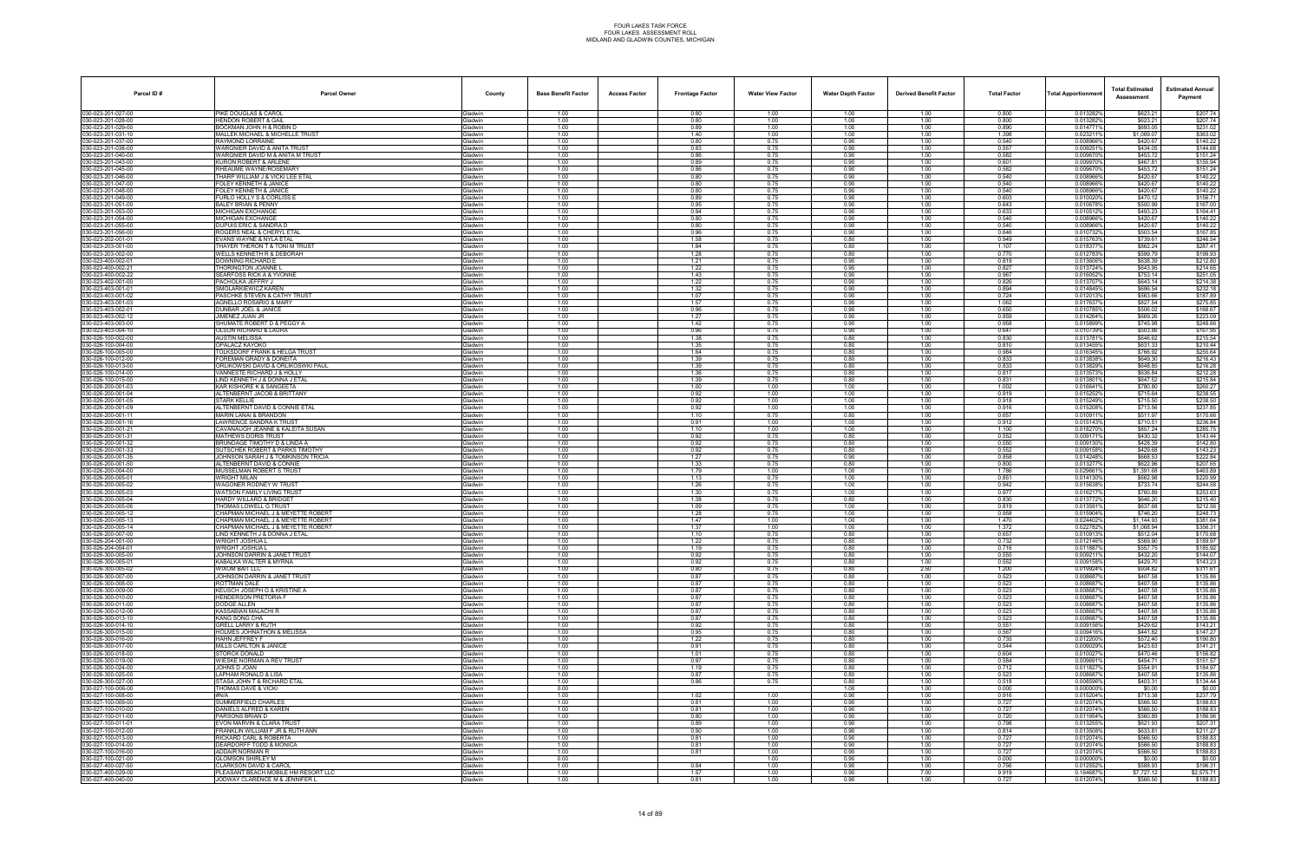| Parcel ID#                               | <b>Parcel Owner</b>                                                 | County                           | <b>Base Benefit Factor</b> | <b>Access Factor</b> | <b>Frontage Factor</b> | <b>Water View Factor</b> | <b>Water Depth Factor</b> | <b>Derived Benefit Factor</b> | <b>Total Factor</b> | Total Apportionmer     | <b>Total Estimated</b><br>Assessment | <b>Estimated Annual</b><br>Payment |
|------------------------------------------|---------------------------------------------------------------------|----------------------------------|----------------------------|----------------------|------------------------|--------------------------|---------------------------|-------------------------------|---------------------|------------------------|--------------------------------------|------------------------------------|
| 030-023-201-027-00                       | PIKE DOUGLAS & CAROL                                                | <b>Gladwin</b>                   | 1.00                       |                      | 0.80                   | 1.00                     | 1.00                      | 1.00                          | 0.800               | 0.013282%              | \$623.21                             | \$207.74                           |
| 030-023-201-028-00<br>30-023-201-029-00  | <b>HENDON ROBERT &amp; GAIL</b><br>3OCKMAN JOHN H & ROBIN D         | Gladwin<br>iladwin               | 1.00<br>1.00               |                      | 0.80<br>0.89           | 1.00<br>1.00             | 1.00<br>1.00              | 1.00<br>1.00                  | 0.800<br>0.890      | 0.013282%<br>0.014771% | \$623.21<br>\$693.05                 | \$207.74<br>\$231.02               |
| 030-023-201-031-10                       | MALLEK MICHAEL & MICHELLE TRUST                                     | <b>Gladwin</b>                   | 1.00                       |                      | 1.40                   | 1.00                     | 1.00                      | 1.00                          | 1.398               | 0.0232119              | \$1,089.07                           | \$363.02                           |
| 30-023-201-037-00                        | RAYMOND LORRAINE                                                    | Gladwin                          | 1.00                       |                      | 0.80                   | 0.75                     | 0.90                      | 1.00                          | 0.540               | 0.008966%              | \$420.67                             | \$140.22                           |
| 30-023-201-038-00<br>30-023-201-040-00   | WARGNIER DAVID & ANITA TRUST<br>WARGNIER DAVID M & ANITA M TRUST    | <b>Gladwin</b><br><b>Gladwin</b> | 1.00<br>1.00               |                      | 0.83<br>0.86           | 0.75<br>0.75             | 0.90<br>0.90              | 1.00<br>1.00                  | 0.557<br>0.582      | 0.0092519<br>0.009670% | \$434.05<br>\$453.72                 | \$144.68<br>\$151.24               |
| 80-023-201-043-00                        | KURON ROBERT & ARLENE                                               | iladwin                          | 1.00                       |                      | 0.89                   | 0.75                     | 0.90                      | 1.00                          | 0.601               | 0.009970               | \$467.81                             | \$155.94                           |
| 30-023-201-045-00<br>30-023-201-046-00   | RHEAUME WAYNE/ROSEMARY<br>THARP WILLIAM J & VICKI LEE ETAL          | <b>i</b> ladwin<br>Gladwin       | 1.00<br>1.00               |                      | 0.86<br>0.80           | 0.75<br>0.75             | 0.90<br>0.90              | 1.00<br>1.00                  | 0.582<br>0.540      | 0.0096709<br>0.008966% | \$453.72<br>\$420.67                 | \$151.24<br>\$140.22               |
| 30-023-201-047-00                        | FOLEY KENNETH & JANICE                                              | <b>Sladwin</b>                   | 1.00                       |                      | 0.80                   | 0.75                     | 0.90                      | 1.00                          | 0.540               | 0.008966%              | \$420.67                             | \$140.22                           |
| 030-023-201-048-00                       | FOLEY KENNETH & JANICE                                              | <b>Gladwin</b>                   | 1.00<br>1.00               |                      | 0.80                   | 0.75<br>0.75             | 0.90<br>0.90              | 1.00<br>1.00                  | 0.540<br>0.603      | 0.008966%              | \$420.67                             | \$140.22<br>\$156.71               |
| 30-023-201-049-00<br>30-023-201-051-00   | FURLO HOLLY S & CORLISS I<br><b>BALEY BRIAN &amp; PENNY</b>         | iladwin<br><b>Gladwin</b>        | 1.00                       |                      | 0.89<br>0.95           | 0.75                     | 0.90                      | 1.00                          | 0.643               | 0.0100209<br>0.010678% | \$470.12<br>\$500.99                 | \$167.00                           |
| 30-023-201-053-00                        | MICHIGAN EXCHANGE                                                   | Gladwin                          | 1.00                       |                      | 0.94                   | 0.75                     | 0.90                      | 1.00                          | 0.633               | 0.0105129              | \$493.23                             | \$164.41                           |
| 30-023-201-054-00<br>30-023-201-055-00   | <b>MICHIGAN EXCHANGE</b><br>DUPUIS ERIC & SANDRA D                  | <b>Gladwin</b><br><b>Gladwin</b> | 1.00<br>1.00               |                      | 0.80<br>0.80           | 0.75<br>0.75             | 0.90<br>0.90              | 1.00<br>1.00                  | 0.540<br>0.540      | 0.008966%<br>0.008966% | \$420.67<br>\$420.67                 | \$140.22<br>\$140.22               |
| 80-023-201-056-00                        | ROGERS NEAL & CHERYL ETAL                                           | iladwin                          | 1.00                       |                      | 0.96                   | 0.75                     | 0.90                      | 1.00                          | 0.646               | 0.010732%              | \$503.54                             | \$167.85                           |
| 30-023-202-001-01<br>30-023-203-001-00   | EVANS WAYNE & NYLA ETAL<br>THAYER THERON T & TONI M TRUS'           | <b>i</b> ladwin<br>Gladwin       | 1.00<br>1.00               |                      | 1.58<br>1.84           | 0.75<br>0.75             | 0.80<br>0.80              | 1.00<br>1.00                  | 0.949<br>1.107      | 0.0157639<br>0.0183779 | \$739.61<br>\$862.24                 | \$246.54<br>\$287.41               |
| 30-023-203-002-00                        | WELLS KENNETH R & DEBORAH                                           | <b>Gladwin</b>                   | 1.00                       |                      | 1.28                   | 0.75                     | 0.80                      | 1.00                          | 0.770               | 0.012783%              | \$599.79                             | \$199.93                           |
| 030-023-400-002-01                       | DOWNING RICHARD E                                                   | <b>Gladwin</b>                   | 1.00<br>1.00               |                      | 1.21                   | 0.75<br>0.75             | 0.90<br>0.90              | 1.00<br>1.00                  | 0.819<br>0.827      | 0.013606%              | \$638.39<br>\$643.95                 | \$212.80<br>\$214.65               |
| 30-023-400-002-21<br>30-023-400-002-22   | THORINGTON JOANNE I<br>SEARFOSS RICK A & YVONNE                     | iladwin<br><b>Gladwin</b>        | 1.00                       |                      | 1.22<br>1.43           | 0.75                     | 0.90                      | 1.00                          | 0.967               | 0.013724%<br>0.016052% | \$753.14                             | \$251.05                           |
| 30-023-402-001-00                        | PACHOLKA JEFFRY J                                                   | Gladwin                          | 1.00                       |                      | 1.22                   | 0.75                     | 0.90                      | 1.00                          | 0.826               | 0.013707               | \$643.14                             | \$214.38                           |
| 130-023-403-001-01<br>30-023-403-001-02  | SMOLARKIEWICZ KAREN<br>PASCHKE STEVEN & CATHY TRUST                 | <b>Gladwin</b><br><b>Gladwin</b> | 1.00<br>1.00               |                      | 1.32<br>1.07           | 0.75<br>0.75             | 0.90<br>0.90              | 1.00<br>1.00                  | 0.894<br>0.724      | 0.014845%<br>0.0120139 | \$696.54<br>\$563.66                 | \$232.18<br>\$187.89               |
| 30-023-403-001-03                        | <b>AGNELLO ROSARIO &amp; MARY</b>                                   | iladwin                          | 1.00                       |                      | 1.57                   | 0.75                     | 0.90                      | 1.00                          | 1.062               | 0.0176379              | \$827.54                             | \$275.85                           |
| 30-023-403-002-01<br>30-023-403-002-12   | <b>DUNBAR JOEL &amp; JANICE</b><br>JIMENEZ JUAN JR                  | <b>Sladwin</b><br><b>Gladwin</b> | 1.00<br>1.00               |                      | 0.96<br>1.27           | 0.75<br>0.75             | 0.90<br>0.90              | 1.00<br>1.00                  | 0.650<br>0.859      | 0.010785%<br>0.014264% | \$506.02<br>\$669.26                 | \$168.67                           |
| 030-023-403-003-00                       | SHUMATE ROBERT D & PEGGY A                                          | <b>Gladwin</b>                   | 1.00                       |                      | 1.42                   | 0.75                     | 0.90                      | 1.00                          | 0.958               | 0.015899%              | \$745.98                             | \$223.09<br>\$248.66               |
| 30-023-403-004-10                        | OLSON RICHARD & LAURA                                               | <b>Gladwin</b>                   | 1.00                       |                      | 0.96                   | 0.75                     | 0.90                      | 1.00                          | 0.647               | 0.010739%              | \$503.86                             | \$167.95                           |
| 30-026-100-002-00<br>30-026-100-004-00   | AUSTIN MELISSA<br>OPALACZ KAYOKO                                    | iladwin<br><b>Gladwin</b>        | 1.00<br>1.00               |                      | 1.38<br>1.35           | 0.75<br>0.75             | 0.80<br>0.80              | 1.00<br>1.00                  | 0.830<br>0.810      | 0.013781<br>0.013455%  | \$646.62<br>\$631.33                 | \$215.54<br>\$210.44               |
| 30-026-100-005-00                        | TOLKSDORF FRANK & HELGA TRUST                                       | Gladwin                          | 1.00                       |                      | 1.64                   | 0.75                     | 0.80                      | 1.00                          | 0.984               | 0.016345%              | \$766.92                             | \$255.64                           |
| (30-026-100-012-00<br>30-026-100-013-00  | FOREMAN GRADY & DONEITA<br>ORLIKOWSKI DAVID & ORLIKOSWKI PAUL       | <b>Gladwin</b><br>iladwin        | 1.00<br>1.00               |                      | 1.39<br>1.39           | 0.75<br>0.75             | 0.80<br>0.80              | 1.00<br>1.00                  | 0.833<br>0.833      | 0.013838%<br>0.0138299 | \$649.30<br>\$648.85                 | \$216.43<br>\$216.28               |
| 30-026-100-014-00                        | <b>/ANNESTE RICHARD J &amp; HOLLY</b>                               | iladwin                          | 1.00                       |                      | 1.36                   | 0.75                     | 0.80                      | 1.00                          | 0.817               | 0.0135739              | \$636.84                             | \$212.28                           |
| 30-026-100-015-00                        | LIND KENNETH J & DONNA J ETAI                                       | <b>Gladwin</b>                   | 1.00                       |                      | 1.39                   | 0.75                     | 0.80                      | 1.00                          | 0.831               | 0.0138019              | \$647.52                             | \$215.84                           |
| 30-026-200-001-03<br>030-026-200-001-04  | KAR KISHORE K & SANGEETA<br>ALTENBERNT JACOB & BRITTANY             | iladwin<br><b>Gladwin</b>        | 1.00<br>1.00               |                      | 1.00<br>0.92           | 1.00<br>1.00             | 1.00<br>1.00              | 1.00<br>1.00                  | 1.002<br>0.919      | 0.0166419<br>0.015252% | \$780.80<br>\$715.64                 | \$260.27<br>\$238.55               |
| 30-026-200-001-05                        | <b>STARK KELLIE</b>                                                 | <b>Gladwin</b>                   | 1.00                       |                      | 0.92                   | 1.00                     | 1.00                      | 1.00                          | 0.918               | 0.015249%              | \$715.50                             | \$238.50                           |
| 30-026-200-001-09<br>30-026-200-001-11   | ALTENBERNT DAVID & CONNIE ETAL<br><b>MARIN LANAI &amp; BRANDON</b>  | iladwin<br><b>Gladwin</b>        | 1.00<br>1.00               |                      | 0.92<br>1.10           | 1.00<br>0.75             | 1.00<br>0.80              | 1.00<br>1.00                  | 0.916<br>0.657      | 0.015208%<br>0.010911% | \$713.56<br>\$511.97                 | \$237.85<br>\$170.66               |
| 30-026-200-001-16                        | LAWRENCE SANDRA K TRUST                                             | <b>Gladwin</b>                   | 1.00                       |                      | 0.91                   | 1.00                     | 1.00                      | 1.00                          | 0.912               | 0.015143%              | \$710.51                             | \$236.84                           |
| 030-026-200-001-21<br>30-026-200-001-31  | CAVANAUGH JEANNE & KALEITA SUSAN<br><b>MATHEWS DORIS TRUST</b>      | <b>Gladwin</b>                   | 1.00<br>1.00               |                      | 1.10<br>0.92           | 1.00<br>0.75             | 1.00<br>0.80              | 1.00<br>1.00                  | 1.100<br>0.552      | 0.018270%<br>0.0091719 | \$857.24<br>\$430.32                 | \$285.75<br>\$143.44               |
| 30-026-200-001-32                        | RUNDAGE TIMOTHY D & LINDA A                                         | iladwin<br>iladwin               | 1.00                       |                      | 0.92                   | 0.75                     | 0.80                      | 1.00                          | 0.550               | 0.0091309              | \$428.39                             | \$142.80                           |
| 30-026-200-001-33                        | SUTSCHEK ROBERT & PARKS TIMOTHY                                     | <b>Sladwin</b>                   | 1.00                       |                      | 0.92                   | 0.75                     | 0.80                      | 1.00                          | 0.552               | 0.009158%              | \$429.68                             | \$143.23                           |
| 30-026-200-001-3!<br>030-026-200-001-50  | JOHNSON SARAH J & TOMKINSON TRICIA<br>ALTENBERNT DAVID & CONNIE     | iladwin<br><b>Gladwin</b>        | 1.00<br>1.00               |                      | 1.27<br>1.33           | 0.75<br>0.75             | 0.90<br>0.80              | 1.00<br>1.00                  | 0.858<br>0.800      | 0.014248%<br>0.013277% | \$668.53<br>\$622.96                 | \$222.84<br>\$207.65               |
| 30-026-200-004-00                        | MUSSELMAN ROBERT S TRUST                                            | iladwin                          | 1.00                       |                      | 1.79                   | 1.00                     | 1.00                      | 1.00                          | 1.786               | 0.0296619              | \$1,391.68                           | \$463.89                           |
| 30-026-200-005-01<br>30-026-200-005-02   | WRIGHT MILAN<br>WAGONER RODNEY W TRUST                              | iladwin<br><b>Gladwin</b>        | 1.00<br>1.00               |                      | 1.13<br>1.26           | 0.75<br>0.75             | 1.00<br>1.00              | 1.00<br>1.00                  | 0.851<br>0.942      | 0.0141309<br>0.015638% | \$662.98<br>\$733.74                 | \$220.99<br>\$244.58               |
| 30-026-200-005-03                        | WATSON FAMILY LIVING TRUST                                          | <b>Gladwin</b>                   | 1.00                       |                      | 1.30                   | 0.75                     | 1.00                      | 1.00                          | 0.977               | 0.0162179              | \$760.89                             | \$253.63                           |
| (30-026-200-005-04<br>30-026-200-005-06  | HARDY WILLARD & BRIDGET<br>THOMAS LOWELL G TRUST                    | <b>Gladwin</b><br>iladwin        | 1.00<br>1.00               |                      | 1.38<br>1.09           | 0.75<br>0.75             | 0.80<br>1.00              | 1.00<br>1.00                  | 0.830<br>0.819      | 0.013772%<br>0.0135919 | \$646.20<br>\$637.68                 | \$215.40<br>\$212.56               |
| 30-026-200-005-12                        | CHAPMAN MICHAEL J & MEYETTE ROBERT                                  | iladwin                          | 1.00                       |                      | 1.28                   | 0.75                     | 1.00                      | 1.00                          | 0.958               | 0.015904%              | \$746.20                             | \$248.73                           |
| 030-026-200-005-13                       | CHAPMAN MICHAEL J & MEYETTE ROBERT                                  | <b>Sladwin</b>                   | 1.00                       |                      | 1.47                   | 1.00                     | 1.00                      | 1.00                          | 1.470               | 0.024402%              | \$1,144.93                           | \$381.64                           |
| 30-026-200-005-14<br>030-026-200-007-00  | CHAPMAN MICHAEL J & MEYETTE ROBERT<br>LIND KENNETH J & DONNA J ETAL | iladwin<br><b>Gladwin</b>        | 1.00<br>1.00               |                      | 1.37<br>1.10           | 1.00<br>0.75             | 1.00<br>0.80              | 1.00<br>1.00                  | 1.372<br>0.657      | 0.0227829<br>0.010913% | \$1,068.94<br>\$512.04               | \$356.31<br>\$170.68               |
| 030-026-204-001-00                       | WRIGHT JOSHUA L                                                     | iladwin                          | 1.00                       |                      | 1.22                   | 0.75                     | 0.80                      | 1.00                          | 0.732               | 0.012146%              | \$569.90                             | \$189.97                           |
| 030-026-204-004-01<br>030-026-300-005-00 | WRIGHT JOSHUA L<br>JOHNSON DARRIN & JANET TRUST                     | iladwin<br>Gladwin               | 1.00<br>1.00               |                      | 1.19<br>0.92           | 0.75<br>0.75             | 0.80<br>0.80              | 1.00<br>1.00                  | 0.716<br>0.555      | 0.0118879<br>0.009211% | \$557.75<br>\$432.20                 | \$185.92<br>\$144.07               |
| 30-026-300-005-01                        | KABALKA WALTER & MYRNA                                              | <b>Gladwin</b>                   | 1.00                       |                      | 0.92                   | 0.75                     | 0.80                      | 1.00                          | 0.552               | 0.009158%              | \$429.70                             | \$143.23                           |
| 30-026-300-005-02<br>30-026-300-007-00   | <b>WIXOM BAIT LLC</b><br>JOHNSON DARRIN & JANET TRUST               | Gladwin<br><b>Gladwin</b>        | 1.00<br>1.00               |                      | 0.80<br>0.87           | 0.75<br>0.75             | 0.80<br>0.80              | 2.50<br>1.00                  | 1.200<br>0.523      | 0.019924%<br>0.0086879 | \$934.82<br>\$407.58                 | \$311.61<br>\$135.86               |
| 30-026-300-008-00                        | ROTTMAN DALE                                                        | iladwin                          | 1.00                       |                      | 0.87                   | 0.75                     | 0.80                      | 1.00                          | 0.523               | 0.008687               | \$407.58                             | \$135.86                           |
| 30-026-300-009-00                        | KEUSCH JOSEPH G & KRISTINE A<br><b>HENDERSON PRETORIA F</b>         | Gladwin                          | 1.00                       |                      | 0.87                   | 0.75                     | 0.80                      | 1.00                          | 0.523               | 0.008687%              | \$407.58                             | \$135.86                           |
| 30-026-300-010-00<br>030-026-300-011-00  | DODGE ALLEN                                                         | <b>Gladwin</b><br>Gladwin        | 1.00<br>1.00               |                      | 0.87<br>0.87           | 0.75<br>0.75             | 0.80<br>0.80              | 1.00<br>1.00                  | 0.523<br>0.523      | 0.008687%<br>0.008687% | \$407.58<br>\$407.58                 | \$135.86<br>\$135.86               |
| 030-026-300-012-00                       | <b>KASSABIAN MALACHI R</b>                                          | <b>Gladwin</b>                   | 1.00                       |                      | 0.87                   | 0.75                     | 0.80                      | 1.00                          | 0.523               | 0.0086879              | \$407.58                             | \$135.86                           |
| 30-026-300-013-10<br>030-026-300-014-10  | KANG SONG CHA<br><b>GRELL LARRY &amp; RUTH</b>                      | iladwin<br>Gladwin               | 1.00<br>1.00               |                      | 0.87<br>0.92           | 0.75<br>0.75             | 0.80<br>0.80              | 1.00<br>1.00                  | 0.523<br>0.551      | 0.0086879<br>0.009156% | \$407.58<br>\$429.62                 | \$135.86<br>\$143.21               |
| 30-026-300-015-00                        | HOLMES JOHNATHON & MELISSA                                          | <b>Gladwin</b>                   | 1.00                       |                      | 0.95                   | 0.75                     | 0.80                      | 1.00                          | 0.567               | 0.009416%              | \$441.82                             | \$147.27                           |
| 30-026-300-016-00<br>30-026-300-017-00   | HAHN JEFFREY F<br>MILLS CARLTON & JANICE                            | Gladwin<br><b>Gladwin</b>        | 1.00<br>1.00               |                      | 1.22<br>0.91           | 0.75<br>0.75             | 0.80<br>0.80              | 1.00<br>1.00                  | 0.735<br>0.544      | 0.012200%<br>0.009029% | \$572.40<br>\$423.63                 | \$190.80<br>\$141.21               |
| 30-026-300-018-00                        | STORCK DONALD                                                       | iladwin                          | 1.00                       |                      | 1.01                   | 0.75                     | 0.80                      | 1.00                          | 0.604               | 0.010027               | \$470.46                             | \$156.82                           |
| 30-026-300-019-00<br>30-026-300-024-00   | WIESKE NORMAN A REV TRUST<br>JOHNS D JOAN                           | <b>Gladwin</b><br><b>Sladwin</b> | 1.00<br>1.00               |                      | 0.97<br>1.19           | 0.75<br>0.75             | 0.80<br>0.80              | 1.00<br>1.00                  | 0.584<br>0.712      | 0.009691%<br>0.011827% | \$454.71<br>\$554.91                 | \$151.57<br>\$184.97               |
| 030-026-300-025-00                       | LAPHAM RONALD & LISA                                                | Gladwin                          | 1.00                       |                      | 0.87                   | 0.75                     | 0.80                      | 1.00                          | 0.523               | 0.008687%              | \$407.58                             | \$135.86                           |
| 030-026-300-027-00                       | STASA JOHN T & RICHARD ETAL                                         | <b>Gladwin</b>                   | 1.00                       |                      | 0.86                   | 0.75                     | 0.80                      | 1.00                          | 0.518               | 0.008596%              | \$403.31                             | \$134.44                           |
| 30-027-100-006-00<br>030-027-100-008-00  | THOMAS DAVE & VICKI<br>#N/A                                         | iladwin<br>Gladwin               | 0.00<br>1.00               |                      | 1.02                   | 1.00                     | 1.00<br>0.90              | 1.00<br>1.00                  | 0.000<br>0.916      | 0.000000%<br>0.015204% | \$0.00<br>\$713.38                   | \$0.00<br>\$237.79                 |
| 030-027-100-009-00                       | SUMMERFIELD CHARLES                                                 | <b>Gladwin</b>                   | 1.00                       |                      | 0.81                   | 1.00                     | 0.90                      | 1.00                          | 0.727               | 0.012074%              | \$566.50                             | \$188.83                           |
| 030-027-100-010-00<br>030-027-100-011-00 | DANIELS ALFRED & KAREN<br>PARSONS BRIAN D                           | Gladwin<br><b>Gladwin</b>        | 1.00<br>1.00               |                      | 0.81<br>0.80           | 1.00<br>1.00             | 0.90<br>0.90              | 1.00<br>1.00                  | 0.727<br>0.720      | 0.012074%<br>0.011954% | \$566.50<br>\$560.89                 | \$188.83<br>\$186.96               |
| 30-027-100-011-01                        | EVON MARVIN & CLARA TRUST                                           | iladwin                          | 1.00                       |                      | 0.89                   | 1.00                     | 0.90                      | 1.00                          | 0.798               | 0.0132559              | \$621.93                             | \$207.31                           |
| 030-027-100-012-00                       | FRANKLIN WILLIAM F JR & RUTH ANN                                    | <b>Gladwin</b>                   | 1.00                       |                      | 0.90                   | 1.00                     | 0.90                      | 1.00                          | 0.814               | 0.013508%              | \$633.81                             | \$211.27                           |
| 030-027-100-013-00<br>030-027-100-014-00 | RICKARD CARL & ROBERTA<br><b>DEARDORFF TODD &amp; MONICA</b>        | <b>Sladwin</b><br><b>Gladwin</b> | 1.00<br>1.00               |                      | 0.81<br>0.81           | 1.00<br>1.00             | 0.90<br>0.90              | 1.00<br>1.00                  | 0.727<br>0.727      | 0.012074%<br>0.012074% | \$566.50<br>\$566.50                 | \$188.83<br>\$188.83               |
| 030-027-100-016-00                       | ADDAIR NORMAN R                                                     | Gladwin                          | 1.00                       |                      | 0.81                   | 1.00                     | 0.90                      | 1.00                          | 0.727               | 0.012074%              | \$566.50                             | \$188.83                           |
| 30-027-100-021-00<br>030-027-400-027-50  | <b>GLOMSON SHIRLEY M</b><br><b>CLARKSON DAVID &amp; CAROL</b>       | iladwin<br>Gladwin               | 0.00<br>1.00               |                      | 0.84                   | 1.00<br>1.00             | 0.90<br>0.90              | 1.00<br>1.00                  | 0.000<br>0.756      | 0.000000%<br>0.012552% | \$0.00<br>\$588.93                   | \$0.00<br>\$196.31                 |
| 030-027-400-029-00                       | PLEASANT BEACH MOBILE HM RESORT LLC                                 | Gladwin                          | 1.00                       |                      | 1.57                   | 1.00                     | 0.90                      | 7.00                          | 9.919               | 0.164687%              | \$7,727.12                           | \$2,575.71                         |
| 030-027-400-040-00                       | JODWAY CLARENCE M & JENNIFER L                                      | Gladwin                          | 1.00                       |                      | 0.81                   | 1.00                     | 0.90                      | 1.00                          | 0.727               | 0.012074%              | \$566.50                             | \$188.83                           |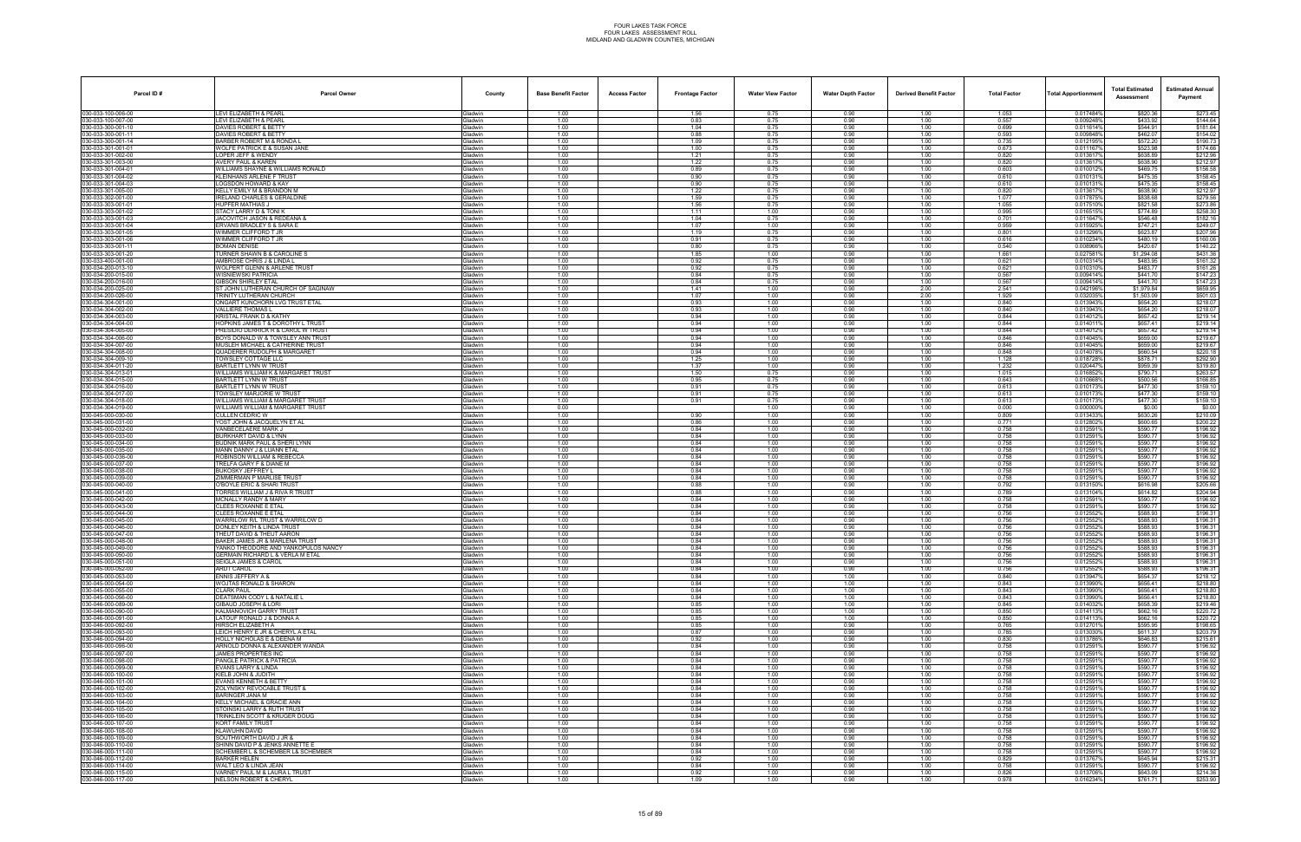| Parcel ID#                              | <b>Parcel Owner</b>                                                   | County                           | <b>Base Benefit Factor</b> | <b>Access Factor</b> | <b>Frontage Factor</b> | <b>Water View Factor</b> | <b>Water Depth Factor</b> | <b>Derived Benefit Factor</b> | <b>Total Factor</b> | <b>Total Apportionmer</b> | <b>Total Estimated</b><br>Assessment | <b>Estimated Annual</b><br>Payment |
|-----------------------------------------|-----------------------------------------------------------------------|----------------------------------|----------------------------|----------------------|------------------------|--------------------------|---------------------------|-------------------------------|---------------------|---------------------------|--------------------------------------|------------------------------------|
| 030-033-100-006-00                      | <b>LEVI ELIZABETH &amp; PEARL</b>                                     | <b>Gladwin</b>                   | 1.00                       |                      | 1.56                   | 0.75                     | 0.90                      | 1.00                          | 1.053               | 0.017484%                 | \$820.36                             | \$273.45                           |
| 030-033-100-007-00<br>30-033-300-001-10 | LEVI ELIZABETH & PEARL<br><b>DAVIES ROBERT &amp; BETTY</b>            | Gladwin<br><b>Gladwin</b>        | 1.00<br>1.00               |                      | 0.83<br>1.04           | 0.75<br>0.75             | 0.90<br>0.90              | 1.00<br>1.00                  | 0.557<br>0.699      | 0.009248%<br>0.011614%    | \$433.92<br>\$544.91                 | \$144.64<br>\$181.64               |
| 030-033-300-001-11                      | <b>DAVIES ROBERT &amp; BETTY</b>                                      | Gladwin                          | 1.00                       |                      | 0.88                   | 0.75                     | 0.90                      | 1.00                          | 0.593               | 0.009848%                 | \$462.07                             | \$154.02                           |
| 30-033-300-001-14                       | BARBER ROBERT M & RONDA                                               | Gladwin                          | 1.00                       |                      | 1.09                   | 0.75                     | 0.90                      | 1.00                          | 0.735               | 0.012195%                 | \$572.20                             | \$190.73                           |
| 30-033-301-001-01<br>30-033-301-002-00  | WOLFE PATRICK E & SUSAN JANE<br>LOPER JEFF & WENDY                    | Gladwin<br>Gladwin               | 1.00<br>1.00               |                      | 1.00<br>1.21           | 0.75<br>0.75             | 0.90<br>0.90              | 1.00<br>1.00                  | 0.673<br>0.820      | 0.0111679<br>0.0136179    | \$523.98<br>\$638.89                 | \$174.66<br>\$212.96               |
| 30-033-301-003-00                       | AVERY PAUL & KAREN                                                    | <b>Gladwin</b>                   | 1.00                       |                      | 1.22                   | 0.75                     | 0.90                      | 1.00                          | 0.820               | 0.0136179                 | \$638.90                             | \$212.97                           |
| 30-033-301-004-01                       | WILLIAMS SHAYNE & WILLIAMS RONALD                                     | Gladwin                          | 1.00                       |                      | 0.89                   | 0.75                     | 0.90                      | 1.00                          | 0.603               | 0.0100129                 | \$469.75                             | \$156.58                           |
| 30-033-301-004-02<br>30-033-301-004-03  | KLEINHANS ARLENE F TRUST<br>OGSDON HOWARD & KAY                       | Gladwin<br><b>Gladwin</b>        | 1.00<br>1.00               |                      | 0.90<br>0.90           | 0.75<br>0.75             | 0.90<br>0.90              | 1.00<br>1.00                  | 0.610<br>0.610      | 0.0101319<br>0.0101319    | \$475.35<br>\$475.35                 | \$158.45<br>\$158.45               |
| 030-033-301-005-00                      | KELLY EMILY M & BRANDON M                                             | Gladwin                          | 1.00                       |                      | 1.22                   | 0.75                     | 0.90                      | 1.00                          | 0.820               | 0.013617%                 | \$638.90                             | \$212.97                           |
| 30-033-302-001-00                       | RELAND CHARLES & GERALDINE                                            | <b>Gladwin</b>                   | 1.00                       |                      | 1.59                   | 0.75                     | 0.90                      | 1.00                          | 1.077               | 0.017875%                 | \$838.68                             | \$279.56                           |
| 30-033-303-001-0<br>30-033-303-001-02   | HUPFER MATHIAS J<br>STACY LARRY D & TONI K                            | Gladwin<br>Gladwin               | 1.00<br>1.00               |                      | 1.56<br>1.11           | 0.75<br>1.00             | 0.90<br>0.90              | 1.00<br>1.00                  | 1.055<br>0.995      | 0.0175109<br>0.0165159    | \$821.58<br>\$774.89                 | \$273.86<br>\$258.30               |
| 30-033-303-001-03                       | JACOVITCH JASON & REDEANA &                                           | Gladwin                          | 1.00                       |                      | 1.04                   | 0.75                     | 0.90                      | 1.00                          | 0.701               | 0.011647%                 | \$546.48                             | \$182.16                           |
| 30-033-303-001-04                       | ERVANS BRADLEY S & SARA E                                             | Gladwin                          | 1.00                       |                      | 1.07<br>1.19           | 1.00                     | 0.90                      | 1.00                          | 0.959<br>0.801      | 0.015925%                 | \$747.21                             | \$249.07                           |
| 30-033-303-001-05<br>30-033-303-001-06  | VIMMER CLIFFORD T JR<br>WIMMER CLIFFORD T JR                          | <b>Gladwin</b><br>Gladwin        | 1.00<br>1.00               |                      | 0.91                   | 0.75<br>0.75             | 0.90<br>0.90              | 1.00<br>1.00                  | 0.616               | 0.013296%<br>0.010234%    | \$623.87<br>\$480.19                 | \$207.96<br>\$160.06               |
| 30-033-303-001-11                       | <b>BOMAN DENISE</b>                                                   | Gladwin                          | 1.00                       |                      | 0.80                   | 0.75                     | 0.90                      | 1.00                          | 0.540               | 0.008966%                 | \$420.67                             | \$140.22                           |
| 30-033-303-001-20<br>30-033-400-001-00  | <b>TURNER SHAWN B &amp; CAROLINE S</b><br>AMBROSE CHRIS J & LINDA L   | Gladwin                          | 1.00<br>1.00               |                      | 1.85<br>0.92           | 1.00<br>0.75             | 0.90<br>0.90              | 1.00<br>1.00                  | 1.661<br>0.621      | 0.0275819<br>0.010314%    | \$1,294.08<br>\$483.95               | \$431.36<br>\$161.32               |
| 30-034-200-013-10                       | NOLPERT GLENN & ARLENE TRUST                                          | Gladwin<br><b>Gladwin</b>        | 1.00                       |                      | 0.92                   | 0.75                     | 0.90                      | 1.00                          | 0.621               | 0.0103109                 | \$483.77                             | \$161.26                           |
| 30-034-200-015-00                       | WISNIEWSKI PATRICIA                                                   | <b>Gladwin</b>                   | 1.00                       |                      | 0.84                   | 0.75                     | 0.90                      | 1.00                          | 0.567               | 0.009414%                 | \$441.70                             | \$147.23                           |
| 30-034-200-016-00<br>030-034-200-025-00 | GIBSON SHIRLEY ETAL<br>ST JOHN LUTHERAN CHURCH OF SAGINAW             | Gladwin<br>Gladwin               | 1.00<br>1.00               |                      | 0.84<br>1.41           | 0.75<br>1.00             | 0.90<br>0.90              | 1.00<br>2.00                  | 0.567<br>2.541      | 0.009414%<br>0.042196%    | \$441.70<br>\$1,979.84               | \$147.23<br>\$659.95               |
| 30-034-200-026-00                       | TRINITY LUTHERAN CHURCH                                               | Gladwin                          | 1.00                       |                      | 1.07                   | 1.00                     | 0.90                      | 2.00                          | 1.929               | 0.0320359                 | \$1,503.09                           | \$501.03                           |
| 80-034-304-001-00                       | )NGART KUNCHORN LVG TRUST ETAL                                        | <b>Jadwin</b>                    | 1.00                       |                      | 0.93                   | 1.00                     | 0.90                      | 1.00                          | 0.840               | 0.0139439                 | \$654.20                             | \$218.07                           |
| 30-034-304-002-00<br>30-034-304-003-00  | VALLIERE THOMAS L<br>KRISTAL FRANK D & KATHY                          | Gladwin<br>Gladwin               | 1.00<br>1.00               |                      | 0.93<br>0.94           | 1.00<br>1.00             | 0.90<br>0.90              | 1.00<br>1.00                  | 0.840<br>0.844      | 0.0139439<br>0.0140129    | \$654.20<br>\$657.42                 | \$218.07<br>\$219.14               |
| 030-034-304-004-00                      | <b>HOPKINS JAMES T &amp; DOROTHY L TRUST</b>                          | Gladwin                          | 1.00                       |                      | 0.94                   | 1.00                     | 0.90                      | 1.00                          | 0.844               | 0.0140119                 | \$657.41                             | \$219.14                           |
| 30-034-304-005-00                       | PRESIDIO DERRICK R & CAROL W TRUST                                    | Gladwin                          | 1.00                       |                      | 0.94                   | 1.00                     | 0.90                      | 1.00                          | 0.844               | 0.0140129                 | \$657.42                             | \$219.14                           |
| 30-034-304-006-00<br>30-034-304-007-00  | 30YS DONALD W & TOWSLEY ANN TRUST<br>MUSLEH MICHAEL & CATHERINE TRUST | <b>Gladwin</b><br><b>Gladwin</b> | 1.00<br>1.00               |                      | 0.94<br>0.94           | 1.00<br>1.00             | 0.90<br>0.90              | 1.00<br>1.00                  | 0.846<br>0.846      | 0.014045%<br>0.014045%    | \$659.00<br>\$659.00                 | \$219.67<br>\$219.67               |
| 30-034-304-008-00                       | <b>QUADERER RUDOLPH &amp; MARGARET</b>                                | Gladwin                          | 1.00                       |                      | 0.94                   | 1.00                     | 0.90                      | 1.00                          | 0.848               | 0.0140789                 | \$660.54                             | \$220.18                           |
| 030-034-304-009-10                      | TOWSLEY COTTAGE LLC                                                   | Gladwin                          | 1.00                       |                      | 1.25                   | 1.00                     | 0.90                      | 1.00                          | 1.128               | 0.018728%                 | \$878.71                             | \$292.90                           |
| 30-034-304-011-20<br>80-034-304-013-01  | BARTLETT LYNN W TRUST<br>VILLIAMS WILLIAM K & MARGARET TRUST          | <b>Gladwin</b><br>iladwin        | 1.00<br>1.00               |                      | 1.37<br>1.50           | 1.00<br>0.75             | 0.90<br>0.90              | 1.00<br>1.00                  | 1.232<br>1.015      | 0.0204479<br>0.0168529    | \$959.39<br>\$790.71                 | \$319.80<br>\$263.57               |
| 30-034-304-015-00                       | BARTLETT LYNN W TRUST                                                 | <b>Gladwin</b>                   | 1.00                       |                      | 0.95                   | 0.75                     | 0.90                      | 1.00                          | 0.643               | 0.010668%                 | \$500.56                             | \$166.85                           |
| 30-034-304-016-00                       | BARTLETT LYNN W TRUST                                                 | Gladwin                          | 1.00                       |                      | 0.91                   | 0.75                     | 0.90                      | 1.00                          | 0.613               | 0.010173                  | \$477.30                             | \$159.10                           |
| 030-034-304-017-00<br>30-034-304-018-00 | TOWSLEY MARJORIE W TRUST<br>WILLIAMS WILLIAM & MARGARET TRUST         | Gladwin<br><b>Gladwin</b>        | 1.00<br>1.00               |                      | 0.91<br>0.91           | 0.75<br>0.75             | 0.90<br>0.90              | 1.00<br>1.00                  | 0.613<br>0.613      | 0.010173%<br>0.0101739    | \$477.30<br>\$477.30                 | \$159.10<br>\$159.10               |
| 30-034-304-019-00                       | <i>NILLIAMS WILLIAM &amp; MARGARET TRUST</i>                          | <b>Gladwin</b>                   | 0.00                       |                      |                        | 1.00                     | 0.90                      | 1.00                          | 0.000               | 0.0000009                 | \$0.00                               | \$0.00                             |
| 30-045-000-030-00                       | CULLEN CEDRIC W                                                       | <b>Gladwin</b>                   | 1.00                       |                      | 0.90                   | 1.00                     | 0.90                      | 1.00                          | 0.809               | 0.013433%                 | \$630.26                             | \$210.09                           |
| 30-045-000-031-00<br>030-045-000-032-00 | YOST JOHN & JACQUELYN ET AL<br>VANBECELAERE MARK J                    | Gladwin<br>Gladwin               | 1.00<br>1.00               |                      | 0.86<br>0.84           | 1.00<br>1.00             | 0.90<br>0.90              | 1.00<br>1.00                  | 0.771<br>0.758      | 0.012802<br>0.0125919     | \$600.65<br>\$590.77                 | \$200.22<br>\$196.92               |
| 30-045-000-033-00                       | BURKHART DAVID & LYNN                                                 | <b>Gladwin</b>                   | 1.00                       |                      | 0.84                   | 1.00                     | 0.90                      | 1.00                          | 0.758               | 0.0125919                 | \$590.77                             | \$196.92                           |
| 30-045-000-034-00<br>30-045-000-035-00  | BUDNIK MARK PAUL & SHERI LYNN<br><b>MANN DANNY J &amp; LUANN ETAL</b> | iladwin<br><b>Gladwin</b>        | 1.00<br>1.00               |                      | 0.84<br>0.84           | 1.00<br>1.00             | 0.90<br>0.90              | 1.00<br>1.00                  | 0.758<br>0.758      | 0.012591<br>0.012591%     | \$590.77<br>\$590.77                 | \$196.92<br>\$196.92               |
| 30-045-000-036-00                       | ROBINSON WILLIAM & REBECCA                                            | Gladwin                          | 1.00                       |                      | 0.84                   | 1.00                     | 0.90                      | 1.00                          | 0.758               | 0.0125919                 | \$590.77                             | \$196.92                           |
| 030-045-000-037-00                      | TRELFA GARY F & DIANE M                                               | Gladwin                          | 1.00                       |                      | 0.84                   | 1.00                     | 0.90                      | 1.00                          | 0.758               | 0.012591%                 | \$590.77                             | \$196.92                           |
| 30-045-000-038-00<br>30-045-000-039-00  | <b>BUKOSKY JEFFREY L</b><br>ZIMMERMAN P MARLISE TRUST                 | <b>Gladwin</b><br><b>Gladwin</b> | 1.00<br>1.00               |                      | 0.84<br>0.84           | 1.00<br>1.00             | 0.90<br>0.90              | 1.00<br>1.00                  | 0.758<br>0.758      | 0.0125919<br>0.012591     | \$590.77<br>\$590.77                 | \$196.92<br>\$196.92               |
| 30-045-000-040-00                       | <b>O'BOYLE ERIC &amp; SHARI TRUST</b>                                 | <b>Gladwin</b>                   | 1.00                       |                      | 0.88                   | 1.00                     | 0.90                      | 1.00                          | 0.792               | 0.013150%                 | \$616.98                             | \$205.66                           |
| 30-045-000-041-00                       | TORRES WILLIAM J & RIVA R TRUST                                       | Gladwin                          | 1.00                       |                      | 0.88                   | 1.00                     | 0.90                      | 1.00                          | 0.789               | 0.013104%                 | \$614.82                             | \$204.94                           |
| 030-045-000-042-00<br>30-045-000-043-00 | <b>MCNALLY RANDY &amp; MARY</b><br>CLEES ROXANNE E ETAL               | Gladwin<br><b>Gladwin</b>        | 1.00<br>1.00               |                      | 0.84<br>0.84           | 1.00<br>1.00             | 0.90<br>0.90              | 1.00<br>1.00                  | 0.758<br>0.758      | 0.012591%<br>0.0125919    | \$590.77<br>\$590.77                 | \$196.92<br>\$196.92               |
| 80-045-000-044-00                       | CLEES ROXANNE E ETAL                                                  | <b>Gladwin</b>                   | 1.00                       |                      | 0.84                   | 1.00                     | 0.90                      | 1.00                          | 0.756               | 0.012552                  | \$588.93                             | \$196.31                           |
| 30-045-000-045-00                       | <b>NARRILOW R/L TRUST &amp; WARRILOW D</b>                            | <b>Gladwin</b>                   | 1.00                       |                      | 0.84                   | 1.00                     | 0.90                      | 1.00                          | 0.756               | 0.012552%                 | \$588.93                             | \$196.31                           |
| 30-045-000-046-00<br>030-045-000-047-00 | DONLEY KEITH & LINDA TRUST<br>THEUT DAVID & THEUT AARON               | <b>Gladwin</b><br>Gladwin        | 1.00<br>1.00               |                      | 0.84<br>0.84           | 1.00<br>1.00             | 0.90<br>0.90              | 1.00<br>1.00                  | 0.756<br>0.756      | 0.012552<br>0.012552%     | \$588.93<br>\$588.93                 | \$196.31<br>\$196.31               |
| 030-045-000-048-00                      | BAKER JAMES JR & MARLENA TRUST                                        | <b>Jadwin</b>                    | 1.00                       |                      | 0.84                   | 1.00                     | 0.90                      | 1.00                          | 0.756               | 0.0125529                 | \$588.93                             | \$196.31                           |
| 030-045-000-049-00                      | YANKO THEODORE AND YANKOPULOS NANCY                                   | <b>i</b> ladwin                  | 1.00                       |                      | 0.84                   | 1.00                     | 0.90                      | 1.00                          | 0.756               | 0.012552%                 | \$588.93                             | \$196.31                           |
| 030-045-000-050-00<br>30-045-000-051-00 | GERMAIN RICHARD L & VERLA M ETAL<br>SEIGLA JAMES & CAROL              | Gladwin<br>Gladwin               | 1.00<br>1.00               |                      | 0.84<br>0.84           | 1.00<br>1.00             | 0.90<br>0.90              | 1.00<br>1.00                  | 0.756<br>0.756      | 0.012552%<br>0.012552%    | \$588.93<br>\$588.93                 | \$196.31<br>\$196.31               |
| 030-045-000-052-00                      | ARDT CAROL                                                            | Gladwin                          | 1.00                       |                      | 0.84                   | 1.00                     | 0.90                      | 1.00                          | 0.756               | 0.012552%                 | \$588.93                             | \$196.31                           |
| 30-045-000-053-00<br>80-045-000-054-00  | ENNIS JEFFERY A &<br>NOJTAS RONALD & SHARON                           | <b>Gladwin</b><br><b>Gladwin</b> | 1.00<br>1.00               |                      | 0.84<br>0.84           | 1.00<br>1.00             | 1.00<br>1.00              | 1.00<br>1.00                  | 0.840<br>0.843      | 0.0139479<br>0.013990%    | \$654.37<br>\$656.41                 | \$218.12<br>\$218.80               |
| 30-045-000-055-00                       | CLARK PAUL                                                            | Gladwin                          | 1.00                       |                      | 0.84                   | 1.00                     | 1.00                      | 1.00                          | 0.843               | 0.013990%                 | \$656.41                             | \$218.80                           |
| 30-045-000-056-00                       | DEATSMAN CODY L & NATALIE L                                           | Gladwin                          | 1.00                       |                      | 0.84                   | 1.00                     | 1.00                      | 1.00                          | 0.843               | 0.013990%                 | \$656.41                             | \$218.80                           |
| 030-046-000-089-00<br>30-046-000-090-00 | GIBAUD JOSEPH & LORI<br><b>KALMANOVICH GARRY TRUST</b>                | Gladwin<br><b>Gladwin</b>        | 1.00<br>1.00               |                      | 0.85<br>0.85           | 1.00<br>1.00             | 1.00<br>1.00              | 1.00<br>1.00                  | 0.845<br>0.850      | 0.014032%<br>0.0141139    | \$658.39<br>\$662.16                 | \$219.46<br>\$220.72               |
| 30-046-000-091-00                       | LATOUF RONALD J & DONNA A                                             | <b>Gladwin</b>                   | 1.00                       |                      | 0.85                   | 1.00                     | 1.00                      | 1.00                          | 0.850               | 0.0141139                 | \$662.16                             | \$220.72                           |
| 030-046-000-092-00<br>30-046-000-093-00 | HIRSCH ELIZABETH A<br><b>EICH HENRY E JR &amp; CHERYL A ETAL</b>      | Gladwin                          | 1.00<br>1.00               |                      | 0.85<br>0.87           | 1.00<br>1.00             | 0.90<br>0.90              | 1.00<br>1.00                  | 0.765<br>0.785      | 0.012701%<br>0.013030%    | \$595.95<br>\$611.37                 | \$198.65<br>\$203.79               |
| 030-046-000-094-00                      | <b>HOLLY NICHOLAS E &amp; DEENA M</b>                                 | Gladwin<br>Gladwin               | 1.00                       |                      | 0.92                   | 1.00                     | 0.90                      | 1.00                          | 0.830               | 0.013786%                 | \$646.83                             | \$215.61                           |
| 30-046-000-096-00                       | ARNOLD DONNA & ALEXANDER WANDA                                        | <b>Gladwin</b>                   | 1.00                       |                      | 0.84                   | 1.00                     | 0.90                      | 1.00                          | 0.758               | 0.0125919                 | \$590.77                             | \$196.92                           |
| 80-046-000-097-00<br>030-046-000-098-00 | JAMES PROPERTIES INC<br>PANGLE PATRICK & PATRICIA                     | <b>Gladwin</b><br>Gladwin        | 1.00<br>1.00               |                      | 0.84<br>0.84           | 1.00<br>1.00             | 0.90<br>0.90              | 1.00<br>1.00                  | 0.758<br>0.758      | 0.012591<br>0.012591%     | \$590.77<br>\$590.77                 | \$196.92<br>\$196.92               |
| 30-046-000-099-00                       | EVANS LARRY & LINDA                                                   | <b>Gladwin</b>                   | 1.00                       |                      | 0.84                   | 1.00                     | 0.90                      | 1.00                          | 0.758               | 0.0125919                 | \$590.77                             | \$196.92                           |
| 030-046-000-100-00                      | KIELB JOHN & JUDITH                                                   | Gladwin                          | 1.00                       |                      | 0.84                   | 1.00                     | 0.90                      | 1.00                          | 0.758               | 0.012591%                 | \$590.77                             | \$196.92                           |
| 30-046-000-101-00<br>30-046-000-102-00  | EVANS KENNETH & BETTY<br>OLYNSKY REVOCABLE TRUST &                    | <b>Gladwin</b><br><b>Gladwin</b> | 1.00<br>1.00               |                      | 0.84<br>0.84           | 1.00<br>1.00             | 0.90<br>0.90              | 1.00<br>1.00                  | 0.758<br>0.758      | 0.012591%<br>0.0125919    | \$590.77<br>\$590.77                 | \$196.92<br>\$196.92               |
| 030-046-000-103-00                      | BARINGER JANA M                                                       | Gladwin                          | 1.00                       |                      | 0.84                   | 1.00                     | 0.90                      | 1.00                          | 0.758               | 0.012591%                 | \$590.77                             | \$196.92                           |
| 30-046-000-104-00                       | KELLY MICHAEL & GRACIE ANN                                            | Gladwin                          | 1.00                       |                      | 0.84                   | 1.00                     | 0.90                      | 1.00                          | 0.758               | 0.012591%                 | \$590.77                             | \$196.92                           |
| 030-046-000-105-00<br>30-046-000-106-00 | STOINSKI LARRY & RUTH TRUST<br>TRINKLEIN SCOTT & KRUGER DOUG          | Gladwin<br>Gladwin               | 1.00<br>1.00               |                      | 0.84<br>0.84           | 1.00<br>1.00             | 0.90<br>0.90              | 1.00<br>1.00                  | 0.758<br>0.758      | 0.012591%<br>0.0125919    | \$590.77<br>\$590.77                 | \$196.92<br>\$196.92               |
| 80-046-000-107-00                       | KORT FAMILY TRUST                                                     | <b>Gladwin</b>                   | 1.00                       |                      | 0.84                   | 1.00                     | 0.90                      | 1.00                          | 0.758               | 0.012591                  | \$590.77                             | \$196.92                           |
| 030-046-000-108-00                      | KLAWUHN DAVID                                                         | Gladwin                          | 1.00                       |                      | 0.84                   | 1.00                     | 0.90                      | 1.00                          | 0.758               | 0.012591%                 | \$590.77                             | \$196.92                           |
| 30-046-000-109-00<br>30-046-000-110-00  | SOUTHWORTH DAVID J JR &<br>SHINN DAVID P & JENKS ANNETTE E            | Gladwin<br>Gladwin               | 1.00<br>1.00               |                      | 0.84<br>0.84           | 1.00<br>1.00             | 0.90<br>0.90              | 1.00<br>1.00                  | 0.758<br>0.758      | 0.0125919<br>0.012591%    | \$590.77<br>\$590.77                 | \$196.92<br>\$196.92               |
| 30-046-000-111-00                       | SCHEMBER L & SCHEMBER L& SCHEMBER                                     | Gladwin                          | 1.00                       |                      | 0.84                   | 1.00                     | 0.90                      | 1.00                          | 0.758               | 0.012591%                 | \$590.77                             | \$196.92                           |
| 80-046-000-112-00<br>030-046-000-114-00 | BARKER HELEN                                                          | <b>Gladwin</b><br>Gladwin        | 1.00<br>1.00               |                      | 0.92<br>0.84           | 1.00<br>1.00             | 0.90<br>0.90              | 1.00                          | 0.829               | 0.0137679<br>0.012591%    | \$645.94                             | \$215.31<br>\$196.92               |
| 030-046-000-115-00                      | WALT LEO & LINDA JEAN<br>VARNEY PAUL M & LAURA L TRUST                | Gladwin                          | 1.00                       |                      | 0.92                   | 1.00                     | 0.90                      | 1.00<br>1.00                  | 0.758<br>0.826      | 0.013706%                 | \$590.77<br>\$643.09                 | \$214.36                           |
| 030-046-000-117-00                      | NELSON ROBERT & CHERYL                                                | Gladwin                          | 1.00                       |                      | 1.09                   | 1.00                     | 0.90                      | 1.00                          | 0.978               | 0.016234%                 | \$761.71                             | \$253.90                           |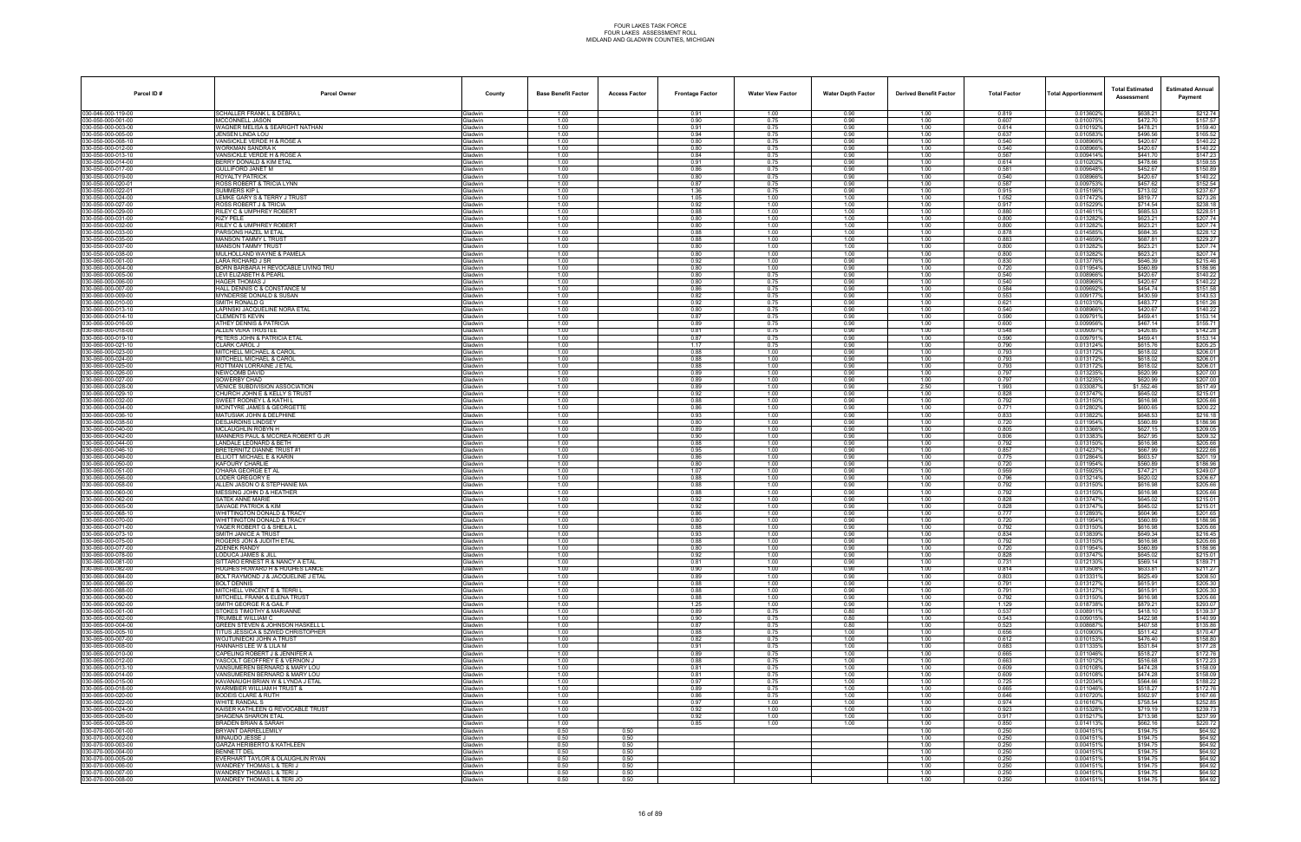| Parcel ID#                               | <b>Parcel Owner</b>                                                   | County                           | <b>Base Benefit Factor</b> | <b>Access Factor</b> | <b>Frontage Factor</b> | <b>Water View Factor</b> | <b>Water Depth Factor</b> | <b>Derived Benefit Factor</b> | <b>Total Factor</b> | Total Apportionmer     | <b>Total Estimated</b><br>Assessment | <b>Estimated Annual</b><br>Payment |
|------------------------------------------|-----------------------------------------------------------------------|----------------------------------|----------------------------|----------------------|------------------------|--------------------------|---------------------------|-------------------------------|---------------------|------------------------|--------------------------------------|------------------------------------|
| 030-046-000-119-00                       | SCHALLER FRANK L & DEBRA L                                            | <b>Gladwin</b>                   | 1.00                       |                      | 0.91                   | 1.00                     | 0.90                      | 1.00                          | 0.819               | 0.013602%              | \$638.21                             | \$212.74                           |
| 030-050-000-001-00<br>30-050-000-003-00  | MCCONNELL JASON<br>WAGNER MELISA & SEARIGHT NATHAN                    | Gladwin<br><b>Gladwin</b>        | 1.00<br>1.00               |                      | 0.90<br>0.91           | 0.75<br>0.75             | 0.90<br>0.90              | 1.00<br>1.00                  | 0.607<br>0.614      | 0.010075%<br>0.010192% | \$472.70<br>\$478.21                 | \$157.57<br>\$159.40               |
| 030-050-000-005-00                       | JENSEN LINDA LOU                                                      | Gladwin                          | 1.00                       |                      | 0.94                   | 0.75                     | 0.90                      | 1.00                          | 0.637               | 0.010583%              | \$496.56                             | \$165.52                           |
| 30-050-000-008-10                        | VANSICKLE VERDE H & ROSE A                                            | Gladwin                          | 1.00                       |                      | 0.80                   | 0.75                     | 0.90                      | 1.00                          | 0.540               | 0.008966%              | \$420.67                             | \$140.22                           |
| 30-050-000-012-00<br>30-050-000-013-10   | WORKMAN SANDRA K<br>VANSICKLE VERDE H & ROSE A                        | Gladwin<br>Gladwin               | 1.00<br>1.00               |                      | 0.80<br>0.84           | 0.75<br>0.75             | 0.90<br>0.90              | 1.00<br>1.00                  | 0.540<br>0.567      | 0.0089669<br>0.009414% | \$420.67<br>\$441.70                 | \$140.22<br>\$147.23               |
| 80-050-000-014-00                        | BERRY DONALD & KIM ETAL                                               | <b>Gladwin</b>                   | 1.00                       |                      | 0.91                   | 0.75                     | 0.90                      | 1.00                          | 0.614               | 0.0102029              | \$478.66                             | \$159.55                           |
| 30-050-000-017-00                        | <b>GULLIFORD JANET M</b>                                              | Gladwin                          | 1.00                       |                      | 0.86                   | 0.75                     | 0.90                      | 1.00                          | 0.581               | 0.009648%              | \$452.67                             | \$150.89                           |
| 30-050-000-019-00<br>30-050-000-020-01   | ROYALTY PATRICK<br>ROSS ROBERT & TRICIA LYNN                          | Gladwin<br><b>Gladwin</b>        | 1.00<br>1.00               |                      | 0.80<br>0.87           | 0.75<br>0.75             | 0.90<br>0.90              | 1.00<br>1.00                  | 0.540<br>0.587      | 0.008966%<br>0.0097539 | \$420.67<br>\$457.62                 | \$140.22<br>\$152.54               |
| 30-050-000-022-01                        | SUMMERS KIP L                                                         | Gladwin                          | 1.00                       |                      | 1.36                   | 0.75                     | 0.90                      | 1.00                          | 0.915               | 0.015196%              | \$713.02                             | \$237.67                           |
| 80-050-000-024-00                        | <b>LEMKE GARY S &amp; TERRY J TRUST</b>                               | <b>Gladwin</b>                   | 1.00                       |                      | 1.05                   | 1.00                     | 1.00                      | 1.00                          | 1.052               | 0.0174729              | \$819.77                             | \$273.26                           |
| 30-050-000-027-00<br>30-050-000-029-00   | ROSS ROBERT J & TRICIA<br>RILEY C & UMPHREY ROBERT                    | <b>Gladwin</b><br>Gladwin        | 1.00<br>1.00               |                      | 0.92<br>0.88           | 1.00<br>1.00             | 1.00<br>1.00              | 1.00<br>1.00                  | 0.917<br>0.880      | 0.015229%<br>0.0146119 | \$714.54<br>\$685.53                 | \$238.18<br>\$228.51               |
| 30-050-000-031-00                        | KIZY PELE                                                             | Gladwin                          | 1.00                       |                      | 0.80                   | 1.00                     | 1.00                      | 1.00                          | 0.800               | 0.0132829              | \$623.21                             | \$207.74                           |
| 30-050-000-032-00                        | RILEY C & UMPHREY ROBERT                                              | Gladwin                          | 1.00                       |                      | 0.80                   | 1.00                     | 1.00                      | 1.00                          | 0.800               | 0.013282%<br>0.014585% | \$623.21                             | \$207.74                           |
| 80-050-000-033-00<br>30-050-000-035-00   | ARSONS HAZEL M ETAL<br><b>MANSON TAMMY L TRUST</b>                    | <b>Gladwin</b><br>Gladwin        | 1.00<br>1.00               |                      | 0.88<br>0.88           | 1.00<br>1.00             | 1.00<br>1.00              | 1.00<br>1.00                  | 0.878<br>0.883      | 0.014659%              | \$684.35<br>\$687.81                 | \$228.12<br>\$229.27               |
| 30-050-000-037-00                        | MANSON TAMMY TRUST                                                    | Gladwin                          | 1.00                       |                      | 0.80                   | 1.00                     | 1.00                      | 1.00                          | 0.800               | 0.0132829              | \$623.21                             | \$207.74                           |
| 30-050-000-038-00<br>30-060-000-001-00   | MULHOLLAND WAYNE & PAMELA<br>LARA RICHARD J SR                        | <b>Gladwin</b><br>Gladwin        | 1.00<br>1.00               |                      | 0.80<br>0.92           | 1.00<br>1.00             | 1.00<br>0.90              | 1.00<br>1.00                  | 0.800<br>0.830      | 0.013282%<br>0.013776% | \$623.21<br>\$646.39                 | \$207.74<br>\$215.46               |
| 80-060-000-004-00                        | BORN BARBARA H REVOCABLE LIVING TRU                                   | <b>Gladwin</b>                   | 1.00                       |                      | 0.80                   | 1.00                     | 0.90                      | 1.00                          | 0.720               | 0.0119549              | \$560.89                             | \$186.96                           |
| 30-060-000-005-00                        | <b>LEVI ELIZABETH &amp; PEARL</b>                                     | <b>Gladwin</b>                   | 1.00                       |                      | 0.80                   | 0.75                     | 0.90                      | 1.00                          | 0.540               | 0.008966%              | \$420.67                             | \$140.22                           |
| 30-060-000-006-00<br>30-060-000-007-00   | HAGER THOMAS J<br>HALL DENNIS C & CONSTANCE M                         | Gladwin<br>Gladwin               | 1.00<br>1.00               |                      | 0.80<br>0.86           | 0.75<br>0.75             | 0.90<br>0.90              | 1.00<br>1.00                  | 0.540<br>0.584      | 0.008966%<br>0.0096929 | \$420.67<br>\$454.74                 | \$140.22<br>\$151.58               |
| 30-060-000-009-00                        | MYNDERSE DONALD & SUSAN                                               | <b>Gladwin</b>                   | 1.00                       |                      | 0.82                   | 0.75                     | 0.90                      | 1.00                          | 0.553               | 0.0091779              | \$430.59                             | \$143.53                           |
| 30-060-000-010-00                        | SMITH RONALD G                                                        | <b>Jadwin</b>                    | 1.00                       |                      | 0.92                   | 0.75                     | 0.90                      | 1.00                          | 0.621               | 0.010310               | \$483.77                             | \$161.26                           |
| 30-060-000-013-10<br>30-060-000-014-10   | APINSKI JACQUELINE NORA ETAL<br><b>CLEMENTS KEVIN</b>                 | Gladwin<br>Gladwin               | 1.00<br>1.00               |                      | 0.80<br>0.87           | 0.75<br>0.75             | 0.90<br>0.90              | 1.00<br>1.00                  | 0.540<br>0.590      | 0.0089669<br>0.009791  | \$420.67<br>\$459.41                 | \$140.22<br>\$153.14               |
| 30-060-000-016-00                        | ATHEY DENNIS & PATRICIA                                               | Gladwin                          | 1.00                       |                      | 0.89                   | 0.75                     | 0.90                      | 1.00                          | 0.600               | 0.009956%              | \$467.14                             | \$155.71                           |
| 30-060-000-018-00                        | ALLEN VERA TRUSTEE                                                    | <b>Gladwin</b>                   | 1.00                       |                      | 0.81                   | 0.75                     | 0.90                      | 1.00                          | 0.548               | 0.0090979              | \$426.85                             | \$142.28                           |
| 30-060-000-019-10<br>30-060-000-021-10   | PETERS JOHN & PATRICIA ETAL<br>CLARK CAROL J                          | <b>Gladwin</b><br><b>Gladwin</b> | 1.00<br>1.00               |                      | 0.87<br>1.17           | 0.75<br>0.75             | 0.90<br>0.90              | 1.00<br>1.00                  | 0.590<br>0.790      | 0.009791<br>0.013124%  | \$459.41<br>\$615.76                 | \$153.14<br>\$205.25               |
| 30-060-000-023-00                        | MITCHELL MICHAEL & CAROL                                              | Gladwin                          | 1.00                       |                      | 0.88                   | 1.00                     | 0.90                      | 1.00                          | 0.793               | 0.0131729              | \$618.02                             | \$206.01                           |
| 030-060-000-024-00                       | MITCHELL MICHAEL & CAROL                                              | Gladwin                          | 1.00                       |                      | 0.88                   | 1.00                     | 0.90                      | 1.00                          | 0.793               | 0.013172%              | \$618.02                             | \$206.01                           |
| 30-060-000-025-00<br>80-060-000-026-00   | ROTTMAN LORRAINE J ETAL<br><b>NEWCOMB DAVID</b>                       | <b>Gladwin</b><br><b>Gladwin</b> | 1.00<br>1.00               |                      | 0.88<br>0.89           | 1.00<br>1.00             | 0.90<br>0.90              | 1.00<br>1.00                  | 0.793<br>0.797      | 0.0131729<br>0.0132359 | \$618.02<br>\$620.99                 | \$206.01<br>\$207.00               |
| 30-060-000-027-00                        | SOWERBY CHAD                                                          | <b>Gladwin</b>                   | 1.00                       |                      | 0.89                   | 1.00                     | 0.90                      | 1.00                          | 0.797               | 0.013235%              | \$620.99                             | \$207.00                           |
| 30-060-000-028-00                        | VENICE SUBDIVISION ASSOCIATION                                        | Gladwin                          | 1.00                       |                      | 0.89                   | 1.00                     | 0.90                      | 2.50                          | 1.993               | 0.0330879              | \$1,552.46                           | \$517.49                           |
| 030-060-000-029-10<br>30-060-000-032-00  | CHURCH JOHN E & KELLY S TRUST<br>SWEET RODNEY L & KATHI L             | Gladwin<br><b>Gladwin</b>        | 1.00<br>1.00               |                      | 0.92<br>0.88           | 1.00<br>1.00             | 0.90<br>0.90              | 1.00<br>1.00                  | 0.828<br>0.792      | 0.013747%<br>0.0131509 | \$645.02<br>\$616.98                 | \$215.01<br>\$205.66               |
| 80-060-000-034-00                        | MCINTYRE JAMES & GEORGETTE                                            | <b>Gladwin</b>                   | 1.00                       |                      | 0.86                   | 1.00                     | 0.90                      | 1.00                          | 0.771               | 0.012802%              | \$600.65                             | \$200.22                           |
| 30-060-000-036-10                        | MATUSIAK JOHN & DELPHINE                                              | <b>Gladwin</b>                   | 1.00                       |                      | 0.93                   | 1.00                     | 0.90                      | 1.00                          | 0.833               | 0.013822%              | \$648.53                             | \$216.18                           |
| 30-060-000-038-50<br>030-060-000-040-00  | DESJARDINS LINDSEY<br>MCLAUGHLIN ROBYN H                              | Gladwin<br>Gladwin               | 1.00<br>1.00               |                      | 0.80<br>0.89           | 1.00<br>1.00             | 0.90<br>0.90              | 1.00<br>1.00                  | 0.720<br>0.805      | 0.011954%<br>0.013366% | \$560.89<br>\$627.15                 | \$186.96<br>\$209.05               |
| 30-060-000-042-00                        | MANNERS PAUL & MCCREA ROBERT G JR                                     | <b>Gladwin</b>                   | 1.00                       |                      | 0.90                   | 1.00                     | 0.90                      | 1.00                          | 0.806               | 0.0133839              | \$627.95                             | \$209.32                           |
| 30-060-000-044-00<br>30-060-000-046-10   | ANDALE LEONARD & BETH<br>BRETERNITZ DIANNE TRUST #1                   | iladwin<br><b>Gladwin</b>        | 1.00<br>1.00               |                      | 0.88<br>0.95           | 1.00<br>1.00             | 0.90<br>0.90              | 1.00<br>1.00                  | 0.792<br>0.857      | 0.0131509<br>0.014237% | \$616.98<br>\$667.99                 | \$205.66<br>\$222.66               |
| 30-060-000-049-00                        | ELLIOTT MICHAEL E & KARIN                                             | <b>Gladwin</b>                   | 1.00                       |                      | 0.86                   | 1.00                     | 0.90                      | 1.00                          | 0.775               | 0.012864%              | \$603.57                             | \$201.19                           |
| 030-060-000-050-00                       | KAFOURY CHARLIE                                                       | Gladwin                          | 1.00                       |                      | 0.80                   | 1.00                     | 0.90                      | 1.00                          | 0.720               | 0.011954%              | \$560.89                             | \$186.96                           |
| 30-060-000-051-00<br>80-060-000-056-00   | <b>O'HARA GEORGE ET AL</b><br>LODER GREGORY E                         | <b>Gladwin</b><br><b>Gladwin</b> | 1.00<br>1.00               |                      | 1.07<br>0.88           | 1.00<br>1.00             | 0.90<br>0.90              | 1.00<br>1.00                  | 0.959<br>0.796      | 0.0159259<br>0.013214% | \$747.21<br>\$620.02                 | \$249.07<br>\$206.67               |
| 30-060-000-058-00                        | ALLEN JASON O & STEPHANIE MA                                          | Gladwin                          | 1.00                       |                      | 0.88                   | 1.00                     | 0.90                      | 1.00                          | 0.792               | 0.013150%              | \$616.98                             | \$205.66                           |
| 30-060-000-060-00                        | MESSING JOHN D & HEATHER                                              | Gladwin                          | 1.00                       |                      | 0.88                   | 1.00                     | 0.90                      | 1.00                          | 0.792               | 0.013150%              | \$616.98                             | \$205.66                           |
| 030-060-000-062-00<br>30-060-000-065-00  | <b>SATEK ANNE MARIE</b><br>SAVAGE PATRICK & KIM                       | Gladwin<br><b>Gladwin</b>        | 1.00<br>1.00               |                      | 0.92<br>0.92           | 1.00<br>1.00             | 0.90<br>0.90              | 1.00<br>1.00                  | 0.828<br>0.828      | 0.013747%<br>0.0137479 | \$645.02<br>\$645.02                 | \$215.01<br>\$215.01               |
| 30-060-000-068-10                        | <b><i>NHITTINGTON DONALD &amp; TRACY</i></b>                          | <b>Gladwin</b>                   | 1.00                       |                      | 0.86                   | 1.00                     | 0.90                      | 1.00                          | 0.777               | 0.012893               | \$604.96                             | \$201.65                           |
| 30-060-000-070-00                        | WHITTINGTON DONALD & TRACY<br>YAGER ROBERT G & SHEILA L               | <b>Gladwin</b>                   | 1.00<br>1.00               |                      | 0.80                   | 1.00                     | 0.90<br>0.90              | 1.00                          | 0.720<br>0.792      | 0.011954%              | \$560.89<br>\$616.98                 | \$186.96                           |
| 30-060-000-071-00<br>030-060-000-073-10  | SMITH JANICE A TRUST                                                  | <b>Gladwin</b><br>Gladwin        | 1.00                       |                      | 0.88<br>0.93           | 1.00<br>1.00             | 0.90                      | 1.00<br>1.00                  | 0.834               | 0.013150<br>0.013839%  | \$649.34                             | \$205.66<br>\$216.45               |
| 30-060-000-075-00                        | ROGERS JON & JUDITH ETAL                                              | <b>Gladwin</b>                   | 1.00                       |                      | 0.88                   | 1.00                     | 0.90                      | 1.00                          | 0.792               | 0.0131509              | \$616.98                             | \$205.66                           |
| 030-060-000-077-00<br>030-060-000-078-00 | ZDENEK RANDY<br>LODUCA JAMES & JILL                                   | <b>Gladwin</b>                   | 1.00<br>1.00               |                      | 0.80<br>0.92           | 1.00<br>1.00             | 0.90<br>0.90              | 1.00<br>1.00                  | 0.720<br>0.828      | 0.011954%<br>0.013747% | \$560.89<br>\$645.02                 | \$186.96                           |
| 30-060-000-081-00                        | SITTARO ERNEST R & NANCY A ETAL                                       | Gladwin<br>Gladwin               | 1.00                       |                      | 0.81                   | 1.00                     | 0.90                      | 1.00                          | 0.731               | 0.0121309              | \$569.14                             | \$215.01<br>\$189.71               |
| 030-060-000-082-00                       | HUGHES HOWARD H & HUGHES LANCE                                        | Gladwin                          | 1.00                       |                      | 0.90                   | 1.00                     | 0.90                      | 1.00                          | 0.814               | 0.013508%              | \$633.81                             | \$211.27                           |
| 30-060-000-084-00<br>30-060-000-086-00   | BOLT RAYMOND J & JACQUELINE J ETAL<br><b>BOLT DENNIS</b>              | <b>Gladwin</b><br><b>Gladwin</b> | 1.00<br>1.00               |                      | 0.89<br>0.88           | 1.00<br>1.00             | 0.90<br>0.90              | 1.00<br>1.00                  | 0.803<br>0.791      | 0.0133319<br>0.0131279 | \$625.49<br>\$615.91                 | \$208.50<br>\$205.30               |
| 30-060-000-088-00                        | MITCHELL VINCENT E & TERRI L                                          | Gladwin                          | 1.00                       |                      | 0.88                   | 1.00                     | 0.90                      | 1.00                          | 0.791               | 0.013127%              | \$615.91                             | \$205.30                           |
| 30-060-000-090-00                        | MITCHELL FRANK & ELENA TRUST                                          | Gladwin                          | 1.00                       |                      | 0.88                   | 1.00                     | 0.90                      | 1.00                          | 0.792               | 0.013150%              | \$616.98                             | \$205.66                           |
| 030-060-000-092-00<br>30-065-000-001-00  | SMITH GEORGE R & GAIL F<br><b>STOKES TIMOTHY &amp; MARIANNE</b>       | Gladwin<br><b>Gladwin</b>        | 1.00<br>1.00               |                      | 1.25<br>0.89           | 1.00<br>0.75             | 0.90<br>0.80              | 1.00<br>1.00                  | 1.129<br>0.537      | 0.018738%<br>0.0089119 | \$879.21<br>\$418.10                 | \$293.07<br>\$139.37               |
| 30-065-000-002-00                        | TRUMBLE WILLIAM C                                                     | <b>Gladwin</b>                   | 1.00                       |                      | 0.90                   | 0.75                     | 0.80                      | 1.00                          | 0.543               | 0.009015               | \$422.98                             | \$140.99                           |
| 030-065-000-004-00<br>30-065-000-005-10  | GREEN STEVEN & JOHNSON HASKELL L<br>TITUS JESSICA & SZWED CHRISTOPHER | Gladwin                          | 1.00<br>1.00               |                      | 0.87<br>0.88           | 0.75<br>0.75             | 0.80<br>1.00              | 1.00<br>1.00                  | 0.523<br>0.656      | 0.008687%<br>0.010900% | \$407.58<br>\$511.42                 | \$135.86<br>\$170.47               |
| 030-065-000-007-00                       | WOJTUNIECKI JOHN A TRUST                                              | Gladwin<br>Gladwin               | 1.00                       |                      | 0.82                   | 0.75                     | 1.00                      | 1.00                          | 0.612               | 0.010153%              | \$476.40                             | \$158.80                           |
| 30-065-000-008-00                        | HANNAHS LEE W & LILA M                                                | <b>Gladwin</b>                   | 1.00                       |                      | 0.91                   | 0.75                     | 1.00                      | 1.00                          | 0.683               | 0.0113359              | \$531.84                             | \$177.28                           |
| 80-065-000-010-00<br>030-065-000-012-00  | APELING ROBERT J & JENNIFER A<br>YASCOLT GEOFFREY E & VERNON J        | <b>Gladwin</b><br>Gladwin        | 1.00<br>1.00               |                      | 0.89<br>0.88           | 0.75<br>0.75             | 1.00<br>1.00              | 1.00<br>1.00                  | 0.665<br>0.663      | 0.011046%<br>0.011012% | \$518.27<br>\$516.68                 | \$172.76<br>\$172.23               |
| 30-065-000-013-10                        | VANSUMEREN BERNARD & MARY LOU                                         | Gladwin                          | 1.00                       |                      | 0.81                   | 0.75                     | 1.00                      | 1.00                          | 0.609               | 0.010108%              | \$474.28                             | \$158.09                           |
| 030-065-000-014-00                       | VANSUMEREN BERNARD & MARY LOU                                         | Gladwin                          | 1.00                       |                      | 0.81                   | 0.75                     | 1.00                      | 1.00                          | 0.609               | 0.010108%              | \$474.28                             | \$158.09                           |
| 30-065-000-015-00<br>30-065-000-018-00   | KAVANAUGH BRIAN W & LYNDA J ETAL<br>VARMBIER WILLIAM H TRUST &        | <b>Gladwin</b><br><b>Gladwin</b> | 1.00<br>1.00               |                      | 0.97<br>0.89           | 0.75<br>0.75             | 1.00<br>1.00              | 1.00<br>1.00                  | 0.725<br>0.665      | 0.012034%<br>0.0110469 | \$564.66<br>\$518.27                 | \$188.22<br>\$172.76               |
| 030-065-000-020-00                       | <b>BODEIS CLARE &amp; RUTH</b>                                        | Gladwin                          | 1.00                       |                      | 0.86                   | 0.75                     | 1.00                      | 1.00                          | 0.646               | 0.010720%              | \$502.97                             | \$167.66                           |
| 30-065-000-022-00                        | WHITE RANDAL S                                                        | Gladwin                          | 1.00                       |                      | 0.97                   | 1.00                     | 1.00                      | 1.00                          | 0.974               | 0.016167%              | \$758.54                             | \$252.85                           |
| 030-065-000-024-00<br>030-065-000-026-00 | KAISER KATHLEEN G REVOCABLE TRUST<br>SHAGENA SHARON ETAL              | Gladwin<br>Gladwin               | 1.00<br>1.00               |                      | 0.92<br>0.92           | 1.00<br>1.00             | 1.00<br>1.00              | 1.00<br>1.00                  | 0.923<br>0.917      | 0.015328%<br>0.0152179 | \$719.19<br>\$713.98                 | \$239.73<br>\$237.99               |
| 80-065-000-028-00                        | RADEN BRIAN & SARAH                                                   | <b>Gladwin</b>                   | 1.00                       |                      | 0.85                   | 1.00                     | 1.00                      | 1.00                          | 0.850               | 0.0141139              | \$662.16                             | \$220.72                           |
| 030-070-000-001-00                       | BRYANT DARRELLEMILY                                                   | Gladwin                          | 0.50                       | 0.50                 |                        |                          |                           | 1.00                          | 0.250               | 0.004151%              | \$194.75                             | \$64.92                            |
| 30-070-000-002-00<br>030-070-000-003-00  | MINAUDO JESSE J<br><b>GARZA HERIBERTO &amp; KATHLEEN</b>              | Gladwin<br>Gladwin               | 0.50<br>0.50               | 0.50<br>0.50         |                        |                          |                           | 1.00<br>1.00                  | 0.250<br>0.250      | 0.004151%<br>0.0041519 | \$194.75<br>\$194.75                 | \$64.92<br>\$64.92                 |
| 030-070-000-004-00                       | BENNETT DEL                                                           | Gladwin                          | 0.50                       | 0.50                 |                        |                          |                           | 1.00                          | 0.250               | 0.0041519              | \$194.75                             | \$64.92                            |
| 30-070-000-005-00<br>030-070-000-006-00  | VERHART TAYLOR & OLAUGHLIN RYAN<br>WANDREY THOMAS L & TERI J          | <b>Gladwin</b><br>Gladwin        | 0.50                       | 0.50<br>0.50         |                        |                          |                           | 1.00                          | 0.250               | 0.0041519<br>0.004151% | \$194.75                             | \$64.92<br>\$64.92                 |
| 030-070-000-007-00                       | WANDREY THOMAS L & TERI J                                             | Gladwin                          | 0.50<br>0.50               | 0.50                 |                        |                          |                           | 1.00<br>1.00                  | 0.250<br>0.250      | 0.004151%              | \$194.75<br>\$194.75                 | \$64.92                            |
| 030-070-000-008-00                       | WANDREY THOMAS L & TERI JO                                            | Gladwin                          | 0.50                       | 0.50                 |                        |                          |                           | 1.00                          | 0.250               | 0.004151%              | \$194.75                             | \$64.92                            |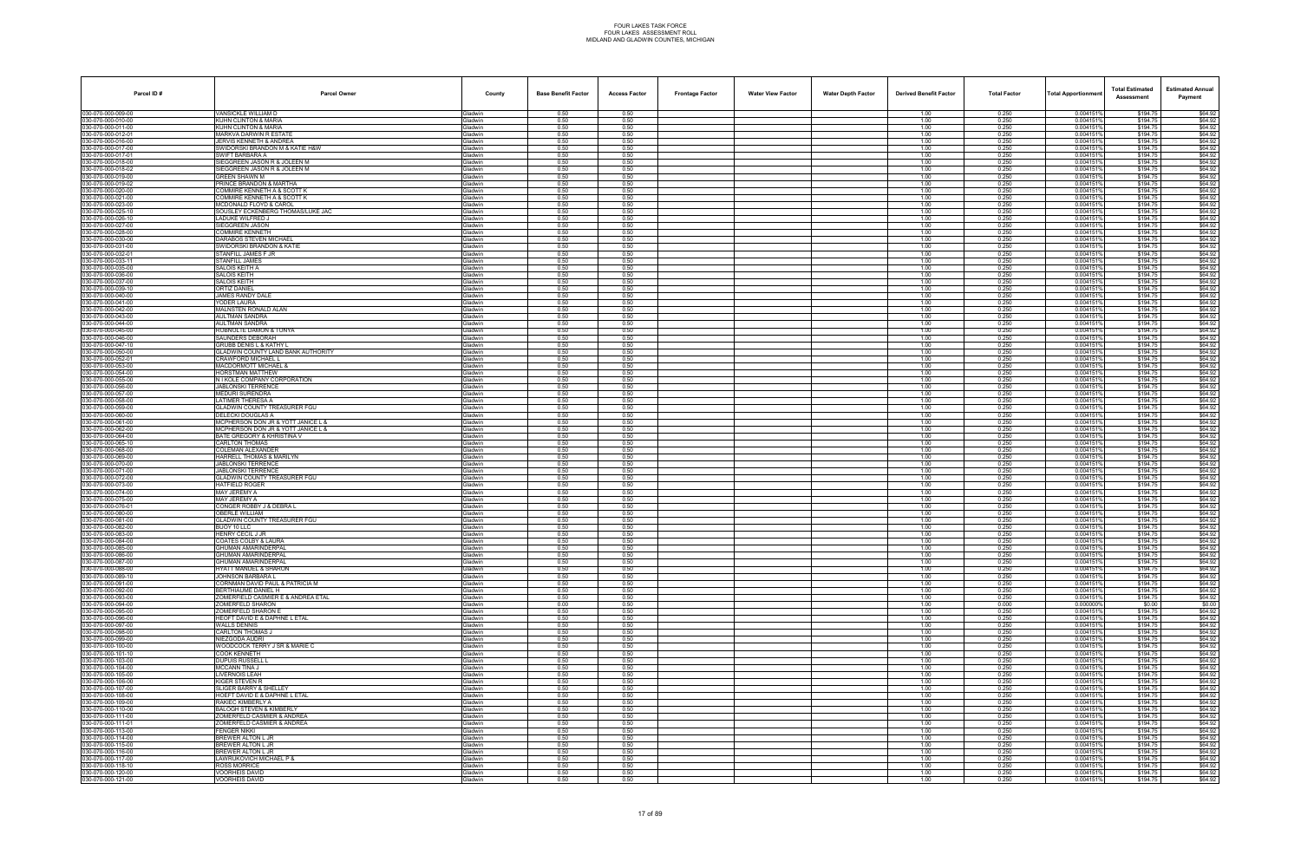| Parcel ID#                               | <b>Parcel Owner</b>                                              | County                           | <b>Base Benefit Factor</b> | <b>Access Factor</b><br><b>Frontage Factor</b> | <b>Water View Factor</b> | <b>Water Depth Factor</b> | <b>Derived Benefit Factor</b> | <b>Total Factor</b> | <b>Total Apportionmen</b> | <b>Total Estimated</b><br><b>Assessment</b> | <b>Estimated Annual</b><br>Payment |
|------------------------------------------|------------------------------------------------------------------|----------------------------------|----------------------------|------------------------------------------------|--------------------------|---------------------------|-------------------------------|---------------------|---------------------------|---------------------------------------------|------------------------------------|
| 030-070-000-009-00                       | VANSICKLE WILLIAM D                                              | Gladwin                          | 0.50                       | 0.50                                           |                          |                           | 1.00                          | 0.250               | 0.004151%                 | \$194.75                                    | \$64.92                            |
| 030-070-000-010-00                       | KUHN CLINTON & MARIA<br>KUHN CLINTON & MARIA                     | <b>Gladwin</b>                   | 0.50                       | 0.50                                           |                          |                           | 1.00                          | 0.250               | 0.004151<br>0.004151      | \$194.75                                    | \$64.92                            |
| 00-070-000-011-00<br>030-070-000-012-01  | MARKVA DARWIN R ESTATE                                           | <b>Gladwin</b><br><b>Sladwin</b> | 0.50<br>0.50               | 0.50<br>0.50                                   |                          |                           | 1.00<br>1.00                  | 0.250<br>0.250      | 0.0041519                 | \$194.75<br>\$194.75                        | \$64.92<br>\$64.92                 |
| 30-070-000-016-00                        | <b>JERVIS KENNETH &amp; ANDREA</b>                               | <b>Gladwin</b>                   | 0.50                       | 0.50                                           |                          |                           | 1.00                          | 0.250               | 0.0041519                 | \$194.75                                    | \$64.92                            |
| 030-070-000-017-00                       | SWIDORSKI BRANDON M & KATIE H&W                                  | <b>Gladwin</b>                   | 0.50                       | 0.50                                           |                          |                           | 1.00                          | 0.250               | 0.0041519                 | \$194.75                                    | \$64.92                            |
| 030-070-000-017-01<br>30-070-000-018-00  | SWIFT BARBARA A<br>SIEGGREEN JASON R & JOLEEN M                  | <b>Gladwin</b><br><b>Gladwin</b> | 0.50<br>0.50               | 0.50<br>0.50                                   |                          |                           | 1.00<br>1.00                  | 0.250<br>0.250      | 0.004151<br>0.004151      | \$194.75<br>\$194.75                        | \$64.92<br>\$64.92                 |
| 30-070-000-018-02                        | SIEGGREEN JASON R & JOLEEN M                                     | <b>Sladwin</b>                   | 0.50                       | 0.50                                           |                          |                           | 1.00                          | 0.250               | 0.0041519                 | \$194.75                                    | \$64.92                            |
| 30-070-000-019-00                        | GREEN SHAWN M                                                    | <b>Sladwin</b>                   | 0.50                       | 0.50                                           |                          |                           | 1.00                          | 0.250               | 0.0041519                 | \$194.75                                    | \$64.92                            |
| 030-070-000-019-02<br>030-070-000-020-00 | PRINCE BRANDON & MARTHA<br>COMMIRE KENNETH A & SCOTT K           | <b>Sladwin</b><br>iladwin        | 0.50<br>0.50               | 0.50<br>0.50                                   |                          |                           | 1.00<br>1.00                  | 0.250<br>0.250      | 0.0041519<br>0.0041519    | \$194.75<br>\$194.75                        | \$64.92<br>\$64.92                 |
| 30-070-000-021-00                        | COMMIRE KENNETH A & SCOTT K                                      | <b>Gladwin</b>                   | 0.50                       | 0.50                                           |                          |                           | 1.00                          | 0.250               | 0.004151'                 | \$194.75                                    | \$64.92                            |
| 30-070-000-023-00                        | <b>MCDONALD FLOYD &amp; CAROL</b>                                | <b>Gladwin</b>                   | 0.50                       | 0.50                                           |                          |                           | 1.00                          | 0.250               | 0.0041519                 | \$194.75                                    | \$64.92                            |
| 30-070-000-025-10<br>030-070-000-026-10  | SOUSLEY ECKENBERG THOMAS/LUKE JAC<br>LADUKE WILFRED J            | <b>Gladwin</b><br><b>Gladwin</b> | 0.50<br>0.50               | 0.50<br>0.50                                   |                          |                           | 1.00<br>1.00                  | 0.250<br>0.250      | 0.0041519<br>0.0041519    | \$194.75<br>\$194.75                        | \$64.92<br>\$64.92                 |
| 030-070-000-027-00                       | SIEGGREEN JASON                                                  | <b>Gladwin</b>                   | 0.50                       | 0.50                                           |                          |                           | 1.00                          | 0.250               | 0.0041519                 | \$194.75                                    | \$64.92                            |
| 30-070-000-028-00                        | COMMIRE KENNETH                                                  | <b>Gladwin</b>                   | 0.50                       | 0.50                                           |                          |                           | 1.00                          | 0.250               | 0.004151                  | \$194.75                                    | \$64.92                            |
| 30-070-000-030-00<br>30-070-000-031-00   | DARABOS STEVEN MICHAEL<br>SWIDORSKI BRANDON & KATIE              | <b>Sladwin</b><br>iladwin        | 0.50<br>0.50               | 0.50<br>0.50                                   |                          |                           | 1.00<br>1.00                  | 0.250<br>0.250      | 0.0041519<br>0.0041519    | \$194.75<br>\$194.75                        | \$64.92<br>\$64.92                 |
| 130-070-000-032-01                       | STANFILL JAMES F JR                                              | <b>Sladwin</b>                   | 0.50                       | 0.50                                           |                          |                           | 1.00                          | 0.250               | 0.0041519                 | \$194.75                                    | \$64.92                            |
| 030-070-000-033-11                       | <b>STANFILL JAMES</b>                                            | <b>Gladwin</b>                   | 0.50                       | 0.50                                           |                          |                           | 1.00                          | 0.250               | 0.0041519                 | \$194.75                                    | \$64.92                            |
| 30-070-000-035-00                        | SALOIS KEITH A                                                   | <b>Gladwin</b>                   | 0.50                       | 0.50                                           |                          |                           | 1.00                          | 0.250               | 0.0041519                 | \$194.75                                    | \$64.92                            |
| 30-070-000-036-00<br>30-070-000-037-00   | <b>SALOIS KEITH</b><br><b>SALOIS KEITH</b>                       | <b>Gladwin</b><br>Gladwin        | 0.50<br>0.50               | 0.50<br>0.50                                   |                          |                           | 1.00<br>1.00                  | 0.250<br>0.250      | 0.0041519<br>0.0041519    | \$194.75<br>\$194.75                        | \$64.92<br>\$64.92                 |
| 030-070-000-039-10                       | <b>ORTIZ DANIEL</b>                                              | <b>Gladwin</b>                   | 0.50                       | 0.50                                           |                          |                           | 1.00                          | 0.250               | 0.0041519                 | \$194.75                                    | \$64.92                            |
| 30-070-000-040-00                        | JAMES RANDY DALE                                                 | <b>Gladwin</b>                   | 0.50                       | 0.50                                           |                          |                           | 1.00                          | 0.250               | 0.0041519                 | \$194.75                                    | \$64.92                            |
| 30-070-000-041-00<br>30-070-000-042-00   | YODER LAURA<br>MALNSTEN RONALD ALAN                              | iladwin<br><b>Gladwin</b>        | 0.50<br>0.50               | 0.50<br>0.50                                   |                          |                           | 1.00<br>1.00                  | 0.250<br>0.250      | 0.004151<br>0.0041519     | \$194.75<br>\$194.75                        | \$64.92<br>\$64.92                 |
| 30-070-000-043-00                        | AULTMAN SANDRA                                                   | <b>Sladwin</b>                   | 0.50                       | 0.50                                           |                          |                           | 1.00                          | 0.250               | 0.0041519                 | \$194.75                                    | \$64.92                            |
| 130-070-000-044-00                       | AULTMAN SANDRA                                                   | <b>Sladwin</b>                   | 0.50                       | 0.50                                           |                          |                           | 1.00                          | 0.250               | 0.0041519                 | \$194.75                                    | \$64.92                            |
| 030-070-000-045-00                       | ROBNOLTE DAMON & TONYA                                           | <b>Gladwin</b>                   | 0.50                       | 0.50                                           |                          |                           | 1.00                          | 0.250               | 0.0041519                 | \$194.75                                    | \$64.92                            |
| 30-070-000-046-00<br>030-070-000-047-10  | SAUNDERS DEBORAH<br>GRUBB DENIS L & KATHY L                      | iladwin<br><b>Gladwin</b>        | 0.50<br>0.50               | 0.50<br>0.50                                   |                          |                           | 1.00<br>1.00                  | 0.250<br>0.250      | 0.0041519<br>0.004151%    | \$194.75<br>\$194.75                        | \$64.92<br>\$64.92                 |
| 30-070-000-050-00                        | GLADWIN COUNTY LAND BANK AUTHORITY                               | <b>Gladwin</b>                   | 0.50                       | 0.50                                           |                          |                           | 1.00                          | 0.250               | 0.0041519                 | \$194.75                                    | \$64.92                            |
| 130-070-000-052-01                       | CRAWFORD MICHAEL L                                               | <b>Sladwin</b>                   | 0.50                       | 0.50                                           |                          |                           | 1.00                          | 0.250               | 0.004151                  | \$194.75                                    | \$64.92                            |
| 030-070-000-053-00<br>30-070-000-054-00  | <b>MACDORMOTT MICHAEL &amp;</b><br><b>HORSTMAN MATTHEW</b>       | <b>Gladwin</b><br>iladwin        | 0.50<br>0.50               | 0.50<br>0.50                                   |                          |                           | 1.00<br>1.00                  | 0.250<br>0.250      | 0.0041519<br>0.0041519    | \$194.75<br>\$194.75                        | \$64.92<br>\$64.92                 |
| 30-070-000-055-00                        | N I KOLE COMPANY CORPORATION                                     | <b>Gladwin</b>                   | 0.50                       | 0.50                                           |                          |                           | 1.00                          | 0.250               | 0.0041519                 | \$194.75                                    | \$64.92                            |
| 30-070-000-056-00                        | <b>JABLONSKI TERRENCE</b>                                        | <b>Gladwin</b>                   | 0.50                       | 0.50                                           |                          |                           | 1.00                          | 0.250               | 0.0041519                 | \$194.75                                    | \$64.92                            |
| 30-070-000-057-00<br>030-070-000-058-00  | <b>MEDURI SURENDRA</b><br>LATIMER THERESA A                      | <b>Sladwin</b><br>Gladwin        | 0.50<br>0.50               | 0.50<br>0.50                                   |                          |                           | 1.00<br>1.00                  | 0.250<br>0.250      | 0.004151<br>0.0041519     | \$194.75<br>\$194.75                        | \$64.92<br>\$64.92                 |
| 30-070-000-059-00                        | <b>GLADWIN COUNTY TREASURER FGU</b>                              | iladwin                          | 0.50                       | 0.50                                           |                          |                           | 1.00                          | 0.250               | 0.0041519                 | \$194.75                                    | \$64.92                            |
| 30-070-000-060-00                        | DELECKI DOUGLAS A                                                | <b>Gladwin</b>                   | 0.50                       | 0.50                                           |                          |                           | 1.00                          | 0.250               | 0.0041519                 | \$194.75                                    | \$64.92                            |
| 030-070-000-061-00                       | MCPHERSON DON JR & YOTT JANICE L &                               | Gladwin                          | 0.50                       | 0.50                                           |                          |                           | 1.00                          | 0.250               | 0.0041519                 | \$194.75                                    | \$64.92                            |
| 130-070-000-062-00<br>30-070-000-064-00  | MCPHERSON DON JR & YOTT JANICE L &<br>BATE GREGORY & KHRISTINA V | <b>Sladwin</b><br>Gladwin        | 0.50<br>0.50               | 0.50<br>0.50                                   |                          |                           | 1.00<br>1.00                  | 0.250<br>0.250      | 0.004151<br>0.0041519     | \$194.75<br>\$194.75                        | \$64.92<br>\$64.92                 |
| 30-070-000-065-10                        | <b>CARLTON THOMAS</b>                                            | iladwin                          | 0.50                       | 0.50                                           |                          |                           | 1.00                          | 0.250               | 0.0041519                 | \$194.75                                    | \$64.92                            |
| 30-070-000-068-00                        | COLEMAN ALEXANDER                                                | <b>Gladwin</b>                   | 0.50                       | 0.50                                           |                          |                           | 1.00                          | 0.250               | 0.004151%                 | \$194.75                                    | \$64.92                            |
| 030-070-000-069-00<br>30-070-000-070-00  | <b>HARRELL THOMAS &amp; MARILYN</b><br><b>JABLONSKI TERRENCE</b> | <b>Gladwin</b><br><b>Gladwin</b> | 0.50<br>0.50               | 0.50<br>0.50                                   |                          |                           | 1.00<br>1.00                  | 0.250<br>0.250      | 0.0041519<br>0.004151     | \$194.75<br>\$194.75                        | \$64.92<br>\$64.92                 |
| 030-070-000-071-00                       | JABLONSKI TERRENCE                                               | Gladwin                          | 0.50                       | 0.50                                           |                          |                           | 1.00                          | 0.250               | 0.0041519                 | \$194.75                                    | \$64.92                            |
| 30-070-000-072-00                        | <b>GLADWIN COUNTY TREASURER FGU</b>                              | iladwin                          | 0.50                       | 0.50                                           |                          |                           | 1.00                          | 0.250               | 0.0041519                 | \$194.75                                    | \$64.92                            |
| 030-070-000-073-00<br>030-070-000-074-00 | <b>HATFIELD ROGER</b><br>MAY JEREMY A                            | <b>Gladwin</b><br>Gladwin        | 0.50<br>0.50               | 0.50<br>0.50                                   |                          |                           | 1.00<br>1.00                  | 0.250<br>0.250      | 0.0041519<br>0.0041519    | \$194.75<br>\$194.75                        | \$64.92<br>\$64.92                 |
| 30-070-000-075-00                        | MAY JEREMY A                                                     | <b>Gladwin</b>                   | 0.50                       | 0.50                                           |                          |                           | 1.00                          | 0.250               | 0.004151                  | \$194.75                                    | \$64.92                            |
| 030-070-000-076-01                       | CONGER ROBBY J & DEBRA L                                         | Gladwin                          | 0.50                       | 0.50                                           |                          |                           | 1.00                          | 0.250               | 0.0041519                 | \$194.75                                    | \$64.92                            |
| 30-070-000-080-00<br>30-070-000-081-00   | OBERLE WILLIAM<br>GLADWIN COUNTY TREASURER FGU                   | iladwin<br><b>Gladwin</b>        | 0.50<br>0.50               | 0.50<br>0.50                                   |                          |                           | 1.00<br>1.00                  | 0.250<br>0.250      | 0.0041519<br>0.0041519    | \$194.75<br>\$194.75                        | \$64.92<br>\$64.92                 |
| 30-070-000-082-00                        | BUOY 10 LLC                                                      | <b>Gladwin</b>                   | 0.50                       | 0.50                                           |                          |                           | 1.00                          | 0.250               | 0.0041519                 | \$194.75                                    | \$64.92                            |
| 30-070-000-083-00                        | <b>HENRY CECIL J JR</b>                                          | <b>Gladwin</b>                   | 0.50                       | 0.50                                           |                          |                           | 1.00                          | 0.250               | 0.004151                  | \$194.75                                    | \$64.92                            |
| 030-070-000-084-00                       | COATES COLBY & LAURA                                             | <b>Gladwin</b>                   | 0.50                       | 0.50                                           |                          |                           | 1.00<br>1.00                  | 0.250               | 0.0041519                 | \$194.75                                    | \$64.92                            |
| 030-070-000-085-00<br>030-070-000-086-00 | <b>GHUMAN AMARINDERPAL</b><br>GHUMAN AMARINDERPAL                | iladwin<br>Gladwin               | 0.50<br>0.50               | 0.50<br>0.50                                   |                          |                           | 1.00                          | 0.250<br>0.250      | 0.0041519<br>0.004151%    | \$194.75<br>\$194.75                        | \$64.92<br>\$64.92                 |
| 030-070-000-087-00                       | GHUMAN AMARINDERPAL                                              | Gladwin                          | 0.50                       | 0.50                                           |                          |                           | 1.00                          | 0.250               | 0.0041519                 | \$194.75                                    | \$64.92                            |
| 030-070-000-088-00                       | HYATT MANUEL & SHARON                                            | <b>Gladwin</b>                   | 0.50                       | 0.50                                           |                          |                           | 1.00                          | 0.250               | 0.0041519                 | \$194.75                                    | \$64.92                            |
| 030-070-000-089-10<br>030-070-000-091-00 | JOHNSON BARBARA L<br>CORNMAN DAVID PAUL & PATRICIA M             | Gladwin<br>Gladwin               | 0.50<br>0.50               | 0.50<br>0.50                                   |                          |                           | 1.00<br>1.00                  | 0.250<br>0.250      | 0.004151%<br>0.0041519    | \$194.75<br>\$194.75                        | \$64.92<br>\$64.92                 |
| 30-070-000-092-00                        | BERTHIAUME DANIEL H                                              | Gladwin                          | 0.50                       | 0.50                                           |                          |                           | 1.00                          | 0.250               | 0.004151%                 | \$194.75                                    | \$64.92                            |
| 030-070-000-093-00                       | ZOMERFIELD CASMIER E & ANDREA ETAL                               | Gladwin                          | 0.50                       | 0.50                                           |                          |                           | 1.00                          | 0.250               | 0.0041519                 | \$194.75                                    | \$64.92                            |
| 030-070-000-094-00<br>030-070-000-095-00 | ZOMERFELD SHARON<br>ZOMERFELD SHARON E                           | <b>Gladwin</b><br>Gladwin        | 0.00<br>0.50               | 0.50<br>0.50                                   |                          |                           | 1.00<br>1.00                  | 0.000<br>0.250      | 0.0000009<br>0.004151%    | \$0.00<br>\$194.75                          | \$0.00<br>\$64.92                  |
| 030-070-000-096-00                       | HEOFT DAVID E & DAPHNE L ETAL                                    | Gladwin                          | 0.50                       | 0.50                                           |                          |                           | 1.00                          | 0.250               | 0.004151%                 | \$194.75                                    | \$64.92                            |
| 030-070-000-097-00                       | WALLS DENNIS                                                     | <b>Gladwin</b>                   | 0.50                       | 0.50                                           |                          |                           | 1.00                          | 0.250               | 0.004151%                 | \$194.75                                    | \$64.92                            |
| 030-070-000-098-00<br>030-070-000-099-00 | <b>CARLTON THOMAS J</b><br>NIEZGODA AUDRI                        | Gladwin<br>Gladwin               | 0.50<br>0.50               | 0.50<br>0.50                                   |                          |                           | 1.00<br>1.00                  | 0.250<br>0.250      | 0.0041519<br>0.0041519    | \$194.75<br>\$194.75                        | \$64.92<br>\$64.92                 |
| 030-070-000-100-00                       | WOODCOCK TERRY J SR & MARIE C                                    | Gladwin                          | 0.50                       | 0.50                                           |                          |                           | 1.00                          | 0.250               | 0.0041519                 | \$194.75                                    | \$64.92                            |
| 030-070-000-101-10                       | <b>COOK KENNETH</b>                                              | Gladwin                          | 0.50                       | 0.50                                           |                          |                           | 1.00                          | 0.250               | 0.0041519                 | \$194.75                                    | \$64.92                            |
| 30-070-000-103-00<br>030-070-000-104-00  | DUPUIS RUSSELL L<br><b>MCCANN TINA J</b>                         | Gladwin                          | 0.50                       | 0.50<br>0.50                                   |                          |                           | 1.00<br>1.00                  | 0.250               | 0.004151%<br>0.0041519    | \$194.75<br>\$194.75                        | \$64.92<br>\$64.92                 |
| 030-070-000-105-00                       | LIVERNOIS LEAH                                                   | Gladwin<br><b>Gladwin</b>        | 0.50<br>0.50               | 0.50                                           |                          |                           | 1.00                          | 0.250<br>0.250      | 0.004151%                 | \$194.75                                    | \$64.92                            |
| 030-070-000-106-00                       | KIGER STEVEN R                                                   | Gladwin                          | 0.50                       | 0.50                                           |                          |                           | 1.00                          | 0.250               | 0.004151%                 | \$194.75                                    | \$64.92                            |
| 030-070-000-107-00                       | SLIGER BARRY & SHELLEY                                           | Gladwin                          | 0.50                       | 0.50                                           |                          |                           | 1.00                          | 0.250               | 0.004151%                 | \$194.75                                    | \$64.92                            |
| 030-070-000-108-00<br>030-070-000-109-00 | HOEFT DAVID E & DAPHNE L ETAL<br>RAKIEC KIMBERLY A               | Gladwin<br>Gladwin               | 0.50<br>0.50               | 0.50<br>0.50                                   |                          |                           | 1.00<br>1.00                  | 0.250<br>0.250      | 0.004151%<br>0.0041519    | \$194.75<br>\$194.75                        | \$64.92<br>\$64.92                 |
| 030-070-000-110-00                       | <b>BALOGH STEVEN &amp; KIMBERLY</b>                              | Gladwin                          | 0.50                       | 0.50                                           |                          |                           | 1.00                          | 0.250               | 0.004151%                 | \$194.75                                    | \$64.92                            |
| 030-070-000-111-00                       | ZOMERFELD CASMIER & ANDREA                                       | Gladwin                          | 0.50                       | 0.50                                           |                          |                           | 1.00                          | 0.250               | 0.0041519                 | \$194.75                                    | \$64.92                            |
| 030-070-000-111-01                       | ZOMERFELD CASMIER & ANDREA<br>FENGER NIKKI                       | Gladwin<br><b>Gladwin</b>        | 0.50                       | 0.50<br>0.50                                   |                          |                           | 1.00<br>1.00                  | 0.250               | 0.0041519<br>0.0041519    | \$194.75<br>\$194.75                        | \$64.92<br>\$64.92                 |
| 30-070-000-113-00<br>030-070-000-114-00  | BREWER ALTON L JR                                                | Gladwin                          | 0.50<br>0.50               | 0.50                                           |                          |                           | 1.00                          | 0.250<br>0.250      | 0.0041519                 | \$194.75                                    | \$64.92                            |
| 030-070-000-115-00                       | BREWER ALTON L JR                                                | Gladwin                          | 0.50                       | 0.50                                           |                          |                           | 1.00                          | 0.250               | 0.004151%                 | \$194.75                                    | \$64.92                            |
| 030-070-000-116-00                       | BREWER ALTON L JR                                                | Gladwin                          | 0.50                       | 0.50                                           |                          |                           | 1.00                          | 0.250               | 0.0041519                 | \$194.75                                    | \$64.92                            |
| 00-070-000-117-00<br>30-070-000-118-10   | LAWRUKOVICH MICHAEL P &<br><b>ROSS MORRICE</b>                   | Gladwin<br>Gladwin               | 0.50<br>0.50               | 0.50<br>0.50                                   |                          |                           | 1.00<br>1.00                  | 0.250<br>0.250      | 0.004151%<br>0.004151%    | \$194.75<br>\$194.75                        | \$64.92<br>\$64.92                 |
| 030-070-000-120-00                       | <b>VOORHEIS DAVID</b>                                            | Gladwin                          | 0.50                       | 0.50                                           |                          |                           | 1.00                          | 0.250               | 0.0041519                 | \$194.75                                    | \$64.92                            |
| 030-070-000-121-00                       | <b>VOORHEIS DAVID</b>                                            | Gladwin                          | 0.50                       | 0.50                                           |                          |                           | 1.00                          | 0.250               | 0.004151%                 | \$194.75                                    | \$64.92                            |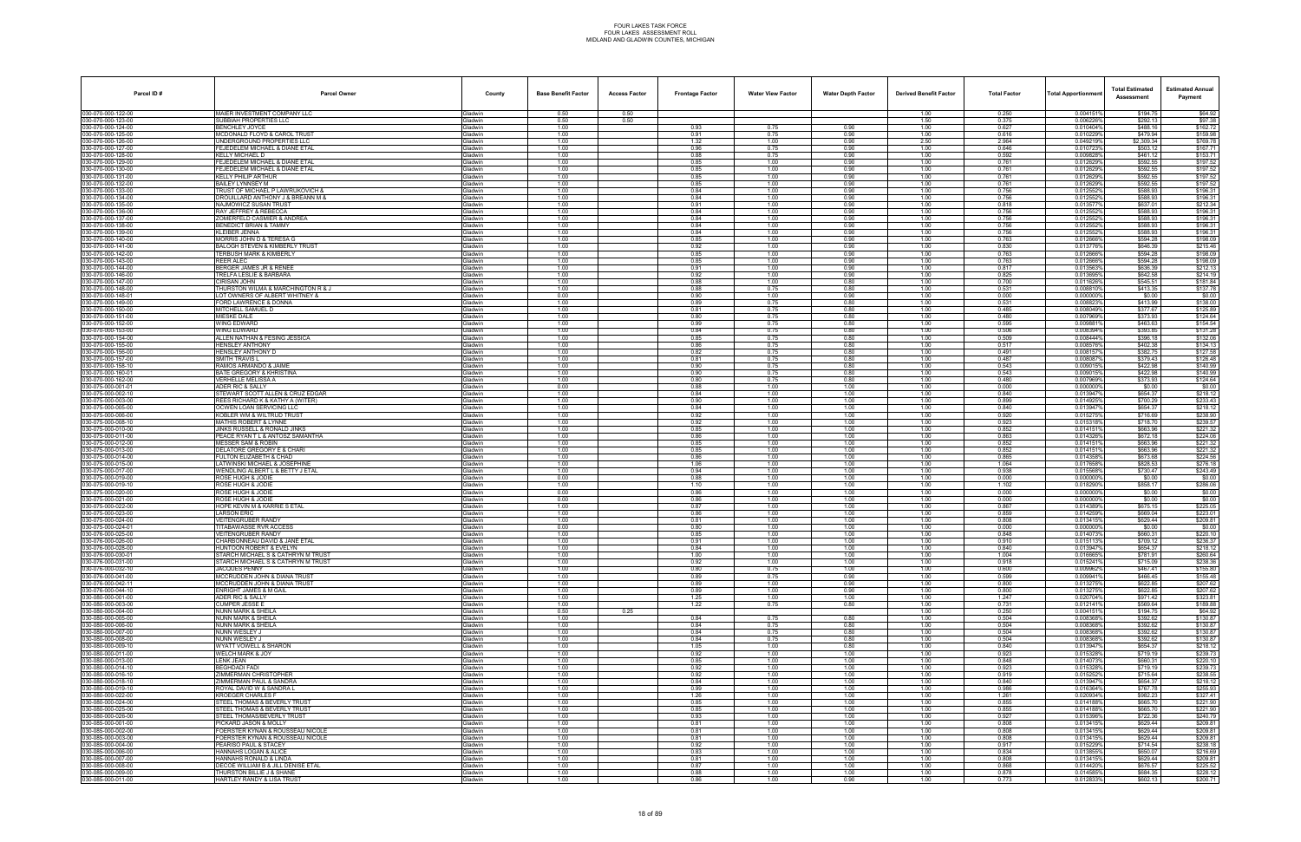| Parcel ID#                               | <b>Parcel Owner</b>                                                   | County                           | <b>Base Benefit Factor</b> | <b>Access Factor</b> | <b>Frontage Factor</b> | <b>Water View Factor</b> | <b>Water Depth Factor</b> | <b>Derived Benefit Factor</b> | <b>Total Factor</b> | Total Apportionmer     | <b>Total Estimated</b><br>Assessment | <b>Estimated Annual</b><br>Payment |
|------------------------------------------|-----------------------------------------------------------------------|----------------------------------|----------------------------|----------------------|------------------------|--------------------------|---------------------------|-------------------------------|---------------------|------------------------|--------------------------------------|------------------------------------|
| 030-070-000-122-00                       | MAIER INVESTMENT COMPANY LLC                                          | <b>Gladwin</b>                   | 0.50                       | 0.50                 |                        |                          |                           | 1.00                          | 0.250               | 0.004151%              | \$194.75                             | \$64.92                            |
| 030-070-000-123-00<br>30-070-000-124-00  | SUBBIAH PROPERTIES LLC<br><b>BENCHLEY JOYCE</b>                       | Gladwin<br>iladwin               | 0.50<br>1.00               | 0.50                 | 0.93                   | 0.75                     | 0.90                      | 1.50<br>1.00                  | 0.375<br>0.627      | 0.006226%<br>0.010404% | \$292.13<br>\$488.16                 | \$97.38<br>\$162.72                |
| 030-070-000-125-00                       | MCDONALD FLOYD & CAROL TRUST                                          | <b>Gladwin</b>                   | 1.00                       |                      | 0.91                   | 0.75                     | 0.90                      | 1.00                          | 0.616               | 0.010229%              | \$479.94                             | \$159.98                           |
| 30-070-000-126-00<br>30-070-000-127-00   | UNDERGROUND PROPERTIES LLC<br>FEJEDELEM MICHAEL & DIANE ETAI          | Gladwin                          | 1.00<br>1.00               |                      | 1.32<br>0.96           | 1.00<br>0.75             | 0.90<br>0.90              | 2.50<br>1.00                  | 2.964<br>0.646      | 0.049219%<br>0.0107239 | \$2,309.34<br>\$503.12               | \$769.78<br>\$167.71               |
| 30-070-000-128-00                        | <b>KELLY MICHAEL D</b>                                                | <b>Gladwin</b><br>Gladwin        | 1.00                       |                      | 0.88                   | 0.75                     | 0.90                      | 1.00                          | 0.592               | 0.009828%              | \$461.12                             | \$153.71                           |
| 80-070-000-129-00                        | FEJEDELEM MICHAEL & DIANE ETAL                                        | iladwin                          | 1.00                       |                      | 0.85                   | 1.00                     | 0.90                      | 1.00                          | 0.761               | 0.012629%              | \$592.55                             | \$197.52                           |
| 30-070-000-130-00<br>30-070-000-131-00   | FEJEDELEM MICHAEL & DIANE ETAL<br><b>KELLY PHILIP ARTHUR</b>          | <b>i</b> ladwin<br>Gladwin       | 1.00<br>1.00               |                      | 0.85<br>0.85           | 1.00<br>1.00             | 0.90<br>0.90              | 1.00<br>1.00                  | 0.761<br>0.761      | 0.012629%<br>0.012629% | \$592.55<br>\$592.55                 | \$197.52<br>\$197.52               |
| 30-070-000-132-00                        | BAILEY LYNNSEY M                                                      | <b>Gladwin</b>                   | 1.00                       |                      | 0.85                   | 1.00                     | 0.90                      | 1.00                          | 0.761               | 0.012629%              | \$592.55                             | \$197.52                           |
| 030-070-000-133-00<br>30-070-000-134-00  | TRUST OF MICHAEL P LAWRUKOVICH &<br>DROUILLARD ANTHONY J & BREANN M & | <b>Gladwin</b><br>iladwin        | 1.00<br>1.00               |                      | 0.84<br>0.84           | 1.00<br>1.00             | 0.90<br>0.90              | 1.00<br>1.00                  | 0.756<br>0.756      | 0.012552%<br>0.0125529 | \$588.93<br>\$588.93                 | \$196.31<br>\$196.31               |
| 30-070-000-135-00                        | NAJMOWICZ SUSAN TRUST                                                 | <b>Gladwin</b>                   | 1.00                       |                      | 0.91                   | 1.00                     | 0.90                      | 1.00                          | 0.818               | 0.0135779              | \$637.01                             | \$212.34                           |
| 30-070-000-136-00                        | RAY JEFFREY & REBECCA<br>ZOMERFELD CASMIER & ANDREA                   | Gladwin                          | 1.00                       |                      | 0.84                   | 1.00                     | 0.90                      | 1.00                          | 0.756               | 0.0125529              | \$588.93                             | \$196.31                           |
| 30-070-000-137-00<br>30-070-000-138-00   | BENEDICT BRIAN & TAMMY                                                | <b>Gladwin</b><br><b>Gladwin</b> | 1.00<br>1.00               |                      | 0.84<br>0.84           | 1.00<br>1.00             | 0.90<br>0.90              | 1.00<br>1.00                  | 0.756<br>0.756      | 0.012552%<br>0.012552% | \$588.93<br>\$588.93                 | \$196.31<br>\$196.31               |
| 80-070-000-139-00                        | KLEIBER JENNA                                                         | iladwin                          | 1.00                       |                      | 0.84                   | 1.00                     | 0.90                      | 1.00                          | 0.756               | 0.012552%              | \$588.93                             | \$196.31                           |
| 30-070-000-140-00<br>30-070-000-141-00   | MORRIS JOHN D & TERESA G<br><b>BALOGH STEVEN &amp; KIMBERLY TRUST</b> | <b>i</b> ladwin<br>Gladwin       | 1.00<br>1.00               |                      | 0.85<br>0.92           | 1.00<br>1.00             | 0.90<br>0.90              | 1.00<br>1.00                  | 0.763<br>0.830      | 0.012666%<br>0.013776% | \$594.28<br>\$646.39                 | \$198.09<br>\$215.46               |
| 30-070-000-142-00                        | <b>TERBUSH MARK &amp; KIMBERLY</b>                                    | <b>Gladwin</b>                   | 1.00                       |                      | 0.85                   | 1.00                     | 0.90                      | 1.00                          | 0.763               | 0.012666%              | \$594.28                             | \$198.09                           |
| 030-070-000-143-00<br>30-070-000-144-00  | <b>REER ALEC</b><br>BERGER JAMES JR & RENEE                           | <b>Gladwin</b><br>iladwin        | 1.00<br>1.00               |                      | 0.85<br>0.91           | 1.00<br>1.00             | 0.90<br>0.90              | 1.00<br>1.00                  | 0.763<br>0.817      | 0.012666%<br>0.0135639 | \$594.28<br>\$636.39                 | \$198.09<br>\$212.13               |
| 30-070-000-146-00                        | TRELFA LESLIE & BARBARA                                               | <b>Gladwin</b>                   | 1.00                       |                      | 0.92                   | 1.00                     | 0.90                      | 1.00                          | 0.825               | 0.013695%              | \$642.58                             | \$214.19                           |
| 30-070-000-147-00                        | CIRISAN JOHN                                                          | Gladwin                          | 1.00                       |                      | 0.88                   | 1.00                     | 0.80                      | 1.00                          | 0.700               | 0.0116269              | \$545.51                             | \$181.84                           |
| 030-070-000-148-00<br>30-070-000-148-01  | THURSTON WILMA & MARCHINGTON R & J<br>LOT OWNERS OF ALBERT WHITNEY &  | Gladwin<br><b>Gladwin</b>        | 1.00<br>0.00               |                      | 0.88<br>0.90           | 0.75<br>1.00             | 0.80<br>0.90              | 1.00<br>1.00                  | 0.531<br>0.000      | 0.008810%<br>0.0000009 | \$413.35<br>\$0.00                   | \$137.78<br>\$0.00                 |
| 30-070-000-149-00                        | FORD LAWRENCE & DONNA                                                 | iladwin                          | 1.00                       |                      | 0.89                   | 0.75                     | 0.80                      | 1.00                          | 0.531               | 0.0088239              | \$413.99                             | \$138.00                           |
| 30-070-000-150-00<br>30-070-000-151-00   | MITCHELL SAMUEL D<br><b>MIESKE DALE</b>                               | <b>Gladwin</b><br><b>Gladwin</b> | 1.00<br>1.00               |                      | 0.81<br>0.80           | 0.75<br>0.75             | 0.80<br>0.80              | 1.00<br>1.00                  | 0.485<br>0.480      | 0.008049%<br>0.0079699 | \$377.67<br>\$373.93                 | \$125.89<br>\$124.64               |
| 30-070-000-152-00                        | WING EDWARD                                                           | <b>Gladwin</b>                   | 1.00                       |                      | 0.99                   | 0.75                     | 0.80                      | 1.00                          | 0.595               | 0.0098819              | \$463.63                             | \$154.54                           |
| 30-070-000-153-00                        | WING EDWARD                                                           | <b>Gladwin</b>                   | 1.00                       |                      | 0.84                   | 0.75                     | 0.80                      | 1.00                          | 0.506               | 0.008394%              | \$393.85                             | \$131.28                           |
| 30-070-000-154-00<br>30-070-000-155-00   | ALLEN NATHAN & FESING JESSICA<br><b>HENSLEY ANTHONY</b>               | iladwin<br><b>Gladwin</b>        | 1.00<br>1.00               |                      | 0.85<br>0.86           | 0.75<br>0.75             | 0.80<br>0.80              | 1.00<br>1.00                  | 0.509<br>0.517      | 0.0084449<br>0.008576% | \$396.18<br>\$402.38                 | \$132.06<br>\$134.13               |
| 30-070-000-156-00                        | HENSLEY ANTHONY D                                                     | Gladwin                          | 1.00                       |                      | 0.82                   | 0.75                     | 0.80                      | 1.00                          | 0.491               | 0.008157               | \$382.75                             | \$127.58                           |
| (30-070-000-157-00<br>30-070-000-158-10  | <b>SMITH TRAVIS L</b><br>RAMOS ARMANDO & JAIME                        | Gladwin<br>iladwin               | 1.00<br>1.00               |                      | 0.81<br>0.90           | 0.75<br>0.75             | 0.80<br>0.80              | 1.00<br>1.00                  | 0.487<br>0.543      | 0.0080879<br>0.009015  | \$379.43<br>\$422.98                 | \$126.48<br>\$140.99               |
| 30-070-000-160-01                        | BATE GREGORY & KHRISTINA                                              | iladwin                          | 1.00                       |                      | 0.90                   | 0.75                     | 0.80                      | 1.00                          | 0.543               | 0.009015               | \$422.98                             | \$140.99                           |
| 30-070-000-162-00                        | VERHELLE MELISSA A                                                    | <b>Gladwin</b>                   | 1.00                       |                      | 0.80                   | 0.75                     | 0.80                      | 1.00                          | 0.480<br>0.000      | 0.007969%              | \$373.93                             | \$124.64<br>\$0.00                 |
| 30-075-000-001-01<br>030-075-000-002-10  | ADER RIC & SALLY<br>STEWART SCOTT ALLEN & CRUZ EDGAR                  | <b>Gladwin</b><br><b>Gladwin</b> | 0.00<br>1.00               |                      | 0.88<br>0.84           | 1.00<br>1.00             | 1.00<br>1.00              | 1.00<br>1.00                  | 0.840               | 0.000000<br>0.013947%  | \$0.00<br>\$654.37                   | \$218.12                           |
| 30-075-000-003-00                        | REES RICHARD K & KATHY A (WITER)                                      | <b>Gladwin</b>                   | 1.00                       |                      | 0.90                   | 1.00                     | 1.00                      | 1.00                          | 0.899               | 0.0149259              | \$700.29                             | \$233.43                           |
| 30-075-000-005-00<br>30-075-000-006-00   | OCWEN LOAN SERVICING LLC<br>KOBLER WM & WILTRUD TRUST                 | iladwin<br><b>Gladwin</b>        | 1.00<br>1.00               |                      | 0.84<br>0.92           | 1.00<br>1.00             | 1.00<br>1.00              | 1.00<br>1.00                  | 0.840<br>0.920      | 0.0139479<br>0.015275% | \$654.37<br>\$716.69                 | \$218.12<br>\$238.90               |
| 30-075-000-008-10                        | <b>MATHIS ROBERT &amp; LYNNE</b>                                      | <b>Gladwin</b>                   | 1.00                       |                      | 0.92                   | 1.00                     | 1.00                      | 1.00                          | 0.923               | 0.0153189              | \$718.70                             | \$239.57                           |
| 030-075-000-010-00<br>30-075-000-011-00  | JINKS RUSSELL & RONALD JINKS<br>PEACE RYAN T L & ANTOSZ SAMANTHA      | <b>Gladwin</b><br><b>Gladwin</b> | 1.00<br>1.00               |                      | 0.85<br>0.86           | 1.00<br>1.00             | 1.00<br>1.00              | 1.00<br>1.00                  | 0.852<br>0.863      | 0.0141519<br>0.0143269 | \$663.96<br>\$672.18                 | \$221.32<br>\$224.06               |
| 30-075-000-012-00                        | MESSER SAM & ROBIN                                                    | iladwin                          | 1.00                       |                      | 0.85                   | 1.00                     | 1.00                      | 1.00                          | 0.852               | 0.014151               | \$663.96                             | \$221.32                           |
| 30-075-000-013-00                        | DELATORE GREGORY E & CHARI                                            | <b>Sladwin</b>                   | 1.00                       |                      | 0.85                   | 1.00                     | 1.00                      | 1.00                          | 0.852               | 0.0141519              | \$663.96                             | \$221.32                           |
| 30-075-000-014-00<br>30-075-000-015-00   | FULTON ELIZABETH & CHAD<br><b>LATWINSKI MICHAEL &amp; JOSEPHINE</b>   | iladwin<br><b>Gladwin</b>        | 1.00<br>1.00               |                      | 0.86<br>1.06           | 1.00<br>1.00             | 1.00<br>1.00              | 1.00<br>1.00                  | 0.865<br>1.064      | 0.014358%<br>0.017658% | \$673.68<br>\$828.53                 | \$224.56<br>\$276.18               |
| 30-075-000-017-00                        | WENDLING ALBERT L & BETTY J ETAL                                      | iladwin                          | 1.00                       |                      | 0.94                   | 1.00                     | 1.00                      | 1.00                          | 0.938               | 0.015568%              | \$730.47                             | \$243.49                           |
| 30-075-000-019-00<br>030-075-000-019-10  | ROSE HUGH & JODIE<br>ROSE HUGH & JODIE                                | iladwin<br><b>Gladwin</b>        | 0.00<br>1.00               |                      | 0.88<br>1.10           | 1.00<br>1.00             | 1.00<br>1.00              | 1.00<br>1.00                  | 0.000<br>1.102      | 0.0000009<br>0.018290% | \$0.00<br>\$858.17                   | \$0.00<br>\$286.06                 |
| 30-075-000-020-00                        | ROSE HUGH & JODIE                                                     | <b>Gladwin</b>                   | 0.00                       |                      | 0.86                   | 1.00                     | 1.00                      | 1.00                          | 0.000               | 0.0000009              | \$0.00                               | \$0.00                             |
| 030-075-000-021-00<br>30-075-000-022-00  | ROSE HUGH & JODIE<br>HOPE KEVIN M & KARRIE S ETAL                     | Gladwin<br><b>Gladwin</b>        | 0.00<br>1.00               |                      | 0.86<br>0.87           | 1.00<br>1.00             | 1.00<br>1.00              | 1.00<br>1.00                  | 0.000<br>0.867      | 0.000000%<br>0.0143899 | \$0.00<br>\$675.15                   | \$0.00<br>\$225.05                 |
| 30-075-000-023-00                        | LARSON ERIC                                                           | iladwin                          | 1.00                       |                      | 0.86                   | 1.00                     | 1.00                      | 1.00                          | 0.859               | 0.0142599              | \$669.04                             | \$223.01                           |
| 030-075-000-024-00<br>30-075-000-024-01  | <b>VEITENGRUBER RANDY</b><br><b><i>FITABAWASSE RVR ACCESS</i></b>     | <b>Gladwin</b><br>iladwin        | 1.00<br>0.00               |                      | 0.81<br>0.80           | 1.00<br>1.00             | 1.00<br>1.00              | 1.00<br>1.00                  | 0.808<br>0.000      | 0.013415%<br>0.000000  | \$629.44<br>\$0.00                   | \$209.81<br>\$0.00                 |
| 030-076-000-025-00                       | <b>VEITENGRUBER RANDY</b>                                             | <b>Gladwin</b>                   | 1.00                       |                      | 0.85                   | 1.00                     | 1.00                      | 1.00                          | 0.848               | 0.014073%              | \$660.31                             | \$220.10                           |
| 030-076-000-026-00                       | CHARBONNEAU DAVID & JANE ETAL                                         | iladwin                          | 1.00                       |                      | 0.91                   | 1.00                     | 1.00                      | 1.00                          | 0.910               | 0.015113               | \$709.12                             | \$236.37                           |
| 030-076-000-028-00<br>030-076-000-030-01 | HUNTOON ROBERT & EVELYN<br>STARCH MICHAEL S & CATHRYN M TRUST         | ladwin<br>Gladwin                | 1.00<br>1.00               |                      | 0.84<br>1.00           | 1.00<br>1.00             | 1.00<br>1.00              | 1.00<br>1.00                  | 0.840<br>1.004      | 0.0139479<br>0.016665% | \$654.37<br>\$781.91                 | \$218.12<br>\$260.64               |
| 30-076-000-031-00                        | STARCH MICHAEL S & CATHRYN M TRUST                                    | Gladwin                          | 1.00                       |                      | 0.92                   | 1.00                     | 1.00                      | 1.00                          | 0.918               | 0.015241%              | \$715.09                             | \$238.36                           |
| 030-076-000-032-10<br>030-076-000-041-00 | <b>JACQUES PENNY</b><br>MCCRUDDEN JOHN & DIANA TRUST                  | Gladwin<br><b>Gladwin</b>        | 1.00<br>1.00               |                      | 0.80<br>0.89           | 0.75<br>0.75             | 1.00<br>0.90              | 1.00<br>1.00                  | 0.600<br>0.599      | 0.009962%<br>0.0099419 | \$467.41<br>\$466.45                 | \$155.80<br>\$155.48               |
| 30-076-000-042-11                        | MCCRUDDEN JOHN & DIANA TRUST                                          | iladwin                          | 1.00                       |                      | 0.89                   | 1.00                     | 0.90                      | 1.00                          | 0.800               | 0.0132759              | \$622.85                             | \$207.62                           |
| 030-076-000-044-10<br>30-080-000-001-00  | ENRIGHT JAMES & M GAIL<br>ADER RIC & SALLY                            | <b>Gladwin</b>                   | 1.00<br>1.00               |                      | 0.89                   | 1.00                     | 0.90<br>1.00              | 1.00                          | 0.800<br>1.247      | 0.013275%<br>0.020704% | \$622.85<br>\$971.42                 | \$207.62<br>\$323.81               |
| 30-080-000-003-00                        | CUMPER JESSE E                                                        | <b>Gladwin</b><br>Gladwin        | 1.00                       |                      | 1.25<br>1.22           | 1.00<br>0.75             | 0.80                      | 1.00<br>1.00                  | 0.731               | 0.012141%              | \$569.64                             | \$189.88                           |
| 30-080-000-004-00                        | NUNN MARK & SHEILA                                                    | <b>Gladwin</b>                   | 0.50                       | 0.25                 |                        |                          |                           | 1.00                          | 0.250               | 0.004151%              | \$194.75                             | \$64.92                            |
| 30-080-000-005-00<br>30-080-000-006-00   | NUNN MARK & SHEILA<br><b>NUNN MARK &amp; SHEILA</b>                   | iladwin<br>Gladwin               | 1.00<br>1.00               |                      | 0.84<br>0.84           | 0.75<br>0.75             | 0.80<br>0.80              | 1.00<br>1.00                  | 0.504<br>0.504      | 0.0083689<br>0.008368% | \$392.62<br>\$392.62                 | \$130.87<br>\$130.87               |
| 30-080-000-007-00                        | NUNN WESLEY J                                                         | Gladwin                          | 1.00                       |                      | 0.84                   | 0.75                     | 0.80                      | 1.00                          | 0.504               | 0.008368%              | \$392.62                             | \$130.87                           |
| 30-080-000-008-00<br>30-080-000-009-10   | NUNN WESLEY J<br><b>WYATT VOWELL &amp; SHARON</b>                     | Gladwin<br><b>Gladwin</b>        | 1.00<br>1.00               |                      | 0.84<br>1.05           | 0.75<br>1.00             | 0.80<br>0.80              | 1.00<br>1.00                  | 0.504<br>0.840      | 0.008368%<br>0.013947% | \$392.62<br>\$654.37                 | \$130.87<br>\$218.12               |
| 0-080-000-011-00                         | WELCH MARK & JOY                                                      | iladwin                          | 1.00                       |                      | 0.92                   | 1.00                     | 1.00                      | 1.00                          | 0.923               | 0.015328%              | \$719.19                             | \$239.73                           |
| 030-080-000-013-00<br>30-080-000-014-10  | <b>LENK JEAN</b><br><b>BEGHDADI FADI</b>                              | <b>Gladwin</b><br><b>Gladwin</b> | 1.00<br>1.00               |                      | 0.85<br>0.92           | 1.00<br>1.00             | 1.00<br>1.00              | 1.00<br>1.00                  | 0.848<br>0.923      | 0.014073%<br>0.015328% | \$660.31<br>\$719.19                 | \$220.10<br>\$239.73               |
| 030-080-000-016-10                       | ZIMMERMAN CHRISTOPHER                                                 | Gladwin                          | 1.00                       |                      | 0.92                   | 1.00                     | 1.00                      | 1.00                          | 0.919               | 0.015252%              | \$715.64                             | \$238.55                           |
| 030-080-000-018-10                       | ZIMMERMAN PAUL & SANDRA                                               | Gladwin                          | 1.00                       |                      | 0.84                   | 1.00                     | 1.00                      | 1.00                          | 0.840               | 0.013947%              | \$654.37                             | \$218.12                           |
| 30-080-000-019-10<br>030-080-000-022-00  | ROYAL DAVID W & SANDRA L<br><b>KROEGER CHARLES F</b>                  | iladwin<br>Gladwin               | 1.00<br>1.00               |                      | 0.99<br>1.26           | 1.00<br>1.00             | 1.00<br>1.00              | 1.00<br>1.00                  | 0.986<br>1.261      | 0.016364%<br>0.020934% | \$767.78<br>\$982.23                 | \$255.93<br>\$327.41               |
| 30-080-000-024-00                        | STEEL THOMAS & BEVERLY TRUST                                          | Gladwin                          | 1.00                       |                      | 0.85                   | 1.00                     | 1.00                      | 1.00                          | 0.855               | 0.014188%              | \$665.70                             | \$221.90                           |
| 30-080-000-025-00<br>30-080-000-026-00   | STEEL THOMAS & BEVERLY TRUST<br>STEEL THOMAS/BEVERLY TRUST            | Gladwin<br>Gladwin               | 1.00<br>1.00               |                      | 0.85<br>0.93           | 1.00<br>1.00             | 1.00<br>1.00              | 1.00<br>1.00                  | 0.855<br>0.927      | 0.014188%<br>0.015396% | \$665.70<br>\$722.36                 | \$221.90<br>\$240.79               |
| 30-085-000-001-00                        | PICKARD JASON & MOLLY                                                 | iladwin                          | 1.00                       |                      | 0.81                   | 1.00                     | 1.00                      | 1.00                          | 0.808               | 0.013415%              | \$629.44                             | \$209.81                           |
| 30-085-000-002-00                        | FOERSTER KYNAN & ROUSSEAU NICOLE                                      | <b>Gladwin</b>                   | 1.00                       |                      | 0.81                   | 1.00                     | 1.00                      | 1.00                          | 0.808               | 0.013415%              | \$629.44<br>\$629.44                 | \$209.81                           |
| 30-085-000-003-00<br>30-085-000-004-00   | FOERSTER KYNAN & ROUSSEAU NICOLE<br>PEARISO PAUL & STACEY             | <b>Gladwin</b><br>Gladwin        | 1.00<br>1.00               |                      | 0.81<br>0.92           | 1.00<br>1.00             | 1.00<br>1.00              | 1.00<br>1.00                  | 0.808<br>0.917      | 0.013415%<br>0.015229% | \$714.54                             | \$209.81<br>\$238.18               |
| 030-085-000-006-00                       | HANNAHS LOGAN & ALICE                                                 | Gladwin                          | 1.00                       |                      | 0.83                   | 1.00                     | 1.00                      | 1.00                          | 0.834               | 0.013855%              | \$650.07                             | \$216.69                           |
| 30-085-000-007-00<br>30-085-000-008-00   | HANNAHS RONALD & LINDA<br>DECOE WILLIAM B & JILL DENISE ETAL          | iladwin<br>Gladwin               | 1.00<br>1.00               |                      | 0.81<br>0.87           | 1.00<br>1.00             | 1.00<br>1.00              | 1.00<br>1.00                  | 0.808<br>0.868      | 0.013415%<br>0.014420% | \$629.44<br>\$676.57                 | \$209.81<br>\$225.52               |
| 030-085-000-009-00                       | THURSTON BILLIE J & SHANE                                             | Gladwin                          | 1.00                       |                      | 0.88                   | 1.00                     | 1.00                      | 1.00                          | 0.878               | 0.014585%              | \$684.35                             | \$228.12                           |
| 030-085-000-011-00                       | HARTLEY RANDY & LISA TRUST                                            | Gladwin                          | 1.00                       |                      | 0.86                   | 1.00                     | 0.90                      | 1.00                          | 0.773               | 0.012833%              | \$602.13                             | \$200.71                           |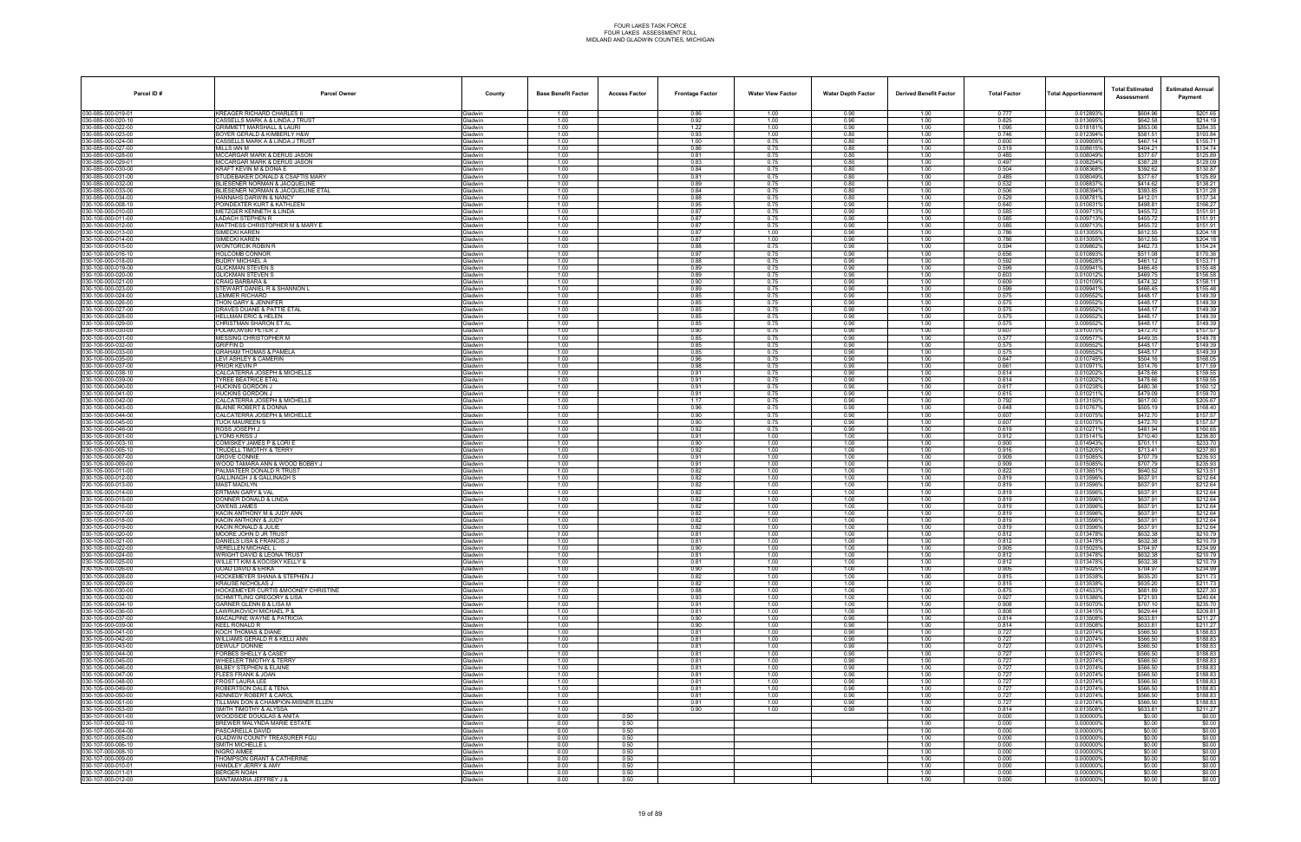| Parcel ID#                               | <b>Parcel Owner</b>                                                     | County                           | <b>Base Benefit Factor</b> | <b>Access Factor</b> | <b>Frontage Factor</b> | <b>Water View Factor</b> | <b>Water Depth Factor</b> | <b>Derived Benefit Factor</b> | <b>Total Factor</b> | <b>Total Apportionmen</b> | <b>Total Estimated</b><br>Assessment | <b>Estimated Annual</b><br>Payment |
|------------------------------------------|-------------------------------------------------------------------------|----------------------------------|----------------------------|----------------------|------------------------|--------------------------|---------------------------|-------------------------------|---------------------|---------------------------|--------------------------------------|------------------------------------|
| 030-085-000-019-01                       | <b>KREAGER RICHARD CHARLES II</b>                                       | Gladwin                          | 1.00                       |                      | 0.86                   | 1.00                     | 0.90                      | 1.00                          | 0.777               | 0.012893%                 | \$604.96                             | \$201.65                           |
| 030-085-000-020-10<br>030-085-000-022-00 | CASSELLS MARK A & LINDA J TRUST<br><b>GRIMMETT MARSHALL &amp; LAURI</b> | <b>Gladwin</b><br>ladwin         | 1.00<br>1.00               |                      | 0.92<br>1.22           | 1.00<br>1.00             | 0.90<br>0.90              | 1.00<br>1.00                  | 0.825<br>1.095      | 0.013695%<br>0.0181819    | \$642.58<br>\$853.06                 | \$214.19<br>\$284.35               |
| 030-085-000-023-00                       | BOYER GERALD & KIMBERLY H&W                                             | <b>Sladwin</b>                   | 1.00                       |                      | 0.93                   | 1.00                     | 0.80                      | 1.00                          | 0.746               | 0.012394%                 | \$581.51                             | \$193.84                           |
| 030-085-000-024-00                       | CASSELLS MARK A & LINDA J TRUST                                         | Gladwin                          | 1.00                       |                      | 1.00                   | 0.75                     | 0.80                      | 1.00                          | 0.600               | 0.0099569                 | \$467.14                             | \$155.71                           |
| 030-085-000-027-00<br>030-085-000-028-00 | MILLS IAN M<br>MCCARGAR MARK & DERUS JASON                              | Gladwin<br><b>Gladwin</b>        | 1.00<br>1.00               |                      | 0.86<br>0.81           | 0.75<br>0.75             | 0.80<br>0.80              | 1.00<br>1.00                  | 0.519<br>0.485      | 0.008615%<br>0.008049%    | \$404.21<br>\$377.67                 | \$134.74<br>\$125.89               |
| 030-085-000-029-01                       | MCCARGAR MARK & DERUS JASON                                             | ladwin                           | 1.00                       |                      | 0.83                   | 0.75                     | 0.80                      | 1.00                          | 0.497               | 0.008254%                 | \$387.28                             | \$129.09                           |
| 030-085-000-030-00                       | KRAFT KEVIN M & DONA E                                                  | <b>Sladwin</b>                   | 1.00                       |                      | 0.84                   | 0.75                     | 0.80                      | 1.00                          | 0.504               | 0.008368%                 | \$392.62                             | \$130.87                           |
| 030-085-000-031-00<br>030-085-000-032-00 | STUDEBAKER DONALD & CSAFTIS MARY<br>BLIESENER NORMAN & JACQUELINE       | <b>Gladwin</b><br>Gladwin        | 1.00<br>1.00               |                      | 0.81<br>0.89           | 0.75<br>0.75             | 0.80<br>0.80              | 1.00<br>1.00                  | 0.485<br>0.532      | 0.008049%<br>0.008837%    | \$377.67<br>\$414.62                 | \$125.89<br>\$138.21               |
| 030-085-000-033-00                       | BLIESENER NORMAN & JACQUELINE ETAL                                      | <b>Gladwin</b>                   | 1.00                       |                      | 0.84                   | 0.75                     | 0.80                      | 1.00                          | 0.506               | 0.008394%                 | \$393.85                             | \$131.28                           |
| 030-085-000-034-00                       | HANNAHS DARWIN & NANCY                                                  | <b>Gladwin</b>                   | 1.00                       |                      | 0.88                   | 0.75                     | 0.80                      | 1.00                          | 0.529               | 0.008781                  | \$412.01                             | \$137.34                           |
| 030-100-000-008-10                       | POINDEXTER KURT & KATHLEEN                                              | <b>Gladwin</b>                   | 1.00                       |                      | 0.95                   | 0.75                     | 0.90                      | 1.00                          | 0.640               | 0.010631%                 | \$498.81                             | \$166.27                           |
| 030-100-000-010-00<br>030-100-000-011-00 | METZGER KENNETH & LINDA<br><b>LADACH STEPHEN R</b>                      | <b>Gladwin</b><br>Gladwin        | 1.00<br>1.00               |                      | 0.87<br>0.87           | 0.75<br>0.75             | 0.90<br>0.90              | 1.00<br>1.00                  | 0.585<br>0.585      | 0.009713<br>0.009713%     | \$455.72<br>\$455.72                 | \$151.91<br>\$151.91               |
| 030-100-000-012-00                       | MATTHESS CHRISTOPHER M & MARY E                                         | <b>Gladwin</b>                   | 1.00                       |                      | 0.87                   | 0.75                     | 0.90                      | 1.00                          | 0.585               | 0.009713                  | \$455.72                             | \$151.91                           |
| 030-100-000-013-00                       | <b>SIMECKI KAREN</b>                                                    | 3ladwin                          | 1.00                       |                      | 0.87                   | 1.00                     | 0.90                      | 1.00                          | 0.786               | 0.013055                  | \$612.55                             | \$204.18                           |
| 030-100-000-014-00<br>030-100-000-015-00 | SIMECKI KAREN<br>WONTORCIK ROBIN R                                      | <b>Gladwin</b><br><b>Gladwin</b> | 1.00<br>1.00               |                      | 0.87<br>0.88           | 1.00<br>0.75             | 0.90<br>0.90              | 1.00<br>1.00                  | 0.786<br>0.594      | 0.013055%<br>0.0098629    | \$612.55<br>\$462.73                 | \$204.18<br>\$154.24               |
| 030-100-000-016-10                       | <b>HOLCOMB CONNOR</b>                                                   | Gladwin                          | 1.00                       |                      | 0.97                   | 0.75                     | 0.90                      | 1.00                          | 0.656               | 0.010893%                 | \$511.08                             | \$170.36                           |
| 030-100-000-018-00                       | BUDRY MICHAEL A                                                         | <b>Gladwin</b>                   | 1.00                       |                      | 0.88                   | 0.75                     | 0.90                      | 1.00                          | 0.592               | 0.0098289                 | \$461.12                             | \$153.71                           |
| 030-100-000-019-00<br>030-100-000-020-00 | <b>GLICKMAN STEVEN S</b><br><b>GLICKMAN STEVEN S</b>                    | <b>Gladwin</b><br>Gladwin        | 1.00<br>1.00               |                      | 0.89<br>0.89           | 0.75<br>0.75             | 0.90<br>0.90              | 1.00<br>1.00                  | 0.599<br>0.603      | 0.0099419<br>0.010012%    | \$466.45<br>\$469.75                 | \$155.48<br>\$156.58               |
| 030-100-000-021-00                       | <b>CRAIG BARBARA &amp;</b>                                              | Gladwin                          | 1.00                       |                      | 0.90                   | 0.75                     | 0.90                      | 1.00                          | 0.609               | 0.010109%                 | \$474.32                             | \$158.11                           |
| 030-100-000-023-00                       | STEWART DANIEL R & SHANNON L                                            | Gladwin                          | 1.00                       |                      | 0.89                   | 0.75                     | 0.90                      | 1.00                          | 0.599               | 0.0099419                 | \$466.45                             | \$155.48                           |
| 030-100-000-024-00<br>030-100-000-026-00 | <b>LEMMER RICHARD</b><br>THON GARY & JENNIFER                           | Gladwin<br><b>Gladwin</b>        | 1.00<br>1.00               |                      | 0.85<br>0.85           | 0.75<br>0.75             | 0.90<br>0.90              | 1.00<br>1.00                  | 0.575<br>0.575      | 0.0095529<br>0.009552     | \$448.17<br>\$448.17                 | \$149.39<br>\$149.39               |
| 030-100-000-027-00                       | DRAVES DUANE & PATTIE ETAL                                              | Gladwin                          | 1.00                       |                      | 0.85                   | 0.75                     | 0.90                      | 1.00                          | 0.575               | 0.009552%                 | \$448.17                             | \$149.39                           |
| 030-100-000-028-00                       | <b>HELLMAN ERIC &amp; HELEN</b>                                         | Gladwin                          | 1.00                       |                      | 0.85                   | 0.75                     | 0.90                      | 1.00                          | 0.575               | 0.0095529                 | \$448.17                             | \$149.39                           |
| 030-100-000-029-00                       | CHRISTMAN SHARON ET AL                                                  | Gladwin                          | 1.00                       |                      | 0.85                   | 0.75                     | 0.90                      | 1.00                          | 0.575               | 0.0095529                 | \$448.17                             | \$149.39                           |
| 030-100-000-030-00<br>030-100-000-031-00 | POLAKOWSKI PETER J<br>MESSING CHRISTOPHER M                             | Gladwin<br><b>Gladwin</b>        | 1.00<br>1.00               |                      | 0.90<br>0.85           | 0.75<br>0.75             | 0.90<br>0.90              | 1.00<br>1.00                  | 0.607<br>0.577      | 0.010075%<br>0.0095779    | \$472.70<br>\$449.35                 | \$157.57<br>\$149.78               |
| 030-100-000-032-00                       | <b>GRIFFIND</b>                                                         | Gladwin                          | 1.00                       |                      | 0.85                   | 0.75                     | 0.90                      | 1.00                          | 0.575               | 0.009552%                 | \$448.17                             | \$149.39                           |
| 030-100-000-033-00                       | <b>GRAHAM THOMAS &amp; PAMELA</b>                                       | Gladwin                          | 1.00                       |                      | 0.85                   | 0.75                     | 0.90                      | 1.00                          | 0.575               | 0.009552%                 | \$448.17                             | \$149.39                           |
| 030-100-000-035-00<br>030-100-000-037-00 | LEVI ASHLEY & CAMERIN<br><b>PRIOR KEVIN P</b>                           | Gladwin<br>Gladwin               | 1.00<br>1.00               |                      | 0.96<br>0.98           | 0.75<br>0.75             | 0.90<br>0.90              | 1.00<br>1.00                  | 0.647<br>0.661      | 0.010745%<br>0.0109719    | \$504.16<br>\$514.76                 | \$168.05<br>\$171.59               |
| 030-100-000-038-10                       | CALCATERRA JOSEPH & MICHELLE                                            | <b>Gladwin</b>                   | 1.00                       |                      | 0.91                   | 0.75                     | 0.90                      | 1.00                          | 0.614               | 0.010202%                 | \$478.66                             | \$159.55                           |
| 030-100-000-039-00                       | <b>TYREE BEATRICE ETAL</b>                                              | <b>Gladwin</b>                   | 1.00                       |                      | 0.91                   | 0.75                     | 0.90                      | 1.00                          | 0.614               | 0.010202%                 | \$478.66                             | \$159.55                           |
| 030-100-000-040-00<br>030-100-000-041-00 | HUCKINS GORDON J<br><b>HUCKINS GORDON J</b>                             | Gladwin                          | 1.00<br>1.00               |                      | 0.91<br>0.91           | 0.75<br>0.75             | 0.90<br>0.90              | 1.00<br>1.00                  | 0.617<br>0.615      | 0.010238%<br>0.010211%    | \$480.36<br>\$479.09                 | \$160.12<br>\$159.70               |
| 030-100-000-042-00                       | CALCATERRA JOSEPH & MICHELLE                                            | <b>Gladwin</b><br>Gladwin        | 1.00                       |                      | 1.17                   | 0.75                     | 0.90                      | 1.00                          | 0.792               | 0.013150%                 | \$617.00                             | \$205.67                           |
| 030-100-000-043-00                       | BLAINE ROBERT & DONNA                                                   | <b>Gladwin</b>                   | 1.00                       |                      | 0.96                   | 0.75                     | 0.90                      | 1.00                          | 0.648               | 0.0107679                 | \$505.19                             | \$168.40                           |
| 030-100-000-044-00                       | CALCATERRA JOSEPH & MICHELLE                                            | <b>Gladwin</b>                   | 1.00                       |                      | 0.90                   | 0.75                     | 0.90                      | 1.00                          | 0.607               | 0.010075%                 | \$472.70                             | \$157.57                           |
| 030-100-000-045-00<br>030-100-000-046-00 | <b>TUCK MAUREEN S</b><br>ROSS JOSEPH J                                  | Gladwin<br>Gladwin               | 1.00<br>1.00               |                      | 0.90<br>0.92           | 0.75<br>0.75             | 0.90<br>0.90              | 1.00<br>1.00                  | 0.607<br>0.619      | 0.010075%<br>0.0102719    | \$472.70<br>\$481.94                 | \$157.57<br>\$160.65               |
| 030-105-000-001-00                       | LYONS KRISS J                                                           | Gladwin                          | 1.00                       |                      | 0.91                   | 1.00                     | 1.00                      | 1.00                          | 0.912               | 0.0151419                 | \$710.40                             | \$236.80                           |
| 030-105-000-003-10                       | COMISKEY JAMES P & LORI E                                               | ladwin                           | 1.00                       |                      | 0.90                   | 1.00                     | 1.00                      | 1.00                          | 0.900               | 0.014943%                 | \$701.11                             | \$233.70                           |
| 030-105-000-005-10<br>030-105-000-007-00 | <b>TRUDELL TIMOTHY &amp; TERRY</b><br><b>GROVE CONNIE</b>               | <b>Sladwin</b><br>Gladwin        | 1.00<br>1.00               |                      | 0.92<br>0.91           | 1.00<br>1.00             | 1.00<br>1.00              | 1.00<br>1.00                  | 0.916<br>0.909      | 0.0152059<br>0.0150859    | \$713.41<br>\$707.79                 | \$237.80<br>\$235.93               |
| 030-105-000-009-00                       | WOOD TAMARA ANN & WOOD BOBBY J                                          | Gladwin                          | 1.00                       |                      | 0.91                   | 1.00                     | 1.00                      | 1.00                          | 0.909               | 0.015085%                 | \$707.79                             | \$235.93                           |
| 030-105-000-011-00                       | PALMATEER DONALD R TRUST                                                | <b>Gladwin</b>                   | 1.00                       |                      | 0.82                   | 1.00                     | 1.00                      | 1.00                          | 0.822               | 0.0136519                 | \$640.52                             | \$213.51                           |
| 030-105-000-012-00<br>030-105-000-013-00 | GALLINAGH J & GALLINAGH S<br><b>MAST MADILYN</b>                        | <b>Gladwin</b><br><b>Gladwin</b> | 1.00<br>1.00               |                      | 0.82<br>0.82           | 1.00<br>1.00             | 1.00<br>1.00              | 1.00<br>1.00                  | 0.819<br>0.819      | 0.013596%<br>0.013596%    | \$637.91<br>\$637.91                 | \$212.64<br>\$212.64               |
| 030-105-000-014-00                       | ERTMAN GARY & VAL                                                       | Gladwin                          | 1.00                       |                      | 0.82                   | 1.00                     | 1.00                      | 1.00                          | 0.819               | 0.013596%                 | \$637.91                             | \$212.64                           |
| 030-105-000-015-00                       | DONNER DONALD & LINDA                                                   | Gladwin                          | 1.00                       |                      | 0.82                   | 1.00                     | 1.00                      | 1.00                          | 0.819               | 0.013596%                 | \$637.91                             | \$212.64                           |
| 030-105-000-016-00<br>030-105-000-017-00 | <b>OWENS JAMES</b><br>KACIN ANTHONY M & JUDY ANN                        | <b>Gladwin</b>                   | 1.00<br>1.00               |                      | 0.82<br>0.82           | 1.00<br>1.00             | 1.00<br>1.00              | 1.00<br>1.00                  | 0.819<br>0.819      | 0.013596%<br>0.013596%    | \$637.91<br>\$637.91                 | \$212.64<br>\$212.64               |
| 030-105-000-018-00                       | KACIN ANTHONY & JUDY                                                    | ladwin<br><b>Gladwin</b>         | 1.00                       |                      | 0.82                   | 1.00                     | 1.00                      | 1.00                          | 0.819               | 0.013596%                 | \$637.91                             | \$212.64                           |
| 030-105-000-019-00                       | KACIN RONALD & JULIE                                                    | 3ladwin                          | 1.00                       |                      | 0.82                   | 1.00                     | 1.00                      | 1.00                          | 0.819               | 0.013596%                 | \$637.91                             | \$212.64                           |
| 030-105-000-020-00                       | MOORE JOHN D JR TRUST                                                   | Gladwin                          | 1.00                       |                      | 0.81                   | 1.00                     | 1.00                      | 1.00                          | 0.812               | 0.013478%                 | \$632.38                             | \$210.79                           |
| 030-105-000-021-00<br>030-105-000-022-00 | DANIELS LISA & FRANCIS J<br>VERELLEN MICHAEL L                          | <b>Gladwin</b><br><b>Sladwin</b> | 1.00<br>1.00               |                      | 0.81<br>0.90           | 1.00<br>1.00             | 1.00<br>1.00              | 1.00<br>1.00                  | 0.812<br>0.905      | 0.0134789<br>0.015025%    | \$632.38<br>\$704.97                 | \$210.79<br>\$234.99               |
| 030-105-000-024-00                       | WRIGHT DAVID & LEONA TRUST                                              | Gladwin                          | 1.00                       |                      | 0.81                   | 1.00                     | 1.00                      | 1.00                          | 0.812               | 0.013478%                 | \$632.38                             | \$210.79                           |
| 030-105-000-025-00                       | WILLETT KIM & KOCISKY KELLY &                                           | <b>Gladwin</b>                   | 1.00                       |                      | 0.81                   | 1.00                     | 1.00                      | 1.00                          | 0.812               | 0.013478%                 | \$632.38                             | \$210.79                           |
| 030-105-000-026-00<br>030-105-000-028-00 | <b>GOAD DAVID &amp; ERIKA</b><br>HOCKEMEYER SHANA & STEPHEN J           | Gladwin<br>Gladwin               | 1.00<br>1.00               |                      | 0.90<br>0.82           | 1.00<br>1.00             | 1.00<br>1.00              | 1.00<br>1.00                  | 0.905<br>0.815      | 0.015025%<br>0.013538%    | \$704.97<br>\$635.20                 | \$234.99<br>\$211.73               |
| 030-105-000-029-00                       | KRAUSE NICHOLAS J                                                       | <b>Gladwin</b>                   | 1.00                       |                      | 0.82                   | 1.00                     | 1.00                      | 1.00                          | 0.815               | 0.013538%                 | \$635.20                             | \$211.73                           |
| 030-105-000-030-00                       | HOCKEMEYER CURTIS & MOONEY CHRISTINE                                    | Gladwin                          | 1.00                       |                      | 0.88                   | 1.00                     | 1.00                      | 1.00                          | 0.875               | 0.014533%                 | \$681.89                             | \$227.30                           |
| 030-105-000-032-00<br>030-105-000-034-10 | SCHMITTLING GREGORY & LISA<br>GARNER GLENN B & LISA M                   | <b>Gladwin</b><br>Gladwin        | 1.00<br>1.00               |                      | 0.93<br>0.91           | 1.00<br>1.00             | 1.00<br>1.00              | 1.00<br>1.00                  | 0.927<br>0.908      | 0.015386%<br>0.015070%    | \$721.93<br>\$707.10                 | \$240.64<br>\$235.70               |
| 030-105-000-036-00                       | LAWRUKOVICH MICHAEL P &                                                 | Gladwin                          | 1.00                       |                      | 0.81                   | 1.00                     | 1.00                      | 1.00                          | 0.808               | 0.013415%                 | \$629.44                             | \$209.81                           |
| 030-105-000-037-00                       | <b>MACALPINE WAYNE &amp; PATRICIA</b>                                   | <b>Gladwin</b>                   | 1.00                       |                      | 0.90                   | 1.00                     | 0.90                      | 1.00                          | 0.814               | 0.013508%                 | \$633.81                             | \$211.27                           |
| 030-105-000-039-00<br>030-105-000-041-00 | <b>KEEL RONALD R</b><br>KOCH THOMAS & DIANE                             | Gladwin                          | 1.00<br>1.00               |                      | 0.90<br>0.81           | 1.00<br>1.00             | 0.90<br>0.90              | 1.00<br>1.00                  | 0.814<br>0.727      | 0.013508%<br>0.012074%    | \$633.81<br>\$566.50                 | \$211.27<br>\$188.83               |
| 030-105-000-042-00                       | WILLIAMS GERALD R & KELLI ANN                                           | Gladwin<br>Gladwin               | 1.00                       |                      | 0.81                   | 1.00                     | 0.90                      | 1.00                          | 0.727               | 0.012074%                 | \$566.50                             | \$188.83                           |
| 030-105-000-043-00                       | DEWULF DONNIE                                                           | Gladwin                          | 1.00                       |                      | 0.81                   | 1.00                     | 0.90                      | 1.00                          | 0.727               | 0.012074%                 | \$566.50                             | \$188.83                           |
| 030-105-000-044-00                       | FORBES SHELLY & CASEY                                                   | <b>Gladwin</b>                   | 1.00                       |                      | 0.81                   | 1.00                     | 0.90                      | 1.00                          | 0.727               | 0.012074%                 | \$566.50                             | \$188.83                           |
| 030-105-000-045-00<br>030-105-000-046-00 | WHEELER TIMOTHY & TERRY<br><b>BILBEY STEPHEN &amp; ELAINE</b>           | Gladwin<br>Gladwin               | 1.00<br>1.00               |                      | 0.81<br>0.81           | 1.00<br>1.00             | 0.90<br>0.90              | 1.00<br>1.00                  | 0.727<br>0.727      | 0.012074%<br>0.012074%    | \$566.50<br>\$566.50                 | \$188.83<br>\$188.83               |
| 030-105-000-047-00                       | FLEES FRANK & JOAN                                                      | Gladwin                          | 1.00                       |                      | 0.81                   | 1.00                     | 0.90                      | 1.00                          | 0.727               | 0.012074%                 | \$566.50                             | \$188.83                           |
| 030-105-000-048-00                       | <b>FROST LAURA LEE</b>                                                  | Gladwin                          | 1.00                       |                      | 0.81                   | 1.00                     | 0.90                      | 1.00                          | 0.727               | 0.012074%                 | \$566.50                             | \$188.83                           |
| 030-105-000-049-00<br>030-105-000-050-00 | ROBERTSON DALE & TENA<br>KENNEDY ROBERT & CAROL                         | <b>Sladwin</b><br>Gladwin        | 1.00<br>1.00               |                      | 0.81<br>0.81           | 1.00<br>1.00             | 0.90<br>0.90              | 1.00<br>1.00                  | 0.727<br>0.727      | 0.012074%<br>0.012074%    | \$566.50<br>\$566.50                 | \$188.83<br>\$188.83               |
| 030-105-000-051-00                       | TILLMAN DON & CHAMPION-MISNER ELLEN                                     | Gladwin                          | 1.00                       |                      | 0.81                   | 1.00                     | 0.90                      | 1.00                          | 0.727               | 0.012074%                 | \$566.50                             | \$188.83                           |
| 030-105-000-053-00                       | SMITH TIMOTHY & ALYSSA                                                  | Gladwin                          | 1.00                       |                      | 0.90                   | 1.00                     | 0.90                      | 1.00                          | 0.814               | 0.013508%                 | \$633.81                             | \$211.27                           |
| 030-107-000-001-00<br>030-107-000-002-10 | WOODSIDE DOUGLAS & ANITA<br>BREWER MALYNDA MARIE ESTATE                 | Gladwin<br><b>Sladwin</b>        | 0.00<br>0.00               | 0.50<br>0.50         |                        |                          |                           | 1.00<br>1.00                  | 0.000<br>0.000      | 0.000000%<br>0.000000%    | \$0.00<br>\$0.00                     | \$0.00<br>\$0.00                   |
| 030-107-000-004-00                       | PASCARELLA DAVID                                                        | <b>Sladwin</b>                   | 0.00                       | 0.50                 |                        |                          |                           | 1.00                          | 0.000               | 0.000000%                 | \$0.00                               | \$0.00                             |
| 030-107-000-005-00                       | GLADWIN COUNTY TREASURER FGU                                            | Gladwin                          | 0.00                       | 0.50                 |                        |                          |                           | 1.00                          | 0.000               | 0.000000%                 | \$0.00                               | \$0.00                             |
| 030-107-000-006-10<br>030-107-000-008-10 | SMITH MICHELLE L<br>NIGRO AIMEE                                         | Gladwin<br>Gladwin               | 0.00<br>0.00               | 0.50<br>0.50         |                        |                          |                           | 1.00<br>1.00                  | 0.000<br>0.000      | 0.000000%<br>0.000000%    | \$0.00<br>\$0.00                     | \$0.00<br>\$0.00                   |
| 030-107-000-009-00                       | THOMPSON GRANT & CATHERINE                                              | <b>Gladwin</b>                   | 0.00                       | 0.50                 |                        |                          |                           | 1.00                          | 0.000               | 0.000000%                 | \$0.00                               | \$0.00                             |
| 030-107-000-010-01                       | HANDLEY JERRY & AMY                                                     | <b>Gladwin</b>                   | 0.00                       | 0.50                 |                        |                          |                           | 1.00                          | 0.000               | 0.000000%                 | \$0.00                               | \$0.00                             |
| 030-107-000-011-01                       | BERGER NOAH<br>SANTAMARIA JEFFREY J &                                   | Gladwin<br>Gladwin               | 0.00<br>0.00               | 0.50<br>0.50         |                        |                          |                           | 1.00<br>1.00                  | 0.000<br>0.000      | 0.0000009<br>0.000000%    | \$0.00                               | \$0.00                             |
| 030-107-000-012-00                       |                                                                         |                                  |                            |                      |                        |                          |                           |                               |                     |                           | \$0.00                               | \$0.00                             |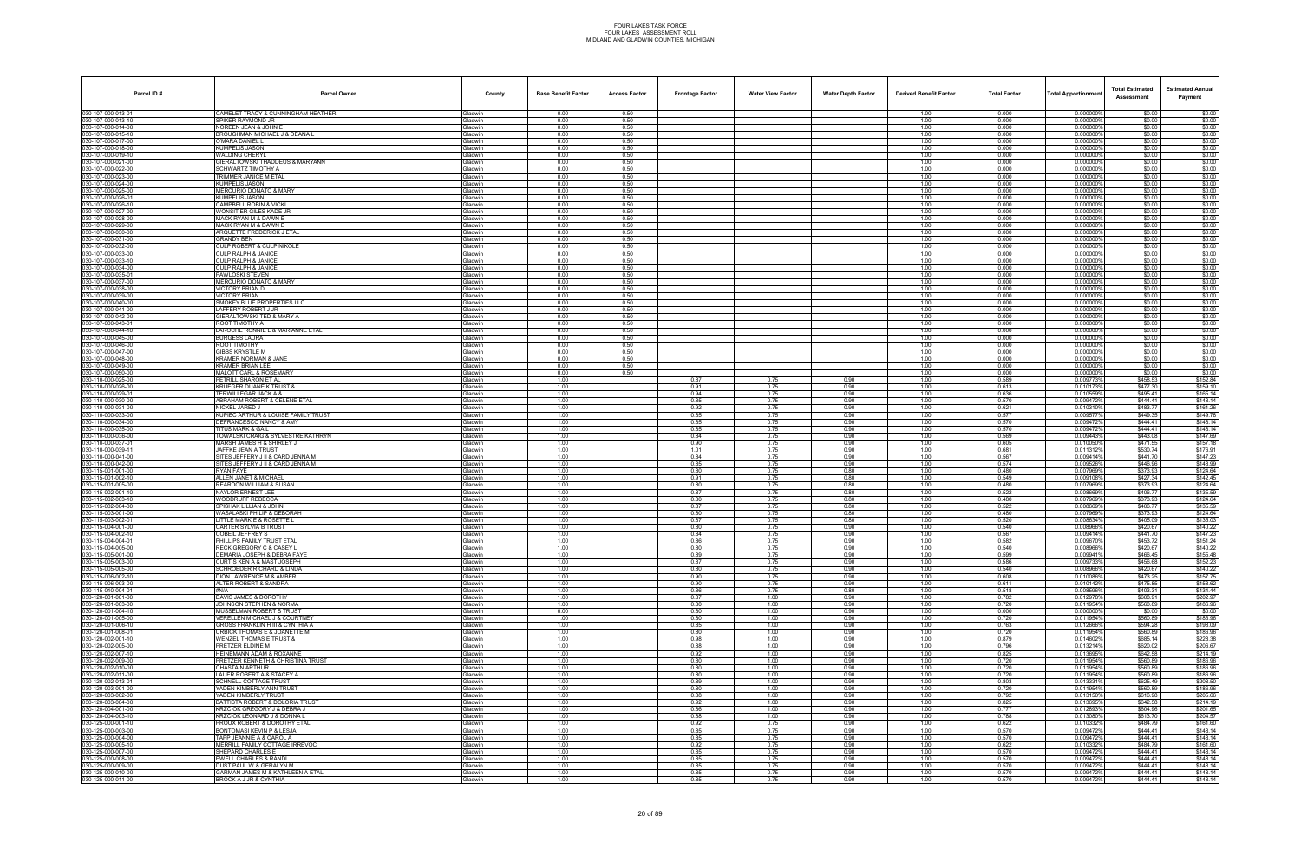| Parcel ID#                               | <b>Parcel Owner</b>                                              | County             | <b>Base Benefit Factor</b> | <b>Access Factor</b> | <b>Frontage Factor</b> | <b>Water View Factor</b> | <b>Water Depth Factor</b> | <b>Derived Benefit Factor</b> | <b>Total Factor</b> | <b>Total Apportionmen</b> | <b>Total Estimated</b><br>Assessment | <b>Estimated Annual</b><br>Payment |
|------------------------------------------|------------------------------------------------------------------|--------------------|----------------------------|----------------------|------------------------|--------------------------|---------------------------|-------------------------------|---------------------|---------------------------|--------------------------------------|------------------------------------|
| 030-107-000-013-01                       | CAMELET TRACY & CUNNINGHAM HEATHER                               | Gladwin            | 0.00                       | 0.50                 |                        |                          |                           | 1.00                          | 0.000               | 0.000000%                 | \$0.00                               | \$0.00                             |
| 030-107-000-013-10                       | SPIKER RAYMOND JR                                                | Gladwin            | 0.00                       | 0.50                 |                        |                          |                           | 1.00                          | 0.000               | 0.0000009                 | \$0.00                               | \$0.00                             |
| 030-107-000-014-00<br>030-107-000-015-10 | NOREEN JEAN & JOHN E<br><b>BROUGHMAN MICHAEL J &amp; DEANA L</b> | Gladwin<br>Gladwin | 0.00<br>0.00               | 0.50<br>0.50         |                        |                          |                           | 1.00<br>1.00                  | 0.000<br>0.000      | 0.000000'<br>0.000000%    | \$0.00<br>\$0.00                     | \$0.00<br>\$0.00                   |
| 030-107-000-017-00                       | O'MARA DANIEL L                                                  | Gladwin            | 0.00                       | 0.50                 |                        |                          |                           | 1.00                          | 0.000               | 0.0000009                 | \$0.00                               | \$0.00                             |
| 030-107-000-018-00                       | KUMPELIS JASON                                                   | Gladwin            | 0.00                       | 0.50                 |                        |                          |                           | 1.00                          | 0.000               | 0.0000009                 | \$0.00                               | \$0.00                             |
| 030-107-000-019-10                       | <b>WALDING CHERYL</b>                                            | Gladwin            | 0.00                       | 0.50                 |                        |                          |                           | 1.00                          | 0.000               | 0.0000009                 | \$0.00                               | \$0.00                             |
| 030-107-000-021-00<br>030-107-000-022-00 | GIERALTOWSKI THADDEUS & MARYANN<br>SCHWARTZ TIMOTHY A            | Gladwin<br>Gladwin | 0.00<br>0.00               | 0.50<br>0.50         |                        |                          |                           | 1.00<br>1.00                  | 0.000<br>0.000      | 0.000000<br>0.000000%     | \$0.00<br>\$0.00                     | \$0.00<br>\$0.00                   |
| 030-107-000-023-00                       | <b>TRIMMER JANICE M ETAL</b>                                     | Gladwin            | 0.00                       | 0.50                 |                        |                          |                           | 1.00                          | 0.000               | 0.0000009                 | \$0.00                               | \$0.00                             |
| 030-107-000-024-00                       | KUMPELIS JASON                                                   | Gladwin            | 0.00                       | 0.50                 |                        |                          |                           | 1.00                          | 0.000               | 0.0000009                 | \$0.00                               | \$0.00                             |
| 030-107-000-025-00                       | <b>MERCURIO DONATO &amp; MARY</b>                                | Gladwin            | 0.00                       | 0.50                 |                        |                          |                           | 1.00                          | 0.000               | 0.0000009                 | \$0.00                               | \$0.00                             |
| 030-107-000-026-01                       | KUMPELIS JASON                                                   | Gladwin            | 0.00                       | 0.50                 |                        |                          |                           | 1.00                          | 0.000               | 0.000000'                 | \$0.00                               | \$0.00                             |
| 030-107-000-026-10<br>030-107-000-027-00 | CAMPBELL ROBIN & VICKI<br>WONSITIER GILES KADE JR                | Gladwin<br>Gladwin | 0.00<br>0.00               | 0.50<br>0.50         |                        |                          |                           | 1.00<br>1.00                  | 0.000<br>0.000      | 0.000000%<br>0.0000009    | \$0.00<br>\$0.00                     | \$0.00<br>\$0.00                   |
| 030-107-000-028-00                       | MACK RYAN M & DAWN E                                             | Gladwin            | 0.00                       | 0.50                 |                        |                          |                           | 1.00                          | 0.000               | 0.0000009                 | \$0.00                               | \$0.00                             |
| 030-107-000-029-00                       | MACK RYAN M & DAWN E                                             | Gladwin            | 0.00                       | 0.50                 |                        |                          |                           | 1.00                          | 0.000               | 0.0000009                 | \$0.00                               | \$0.00                             |
| 030-107-000-030-00                       | ARQUETTE FREDERICK J ETAL                                        | Gladwin            | 0.00                       | 0.50                 |                        |                          |                           | 1.00                          | 0.000               | 0.000000                  | \$0.00                               | \$0.00                             |
| 030-107-000-031-00<br>030-107-000-032-00 | GRANDY BEN<br><b>CULP ROBERT &amp; CULP NIKOLE</b>               | Gladwin<br>Gladwin | 0.00<br>0.00               | 0.50<br>0.50         |                        |                          |                           | 1.00<br>1.00                  | 0.000<br>0.000      | 0.000000%<br>0.000000%    | \$0.00<br>\$0.00                     | \$0.00<br>\$0.00                   |
| 030-107-000-033-00                       | CULP RALPH & JANICE                                              | Gladwin            | 0.00                       | 0.50                 |                        |                          |                           | 1.00                          | 0.000               | 0.000000                  | \$0.00                               | \$0.00                             |
| 030-107-000-033-10                       | CULP RALPH & JANICE                                              | Gladwin            | 0.00                       | 0.50                 |                        |                          |                           | 1.00                          | 0.000               | 0.0000009                 | \$0.00                               | \$0.00                             |
| 030-107-000-034-00                       | CULP RALPH & JANICE                                              | Gladwin            | 0.00                       | 0.50                 |                        |                          |                           | 1.00                          | 0.000               | 0.0000009                 | \$0.00                               | \$0.00                             |
| 030-107-000-035-01                       | PAWLOSKI STEVEN                                                  | Gladwin            | 0.00                       | 0.50                 |                        |                          |                           | 1.00                          | 0.000               | 0.000000%                 | \$0.00                               | \$0.00                             |
| 030-107-000-037-00<br>030-107-000-038-00 | <b>MERCURIO DONATO &amp; MARY</b><br>VICTORY BRIAN D             | Gladwin<br>Gladwin | 0.00<br>0.00               | 0.50<br>0.50         |                        |                          |                           | 1.00<br>1.00                  | 0.000<br>0.000      | 0.000000%<br>0.000000     | \$0.00<br>\$0.00                     | \$0.00<br>\$0.00                   |
| 030-107-000-039-00                       | <b>VICTORY BRIAN</b>                                             | Gladwin            | 0.00                       | 0.50                 |                        |                          |                           | 1.00                          | 0.000               | 0.0000009                 | \$0.00                               | \$0.00                             |
| 030-107-000-040-00                       | SMOKEY BLUE PROPERTIES LLC                                       | Gladwin            | 0.00                       | 0.50                 |                        |                          |                           | 1.00                          | 0.000               | 0.000000'                 | \$0.00                               | \$0.00                             |
| 030-107-000-041-00                       | LAFFERY ROBERT J JR                                              | Gladwin            | 0.00                       | 0.50                 |                        |                          |                           | 1.00                          | 0.000               | 0.000000%                 | \$0.00                               | \$0.00                             |
| 030-107-000-042-00                       | GIERALTOWSKI TED & MARY A                                        | Gladwin            | 0.00                       | 0.50                 |                        |                          |                           | 1.00                          | 0.000               | 0.000000%                 | \$0.00                               | \$0.00                             |
| 030-107-000-043-01<br>030-107-000-044-10 | ROOT TIMOTHY A<br>LAROCHE RONNIE L & MARIANNE ETAL               | Gladwin<br>Gladwin | 0.00<br>0.00               | 0.50<br>0.50         |                        |                          |                           | 1.00<br>1.00                  | 0.000<br>0.000      | 0.000000<br>0.0000009     | \$0.00<br>\$0.00                     | \$0.00<br>\$0.00                   |
| 030-107-000-045-00                       | <b>BURGESS LAURA</b>                                             | Gladwin            | 0.00                       | 0.50                 |                        |                          |                           | 1.00                          | 0.000               | 0.0000009                 | \$0.00                               | \$0.00                             |
| 030-107-000-046-00                       | ROOT TIMOTHY                                                     | Gladwin            | 0.00                       | 0.50                 |                        |                          |                           | 1.00                          | 0.000               | 0.000000%                 | \$0.00                               | \$0.00                             |
| 030-107-000-047-00                       | <b>GIBBS KRYSTLE M</b>                                           | Gladwin            | 0.00                       | 0.50                 |                        |                          |                           | 1.00                          | 0.000               | 0.000000%                 | \$0.00                               | \$0.00                             |
| 030-107-000-048-00                       | <b>KRAMER NORMAN &amp; JANE</b>                                  | Gladwin            | 0.00                       | 0.50                 |                        |                          |                           | 1.00                          | 0.000               | 0.000000                  | \$0.00                               | \$0.00                             |
| 030-107-000-049-00<br>030-107-000-050-00 | KRAMER BRIAN LEE<br><b>MALOTT CARL &amp; ROSEMARY</b>            | Gladwin<br>Gladwin | 0.00<br>0.00               | 0.50<br>0.50         |                        |                          |                           | 1.00<br>1.00                  | 0.000<br>0.000      | 0.0000009<br>0.000000'    | \$0.00<br>\$0.00                     | \$0.00<br>\$0.00                   |
| 030-110-000-025-00                       | PETRILL SHARON ET AL                                             | Gladwin            | 1.00                       |                      | 0.87                   | 0.75                     | 0.90                      | 1.00                          | 0.589               | 0.009773%                 | \$458.53                             | \$152.84                           |
| 030-110-000-026-00                       | KRUEGER DUANE K TRUST &                                          | Gladwin            | 1.00                       |                      | 0.91                   | 0.75                     | 0.90                      | 1.00                          | 0.613               | 0.0101739                 | \$477.30                             | \$159.10                           |
| 030-110-000-029-01                       | TERWILLEGAR JACK A &                                             | Gladwin            | 1.00                       |                      | 0.94                   | 0.75                     | 0.90                      | 1.00                          | 0.636               | 0.010559                  | \$495.41                             | \$165.14                           |
| 030-110-000-030-00<br>030-110-000-031-00 | <b>ABRAHAM ROBERT &amp; CELENE ETAL</b><br>NICKEL JARED J        | Gladwin            | 1.00<br>1.00               |                      | 0.85<br>0.92           | 0.75<br>0.75             | 0.90<br>0.90              | 1.00<br>1.00                  | 0.570<br>0.621      | 0.009472%<br>0.010310     | \$444.41<br>\$483.77                 | \$148.14<br>\$161.26               |
| 030-110-000-033-00                       | KUPIEC ARTHUR & LOUISE FAMILY TRUST                              | Gladwin<br>Gladwin | 1.00                       |                      | 0.85                   | 0.75                     | 0.90                      | 1.00                          | 0.577               | 0.009577%                 | \$449.35                             | \$149.78                           |
| 030-110-000-034-00                       | DEFRANCESCO NANCY & AMY                                          | Gladwin            | 1.00                       |                      | 0.85                   | 0.75                     | 0.90                      | 1.00                          | 0.570               | 0.0094729                 | \$444.41                             | \$148.14                           |
| 030-110-000-035-00                       | TITUS MARK & GAIL                                                | Gladwin            | 1.00                       |                      | 0.85                   | 0.75                     | 0.90                      | 1.00                          | 0.570               | 0.009472                  | \$444.41                             | \$148.14                           |
| 030-110-000-036-00                       | TOWALSKI CRAIG & SYLVESTRE KATHRYN                               | Gladwin            | 1.00                       |                      | 0.84                   | 0.75                     | 0.90                      | 1.00                          | 0.569               | 0.009443%                 | \$443.08                             | \$147.69                           |
| 030-110-000-037-01<br>030-110-000-039-11 | MARSH JAMES H & SHIRLEY J<br>JAFFKE JEAN A TRUST                 | Gladwin<br>Gladwin | 1.00<br>1.00               |                      | 0.90<br>1.01           | 0.75<br>0.75             | 0.90<br>0.90              | 1.00<br>1.00                  | 0.605<br>0.681      | 0.010050%<br>0.011312%    | \$471.55<br>\$530.74                 | \$157.18<br>\$176.91               |
| 030-110-000-041-00                       | SITES JEFFERY J II & CARD JENNA M                                | Gladwin            | 1.00                       |                      | 0.84                   | 0.75                     | 0.90                      | 1.00                          | 0.567               | 0.009414%                 | \$441.70                             | \$147.23                           |
| 030-110-000-042-00                       | SITES JEFFERY J II & CARD JENNA M                                | Gladwin            | 1.00                       |                      | 0.85                   | 0.75                     | 0.90                      | 1.00                          | 0.574               | 0.009526                  | \$446.96                             | \$148.99                           |
| 030-115-001-001-00                       | RYAN FAYE                                                        | Gladwin            | 1.00                       |                      | 0.80                   | 0.75                     | 0.80                      | 1.00                          | 0.480               | 0.007969%                 | \$373.93                             | \$124.64                           |
| 030-115-001-002-10                       | ALLEN JANET & MICHAEL                                            | Gladwin            | 1.00                       |                      | 0.91                   | 0.75                     | 0.80                      | 1.00                          | 0.549               | 0.009108%                 | \$427.34                             | \$142.45                           |
| 030-115-001-005-00<br>030-115-002-001-10 | REARDON WILLIAM & SUSAN<br>NAYLOR ERNEST LEE                     | Gladwin<br>Gladwin | 1.00<br>1.00               |                      | 0.80<br>0.87           | 0.75<br>0.75             | 0.80<br>0.80              | 1.00<br>1.00                  | 0.480<br>0.522      | 0.007969%<br>0.008669%    | \$373.93<br>\$406.77                 | \$124.64<br>\$135.59               |
| 030-115-002-003-10                       | <b>WOODRUFF REBECCA</b>                                          | Gladwin            | 1.00                       |                      | 0.80                   | 0.75                     | 0.80                      | 1.00                          | 0.480               | 0.0079699                 | \$373.93                             | \$124.64                           |
| 030-115-002-004-00                       | SPISHAK LILLIAN & JOHN                                           | Gladwin            | 1.00                       |                      | 0.87                   | 0.75                     | 0.80                      | 1.00                          | 0.522               | 0.008669%                 | \$406.77                             | \$135.59                           |
| 030-115-003-001-00                       | WASALASKI PHILIP & DEBORAH                                       | Gladwin            | 1.00                       |                      | 0.80                   | 0.75                     | 0.80                      | 1.00                          | 0.480               | 0.007969%                 | \$373.93                             | \$124.64                           |
| 030-115-003-002-01<br>030-115-004-001-00 | LITTLE MARK E & ROSETTE L<br><b>CARTER SYLVIA B TRUST</b>        | Gladwin<br>Gladwin | 1.00<br>1.00               |                      | 0.87<br>0.80           | 0.75<br>0.75             | 0.80<br>0.90              | 1.00<br>1.00                  | 0.520<br>0.540      | 0.008634%<br>0.008966%    | \$405.09<br>\$420.67                 | \$135.03<br>\$140.22               |
| 030-115-004-002-10                       | COBEIL JEFFREY S                                                 | Gladwin            | 1.00                       |                      | 0.84                   | 0.75                     | 0.90                      | 1.00                          | 0.567               | 0.0094149                 | \$441.70                             | \$147.23                           |
| 030-115-004-004-01                       | PHILLIPS FAMILY TRUST ETAL                                       | Gladwin            | 1.00                       |                      | 0.86                   | 0.75                     | 0.90                      | 1.00                          | 0.582               | 0.009670%                 | \$453.72                             | \$151.24                           |
| 030-115-004-005-00                       | RECK GREGORY C & CASEY L                                         | Gladwin            | 1.00                       |                      | 0.80                   | 0.75                     | 0.90                      | 1.00                          | 0.540               | 0.008966%                 | \$420.67                             | \$140.22                           |
| 030-115-005-001-00                       | DEMARIA JOSEPH & DEBRA FAYE                                      | Gladwin            | 1.00<br>1.00               |                      | 0.89<br>0.87           | 0.75                     | 0.90<br>0.90              | 1.00<br>1.00                  | 0.599<br>0.586      | 0.009941%                 | \$466.45                             | \$155.48                           |
| 030-115-005-003-00<br>030-115-005-005-00 | CURTIS KEN A & MAST JOSEPH<br>SCHROEDER RICHARD & LINDA          | Gladwin<br>Gladwin | 1.00                       |                      | 0.80                   | 0.75<br>0.75             | 0.90                      | 1.00                          | 0.540               | 0.009733%<br>0.008966%    | \$456.68<br>\$420.67                 | \$152.23<br>\$140.22               |
| 030-115-006-002-10                       | DION LAWRENCE M & AMBER                                          | Gladwin            | 1.00                       |                      | 0.90                   | 0.75                     | 0.90                      | 1.00                          | 0.608               | 0.010086%                 | \$473.25                             | \$157.75                           |
| 030-115-006-003-00                       | ALTER ROBERT & SANDRA                                            | Gladwin            | 1.00                       |                      | 0.90                   | 0.75                     | 0.90                      | 1.00                          | 0.611               | 0.010142%                 | \$475.85                             | \$158.62                           |
| 030-115-010-004-01                       | #N/A                                                             | Gladwin            | 1.00                       |                      | 0.86                   | 0.75                     | 0.80                      | 1.00                          | 0.518               | 0.008596%                 | \$403.31                             | \$134.44                           |
| 030-120-001-001-00                       | DAVIS JAMES & DOROTHY                                            | Gladwin            | 1.00                       |                      | 0.87                   | 1.00                     | 0.90                      | 1.00                          | 0.782               | 0.012978%                 | \$608.91                             | \$202.97                           |
| 030-120-001-003-00<br>030-120-001-004-10 | JOHNSON STEPHEN & NORMA<br>MUSSELMAN ROBERT S TRUST              | Gladwin<br>Gladwin | 1.00<br>0.00               |                      | 0.80<br>0.80           | 1.00<br>1.00             | 0.90<br>0.90              | 1.00<br>1.00                  | 0.720<br>0.000      | 0.011954%<br>0.000000%    | \$560.89<br>\$0.00                   | \$186.96<br>\$0.00                 |
| 030-120-001-005-00                       | VERELLEN MICHAEL J & COURTNEY                                    | Gladwin            | 1.00                       |                      | 0.80                   | 1.00                     | 0.90                      | 1.00                          | 0.720               | 0.011954%                 | \$560.89                             | \$186.96                           |
| 030-120-001-006-10                       | GROSS FRANKLIN H III & CYNTHIA A                                 | Gladwin            | 1.00                       |                      | 0.85                   | 1.00                     | 0.90                      | 1.00                          | 0.763               | 0.012666%                 | \$594.28                             | \$198.09                           |
| 030-120-001-008-01                       | URBICK THOMAS E & JOANETTE M                                     | Gladwin            | 1.00                       |                      | 0.80                   | 1.00                     | 0.90                      | 1.00                          | 0.720               | 0.011954%                 | \$560.89                             | \$186.96                           |
| 030-120-002-001-10<br>030-120-002-005-00 | <b>WENZEL THOMAS E TRUST &amp;</b><br>PRETZER ELDINE M           | Gladwin<br>Gladwin | 1.00<br>1.00               |                      | 0.98<br>0.88           | 1.00<br>1.00             | 0.90<br>0.90              | 1.00<br>1.00                  | 0.879<br>0.796      | 0.014602%<br>0.013214%    | \$685.14<br>\$620.02                 | \$228.38<br>\$206.67               |
| 030-120-002-007-10                       | HEINEMANN ADAM & ROXANNE                                         | Gladwin            | 1.00                       |                      | 0.92                   | 1.00                     | 0.90                      | 1.00                          | 0.825               | 0.013695%                 | \$642.58                             | \$214.19                           |
| 030-120-002-009-00                       | PRETZER KENNETH & CHRISTINA TRUST                                | Gladwin            | 1.00                       |                      | 0.80                   | 1.00                     | 0.90                      | 1.00                          | 0.720               | 0.011954%                 | \$560.89                             | \$186.96                           |
| 030-120-002-010-00                       | CHASTAIN ARTHUR                                                  | Gladwin            | 1.00                       |                      | 0.80                   | 1.00                     | 0.90                      | 1.00                          | 0.720               | 0.011954%                 | \$560.89                             | \$186.96                           |
| 030-120-002-011-00                       | LAUER ROBERT A & STACEY A                                        | Gladwin            | 1.00                       |                      | 0.80                   | 1.00                     | 0.90                      | 1.00                          | 0.720               | 0.011954%                 | \$560.89                             | \$186.96                           |
| 030-120-002-013-01<br>030-120-003-001-00 | <b>SCHNELL COTTAGE TRUST</b><br>YADEN KIMBERLY ANN TRUST         | Gladwin<br>Gladwin | 1.00<br>1.00               |                      | 0.89<br>0.80           | 1.00<br>1.00             | 0.90<br>0.90              | 1.00<br>1.00                  | 0.803<br>0.720      | 0.013331%<br>0.011954%    | \$625.49<br>\$560.89                 | \$208.50<br>\$186.96               |
| 030-120-003-002-00                       | YADEN KIMBERLY TRUST                                             | Gladwin            | 1.00                       |                      | 0.88                   | 1.00                     | 0.90                      | 1.00                          | 0.792               | 0.013150%                 | \$616.98                             | \$205.66                           |
| 030-120-003-004-00                       | BATTISTA ROBERT & DOLORIA TRUST                                  | Gladwin            | 1.00                       |                      | 0.92                   | 1.00                     | 0.90                      | 1.00                          | 0.825               | 0.013695%                 | \$642.58                             | \$214.19                           |
| 030-120-004-001-00                       | KRZCIOK GREGORY J & DEBRA J                                      | Gladwin            | 1.00                       |                      | 0.86                   | 1.00                     | 0.90                      | 1.00                          | 0.777               | 0.012893%                 | \$604.96                             | \$201.65                           |
| 030-120-004-003-10                       | <b>KRZCIOK LEONARD J &amp; DONNA L</b>                           | Gladwin            | 1.00                       |                      | 0.88                   | 1.00                     | 0.90                      | 1.00                          | 0.788               | 0.013080%                 | \$613.70                             | \$204.57                           |
| 030-125-000-001-10<br>030-125-000-003-00 | PROUX ROBERT & DOROTHY ETAL<br>BONTOMASI KEVIN P & LESJA         | Gladwin<br>Gladwin | 1.00<br>1.00               |                      | 0.92<br>0.85           | 0.75<br>0.75             | 0.90<br>0.90              | 1.00<br>1.00                  | 0.622<br>0.570      | 0.0103329<br>0.0094729    | \$484.79<br>\$444.41                 | \$161.60<br>\$148.14               |
| 030-125-000-004-00                       | TAPP JEANNIE A & CAROL A                                         | Gladwin            | 1.00                       |                      | 0.85                   | 0.75                     | 0.90                      | 1.00                          | 0.570               | 0.009472%                 | \$444.41                             | \$148.14                           |
| 030-125-000-005-10                       | MERRILL FAMILY COTTAGE IRREVOC                                   | Gladwin            | 1.00                       |                      | 0.92                   | 0.75                     | 0.90                      | 1.00                          | 0.622               | 0.010332%                 | \$484.79                             | \$161.60                           |
| 030-125-000-007-00                       | SHEPARD CHARLES E                                                | Gladwin            | 1.00                       |                      | 0.85                   | 0.75                     | 0.90                      | 1.00                          | 0.570               | 0.009472%                 | \$444.41                             | \$148.14                           |
| 030-125-000-008-00                       | <b>EWELL CHARLES &amp; RANDI</b>                                 | Gladwin            | 1.00                       |                      | 0.85                   | 0.75                     | 0.90                      | 1.00                          | 0.570               | 0.009472%                 | \$444.41                             | \$148.14                           |
| 030-125-000-009-00<br>030-125-000-010-00 | DUST PAUL W & GERALYN M<br>GARMAN JAMES M & KATHLEEN A ETAL      | Gladwin<br>Gladwin | 1.00<br>1.00               |                      | 0.85<br>0.85           | 0.75<br>0.75             | 0.90<br>0.90              | 1.00<br>1.00                  | 0.570<br>0.570      | 0.0094729<br>0.009472%    | \$444.41<br>\$444.41                 | \$148.14<br>\$148.14               |
| 030-125-000-011-00                       | BROCK A J JR & CYNTHIA                                           | Gladwin            | 1.00                       |                      | 0.85                   | 0.75                     | 0.90                      | 1.00                          | 0.570               | 0.009472%                 | \$444.41                             | \$148.14                           |
|                                          |                                                                  |                    |                            |                      |                        |                          |                           |                               |                     |                           |                                      |                                    |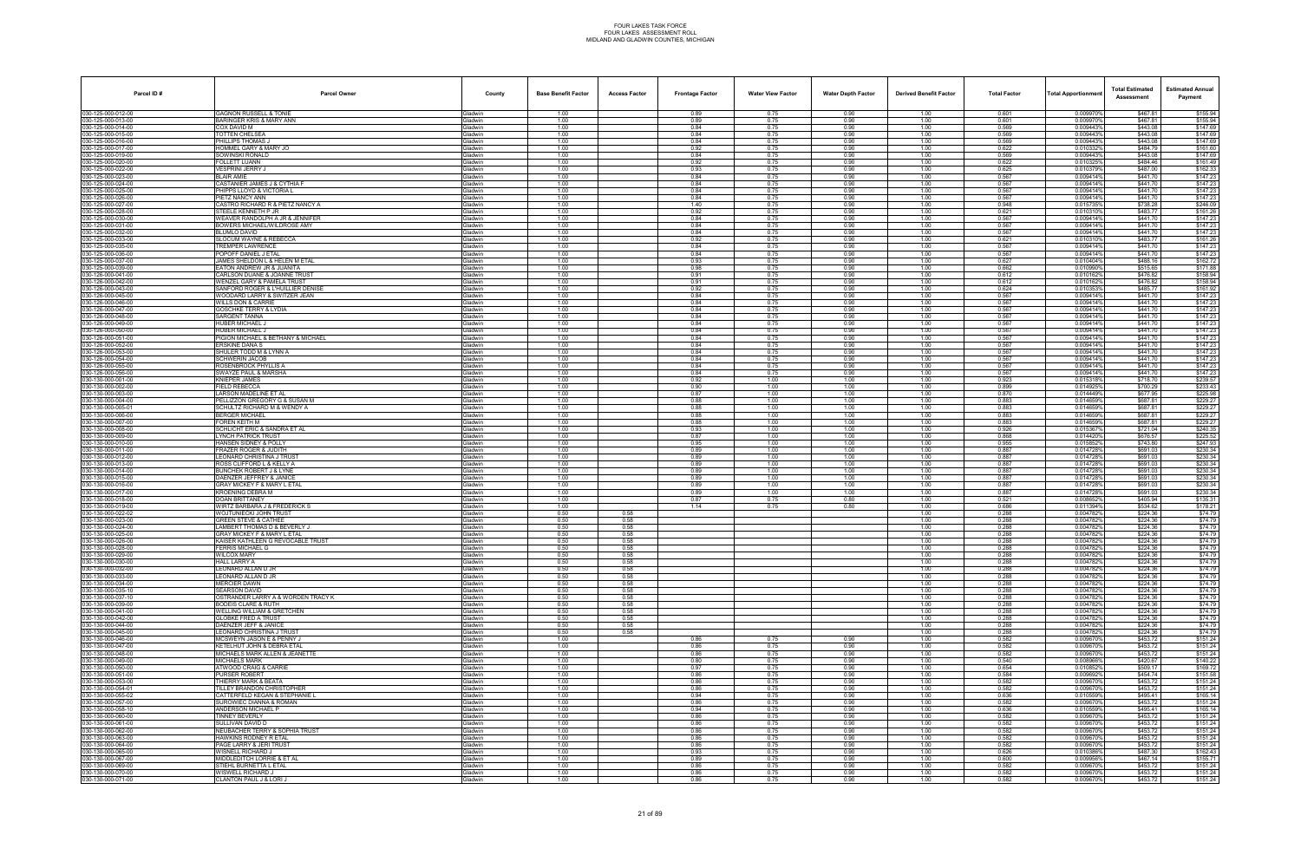| Parcel ID#                               | <b>Parcel Owner</b>                                                          | County                    | <b>Base Benefit Factor</b> | <b>Access Factor</b> | <b>Frontage Factor</b> | <b>Water View Factor</b> | <b>Water Depth Factor</b> | <b>Derived Benefit Factor</b> | <b>Total Factor</b> | <b>Total Apportionmen</b> | <b>Total Estimated</b><br>Assessment | <b>Estimated Annual</b><br>Payment |
|------------------------------------------|------------------------------------------------------------------------------|---------------------------|----------------------------|----------------------|------------------------|--------------------------|---------------------------|-------------------------------|---------------------|---------------------------|--------------------------------------|------------------------------------|
| 030-125-000-012-00                       | <b>GAGNON RUSSELL &amp; TONIE</b>                                            | Gladwin                   | 1.00                       |                      | 0.89                   | 0.75                     | 0.90                      | 1.00                          | 0.601               | 0.009970%                 | \$467.81                             | \$155.94                           |
| 030-125-000-013-00                       | BARINGER KRIS & MARY ANN                                                     | Gladwin                   | 1.00                       |                      | 0.89                   | 0.75                     | 0.90                      | 1.00                          | 0.601               | 0.0099709                 | \$467.81                             | \$155.94                           |
| 30-125-000-014-00<br>030-125-000-015-00  | COX DAVID M<br>TOTTEN CHELSEA                                                | Gladwin<br>Gladwin        | 1.00<br>1.00               |                      | 0.84<br>0.84           | 0.75<br>0.75             | 0.90<br>0.90              | 1.00<br>1.00                  | 0.569<br>0.569      | 0.0094439<br>0.009443%    | \$443.08<br>\$443.08                 | \$147.69<br>\$147.69               |
| 30-125-000-016-00                        | PHILLIPS THOMAS J                                                            | Gladwin                   | 1.00                       |                      | 0.84                   | 0.75                     | 0.90                      | 1.00                          | 0.569               | 0.009443%                 | \$443.08                             | \$147.69                           |
| 030-125-000-017-00                       | HOMMEL GARY & MARY JO                                                        | Gladwin                   | 1.00                       |                      | 0.92                   | 0.75                     | 0.90                      | 1.00                          | 0.622               | 0.010332%                 | \$484.79                             | \$161.60                           |
| 30-125-000-019-00<br>30-125-000-020-00   | <b>SOWINSKI RONALD</b><br>FOLLETT LUANN                                      | Gladwin<br>Gladwin        | 1.00<br>1.00               |                      | 0.84<br>0.92           | 0.75<br>0.75             | 0.90<br>0.90              | 1.00<br>1.00                  | 0.569<br>0.622      | 0.009443%<br>0.010325     | \$443.08<br>\$484.46                 | \$147.69<br>\$161.49               |
| 30-125-000-022-00                        | VESPRINI JERRY J                                                             | Gladwin                   | 1.00                       |                      | 0.93                   | 0.75                     | 0.90                      | 1.00                          | 0.625               | 0.010379%                 | \$487.00                             | \$162.33                           |
| 30-125-000-023-00                        | <b>RI AIR AMIF</b>                                                           | Gladwin                   | 1.00                       |                      | 0.84                   | 0.75                     | 0.90                      | 1.00                          | 0.567               | 0.009414%                 | \$441.70                             | \$147.23                           |
| 030-125-000-024-00<br>030-125-000-025-00 | CASTANIER JAMES J & CYTHIA F<br>PHIPPS LLOYD & VICTORIA L                    | Gladwin<br>Gladwin        | 1.00<br>1.00               |                      | 0.84<br>0.84           | 0.75<br>0.75             | 0.90<br>0.90              | 1.00<br>1.00                  | 0.567<br>0.567      | 0.009414%<br>0.009414%    | \$441.70<br>\$441.70                 | \$147.23<br>\$147.23               |
| 30-125-000-026-00                        | PIETZ NANCY ANN                                                              | Gladwin                   | 1.00                       |                      | 0.84                   | 0.75                     | 0.90                      | 1.00                          | 0.567               | 0.009414%                 | \$441.70                             | \$147.23                           |
| 030-125-000-027-00                       | CASTRO RICHARD R & PIETZ NANCY A                                             | Gladwin                   | 1.00                       |                      | 1.40                   | 0.75                     | 0.90                      | 1.00                          | 0.948               | 0.015735%                 | \$738.28                             | \$246.09                           |
| 30-125-000-028-00<br>030-125-000-030-00  | STEELE KENNETH P JR<br>WEAVER RANDOLPH A JR & JENNIFER                       | Gladwin<br>Gladwin        | 1.00<br>1.00               |                      | 0.92<br>0.84           | 0.75<br>0.75             | 0.90<br>0.90              | 1.00<br>1.00                  | 0.621<br>0.567      | 0.010310%<br>0.009414%    | \$483.77<br>\$441.70                 | \$161.26<br>\$147.23               |
| 30-125-000-031-00                        | BOWERS MICHAEL/WILDROSE AMY                                                  | Gladwin                   | 1.00                       |                      | 0.84                   | 0.75                     | 0.90                      | 1.00                          | 0.567               | 0.009414%                 | \$441.70                             | \$147.23                           |
| 30-125-000-032-00                        | BLUMLO DAVID                                                                 | Gladwin                   | 1.00                       |                      | 0.84                   | 0.75                     | 0.90                      | 1.00                          | 0.567               | 0.009414%                 | \$441.70                             | \$147.23                           |
| 30-125-000-033-00<br>30-125-000-035-00   | SLOCUM WAYNE & REBECCA<br><b>TREMPER LAWRENCE</b>                            | Gladwin<br>Gladwin        | 1.00<br>1.00               |                      | 0.92<br>0.84           | 0.75<br>0.75             | 0.90<br>0.90              | 1.00<br>1.00                  | 0.621<br>0.567      | 0.010310%<br>0.009414%    | \$483.77<br>\$441.70                 | \$161.26<br>\$147.23               |
| 030-125-000-036-00                       | POPOFF DANIEL J ETAL                                                         | Gladwin                   | 1.00                       |                      | 0.84                   | 0.75                     | 0.90                      | 1.00                          | 0.567               | 0.009414%                 | \$441.70                             | \$147.23                           |
| 030-125-000-037-00                       | JAMES SHELDON L & HELEN M ETAL                                               | Gladwin                   | 1.00                       |                      | 0.93                   | 0.75                     | 0.90                      | 1.00                          | 0.627               | 0.010404%                 | \$488.16                             | \$162.72                           |
| 30-125-000-039-00                        | EATON ANDREW JR & JUANITA                                                    | Gladwin                   | 1.00                       |                      | 0.98                   | 0.75                     | 0.90                      | 1.00                          | 0.662               | 0.010990%                 | \$515.65                             | \$171.88                           |
| 030-126-000-041-00<br>30-126-000-042-00  | CARLSON DUANE & JOANNE TRUST<br><b><i>NENZEL GARY &amp; PAMELA TRUST</i></b> | Gladwin<br>Gladwin        | 1.00<br>1.00               |                      | 0.91<br>0.91           | 0.75<br>0.75             | 0.90<br>0.90              | 1.00<br>1.00                  | 0.612<br>0.612      | 0.010162%<br>0.010162%    | \$476.82<br>\$476.82                 | \$158.94<br>\$158.94               |
| 030-126-000-043-00                       | SANFORD ROGER & L'HUILLIER DENISE                                            | Gladwin                   | 1.00                       |                      | 0.92                   | 0.75                     | 0.90                      | 1.00                          | 0.624               | 0.010353%                 | \$485.77                             | \$161.92                           |
| 030-126-000-045-00                       | WOODARD LARRY & SWITZER JEAN                                                 | Gladwin                   | 1.00                       |                      | 0.84                   | 0.75                     | 0.90                      | 1.00                          | 0.567               | 0.009414%                 | \$441.70                             | \$147.23                           |
| 30-126-000-046-00<br>30-126-000-047-00   | WILLS DON & CARRIE<br><b>GOSCHKE TERRY &amp; LYDIA</b>                       | Gladwin<br>Gladwin        | 1.00<br>1.00               |                      | 0.84<br>0.84           | 0.75<br>0.75             | 0.90<br>0.90              | 1.00<br>1.00                  | 0.567<br>0.567      | 0.009414%<br>0.009414%    | \$441.70<br>\$441.70                 | \$147.23<br>\$147.23               |
| 30-126-000-048-00                        | SARGENT TANNA                                                                | Gladwin                   | 1.00                       |                      | 0.84                   | 0.75                     | 0.90                      | 1.00                          | 0.567               | 0.009414%                 | \$441.70                             | \$147.23                           |
| 030-126-000-049-00                       | HUBER MICHAEL J                                                              | Gladwin                   | 1.00                       |                      | 0.84                   | 0.75                     | 0.90                      | 1.00                          | 0.567               | 0.009414%                 | \$441.70                             | \$147.23                           |
| 030-126-000-050-00                       | HUBER MICHAEL J                                                              | Gladwin                   | 1.00                       |                      | 0.84                   | 0.75                     | 0.90                      | 1.00                          | 0.567               | 0.009414%                 | \$441.70                             | \$147.23                           |
| 30-126-000-051-00<br>030-126-000-052-00  | PIGION MICHAEL & BETHANY & MICHAEL<br><b>RSKINE DANA S</b>                   | <b>Gladwin</b><br>Gladwin | 1.00<br>1.00               |                      | 0.84<br>0.84           | 0.75<br>0.75             | 0.90<br>0.90              | 1.00<br>1.00                  | 0.567<br>0.567      | 0.009414%<br>0.009414%    | \$441.70<br>\$441.70                 | \$147.23<br>\$147.23               |
| 030-126-000-053-00                       | SHULER TODD M & LYNN A                                                       | Gladwin                   | 1.00                       |                      | 0.84                   | 0.75                     | 0.90                      | 1.00                          | 0.567               | 0.009414%                 | \$441.70                             | \$147.23                           |
| 030-126-000-054-00                       | SCHWERIN JACOB                                                               | Gladwin                   | 1.00                       |                      | 0.84                   | 0.75                     | 0.90                      | 1.00                          | 0.567               | 0.009414%                 | \$441.70                             | \$147.23                           |
| 030-126-000-055-00<br>30-126-000-056-00  | ROSENBROCK PHYLLIS A<br>SWAYZE PAUL & MARSHA                                 | Gladwin<br><b>Gladwin</b> | 1.00<br>1.00               |                      | 0.84<br>0.84           | 0.75<br>0.75             | 0.90<br>0.90              | 1.00<br>1.00                  | 0.567<br>0.567      | 0.009414%<br>0.009414%    | \$441.70<br>\$441.70                 | \$147.23<br>\$147.23               |
| 30-130-000-001-00                        | KNIEPER JAMES                                                                | Gladwin                   | 1.00                       |                      | 0.92                   | 1.00                     | 1.00                      | 1.00                          | 0.923               | 0.015318%                 | \$718.70                             | \$239.57                           |
| 30-130-000-002-00                        | <b>FIELD REBECCA</b>                                                         | Gladwin                   | 1.00                       |                      | 0.90                   | 1.00                     | 1.00                      | 1.00                          | 0.899               | 0.014925%                 | \$700.29                             | \$233.43                           |
| 030-130-000-003-00                       | ARSON MADELINE ET AL                                                         | Gladwin                   | 1.00                       |                      | 0.87                   | 1.00                     | 1.00                      | 1.00                          | 0.870               | 0.0144499                 | \$677.95                             | \$225.98                           |
| 030-130-000-004-00<br>30-130-000-005-01  | PELLIZZON GREGORY G & SUSAN M<br>SCHULTZ RICHARD M & WENDY A                 | Gladwin<br><b>Gladwin</b> | 1.00<br>1.00               |                      | 0.88<br>0.88           | 1.00<br>1.00             | 1.00<br>1.00              | 1.00<br>1.00                  | 0.883<br>0.883      | 0.014659%<br>0.014659%    | \$687.81<br>\$687.81                 | \$229.27<br>\$229.27               |
| 030-130-000-006-00                       | BERGER MICHAEL                                                               | Gladwin                   | 1.00                       |                      | 0.88                   | 1.00                     | 1.00                      | 1.00                          | 0.883               | 0.014659%                 | \$687.81                             | \$229.27                           |
| 030-130-000-007-00                       | FOREN KEITH M                                                                | Gladwin                   | 1.00                       |                      | 0.88                   | 1.00                     | 1.00                      | 1.00                          | 0.883               | 0.014659%                 | \$687.81                             | \$229.27                           |
| 030-130-000-008-00<br>030-130-000-009-00 | SCHLICHT ERIC & SANDRA ET AL<br>YNCH PATRICK TRUST                           | Gladwin<br>Gladwin        | 1.00<br>1.00               |                      | 0.93<br>0.87           | 1.00<br>1.00             | 1.00<br>1.00              | 1.00<br>1.00                  | 0.926<br>0.868      | 0.0153679<br>0.014420%    | \$721.04<br>\$676.57                 | \$240.35<br>\$225.52               |
| 30-130-000-010-00                        | HANSEN SIDNEY & POLLY                                                        | <b>Gladwin</b>            | 1.00                       |                      | 0.95                   | 1.00                     | 1.00                      | 1.00                          | 0.955               | 0.0158529                 | \$743.80                             | \$247.93                           |
| 30-130-000-011-00                        | RAZER ROGER & JUDITH                                                         | Gladwin                   | 1.00                       |                      | 0.89                   | 1.00                     | 1.00                      | 1.00                          | 0.887               | 0.014728%                 | \$691.03                             | \$230.34                           |
| 030-130-000-012-00                       | <b>LEONARD CHRISTINA J TRUS</b>                                              | Gladwin                   | 1.00                       |                      | 0.89                   | 1.00                     | 1.00                      | 1.00                          | 0.887               | 0.014728%                 | \$691.03                             | \$230.34                           |
| 30-130-000-013-00<br>030-130-000-014-00  | ROSS CLIFFORD L & KELLY A<br><b>BUNCHEK ROBERT J &amp; LYNE</b>              | Gladwin<br>Gladwin        | 1.00<br>1.00               |                      | 0.89<br>0.89           | 1.00<br>1.00             | 1.00<br>1.00              | 1.00<br>1.00                  | 0.887<br>0.887      | 0.0147289<br>0.014728%    | \$691.03<br>\$691.03                 | \$230.34<br>\$230.34               |
| 30-130-000-015-00                        | DAENZER JEFFREY & JANICE                                                     | Gladwin                   | 1.00                       |                      | 0.89                   | 1.00                     | 1.00                      | 1.00                          | 0.887               | 0.014728%                 | \$691.03                             | \$230.34                           |
| 30-130-000-016-00                        | <b>GRAY MICKEY F &amp; MARY L ETAL</b>                                       | Gladwin                   | 1.00                       |                      | 0.89                   | 1.00                     | 1.00                      | 1.00                          | 0.887               | 0.014728%                 | \$691.03                             | \$230.34                           |
| 030-130-000-017-00<br>30-130-000-018-00  | KROENING DEBRA M<br>DOAN BRITTANEY                                           | Gladwin<br>Gladwin        | 1.00<br>1.00               |                      | 0.89<br>0.87           | 1.00<br>0.75             | 1.00<br>0.80              | 1.00<br>1.00                  | 0.887<br>0.521      | 0.014728%<br>0.0086529    | \$691.03<br>\$405.94                 | \$230.34<br>\$135.31               |
| 030-130-000-019-00                       | WIRTZ BARBARA J & FREDERICK S                                                | Gladwin                   | 1.00                       |                      | 1.14                   | 0.75                     | 0.80                      | 1.00                          | 0.686               | 0.011394%                 | \$534.62                             | \$178.21                           |
| 30-130-000-022-02                        | <b>NOJTUNIECKI JOHN TRUST</b>                                                | Gladwin                   | 0.50                       | 0.58                 |                        |                          |                           | 1.00                          | 0.288               | 0.004782%                 | \$224.36                             | \$74.79                            |
| 30-130-000-023-00                        | <b>GREEN STEVE &amp; CATHEE</b><br>LAMBERT THOMAS D & BEVERLY J              | Gladwin                   | 0.50<br>0.50               | 0.58<br>0.58         |                        |                          |                           | 1.00<br>1.00                  | 0.288<br>0.288      | 0.004782%<br>0.004782%    | \$224.36<br>\$224.36                 | \$74.79<br>\$74.79                 |
| 30-130-000-024-00<br>30-130-000-025-00   | GRAY MICKEY F & MARY L ETAL                                                  | Gladwin<br>Gladwin        | 0.50                       | 0.58                 |                        |                          |                           | 1.00                          | 0.288               | 0.0047829                 | \$224.36                             | \$74.79                            |
| 030-130-000-026-00                       | KAISER KATHLEEN G REVOCABLE TRUST                                            | Gladwin                   | 0.50                       | 0.58                 |                        |                          |                           | 1.00                          | 0.288               | 0.004782%                 | \$224.36                             | \$74.79                            |
| 030-130-000-028-00                       | <b>ERRIS MICHAEL G</b>                                                       | <b>Gladwin</b>            | 0.50                       | 0.58                 |                        |                          |                           | 1.00                          | 0.288               | 0.004782%                 | \$224.36                             | \$74.79                            |
| 030-130-000-029-00<br>030-130-000-030-00 | WILCOX MARY<br><b>HALL LARRY A</b>                                           | Gladwin<br>Gladwin        | 0.50<br>0.50               | 0.58<br>0.58         |                        |                          |                           | 1.00<br>1.00                  | 0.288<br>0.288      | 0.004782%<br>0.004782%    | \$224.36<br>\$224.36                 | \$74.79<br>\$74.79                 |
| 30-130-000-032-00                        | LEONARD ALLAN D JF                                                           | Gladwin                   | 0.50                       | 0.58                 |                        |                          |                           | 1.00                          | 0.288               | 0.004782%                 | \$224.36                             | \$74.79                            |
| 030-130-000-033-00                       | LEONARD ALLAN D JR                                                           | Gladwin                   | 0.50                       | 0.58                 |                        |                          |                           | 1.00                          | 0.288               | 0.004782%                 | \$224.36                             | \$74.79                            |
| 30-130-000-034-00<br>30-130-000-035-10   | <b>MERCIER DAWN</b><br>SEARSON DAVID                                         | Gladwin<br>Gladwin        | 0.50<br>0.50               | 0.58<br>0.58         |                        |                          |                           | 1.00<br>1.00                  | 0.288<br>0.288      | 0.004782%<br>0.004782%    | \$224.36<br>\$224.36                 | \$74.79<br>\$74.79                 |
| 030-130-000-037-10                       | OSTRANDER LARRY A & WORDEN TRACY K                                           | Gladwin                   | 0.50                       | 0.58                 |                        |                          |                           | 1.00                          | 0.288               | 0.004782%                 | \$224.36                             | \$74.79                            |
| 30-130-000-039-00                        | BODEIS CLARE & RUTH                                                          | Gladwin                   | 0.50                       | 0.58                 |                        |                          |                           | 1.00                          | 0.288               | 0.004782%                 | \$224.36                             | \$74.79                            |
| 030-130-000-041-00                       | WELLING WILLIAM & GRETCHEN                                                   | Gladwin                   | 0.50                       | 0.58                 |                        |                          |                           | 1.00                          | 0.288               | 0.004782%                 | \$224.36                             | \$74.79                            |
| 030-130-000-042-00<br>030-130-000-044-00 | <b>GLOBKE FRED A TRUST</b><br>DAENZER JEFF & JANICE                          | Gladwin<br>Gladwin        | 0.50<br>0.50               | 0.58<br>0.58         |                        |                          |                           | 1.00<br>1.00                  | 0.288<br>0.288      | 0.004782%<br>0.004782%    | \$224.36<br>\$224.36                 | \$74.79<br>\$74.79                 |
| 030-130-000-045-00                       | LEONARD CHRISTINA J TRUST                                                    | Gladwin                   | 0.50                       | 0.58                 |                        |                          |                           | 1.00                          | 0.288               | 0.004782%                 | \$224.36                             | \$74.79                            |
| 30-130-000-046-00                        | MCSWEYN JASON E & PENNY J                                                    | Gladwin                   | 1.00                       |                      | 0.86                   | 0.75                     | 0.90                      | 1.00                          | 0.582               | 0.009670%                 | \$453.72                             | \$151.24                           |
| 030-130-000-047-00<br>30-130-000-048-00  | KETELHUT JOHN & DEBRA ETAL<br>MICHAELS MARK ALLEN & JEANETTE                 | Gladwin<br>Gladwin        | 1.00<br>1.00               |                      | 0.86<br>0.86           | 0.75<br>0.75             | 0.90<br>0.90              | 1.00<br>1.00                  | 0.582<br>0.582      | 0.009670%<br>0.0096709    | \$453.72<br>\$453.72                 | \$151.24<br>\$151.24               |
| 30-130-000-049-00                        | <b>MICHAELS MARK</b>                                                         | Gladwin                   | 1.00                       |                      | 0.80                   | 0.75                     | 0.90                      | 1.00                          | 0.540               | 0.008966%                 | \$420.67                             | \$140.22                           |
| 030-130-000-050-00                       | ATWOOD CRAIG & CARRIE                                                        | Gladwin                   | 1.00                       |                      | 0.97                   | 0.75                     | 0.90                      | 1.00                          | 0.654               | 0.010852%                 | \$509.17                             | \$169.72                           |
| 30-130-000-051-00                        | PURSER ROBERT                                                                | Gladwin                   | 1.00                       |                      | 0.86                   | 0.75                     | 0.90                      | 1.00                          | 0.584               | 0.009692%                 | \$454.74                             | \$151.58                           |
| 030-130-000-053-00<br>030-130-000-054-01 | THIERRY MARK & BEATA<br>TILLEY BRANDON CHRISTOPHER                           | Gladwin<br>Gladwin        | 1.00<br>1.00               |                      | 0.86<br>0.86           | 0.75<br>0.75             | 0.90<br>0.90              | 1.00<br>1.00                  | 0.582<br>0.582      | 0.009670%<br>0.009670%    | \$453.72<br>\$453.72                 | \$151.24<br>\$151.24               |
| 30-130-000-055-02                        | CATTERFELD KEGAN & STEPHANIE L                                               | Gladwin                   | 1.00                       |                      | 0.94                   | 0.75                     | 0.90                      | 1.00                          | 0.636               | 0.010559%                 | \$495.41                             | \$165.14                           |
| 030-130-000-057-00                       | SUROWIEC DIANNA & ROMAN                                                      | Gladwin                   | 1.00                       |                      | 0.86                   | 0.75                     | 0.90                      | 1.00                          | 0.582               | 0.009670%                 | \$453.72                             | \$151.24                           |
| 030-130-000-058-10<br>030-130-000-060-00 | ANDERSON MICHAEL P<br><b>TINNEY BEVERLY</b>                                  | Gladwin<br>Gladwin        | 1.00<br>1.00               |                      | 0.94<br>0.86           | 0.75<br>0.75             | 0.90<br>0.90              | 1.00<br>1.00                  | 0.636<br>0.582      | 0.010559%<br>0.009670%    | \$495.41<br>\$453.72                 | \$165.14<br>\$151.24               |
| 30-130-000-061-00                        | SULLIVAN DAVID D                                                             | Gladwin                   | 1.00                       |                      | 0.86                   | 0.75                     | 0.90                      | 1.00                          | 0.582               | 0.0096709                 | \$453.72                             | \$151.24                           |
| 30-130-000-062-00                        | NEUBACHER TERRY & SOPHIA TRUST                                               | Gladwin                   | 1.00                       |                      | 0.86                   | 0.75                     | 0.90                      | 1.00                          | 0.582               | 0.0096709                 | \$453.72                             | \$151.24                           |
| 030-130-000-063-00                       | HAWKINS RODNEY R ETAL                                                        | Gladwin                   | 1.00                       |                      | 0.86                   | 0.75                     | 0.90                      | 1.00                          | 0.582               | 0.009670%                 | \$453.72                             | \$151.24                           |
| 30-130-000-064-00<br>030-130-000-065-00  | PAGE LARRY & JERI TRUST<br>WISNELL RICHARD J                                 | Gladwin<br>Gladwin        | 1.00<br>1.00               |                      | 0.86<br>0.93           | 0.75<br>0.75             | 0.90<br>0.90              | 1.00<br>1.00                  | 0.582<br>0.626      | 0.009670%<br>0.010386%    | \$453.72<br>\$487.30                 | \$151.24<br>\$162.43               |
| 30-130-000-067-00                        | MIDDLEDITCH LORRIE & ET AL                                                   | Gladwin                   | 1.00                       |                      | 0.89                   | 0.75                     | 0.90                      | 1.00                          | 0.600               | 0.009956%                 | \$467.14                             | \$155.71                           |
| 30-130-000-069-00                        | STIEHL BURNETTA L ETAL                                                       | Gladwin                   | 1.00                       |                      | 0.86                   | 0.75                     | 0.90                      | 1.00                          | 0.582               | 0.009670%                 | \$453.72                             | \$151.24                           |
| 030-130-000-070-00<br>030-130-000-071-00 | WISWELL RICHARD J<br>CLANTON PAUL J & LORI J                                 | Gladwin<br>Gladwin        | 1.00<br>1.00               |                      | 0.86<br>0.86           | 0.75<br>0.75             | 0.90<br>0.90              | 1.00<br>1.00                  | 0.582<br>0.582      | 0.009670%<br>0.009670%    | \$453.72<br>\$453.72                 | \$151.24<br>\$151.24               |
|                                          |                                                                              |                           |                            |                      |                        |                          |                           |                               |                     |                           |                                      |                                    |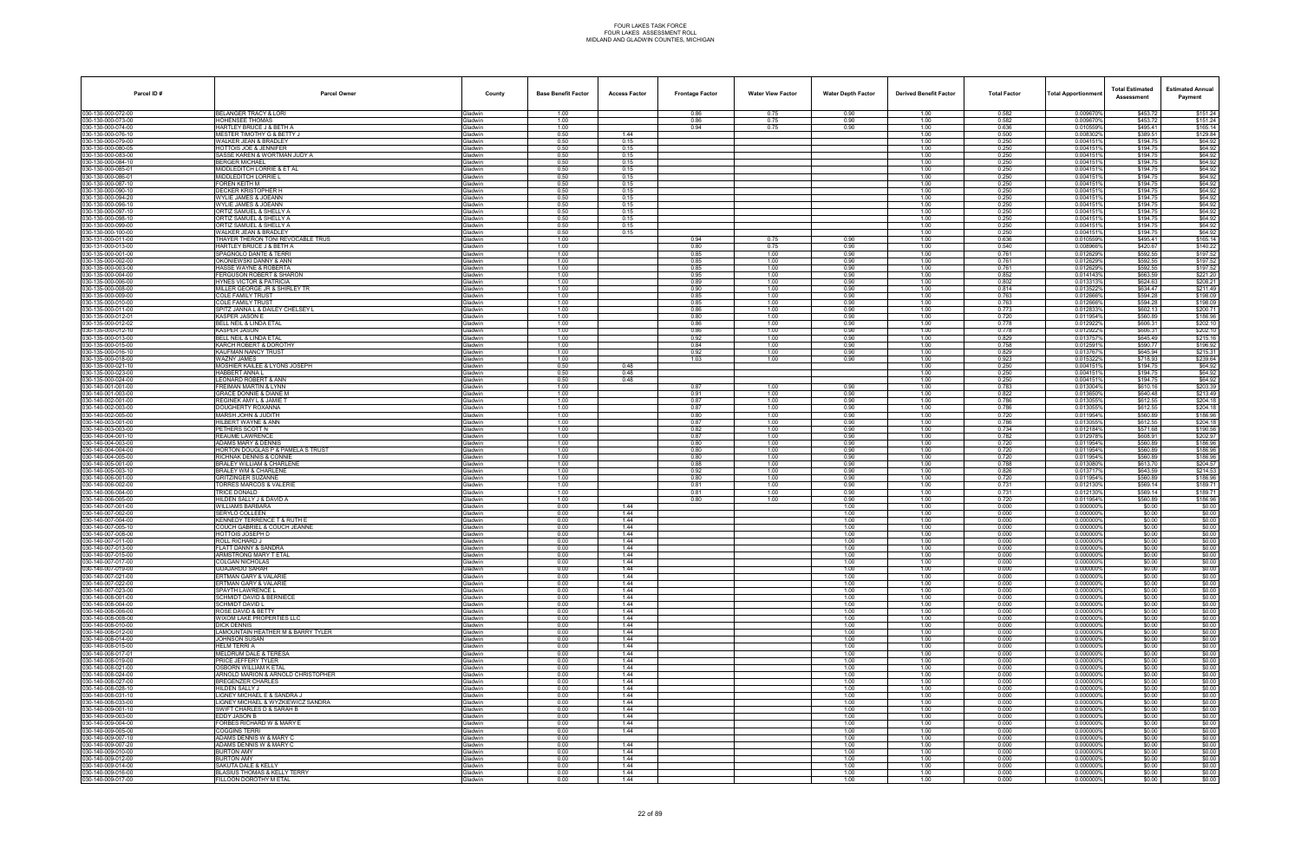| Parcel ID#                               | <b>Parcel Owner</b>                                               | County                           | <b>Base Benefit Factor</b> | <b>Access Factor</b> | <b>Frontage Factor</b> | <b>Water View Factor</b> | <b>Water Depth Factor</b> | <b>Derived Benefit Factor</b> | <b>Total Factor</b> | <b>Total Apportionmen</b> | <b>Total Estimated</b><br>Assessment | <b>Estimated Annual</b><br>Payment |
|------------------------------------------|-------------------------------------------------------------------|----------------------------------|----------------------------|----------------------|------------------------|--------------------------|---------------------------|-------------------------------|---------------------|---------------------------|--------------------------------------|------------------------------------|
| 030-130-000-072-00                       | BELANGER TRACY & LORI                                             | Gladwin                          | 1.00                       |                      | 0.86                   | 0.75                     | 0.90                      | 1.00                          | 0.582               | 0.009670%                 | \$453.72                             | \$151.24                           |
| 030-130-000-073-00                       | HOHENSEE THOMAS                                                   | <b>Gladwin</b>                   | 1.00                       |                      | 0.86                   | 0.75                     | 0.90                      | 1.00                          | 0.582               | 0.009670%                 | \$453.72                             | \$151.24                           |
| 030-130-000-074-00<br>030-130-000-076-10 | HARTLEY BRUCE J & BETH A<br><b>MESTER TIMOTHY G &amp; BETTY J</b> | ladwin<br><b>Sladwin</b>         | 1.00<br>0.50               | 1.44                 | 0.94                   | 0.75                     | 0.90                      | 1.00<br>1.00                  | 0.636<br>0.500      | 0.010559%<br>0.0083029    | \$495.41<br>\$389.51                 | \$165.14<br>\$129.84               |
| 030-130-000-079-00                       | WALKER JEAN & BRADLEY                                             | Gladwin                          | 0.50                       | 0.15                 |                        |                          |                           | 1.00                          | 0.250               | 0.0041519                 | \$194.75                             | \$64.92                            |
| 030-130-000-080-05                       | <b>HOTTOIS JOE &amp; JENNIFER</b>                                 | Gladwin                          | 0.50                       | 0.15                 |                        |                          |                           | 1.00                          | 0.250               | 0.0041519                 | \$194.75                             | \$64.92                            |
| 030-130-000-083-00                       | SASSE KAREN & WORTMAN JUDY A                                      | <b>Gladwin</b>                   | 0.50                       | 0.15                 |                        |                          |                           | 1.00                          | 0.250               | 0.0041519                 | \$194.75                             | \$64.92                            |
| 030-130-000-084-10                       | <b>BERGER MICHAEL</b><br>MIDDLEDITCH LORRIE & ET AL               | ladwin<br><b>Gladwin</b>         | 0.50                       | 0.15                 |                        |                          |                           | 1.00                          | 0.250               | 0.004151<br>0.0041519     | \$194.75<br>\$194.75                 | \$64.92<br>\$64.92                 |
| 030-130-000-085-01<br>030-130-000-086-01 | MIDDLEDITCH LORRIE L                                              | <b>Gladwin</b>                   | 0.50<br>0.50               | 0.15<br>0.15         |                        |                          |                           | 1.00<br>1.00                  | 0.250<br>0.250      | 0.004151                  | \$194.75                             | \$64.92                            |
| 030-130-000-087-10                       | FOREN KEITH M                                                     | Gladwin                          | 0.50                       | 0.15                 |                        |                          |                           | 1.00                          | 0.250               | 0.0041519                 | \$194.75                             | \$64.92                            |
| 030-130-000-090-10                       | <b>DECKER KRISTOPHER H</b>                                        | <b>Gladwin</b>                   | 0.50                       | 0.15                 |                        |                          |                           | 1.00                          | 0.250               | 0.0041519                 | \$194.75                             | \$64.92                            |
| 030-130-000-094-20                       | WYLIE JAMES & JOEANN                                              | <b>Gladwin</b>                   | 0.50                       | 0.15                 |                        |                          |                           | 1.00                          | 0.250               | 0.004151                  | \$194.75                             | \$64.92                            |
| 030-130-000-096-10<br>030-130-000-097-10 | WYLIE JAMES & JOEANN<br>ORTIZ SAMUEL & SHELLY A                   | <b>Gladwin</b><br><b>Gladwin</b> | 0.50<br>0.50               | 0.15<br>0.15         |                        |                          |                           | 1.00<br>1.00                  | 0.250<br>0.250      | 0.004151%<br>0.0041519    | \$194.75<br>\$194.75                 | \$64.92<br>\$64.92                 |
| 030-130-000-098-10                       | ORTIZ SAMUEL & SHELLY A                                           | Gladwin                          | 0.50                       | 0.15                 |                        |                          |                           | 1.00                          | 0.250               | 0.0041519                 | \$194.75                             | \$64.92                            |
| 030-130-000-099-00                       | ORTIZ SAMUEL & SHELLY A                                           | <b>Gladwin</b>                   | 0.50                       | 0.15                 |                        |                          |                           | 1.00                          | 0.250               | 0.0041519                 | \$194.75                             | \$64.92                            |
| 030-130-000-100-00                       | WALKER JEAN & BRADLEY                                             | 3ladwin                          | 0.50                       | 0.15                 |                        |                          |                           | 1.00                          | 0.250               | 0.004151                  | \$194.75                             | \$64.92                            |
| 030-131-000-011-00<br>030-131-000-013-00 | THAYER THERON TONI REVOCABLE TRUS<br>HARTLEY BRUCE J & BETH A     | <b>Gladwin</b><br><b>Gladwin</b> | 1.00<br>1.00               |                      | 0.94<br>0.80           | 0.75<br>0.75             | 0.90<br>0.90              | 1.00<br>1.00                  | 0.636<br>0.540      | 0.010559%<br>0.008966%    | \$495.41<br>\$420.67                 | \$165.14<br>\$140.22               |
| 030-135-000-001-00                       | SPAGNOLO DANTE & TERRI                                            | Gladwin                          | 1.00                       |                      | 0.85                   | 1.00                     | 0.90                      | 1.00                          | 0.761               | 0.012629%                 | \$592.55                             | \$197.52                           |
| 030-135-000-002-00                       | OKONIEWSKI DANNY & ANN                                            | <b>Gladwin</b>                   | 1.00                       |                      | 0.85                   | 1.00                     | 0.90                      | 1.00                          | 0.761               | 0.0126299                 | \$592.55                             | \$197.52                           |
| 030-135-000-003-00                       | HASSE WAYNE & ROBERTA                                             | <b>Gladwin</b>                   | 1.00                       |                      | 0.85                   | 1.00                     | 0.90                      | 1.00                          | 0.761               | 0.012629%                 | \$592.55                             | \$197.52                           |
| 030-135-000-004-00<br>030-135-000-006-00 | FERGUSON ROBERT & SHARON<br><b>HYNES VICTOR &amp; PATRICIA</b>    | Gladwin<br>Gladwin               | 1.00<br>1.00               |                      | 0.95<br>0.89           | 1.00<br>1.00             | 0.90<br>0.90              | 1.00<br>1.00                  | 0.852<br>0.802      | 0.014143%<br>0.0133139    | \$663.59<br>\$624.63                 | \$221.20<br>\$208.21               |
| 030-135-000-008-00                       | MILLER GEORGE JR & SHIRLEY TR                                     | Gladwin                          | 1.00                       |                      | 0.90                   | 1.00                     | 0.90                      | 1.00                          | 0.814               | 0.0135229                 | \$634.47                             | \$211.49                           |
| 030-135-000-009-00                       | <b>COLE FAMILY TRUST</b>                                          | Gladwin                          | 1.00                       |                      | 0.85                   | 1.00                     | 0.90                      | 1.00                          | 0.763               | 0.0126669                 | \$594.28                             | \$198.09                           |
| 030-135-000-010-00                       | COLE FAMILY TRUST                                                 | <b>Gladwin</b>                   | 1.00                       |                      | 0.85                   | 1.00                     | 0.90                      | 1.00                          | 0.763               | 0.0126669                 | \$594.28                             | \$198.09                           |
| 030-135-000-011-00                       | SPITZ JANNA L & DAILEY CHELSEY L                                  | Gladwin                          | 1.00                       |                      | 0.86                   | 1.00                     | 0.90                      | 1.00                          | 0.773               | 0.012833%                 | \$602.13                             | \$200.71                           |
| 030-135-000-012-01<br>030-135-000-012-02 | <b>KASPER JASON E</b><br>BELL NEIL & LINDA ETAL                   | Gladwin<br>Gladwin               | 1.00<br>1.00               |                      | 0.80<br>0.86           | 1.00<br>1.00             | 0.90<br>0.90              | 1.00<br>1.00                  | 0.720<br>0.778      | 0.011954%<br>0.0129229    | \$560.89<br>\$606.31                 | \$186.96<br>\$202.10               |
| 030-135-000-012-10                       | <b>KASPER JASON</b>                                               | Gladwin                          | 1.00                       |                      | 0.86                   | 1.00                     | 0.90                      | 1.00                          | 0.778               | 0.012922%                 | \$606.31                             | \$202.10                           |
| 030-135-000-013-00                       | BELL NEIL & LINDA ETAL                                            | <b>Gladwin</b>                   | 1.00                       |                      | 0.92                   | 1.00                     | 0.90                      | 1.00                          | 0.829               | 0.0137579                 | \$645.49                             | \$215.16                           |
| 030-135-000-015-00                       | KARCH ROBERT & DOROTHY                                            | Gladwin                          | 1.00                       |                      | 0.84                   | 1.00                     | 0.90                      | 1.00                          | 0.758               | 0.012591%                 | \$590.77                             | \$196.92                           |
| 030-135-000-016-10                       | KAUFMAN NANCY TRUST<br><b>WAZNY JAMES</b>                         | Gladwin                          | 1.00                       |                      | 0.92                   | 1.00                     | 0.90                      | 1.00                          | 0.829               | 0.013767%                 | \$645.94                             | \$215.31                           |
| 030-135-000-018-00<br>030-135-000-021-10 | MOSHIER KAILEE & LYONS JOSEPH                                     | Gladwin<br>Gladwin               | 1.00<br>0.50               | 0.48                 | 1.03                   | 1.00                     | 0.90                      | 1.00<br>1.00                  | 0.923<br>0.250      | 0.015322<br>0.0041519     | \$718.93<br>\$194.75                 | \$239.64<br>\$64.92                |
| 030-135-000-023-00                       | <b>HABBERT ANNAL</b>                                              | <b>Gladwin</b>                   | 0.50                       | 0.48                 |                        |                          |                           | 1.00                          | 0.250               | 0.0041519                 | \$194.75                             | \$64.92                            |
| 030-135-000-024-00                       | <b>LEONARD ROBERT &amp; ANN</b>                                   | <b>Gladwin</b>                   | 0.50                       | 0.48                 |                        |                          |                           | 1.00                          | 0.250               | 0.004151%                 | \$194.75                             | \$64.92                            |
| 030-140-001-001-00                       | <b>FREIMAN MARTIN &amp; LYNN</b>                                  | Gladwin                          | 1.00                       |                      | 0.87                   | 1.00                     | 0.90                      | 1.00                          | 0.783               | 0.013004%                 | \$610.16                             | \$203.39                           |
| 030-140-001-003-00<br>030-140-002-001-00 | GRACE DONNIE & DIANE M<br>REGINEK AMY L & JAMIE T                 | <b>Gladwin</b><br>Gladwin        | 1.00<br>1.00               |                      | 0.91<br>0.87           | 1.00<br>1.00             | 0.90<br>0.90              | 1.00<br>1.00                  | 0.822<br>0.786      | 0.013650%<br>0.013055%    | \$640.48<br>\$612.55                 | \$213.49<br>\$204.18               |
| 030-140-002-003-00                       | DOUGHERTY ROXANNA                                                 | <b>Gladwin</b>                   | 1.00                       |                      | 0.87                   | 1.00                     | 0.90                      | 1.00                          | 0.786               | 0.013055%                 | \$612.55                             | \$204.18                           |
| 030-140-002-005-00                       | MARSH JOHN & JUDITH                                               | <b>Gladwin</b>                   | 1.00                       |                      | 0.80                   | 1.00                     | 0.90                      | 1.00                          | 0.720               | 0.011954%                 | \$560.89                             | \$186.96                           |
| 030-140-003-001-00                       | HILBERT WAYNE & ANN                                               | Gladwin                          | 1.00                       |                      | 0.87                   | 1.00                     | 0.90                      | 1.00                          | 0.786               | 0.013055%                 | \$612.55                             | \$204.18                           |
| 030-140-003-003-00                       | PETHERS SCOTT N<br>REAUME LAWRENCE                                | Gladwin                          | 1.00<br>1.00               |                      | 0.82<br>0.87           | 1.00<br>1.00             | 0.90<br>0.90              | 1.00<br>1.00                  | 0.734<br>0.782      | 0.012184%<br>0.012978%    | \$571.68<br>\$608.91                 | \$190.56<br>\$202.97               |
| 030-140-004-001-10<br>030-140-004-003-00 | <b>ADAMS MARY &amp; DENNIS</b>                                    | Gladwin<br>ladwin                | 1.00                       |                      | 0.80                   | 1.00                     | 0.90                      | 1.00                          | 0.720               | 0.011954%                 | \$560.89                             | \$186.96                           |
| 030-140-004-004-00                       | HORTON DOUGLAS P & PAMELA S TRUST                                 | <b>Sladwin</b>                   | 1.00                       |                      | 0.80                   | 1.00                     | 0.90                      | 1.00                          | 0.720               | 0.011954%                 | \$560.89                             | \$186.96                           |
| 030-140-004-005-00                       | RICHNAK DENNIS & CONNIE                                           | Gladwin                          | 1.00                       |                      | 0.80                   | 1.00                     | 0.90                      | 1.00                          | 0.720               | 0.011954%                 | \$560.89                             | \$186.96                           |
| 030-140-005-001-00                       | <b>BRALEY WILLIAM &amp; CHARLENE</b>                              | Gladwin                          | 1.00                       |                      | 0.88                   | 1.00                     | 0.90                      | 1.00                          | 0.788               | 0.013080%                 | \$613.70                             | \$204.57                           |
| 030-140-005-003-10<br>030-140-006-001-00 | BRALEY WM & CHARLENE<br>GRITZINGER SUZANNE                        | <b>Gladwin</b><br><b>Gladwin</b> | 1.00<br>1.00               |                      | 0.92<br>0.80           | 1.00<br>1.00             | 0.90<br>0.90              | 1.00<br>1.00                  | 0.826<br>0.720      | 0.0137179<br>0.0119549    | \$643.59<br>\$560.89                 | \$214.53<br>\$186.96               |
| 030-140-006-002-00                       | TORRES MARCOS & VALERIE                                           | <b>Gladwin</b>                   | 1.00                       |                      | 0.81                   | 1.00                     | 0.90                      | 1.00                          | 0.731               | 0.012130%                 | \$569.14                             | \$189.71                           |
| 030-140-006-004-00                       | TRICE DONALD                                                      | Gladwin                          | 1.00                       |                      | 0.81                   | 1.00                     | 0.90                      | 1.00                          | 0.731               | 0.0121309                 | \$569.14                             | \$189.71                           |
| 030-140-006-005-00                       | HILDEN SALLY J & DAVID A                                          | Gladwin                          | 1.00                       |                      | 0.80                   | 1.00                     | 0.90                      | 1.00                          | 0.720               | 0.011954%                 | \$560.89                             | \$186.96                           |
| 030-140-007-001-00<br>030-140-007-002-00 | <b>WILLIAMS BARBARA</b><br>SERYLO COLLEEN                         | <b>Gladwin</b><br>3ladwin        | 0.00<br>0.00               | 1.44<br>1.44         |                        |                          | 1.00<br>1.00              | 1.00<br>1.00                  | 0.000<br>0.000      | 0.0000009<br>0.0000009    | \$0.00<br>\$0.00                     | \$0.00<br>\$0.00                   |
| 030-140-007-004-00                       | KENNEDY TERRENCE T & RUTH E                                       | <b>Gladwin</b>                   | 0.00                       | 1.44                 |                        |                          | 1.00                      | 1.00                          | 0.000               | 0.000000%                 | \$0.00                               | \$0.00                             |
| 030-140-007-005-10                       | COUCH GABRIEL & COUCH JEANNE                                      | <b>Gladwin</b>                   | 0.00                       | 1.44                 |                        |                          | 1.00                      | 1.00                          | 0.000               | 0.000000                  | \$0.00                               | \$0.00                             |
| 030-140-007-008-00                       | <b>HOTTOIS JOSEPH D</b>                                           | Gladwin                          | 0.00                       | 1.44                 |                        |                          | 1.00                      | 1.00                          | 0.000               | 0.000000%                 | \$0.00                               | \$0.00                             |
| 030-140-007-011-00<br>030-140-007-013-00 | <b>ROLL RICHARD J</b><br>FLATT DANNY & SANDRA                     | <b>Gladwin</b><br><b>Sladwin</b> | 0.00<br>0.00               | 1.44<br>1.44         |                        |                          | 1.00<br>1.00              | 1.00<br>1.00                  | 0.000<br>0.000      | 0.0000009<br>0.000000%    | \$0.00<br>\$0.00                     | \$0.00<br>\$0.00                   |
| 030-140-007-015-00                       | ARMSTRONG MARY T ETAL                                             | Gladwin                          | 0.00                       | 1.44                 |                        |                          | 1.00                      | 1.00                          | 0.000               | 0.000000%                 | \$0.00                               | \$0.00                             |
| 030-140-007-017-00                       | COLGAN NICHOLAS                                                   | <b>Gladwin</b>                   | 0.00                       | 1.44                 |                        |                          | 1.00                      | 1.00                          | 0.000               | 0.000000%                 | \$0.00                               | \$0.00                             |
| 030-140-007-019-00                       | GUAJARDO SARAH                                                    | Gladwin                          | 0.00                       | 1.44                 |                        |                          | 1.00                      | 1.00                          | 0.000               | 0.000000%                 | \$0.00                               | \$0.00                             |
| 030-140-007-021-00                       | ERTMAN GARY & VALARIE                                             | Gladwin                          | 0.00                       | 1.44                 |                        |                          | 1.00                      | 1.00                          | 0.000               | 0.0000009                 | \$0.00                               | \$0.00                             |
| 030-140-007-022-00<br>030-140-007-023-00 | ERTMAN GARY & VALARIE<br>SPAYTH LAWRENCE L                        | <b>Gladwin</b><br>Gladwin        | 0.00<br>0.00               | 1.44<br>1.44         |                        |                          | 1.00<br>1.00              | 1.00<br>1.00                  | 0.000<br>0.000      | 0.0000009<br>0.000000%    | \$0.00<br>\$0.00                     | \$0.00<br>\$0.00                   |
| 030-140-008-001-00                       | <b>SCHMIDT DAVID &amp; BERNIECE</b>                               | <b>Gladwin</b>                   | 0.00                       | 1.44                 |                        |                          | 1.00                      | 1.00                          | 0.000               | 0.000000%                 | \$0.00                               | \$0.00                             |
| 030-140-008-004-00                       | <b>SCHMIDT DAVID L</b>                                            | Gladwin                          | 0.00                       | 1.44                 |                        |                          | 1.00                      | 1.00                          | 0.000               | 0.000000%                 | \$0.00                               | \$0.00                             |
| 030-140-008-006-00                       | ROSE DAVID & BETTY                                                | Gladwin                          | 0.00                       | 1.44                 |                        |                          | 1.00                      | 1.00                          | 0.000               | 0.0000009                 | \$0.00                               | \$0.00                             |
| 030-140-008-008-00<br>030-140-008-010-00 | WIXOM LAKE PROPERTIES LLC<br><b>DICK DENNIS</b>                   | <b>Gladwin</b><br>Gladwin        | 0.00<br>0.00               | 1.44<br>1.44         |                        |                          | 1.00<br>1.00              | 1.00<br>1.00                  | 0.000<br>0.000      | 0.000000%<br>0.000000%    | \$0.00<br>\$0.00                     | \$0.00<br>\$0.00                   |
| 030-140-008-012-00                       | LAMOUNTAIN HEATHER M & BARRY TYLER                                | Gladwin                          | 0.00                       | 1.44                 |                        |                          | 1.00                      | 1.00                          | 0.000               | 0.000000%                 | \$0.00                               | \$0.00                             |
| 030-140-008-014-00                       | <b>JOHNSON SUSAN</b>                                              | Gladwin                          | 0.00                       | 1.44                 |                        |                          | 1.00                      | 1.00                          | 0.000               | 0.000000%                 | \$0.00                               | \$0.00                             |
| 030-140-008-015-00                       | <b>HELM TERRIA</b>                                                | Gladwin                          | 0.00                       | 1.44                 |                        |                          | 1.00                      | 1.00                          | 0.000               | 0.000000%                 | \$0.00                               | \$0.00                             |
| 030-140-008-017-01<br>030-140-008-019-00 | <b>MELDRUM DALE &amp; TERESA</b><br>PRICE JEFFERY TYLER           | <b>Sladwin</b><br>Gladwin        | 0.00<br>0.00               | 1.44<br>1.44         |                        |                          | 1.00<br>1.00              | 1.00<br>1.00                  | 0.000<br>0.000      | 0.000000%<br>0.000000%    | \$0.00<br>\$0.00                     | \$0.00<br>\$0.00                   |
| 030-140-008-021-00                       | <b>OSBORN WILLIAM K ETAL</b>                                      | Gladwin                          | 0.00                       | 1.44                 |                        |                          | 1.00                      | 1.00                          | 0.000               | 0.000000%                 | \$0.00                               | \$0.00                             |
| 030-140-008-024-00                       | ARNOLD MARION & ARNOLD CHRISTOPHER                                | Gladwin                          | 0.00                       | 1.44                 |                        |                          | 1.00                      | 1.00                          | 0.000               | 0.000000%                 | \$0.00                               | \$0.00                             |
| 030-140-008-027-00                       | BREGENZER CHARLES                                                 | Gladwin                          | 0.00                       | 1.44                 |                        |                          | 1.00                      | 1.00                          | 0.000               | 0.000000%                 | \$0.00                               | \$0.00                             |
| 030-140-008-028-10                       | HILDEN SALLY J                                                    | <b>Sladwin</b>                   | 0.00                       | 1.44                 |                        |                          | 1.00                      | 1.00                          | 0.000               | 0.000000%                 | \$0.00                               | \$0.00                             |
| 030-140-008-031-10<br>030-140-008-033-00 | LIGNEY MICHAEL E & SANDRA J<br>LIGNEY MICHAEL & WYZKIEWICZ SANDRA | Gladwin<br>Gladwin               | 0.00<br>0.00               | 1.44<br>1.44         |                        |                          | 1.00<br>1.00              | 1.00<br>1.00                  | 0.000<br>0.000      | 0.000000%<br>0.000000%    | \$0.00<br>\$0.00                     | \$0.00<br>\$0.00                   |
| 030-140-009-001-10                       | SWIFT CHARLES D & SARAH B                                         | Gladwin                          | 0.00                       | 1.44                 |                        |                          | 1.00                      | 1.00                          | 0.000               | 0.0000009                 | \$0.00                               | \$0.00                             |
| 030-140-009-003-00                       | EDDY JASON B                                                      | Gladwin                          | 0.00                       | 1.44                 |                        |                          | 1.00                      | 1.00                          | 0.000               | 0.000000%                 | \$0.00                               | \$0.00                             |
| 030-140-009-004-00                       | FORBES RICHARD W & MARY E                                         | <b>Sladwin</b>                   | 0.00                       | 1.44                 |                        |                          | 1.00                      | 1.00                          | 0.000               | 0.000000%                 | \$0.00                               | \$0.00                             |
| 030-140-009-005-00<br>030-140-009-007-10 | <b>COGGINS TERRI</b><br>ADAMS DENNIS W & MARY C                   | <b>Gladwin</b><br>Gladwin        | 0.00<br>0.00               | 1.44                 |                        |                          | 1.00<br>1.00              | 1.00<br>1.00                  | 0.000<br>0.000      | 0.000000%<br>0.000000%    | \$0.00<br>\$0.00                     | \$0.00<br>\$0.00                   |
| 030-140-009-007-20                       | ADAMS DENNIS W & MARY C                                           | Gladwin                          | 0.00                       | 1.44                 |                        |                          | 1.00                      | 1.00                          | 0.000               | 0.000000%                 | \$0.00                               | \$0.00                             |
| 030-140-009-010-00                       | <b>BURTON AMY</b>                                                 | Gladwin                          | 0.00                       | 1.44                 |                        |                          | 1.00                      | 1.00                          | 0.000               | 0.000000%                 | \$0.00                               | \$0.00                             |
| 030-140-009-012-00                       | <b>BURTON AMY</b>                                                 | <b>Gladwin</b>                   | 0.00                       | 1.44                 |                        |                          | 1.00                      | 1.00                          | 0.000               | 0.000000%                 | \$0.00                               | \$0.00                             |
| 030-140-009-014-00                       | SAKUTA DALE & KELLY                                               | <b>Gladwin</b>                   | 0.00                       | 1.44                 |                        |                          | 1.00                      | 1.00                          | 0.000               | 0.000000%                 | \$0.00                               | \$0.00                             |
| 030-140-009-016-00<br>030-140-009-017-00 | BLASIUS THOMAS & KELLY TERRY<br>FILLOON DOROTHY M ETAL            | Gladwin<br>Gladwin               | 0.00<br>0.00               | 1.44<br>1.44         |                        |                          | 1.00<br>1.00              | 1.00<br>1.00                  | 0.000<br>0.000      | 0.000000%<br>0.000000%    | \$0.00<br>\$0.00                     | \$0.00<br>\$0.00                   |
|                                          |                                                                   |                                  |                            |                      |                        |                          |                           |                               |                     |                           |                                      |                                    |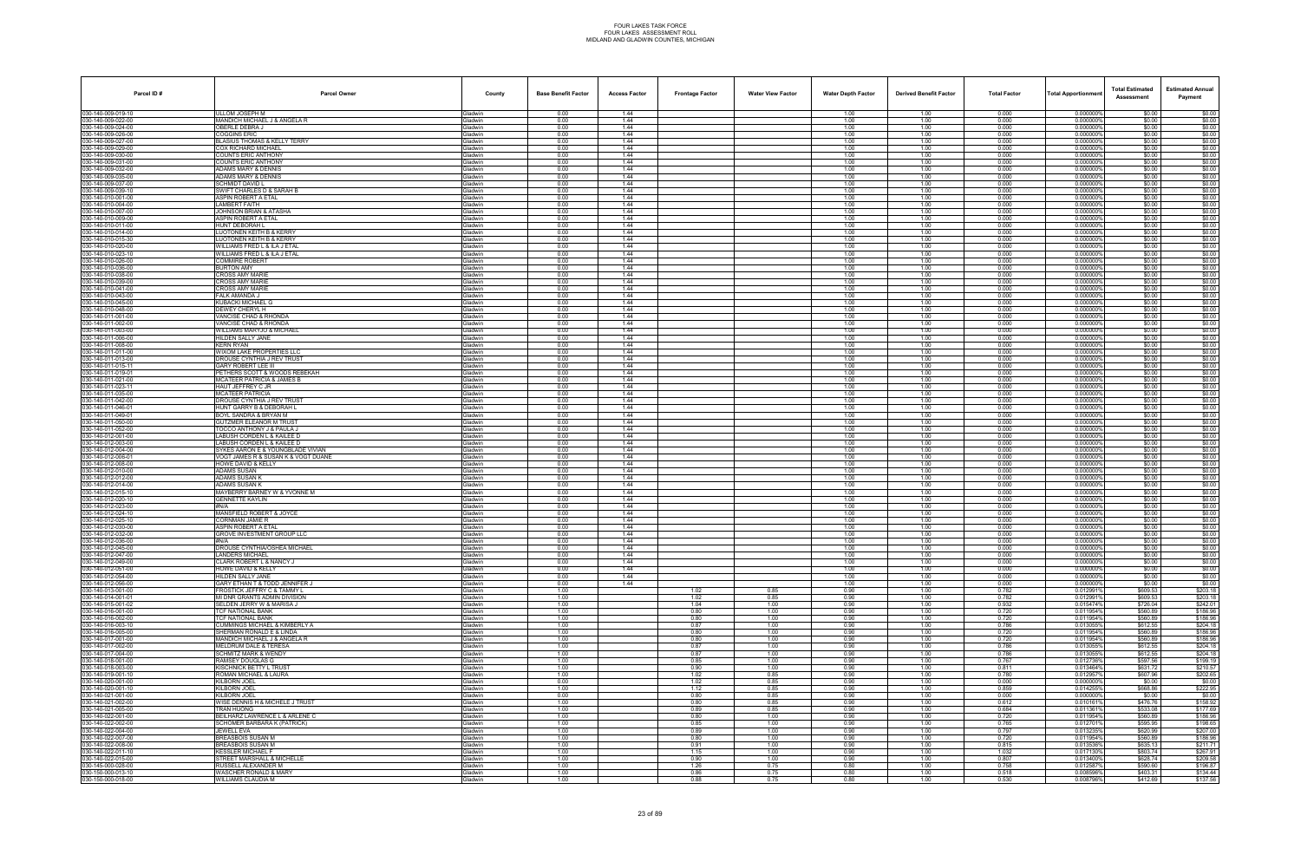| Parcel ID#                              | <b>Parcel Owner</b>                                                    | County                           | <b>Base Benefit Factor</b> | <b>Access Factor</b> | <b>Frontage Factor</b> | <b>Water View Factor</b> | <b>Water Depth Factor</b> | <b>Derived Benefit Factor</b> | <b>Total Factor</b> | <b>Total Apportionmen</b> | <b>Total Estimated</b><br>Assessment | <b>Estimated Annual</b><br>Payment |
|-----------------------------------------|------------------------------------------------------------------------|----------------------------------|----------------------------|----------------------|------------------------|--------------------------|---------------------------|-------------------------------|---------------------|---------------------------|--------------------------------------|------------------------------------|
| 030-140-009-019-10                      | ULLOM JOSEPH M                                                         | Gladwin                          | 0.00                       | 1.44                 |                        |                          | 1.00                      | 1.00                          | 0.000               | 0.000000%                 | \$0.00                               | \$0.00                             |
| 30-140-009-022-00                       | <b>MANDICH MICHAEL J &amp; ANGELA R</b>                                | <b>Gladwin</b>                   | 0.00                       | 1.44                 |                        |                          | 1.00                      | 1.00                          | 0.000               | 0.0000009                 | \$0.00                               | \$0.00                             |
| 30-140-009-024-00<br>30-140-009-026-00  | OBERLE DEBRA J<br>OGGINS ERIC                                          | <b>Gladwin</b><br><b>Gladwin</b> | 0.00<br>0.00               | 1.44<br>1.44         |                        |                          | 1.00<br>1.00              | 1.00<br>1.00                  | 0.000<br>0.000      | 0.000000'<br>0.000000%    | \$0.00<br>\$0.00                     | \$0.00<br>\$0.00                   |
| 30-140-009-027-00                       | <b>BLASIUS THOMAS &amp; KELLY TERRY</b>                                | <b>Gladwin</b>                   | 0.00                       | 1.44                 |                        |                          | 1.00                      | 1.00                          | 0.000               | 0.0000009                 | \$0.00                               | \$0.00                             |
| 30-140-009-029-00                       | COX RICHARD MICHAEL                                                    | Gladwin                          | 0.00                       | 1.44                 |                        |                          | 1.00                      | 1.00                          | 0.000               | 0.0000009                 | \$0.00                               | \$0.00                             |
| 30-140-009-030-00<br>30-140-009-031-00  | COUNTS ERIC ANTHONY<br>COUNTS ERIC ANTHONY                             | Gladwin<br>Gladwin               | 0.00<br>0.00               | 1.44<br>1.44         |                        |                          | 1.00<br>1.00              | 1.00<br>1.00                  | 0.000<br>0.000      | 0.0000009<br>0.000000     | \$0.00<br>\$0.00                     | \$0.00<br>\$0.00                   |
| 30-140-009-032-00                       | ADAMS MARY & DENNIS                                                    | <b>Gladwin</b>                   | 0.00                       | 1.44                 |                        |                          | 1.00                      | 1.00                          | 0.000               | 0.0000009                 | \$0.00                               | \$0.00                             |
| 30-140-009-035-00                       | ADAMS MARY & DENNIS                                                    | <b>Gladwin</b>                   | 0.00                       | 1.44                 |                        |                          | 1.00                      | 1.00                          | 0.000               | 0.0000009                 | \$0.00                               | \$0.00                             |
| 30-140-009-037-00<br>30-140-009-039-10  | SCHMIDT DAVID L<br>SWIFT CHARLES D & SARAH B                           | <b>Gladwin</b><br><b>Gladwin</b> | 0.00<br>0.00               | 1.44<br>1.44         |                        |                          | 1.00<br>1.00              | 1.00<br>1.00                  | 0.000<br>0.000      | 0.0000009<br>0.0000009    | \$0.00<br>\$0.00                     | \$0.00<br>\$0.00                   |
| 30-140-010-001-00                       | ASPIN ROBERT A ETAL                                                    | Gladwin                          | 0.00                       | 1.44                 |                        |                          | 1.00                      | 1.00                          | 0.000               | 0.000000'                 | \$0.00                               | \$0.00                             |
| 30-140-010-004-00                       | <b>AMBERT FAITH</b>                                                    | <b>Gladwin</b>                   | 0.00                       | 1.44                 |                        |                          | 1.00                      | 1.00                          | 0.000               | 0.000000%                 | \$0.00                               | \$0.00                             |
| 30-140-010-007-00                       | JOHNSON BRIAN & ATASHA                                                 | Gladwin                          | 0.00                       | 1.44                 |                        |                          | 1.00                      | 1.00                          | 0.000               | 0.0000009                 | \$0.00                               | \$0.00                             |
| 30-140-010-009-00<br>30-140-010-011-00  | ASPIN ROBERT A ETAL<br>HUNT DEBORAH L                                  | <b>Gladwin</b><br>Gladwin        | 0.00<br>0.00               | 1.44<br>1.44         |                        |                          | 1.00<br>1.00              | 1.00<br>1.00                  | 0.000<br>0.000      | 0.0000009<br>0.0000009    | \$0.00<br>\$0.00                     | \$0.00<br>\$0.00                   |
| 30-140-010-014-00                       | LUOTONEN KEITH B & KERRY                                               | <b>Gladwin</b>                   | 0.00                       | 1.44                 |                        |                          | 1.00                      | 1.00                          | 0.000               | 0.000000                  | \$0.00                               | \$0.00                             |
| 30-140-010-015-30                       | <b>UOTONEN KEITH B &amp; KERRY</b>                                     | <b>Gladwin</b>                   | 0.00                       | 1.44                 |                        |                          | 1.00                      | 1.00                          | 0.000               | 0.000000%                 | \$0.00                               | \$0.00                             |
| 30-140-010-020-00<br>30-140-010-023-10  | VILLIAMS FRED L & ILA J ETAL<br>WILLIAMS FRED L & ILA J ETAL           | <b>Gladwin</b><br><b>Gladwin</b> | 0.00<br>0.00               | 1.44<br>1.44         |                        |                          | 1.00<br>1.00              | 1.00<br>1.00                  | 0.000<br>0.000      | 0.000000%<br>0.000000     | \$0.00<br>\$0.00                     | \$0.00<br>\$0.00                   |
| 30-140-010-026-00                       | COMMIRE ROBERT                                                         | <b>Gladwin</b>                   | 0.00                       | 1.44                 |                        |                          | 1.00                      | 1.00                          | 0.000               | 0.0000009                 | \$0.00                               | \$0.00                             |
| 30-140-010-036-00                       | <b>BURTON AMY</b>                                                      | Gladwin                          | 0.00                       | 1.44                 |                        |                          | 1.00                      | 1.00                          | 0.000               | 0.0000009                 | \$0.00                               | \$0.00                             |
| 30-140-010-038-00                       | <b>CROSS AMY MARIE</b>                                                 | Gladwin                          | 0.00                       | 1.44                 |                        |                          | 1.00                      | 1.00                          | 0.000               | 0.000000%                 | \$0.00                               | \$0.00                             |
| 30-140-010-039-00<br>30-140-010-041-00  | <b>CROSS AMY MARIE</b><br>CROSS AMY MARIE                              | Gladwin<br><b>Gladwin</b>        | 0.00<br>0.00               | 1.44<br>1.44         |                        |                          | 1.00<br>1.00              | 1.00<br>1.00                  | 0.000<br>0.000      | 0.0000009<br>0.000000     | \$0.00<br>\$0.00                     | \$0.00<br>\$0.00                   |
| 30-140-010-043-00                       | FALK AMANDA J                                                          | Gladwin                          | 0.00                       | 1.44                 |                        |                          | 1.00                      | 1.00                          | 0.000               | 0.0000009                 | \$0.00                               | \$0.00                             |
| 80-140-010-045-00                       | KUBACKI MICHAEL G                                                      | <b>Gladwin</b>                   | 0.00                       | 1.44                 |                        |                          | 1.00                      | 1.00                          | 0.000               | 0.000000'                 | \$0.00                               | \$0.00                             |
| 30-140-010-048-00<br>30-140-011-001-00  | DEWEY CHERYL H<br>VANCISE CHAD & RHONDA                                | <b>Gladwin</b><br><b>Gladwin</b> | 0.00<br>0.00               | 1.44<br>1.44         |                        |                          | 1.00<br>1.00              | 1.00<br>1.00                  | 0.000<br>0.000      | 0.000000%<br>0.000000%    | \$0.00<br>\$0.00                     | \$0.00<br>\$0.00                   |
| 30-140-011-002-00                       | VANCISE CHAD & RHONDA                                                  | <b>Gladwin</b>                   | 0.00                       | 1.44                 |                        |                          | 1.00                      | 1.00                          | 0.000               | 0.000000                  | \$0.00                               | \$0.00                             |
| 30-140-011-003-00                       | WILLIAMS MARYJO & MICHAEL                                              | Gladwin                          | 0.00                       | 1.44                 |                        |                          | 1.00                      | 1.00                          | 0.000               | 0.000000%                 | \$0.00                               | \$0.00                             |
| 30-140-011-006-00                       | HILDEN SALLY JANE                                                      | <b>Gladwin</b>                   | 0.00                       | 1.44                 |                        |                          | 1.00                      | 1.00                          | 0.000               | 0.0000009                 | \$0.00                               | \$0.00                             |
| 30-140-011-008-00<br>30-140-011-011-00  | KERN RYAN<br><b>NIXOM LAKE PROPERTIES LLC</b>                          | Gladwin<br>Gladwin               | 0.00<br>0.00               | 1.44<br>1.44         |                        |                          | 1.00<br>1.00              | 1.00<br>1.00                  | 0.000<br>0.000      | 0.000000%<br>0.0000009    | \$0.00<br>\$0.00                     | \$0.00<br>\$0.00                   |
| 30-140-011-013-00                       | DROUSE CYNTHIA J REV TRUST                                             | <b>Gladwin</b>                   | 0.00                       | 1.44                 |                        |                          | 1.00                      | 1.00                          | 0.000               | 0.000000                  | \$0.00                               | \$0.00                             |
| 30-140-011-015-11                       | <b>GARY ROBERT LEE III</b>                                             | Gladwin                          | 0.00                       | 1.44                 |                        |                          | 1.00                      | 1.00                          | 0.000               | 0.0000009                 | \$0.00                               | \$0.00                             |
| 80-140-011-019-01<br>30-140-011-021-00  | PETHERS SCOTT & WOODS REBEKAH<br><b>MCATEER PATRICIA &amp; JAMES B</b> | <b>Gladwin</b><br><b>Gladwin</b> | 0.00<br>0.00               | 1.44<br>1.44         |                        |                          | 1.00<br>1.00              | 1.00<br>1.00                  | 0.000<br>0.000      | 0.000000'<br>0.000000%    | \$0.00<br>\$0.00                     | \$0.00<br>\$0.00                   |
| 30-140-011-023-11                       | HAUT JEFFREY C JR                                                      | <b>Gladwin</b>                   | 0.00                       | 1.44                 |                        |                          | 1.00                      | 1.00                          | 0.000               | 0.000000%                 | \$0.00                               | \$0.00                             |
| 30-140-011-035-00                       | MCATEER PATRICIA                                                       | <b>Gladwin</b>                   | 0.00                       | 1.44                 |                        |                          | 1.00                      | 1.00                          | 0.000               | 0.000000                  | \$0.00                               | \$0.00                             |
| 030-140-011-042-00                      | DROUSE CYNTHIA J REV TRUST                                             | Gladwin                          | 0.00                       | 1.44                 |                        |                          | 1.00                      | 1.00                          | 0.000               | 0.000000%                 | \$0.00                               | \$0.00                             |
| 30-140-011-046-01<br>30-140-011-049-01  | <b>HUNT GARRY B &amp; DEBORAH L</b><br>30YL SANDRA & BRYAN M           | <b>Gladwin</b><br>Gladwin        | 0.00<br>0.00               | 1.44<br>1.44         |                        |                          | 1.00<br>1.00              | 1.00<br>1.00                  | 0.000<br>0.000      | 0.0000009<br>0.000000%    | \$0.00<br>\$0.00                     | \$0.00<br>\$0.00                   |
| 30-140-011-050-00                       | <b>GUTZMER ELEANOR M TRUST</b>                                         | Gladwin                          | 0.00                       | 1.44                 |                        |                          | 1.00                      | 1.00                          | 0.000               | 0.0000009                 | \$0.00                               | \$0.00                             |
| 30-140-011-052-00                       | TOCCO ANTHONY J & PAULA J                                              | <b>Gladwin</b>                   | 0.00                       | 1.44                 |                        |                          | 1.00                      | 1.00                          | 0.000               | 0.000000                  | \$0.00                               | \$0.00                             |
| 30-140-012-001-00<br>80-140-012-003-00  | ABUSH CORDEN L & KAILEE D<br>ABUSH CORDEN L & KAILEE D                 | Gladwin<br><b>Gladwin</b>        | 0.00<br>0.00               | 1.44<br>1.44         |                        |                          | 1.00<br>1.00              | 1.00<br>1.00                  | 0.000<br>0.000      | 0.000000%<br>0.000000     | \$0.00<br>\$0.00                     | \$0.00<br>\$0.00                   |
| 30-140-012-004-00                       | SYKES AARON E & YOUNGBLADE VIVIAN                                      | <b>Gladwin</b>                   | 0.00                       | 1.44                 |                        |                          | 1.00                      | 1.00                          | 0.000               | 0.000000%                 | \$0.00                               | \$0.00                             |
| 30-140-012-006-01                       | VOGT JAMES R & SUSAN K & VOGT DUANE                                    | <b>Gladwin</b>                   | 0.00                       | 1.44                 |                        |                          | 1.00                      | 1.00                          | 0.000               | 0.000000%                 | \$0.00                               | \$0.00                             |
| 30-140-012-008-00                       | HOWE DAVID & KELLY                                                     | <b>Gladwin</b>                   | 0.00                       | 1.44                 |                        |                          | 1.00                      | 1.00                          | 0.000               | 0.000000                  | \$0.00                               | \$0.00                             |
| 030-140-012-010-00<br>30-140-012-012-00 | ADAMS SUSAN<br>ADAMS SUSAN K                                           | Gladwin<br>Gladwin               | 0.00<br>0.00               | 1.44<br>1.44         |                        |                          | 1.00<br>1.00              | 1.00<br>1.00                  | 0.000<br>0.000      | 0.000000%<br>0.0000009    | \$0.00<br>\$0.00                     | \$0.00<br>\$0.00                   |
| 30-140-012-014-00                       | ADAMS SUSAN K                                                          | Gladwin                          | 0.00                       | 1.44                 |                        |                          | 1.00                      | 1.00                          | 0.000               | 0.000000%                 | \$0.00                               | \$0.00                             |
| 30-140-012-015-10                       | MAYBERRY BARNEY W & YVONNE M                                           | Gladwin                          | 0.00                       | 1.44                 |                        |                          | 1.00                      | 1.00                          | 0.000               | 0.0000009                 | \$0.00                               | \$0.00                             |
| 30-140-012-020-10<br>30-140-012-023-00  | GENNETTE KAYLIN<br>#N/A                                                | Gladwin<br>Gladwin               | 0.00<br>0.00               | 1.44<br>1.44         |                        |                          | 1.00<br>1.00              | 1.00<br>1.00                  | 0.000<br>0.000      | 0.000000<br>0.000000%     | \$0.00<br>\$0.00                     | \$0.00<br>\$0.00                   |
| 30-140-012-024-10                       | <b>MANSFIELD ROBERT &amp; JOYCE</b>                                    | <b>Gladwin</b>                   | 0.00                       | 1.44                 |                        |                          | 1.00                      | 1.00                          | 0.000               | 0.000000                  | \$0.00                               | \$0.00                             |
| 30-140-012-025-10                       | ORNMAN JAMIE R                                                         | <b>Gladwin</b>                   | 0.00                       | 1.44                 |                        |                          | 1.00                      | 1.00                          | 0.000               | 0.000000%                 | \$0.00                               | \$0.00                             |
| 30-140-012-030-00                       | ASPIN ROBERT A ETAL                                                    | Gladwin                          | 0.00                       | 1.44                 |                        |                          | 1.00                      | 1.00                          | 0.000               | 0.0000009                 | \$0.00                               | \$0.00                             |
| 30-140-012-032-00<br>030-140-012-036-00 | GROVE INVESTMENT GROUP LLC<br>#N/A                                     | <b>Gladwin</b><br>Gladwin        | 0.00<br>0.00               | 1.44<br>1.44         |                        |                          | 1.00<br>1.00              | 1.00<br>1.00                  | 0.000<br>0.000      | 0.000000<br>0.000000%     | \$0.00<br>\$0.00                     | \$0.00<br>\$0.00                   |
| 030-140-012-045-00                      | DROUSE CYNTHIA/OSHEA MICHAEL                                           | <b>Gladwin</b>                   | 0.00                       | 1.44                 |                        |                          | 1.00                      | 1.00                          | 0.000               | 0.000000%                 | \$0.00                               | \$0.00                             |
| 030-140-012-047-00                      | ANDERS MICHAEL                                                         | Gladwin                          | 0.00                       | 1.44                 |                        |                          | 1.00                      | 1.00                          | 0.000               | 0.000000%                 | \$0.00                               | \$0.00                             |
| 030-140-012-049-00<br>30-140-012-051-00 | CLARK ROBERT L & NANCY J<br>HOWE DAVID & KELLY                         | Gladwin<br>Gladwin               | 0.00<br>0.00               | 1.44<br>1.44         |                        |                          | 1.00<br>1.00              | 1.00<br>1.00                  | 0.000<br>0.000      | 0.000000%<br>0.0000009    | \$0.00<br>\$0.00                     | \$0.00<br>\$0.00                   |
| 030-140-012-054-00                      | HILDEN SALLY JANE                                                      | Gladwin                          | 0.00                       | 1.44                 |                        |                          | 1.00                      | 1.00                          | 0.000               | 0.000000%                 | \$0.00                               | \$0.00                             |
| 30-140-012-056-00                       | <b>GARY ETHAN T &amp; TODD JENNIFER J</b>                              | Gladwin                          | 0.00                       | 1.44                 |                        |                          | 1.00                      | 1.00                          | 0.000               | 0.000000%                 | \$0.00                               | \$0.00                             |
| 30-140-013-001-00<br>30-140-014-001-01  | ROSTICK JEFFRY C & TAMMY L<br>MI DNR GRANTS ADMIN DIVISION             | Gladwin<br>Gladwin               | 1.00<br>1.00               |                      | 1.02<br>1.02           | 0.85<br>0.85             | 0.90<br>0.90              | 1.00<br>1.00                  | 0.782<br>0.782      | 0.012991%<br>0.012991%    | \$609.53<br>\$609.53                 | \$203.18<br>\$203.18               |
| 30-140-015-001-02                       | SELDEN JERRY W & MARISA J                                              | Gladwin                          | 1.00                       |                      | 1.04                   | 1.00                     | 0.90                      | 1.00                          | 0.932               | 0.015474%                 | \$726.04                             | \$242.01                           |
| 030-140-016-001-00                      | <b>TCF NATIONAL BANK</b>                                               | Gladwin                          | 1.00                       |                      | 0.80                   | 1.00                     | 0.90                      | 1.00                          | 0.720               | 0.011954%                 | \$560.89                             | \$186.96                           |
| 30-140-016-002-00                       | TCF NATIONAL BANK                                                      | Gladwin                          | 1.00                       |                      | 0.80                   | 1.00                     | 0.90                      | 1.00                          | 0.720               | 0.011954%                 | \$560.89                             | \$186.96                           |
| 30-140-016-003-10<br>030-140-016-005-00 | CUMMINGS MICHAEL & KIMBERLY A<br>SHERMAN RONALD E & LINDA              | Gladwin<br>Gladwin               | 1.00<br>1.00               |                      | 0.87<br>0.80           | 1.00<br>1.00             | 0.90<br>0.90              | 1.00<br>1.00                  | 0.786<br>0.720      | 0.013055%<br>0.011954%    | \$612.55<br>\$560.89                 | \$204.18<br>\$186.96               |
| 30-140-017-001-00                       | MANDICH MICHAEL J & ANGELA R                                           | Gladwin                          | 1.00                       |                      | 0.80                   | 1.00                     | 0.90                      | 1.00                          | 0.720               | 0.011954%                 | \$560.89                             | \$186.96                           |
| 030-140-017-002-00                      | MELDRUM DALE & TERESA                                                  | Gladwin                          | 1.00                       |                      | 0.87                   | 1.00                     | 0.90                      | 1.00                          | 0.786               | 0.013055%                 | \$612.55                             | \$204.18                           |
| 30-140-017-004-00<br>30-140-018-001-00  | <b>SCHMITZ MARK &amp; WENDY</b><br>RAMSEY DOUGLAS G                    | Gladwin<br>Gladwin               | 1.00<br>1.00               |                      | 0.87<br>0.85           | 1.00<br>1.00             | 0.90<br>0.90              | 1.00<br>1.00                  | 0.786<br>0.767      | 0.013055%<br>0.012736%    | \$612.55<br>\$597.56                 | \$204.18<br>\$199.19               |
| 030-140-018-003-00                      | KISCHNICK BETTY L TRUST                                                | Gladwin                          | 1.00                       |                      | 0.90                   | 1.00                     | 0.90                      | 1.00                          | 0.811               | 0.013464%                 | \$631.72                             | \$210.57                           |
| 30-140-019-001-10                       | ROMAN MICHAEL & LAURA                                                  | Gladwin                          | 1.00                       |                      | 1.02                   | 0.85                     | 0.90                      | 1.00                          | 0.780               | 0.012957%                 | \$607.96                             | \$202.65                           |
| 030-140-020-001-00                      | KILBORN JOEL                                                           | Gladwin                          | 0.00                       |                      | 1.02                   | 0.85                     | 0.90                      | 1.00                          | 0.000               | 0.000000%                 | \$0.00                               | \$0.00                             |
| 30-140-020-001-10<br>30-140-021-001-00  | KILBORN JOEL<br>KILBORN JOEL                                           | Gladwin<br>Gladwin               | 1.00<br>0.00               |                      | 1.12<br>0.80           | 0.85<br>0.85             | 0.90<br>0.90              | 1.00<br>1.00                  | 0.859<br>0.000      | 0.014255%<br>0.000000%    | \$668.86<br>\$0.00                   | \$222.95<br>\$0.00                 |
| 130-140-021-002-00                      | WISE DENNIS H & MICHELE J TRUST                                        | Gladwin                          | 1.00                       |                      | 0.80                   | 0.85                     | 0.90                      | 1.00                          | 0.612               | 0.010161%                 | \$476.76                             | \$158.92                           |
| 30-140-021-005-00                       | TRAN HUONG                                                             | Gladwin                          | 1.00                       |                      | 0.89                   | 0.85                     | 0.90                      | 1.00                          | 0.684               | 0.011361%                 | \$533.08                             | \$177.69                           |
| 030-140-022-001-00<br>30-140-022-002-00 | BEILHARZ LAWRENCE L & ARLENE C<br><b>SCHOMER BARBARA K (PATRICK)</b>   | Gladwin<br>Gladwin               | 1.00<br>1.00               |                      | 0.80<br>0.85           | 1.00<br>1.00             | 0.90<br>0.90              | 1.00<br>1.00                  | 0.720<br>0.765      | 0.011954%<br>0.0127019    | \$560.89<br>\$595.95                 | \$186.96<br>\$198.65               |
| 30-140-022-004-00                       | JEWELL EVA                                                             | <b>Gladwin</b>                   | 1.00                       |                      | 0.89                   | 1.00                     | 0.90                      | 1.00                          | 0.797               | 0.013235%                 | \$620.99                             | \$207.00                           |
| 30-140-022-007-00                       | BREASBOIS SUSAN M                                                      | Gladwin                          | 1.00                       |                      | 0.80                   | 1.00                     | 0.90                      | 1.00                          | 0.720               | 0.011954%                 | \$560.89                             | \$186.96                           |
| 30-140-022-008-00                       | BREASBOIS SUSAN M                                                      | Gladwin                          | 1.00                       |                      | 0.91                   | 1.00                     | 0.90                      | 1.00                          | 0.815               | 0.013536%                 | \$635.13                             | \$211.71                           |
| 030-140-022-011-10<br>30-140-022-015-00 | <b>KESSLER MICHAEL F</b><br>STREET MARSHALL & MICHELLE                 | Gladwin<br>Gladwin               | 1.00<br>1.00               |                      | 1.15<br>0.90           | 1.00<br>1.00             | 0.90<br>0.90              | 1.00<br>1.00                  | 1.032<br>0.807      | 0.017130%<br>0.013400%    | \$803.74<br>\$628.74                 | \$267.91<br>\$209.58               |
| 30-145-000-028-00                       | RUSSELL ALEXANDER M                                                    | <b>Gladwin</b>                   | 1.00                       |                      | 1.26                   | 0.75                     | 0.80                      | 1.00                          | 0.758               | 0.012587%                 | \$590.60                             | \$196.87                           |
| 030-150-000-013-10                      | WASCHER RONALD & MARY                                                  | Gladwin                          | 1.00                       |                      | 0.86                   | 0.75                     | 0.80                      | 1.00                          | 0.518               | 0.008596%                 | \$403.31                             | \$134.44                           |
| 030-150-000-018-00                      | WILLIAMS CLAUDIA M                                                     | Gladwin                          | 1.00                       |                      | 0.88                   | 0.75                     | 0.80                      | 1.00                          | 0.530               | 0.008796%                 | \$412.69                             | \$137.56                           |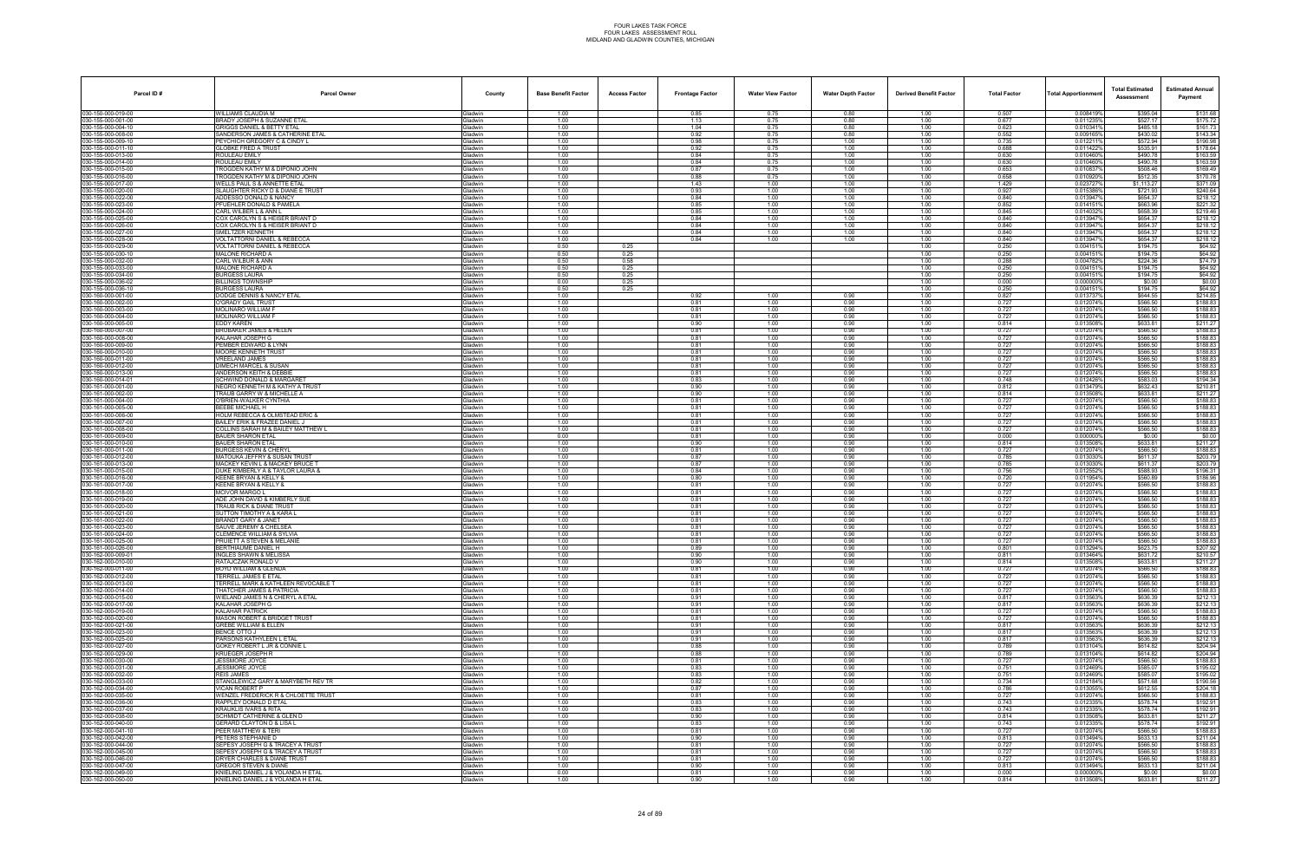| Parcel ID#                               | <b>Parcel Owner</b>                                                      | County                    | <b>Base Benefit Factor</b> | <b>Access Factor</b> | <b>Frontage Factor</b> | <b>Water View Factor</b> | <b>Water Depth Factor</b> | <b>Derived Benefit Factor</b> | <b>Total Factor</b> | Total Apportionmen     | <b>Total Estimated</b><br>Assessment | <b>Estimated Annual</b><br>Payment |
|------------------------------------------|--------------------------------------------------------------------------|---------------------------|----------------------------|----------------------|------------------------|--------------------------|---------------------------|-------------------------------|---------------------|------------------------|--------------------------------------|------------------------------------|
| 030-150-000-019-00                       | WILLIAMS CLAUDIA M                                                       | Gladwin                   | 1.00                       |                      | 0.85                   | 0.75                     | 0.80                      | 1.00                          | 0.507               | 0.008419%              | \$395.04                             | \$131.68                           |
| 030-155-000-001-00                       | BRADY JOSEPH & SUZANNE ETAL                                              | Gladwin                   | 1.00                       |                      | 1.13                   | 0.75                     | 0.80                      | 1.00                          | 0.677               | 0.011235%              | \$527.17                             | \$175.72                           |
| 030-155-000-004-10<br>030-155-000-008-00 | GRIGGS DANIEL & BETTY ETAL<br>SANDERSON JAMES & CATHERINE ETAL           | <b>Gladwin</b><br>Gladwin | 1.00<br>1.00               |                      | 1.04<br>0.92           | 0.75<br>0.75             | 0.80<br>0.80              | 1.00<br>1.00                  | 0.623<br>0.552      | 0.0103419<br>0.009165% | \$485.18<br>\$430.02                 | \$161.73<br>\$143.34               |
| 030-155-000-009-10                       | PEYCHICH GREGORY C & CINDY L                                             | Gladwin                   | 1.00                       |                      | 0.98                   | 0.75                     | 1.00                      | 1.00                          | 0.735               | 0.0122119              | \$572.94                             | \$190.98                           |
| 030-155-000-011-10                       | <b>GLOBKE FRED A TRUST</b>                                               | Gladwin                   | 1.00                       |                      | 0.92                   | 0.75                     | 1.00                      | 1.00                          | 0.688               | 0.011422               | \$535.91                             | \$178.64                           |
| 030-155-000-013-00<br>030-155-000-014-00 | ROULEAU EMILY<br>ROULEAU EMILY                                           | Gladwin<br>Gladwin        | 1.00<br>1.00               |                      | 0.84<br>0.84           | 0.75<br>0.75             | 1.00<br>1.00              | 1.00<br>1.00                  | 0.630<br>0.630      | 0.010460%<br>0.010460% | \$490.78<br>\$490.78                 | \$163.59<br>\$163.59               |
| 030-155-000-015-00                       | TROGDEN KATHY M & DIPONIO JOHN                                           | Gladwin                   | 1.00                       |                      | 0.87                   | 0.75                     | 1.00                      | 1.00                          | 0.653               | 0.0108379              | \$508.46                             | \$169.49                           |
| 030-155-000-016-00                       | TROGDEN KATHY M & DIPONIO JOHN                                           | Gladwin                   | 1.00                       |                      | 0.88                   | 0.75                     | 1.00                      | 1.00                          | 0.658               | 0.0109209              | \$512.35                             | \$170.78                           |
| 030-155-000-017-00<br>030-155-000-020-00 | WELLS PAUL S & ANNETTE ETAL<br>SLAUGHTER RICKY D & DIANE E TRUST         | Gladwin<br>Gladwin        | 1.00<br>1.00               |                      | 1.43<br>0.93           | 1.00<br>1.00             | 1.00<br>1.00              | 1.00<br>1.00                  | 1.429<br>0.927      | 0.0237279<br>0.015386% | \$1,113.27<br>\$721.93               | \$371.09<br>\$240.64               |
| 030-155-000-022-00                       | ADDESSO DONALD & NANCY                                                   | Gladwin                   | 1.00                       |                      | 0.84                   | 1.00                     | 1.00                      | 1.00                          | 0.840               | 0.013947%              | \$654.37                             | \$218.12                           |
| 030-155-000-023-00                       | PFUEHLER DONALD & PAMELA                                                 | Gladwin                   | 1.00                       |                      | 0.85                   | 1.00                     | 1.00                      | 1.00                          | 0.852               | 0.0141519              | \$663.96                             | \$221.32                           |
| 030-155-000-024-00                       | CARL WILBER L & ANN L                                                    | Gladwin                   | 1.00                       |                      | 0.85                   | 1.00                     | 1.00                      | 1.00                          | 0.845               | 0.0140329              | \$658.39                             | \$219.46                           |
| 030-155-000-025-00<br>030-155-000-026-00 | COX CAROLYN S & HEISER BRIANT D<br>COX CAROLYN S & HEISER BRIANT D       | Gladwin<br>Gladwin        | 1.00<br>1.00               |                      | 0.84<br>0.84           | 1.00<br>1.00             | 1.00<br>1.00              | 1.00<br>1.00                  | 0.840<br>0.840      | 0.013947%<br>0.013947% | \$654.37<br>\$654.37                 | \$218.12<br>\$218.12               |
| 030-155-000-027-00                       | SMELTZER KENNETH                                                         | Gladwin                   | 1.00                       |                      | 0.84                   | 1.00                     | 1.00                      | 1.00                          | 0.840               | 0.0139479              | \$654.37                             | \$218.12                           |
| 030-155-000-028-00                       | VOLTATTORNI DANIEL & REBECCA                                             | Gladwin                   | 1.00                       |                      | 0.84                   | 1.00                     | 1.00                      | 1.00                          | 0.840               | 0.0139479              | \$654.37                             | \$218.12                           |
| 030-155-000-029-00<br>030-155-000-030-10 | VOLTATTORNI DANIEL & REBECCA<br>MALONE RICHARD A                         | Gladwin<br>Gladwin        | 0.50<br>0.50               | 0.25<br>0.25         |                        |                          |                           | 1.00<br>1.00                  | 0.250<br>0.250      | 0.0041519<br>0.0041519 | \$194.75<br>\$194.75                 | \$64.92<br>\$64.92                 |
| 030-155-000-032-00                       | CARL WILBUR & ANN                                                        | Gladwin                   | 0.50                       | 0.58                 |                        |                          |                           | 1.00                          | 0.288               | 0.004782%              | \$224.36                             | \$74.79                            |
| 030-155-000-033-00                       | MALONE RICHARD A                                                         | Gladwin                   | 0.50                       | 0.25                 |                        |                          |                           | 1.00                          | 0.250               | 0.004151               | \$194.75                             | \$64.92                            |
| 030-155-000-034-00                       | <b>BURGESS LAURA</b>                                                     | Gladwin                   | 0.50                       | 0.25                 |                        |                          |                           | 1.00                          | 0.250               | 0.0041519              | \$194.75                             | \$64.92                            |
| 030-155-000-036-02<br>030-155-000-036-10 | <b>BILLINGS TOWNSHIP</b><br><b>BURGESS LAURA</b>                         | Gladwin<br>Gladwin        | 0.00<br>0.50               | 0.25<br>0.25         |                        |                          |                           | 1.00<br>1.00                  | 0.000<br>0.250      | 0.000000<br>0.0041519  | \$0.00<br>\$194.75                   | \$0.00<br>\$64.92                  |
| 030-160-000-001-00                       | DODGE DENNIS & NANCY ETAL                                                | Gladwin                   | 1.00                       |                      | 0.92                   | 1.00                     | 0.90                      | 1.00                          | 0.827               | 0.0137379              | \$644.55                             | \$214.85                           |
| 030-160-000-002-00                       | O'GRADY GAIL TRUST                                                       | <b>Gladwin</b>            | 1.00                       |                      | 0.81                   | 1.00                     | 0.90                      | 1.00                          | 0.727               | 0.012074%              | \$566.50                             | \$188.83                           |
| 030-160-000-003-00                       | <b>MOLINARO WILLIAM F</b>                                                | Gladwin                   | 1.00                       |                      | 0.81                   | 1.00                     | 0.90                      | 1.00                          | 0.727               | 0.012074%              | \$566.50                             | \$188.83                           |
| 030-160-000-004-00<br>030-160-000-005-00 | <b>MOLINARO WILLIAM F</b><br>EDDY KAREN                                  | Gladwin<br>Gladwin        | 1.00<br>1.00               |                      | 0.81<br>0.90           | 1.00<br>1.00             | 0.90<br>0.90              | 1.00<br>1.00                  | 0.727<br>0.814      | 0.012074%<br>0.013508% | \$566.50<br>\$633.81                 | \$188.83<br>\$211.27               |
| 030-160-000-007-00                       | BRUBAKER JAMES & HELEN                                                   | Gladwin                   | 1.00                       |                      | 0.81                   | 1.00                     | 0.90                      | 1.00                          | 0.727               | 0.012074%              | \$566.50                             | \$188.83                           |
| 030-160-000-008-00                       | KALAHAR JOSEPH G                                                         | Gladwin                   | 1.00                       |                      | 0.81                   | 1.00                     | 0.90                      | 1.00                          | 0.727               | 0.012074%              | \$566.50                             | \$188.83                           |
| 030-160-000-009-00                       | PEMBER EDWARD & LYNN                                                     | Gladwin                   | 1.00                       |                      | 0.81                   | 1.00                     | 0.90                      | 1.00                          | 0.727               | 0.012074%              | \$566.50                             | \$188.83                           |
| 030-160-000-010-00<br>030-160-000-011-00 | <b>MOORE KENNETH TRUST</b><br><b>VREELAND JAMES</b>                      | Gladwin<br>Gladwin        | 1.00<br>1.00               |                      | 0.81<br>0.81           | 1.00<br>1.00             | 0.90<br>0.90              | 1.00<br>1.00                  | 0.727<br>0.727      | 0.012074%<br>0.012074% | \$566.50<br>\$566.50                 | \$188.83<br>\$188.83               |
| 030-160-000-012-00                       | DIMECH MARCEL & SUSAN                                                    | Gladwin                   | 1.00                       |                      | 0.81                   | 1.00                     | 0.90                      | 1.00                          | 0.727               | 0.012074%              | \$566.50                             | \$188.83                           |
| 030-160-000-013-00                       | ANDERSON KEITH & DEBBIE                                                  | <b>Gladwin</b>            | 1.00                       |                      | 0.81                   | 1.00                     | 0.90                      | 1.00                          | 0.727               | 0.012074%              | \$566.50                             | \$188.83                           |
| 030-160-000-014-01                       | SCHWIND DONALD & MARGARET<br>NEGRO KENNETH M & KATHY A TRUST             | Gladwin                   | 1.00                       |                      | 0.83                   | 1.00                     | 0.90                      | 1.00                          | 0.748<br>0.812      | 0.012426%              | \$583.03                             | \$194.34<br>\$210.81               |
| 030-161-000-001-00<br>030-161-000-002-00 | TRAUB GARRY W & MICHELLE A                                               | Gladwin<br>Gladwin        | 1.00<br>1.00               |                      | 0.90<br>0.90           | 1.00<br>1.00             | 0.90<br>0.90              | 1.00<br>1.00                  | 0.814               | 0.013479%<br>0.013508% | \$632.43<br>\$633.81                 | \$211.27                           |
| 030-161-000-004-00                       | O'BRIEN-WALKER CYNTHIA                                                   | Gladwin                   | 1.00                       |                      | 0.81                   | 1.00                     | 0.90                      | 1.00                          | 0.727               | 0.012074%              | \$566.50                             | \$188.83                           |
| 030-161-000-005-00                       | BEEBE MICHAEL H                                                          | Gladwin                   | 1.00                       |                      | 0.81                   | 1.00                     | 0.90                      | 1.00                          | 0.727               | 0.012074%              | \$566.50                             | \$188.83                           |
| 030-161-000-006-00<br>030-161-000-007-00 | HOLM REBECCA & OLMSTEAD ERIC &<br>BAILEY ERIK & FRAZEE DANIEL J          | Gladwin<br>Gladwin        | 1.00<br>1.00               |                      | 0.81<br>0.81           | 1.00<br>1.00             | 0.90<br>0.90              | 1.00<br>1.00                  | 0.727<br>0.727      | 0.012074%<br>0.012074% | \$566.50<br>\$566.50                 | \$188.83<br>\$188.83               |
| 030-161-000-008-00                       | COLLINS SARAH M & BAILEY MATTHEW L                                       | Gladwin                   | 1.00                       |                      | 0.81                   | 1.00                     | 0.90                      | 1.00                          | 0.727               | 0.012074%              | \$566.50                             | \$188.83                           |
| 030-161-000-009-00                       | <b>BAUER SHARON ETAL</b>                                                 | Gladwin                   | 0.00                       |                      | 0.81                   | 1.00                     | 0.90                      | 1.00                          | 0.000               | 0.0000009              | \$0.00                               | \$0.00                             |
| 030-161-000-010-00                       | <b>BAUER SHARON ETAL</b>                                                 | <b>Gladwin</b>            | 1.00                       |                      | 0.90                   | 1.00                     | 0.90                      | 1.00                          | 0.814               | 0.013508%              | \$633.81                             | \$211.27                           |
| 030-161-000-011-00<br>030-161-000-012-00 | <b>BURGESS KEVIN &amp; CHERYL</b><br>MATOUKA JEFFRY & SUSAN TRUST        | Gladwin<br>Gladwin        | 1.00<br>1.00               |                      | 0.81<br>0.87           | 1.00<br>1.00             | 0.90<br>0.90              | 1.00<br>1.00                  | 0.727<br>0.785      | 0.012074%<br>0.0130309 | \$566.50<br>\$611.37                 | \$188.83<br>\$203.79               |
| 030-161-000-013-00                       | MACKEY KEVIN L & MACKEY BRUCE T                                          | Gladwin                   | 1.00                       |                      | 0.87                   | 1.00                     | 0.90                      | 1.00                          | 0.785               | 0.013030%              | \$611.37                             | \$203.79                           |
| 030-161-000-015-00                       | DUKE KIMBERLY A & TAYLOR LAURA &                                         | Gladwin                   | 1.00                       |                      | 0.84                   | 1.00                     | 0.90                      | 1.00                          | 0.756               | 0.0125529              | \$588.93                             | \$196.31                           |
| 030-161-000-016-00<br>030-161-000-017-00 | KEENE BRYAN & KELLY &<br>KEENE BRYAN & KELLY &                           | Gladwin<br>Gladwin        | 1.00<br>1.00               |                      | 0.80<br>0.81           | 1.00<br>1.00             | 0.90<br>0.90              | 1.00<br>1.00                  | 0.720<br>0.727      | 0.011954%<br>0.012074% | \$560.89<br>\$566.50                 | \$186.96<br>\$188.83               |
| 030-161-000-018-00                       | <b>MCIVOR MARGO L</b>                                                    | Gladwin                   | 1.00                       |                      | 0.81                   | 1.00                     | 0.90                      | 1.00                          | 0.727               | 0.012074%              | \$566.50                             | \$188.83                           |
| 030-161-000-019-00                       | ADE JOHN DAVID & KIMBERLY SUE                                            | Gladwin                   | 1.00                       |                      | 0.81                   | 1.00                     | 0.90                      | 1.00                          | 0.727               | 0.012074%              | \$566.50                             | \$188.83                           |
| 030-161-000-020-00                       | TRAUB RICK & DIANE TRUST                                                 | Gladwin                   | 1.00                       |                      | 0.81                   | 1.00                     | 0.90                      | 1.00                          | 0.727               | 0.012074%              | \$566.50                             | \$188.83                           |
| 030-161-000-021-00<br>030-161-000-022-00 | <b>SUTTON TIMOTHY A &amp; KARA L</b><br>BRANDT GARY & JANET              | <b>Gladwin</b><br>Gladwin | 1.00<br>1.00               |                      | 0.81<br>0.81           | 1.00<br>1.00             | 0.90<br>0.90              | 1.00<br>1.00                  | 0.727<br>0.727      | 0.012074%<br>0.012074% | \$566.50<br>\$566.50                 | \$188.83<br>\$188.83               |
| 030-161-000-023-00                       | SAUVE JEREMY & CHELSEA                                                   | Gladwin                   | 1.00                       |                      | 0.81                   | 1.00                     | 0.90                      | 1.00                          | 0.727               | 0.012074%              | \$566.50                             | \$188.83                           |
| 030-161-000-024-00                       | <b>CLEMENCE WILLIAM &amp; SYLVIA</b>                                     | Gladwin                   | 1.00                       |                      | 0.81                   | 1.00                     | 0.90                      | 1.00                          | 0.727               | 0.012074%              | \$566.50                             | \$188.83                           |
| 030-161-000-025-00<br>030-161-000-026-00 | PRUIETT A STEVEN & MELANIE<br>BERTHIAUME DANIEL H                        | Gladwin<br>Gladwin        | 1.00<br>1.00               |                      | 0.81                   | 1.00<br>1.00             | 0.90<br>0.90              | 1.00<br>1.00                  | 0.727<br>0.801      | 0.012074%<br>0.013294% | \$566.50<br>\$623.75                 | \$188.83<br>\$207.92               |
| 030-162-000-009-01                       | <b>INGLES SHAWN &amp; MELISSA</b>                                        | Gladwin                   | 1.00                       |                      | 0.89<br>0.90           | 1.00                     | 0.90                      | 1.00                          | 0.811               | 0.013464%              | \$631.72                             | \$210.57                           |
| 030-162-000-010-00                       | RATAJCZAK RONALD V                                                       | Gladwin                   | 1.00                       |                      | 0.90                   | 1.00                     | 0.90                      | 1.00                          | 0.814               | 0.013508%              | \$633.81                             | \$211.27                           |
| 030-162-000-011-00                       | BOYD WILLIAM & GLENDA                                                    | Gladwin                   | 1.00                       |                      | 0.81                   | 1.00                     | 0.90                      | 1.00                          | 0.727               | 0.012074%              | \$566.50                             | \$188.83                           |
| 030-162-000-012-00<br>030-162-000-013-00 | TERRELL JAMES E ETAL<br>TERRELL MARK & KATHLEEN REVOCABLE T              | Gladwin<br>Gladwin        | 1.00<br>1.00               |                      | 0.81<br>0.81           | 1.00<br>1.00             | 0.90<br>0.90              | 1.00<br>1.00                  | 0.727<br>0.727      | 0.012074%<br>0.012074% | \$566.50<br>\$566.50                 | \$188.83<br>\$188.83               |
| 030-162-000-014-00                       | THATCHER JAMES & PATRICIA                                                | Gladwin                   | 1.00                       |                      | 0.81                   | 1.00                     | 0.90                      | 1.00                          | 0.727               | 0.012074%              | \$566.50                             | \$188.83                           |
| 030-162-000-015-00                       | WIELAND JAMES N & CHERYL A ETAL                                          | Gladwin                   | 1.00                       |                      | 0.91                   | 1.00                     | 0.90                      | 1.00                          | 0.817               | 0.013563%              | \$636.39                             | \$212.13                           |
| 030-162-000-017-00                       | KALAHAR JOSEPH G                                                         | Gladwin                   | 1.00                       |                      | 0.91                   | 1.00                     | 0.90                      | 1.00                          | 0.817               | 0.013563%              | \$636.39                             | \$212.13                           |
| 030-162-000-019-00<br>030-162-000-020-00 | KALAHAR PATRICK<br>MASON ROBERT & BRIDGET TRUST                          | Gladwin<br>Gladwin        | 1.00<br>1.00               |                      | 0.81<br>0.81           | 1.00<br>1.00             | 0.90<br>0.90              | 1.00<br>1.00                  | 0.727<br>0.727      | 0.012074%<br>0.012074% | \$566.50<br>\$566.50                 | \$188.83<br>\$188.83               |
| 030-162-000-021-00                       | <b>GREBE WILLIAM &amp; ELLEN</b>                                         | Gladwin                   | 1.00                       |                      | 0.91                   | 1.00                     | 0.90                      | 1.00                          | 0.817               | 0.013563%              | \$636.39                             | \$212.13                           |
| 030-162-000-023-00                       | <b>BENCE OTTO J</b>                                                      | Gladwin                   | 1.00                       |                      | 0.91                   | 1.00                     | 0.90                      | 1.00                          | 0.817               | 0.013563%              | \$636.39                             | \$212.13                           |
| 030-162-000-025-00<br>030-162-000-027-00 | PARSONS KATHYLEEN L ETAL<br>GOKEY ROBERT L JR & CONNIE L                 | Gladwin<br>Gladwin        | 1.00<br>1.00               |                      | 0.91<br>0.88           | 1.00<br>1.00             | 0.90<br>0.90              | 1.00<br>1.00                  | 0.817<br>0.789      | 0.013563%<br>0.013104% | \$636.39<br>\$614.82                 | \$212.13<br>\$204.94               |
| 030-162-000-029-00                       | KRUEGER JOSEPH R                                                         | Gladwin                   | 1.00                       |                      | 0.88                   | 1.00                     | 0.90                      | 1.00                          | 0.789               | 0.013104%              | \$614.82                             | \$204.94                           |
| 030-162-000-030-00                       | JESSMORE JOYCE                                                           | Gladwin                   | 1.00                       |                      | 0.81                   | 1.00                     | 0.90                      | 1.00                          | 0.727               | 0.012074%              | \$566.50                             | \$188.83                           |
| 030-162-000-031-00                       | <b>JESSMORE JOYCE</b>                                                    | Gladwin                   | 1.00                       |                      | 0.83                   | 1.00                     | 0.90                      | 1.00                          | 0.751               | 0.012469%              | \$585.07                             | \$195.02                           |
| 030-162-000-032-00<br>030-162-000-033-00 | <b>REIS JAMES</b><br>STANGLEWICZ GARY & MARYBETH REV TR                  | Gladwin<br>Gladwin        | 1.00<br>1.00               |                      | 0.83<br>0.82           | 1.00<br>1.00             | 0.90<br>0.90              | 1.00<br>1.00                  | 0.751<br>0.734      | 0.012469%<br>0.012184% | \$585.07<br>\$571.68                 | \$195.02<br>\$190.56               |
| 030-162-000-034-00                       | VICAN ROBERT P                                                           | Gladwin                   | 1.00                       |                      | 0.87                   | 1.00                     | 0.90                      | 1.00                          | 0.786               | 0.013055%              | \$612.55                             | \$204.18                           |
| 030-162-000-035-00                       | WENZEL FREDERICK R & CHLOETTE TRUST                                      | Gladwin                   | 1.00                       |                      | 0.81                   | 1.00                     | 0.90                      | 1.00                          | 0.727               | 0.012074%              | \$566.50                             | \$188.83                           |
| 030-162-000-036-00                       | RAPPLEY DONALD D ETAL                                                    | Gladwin                   | 1.00                       |                      | 0.83                   | 1.00                     | 0.90                      | 1.00                          | 0.743               | 0.012335%              | \$578.74                             | \$192.91                           |
| 030-162-000-037-00<br>030-162-000-038-00 | <b>KRAUKLIS IVARS &amp; RITA</b><br>SCHMIDT CATHERINE & GLEN D           | Gladwin<br>Gladwin        | 1.00<br>1.00               |                      | 0.83<br>0.90           | 1.00<br>1.00             | 0.90<br>0.90              | 1.00<br>1.00                  | 0.743<br>0.814      | 0.012335%<br>0.013508% | \$578.74<br>\$633.81                 | \$192.91<br>\$211.27               |
| 030-162-000-040-00                       | <b>GERARD CLAYTON D &amp; LISA L</b>                                     | Gladwin                   | 1.00                       |                      | 0.83                   | 1.00                     | 0.90                      | 1.00                          | 0.743               | 0.012335               | \$578.74                             | \$192.91                           |
| 030-162-000-041-10                       | PEER MATTHEW & TERI                                                      | Gladwin                   | 1.00                       |                      | 0.81                   | 1.00                     | 0.90                      | 1.00                          | 0.727               | 0.012074%              | \$566.50                             | \$188.83                           |
| 030-162-000-042-00<br>030-162-000-044-00 | PETERS STEPHANIE D<br>SEPESY JOSEPH G & TRACEY A TRUST                   | Gladwin<br>Gladwin        | 1.00<br>1.00               |                      | 0.90<br>0.81           | 1.00<br>1.00             | 0.90<br>0.90              | 1.00<br>1.00                  | 0.813<br>0.727      | 0.013494%<br>0.012074% | \$633.13<br>\$566.50                 | \$211.04<br>\$188.83               |
| 030-162-000-045-00                       | SEPESY JOSEPH G & TRACEY A TRUST                                         | Gladwin                   | 1.00                       |                      | 0.81                   | 1.00                     | 0.90                      | 1.00                          | 0.727               | 0.012074%              | \$566.50                             | \$188.83                           |
| 030-162-000-046-00                       | DRYER CHARLES & DIANE TRUST                                              | Gladwin                   | 1.00                       |                      | 0.81                   | 1.00                     | 0.90                      | 1.00                          | 0.727               | 0.012074%              | \$566.50                             | \$188.83                           |
| 030-162-000-047-00                       | <b>GREGOR STEVEN &amp; DIANE</b>                                         | Gladwin                   | 1.00                       |                      | 0.90                   | 1.00                     | 0.90                      | 1.00                          | 0.813               | 0.013494%              | \$633.13                             | \$211.04                           |
| 030-162-000-049-00<br>030-162-000-050-00 | KNIELING DANIEL J & YOLANDA H ETAL<br>KNIELING DANIEL J & YOLANDA H ETAL | Gladwin<br>Gladwin        | 0.00<br>1.00               |                      | 0.81<br>0.90           | 1.00<br>1.00             | 0.90<br>0.90              | 1.00<br>1.00                  | 0.000<br>0.814      | 0.000000%<br>0.013508% | \$0.00<br>\$633.81                   | \$0.00<br>\$211.27                 |
|                                          |                                                                          |                           |                            |                      |                        |                          |                           |                               |                     |                        |                                      |                                    |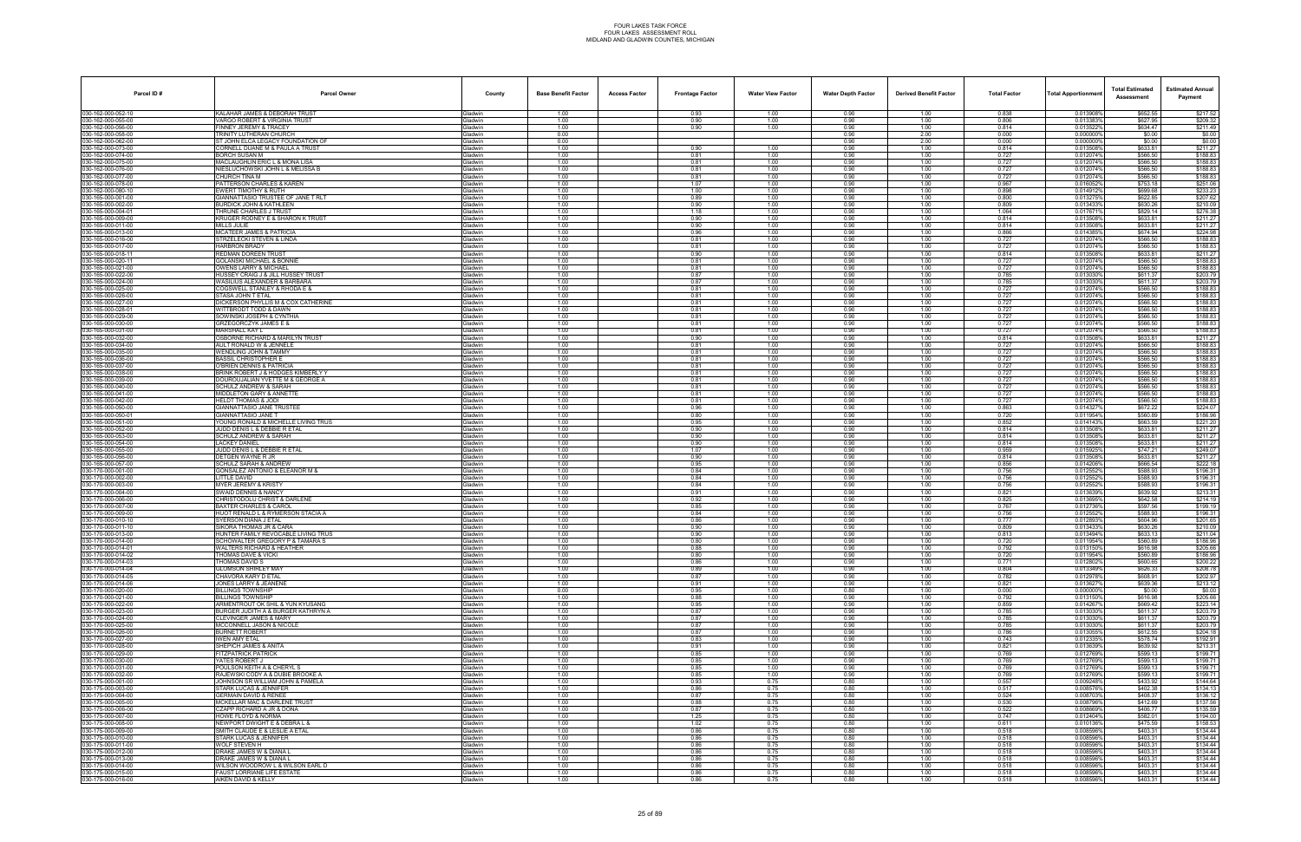| Parcel ID#                               | <b>Parcel Owner</b>                                                    | County                    | <b>Base Benefit Factor</b> | <b>Access Factor</b> | <b>Frontage Factor</b> | <b>Water View Factor</b> | <b>Water Depth Factor</b> | <b>Derived Benefit Factor</b> | <b>Total Factor</b> | <b>Total Apportionmen</b> | <b>Total Estimated</b><br>Assessment | <b>Estimated Annual</b><br>Payment |
|------------------------------------------|------------------------------------------------------------------------|---------------------------|----------------------------|----------------------|------------------------|--------------------------|---------------------------|-------------------------------|---------------------|---------------------------|--------------------------------------|------------------------------------|
| 030-162-000-052-10                       | KALAHAR JAMES & DEBORAH TRUST                                          | Gladwin                   | 1.00                       |                      | 0.93                   | 1.00                     | 0.90                      | 1.00                          | 0.838               | 0.013908%                 | \$652.55                             | \$217.52                           |
| 030-162-000-055-00<br>030-162-000-056-00 | VARGO ROBERT & VIRGINIA TRUST<br>FINNEY JEREMY & TRACEY                | Gladwin                   | 1.00<br>1.00               |                      | 0.90                   | 1.00<br>1.00             | 0.90                      | 1.00<br>1.00                  | 0.806<br>0.814      | 0.013383%<br>0.0135229    | \$627.95<br>\$634.47                 | \$209.32<br>\$211.49               |
| 030-162-000-058-00                       | TRINITY LUTHERAN CHURCH                                                | Gladwin<br>Gladwin        | 0.00                       |                      | 0.90                   |                          | 0.90<br>0.90              | 2.00                          | 0.000               | 0.000000%                 | \$0.00                               | \$0.00                             |
| 030-162-000-062-00                       | ST JOHN ELCA LEGACY FOUNDATION OF                                      | Gladwin                   | 0.00                       |                      |                        |                          | 0.90                      | 2.00                          | 0.000               | 0.000000%                 | \$0.00                               | \$0.00                             |
| 030-162-000-073-00<br>030-162-000-074-00 | CORNELL DUANE M & PAULA A TRUST<br><b>BORCH SUSAN M</b>                | Gladwin                   | 1.00<br>1.00               |                      | 0.90                   | 1.00<br>1.00             | 0.90<br>0.90              | 1.00<br>1.00                  | 0.814<br>0.727      | 0.0135089<br>0.012074%    | \$633.81<br>\$566.50                 | \$211.27<br>\$188.83               |
| 030-162-000-075-00                       | MACLAUGHLIN ERIC L & MONA LISA                                         | Gladwin<br><b>Gladwin</b> | 1.00                       |                      | 0.81<br>0.81           | 1.00                     | 0.90                      | 1.00                          | 0.727               | 0.012074%                 | \$566.50                             | \$188.83                           |
| 030-162-000-076-00                       | NIESLUCHOWSKI JOHN L & MELISSA B                                       | Gladwin                   | 1.00                       |                      | 0.81                   | 1.00                     | 0.90                      | 1.00                          | 0.727               | 0.012074%                 | \$566.50                             | \$188.83                           |
| 030-162-000-077-00<br>030-162-000-078-00 | CHURCH TINA M<br>PATTERSON CHARLES & KAREN                             | Gladwin<br>Gladwin        | 1.00<br>1.00               |                      | 0.81<br>1.07           | 1.00<br>1.00             | 0.90<br>0.90              | 1.00<br>1.00                  | 0.727<br>0.967      | 0.012074%<br>0.016052%    | \$566.50<br>\$753.18                 | \$188.83<br>\$251.06               |
| 030-162-000-080-10                       | EWERT TIMOTHY & RUTH                                                   | Gladwin                   | 1.00                       |                      | 1.00                   | 1.00                     | 0.90                      | 1.00                          | 0.898               | 0.014912%                 | \$699.68                             | \$233.23                           |
| 030-165-000-001-00                       | GIANNATTASIO TRUSTEE OF JANE T RLT                                     | Gladwin                   | 1.00                       |                      | 0.89                   | 1.00                     | 0.90                      | 1.00                          | 0.800               | 0.0132759                 | \$622.85                             | \$207.62                           |
| 030-165-000-002-00<br>030-165-000-004-01 | <b>BURDICK JOHN &amp; KATHLEEN</b><br>THRUNE CHARLES J TRUST           | Gladwin<br>Gladwin        | 1.00<br>1.00               |                      | 0.90<br>1.18           | 1.00<br>1.00             | 0.90<br>0.90              | 1.00<br>1.00                  | 0.809<br>1.064      | 0.0134339<br>0.0176719    | \$630.26<br>\$829.14                 | \$210.09<br>\$276.38               |
| 030-165-000-009-00                       | KRUGER RODNEY E & SHARON K TRUST                                       | Gladwin                   | 1.00                       |                      | 0.90                   | 1.00                     | 0.90                      | 1.00                          | 0.814               | 0.013508%                 | \$633.81                             | \$211.27                           |
| 030-165-000-011-00<br>030-165-000-013-00 | <b>MILLS JULIE</b>                                                     | Gladwin<br><b>Gladwin</b> | 1.00<br>1.00               |                      | 0.90                   | 1.00                     | 0.90                      | 1.00                          | 0.814<br>0.866      | 0.013508%<br>0.014385%    | \$633.81<br>\$674.94                 | \$211.27<br>\$224.98               |
| 030-165-000-016-00                       | <b>MCATEER JAMES &amp; PATRICIA</b><br>STRZELECKI STEVEN & LINDA       | Gladwin                   | 1.00                       |                      | 0.96<br>0.81           | 1.00<br>1.00             | 0.90<br>0.90              | 1.00<br>1.00                  | 0.727               | 0.012074%                 | \$566.50                             | \$188.83                           |
| 030-165-000-017-00                       | HARBRON BRADY                                                          | Gladwin                   | 1.00                       |                      | 0.81                   | 1.00                     | 0.90                      | 1.00                          | 0.727               | 0.012074%                 | \$566.50                             | \$188.83                           |
| 030-165-000-018-11<br>030-165-000-020-11 | REDMAN DOREEN TRUST<br><b>GOLANSKI MICHAEL &amp; BONNIE</b>            | Gladwin<br>Gladwin        | 1.00<br>1.00               |                      | 0.90<br>0.81           | 1.00<br>1.00             | 0.90<br>0.90              | 1.00<br>1.00                  | 0.814<br>0.727      | 0.013508%<br>0.012074%    | \$633.81<br>\$566.50                 | \$211.27<br>\$188.83               |
| 030-165-000-021-00                       | OWENS LARRY & MICHAEL                                                  | Gladwin                   | 1.00                       |                      | 0.81                   | 1.00                     | 0.90                      | 1.00                          | 0.727               | 0.012074%                 | \$566.50                             | \$188.83                           |
| 030-165-000-022-00                       | HUSSEY CRAIG J & JILL HUSSEY TRUST                                     | Gladwin                   | 1.00                       |                      | 0.87                   | 1.00                     | 0.90                      | 1.00                          | 0.785               | 0.013030%                 | \$611.37                             | \$203.79                           |
| 030-165-000-024-00<br>030-165-000-025-00 | WASILIUS ALEXANDER & BARBARA<br>COGSWELL STANLEY & RHODA E &           | Gladwin<br>Gladwin        | 1.00<br>1.00               |                      | 0.87<br>0.81           | 1.00<br>1.00             | 0.90<br>0.90              | 1.00<br>1.00                  | 0.785<br>0.727      | 0.013030%<br>0.012074%    | \$611.37<br>\$566.50                 | \$203.79<br>\$188.83               |
| 030-165-000-026-00                       | STASA JOHN T ETAL                                                      | Gladwin                   | 1.00                       |                      | 0.81                   | 1.00                     | 0.90                      | 1.00                          | 0.727               | 0.012074%                 | \$566.50                             | \$188.83                           |
| 030-165-000-027-00                       | DICKERSON PHYLLIS M & COX CATHERINE<br>WITTBRODT TODD & DAWN           | <b>Gladwin</b>            | 1.00                       |                      | 0.81                   | 1.00                     | 0.90                      | 1.00                          | 0.727               | 0.012074%                 | \$566.50                             | \$188.83                           |
| 030-165-000-028-01<br>030-165-000-029-00 | SOWINSKI JOSEPH & CYNTHIA                                              | Gladwin<br>Gladwin        | 1.00<br>1.00               |                      | 0.81<br>0.81           | 1.00<br>1.00             | 0.90<br>0.90              | 1.00<br>1.00                  | 0.727<br>0.727      | 0.012074%<br>0.012074%    | \$566.50<br>\$566.50                 | \$188.83<br>\$188.83               |
| 030-165-000-030-00                       | GRZEGORCZYK JAMES E &                                                  | Gladwin                   | 1.00                       |                      | 0.81                   | 1.00                     | 0.90                      | 1.00                          | 0.727               | 0.012074%                 | \$566.50                             | \$188.83                           |
| 030-165-000-031-00<br>030-165-000-032-00 | MARSHALL KAY L<br>OSBORNE RICHARD & MARILYN TRUST                      | Gladwin<br>Gladwin        | 1.00<br>1.00               |                      | 0.81<br>0.90           | 1.00<br>1.00             | 0.90<br>0.90              | 1.00<br>1.00                  | 0.727<br>0.814      | 0.012074%<br>0.013508%    | \$566.50<br>\$633.81                 | \$188.83<br>\$211.27               |
| 030-165-000-034-00                       | AULT RONALD W & JENNELE                                                | Gladwin                   | 1.00                       |                      | 0.81                   | 1.00                     | 0.90                      | 1.00                          | 0.727               | 0.012074%                 | \$566.50                             | \$188.83                           |
| 030-165-000-035-00                       | WENDLING JOHN & TAMMY                                                  | Gladwin                   | 1.00                       |                      | 0.81                   | 1.00                     | 0.90                      | 1.00                          | 0.727               | 0.012074%                 | \$566.50                             | \$188.83                           |
| 030-165-000-036-00<br>030-165-000-037-00 | <b>BASSIL CHRISTOPHER E</b><br>O'BRIEN DENNIS & PATRICIA               | Gladwin<br>Gladwin        | 1.00<br>1.00               |                      | 0.81<br>0.81           | 1.00<br>1.00             | 0.90<br>0.90              | 1.00<br>1.00                  | 0.727<br>0.727      | 0.012074%<br>0.012074%    | \$566.50<br>\$566.50                 | \$188.83<br>\$188.83               |
| 030-165-000-038-00                       | BRINK ROBERT J & HODGES KIMBERLY Y                                     | <b>Gladwin</b>            | 1.00                       |                      | 0.81                   | 1.00                     | 0.90                      | 1.00                          | 0.727               | 0.012074%                 | \$566.50                             | \$188.83                           |
| 030-165-000-039-00                       | DOUROUJALIAN YVETTE M & GEORGE A                                       | Gladwin                   | 1.00                       |                      | 0.81                   | 1.00                     | 0.90                      | 1.00                          | 0.727               | 0.012074%                 | \$566.50                             | \$188.83                           |
| 030-165-000-040-00<br>030-165-000-041-00 | SCHULZ ANDREW & SARAH<br><b>MIDDLETON GARY &amp; ANNETTE</b>           | Gladwin<br>Gladwin        | 1.00<br>1.00               |                      | 0.81<br>0.81           | 1.00<br>1.00             | 0.90<br>0.90              | 1.00<br>1.00                  | 0.727<br>0.727      | 0.012074%<br>0.012074%    | \$566.50<br>\$566.50                 | \$188.83<br>\$188.83               |
| 030-165-000-042-00                       | <b>HELDT THOMAS &amp; JODI</b>                                         | Gladwin                   | 1.00                       |                      | 0.81                   | 1.00                     | 0.90                      | 1.00                          | 0.727               | 0.012074%                 | \$566.50                             | \$188.83                           |
| 030-165-000-050-00<br>030-165-000-050-01 | <b>GIANNATTASIO JANE TRUSTEE</b><br>GIANNATTASIO JANE T                | Gladwin<br>Gladwin        | 1.00<br>1.00               |                      | 0.96<br>0.80           | 1.00<br>1.00             | 0.90<br>0.90              | 1.00<br>1.00                  | 0.863<br>0.720      | 0.0143279<br>0.011954%    | \$672.22<br>\$560.89                 | \$224.07<br>\$186.96               |
| 030-165-000-051-00                       | YOUNG RONALD & MICHELLE LIVING TRUS                                    | Gladwin                   | 1.00                       |                      | 0.95                   | 1.00                     | 0.90                      | 1.00                          | 0.852               | 0.0141439                 | \$663.59                             | \$221.20                           |
| 030-165-000-052-00                       | JUDD DENIS L & DEBBIE R ETAL                                           | Gladwin                   | 1.00                       |                      | 0.90                   | 1.00                     | 0.90                      | 1.00                          | 0.814               | 0.013508%                 | \$633.81                             | \$211.27                           |
| 030-165-000-053-00<br>030-165-000-054-00 | SCHULZ ANDREW & SARAH<br>LACKEY DANIEL                                 | Gladwin<br><b>Gladwin</b> | 1.00<br>1.00               |                      | 0.90<br>0.90           | 1.00<br>1.00             | 0.90<br>0.90              | 1.00<br>1.00                  | 0.814<br>0.814      | 0.0135089<br>0.013508%    | \$633.81<br>\$633.81                 | \$211.27<br>\$211.27               |
| 030-165-000-055-00                       | JUDD DENIS L & DEBBIE R ETAL                                           | Gladwin                   | 1.00                       |                      | 1.07                   | 1.00                     | 0.90                      | 1.00                          | 0.959               | 0.015925%                 | \$747.21                             | \$249.07                           |
| 030-165-000-056-00                       | DETGEN WAYNE R JR                                                      | Gladwin                   | 1.00                       |                      | 0.90                   | 1.00                     | 0.90                      | 1.00                          | 0.814               | 0.013508%                 | \$633.81                             | \$211.27                           |
| 030-165-000-057-00<br>030-170-000-001-00 | <b>SCHULZ SARAH &amp; ANDREW</b><br>GONSALEZ ANTONIO & ELEANOR M &     | Gladwin<br>Gladwin        | 1.00<br>1.00               |                      | 0.95<br>0.84           | 1.00<br>1.00             | 0.90<br>0.90              | 1.00<br>1.00                  | 0.856<br>0.756      | 0.014206%<br>0.0125529    | \$666.54<br>\$588.93                 | \$222.18<br>\$196.31               |
| 030-170-000-002-00                       | ITTLE DAVID                                                            | Gladwin                   | 1.00                       |                      | 0.84                   | 1.00                     | 0.90                      | 1.00                          | 0.756               | 0.0125529                 | \$588.93                             | \$196.31                           |
| 030-170-000-003-00<br>030-170-000-004-00 | <b>MYER JEREMY &amp; KRISTY</b><br>SWAID DENNIS & NANCY                | Gladwin<br>Gladwin        | 1.00<br>1.00               |                      | 0.84<br>0.91           | 1.00<br>1.00             | 0.90<br>0.90              | 1.00<br>1.00                  | 0.756<br>0.821      | 0.012552%<br>0.013639%    | \$588.93<br>\$639.92                 | \$196.31<br>\$213.31               |
| 030-170-000-006-00                       | CHRISTODOLU CHRIST & DARLENE                                           | Gladwin                   | 1.00                       |                      | 0.92                   | 1.00                     | 0.90                      | 1.00                          | 0.825               | 0.013695%                 | \$642.58                             | \$214.19                           |
| 030-170-000-007-00                       | <b>BAXTER CHARLES &amp; CAROL</b>                                      | Gladwin                   | 1.00                       |                      | 0.85                   | 1.00                     | 0.90                      | 1.00                          | 0.767               | 0.0127369                 | \$597.56                             | \$199.19                           |
| 030-170-000-009-00<br>030-170-000-010-10 | HUOT RENALD L & RYMERSON STACIA A<br>SYERSON DIANA J ETAL              | Gladwin<br>Gladwin        | 1.00<br>1.00               |                      | 0.84<br>0.86           | 1.00<br>1.00             | 0.90<br>0.90              | 1.00<br>1.00                  | 0.756<br>0.777      | 0.0125529<br>0.012893%    | \$588.93<br>\$604.96                 | \$196.31<br>\$201.65               |
| 030-170-000-011-10                       | SIKORA THOMAS JR & CARA                                                | Gladwin                   | 1.00                       |                      | 0.90                   | 1.00                     | 0.90                      | 1.00                          | 0.809               | 0.013433                  | \$630.26                             | \$210.09                           |
| 030-170-000-013-00<br>030-170-000-014-00 | HUNTER FAMILY REVOCABLE LIVING TRUS<br>SCHOWALTER GREGORY P & TAMARA S | Gladwin<br>Gladwin        | 1.00<br>1.00               |                      | 0.90<br>0.80           | 1.00<br>1.00             | 0.90<br>0.90              | 1.00<br>1.00                  | 0.813<br>0.720      | 0.013494%<br>0.011954%    | \$633.13<br>\$560.89                 | \$211.04<br>\$186.96               |
| 030-170-000-014-01                       | WALTERS RICHARD & HEATHER                                              | Gladwin                   | 1.00                       |                      | 0.88                   | 1.00                     | 0.90                      | 1.00                          | 0.792               | 0.013150%                 | \$616.98                             | \$205.66                           |
| 030-170-000-014-02                       | THOMAS DAVE & VICKI                                                    | Gladwin                   | 1.00                       |                      | 0.80                   | 1.00                     | 0.90                      | 1.00                          | 0.720               | 0.011954%                 | \$560.89                             | \$186.96                           |
| 030-170-000-014-03<br>030-170-000-014-04 | THOMAS DAVID S<br><b>GLOMSON SHIRLEY MAY</b>                           | Gladwin<br>Gladwin        | 1.00<br>1.00               |                      | 0.86<br>0.89           | 1.00<br>1.00             | 0.90<br>0.90              | 1.00<br>1.00                  | 0.771<br>0.804      | 0.0128029<br>0.013349%    | \$600.65<br>\$626.33                 | \$200.22<br>\$208.78               |
| 030-170-000-014-05                       | CHAVORA KARY D ETAL                                                    | Gladwin                   | 1.00                       |                      | 0.87                   | 1.00                     | 0.90                      | 1.00                          | 0.782               | 0.0129789                 | \$608.91                             | \$202.97                           |
| 030-170-000-014-06<br>030-170-000-020-00 | JONES LARRY & JEANENE<br>BILLINGS TOWNSHIP                             | Gladwin<br>Gladwin        | 1.00<br>0.00               |                      | 0.91<br>0.95           | 1.00<br>1.00             | 0.90<br>0.80              | 1.00<br>1.00                  | 0.821<br>0.000      | 0.0136279<br>0.000000%    | \$639.36<br>\$0.00                   | \$213.12<br>\$0.00                 |
| 030-170-000-021-00                       | BILLINGS TOWNSHIP                                                      | Gladwin                   | 1.00                       |                      | 0.88                   | 1.00                     | 0.90                      | 1.00                          | 0.792               | 0.013150%                 | \$616.98                             | \$205.66                           |
| 030-170-000-022-00                       | ARMENTROUT OK SHIL & YUN KYUSANG                                       | Gladwin                   | 1.00                       |                      | 0.95                   | 1.00                     | 0.90                      | 1.00                          | 0.859               | 0.014267%                 | \$669.42                             | \$223.14                           |
| 030-170-000-023-00<br>030-170-000-024-00 | BURGER JUDITH A & BURGER KATHRYN A<br>CLEVINGER JAMES & MARY           | Gladwin<br>Gladwin        | 1.00<br>1.00               |                      | 0.87<br>0.87           | 1.00<br>1.00             | 0.90<br>0.90              | 1.00<br>1.00                  | 0.785<br>0.785      | 0.013030%<br>0.013030%    | \$611.37<br>\$611.37                 | \$203.79<br>\$203.79               |
| 030-170-000-025-00                       | MCCONNELL JASON & NICOLE                                               | Gladwin                   | 1.00                       |                      | 0.87                   | 1.00                     | 0.90                      | 1.00                          | 0.785               | 0.013030%                 | \$611.37                             | \$203.79                           |
| 030-170-000-026-00<br>030-170-000-027-00 | <b>BURNETT ROBERT</b><br><b>IWEN AMY ETAL</b>                          | Gladwin<br>Gladwin        | 1.00<br>1.00               |                      | 0.87<br>0.83           | 1.00<br>1.00             | 0.90<br>0.90              | 1.00<br>1.00                  | 0.786<br>0.743      | 0.013055%<br>0.012335%    | \$612.55<br>\$578.74                 | \$204.18<br>\$192.91               |
| 030-170-000-028-00                       | SHEPICH JAMES & ANITA                                                  | Gladwin                   | 1.00                       |                      | 0.91                   | 1.00                     | 0.90                      | 1.00                          | 0.821               | 0.013639%                 | \$639.92                             | \$213.31                           |
| 030-170-000-029-00                       | FITZPATRICK PATRICK                                                    | Gladwin                   | 1.00                       |                      | 0.85                   | 1.00                     | 0.90                      | 1.00                          | 0.769               | 0.0127699                 | \$599.13                             | \$199.71                           |
| 030-170-000-030-00<br>030-170-000-031-00 | YATES ROBERT J<br>POULSON KEITH A & CHERYL S                           | Gladwin<br>Gladwin        | 1.00<br>1.00               |                      | 0.85<br>0.85           | 1.00<br>1.00             | 0.90<br>0.90              | 1.00<br>1.00                  | 0.769<br>0.769      | 0.012769%<br>0.012769%    | \$599.13<br>\$599.13                 | \$199.71<br>\$199.71               |
| 030-170-000-032-00                       | RAJEWSKI CODY A & DUBIE BROOKE A                                       | Gladwin                   | 1.00                       |                      | 0.85                   | 1.00                     | 0.90                      | 1.00                          | 0.769               | 0.012769%                 | \$599.13                             | \$199.71                           |
| 030-175-000-001-00<br>030-175-000-003-00 | JOHNSON SR WILLIAM JOHN & PAMELA                                       | Gladwin                   | 1.00                       |                      | 0.93                   | 0.75                     | 0.80                      | 1.00                          | 0.557               | 0.009248%                 | \$433.92                             | \$144.64                           |
| 030-175-000-004-00                       | STARK LUCAS & JENNIFER<br><b>GERMAIN DAVID &amp; RENEE</b>             | Gladwin<br>Gladwin        | 1.00<br>1.00               |                      | 0.86<br>0.87           | 0.75<br>0.75             | 0.80<br>0.80              | 1.00<br>1.00                  | 0.517<br>0.524      | 0.0085769<br>0.008703%    | \$402.38<br>\$408.37                 | \$134.13<br>\$136.12               |
| 030-175-000-005-00                       | MCKELLAR MAC & DARLENE TRUST                                           | Gladwin                   | 1.00                       |                      | 0.88                   | 0.75                     | 0.80                      | 1.00                          | 0.530               | 0.008796%                 | \$412.69                             | \$137.56                           |
| 030-175-000-006-00<br>030-175-000-007-00 | CZAPP RICHARD A JR & DONA<br>HOWE FLOYD & NORMA                        | Gladwin<br>Gladwin        | 1.00<br>1.00               |                      | 0.87<br>1.25           | 0.75<br>0.75             | 0.80<br>0.80              | 1.00<br>1.00                  | 0.522<br>0.747      | 0.008669%<br>0.012404%    | \$406.77<br>\$582.01                 | \$135.59<br>\$194.00               |
| 030-175-000-008-00                       | NEWPORT DWIGHT E & DEBRA L &                                           | Gladwin                   | 1.00                       |                      | 1.02                   | 0.75                     | 0.80                      | 1.00                          | 0.611               | 0.0101369                 | \$475.59                             | \$158.53                           |
| 030-175-000-009-00                       | SMITH CLAUDE E & LESLIE A ETAL                                         | Gladwin                   | 1.00                       |                      | 0.86                   | 0.75                     | 0.80                      | 1.00                          | 0.518               | 0.008596%                 | \$403.31                             | \$134.44                           |
| 030-175-000-010-00<br>030-175-000-011-00 | STARK LUCAS & JENNIFER<br><b>WOLF STEVEN H</b>                         | Gladwin<br>Gladwin        | 1.00<br>1.00               |                      | 0.86<br>0.86           | 0.75<br>0.75             | 0.80<br>0.80              | 1.00<br>1.00                  | 0.518<br>0.518      | 0.008596%<br>0.008596%    | \$403.31<br>\$403.31                 | \$134.44<br>\$134.44               |
| 030-175-000-012-00                       | DRAKE JAMES W & DIANA L                                                | Gladwin                   | 1.00                       |                      | 0.86                   | 0.75                     | 0.80                      | 1.00                          | 0.518               | 0.008596%                 | \$403.31                             | \$134.44                           |
| 030-175-000-013-00<br>030-175-000-014-00 | DRAKE JAMES W & DIANA L<br>WILSON WOODROW L & WILSON EARL D            | Gladwin<br>Gladwin        | 1.00<br>1.00               |                      | 0.86<br>0.86           | 0.75<br>0.75             | 0.80<br>0.80              | 1.00<br>1.00                  | 0.518<br>0.518      | 0.008596%<br>0.008596%    | \$403.31<br>\$403.31                 | \$134.44<br>\$134.44               |
| 030-175-000-015-00                       | <b>FAUST LORRIANE LIFE ESTATE</b>                                      | Gladwin                   | 1.00                       |                      | 0.86                   | 0.75                     | 0.80                      | 1.00                          | 0.518               | 0.008596%                 | \$403.31                             | \$134.44                           |
| 030-175-000-016-00                       | AIKEN DAVID & KELLY                                                    | Gladwin                   | 1.00                       |                      | 0.86                   | 0.75                     | 0.80                      | 1.00                          | 0.518               | 0.008596%                 | \$403.31                             | \$134.44                           |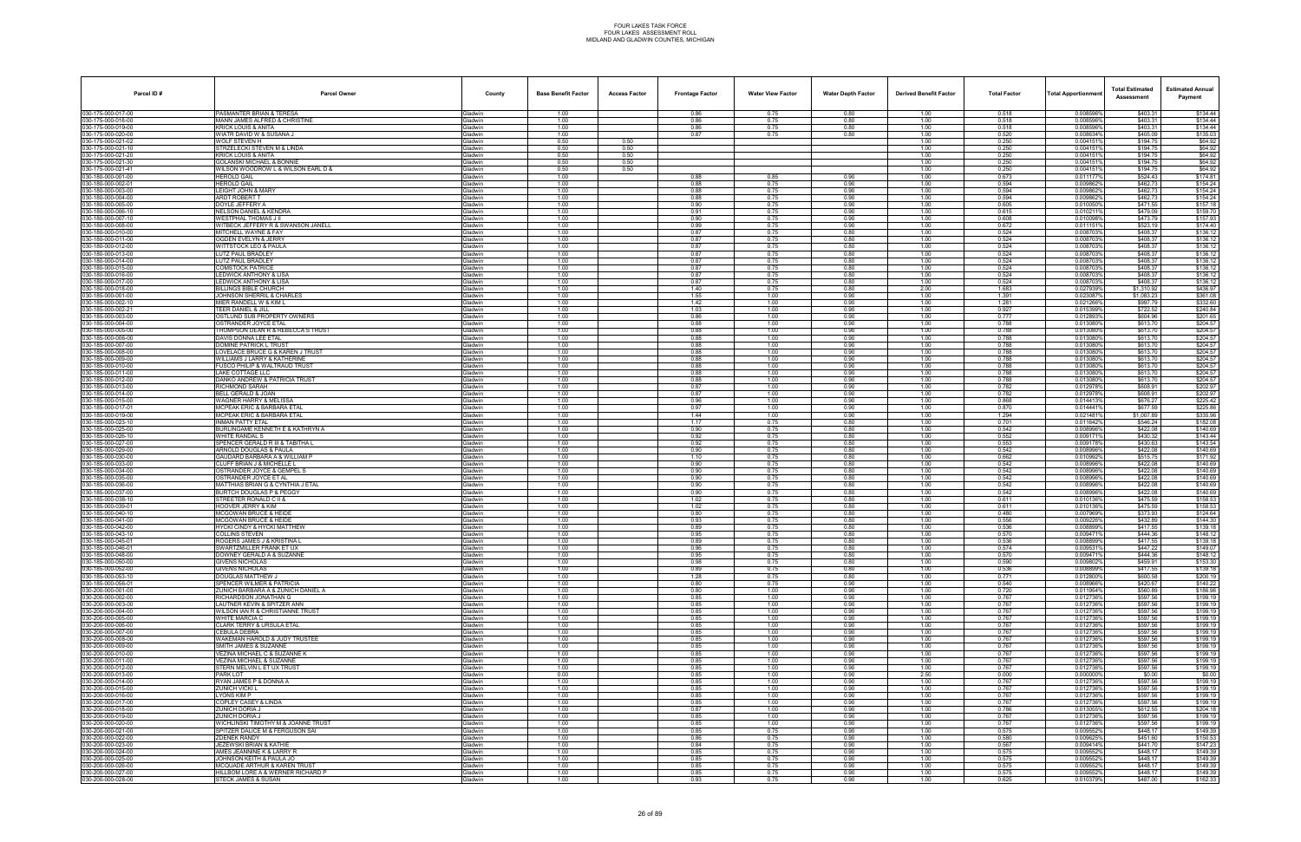| Parcel ID#                               | <b>Parcel Owner</b>                                               | County             | <b>Base Benefit Factor</b> | <b>Access Factor</b> | <b>Frontage Factor</b> | <b>Water View Factor</b> | <b>Water Depth Factor</b> | <b>Derived Benefit Factor</b> | <b>Total Factor</b> | <b>Total Apportionmen</b> | <b>Total Estimated</b><br>Assessment | <b>Estimated Annual</b><br>Payment |
|------------------------------------------|-------------------------------------------------------------------|--------------------|----------------------------|----------------------|------------------------|--------------------------|---------------------------|-------------------------------|---------------------|---------------------------|--------------------------------------|------------------------------------|
| 030-175-000-017-00                       | PASMANTER BRIAN & TERESA                                          | Gladwin            | 1.00                       |                      | 0.86                   | 0.75                     | 0.80                      | 1.00                          | 0.518               | 0.008596%                 | \$403.31                             | \$134.44                           |
| 030-175-000-018-00                       | MANN JAMES ALFRED & CHRISTINE                                     | Gladwin            | 1.00                       |                      | 0.86                   | 0.75                     | 0.80                      | 1.00                          | 0.518               | 0.008596%                 | \$403.31                             | \$134.44                           |
| 030-175-000-019-00<br>030-175-000-020-00 | KRICK LOUIS & ANITA<br>WIATR DAVID W & SUSANA J                   | Gladwin<br>Gladwin | 1.00<br>1.00               |                      | 0.86<br>0.87           | 0.75<br>0.75             | 0.80<br>0.80              | 1.00<br>1.00                  | 0.518<br>0.520      | 0.0085969<br>0.008634%    | \$403.31<br>\$405.09                 | \$134.44<br>\$135.03               |
| 030-175-000-021-02                       | WOLF STEVEN H                                                     | Gladwin            | 0.50                       | 0.50                 |                        |                          |                           | 1.00                          | 0.250               | 0.0041519                 | \$194.75                             | \$64.92                            |
| 030-175-000-021-10                       | STRZELECKI STEVEN M & LINDA                                       | Gladwin            | 0.50                       | 0.50                 |                        |                          |                           | 1.00                          | 0.250               | 0.0041519                 | \$194.75                             | \$64.92                            |
| 030-175-000-021-20<br>030-175-000-021-30 | <b>KRICK LOUIS &amp; ANITA</b><br>GOLANSKI MICHAEL & BONNIE       | Gladwin<br>Gladwin | 0.50<br>0.50               | 0.50<br>0.50         |                        |                          |                           | 1.00<br>1.00                  | 0.250<br>0.250      | 0.004151<br>0.004151      | \$194.75<br>\$194.75                 | \$64.92<br>\$64.92                 |
| 030-175-000-021-41                       | WILSON WOODROW L & WILSON EARL D &                                | Gladwin            | 0.50                       | 0.50                 |                        |                          |                           | 1.00                          | 0.250               | 0.0041519                 | \$194.75                             | \$64.92                            |
| 030-180-000-001-00                       | <b>HEROLD GAIL</b>                                                | Gladwin            | 1.00                       |                      | 0.88                   | 0.85                     | 0.90                      | 1.00                          | 0.673               | 0.011177                  | \$524.43                             | \$174.81                           |
| 030-180-000-002-01<br>030-180-000-003-00 | <b>HEROLD GAIL</b><br>LEIGHT JOHN & MARY                          | Gladwin<br>Gladwin | 1.00<br>1.00               |                      | 0.88<br>0.88           | 0.75<br>0.75             | 0.90<br>0.90              | 1.00<br>1.00                  | 0.594<br>0.594      | 0.0098629<br>0.0098629    | \$462.73<br>\$462.73                 | \$154.24<br>\$154.24               |
| 030-180-000-004-00                       | <b>ARDT ROBERT T</b>                                              | Gladwin            | 1.00                       |                      | 0.88                   | 0.75                     | 0.90                      | 1.00                          | 0.594               | 0.0098629                 | \$462.73                             | \$154.24                           |
| 030-180-000-005-00                       | DOYLE JEFFERY A                                                   | Gladwin            | 1.00                       |                      | 0.90                   | 0.75                     | 0.90                      | 1.00                          | 0.605               | 0.010050%                 | \$471.55                             | \$157.18                           |
| 030-180-000-006-10                       | NELSON DANIEL & KENDRA                                            | Gladwin            | 1.00                       |                      | 0.91                   | 0.75                     | 0.90                      | 1.00                          | 0.615               | 0.010211%                 | \$479.09                             | \$159.70                           |
| 030-180-000-007-10<br>030-180-000-008-00 | <b>WESTPHAL THOMAS J II</b><br>WITBECK JEFFERY R & SWANSON JANELL | Gladwin<br>Gladwin | 1.00<br>1.00               |                      | 0.90<br>0.99           | 0.75<br>0.75             | 0.90<br>0.90              | 1.00<br>1.00                  | 0.608<br>0.672      | 0.010098%<br>0.0111519    | \$473.79<br>\$523.19                 | \$157.93<br>\$174.40               |
| 030-180-000-010-00                       | MITCHELL WAYNE & FAY                                              | Gladwin            | 1.00                       |                      | 0.87                   | 0.75                     | 0.80                      | 1.00                          | 0.524               | 0.008703                  | \$408.37                             | \$136.12                           |
| 030-180-000-011-00                       | OGDEN EVELYN & JERRY                                              | Gladwin            | 1.00                       |                      | 0.87                   | 0.75                     | 0.80                      | 1.00                          | 0.524               | 0.008703%                 | \$408.37                             | \$136.12                           |
| 030-180-000-012-00<br>030-180-000-013-00 | WITTSTOCK LEO & PAULA<br>LUTZ PAUL BRADLEY                        | Gladwin<br>Gladwin | 1.00<br>1.00               |                      | 0.87<br>0.87           | 0.75<br>0.75             | 0.80<br>0.80              | 1.00<br>1.00                  | 0.524<br>0.524      | 0.0087039<br>0.008703     | \$408.37<br>\$408.37                 | \$136.12<br>\$136.12               |
| 030-180-000-014-00                       | LUTZ PAUL BRADLEY                                                 | Gladwin            | 1.00                       |                      | 0.87                   | 0.75                     | 0.80                      | 1.00                          | 0.524               | 0.0087039                 | \$408.37                             | \$136.12                           |
| 030-180-000-015-00                       | COMSTOCK PATRICE                                                  | Gladwin            | 1.00                       |                      | 0.87                   | 0.75                     | 0.80                      | 1.00                          | 0.524               | 0.008703                  | \$408.37                             | \$136.12                           |
| 030-180-000-016-00<br>030-180-000-017-00 | LEDWICK ANTHONY & LISA<br><b>LEDWICK ANTHONY &amp; LISA</b>       | Gladwin            | 1.00<br>1.00               |                      | 0.87<br>0.87           | 0.75<br>0.75             | 0.80<br>0.80              | 1.00<br>1.00                  | 0.524<br>0.524      | 0.008703%<br>0.008703%    | \$408.37<br>\$408.37                 | \$136.12                           |
| 030-180-000-018-00                       | BILLINGS BIBLE CHURCH                                             | Gladwin<br>Gladwin | 1.00                       |                      | 1.40                   | 0.75                     | 0.80                      | 2.00                          | 1.683               | 0.0279399                 | \$1,310.92                           | \$136.12<br>\$436.97               |
| 030-185-000-001-00                       | JOHNSON SHERRIL & CHARLES                                         | Gladwin            | 1.00                       |                      | 1.55                   | 1.00                     | 0.90                      | 1.00                          | 1.391               | 0.0230879                 | \$1,083.23                           | \$361.08                           |
| 030-185-000-002-10                       | MIER RANDELL W & KIM L                                            | Gladwin            | 1.00                       |                      | 1.42                   | 1.00                     | 0.90                      | 1.00                          | 1.281               | 0.0212669                 | \$997.79                             | \$332.60                           |
| 030-185-000-002-21<br>030-185-000-003-00 | TEER DANIEL & JILL<br>OSTLUND SUB PROPERTY OWNERS                 | Gladwin<br>Gladwin | 1.00<br>1.00               |                      | 1.03<br>0.86           | 1.00<br>1.00             | 0.90<br>0.90              | 1.00<br>1.00                  | 0.927<br>0.777      | 0.015399%<br>0.012893%    | \$722.52<br>\$604.96                 | \$240.84<br>\$201.65               |
| 030-185-000-004-00                       | OSTRANDER JOYCE ETAL                                              | Gladwin            | 1.00                       |                      | 0.88                   | 1.00                     | 0.90                      | 1.00                          | 0.788               | 0.0130809                 | \$613.70                             | \$204.57                           |
| 030-185-000-005-00                       | THOMPSON DEAN R & REBECCA S TRUST                                 | Gladwin            | 1.00                       |                      | 0.88                   | 1.00                     | 0.90                      | 1.00                          | 0.788               | 0.013080%                 | \$613.70                             | \$204.57                           |
| 030-185-000-006-00<br>030-185-000-007-00 | DAVIS DONNA LEE ETAL<br><b>DOMINE PATRICK L TRUST</b>             | Gladwin            | 1.00<br>1.00               |                      | 0.88                   | 1.00<br>1.00             | 0.90<br>0.90              | 1.00<br>1.00                  | 0.788<br>0.788      | 0.0130809<br>0.013080%    | \$613.70                             | \$204.57<br>\$204.57               |
| 030-185-000-008-00                       | LOVELACE BRUCE G & KAREN J TRUST                                  | Gladwin<br>Gladwin | 1.00                       |                      | 0.88<br>0.88           | 1.00                     | 0.90                      | 1.00                          | 0.788               | 0.013080%                 | \$613.70<br>\$613.70                 | \$204.57                           |
| 030-185-000-009-00                       | WILLIAMS J LARRY & KATHERINE                                      | Gladwin            | 1.00                       |                      | 0.88                   | 1.00                     | 0.90                      | 1.00                          | 0.788               | 0.0130809                 | \$613.70                             | \$204.57                           |
| 030-185-000-010-00                       | FUSCO PHILIP & WALTRAUD TRUST                                     | Gladwin            | 1.00                       |                      | 0.88                   | 1.00                     | 0.90                      | 1.00                          | 0.788               | 0.013080%                 | \$613.70                             | \$204.57                           |
| 030-185-000-011-00<br>030-185-000-012-00 | LAKE COTTAGE LLC<br>DANKO ANDREW & PATRICIA TRUST                 | Gladwin<br>Gladwin | 1.00<br>1.00               |                      | 0.88<br>0.88           | 1.00<br>1.00             | 0.90<br>0.90              | 1.00<br>1.00                  | 0.788<br>0.788      | 0.0130809<br>0.013080%    | \$613.70<br>\$613.70                 | \$204.5<br>\$204.57                |
| 030-185-000-013-00                       | RICHMOND SARAH                                                    | Gladwin            | 1.00                       |                      | 0.87                   | 1.00                     | 0.90                      | 1.00                          | 0.782               | 0.012978%                 | \$608.91                             | \$202.97                           |
| 030-185-000-014-00                       | BELL GERALD & JOAN                                                | Gladwin            | 1.00                       |                      | 0.87                   | 1.00                     | 0.90                      | 1.00                          | 0.782               | 0.012978                  | \$608.91                             | \$202.97                           |
| 030-185-000-015-00<br>030-185-000-017-01 | WAGNER HARRY & MELISSA<br>MCPEAK ERIC & BARBARA ETAL              | Gladwin            | 1.00<br>1.00               |                      | 0.96<br>0.97           | 1.00<br>1.00             | 0.90<br>0.90              | 1.00<br>1.00                  | 0.868<br>0.870      | 0.0144139<br>0.0144419    | \$676.27<br>\$677.59                 | \$225.42<br>\$225.86               |
| 030-185-000-019-00                       | MCPEAK ERIC & BARBARA ETAL                                        | Gladwin<br>Gladwin | 1.00                       |                      | 1.44                   | 1.00                     | 0.90                      | 1.00                          | 1.294               | 0.021481%                 | \$1,007.89                           | \$335.96                           |
| 030-185-000-023-10                       | <b>INMAN PATTY ETAL</b>                                           | Gladwin            | 1.00                       |                      | 1.17                   | 0.75                     | 0.80                      | 1.00                          | 0.701               | 0.011642%                 | \$546.24                             | \$182.08                           |
| 030-185-000-025-00                       | BURLINGAME KENNETH E & KATHRYN A                                  | Gladwin            | 1.00                       |                      | 0.90                   | 0.75                     | 0.80                      | 1.00                          | 0.542               | 0.0089969                 | \$422.08                             | \$140.69                           |
| 030-185-000-026-10<br>030-185-000-027-00 | WHITE RANDAL S<br>SPENCER GERALD R III & TABITHA L                | Gladwin<br>Gladwin | 1.00<br>1.00               |                      | 0.92<br>0.92           | 0.75<br>0.75             | 0.80<br>0.80              | 1.00<br>1.00                  | 0.552<br>0.553      | 0.0091719<br>0.0091789    | \$430.32<br>\$430.63                 | \$143.44<br>\$143.54               |
| 030-185-000-029-00                       | ARNOLD DOUGLAS & PAULA                                            | Gladwin            | 1.00                       |                      | 0.90                   | 0.75                     | 0.80                      | 1.00                          | 0.542               | 0.008996%                 | \$422.08                             | \$140.69                           |
| 030-185-000-030-00                       | GAUDARD BARBARA A & WILLIAM P                                     | Gladwin            | 1.00                       |                      | 1.10                   | 0.75                     | 0.80                      | 1.00                          | 0.662               | 0.010992%                 | \$515.75                             | \$171.92                           |
| 030-185-000-033-00<br>030-185-000-034-00 | CLUFF BRIAN J & MICHELLE L<br>OSTRANDER JOYCE & GEMPEL S          | Gladwin<br>Gladwin | 1.00<br>1.00               |                      | 0.90<br>0.90           | 0.75<br>0.75             | 0.80<br>0.80              | 1.00<br>1.00                  | 0.542<br>0.542      | 0.0089969<br>0.008996%    | \$422.08<br>\$422.08                 | \$140.69<br>\$140.69               |
| 030-185-000-035-00                       | OSTRANDER JOYCE ET AL                                             | Gladwin            | 1.00                       |                      | 0.90                   | 0.75                     | 0.80                      | 1.00                          | 0.542               | 0.008996%                 | \$422.08                             | \$140.69                           |
| 030-185-000-036-00                       | MATTHIAS BRIAN G & CYNTHIA J ETAL                                 | Gladwin            | 1.00                       |                      | 0.90                   | 0.75                     | 0.80                      | 1.00                          | 0.542               | 0.008996%                 | \$422.08                             | \$140.69                           |
| 030-185-000-037-00                       | <b>BURTCH DOUGLAS P &amp; PEGGY</b>                               | Gladwin            | 1.00                       |                      | 0.90                   | 0.75                     | 0.80                      | 1.00                          | 0.542               | 0.008996%                 | \$422.08                             | \$140.69                           |
| 030-185-000-038-10<br>030-185-000-039-01 | STREETER RONALD C II &<br><b>HOOVER JERRY &amp; KIM</b>           | Gladwin<br>Gladwin | 1.00<br>1.00               |                      | 1.02<br>1.02           | 0.75<br>0.75             | 0.80<br>0.80              | 1.00<br>1.00                  | 0.611<br>0.611      | 0.0101369<br>0.010136%    | \$475.59<br>\$475.59                 | \$158.53<br>\$158.53               |
| 030-185-000-040-10                       | <b>MCGOWAN BRUCE &amp; HEIDE</b>                                  | Gladwin            | 1.00                       |                      | 0.80                   | 0.75                     | 0.80                      | 1.00                          | 0.480               | 0.007969%                 | \$373.93                             | \$124.64                           |
| 030-185-000-041-00                       | <b>MCGOWAN BRUCE &amp; HEIDE</b>                                  | Gladwin            | 1.00                       |                      | 0.93                   | 0.75                     | 0.80                      | 1.00                          | 0.556               | 0.009226%                 | \$432.89                             | \$144.30                           |
| 030-185-000-042-00<br>030-185-000-043-10 | <b>HYCKI CINDY &amp; HYCKI MATTHEW</b><br>COLLINS STEVEN          | Gladwin<br>Gladwin | 1.00<br>1.00               |                      | 0.89<br>0.95           | 0.75<br>0.75             | 0.80<br>0.80              | 1.00<br>1.00                  | 0.536<br>0.570      | 0.008899%<br>0.009471     | \$417.55<br>\$444.36                 | \$139.18<br>\$148.12               |
| 030-185-000-045-01                       | ROGERS JAMES J & KRISTINA L                                       | Gladwin            | 1.00                       |                      | 0.89                   | 0.75                     | 0.80                      | 1.00                          | 0.536               | 0.008899%                 | \$417.55                             | \$139.18                           |
| 030-185-000-046-01                       | SWARTZMILLER FRANK ET UX                                          | <b>Gladwin</b>     | 1.00                       |                      | 0.96                   | 0.75                     | 0.80                      | 1.00                          | 0.574               | 0.0095319                 | \$447.22                             | \$149.07                           |
| 030-185-000-048-00<br>030-185-000-050-00 | DOWNEY GERALD A & SUZANNE<br><b>GIVENS NICHOLAS</b>               | Gladwin<br>Gladwin | 1.00<br>1.00               |                      | 0.95<br>0.98           | 0.75<br>0.75             | 0.80<br>0.80              | 1.00<br>1.00                  | 0.570<br>0.590      | 0.009471%<br>0.009802%    | \$444.36<br>\$459.91                 | \$148.12<br>\$153.30               |
| 030-185-000-052-00                       | GIVENS NICHOLAS                                                   | Gladwin            | 1.00                       |                      | 0.89                   | 0.75                     | 0.80                      | 1.00                          | 0.536               | 0.008899%                 | \$417.55                             | \$139.18                           |
| 030-185-000-053-10                       | DOUGLAS MATTHEW J                                                 | Gladwin            | 1.00                       |                      | 1.28                   | 0.75                     | 0.80                      | 1.00                          | 0.771               | 0.012800%                 | \$600.58                             | \$200.19                           |
| 030-185-000-056-01                       | SPENCER WILMER & PATRICIA                                         | Gladwin            | 1.00                       |                      | 0.80                   | 0.75                     | 0.90                      | 1.00                          | 0.540               | 0.008966%                 | \$420.67                             | \$140.22                           |
| 030-200-000-001-00<br>030-200-000-002-00 | ZUNICH BARBARA A & ZUNICH DANIEL A<br>RICHARDSON JONATHAN G       | Gladwin<br>Gladwin | 1.00<br>1.00               |                      | 0.80<br>0.85           | 1.00<br>1.00             | 0.90<br>0.90              | 1.00<br>1.00                  | 0.720<br>0.767      | 0.011954%<br>0.012736%    | \$560.89<br>\$597.56                 | \$186.96<br>\$199.19               |
| 030-200-000-003-00                       | LAUTNER KEVIN & SPITZER ANN                                       | Gladwin            | 1.00                       |                      | 0.85                   | 1.00                     | 0.90                      | 1.00                          | 0.767               | 0.012736%                 | \$597.56                             | \$199.19                           |
| 030-200-000-004-00                       | WILSON IAN R & CHRISTIANNE TRUST                                  | Gladwin            | 1.00                       |                      | 0.85                   | 1.00                     | 0.90                      | 1.00                          | 0.767               | 0.012736%                 | \$597.56                             | \$199.19                           |
| 030-200-000-005-00<br>030-200-000-006-00 | WHITE MARCIA C<br>CLARK TERRY & URSULA ETAL                       | Gladwin<br>Gladwin | 1.00<br>1.00               |                      | 0.85<br>0.85           | 1.00<br>1.00             | 0.90<br>0.90              | 1.00<br>1.00                  | 0.767<br>0.767      | 0.012736%<br>0.012736%    | \$597.56<br>\$597.56                 | \$199.19<br>\$199.19               |
| 030-200-000-007-00                       | CEBULA DEBRA                                                      | Gladwin            | 1.00                       |                      | 0.85                   | 1.00                     | 0.90                      | 1.00                          | 0.767               | 0.012736%                 | \$597.56                             | \$199.19                           |
| 030-200-000-008-00                       | WAKEMAN HAROLD & JUDY TRUSTEE                                     | Gladwin            | 1.00                       |                      | 0.85                   | 1.00                     | 0.90                      | 1.00                          | 0.767               | 0.012736%                 | \$597.56                             | \$199.19                           |
| 030-200-000-009-00                       | SMITH JAMES & SUZANNE                                             | Gladwin            | 1.00                       |                      | 0.85                   | 1.00                     | 0.90                      | 1.00                          | 0.767               | 0.012736%                 | \$597.56                             | \$199.19                           |
| 030-200-000-010-00<br>030-200-000-011-00 | VEZINA MICHAEL C & SUZANNE K<br>VEZINA MICHAEL & SUZANNE          | Gladwin<br>Gladwin | 1.00<br>1.00               |                      | 0.85<br>0.85           | 1.00<br>1.00             | 0.90<br>0.90              | 1.00<br>1.00                  | 0.767<br>0.767      | 0.012736%<br>0.012736%    | \$597.56<br>\$597.56                 | \$199.19<br>\$199.19               |
| 030-200-000-012-00                       | STERN MELVIN L ET UX TRUST                                        | Gladwin            | 1.00                       |                      | 0.85                   | 1.00                     | 0.90                      | 1.00                          | 0.767               | 0.012736%                 | \$597.56                             | \$199.19                           |
| 030-200-000-013-00                       | PARK LOT                                                          | Gladwin            | 0.00                       |                      | 0.85                   | 1.00                     | 0.90                      | 2.50                          | 0.000               | 0.000000%                 | \$0.00                               | \$0.00                             |
| 030-200-000-014-00<br>030-200-000-015-00 | RYAN JAMES P & DONNA A<br>ZUNICH VICKI L                          | Gladwin<br>Gladwin | 1.00<br>1.00               |                      | 0.85<br>0.85           | 1.00<br>1.00             | 0.90<br>0.90              | 1.00<br>1.00                  | 0.767<br>0.767      | 0.012736%<br>0.012736%    | \$597.56<br>\$597.56                 | \$199.19<br>\$199.19               |
| 030-200-000-016-00                       | YONS KIM P                                                        | Gladwin            | 1.00                       |                      | 0.85                   | 1.00                     | 0.90                      | 1.00                          | 0.767               | 0.012736%                 | \$597.56                             | \$199.19                           |
| 030-200-000-017-00                       | COPLEY CASEY & LINDA                                              | Gladwin            | 1.00                       |                      | 0.85                   | 1.00                     | 0.90                      | 1.00                          | 0.767               | 0.012736%                 | \$597.56                             | \$199.19                           |
| 030-200-000-018-00                       | ZUNICH DORIA J                                                    | Gladwin            | 1.00                       |                      | 0.87                   | 1.00                     | 0.90                      | 1.00                          | 0.786               | 0.013055%                 | \$612.55                             | \$204.18                           |
| 030-200-000-019-00<br>030-200-000-020-00 | ZUNICH DORIA J<br>WICHLINSKI TIMOTHY M & JOANNE TRUST             | Gladwin<br>Gladwin | 1.00<br>1.00               |                      | 0.85<br>0.85           | 1.00<br>1.00             | 0.90<br>0.90              | 1.00<br>1.00                  | 0.767<br>0.767      | 0.012736%<br>0.012736%    | \$597.56<br>\$597.56                 | \$199.19<br>\$199.19               |
| 030-200-000-021-00                       | SPITZER DALICE M & FERGUSON SAI                                   | Gladwin            | 1.00                       |                      | 0.85                   | 0.75                     | 0.90                      | 1.00                          | 0.575               | 0.0095529                 | \$448.17                             | \$149.39                           |
| 030-200-000-022-00                       | <b>ZDENEK RANDY</b>                                               | Gladwin            | 1.00                       |                      | 0.86                   | 0.75                     | 0.90                      | 1.00                          | 0.580               | 0.009625%                 | \$451.60                             | \$150.53                           |
| 030-200-000-023-00<br>030-200-000-024-00 | JEZEWSKI BRIAN & KATHIE<br>AMES JEANNINE K & LARRY R              | Gladwin<br>Gladwin | 1.00<br>1.00               |                      | 0.84<br>0.85           | 0.75<br>0.75             | 0.90<br>0.90              | 1.00<br>1.00                  | 0.567<br>0.575      | 0.009414%<br>0.009552%    | \$441.70<br>\$448.17                 | \$147.23<br>\$149.39               |
| 030-200-000-025-00                       | JOHNSON KEITH & PAULA JO                                          | Gladwin            | 1.00                       |                      | 0.85                   | 0.75                     | 0.90                      | 1.00                          | 0.575               | 0.009552%                 | \$448.17                             | \$149.39                           |
| 030-200-000-026-00                       | <b>MCQUADE ARTHUR &amp; KAREN TRUST</b>                           | Gladwin            | 1.00                       |                      | 0.85                   | 0.75                     | 0.90                      | 1.00                          | 0.575               | 0.009552%                 | \$448.17                             | \$149.39                           |
| 030-200-000-027-00                       | HILLBOM LORE A & WERNER RICHARD P                                 | Gladwin            | 1.00                       |                      | 0.85                   | 0.75                     | 0.90                      | 1.00                          | 0.575               | 0.009552%                 | \$448.17                             | \$149.39                           |
| 030-200-000-028-00                       | STECK JAMES & SUSAN                                               | Gladwin            | 1.00                       |                      | 0.93                   | 0.75                     | 0.90                      | 1.00                          | 0.625               | 0.010379%                 | \$487.00                             | \$162.33                           |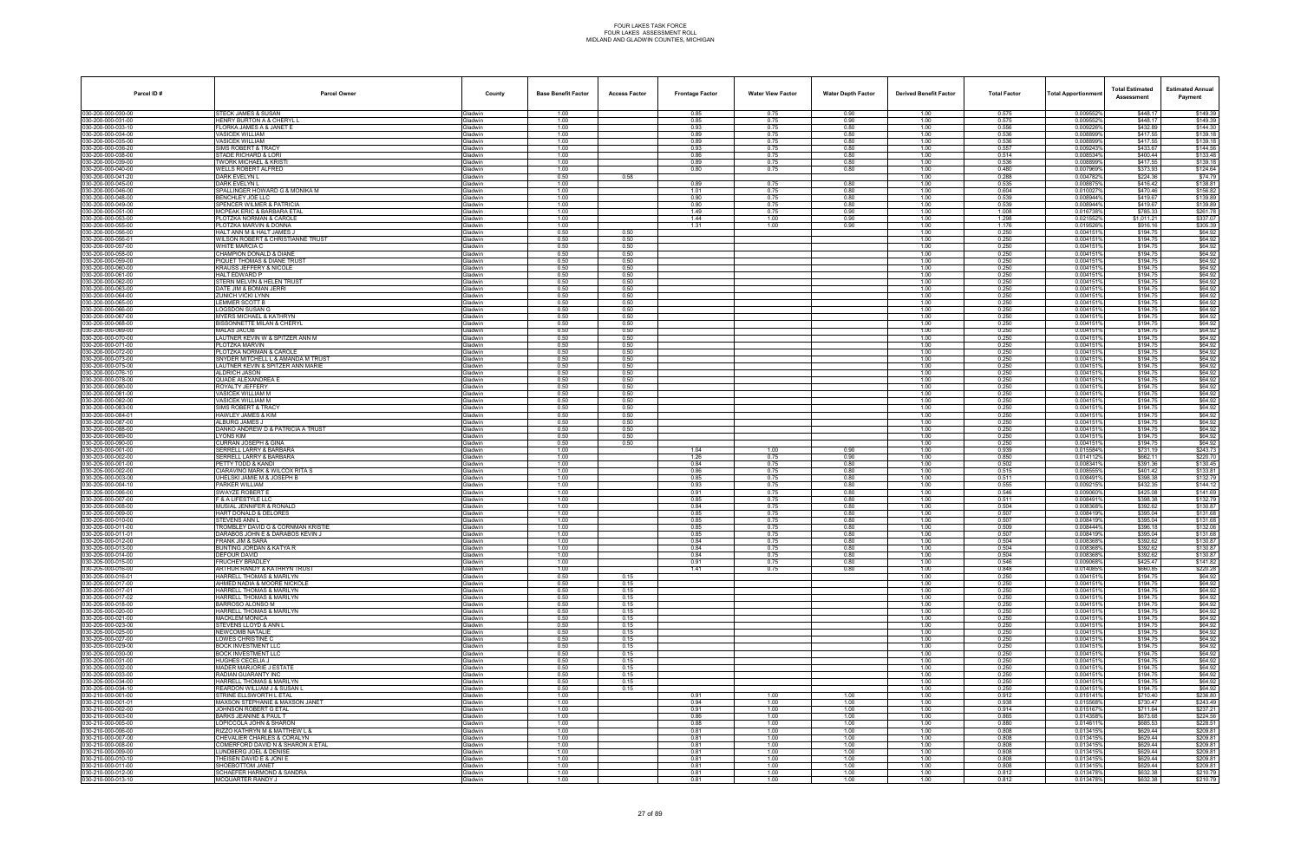| Parcel ID#                               | <b>Parcel Owner</b>                                                | County                           | <b>Base Benefit Factor</b> | <b>Access Factor</b> | <b>Frontage Factor</b> | <b>Water View Factor</b> | <b>Water Depth Factor</b> | <b>Derived Benefit Factor</b> | <b>Total Factor</b> | <b>Total Apportionmen</b> | <b>Total Estimated</b><br>Assessment | <b>Estimated Annual</b><br>Payment |
|------------------------------------------|--------------------------------------------------------------------|----------------------------------|----------------------------|----------------------|------------------------|--------------------------|---------------------------|-------------------------------|---------------------|---------------------------|--------------------------------------|------------------------------------|
| 030-200-000-030-00                       | STECK JAMES & SUSAN                                                | Gladwin                          | 1.00                       |                      | 0.85                   | 0.75                     | 0.90                      | 1.00                          | 0.575               | 0.009552%                 | \$448.17                             | \$149.39                           |
| 030-200-000-031-00<br>030-200-000-033-10 | HENRY BURTON A & CHERYL L<br>FLORKA JAMES A & JANET E              | <b>Gladwin</b>                   | 1.00<br>1.00               |                      | 0.85<br>0.93           | 0.75<br>0.75             | 0.90<br>0.80              | 1.00<br>1.00                  | 0.575<br>0.556      | 0.009552%                 | \$448.17<br>\$432.89                 | \$149.39<br>\$144.30               |
| 030-200-000-034-00                       | <b>VASICEK WILLIAM</b>                                             | ladwin<br><b>Sladwin</b>         | 1.00                       |                      | 0.89                   | 0.75                     | 0.80                      | 1.00                          | 0.536               | 0.0092269<br>0.008899%    | \$417.55                             | \$139.18                           |
| 030-200-000-035-00                       | <b>VASICEK WILLIAM</b>                                             | Gladwin                          | 1.00                       |                      | 0.89                   | 0.75                     | 0.80                      | 1.00                          | 0.536               | 0.0088999                 | \$417.55                             | \$139.18                           |
| 030-200-000-036-20<br>030-200-000-038-00 | SIMS ROBERT & TRACY<br>STADE RICHARD & LORI                        | Gladwin                          | 1.00<br>1.00               |                      | 0.93<br>0.86           | 0.75<br>0.75             | 0.80<br>0.80              | 1.00<br>1.00                  | 0.557<br>0.514      | 0.009243%<br>0.008534%    | \$433.67<br>\$400.44                 | \$144.56<br>\$133.48               |
| 030-200-000-039-00                       | <b>TWORK MICHAEL &amp; KRISTI</b>                                  | <b>Gladwin</b><br>ladwin         | 1.00                       |                      | 0.89                   | 0.75                     | 0.80                      | 1.00                          | 0.536               | 0.0088999                 | \$417.55                             | \$139.18                           |
| 030-200-000-040-00                       | WELLS ROBERT ALFRED                                                | <b>Sladwin</b>                   | 1.00                       |                      | 0.80                   | 0.75                     | 0.80                      | 1.00                          | 0.480               | 0.007969%                 | \$373.93                             | \$124.64                           |
| 030-200-000-041-20<br>030-200-000-045-00 | DARK EVELYN L<br>DARK EVELYN L                                     | <b>Gladwin</b><br>Gladwin        | 0.50<br>1.00               | 0.58                 | 0.89                   | 0.75                     | 0.80                      | 1.00<br>1.00                  | 0.288<br>0.535      | 0.0047829<br>0.008875%    | \$224.36<br>\$416.42                 | \$74.79<br>\$138.81                |
| 030-200-000-046-00                       | SPALLINGER HOWARD G & MONIKA M                                     | <b>Gladwin</b>                   | 1.00                       |                      | 1.01                   | 0.75                     | 0.80                      | 1.00                          | 0.604               | 0.010027                  | \$470.46                             | \$156.82                           |
| 030-200-000-048-00                       | BENCHLEY JOE LLC                                                   | <b>Gladwin</b>                   | 1.00                       |                      | 0.90                   | 0.75                     | 0.80                      | 1.00                          | 0.539               | 0.008944%                 | \$419.67                             | \$139.89                           |
| 030-200-000-049-00<br>030-200-000-051-00 | SPENCER WILMER & PATRICIA<br><b>MCPEAK ERIC &amp; BARBARA ETAL</b> | <b>Gladwin</b><br><b>Gladwin</b> | 1.00<br>1.00               |                      | 0.90<br>1.49           | 0.75<br>0.75             | 0.80<br>0.90              | 1.00<br>1.00                  | 0.539<br>1.008      | 0.008944%<br>0.016738%    | \$419.67<br>\$785.33                 | \$139.89<br>\$261.78               |
| 030-200-000-053-00                       | PLOTZKA NORMAN & CAROLE                                            | Gladwin                          | 1.00                       |                      | 1.44                   | 1.00                     | 0.90                      | 1.00                          | 1.298               | 0.021552%                 | \$1.011.21                           | \$337.07                           |
| 030-200-000-055-00                       | PLOTZKA MARVIN & DONNA                                             | <b>Gladwin</b>                   | 1.00                       |                      | 1.31                   | 1.00                     | 0.90                      | 1.00                          | 1.176               | 0.0195269                 | \$916.16                             | \$305.39                           |
| 030-200-000-056-00<br>030-200-000-056-01 | HALT ANN M & HALT JAMES J<br>WILSON ROBERT & CHRISTIANNE TRUST     | 3ladwin<br><b>Gladwin</b>        | 0.50<br>0.50               | 0.50<br>0.50         |                        |                          |                           | 1.00<br>1.00                  | 0.250<br>0.250      | 0.004151<br>0.004151%     | \$194.75<br>\$194.75                 | \$64.92<br>\$64.92                 |
| 030-200-000-057-00                       | WHITE MARCIA C                                                     | <b>Gladwin</b>                   | 0.50                       | 0.50                 |                        |                          |                           | 1.00                          | 0.250               | 0.004151                  | \$194.75                             | \$64.92                            |
| 030-200-000-058-00                       | CHAMPION DONALD & DIANE<br>PIQUET THOMAS & DIANE TRUST             | Gladwin                          | 0.50                       | 0.50                 |                        |                          |                           | 1.00                          | 0.250               | 0.0041519<br>0.0041519    | \$194.75<br>\$194.75                 | \$64.92                            |
| 030-200-000-059-00<br>030-200-000-060-00 | KRAUSS JEFFERY & NICOLE                                            | <b>Gladwin</b><br><b>Gladwin</b> | 0.50<br>0.50               | 0.50<br>0.50         |                        |                          |                           | 1.00<br>1.00                  | 0.250<br>0.250      | 0.004151                  | \$194.75                             | \$64.92<br>\$64.92                 |
| 030-200-000-061-00                       | HALT EDWARD P                                                      | Gladwin                          | 0.50                       | 0.50                 |                        |                          |                           | 1.00                          | 0.250               | 0.004151%                 | \$194.75                             | \$64.92                            |
| 030-200-000-062-00<br>030-200-000-063-00 | STERN MELVIN & HELEN TRUST<br>DATE JIM & BOMAN JERRI               | Gladwin<br>Gladwin               | 0.50<br>0.50               | 0.50<br>0.50         |                        |                          |                           | 1.00<br>1.00                  | 0.250<br>0.250      | 0.0041519<br>0.0041519    | \$194.75<br>\$194.75                 | \$64.92<br>\$64.92                 |
| 030-200-000-064-00                       | <b>ZUNICH VICKI LYNN</b>                                           | Gladwin                          | 0.50                       | 0.50                 |                        |                          |                           | 1.00                          | 0.250               | 0.0041519                 | \$194.75                             | \$64.92                            |
| 030-200-000-065-00                       | LEMMER SCOTT B                                                     | <b>Gladwin</b>                   | 0.50                       | 0.50                 |                        |                          |                           | 1.00                          | 0.250               | 0.004151                  | \$194.75                             | \$64.92                            |
| 030-200-000-066-00<br>030-200-000-067-00 | <b>LOGSDON SUSAN G</b><br><b>MYERS MICHAEL &amp; KATHRYN</b>       | Gladwin<br>Gladwin               | 0.50<br>0.50               | 0.50<br>0.50         |                        |                          |                           | 1.00<br>1.00                  | 0.250<br>0.250      | 0.0041519<br>0.0041519    | \$194.75<br>\$194.75                 | \$64.92<br>\$64.92                 |
| 030-200-000-068-00                       | <b>BISSONNETTE MILAN &amp; CHERYL</b>                              | Gladwin                          | 0.50                       | 0.50                 |                        |                          |                           | 1.00                          | 0.250               | 0.0041519                 | \$194.75                             | \$64.92                            |
| 030-200-000-069-00                       | <b>MALAS JACOB</b>                                                 | Gladwin                          | 0.50                       | 0.50                 |                        |                          |                           | 1.00                          | 0.250               | 0.0041519                 | \$194.75                             | \$64.92                            |
| 030-200-000-070-00<br>030-200-000-071-00 | LAUTNER KEVIN W & SPITZER ANN M<br>PLOTZKA MARVIN                  | <b>Gladwin</b><br>Gladwin        | 0.50<br>0.50               | 0.50<br>0.50         |                        |                          |                           | 1.00<br>1.00                  | 0.250<br>0.250      | 0.0041519<br>0.0041519    | \$194.75<br>\$194.75                 | \$64.92<br>\$64.92                 |
| 030-200-000-072-00                       | PLOTZKA NORMAN & CAROLE                                            | Gladwin                          | 0.50                       | 0.50                 |                        |                          |                           | 1.00                          | 0.250               | 0.0041519                 | \$194.75                             | \$64.92                            |
| 030-200-000-073-00                       | SNYDER MITCHELL L & AMANDA M TRUST                                 | Gladwin                          | 0.50                       | 0.50                 |                        |                          |                           | 1.00                          | 0.250               | 0.0041519                 | \$194.75                             | \$64.92                            |
| 030-200-000-075-00<br>030-200-000-076-10 | LAUTNER KEVIN & SPITZER ANN MARIE<br>ALDRICH JASON                 | Gladwin<br><b>Gladwin</b>        | 0.50<br>0.50               | 0.50<br>0.50         |                        |                          |                           | 1.00<br>1.00                  | 0.250<br>0.250      | 0.0041519<br>0.004151     | \$194.75<br>\$194.75                 | \$64.92<br>\$64.92                 |
| 030-200-000-078-00                       | QUADE ALEXANDREA E                                                 | <b>Gladwin</b>                   | 0.50                       | 0.50                 |                        |                          |                           | 1.00                          | 0.250               | 0.0041519                 | \$194.75                             | \$64.92                            |
| 030-200-000-080-00                       | ROYALTY JEFFERY                                                    | Gladwin                          | 0.50                       | 0.50                 |                        |                          |                           | 1.00                          | 0.250               | 0.0041519                 | \$194.75                             | \$64.92                            |
| 030-200-000-081-00<br>030-200-000-082-00 | VASICEK WILLIAM M<br><b>VASICEK WILLIAM M</b>                      | Gladwin<br>Gladwin               | 0.50<br>0.50               | 0.50<br>0.50         |                        |                          |                           | 1.00<br>1.00                  | 0.250<br>0.250      | 0.0041519<br>0.0041519    | \$194.75<br>\$194.75                 | \$64.92<br>\$64.92                 |
| 030-200-000-083-00                       | SIMS ROBERT & TRACY                                                | <b>Gladwin</b>                   | 0.50                       | 0.50                 |                        |                          |                           | 1.00                          | 0.250               | 0.0041519                 | \$194.75                             | \$64.92                            |
| 030-200-000-084-01                       | <b>HAWLEY JAMES &amp; KIM</b>                                      | <b>Gladwin</b>                   | 0.50                       | 0.50                 |                        |                          |                           | 1.00                          | 0.250               | 0.0041519<br>0.0041519    | \$194.75<br>\$194.75                 | \$64.92<br>\$64.92                 |
| 030-200-000-087-00<br>030-200-000-088-00 | ALBURG JAMES J<br>DANKO ANDREW D & PATRICIA A TRUST                | Gladwin<br>Gladwin               | 0.50<br>0.50               | 0.50<br>0.50         |                        |                          |                           | 1.00<br>1.00                  | 0.250<br>0.250      | 0.0041519                 | \$194.75                             | \$64.92                            |
| 030-200-000-089-00                       | LYONS KIM                                                          | Gladwin                          | 0.50                       | 0.50                 |                        |                          |                           | 1.00                          | 0.250               | 0.0041519                 | \$194.75                             | \$64.92                            |
| 030-200-000-090-00<br>030-203-000-001-00 | CURRAN JOSEPH & GINA<br><b>SERRELL LARRY &amp; BARBARA</b>         | <b>Gladwin</b><br><b>Sladwin</b> | 0.50<br>1.00               | 0.50                 |                        | 1.00                     |                           | 1.00<br>1.00                  | 0.250<br>0.939      | 0.004151<br>0.0155849     | \$194.75<br>\$731.19                 | \$64.92<br>\$243.73                |
| 030-203-000-002-00                       | SERRELL LARRY & BARBARA                                            | <b>Gladwin</b>                   | 1.00                       |                      | 1.04<br>1.26           | 0.75                     | 0.90<br>0.90              | 1.00                          | 0.850               | 0.014112                  | \$662.11                             | \$220.70                           |
| 030-205-000-001-00                       | PETTY TODD & KANDI                                                 | Gladwin                          | 1.00                       |                      | 0.84                   | 0.75                     | 0.80                      | 1.00                          | 0.502               | 0.008341%                 | \$391.36                             | \$130.45                           |
| 030-205-000-002-00<br>030-205-000-003-00 | CIARAVINO MARK & WILCOX RITA S<br>UHELSKI JAMIE M & JOSEPH B       | <b>Gladwin</b><br><b>Gladwin</b> | 1.00<br>1.00               |                      | 0.86<br>0.85           | 0.75<br>0.75             | 0.80<br>0.80              | 1.00<br>1.00                  | 0.515<br>0.511      | 0.0085559<br>0.008491     | \$401.42<br>\$398.38                 | \$133.81<br>\$132.79               |
| 030-205-000-004-10                       | PARKER WILLIAM                                                     | <b>Gladwin</b>                   | 1.00                       |                      | 0.93                   | 0.75                     | 0.80                      | 1.00                          | 0.555               | 0.009215%                 | \$432.35                             | \$144.12                           |
| 030-205-000-006-00                       | SWAYZE ROBERT E                                                    | Gladwin                          | 1.00                       |                      | 0.91                   | 0.75                     | 0.80                      | 1.00                          | 0.546               | 0.0090609                 | \$425.08                             | \$141.69                           |
| 030-205-000-007-00<br>030-205-000-008-00 | F & A LIFESTYLE LLC<br>MUSIAL JENNIFER & RONALD                    | Gladwin<br><b>Gladwin</b>        | 1.00<br>1.00               |                      | 0.85<br>0.84           | 0.75<br>0.75             | 0.80<br>0.80              | 1.00<br>1.00                  | 0.511<br>0.504      | 0.0084919<br>0.0083689    | \$398.38<br>\$392.62                 | \$132.79<br>\$130.87               |
| 030-205-000-009-00                       | HART DONALD & DELORES                                              | ladwin                           | 1.00                       |                      | 0.85                   | 0.75                     | 0.80                      | 1.00                          | 0.507               | 0.0084199                 | \$395.04                             | \$131.68                           |
| 030-205-000-010-00                       | <b>STEVENS ANN L</b><br>TROMBLEY DAVID G & CORNMAN KRISTIE         | <b>Gladwin</b><br>3ladwin        | 1.00<br>1.00               |                      | 0.85<br>0.85           | 0.75<br>0.75             | 0.80<br>0.80              | 1.00<br>1.00                  | 0.507<br>0.509      | 0.008419%<br>0.008444%    | \$395.04<br>\$396.18                 | \$131.68<br>\$132.06               |
| 030-205-000-011-00<br>030-205-000-011-01 | DARABOS JOHN E & DARABOS KEVIN J                                   | Gladwin                          | 1.00                       |                      | 0.85                   | 0.75                     | 0.80                      | 1.00                          | 0.507               | 0.008419%                 | \$395.04                             | \$131.68                           |
| 030-205-000-012-00<br>030-205-000-013-00 | FRANK JIM & SARA                                                   | <b>Gladwin</b>                   | 1.00                       |                      | 0.84                   | 0.75                     | 0.80                      | 1.00                          | 0.504               | 0.0083689                 | \$392.62                             | \$130.87                           |
| 030-205-000-014-00                       | BUNTING JORDAN & KATYA R<br>DEFOUR DAVID                           | <b>Gladwin</b><br>Gladwin        | 1.00<br>1.00               |                      | 0.84<br>0.84           | 0.75<br>0.75             | 0.80<br>0.80              | 1.00<br>1.00                  | 0.504<br>0.504      | 0.008368%<br>0.008368%    | \$392.62<br>\$392.62                 | \$130.87<br>\$130.87               |
| 030-205-000-015-00                       | <b>FRUCHEY BRADLEY</b>                                             | <b>Gladwin</b>                   | 1.00                       |                      | 0.91                   | 0.75                     | 0.80                      | 1.00                          | 0.546               | 0.009068%                 | \$425.47                             | \$141.82                           |
| 030-205-000-016-00                       | ARTHUR RANDY & KATHRYN TRUST                                       | Gladwin                          | 1.00                       |                      | 1.41                   | 0.75                     | 0.80                      | 1.00                          | 0.848               | 0.014085%                 | \$660.85                             | \$220.28                           |
| 030-205-000-016-01<br>030-205-000-017-00 | HARRELL THOMAS & MARILYN<br>AHMED NADIA & MOORE NICKOLE            | Gladwin<br><b>Gladwin</b>        | 0.50<br>0.50               | 0.15<br>0.15         |                        |                          |                           | 1.00<br>1.00                  | 0.250<br>0.250      | 0.0041519<br>0.0041519    | \$194.75<br>\$194.75                 | \$64.92<br>\$64.92                 |
| 030-205-000-017-01                       | <b>HARRELL THOMAS &amp; MARILYN</b>                                | Gladwin                          | 0.50                       | 0.15                 |                        |                          |                           | 1.00                          | 0.250               | 0.004151%                 | \$194.75                             | \$64.92                            |
| 030-205-000-017-02<br>030-205-000-018-00 | <b>HARRELL THOMAS &amp; MARILYN</b><br>BARROSO ALONSO M            | <b>Gladwin</b><br>Gladwin        | 0.50<br>0.50               | 0.15<br>0.15         |                        |                          |                           | 1.00<br>1.00                  | 0.250<br>0.250      | 0.0041519<br>0.004151%    | \$194.75<br>\$194.75                 | \$64.92<br>\$64.92                 |
| 030-205-000-020-00                       | HARRELL THOMAS & MARILYN                                           | Gladwin                          | 0.50                       | 0.15                 |                        |                          |                           | 1.00                          | 0.250               | 0.0041519                 | \$194.75                             | \$64.92                            |
| 030-205-000-021-00                       | <b>MACKLEM MONICA</b>                                              | <b>Gladwin</b>                   | 0.50                       | 0.15                 |                        |                          |                           | 1.00                          | 0.250               | 0.0041519                 | \$194.75                             | \$64.92                            |
| 030-205-000-023-00<br>030-205-000-025-00 | STEVENS LLOYD & ANN L<br>NEWCOMB NATALIE                           | Gladwin<br>Gladwin               | 0.50<br>0.50               | 0.15<br>0.15         |                        |                          |                           | 1.00<br>1.00                  | 0.250<br>0.250      | 0.004151%<br>0.004151%    | \$194.75<br>\$194.75                 | \$64.92<br>\$64.92                 |
| 030-205-000-027-00                       | LOWES CHRISTINE C                                                  | Gladwin                          | 0.50                       | 0.15                 |                        |                          |                           | 1.00                          | 0.250               | 0.0041519                 | \$194.75                             | \$64.92                            |
| 030-205-000-029-00                       | BOCK INVESTMENT LLC                                                | Gladwin                          | 0.50                       | 0.15                 |                        |                          |                           | 1.00                          | 0.250               | 0.0041519                 | \$194.75                             | \$64.92                            |
| 030-205-000-030-00<br>030-205-000-031-00 | BOCK INVESTMENT LLC<br>HUGHES CECELIA J                            | <b>Gladwin</b><br>Gladwin        | 0.50<br>0.50               | 0.15<br>0.15         |                        |                          |                           | 1.00<br>1.00                  | 0.250<br>0.250      | 0.0041519<br>0.004151%    | \$194.75<br>\$194.75                 | \$64.92<br>\$64.92                 |
| 030-205-000-032-00                       | MADER MARJORIE J ESTATE                                            | Gladwin                          | 0.50                       | 0.15                 |                        |                          |                           | 1.00                          | 0.250               | 0.004151%                 | \$194.75                             | \$64.92                            |
| 030-205-000-033-00                       | RADIAN GUARANTY INC                                                | Gladwin                          | 0.50<br>0.50               | 0.15<br>0.15         |                        |                          |                           | 1.00<br>1.00                  | 0.250               | 0.004151%<br>0.004151%    | \$194.75<br>\$194.75                 | \$64.92<br>\$64.92                 |
| 030-205-000-034-00<br>030-205-000-034-10 | HARRELL THOMAS & MARILYN<br>REARDON WILLIAM J & SUSAN L            | Gladwin<br><b>Sladwin</b>        | 0.50                       | 0.15                 |                        |                          |                           | 1.00                          | 0.250<br>0.250      | 0.0041519                 | \$194.75                             | \$64.92                            |
| 030-210-000-001-00                       | STRINE ELLSWORTH L ETAL                                            | Gladwin                          | 1.00                       |                      | 0.91                   | 1.00                     | 1.00                      | 1.00                          | 0.912               | 0.015141%                 | \$710.40                             | \$236.80                           |
| 030-210-000-001-01<br>030-210-000-002-00 | MAXSON STEPHANIE & MAXSON JANET<br>JOHNSON ROBERT G ETAL           | Gladwin<br>Gladwin               | 1.00<br>1.00               |                      | 0.94<br>0.91           | 1.00<br>1.00             | 1.00<br>1.00              | 1.00<br>1.00                  | 0.938<br>0.914      | 0.015568%<br>0.015167%    | \$730.47<br>\$711.64                 | \$243.49<br>\$237.21               |
| 030-210-000-003-00                       | BARKS JEANINE & PAUL T                                             | Gladwin                          | 1.00                       |                      | 0.86                   | 1.00                     | 1.00                      | 1.00                          | 0.865               | 0.014358%                 | \$673.68                             | \$224.56                           |
| 030-210-000-005-00                       | LOPICCOLA JOHN & SHARON                                            | <b>Gladwin</b>                   | 1.00                       |                      | 0.88                   | 1.00                     | 1.00                      | 1.00                          | 0.880               | 0.014611%                 | \$685.53                             | \$228.51                           |
| 030-210-000-006-00<br>030-210-000-007-00 | RIZZO KATHRYN M & MATTHEW L &<br>CHEVALIER CHARLES & CORALYN       | <b>Gladwin</b><br>Gladwin        | 1.00<br>1.00               |                      | 0.81<br>0.81           | 1.00<br>1.00             | 1.00<br>1.00              | 1.00<br>1.00                  | 0.808<br>0.808      | 0.013415%<br>0.013415%    | \$629.44<br>\$629.44                 | \$209.81<br>\$209.81               |
| 030-210-000-008-00                       | COMERFORD DAVID N & SHARON A ETAL                                  | Gladwin                          | 1.00                       |                      | 0.81                   | 1.00                     | 1.00                      | 1.00                          | 0.808               | 0.013415%                 | \$629.44                             | \$209.81                           |
| 030-210-000-009-00                       | LUNDBERG JOEL & DENISE                                             | Gladwin                          | 1.00                       |                      | 0.81                   | 1.00                     | 1.00                      | 1.00                          | 0.808               | 0.013415%                 | \$629.44                             | \$209.81                           |
| 030-210-000-010-10<br>030-210-000-011-00 | THEISEN DAVID E & JONI E<br>SHOEBOTTOM JANET                       | <b>Gladwin</b><br><b>Gladwin</b> | 1.00<br>1.00               |                      | 0.81<br>0.81           | 1.00<br>1.00             | 1.00<br>1.00              | 1.00<br>1.00                  | 0.808<br>0.808      | 0.013415%<br>0.013415%    | \$629.44<br>\$629.44                 | \$209.81<br>\$209.81               |
| 030-210-000-012-00                       | SCHAEFER HARMOND & SANDRA                                          | Gladwin                          | 1.00                       |                      | 0.81                   | 1.00                     | 1.00                      | 1.00                          | 0.812               | 0.013478%                 | \$632.38                             | \$210.79                           |
| 030-210-000-013-10                       | <b>MCQUARTER RANDY J</b>                                           | Gladwin                          | 1.00                       |                      | 0.81                   | 1.00                     | 1.00                      | 1.00                          | 0.812               | 0.013478%                 | \$632.38                             | \$210.79                           |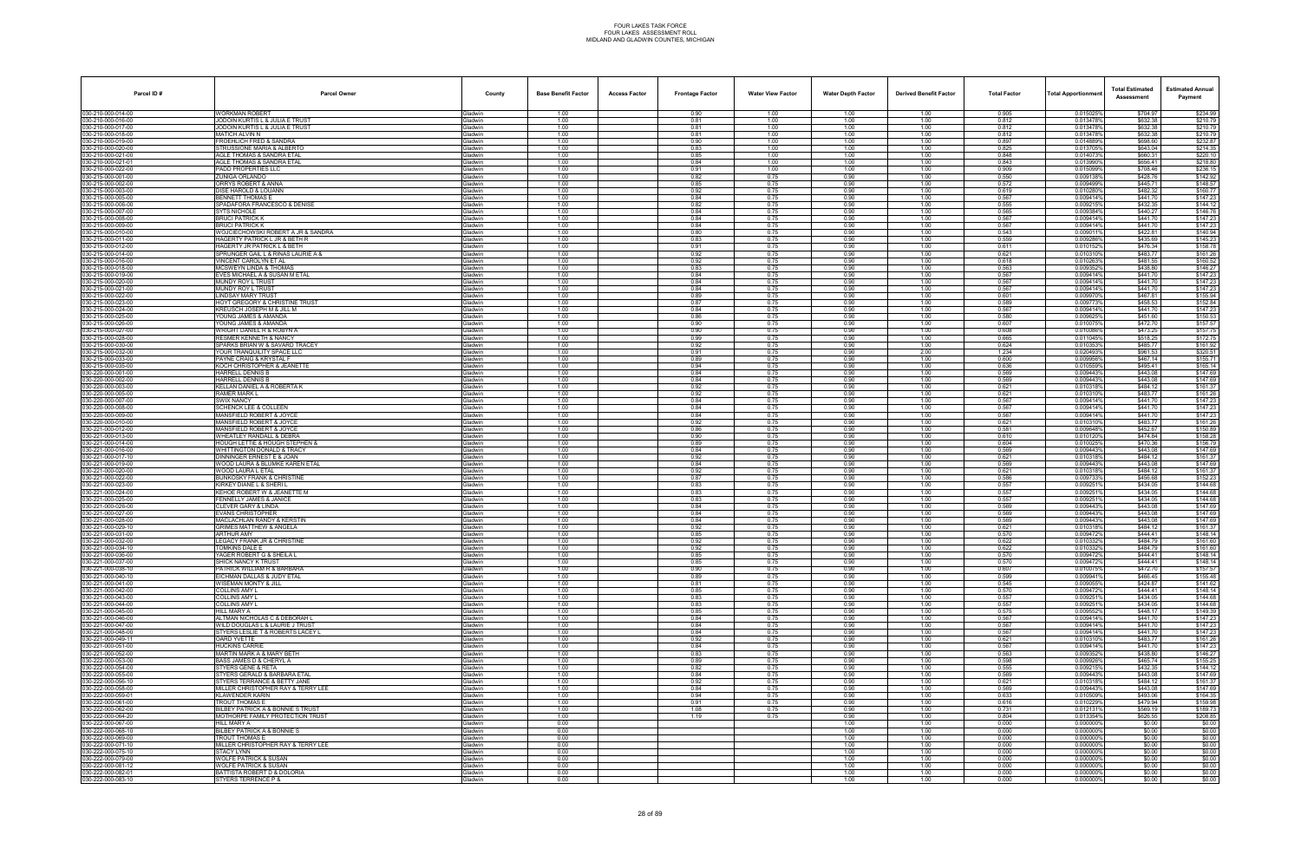| Parcel ID#                              | <b>Parcel Owner</b>                                                        | County                           | <b>Base Benefit Factor</b> | <b>Access Factor</b> | <b>Frontage Factor</b> | <b>Water View Factor</b> | <b>Water Depth Factor</b> | <b>Derived Benefit Factor</b> | <b>Total Factor</b> | Total Apportionmer     | <b>Total Estimated</b><br>Assessment | <b>Estimated Annual</b><br>Payment |
|-----------------------------------------|----------------------------------------------------------------------------|----------------------------------|----------------------------|----------------------|------------------------|--------------------------|---------------------------|-------------------------------|---------------------|------------------------|--------------------------------------|------------------------------------|
| 030-210-000-014-00                      | WORKMAN ROBERT                                                             | <b>Gladwin</b>                   | 1.00                       |                      | 0.90                   | 1.00                     | 1.00                      | 1.00                          | 0.905               | 0.015025%              | \$704.97                             | \$234.99                           |
| 030-210-000-016-00<br>30-210-000-017-00 | JODOIN KURTIS L & JULIA E TRUST<br>JODOIN KURTIS L & JULIA E TRUST         | Gladwin<br>iladwin               | 1.00<br>1.00               |                      | 0.81<br>0.81           | 1.00<br>1.00             | 1.00<br>1.00              | 1.00<br>1.00                  | 0.812<br>0.812      | 0.013478%<br>0.013478% | \$632.38<br>\$632.38                 | \$210.79<br>\$210.79               |
| 030-210-000-018-00                      | MATICH ALVIN N                                                             | <b>Gladwin</b>                   | 1.00                       |                      | 0.81                   | 1.00                     | 1.00                      | 1.00                          | 0.812               | 0.013478%              | \$632.38                             | \$210.79                           |
| 30-210-000-019-00                       | FROEHLICH FRED & SANDRA                                                    | Gladwin                          | 1.00                       |                      | 0.90                   | 1.00                     | 1.00                      | 1.00                          | 0.897               | 0.014889%              | \$698.60                             | \$232.87                           |
| 30-210-000-020-00<br>30-210-000-021-00  | STRUSSIONE MARIA & ALBERTO<br>AGLE THOMAS & SANDRA ETAL                    | <b>Gladwin</b><br>Gladwin        | 1.00<br>1.00               |                      | 0.83<br>0.85           | 1.00<br>1.00             | 1.00<br>1.00              | 1.00<br>1.00                  | 0.825<br>0.848      | 0.0137059<br>0.014073% | \$643.04<br>\$660.31                 | \$214.35<br>\$220.10               |
| 0-210-000-021-0                         | AGLE THOMAS & SANDRA ETAL                                                  | iladwin                          | 1.00                       |                      | 0.84                   | 1.00                     | 1.00                      | 1.00                          | 0.843               | 0.013990%              | \$656.41                             | \$218.80                           |
| 30-210-000-022-00                       | PADD PROPERTIES LLC                                                        | <b>i</b> ladwin                  | 1.00                       |                      | 0.91                   | 1.00                     | 1.00                      | 1.00                          | 0.909               | 0.015099%              | \$708.46                             | \$236.15                           |
| 30-215-000-001-00<br>30-215-000-002-00  | ZUNIGA ORLANDO<br>ORRYS ROBERT & ANNA                                      | Gladwin<br><b>Gladwin</b>        | 1.00<br>1.00               |                      | 0.82<br>0.85           | 0.75<br>0.75             | 0.90<br>0.90              | 1.00<br>1.00                  | 0.550<br>0.572      | 0.009138%<br>0.009499% | \$428.76<br>\$445.71                 | \$142.92<br>\$148.57               |
| 030-215-000-003-00                      | DISE HAROLD & LOUANN                                                       | Gladwin                          | 1.00                       |                      | 0.92                   | 0.75                     | 0.90                      | 1.00                          | 0.619               | 0.010280%              | \$482.32                             | \$160.77                           |
| 30-215-000-005-00                       | BENNETT THOMAS E                                                           | <b>Gladwin</b>                   | 1.00                       |                      | 0.84                   | 0.75                     | 0.90                      | 1.00                          | 0.567               | 0.009414%              | \$441.70                             | \$147.23                           |
| 30-215-000-006-00<br>30-215-000-007-00  | SPADAFORA FRANCESCO & DENISE<br><b>SYTS NICHOLE</b>                        | <b>Gladwin</b><br>Gladwin        | 1.00<br>1.00               |                      | 0.82<br>0.84           | 0.75<br>0.75             | 0.90<br>0.90              | 1.00<br>1.00                  | 0.555<br>0.565      | 0.009215%<br>0.0093849 | \$432.35<br>\$440.27                 | \$144.12<br>\$146.76               |
| 30-215-000-008-00                       | <b>BRUCI PATRICK K</b>                                                     | <b>Gladwin</b>                   | 1.00                       |                      | 0.84                   | 0.75                     | 0.90                      | 1.00                          | 0.567               | 0.009414%              | \$441.70                             | \$147.23                           |
| 30-215-000-009-00                       | <b>BRUCI PATRICK K</b>                                                     | <b>Gladwin</b>                   | 1.00                       |                      | 0.84                   | 0.75                     | 0.90                      | 1.00                          | 0.567               | 0.009414%              | \$441.70                             | \$147.23                           |
| 80-215-000-010-00                       | WOJCIECHOWSKI ROBERT A JR & SANDRA<br>HAGERTY PATRICK L JR & BETH R        | iladwin<br><b>i</b> ladwin       | 1.00                       |                      | 0.80                   | 0.75                     | 0.90                      | 1.00                          | 0.543<br>0.559      | 0.009011<br>0.0092869  | \$422.81<br>\$435.69                 | \$140.94<br>\$145.23               |
| 30-215-000-011-00<br>30-215-000-012-00  | HAGERTY JR PATRICK L & BETH                                                | Gladwin                          | 1.00<br>1.00               |                      | 0.83<br>0.91           | 0.75<br>0.75             | 0.90<br>0.90              | 1.00<br>1.00                  | 0.611               | 0.0101529              | \$476.34                             | \$158.78                           |
| 30-215-000-014-00                       | SPRUNGER GAIL L & RINAS LAURIE A &                                         | <b>Gladwin</b>                   | 1.00                       |                      | 0.92                   | 0.75                     | 0.90                      | 1.00                          | 0.621               | 0.010310%              | \$483.77                             | \$161.26                           |
| 30-215-000-016-00                       | VINCENT CAROLYN ET AL                                                      | <b>Gladwin</b>                   | 1.00<br>1.00               |                      | 0.92                   | 0.75<br>0.75             | 0.90<br>0.90              | 1.00<br>1.00                  | 0.618<br>0.563      | 0.010263%<br>0.009352% | \$481.55                             | \$160.52<br>\$146.27               |
| 30-215-000-018-00<br>30-215-000-019-00  | <b>MCSWEYN LINDA &amp; THOMAS</b><br>EVES MICHAEL A & SUSAN M ETAL         | iladwin<br><b>Gladwin</b>        | 1.00                       |                      | 0.83<br>0.84           | 0.75                     | 0.90                      | 1.00                          | 0.567               | 0.009414%              | \$438.80<br>\$441.70                 | \$147.23                           |
| 30-215-000-020-00                       | MUNDY ROY L TRUST                                                          | Gladwin                          | 1.00                       |                      | 0.84                   | 0.75                     | 0.90                      | 1.00                          | 0.567               | 0.009414%              | \$441.70                             | \$147.23                           |
| 030-215-000-021-00                      | MUNDY ROY L TRUST                                                          | Gladwin                          | 1.00                       |                      | 0.84                   | 0.75                     | 0.90                      | 1.00                          | 0.567               | 0.009414%              | \$441.70                             | \$147.23                           |
| 30-215-000-022-00<br>80-215-000-023-00  | LINDSAY MARY TRUST<br>HOYT GREGORY & CHRISTINE TRUST                       | <b>Gladwin</b><br>iladwin        | 1.00<br>1.00               |                      | 0.89<br>0.87           | 0.75<br>0.75             | 0.90<br>0.90              | 1.00<br>1.00                  | 0.601<br>0.589      | 0.0099709<br>0.0097739 | \$467.81<br>\$458.53                 | \$155.94<br>\$152.84               |
| 30-215-000-024-00                       | KREUSCH JOSEPH M & JILL M                                                  | iladwin                          | 1.00                       |                      | 0.84                   | 0.75                     | 0.90                      | 1.00                          | 0.567               | 0.009414%              | \$441.70                             | \$147.23                           |
| 30-215-000-025-00                       | YOUNG JAMES & AMANDA                                                       | <b>Gladwin</b>                   | 1.00                       |                      | 0.86                   | 0.75                     | 0.90                      | 1.00                          | 0.580               | 0.0096259              | \$451.60                             | \$150.53                           |
| 030-215-000-026-00<br>30-215-000-027-00 | YOUNG JAMES & AMANDA<br>WRIGHT DANIEL R & ROBYN A                          | <b>Gladwin</b><br><b>Gladwin</b> | 1.00<br>1.00               |                      | 0.90<br>0.90           | 0.75<br>0.75             | 0.90<br>0.90              | 1.00<br>1.00                  | 0.607<br>0.608      | 0.010075%<br>0.010086% | \$472.70<br>\$473.25                 | \$157.57<br>\$157.75               |
| 30-215-000-028-00                       | <b>RESMER KENNETH &amp; NANCY</b>                                          | iladwin                          | 1.00                       |                      | 0.99                   | 0.75                     | 0.90                      | 1.00                          | 0.665               | 0.011045%              | \$518.25                             | \$172.75                           |
| 30-215-000-030-00                       | SPARKS BRIAN W & SAVARD TRACEY                                             | <b>Gladwin</b>                   | 1.00                       |                      | 0.92                   | 0.75                     | 0.90                      | 1.00                          | 0.624               | 0.0103539              | \$485.77                             | \$161.92                           |
| 30-215-000-032-00<br>030-215-000-033-00 | YOUR TRANQUILITY SPACE LLC<br>PAYNE CRAIG & KRYSTAL F                      | Gladwin                          | 1.00<br>1.00               |                      | 0.91<br>0.89           | 0.75<br>0.75             | 0.90<br>0.90              | 2.00                          | 1.234<br>0.600      | 0.0204939<br>0.009956% | \$961.53<br>\$467.14                 | \$320.51<br>\$155.71               |
| 30-215-000-035-00                       | KOCH CHRISTOPHER & JEANETTE                                                | <b>Gladwin</b><br><b>Gladwin</b> | 1.00                       |                      | 0.94                   | 0.75                     | 0.90                      | 1.00<br>1.00                  | 0.636               | 0.0105599              | \$495.41                             | \$165.14                           |
| 80-220-000-001-00                       | HARRELL DENNIS B                                                           | iladwin                          | 1.00                       |                      | 0.84                   | 0.75                     | 0.90                      | 1.00                          | 0.569               | 0.009443%              | \$443.08                             | \$147.69                           |
| 30-220-000-002-00                       | HARRELL DENNIS B                                                           | <b>Gladwin</b>                   | 1.00                       |                      | 0.84                   | 0.75                     | 0.90                      | 1.00                          | 0.569               | 0.009443%              | \$443.08                             | \$147.69                           |
| 30-220-000-003-00<br>030-220-000-005-00 | KELLAN DANIEL A & ROBERTA K<br>RAMER MARK L                                | iladwin<br><b>Gladwin</b>        | 1.00<br>1.00               |                      | 0.92<br>0.92           | 0.75<br>0.75             | 0.90<br>0.90              | 1.00<br>1.00                  | 0.621<br>0.621      | 0.0103189<br>0.010310% | \$484.12<br>\$483.77                 | \$161.37<br>\$161.26               |
| 30-220-000-007-00                       | SWIX NANCY                                                                 | <b>Gladwin</b>                   | 1.00                       |                      | 0.84                   | 0.75                     | 0.90                      | 1.00                          | 0.567               | 0.009414%              | \$441.70                             | \$147.23                           |
| 30-220-000-008-00                       | SCHENCK LEE & COLLEEN                                                      | iladwin                          | 1.00                       |                      | 0.84                   | 0.75                     | 0.90                      | 1.00                          | 0.567               | 0.0094149              | \$441.70                             | \$147.23                           |
| 30-220-000-009-00<br>30-220-000-010-00  | <b>MANSFIELD ROBERT &amp; JOYCE</b><br><b>MANSFIELD ROBERT &amp; JOYCE</b> | <b>Gladwin</b><br><b>Gladwin</b> | 1.00<br>1.00               |                      | 0.84<br>0.92           | 0.75<br>0.75             | 0.90<br>0.90              | 1.00<br>1.00                  | 0.567<br>0.621      | 0.009414%<br>0.010310  | \$441.70<br>\$483.77                 | \$147.23<br>\$161.26               |
| 030-221-000-012-00                      | MANSFIELD ROBERT & JOYCE                                                   | <b>Gladwin</b>                   | 1.00                       |                      | 0.86                   | 0.75                     | 0.90                      | 1.00                          | 0.581               | 0.009648%              | \$452.67                             | \$150.89                           |
| 30-221-000-013-00                       | WHEATLEY RANDALL & DEBRA                                                   | iladwin                          | 1.00                       |                      | 0.90                   | 0.75                     | 0.90                      | 1.00                          | 0.610               | 0.0101209              | \$474.84                             | \$158.28                           |
| 80-221-000-014-00<br>30-221-000-016-00  | HOUGH LETTIE & HOUGH STEPHEN &<br><b>WHITTINGTON DONALD &amp; TRACY</b>    | iladwin<br><b>Sladwin</b>        | 1.00<br>1.00               |                      | 0.89<br>0.84           | 0.75<br>0.75             | 0.90<br>0.90              | 1.00<br>1.00                  | 0.604<br>0.569      | 0.010025<br>0.009443%  | \$470.36<br>\$443.08                 | \$156.79<br>\$147.69               |
| 30-221-000-017-10                       | DINNINGER ERNEST E & JOAN                                                  | iladwin                          | 1.00                       |                      | 0.92                   | 0.75                     | 0.90                      | 1.00                          | 0.621               | 0.0103189              | \$484.12                             | \$161.37                           |
| 030-221-000-019-00                      | WOOD LAURA & BLUMKE KAREN ETAL                                             | <b>Gladwin</b>                   | 1.00                       |                      | 0.84                   | 0.75                     | 0.90                      | 1.00                          | 0.569               | 0.009443%              | \$443.08                             | \$147.69                           |
| 30-221-000-020-00<br>30-221-000-022-00  | WOOD LAURA L ETAL<br>BUNKOSKY FRANK & CHRISTINE                            | iladwin<br>iladwin               | 1.00<br>1.00               |                      | 0.92<br>0.87           | 0.75<br>0.75             | 0.90<br>0.90              | 1.00<br>1.00                  | 0.621<br>0.586      | 0.0103189<br>0.009733  | \$484.12<br>\$456.68                 | \$161.37<br>\$152.23               |
| 30-221-000-023-00                       | KIRKEY DIANE L & SHERI L                                                   | <b>Gladwin</b>                   | 1.00                       |                      | 0.83                   | 0.75                     | 0.90                      | 1.00                          | 0.557               | 0.009251%              | \$434.05                             | \$144.68                           |
| 30-221-000-024-00                       | KEHOE ROBERT W & JEANETTE M                                                | <b>Gladwin</b>                   | 1.00                       |                      | 0.83                   | 0.75                     | 0.90                      | 1.00                          | 0.557               | 0.0092519              | \$434.05                             | \$144.68                           |
| 30-221-000-025-00<br>30-221-000-026-00  | <b>FENNELLY JAMES &amp; JANICE</b><br>CLEVER GARY & LINDA                  | <b>Gladwin</b><br>iladwin        | 1.00<br>1.00               |                      | 0.83<br>0.84           | 0.75<br>0.75             | 0.90<br>0.90              | 1.00<br>1.00                  | 0.557<br>0.569      | 0.0092519<br>0.0094439 | \$434.05<br>\$443.08                 | \$144.68<br>\$147.69               |
| 80-221-000-027-00                       | EVANS CHRISTOPHER                                                          | iladwin                          | 1.00                       |                      | 0.84                   | 0.75                     | 0.90                      | 1.00                          | 0.569               | 0.0094439              | \$443.08                             | \$147.69                           |
| 30-221-000-028-00                       | MACLACHLAN RANDY & KERSTIN                                                 | <b>Sladwin</b>                   | 1.00                       |                      | 0.84                   | 0.75                     | 0.90                      | 1.00                          | 0.569               | 0.009443%              | \$443.08                             | \$147.69                           |
| 30-221-000-029-10<br>030-221-000-031-00 | GRIMES MATTHEW & ANGELA<br>ARTHUR AMY                                      | iladwin<br><b>Gladwin</b>        | 1.00<br>1.00               |                      | 0.92<br>0.85           | 0.75<br>0.75             | 0.90<br>0.90              | 1.00<br>1.00                  | 0.621<br>0.570      | 0.010318<br>0.009472%  | \$484.12<br>\$444.41                 | \$161.37<br>\$148.14               |
| 030-221-000-032-00                      | LEGACY FRANK JR & CHRISTINE                                                | iladwin                          | 1.00                       |                      | 0.92                   | 0.75                     | 0.90                      | 1.00                          | 0.622               | 0.010332               | \$484.79                             | \$161.60                           |
| 030-221-000-034-10                      | TOMKINS DALE E                                                             | iladwin                          | 1.00                       |                      | 0.92                   | 0.75                     | 0.90                      | 1.00                          | 0.622               | 0.010332%              | \$484.79                             | \$161.60                           |
| 030-221-000-036-00<br>30-221-000-037-00 | YAGER ROBERT G & SHEILA L<br><b>SHICK NANCY K TRUST</b>                    | Gladwin                          | 1.00<br>1.00               |                      | 0.85<br>0.85           | 0.75<br>0.75             | 0.90<br>0.90              | 1.00                          | 0.570<br>0.570      | 0.009472%<br>0.009472% | \$444.41<br>\$444.41                 | \$148.14<br>\$148.14               |
| 030-221-000-038-10                      | PATRICK WILLIAM R & BARBARA                                                | <b>Gladwin</b><br>Gladwin        | 1.00                       |                      | 0.90                   | 0.75                     | 0.90                      | 1.00<br>1.00                  | 0.607               | 0.010075%              | \$472.70                             | \$157.57                           |
| 30-221-000-040-10                       | EICHMAN DALLAS & JUDY ETAL                                                 | <b>Gladwin</b>                   | 1.00                       |                      | 0.89                   | 0.75                     | 0.90                      | 1.00                          | 0.599               | 0.0099419              | \$466.45                             | \$155.48                           |
| 30-221-000-041-00<br>030-221-000-042-00 | WISEMAN MONTY & JILL<br>COLLINS AMY L                                      | iladwin<br><b>Gladwin</b>        | 1.00<br>1.00               |                      | 0.81<br>0.85           | 0.75                     | 0.90<br>0.90              | 1.00<br>1.00                  | 0.545<br>0.570      | 0.0090559<br>0.009472% | \$424.87<br>\$444.41                 | \$141.62<br>\$148.14               |
| 30-221-000-043-00                       | <b>COLLINS AMY L</b>                                                       | <b>Gladwin</b>                   | 1.00                       |                      | 0.83                   | 0.75<br>0.75             | 0.90                      | 1.00                          | 0.557               | 0.0092519              | \$434.05                             | \$144.68                           |
| 030-221-000-044-00                      | <b>COLLINS AMY L</b>                                                       | Gladwin                          | 1.00                       |                      | 0.83                   | 0.75                     | 0.90                      | 1.00                          | 0.557               | 0.009251%              | \$434.05                             | \$144.68                           |
| 030-221-000-045-00<br>30-221-000-046-00 | HILL MARY A                                                                | <b>Gladwin</b>                   | 1.00                       |                      | 0.85                   | 0.75                     | 0.90                      | 1.00                          | 0.575               | 0.0095529              | \$448.17                             | \$149.39                           |
| 030-221-000-047-00                      | ALTMAN NICHOLAS C & DEBORAH L<br>WILD DOUGLAS L & LAURIE J TRUST           | iladwin<br>Gladwin               | 1.00<br>1.00               |                      | 0.84<br>0.84           | 0.75<br>0.75             | 0.90<br>0.90              | 1.00<br>1.00                  | 0.567<br>0.567      | 0.009414%<br>0.009414% | \$441.70<br>\$441.70                 | \$147.23<br>\$147.23               |
| 030-221-000-048-00                      | STYERS LESLIE T & ROBERTS LACEY L                                          | <b>Gladwin</b>                   | 1.00                       |                      | 0.84                   | 0.75                     | 0.90                      | 1.00                          | 0.567               | 0.009414%              | \$441.70                             | \$147.23                           |
| 030-221-000-049-11                      | OARD YVETTE                                                                | Gladwin                          | 1.00                       |                      | 0.92                   | 0.75                     | 0.90                      | 1.00                          | 0.621               | 0.010310%              | \$483.77                             | \$161.26                           |
| 30-221-000-051-00<br>30-221-000-052-00  | <b>HUCKINS CARRIE</b><br>MARTIN MARK A & MARY BETH                         | <b>Gladwin</b><br>iladwin        | 1.00<br>1.00               |                      | 0.84<br>0.83           | 0.75<br>0.75             | 0.90<br>0.90              | 1.00<br>1.00                  | 0.567<br>0.563      | 0.009414%<br>0.0093529 | \$441.70<br>\$438.80                 | \$147.23<br>\$146.27               |
| 030-222-000-053-00                      | BASS JAMES D & CHERYL A                                                    | <b>Gladwin</b>                   | 1.00                       |                      | 0.89                   | 0.75                     | 0.90                      | 1.00                          | 0.598               | 0.009926%              | \$465.74                             | \$155.25                           |
| 30-222-000-054-00                       | STYERS GENE & RETA                                                         | <b>Sladwin</b>                   | 1.00                       |                      | 0.82                   | 0.75                     | 0.90                      | 1.00                          | 0.555               | 0.009215%              | \$432.35                             | \$144.12                           |
| 30-222-000-055-00<br>030-222-000-056-10 | STYERS GERALD & BARBARA ETAL<br>STYERS TERRANCE & BETTY JANE               | <b>Gladwin</b><br>Gladwin        | 1.00<br>1.00               |                      | 0.84<br>0.92           | 0.75<br>0.75             | 0.90<br>0.90              | 1.00<br>1.00                  | 0.569<br>0.621      | 0.009443%<br>0.010318% | \$443.08<br>\$484.12                 | \$147.69<br>\$161.37               |
| 30-222-000-058-00                       | MILLER CHRISTOPHER RAY & TERRY LEE                                         | iladwin                          | 1.00                       |                      | 0.84                   | 0.75                     | 0.90                      | 1.00                          | 0.569               | 0.009443%              | \$443.08                             | \$147.69                           |
| 030-222-000-059-01                      | <b>KLAWENDER KARIN</b>                                                     | Gladwin                          | 1.00                       |                      | 0.94                   | 0.75                     | 0.90                      | 1.00                          | 0.633               | 0.010509%              | \$493.06                             | \$164.35                           |
| 030-222-000-061-00<br>30-222-000-062-00 | <b>TROUT THOMAS E</b><br>BILBEY PATRICK A & BONNIE S TRUST                 | <b>Gladwin</b><br><b>Gladwin</b> | 1.00<br>1.00               |                      | 0.91<br>1.08           | 0.75<br>0.75             | 0.90<br>0.90              | 1.00<br>1.00                  | 0.616<br>0.731      | 0.010229%<br>0.012131% | \$479.94<br>\$569.19                 | \$159.98<br>\$189.73               |
| 030-222-000-064-20                      | MOTHORPE FAMILY PROTECTION TRUST                                           | <b>Gladwin</b>                   | 1.00                       |                      | 1.19                   | 0.75                     | 0.90                      | 1.00                          | 0.804               | 0.013354%              | \$626.55                             | \$208.85                           |
| 30-222-000-067-00                       | HILL MARY A                                                                | iladwin                          | 0.00                       |                      |                        |                          | 1.00                      | 1.00                          | 0.000               | 0.000000%              | \$0.00                               | \$0.00                             |
| 030-222-000-068-10<br>30-222-000-069-00 | BILBEY PATRICK A & BONNIE S<br><b>TROUT THOMAS E</b>                       | <b>Gladwin</b><br><b>Gladwin</b> | 0.00<br>0.00               |                      |                        |                          | 1.00<br>1.00              | 1.00<br>1.00                  | 0.000<br>0.000      | 0.000000%<br>0.000000% | \$0.00<br>\$0.00                     | \$0.00<br>\$0.00                   |
| 130-222-000-071-10                      | MILLER CHRISTOPHER RAY & TERRY LEE                                         | <b>Gladwin</b>                   | 0.00                       |                      |                        |                          | 1.00                      | 1.00                          | 0.000               | 0.000000%              | \$0.00                               | \$0.00                             |
| 030-222-000-075-10                      | <b>STACY LYNN</b>                                                          | Gladwin                          | 0.00                       |                      |                        |                          | 1.00                      | 1.00                          | 0.000               | 0.0000009              | \$0.00                               | \$0.00                             |
| 30-222-000-079-00<br>030-222-000-081-12 | WOLFE PATRICK & SUSAN<br><b>WOLFE PATRICK &amp; SUSAN</b>                  | iladwin<br>Gladwin               | 0.00<br>0.00               |                      |                        |                          | 1.00<br>1.00              | 1.00<br>1.00                  | 0.000<br>0.000      | 0.000000%<br>0.000000% | \$0.00<br>\$0.00                     | \$0.00<br>\$0.00                   |
| 030-222-000-082-01                      | BATTISTA ROBERT D & DOLORIA                                                | Gladwin                          | 0.00                       |                      |                        |                          | 1.00                      | 1.00                          | 0.000               | 0.000000%              | \$0.00                               | \$0.00                             |
| 030-222-000-083-10                      | STYERS TERRENCE P &                                                        | Gladwin                          | 0.00                       |                      |                        |                          | 1.00                      | 1.00                          | 0.000               | 0.000000%              | \$0.00                               | \$0.00                             |
|                                         |                                                                            |                                  |                            |                      |                        |                          |                           |                               |                     |                        |                                      |                                    |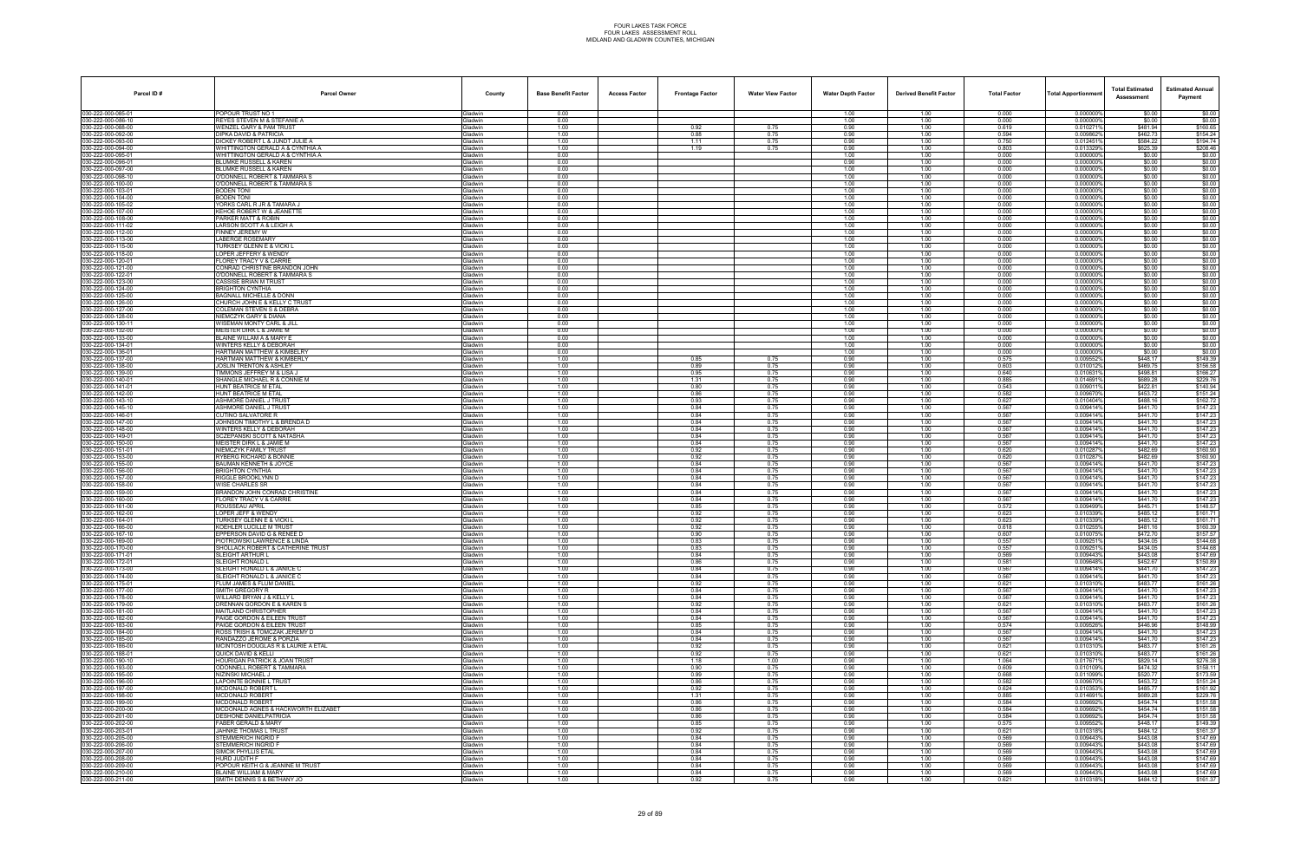| Parcel ID#                               | <b>Parcel Owner</b>                                                     | County                           | <b>Base Benefit Factor</b> | <b>Access Factor</b> | <b>Frontage Factor</b> | <b>Water View Factor</b> | <b>Water Depth Factor</b> | <b>Derived Benefit Factor</b> | <b>Total Factor</b> | <b>Total Apportionmer</b> | <b>Total Estimated</b><br>Assessment | <b>Estimated Annual</b><br>Payment |
|------------------------------------------|-------------------------------------------------------------------------|----------------------------------|----------------------------|----------------------|------------------------|--------------------------|---------------------------|-------------------------------|---------------------|---------------------------|--------------------------------------|------------------------------------|
| 030-222-000-085-01                       | POPOUR TRUST NO 1                                                       | Gladwin                          | 0.00                       |                      |                        |                          | 1.00                      | 1.00                          | 0.000               | 0.000000%                 | \$0.00                               | \$0.00                             |
| 030-222-000-086-10<br>30-222-000-088-00  | REYES STEVEN M & STEFANIE A<br>NENZEL GARY & PAM TRUST                  | Gladwin<br><b>Gladwin</b>        | 0.00<br>1.00               |                      | 0.92                   | 0.75                     | 1.00<br>0.90              | 1.00<br>1.00                  | 0.000<br>0.619      | 0.000000%<br>0.010271%    | \$0.00<br>\$481.94                   | \$0.00<br>\$160.65                 |
| 030-222-000-092-00                       | DIPKA DAVID & PATRICIA                                                  | Gladwin                          | 1.00                       |                      | 0.88                   | 0.75                     | 0.90                      | 1.00                          | 0.594               | 0.0098629                 | \$462.73                             | \$154.24                           |
| 030-222-000-093-00                       | DICKEY ROBERT L & JUNDT JULIE A                                         | Gladwin                          | 1.00                       |                      | 1.11                   | 0.75                     | 0.90                      | 1.00                          | 0.750               | 0.0124519                 | \$584.22                             | \$194.74                           |
| 30-222-000-094-00<br>30-222-000-095-01   | WHITTINGTON GERALD A & CYNTHIA A<br>WHITTINGTON GERALD A & CYNTHIA A    | Gladwin<br>Gladwin               | 1.00<br>0.00               |                      | 1.19                   | 0.75                     | 0.90<br>1.00              | 1.00<br>1.00                  | 0.803<br>0.000      | 0.0133299<br>0.000000%    | \$625.39<br>\$0.00                   | \$208.46<br>\$0.00                 |
| 30-222-000-096-01                        | BLUMKE RUSSELL & KAREN                                                  | <b>Gladwin</b>                   | 0.00                       |                      |                        |                          | 0.90                      | 1.00                          | 0.000               | 0.000000%                 | \$0.00                               | \$0.00                             |
| 30-222-000-097-00                        | <b>BLUMKE RUSSELL &amp; KAREN</b>                                       | Gladwin                          | 0.00                       |                      |                        |                          | 1.00                      | 1.00                          | 0.000               | 0.000000%                 | \$0.00                               | \$0.00                             |
| 30-222-000-098-10                        | O'DONNELL ROBERT & TAMMARA S<br>O'DONNELL ROBERT & TAMMARA S            | Gladwin<br><b>Gladwin</b>        | 0.00<br>0.00               |                      |                        |                          | 1.00<br>1.00              | 1.00<br>1.00                  | 0.000<br>0.000      | 0.0000009<br>0.0000009    | \$0.00<br>\$0.00                     | \$0.00<br>\$0.00                   |
| 030-222-000-100-00<br>030-222-000-103-01 | <b>BODEN TONI</b>                                                       | Gladwin                          | 0.00                       |                      |                        |                          | 1.00                      | 1.00                          | 0.000               | 0.000000%                 | \$0.00                               | \$0.00                             |
| 30-222-000-104-00                        | <b>SODEN TONI</b>                                                       | <b>Gladwin</b>                   | 0.00                       |                      |                        |                          | 1.00                      | 1.00                          | 0.000               | 0.000000%                 | \$0.00                               | \$0.00                             |
| 030-222-000-105-02                       | YORKS CARL R JR & TAMARA J                                              | <b>Gladwin</b>                   | 0.00                       |                      |                        |                          | 1.00                      | 1.00                          | 0.000               | 0.0000009                 | \$0.00                               | \$0.00                             |
| 30-222-000-107-00<br>030-222-000-108-00  | KEHOE ROBERT W & JEANETTE<br>PARKER MATT & ROBIN                        | Gladwin<br>Gladwin               | 0.00<br>0.00               |                      |                        |                          | 1.00<br>1.00              | 1.00<br>1.00                  | 0.000<br>0.000      | 0.0000009<br>0.000000     | \$0.00<br>\$0.00                     | \$0.00<br>\$0.00                   |
| 30-222-000-111-02                        | LARSON SCOTT A & LEIGH A                                                | Gladwin                          | 0.00                       |                      |                        |                          | 1.00                      | 1.00                          | 0.000               | 0.0000009                 | \$0.00                               | \$0.00                             |
| 30-222-000-112-00                        | <b>INNEY JEREMY W</b>                                                   | <b>Gladwin</b>                   | 0.00                       |                      |                        |                          | 1.00                      | 1.00                          | 0.000               | 0.0000009                 | \$0.00                               | \$0.00                             |
| 30-222-000-113-00<br>30-222-000-115-00   | LABERGE ROSEMARY<br>TURKSEY GLENN E & VICKI L                           | <b>Gladwin</b><br>Gladwin        | 0.00<br>0.00               |                      |                        |                          | 1.00<br>1.00              | 1.00<br>1.00                  | 0.000<br>0.000      | 0.0000009<br>0.000000     | \$0.00<br>\$0.00                     | \$0.00<br>\$0.00                   |
| 030-222-000-118-00                       | OPER JEFFERY & WENDY                                                    | <b>Gladwin</b>                   | 0.00                       |                      |                        |                          | 1.00                      | 1.00                          | 0.000               | 0.0000009                 | \$0.00                               | \$0.00                             |
| 30-222-000-120-01                        | <b>FLOREY TRACY V &amp; CARRIE</b>                                      | Gladwin                          | 0.00                       |                      |                        |                          | 1.00                      | 1.00                          | 0.000               | 0.0000009                 | \$0.00                               | \$0.00                             |
| 30-222-000-121-00<br>30-222-000-122-0    | ONRAD CHRISTINE BRANDON JOHN<br><b>O'DONNELL ROBERT &amp; TAMMARA S</b> | <b>Gladwin</b><br><b>Gladwin</b> | 0.00<br>0.00               |                      |                        |                          | 1.00<br>1.00              | 1.00<br>1.00                  | 0.000<br>0.000      | 0.000000%<br>0.0000009    | \$0.00<br>\$0.00                     | \$0.00<br>\$0.00                   |
| 30-222-000-123-00                        | CASSISE BRIAN M TRUST                                                   | Gladwin                          | 0.00                       |                      |                        |                          | 1.00                      | 1.00                          | 0.000               | 0.000000                  | \$0.00                               | \$0.00                             |
| 030-222-000-124-00                       | <b>BRIGHTON CYNTHIA</b>                                                 | Gladwin                          | 0.00                       |                      |                        |                          | 1.00                      | 1.00                          | 0.000               | 0.0000009                 | \$0.00                               | \$0.00                             |
| 30-222-000-125-00<br>80-222-000-126-00   | <b>BAGNALL MICHELLE &amp; DONN</b><br>HURCH JOHN E & KELLY C TRUST:     | <b>Gladwin</b><br><b>Gladwin</b> | 0.00<br>0.00               |                      |                        |                          | 1.00<br>1.00              | 1.00<br>1.00                  | 0.000<br>0.000      | 0.0000009<br>0.0000009    | \$0.00<br>\$0.00                     | \$0.00<br>\$0.00                   |
| 30-222-000-127-00                        | OLEMAN STEVEN S & DEBRA                                                 | <b>Gladwin</b>                   | 0.00                       |                      |                        |                          | 1.00                      | 1.00                          | 0.000               | 0.0000009                 | \$0.00                               | \$0.00                             |
| 30-222-000-128-00                        | NIEMCZYK GARY & DIANA                                                   | Gladwin                          | 0.00                       |                      |                        |                          | 1.00                      | 1.00                          | 0.000               | 0.000000                  | \$0.00                               | \$0.00                             |
| 030-222-000-130-11                       | WISEMAN MONTY CARL & JILL                                               | Gladwin                          | 0.00                       |                      |                        |                          | 1.00                      | 1.00                          | 0.000               | 0.000000%                 | \$0.00                               | \$0.00                             |
| 30-222-000-132-00<br>30-222-000-133-00   | MEISTER DIRK L & JAMIE M<br>BLAINE WILLAM A & MARY E                    | <b>Gladwin</b><br><b>Gladwin</b> | 0.00<br>0.00               |                      |                        |                          | 1.00<br>1.00              | 1.00<br>1.00                  | 0.000<br>0.000      | 0.0000009<br>0.000000%    | \$0.00<br>\$0.00                     | \$0.00<br>\$0.00                   |
| 30-222-000-134-01                        | WINTERS KELLY & DEBORAH                                                 | <b>Gladwin</b>                   | 0.00                       |                      |                        |                          | 1.00                      | 1.00                          | 0.000               | 0.0000009                 | \$0.00                               | \$0.00                             |
| 30-222-000-136-01                        | HARTMAN MATTHEW & KIMBELRY                                              | Gladwin                          | 0.00                       |                      |                        |                          | 1.00                      | 1.00                          | 0.000               | 0.0000009                 | \$0.00                               | \$0.00                             |
| 030-222-000-137-00<br>30-222-000-138-00  | <b>HARTMAN MATTHEW &amp; KIMBERLY</b><br>JOSLIN TRENTON & ASHLEY        | Gladwin<br><b>Gladwin</b>        | 1.00<br>1.00               |                      | 0.85<br>0.89           | 0.75<br>0.75             | 0.90<br>0.90              | 1.00<br>1.00                  | 0.575<br>0.603      | 0.009552%<br>0.010012     | \$448.17<br>\$469.75                 | \$149.39<br>\$156.58               |
| 30-222-000-139-00                        | IMMONS JEFFREY M & LISA J                                               | iladwin                          | 1.00                       |                      | 0.95                   | 0.75                     | 0.90                      | 1.00                          | 0.640               | 0.010631                  | \$498.81                             | \$166.27                           |
| 30-222-000-140-01                        | SHANGLE MICHAEL R & CONNIE M                                            | <b>Gladwin</b>                   | 1.00                       |                      | 1.31                   | 0.75                     | 0.90                      | 1.00                          | 0.885               | 0.0146919                 | \$689.28                             | \$229.76                           |
| 30-222-000-141-0                         | HUNT BEATRICE M ETAL<br>HUNT BEATRICE M ETAL                            | Gladwin<br>Gladwin               | 1.00<br>1.00               |                      | 0.80<br>0.86           | 0.75<br>0.75             | 0.90<br>0.90              | 1.00<br>1.00                  | 0.543<br>0.582      | 0.009011<br>0.009670%     | \$422.81<br>\$453.72                 | \$140.94<br>\$151.24               |
| 030-222-000-142-00<br>30-222-000-143-10  | ASHMORE DANIEL J TRUST                                                  | <b>Gladwin</b>                   | 1.00                       |                      | 0.93                   | 0.75                     | 0.90                      | 1.00                          | 0.627               | 0.010404%                 | \$488.16                             | \$162.72                           |
| 30-222-000-145-10                        | ASHMORE DANIEL J TRUST                                                  | <b>Gladwin</b>                   | 1.00                       |                      | 0.84                   | 0.75                     | 0.90                      | 1.00                          | 0.567               | 0.009414%                 | \$441.70                             | \$147.23                           |
| 030-222-000-146-01                       | CUTINO SALVATORE R                                                      | <b>Gladwin</b>                   | 1.00                       |                      | 0.84                   | 0.75                     | 0.90                      | 1.00                          | 0.567               | 0.009414%                 | \$441.70                             | \$147.23                           |
| 30-222-000-147-00<br>030-222-000-148-00  | JOHNSON TIMOTHY L & BRENDA D<br>WINTERS KELLY & DEBORAH                 | Gladwin<br>Gladwin               | 1.00<br>1.00               |                      | 0.84<br>0.84           | 0.75<br>0.75             | 0.90<br>0.90              | 1.00<br>1.00                  | 0.567<br>0.567      | 0.009414%<br>0.009414%    | \$441.70<br>\$441.70                 | \$147.23<br>\$147.23               |
| 30-222-000-149-01                        | SCZEPANSKI SCOTT & NATASHA                                              | <b>Gladwin</b>                   | 1.00                       |                      | 0.84                   | 0.75                     | 0.90                      | 1.00                          | 0.567               | 0.009414%                 | \$441.70                             | \$147.23                           |
| 30-222-000-150-00                        | <i>I</i> EISTER DIRK L & JAMIE M                                        | iladwin                          | 1.00                       |                      | 0.84                   | 0.75                     | 0.90                      | 1.00                          | 0.567               | 0.009414%                 | \$441.70                             | \$147.23                           |
| 30-222-000-151-01<br>30-222-000-153-00   | NIEMCZYK FAMILY TRUST<br>RYBERG RICHARD & BONNIE                        | <b>Gladwin</b><br><b>Gladwin</b> | 1.00<br>1.00               |                      | 0.92<br>0.92           | 0.75<br>0.75             | 0.90<br>0.90              | 1.00<br>1.00                  | 0.620<br>0.620      | 0.010287%<br>0.010287     | \$482.69<br>\$482.69                 | \$160.90<br>\$160.90               |
| 030-222-000-155-00                       | <b>BAUMAN KENNETH &amp; JOYCE</b>                                       | Gladwin                          | 1.00                       |                      | 0.84                   | 0.75                     | 0.90                      | 1.00                          | 0.567               | 0.009414%                 | \$441.70                             | \$147.23                           |
| 30-222-000-156-00                        | <b>BRIGHTON CYNTHIA</b>                                                 | <b>Gladwin</b>                   | 1.00                       |                      | 0.84                   | 0.75                     | 0.90                      | 1.00                          | 0.567               | 0.009414%                 | \$441.70                             | \$147.23                           |
| 30-222-000-157-00<br>030-222-000-158-00  | RIGGLE BROOKLYNN D<br>WISE CHARLES SR                                   | <b>Gladwin</b><br>Gladwin        | 1.00<br>1.00               |                      | 0.84<br>0.84           | 0.75<br>0.75             | 0.90<br>0.90              | 1.00<br>1.00                  | 0.567<br>0.567      | 0.009414%<br>0.009414%    | \$441.70<br>\$441.70                 | \$147.23<br>\$147.23               |
| 30-222-000-159-00                        | BRANDON JOHN CONRAD CHRISTINE                                           | Gladwin                          | 1.00                       |                      | 0.84                   | 0.75                     | 0.90                      | 1.00                          | 0.567               | 0.009414%                 | \$441.70                             | \$147.23                           |
| 030-222-000-160-00                       | <b>FLOREY TRACY V &amp; CARRIE</b>                                      | Gladwin                          | 1.00                       |                      | 0.84                   | 0.75                     | 0.90                      | 1.00                          | 0.567               | 0.009414%                 | \$441.70                             | \$147.23                           |
| 30-222-000-161-00                        | ROUSSEAU APRIL                                                          | <b>Gladwin</b>                   | 1.00                       |                      | 0.85                   | 0.75                     | 0.90                      | 1.00                          | 0.572               | 0.009499%                 | \$445.71                             | \$148.57                           |
| 30-222-000-162-00<br>030-222-000-164-01  | OPER JEFF & WENDY<br><b>TURKSEY GLENN E &amp; VICKI L</b>               | <b>Gladwin</b><br>Gladwin        | 1.00<br>1.00               |                      | 0.92<br>0.92           | 0.75<br>0.75             | 0.90<br>0.90              | 1.00<br>1.00                  | 0.623<br>0.623      | 0.010339<br>0.010339%     | \$485.12<br>\$485.12                 | \$161.71<br>\$161.71               |
| 30-222-000-166-00                        | KOEHLER LUCILLE M TRUST                                                 | <b>Gladwin</b>                   | 1.00                       |                      | 0.92                   | 0.75                     | 0.90                      | 1.00                          | 0.618               | 0.010255                  | \$481.16                             | \$160.39                           |
| 030-222-000-167-10                       | EPPERSON DAVID G & RENEE D                                              | Gladwin                          | 1.00                       |                      | 0.90                   | 0.75                     | 0.90                      | 1.00                          | 0.607               | 0.010075%                 | \$472.70                             | \$157.57                           |
| 030-222-000-169-00<br>030-222-000-170-00 | PIOTROWSKI LAWRENCE & LINDA<br>SHOLLACK ROBERT & CATHERINE TRUST        | <b>Jadwin</b><br><b>i</b> ladwin | 1.00<br>1.00               |                      | 0.83<br>0.83           | 0.75<br>0.75             | 0.90<br>0.90              | 1.00<br>1.00                  | 0.557<br>0.557      | 0.0092519<br>0.009251     | \$434.05<br>\$434.05                 | \$144.68<br>\$144.68               |
| 030-222-000-171-01                       | SLEIGHT ARTHUR L                                                        | Gladwin                          | 1.00                       |                      | 0.84                   | 0.75                     | 0.90                      | 1.00                          | 0.569               | 0.009443%                 | \$443.08                             | \$147.69                           |
| 30-222-000-172-01                        | SLEIGHT RONALD L                                                        | Gladwin                          | 1.00                       |                      | 0.86                   | 0.75                     | 0.90                      | 1.00                          | 0.581               | 0.009648%                 | \$452.67                             | \$150.89                           |
| 030-222-000-173-00                       | SLEIGHT RONALD L & JANICE C<br>SLEIGHT RONALD L & JANICE C              | Gladwin                          | 1.00                       |                      | 0.84                   | 0.75                     | 0.90                      | 1.00                          | 0.567               | 0.009414%                 | \$441.70                             | \$147.23                           |
| 30-222-000-174-00<br>30-222-000-175-01   | <b>FLUM JAMES &amp; FLUM DANIEL</b>                                     | <b>Gladwin</b><br><b>Gladwin</b> | 1.00<br>1.00               |                      | 0.84<br>0.92           | 0.75<br>0.75             | 0.90<br>0.90              | 1.00<br>1.00                  | 0.567<br>0.621      | 0.009414%<br>0.0103109    | \$441.70<br>\$483.77                 | \$147.23<br>\$161.26               |
| 030-222-000-177-00                       | SMITH GREGORY R                                                         | Gladwin                          | 1.00                       |                      | 0.84                   | 0.75                     | 0.90                      | 1.00                          | 0.567               | 0.009414%                 | \$441.70                             | \$147.23                           |
| 30-222-000-178-00                        | WILLARD BRYAN J & KELLY L                                               | Gladwin                          | 1.00                       |                      | 0.84                   | 0.75                     | 0.90                      | 1.00                          | 0.567               | 0.009414%                 | \$441.70                             | \$147.23                           |
| 030-222-000-179-00<br>30-222-000-181-00  | DRENNAN GORDON E & KAREN S<br>MAITLAND CHRISTOPHER                      | Gladwin<br><b>Gladwin</b>        | 1.00<br>1.00               |                      | 0.92<br>0.84           | 0.75<br>0.75             | 0.90<br>0.90              | 1.00<br>1.00                  | 0.621<br>0.567      | 0.010310%<br>0.009414%    | \$483.77<br>\$441.70                 | \$161.26<br>\$147.23               |
| 30-222-000-182-00                        | PAIGE GORDON & EILEEN TRUST                                             | <b>Gladwin</b>                   | 1.00                       |                      | 0.84                   | 0.75                     | 0.90                      | 1.00                          | 0.567               | 0.009414%                 | \$441.70                             | \$147.23                           |
| 030-222-000-183-00                       | PAIGE GORDON & EILEEN TRUST                                             | Gladwin                          | 1.00                       |                      | 0.85                   | 0.75                     | 0.90                      | 1.00                          | 0.574               | 0.009526%                 | \$446.96                             | \$148.99                           |
| 030-222-000-184-00<br>030-222-000-185-00 | ROSS TRISH & TOMCZAK JEREMY D<br>RANDAZZO JEROME & PORZIA               | Gladwin<br>Gladwin               | 1.00<br>1.00               |                      | 0.84<br>0.84           | 0.75<br>0.75             | 0.90<br>0.90              | 1.00<br>1.00                  | 0.567<br>0.567      | 0.009414%<br>0.009414%    | \$441.70<br>\$441.70                 | \$147.23<br>\$147.23               |
| 30-222-000-186-00                        | MCINTOSH DOUGLAS R & LAURIE A ETAL                                      | <b>Gladwin</b>                   | 1.00                       |                      | 0.92                   | 0.75                     | 0.90                      | 1.00                          | 0.621               | 0.0103109                 | \$483.77                             | \$161.26                           |
| 30-222-000-188-01                        | QUICK DAVID & KELLI                                                     | <b>Gladwin</b>                   | 1.00                       |                      | 0.92                   | 0.75                     | 0.90                      | 1.00                          | 0.621               | 0.010310                  | \$483.77                             | \$161.26                           |
| 030-222-000-190-10                       | <b>HOURIGAN PATRICK &amp; JOAN TRUST</b>                                | Gladwin                          | 1.00                       |                      | 1.18                   | 1.00                     | 0.90                      | 1.00                          | 1.064               | 0.017671%                 | \$829.14                             | \$276.38                           |
| 30-222-000-193-00<br>030-222-000-195-00  | ODONNELL ROBERT & TAMMARA<br>NIZINSKI MICHAEL J                         | Gladwin<br>Gladwin               | 1.00<br>1.00               |                      | 0.90<br>0.99           | 0.75<br>0.75             | 0.90<br>0.90              | 1.00<br>1.00                  | 0.609<br>0.668      | 0.010109%<br>0.011099%    | \$474.32<br>\$520.77                 | \$158.11<br>\$173.59               |
| 030-222-000-196-00                       | LAPOINTE BONNIE L TRUST                                                 | Gladwin                          | 1.00                       |                      | 0.86                   | 0.75                     | 0.90                      | 1.00                          | 0.582               | 0.009670%                 | \$453.72                             | \$151.24                           |
| 30-222-000-197-00                        | <b>MCDONALD ROBERT L</b>                                                | <b>Gladwin</b>                   | 1.00                       |                      | 0.92                   | 0.75                     | 0.90                      | 1.00                          | 0.624               | 0.0103539                 | \$485.77                             | \$161.92                           |
| 030-222-000-198-00<br>030-222-000-199-00 | MCDONALD ROBERT<br><b>MCDONALD ROBERT</b>                               | Gladwin<br>Gladwin               | 1.00<br>1.00               |                      | 1.31<br>0.86           | 0.75<br>0.75             | 0.90<br>0.90              | 1.00<br>1.00                  | 0.885<br>0.584      | 0.014691%<br>0.009692%    | \$689.28<br>\$454.74                 | \$229.76<br>\$151.58               |
| 030-222-000-200-00                       | MCDONALD AGNES & HACKWORTH ELIZABET                                     | Gladwin                          | 1.00                       |                      | 0.86                   | 0.75                     | 0.90                      | 1.00                          | 0.584               | 0.009692%                 | \$454.74                             | \$151.58                           |
| 030-222-000-201-00                       | DESHONE DANIELPATRICIA                                                  | Gladwin                          | 1.00                       |                      | 0.86                   | 0.75                     | 0.90                      | 1.00                          | 0.584               | 0.009692%                 | \$454.74                             | \$151.58                           |
| 30-222-000-202-00<br>030-222-000-203-01  | FABER GERALD & MARY<br>JAHNKE THOMAS L TRUST                            | <b>Gladwin</b><br>Gladwin        | 1.00<br>1.00               |                      | 0.85<br>0.92           | 0.75<br>0.75             | 0.90<br>0.90              | 1.00<br>1.00                  | 0.575<br>0.621      | 0.0095529<br>0.010318%    | \$448.17<br>\$484.12                 | \$149.39<br>\$161.37               |
| 30-222-000-205-00                        | STEMMERICH INGRID F                                                     | Gladwin                          | 1.00                       |                      | 0.84                   | 0.75                     | 0.90                      | 1.00                          | 0.569               | 0.009443%                 | \$443.08                             | \$147.69                           |
| 030-222-000-206-00                       | STEMMERICH INGRID F                                                     | Gladwin                          | 1.00                       |                      | 0.84                   | 0.75                     | 0.90                      | 1.00                          | 0.569               | 0.009443%                 | \$443.08                             | \$147.69                           |
| 030-222-000-207-00                       | SIMCIK PHYLLIS ETAL                                                     | Gladwin                          | 1.00                       |                      | 0.84                   | 0.75                     | 0.90                      | 1.00                          | 0.569               | 0.009443%                 | \$443.08                             | \$147.69                           |
| 30-222-000-208-00<br>030-222-000-209-00  | IURD JUDITH F<br>POPOUR KEITH G & JEANINE M TRUST                       | <b>Gladwin</b><br>Gladwin        | 1.00<br>1.00               |                      | 0.84<br>0.84           | 0.75<br>0.75             | 0.90<br>0.90              | 1.00<br>1.00                  | 0.569<br>0.569      | 0.009443%<br>0.009443%    | \$443.08<br>\$443.08                 | \$147.69<br>\$147.69               |
| 030-222-000-210-00                       | BLAINE WILLIAM & MARY                                                   | Gladwin                          | 1.00                       |                      | 0.84                   | 0.75                     | 0.90                      | 1.00                          | 0.569               | 0.009443%                 | \$443.08                             | \$147.69                           |
| 030-222-000-211-00                       | SMITH DENNIS S & BETHANY JO                                             | Gladwin                          | 1.00                       |                      | 0.92                   | 0.75                     | 0.90                      | 1.00                          | 0.621               | 0.010318%                 | \$484.12                             | \$161.37                           |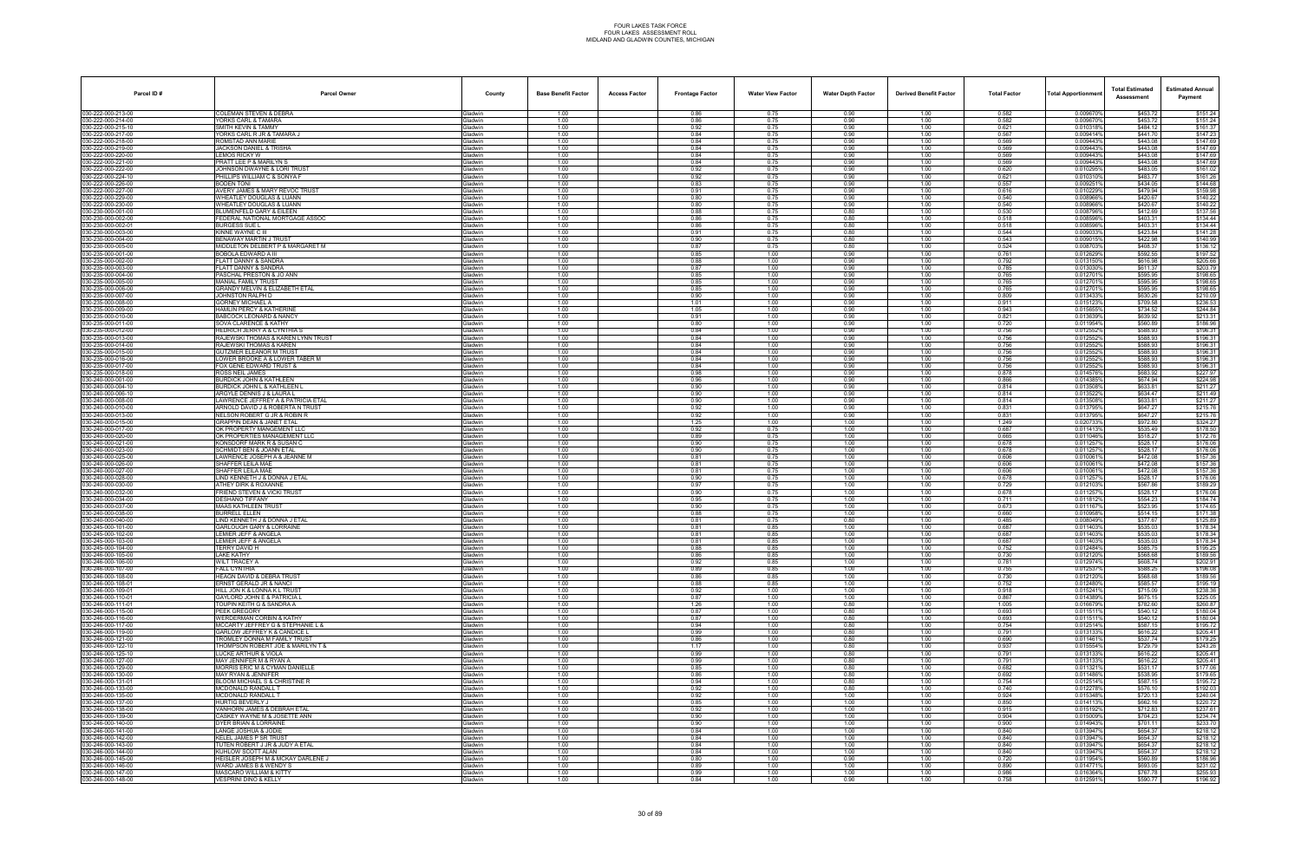| Parcel ID#                               | <b>Parcel Owner</b>                                                    | County                           | <b>Base Benefit Factor</b> | <b>Access Factor</b> | <b>Frontage Factor</b> | <b>Water View Factor</b> | <b>Water Depth Factor</b> | <b>Derived Benefit Factor</b> | <b>Total Factor</b> | <b>Total Apportionmer</b> | <b>Total Estimated</b><br>Assessment | <b>Estimated Annual</b><br>Payment |
|------------------------------------------|------------------------------------------------------------------------|----------------------------------|----------------------------|----------------------|------------------------|--------------------------|---------------------------|-------------------------------|---------------------|---------------------------|--------------------------------------|------------------------------------|
| 030-222-000-213-00                       | COLEMAN STEVEN & DEBRA                                                 | Gladwin                          | 1.00                       |                      | 0.86                   | 0.75                     | 0.90                      | 1.00                          | 0.582               | 0.009670%                 | \$453.72                             | \$151.24                           |
| 030-222-000-214-00                       | <b>ORKS CARL &amp; TAMARA</b>                                          | <b>Gladwin</b>                   | 1.00                       |                      | 0.86                   | 0.75                     | 0.90                      | 1.00                          | 0.582<br>0.621      | 0.0096709                 | \$453.72                             | \$151.24                           |
| 30-222-000-215-10<br>030-222-000-217-00  | SMITH KEVIN & TAMMY<br>YORKS CARL R JR & TAMARA J                      | Gladwin<br><b>Gladwin</b>        | 1.00<br>1.00               |                      | 0.92<br>0.84           | 0.75<br>0.75             | 0.90<br>0.90              | 1.00<br>1.00                  | 0.567               | 0.0103189<br>0.009414%    | \$484.12<br>\$441.70                 | \$161.37<br>\$147.23               |
| 30-222-000-218-00                        | ROMSTAD ANN MARIE                                                      | <b>Gladwin</b>                   | 1.00                       |                      | 0.84                   | 0.75                     | 0.90                      | 1.00                          | 0.569               | 0.0094439                 | \$443.08                             | \$147.69                           |
| 030-222-000-219-00                       | <b>JACKSON DANIEL &amp; TRISHA</b>                                     | Gladwin                          | 1.00                       |                      | 0.84                   | 0.75                     | 0.90                      | 1.00                          | 0.569               | 0.009443%                 | \$443.08                             | \$147.69                           |
| 30-222-000-220-00<br>30-222-000-221-00   | <b>LEMOS RICKY W</b><br>PRATT LEE P & MARILYN S                        | Gladwin<br><b>Gladwin</b>        | 1.00<br>1.00               |                      | 0.84<br>0.84           | 0.75<br>0.75             | 0.90<br>0.90              | 1.00<br>1.00                  | 0.569<br>0.569      | 0.0094439<br>0.0094439    | \$443.08<br>\$443.08                 | \$147.69<br>\$147.69               |
| 30-222-000-222-00                        | JOHNSON DWAYNE & LORI TRUST                                            | <b>Gladwin</b>                   | 1.00                       |                      | 0.92                   | 0.75                     | 0.90                      | 1.00                          | 0.620               | 0.010295%                 | \$483.05                             | \$161.02                           |
| 30-222-000-224-10                        | PHILLIPS WILLIAM C & SONYA F                                           | <b>Gladwin</b>                   | 1.00                       |                      | 0.92                   | 0.75                     | 0.90                      | 1.00                          | 0.621               | 0.0103109                 | \$483.77                             | \$161.26                           |
| 030-222-000-226-00<br>30-222-000-227-00  | BODEN TONI<br>AVERY JAMES & MARY REVOC TRUST                           | <b>Gladwin</b><br><b>Gladwin</b> | 1.00<br>1.00               |                      | 0.83<br>0.91           | 0.75<br>0.75             | 0.90<br>0.90              | 1.00<br>1.00                  | 0.557<br>0.616      | 0.009251%<br>0.010229%    | \$434.05<br>\$479.94                 | \$144.68<br>\$159.98               |
| 30-222-000-229-00                        | WHEATLEY DOUGLAS & LUANN                                               | <b>Gladwin</b>                   | 1.00                       |                      | 0.80                   | 0.75                     | 0.90                      | 1.00                          | 0.540               | 0.008966%                 | \$420.67                             | \$140.22                           |
| 030-222-000-230-00                       | <b><i>NHEATLEY DOUGLAS &amp; LUANN</i></b>                             | <b>Gladwin</b>                   | 1.00                       |                      | 0.80                   | 0.75                     | 0.90                      | 1.00                          | 0.540               | 0.008966%                 | \$420.67                             | \$140.22                           |
| 30-230-000-001-00<br>030-230-000-002-00  | <b>BLUMENFELD GARY &amp; EILEEN</b><br>FEDERAL NATIONAL MORTGAGE ASSOC | <b>Gladwin</b><br><b>Gladwin</b> | 1.00<br>1.00               |                      | 0.88<br>0.86           | 0.75<br>0.75             | 0.80<br>0.80              | 1.00<br>1.00                  | 0.530<br>0.518      | 0.008796%<br>0.0085969    | \$412.69<br>\$403.31                 | \$137.56<br>\$134.44               |
| 30-230-000-002-01                        | <b>BURGESS SUE L</b>                                                   | Gladwin                          | 1.00                       |                      | 0.86                   | 0.75                     | 0.80                      | 1.00                          | 0.518               | 0.008596%                 | \$403.31                             | \$134.44                           |
| 30-230-000-003-00                        | <b>KINNE WAYNE C III</b>                                               | <b>Gladwin</b>                   | 1.00                       |                      | 0.91                   | 0.75                     | 0.80                      | 1.00                          | 0.544               | 0.009033                  | \$423.84                             | \$141.28                           |
| 30-230-000-004-00<br>30-230-000-005-00   | <b>BENAWAY MARTIN J TRUST</b><br>MIDDLETON DELBERT P & MARGARET M      | <b>Gladwin</b><br><b>Gladwin</b> | 1.00<br>1.00               |                      | 0.90<br>0.87           | 0.75<br>0.75             | 0.80<br>0.80              | 1.00<br>1.00                  | 0.543<br>0.524      | 0.009015%<br>0.0087039    | \$422.98<br>\$408.37                 | \$140.99<br>\$136.12               |
| 030-235-000-001-00                       | BOBOLA EDWARD A III                                                    | <b>Gladwin</b>                   | 1.00                       |                      | 0.85                   | 1.00                     | 0.90                      | 1.00                          | 0.761               | 0.0126299                 | \$592.55                             | \$197.52                           |
| 30-235-000-002-00                        | <b>FLATT DANNY &amp; SANDRA</b>                                        | <b>Gladwin</b>                   | 1.00                       |                      | 0.88                   | 1.00                     | 0.90                      | 1.00                          | 0.792               | 0.013150%                 | \$616.98                             | \$205.66                           |
| 30-235-000-003-00                        | FLATT DANNY & SANDRA                                                   | Gladwin                          | 1.00                       |                      | 0.87                   | 1.00                     | 0.90                      | 1.00                          | 0.785               | 0.0130309                 | \$611.37                             | \$203.79                           |
| 030-235-000-004-00<br>30-235-000-005-00  | PASCHAL PRESTON & JO ANN<br><b>MANIAL FAMILY TRUST</b>                 | <b>Gladwin</b><br>Gladwin        | 1.00<br>1.00               |                      | 0.85<br>0.85           | 1.00<br>1.00             | 0.90<br>0.90              | 1.00<br>1.00                  | 0.765<br>0.765      | 0.012701%<br>0.012701%    | \$595.95<br>\$595.95                 | \$198.65<br>\$198.65               |
| 030-235-000-006-00                       | GRANDY MELVIN & ELIZABETH ETAL                                         | <b>Gladwin</b>                   | 1.00                       |                      | 0.85                   | 1.00                     | 0.90                      | 1.00                          | 0.765               | 0.0127019                 | \$595.95                             | \$198.65                           |
| 30-235-000-007-00                        | JOHNSTON RALPH D                                                       | Gladwin                          | 1.00                       |                      | 0.90                   | 1.00                     | 0.90                      | 1.00                          | 0.809               | 0.0134339                 | \$630.26                             | \$210.09                           |
| 30-235-000-008-00<br>30-235-000-009-00   | GORNEY MICHAEL A<br><b>HAMLIN PERCY &amp; KATHERINE</b>                | <b>Gladwin</b><br><b>Gladwin</b> | 1.00<br>1.00               |                      | 1.01<br>1.05           | 1.00<br>1.00             | 0.90<br>0.90              | 1.00<br>1.00                  | 0.911<br>0.943      | 0.015123<br>0.015655%     | \$709.58<br>\$734.52                 | \$236.53<br>\$244.84               |
| 30-235-000-010-00                        | BABCOCK LEONARD & NANCY                                                | <b>Gladwin</b>                   | 1.00                       |                      | 0.91                   | 1.00                     | 0.90                      | 1.00                          | 0.821               | 0.013639%                 | \$639.92                             | \$213.31                           |
| 030-235-000-011-00                       | SOVA CLARENCE & KATHY                                                  | <b>Gladwin</b>                   | 1.00                       |                      | 0.80                   | 1.00                     | 0.90                      | 1.00                          | 0.720               | 0.011954%                 | \$560.89                             | \$186.96                           |
| 030-235-000-012-00                       | <b>HEDRICH JERRY A &amp; CYNTHIA S</b>                                 | Gladwin                          | 1.00                       |                      | 0.84                   | 1.00                     | 0.90                      | 1.00                          | 0.756               | 0.012552%                 | \$588.93                             | \$196.31                           |
| 30-235-000-013-00<br>030-235-000-014-00  | RAJEWSKI THOMAS & KAREN LYNN TRUST<br>RAJEWSKI THOMAS & KAREN          | <b>Gladwin</b><br><b>Gladwin</b> | 1.00<br>1.00               |                      | 0.84<br>0.84           | 1.00<br>1.00             | 0.90<br>0.90              | 1.00<br>1.00                  | 0.756<br>0.756      | 0.0125529<br>0.012552%    | \$588.93<br>\$588.93                 | \$196.31<br>\$196.31               |
| 30-235-000-015-00                        | <b>GUTZMER ELEANOR M TRUST</b>                                         | Gladwin                          | 1.00                       |                      | 0.84                   | 1.00                     | 0.90                      | 1.00                          | 0.756               | 0.012552%                 | \$588.93                             | \$196.31                           |
| 030-235-000-016-00                       | LOWER BROOKE A & LOWER TABER M                                         | <b>Gladwin</b>                   | 1.00                       |                      | 0.84                   | 1.00                     | 0.90                      | 1.00                          | 0.756               | 0.0125529                 | \$588.93                             | \$196.31                           |
| 030-235-000-017-00<br>30-235-000-018-00  | FOX GENE EDWARD TRUST &<br>ROSS NEIL JAMES                             | Gladwin<br><b>Gladwin</b>        | 1.00<br>1.00               |                      | 0.84<br>0.98           | 1.00<br>1.00             | 0.90<br>0.90              | 1.00<br>1.00                  | 0.756<br>0.878      | 0.012552%<br>0.0145769    | \$588.93<br>\$683.92                 | \$196.31<br>\$227.97               |
| 30-240-000-001-00                        | <b>BURDICK JOHN &amp; KATHLEEN</b>                                     | <b>Gladwin</b>                   | 1.00                       |                      | 0.96                   | 1.00                     | 0.90                      | 1.00                          | 0.866               | 0.014385%                 | \$674.94                             | \$224.98                           |
| 30-240-000-004-10                        | <b>BURDICK JOHN L &amp; KATHLEEN I</b>                                 | <b>Gladwin</b>                   | 1.00                       |                      | 0.90                   | 1.00                     | 0.90                      | 1.00                          | 0.814               | 0.013508%                 | \$633.81                             | \$211.27                           |
| 030-240-000-006-10                       | ARGYLE DENNIS J & LAURA L                                              | <b>Gladwin</b>                   | 1.00                       |                      | 0.90                   | 1.00                     | 0.90                      | 1.00                          | 0.814               | 0.013522                  | \$634.47                             | \$211.49                           |
| 030-240-000-008-00<br>30-240-000-010-00  | AWRENCE JEFFREY A & PATRICIA ETAL<br>ARNOLD DAVID J & ROBERTA N TRUST  | Gladwin<br><b>Gladwin</b>        | 1.00<br>1.00               |                      | 0.90<br>0.92           | 1.00<br>1.00             | 0.90<br>0.90              | 1.00<br>1.00                  | 0.814<br>0.831      | 0.013508%<br>0.0137959    | \$633.81<br>\$647.27                 | \$211.27<br>\$215.76               |
| 030-240-000-013-00                       | NELSON ROBERT G JR & ROBIN R                                           | Gladwin                          | 1.00                       |                      | 0.92                   | 1.00                     | 0.90                      | 1.00                          | 0.831               | 0.013795%                 | \$647.27                             | \$215.76                           |
| 30-240-000-015-00                        | <b>GRAPPIN DEAN &amp; JANET ETAL</b>                                   | Gladwin                          | 1.00                       |                      | 1.25                   | 1.00                     | 1.00                      | 1.00                          | 1.249               | 0.020733%                 | \$972.80                             | \$324.27                           |
| 030-240-000-017-00<br>030-240-000-020-00 | OK PROPERTY MANGEMENT LLC<br>OK PROPERTIES MANAGEMENT LLO              | <b>Gladwin</b><br>Gladwin        | 1.00<br>1.00               |                      | 0.92<br>0.89           | 0.75<br>0.75             | 1.00<br>1.00              | 1.00<br>1.00                  | 0.687<br>0.665      | 0.011413<br>0.011046%     | \$535.49<br>\$518.27                 | \$178.50<br>\$172.76               |
| 30-240-000-021-00                        | KONSDORF MARK R & SUSAN C                                              | <b>Gladwin</b>                   | 1.00                       |                      | 0.90                   | 0.75                     | 1.00                      | 1.00                          | 0.678               | 0.011257                  | \$528.17                             | \$176.06                           |
| 30-240-000-023-00                        | <b>SCHMIDT BEN &amp; JOANN ETAL</b>                                    | <b>Gladwin</b>                   | 1.00                       |                      | 0.90                   | 0.75                     | 1.00                      | 1.00                          | 0.678               | 0.011257%                 | \$528.17                             | \$176.06                           |
| 30-240-000-025-00<br>30-240-000-026-00   | LAWRENCE JOSEPH A & JEANNE M<br>SHAFFER LEILA MAE                      | <b>Gladwin</b><br><b>Gladwin</b> | 1.00<br>1.00               |                      | 0.81<br>0.81           | 0.75<br>0.75             | 1.00<br>1.00              | 1.00<br>1.00                  | 0.606<br>0.606      | 0.0100619<br>0.010061     | \$472.08<br>\$472.08                 | \$157.36<br>\$157.36               |
| 030-240-000-027-00                       | SHAFFER LEILA MAE                                                      | Gladwin                          | 1.00                       |                      | 0.81                   | 0.75                     | 1.00                      | 1.00                          | 0.606               | 0.0100619                 | \$472.08                             | \$157.36                           |
| 30-240-000-028-00                        | LIND KENNETH J & DONNA J ETAL                                          | <b>Gladwin</b>                   | 1.00                       |                      | 0.90                   | 0.75                     | 1.00                      | 1.00                          | 0.678               | 0.011257                  | \$528.17                             | \$176.06                           |
| 30-240-000-030-00<br>030-240-000-032-00  | ATHEY DIRK & ROXANNE<br><b>FRIEND STEVEN &amp; VICKI TRUST</b>         | Gladwin<br>Gladwin               | 1.00<br>1.00               |                      | 0.97<br>0.90           | 0.75<br>0.75             | 1.00<br>1.00              | 1.00<br>1.00                  | 0.729<br>0.678      | 0.012103%<br>0.0112579    | \$567.86<br>\$528.17                 | \$189.29<br>\$176.06               |
| 30-240-000-034-00                        | DESHANO TIFFANY                                                        | Gladwin                          | 1.00                       |                      | 0.95                   | 0.75                     | 1.00                      | 1.00                          | 0.711               | 0.011812                  | \$554.23                             | \$184.74                           |
| 030-240-000-037-00                       | <b>MAAS KATHLEEN TRUST</b>                                             | Gladwin                          | 1.00                       |                      | 0.90                   | 0.75                     | 1.00                      | 1.00                          | 0.673               | 0.0111679                 | \$523.95                             | \$174.65                           |
| 30-240-000-038-00                        | <b>BURRELL ELLEN</b>                                                   | <b>Gladwin</b>                   | 1.00                       |                      | 0.88                   | 0.75                     | 1.00                      | 1.00                          | 0.660               | 0.0109589                 | \$514.15                             | \$171.38                           |
| 30-240-000-040-00<br>30-245-000-101-00   | IND KENNETH J & DONNA J ETAL<br><b>GARLOUGH GARY &amp; LORRAINE</b>    | <b>Gladwin</b><br>Gladwin        | 1.00<br>1.00               |                      | 0.81<br>0.81           | 0.75<br>0.85             | 0.80<br>1.00              | 1.00<br>1.00                  | 0.485<br>0.687      | 0.008049%<br>0.0114039    | \$377.67<br>\$535.03                 | \$125.89<br>\$178.34               |
| 30-245-000-102-00                        | LEMIER JEFF & ANGELA                                                   | <b>Gladwin</b>                   | 1.00                       |                      | 0.81                   | 0.85                     | 1.00                      | 1.00                          | 0.687               | 0.011403                  | \$535.03                             | \$178.34                           |
| 030-245-000-103-00                       | LEMIER JEFF & ANGELA                                                   | Gladwin                          | 1.00                       |                      | 0.81                   | 0.85                     | 1.00                      | 1.00                          | 0.687               | 0.011403%                 | \$535.03                             | \$178.34                           |
| 030-245-000-104-00<br>030-246-000-105-00 | TERRY DAVID H<br>LAKE KATHY                                            | <b>Gladwin</b><br>Gladwin        | 1.00<br>1.00               |                      | 0.88<br>0.86           | 0.85<br>0.85             | 1.00<br>1.00              | 1.00<br>1.00                  | 0.752<br>0.730      | 0.012484%<br>0.012120%    | \$585.75<br>\$568.68                 | \$195.25<br>\$189.56               |
| 030-246-000-106-00                       | <b>WILT TRACEY A</b>                                                   | Gladwin                          | 1.00                       |                      | 0.92                   | 0.85                     | 1.00                      | 1.00                          | 0.781               | 0.012974%                 | \$608.74                             | \$202.91                           |
| 030-246-000-107-00                       | FALL CYNTHIA                                                           | Gladwin                          | 1.00                       |                      | 0.89                   | 0.85                     | 1.00                      | 1.00                          | 0.755               | 0.0125379                 | \$588.25                             | \$196.08                           |
| 030-246-000-108-00<br>30-246-000-108-01  | <b>HEAGN DAVID &amp; DEBRA TRUST</b><br>ERNST GERALD JR & NANCI        | Gladwin<br>Gladwin               | 1.00<br>1.00               |                      | 0.86<br>0.88           | 0.85<br>0.85             | 1.00<br>1.00              | 1.00<br>1.00                  | 0.730<br>0.752      | 0.012120%<br>0.012480%    | \$568.68<br>\$585.57                 | \$189.56<br>\$195.19               |
| 30-246-000-109-01                        | HILL JON K & LONNA K L TRUST                                           | Gladwin                          | 1.00                       |                      | 0.92                   | 1.00                     | 1.00                      | 1.00                          | 0.918               | 0.015241%                 | \$715.09                             | \$238.36                           |
| 030-246-000-110-01                       | <b>GAYLORD JOHN E &amp; PATRICIA L</b>                                 | Gladwin                          | 1.00                       |                      | 0.87                   | 1.00                     | 1.00                      | 1.00                          | 0.867               | 0.014389%                 | \$675.15                             | \$225.05                           |
| 30-246-000-111-01                        | TOUPIN KEITH G & SANDRA A                                              | Gladwin                          | 1.00                       |                      | 1.26                   | 1.00                     | 0.80                      | 1.00                          | 1.005               | 0.016679%                 | \$782.60                             | \$260.87                           |
| 030-246-000-115-00<br>30-246-000-116-00  | PEEK GREGORY<br>WERDERMAN CORBIN & KATHY                               | Gladwin<br>Gladwin               | 1.00<br>1.00               |                      | 0.87<br>0.87           | 1.00<br>1.00             | 0.80<br>0.80              | 1.00<br>1.00                  | 0.693<br>0.693      | 0.011511%<br>0.011511%    | \$540.12<br>\$540.12                 | \$180.04<br>\$180.04               |
| 030-246-000-117-00                       | <b>MCCARTY JEFFREY G &amp; STEPHANIE L &amp;</b>                       | Gladwin                          | 1.00                       |                      | 0.94                   | 1.00                     | 0.80                      | 1.00                          | 0.754               | 0.012514%                 | \$587.15                             | \$195.72                           |
| 030-246-000-119-00                       | <b>GARLOW JEFFREY K &amp; CANDICE L</b>                                | Gladwin                          | 1.00                       |                      | 0.99                   | 1.00                     | 0.80                      | 1.00                          | 0.791               | 0.013133%                 | \$616.22                             | \$205.41                           |
| 030-246-000-121-00<br>030-246-000-122-10 | TROMLEY DONNA M FAMILY TRUST<br>THOMPSON ROBERT JOE & MARILYN T &      | Gladwin<br>Gladwin               | 1.00<br>1.00               |                      | 0.86<br>1.17           | 1.00<br>1.00             | 0.80<br>0.80              | 1.00<br>1.00                  | 0.690<br>0.937      | 0.011461%<br>0.015554%    | \$537.74<br>\$729.79                 | \$179.25<br>\$243.26               |
| 30-246-000-125-10                        | LUCKE ARTHUR & VIOLA                                                   | Gladwin                          | 1.00                       |                      | 0.99                   | 1.00                     | 0.80                      | 1.00                          | 0.791               | 0.013133%                 | \$616.22                             | \$205.41                           |
| 30-246-000-127-00                        | MAY JENNIFER M & RYAN A                                                | <b>Gladwin</b>                   | 1.00                       |                      | 0.99                   | 1.00                     | 0.80                      | 1.00                          | 0.791               | 0.013133%                 | \$616.22                             | \$205.41                           |
| 030-246-000-129-00                       | <b>MORRIS ERIC M &amp; CYMAN DANIELLE</b>                              | Gladwin                          | 1.00<br>1.00               |                      | 0.85                   | 1.00                     | 0.80                      | 1.00                          | 0.682<br>0.692      | 0.011321%<br>0.011486%    | \$531.17<br>\$538.95                 | \$177.06                           |
| 30-246-000-130-00<br>030-246-000-131-01  | MAY RYAN & JENNIFER<br>BLOOM MICHAEL S & CHRISTINE R                   | Gladwin<br>Gladwin               | 1.00                       |                      | 0.86<br>0.94           | 1.00<br>1.00             | 0.80<br>0.80              | 1.00<br>1.00                  | 0.754               | 0.012514%                 | \$587.15                             | \$179.65<br>\$195.72               |
| 030-246-000-133-00                       | MCDONALD RANDALL T                                                     | Gladwin                          | 1.00                       |                      | 0.92                   | 1.00                     | 0.80                      | 1.00                          | 0.740               | 0.012278%                 | \$576.10                             | \$192.03                           |
| 30-246-000-135-00                        | <b>MCDONALD RANDALL T</b>                                              | Gladwin                          | 1.00                       |                      | 0.92                   | 1.00                     | 1.00                      | 1.00                          | 0.924               | 0.015348%                 | \$720.13                             | \$240.04                           |
| 030-246-000-137-00<br>030-246-000-138-00 | <b>HURTIG BEVERLY J</b><br>VANHORN JAMES & DEBRAH ETAL                 | Gladwin<br>Gladwin               | 1.00<br>1.00               |                      | 0.85<br>0.92           | 1.00<br>1.00             | 1.00<br>1.00              | 1.00<br>1.00                  | 0.850<br>0.915      | 0.014113%<br>0.015192%    | \$662.16<br>\$712.83                 | \$220.72<br>\$237.61               |
| 030-246-000-139-00                       | CASKEY WAYNE M & JOSETTE ANN                                           | Gladwin                          | 1.00                       |                      | 0.90                   | 1.00                     | 1.00                      | 1.00                          | 0.904               | 0.015009%                 | \$704.23                             | \$234.74                           |
| 30-246-000-140-00                        | DYER BRIAN & LORRAINE                                                  | Gladwin                          | 1.00                       |                      | 0.90                   | 1.00                     | 1.00                      | 1.00                          | 0.900               | 0.014943%                 | \$701.11                             | \$233.70                           |
| 30-246-000-141-00<br>030-246-000-142-00  | LANGE JOSHUA & JODIE<br>KELEL JAMES P SR TRUST                         | <b>Gladwin</b><br>Gladwin        | 1.00<br>1.00               |                      | 0.84<br>0.84           | 1.00<br>1.00             | 1.00<br>1.00              | 1.00<br>1.00                  | 0.840<br>0.840      | 0.013947%<br>0.013947%    | \$654.37<br>\$654.37                 | \$218.12<br>\$218.12               |
| 30-246-000-143-00                        | TUTEN ROBERT J JR & JUDY A ETAL                                        | Gladwin                          | 1.00                       |                      | 0.84                   | 1.00                     | 1.00                      | 1.00                          | 0.840               | 0.013947%                 | \$654.37                             | \$218.12                           |
| 030-246-000-144-00                       | KUHLOW SCOTT ALAN                                                      | Gladwin                          | 1.00                       |                      | 0.84                   | 1.00                     | 1.00                      | 1.00                          | 0.840               | 0.013947%                 | \$654.37                             | \$218.12                           |
| 30-246-000-145-00                        | HEISLER JOSEPH M & MCKAY DARLENE J<br>WARD JAMES B & WENDY S           | Gladwin<br><b>Gladwin</b>        | 1.00                       |                      | 0.80                   | 1.00                     | 0.90                      | 1.00                          | 0.720               | 0.011954%<br>0.014771%    | \$560.89                             | \$186.96                           |
| 30-246-000-146-00<br>030-246-000-147-00  | <b>MASCARO WILLIAM &amp; KITTY</b>                                     | Gladwin                          | 1.00<br>1.00               |                      | 0.89<br>0.99           | 1.00<br>1.00             | 1.00<br>1.00              | 1.00<br>1.00                  | 0.890<br>0.986      | 0.016364%                 | \$693.05<br>\$767.78                 | \$231.02<br>\$255.93               |
| 030-246-000-148-00                       | VESPRINI DINO & KELLY                                                  | Gladwin                          | 1.00                       |                      | 0.84                   | 1.00                     | 0.90                      | 1.00                          | 0.758               | 0.012591%                 | \$590.77                             | \$196.92                           |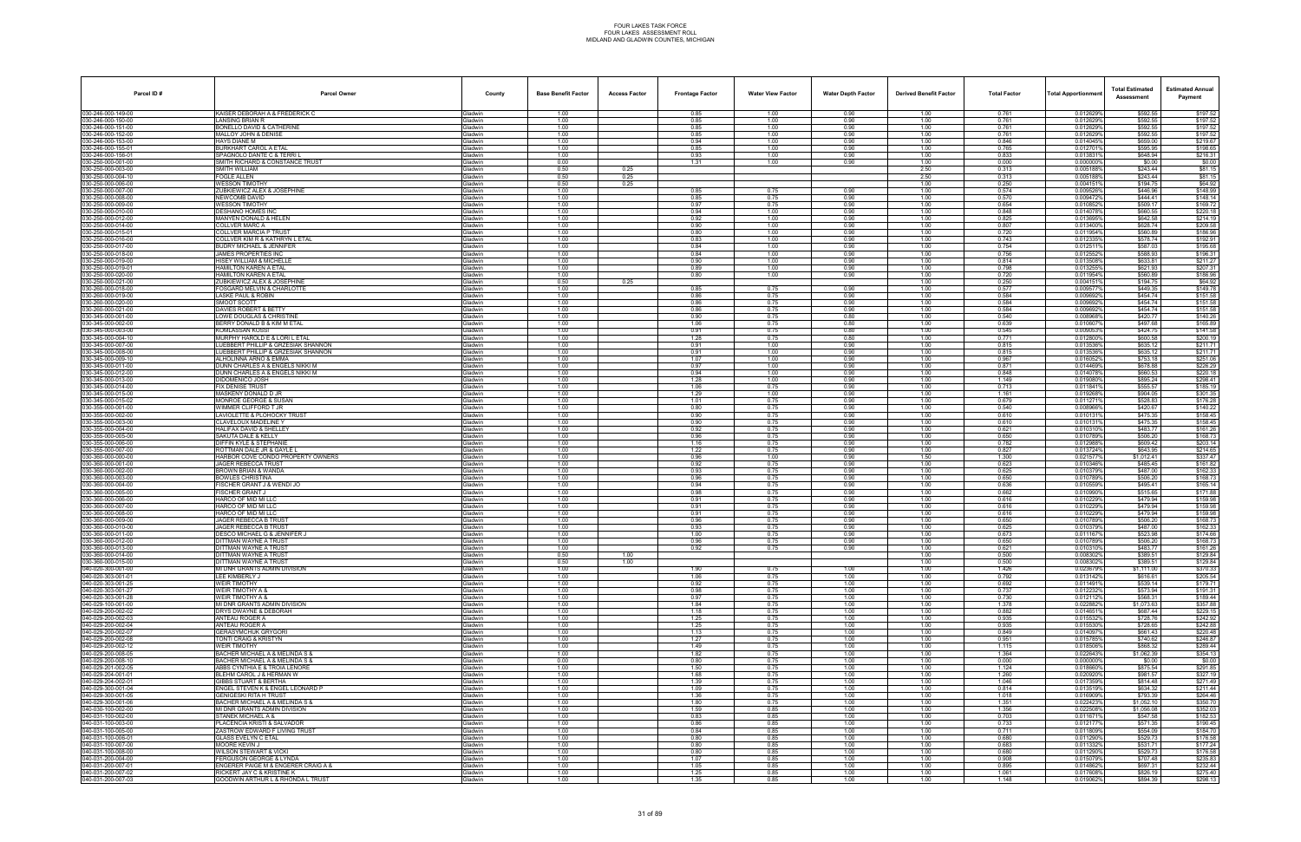| Parcel ID#                               | <b>Parcel Owner</b>                                                            | County                           | <b>Base Benefit Factor</b> | <b>Access Factor</b> | <b>Frontage Factor</b> | <b>Water View Factor</b> | <b>Water Depth Factor</b> | <b>Derived Benefit Factor</b> | <b>Total Factor</b> | Total Apportionmer     | <b>Total Estimated</b><br>Assessment | <b>Estimated Annual</b><br>Payment |
|------------------------------------------|--------------------------------------------------------------------------------|----------------------------------|----------------------------|----------------------|------------------------|--------------------------|---------------------------|-------------------------------|---------------------|------------------------|--------------------------------------|------------------------------------|
| 030-246-000-149-00                       | <b>KAISER DEBORAH A &amp; FREDERICK C</b>                                      | <b>Gladwin</b>                   | 1.00                       |                      | 0.85                   | 1.00                     | 0.90                      | 1.00                          | 0.761               | 0.012629%              | \$592.55                             | \$197.52                           |
| 030-246-000-150-00<br>30-246-000-151-00  | LANSING BRIAN R<br><b>BONELLO DAVID &amp; CATHERINE</b>                        | Gladwin<br><b>Gladwin</b>        | 1.00<br>1.00               |                      | 0.85<br>0.85           | 1.00<br>1.00             | 0.90<br>0.90              | 1.00<br>1.00                  | 0.761<br>0.761      | 0.012629%<br>0.012629% | \$592.55<br>\$592.55                 | \$197.52<br>\$197.52               |
| 030-246-000-152-00                       | MALLOY JOHN & DENISE                                                           | Gladwin                          | 1.00                       |                      | 0.85                   | 1.00                     | 0.90                      | 1.00                          | 0.761               | 0.012629%              | \$592.55                             | \$197.52                           |
| 30-246-000-153-00                        | <b>HAYS DIANE M</b>                                                            | Gladwin                          | 1.00                       |                      | 0.94                   | 1.00                     | 0.90                      | 1.00                          | 0.846               | 0.014045%              | \$659.00                             | \$219.67                           |
| 30-246-000-155-01<br>30-246-000-156-01   | <b>BURKHART CAROL A ETAL</b><br>SPAGNOLO DANTE C & TERRI L                     | Gladwin<br>Gladwin               | 1.00<br>1.00               |                      | 0.85<br>0.93           | 1.00<br>1.00             | 0.90<br>0.90              | 1.00<br>1.00                  | 0.765<br>0.833      | 0.0127019<br>0.0138319 | \$595.95<br>\$648.94                 | \$198.65<br>\$216.31               |
| 30-250-000-001-00                        | SMITH RICHARD & CONSTANCE TRUST                                                | <b>Gladwin</b>                   | 0.00                       |                      | 1.31                   | 1.00                     | 0.90                      | 1.00                          | 0.000               | 0.000000%              | \$0.00                               | \$0.00                             |
| 30-250-000-003-00                        | SMITH WILLIAM                                                                  | Gladwin                          | 0.50                       | 0.25                 |                        |                          |                           | 2.50                          | 0.313               | 0.0051889              | \$243.44                             | \$81.15                            |
| 30-250-000-004-10<br>30-250-000-006-00   | FOGLE ALLEN<br><b>WESSON TIMOTHY</b>                                           | Gladwin<br><b>Gladwin</b>        | 0.50<br>0.50               | 0.25<br>0.25         |                        |                          |                           | 2.50<br>1.00                  | 0.313<br>0.250      | 0.0051889<br>0.0041519 | \$243.44<br>\$194.75                 | \$81.15<br>\$64.92                 |
| 30-250-000-007-00                        | ZUBKIEWICZ ALEX & JOSEPHINE                                                    | Gladwin                          | 1.00                       |                      | 0.85                   | 0.75                     | 0.90                      | 1.00                          | 0.574               | 0.009526%              | \$446.96                             | \$148.99                           |
| 30-250-000-008-00                        | <b>NEWCOMB DAVID</b>                                                           | <b>Gladwin</b>                   | 1.00                       |                      | 0.85                   | 0.75                     | 0.90                      | 1.00                          | 0.570               | 0.009472%              | \$444.41                             | \$148.14                           |
| 30-250-000-009-00<br>30-250-000-010-00   | <b>WESSON TIMOTHY</b><br>DESHANO HOMES INC                                     | Gladwin<br>Gladwin               | 1.00<br>1.00               |                      | 0.97<br>0.94           | 0.75<br>1.00             | 0.90<br>0.90              | 1.00<br>1.00                  | 0.654<br>0.848      | 0.010852%<br>0.014078% | \$509.17<br>\$660.55                 | \$169.72<br>\$220.18               |
| 30-250-000-012-00                        | MANYEN DONALD & HELEN                                                          | Gladwin                          | 1.00                       |                      | 0.92                   | 1.00                     | 0.90                      | 1.00                          | 0.825               | 0.013695%              | \$642.58                             | \$214.19                           |
| 30-250-000-014-00                        | COLLVER MARC A<br>COLLVER MARCIA P TRUST                                       | Gladwin<br><b>Gladwin</b>        | 1.00<br>1.00               |                      | 0.90                   | 1.00                     | 0.90<br>0.90              | 1.00                          | 0.807<br>0.720      | 0.013400%<br>0.0119549 | \$628.74<br>\$560.89                 | \$209.58<br>\$186.96               |
| 30-250-000-015-01<br>30-250-000-016-00   | COLLVER KIM R & KATHRYN L ETAL                                                 | Gladwin                          | 1.00                       |                      | 0.80<br>0.83           | 1.00<br>1.00             | 0.90                      | 1.00<br>1.00                  | 0.743               | 0.0123359              | \$578.74                             | \$192.91                           |
| 30-250-000-017-00                        | BUDRY MICHAEL & JENNIFER                                                       | Gladwin                          | 1.00                       |                      | 0.84                   | 1.00                     | 0.90                      | 1.00                          | 0.754               | 0.012511               | \$587.03                             | \$195.68                           |
| 030-250-000-018-00<br>30-250-000-019-00  | JAMES PROPERTIES INC<br>HISEY WILLIAM & MICHELLE                               | Gladwin<br>Gladwin               | 1.00<br>1.00               |                      | 0.84<br>0.90           | 1.00<br>1.00             | 0.90<br>0.90              | 1.00<br>1.00                  | 0.756<br>0.814      | 0.012552%<br>0.013508% | \$588.93<br>\$633.81                 | \$196.31<br>\$211.27               |
| 30-250-000-019-01                        | IAMILTON KAREN A ETAL                                                          | <b>Gladwin</b>                   | 1.00                       |                      | 0.89                   | 1.00                     | 0.90                      | 1.00                          | 0.798               | 0.013255%              | \$621.93                             | \$207.31                           |
| 30-250-000-020-00                        | <b>HAMILTON KAREN A ETAL</b>                                                   | <b>Gladwin</b>                   | 1.00                       |                      | 0.80                   | 1.00                     | 0.90                      | 1.00                          | 0.720               | 0.011954%              | \$560.89                             | \$186.96                           |
| 30-250-000-021-00<br>030-260-000-018-00  | ZUBKIEWICZ ALEX & JOSEPHINE<br>FOSGARD MELVIN & CHARLOTTE                      | Gladwin<br>Gladwin               | 0.50<br>1.00               | 0.25                 | 0.85                   | 0.75                     | 0.90                      | 1.00<br>1.00                  | 0.250<br>0.577      | 0.0041519<br>0.0095779 | \$194.75<br>\$449.35                 | \$64.92<br>\$149.78                |
| 30-260-000-019-00                        | LASKE PAUL & ROBIN                                                             | <b>Gladwin</b>                   | 1.00                       |                      | 0.86                   | 0.75                     | 0.90                      | 1.00                          | 0.584               | 0.0096929              | \$454.74                             | \$151.58                           |
| 30-260-000-020-00                        | SMOOT SCOTT                                                                    | <b>Gladwin</b>                   | 1.00                       |                      | 0.86                   | 0.75                     | 0.90                      | 1.00                          | 0.584               | 0.0096929              | \$454.74                             | \$151.58                           |
| 30-260-000-021-00<br>30-345-000-001-00   | DAVIES ROBERT & BETTY<br>LOWE DOUGLAS & CHRISTINE                              | Gladwin<br>Gladwin               | 1.00<br>1.00               |                      | 0.86<br>0.90           | 0.75<br>0.75             | 0.90<br>0.80              | 1.00<br>1.00                  | 0.584<br>0.540      | 0.0096929<br>0.008968% | \$454.74<br>\$420.77                 | \$151.58<br>\$140.26               |
| 030-345-000-002-00                       | BERRY DONALD B & KIM M ETAL                                                    | Gladwin                          | 1.00                       |                      | 1.06                   | 0.75                     | 0.80                      | 1.00                          | 0.639               | 0.010607%              | \$497.68                             | \$165.89                           |
| 30-345-000-003-00                        | KOMLASSAN KOSSI                                                                | <b>Gladwin</b>                   | 1.00                       |                      | 0.91                   | 0.75                     | 0.80                      | 1.00                          | 0.545               | 0.0090539              | \$424.75                             | \$141.58                           |
| 30-345-000-004-10<br>30-345-000-007-00   | <b>MURPHY HAROLD E &amp; LORI L ETAL</b><br>UEBBERT PHILLIP & GRZESIAK SHANNON | <b>Gladwin</b><br><b>Gladwin</b> | 1.00<br>1.00               |                      | 1.28<br>0.91           | 0.75<br>1.00             | 0.80<br>0.90              | 1.00<br>1.00                  | 0.771<br>0.815      | 0.012800%<br>0.013536% | \$600.58<br>\$635.12                 | \$200.19<br>\$211.71               |
| 30-345-000-008-00                        | LUEBBERT PHILLIP & GRZESIAK SHANNON                                            | Gladwin                          | 1.00                       |                      | 0.91                   | 1.00                     | 0.90                      | 1.00                          | 0.815               | 0.013536%              | \$635.12                             | \$211.71                           |
| 030-345-000-009-10                       | ALHOLINNA ARNO & EMMA                                                          | Gladwin                          | 1.00                       |                      | 1.07                   | 1.00                     | 0.90                      | 1.00                          | 0.967               | 0.016052%              | \$753.18                             | \$251.06                           |
| 30-345-000-011-00<br>30-345-000-012-00   | DUNN CHARLES A & ENGELS NIKKI M<br>)UNN CHARLES A & ENGELS NIKKI M             | <b>Gladwin</b><br><b>Jadwin</b>  | 1.00<br>1.00               |                      | 0.97<br>0.94           | 1.00<br>1.00             | 0.90<br>0.90              | 1.00<br>1.00                  | 0.871<br>0.848      | 0.014469%<br>0.014078% | \$678.88<br>\$660.53                 | \$226.29<br>\$220.18               |
| 30-345-000-013-00                        | JIDOMENICO JOSH                                                                | <b>Gladwin</b>                   | 1.00                       |                      | 1.28                   | 1.00                     | 0.90                      | 1.00                          | 1.149               | 0.019080%              | \$895.24                             | \$298.41                           |
| 30-345-000-014-00                        | FIX DENISE TRUST                                                               | Gladwin                          | 1.00                       |                      | 1.06                   | 0.75                     | 0.90                      | 1.00                          | 0.713               | 0.0118419              | \$555.57                             | \$185.19                           |
| 030-345-000-015-00<br>30-345-000-015-02  | MASKENY DONALD D JR<br>MONROE GEORGE & SUSAN                                   | Gladwin<br><b>Gladwin</b>        | 1.00<br>1.00               |                      | 1.29<br>1.01           | 1.00<br>0.75             | 0.90<br>0.90              | 1.00<br>1.00                  | 1.161<br>0.679      | 0.019268%<br>0.0112719 | \$904.05<br>\$528.83                 | \$301.35<br>\$176.28               |
| 30-355-000-001-00                        | VIMMER CLIFFORD T JR                                                           | <b>Gladwin</b>                   | 1.00                       |                      | 0.80                   | 0.75                     | 0.90                      | 1.00                          | 0.540               | 0.008966%              | \$420.67                             | \$140.22                           |
| 030-355-000-002-00<br>30-355-000-003-00  | AVIOLETTE & PLOHOCKY TRUST                                                     | <b>Gladwin</b>                   | 1.00                       |                      | 0.90                   | 0.75                     | 0.90                      | 1.00                          | 0.610               | 0.010131%              | \$475.35                             | \$158.45<br>\$158.45               |
| 030-355-000-004-00                       | CLAVELOUX MADELINE Y<br>HALIFAX DAVID & SHELLEY                                | Gladwin<br>Gladwin               | 1.00<br>1.00               |                      | 0.90<br>0.92           | 0.75<br>0.75             | 0.90<br>0.90              | 1.00<br>1.00                  | 0.610<br>0.621      | 0.0101319<br>0.010310% | \$475.35<br>\$483.77                 | \$161.26                           |
| 30-355-000-005-00                        | SAKUTA DALE & KELLY                                                            | <b>Gladwin</b>                   | 1.00                       |                      | 0.96                   | 0.75                     | 0.90                      | 1.00                          | 0.650               | 0.0107899              | \$506.20                             | \$168.73                           |
| 30-355-000-006-00<br>30-355-000-007-00   | )IFFIN KYLE & STEPHANIE<br>ROTTMAN DALE JR & GAYLE L                           | iladwin<br><b>Gladwin</b>        | 1.00<br>1.00               |                      | 1.16<br>1.22           | 0.75<br>0.75             | 0.90<br>0.90              | 1.00<br>1.00                  | 0.782<br>0.827      | 0.0129889<br>0.013724% | \$609.42<br>\$643.95                 | \$203.14<br>\$214.65               |
| 30-360-000-000-00                        | HARBOR COVE CONDO PROPERTY OWNERS                                              | <b>Gladwin</b>                   | 1.00                       |                      | 0.96                   | 1.00                     | 0.90                      | 1.50                          | 1.300               | 0.021577               | \$1,012.41                           | \$337.47                           |
| 030-360-000-001-00                       | <b>JAGER REBECCA TRUST</b>                                                     | Gladwin                          | 1.00                       |                      | 0.92                   | 0.75                     | 0.90                      | 1.00                          | 0.623               | 0.010346%              | \$485.45                             | \$161.82                           |
| 30-360-000-002-00<br>30-360-000-003-00   | <b>BROWN BRIAN &amp; WANDA</b><br><b>BOWLES CHRISTINA</b>                      | <b>Gladwin</b><br><b>Gladwin</b> | 1.00<br>1.00               |                      | 0.93<br>0.96           | 0.75<br>0.75             | 0.90<br>0.90              | 1.00<br>1.00                  | 0.625<br>0.650      | 0.0103799<br>0.010789% | \$487.00<br>\$506.20                 | \$162.33<br>\$168.73               |
| 030-360-000-004-00                       | <b>ISCHER GRANT J &amp; WENDI JO</b>                                           | Gladwin                          | 1.00                       |                      | 0.94                   | 0.75                     | 0.90                      | 1.00                          | 0.636               | 0.010559%              | \$495.41                             | \$165.14                           |
| 30-360-000-005-00                        | <b>ISCHER GRANT J</b><br>HARCO OF MID MI LLC                                   | Gladwin                          | 1.00                       |                      | 0.98<br>0.91           | 0.75                     | 0.90                      | 1.00                          | 0.662<br>0.616      | 0.010990%              | \$515.65                             | \$171.88<br>\$159.98               |
| 030-360-000-006-00<br>30-360-000-007-00  | HARCO OF MID MI LLC                                                            | Gladwin<br><b>Gladwin</b>        | 1.00<br>1.00               |                      | 0.91                   | 0.75<br>0.75             | 0.90<br>0.90              | 1.00<br>1.00                  | 0.616               | 0.010229%<br>0.0102299 | \$479.94<br>\$479.94                 | \$159.98                           |
| 30-360-000-008-00                        | HARCO OF MID MI LLC                                                            | <b>Gladwin</b>                   | 1.00                       |                      | 0.91                   | 0.75                     | 0.90                      | 1.00                          | 0.616               | 0.0102299              | \$479.94                             | \$159.98                           |
| 30-360-000-009-00<br>30-360-000-010-00   | JAGER REBECCA B TRUST<br>JAGER REBECCA B TRUST                                 | <b>Gladwin</b><br><b>Gladwin</b> | 1.00<br>1.00               |                      | 0.96<br>0.93           | 0.75<br>0.75             | 0.90<br>0.90              | 1.00<br>1.00                  | 0.650<br>0.625      | 0.010789%<br>0.0103799 | \$506.20<br>\$487.00                 | \$168.73<br>\$162.33               |
| 030-360-000-011-00                       | DESCO MICHAEL G & JENNIFER J                                                   | Gladwin                          | 1.00                       |                      | 1.00                   | 0.75                     | 0.90                      | 1.00                          | 0.673               | 0.0111679              | \$523.98                             | \$174.66                           |
| 030-360-000-012-00                       | DITTMAN WAYNE A TRUST                                                          | <b>Gladwin</b>                   | 1.00                       |                      | 0.96                   | 0.75                     | 0.90                      | 1.00                          | 0.650               | 0.010789%              | \$506.20                             | \$168.73                           |
| 030-360-000-013-00<br>030-360-000-014-00 | DITTMAN WAYNE A TRUST<br>DITTMAN WAYNE A TRUST                                 | <b>i</b> ladwin<br>Gladwin       | 1.00<br>0.50               | 1.00                 | 0.92                   | 0.75                     | 0.90                      | 1.00<br>1.00                  | 0.621<br>0.500      | 0.010310%<br>0.008302% | \$483.77<br>\$389.51                 | \$161.26<br>\$129.84               |
| 30-360-000-015-00                        | <b>JITTMAN WAYNE A TRUST</b>                                                   | Gladwin                          | 0.50                       | 1.00                 |                        |                          |                           | 1.00                          | 0.500               | 0.008302%              | \$389.51                             | \$129.84                           |
| 040-020-300-001-00                       | MI DNR GRANTS ADMIN DIVISION                                                   | Gladwin                          | 1.00                       |                      | 1.90                   | 0.75                     | 1.00                      | 1.00                          | 1.426               | 0.023679%              | \$1,111.00                           | \$370.33                           |
| 040-020-303-001-01<br>40-020-303-001-25  | LEE KIMBERLY J<br>WEIR TIMOTHY                                                 | <b>Gladwin</b><br><b>Gladwin</b> | 1.00<br>1.00               |                      | 1.06<br>0.92           | 0.75<br>0.75             | 1.00<br>1.00              | 1.00<br>1.00                  | 0.792<br>0.692      | 0.0131429<br>0.0114919 | \$616.61<br>\$539.14                 | \$205.54<br>\$179.71               |
| 040-020-303-001-27                       | WEIR TIMOTHY A &                                                               | Gladwin                          | 1.00                       |                      | 0.98                   | 0.75                     | 1.00                      | 1.00                          | 0.737               | 0.012232%              | \$573.94                             | \$191.31                           |
| 040-020-303-001-28<br>040-029-100-001-00 | WEIR TIMOTHY A &                                                               | Gladwin                          | 1.00                       |                      | 0.97                   | 0.75                     | 1.00                      | 1.00                          | 0.730               | 0.012112%              | \$568.31                             | \$189.44                           |
| 040-029-200-002-02                       | MI DNR GRANTS ADMIN DIVISION<br>DRYS DWAYNE & DEBORAH                          | Gladwin<br><b>Gladwin</b>        | 1.00<br>1.00               |                      | 1.84<br>1.18           | 0.75<br>0.75             | 1.00<br>1.00              | 1.00<br>1.00                  | 1.378<br>0.882      | 0.022882%<br>0.014651% | \$1,073.63<br>\$687.44               | \$357.88<br>\$229.15               |
| 40-029-200-002-03                        | ANTEAU ROGER A                                                                 | <b>Gladwin</b>                   | 1.00                       |                      | 1.25                   | 0.75                     | 1.00                      | 1.00                          | 0.935               | 0.015532%              | \$728.76                             | \$242.92                           |
| 040-029-200-002-04<br>040-029-200-002-07 | ANTEAU ROGER A<br><b>GERASYMCHUK GRYGORI</b>                                   | Gladwin<br>Gladwin               | 1.00<br>1.00               |                      | 1.25<br>1.13           | 0.75<br>0.75             | 1.00<br>1.00              | 1.00<br>1.00                  | 0.935<br>0.849      | 0.015530%<br>0.014097% | \$728.65<br>\$661.43                 | \$242.88<br>\$220.48               |
| 040-029-200-002-08                       | TONTI CRAIG & KRISTYN                                                          | Gladwin                          | 1.00                       |                      | 1.27                   | 0.75                     | 1.00                      | 1.00                          | 0.951               | 0.015785%              | \$740.62                             | \$246.87                           |
| 040-029-200-002-12                       | WEIR TIMOTHY                                                                   | <b>Gladwin</b>                   | 1.00                       |                      | 1.49                   | 0.75                     | 1.00                      | 1.00                          | 1.115               | 0.018506%              | \$868.32                             | \$289.44                           |
| 40-029-200-008-05<br>040-029-200-008-10  | 3ACHER MICHAEL A & MELINDA S &<br>BACHER MICHAEL A & MELINDA S &               | <b>Gladwin</b><br>Gladwin        | 1.00<br>0.00               |                      | 1.82<br>0.80           | 0.75<br>0.75             | 1.00<br>1.00              | 1.00<br>1.00                  | 1.364<br>0.000      | 0.022643%<br>0.000000% | \$1,062.39<br>\$0.00                 | \$354.13<br>\$0.00                 |
| 040-029-201-002-05                       | ABBS CYNTHIA E & TROIA LENORE                                                  | Gladwin                          | 1.00                       |                      | 1.50                   | 0.75                     | 1.00                      | 1.00                          | 1.124               | 0.018660%              | \$875.54                             | \$291.85                           |
| 040-029-204-001-01                       | BLEHM CAROL J & HERMAN W                                                       | Gladwin                          | 1.00                       |                      | 1.68                   | 0.75                     | 1.00                      | 1.00                          | 1.260               | 0.020920%              | \$981.57                             | \$327.19                           |
| 040-029-204-002-01<br>40-029-300-001-04  | <b>GIBBS STUART &amp; BERTHA</b><br>NGEL STEVEN K & ENGEL LEONARD P            | Gladwin<br><b>Gladwin</b>        | 1.00<br>1.00               |                      | 1.39<br>1.09           | 0.75<br>0.75             | 1.00<br>1.00              | 1.00<br>1.00                  | 1.046<br>0.814      | 0.017359%<br>0.0135199 | \$814.48<br>\$634.32                 | \$271.49<br>\$211.44               |
| 040-029-300-001-05                       | GENIGESKI RITA H TRUST                                                         | Gladwin                          | 1.00                       |                      | 1.36                   | 0.75                     | 1.00                      | 1.00                          | 1.018               | 0.016909%              | \$793.39                             | \$264.46                           |
| 040-029-300-001-06                       | BACHER MICHAEL A & MELINDA S &                                                 | Gladwin                          | 1.00                       |                      | 1.80                   | 0.75                     | 1.00                      | 1.00                          | 1.351               | 0.022423%              | \$1,052.10                           | \$350.70                           |
| 040-030-100-002-00<br>040-031-100-002-00 | MI DNR GRANTS ADMIN DIVISION<br>STANEK MICHAEL A &                             | Gladwin<br>Gladwin               | 1.00<br>1.00               |                      | 1.59<br>0.83           | 0.85<br>0.85             | 1.00<br>1.00              | 1.00<br>1.00                  | 1.356<br>0.703      | 0.022508%<br>0.011671% | \$1,056,08<br>\$547.58               | \$352.03<br>\$182.53               |
| 40-031-100-003-00                        | LACENCIA KRISTI & SALVADOR                                                     | <b>Gladwin</b>                   | 1.00                       |                      | 0.86                   | 0.85                     | 1.00                      | 1.00                          | 0.733               | 0.0121779              | \$571.35                             | \$190.45                           |
| 040-031-100-005-00<br>040-031-100-006-01 | ZASTROW EDWARD F LIVING TRUST<br>GLASS EVELYN C ETAL                           | Gladwin<br>Gladwin               | 1.00<br>1.00               |                      | 0.84<br>0.80           | 0.85<br>0.85             | 1.00<br>1.00              | 1.00<br>1.00                  | 0.711<br>0.680      | 0.011809%<br>0.011290% | \$554.09<br>\$529.73                 | \$184.70<br>\$176.58               |
| 040-031-100-007-00                       | <b>MOORE KEVIN J</b>                                                           | Gladwin                          | 1.00                       |                      | 0.80                   | 0.85                     | 1.00                      | 1.00                          | 0.683               | 0.011332%              | \$531.71                             | \$177.24                           |
| 040-031-100-008-00                       | WILSON STEWART & VICKI                                                         | Gladwin                          | 1.00                       |                      | 0.80                   | 0.85                     | 1.00                      | 1.00                          | 0.680               | 0.011290%              | \$529.73                             | \$176.58                           |
| 40-031-200-004-00<br>040-031-200-007-01  | ERGUSON GEORGE & LYNDA<br>ENGERER PAIGE M & ENGERER CRAIG A &                  | <b>Gladwin</b><br>Gladwin        | 1.00<br>1.00               |                      | 1.07<br>1.05           | 0.85<br>0.85             | 1.00<br>1.00              | 1.00<br>1.00                  | 0.908<br>0.895      | 0.015079%<br>0.014862% | \$707.48<br>\$697.31                 | \$235.83<br>\$232.44               |
| 040-031-200-007-02                       | RICKERT JAY C & KRISTINE K                                                     | Gladwin                          | 1.00                       |                      | 1.25                   | 0.85                     | 1.00                      | 1.00                          | 1.061               | 0.017608%              | \$826.19                             | \$275.40                           |
| 040-031-200-007-03                       | GOODWIN ARTHUR L & RHONDA L TRUST                                              | Gladwin                          | 1.00                       |                      | 1.35                   | 0.85                     | 1.00                      | 1.00                          | 1.148               | 0.019062%              | \$894.39                             | \$298.13                           |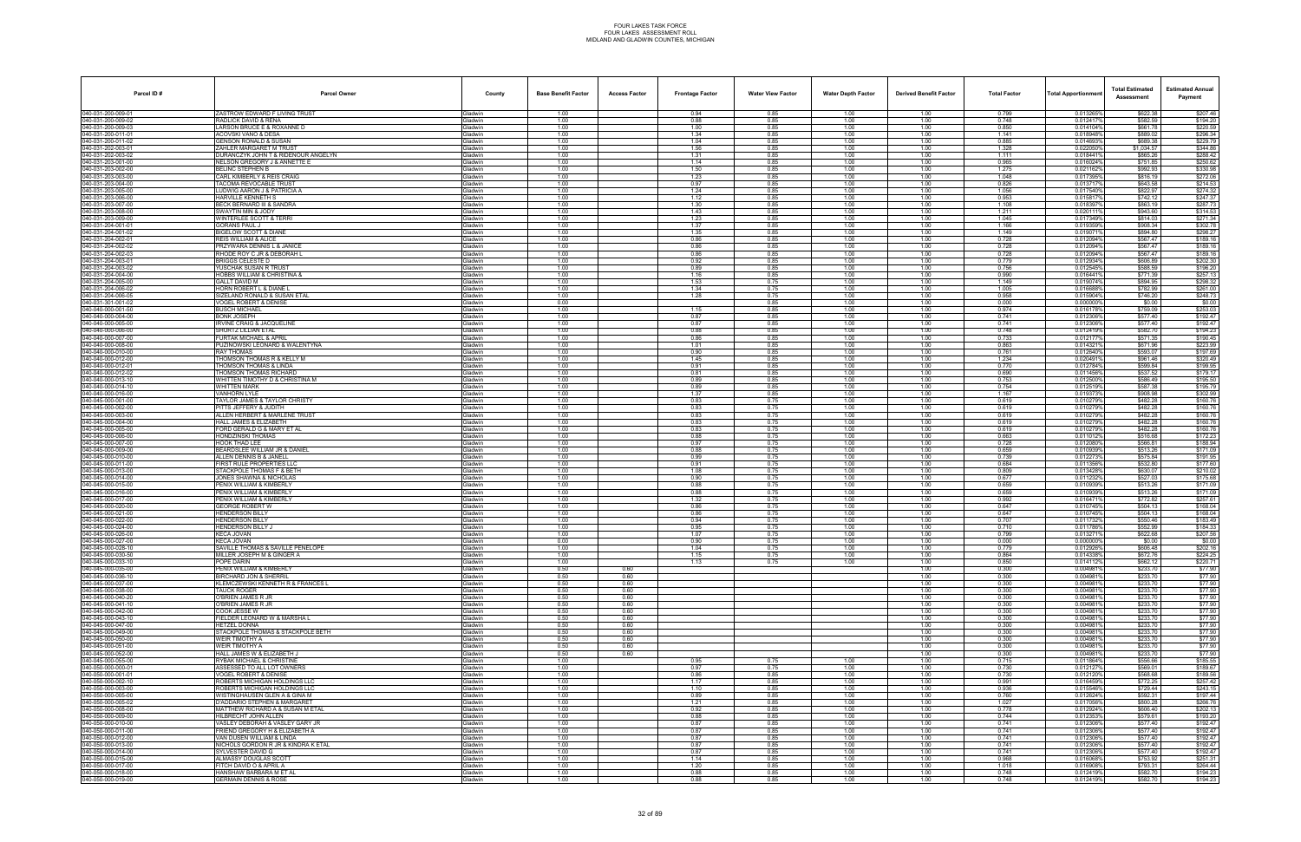| Parcel ID#                               | <b>Parcel Owner</b>                                               | County                            | <b>Base Benefit Factor</b> | <b>Access Factor</b> | <b>Frontage Factor</b> | <b>Water View Factor</b> | <b>Water Depth Factor</b> | <b>Derived Benefit Factor</b> | <b>Total Factor</b> | Total Apportionmer     | <b>Total Estimated</b><br>Assessment | <b>Estimated Annual</b><br>Payment |
|------------------------------------------|-------------------------------------------------------------------|-----------------------------------|----------------------------|----------------------|------------------------|--------------------------|---------------------------|-------------------------------|---------------------|------------------------|--------------------------------------|------------------------------------|
| 040-031-200-009-01                       | ZASTROW EDWARD F LIVING TRUST                                     | <b>Gladwin</b>                    | 1.00                       |                      | 0.94                   | 0.85                     | 1.00                      | 1.00                          | 0.799               | 0.013265%              | \$622.38                             | \$207.46                           |
| 040-031-200-009-02<br>40-031-200-009-03  | RADLICK DAVID & RENA<br>ARSON BRUCE E & ROXANNE D                 | Gladwin<br><b>Gladwin</b>         | 1.00<br>1.00               |                      | 0.88<br>1.00           | 0.85<br>0.85             | 1.00<br>1.00              | 1.00<br>1.00                  | 0.748<br>0.850      | 0.012417%<br>0.0141049 | \$582.59<br>\$661.78                 | \$194.20<br>\$220.59               |
| 040-031-200-011-01                       | ACOVSKI VANO & DESA                                               | Gladwin                           | 1.00                       |                      | 1.34                   | 0.85                     | 1.00                      | 1.00                          | 1.141               | 0.018948%              | \$889.02                             | \$296.34                           |
| 040-031-200-011-02                       | <b>GENSON RONALD &amp; SUSAN</b>                                  | Gladwin                           | 1.00                       |                      | 1.04                   | 0.85                     | 1.00                      | 1.00                          | 0.885               | 0.014693%              | \$689.38                             | \$229.79                           |
| 040-031-202-003-01<br>040-031-202-003-02 | ZAHLER MARGARET M TRUST<br>DURANCZYK JOHN T & RIDENOUR ANGELYN    | Gladwin<br>Gladwin                | 1.00<br>1.00               |                      | 1.56<br>1.31           | 0.85<br>0.85             | 1.00<br>1.00              | 1.00<br>1.00                  | 1.328<br>1.111      | 0.0220509<br>0.018441% | \$1.034.57<br>\$865.26               | \$344.86<br>\$288.42               |
| 40-031-203-001-00                        | <b>NELSON GREGORY J &amp; ANNETTE E</b>                           | <b>Gladwin</b>                    | 1.00                       |                      | 1.14                   | 0.85                     | 1.00                      | 1.00                          | 0.965               | 0.016024%              | \$751.85                             | \$250.62                           |
| 040-031-203-002-00                       | BELINC STEPHEN B                                                  | Gladwin                           | 1.00                       |                      | 1.50                   | 0.85                     | 1.00                      | 1.00                          | 1.275               | 0.0211629              | \$992.93                             | \$330.98                           |
| 040-031-203-003-00<br>040-031-203-004-00 | CARL KIMBERLY & REIS CRAIG<br><b>TACOMA REVOCABLE TRUST</b>       | Gladwin<br><b>Gladwin</b>         | 1.00<br>1.00               |                      | 1.23<br>0.97           | 0.85<br>0.85             | 1.00<br>1.00              | 1.00<br>1.00                  | 1.048<br>0.826      | 0.0173959<br>0.0137179 | \$816.19<br>\$643.58                 | \$272.06<br>\$214.53               |
| 040-031-203-005-00                       | LUDWIG AARON J & PATRICIA A                                       | Gladwin                           | 1.00                       |                      | 1.24                   | 0.85                     | 1.00                      | 1.00                          | 1.056               | 0.017540%              | \$822.97                             | \$274.32                           |
| 40-031-203-006-00                        | HARVILLE KENNETH S                                                | <b>Gladwin</b>                    | 1.00                       |                      | 1.12                   | 0.85                     | 1.00                      | 1.00                          | 0.953               | 0.0158179              | \$742.12                             | \$247.37                           |
| 040-031-203-007-00<br>040-031-203-008-00 | BECK BERNARD III & SANDRA<br>SWAYTIN MIN & JODY                   | Gladwin<br>Gladwin                | 1.00<br>1.00               |                      | 1.30<br>1.43           | 0.85<br>0.85             | 1.00<br>1.00              | 1.00<br>1.00                  | 1.108<br>1.211      | 0.0183979<br>0.0201119 | \$863.19<br>\$943.60                 | \$287.73<br>\$314.53               |
| 040-031-203-009-00                       | <b>WINTERLEE SCOTT &amp; TERRI</b>                                | Gladwin                           | 1.00                       |                      | 1.23                   | 0.85                     | 1.00                      | 1.00                          | 1.045               | 0.017349%              | \$814.03                             | \$271.34                           |
| 040-031-204-001-01                       | GORANS PAUL J                                                     | Gladwin                           | 1.00                       |                      | 1.37                   | 0.85                     | 1.00                      | 1.00                          | 1.166               | 0.019359%              | \$908.34                             | \$302.78                           |
| 40-031-204-001-02<br>040-031-204-002-0   | <b>BIGELOW SCOTT &amp; DIANE</b><br>REIS WILLIAM & ALICE          | <b>Jadwin</b><br>Gladwin          | 1.00<br>1.00               |                      | 1.35<br>0.86           | 0.85<br>0.85             | 1.00<br>1.00              | 1.00<br>1.00                  | 1.149<br>0.728      | 0.0190719<br>0.0120949 | \$894.80<br>\$567.47                 | \$298.27<br>\$189.16               |
| 040-031-204-002-02                       | PRZYWARA DENNIS L & JANICE                                        | Gladwin                           | 1.00                       |                      | 0.86                   | 0.85                     | 1.00                      | 1.00                          | 0.728               | 0.012094%              | \$567.47                             | \$189.16                           |
| 040-031-204-002-03                       | RHODE ROY C JR & DEBORAH L                                        | <b>Gladwin</b>                    | 1.00                       |                      | 0.86                   | 0.85                     | 1.00                      | 1.00                          | 0.728               | 0.012094%              | \$567.47                             | \$189.16                           |
| 040-031-204-003-01<br>40-031-204-003-02  | BRIGGS CELESTE D<br>′USCHAK SUSAN R TRUST                         | Gladwin<br><b>Gladwin</b>         | 1.00<br>1.00               |                      | 0.92<br>0.89           | 0.85<br>0.85             | 1.00<br>1.00              | 1.00<br>1.00                  | 0.779<br>0.756      | 0.012934%<br>0.012545% | \$606.89<br>\$588.59                 | \$202.30<br>\$196.20               |
| 040-031-204-004-00                       | <b>HOBBS WILLIAM &amp; CHRISTINA &amp;</b>                        | <b>Gladwin</b>                    | 1.00                       |                      | 1.16                   | 0.85                     | 1.00                      | 1.00                          | 0.990               | 0.016441%              | \$771.39                             | \$257.13                           |
| 040-031-204-005-00                       | GALLT DAVID M                                                     | Gladwin                           | 1.00                       |                      | 1.53                   | 0.75                     | 1.00                      | 1.00                          | 1.149               | 0.019074%              | \$894.95                             | \$298.32                           |
| 040-031-204-006-02<br>040-031-204-006-05 | HORN ROBERT L & DIANE L<br>SIZELAND RONALD & SUSAN ETAL           | Gladwin<br><b>Gladwin</b>         | 1.00<br>1.00               |                      | 1.34<br>1.28           | 0.75<br>0.75             | 1.00<br>1.00              | 1.00<br>1.00                  | 1.005<br>0.958      | 0.016688%<br>0.015904% | \$782.99<br>\$746.20                 | \$261.00<br>\$248.73               |
| 40-031-301-001-02                        | VOGEL ROBERT & DENISE                                             | <b>Jadwin</b>                     | 0.00                       |                      |                        | 0.85                     | 1.00                      | 1.00                          | 0.000               | 0.000000%              | \$0.00                               | \$0.00                             |
| 040-040-000-001-50                       | <b>BUSCH MICHAEL</b>                                              | Gladwin                           | 1.00                       |                      | 1.15                   | 0.85                     | 1.00                      | 1.00                          | 0.974               | 0.0161789              | \$759.09                             | \$253.03                           |
| 040-040-000-004-00<br>040-040-000-005-00 | BONK JOSEPH<br><b>IRVINE CRAIG &amp; JACQUELINE</b>               | Gladwin<br>Gladwin                | 1.00<br>1.00               |                      | 0.87<br>0.87           | 0.85<br>0.85             | 1.00<br>1.00              | 1.00<br>1.00                  | 0.741<br>0.741      | 0.0123069<br>0.012306% | \$577.40<br>\$577.40                 | \$192.47<br>\$192.47               |
| 040-040-000-006-00                       | SHURTZ LILLIAN ETAL                                               | Gladwin                           | 1.00                       |                      | 0.88                   | 0.85                     | 1.00                      | 1.00                          | 0.748               | 0.012419%              | \$582.70                             | \$194.23                           |
| 40-040-000-007-00                        | URTAK MICHAEL & APRIL                                             | <b>Gladwin</b>                    | 1.00                       |                      | 0.86                   | 0.85                     | 1.00                      | 1.00                          | 0.733               | 0.0121779              | \$571.35                             | \$190.45                           |
| 040-040-000-008-00<br>040-040-000-010-00 | PUZINOWSKI LEONARD & WALENTYNA<br>RAY THOMAS                      | <b>Gladwin</b><br>Gladwin         | 1.00<br>1.00               |                      | 1.01<br>0.90           | 0.85<br>0.85             | 1.00<br>1.00              | 1.00<br>1.00                  | 0.863<br>0.761      | 0.0143219<br>0.012640% | \$671.96<br>\$593.07                 | \$223.99<br>\$197.69               |
| 040-040-000-012-00                       | THOMSON THOMAS R & KELLY M                                        | Gladwin                           | 1.00                       |                      | 1.45                   | 0.85                     | 1.00                      | 1.00                          | 1.234               | 0.0204919              | \$961.46                             | \$320.49                           |
| 040-040-000-012-01                       | THOMSON THOMAS & LINDA                                            | <b>Gladwin</b>                    | 1.00                       |                      | 0.91                   | 0.85                     | 1.00                      | 1.00                          | 0.770               | 0.0127849              | \$599.84                             | \$199.95                           |
| 40-040-000-012-02<br>040-040-000-013-10  | THOMSON THOMAS RICHARD<br>WHITTEN TIMOTHY D & CHRISTINA M         | <b>i</b> ladwin<br><b>Gladwin</b> | 1.00<br>1.00               |                      | 0.81<br>0.89           | 0.85<br>0.85             | 1.00<br>1.00              | 1.00<br>1.00                  | 0.690<br>0.753      | 0.011456%<br>0.012500% | \$537.52<br>\$586.49                 | \$179.17<br>\$195.50               |
| 040-040-000-014-10                       | WHITTEN MARK                                                      | Gladwin                           | 1.00                       |                      | 0.89                   | 0.85                     | 1.00                      | 1.00                          | 0.754               | 0.0125199              | \$587.38                             | \$195.79                           |
| 040-040-000-016-00                       | <b>VANHORN LYLE</b>                                               | Gladwin                           | 1.00                       |                      | 1.37                   | 0.85                     | 1.00                      | 1.00                          | 1.167               | 0.019373%              | \$908.98                             | \$302.99                           |
| 040-045-000-001-00<br>40-045-000-002-00  | TAYLOR JAMES & TAYLOR CHRISTY<br>PITTS JEFFERY & JUDITH           | Gladwin<br><b>Gladwin</b>         | 1.00<br>1.00               |                      | 0.83<br>0.83           | 0.75<br>0.75             | 1.00<br>1.00              | 1.00<br>1.00                  | 0.619<br>0.619      | 0.010279%<br>0.010279% | \$482.28<br>\$482.28                 | \$160.76<br>\$160.76               |
| 040-045-000-003-00                       | ALLEN HERBERT & MARLENE TRUST                                     | <b>Gladwin</b>                    | 1.00                       |                      | 0.83                   | 0.75                     | 1.00                      | 1.00                          | 0.619               | 0.010279%              | \$482.28                             | \$160.76                           |
| 040-045-000-004-00                       | HALL JAMES & ELIZABETH                                            | Gladwin                           | 1.00                       |                      | 0.83                   | 0.75                     | 1.00                      | 1.00                          | 0.619               | 0.010279%              | \$482.28                             | \$160.76                           |
| 040-045-000-005-00<br>040-045-000-006-00 | FORD GERALD G & MARY ET AL<br>HONDZINSKI THOMAS                   | Gladwin<br><b>Gladwin</b>         | 1.00<br>1.00               |                      | 0.83<br>0.88           | 0.75<br>0.75             | 1.00<br>1.00              | 1.00<br>1.00                  | 0.619<br>0.663      | 0.010279%<br>0.011012  | \$482.28<br>\$516.68                 | \$160.76<br>\$172.23               |
| 40-045-000-007-00                        | <b>IOOK THAD LEE</b>                                              | iladwin                           | 1.00                       |                      | 0.97                   | 0.75                     | 1.00                      | 1.00                          | 0.728               | 0.0120809              | \$566.81                             | \$188.94                           |
| 040-045-000-009-00                       | <b>BEARDSLEE WILLIAM JR &amp; DANIEL</b>                          | <b>Gladwin</b>                    | 1.00                       |                      | 0.88                   | 0.75                     | 1.00                      | 1.00                          | 0.659               | 0.010939%              | \$513.26                             | \$171.09                           |
| 040-045-000-010-00<br>040-045-000-011-00 | ALLEN DENNIS B & JANELL<br>FIRST RULE PROPERTIES LLC              | <b>Gladwin</b><br>Gladwin         | 1.00<br>1.00               |                      | 0.99<br>0.91           | 0.75<br>0.75             | 1.00<br>1.00              | 1.00<br>1.00                  | 0.739<br>0.684      | 0.012273<br>0.011356%  | \$575.84<br>\$532.80                 | \$191.95<br>\$177.60               |
| 040-045-000-013-00                       | <b>STACKPOLE THOMAS F &amp; BETH</b>                              | <b>Gladwin</b>                    | 1.00                       |                      | 1.08                   | 0.75                     | 1.00                      | 1.00                          | 0.809               | 0.0134289              | \$630.07                             | \$210.02                           |
| 40-045-000-014-00                        | JONES SHAWNA & NICHOLAS                                           | <b>Gladwin</b>                    | 1.00                       |                      | 0.90                   | 0.75                     | 1.00                      | 1.00                          | 0.677               | 0.011232%              | \$527.03                             | \$175.68                           |
| 040-045-000-015-00<br>040-045-000-016-00 | PENIX WILLIAM & KIMBERLY<br>PENIX WILLIAM & KIMBERLY              | Gladwin<br>Gladwin                | 1.00<br>1.00               |                      | 0.88<br>0.88           | 0.75<br>0.75             | 1.00<br>1.00              | 1.00<br>1.00                  | 0.659<br>0.659      | 0.010939%<br>0.010939% | \$513.26<br>\$513.26                 | \$171.09<br>\$171.09               |
| 040-045-000-017-00                       | PENIX WILLIAM & KIMBERLY                                          | Gladwin                           | 1.00                       |                      | 1.32                   | 0.75                     | 1.00                      | 1.00                          | 0.992               | 0.016471%              | \$772.82                             | \$257.61                           |
| 040-045-000-020-00<br>40-045-000-021-00  | <b>GEORGE ROBERT W</b><br>HENDERSON BILLY                         | <b>Gladwin</b>                    | 1.00<br>1.00               |                      | 0.86<br>0.86           | 0.75<br>0.75             | 1.00<br>1.00              | 1.00<br>1.00                  | 0.647<br>0.647      | 0.0107459<br>0.0107459 | \$504.13<br>\$504.13                 | \$168.04<br>\$168.04               |
| 040-045-000-022-00                       | <b>HENDERSON BILLY</b>                                            | <b>Gladwin</b><br><b>Gladwin</b>  | 1.00                       |                      | 0.94                   | 0.75                     | 1.00                      | 1.00                          | 0.707               | 0.011732%              | \$550.46                             | \$183.49                           |
| 40-045-000-024-00                        | <b>HENDERSON BILLY J</b>                                          | Gladwin                           | 1.00                       |                      | 0.95                   | 0.75                     | 1.00                      | 1.00                          | 0.710               | 0.0117869              | \$552.99                             | \$184.33                           |
| 040-045-000-026-00<br>040-045-000-027-00 | KECA JOVAN<br>KECA JOVAN                                          | Gladwin<br><b>Gladwin</b>         | 1.00<br>0.00               |                      | 1.07<br>0.90           | 0.75<br>0.75             | 1.00<br>1.00              | 1.00<br>1.00                  | 0.799<br>0.000      | 0.0132719<br>0.0000009 | \$622.68<br>\$0.00                   | \$207.56<br>\$0.00                 |
| 040-045-000-028-10                       | SAVILLE THOMAS & SAVILLE PENELOPE                                 | <b>i</b> ladwin                   | 1.00                       |                      | 1.04                   | 0.75                     | 1.00                      | 1.00                          | 0.779               | 0.012926%              | \$606.48                             | \$202.16                           |
| 040-045-000-030-50                       | MILLER JOSEPH M & GINGER A                                        | Gladwin                           | 1.00                       |                      | 1.15                   | 0.75                     | 1.00                      | 1.00                          | 0.864               | 0.014338%              | \$672.76                             | \$224.25                           |
| 040-045-000-033-10<br>040-045-000-035-00 | POPE DARIN<br>PENIX WILLIAM & KIMBERLY                            | Gladwin<br>Gladwin                | 1.00<br>0.50               | 0.60                 | 1.13                   | 0.75                     | 1.00                      | 1.00<br>1.00                  | 0.850<br>0.300      | 0.0141129<br>0.004981% | \$662.12<br>\$233.70                 | \$220.71<br>\$77.90                |
| 040-045-000-036-10                       | <b>BIRCHARD JON &amp; SHERRIL</b>                                 | <b>Gladwin</b>                    | 0.50                       | 0.60                 |                        |                          |                           | 1.00                          | 0.300               | 0.0049819              | \$233.70                             | \$77.90                            |
| 40-045-000-037-00                        | KLEMCZEWSKI KENNETH R & FRANCES L                                 | <b>Gladwin</b>                    | 0.50                       | 0.60                 |                        |                          |                           | 1.00                          | 0.300               | 0.0049819              | \$233.70                             | \$77.90                            |
| 040-045-000-038-00<br>040-045-000-040-20 | TAUCK ROGER<br>O'BRIEN JAMES R JR                                 | Gladwin<br>Gladwin                | 0.50<br>0.50               | 0.60<br>0.60         |                        |                          |                           | 1.00<br>1.00                  | 0.300<br>0.300      | 0.004981%<br>0.0049819 | \$233.70<br>\$233.70                 | \$77.90<br>\$77.90                 |
| 040-045-000-041-10                       | O'BRIEN JAMES R JR                                                | Gladwin                           | 0.50                       | 0.60                 |                        |                          |                           | 1.00                          | 0.300               | 0.0049819              | \$233.70                             | \$77.90                            |
| 040-045-000-042-00                       | COOK JESSE W                                                      | <b>Gladwin</b>                    | 0.50                       | 0.60                 |                        |                          |                           | 1.00                          | 0.300               | 0.0049819              | \$233.70                             | \$77.90                            |
| 40-045-000-043-10<br>040-045-000-047-00  | <b>IELDER LEONARD W &amp; MARSHA L</b><br>HETZEL DONNA            | <b>Gladwin</b><br>Gladwin         | 0.50<br>0.50               | 0.60<br>0.60         |                        |                          |                           | 1.00<br>1.00                  | 0.300<br>0.300      | 0.0049819<br>0.004981% | \$233.70<br>\$233.70                 | \$77.90<br>\$77.90                 |
| 040-045-000-049-00                       | STACKPOLE THOMAS & STACKPOLE BETH                                 | Gladwin                           | 0.50                       | 0.60                 |                        |                          |                           | 1.00                          | 0.300               | 0.004981%              | \$233.70                             | \$77.90                            |
| 040-045-000-050-00                       | WEIR TIMOTHY A                                                    | Gladwin                           | 0.50                       | 0.60                 |                        |                          |                           | 1.00                          | 0.300               | 0.0049819              | \$233.70                             | \$77.90                            |
| 040-045-000-051-00<br>40-045-000-052-00  | WEIR TIMOTHY A<br>HALL JAMES W & ELIZABETH J                      | <b>Gladwin</b><br><b>Gladwin</b>  | 0.50<br>0.50               | 0.60<br>0.60         |                        |                          |                           | 1.00<br>1.00                  | 0.300<br>0.300      | 0.0049819<br>0.004981  | \$233.70<br>\$233.70                 | \$77.90<br>\$77.90                 |
| 040-045-000-055-00                       | RYBAK MICHAEL & CHRISTINE                                         | Gladwin                           | 1.00                       |                      | 0.95                   | 0.75                     | 1.00                      | 1.00                          | 0.715               | 0.011864%              | \$556.66                             | \$185.55                           |
| 040-050-000-000-01                       | ASSESSED TO ALL LOT OWNERS                                        | Gladwin                           | 1.00                       |                      | 0.97                   | 0.75                     | 1.00                      | 1.00                          | 0.730               | 0.0121279              | \$569.01                             | \$189.67                           |
| 040-050-000-001-01<br>040-050-000-002-10 | <b>VOGEL ROBERT &amp; DENISE</b><br>ROBERTS MICHIGAN HOLDINGS LLC | Gladwin<br><b>Gladwin</b>         | 1.00<br>1.00               |                      | 0.86<br>1.17           | 0.85<br>0.85             | 1.00<br>1.00              | 1.00<br>1.00                  | 0.730<br>0.991      | 0.012120%<br>0.016459% | \$568.68<br>\$772.25                 | \$189.56<br>\$257.42               |
| 40-050-000-003-00                        | ROBERTS MICHIGAN HOLDINGS LLC                                     | <b>Gladwin</b>                    | 1.00                       |                      | 1.10                   | 0.85                     | 1.00                      | 1.00                          | 0.936               | 0.015546%              | \$729.44                             | \$243.15                           |
| 040-050-000-005-00<br>040-050-000-005-02 | WISTINGHAUSEN GLEN A & GINA M<br>D'ADDARIO STEPHEN & MARGARET     | Gladwin                           | 1.00<br>1.00               |                      | 0.89<br>1.21           | 0.85<br>0.85             | 1.00<br>1.00              | 1.00<br>1.00                  | 0.760<br>1.027      | 0.012624%<br>0.017056% | \$592.31<br>\$800.28                 | \$197.44<br>\$266.76               |
| 040-050-000-008-00                       | MATTHEW RICHARD A & SUSAN M ETAL                                  | Gladwin<br>Gladwin                | 1.00                       |                      | 0.92                   | 0.85                     | 1.00                      | 1.00                          | 0.778               | 0.012924%              | \$606.40                             | \$202.13                           |
| 040-050-000-009-00                       | HILBRECHT JOHN ALLEN                                              | Gladwin                           | 1.00                       |                      | 0.88                   | 0.85                     | 1.00                      | 1.00                          | 0.744               | 0.0123539              | \$579.61                             | \$193.20                           |
| 40-050-000-010-00<br>040-050-000-011-00  | VASLEY DEBORAH & VASLEY GARY JR<br>FRIEND GREGORY H & ELIZABETH A | <b>Gladwin</b><br>Gladwin         | 1.00<br>1.00               |                      | 0.87<br>0.87           | 0.85<br>0.85             | 1.00<br>1.00              | 1.00<br>1.00                  | 0.741<br>0.741      | 0.012306%<br>0.012306% | \$577.40<br>\$577.40                 | \$192.47<br>\$192.47               |
| 040-050-000-012-00                       | VAN DUSEN WILLIAM & LINDA                                         | Gladwin                           | 1.00                       |                      | 0.87                   | 0.85                     | 1.00                      | 1.00                          | 0.741               | 0.012306%              | \$577.40                             | \$192.47                           |
| 040-050-000-013-00                       | NICHOLS GORDON R JR & KINDRA K ETAL                               | Gladwin                           | 1.00                       |                      | 0.87                   | 0.85                     | 1.00                      | 1.00                          | 0.741               | 0.012306%              | \$577.40                             | \$192.47                           |
| 040-050-000-014-00<br>40-050-000-015-00  | SYLVESTER DAVID G<br>ALMASSY DOUGLAS SCOTT                        | Gladwin<br><b>Gladwin</b>         | 1.00<br>1.00               |                      | 0.87<br>1.14           | 0.85<br>0.85             | 1.00<br>1.00              | 1.00<br>1.00                  | 0.741<br>0.968      | 0.012306%<br>0.016068% | \$577.40                             | \$192.47                           |
| 040-050-000-017-00                       | FITCH DAVID O & APRIL A                                           | Gladwin                           | 1.00                       |                      | 1.20                   | 0.85                     | 1.00                      | 1.00                          | 1.018               | 0.016908%              | \$753.92<br>\$793.31                 | \$251.31<br>\$264.44               |
| 040-050-000-018-00                       | HANSHAW BARBARA M ET AL                                           | Gladwin                           | 1.00                       |                      | 0.88                   | 0.85                     | 1.00                      | 1.00                          | 0.748               | 0.012419%              | \$582.70                             | \$194.23                           |
| 040-050-000-019-00                       | <b>GERMAIN DENNIS &amp; ROSE</b>                                  | Gladwin                           | 1.00                       |                      | 0.88                   | 0.85                     | 1.00                      | 1.00                          | 0.748               | 0.012419%              | \$582.70                             | \$194.23                           |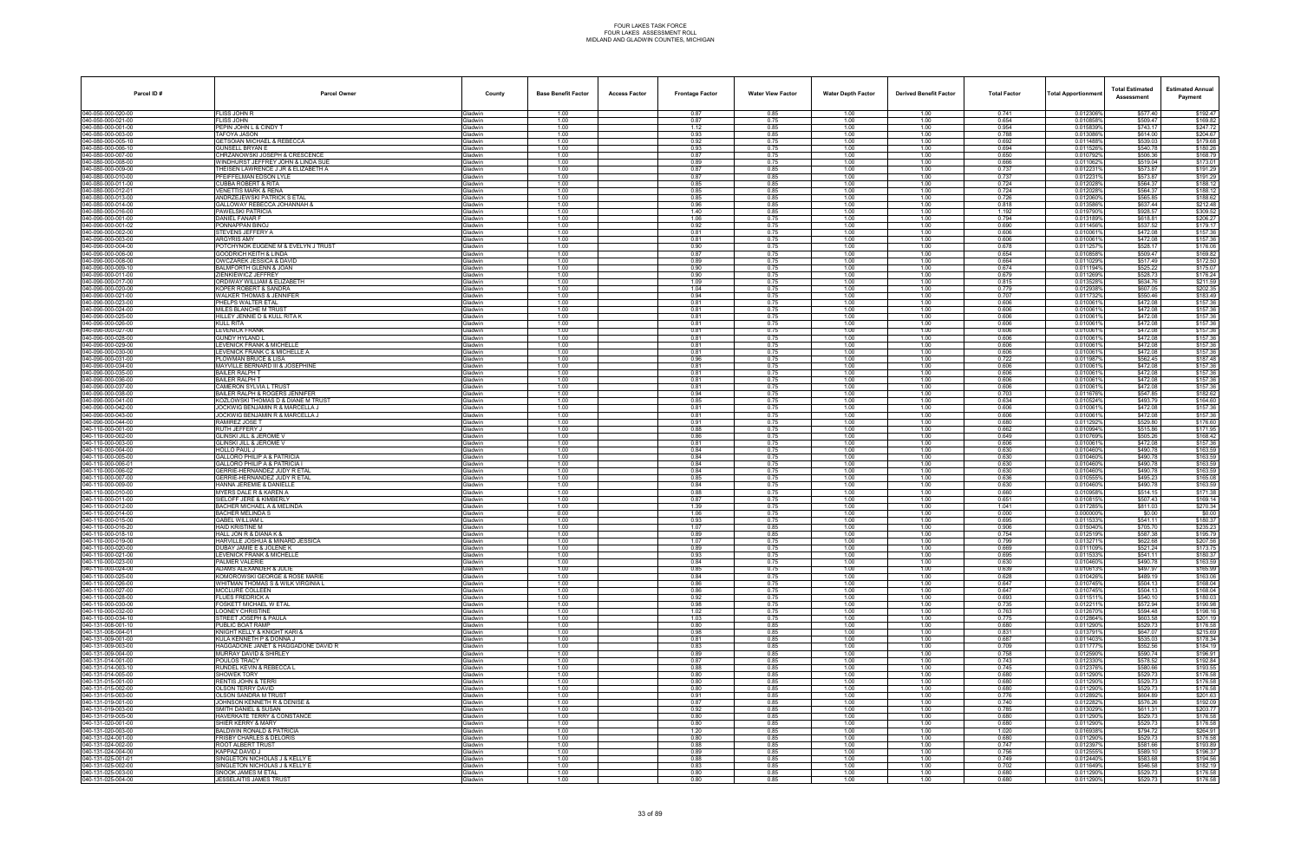| Parcel ID#                               | <b>Parcel Owner</b>                                           | County                           | <b>Base Benefit Factor</b> | <b>Access Factor</b> | <b>Frontage Factor</b> | <b>Water View Factor</b> | <b>Water Depth Factor</b> | <b>Derived Benefit Factor</b> | <b>Total Factor</b> | Total Apportionmer     | <b>Total Estimated</b><br>Assessment | <b>Estimated Annual</b><br>Payment |
|------------------------------------------|---------------------------------------------------------------|----------------------------------|----------------------------|----------------------|------------------------|--------------------------|---------------------------|-------------------------------|---------------------|------------------------|--------------------------------------|------------------------------------|
| 040-050-000-020-00                       | LISS JOHN R                                                   | Gladwin                          | 1.00                       |                      | 0.87                   | 0.85                     | 1.00                      | 1.00                          | 0.741               | 0.012306%              | \$577.40                             | \$192.47                           |
| 040-050-000-021-00<br>40-080-000-001-00  | FLISS JOHN<br>EPIN JOHN L & CINDY T                           | Gladwin<br><b>Gladwin</b>        | 1.00<br>1.00               |                      | 0.87<br>1.12           | 0.75<br>0.85             | 1.00<br>1.00              | 1.00<br>1.00                  | 0.654<br>0.954      | 0.010858%<br>0.015839% | \$509.47<br>\$743.17                 | \$169.82<br>\$247.72               |
| 040-080-000-003-00                       | <b>TAFOYA JASON</b>                                           | Gladwin                          | 1.00                       |                      | 0.93                   | 0.85                     | 1.00                      | 1.00                          | 0.788               | 0.013086%              | \$614.00                             | \$204.67                           |
| 040-080-000-005-10                       | GETSOIAN MICHAEL & REBECCA                                    | Gladwin                          | 1.00                       |                      | 0.92                   | 0.75                     | 1.00                      | 1.00                          | 0.692               | 0.011488%              | \$539.03                             | \$179.68                           |
| 040-080-000-006-10<br>040-080-000-007-00 | <b>GUNSELL BRYAN E</b><br>CHRZANOWSKI JOSEPH & CRESCENCE      | Gladwin<br>Gladwin               | 1.00<br>1.00               |                      | 0.93<br>0.87           | 0.75<br>0.75             | 1.00<br>1.00              | 1.00<br>1.00                  | 0.694<br>0.650      | 0.011526%<br>0.010792% | \$540.78<br>\$506.36                 | \$180.26<br>\$168.79               |
| 40-080-000-008-00                        | VINDHURST JEFFREY JOHN & LINDA SUI                            | <b>Gladwin</b>                   | 1.00                       |                      | 0.89                   | 0.75                     | 1.00                      | 1.00                          | 0.666               | 0.0110629              | \$519.04                             | \$173.01                           |
| 040-080-000-009-00                       | THEISEN LAWRENCE J JR & ELIZABETH A                           | <b>Gladwin</b>                   | 1.00                       |                      | 0.87                   | 0.85                     | 1.00                      | 1.00                          | 0.737               | 0.0122319              | \$573.87                             | \$191.29                           |
| 040-080-000-010-00<br>040-080-000-011-00 | PFEIFFELMAN EDSON LYLE<br><b>CUBBA ROBERT &amp; RITA</b>      | Gladwin<br><b>Gladwin</b>        | 1.00<br>1.00               |                      | 0.87<br>0.85           | 0.85<br>0.85             | 1.00<br>1.00              | 1.00<br>1.00                  | 0.737<br>0.724      | 0.0122319<br>0.0120289 | \$573.87<br>\$564.37                 | \$191.29<br>\$188.12               |
| 040-080-000-012-01                       | <b>VENETTIS MARK &amp; RENA</b>                               | Gladwin                          | 1.00                       |                      | 0.85                   | 0.85                     | 1.00                      | 1.00                          | 0.724               | 0.012028%              | \$564.37                             | \$188.12                           |
| 40-080-000-013-00                        | ANDRZEJEWSKI PATRICK S ETAL                                   | <b>Gladwin</b>                   | 1.00                       |                      | 0.85                   | 0.85                     | 1.00                      | 1.00                          | 0.726               | 0.012060%              | \$565.85                             | \$188.62                           |
| 040-080-000-014-00<br>040-080-000-016-00 | GALLOWAY REBECCA JOHANNAH &<br>PAWELSKI PATRICIA              | Gladwin<br>Gladwin               | 1.00<br>1.00               |                      | 0.96<br>1.40           | 0.85<br>0.85             | 1.00                      | 1.00                          | 0.818<br>1.192      | 0.013586%<br>0.019790% | \$637.44<br>\$928.57                 | \$212.48<br>\$309.52               |
| 040-090-000-001-00                       | DANIEL FANAR F                                                | Gladwin                          | 1.00                       |                      | 1.06                   | 0.75                     | 1.00<br>1.00              | 1.00<br>1.00                  | 0.794               | 0.0131899              | \$618.81                             | \$206.27                           |
| 040-090-000-001-02                       | PONNAPPAN BINOJ                                               | Gladwin                          | 1.00                       |                      | 0.92                   | 0.75                     | 1.00                      | 1.00                          | 0.690               | 0.011456%              | \$537.52                             | \$179.17                           |
| 40-090-000-002-00                        | STEVENS JEFFERY A                                             | <b>Gladwin</b>                   | 1.00                       |                      | 0.81                   | 0.75                     | 1.00                      | 1.00                          | 0.606               | 0.0100619              | \$472.08                             | \$157.36                           |
| 040-090-000-003-00<br>040-090-000-004-00 | ARGYRIS AMY<br>POTCHYNOK EUGENE M & EVELYN J TRUST            | <b>Gladwin</b><br>Gladwin        | 1.00<br>1.00               |                      | 0.81<br>0.90           | 0.75<br>0.75             | 1.00<br>1.00              | 1.00<br>1.00                  | 0.606<br>0.678      | 0.0100619<br>0.011257  | \$472.08<br>\$528.17                 | \$157.36<br>\$176.06               |
| 040-090-000-006-00                       | <b>GOODRICH KEITH &amp; LINDA</b>                             | <b>Gladwin</b>                   | 1.00                       |                      | 0.87                   | 0.75                     | 1.00                      | 1.00                          | 0.654               | 0.010858%              | \$509.47                             | \$169.82                           |
| 040-090-000-008-00                       | OWCZAREK JESSICA & DAVID                                      | <b>Gladwin</b>                   | 1.00                       |                      | 0.89                   | 0.75                     | 1.00                      | 1.00                          | 0.664               | 0.011029%              | \$517.49                             | \$172.50                           |
| 40-090-000-009-10<br>040-090-000-011-00  | BALMFORTH GLENN & JOAN<br>ZIENKIEWICZ JEFFREY                 | <b>Gladwin</b><br><b>Gladwin</b> | 1.00<br>1.00               |                      | 0.90<br>0.90           | 0.75<br>0.75             | 1.00<br>1.00              | 1.00<br>1.00                  | 0.674<br>0.679      | 0.0111949<br>0.011269% | \$525.22<br>\$528.73                 | \$175.07<br>\$176.24               |
| 040-090-000-017-00                       | ORDIWAY WILLIAM & ELIZABETH                                   | Gladwin                          | 1.00                       |                      | 1.09                   | 0.75                     | 1.00                      | 1.00                          | 0.815               | 0.0135289              | \$634.76                             | \$211.59                           |
| 040-090-000-020-00                       | <b>KOPER ROBERT &amp; SANDRA</b>                              | Gladwin                          | 1.00                       |                      | 1.04                   | 0.75                     | 1.00                      | 1.00                          | 0.779               | 0.012938%              | \$607.05                             | \$202.35                           |
| 040-090-000-021-00<br>40-090-000-023-00  | WALKER THOMAS & JENNIFER<br>'HELPS WALTER ETAL                | <b>Gladwin</b><br><b>Jadwin</b>  | 1.00<br>1.00               |                      | 0.94<br>0.81           | 0.75<br>0.75             | 1.00<br>1.00              | 1.00<br>1.00                  | 0.707<br>0.606      | 0.0117329<br>0.010061  | \$550.46<br>\$472.08                 | \$183.49<br>\$157.36               |
| 40-090-000-024-00                        | MILES BLANCHE M TRUST                                         | <b>Gladwin</b>                   | 1.00                       |                      | 0.81                   | 0.75                     | 1.00                      | 1.00                          | 0.606               | 0.0100619              | \$472.08                             | \$157.36                           |
| 040-090-000-025-00                       | HILLEY JENNIE D & KULL RITA K                                 | Gladwin                          | 1.00                       |                      | 0.81                   | 0.75                     | 1.00                      | 1.00                          | 0.606               | 0.0100619              | \$472.08                             | \$157.36                           |
| 040-090-000-026-00                       | KULL RITA                                                     | Gladwin                          | 1.00                       |                      | 0.81                   | 0.75                     | 1.00                      | 1.00                          | 0.606               | 0.0100619              | \$472.08                             | \$157.36                           |
| 040-090-000-027-00<br>40-090-000-028-00  | <b>LEVENICK FRANK</b><br>GUNDY HYLAND L                       | <b>Gladwin</b><br><b>Gladwin</b> | 1.00<br>1.00               |                      | 0.81<br>0.81           | 0.75<br>0.75             | 1.00<br>1.00              | 1.00<br>1.00                  | 0.606<br>0.606      | 0.0100619<br>0.010061  | \$472.08<br>\$472.08                 | \$157.36<br>\$157.36               |
| 040-090-000-029-00                       | <b>EVENICK FRANK &amp; MICHELLE</b>                           | <b>Gladwin</b>                   | 1.00                       |                      | 0.81                   | 0.75                     | 1.00                      | 1.00                          | 0.606               | 0.010061%              | \$472.08                             | \$157.36                           |
| 040-090-000-030-00<br>040-090-000-031-00 | LEVENICK FRANK C & MICHELLE A                                 | Gladwin                          | 1.00                       |                      | 0.81                   | 0.75                     | 1.00                      | 1.00                          | 0.606               | 0.0100619              | \$472.08                             | \$157.36                           |
| 040-090-000-034-00                       | PLOWMAN BRUCE & LISA<br>MAYVILLE BERNARD III & JOSEPHINE      | Gladwin<br><b>Gladwin</b>        | 1.00<br>1.00               |                      | 0.96<br>0.81           | 0.75<br>0.75             | 1.00<br>1.00              | 1.00<br>1.00                  | 0.722<br>0.606      | 0.011987%<br>0.0100619 | \$562.45<br>\$472.08                 | \$187.48<br>\$157.36               |
| 40-090-000-035-00                        | BAILER RALPH T                                                | <b>Gladwin</b>                   | 1.00                       |                      | 0.81                   | 0.75                     | 1.00                      | 1.00                          | 0.606               | 0.010061               | \$472.08                             | \$157.36                           |
| 040-090-000-036-00                       | BAILER RALPH T                                                | <b>Gladwin</b>                   | 1.00                       |                      | 0.81                   | 0.75                     | 1.00                      | 1.00                          | 0.606               | 0.0100619              | \$472.08                             | \$157.36                           |
| 40-090-000-037-00<br>040-090-000-038-00  | CAMERON SYLVIA L TRUST<br>BAILER RALPH & ROGERS JENNIFER      | Gladwin<br>Gladwin               | 1.00<br>1.00               |                      | 0.81<br>0.94           | 0.75<br>0.75             | 1.00<br>1.00              | 1.00<br>1.00                  | 0.606<br>0.703      | 0.0100619<br>0.011676% | \$472.08<br>\$547.85                 | \$157.36<br>\$182.62               |
| 040-090-000-041-00                       | <b>KOZLOWSKI THOMAS D &amp; DIANE M TRUST</b>                 | <b>Gladwin</b>                   | 1.00                       |                      | 0.85                   | 0.75                     | 1.00                      | 1.00                          | 0.634               | 0.010524%              | \$493.79                             | \$164.60                           |
| 40-090-000-042-00                        | JOCKWIG BENJAMIN R & MARCELLA J                               | <b>Gladwin</b>                   | 1.00                       |                      | 0.81                   | 0.75                     | 1.00                      | 1.00                          | 0.606               | 0.010061               | \$472.08                             | \$157.36                           |
| 040-090-000-043-00<br>040-090-000-044-00 | JOCKWIG BENJAMIN R & MARCELLA J<br>RAMIREZ JOSE T             | <b>Gladwin</b><br>Gladwin        | 1.00<br>1.00               |                      | 0.81<br>0.91           | 0.75<br>0.75             | 1.00<br>1.00              | 1.00<br>1.00                  | 0.606<br>0.680      | 0.010061%<br>0.0112929 | \$472.08<br>\$529.80                 | \$157.36<br>\$176.60               |
| 040-110-000-001-00                       | RUTH JEFFERY J                                                | Gladwin                          | 1.00                       |                      | 0.88                   | 0.75                     | 1.00                      | 1.00                          | 0.662               | 0.010994%              | \$515.86                             | \$171.95                           |
| 040-110-000-002-00                       | <b>GLINSKI JILL &amp; JEROME V</b>                            | <b>Gladwin</b>                   | 1.00                       |                      | 0.86                   | 0.75                     | 1.00                      | 1.00                          | 0.649               | 0.0107699              | \$505.26                             | \$168.42                           |
| 40-110-000-003-00<br>040-110-000-004-00  | SLINSKI JILL & JEROME V<br>HOLLO PAUL J                       | iladwin<br><b>Gladwin</b>        | 1.00<br>1.00               |                      | 0.81<br>0.84           | 0.75<br>0.75             | 1.00<br>1.00              | 1.00<br>1.00                  | 0.606<br>0.630      | 0.010061<br>0.010460%  | \$472.08<br>\$490.78                 | \$157.36<br>\$163.59               |
| 040-110-000-005-00                       | GALLORO PHILIP A & PATRICIA                                   | <b>Gladwin</b>                   | 1.00                       |                      | 0.84                   | 0.75                     | 1.00                      | 1.00                          | 0.630               | 0.010460%              | \$490.78                             | \$163.59                           |
| 040-110-000-006-01                       | GALLORO PHILIP A & PATRICIA I                                 | Gladwin                          | 1.00                       |                      | 0.84                   | 0.75                     | 1.00                      | 1.00                          | 0.630               | 0.010460%              | \$490.78                             | \$163.59                           |
| 040-110-000-006-02                       | <b>GERRIE-HERNANDEZ JUDY R ETA</b>                            | <b>Gladwin</b>                   | 1.00                       |                      | 0.84                   | 0.75                     | 1.00                      | 1.00                          | 0.630               | 0.010460%              | \$490.78                             | \$163.59                           |
| 40-110-000-007-00<br>040-110-000-009-00  | GERRIE-HERNANDEZ JUDY R ETAL<br>HANNA JEREMIE & DANIELLE      | <b>Gladwin</b><br><b>Gladwin</b> | 1.00<br>1.00               |                      | 0.85<br>0.84           | 0.75<br>0.75             | 1.00<br>1.00              | 1.00<br>1.00                  | 0.636<br>0.630      | 0.0105559<br>0.010460% | \$495.23<br>\$490.78                 | \$165.08<br>\$163.59               |
| 040-110-000-010-00                       | MYERS DALE R & KAREN A                                        | Gladwin                          | 1.00                       |                      | 0.88                   | 0.75                     | 1.00                      | 1.00                          | 0.660               | 0.010958%              | \$514.15                             | \$171.38                           |
| 040-110-000-011-00                       | SIELOFF JERE & KIMBERLY                                       | Gladwin                          | 1.00                       |                      | 0.87                   | 0.75                     | 1.00                      | 1.00                          | 0.651               | 0.010815%              | \$507.43                             | \$169.14                           |
| 040-110-000-012-00<br>40-110-000-014-00  | BACHER MICHAEL A & MELINDA<br>BACHER MELINDA S                | <b>Gladwin</b><br><b>Gladwin</b> | 1.00<br>0.00               |                      | 1.39<br>1.06           | 0.75<br>0.75             | 1.00<br>1.00              | 1.00<br>1.00                  | 1.041<br>0.000      | 0.0172859<br>0.0000009 | \$811.03<br>\$0.00                   | \$270.34<br>\$0.00                 |
| 040-110-000-015-00                       | <b>GABEL WILLIAM L</b>                                        | <b>Gladwin</b>                   | 1.00                       |                      | 0.93                   | 0.75                     | 1.00                      | 1.00                          | 0.695               | 0.011533%              | \$541.11                             | \$180.37                           |
| 040-110-000-016-20                       | HAID KRISTINE M                                               | <b>Gladwin</b>                   | 1.00                       |                      | 1.07                   | 0.85                     | 1.00                      | 1.00                          | 0.906               | 0.0150409              | \$705.70                             | \$235.23                           |
| 040-110-000-018-10<br>040-110-000-019-00 | HALL JON R & DIANA K &<br>HARVILLE JOSHUA & MINARD JESSICA    | Gladwin<br><b>Jadwin</b>         | 1.00<br>1.00               |                      | 0.89<br>1.07           | 0.85<br>0.75             | 1.00<br>1.00              | 1.00<br>1.00                  | 0.754<br>0.799      | 0.012519%<br>0.0132719 | \$587.38<br>\$622.68                 | \$195.79<br>\$207.56               |
| 040-110-000-020-00                       | DUBAY JAMIE E & JOLENE K                                      | <b>i</b> ladwin                  | 1.00                       |                      | 0.89                   | 0.75                     | 1.00                      | 1.00                          | 0.669               | 0.011109%              | \$521.24                             | \$173.75                           |
| 040-110-000-021-00                       | LEVENICK FRANK & MICHELLE                                     | Gladwin                          | 1.00                       |                      | 0.93                   | 0.75                     | 1.00                      | 1.00                          | 0.695               | 0.011533%              | \$541.11                             | \$180.37                           |
| 040-110-000-023-00<br>040-110-000-024-00 | PALMER VALERIE<br>ADAMS ALEXANDER & JULIE                     | Gladwin<br>Gladwin               | 1.00<br>1.00               |                      | 0.84<br>0.85           | 0.75<br>0.75             | 1.00<br>1.00              | 1.00<br>1.00                  | 0.630<br>0.639      | 0.010460%<br>0.010613% | \$490.78<br>\$497.97                 | \$163.59<br>\$165.99               |
| 040-110-000-025-00                       | <b>KOMOROWSKI GEORGE &amp; ROSE MARIE</b>                     | <b>Gladwin</b>                   | 1.00                       |                      | 0.84                   | 0.75                     | 1.00                      | 1.00                          | 0.628               | 0.010426%              | \$489.19                             | \$163.06                           |
| 40-110-000-026-00                        | WHITMAN THOMAS S & WILK VIRGINIA L                            | <b>Gladwin</b>                   | 1.00                       |                      | 0.86                   | 0.75                     | 1.00                      | 1.00                          | 0.647               | 0.010745%              | \$504.13                             | \$168.04                           |
| 040-110-000-027-00<br>040-110-000-028-00 | MCCLURE COLLEEN<br><b>FLUES FREDRICK A</b>                    | Gladwin<br>Gladwin               | 1.00<br>1.00               |                      | 0.86<br>0.92           | 0.75<br>0.75             | 1.00<br>1.00              | 1.00<br>1.00                  | 0.647<br>0.693      | 0.010745%<br>0.011511% | \$504.13<br>\$540.10                 | \$168.04<br>\$180.03               |
| 040-110-000-030-00                       | FOSKETT MICHAEL W ETAL                                        | Gladwin                          | 1.00                       |                      | 0.98                   | 0.75                     | 1.00                      | 1.00                          | 0.735               | 0.012211%              | \$572.94                             | \$190.98                           |
| 040-110-000-032-00                       | OONEY CHRISTINE                                               | <b>Gladwin</b>                   | 1.00                       |                      | 1.02                   | 0.75                     | 1.00                      | 1.00                          | 0.763               | 0.0126709              | \$594.48                             | \$198.16                           |
| 40-110-000-034-10<br>040-131-008-001-10  | STREET JOSEPH & PAULA<br>PUBLIC BOAT RAMP                     | <b>Gladwin</b><br>Gladwin        | 1.00<br>1.00               |                      | 1.03<br>0.80           | 0.75<br>0.85             | 1.00<br>1.00              | 1.00<br>1.00                  | 0.775<br>0.680      | 0.012864%<br>0.011290% | \$603.58<br>\$529.73                 | \$201.19<br>\$176.58               |
| 040-131-008-004-01                       | KNIGHT KELLY & KNIGHT KARI &                                  | Gladwin                          | 1.00                       |                      | 0.98                   | 0.85                     | 1.00                      | 1.00                          | 0.831               | 0.013791%              | \$647.07                             | \$215.69                           |
| 040-131-009-001-00                       | KULA KENNETH P & DONNA J                                      | Gladwin                          | 1.00                       |                      | 0.81                   | 0.85                     | 1.00                      | 1.00                          | 0.687               | 0.011403%              | \$535.03                             | \$178.34                           |
| 040-131-009-003-00<br>40-131-009-004-00  | HAGGADONE JANET & HAGGADONE DAVID R<br>MURRAY DAVID & SHIRLEY | <b>Gladwin</b><br><b>Gladwin</b> | 1.00<br>1.00               |                      | 0.83<br>0.89           | 0.85<br>0.85             | 1.00<br>1.00              | 1.00<br>1.00                  | 0.709<br>0.758      | 0.0117779<br>0.012590% | \$552.56<br>\$590.74                 | \$184.19<br>\$196.91               |
| 040-131-014-001-00                       | POULOS TRACY                                                  | Gladwin                          | 1.00                       |                      | 0.87                   | 0.85                     | 1.00                      | 1.00                          | 0.743               | 0.012330%              | \$578.52                             | \$192.84                           |
| 040-131-014-003-10                       | RUNDEL KEVIN & REBECCA L                                      | Gladwin                          | 1.00                       |                      | 0.88                   | 0.85                     | 1.00                      | 1.00                          | 0.745               | 0.012376%              | \$580.66                             | \$193.55                           |
| 040-131-014-005-00<br>040-131-015-001-00 | SHOWEK TORY<br>RENTIS JOHN & TERRI                            | Gladwin                          | 1.00<br>1.00               |                      | 0.80<br>0.80           | 0.85<br>0.85             | 1.00<br>1.00              | 1.00<br>1.00                  | 0.680<br>0.680      | 0.011290%              | \$529.73                             | \$176.58<br>\$176.58               |
| 40-131-015-002-00                        | <b>ILSON TERRY DAVID</b>                                      | Gladwin<br><b>Gladwin</b>        | 1.00                       |                      | 0.80                   | 0.85                     | 1.00                      | 1.00                          | 0.680               | 0.011290%<br>0.011290% | \$529.73<br>\$529.73                 | \$176.58                           |
| 040-131-015-003-00                       | OLSON SANDRA M TRUST                                          | Gladwin                          | 1.00                       |                      | 0.91                   | 0.85                     | 1.00                      | 1.00                          | 0.776               | 0.012892%              | \$604.89                             | \$201.63                           |
| 040-131-019-001-00                       | JOHNSON KENNETH R & DENISE &                                  | Gladwin                          | 1.00                       |                      | 0.87                   | 0.85                     | 1.00                      | 1.00                          | 0.740               | 0.012282%              | \$576.26                             | \$192.09                           |
| 040-131-019-003-00<br>040-131-019-005-00 | SMITH DANIEL & SUSAN<br>HAVERKATE TERRY & CONSTANCE           | Gladwin<br>Gladwin               | 1.00<br>1.00               |                      | 0.92<br>0.80           | 0.85<br>0.85             | 1.00<br>1.00              | 1.00<br>1.00                  | 0.785<br>0.680      | 0.013029%<br>0.011290% | \$611.31<br>\$529.73                 | \$203.77<br>\$176.58               |
| 40-131-020-001-00                        | HIER KERRY & MARY                                             | <b>Gladwin</b>                   | 1.00                       |                      | 0.80                   | 0.85                     | 1.00                      | 1.00                          | 0.680               | 0.011290%              | \$529.73                             | \$176.58                           |
| 040-131-020-003-00                       | BALDWIN RONALD & PATRICIA                                     | Gladwin                          | 1.00                       |                      | 1.20                   | 0.85                     | 1.00                      | 1.00                          | 1.020               | 0.016938%              | \$794.72                             | \$264.91                           |
| 040-131-024-001-00<br>040-131-024-002-00 | FRISBY CHARLES & DELORIS<br>ROOT ALBERT TRUST                 | Gladwin<br>Gladwin               | 1.00<br>1.00               |                      | 0.80<br>0.88           | 0.85<br>0.85             | 1.00<br>1.00              | 1.00<br>1.00                  | 0.680<br>0.747      | 0.011290%<br>0.012397% | \$529.73<br>\$581.66                 | \$176.58<br>\$193.89               |
| 040-131-024-004-00                       | KAPPAZ DAVID J                                                | Gladwin                          | 1.00                       |                      | 0.89                   | 0.85                     | 1.00                      | 1.00                          | 0.756               | 0.012555%              | \$589.10                             | \$196.37                           |
| 40-131-025-001-01                        | <b>SINGLETON NICHOLAS J &amp; KELLY E</b>                     | <b>Gladwin</b>                   | 1.00                       |                      | 0.88                   | 0.85                     | 1.00                      | 1.00                          | 0.749               | 0.012440%              | \$583.68                             | \$194.56                           |
| 040-131-025-002-00<br>040-131-025-003-00 | SINGLETON NICHOLAS J & KELLY E<br>SNOOK JAMES M ETAL          | Gladwin<br>Gladwin               | 1.00<br>1.00               |                      | 0.83<br>0.80           | 0.85<br>0.85             | 1.00<br>1.00              | 1.00<br>1.00                  | 0.702<br>0.680      | 0.011649%<br>0.011290% | \$546.58<br>\$529.73                 | \$182.19<br>\$176.58               |
| 040-131-025-004-00                       | JESSELAITIS JAMES TRUST                                       | Gladwin                          | 1.00                       |                      | 0.80                   | 0.85                     | 1.00                      | 1.00                          | 0.680               | 0.011290%              | \$529.73                             | \$176.58                           |
|                                          |                                                               |                                  |                            |                      |                        |                          |                           |                               |                     |                        |                                      |                                    |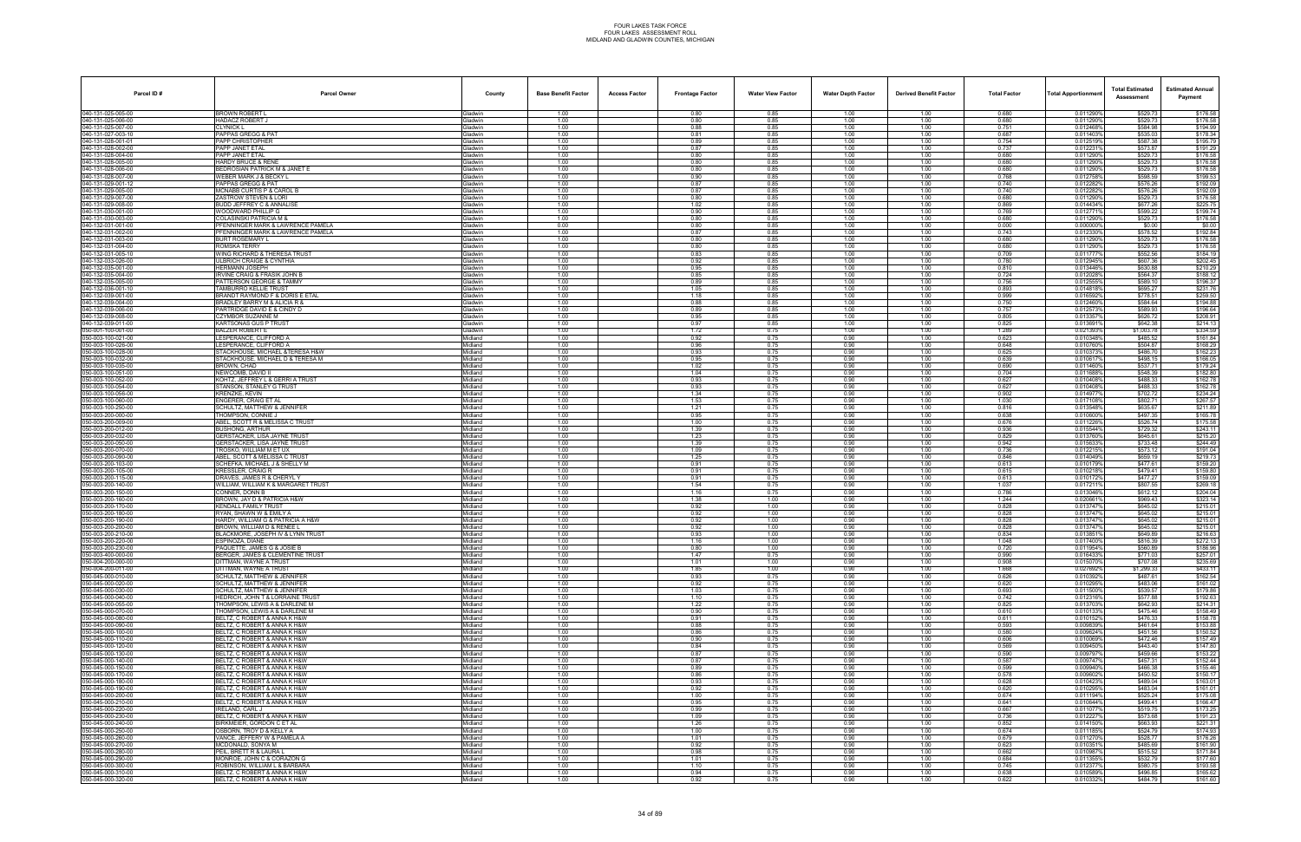| Parcel ID#                               | <b>Parcel Owner</b>                                               | County                    | <b>Base Benefit Factor</b> | <b>Access Factor</b> | <b>Frontage Factor</b> | <b>Water View Factor</b> | <b>Water Depth Factor</b> | <b>Derived Benefit Factor</b> | <b>Total Factor</b> | Total Apportionmer     | <b>Total Estimated</b><br>Assessment | <b>Estimated Annual</b><br>Payment |
|------------------------------------------|-------------------------------------------------------------------|---------------------------|----------------------------|----------------------|------------------------|--------------------------|---------------------------|-------------------------------|---------------------|------------------------|--------------------------------------|------------------------------------|
| 040-131-025-005-00                       | <b>BROWN ROBERT L</b>                                             | Gladwin                   | 1.00                       |                      | 0.80                   | 0.85                     | 1.00                      | 1.00                          | 0.680               | 0.011290%              | \$529.73                             | \$176.58                           |
| 040-131-025-006-00<br>40-131-025-007-00  | <b>HADACZ ROBERT J</b><br>CLYNICK L                               | Gladwin<br><b>Gladwin</b> | 1.00<br>1.00               |                      | 0.80<br>0.88           | 0.85<br>0.85             | 1.00<br>1.00              | 1.00<br>1.00                  | 0.680<br>0.751      | 0.011290%<br>0.012468% | \$529.73<br>\$584.98                 | \$176.58<br>\$194.99               |
| 040-131-027-003-10                       | PAPPAS GREGG & PAT                                                | Gladwin                   | 1.00                       |                      | 0.81                   | 0.85                     | 1.00                      | 1.00                          | 0.687               | 0.0114039              | \$535.03                             | \$178.34                           |
| 040-131-028-001-01                       | PAPP CHRISTOPHER                                                  | Gladwin                   | 1.00                       |                      | 0.89                   | 0.85                     | 1.00                      | 1.00                          | 0.754               | 0.0125199              | \$587.38                             | \$195.79                           |
| 040-131-028-002-00<br>040-131-028-004-00 | PAPP JANET ETAI<br>PAPP JANET ETAL                                | Gladwin<br>Gladwin        | 1.00<br>1.00               |                      | 0.87<br>0.80           | 0.85<br>0.85             | 1.00<br>1.00              | 1.00<br>1.00                  | 0.737<br>0.680      | 0.0122319<br>0.011290% | \$573.87<br>\$529.73                 | \$191.29<br>\$176.58               |
| 40-131-028-005-00                        | HARDY BRUCE & RENE                                                | <b>Gladwin</b>            | 1.00                       |                      | 0.80                   | 0.85                     | 1.00                      | 1.00                          | 0.680               | 0.011290%              | \$529.73                             | \$176.58                           |
| 040-131-028-006-00                       | <b>BEDROSIAN PATRICK M &amp; JANET E</b>                          | Gladwin                   | 1.00                       |                      | 0.80                   | 0.85                     | 1.00                      | 1.00                          | 0.680               | 0.011290%              | \$529.73                             | \$176.58                           |
| 040-131-028-007-00<br>040-131-029-001-12 | WEBER MARK J & BECKY L<br>PAPPAS GREGG & PAT                      | Gladwin<br><b>Gladwin</b> | 1.00<br>1.00               |                      | 0.90<br>0.87           | 0.85<br>0.85             | 1.00<br>1.00              | 1.00<br>1.00                  | 0.768<br>0.740      | 0.012758%<br>0.0122829 | \$598.59<br>\$576.26                 | \$199.53<br>\$192.09               |
| 040-131-029-005-00                       | MCNABB CURTIS P & CAROL B                                         | Gladwin                   | 1.00                       |                      | 0.87                   | 0.85                     | 1.00                      | 1.00                          | 0.740               | 0.012282%              | \$576.26                             | \$192.09                           |
| 40-131-029-007-00                        | ZASTROW STEVEN & LORI                                             | <b>Gladwin</b>            | 1.00                       |                      | 0.80                   | 0.85                     | 1.00                      | 1.00                          | 0.680               | 0.011290%              | \$529.73                             | \$176.58                           |
| 040-131-029-008-00<br>040-131-030-001-00 | BUDD JEFFREY C & ANNALISE<br>WOODWARD PHILLIP G                   | <b>Gladwin</b><br>Gladwin | 1.00<br>1.00               |                      | 1.02<br>0.90           | 0.85<br>0.85             | 1.00<br>1.00              | 1.00<br>1.00                  | 0.869<br>0.769      | 0.014434%<br>0.0127719 | \$677.26<br>\$599.22                 | \$225.75<br>\$199.74               |
| 040-131-030-003-00                       | <b>COLASINSKI PATRICIA M &amp;</b>                                | Gladwin                   | 1.00                       |                      | 0.80                   | 0.85                     | 1.00                      | 1.00                          | 0.680               | 0.0112909              | \$529.73                             | \$176.58                           |
| 040-132-031-001-00                       | PFENNINGER MARK & LAWRENCE PAMELA                                 | <b>Gladwin</b>            | 0.00                       |                      | 0.80                   | 0.85<br>0.85             | 1.00                      | 1.00                          | 0.000               | 0.000000%              | \$0.00                               | \$0.00                             |
| 40-132-031-002-00<br>040-132-031-003-00  | FENNINGER MARK & LAWRENCE PAMELA<br>3URT ROSEMARY L               | <b>Jadwin</b><br>Gladwin  | 1.00<br>1.00               |                      | 0.87<br>0.80           | 0.85                     | 1.00<br>1.00              | 1.00<br>1.00                  | 0.743<br>0.680      | 0.012330%<br>0.011290% | \$578.52<br>\$529.73                 | \$192.84<br>\$176.58               |
| 040-132-031-004-00                       | ROMSKA TERRY                                                      | Gladwin                   | 1.00                       |                      | 0.80                   | 0.85                     | 1.00                      | 1.00                          | 0.680               | 0.011290%              | \$529.73                             | \$176.58                           |
| 040-132-031-005-10<br>040-132-033-026-00 | WING RICHARD & THERESA TRUST<br>ULBRICH CRAIGE & CYNTHIA          | <b>Gladwin</b>            | 1.00<br>1.00               |                      | 0.83<br>0.92           | 0.85<br>0.85             | 1.00<br>1.00              | 1.00<br>1.00                  | 0.709<br>0.780      | 0.0117779<br>0.012945% | \$552.56<br>\$607.36                 | \$184.19<br>\$202.45               |
| 40-132-035-001-00                        | <b>HERMANN JOSEPH</b>                                             | Gladwin<br><b>Gladwin</b> | 1.00                       |                      | 0.95                   | 0.85                     | 1.00                      | 1.00                          | 0.810               | 0.013446%              | \$630.88                             | \$210.29                           |
| 040-132-035-004-00                       | <b>IRVINE CRAIG &amp; FRASIK JOHN B</b>                           | <b>Gladwin</b>            | 1.00                       |                      | 0.85                   | 0.85                     | 1.00                      | 1.00                          | 0.724               | 0.0120289              | \$564.37                             | \$188.12                           |
| 040-132-035-005-00<br>040-132-036-001-10 | PATTERSON GEORGE & TAMMY<br>TAMBURRO KELLIE TRUST                 | Gladwin<br>Gladwin        | 1.00<br>1.00               |                      | 0.89<br>1.05           | 0.85<br>0.85             | 1.00<br>1.00              | 1.00<br>1.00                  | 0.756<br>0.893      | 0.0125559<br>0.014818% | \$589.10<br>\$695.27                 | \$196.37<br>\$231.76               |
| 040-132-039-001-00                       | BRANDT RAYMOND F & DORIS E ETAL                                   | <b>Gladwin</b>            | 1.00                       |                      | 1.18                   | 0.85                     | 1.00                      | 1.00                          | 0.999               | 0.0165929              | \$778.51                             | \$259.50                           |
| 40-132-039-004-00                        | RADLEY BARRY M & ALICIA R &                                       | <b>Jadwin</b>             | 1.00                       |                      | 0.88                   | 0.85                     | 1.00                      | 1.00                          | 0.750               | 0.012460%              | \$584.64                             | \$194.88                           |
| 040-132-039-006-00<br>040-132-039-008-00 | PARTRIDGE DAVID E & CINDY D<br>CZYMBOR SUZANNE M                  | Gladwin<br>Gladwin        | 1.00<br>1.00               |                      | 0.89<br>0.95           | 0.85<br>0.85             | 1.00<br>1.00              | 1.00<br>1.00                  | 0.757<br>0.805      | 0.0125739<br>0.013357  | \$589.93<br>\$626.72                 | \$196.64<br>\$208.91               |
| 040-132-039-011-00                       | KARTSONAS GUS P TRUST                                             | Gladwin                   | 1.00                       |                      | 0.97                   | 0.85                     | 1.00                      | 1.00                          | 0.825               | 0.013691%              | \$642.38                             | \$214.13                           |
| 050-001-100-001-00                       | <b>BALZER ROBERT E</b>                                            | Gladwin                   | 1.00                       |                      | 1.72                   | 0.75                     | 1.00                      | 1.00                          | 1.289               | 0.0213939              | \$1,003.78                           | \$334.59                           |
| 50-003-100-021-00<br>50-003-100-026-00   | ESPERANCE, CLIFFORD A<br>ESPERANCE, CLIFFORD A                    | Aidland<br>Midland        | 1.00<br>1.00               |                      | 0.92<br>0.96           | 0.75<br>0.75             | 0.90<br>0.90              | 1.00<br>1.00                  | 0.623<br>0.648      | 0.010348%<br>0.010760% | \$485.52<br>\$504.87                 | \$161.84<br>\$168.29               |
| 50-003-100-028-00                        | STACKHOUSE, MICHAEL &TERESA H&W                                   | Midland                   | 1.00                       |                      | 0.93                   | 0.75                     | 0.90                      | 1.00                          | 0.625               | 0.0103739              | \$486.70                             | \$162.23                           |
| 050-003-100-032-00                       | STACKHOUSE. MICHAEL D & TERESA M                                  | Midland                   | 1.00                       |                      | 0.95                   | 0.75                     | 0.90                      | 1.00                          | 0.639               | 0.010617%              | \$498.15                             | \$166.05                           |
| 50-003-100-035-00<br>50-003-100-051-00   | <b>BROWN, CHAD</b><br>NEWCOMB. DAVID II                           | Midland<br><b>lidland</b> | 1.00<br>1.00               |                      | 1.02<br>1.04           | 0.75<br>0.75             | 0.90<br>0.90              | 1.00<br>1.00                  | 0.690<br>0.704      | 0.0114609<br>0.0116889 | \$537.71<br>\$548.39                 | \$179.24<br>\$182.80               |
| 50-003-100-052-00                        | <b>KOHTZ, JEFFREY L &amp; GERRI A TRUST</b>                       | Midland                   | 1.00                       |                      | 0.93                   | 0.75                     | 0.90                      | 1.00                          | 0.627               | 0.010408%              | \$488.33                             | \$162.78                           |
| 50-003-100-054-00                        | STANSON, STANLEY G TRUST                                          | Midland                   | 1.00                       |                      | 0.93                   | 0.75                     | 0.90                      | 1.00                          | 0.627               | 0.010408%              | \$488.33                             | \$162.78                           |
| 050-003-100-056-00<br>50-003-100-060-00  | KRENZKE, KEVIN<br><b>INGERER, CRAIG ET AL</b>                     | Midland<br>Midland        | 1.00<br>1.00               |                      | 1.34<br>1.53           | 0.75<br>0.75             | 0.90<br>0.90              | 1.00<br>1.00                  | 0.902<br>1.030      | 0.014977%<br>0.0171089 | \$702.72<br>\$802.71                 | \$234.24<br>\$267.57               |
| 50-003-100-250-00                        | CHULTZ, MATTHEW & JENNIFER                                        | Aidland                   | 1.00                       |                      | 1.21                   | 0.75                     | 0.90                      | 1.00                          | 0.816               | 0.0135489              | \$635.67                             | \$211.89                           |
| 50-003-200-000-00                        | <b>THOMPSON, CONNIE J</b>                                         | Midland                   | 1.00                       |                      | 0.95                   | 0.75                     | 0.90                      | 1.00                          | 0.638               | 0.010600%              | \$497.35                             | \$165.78                           |
| 50-003-200-009-00<br>050-003-200-012-00  | ABEL, SCOTT R & MELISSA C TRUST<br>BUSHONG, ARTHUR                | Midland<br>Midland        | 1.00<br>1.00               |                      | 1.00<br>1.39           | 0.75<br>0.75             | 0.90<br>0.90              | 1.00<br>1.00                  | 0.676<br>0.936      | 0.0112269<br>0.015544% | \$526.74<br>\$729.32                 | \$175.58<br>\$243.11               |
| 50-003-200-032-00                        | <b>GERSTACKER, LISA JAYNE TRUST</b>                               | Midland                   | 1.00                       |                      | 1.23                   | 0.75                     | 0.90                      | 1.00                          | 0.829               | 0.0137609              | \$645.61                             | \$215.20                           |
| 50-003-200-050-00<br>50-003-200-070-00   | SERSTACKER, LISA JAYNE TRUST<br>TROSKO. WILLIAM M ET UX           | Aidland<br>Midland        | 1.00<br>1.00               |                      | 1.39<br>1.09           | 0.75<br>0.75             | 0.90<br>0.90              | 1.00<br>1.00                  | 0.942<br>0.736      | 0.0156339<br>0.012215% | \$733.48<br>\$573.12                 | \$244.49<br>\$191.04               |
| 50-003-200-090-00                        | ABEL, SCOTT & MELISSA C TRUST                                     | Midland                   | 1.00                       |                      | 1.25                   | 0.75                     | 0.90                      | 1.00                          | 0.846               | 0.014049%              | \$659.19                             | \$219.73                           |
| 050-003-200-103-00                       | SCHEFKA, MICHAEL J & SHELLY M                                     | Midland                   | 1.00                       |                      | 0.91                   | 0.75                     | 0.90                      | 1.00                          | 0.613               | 0.010179%              | \$477.61                             | \$159.20                           |
| 50-003-200-105-00<br>50-003-200-115-00   | KRESSLER, CRAIG R<br>)RAVES, JAMES R & CHERYL Y                   | Midland<br>Aidland        | 1.00<br>1.00               |                      | 0.91<br>0.91           | 0.75<br>0.75             | 0.90<br>0.90              | 1.00<br>1.00                  | 0.615<br>0.613      | 0.0102189<br>0.010172% | \$479.41<br>\$477.27                 | \$159.80<br>\$159.09               |
| 050-003-200-140-00                       | WILLIAM, WILLIAM K & MARGARET TRUST                               | Midland                   | 1.00                       |                      | 1.54                   | 0.75                     | 0.90                      | 1.00                          | 1.037               | 0.017211%              | \$807.55                             | \$269.18                           |
| 50-003-200-150-00                        | CONNER, DONN B                                                    | Midland                   | 1.00                       |                      | 1.16                   | 0.75                     | 0.90                      | 1.00                          | 0.786               | 0.013046%              | \$612.12                             | \$204.04                           |
| 050-003-200-160-00<br>50-003-200-170-00  | BROWN, JAY D & PATRICIA H&W<br><b>KENDALL FAMILY TRUST</b>        | Midland<br>Midland        | 1.00<br>1.00               |                      | 1.38<br>0.92           | 1.00<br>1.00             | 0.90<br>0.90              | 1.00<br>1.00                  | 1.244<br>0.828      | 0.0206619<br>0.0137479 | \$969.43<br>\$645.02                 | \$323.14<br>\$215.01               |
| 50-003-200-180-00                        | RYAN, SHAWN W & EMILY A                                           | Aidland                   | 1.00                       |                      | 0.92                   | 1.00                     | 0.90                      | 1.00                          | 0.828               | 0.0137479              | \$645.02                             | \$215.01                           |
| 50-003-200-190-00<br>50-003-200-200-00   | HARDY, WILLIAM G & PATRICIA A H&W<br>ROWN. WILLIAM D & RENEE L    | Midland                   | 1.00                       |                      | 0.92                   | 1.00                     | 0.90                      | 1.00                          | 0.828               | 0.013747%              | \$645.02                             | \$215.01                           |
| 050-003-200-210-00                       | <b>BLACKMORE, JOSEPH IV &amp; LYNN TRUST</b>                      | Midland<br>Midland        | 1.00<br>1.00               |                      | 0.92<br>0.93           | 1.00<br>1.00             | 0.90<br>0.90              | 1.00<br>1.00                  | 0.828<br>0.834      | 0.013747<br>0.0138519  | \$645.02<br>\$649.89                 | \$215.01<br>\$216.63               |
| 050-003-200-220-00                       | SPINOZA, DIANE                                                    | Midland                   | 1.00                       |                      | 1.16                   | 1.00                     | 0.90                      | 1.00                          | 1.048               | 0.0174009              | \$816.39                             | \$272.13                           |
| 050-003-200-230-00<br>050-003-400-000-00 | AQUETTE, JAMES G & JOSIE B<br>BERGER, JAMES & CLEMENTINE TRUST    | Aidland<br>Midland        | 1.00<br>1.00               |                      | 0.80<br>1.47           | 1.00                     | 0.90<br>0.90              | 1.00<br>1.00                  | 0.720<br>0.990      | 0.011954%<br>0.016433% | \$560.89<br>\$771.03                 | \$186.96<br>\$257.01               |
| 50-004-200-000-00                        | <b>JITTMAN, WAYNE A TRUST</b>                                     | Midland                   | 1.00                       |                      | 1.01                   | 0.75<br>1.00             | 0.90                      | 1.00                          | 0.908               | 0.0150709              | \$707.08                             | \$235.69                           |
| 050-004-200-011-00                       | DITTMAN, WAYNE A TRUST                                            | Midland                   | 1.00                       |                      | 1.85                   | 1.00                     | 0.90                      | 1.00                          | 1.668               | 0.027692%              | \$1,299.33                           | \$433.11                           |
| 50-045-000-010-00<br>50-045-000-020-00   | SCHULTZ, MATTHEW & JENNIFER<br>SCHULTZ, MATTHEW & JENNIFER        | Midland<br>Midland        | 1.00<br>1.00               |                      | 0.93<br>0.92           | 0.75<br>0.75             | 0.90<br>0.90              | 1.00<br>1.00                  | 0.626<br>0.620      | 0.010392%<br>0.010295% | \$487.61<br>\$483.06                 | \$162.54<br>\$161.02               |
| 50-045-000-030-00                        | SCHULTZ, MATTHEW & JENNIFER                                       | Midland                   | 1.00                       |                      | 1.03                   | 0.75                     | 0.90                      | 1.00                          | 0.693               | 0.011500%              | \$539.57                             | \$179.86                           |
| 50-045-000-040-00<br>050-045-000-055-00  | HEDRICH, JOHN T & LORRAINE TRUST<br>THOMPSON. LEWIS A & DARLENE M | Midland                   | 1.00<br>1.00               |                      | 1.10<br>1.22           | 0.75<br>0.75             | 0.90<br>0.90              | 1.00                          | 0.742<br>0.825      | 0.012316%<br>0.013703% | \$577.88<br>\$642.93                 | \$192.63<br>\$214.31               |
| 50-045-000-070-00                        | THOMPSON, LEWIS A & DARLENE M                                     | Midland<br>Midland        | 1.00                       |                      | 0.90                   | 0.75                     | 0.90                      | 1.00<br>1.00                  | 0.610               | 0.0101339              | \$475.46                             | \$158.49                           |
| 50-045-000-080-00                        | BELTZ, C ROBERT & ANNA K H&W                                      | Midland                   | 1.00                       |                      | 0.91                   | 0.75                     | 0.90                      | 1.00                          | 0.611               | 0.010152%              | \$476.33                             | \$158.78                           |
| 050-045-000-090-00<br>50-045-000-100-00  | BELTZ. C ROBERT & ANNA K H&W<br>BELTZ, C ROBERT & ANNA K H&W      | Midland<br>Midland        | 1.00<br>1.00               |                      | 0.88<br>0.86           | 0.75<br>0.75             | 0.90<br>0.90              | 1.00<br>1.00                  | 0.593<br>0.580      | 0.009839%<br>0.009624% | \$461.64<br>\$451.56                 | \$153.88<br>\$150.52               |
| 050-045-000-110-00                       | BELTZ. C ROBERT & ANNA K H&W                                      | Midland                   | 1.00                       |                      | 0.90                   | 0.75                     | 0.90                      | 1.00                          | 0.606               | 0.010069%              | \$472.46                             | \$157.49                           |
| 50-045-000-120-00                        | BELTZ, C ROBERT & ANNA K H&W                                      | Midland                   | 1.00                       |                      | 0.84                   | 0.75                     | 0.90                      | 1.00                          | 0.569               | 0.009450%              | \$443.40                             | \$147.80                           |
| 50-045-000-130-00<br>050-045-000-140-00  | BELTZ, C ROBERT & ANNA K H&W<br>BELTZ. C ROBERT & ANNA K H&W      | Midland<br>Midland        | 1.00<br>1.00               |                      | 0.87<br>0.87           | 0.75<br>0.75             | 0.90<br>0.90              | 1.00<br>1.00                  | 0.590<br>0.587      | 0.009797<br>0.009747%  | \$459.66<br>\$457.31                 | \$153.22<br>\$152.44               |
| 50-045-000-150-00                        | BELTZ. C ROBERT & ANNA K H&W                                      | Midland                   | 1.00                       |                      | 0.89                   | 0.75                     | 0.90                      | 1.00                          | 0.599               | 0.009940%              | \$466.38                             | \$155.46                           |
| 050-045-000-170-00                       | BELTZ. C ROBERT & ANNA K H&W                                      | Midland                   | 1.00                       |                      | 0.86                   | 0.75                     | 0.90                      | 1.00                          | 0.578               | 0.009602%              | \$450.52                             | \$150.17                           |
| 50-045-000-180-00<br>50-045-000-190-00   | BELTZ, C ROBERT & ANNA K H&W<br>BELTZ, C ROBERT & ANNA K H&W      | Midland<br>Midland        | 1.00<br>1.00               |                      | 0.93<br>0.92           | 0.75<br>0.75             | 0.90<br>0.90              | 1.00<br>1.00                  | 0.628<br>0.620      | 0.0104239<br>0.010295% | \$489.04<br>\$483.04                 | \$163.01<br>\$161.01               |
| 050-045-000-200-00                       | BELTZ, C ROBERT & ANNA K H&W                                      | Midland                   | 1.00                       |                      | 1.00                   | 0.75                     | 0.90                      | 1.00                          | 0.674               | 0.011194%              | \$525.24                             | \$175.08                           |
| 50-045-000-210-00                        | BELTZ. C ROBERT & ANNA K H&W                                      | Midland                   | 1.00                       |                      | 0.95                   | 0.75                     | 0.90                      | 1.00                          | 0.641               | 0.010644%              | \$499.41                             | \$166.47                           |
| 50-045-000-220-00<br>50-045-000-230-00   | <b>IRELAND, CARL J</b><br>BELTZ, C ROBERT & ANNA K H&W            | Midland<br>Midland        | 1.00<br>1.00               |                      | 0.99<br>1.09           | 0.75<br>0.75             | 0.90<br>0.90              | 1.00<br>1.00                  | 0.667<br>0.736      | 0.011077%<br>0.0122279 | \$519.75<br>\$573.68                 | \$173.25<br>\$191.23               |
| 50-045-000-240-00                        | BIRKMEIER, GORDON C ET AL                                         | Midland                   | 1.00                       |                      | 1.26                   | 0.75                     | 0.90                      | 1.00                          | 0.852               | 0.014150%              | \$663.93                             | \$221.31                           |
| 050-045-000-250-00<br>50-045-000-260-00  | OSBORN. TROY D & KELLY A<br>VANCE, JEFFERY W & PAMELA A           | Midland<br>Midland        | 1.00<br>1.00               |                      | 1.00<br>1.01           | 0.75<br>0.75             | 0.90<br>0.90              | 1.00<br>1.00                  | 0.674<br>0.679      | 0.011185%<br>0.011270% | \$524.79<br>\$528.77                 | \$174.93<br>\$176.26               |
| 50-045-000-270-00                        | MCDONALD, SONYA M                                                 | Midland                   | 1.00                       |                      | 0.92                   | 0.75                     | 0.90                      | 1.00                          | 0.623               | 0.0103519              | \$485.69                             | \$161.90                           |
| 50-045-000-280-00                        | PEIL, BRETT R & LAURA L                                           | Midland                   | 1.00                       |                      | 0.98                   | 0.75                     | 0.90                      | 1.00                          | 0.662               | 0.010987%              | \$515.52                             | \$171.84                           |
| 50-045-000-290-00<br>050-045-000-300-00  | MONROE, JOHN C & CORAZON G<br>ROBINSON, WILLIAM L & BARBARA       | Midland<br>Midland        | 1.00<br>1.00               |                      | 1.01<br>1.10           | 0.75<br>0.75             | 0.90<br>0.90              | 1.00<br>1.00                  | 0.684<br>0.745      | 0.0113559<br>0.012377% | \$532.79<br>\$580.75                 | \$177.60<br>\$193.58               |
| 050-045-000-310-00                       | BELTZ. C ROBERT & ANNA K H&W                                      | Midland                   | 1.00                       |                      | 0.94                   | 0.75                     | 0.90                      | 1.00                          | 0.638               | 0.010589%              | \$496.85                             | \$165.62                           |
| 050-045-000-320-00                       | BELTZ, C ROBERT & ANNA K H&W                                      | Midland                   | 1.00                       |                      | 0.92                   | 0.75                     | 0.90                      | 1.00                          | 0.622               | 0.010332%              | \$484.79                             | \$161.60                           |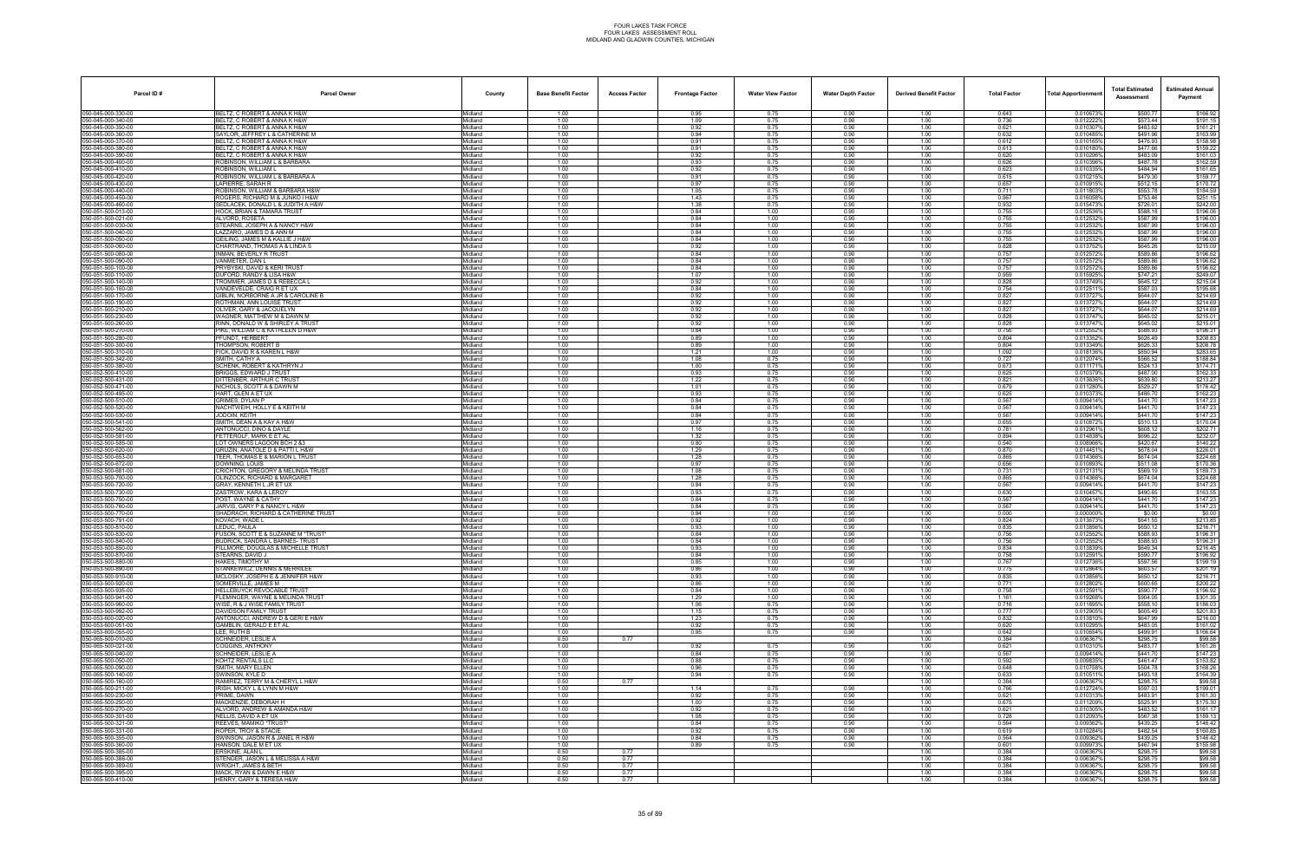| Parcel ID#                               | <b>Parcel Owner</b>                                                          | County                     | <b>Base Benefit Factor</b> | <b>Access Factor</b> | <b>Frontage Factor</b> | <b>Water View Factor</b> | <b>Water Depth Factor</b> | <b>Derived Benefit Factor</b> | <b>Total Factor</b> | Total Apportionmer     | <b>Total Estimated</b><br>Assessment | <b>Estimated Annual</b><br>Payment |
|------------------------------------------|------------------------------------------------------------------------------|----------------------------|----------------------------|----------------------|------------------------|--------------------------|---------------------------|-------------------------------|---------------------|------------------------|--------------------------------------|------------------------------------|
| 050-045-000-330-00                       | BELTZ, C ROBERT & ANNA K H&W                                                 | Midland                    | 1.00                       |                      | 0.95                   | 0.75                     | 0.90                      | 1.00                          | 0.643               | 0.010673%              | \$500.77                             | \$166.92                           |
| 050-045-000-340-00<br>50-045-000-350-00  | BELTZ, C ROBERT & ANNA K H&W<br>BELTZ, C ROBERT & ANNA K H&W                 | Midland<br>Midland         | 1.00<br>1.00               |                      | 1.09<br>0.92           | 0.75<br>0.75             | 0.90<br>0.90              | 1.00<br>1.00                  | 0.736<br>0.621      | 0.012222%<br>0.0103079 | \$573.44<br>\$483.62                 | \$191.15<br>\$161.21               |
| 50-045-000-360-00                        | SAYLOR, JEFFREY L & CATHERINE M                                              | Midland                    | 1.00                       |                      | 0.94                   | 0.75                     | 0.90                      | 1.00                          | 0.632               | 0.010485%              | \$491.96                             | \$163.99                           |
| 50-045-000-370-00<br>50-045-000-380-00   | BELTZ, C ROBERT & ANNA K H&W<br>BELTZ. C ROBERT & ANNA K H&W                 | Midland<br>Midland         | 1.00<br>1.00               |                      | 0.91<br>0.91           | 0.75<br>0.75             | 0.90<br>0.90              | 1.00<br>1.00                  | 0.612<br>0.613      | 0.010165%<br>0.010180% | \$476.93<br>\$477.66                 | \$158.98<br>\$159.22               |
| 50-045-000-390-00                        | BELTZ, C ROBERT & ANNA K H&W                                                 | Midland                    | 1.00                       |                      | 0.92                   | 0.75                     | 0.90                      | 1.00                          | 0.620               | 0.010296%              | \$483.09                             | \$161.03                           |
| 60-045-000-400-00<br>50-045-000-410-00   | ROBINSON, WILLIAM L & BARBARA<br>ROBINSON. WILLIAM L                         | Midland<br>Midland         | 1.00<br>1.00               |                      | 0.93<br>0.92           | 0.75<br>0.75             | 0.90<br>0.90              | 1.00<br>1.00                  | 0.626<br>0.623      | 0.010396%<br>0.010335% | \$487.78<br>\$484.94                 | \$162.59<br>\$161.65               |
| 50-045-000-420-00                        | ROBINSON, WILLIAM L & BARBARA A                                              | Midland                    | 1.00                       |                      | 0.91                   | 0.75                     | 0.90                      | 1.00                          | 0.615               | 0.010215%              | \$479.30                             | \$159.77                           |
| 50-045-000-430-00                        | LAPIERRE, SARAH R                                                            | Midland                    | 1.00                       |                      | 0.97                   | 0.75                     | 0.90                      | 1.00                          | 0.657               | 0.010915%              | \$512.15                             | \$170.72                           |
| 50-045-000-440-00<br>50-045-000-450-00   | ROBINSON, WILLIAM & BARBARA H&W<br>ROGERS, RICHARD M & JUNKO I H&W           | Midland<br>Midland         | 1.00<br>1.00               |                      | 1.05<br>1.43           | 0.75<br>0.75             | 0.90<br>0.90              | 1.00<br>1.00                  | 0.711<br>0.967      | 0.011803%<br>0.016058% | \$553.78<br>\$753.46                 | \$184.59<br>\$251.15               |
| 50-045-000-460-00                        | SEDLACEK, DONALD L & JUDITH A H&W                                            | Midland                    | 1.00                       |                      | 1.38                   | 0.75                     | 0.90                      | 1.00                          | 0.932               | 0.0154739              | \$726.01                             | \$242.00                           |
| 50-051-500-013-00<br>50-051-500-021-00   | <b>HOCK, BRIAN &amp; TAMARA TRUST</b><br>ALVORD, ROSETA                      | Midland<br>Midland         | 1.00<br>1.00               |                      | 0.84<br>0.84           | 1.00<br>1.00             | 0.90<br>0.90              | 1.00<br>1.00                  | 0.755<br>0.755      | 0.012536%<br>0.012532% | \$588.18<br>\$587.99                 | \$196.06<br>\$196.00               |
| 050-051-500-030-00                       | STEARNS, JOSEPH A & NANCY H&W                                                | Midland                    | 1.00                       |                      | 0.84                   | 1.00                     | 0.90                      | 1.00                          | 0.755               | 0.012532%              | \$587.99                             | \$196.00                           |
| 50-051-500-040-00<br>50-051-500-050-00   | LAZZARO, JAMES D & ANN M<br>GEILING, JAMES M & KALLIE J H&W                  | <i>l</i> idland<br>Midland | 1.00<br>1.00               |                      | 0.84<br>0.84           | 1.00<br>1.00             | 0.90<br>0.90              | 1.00<br>1.00                  | 0.755<br>0.755      | 0.012532%<br>0.012532% | \$587.99<br>\$587.99                 | \$196.00<br>\$196.00               |
| 50-051-500-060-00                        | CHARTRAND, THOMAS A & LINDA S                                                | Midland                    | 1.00                       |                      | 0.92                   | 1.00                     | 0.90                      | 1.00                          | 0.828               | 0.013752%              | \$645.26                             | \$215.09                           |
| 50-051-500-080-00<br>050-051-500-090-00  | INMAN, BEVERLY R TRUST<br>VANMETER, DAN L                                    | Midland<br>Midland         | 1.00<br>1.00               |                      | 0.84<br>0.84           | 1.00<br>1.00             | 0.90<br>0.90              | 1.00<br>1.00                  | 0.757<br>0.757      | 0.012572%<br>0.012572% | \$589.86<br>\$589.86                 | \$196.62<br>\$196.62               |
| 50-051-500-100-00                        | PRYBYSKI, DAVID & KERI TRUST                                                 | Midland                    | 1.00                       |                      | 0.84                   | 1.00                     | 0.90                      | 1.00                          | 0.757               | 0.0125729              | \$589.86                             | \$196.62                           |
| 50-051-500-110-00<br>50-051-500-140-00   | DUFORD, RANDY & LISA H&W<br>TROMMER, JAMES D & REBECCA I                     | Midland<br>Midland         | 1.00<br>1.00               |                      | 1.07<br>0.92           | 1.00<br>1.00             | 0.90<br>0.90              | 1.00<br>1.00                  | 0.959<br>0.828      | 0.015925%<br>0.013749% | \$747.21<br>\$645.12                 | \$249.07<br>\$215.04               |
| 150-051-500-160-00                       | VANDEVELDE, CRAIG R ET UX                                                    | Midland                    | 1.00                       |                      | 0.84                   | 1.00                     | 0.90                      | 1.00                          | 0.754               | 0.0125119              | \$587.03                             | \$195.68                           |
| 150-051-500-170-00<br>50-051-500-190-00  | GIBLIN, NORBORNE A JR & CAROLINE B<br>ROTHMAN, ANN LOUISE TRUST              | Midland<br><i>l</i> idland | 1.00<br>1.00               |                      | 0.92<br>0.92           | 1.00<br>1.00             | 0.90<br>0.90              | 1.00<br>1.00                  | 0.827<br>0.827      | 0.0137279<br>0.013727  | \$644.07<br>\$644.07                 | \$214.69<br>\$214.69               |
| 50-051-500-210-00                        | OLIVER, GARY & JACQUELYN                                                     | Midland                    | 1.00                       |                      | 0.92                   | 1.00                     | 0.90                      | 1.00                          | 0.827               | 0.0137279              | \$644.07                             | \$214.69                           |
| 50-051-500-230-00                        | WAGNER, MATTHEW M & DAWN M                                                   | Midland                    | 1.00                       |                      | 0.92                   | 1.00                     | 0.90                      | 1.00                          | 0.828               | 0.013747%              | \$645.02                             | \$215.01                           |
| 050-051-500-260-00<br>150-051-500-270-00 | RINN, DONALD W & SHIRLEY A TRUST<br>PIKE. WILLIAM C & KATHLEEN D H&W         | Midland<br>Midland         | 1.00<br>1.00               |                      | 0.92<br>0.84           | 1.00<br>1.00             | 0.90<br>0.90              | 1.00<br>1.00                  | 0.828<br>0.756      | 0.013747%<br>0.0125529 | \$645.02<br>\$588.93                 | \$215.01<br>\$196.31               |
| 50-051-500-280-00                        | PFUNDT, HERBERT                                                              | <i>l</i> idland            | 1.00                       |                      | 0.89                   | 1.00                     | 0.90                      | 1.00                          | 0.804               | 0.013352%              | \$626.49                             | \$208.83                           |
| 50-051-500-300-00<br>50-051-500-310-00   | <b>THOMPSON, ROBERT B</b><br>FICK, DAVID R & KAREN L H&W                     | Midland<br>Midland         | 1.00<br>1.00               |                      | 0.89<br>1.21           | 1.00<br>1.00             | 0.90<br>0.90              | 1.00<br>1.00                  | 0.804<br>1.092      | 0.013349%<br>0.018136% | \$626.33<br>\$850.94                 | \$208.78<br>\$283.65               |
| 150-051-500-342-00                       | SMITH, CATHY A                                                               | Midland                    | 1.00                       |                      | 1.08                   | 0.75                     | 0.90                      | 1.00                          | 0.727               | 0.012074%              | \$566.52                             | \$188.84                           |
| 150-051-500-380-00<br>50-052-500-410-00  | SCHENK, ROBERT & KATHRYN J<br>BRIGGS, EDWARD J TRUST                         | Midland<br>lidland         | 1.00<br>1.00               |                      | 1.00<br>0.93           | 0.75<br>0.75             | 0.90<br>0.90              | 1.00<br>1.00                  | 0.673<br>0.625      | 0.0111719<br>0.010379% | \$524.13<br>\$487.00                 | \$174.71<br>\$162.33               |
| 50-052-500-431-00                        | DITTENBER, ARTHUR C TRUST                                                    | Midland                    | 1.00                       |                      | 1.22                   | 0.75                     | 0.90                      | 1.00                          | 0.821               | 0.013636%              | \$639.80                             | \$213.27                           |
| 50-052-500-471-00<br>050-052-500-495-00  | NICHOLS, SCOTT A & DAWN M<br>HART. GLEN A ET UX                              | Midland<br>Midland         | 1.00<br>1.00               |                      | 1.01<br>0.93           | 0.75<br>0.75             | 0.90<br>0.90              | 1.00<br>1.00                  | 0.679<br>0.625      | 0.0112809<br>0.010373% | \$529.27<br>\$486.70                 | \$176.42<br>\$162.23               |
| 50-052-500-510-00                        | GRIMES, DYLAN P                                                              | Midland                    | 1.00                       |                      | 0.84                   | 0.75                     | 0.90                      | 1.00                          | 0.567               | 0.009414%              | \$441.70                             | \$147.23                           |
| 50-052-500-520-00                        | NACHTWEIH, HOLLY E & KEITH M<br>JODOIN, KEITH                                | <i>l</i> idland            | 1.00                       |                      | 0.84                   | 0.75                     | 0.90                      | 1.00                          | 0.567               | 0.0094149              | \$441.70                             | \$147.23                           |
| 50-052-500-530-00<br>50-052-500-541-00   | SMITH, DEAN A & KAY A H&W                                                    | Midland<br>Midland         | 1.00<br>1.00               |                      | 0.84<br>0.97           | 0.75<br>0.75             | 0.90<br>0.90              | 1.00<br>1.00                  | 0.567<br>0.655      | 0.009414%<br>0.0108729 | \$441.70<br>\$510.13                 | \$147.23<br>\$170.04               |
| 050-052-500-562-00                       | ANTONUCCI, DINO & DAYLE                                                      | Midland                    | 1.00                       |                      | 1.16                   | 0.75                     | 0.90                      | 1.00                          | 0.781               | 0.012961%              | \$608.12                             | \$202.71                           |
| 50-052-500-581-00<br>50-052-500-585-00   | FETTEROLF, MARK E ET AL<br>OT OWNERS LAGOON BCH 2 &3                         | Midland<br>lidland         | 1.00<br>1.00               |                      | 1.32<br>0.80           | 0.75<br>0.75             | 0.90<br>0.90              | 1.00<br>1.00                  | 0.894<br>0.540      | 0.0148389<br>0.008966% | \$696.22<br>\$420.67                 | \$232.07<br>\$140.22               |
| 50-052-500-620-00                        | <b>GRUZIN, ANATOLE D &amp; PATTI L H&amp;W</b>                               | Midland                    | 1.00                       |                      | 1.29                   | 0.75                     | 0.90                      | 1.00                          | 0.870               | 0.014451%              | \$678.04                             | \$226.01                           |
| 50-052-500-653-00<br>050-052-500-672-00  | TEER, THOMAS E & MARION L TRUST<br>DOWNING, LOUIS                            | Midland<br>Midland         | 1.00<br>1.00               |                      | 1.28<br>0.97           | 0.75<br>0.75             | 0.90<br>0.90              | 1.00<br>1.00                  | 0.865<br>0.656      | 0.014366%<br>0.010893% | \$674.04<br>\$511.08                 | \$224.68<br>\$170.36               |
| 50-052-500-681-00                        | CRICHTON, GREGORY & MELINDA TRUST                                            | Midland                    | 1.00                       |                      | 1.08                   | 0.75                     | 0.90                      | 1.00                          | 0.731               | 0.0121319              | \$569.19                             | \$189.73                           |
| 50-053-500-700-00<br>50-053-500-720-00   | OLINZOCK, RICHARD & MARGARET<br>GRAY, KENNETH L JR ET UX                     | <i>l</i> idland<br>Midland | 1.00<br>1.00               |                      | 1.28<br>0.84           | 0.75<br>0.75             | 0.90<br>0.90              | 1.00<br>1.00                  | 0.865<br>0.567      | 0.014366%<br>0.009414% | \$674.04<br>\$441.70                 | \$224.68<br>\$147.23               |
| 50-053-500-730-00                        | ZASTROW, KARA & LEROY                                                        | Midland                    | 1.00                       |                      | 0.93                   | 0.75                     | 0.90                      | 1.00                          | 0.630               | 0.0104579              | \$490.65                             | \$163.55                           |
| 050-053-500-750-00<br>50-053-500-760-00  | POST. WAYNE & CATHY<br>JARVIS, GARY P & NANCY L H&W                          | Midland<br>Midland         | 1.00<br>1.00               |                      | 0.84<br>0.84           | 0.75<br>0.75             | 0.90<br>0.90              | 1.00<br>1.00                  | 0.567<br>0.567      | 0.009414%<br>0.009414% | \$441.70<br>\$441.70                 | \$147.23<br>\$147.23               |
| 50-053-500-770-00                        | SHADRACH, RICHARD & CATHERINE TRUST                                          | lidland                    | 0.00                       |                      | 0.94                   | 1.00                     | 0.90                      | 1.00                          | 0.000               | 0.0000009              | \$0.00                               | \$0.00                             |
| 50-053-500-791-00<br>50-053-500-810-00   | KOVACH. WADE L<br>LEDUC, PAULA                                               | Midland<br>Midland         | 1.00<br>1.00               |                      | 0.92<br>0.93           | 1.00<br>1.00             | 0.90<br>0.90              | 1.00<br>1.00                  | 0.824<br>0.835      | 0.013673%<br>0.013856% | \$641.55<br>\$650.12                 | \$213.85<br>\$216.71               |
| 050-053-500-830-00                       | FUSON. SCOTT E & SUZANNE M *TRUST*                                           | Midland                    | 1.00                       |                      | 0.84                   | 1.00                     | 0.90                      | 1.00                          | 0.756               | 0.012552%              | \$588.93                             | \$196.31                           |
| 050-053-500-840-00<br>050-053-500-850-00 | <b>BUDRICK, SANDRA L BARNES- TRUST</b><br>FILLMORE, DOUGLAS & MICHELLE TRUST | Midland<br>lidland         | 1.00<br>1.00               |                      | 0.84<br>0.93           | 1.00<br>1.00             | 0.90<br>0.90              | 1.00<br>1.00                  | 0.756<br>0.834      | 0.0125529<br>0.013839% | \$588.93<br>\$649.34                 | \$196.31<br>\$216.45               |
| 050-053-500-870-00                       | STEARNS, DAVID J                                                             | Midland                    | 1.00                       |                      | 0.84                   | 1.00                     | 0.90                      | 1.00                          | 0.758               | 0.012591%              | \$590.77                             | \$196.92                           |
| 50-053-500-880-00<br>150-053-500-890-00  | HAKES, TIMOTHY M<br>STANKEWICZ, DENNIS & MERRILEE                            | Midland<br>Midland         | 1.00<br>1.00               |                      | 0.85<br>0.86           | 1.00<br>1.00             | 0.90<br>0.90              | 1.00<br>1.00                  | 0.767<br>0.775      | 0.012736%<br>0.012864% | \$597.56<br>\$603.57                 | \$199.19<br>\$201.19               |
| 050-053-500-910-00                       | MCLOSKY, JOSEPH E & JENNIFER H&W                                             | Midland                    | 1.00                       |                      | 0.93                   | 1.00                     | 0.90                      | 1.00                          | 0.835               | 0.013856%              | \$650.12                             | \$216.71                           |
| 50-053-500-920-00<br>50-053-500-935-00   | SOMERVILLE, JAMES M<br>HELLEBUYCK REVOCABLE TRUST                            | <i>l</i> idland<br>Midland | 1.00                       |                      | 0.86<br>0.84           | 1.00<br>1.00             | 0.90<br>0.90              | 1.00<br>1.00                  | 0.771               | 0.012802%<br>0.012591% | \$600.65<br>\$590.77                 | \$200.22<br>\$196.92               |
| 50-053-500-941-00                        | FLEMINGER, WAYNE & MELINDA TRUST                                             | Midland                    | 1.00<br>1.00               |                      | 1.29                   | 1.00                     | 0.90                      | 1.00                          | 0.758<br>1.161      | 0.019268%              | \$904.05                             | \$301.35                           |
| 150-053-500-960-00                       | WISE, R & J WISE FAMILY TRUST                                                | Midland                    | 1.00                       |                      | 1.06                   | 0.75                     | 0.90                      | 1.00                          | 0.716               | 0.011895%              | \$558.10                             | \$186.03                           |
| 050-053-500-992-00<br>50-053-600-020-00  | DAVIDSON FAMILY TRUST<br>ANTONUCCI, ANDREW D & GERI E H&W                    | Midland<br>Midland         | 1.00<br>1.00               |                      | 1.15<br>1.23           | 0.75<br>0.75             | 0.90<br>0.90              | 1.00<br>1.00                  | 0.777<br>0.832      | 0.012905%<br>0.013810% | \$605.49<br>\$647.99                 | \$201.83<br>\$216.00               |
| 050-053-600-051-00                       | GAMBLIN, GERALD E ET AL                                                      | Midland                    | 1.00                       |                      | 0.92                   | 0.75                     | 0.90                      | 1.00                          | 0.620               | 0.010295%              | \$483.05                             | \$161.02                           |
| 50-053-600-055-00<br>50-065-500-010-00   | LEE, RUTH B<br>SCHNEIDER, LESLIE A                                           | Midland<br>Midland         | 1.00<br>0.50               | 0.77                 | 0.95                   | 0.75                     | 0.90                      | 1.00<br>1.00                  | 0.642<br>0.384      | 0.010654%<br>0.006367% | \$499.91<br>\$298.75                 | \$166.64<br>\$99.58                |
| 50-065-500-021-00                        | COGGINS, ANTHONY                                                             | Midland                    | 1.00                       |                      | 0.92                   | 0.75                     | 0.90                      | 1.00                          | 0.621               | 0.0103109              | \$483.77                             | \$161.26                           |
| 50-065-500-040-00<br>50-065-500-050-00   | SCHNEIDER, LESLIE A<br>KOHTZ RENTALS LLC                                     | <i>l</i> idland<br>Midland | 1.00<br>1.00               |                      | 0.84<br>0.88           | 0.75<br>0.75             | 0.90<br>0.90              | 1.00<br>1.00                  | 0.567<br>0.592      | 0.009414%<br>0.009835% | \$441.70<br>\$461.47                 | \$147.23<br>\$153.82               |
| 50-065-500-090-00                        | SMITH, MARY ELLEN                                                            | Midland                    | 1.00                       |                      | 0.96                   | 0.75                     | 0.90                      | 1.00                          | 0.648               | 0.010758%              | \$504.78                             | \$168.26                           |
| 50-065-500-140-00<br>050-065-500-160-00  | SWINSON, KYLE D<br>RAMIREZ. TERRY M & CHERYL L H&W                           | Midland<br>Midland         | 1.00<br>0.50               | 0.77                 | 0.94                   | 0.75                     | 0.90                      | 1.00<br>1.00                  | 0.633<br>0.384      | 0.010511%<br>0.006367% | \$493.18<br>\$298.75                 | \$164.39<br>\$99.58                |
| 50-065-500-211-00                        | IRISH, MICKY L & LYNN M H&W                                                  | Midland                    | 1.00                       |                      | 1.14                   | 0.75                     | 0.90                      | 1.00                          | 0.766               | 0.012724%              | \$597.03                             | \$199.01                           |
| 050-065-500-230-00<br>50-065-500-250-00  | PRIME, DAWN<br>MACKENZIE, DEBORAH H                                          | Midland<br>Midland         | 1.00<br>1.00               |                      | 0.92<br>1.00           | 0.75<br>0.75             | 0.90<br>0.90              | 1.00<br>1.00                  | 0.621<br>0.675      | 0.010313%<br>0.011209% | \$483.91<br>\$525.91                 | \$161.30<br>\$175.30               |
| 50-065-500-270-00                        | ALVORD, ANDREW & AMANDA H&W                                                  | Midland                    | 1.00                       |                      | 0.92                   | 0.75                     | 0.90                      | 1.00                          | 0.621               | 0.010305%              | \$483.52                             | \$161.17                           |
| 50-065-500-301-00                        | NELLIS, DAVID A ET UX                                                        | Midland                    | 1.00                       |                      | 1.08                   | 0.75                     | 0.90                      | 1.00                          | 0.728               | 0.012093%              | \$567.38                             | \$189.13                           |
| 50-065-500-321-00<br>150-065-500-331-00  | REEVES, MAMIKO *TRUST*<br>ROPER. TROY & STACIE                               | <i>l</i> idland<br>Midland | 1.00<br>1.00               |                      | 0.84<br>0.92           | 0.75<br>0.75             | 0.90<br>0.90              | 1.00<br>1.00                  | 0.564<br>0.619      | 0.009362%<br>0.010284% | \$439.25<br>\$482.54                 | \$146.42<br>\$160.85               |
| 50-065-500-355-00                        | SWINSON, JASON R & JANEL R H&W                                               | Midland                    | 1.00                       |                      | 0.84                   | 0.75                     | 0.90                      | 1.00                          | 0.564               | 0.009362%              | \$439.25                             | \$146.42                           |
| 50-065-500-360-00<br>050-065-500-385-00  | HANSON, DALE M ET UX<br>ERSKINE, ALAN L                                      | Midland<br>Midland         | 1.00<br>0.50               | 0.77                 | 0.89                   | 0.75                     | 0.90                      | 1.00<br>1.00                  | 0.601<br>0.384      | 0.009973%<br>0.006367% | \$467.94<br>\$298.75                 | \$155.98<br>\$99.58                |
| 50-065-500-386-00                        | STENGER, JASON L & MELISSA A H&W                                             | Midland                    | 0.50                       | 0.77                 |                        |                          |                           | 1.00                          | 0.384               | 0.0063679              | \$298.75                             | \$99.58                            |
| 150-065-500-389-00<br>050-065-500-395-00 | WRIGHT, JAMES & BETH<br>MACK, RYAN & DAWN E H&W                              | Midland<br>Midland         | 0.50<br>0.50               | 0.77<br>0.77         |                        |                          |                           | 1.00<br>1.00                  | 0.384<br>0.384      | 0.006367%<br>0.006367% | \$298.75<br>\$298.75                 | \$99.58<br>\$99.58                 |
| 050-065-500-410-00                       | HENRY, GARY & TERESA H&W                                                     | Midland                    | 0.50                       | 0.77                 |                        |                          |                           | 1.00                          | 0.384               | 0.006367%              | \$298.75                             | \$99.58                            |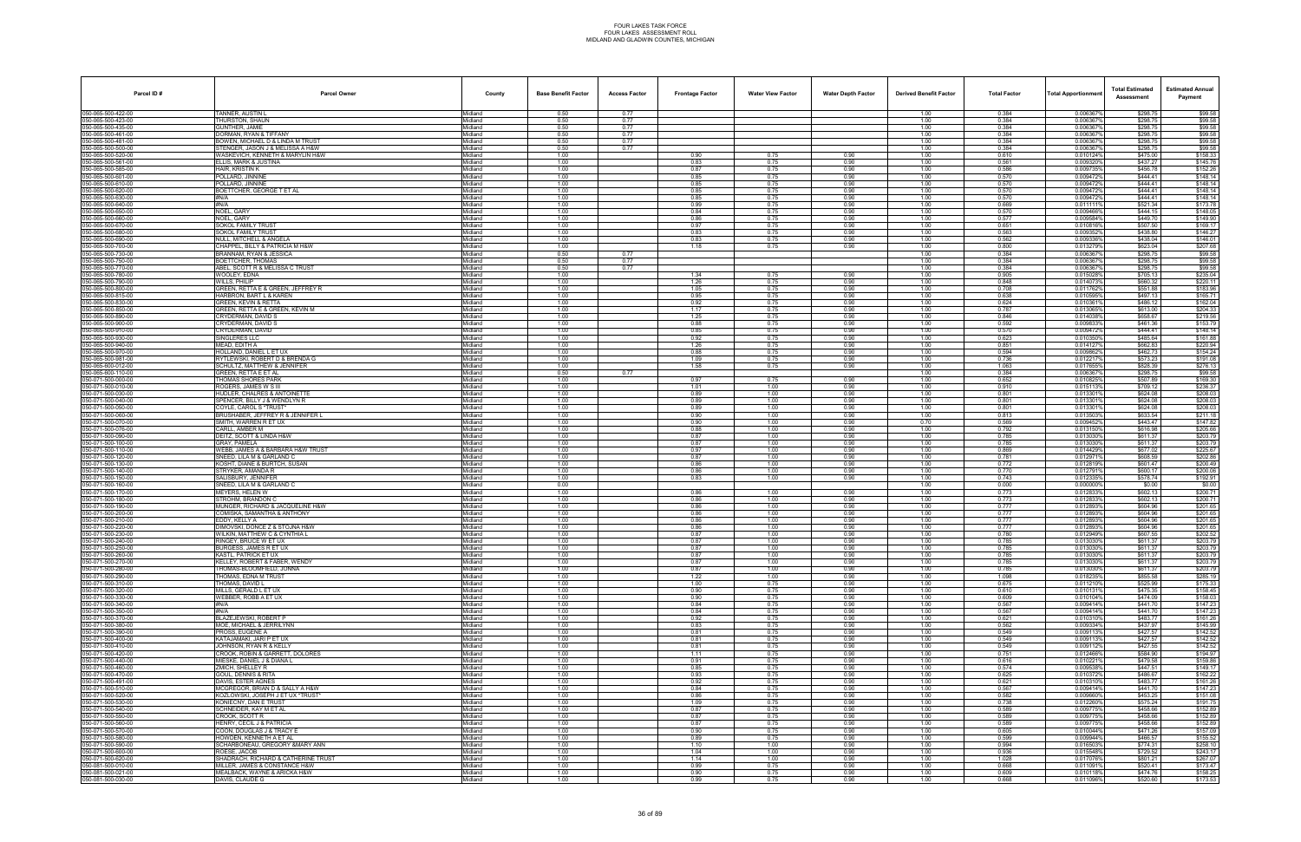| Parcel ID#                               | <b>Parcel Owner</b>                                           | County             | <b>Base Benefit Factor</b> | <b>Access Factor</b> | <b>Frontage Factor</b> | <b>Water View Factor</b> | <b>Water Depth Factor</b> | <b>Derived Benefit Factor</b> | <b>Total Factor</b> | <b>Total Apportionmen</b> | <b>Total Estimated</b><br>Assessment | <b>Estimated Annual</b><br>Payment |
|------------------------------------------|---------------------------------------------------------------|--------------------|----------------------------|----------------------|------------------------|--------------------------|---------------------------|-------------------------------|---------------------|---------------------------|--------------------------------------|------------------------------------|
| 050-065-500-422-00                       | TANNER, AUSTIN L                                              | Midland            | 0.50                       | 0.77                 |                        |                          |                           | 1.00                          | 0.384               | 0.006367%                 | \$298.75                             | \$99.58                            |
| 050-065-500-423-00<br>050-065-500-435-00 | THURSTON, SHAUN<br><b>GUNTHER, JAMIE</b>                      | Midland            | 0.50<br>0.50               | 0.77<br>0.77         |                        |                          |                           | 1.00<br>1.00                  | 0.384<br>0.384      | 0.006367%<br>0.006367     | \$298.75<br>\$298.75                 | \$99.58<br>\$99.58                 |
| 050-065-500-461-00                       | DORMAN, RYAN & TIFFANY                                        | Midland<br>Midland | 0.50                       | 0.77                 |                        |                          |                           | 1.00                          | 0.384               | 0.0063679                 | \$298.75                             | \$99.58                            |
| 050-065-500-481-00                       | BOWEN, MICHAEL D & LINDA M TRUST                              | Midland            | 0.50                       | 0.77                 |                        |                          |                           | 1.00                          | 0.384               | 0.0063679                 | \$298.75                             | \$99.58                            |
| 050-065-500-500-00                       | STENGER, JASON J & MELISSA A H&W                              | Midland            | 0.50                       | 0.77                 |                        |                          |                           | 1.00                          | 0.384               | 0.006367                  | \$298.75                             | \$99.58                            |
| 050-065-500-520-00<br>050-065-500-561-00 | WASKEVICH, KENNETH & MARYLIN H&W<br>ELLIS. MARK & JUSTINA     | Midland<br>Midland | 1.00<br>1.00               |                      | 0.90<br>0.83           | 0.75<br>0.75             | 0.90<br>0.90              | 1.00<br>1.00                  | 0.610<br>0.561      | 0.010124%<br>0.0093209    | \$475.00<br>\$437.27                 | \$158.33<br>\$145.76               |
| 050-065-500-585-00                       | HAIR, KRISTIN K                                               | Midland            | 1.00                       |                      | 0.87                   | 0.75                     | 0.90                      | 1.00                          | 0.586               | 0.009735%                 | \$456.78                             | \$152.26                           |
| 050-065-500-601-00                       | POLLARD, JINNINE                                              | Midland            | 1.00                       |                      | 0.85                   | 0.75                     | 0.90                      | 1.00                          | 0.570               | 0.009472%                 | \$444.41                             | \$148.14                           |
| 050-065-500-610-00<br>050-065-500-620-00 | POLLARD, JINNINE<br>BOETTCHER, GEORGE T ET AL                 | Midland<br>Midland | 1.00<br>1.00               |                      | 0.85<br>0.85           | 0.75<br>0.75             | 0.90<br>0.90              | 1.00<br>1.00                  | 0.570<br>0.570      | 0.0094729<br>0.009472%    | \$444.41<br>\$444.41                 | \$148.14<br>\$148.14               |
| 050-065-500-630-00                       | #N/A                                                          | Midland            | 1.00                       |                      | 0.85                   | 0.75                     | 0.90                      | 1.00                          | 0.570               | 0.009472%                 | \$444.41                             | \$148.14                           |
| 050-065-500-640-00                       | #N/A                                                          | Midland            | 1.00                       |                      | 0.99                   | 0.75                     | 0.90                      | 1.00                          | 0.669               | 0.0111119                 | $$52\overline{1.34}$                 | \$173.78                           |
| 050-065-500-650-00<br>050-065-500-660-00 | NOEL, GARY<br>NOEL, GARY                                      | Midland<br>Midland | 1.00<br>1.00               |                      | 0.84<br>0.86           | 0.75<br>0.75             | 0.90<br>0.90              | 1.00                          | 0.570<br>0.577      | 0.0094669<br>0.009584%    | \$444.15<br>\$449.70                 | \$148.05<br>\$149.90               |
| 050-065-500-670-00                       | SOKOL FAMILY TRUST                                            | Midland            | 1.00                       |                      | 0.97                   | 0.75                     | 0.90                      | 1.00<br>1.00                  | 0.651               | 0.010816%                 | \$507.50                             | \$169.17                           |
| 050-065-500-680-00                       | SOKOL FAMILY TRUST                                            | Midland            | 1.00                       |                      | 0.83                   | 0.75                     | 0.90                      | 1.00                          | 0.563               | 0.0093529                 | \$438.80                             | \$146.27                           |
| 050-065-500-690-00                       | NULL. MITCHELL & ANGELA                                       | Midland            | 1.00                       |                      | 0.83                   | 0.75                     | 0.90                      | 1.00                          | 0.562               | 0.009336%                 | \$438.04                             | \$146.01                           |
| 050-065-500-700-00<br>050-065-500-730-00 | CHAPPEL, BILLY & PATRICIA M H&W<br>BRANNAM, RYAN & JESSICA    | Midland<br>Midland | 1.00<br>0.50               | 0.77                 | 1.18                   | 0.75                     | 0.90                      | 1.00<br>1.00                  | 0.800<br>0.384      | 0.013279%<br>0.0063679    | \$623.04<br>\$298.75                 | \$207.68<br>\$99.58                |
| 050-065-500-750-00                       | BOETTCHER, THOMAS                                             | Midland            | 0.50                       | 0.77                 |                        |                          |                           | 1.00                          | 0.384               | 0.0063679                 | \$298.75                             | \$99.58                            |
| 050-065-500-770-00                       | ABEL, SCOTT R & MELISSA C TRUST                               | Midland            | 0.50                       | 0.77                 |                        |                          |                           | 1.00                          | 0.384               | 0.006367                  | \$298.75                             | \$99.58                            |
| 050-065-500-780-00<br>050-065-500-790-00 | WOOLEY, EDNA<br>WILLS, PHILIP                                 | Midland<br>Midland | 1.00<br>1.00               |                      | 1.34<br>1.26           | 0.75<br>0.75             | 0.90<br>0.90              | 1.00<br>1.00                  | 0.905<br>0.848      | 0.015028%<br>0.0140739    | \$705.13<br>\$660.32                 | \$235.04<br>\$220.11               |
| 050-065-500-800-00                       | GREEN, RETTA E & GREEN, JEFFREY R                             | Midland            | 1.00                       |                      | 1.05                   | 0.75                     | 0.90                      | 1.00                          | 0.708               | 0.011762%                 | \$551.88                             | \$183.96                           |
| 050-065-500-815-00                       | HARBRON, BART L & KAREN                                       | Midland            | 1.00                       |                      | 0.95                   | 0.75                     | 0.90                      | 1.00                          | 0.638               | 0.010595%                 | \$497.13                             | \$165.71                           |
| 050-065-500-830-00                       | GREEN, KEVIN & RETTA                                          | Midland            | 1.00                       |                      | 0.92                   | 0.75                     | 0.90                      | 1.00                          | 0.624               | 0.010361                  | \$486.12                             | \$162.04                           |
| 050-065-500-850-00<br>050-065-500-890-00 | GREEN, RETTA E & GREEN, KEVIN M<br>CRYDERMAN, DAVID S         | Midland<br>Midland | 1.00<br>1.00               |                      | 1.17<br>1.25           | 0.75<br>0.75             | 0.90<br>0.90              | 1.00<br>1.00                  | 0.787<br>0.846      | 0.013065%<br>0.014038%    | \$613.00<br>\$658.67                 | \$204.33<br>\$219.56               |
| 050-065-500-900-00                       | CRYDERMAN, DAVID S                                            | Midland            | 1.00                       |                      | 0.88                   | 0.75                     | 0.90                      | 1.00                          | 0.592               | 0.009833%                 | \$461.36                             | \$153.79                           |
| 050-065-500-910-00                       | CRYDERMAN, DAVID                                              | Midland            | 1.00                       |                      | 0.85                   | 0.75                     | 0.90                      | 1.00                          | 0.570               | 0.009472%                 | \$444.41                             | \$148.14                           |
| 050-065-500-930-00<br>050-065-500-940-00 | SINGLERES LLC<br>MEAD. EDITH A                                | Midland<br>Midland | 1.00<br>1.00               |                      | 0.92<br>1.26           | 0.75<br>0.75             | 0.90<br>0.90              | 1.00<br>1.00                  | 0.623<br>0.851      | 0.010350%<br>0.014127%    | \$485.64<br>\$662.83                 | \$161.88<br>\$220.94               |
| 050-065-500-970-00                       | HOLLAND, DANIEL L ET UX                                       | Midland            | 1.00                       |                      | 0.88                   | 0.75                     | 0.90                      | 1.00                          | 0.594               | 0.0098629                 | \$462.73                             | \$154.24                           |
| 050-065-500-981-00                       | RYTLEWSKI, ROBERT D & BRENDA G                                | Midland            | 1.00                       |                      | 1.09                   | 0.75                     | 0.90                      | 1.00                          | 0.736               | 0.012217%                 | \$573.23                             | \$191.08                           |
| 050-065-600-012-00<br>050-065-600-110-00 | SCHULTZ, MATTHEW & JENNIFER<br>GREEN, RETTA E ET AL           | Midland<br>Midland | 1.00<br>0.50               | 0.77                 | 1.58                   | 0.75                     | 0.90                      | 1.00<br>1.00                  | 1.063<br>0.384      | 0.0176559<br>0.006367     | \$828.39<br>\$298.75                 | \$276.13<br>\$99.58                |
| 050-071-500-000-00                       | THOMAS SHORES PARK                                            | Midland            | 1.00                       |                      | 0.97                   | 0.75                     | 0.90                      | 1.00                          | 0.652               | 0.010825%                 | \$507.89                             | \$169.30                           |
| 050-071-500-010-00                       | ROGERS, JAMES W S III                                         | Midland            | 1.00                       |                      | 1.01                   | 1.00                     | 0.90                      | 1.00                          | 0.910               | 0.015113                  | \$709.12                             | \$236.37                           |
| 050-071-500-030-00                       | HUDLER. CHALRES & ANTOINETTE                                  | Midland            | 1.00                       |                      | 0.89                   | 1.00                     | 0.90                      | 1.00                          | 0.801               | 0.0133019                 | \$624.08                             | \$208.03                           |
| 050-071-500-040-00<br>050-071-500-050-00 | SPENCER, BILLY J & WENDLYN R<br>COYLE, CAROL S *TRUST         | Midland<br>Midland | 1.00<br>1.00               |                      | 0.89<br>0.89           | 1.00<br>1.00             | 0.90<br>0.90              | 1.00<br>1.00                  | 0.801<br>0.801      | 0.0133019<br>0.013301     | \$624.08<br>\$624.08                 | \$208.03<br>\$208.03               |
| 050-071-500-060-00                       | BRUSHABER, JEFFREY R & JENNIFER I                             | Midland            | 1.00                       |                      | 0.90                   | 1.00                     | 0.90                      | 1.00                          | 0.813               | 0.013503%                 | \$633.54                             | \$211.18                           |
| 050-071-500-070-00                       | SMITH, WARREN R ET UX                                         | Midland            | 1.00                       |                      | 0.90                   | 1.00                     | 0.90                      | 0.70                          | 0.569               | 0.009452%                 | \$443.47                             | \$147.82                           |
| 050-071-500-076-00<br>050-071-500-090-00 | CARLL, AMBER M<br>DEITZ, SCOTT & LINDA H&W                    | Midland<br>Midland | 1.00<br>1.00               |                      | 0.88<br>0.87           | 1.00<br>1.00             | 0.90<br>0.90              | 1.00<br>1.00                  | 0.792<br>0.785      | 0.013150%<br>0.0130309    | \$616.98<br>\$611.37                 | \$205.66<br>\$203.79               |
| 050-071-500-100-00                       | GRAY. PAMELA                                                  | Midland            | 1.00                       |                      | 0.87                   | 1.00                     | 0.90                      | 1.00                          | 0.785               | 0.0130309                 | \$611.37                             | \$203.79                           |
| 050-071-500-110-00                       | WEBB. JAMES A & BARBARA H&W TRUST                             | Midland            | 1.00                       |                      | 0.97                   | 1.00                     | 0.90                      | 1.00                          | 0.869               | 0.014429%                 | \$677.02                             | \$225.67                           |
| 050-071-500-120-00                       | SNEED, LILA M & GARLAND C                                     | Midland            | 1.00                       |                      | 0.87                   | 1.00                     | 0.90                      | 1.00                          | 0.781               | 0.0129719                 | \$608.59                             | \$202.86                           |
| 050-071-500-130-00<br>050-071-500-140-00 | KOSHT, DIANE & BURTCH, SUSAN<br>STRYKER, AMANDA R             | Midland<br>Midland | 1.00<br>1.00               |                      | 0.86<br>0.86           | 1.00<br>1.00             | 0.90<br>0.90              | 1.00<br>1.00                  | 0.772<br>0.770      | 0.012819%<br>0.012791%    | \$601.47<br>\$600.17                 | \$200.49<br>\$200.06               |
| 050-071-500-150-00                       | SALISBURY, JENNIFER                                           | Midland            | 1.00                       |                      | 0.83                   | 1.00                     | 0.90                      | 1.00                          | 0.743               | 0.012335                  | \$578.74                             | \$192.91                           |
| 050-071-500-160-00                       | SNEED. LILA M & GARLAND C                                     | Midland            | 0.00                       |                      |                        |                          |                           | 1.00                          | 0.000               | 0.000000%                 | \$0.00                               | \$0.00                             |
| 050-071-500-170-00<br>050-071-500-180-00 | MEYERS, HELEN W<br>STROHM, BRANDON C                          | Midland<br>Midland | 1.00<br>1.00               |                      | 0.86<br>0.86           | 1.00<br>1.00             | 0.90<br>0.90              | 1.00<br>1.00                  | 0.773<br>0.773      | 0.0128339<br>0.012833%    | \$602.13<br>\$602.13                 | \$200.71<br>\$200.71               |
| 050-071-500-190-00                       | MUNGER, RICHARD & JACQUELINE H&W                              | Midland            | 1.00                       |                      | 0.86                   | 1.00                     | 0.90                      | 1.00                          | 0.777               | 0.0128939                 | \$604.96                             | \$201.65                           |
| 050-071-500-200-00                       | COMISKA, SAMANTHA & ANTHONY                                   | Midland            | 1.00                       |                      | 0.86                   | 1.00                     | 0.90                      | 1.00                          | 0.777               | 0.0128939                 | \$604.96                             | \$201.65                           |
| 050-071-500-210-00<br>050-071-500-220-00 | EDDY, KELLY A<br>DIMOVSKI, DONCE Z & STOJNA H&W               | Midland<br>Midland | 1.00<br>1.00               |                      | 0.86<br>0.86           | 1.00<br>1.00             | 0.90<br>0.90              | 1.00<br>1.00                  | 0.777<br>0.777      | 0.012893%<br>0.012893     | \$604.96<br>\$604.96                 | \$201.65<br>\$201.65               |
| 050-071-500-230-00                       | WILKIN, MATTHEW C & CYNTHIA L                                 | Midland            | 1.00                       |                      | 0.87                   | 1.00                     | 0.90                      | 1.00                          | 0.780               | 0.012949%                 | \$607.55                             | \$202.52                           |
| 050-071-500-240-00                       | RINGEY, BRUCE W ET UX                                         | Midland            | 1.00                       |                      | 0.87                   | 1.00                     | 0.90                      | 1.00                          | 0.785               | 0.0130309                 | \$611.37                             | \$203.79                           |
| 050-071-500-250-00                       | BURGESS, JAMES R ET UX<br><b>KASTL, PATRICK ET UX</b>         | Midland            | 1.00                       |                      | 0.87                   | 1.00                     | 0.90                      | 1.00                          | 0.785               | 0.013030%                 | \$611.37                             | \$203.79                           |
| 050-071-500-260-00<br>050-071-500-270-00 | KELLEY, ROBERT & FABER, WENDY                                 | Midland<br>Midland | 1.00<br>1.00               |                      | 0.87<br>0.87           | 1.00<br>1.00             | 0.90<br>0.90              | 1.00<br>1.00                  | 0.785<br>0.785      | 0.013030%<br>0.013030%    | \$611.37<br>\$611.37                 | \$203.79<br>\$203.79               |
| 050-071-500-280-00                       | THOMAS-BLOOMFIELD, JONNA                                      | Midland            | 1.00                       |                      | 0.87                   | 1.00                     | 0.90                      | 1.00                          | 0.785               | 0.013030%                 | \$611.37                             | \$203.79                           |
| 050-071-500-290-00<br>050-071-500-310-00 | THOMAS, EDNA M TRUST                                          | Midland            | 1.00                       |                      | 1.22                   | 1.00                     | 0.90                      | 1.00                          | 1.098               | 0.0182359                 | \$855.58                             | \$285.19                           |
| 050-071-500-320-00                       | THOMAS, DAVID L<br>MILLS, GERALD L ET UX                      | Midland<br>Midland | 1.00<br>1.00               |                      | 1.00<br>0.90           | 0.75<br>0.75             | 0.90<br>0.90              | 1.00<br>1.00                  | 0.675<br>0.610      | 0.0112109<br>0.010131%    | \$525.99<br>\$475.35                 | \$175.33<br>\$158.45               |
| 050-071-500-330-00                       | WEBBER, ROBB A ET UX                                          | Midland            | 1.00                       |                      | 0.90                   | 0.75                     | 0.90                      | 1.00                          | 0.609               | 0.010104%                 | \$474.09                             | \$158.03                           |
| 050-071-500-340-00                       | #N/A                                                          | Midland            | 1.00                       |                      | 0.84                   | 0.75                     | 0.90                      | 1.00                          | 0.567               | 0.009414%                 | \$441.70                             | \$147.23                           |
| 050-071-500-350-00<br>050-071-500-370-00 | #N/A<br>BLAZEJEWSKI, ROBERT P                                 | Midland<br>Midland | 1.00<br>1.00               |                      | 0.84<br>0.92           | 0.75<br>0.75             | 0.90<br>0.90              | 1.00<br>1.00                  | 0.567<br>0.621      | 0.009414%<br>0.0103109    | \$441.70<br>\$483.77                 | \$147.23<br>\$161.26               |
| 050-071-500-380-00                       | MOE. MICHAEL & JERRILYNN                                      | Midland            | 1.00                       |                      | 0.83                   | 0.75                     | 0.90                      | 1.00                          | 0.562               | 0.009334%                 | \$437.97                             | \$145.99                           |
| 050-071-500-390-00                       | PROSS, EUGENE A                                               | Midland            | 1.00                       |                      | 0.81                   | 0.75                     | 0.90                      | 1.00                          | 0.549               | 0.0091139                 | \$427.57                             | \$142.52                           |
| 050-071-500-400-00                       | KATAJAMAKI. JARI P ET UX                                      | Midland            | 1.00                       |                      | 0.81<br>0.81           | 0.75<br>0.75             | 0.90<br>0.90              | 1.00<br>1.00                  | 0.549<br>0.549      | 0.009113%<br>0.0091129    | \$427.57<br>\$427.55                 | \$142.52<br>\$142.52               |
| 050-071-500-410-00<br>050-071-500-420-00 | JOHNSON, RYAN R & KELLY<br>CROOK, ROBIN & GARRETT, DOLORES    | Midland<br>Midland | 1.00<br>1.00               |                      | 1.11                   | 0.75                     | 0.90                      | 1.00                          | 0.751               | 0.012466%                 | \$584.90                             | \$194.97                           |
| 050-071-500-440-00                       | MIESKE, DANIEL J & DIANA L                                    | Midland            | 1.00                       |                      | 0.91                   | 0.75                     | 0.90                      | 1.00                          | 0.616               | 0.010221%                 | \$479.58                             | \$159.86                           |
| 050-071-500-460-00                       | ZMICH, SHELLEY R                                              | Midland            | 1.00                       |                      | 0.85                   | 0.75                     | 0.90                      | 1.00                          | 0.574               | 0.009538%                 | \$447.51                             | \$149.17                           |
| 050-071-500-470-00<br>050-071-500-491-00 | GOUL, DENNIS & RITA<br>DAVIS, ESTER AGNES                     | Midland<br>Midland | 1.00<br>1.00               |                      | 0.93<br>0.92           | 0.75<br>0.75             | 0.90<br>0.90              | 1.00<br>1.00                  | 0.625<br>0.621      | 0.010372%<br>0.0103109    | \$486.67<br>\$483.77                 | \$162.22<br>\$161.26               |
| 050-071-500-510-00                       | MCGREGOR, BRIAN D & SALLY A H&W                               | Midland            | 1.00                       |                      | 0.84                   | 0.75                     | 0.90                      | 1.00                          | 0.567               | 0.009414%                 | \$441.70                             | \$147.23                           |
| 050-071-500-520-00                       | KOZLOWSKI, JOSEPH J ET UX *TRUST*                             | Midland            | 1.00                       |                      | 0.86                   | 0.75                     | 0.90                      | 1.00                          | 0.582               | 0.009660%                 | \$453.25                             | \$151.08                           |
| 050-071-500-530-00<br>050-071-500-540-00 | KONIECNY, DAN E TRUST<br>SCHNEIDER. KAY M ET AL               | Midland<br>Midland | 1.00<br>1.00               |                      | 1.09<br>0.87           | 0.75<br>0.75             | 0.90<br>0.90              | 1.00<br>1.00                  | 0.738<br>0.589      | 0.012260%<br>0.009775%    | \$575.24<br>\$458.66                 | \$191.75<br>\$152.89               |
| 050-071-500-550-00                       | CROOK, SCOTT R                                                | Midland            | 1.00                       |                      | 0.87                   | 0.75                     | 0.90                      | 1.00                          | 0.589               | 0.0097759                 | \$458.66                             | \$152.89                           |
| 050-071-500-560-00                       | HENRY, CECIL J & PATRICIA                                     | Midland            | 1.00                       |                      | 0.87                   | 0.75                     | 0.90                      | 1.00                          | 0.589               | 0.009775                  | \$458.66                             | \$152.89                           |
| 050-071-500-570-00<br>050-071-500-580-00 | COON. DOUGLAS J & TRACY E<br>HOWDEN, KENNETH A ET AL          | Midland<br>Midland | 1.00<br>1.00               |                      | 0.90<br>0.89           | 0.75<br>0.75             | 0.90<br>0.90              | 1.00<br>1.00                  | 0.605<br>0.599      | 0.010044%<br>0.009944%    | \$471.26<br>\$466.57                 | \$157.09<br>\$155.52               |
| 050-071-500-590-00                       | SCHARBONEAU, GREGORY & MARY ANN                               | Midland            | 1.00                       |                      | 1.10                   | 1.00                     | 0.90                      | 1.00                          | 0.994               | 0.016503%                 | \$774.31                             | \$258.10                           |
| 050-071-500-600-00                       | ROESE, JACOB                                                  | Midland            | 1.00                       |                      | 1.04                   | 1.00                     | 0.90                      | 1.00                          | 0.936               | 0.015548%                 | \$729.52                             | \$243.17                           |
| 050-071-500-620-00                       | SHADRACH, RICHARD & CATHERINE TRUST                           | Midland            | 1.00                       |                      | 1.14                   | 1.00                     | 0.90                      | 1.00                          | 1.028               | 0.017076%                 | \$801.21                             | \$267.07                           |
| 050-081-500-010-00<br>050-081-500-021-00 | MILLER. JAMES & CONSTANCE H&W<br>MEALBACK, WAYNE & ARICKA H&W | Midland<br>Midland | 1.00<br>1.00               |                      | 0.99<br>0.90           | 0.75<br>0.75             | 0.90<br>0.90              | 1.00<br>1.00                  | 0.668<br>0.609      | 0.011091%<br>0.010118%    | \$520.41<br>\$474.76                 | \$173.47<br>\$158.25               |
| 050-081-500-030-00                       | DAVIS, CLAUDE G                                               | Midland            | 1.00                       |                      | 0.99                   | 0.75                     | 0.90                      | 1.00                          | 0.668               | 0.011096%                 | \$520.60                             | \$173.53                           |
|                                          |                                                               |                    |                            |                      |                        |                          |                           |                               |                     |                           |                                      |                                    |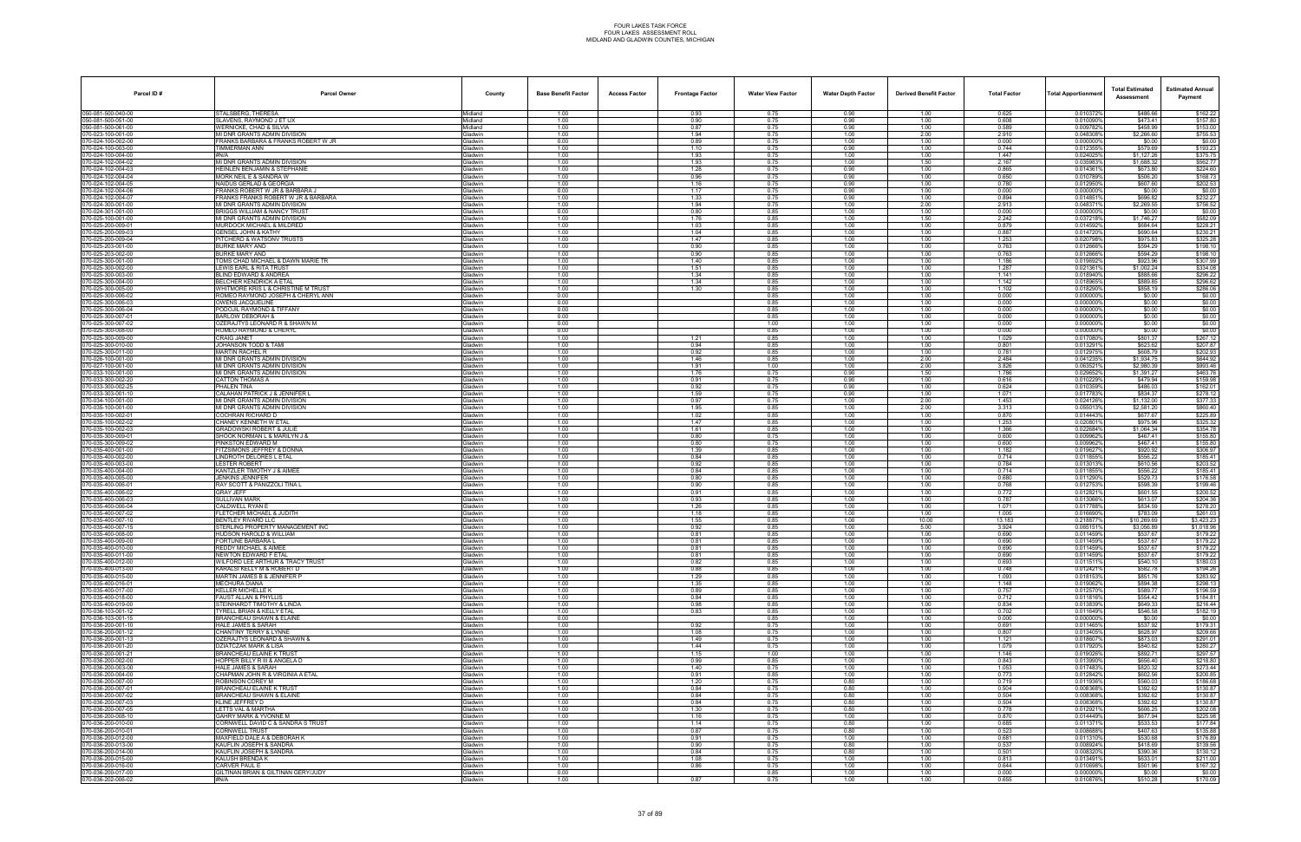| Parcel ID#                              | <b>Parcel Owner</b>                                                  | County                           | <b>Base Benefit Factor</b> | <b>Access Factor</b> | <b>Frontage Factor</b> | <b>Water View Factor</b> | <b>Water Depth Factor</b> | <b>Derived Benefit Factor</b> | <b>Total Factor</b> | <b>Total Apportionmer</b> | <b>Total Estimated</b><br>Assessment | <b>Estimated Annual</b><br>Payment |
|-----------------------------------------|----------------------------------------------------------------------|----------------------------------|----------------------------|----------------------|------------------------|--------------------------|---------------------------|-------------------------------|---------------------|---------------------------|--------------------------------------|------------------------------------|
| 050-081-500-040-00                      | STALSBERG, THERESA                                                   | Midland                          | 1.00                       |                      | 0.93                   | 0.75                     | 0.90                      | 1.00                          | 0.625               | 0.010372%                 | \$486.66                             | \$162.22                           |
| 050-081-500-051-00<br>50-081-500-061-00 | SLAVENS, RAYMOND J ET UX<br>VERNICKE, CHAD & SILVIA                  | Midland<br>Midland               | 1.00<br>1.00               |                      | 0.90<br>0.87           | 0.75<br>0.75             | 0.90<br>0.90              | 1.00<br>1.00                  | 0.608<br>0.589      | 0.010090%<br>0.009782%    | \$473.41<br>\$458.99                 | \$157.80<br>\$153.00               |
| 70-023-100-001-00                       | MI DNR GRANTS ADMIN DIVISION                                         | Gladwin                          | 1.00                       |                      | 1.94                   | 0.75                     | 1.00                      | 2.00                          | 2.910               | 0.048308%                 | \$2,266.60                           | \$755.53                           |
| 70-024-100-002-00                       | FRANKS BARBARA & FRANKS ROBERT W JR                                  | Gladwin                          | 0.00                       |                      | 0.89                   | 0.75                     | 1.00                      | 1.00                          | 0.000               | 0.0000009                 | \$0.00                               | \$0.00                             |
| 70-024-100-003-00<br>70-024-100-004-00  | TIMMERMAN ANN<br>#N/A                                                | Gladwin<br>Gladwin               | 1.00<br>1.00               |                      | 1.10<br>1.93           | 0.75<br>0.75             | 0.90<br>1.00              | 1.00<br>1.00                  | 0.744<br>1.447      | 0.0123559<br>0.024025%    | \$579.69<br>\$1,127.26               | \$193.23<br>\$375.75               |
| 70-024-102-004-02                       | MI DNR GRANTS ADMIN DIVISION                                         | <b>Gladwin</b>                   | 1.00                       |                      | 1.93                   | 0.75                     | 1.00                      | 1.50                          | 2.167               | 0.035983%                 | \$1,688.32                           | \$562.77                           |
| 70-024-102-004-03                       | <b>HEINLEN BENJAMIN &amp; STEPHANIE</b>                              | Gladwin                          | 1.00                       |                      | 1.28                   | 0.75                     | 0.90                      | 1.00                          | 0.865               | 0.0143619                 | \$673.80                             | \$224.60                           |
| 70-024-102-004-04<br>70-024-102-004-05  | MORK NEIL E & SANDRA W<br><b>NAIDUS GERLAD &amp; GEORGIA</b>         | Gladwin<br><b>Gladwin</b>        | 1.00<br>1.00               |                      | 0.96<br>1.16           | 0.75<br>0.75             | 0.90<br>0.90              | 1.00<br>1.00                  | 0.650<br>0.780      | 0.010789%<br>0.012950%    | \$506.20<br>\$607.60                 | \$168.73<br>\$202.53               |
| 70-024-102-004-06                       | FRANKS ROBERT W JR & BARBARA J                                       | Gladwin                          | 0.00                       |                      | 1.17                   | 0.75                     | 0.90                      | 1.00                          | 0.000               | 0.000000%                 | \$0.00                               | \$0.00                             |
| 70-024-102-004-07                       | RANKS FRANKS ROBERT W JR & BARBARA                                   | <b>Gladwin</b>                   | 1.00                       |                      | 1.33                   | 0.75                     | 0.90                      | 1.00                          | 0.894               | 0.0148519                 | \$696.82                             | \$232.27                           |
| 70-024-300-001-00<br>70-024-301-001-00  | <b>MI DNR GRANTS ADMIN DIVISION</b><br>BRIGGS WILLIAM & NANCY TRUST  | Gladwin<br>Gladwin               | 1.00<br>0.00               |                      | 1.94<br>0.80           | 0.75                     | 1.00<br>1.00              | 2.00                          | 2.913<br>0.000      | 0.0483719<br>0.0000009    | \$2,269.55                           | \$756.52<br>\$0.00                 |
| 070-025-100-001-00                      | MI DNR GRANTS ADMIN DIVISION                                         | Gladwin                          | 1.00                       |                      | 1.76                   | 0.85<br>0.85             | 1.00                      | 1.00<br>1.50                  | 2.242               | 0.0372189                 | \$0.00<br>\$1,746.27                 | \$582.09                           |
| 70-025-200-009-01                       | MURDOCK MICHAEL & MILDRED                                            | Gladwin                          | 1.00                       |                      | 1.03                   | 0.85                     | 1.00                      | 1.00                          | 0.879               | 0.014592%                 | \$684.64                             | \$228.21                           |
| 70-025-200-009-03                       | <b>SENSEL JOHN &amp; KATHY</b>                                       | <b>Gladwin</b>                   | 1.00                       |                      | 1.04<br>1.47           | 0.85                     | 1.00                      | 1.00                          | 0.887               | 0.0147209                 | \$690.64                             | \$230.21                           |
| 70-025-200-009-04<br>70-025-203-001-00  | PITCHERD & WATSONV TRUSTS<br>BURKE MARY AND                          | Gladwin<br>Gladwin               | 1.00<br>1.00               |                      | 0.90                   | 0.85<br>0.85             | 1.00<br>1.00              | 1.00<br>1.00                  | 1.253<br>0.763      | 0.0207989<br>0.0126669    | \$975.83<br>\$594.29                 | \$325.28<br>\$198.10               |
| 070-025-203-002-00                      | <b>BURKE MARY AND</b>                                                | Gladwin                          | 1.00                       |                      | 0.90                   | 0.85                     | 1.00                      | 1.00                          | 0.763               | 0.012666%                 | \$594.29                             | \$198.10                           |
| 70-025-300-001-00                       | TOMS CHAD MICHAEL & DAWN MARIE TR                                    | <b>Gladwin</b>                   | 1.00                       |                      | 1.40                   | 0.85                     | 1.00                      | 1.00                          | 1.186               | 0.019692%                 | \$923.96                             | \$307.99                           |
| 70-025-300-002-00<br>70-025-300-003-00  | EWIS EARL & RITA TRUST.<br><b>BLIND EDWARD &amp; ANDREA</b>          | <b>Gladwin</b><br><b>Gladwin</b> | 1.00<br>1.00               |                      | 1.51<br>1.34           | 0.85<br>0.85             | 1.00<br>1.00              | 1.00<br>1.00                  | 1.287<br>1.141      | 0.021361<br>0.018940%     | \$1,002.24<br>\$888.66               | \$334.08<br>\$296.22               |
| 70-025-300-004-00                       | BELCHER KENDRICK A ETAL                                              | Gladwin                          | 1.00                       |                      | 1.34                   | 0.85                     | 1.00                      | 1.00                          | 1.142               | 0.018965%                 | \$889.85                             | \$296.62                           |
| 070-025-300-005-00                      | WHITMORE KRIS L & CHRISTINE M TRUST                                  | Gladwin                          | 1.00                       |                      | 1.30                   | 0.85                     | 1.00                      | 1.00                          | 1.102               | 0.018290%                 | \$858.19                             | \$286.06                           |
| 70-025-300-006-02<br>70-025-300-006-03  | ROMEO RAYMOND JOSEPH & CHERYL ANN<br><b>DWENS JACQUELINE</b>         | <b>Gladwin</b><br><b>Jadwin</b>  | 0.00<br>0.00               |                      |                        | 0.85<br>0.85             | 1.00<br>1.00              | 1.00<br>1.00                  | 0.000<br>0.000      | 0.0000009<br>0.0000009    | \$0.00<br>\$0.00                     | \$0.00<br>\$0.00                   |
| 70-025-300-006-04                       | PODOJIL RAYMOND & TIFFANY                                            | Gladwin                          | 0.00                       |                      |                        | 0.85                     | 1.00                      | 1.00                          | 0.000               | 0.0000009                 | \$0.00                               | \$0.00                             |
| 70-025-300-007-01                       | BARLOW DEBORAH &                                                     | Gladwin                          | 0.00                       |                      |                        | 0.85                     | 1.00                      | 1.00                          | 0.000               | 0.000000                  | \$0.00                               | \$0.00                             |
| 070-025-300-007-02                      | OZERAJTYS LEONARD R & SHAWN M                                        | Gladwin                          | 0.00                       |                      |                        | 1.00                     | 1.00                      | 1.00                          | 0.000               | 0.000000%                 | \$0.00                               | \$0.00                             |
| 70-025-300-008-00<br>70-025-300-009-00  | ROMEO RAYMOND & CHERYL<br><b>RAIG JANET</b>                          | Gladwin<br><b>Gladwin</b>        | 0.00<br>1.00               |                      | 1.21                   | 0.85<br>0.85             | 1.00<br>1.00              | 1.00<br>1.00                  | 0.000<br>1.029      | 0.0000009<br>0.017080%    | \$0.00<br>\$801.37                   | \$0.00<br>\$267.12                 |
| 70-025-300-010-00                       | JOHANSON TODD & TAMI                                                 | <b>Gladwin</b>                   | 1.00                       |                      | 0.94                   | 0.85                     | 1.00                      | 1.00                          | 0.801               | 0.0132919                 | \$623.62                             | \$207.87                           |
| 70-025-300-011-00                       | MARTIN RACHEL R                                                      | Gladwin                          | 1.00                       |                      | 0.92                   | 0.85                     | 1.00                      | 1.00                          | 0.781               | 0.012975                  | \$608.79                             | \$202.93                           |
| 070-026-100-001-00<br>70-027-100-001-00 | MI DNR GRANTS ADMIN DIVISION<br>MI DNR GRANTS ADMIN DIVISION         | Gladwin<br>Gladwin               | 1.00<br>1.00               |                      | 1.46<br>1.91           | 0.85<br>1.00             | 1.00<br>1.00              | 2.00<br>2.00                  | 2.484<br>3.826      | 0.041235%<br>0.0635219    | \$1,934.75<br>\$2,980.39             | \$644.92<br>\$993.46               |
| 70-033-100-001-00                       | MI DNR GRANTS ADMIN DIVISION                                         | <b>Gladwin</b>                   | 1.00                       |                      | 1.76                   | 0.75                     | 0.90                      | 1.50                          | 1.786               | 0.0296529                 | \$1,391.27                           | \$463.76                           |
| 70-033-300-002-20                       | <b>CATTON THOMAS A</b>                                               | <b>Gladwin</b>                   | 1.00                       |                      | 0.91                   | 0.75                     | 0.90                      | 1.00                          | 0.616               | 0.010229%                 | \$479.94                             | \$159.98                           |
| 70-033-300-002-25<br>70-033-303-001-10  | PHALEN TINA<br>CALAHAN PATRICK J & JENNIFER L                        | Gladwin<br>Gladwin               | 1.00<br>1.00               |                      | 0.92<br>1.59           | 0.75<br>0.75             | 0.90<br>0.90              | 1.00<br>1.00                  | 0.624<br>1.071      | 0.0103599<br>0.017783%    | \$486.03<br>\$834.37                 | \$162.01<br>\$278.12               |
| 70-034-100-001-00                       | MI DNR GRANTS ADMIN DIVISION                                         | <b>Gladwin</b>                   | 1.00                       |                      | 0.97                   | 0.75                     | 1.00                      | 2.00                          | 1.453               | 0.0241269                 | \$1,132.00                           | \$377.33                           |
| 70-035-100-001-00                       | MI DNR GRANTS ADMIN DIVISION                                         | <b>Gladwin</b>                   | 1.00                       |                      | 1.95                   | 0.85                     | 1.00                      | 2.00                          | 3.313               | 0.055013                  | \$2,581.20                           | \$860.40                           |
| 70-035-100-002-01<br>70-035-100-002-02  | COCHRAN RICHARD D<br>CHANEY KENNETH W ETAL                           | Gladwin<br>Gladwin               | 1.00<br>1.00               |                      | 1.02<br>1.47           | 0.85<br>0.85             | 1.00<br>1.00              | 1.00<br>1.00                  | 0.870<br>1.253      | 0.014443%<br>0.0208019    | \$677.67<br>\$975.96                 | \$225.89<br>\$325.32               |
| 070-035-100-002-03                      | <b>GRADOWSKI ROBERT &amp; JULIE</b>                                  | Gladwin                          | 1.00                       |                      | 1.61                   | 0.85                     | 1.00                      | 1.00                          | 1.366               | 0.022684%                 | \$1.064.34                           | \$354.78                           |
| 70-035-300-009-01                       | <b>SHOOK NORMAN L &amp; MARILYN J &amp;</b>                          | <b>Gladwin</b>                   | 1.00                       |                      | 0.80                   | 0.75                     | 1.00                      | 1.00                          | 0.600               | 0.0099629                 | \$467.41                             | \$155.80                           |
| 70-035-300-009-02<br>70-035-400-001-00  | INKSTON EDWARD M<br><b>ITZSIMONS JEFFREY &amp; DONNA</b>             | iladwin<br><b>Gladwin</b>        | 1.00<br>1.00               |                      | 0.80<br>1.39           | 0.75<br>0.85             | 1.00<br>1.00              | 1.00<br>1.00                  | 0.600<br>1.182      | 0.0099629<br>0.019627%    | \$467.41<br>\$920.92                 | \$155.80<br>\$306.97               |
| 70-035-400-002-00                       | LINDROTH DELORES L ETAL                                              | Gladwin                          | 1.00                       |                      | 0.84                   | 0.85                     | 1.00                      | 1.00                          | 0.714               | 0.0118559                 | \$556.22                             | \$185.41                           |
| 070-035-400-003-00                      | <b>LESTER ROBERT</b>                                                 | Gladwin                          | 1.00                       |                      | 0.92                   | 0.85                     | 1.00                      | 1.00                          | 0.784               | 0.013013%                 | \$610.56                             | \$203.52                           |
| 70-035-400-004-00                       | <b>KANTZLER TIMOTHY J &amp; AIMEE</b>                                | <b>Gladwin</b>                   | 1.00<br>1.00               |                      | 0.84                   | 0.85                     | 1.00                      | 1.00                          | 0.714               | 0.0118559                 | \$556.22                             | \$185.41                           |
| 70-035-400-005-00<br>070-035-400-006-01 | ENKINS JENNIFER<br>RAY SCOTT & PANIZZOLI TINA L                      | <b>Gladwin</b><br>Gladwin        | 1.00                       |                      | 0.80<br>0.90           | 0.85<br>0.85             | 1.00<br>1.00              | 1.00<br>1.00                  | 0.680<br>0.768      | 0.011290%<br>0.012753%    | \$529.73<br>\$598.39                 | \$176.58<br>\$199.46               |
| 70-035-400-006-02                       | GRAY JEFF                                                            | Gladwin                          | 1.00                       |                      | 0.91                   | 0.85                     | 1.00                      | 1.00                          | 0.772               | 0.0128219                 | \$601.55                             | \$200.52                           |
| 070-035-400-006-03                      | <b>SULLIVAN MARK</b>                                                 | Gladwin                          | 1.00                       |                      | 0.93                   | 0.85                     | 1.00                      | 1.00                          | 0.787               | 0.013066%                 | \$613.07                             | \$204.36                           |
| 70-035-400-006-04<br>70-035-400-007-02  | CALDWELL RYAN E<br>FLETCHER MICHAEL & JUDITH                         | <b>Gladwin</b><br>iladwin        | 1.00<br>1.00               |                      | 1.26<br>1.18           | 0.85<br>0.85             | 1.00<br>1.00              | 1.00<br>1.00                  | 1.071<br>1.005      | 0.0177889<br>0.016690%    | \$834.59<br>\$783.09                 | \$278.20<br>\$261.03               |
| 070-035-400-007-10                      | BENTLEY RIVARD LLC                                                   | <b>Gladwin</b>                   | 1.00                       |                      | 1.55                   | 0.85                     | 1.00                      | 10.00                         | 13.183              | 0.218877%                 | \$10,269.69                          | \$3,423.23                         |
| 70-035-400-007-15                       | STERLING PROPERTY MANAGEMENT INC                                     | <b>Gladwin</b>                   | 1.00                       |                      | 0.92                   | 0.85                     | 1.00                      | 5.00                          | 3.924               | 0.065151                  | \$3,056.89                           | \$1,018.96                         |
| 070-035-400-008-00<br>70-035-400-009-00 | <b>HUDSON HAROLD &amp; WILLIAM</b><br>FORTUNE BARBARA L              | Gladwin<br><b>Gladwin</b>        | 1.00<br>1.00               |                      | 0.81<br>0.81           | 0.85<br>0.85             | 1.00<br>1.00              | 1.00<br>1.00                  | 0.690<br>0.690      | 0.011459%<br>0.011459%    | \$537.67<br>\$537.67                 | \$179.22<br>\$179.22               |
| 070-035-400-010-00                      | REDDY MICHAEL & AIMEE                                                | <b>i</b> ladwin                  | 1.00                       |                      | 0.81                   | 0.85                     | 1.00                      | 1.00                          | 0.690               | 0.011459%                 | \$537.67                             | \$179.22                           |
| 070-035-400-011-00                      | NEWTON EDWARD F ETAL                                                 | Gladwin                          | 1.00                       |                      | 0.81                   | 0.85                     | 1.00                      | 1.00                          | 0.690               | 0.011459%                 | \$537.67                             | \$179.22                           |
| 70-035-400-012-00<br>070-035-400-013-00 | WILFORD LEE ARTHUR & TRACY TRUST<br>KARALSI KELLY M & ROBERT D       | Gladwin<br>Gladwin               | 1.00<br>1.00               |                      | 0.82<br>0.88           | 0.85<br>0.85             | 1.00<br>1.00              | 1.00<br>1.00                  | 0.693<br>0.748      | 0.0115119<br>0.012421%    | \$540.10<br>\$582.78                 | \$180.03<br>\$194.26               |
| 70-035-400-015-00                       | MARTIN JAMES B & JENNIFER P                                          | <b>Gladwin</b>                   | 1.00                       |                      | 1.29                   | 0.85                     | 1.00                      | 1.00                          | 1.093               | 0.0181539                 | \$851.76                             | \$283.92                           |
| 70-035-400-016-01                       | <b>MECHURA DIANA</b>                                                 | <b>Gladwin</b>                   | 1.00                       |                      | 1.35                   | 0.85                     | 1.00                      | 1.00                          | 1.148               | 0.019062%                 | \$894.38                             | \$298.13                           |
| 070-035-400-017-00<br>70-035-400-018-00 | KELLER MICHELLE K<br><b>FAUST ALLAN &amp; PHYLLIS</b>                | Gladwin<br>Gladwin               | 1.00<br>1.00               |                      | 0.89<br>0.84           | 0.85<br>0.85             | 1.00<br>1.00              | 1.00<br>1.00                  | 0.757<br>0.712      | 0.012570%<br>0.011816%    | \$589.77<br>\$554.42                 | \$196.59<br>\$184.81               |
| 070-035-400-019-00                      | STEINHARDT TIMOTHY & LINDA                                           | Gladwin                          | 1.00                       |                      | 0.98                   | 0.85                     | 1.00                      | 1.00                          | 0.834               | 0.013839%                 | \$649.33                             | \$216.44                           |
| 70-036-103-001-12                       | <b>TYRELL BRIAN &amp; KELLY ETAL</b>                                 | <b>Gladwin</b>                   | 1.00                       |                      | 0.83                   | 0.85                     | 1.00                      | 1.00                          | 0.702               | 0.011649%                 | \$546.58                             | \$182.19                           |
| 70-036-103-001-15<br>070-036-200-001-10 | <b>BRANCHEAU SHAWN &amp; ELAINE</b><br><b>HALE JAMES &amp; SARAH</b> | <b>Gladwin</b><br>Gladwin        | 0.00<br>1.00               |                      | 0.92                   | 0.85<br>0.75             | 1.00<br>1.00              | 1.00<br>1.00                  | 0.000<br>0.691      | 0.000000%<br>0.011465%    | \$0.00<br>\$537.92                   | \$0.00<br>\$179.31                 |
| 70-036-200-001-12                       | CHANTINY TERRY & LYNNE                                               | Gladwin                          | 1.00                       |                      | 1.08                   | 0.75                     | 1.00                      | 1.00                          | 0.807               | 0.013405%                 | \$628.97                             | \$209.66                           |
| 070-036-200-001-13                      | OZERAJTYS LEONARD & SHAWN &                                          | Gladwin                          | 1.00                       |                      | 1.49                   | 0.75                     | 1.00                      | 1.00                          | 1.121               | 0.018607%                 | \$873.03                             | \$291.01                           |
| 70-036-200-001-20<br>70-036-200-001-21  | <b>DZIATCZAK MARK &amp; LISA</b><br><b>BRANCHEAU ELAINE K TRUST</b>  | Gladwin<br><b>Gladwin</b>        | 1.00<br>1.00               |                      | 1.44<br>1.15           | 0.75<br>1.00             | 1.00<br>1.00              | 1.00<br>1.00                  | 1.079<br>1.146      | 0.0179209<br>0.0190269    | \$840.82<br>\$892.71                 | \$280.27<br>\$297.57               |
| 070-036-200-002-00                      | HOPPER BILLY R III & ANGELA D                                        | Gladwin                          | 1.00                       |                      | 0.99                   | 0.85                     | 1.00                      | 1.00                          | 0.843               | 0.013990%                 | \$656.40                             | \$218.80                           |
| 70-036-200-003-00                       | HALE JAMES & SARAH                                                   | Gladwin                          | 1.00                       |                      | 1.40                   | 0.75                     | 1.00                      | 1.00                          | 1.053               | 0.017483%                 | \$820.32                             | \$273.44                           |
| 070-036-200-004-00<br>70-036-200-007-00 | CHAPMAN JOHN R & VIRGINIA A ETAL<br>ROBINSON COREY M                 | Gladwin<br>Gladwin               | 1.00<br>1.00               |                      | 0.91<br>1.20           | 0.85<br>0.75             | 1.00<br>0.80              | 1.00<br>1.00                  | 0.773<br>0.719      | 0.012842%<br>0.011936%    | \$602.56<br>\$560.03                 | \$200.85<br>\$186.68               |
| 70-036-200-007-01                       | BRANCHEAU ELAINE K TRUST                                             | <b>Gladwin</b>                   | 1.00                       |                      | 0.84                   | 0.75                     | 0.80                      | 1.00                          | 0.504               | 0.0083689                 | \$392.62                             | \$130.87                           |
| 070-036-200-007-02                      | BRANCHEAU SHAWN & ELAINE                                             | Gladwin                          | 1.00                       |                      | 0.84                   | 0.75                     | 0.80                      | 1.00                          | 0.504               | 0.008368%                 | \$392.62                             | \$130.87                           |
| 70-036-200-007-03                       | KLINE JEFFREY D                                                      | Gladwin                          | 1.00                       |                      | 0.84                   | 0.75                     | 0.80                      | 1.00                          | 0.504               | 0.008368%                 | \$392.62                             | \$130.87                           |
| 70-036-200-007-05<br>70-036-200-008-10  | LETTS VAL & MARTHA<br><b>GAHRY MARK &amp; YVONNE M</b>               | Gladwin<br>Gladwin               | 1.00<br>1.00               |                      | 1.30<br>1.16           | 0.75<br>0.75             | 0.80<br>1.00              | 1.00<br>1.00                  | 0.778<br>0.870      | 0.0129219<br>0.014449%    | \$606.25<br>\$677.94                 | \$202.08<br>\$225.98               |
| 70-036-200-010-00                       | ORNWELL DAVID C & SANDRA S TRUST                                     | <b>Gladwin</b>                   | 1.00                       |                      | 1.14                   | 0.75                     | 0.80                      | 1.00                          | 0.685               | 0.0113719                 | \$533.53                             | \$177.84                           |
| 070-036-200-010-01                      | CORNWELL TRUST                                                       | Gladwin                          | 1.00                       |                      | 0.87                   | 0.75                     | 0.80                      | 1.00                          | 0.523               | 0.008688%                 | \$407.63                             | \$135.88                           |
| 70-036-200-012-00<br>70-036-200-013-00  | MAXFIELD DALE A & DEBORAH K<br>KAUFLIN JOSEPH & SANDRA               | Gladwin<br>Gladwin               | 1.00<br>1.00               |                      | 0.91<br>0.90           | 0.75<br>0.75             | 1.00<br>0.80              | 1.00<br>1.00                  | 0.681<br>0.537      | 0.011310%<br>0.008924%    | \$530.68<br>\$418.69                 | \$176.89<br>\$139.56               |
| 70-036-200-014-00                       | KAUFLIN JOSEPH & SANDRA                                              | Gladwin                          | 1.00                       |                      | 0.84                   | 0.75                     | 0.80                      | 1.00                          | 0.501               | 0.0083209                 | \$390.36                             | \$130.12                           |
| 70-036-200-015-00                       | KALUSH BRENDA K                                                      | <b>Gladwin</b>                   | 1.00                       |                      | 1.08                   | 0.75                     | 1.00                      | 1.00                          | 0.813               | 0.0134919                 | \$633.01                             | \$211.00                           |
| 070-036-200-016-00<br>70-036-200-017-00 | CARVER PAUL E<br>GILTINAN BRIAN & GILTINAN GERY/JUDY                 | Gladwin<br>Gladwin               | 1.00<br>0.00               |                      | 0.86                   | 0.75<br>0.85             | 1.00<br>1.00              | 1.00<br>1.00                  | 0.644<br>0.000      | 0.010698%<br>0.000000%    | \$501.96<br>\$0.00                   | \$167.32<br>\$0.00                 |
| 70-036-202-006-02                       | #N/A                                                                 | Gladwin                          | 1.00                       |                      | 0.87                   | 0.75                     | 1.00                      | 1.00                          | 0.655               | 0.010876%                 | \$510.28                             | \$170.09                           |
|                                         |                                                                      |                                  |                            |                      |                        |                          |                           |                               |                     |                           |                                      |                                    |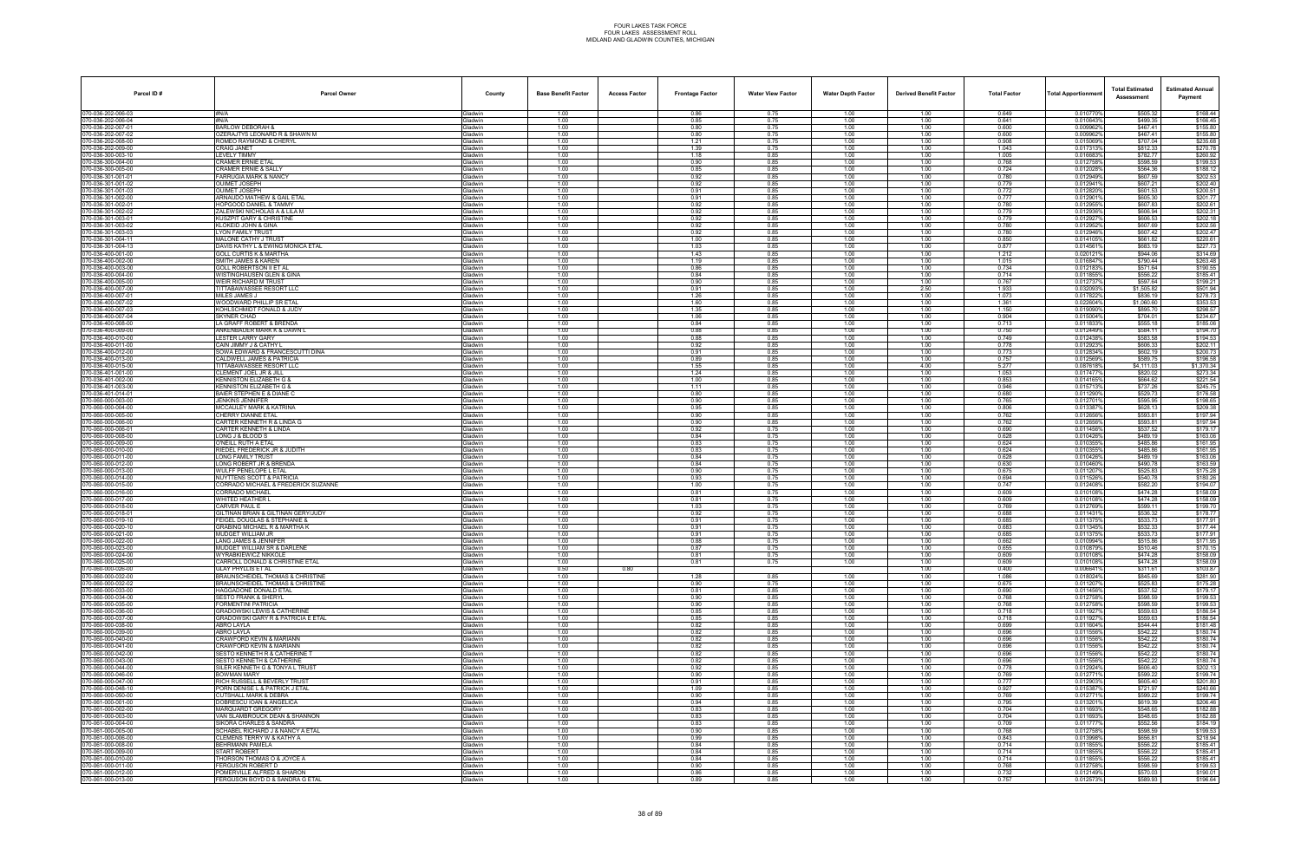| Parcel ID#                             | <b>Parcel Owner</b>                                                  | County                           | <b>Base Benefit Factor</b> | <b>Access Factor</b> | <b>Frontage Factor</b> | <b>Water View Factor</b> | <b>Water Depth Factor</b> | <b>Derived Benefit Factor</b> | <b>Total Factor</b> | Total Apportionmer     | <b>Total Estimated</b><br>Assessment | <b>Estimated Annual</b><br>Payment |
|----------------------------------------|----------------------------------------------------------------------|----------------------------------|----------------------------|----------------------|------------------------|--------------------------|---------------------------|-------------------------------|---------------------|------------------------|--------------------------------------|------------------------------------|
| 70-036-202-006-03                      | #N/A                                                                 | <b>Gladwin</b>                   | 1.00                       |                      | 0.86                   | 0.75                     | 1.00                      | 1.00                          | 0.649               | 0.010770%              | \$505.32                             | \$168.44                           |
| 70-036-202-006-04<br>0-036-202-007-01  | #N/A<br><b>BARLOW DEBORAH &amp;</b>                                  | Gladwin<br>iladwin               | 1.00<br>1.00               |                      | 0.85<br>0.80           | 0.75<br>0.75             | 1.00<br>1.00              | 1.00<br>1.00                  | 0.641<br>0.600      | 0.010643%<br>0.009962% | \$499.35<br>\$467.41                 | \$166.45<br>\$155.80               |
| 70-036-202-007-02                      | OZERAJTYS LEONARD R & SHAWN M                                        | <b>Gladwin</b>                   | 1.00                       |                      | 0.80                   | 0.75                     | 1.00                      | 1.00                          | 0.600               | 0.009962%              | \$467.41                             | \$155.80                           |
| 70-036-202-008-00                      | ROMEO RAYMOND & CHERYL                                               | Gladwin                          | 1.00                       |                      | 1.21                   | 0.75                     | 1.00                      | 1.00                          | 0.908               | 0.015069%              | \$707.04                             | \$235.68                           |
| 70-036-202-009-00<br>70-036-300-003-10 | <b>CRAIG JANET</b><br><b>LEVELY TIMMY</b>                            | <b>Gladwin</b><br>Gladwin        | 1.00<br>1.00               |                      | 1.39<br>1.18           | 0.75<br>0.85             | 1.00<br>1.00              | 1.00<br>1.00                  | 1.043<br>1.005      | 0.017313<br>0.016683%  | \$812.33<br>\$782.77                 | \$270.78<br>\$260.92               |
| 0-036-300-004-00                       | CRAMER ERNIE ETAL                                                    | iladwin                          | 1.00                       |                      | 0.90                   | 0.85                     | 1.00                      | 1.00                          | 0.768               | 0.012758%              | \$598.59                             | \$199.53                           |
| 0-036-300-005-00                       | CRAMER ERNIE & SALLY                                                 | <b>i</b> ladwin                  | 1.00                       |                      | 0.85                   | 0.85                     | 1.00                      | 1.00                          | 0.724               | 0.0120289              | \$564.36                             | \$188.12                           |
| 0-036-301-001-01"<br>70-036-301-001-02 | FARRUGIA MARK & NANCY<br><b>OUIMET JOSEPH</b>                        | Gladwin<br><b>Sladwin</b>        | 1.00<br>1.00               |                      | 0.92<br>0.92           | 0.85<br>0.85             | 1.00<br>1.00              | 1.00<br>1.00                  | 0.780<br>0.779      | 0.012949%<br>0.012941% | \$607.59<br>\$607.21                 | \$202.53<br>\$202.40               |
| 70-036-301-001-03                      | <b>OUIMET JOSEPH</b>                                                 | Gladwin                          | 1.00                       |                      | 0.91                   | 0.85                     | 1.00                      | 1.00                          | 0.772               | 0.012820%              | \$601.53                             | \$200.51                           |
| 0-036-301-002-00                       | ARNAUDO MATHEW & GAIL ETAL                                           | iladwin                          | 1.00                       |                      | 0.91                   | 0.85                     | 1.00                      | 1.00                          | 0.777               | 0.012901%              | \$605.30                             | \$201.77                           |
| 70-036-301-002-01<br>70-036-301-002-02 | HOPGOOD DANIEL & TAMMY<br>ZALEWSKI NICHOLAS A & LILA M               | <b>Gladwin</b><br>Gladwin        | 1.00<br>1.00               |                      | 0.92<br>0.92           | 0.85<br>0.85             | 1.00<br>1.00              | 1.00<br>1.00                  | 0.780<br>0.779      | 0.012955%<br>0.012936% | \$607.83<br>\$606.94                 | \$202.61<br>\$202.31               |
| 70-036-301-003-01                      | KUSZPIT GARY & CHRISTINE                                             | <b>Gladwin</b>                   | 1.00                       |                      | 0.92                   | 0.85                     | 1.00                      | 1.00                          | 0.779               | 0.0129279              | \$606.53                             | \$202.18                           |
| 70-036-301-003-02                      | KLOKEID JOHN & GINA<br>YON FAMILY TRUST                              | <b>Gladwin</b><br>iladwin        | 1.00<br>1.00               |                      | 0.92                   | 0.85<br>0.85             | 1.00<br>1.00              | 1.00                          | 0.780<br>0.780      | 0.012952%<br>0.012946% | \$607.69<br>\$607.42                 | \$202.56<br>\$202.47               |
| 0-036-301-003-03<br>0-036-301-004-1    | MALONE CATHY J TRUST                                                 | <b>Gladwin</b>                   | 1.00                       |                      | 0.92<br>1.00           | 0.85                     | 1.00                      | 1.00<br>1.00                  | 0.850               | 0.014105%              | \$661.82                             | \$220.61                           |
| 0-036-301-004-13"                      | DAVIS KATHY L & EWING MONICA ETAL                                    | Gladwin                          | 1.00                       |                      | 1.03                   | 0.85                     | 1.00                      | 1.00                          | 0.877               | 0.0145619              | \$683.19                             | \$227.73                           |
| 70-036-400-001-00<br>70-036-400-002-00 | <b>GOLL CURTIS K &amp; MARTHA</b><br>SMITH JAMES & KAREN             | <b>Gladwin</b><br><b>Gladwin</b> | 1.00<br>1.00               |                      | 1.43<br>1.19           | 0.85<br>0.85             | 1.00<br>1.00              | 1.00<br>1.00                  | 1.212<br>1.015      | 0.0201219<br>0.016847% | \$944.06<br>\$790.44                 | \$314.69<br>\$263.48               |
| 0-036-400-003-00                       | GOLL ROBERTSON II ET AL                                              | iladwin                          | 1.00                       |                      | 0.86                   | 0.85                     | 1.00                      | 1.00                          | 0.734               | 0.0121839              | \$571.64                             | \$190.55                           |
| 70-036-400-004-00                      | WISTINGHAUSEN GLEN & GINA                                            | <b>Gladwin</b>                   | 1.00                       |                      | 0.84                   | 0.85                     | 1.00                      | 1.00                          | 0.714               | 0.011855%              | \$556.22                             | \$185.41                           |
| 70-036-400-005-00<br>70-036-400-007-00 | WEIR RICHARD M TRUST<br>TITTABAWASSEE RESORT LLC                     | Gladwin<br><b>Gladwin</b>        | 1.00<br>1.00               |                      | 0.90<br>0.91           | 0.85<br>0.85             | 1.00<br>1.00              | 1.00<br>2.50                  | 0.767<br>1.933      | 0.0127379<br>0.032093% | \$597.64<br>\$1,505.82               | \$199.21<br>\$501.94               |
| 70-036-400-007-01                      | <b>MILES JAMES J</b>                                                 | <b>Gladwin</b>                   | 1.00                       |                      | 1.26                   | 0.85                     | 1.00                      | 1.00                          | 1.073               | 0.0178229              | \$836.19                             | \$278.73                           |
| 0-036-400-007-02                       | WOODWARD PHILLIP SR ETAL                                             | iladwin                          | 1.00                       |                      | 1.60                   | 0.85                     | 1.00                      | 1.00                          | 1.361               | 0.022604%              | \$1,060.60                           | \$353.53                           |
| 0-036-400-007-03<br>0-036-400-007-04"  | KOHLSCHMIDT FONALD & JUDY<br>SKYNER CHAD                             | iladwin<br><b>Gladwin</b>        | 1.00<br>1.00               |                      | 1.35<br>1.06           | 0.85<br>0.85             | 1.00<br>1.00              | 1.00<br>1.00                  | 1.150<br>0.904      | 0.019090%<br>0.015004% | \$895.70<br>\$704.01                 | \$298.57<br>\$234.67               |
| 70-036-400-008-00                      | LA GRAFF ROBERT & BRENDA                                             | <b>Gladwin</b>                   | 1.00                       |                      | 0.84                   | 0.85                     | 1.00                      | 1.00                          | 0.713               | 0.011833%              | \$555.18                             | \$185.06                           |
| 70-036-400-009-00                      | ANKENBAUER MARK K & DAWN L                                           | <b>Gladwin</b>                   | 1.00                       |                      | 0.88                   | 0.85                     | 1.00                      | 1.00                          | 0.750               | 0.012449%              | \$584.11                             | \$194.70                           |
| 0-036-400-010-00<br>70-036-400-011-00  | LESTER LARRY GARY<br>CAIN JIMMY J & CATHY L                          | iladwin<br><b>Gladwin</b>        | 1.00<br>1.00               |                      | 0.88<br>0.92           | 0.85<br>0.85             | 1.00<br>1.00              | 1.00<br>1.00                  | 0.749<br>0.778      | 0.012438%<br>0.012923% | \$583.58<br>\$606.33                 | \$194.53<br>\$202.11               |
| 0-036-400-012-00                       | SOWA EDWARD & FRANCESCUTTI DINA                                      | Gladwin                          | 1.00                       |                      | 0.91                   | 0.85                     | 1.00                      | 1.00                          | 0.773               | 0.012834%              | \$602.19                             | \$200.73                           |
| 70-036-400-013-00                      | CALDWELL JAMES & PATRICIA                                            | <b>Gladwin</b>                   | 1.00                       |                      | 0.89                   | 0.85                     | 1.00                      | 1.00                          | 0.757               | 0.012569%              | \$589.75                             | \$196.58                           |
| 70-036-400-015-00<br>0-036-401-001-00  | <b>TITTABAWASSEE RESORT LLC</b><br>CLEMENT JOEL JR & JILL            | iladwin<br>iladwin               | 1.00<br>1.00               |                      | 1.55<br>1.24           | 0.85<br>0.85             | 1.00<br>1.00              | 4.00<br>1.00                  | 5.277<br>1.053      | 0.0876189<br>0.0174779 | \$4,111.03<br>\$820.02               | \$1,370.34<br>\$273.34             |
| 70-036-401-002-00                      | KENNISTON ELIZABETH G &                                              | <b>Gladwin</b>                   | 1.00                       |                      | 1.00                   | 0.85                     | 1.00                      | 1.00                          | 0.853               | 0.014165%              | \$664.62                             | \$221.54                           |
| 0-036-401-003-00"                      | <b>KENNISTON ELIZABETH G &amp;</b>                                   | iladwin                          | 1.00                       |                      | 1.11                   | 0.85                     | 1.00                      | 1.00                          | 0.946               | 0.0157139              | \$737.26                             | \$245.75                           |
| 70-036-401-014-01<br>70-060-000-003-00 | BAIER STEPHEN E & DIANE C<br>JENKINS JENNIFER                        | <b>Gladwin</b><br><b>Gladwin</b> | 1.00<br>1.00               |                      | 0.80<br>0.90           | 0.85<br>0.85             | 1.00<br>1.00              | 1.00<br>1.00                  | 0.680<br>0.765      | 0.011290%<br>0.0127019 | \$529.73<br>\$595.95                 | \$176.58<br>\$198.65               |
| 0-060-000-004-00                       | MCCAULEY MARK & KATRINA                                              | iladwin                          | 1.00                       |                      | 0.95                   | 0.85                     | 1.00                      | 1.00                          | 0.806               | 0.013387               | \$628.13                             | \$209.38                           |
| 70-060-000-005-00                      | CHERRY DIANNE ETAL                                                   | <b>Gladwin</b>                   | 1.00                       |                      | 0.90                   | 0.85                     | 1.00                      | 1.00                          | 0.762               | 0.012656%              | \$593.81                             | \$197.94                           |
| 0-060-000-006-00<br>0-060-000-006-0    | CARTER KENNETH R & LINDA G<br>CARTER KENNETH & LINDA                 | <b>Gladwin</b><br><b>Gladwin</b> | 1.00<br>1.00               |                      | 0.90<br>0.92           | 0.85<br>0.75             | 1.00<br>1.00              | 1.00<br>1.00                  | 0.762<br>0.690      | 0.012656%<br>0.011456% | \$593.81<br>\$537.52                 | \$197.94<br>\$179.17               |
| 0-060-000-008-00                       | LONG J & BLOOD S                                                     | iladwin                          | 1.00                       |                      | 0.84                   | 0.75                     | 1.00                      | 1.00                          | 0.628               | 0.0104269              | \$489.19                             | \$163.06                           |
| 0-060-000-009-00                       | )'NEILL RUTH A ETAL<br>RIEDEL FREDERICK JR & JUDITH                  | iladwin                          | 1.00                       |                      | 0.83                   | 0.75                     | 1.00                      | 1.00                          | 0.624               | 0.010355               | \$485.86<br>\$485.86                 | \$161.95                           |
| 0-060-000-010-00<br>0-060-000-011-00   | LONG FAMILY TRUST                                                    | <b>Sladwin</b><br>iladwin        | 1.00<br>1.00               |                      | 0.83<br>0.84           | 0.75<br>0.75             | 1.00<br>1.00              | 1.00<br>1.00                  | 0.624<br>0.628      | 0.010355%<br>0.010426% | \$489.19                             | \$161.95<br>\$163.06               |
| 70-060-000-012-00                      | LONG ROBERT JR & BRENDA                                              | <b>Gladwin</b>                   | 1.00                       |                      | 0.84                   | 0.75                     | 1.00                      | 1.00                          | 0.630               | 0.010460%              | \$490.78                             | \$163.59                           |
| 0-060-000-013-00<br>0-060-000-014-00   | WULFF PENELOPE L ETAL<br>NUYTTENS SCOTT & PATRICIA                   | iladwin<br>iladwin               | 1.00<br>1.00               |                      | 0.90<br>0.93           | 0.75<br>0.75             | 1.00<br>1.00              | 1.00<br>1.00                  | 0.675<br>0.694      | 0.0112079<br>0.0115269 | \$525.83<br>\$540.78                 | \$175.28<br>\$180.26               |
| 70-060-000-015-00                      | CORRADO MICHAEL & FREDERICK SUZANNE                                  | <b>Gladwin</b>                   | 1.00                       |                      | 1.00                   | 0.75                     | 1.00                      | 1.00                          | 0.747               | 0.012408%              | \$582.20                             | \$194.07                           |
| 0-060-000-016-00                       | <b>CORRADO MICHAEL</b>                                               | <b>Gladwin</b>                   | 1.00                       |                      | 0.81                   | 0.75                     | 1.00                      | 1.00                          | 0.609               | 0.010108%              | \$474.28                             | \$158.09                           |
| 70-060-000-017-00<br>0-060-000-018-00  | <b>WHITED HEATHER L</b><br>CARVER PAUL E                             | Gladwin<br>iladwin               | 1.00<br>1.00               |                      | 0.81<br>1.03           | 0.75<br>0.75             | 1.00<br>1.00              | 1.00<br>1.00                  | 0.609<br>0.769      | 0.010108%<br>0.0127699 | \$474.28<br>\$599.11                 | \$158.09<br>\$199.70               |
| 0-060-000-018-0                        | GILTINAN BRIAN & GILTINAN GERY/JUDY                                  | iladwin                          | 1.00                       |                      | 0.92                   | 0.75                     | 1.00                      | 1.00                          | 0.688               | 0.011431               | \$536.32                             | \$178.77                           |
| 70-060-000-019-10                      | FEIGEL DOUGLAS & STEPHANIE &                                         | <b>Sladwin</b>                   | 1.00                       |                      | 0.91                   | 0.75                     | 1.00                      | 1.00                          | 0.685               | 0.011375%              | \$533.73                             | \$177.91                           |
| 0-060-000-020-10<br>70-060-000-021-00  | GRABING MICHAEL R & MARTHA K<br>MUDGET WILLIAM JR                    | iladwin<br><b>Gladwin</b>        | 1.00<br>1.00               |                      | 0.91<br>0.91           | 0.75<br>0.75             | 1.00<br>1.00              | 1.00<br>1.00                  | 0.683<br>0.685      | 0.0113459<br>0.011375% | \$532.33<br>\$533.73                 | \$177.44<br>\$177.91               |
| 70-060-000-022-00                      | LANG JAMES & JENNIFER                                                | iladwin                          | 1.00                       |                      | 0.88                   | 0.75                     | 1.00                      | 1.00                          | 0.662               | 0.010994%              | \$515.86                             | \$171.95                           |
| 70-060-000-023-00                      | MUDGET WILLIAM SR & DARLENE                                          | iladwin                          | 1.00                       |                      | 0.87                   | 0.75                     | 1.00                      | 1.00                          | 0.655               | 0.010879%              | \$510.46                             | \$170.15                           |
| 70-060-000-024-00<br>0-060-000-025-00  | WYRABKIEWICZ NIKKOLE<br>CARROLL DONALD & CHRISTINE ETAL              | Gladwin<br><b>Sladwin</b>        | 1.00<br>1.00               |                      | 0.81<br>0.81           | 0.75<br>0.75             | 1.00<br>1.00              | 1.00<br>1.00                  | 0.609<br>0.609      | 0.010108%<br>0.010108% | \$474.28<br>\$474.28                 | \$158.09<br>\$158.09               |
| 70-060-000-026-00                      | <b>GLAY PHYLLIS ET AL</b>                                            | Gladwin                          | 0.50                       | 0.80                 |                        |                          |                           | 1.00                          | 0.400               | 0.006641%              | \$311.61                             | \$103.87                           |
| 0-060-000-032-00<br>0-060-000-032-02   | BRAUNSCHEIDEL THOMAS & CHRISTINE<br>BRAUNSCHEIDEL THOMAS & CHRISTINE | <b>Gladwin</b><br>iladwin        | 1.00<br>1.00               |                      | 1.28<br>0.90           | 0.85<br>0.75             | 1.00<br>1.00              | 1.00<br>1.00                  | 1.086<br>0.675      | 0.018024%<br>0.0112079 | \$845.69<br>\$525.83                 | \$281.90<br>\$175.28               |
| 70-060-000-033-00                      | HAGGADONE DONALD ETAL                                                | <b>Gladwin</b>                   | 1.00                       |                      | 0.81                   | 0.85                     | 1.00                      | 1.00                          | 0.690               | 0.011456%              | \$537.52                             | \$179.17                           |
| 0-060-000-034-00                       | <b>SESTO FRANK &amp; SHERYL</b>                                      | iladwin                          | 1.00                       |                      | 0.90                   | 0.85                     | 1.00                      | 1.00                          | 0.768               | 0.012758%              | \$598.59                             | \$199.53                           |
| 70-060-000-035-00<br>70-060-000-036-00 | FORMENTINI PATRICIA<br><b>GRADOWSKI LEWIS &amp; CATHERINE</b>        | Gladwin<br><b>Gladwin</b>        | 1.00<br>1.00               |                      | 0.90<br>0.85           | 0.85<br>0.85             | 1.00<br>1.00              | 1.00<br>1.00                  | 0.768<br>0.718      | 0.012758%<br>0.0119279 | \$598.59<br>\$559.63                 | \$199.53<br>\$186.54               |
| 0-060-000-037-00                       | GRADOWSKI GARY R & PATRICIA E ETAL                                   | iladwin                          | 1.00                       |                      | 0.85                   | 0.85                     | 1.00                      | 1.00                          | 0.718               | 0.011927%              | \$559.63                             | \$186.54                           |
| 70-060-000-038-00                      | ABRO LAYLA                                                           | Gladwin                          | 1.00                       |                      | 0.82                   | 0.85                     | 1.00                      | 1.00                          | 0.699               | 0.011604%              | \$544.44                             | \$181.48                           |
| 70-060-000-039-00<br>70-060-000-040-00 | ABRO LAYLA<br>CRAWFORD KEVIN & MARIANN                               | <b>Gladwin</b><br>Gladwin        | 1.00<br>1.00               |                      | 0.82<br>0.82           | 0.85<br>0.85             | 1.00<br>1.00              | 1.00<br>1.00                  | 0.696<br>0.696      | 0.011556%<br>0.011556% | \$542.22<br>\$542.22                 | \$180.74<br>\$180.74               |
| 70-060-000-041-00                      | CRAWFORD KEVIN & MARIANN                                             | <b>Gladwin</b>                   | 1.00                       |                      | 0.82                   | 0.85                     | 1.00                      | 1.00                          | 0.696               | 0.011556%              | \$542.22                             | \$180.74                           |
| 0-060-000-042-00                       | SESTO KENNETH R & CATHERINE T                                        | iladwin                          | 1.00                       |                      | 0.82                   | 0.85                     | 1.00                      | 1.00                          | 0.696               | 0.011556%              | \$542.22                             | \$180.74                           |
| 70-060-000-043-00<br>70-060-000-044-00 | SESTO KENNETH & CATHERINE<br>SILER KENNETH G & TONYA L TRUST         | <b>Gladwin</b><br><b>Gladwin</b> | 1.00<br>1.00               |                      | 0.82<br>0.92           | 0.85<br>0.85             | 1.00<br>1.00              | 1.00<br>1.00                  | 0.696<br>0.778      | 0.011556%<br>0.012924% | \$542.22<br>\$606.40                 | \$180.74<br>\$202.13               |
| 70-060-000-046-00                      | <b>BOWMAN MARY</b>                                                   | Gladwin                          | 1.00                       |                      | 0.90                   | 0.85                     | 1.00                      | 1.00                          | 0.769               | 0.012771%              | \$599.22                             | \$199.74                           |
| 70-060-000-047-00                      | RICH RUSSELL & BEVERLY TRUST                                         | Gladwin                          | 1.00                       |                      | 0.91                   | 0.85                     | 1.00<br>1.00              | 1.00                          | 0.777<br>0.927      | 0.012903%              | \$605.40<br>\$721.97                 | \$201.80<br>\$240.66               |
| 0-060-000-048-10<br>70-060-000-050-00  | PORN DENISE L & PATRICK J ETAL<br><b>CUTSHALL MARK &amp; DEBRA</b>   | iladwin<br><b>Gladwin</b>        | 1.00<br>1.00               |                      | 1.09<br>0.90           | 0.85<br>0.85             | 1.00                      | 1.00<br>1.00                  | 0.769               | 0.0153879<br>0.012771% | \$599.22                             | \$199.74                           |
| 70-061-000-001-00                      | DOBRESCU IOAN & ANGELICA                                             | Gladwin                          | 1.00                       |                      | 0.94                   | 0.85                     | 1.00                      | 1.00                          | 0.795               | 0.013201%              | \$619.39                             | \$206.46                           |
| 70-061-000-002-00                      | MARQUARDT GREGORY                                                    | Gladwin                          | 1.00<br>1.00               |                      | 0.83<br>0.83           | 0.85<br>0.85             | 1.00<br>1.00              | 1.00                          | 0.704<br>0.704      | 0.011693%<br>0.011693% | \$548.65<br>\$548.65                 | \$182.88<br>\$182.88               |
| 70-061-000-003-00<br>0-061-000-004-00  | VAN SLAMBROUCK DEAN & SHANNON<br>SIKORA CHARLES & SANDRA             | Gladwin<br>iladwin               | 1.00                       |                      | 0.83                   | 0.85                     | 1.00                      | 1.00<br>1.00                  | 0.709               | 0.0117779              | \$552.56                             | \$184.19                           |
| 70-061-000-005-00                      | SCHABEL RICHARD J & NANCY A ETAL                                     | Gladwin                          | 1.00                       |                      | 0.90                   | 0.85                     | 1.00                      | 1.00                          | 0.768               | 0.012758%              | \$598.59                             | \$199.53                           |
| 70-061-000-006-00<br>70-061-000-008-00 | CLEMENS TERRY W & KATHY A<br>BEHRMANN PAMELA                         | <b>Gladwin</b><br><b>Gladwin</b> | 1.00<br>1.00               |                      | 0.99<br>0.84           | 0.85<br>0.85             | 1.00<br>1.00              | 1.00<br>1.00                  | 0.843<br>0.714      | 0.013998%<br>0.011855% | \$656.81<br>\$556.22                 | \$218.94<br>\$185.41               |
| 70-061-000-009-00                      | <b>START ROBERT</b>                                                  | Gladwin                          | 1.00                       |                      | 0.84                   | 0.85                     | 1.00                      | 1.00                          | 0.714               | 0.011855%              | \$556.22                             | \$185.41                           |
| 0-061-000-010-00                       | [HORSON THOMAS O & JOYCE A                                           | iladwin                          | 1.00                       |                      | 0.84                   | 0.85                     | 1.00                      | 1.00                          | 0.714               | 0.011855%              | \$556.22                             | \$185.41                           |
| 70-061-000-011-00<br>70-061-000-012-00 | FERGUSON ROBERT D<br>POMERVILLE ALFRED & SHARON                      | Gladwin<br>Gladwin               | 1.00<br>1.00               |                      | 0.90<br>0.86           | 0.85<br>0.85             | 1.00<br>1.00              | 1.00<br>1.00                  | 0.768<br>0.732      | 0.012758%<br>0.012149% | \$598.59<br>\$570.03                 | \$199.53<br>\$190.01               |
| 70-061-000-013-00                      | FERGUSON BOYD D & SANDRA G ETAL                                      | Gladwin                          | 1.00                       |                      | 0.89                   | 0.85                     | 1.00                      | 1.00                          | 0.757               | 0.012573%              | \$589.93                             | \$196.64                           |
|                                        |                                                                      |                                  |                            |                      |                        |                          |                           |                               |                     |                        |                                      |                                    |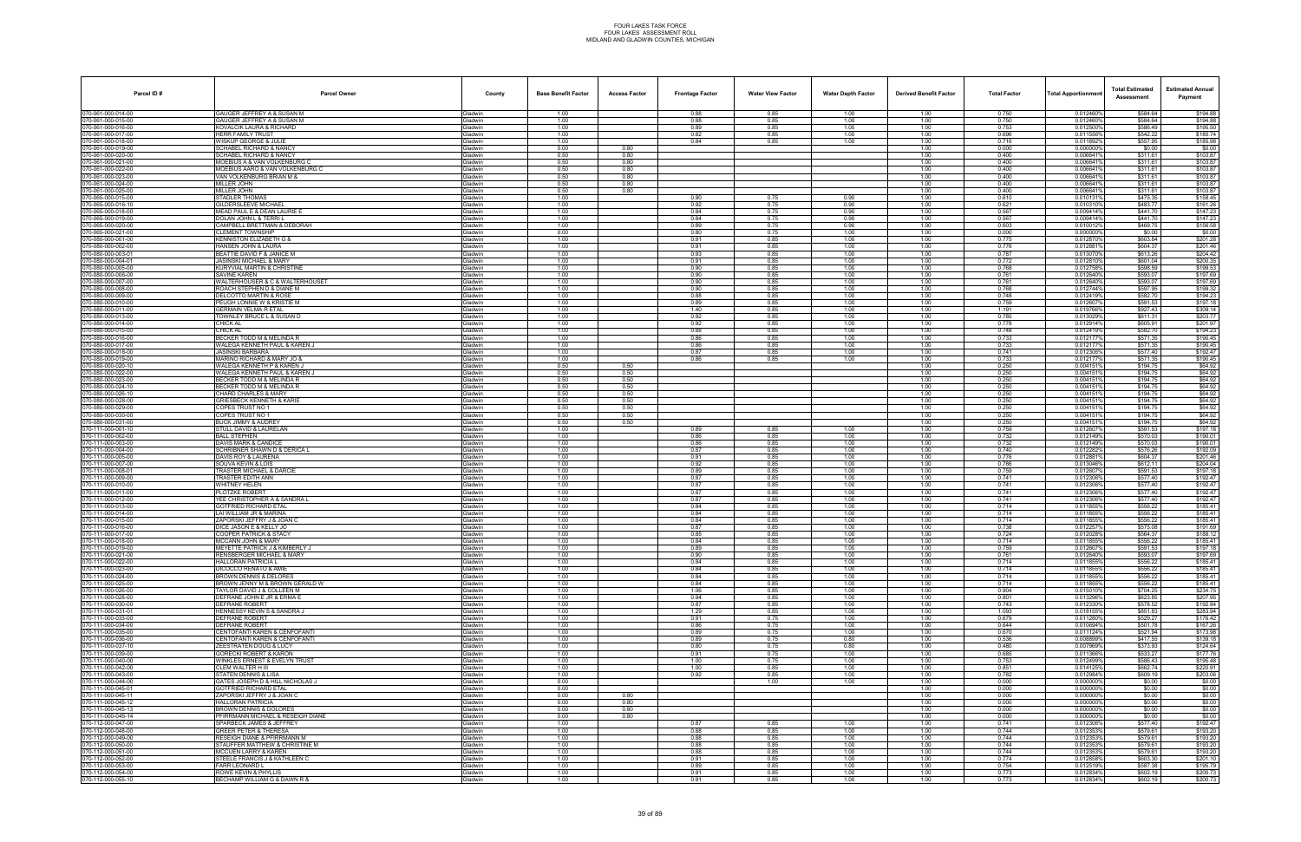| Parcel ID#                               | <b>Parcel Owner</b>                                              | County                           | <b>Base Benefit Factor</b> | <b>Access Factor</b> | <b>Frontage Factor</b> | <b>Water View Factor</b> | <b>Water Depth Factor</b> | <b>Derived Benefit Factor</b> | <b>Total Factor</b> | Total Apportionmer     | <b>Total Estimated</b><br>Assessment | <b>Estimated Annual</b><br>Payment |
|------------------------------------------|------------------------------------------------------------------|----------------------------------|----------------------------|----------------------|------------------------|--------------------------|---------------------------|-------------------------------|---------------------|------------------------|--------------------------------------|------------------------------------|
| 070-061-000-014-00                       | <b>GAUGER JEFFREY A &amp; SUSAN M</b>                            | Gladwin                          | 1.00                       |                      | 0.88                   | 0.85                     | 1.00                      | 1.00                          | 0.750               | 0.012460%              | \$584.64                             | \$194.88                           |
| 070-061-000-015-00<br>70-061-000-016-00  | GAUGER JEFFREY A & SUSAN M<br>KOVALCIK LAURA & RICHARD           | Gladwin<br><b>Gladwin</b>        | 1.00<br>1.00               |                      | 0.88<br>0.89           | 0.85<br>0.85             | 1.00<br>1.00              | 1.00<br>1.00                  | 0.750<br>0.753      | 0.012460%<br>0.012500% | \$584.64<br>\$586.49                 | \$194.88<br>\$195.50               |
| 70-061-000-017-00                        | <b>HERR FAMILY TRUST</b>                                         | Gladwin                          | 1.00                       |                      | 0.82                   | 0.85                     | 1.00                      | 1.00                          | 0.696               | 0.011556%              | \$542.22                             | \$180.74                           |
| 70-061-000-018-00<br>70-061-000-019-00   | WISKUP GEORGE & JULIE<br><b>SCHABEL RICHARD &amp; NANCY</b>      | Gladwin<br>Gladwin               | 1.00<br>0.00               | 0.80                 | 0.84                   | 0.85                     | 1.00                      | 1.00<br>1.00                  | 0.716<br>0.000      | 0.0118929<br>0.0000009 | \$557.95<br>\$0.00                   | \$185.98<br>\$0.00                 |
| 70-061-000-020-00                        | SCHABEL RICHARD & NANCY                                          | Gladwin                          | 0.50                       | 0.80                 |                        |                          |                           | 1.00                          | 0.400               | 0.006641%              | \$311.61                             | \$103.87                           |
| 0-061-000-021-00<br>70-061-000-022-00    | MOEBIUS A & VAN VOLKENBURG C<br>MOEBIUS AARO & VAN VOLKENBURG C  | <b>Gladwin</b><br><b>Gladwin</b> | 0.50<br>0.50               | 0.80<br>0.80         |                        |                          |                           | 1.00<br>1.00                  | 0.400<br>0.400      | 0.0066419<br>0.0066419 | \$311.61<br>\$311.61                 | \$103.87<br>\$103.87               |
| 70-061-000-023-00                        | VAN VOLKENBURG BRIAN M &                                         | Gladwin                          | 0.50                       | 0.80                 |                        |                          |                           | 1.00                          | 0.400               | 0.0066419              | \$311.61                             | \$103.87                           |
| 70-061-000-024-00                        | MILLER JOHN                                                      | Gladwin                          | 0.50                       | 0.80                 |                        |                          |                           | 1.00                          | 0.400               | 0.006641%              | \$311.61                             | \$103.87                           |
| 70-061-000-025-00<br>70-065-000-015-00   | MILLER JOHN<br>STADLER THOMAS                                    | Gladwin<br><b>Gladwin</b>        | 0.50<br>1.00               | 0.80                 | 0.90                   | 0.75                     | 0.90                      | 1.00<br>1.00                  | 0.400<br>0.610      | 0.006641%<br>0.0101319 | \$311.61<br>\$475.35                 | \$103.87<br>\$158.45               |
| 70-065-000-016-1                         | <b>GILDERSLEEVE MICHAEL</b>                                      | <b>Gladwin</b>                   | 1.00                       |                      | 0.92                   | 0.75                     | 0.90                      | 1.00                          | 0.621               | 0.010310%              | \$483.77                             | \$161.26                           |
| 70-065-000-018-00<br>70-065-000-019-00   | MEAD PAUL E & DEAN LAURIE E<br>DOLAN JOHN L & TERRI I            | Gladwin<br>Gladwin               | 1.00<br>1.00               |                      | 0.84<br>0.84           | 0.75<br>0.75             | 0.90<br>0.90              | 1.00<br>1.00                  | 0.567<br>0.567      | 0.009414%<br>0.009414% | \$441.70<br>\$441.70                 | \$147.23<br>\$147.23               |
| 70-065-000-020-00                        | CAMPBELL BRETTMAN & DEBORAH                                      | Gladwin                          | 1.00                       |                      | 0.89                   | 0.75                     | 0.90                      | 1.00                          | 0.603               | 0.010012%              | \$469.75                             | \$156.58                           |
| 0-065-000-021-00<br>70-080-000-001-00    | CLEMENT TOWNSHIP<br>KENNISTON ELIZABETH G &                      | <b>Gladwin</b><br><b>Gladwin</b> | 0.00<br>1.00               |                      | 0.80<br>0.91           | 0.75<br>0.85             | 1.00<br>1.00              | 1.00<br>1.00                  | 0.000<br>0.775      | 0.000000%<br>0.0128709 | \$0.00<br>\$603.84                   | \$0.00<br>\$201.28                 |
| 70-080-000-002-00                        | HANSEN JOHN & LAURA                                              | Gladwin                          | 1.00                       |                      | 0.91                   | 0.85                     | 1.00                      | 1.00                          | 0.776               | 0.0128819              | \$604.37                             | \$201.46                           |
| 70-080-000-003-01<br>70-080-000-004-01   | <b>BEATTIE DAVID F &amp; JANICE M</b><br>JASINSKI MICHAEL & MARY | Gladwin<br>Gladwin               | 1.00<br>1.00               |                      | 0.93<br>0.91           | 0.85<br>0.85             | 1.00<br>1.00              | 1.00<br>1.00                  | 0.787<br>0.772      | 0.013070%<br>0.012810% | \$613.26<br>\$601.04                 | \$204.42<br>\$200.35               |
| 70-080-000-005-00                        | KURYVIAL MARTIN & CHRISTINE                                      | <b>Gladwin</b>                   | 1.00                       |                      | 0.90                   | 0.85                     | 1.00                      | 1.00                          | 0.768               | 0.012758%              | \$598.59                             | \$199.53                           |
| 70-080-000-006-00<br>70-080-000-007-00   | SAVINE KAREN<br>WALTERHOUSER & C & WALTERHOUSET                  | <b>Gladwin</b><br>Gladwin        | 1.00<br>1.00               |                      | 0.90<br>0.90           | 0.85<br>0.85             | 1.00<br>1.00              | 1.00<br>1.00                  | 0.761<br>0.761      | 0.012640%<br>0.012640% | \$593.07<br>\$593.07                 | \$197.69<br>\$197.69               |
| 70-080-000-008-00                        | ROACH STEPHEN D & DIANE M                                        | Gladwin                          | 1.00                       |                      | 0.90                   | 0.85                     | 1.00                      | 1.00                          | 0.768               | 0.012744%              | \$597.95                             | \$199.32                           |
| 70-080-000-009-00<br>0-080-000-010-00"   | DELCOTTO MARTIN & ROSE<br>PEUGH LONNIE W & KRISTIE M             | <b>Gladwin</b><br>ladwin         | 1.00<br>1.00               |                      | 0.88<br>0.89           | 0.85<br>0.85             | 1.00<br>1.00              | 1.00<br>1.00                  | 0.748<br>0.759      | 0.012419%<br>0.0126079 | \$582.70<br>\$591.53                 | \$194.23<br>\$197.18               |
| 70-080-000-011-00                        | <b>GERMAIN VELMA R ETAL</b>                                      | <b>Gladwin</b>                   | 1.00                       |                      | 1.40                   | 0.85                     | 1.00                      | 1.00                          | 1.191               | 0.019766%              | \$927.43                             | \$309.14                           |
| 70-080-000-013-00                        | TOWNLEY BRUCE L & SUSAN D                                        | <b>Gladwin</b>                   | 1.00                       |                      | 0.92                   | 0.85                     | 1.00                      | 1.00                          | 0.785               | 0.013029%              | \$611.31                             | \$203.77                           |
| 70-080-000-014-00<br>70-080-000-015-00   | CHICK AL<br>CHICK AL                                             | Gladwin<br><b>Gladwin</b>        | 1.00<br>1.00               |                      | 0.92<br>0.88           | 0.85<br>0.85             | 1.00<br>1.00              | 1.00<br>1.00                  | 0.778<br>0.748      | 0.012914%<br>0.012419% | \$605.91<br>\$582.70                 | \$201.97<br>\$194.23               |
| 70-080-000-016-00                        | BECKER TODD M & MELINDA R                                        | <b>Gladwin</b>                   | 1.00                       |                      | 0.86                   | 0.85                     | 1.00                      | 1.00                          | 0.733               | 0.0121779              | \$571.35                             | \$190.45                           |
| 70-080-000-017-00<br>70-080-000-018-00   | <b>WALEGA KENNETH PAUL &amp; KAREN J</b><br>JASINSKI BARBARA     | <b>Gladwin</b><br>Gladwin        | 1.00<br>1.00               |                      | 0.86<br>0.87           | 0.85<br>0.85             | 1.00<br>1.00              | 1.00<br>1.00                  | 0.733<br>0.741      | 0.012177%<br>0.012306% | \$571.35<br>\$577.40                 | \$190.45<br>\$192.47               |
| 70-080-000-019-00                        | MARINO RICHARD & MARY JO &                                       | Gladwin                          | 1.00                       |                      | 0.86                   | 0.85                     | 1.00                      | 1.00                          | 0.733               | 0.012177%              | \$571.35                             | \$190.45                           |
| 70-080-000-020-10<br>0-080-000-022-00"   | WALEGA KENNETH P & KAREN J<br>WALEGA KENNETH PAUL & KAREN .      | <b>Gladwin</b><br><b>Gladwin</b> | 0.50<br>0.50               | 0.50<br>0.50         |                        |                          |                           | 1.00<br>1.00                  | 0.250<br>0.250      | 0.0041519<br>0.004151  | \$194.75<br>\$194.75                 | \$64.92<br>\$64.92                 |
| 70-080-000-023-00                        | BECKER TODD M & MELINDA R                                        | <b>Gladwin</b>                   | 0.50                       | 0.50                 |                        |                          |                           | 1.00                          | 0.250               | 0.004151%              | \$194.75                             | \$64.92                            |
| 70-080-000-024-10<br>70-080-000-026-10   | BECKER TODD M & MELINDA R<br>CHARD CHARLES & MARY                | <b>Gladwin</b><br>Gladwin        | 0.50<br>0.50               | 0.50<br>0.50         |                        |                          |                           | 1.00<br>1.00                  | 0.250<br>0.250      | 0.0041519<br>0.0041519 | \$194.75<br>\$194.75                 | \$64.92<br>\$64.92                 |
| 70-080-000-028-00                        | <b>GRIESBECK KENNETH &amp; KARIE</b>                             | <b>Gladwin</b>                   | 0.50                       | 0.50                 |                        |                          |                           | 1.00                          | 0.250               | 0.0041519              | \$194.75                             | \$64.92                            |
| 70-080-000-029-00<br>70-080-000-030-00   | COPES TRUST NO 1<br>COPES TRUST NO 1                             | <b>Gladwin</b><br>Gladwin        | 0.50<br>0.50               | 0.50<br>0.50         |                        |                          |                           | 1.00<br>1.00                  | 0.250<br>0.250      | 0.004151<br>0.0041519  | \$194.75<br>\$194.75                 | \$64.92<br>\$64.92                 |
| 70-080-000-031-00                        | BUCK JIMMY & AUDREY                                              | <b>Gladwin</b>                   | 0.50                       | 0.50                 |                        |                          |                           | 1.00                          | 0.250               | 0.0041519              | \$194.75                             | \$64.92                            |
| 70-111-000-001-10<br>70-111-000-002-00   | STULL DAVID & LAURELAN<br>BALL STEPHEN                           | Gladwin<br><b>Gladwin</b>        | 1.00<br>1.00               |                      | 0.89<br>0.86           | 0.85<br>0.85             | 1.00<br>1.00              | 1.00<br>1.00                  | 0.759<br>0.732      | 0.012607%<br>0.012149% | \$591.53<br>\$570.03                 | \$197.18<br>\$190.01               |
| 0-111-000-003-00"                        | DAVIS MARK & CANDICE                                             | <b>Gladwin</b>                   | 1.00                       |                      | 0.86                   | 0.85                     | 1.00                      | 1.00                          | 0.732               | 0.012149%              | \$570.03                             | \$190.01                           |
| 70-111-000-004-00<br>70-111-000-005-00   | SCHRIBNER SHAWN D & DERICA L<br>DAVIS ROY & LAURENA              | <b>Gladwin</b>                   | 1.00<br>1.00               |                      | 0.87                   | 0.85                     | 1.00                      | 1.00                          | 0.740<br>0.776      | 0.012282%              | \$576.26<br>\$604.37                 | \$192.09<br>\$201.46               |
| 070-111-000-007-00                       | SOUVA KEVIN & LOIS                                               | <b>Gladwin</b><br>Gladwin        | 1.00                       |                      | 0.91<br>0.92           | 0.85<br>0.85             | 1.00<br>1.00              | 1.00<br>1.00                  | 0.786               | 0.012881%<br>0.013046% | \$612.11                             | \$204.04                           |
| 70-111-000-008-0                         | <b>TRASTER MICHAEL &amp; DARCIE</b>                              | <b>Gladwin</b>                   | 1.00                       |                      | 0.89                   | 0.85                     | 1.00                      | 1.00                          | 0.759               | 0.0126079              | \$591.53                             | \$197.18                           |
| 70-111-000-009-00<br>70-111-000-010-00   | TRASTER EDITH ANN<br>WHITNEY HEI EN                              | <b>Gladwin</b><br>Gladwin        | 1.00<br>1.00               |                      | 0.87<br>0.87           | 0.85<br>0.85             | 1.00<br>1.00              | 1.00<br>1.00                  | 0.741<br>0.741      | 0.012306%<br>0.012306% | \$577.40<br>\$577.40                 | \$192.47<br>\$192.47               |
| 70-111-000-011-00<br>070-111-000-012-00  | PLOTZKE ROBERT                                                   | <b>Gladwin</b>                   | 1.00                       |                      | 0.87                   | 0.85                     | 1.00                      | 1.00                          | 0.741               | 0.012306%              | \$577.40                             | \$192.47                           |
| 70-111-000-013-00                        | YEE CHRISTOPHER A & SANDRA L<br><b>GOTFRIED RICHARD ETAL</b>     | Gladwin<br><b>Gladwin</b>        | 1.00<br>1.00               |                      | 0.87<br>0.84           | 0.85<br>0.85             | 1.00<br>1.00              | 1.00<br>1.00                  | 0.741<br>0.714      | 0.012306%<br>0.0118559 | \$577.40<br>\$556.22                 | \$192.47<br>\$185.41               |
| 0-111-000-014-00                         | LAI WILLIAM JR & MARINA                                          | 3ladwin                          | 1.00                       |                      | 0.84                   | 0.85                     | 1.00                      | 1.00                          | 0.714               | 0.0118559              | \$556.22                             | \$185.41                           |
| 70-111-000-015-00<br>70-111-000-016-00   | ZAPORSKI JEFFRY J & JOAN C<br>DICE JASON E & KELLY JO            | <b>Gladwin</b><br>3ladwin        | 1.00<br>1.00               |                      | 0.84<br>0.87           | 0.85<br>0.85             | 1.00<br>1.00              | 1.00<br>1.00                  | 0.714<br>0.738      | 0.011855%<br>0.012257  | \$556.22<br>\$575.08                 | \$185.41<br>\$191.69               |
| 070-111-000-017-00                       | COOPER PATRICK & STACY                                           | Gladwin                          | 1.00                       |                      | 0.85                   | 0.85                     | 1.00                      | 1.00                          | 0.724               | 0.012028%              | \$564.37                             | \$188.12                           |
| 070-111-000-018-00<br>070-111-000-019-00 | <b>MCCANN JOHN &amp; MARY</b><br>MEYETTE PATRICK J & KIMBERLY J  | <b>Gladwin</b><br><b>Gladwin</b> | 1.00<br>1.00               |                      | 0.84<br>0.89           | 0.85<br>0.85             | 1.00<br>1.00              | 1.00<br>1.00                  | 0.714<br>0.759      | 0.0118559<br>0.012607  | \$556.22<br>\$591.53                 | \$185.41<br>\$197.18               |
| 070-111-000-021-00                       | RENSBERGER MICHAEL & MARY                                        | Gladwin                          | 1.00                       |                      | 0.90                   | 0.85                     | 1.00                      | 1.00                          | 0.761               | 0.012640%              | \$593.07                             | \$197.69                           |
| 70-111-000-022-00<br>070-111-000-023-00  | <b>HALLORAN PATRICIA L</b><br>DICOCCO RENATO & AMIE              | <b>Gladwin</b><br>Gladwin        | 1.00<br>1.00               |                      | 0.84<br>0.84           | 0.85<br>0.85             | 1.00<br>1.00              | 1.00<br>1.00                  | 0.714<br>0.714      | 0.011855%<br>0.011855% | \$556.22<br>\$556.22                 | \$185.41<br>\$185.41               |
| 70-111-000-024-00                        | BROWN DENNIS & DELORES                                           | <b>Gladwin</b>                   | 1.00                       |                      | 0.84                   | 0.85                     | 1.00                      | 1.00                          | 0.714               | 0.011855%              | \$556.22                             | \$185.41                           |
| 70-111-000-025-00<br>70-111-000-026-00   | BROWN JENNY M & BROWN GERALD W<br>TAYLOR DAVID J & COLLEEN M     | <b>Gladwin</b><br>Gladwin        | 1.00<br>1.00               |                      | 0.84<br>1.06           | 0.85<br>0.85             | 1.00<br>1.00              | 1.00<br>1.00                  | 0.714<br>0.904      | 0.011855%<br>0.015010% | \$556.22<br>\$704.25                 | \$185.41<br>\$234.75               |
| 70-111-000-028-00                        | DEFRANE JOHN E JR & ERMA E                                       | <b>Gladwin</b>                   | 1.00                       |                      | 0.94                   | 0.85                     | 1.00                      | 1.00                          | 0.801               | 0.013296%              | \$623.85                             | \$207.95                           |
| 070-111-000-030-00<br>070-111-000-031-01 | DEFRANE ROBERT<br>HENNESSY KEVIN S & SANDRA J                    | Gladwin<br><b>Gladwin</b>        | 1.00<br>1.00               |                      | 0.87<br>1.29           | 0.85<br>0.85             | 1.00<br>1.00              | 1.00<br>1.00                  | 0.743<br>1.093      | 0.012330%<br>0.018155% | \$578.52<br>\$851.83                 | \$192.84<br>\$283.94               |
| 70-111-000-033-00                        | DEFRANE ROBERT                                                   | <b>Gladwin</b>                   | 1.00                       |                      | 0.91                   | 0.75                     | 1.00                      | 1.00                          | 0.679               | 0.011280%              | \$529.27                             | \$176.42                           |
| 070-111-000-034-00<br>70-111-000-035-00  | DEFRANE ROBERT<br>CENTOFANTI KAREN & CENFOFANTI                  | Gladwin<br><b>Gladwin</b>        | 1.00<br>1.00               |                      | 0.86<br>0.89           | 0.75<br>0.75             | 1.00<br>1.00              | 1.00<br>1.00                  | 0.644<br>0.670      | 0.010694%<br>0.011124% | \$501.78<br>\$521.94                 | \$167.26<br>\$173.98               |
| 070-111-000-036-00                       | CENTOFANTI KAREN & CENFOFANTI                                    | Gladwin                          | 1.00                       |                      | 0.89                   | 0.75                     | 0.80                      | 1.00                          | 0.536               | 0.008899%              | \$417.55                             | \$139.18                           |
| 70-111-000-037-10<br>70-111-000-039-00   | ZEESTRATEN DOUG & LUCY<br>GORECKI ROBERT & KARON                 | Gladwin<br><b>Gladwin</b>        | 1.00<br>1.00               |                      | 0.80<br>0.91           | 0.75<br>0.75             | 0.80<br>1.00              | 1.00<br>1.00                  | 0.480<br>0.685      | 0.007969%<br>0.011366% | \$373.93<br>\$533.27                 | \$124.64<br>\$177.76               |
| 70-111-000-040-00                        | WINKLES ERNEST & EVELYN TRUST                                    | Gladwin                          | 1.00                       |                      | 1.00                   | 0.75                     | 1.00                      | 1.00                          | 0.753               | 0.012499%              | \$586.43                             | \$195.48                           |
| 70-111-000-042-00<br>070-111-000-043-00  | CLEM WALTER H III<br>STATEN DENNIS & LISA                        | <b>Gladwin</b><br>Gladwin        | 1.00<br>1.00               |                      | 1.00<br>0.92           | 0.85<br>0.85             | 1.00<br>1.00              | 1.00<br>1.00                  | 0.851<br>0.782      | 0.014125%<br>0.012984% | \$662.74<br>\$609.19                 | \$220.91<br>\$203.06               |
| 070-111-000-044-00                       | GATES JOSEPH D & HILL NICHOLAS J                                 | Gladwin                          | 0.00                       |                      |                        | 1.00                     | 1.00                      | 1.00                          | 0.000               | 0.000000%              | \$0.00                               | \$0.00                             |
| 70-111-000-045-01<br>070-111-000-045-11  | <b>GOTFRIED RICHARD ETAL</b><br>ZAPORSKI JEFFRY J & JOAN C       | <b>Gladwin</b><br>Gladwin        | 0.00<br>0.00               | 0.80                 |                        |                          |                           | 1.00<br>1.00                  | 0.000<br>0.000      | 0.000000%<br>0.000000% | \$0.00<br>\$0.00                     | \$0.00<br>\$0.00                   |
| 070-111-000-045-12                       | <b>HALLORAN PATRICIA</b>                                         | Gladwin                          | 0.00                       | 0.80                 |                        |                          |                           | 1.00                          | 0.000               | 0.000000%              | \$0.00                               | \$0.00                             |
| 70-111-000-045-13<br>70-111-000-045-14   | BROWN DENNIS & DOLORES<br>PFIRRMANN MICHAEL & RESEIGH DIANE      | Gladwin                          | 0.00<br>0.00               | 0.80                 |                        |                          |                           | 1.00                          | 0.000<br>0.000      | 0.000000%<br>0.000000% | \$0.00<br>\$0.00                     | \$0.00<br>\$0.00                   |
| 70-112-000-047-00                        | SPARBECK JAMES & JEFFREY                                         | Gladwin<br><b>Gladwin</b>        | 1.00                       | 0.80                 | 0.87                   | 0.85                     | 1.00                      | 1.00<br>1.00                  | 0.741               | 0.012306%              | \$577.40                             | \$192.47                           |
| 070-112-000-048-00                       | <b>GREER PETER &amp; THERESA</b>                                 | Gladwin                          | 1.00                       |                      | 0.88                   | 0.85                     | 1.00                      | 1.00                          | 0.744<br>0.744      | 0.012353%              | \$579.61                             | \$193.20                           |
| 70-112-000-049-00<br>70-112-000-050-00   | RESEIGH DIANE & PFIRRMANN M<br>STAUFFER MATTHEW & CHRISTINE M    | Gladwin<br>Gladwin               | 1.00<br>1.00               |                      | 0.88<br>0.88           | 0.85<br>0.85             | 1.00<br>1.00              | 1.00<br>1.00                  | 0.744               | 0.012353%<br>0.012353% | \$579.61<br>\$579.61                 | \$193.20<br>\$193.20               |
| 070-112-000-051-00                       | MCCUEN LARRY & KAREN                                             | Gladwin                          | 1.00                       |                      | 0.88                   | 0.85                     | 1.00                      | 1.00                          | 0.744               | 0.012353%              | \$579.61                             | \$193.20                           |
| 70-112-000-052-00<br>070-112-000-053-00  | STEELE FRANCIS J & KATHLEEN C<br><b>FARR LEONARD L</b>           | <b>Gladwin</b><br>Gladwin        | 1.00<br>1.00               |                      | 0.91<br>0.89           | 0.85<br>0.85             | 1.00<br>1.00              | 1.00<br>1.00                  | 0.774<br>0.754      | 0.012858%<br>0.012519% | \$603.30<br>\$587.38                 | \$201.10<br>\$195.79               |
| 070-112-000-054-00                       | ROWE KEVIN & PHYLLIS                                             | Gladwin                          | 1.00                       |                      | 0.91                   | 0.85                     | 1.00                      | 1.00                          | 0.773               | 0.012834%              | \$602.19                             | \$200.73                           |
| 070-112-000-055-10                       | BECHAMP WILLIAM G & DAWN R &                                     | Gladwin                          | 1.00                       |                      | 0.91                   | 0.85                     | 1.00                      | 1.00                          | 0.773               | 0.012834%              | \$602.19                             | \$200.73                           |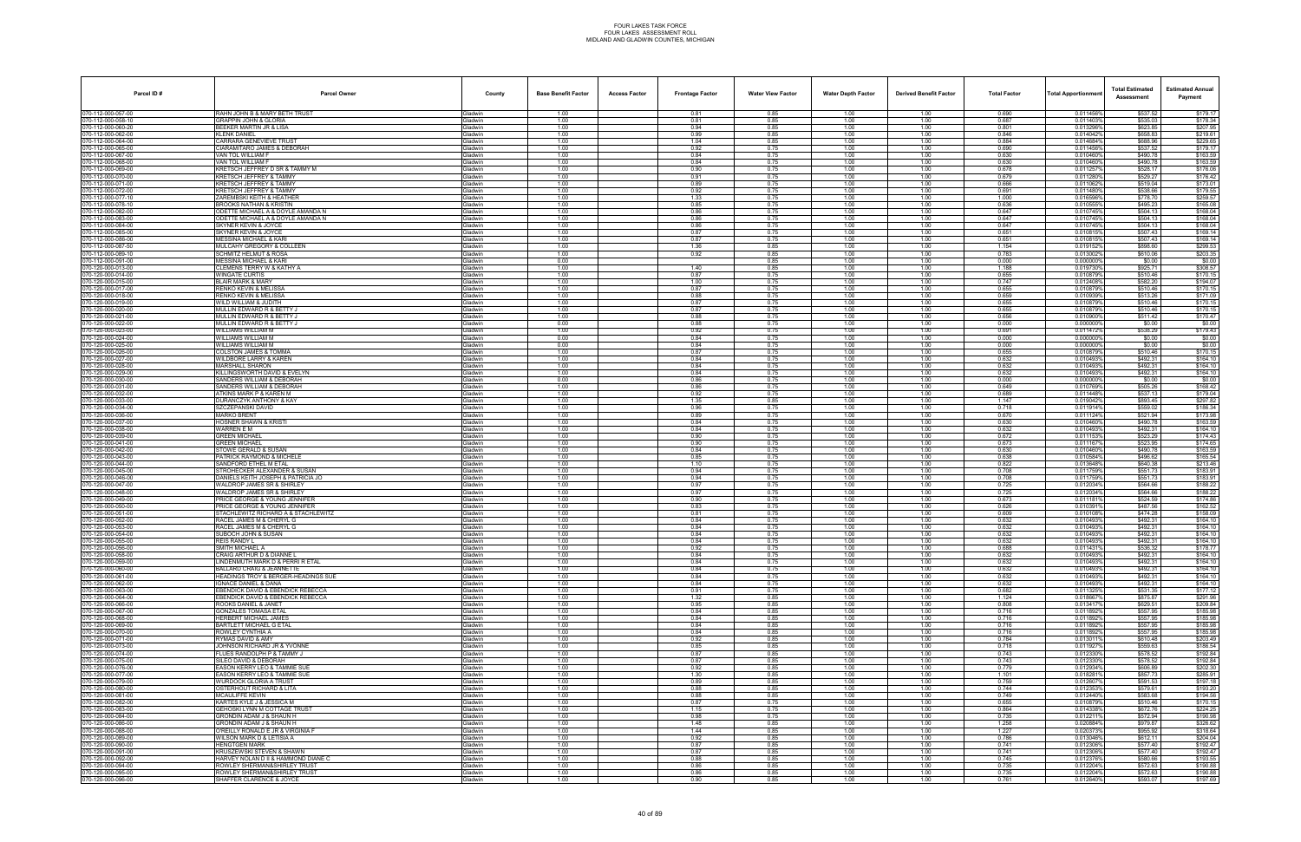| Parcel ID#                               | <b>Parcel Owner</b>                                                         | County                            | <b>Base Benefit Factor</b> | <b>Access Factor</b> | <b>Frontage Factor</b> | <b>Water View Factor</b> | <b>Water Depth Factor</b> | <b>Derived Benefit Factor</b> | <b>Total Factor</b> | Total Apportionmer     | <b>Total Estimated</b><br>Assessment | <b>Estimated Annual</b><br>Payment |
|------------------------------------------|-----------------------------------------------------------------------------|-----------------------------------|----------------------------|----------------------|------------------------|--------------------------|---------------------------|-------------------------------|---------------------|------------------------|--------------------------------------|------------------------------------|
| 070-112-000-057-00                       | RAHN JOHN B & MARY BETH TRUST                                               | <b>Gladwin</b>                    | 1.00                       |                      | 0.81                   | 0.85                     | 1.00                      | 1.00                          | 0.690               | 0.011456%              | \$537.52                             | \$179.17                           |
| 070-112-000-058-10<br>70-112-000-060-20  | GRAPPIN JOHN & GLORIA<br>BEEKER MARTIN JR & LISA                            | Gladwin<br><b>Gladwin</b>         | 1.00<br>1.00               |                      | 0.81<br>0.94           | 0.85<br>0.85             | 1.00<br>1.00              | 1.00<br>1.00                  | 0.687<br>0.801      | 0.011403%<br>0.013296% | \$535.03<br>\$623.85                 | \$178.34<br>\$207.95               |
| 70-112-000-062-00                        | KLENK DANIEL                                                                | Gladwin                           | 1.00                       |                      | 0.99                   | 0.85                     | 1.00                      | 1.00                          | 0.846               | 0.0140429              | \$658.83                             | \$219.61                           |
| 70-112-000-064-00                        | CARRARA GENEVIEVE TRUST                                                     | Gladwin                           | 1.00                       |                      | 1.04                   | 0.85                     | 1.00                      | 1.00                          | 0.884               | 0.014684%              | \$688.96                             | \$229.65                           |
| 70-112-000-065-00<br>70-112-000-067-00   | CIARAMITARO JAMES & DEBORAH<br>VAN TOL WILLIAM F                            | Gladwin<br>Gladwin                | 1.00<br>1.00               |                      | 0.92<br>0.84           | 0.75<br>0.75             | 1.00<br>1.00              | 1.00<br>1.00                  | 0.690<br>0.630      | 0.011456%<br>0.010460% | \$537.52<br>\$490.78                 | \$179.17<br>\$163.59               |
| 70-112-000-068-00                        | VAN TOL WILLIAM F                                                           | <b>Gladwin</b>                    | 1.00                       |                      | 0.84                   | 0.75                     | 1.00                      | 1.00                          | 0.630               | 0.010460%              | \$490.78                             | \$163.59                           |
| 70-112-000-069-00                        | KRETSCH JEFFREY D SR & TAMMY M                                              | Gladwin                           | 1.00                       |                      | 0.90                   | 0.75                     | 1.00                      | 1.00                          | 0.678               | 0.0112579              | \$528.17                             | \$176.06                           |
| 70-112-000-070-00<br>70-112-000-071-00   | KRETSCH JEFFREY & TAMMY<br><b>KRETSCH JEFFREY &amp; TAMMY</b>               | Gladwin<br><b>Gladwin</b>         | 1.00<br>1.00               |                      | 0.91<br>0.89           | 0.75<br>0.75             | 1.00<br>1.00              | 1.00<br>1.00                  | 0.679<br>0.666      | 0.0112809<br>0.0110629 | \$529.27<br>\$519.04                 | \$176.42<br>\$173.01               |
| 70-112-000-072-00                        | KRETSCH JEFFREY & TAMMY                                                     | Gladwin                           | 1.00                       |                      | 0.92                   | 0.75                     | 1.00                      | 1.00                          | 0.691               | 0.011480%              | \$538.66                             | \$179.55                           |
| 70-112-000-077-10                        | ZAREMBSKI KEITH & HEATHER                                                   | <b>Gladwin</b>                    | 1.00                       |                      | 1.33                   | 0.75                     | 1.00                      | 1.00                          | 1.000               | 0.016596%              | \$778.70                             | \$259.57                           |
| 70-112-000-078-10<br>70-112-000-082-00   | BROOKS NATHAN & KRISTIN<br>ODETTE MICHAEL A & DOYLE AMANDA N                | <b>Gladwin</b><br>Gladwin         | 1.00<br>1.00               |                      | 0.85<br>0.86           | 0.75<br>0.75             | 1.00<br>1.00              | 1.00<br>1.00                  | 0.636<br>0.647      | 0.010555%<br>0.010745% | \$495.23<br>\$504.13                 | \$165.08<br>\$168.04               |
| 70-112-000-083-00                        | ODETTE MICHAEL A & DOYLE AMANDA N                                           | Gladwin                           | 1.00                       |                      | 0.86                   | 0.75                     | 1.00                      | 1.00                          | 0.647               | 0.010745%              | \$504.13                             | \$168.04                           |
| 70-112-000-084-00                        | SKYNER KEVIN & JOYCE                                                        | Gladwin                           | 1.00                       |                      | 0.86                   | 0.75                     | 1.00                      | 1.00                          | 0.647               | 0.010745%              | \$504.13                             | \$168.04                           |
| 70-112-000-085-00<br>70-112-000-086-00   | SKYNER KEVIN & JOYCE<br><b>MESSINA MICHAEL &amp; KARI</b>                   | <b>Gladwin</b><br>Gladwin         | 1.00<br>1.00               |                      | 0.87<br>0.87           | 0.75<br>0.75             | 1.00<br>1.00              | 1.00<br>1.00                  | 0.651<br>0.651      | 0.010815%<br>0.0108159 | \$507.43<br>\$507.43                 | \$169.14<br>\$169.14               |
| 70-112-000-087-50                        | MULCAHY GREGORY & COLLEEN                                                   | Gladwin                           | 1.00                       |                      | 1.36                   | 0.85                     | 1.00                      | 1.00                          | 1.154               | 0.019152%              | \$898.60                             | \$299.53                           |
| 070-112-000-089-10                       | <b>SCHMITZ HELMUT &amp; ROSA</b>                                            | <b>Gladwin</b>                    | 1.00                       |                      | 0.92                   | 0.85                     | 1.00                      | 1.00                          | 0.783               | 0.0130029              | \$610.06                             | \$203.35                           |
| 70-112-000-091-00<br>70-120-000-013-00   | MESSINA MICHAEL & KARI<br>CLEMENS TERRY W & KATHY A                         | <b>Gladwin</b><br><b>Gladwin</b>  | 0.00<br>1.00               |                      | 1.40                   | 0.85<br>0.85             | 1.00<br>1.00              | 1.00<br>1.00                  | 0.000<br>1.188      | 0.000000%<br>0.019730% | \$0.00<br>\$925.71                   | \$0.00<br>\$308.57                 |
| 70-120-000-014-00                        | <b>NINGATE CURTIS</b>                                                       | <b>Gladwin</b>                    | 1.00                       |                      | 0.87                   | 0.75                     | 1.00                      | 1.00                          | 0.655               | 0.010879%              | \$510.46                             | \$170.15                           |
| 70-120-000-015-00                        | BLAIR MARK & MARY                                                           | Gladwin                           | 1.00                       |                      | 1.00                   | 0.75                     | 1.00                      | 1.00                          | 0.747               | 0.012408%              | \$582.20                             | \$194.07                           |
| 070-120-000-017-00<br>70-120-000-018-00  | RENKO KEVIN & MELISSA<br>RENKO KEVIN & MELISSA                              | Gladwin<br><b>Gladwin</b>         | 1.00<br>1.00               |                      | 0.87<br>0.88           | 0.75<br>0.75             | 1.00<br>1.00              | 1.00<br>1.00                  | 0.655<br>0.659      | 0.010879%<br>0.0109399 | \$510.46<br>\$513.26                 | \$170.15<br>\$171.09               |
| 70-120-000-019-00                        | VILD WILLIAM & JUDITH                                                       | <b>Gladwin</b>                    | 1.00                       |                      | 0.87                   | 0.75                     | 1.00                      | 1.00                          | 0.655               | 0.010879%              | \$510.46                             | \$170.15                           |
| 70-120-000-020-00                        | MULLIN EDWARD R & BETTY J                                                   | Gladwin                           | 1.00                       |                      | 0.87                   | 0.75                     | 1.00                      | 1.00                          | 0.655               | 0.010879%              | \$510.46                             | \$170.15                           |
| 70-120-000-021-00                        | MULLIN EDWARD R & BETTY J<br>MULLIN EDWARD R & BETTY J                      | Gladwin                           | 1.00<br>0.00               |                      | 0.88<br>0.88           | 0.75<br>0.75             | 1.00<br>1.00              | 1.00<br>1.00                  | 0.656<br>0.000      | 0.010900%<br>0.000000% | \$511.42                             | \$170.47                           |
| 070-120-000-022-00<br>70-120-000-023-00  | WILLIAMS WILLIAM M                                                          | Gladwin<br><b>Gladwin</b>         | 1.00                       |                      | 0.92                   | 0.75                     | 1.00                      | 1.00                          | 0.691               | 0.0114729              | \$0.00<br>\$538.29                   | \$0.00<br>\$179.43                 |
| 70-120-000-024-00                        | NILLIAMS WILLIAM M                                                          | <b>Gladwin</b>                    | 0.00                       |                      | 0.84                   | 0.75                     | 1.00                      | 1.00                          | 0.000               | 0.0000009              | \$0.00                               | \$0.00                             |
| 070-120-000-025-00                       | WILLIAMS WILLIAM M                                                          | <b>Gladwin</b>                    | 0.00                       |                      | 0.84                   | 0.75                     | 1.00                      | 1.00                          | 0.000               | 0.0000009              | \$0.00                               | \$0.00                             |
| 70-120-000-026-00<br>070-120-000-027-00  | COLSTON JAMES & TOMMA<br>WILDBORE LARRY & KAREN                             | Gladwin<br>Gladwin                | 1.00<br>1.00               |                      | 0.87<br>0.84           | 0.75<br>0.75             | 1.00<br>1.00              | 1.00<br>1.00                  | 0.655<br>0.632      | 0.010879%<br>0.010493% | \$510.46<br>\$492.31                 | \$170.15<br>\$164.10               |
| 70-120-000-028-00                        | MARSHALL SHARON                                                             | <b>Gladwin</b>                    | 1.00                       |                      | 0.84                   | 0.75                     | 1.00                      | 1.00                          | 0.632               | 0.0104939              | \$492.31                             | \$164.10                           |
| 70-120-000-029-00                        | KILLINGSWORTH DAVID & EVELYN<br>SANDERS WILLIAM & DEBORAH                   | <b>Jadwin</b>                     | 1.00                       |                      | 0.84                   | 0.75                     | 1.00                      | 1.00                          | 0.632               | 0.0104939<br>0.000000% | \$492.31                             | \$164.10                           |
| 70-120-000-030-00<br>70-120-000-031-00   | SANDERS WILLIAM & DEBORAH                                                   | <b>Gladwin</b><br><b>Gladwin</b>  | 0.00<br>1.00               |                      | 0.86<br>0.86           | 0.75<br>0.75             | 1.00<br>1.00              | 1.00<br>1.00                  | 0.000<br>0.649      | 0.0107699              | \$0.00<br>\$505.26                   | \$0.00<br>\$168.42                 |
| 070-120-000-032-00                       | ATKINS MARK P & KAREN M                                                     | Gladwin                           | 1.00                       |                      | 0.92                   | 0.75                     | 1.00                      | 1.00                          | 0.689               | 0.011448%              | \$537.13                             | \$179.04                           |
| 70-120-000-033-00                        | <b>DURANCZYK ANTHONY &amp; KAY</b>                                          | <b>Gladwin</b>                    | 1.00<br>1.00               |                      | 1.35                   | 0.85<br>0.75             | 1.00                      | 1.00                          | 1.147<br>0.718      | 0.0190429              | \$893.45                             | \$297.82<br>\$186.34               |
| 70-120-000-034-00<br>070-120-000-036-00  | SZCZEPANSKI DAVID<br><b>MARKO BRENT</b>                                     | <b>Gladwin</b><br><b>Gladwin</b>  | 1.00                       |                      | 0.96<br>0.89           | 0.75                     | 1.00<br>1.00              | 1.00<br>1.00                  | 0.670               | 0.011914%<br>0.011124% | \$559.02<br>\$521.94                 | \$173.98                           |
| 70-120-000-037-00                        | HOSNER SHAWN & KRISTI                                                       | Gladwin                           | 1.00                       |                      | 0.84                   | 0.75                     | 1.00                      | 1.00                          | 0.630               | 0.010460%              | \$490.78                             | \$163.59                           |
| 070-120-000-038-00                       | WARREN E M                                                                  | Gladwin                           | 1.00                       |                      | 0.84                   | 0.75                     | 1.00                      | 1.00                          | 0.632               | 0.010493%              | \$492.31                             | \$164.10                           |
| 70-120-000-039-00<br>70-120-000-041-00   | <b>GREEN MICHAEL</b><br><b>REEN MICHAEL</b>                                 | <b>Gladwin</b><br>iladwin         | 1.00<br>1.00               |                      | 0.90<br>0.90           | 0.75<br>0.75             | 1.00<br>1.00              | 1.00<br>1.00                  | 0.672<br>0.673      | 0.0111539<br>0.011167  | \$523.29<br>\$523.95                 | \$174.43<br>\$174.65               |
| 70-120-000-042-00                        | STOWE GERALD & SUSAN                                                        | <b>Gladwin</b>                    | 1.00                       |                      | 0.84                   | 0.75                     | 1.00                      | 1.00                          | 0.630               | 0.010460%              | \$490.78                             | \$163.59                           |
| 70-120-000-043-00<br>070-120-000-044-00  | PATRICK RAYMOND & MICHELE<br>SANDFORD ETHEL M ETAL                          | <b>Gladwin</b><br>Gladwin         | 1.00<br>1.00               |                      | 0.85<br>1.10           | 0.75<br>0.75             | 1.00<br>1.00              | 1.00<br>1.00                  | 0.638<br>0.822      | 0.010584%<br>0.013648% | \$496.62<br>\$640.38                 | \$165.54<br>\$213.46               |
| 70-120-000-045-00                        | <b>STROHECKER ALEXANDER &amp; SUSAN</b>                                     | <b>Gladwin</b>                    | 1.00                       |                      | 0.94                   | 0.75                     | 1.00                      | 1.00                          | 0.708               | 0.0117599              | \$551.73                             | \$183.91                           |
| 70-120-000-046-00                        | )ANIELS KEITH JOSEPH & PATRICIA JO                                          | <b>Gladwin</b>                    | 1.00                       |                      | 0.94                   | 0.75                     | 1.00                      | 1.00                          | 0.708               | 0.0117599              | \$551.73                             | \$183.91                           |
| 070-120-000-047-00<br>70-120-000-048-00  | WALDROP JAMES SR & SHIRLEY<br>WALDROP JAMES SR & SHIRLEY                    | <b>Gladwin</b><br>Gladwin         | 1.00<br>1.00               |                      | 0.97<br>0.97           | 0.75<br>0.75             | 1.00<br>1.00              | 1.00<br>1.00                  | 0.725<br>0.725      | 0.012034%<br>0.012034% | \$564.66<br>\$564.66                 | \$188.22<br>\$188.22               |
| 070-120-000-049-00                       | PRICE GEORGE & YOUNG JENNIFER                                               | Gladwin                           | 1.00                       |                      | 0.90                   | 0.75                     | 1.00                      | 1.00                          | 0.673               | 0.0111819              | \$524.59                             | \$174.86                           |
| 70-120-000-050-00                        | RICE GEORGE & YOUNG JENNIFER                                                | <b>Gladwin</b>                    | 1.00                       |                      | 0.83                   | 0.75                     | 1.00                      | 1.00                          | 0.626               | 0.0103919              | \$487.56                             | \$162.52                           |
| 70-120-000-051-00<br>070-120-000-052-00  | TACHLEWITZ RICHARD A & STACHLEWITZ<br>RACEL JAMES M & CHERYL G              | <b>Gladwin</b><br><b>Gladwin</b>  | 1.00<br>1.00               |                      | 0.81<br>0.84           | 0.75<br>0.75             | 1.00<br>1.00              | 1.00<br>1.00                  | 0.609<br>0.632      | 0.0101089<br>0.010493% | \$474.28<br>\$492.31                 | \$158.09<br>\$164.10               |
| 70-120-000-053-00                        | RACEL JAMES M & CHERYL G                                                    | <b>Gladwin</b>                    | 1.00                       |                      | 0.84                   | 0.75                     | 1.00                      | 1.00                          | 0.632               | 0.0104939              | \$492.31                             | \$164.10                           |
| 070-120-000-054-00                       | SUBOCH JOHN & SUSAN                                                         | Gladwin                           | 1.00                       |                      | 0.84                   | 0.75                     | 1.00                      | 1.00                          | 0.632               | 0.010493%              | \$492.31                             | \$164.10                           |
| 070-120-000-055-00<br>070-120-000-056-00 | <b>REIS RANDY L</b><br>SMITH MICHAEL A                                      | <b>Gladwin</b><br><b>i</b> ladwin | 1.00<br>1.00               |                      | 0.84<br>0.92           | 0.75<br>0.75             | 1.00<br>1.00              | 1.00<br>1.00                  | 0.632<br>0.688      | 0.0104939<br>0.0114319 | \$492.31<br>\$536.32                 | \$164.10<br>\$178.77               |
| 070-120-000-058-00                       | CRAIG ARTHUR D & DIANNE L                                                   | Gladwin                           | 1.00                       |                      | 0.84                   | 0.75                     | 1.00                      | 1.00                          | 0.632               | 0.010493%              | \$492.31                             | \$164.10                           |
| 70-120-000-059-00                        | INDENMUTH MARK D & PERRI R ETAL                                             | Gladwin                           | 1.00                       |                      | 0.84                   | 0.75                     | 1.00                      | 1.00                          | 0.632               | 0.010493%              | \$492.31                             | \$164.10                           |
| 070-120-000-060-00<br>70-120-000-061-00  | <b>BALLARD CRAIG &amp; JEANNETTE</b><br>HEADINGS TROY & BERGER-HEADINGS SUE | Gladwin<br><b>Gladwin</b>         | 1.00<br>1.00               |                      | 0.84<br>0.84           | 0.75<br>0.75             | 1.00<br>1.00              | 1.00<br>1.00                  | 0.632<br>0.632      | 0.010493%<br>0.010493% | \$492.31<br>\$492.31                 | \$164.10<br>\$164.10               |
| 70-120-000-062-00                        | GNACE DANIEL & DANA                                                         | <b>Gladwin</b>                    | 1.00                       |                      | 0.84                   | 0.75                     | 1.00                      | 1.00                          | 0.632               | 0.010493%              | \$492.31                             | \$164.10                           |
| 070-120-000-063-00                       | EBENDICK DAVID & EBENDICK REBECCA                                           | Gladwin                           | 1.00                       |                      | 0.91                   | 0.75                     | 1.00                      | 1.00                          | 0.682               | 0.011325%              | \$531.35                             | \$177.12                           |
| 70-120-000-064-00<br>070-120-000-066-00  | EBENDICK DAVID & EBENDICK REBECCA<br>ROOKS DANIEL & JANET                   | Gladwin<br>Gladwin                | 1.00<br>1.00               |                      | 1.32<br>0.95           | 0.85<br>0.85             | 1.00<br>1.00              | 1.00<br>1.00                  | 1.124<br>0.808      | 0.018667%<br>0.013417% | \$875.87<br>\$629.51                 | \$291.96<br>\$209.84               |
| 70-120-000-067-00                        | <b>GONZALES TOMASA ETAL</b>                                                 | <b>Gladwin</b>                    | 1.00                       |                      | 0.84                   | 0.85                     | 1.00                      | 1.00                          | 0.716               | 0.0118929              | \$557.95                             | \$185.98                           |
| 70-120-000-068-00                        | <b>IERBERT MICHAEL JAMES</b>                                                | <b>Gladwin</b>                    | 1.00                       |                      | 0.84                   | 0.85                     | 1.00                      | 1.00                          | 0.716               | 0.011892%              | \$557.95                             | \$185.98                           |
| 070-120-000-069-00<br>70-120-000-070-00  | BARTLETT MICHAEL G ETAL<br>ROWLEY CYNTHIA A                                 | Gladwin<br>Gladwin                | 1.00<br>1.00               |                      | 0.84<br>0.84           | 0.85<br>0.85             | 1.00<br>1.00              | 1.00<br>1.00                  | 0.716<br>0.716      | 0.011892%<br>0.011892% | \$557.95<br>\$557.95                 | \$185.98<br>\$185.98               |
| 070-120-000-071-00                       | RYMAS DAVID & AMY                                                           | Gladwin                           | 1.00                       |                      | 0.92                   | 0.85                     | 1.00                      | 1.00                          | 0.784               | 0.013011%              | \$610.48                             | \$203.49                           |
| 70-120-000-073-00                        | JOHNSON RICHARD JR & YVONNE                                                 | <b>Gladwin</b>                    | 1.00                       |                      | 0.85                   | 0.85                     | 1.00                      | 1.00                          | 0.718               | 0.0119279              | \$559.63                             | \$186.54                           |
| 70-120-000-074-00<br>070-120-000-075-00  | LUES RANDOLPH P & TAMMY J<br>SILEO DAVID & DEBORAH                          | <b>Gladwin</b><br>Gladwin         | 1.00<br>1.00               |                      | 0.87<br>0.87           | 0.85<br>0.85             | 1.00<br>1.00              | 1.00<br>1.00                  | 0.743<br>0.743      | 0.0123309<br>0.012330% | \$578.52<br>\$578.52                 | \$192.84<br>\$192.84               |
| 70-120-000-076-00                        | EASON KERRY LEO & TAMMIE SUE                                                | Gladwin                           | 1.00                       |                      | 0.92                   | 0.85                     | 1.00                      | 1.00                          | 0.779               | 0.012934%              | \$606.89                             | \$202.30                           |
| 070-120-000-077-00                       | EASON KERRY LEO & TAMMIE SUE                                                | Gladwin                           | 1.00                       |                      | 1.30                   | 0.85                     | 1.00                      | 1.00                          | 1.101               | 0.018281%              | \$857.73                             | \$285.91                           |
| 70-120-000-079-00<br>70-120-000-080-00   | WURDOCK GLORIA A TRUST<br><b>DSTERHOUT RICHARD &amp; LITA</b>               | Gladwin<br><b>Gladwin</b>         | 1.00<br>1.00               |                      | 0.89<br>0.88           | 0.85<br>0.85             | 1.00<br>1.00              | 1.00<br>1.00                  | 0.759<br>0.744      | 0.012607%<br>0.0123539 | \$591.53<br>\$579.61                 | \$197.18<br>\$193.20               |
| 070-120-000-081-00                       | MCAULIFFE KEVIN                                                             | Gladwin                           | 1.00                       |                      | 0.88                   | 0.85                     | 1.00                      | 1.00                          | 0.749               | 0.012440%              | \$583.68                             | \$194.56                           |
| 70-120-000-082-00                        | KARTES KYLE J & JESSICA M                                                   | Gladwin                           | 1.00                       |                      | 0.87                   | 0.75                     | 1.00                      | 1.00                          | 0.655               | 0.010879%              | \$510.46                             | \$170.15                           |
| 070-120-000-083-00<br>70-120-000-084-00  | GEHOSKI LYNN M COTTAGE TRUST<br>GRONDIN ADAM J & SHAUN H                    | Gladwin<br>Gladwin                | 1.00<br>1.00               |                      | 1.15<br>0.98           | 0.75<br>0.75             | 1.00<br>1.00              | 1.00<br>1.00                  | 0.864<br>0.735      | 0.014338%<br>0.0122119 | \$672.76<br>\$572.94                 | \$224.25<br>\$190.98               |
| 70-120-000-086-00                        | RONDIN ADAM J & SHAUN H                                                     | <b>Gladwin</b>                    | 1.00                       |                      | 1.48                   | 0.85                     | 1.00                      | 1.00                          | 1.258               | 0.020884%              | \$979.87                             | \$326.62                           |
| 070-120-000-088-00                       | O'REILLY RONALD E JR & VIRGINIA F                                           | Gladwin                           | 1.00                       |                      | 1.44                   | 0.85                     | 1.00                      | 1.00                          | 1.227               | 0.020373%              | \$955.92                             | \$318.64                           |
| 70-120-000-089-00<br>70-120-000-090-00   | WILSON MARK D & LETISIA A<br><b>HENGTGEN MARK</b>                           | Gladwin<br>Gladwin                | 1.00<br>1.00               |                      | 0.92<br>0.87           | 0.85<br>0.85             | 1.00<br>1.00              | 1.00<br>1.00                  | 0.786<br>0.741      | 0.013046%<br>0.012306% | \$612.11<br>\$577.40                 | \$204.04<br>\$192.47               |
| 070-120-000-091-00                       | KRUSZEWSKI STEVEN & SHAWN                                                   | Gladwin                           | 1.00                       |                      | 0.87                   | 0.85                     | 1.00                      | 1.00                          | 0.741               | 0.012306%              | \$577.40                             | \$192.47                           |
| 70-120-000-092-00                        | HARVEY NOLAN D II & HAMMOND DIANE C                                         | <b>Gladwin</b>                    | 1.00                       |                      | 0.88                   | 0.85                     | 1.00                      | 1.00                          | 0.745               | 0.012376%              | \$580.66                             | \$193.55                           |
| 070-120-000-094-00<br>070-120-000-095-00 | ROWLEY SHERMAN&SHIRLEY TRUST<br>ROWLEY SHERMAN&SHIRLEY TRUST                | Gladwin<br>Gladwin                | 1.00<br>1.00               |                      | 0.86<br>0.86           | 0.85<br>0.85             | 1.00<br>1.00              | 1.00<br>1.00                  | 0.735<br>0.735      | 0.012204%<br>0.012204% | \$572.63<br>\$572.63                 | \$190.88<br>\$190.88               |
| 070-120-000-096-00                       | SHAFFER CLARENCE & JOYCE                                                    | Gladwin                           | 1.00                       |                      | 0.90                   | 0.85                     | 1.00                      | 1.00                          | 0.761               | 0.012640%              | \$593.07                             | \$197.69                           |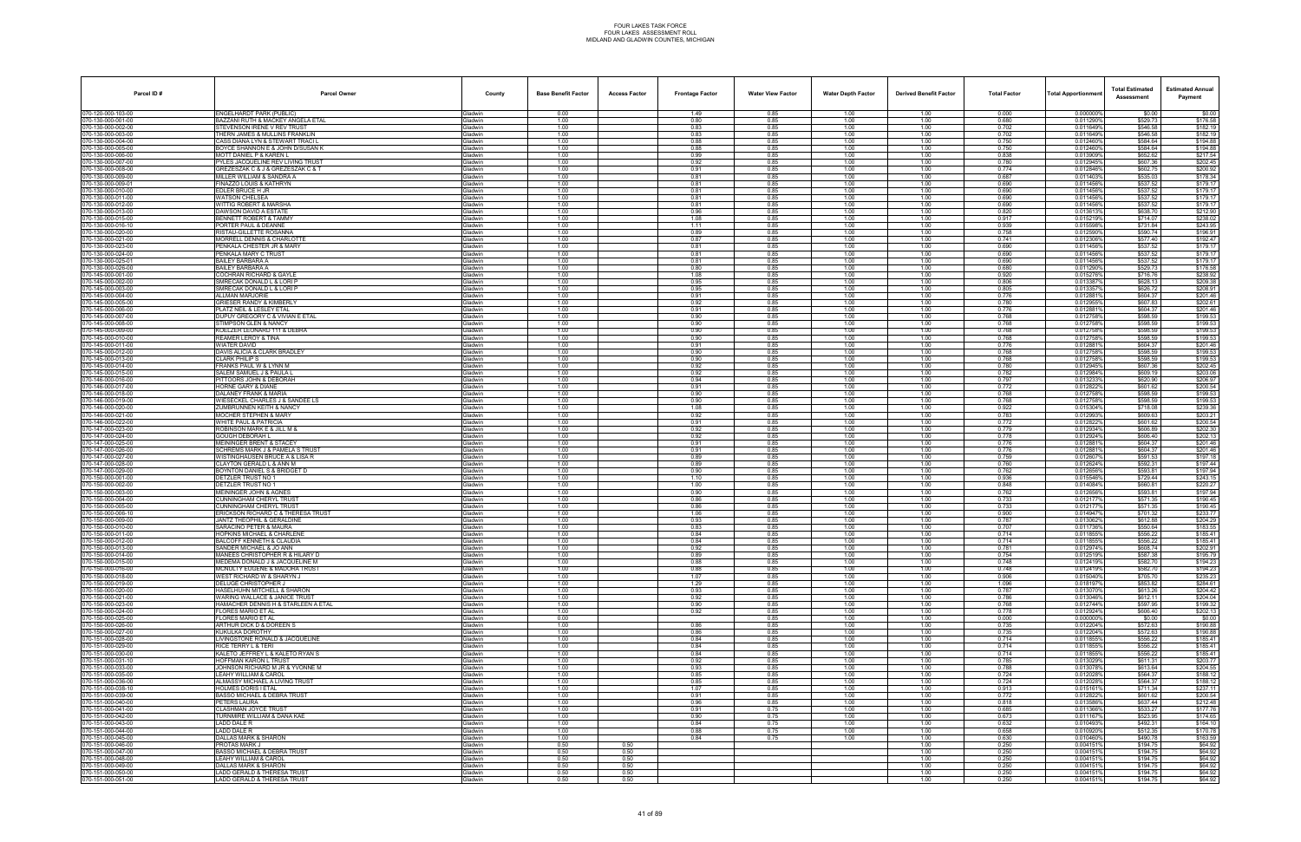| Parcel ID#                             | <b>Parcel Owner</b>                                                    | County                           | <b>Base Benefit Factor</b> | <b>Access Factor</b> | <b>Frontage Factor</b> | <b>Water View Factor</b> | <b>Water Depth Factor</b> | <b>Derived Benefit Factor</b> | <b>Total Factor</b> | Total Apportionmer     | <b>Total Estimated</b><br>Assessment | <b>Estimated Annual</b><br>Payment |
|----------------------------------------|------------------------------------------------------------------------|----------------------------------|----------------------------|----------------------|------------------------|--------------------------|---------------------------|-------------------------------|---------------------|------------------------|--------------------------------------|------------------------------------|
| 070-120-000-103-00                     | ENGELHARDT PARK (PUBLIC)                                               | <b>Gladwin</b>                   | 0.00                       |                      | 1.49                   | 0.85                     | 1.00                      | 1.00                          | 0.000               | 0.000000%              | \$0.00                               | \$0.00                             |
| 70-130-000-001-00<br>70-130-000-002-00 | BAZZANI RUTH & MACKEY ANGELA ETAL<br>STEVENSON IRENE V REV TRUST       | <b>Gladwin</b><br>iladwin        | 1.00<br>1.00               |                      | 0.80<br>0.83           | 0.85<br>0.85             | 1.00<br>1.00              | 1.00<br>1.00                  | 0.680<br>0.702      | 0.011290%<br>0.011649% | \$529.73<br>\$546.58                 | \$176.58<br>\$182.19               |
| 70-130-000-003-00                      | THERN JAMES & MULLINS FRANKLIN                                         | <b>Gladwin</b>                   | 1.00                       |                      | 0.83                   | 0.85                     | 1.00                      | 1.00                          | 0.702               | 0.011649%              | \$546.58                             | \$182.19                           |
| 70-130-000-004-00                      | CASS DIANA LYN & STEWART TRACI I                                       | Gladwin                          | 1.00                       |                      | 0.88                   | 0.85                     | 1.00                      | 1.00                          | 0.750               | 0.012460%              | \$584.64                             | \$194.88                           |
| 70-130-000-005-00<br>70-130-000-006-00 | BOYCE SHANNON E & JOHN D/SUSAN K<br>MOTT DANIEL P & KAREN L            | <b>Gladwin</b><br><b>Gladwin</b> | 1.00<br>1.00               |                      | 0.88<br>0.99           | 0.85<br>0.85             | 1.00<br>1.00              | 1.00<br>1.00                  | 0.750<br>0.838      | 0.012460%<br>0.013909% | \$584.64<br>\$652.62                 | \$194.88<br>\$217.54               |
| 0-130-000-007-00                       | PYLES JACQUELINE REV LIVING TRUST                                      | iladwin                          | 1.00                       |                      | 0.92                   | 0.85                     | 1.00                      | 1.00                          | 0.780               | 0.012945%              | \$607.36                             | \$202.45                           |
| 0-130-000-008-00<br>70-130-000-009-00  | GREZESZAK C & J & GREZESZAK C & T<br>MILLER WILLIAM & SANDRA A         | <b>i</b> ladwin<br>Gladwin       | 1.00<br>1.00               |                      | 0.91<br>0.81           | 0.85<br>0.85             | 1.00<br>1.00              | 1.00<br>1.00                  | 0.774<br>0.687      | 0.012846%<br>0.0114039 | \$602.75<br>\$535.03                 | \$200.92<br>\$178.34               |
| 70-130-000-009-01                      | FINAZZO LOUIS & KATHRYN                                                | <b>Sladwin</b>                   | 1.00                       |                      | 0.81                   | 0.85                     | 1.00                      | 1.00                          | 0.690               | 0.011456%              | \$537.52                             | \$179.17                           |
| 70-130-000-010-00                      | EDLER BRUCE H JR                                                       | Gladwin                          | 1.00                       |                      | 0.81                   | 0.85                     | 1.00                      | 1.00                          | 0.690               | 0.011456%              | \$537.52                             | \$179.17                           |
| 0-130-000-011-00<br>70-130-000-012-00  | WATSON CHELSEA<br>WITTIG ROBERT & MARSHA                               | <b>Gladwin</b><br><b>Gladwin</b> | 1.00<br>1.00               |                      | 0.81<br>0.81           | 0.85<br>0.85             | 1.00<br>1.00              | 1.00<br>1.00                  | 0.690<br>0.690      | 0.011456%<br>0.011456% | \$537.52<br>\$537.52                 | \$179.17<br>\$179.17               |
| 70-130-000-013-00                      | <b>DAWSON DAVID A ESTATE</b>                                           | Gladwin                          | 1.00                       |                      | 0.96                   | 0.85                     | 1.00                      | 1.00                          | 0.820               | 0.0136139              | \$638.70                             | \$212.90                           |
| 70-130-000-015-00<br>70-130-000-016-10 | <b>BENNETT ROBERT &amp; TAMMY</b><br>PORTER PAUL & DEANNE              | <b>Gladwin</b><br><b>Gladwin</b> | 1.00<br>1.00               |                      | 1.08<br>1.11           | 0.85<br>0.85             | 1.00<br>1.00              | 1.00<br>1.00                  | 0.917<br>0.939      | 0.015219%<br>0.015598% | \$714.07<br>\$731.84                 | \$238.02<br>\$243.95               |
| 0-130-000-020-00                       | RISTAU-GILLETTE ROSANNA                                                | iladwin                          | 1.00                       |                      | 0.89                   | 0.85                     | 1.00                      | 1.00                          | 0.758               | 0.012590%              | \$590.74                             | \$196.91                           |
| 0-130-000-021-00                       | <b>MORRELL DENNIS &amp; CHARLOTTE</b><br>PENKALA CHESTER JR & MARY     | iladwin                          | 1.00<br>1.00               |                      | 0.87                   | 0.85                     | 1.00                      | 1.00                          | 0.741<br>0.690      | 0.012306%<br>0.011456% | \$577.40<br>\$537.52                 | \$192.47<br>\$179.17               |
| 70-130-000-023-00<br>70-130-000-024-00 | PENKALA MARY C TRUST                                                   | Gladwin<br><b>Gladwin</b>        | 1.00                       |                      | 0.81<br>0.81           | 0.85<br>0.85             | 1.00<br>1.00              | 1.00<br>1.00                  | 0.690               | 0.011456%              | \$537.52                             | \$179.17                           |
| 70-130-000-025-01                      | BAILEY BARBARA A                                                       | <b>Gladwin</b>                   | 1.00                       |                      | 0.81                   | 0.85                     | 1.00                      | 1.00                          | 0.690               | 0.011456%              | \$537.52                             | \$179.17                           |
| 0-130-000-026-00<br>70-145-000-001-00  | BAILEY BARBARA A<br>COCHRAN RICHARD & GAYLE                            | iladwin<br><b>Gladwin</b>        | 1.00<br>1.00               |                      | 0.80<br>1.08           | 0.85<br>0.85             | 1.00<br>1.00              | 1.00<br>1.00                  | 0.680<br>0.920      | 0.011290%<br>0.015276% | \$529.73<br>\$716.76                 | \$176.58<br>\$238.92               |
| 70-145-000-002-00                      | SMRECAK DONALD L & LORI F                                              | Gladwin                          | 1.00                       |                      | 0.95                   | 0.85                     | 1.00                      | 1.00                          | 0.806               | 0.0133879              | \$628.13                             | \$209.38                           |
| 70-145-000-003-00                      | SMRECAK DONALD L & LORI P                                              | <b>Gladwin</b>                   | 1.00                       |                      | 0.95                   | 0.85                     | 1.00                      | 1.00                          | 0.805               | 0.013357%              | \$626.72                             | \$208.91                           |
| 0-145-000-004-00<br>0-145-000-005-00   | ALLMAN MARJORIE<br>GRIESER RANDY & KIMBERLY                            | <b>Gladwin</b><br>iladwin        | 1.00<br>1.00               |                      | 0.91<br>0.92           | 0.85<br>0.85             | 1.00<br>1.00              | 1.00<br>1.00                  | 0.776<br>0.780      | 0.0128819<br>0.012955% | \$604.37<br>\$607.83                 | \$201.46<br>\$202.61               |
| 0-145-000-006-00                       | PLATZ NEIL & LESLEY ETAL                                               | iladwin                          | 1.00                       |                      | 0.91                   | 0.85                     | 1.00                      | 1.00                          | 0.776               | 0.012881%              | \$604.37                             | \$201.46                           |
| 0-145-000-007-00<br>70-145-000-008-00  | DUPUY GREGORY C & VIVIAN E ETAL<br><b>STIMPSON GLEN &amp; NANCY</b>    | <b>Gladwin</b><br><b>Gladwin</b> | 1.00<br>1.00               |                      | 0.90<br>0.90           | 0.85<br>0.85             | 1.00<br>1.00              | 1.00<br>1.00                  | 0.768<br>0.768      | 0.012758%<br>0.012758% | \$598.59<br>\$598.59                 | \$199.53<br>\$199.53               |
| 70-145-000-009-00                      | KOELZER LEONARD 111 & DEBRA                                            | <b>Gladwin</b>                   | 1.00                       |                      | 0.90                   | 0.85                     | 1.00                      | 1.00                          | 0.768               | 0.012758%              | \$598.59                             | \$199.53                           |
| 0-145-000-010-00                       | REAMER LEROY & TINA                                                    | iladwin                          | 1.00                       |                      | 0.90                   | 0.85                     | 1.00                      | 1.00                          | 0.768               | 0.012758%              | \$598.59                             | \$199.53                           |
| 70-145-000-011-00<br>70-145-000-012-00 | WIATER DAVID<br>DAVIS ALICIA & CLARK BRADLEY                           | <b>Gladwin</b><br>Gladwin        | 1.00<br>1.00               |                      | 0.91<br>0.90           | 0.85<br>0.85             | 1.00<br>1.00              | 1.00<br>1.00                  | 0.776<br>0.768      | 0.012881%<br>0.012758% | \$604.37<br>\$598.59                 | \$201.46<br>\$199.53               |
| 70-145-000-013-00                      | <b>CLARK PHILIP S</b>                                                  | Gladwin                          | 1.00                       |                      | 0.90                   | 0.85                     | 1.00                      | 1.00                          | 0.768               | 0.012758%              | \$598.59                             | \$199.53                           |
| 0-145-000-014-00<br>0-145-000-015-00   | FRANKS PAUL W & LYNN M<br>SALEM SAMUEL J & PAULA L                     | iladwin<br>iladwin               | 1.00<br>1.00               |                      | 0.92<br>0.92           | 0.85<br>0.85             | 1.00<br>1.00              | 1.00<br>1.00                  | 0.780<br>0.782      | 0.0129459<br>0.012984% | \$607.36<br>\$609.19                 | \$202.45<br>\$203.06               |
| 0-146-000-016-00                       | PITTOORS JOHN & DEBORAH                                                | <b>Gladwin</b>                   | 1.00                       |                      | 0.94                   | 0.85                     | 1.00                      | 1.00                          | 0.797               | 0.0132339              | \$620.90                             | \$206.97                           |
| 0-146-000-017-00                       | HORNE GARY & DIANE                                                     | iladwin                          | 1.00                       |                      | 0.91                   | 0.85                     | 1.00                      | 1.00                          | 0.772               | 0.0128229              | \$601.62                             | \$200.54                           |
| 70-146-000-018-00<br>70-146-000-019-00 | <b>DALANEY FRANK &amp; MARIA</b><br>WIESECKEL CHARLES J & SANDEE LS    | <b>Gladwin</b><br><b>Gladwin</b> | 1.00<br>1.00               |                      | 0.90<br>0.90           | 0.85<br>0.85             | 1.00<br>1.00              | 1.00<br>1.00                  | 0.768<br>0.768      | 0.012758%<br>0.012758% | \$598.59<br>\$598.59                 | \$199.53<br>\$199.53               |
| 0-146-000-020-00                       | ZUMBRUNNEN KEITH & NANCY                                               | iladwin                          | 1.00                       |                      | 1.08                   | 0.85                     | 1.00                      | 1.00                          | 0.922               | 0.015304%              | \$718.08                             | \$239.36                           |
| 70-146-000-021-00<br>0-146-000-022-00  | <b>MOCHER STEPHEN &amp; MARY</b><br>WHITE PAUL & PATRICIA              | <b>Gladwin</b><br><b>Gladwin</b> | 1.00<br>1.00               |                      | 0.92<br>0.91           | 0.85<br>0.85             | 1.00<br>1.00              | 1.00<br>1.00                  | 0.783<br>0.772      | 0.012993%<br>0.0128229 | \$609.63<br>\$601.62                 | \$203.21<br>\$200.54               |
| 70-147-000-023-00                      | ROBINSON MARK E & JILL M &                                             | <b>Gladwin</b>                   | 1.00                       |                      | 0.92                   | 0.85                     | 1.00                      | 1.00                          | 0.779               | 0.012934%              | \$606.89                             | \$202.30                           |
| 70-147-000-024-00                      | GOUGH DEBORAH L                                                        | iladwin                          | 1.00                       |                      | 0.92                   | 0.85                     | 1.00                      | 1.00                          | 0.778               | 0.012924%              | \$606.40                             | \$202.13                           |
| 0-147-000-025-00<br>70-147-000-026-00  | MEININGER BRENT & STACEY<br><b>SCHREMS MARK J &amp; PAMELA S TRUST</b> | iladwin<br><b>Sladwin</b>        | 1.00<br>1.00               |                      | 0.91<br>0.91           | 0.85<br>0.85             | 1.00<br>1.00              | 1.00<br>1.00                  | 0.776<br>0.776      | 0.012881<br>0.012881%  | \$604.37<br>\$604.37                 | \$201.46<br>\$201.46               |
| 0-147-000-027-00                       | WISTINGHAUSEN BRUCE A & LISA R                                         | iladwin                          | 1.00                       |                      | 0.89                   | 0.85                     | 1.00                      | 1.00                          | 0.759               | 0.0126079              | \$591.53                             | \$197.18                           |
| 70-147-000-028-00<br>70-147-000-029-00 | CLAYTON GERALD L & ANN M<br>BOYNTON DANIEL S & BRIDGET D               | <b>Gladwin</b><br>iladwin        | 1.00<br>1.00               |                      | 0.89<br>0.90           | 0.85<br>0.85             | 1.00<br>1.00              | 1.00<br>1.00                  | 0.760<br>0.762      | 0.012624%<br>0.012656% | \$592.31<br>\$593.81                 | \$197.44<br>\$197.94               |
| 0-150-000-001-00                       | DETZLER TRUST NO 1                                                     | iladwin                          | 1.00                       |                      | 1.10                   | 0.85                     | 1.00                      | 1.00                          | 0.936               | 0.015546%              | \$729.44                             | \$243.15                           |
| 70-150-000-002-00                      | DETZLER TRUST NO 1                                                     | <b>Gladwin</b>                   | 1.00                       |                      | 1.00                   | 0.85                     | 1.00                      | 1.00                          | 0.848               | 0.014084%              | \$660.81                             | \$220.27                           |
| 70-150-000-003-00<br>70-150-000-004-00 | MEININGER JOHN & AGNES<br>CUNNINGHAM CHERYL TRUST                      | <b>Gladwin</b><br>Gladwin        | 1.00<br>1.00               |                      | 0.90<br>0.86           | 0.85<br>0.85             | 1.00<br>1.00              | 1.00<br>1.00                  | 0.762<br>0.733      | 0.012656%<br>0.012177% | \$593.81<br>\$571.35                 | \$197.94<br>\$190.45               |
| 70-150-000-005-00                      | UNNINGHAM CHERYL TRUST                                                 | iladwin                          | 1.00                       |                      | 0.86                   | 0.85                     | 1.00                      | 1.00                          | 0.733               | 0.012177               | \$571.35                             | \$190.45                           |
| 0-150-000-006-10<br>70-150-000-009-00  | ERICKSON RICHARD C & THERESA TRUST<br>JANTZ THEOPHIL & GERALDINE       | iladwin<br><b>Sladwin</b>        | 1.00<br>1.00               |                      | 1.06<br>0.93           | 0.85<br>0.85             | 1.00<br>1.00              | 1.00<br>1.00                  | 0.900<br>0.787      | 0.014947<br>0.013062%  | \$701.32<br>\$612.88                 | \$233.77<br>\$204.29               |
| 0-150-000-010-00                       | SARACINO PETER & MAURA                                                 | iladwin                          | 1.00                       |                      | 0.83                   | 0.85                     | 1.00                      | 1.00                          | 0.707               | 0.0117369              | \$550.64                             | \$183.55                           |
| 70-150-000-011-00                      | <b>HOPKINS MICHAEL &amp; CHARLENE</b>                                  | <b>Gladwin</b>                   | 1.00                       |                      | 0.84                   | 0.85                     | 1.00                      | 1.00                          | 0.714               | 0.011855%              | \$556.22                             | \$185.41                           |
| 70-150-000-012-00<br>70-150-000-013-00 | BALCOFF KENNETH & CLAUDIA<br>SANDER MICHAEL & JO ANN                   | iladwin<br>iladwin               | 1.00<br>1.00               |                      | 0.84<br>0.92           | 0.85<br>0.85             | 1.00<br>1.00              | 1.00<br>1.00                  | 0.714<br>0.781      | 0.0118559<br>0.012974% | \$556.22<br>\$608.74                 | \$185.41<br>\$202.91               |
| 70-150-000-014-00                      | MANEES CHRISTOPHER R & HILARY D                                        | Gladwin                          | 1.00                       |                      | 0.89                   | 0.85                     | 1.00                      | 1.00                          | 0.754               | 0.012519%              | \$587.38                             | \$195.79                           |
| 70-150-000-015-00<br>70-150-000-016-00 | MEDEMA DONALD J & JACQUELINE M<br>MCNULTY EUGENE & MADORA TRUST        | <b>Gladwin</b><br>Gladwin        | 1.00<br>1.00               |                      | 0.88<br>0.88           | 0.85<br>0.85             | 1.00<br>1.00              | 1.00<br>1.00                  | 0.748<br>0.748      | 0.012419%<br>0.012419% | \$582.70<br>\$582.70                 | \$194.23<br>\$194.23               |
| 70-150-000-018-00                      | WEST RICHARD W & SHARYN J                                              | <b>Gladwin</b>                   | 1.00                       |                      | 1.07                   | 0.85                     | 1.00                      | 1.00                          | 0.906               | 0.015040%              | \$705.70                             | \$235.23                           |
| 0-150-000-019-00                       | DELUGE CHRISTOPHER J                                                   | iladwin                          | 1.00                       |                      | 1.29                   | 0.85                     | 1.00                      | 1.00                          | 1.096               | 0.0181979              | \$853.82                             | \$284.61                           |
| 70-150-000-020-00<br>70-150-000-021-00 | HASELHUHN MITCHELL & SHARON<br>WARING WALLACE & JANICE TRUST           | <b>Gladwin</b><br><b>Gladwin</b> | 1.00<br>1.00               |                      | 0.93<br>0.92           | 0.85<br>0.85             | 1.00<br>1.00              | 1.00<br>1.00                  | 0.787<br>0.786      | 0.013070%<br>0.013046% | \$613.26<br>\$612.11                 | \$204.42<br>\$204.04               |
| 70-150-000-023-00                      | HAMACHER DENNIS H & STARLEEN A ETAL                                    | Gladwin                          | 1.00                       |                      | 0.90                   | 0.85                     | 1.00                      | 1.00                          | 0.768               | 0.012744%              | \$597.95                             | \$199.32                           |
| 70-150-000-024-00<br>0-150-000-025-00  | <b>FLORES MARIO ET AL</b><br>FLORES MARIO ET AL                        | <b>Gladwin</b><br>iladwin        | 1.00<br>0.00               |                      | 0.92                   | 0.85<br>0.85             | 1.00<br>1.00              | 1.00<br>1.00                  | 0.778<br>0.000      | 0.012924%<br>0.000000% | \$606.40<br>\$0.00                   | \$202.13<br>\$0.00                 |
| 70-150-000-026-00                      | ARTHUR DICK D & DOREEN S                                               | Gladwin                          | 1.00                       |                      | 0.86                   | 0.85                     | 1.00                      | 1.00                          | 0.735               | 0.012204%              | \$572.63                             | \$190.88                           |
| 70-150-000-027-00                      | KUKULKA DOROTHY                                                        | <b>Gladwin</b>                   | 1.00                       |                      | 0.86                   | 0.85                     | 1.00                      | 1.00                          | 0.735               | 0.012204%              | \$572.63                             | \$190.88                           |
| 70-151-000-028-00<br>70-151-000-029-00 | LIVINGSTONE RONALD & JACQUELINE<br>RICE TERRY L & TERI                 | Gladwin<br><b>Gladwin</b>        | 1.00<br>1.00               |                      | 0.84<br>0.84           | 0.85<br>0.85             | 1.00<br>1.00              | 1.00<br>1.00                  | 0.714<br>0.714      | 0.011855%<br>0.011855% | \$556.22<br>\$556.22                 | \$185.41<br>\$185.41               |
| 0-151-000-030-00                       | KALETO JEFFREY L & KALETO RYAN S                                       | iladwin                          | 1.00                       |                      | 0.84                   | 0.85                     | 1.00                      | 1.00                          | 0.714               | 0.0118559              | \$556.22                             | \$185.41                           |
| 70-151-000-031-10<br>70-151-000-033-00 | HOFFMAN KARON L TRUST<br>JOHNSON RICHARD M JR & YVONNE M               | <b>Gladwin</b><br><b>Sladwin</b> | 1.00<br>1.00               |                      | 0.92<br>0.93           | 0.85<br>0.85             | 1.00<br>1.00              | 1.00<br>1.00                  | 0.785<br>0.788      | 0.013029%<br>0.013078% | \$611.31<br>\$613.64                 | \$203.77<br>\$204.55               |
| 70-151-000-035-00                      | LEAHY WILLIAM & CAROL                                                  | Gladwin                          | 1.00                       |                      | 0.85                   | 0.85                     | 1.00                      | 1.00                          | 0.724               | 0.012028%              | \$564.37                             | \$188.12                           |
| 70-151-000-036-00                      | ALMASSY MICHAEL A LIVING TRUST                                         | Gladwin                          | 1.00                       |                      | 0.85                   | 0.85                     | 1.00                      | 1.00                          | 0.724               | 0.012028%              | \$564.37                             | \$188.12                           |
| 70-151-000-038-10<br>70-151-000-039-00 | HOLMES DORIS I ETAL<br>BASSO MICHAEL & DEBRA TRUST                     | iladwin<br>Gladwin               | 1.00<br>1.00               |                      | 1.07<br>0.91           | 0.85<br>0.85             | 1.00<br>1.00              | 1.00<br>1.00                  | 0.913<br>0.772      | 0.0151619<br>0.012822% | \$711.34<br>\$601.62                 | \$237.11<br>\$200.54               |
| 70-151-000-040-00                      | PETERS LAURA                                                           | Gladwin                          | 1.00                       |                      | 0.96                   | 0.85                     | 1.00                      | 1.00                          | 0.818               | 0.013586%              | \$637.44                             | \$212.48                           |
| 70-151-000-041-00<br>70-151-000-042-00 | CLASHMAN JOYCE TRUST<br>TURNMIRE WILLIAM & DANA KAE                    | <b>Gladwin</b><br>Gladwin        | 1.00<br>1.00               |                      | 0.91<br>0.90           | 0.75<br>0.75             | 1.00<br>1.00              | 1.00<br>1.00                  | 0.685<br>0.673      | 0.011366%<br>0.0111679 | \$533.27<br>\$523.95                 | \$177.76<br>\$174.65               |
| 0-151-000-043-00                       | LADD DALE R                                                            | iladwin                          | 1.00                       |                      | 0.84                   | 0.75                     | 1.00                      | 1.00                          | 0.632               | 0.010493%              | \$492.31                             | \$164.10                           |
| 70-151-000-044-00                      | LADD DALE R                                                            | <b>Gladwin</b>                   | 1.00                       |                      | 0.88                   | 0.75                     | 1.00                      | 1.00                          | 0.658               | 0.010920%<br>0.010460% | \$512.35                             | \$170.78                           |
| 70-151-000-045-00<br>70-151-000-046-00 | <b>DALLAS MARK &amp; SHARON</b><br>PROTAS MARK J                       | <b>Gladwin</b><br><b>Gladwin</b> | 1.00<br>0.50               | 0.50                 | 0.84                   | 0.75                     | 1.00                      | 1.00<br>1.00                  | 0.630<br>0.250      | 0.004151%              | \$490.78<br>\$194.75                 | \$163.59<br>\$64.92                |
| 70-151-000-047-00                      | BASSO MICHAEL & DEBRA TRUST                                            | Gladwin                          | 0.50                       | 0.50                 |                        |                          |                           | 1.00                          | 0.250               | 0.004151%              | \$194.75                             | \$64.92                            |
| 0-151-000-048-00<br>70-151-000-049-00  | LEAHY WILLIAM & CAROL<br><b>DALLAS MARK &amp; SHARON</b>               | iladwin<br>Gladwin               | 0.50<br>0.50               | 0.50<br>0.50         |                        |                          |                           | 1.00<br>1.00                  | 0.250<br>0.250      | 0.0041519<br>0.004151% | \$194.75<br>\$194.75                 | \$64.92<br>\$64.92                 |
| 70-151-000-050-00                      | LADD GERALD & THERESA TRUST                                            | Gladwin                          | 0.50                       | 0.50                 |                        |                          |                           | 1.00                          | 0.250               | 0.004151%              | \$194.75                             | \$64.92                            |
| 70-151-000-051-00                      | LADD GERALD & THERESA TRUST                                            | Gladwin                          | 0.50                       | 0.50                 |                        |                          |                           | 1.00                          | 0.250               | 0.004151%              | \$194.75                             | \$64.92                            |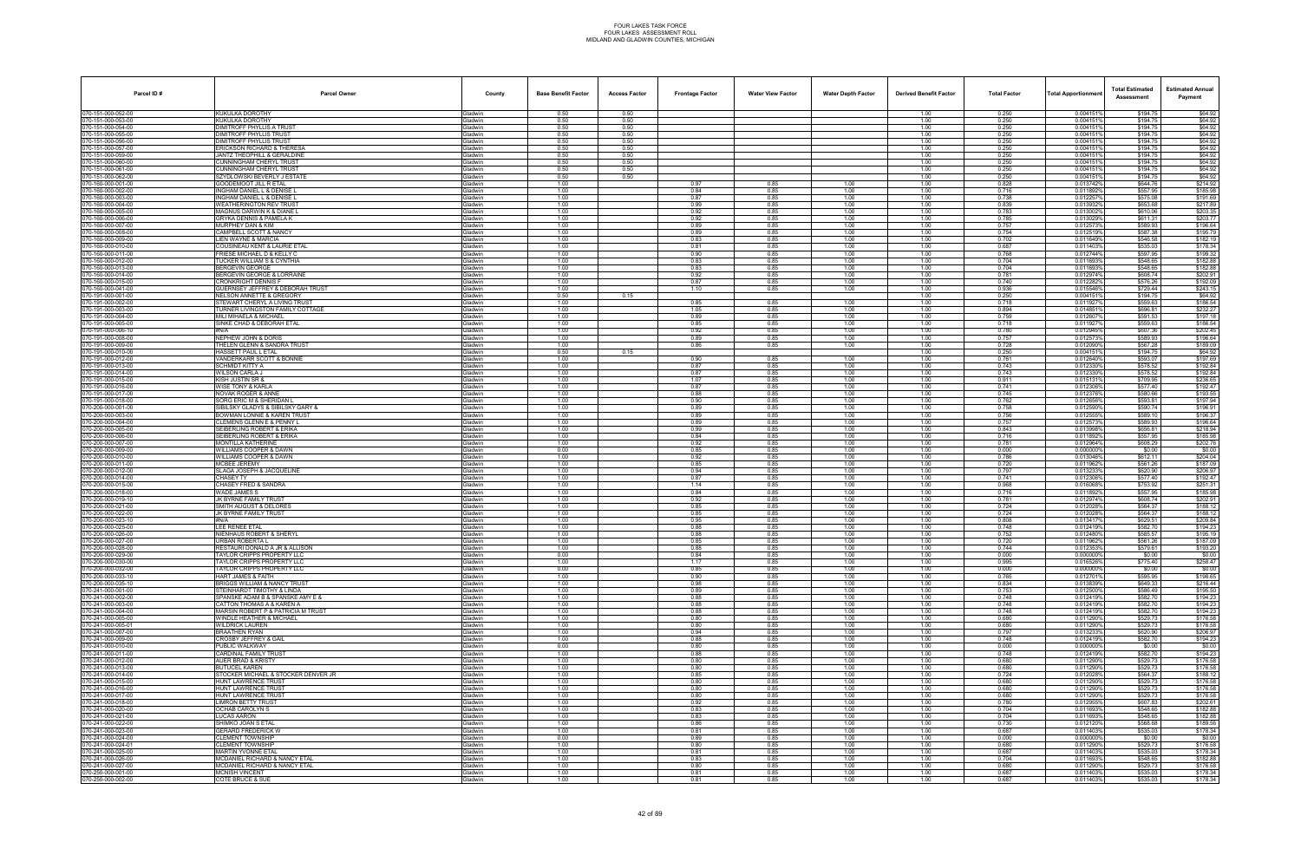| Parcel ID#                               | <b>Parcel Owner</b>                                                 | County                           | <b>Base Benefit Factor</b> | <b>Access Factor</b> | <b>Frontage Factor</b> | <b>Water View Factor</b> | <b>Water Depth Factor</b> | <b>Derived Benefit Factor</b> | <b>Total Factor</b> | <b>Total Apportionmen</b> | <b>Total Estimated</b><br>Assessment | <b>Estimated Annual</b><br>Payment |
|------------------------------------------|---------------------------------------------------------------------|----------------------------------|----------------------------|----------------------|------------------------|--------------------------|---------------------------|-------------------------------|---------------------|---------------------------|--------------------------------------|------------------------------------|
| 070-151-000-052-00                       | KUKULKA DOROTHY                                                     | Gladwin                          | 0.50                       | 0.50                 |                        |                          |                           | 1.00                          | 0.250               | 0.004151%                 | \$194.75                             | \$64.92                            |
| 070-151-000-053-00                       | <b>UKULKA DOROTHY</b>                                               | <b>Gladwin</b>                   | 0.50                       | 0.50                 |                        |                          |                           | 1.00                          | 0.250               | 0.004151                  | \$194.75                             | \$64.92                            |
| 70-151-000-054-00                        | DIMITROFF PHYLLIS A TRUST                                           | Gladwin                          | 0.50                       | 0.50                 |                        |                          |                           | 1.00                          | 0.250               | 0.004151                  | \$194.75                             | \$64.92                            |
| 070-151-000-055-00<br>70-151-000-056-00  | <b>DIMITROFF PHYLLIS TRUST</b><br><b>DIMITROFF PHYLLIS TRUST</b>    | <b>Gladwin</b><br><b>Gladwin</b> | 0.50<br>0.50               | 0.50<br>0.50         |                        |                          |                           | 1.00<br>1.00                  | 0.250<br>0.250      | 0.0041519<br>0.0041519    | \$194.75<br>\$194.75                 | \$64.92<br>\$64.92                 |
| 070-151-000-057-00                       | ERICKSON RICHARD & THERESA                                          | Gladwin                          | 0.50                       | 0.50                 |                        |                          |                           | 1.00                          | 0.250               | 0.0041519                 | \$194.75                             | \$64.92                            |
| 070-151-000-059-00                       | JANTZ THEOPHILL & GERALDINE                                         | <b>Gladwin</b>                   | 0.50                       | 0.50                 |                        |                          |                           | 1.00                          | 0.250               | 0.004151                  | \$194.75                             | \$64.92                            |
| 70-151-000-060-00                        | CUNNINGHAM CHERYL TRUST                                             | Gladwin                          | 0.50                       | 0.50                 |                        |                          |                           | 1.00                          | 0.250               | 0.004151                  | \$194.75                             | \$64.92                            |
| 70-151-000-061-00                        | UNNINGHAM CHERYL TRUST                                              | <b>Gladwin</b>                   | 0.50                       | 0.50                 |                        |                          |                           | 1.00                          | 0.250               | 0.0041519                 | \$194.75                             | \$64.92                            |
| 70-151-000-062-00<br>070-160-000-001-00  | SZYDLOWSKI BEVERLY J ESTAT<br><b>GOODEMOOT JILL R ETAL</b>          | <b>Gladwin</b><br><b>Gladwin</b> | 0.50<br>1.00               | 0.50                 | 0.97                   | 0.85                     | 1.00                      | 1.00<br>1.00                  | 0.250<br>0.828      | 0.0041519<br>0.013742%    | \$194.75<br>\$644.76                 | \$64.92<br>\$214.92                |
| 70-160-000-002-00                        | INGHAM DANIEL L & DENISE I                                          | <b>Gladwin</b>                   | 1.00                       |                      | 0.84                   | 0.85                     | 1.00                      | 1.00                          | 0.716               | 0.011892%                 | \$557.95                             | \$185.98                           |
| 70-160-000-003-00                        | INGHAM DANIEL L & DENISE L                                          | Gladwin                          | 1.00                       |                      | 0.87                   | 0.85                     | 1.00                      | 1.00                          | 0.738               | 0.012257                  | \$575.08                             | \$191.69                           |
| 070-160-000-004-00                       | <b>WEATHERINGTON REV TRUST</b>                                      | <b>Gladwin</b>                   | 1.00                       |                      | 0.99                   | 0.85                     | 1.00                      | 1.00                          | 0.839               | 0.013932%                 | \$653.68                             | \$217.89                           |
| 70-160-000-005-00                        | <b>MAGNUS DARWIN K &amp; DIANE I</b>                                | <b>Gladwin</b>                   | 1.00                       |                      | 0.92                   | 0.85                     | 1.00                      | 1.00                          | 0.783               | 0.013002%                 | \$610.06                             | \$203.35                           |
| 070-160-000-006-00                       | GRYKA DENNIS & PAMELA K                                             | <b>Gladwin</b>                   | 1.00                       |                      | 0.92                   | 0.85                     | 1.00                      | 1.00                          | 0.785               | 0.013029%                 | \$611.31                             | \$203.77                           |
| 070-160-000-007-00<br>70-160-000-008-00  | MURPHEY DAN & KIM<br>CAMPBELL SCOTT & NANCY                         | Gladwin<br><b>Gladwin</b>        | 1.00<br>1.00               |                      | 0.89<br>0.89           | 0.85<br>0.85             | 1.00<br>1.00              | 1.00<br>1.00                  | 0.757<br>0.754      | 0.0125739<br>0.0125199    | \$589.93<br>\$587.38                 | \$196.64<br>\$195.79               |
| 70-160-000-009-00                        | IEN WAYNE & MARCIA                                                  | <b>Gladwin</b>                   | 1.00                       |                      | 0.83                   | 0.85                     | 1.00                      | 1.00                          | 0.702               | 0.011649%                 | \$546.58                             | \$182.19                           |
| 70-160-000-010-00                        | COUSINEAU KENT & LAURIE ETAL                                        | <b>Gladwin</b>                   | 1.00                       |                      | 0.81                   | 0.85                     | 1.00                      | 1.00                          | 0.687               | 0.0114039                 | \$535.03                             | \$178.34                           |
| 70-160-000-011-00                        | FRIESE MICHAEL D & KELLY C                                          | <b>Gladwin</b>                   | 1.00                       |                      | 0.90                   | 0.85                     | 1.00                      | 1.00                          | 0.768               | 0.012744%                 | \$597.95                             | \$199.32                           |
| 70-160-000-012-00                        | TUCKER WILLIAM S & CYNTHIA                                          | <b>Gladwin</b>                   | 1.00                       |                      | 0.83                   | 0.85                     | 1.00                      | 1.00                          | 0.704               | 0.011693%                 | \$548.65                             | \$182.88                           |
| 70-160-000-013-00                        | <b>BERGEVIN GEORGE</b>                                              | <b>Gladwin</b>                   | 1.00                       |                      | 0.83                   | 0.85                     | 1.00                      | 1.00                          | 0.704               | 0.0116939                 | \$548.65                             | \$182.88                           |
| 070-160-000-014-00<br>70-160-000-015-00  | <b>BERGEVIN GEORGE &amp; LORRAINE</b><br><b>CRONKRIGHT DENNIS F</b> | <b>Gladwin</b><br>Gladwin        | 1.00<br>1.00               |                      | 0.92<br>0.87           | 0.85<br>0.85             | 1.00<br>1.00              | 1.00<br>1.00                  | 0.781<br>0.740      | 0.012974%<br>0.012282%    | \$608.74<br>\$576.26                 | \$202.91<br>\$192.09               |
| 070-160-000-041-00                       | GUERNSEY JEFFREY & DEBORAH TRUST                                    | <b>Gladwin</b>                   | 1.00                       |                      | 1.10                   | 0.85                     | 1.00                      | 1.00                          | 0.936               | 0.015546%                 | \$729.44                             | \$243.15                           |
| 070-191-000-001-00                       | <b>NELSON ANNETTE &amp; GREGORY</b>                                 | Gladwin                          | 0.50                       | 0.15                 |                        |                          |                           | 1.00                          | 0.250               | 0.0041519                 | \$194.75                             | \$64.92                            |
| 70-191-000-002-00                        | STEWART CHERYL A LIVING TRUST                                       | <b>Gladwin</b>                   | 1.00                       |                      | 0.85                   | 0.85                     | 1.00                      | 1.00                          | 0.718               | 0.011927                  | \$559.63                             | \$186.54                           |
| 070-191-000-003-00                       | <b>TURNER LIVINGSTON FAMILY COTTAGE</b>                             | <b>Gladwin</b>                   | 1.00                       |                      | 1.05                   | 0.85                     | 1.00                      | 1.00                          | 0.894               | 0.014851%                 | \$696.81                             | \$232.27                           |
| 70-191-000-004-00                        | <b>MILI MIHAELA &amp; MICHAEL</b>                                   | <b>Gladwin</b>                   | 1.00                       |                      | 0.89                   | 0.85                     | 1.00                      | 1.00                          | 0.759               | 0.0126079                 | \$591.53                             | \$197.18                           |
| 070-191-000-005-00<br>070-191-000-006-10 | SINKE CHAD & DEBORAH ETAL<br>#N/A                                   | <b>Gladwin</b><br>Gladwin        | 1.00<br>1.00               |                      | 0.85<br>0.92           | 0.85<br>0.85             | 1.00<br>1.00              | 1.00<br>1.00                  | 0.718<br>0.780      | 0.011927                  | \$559.63<br>\$607.36                 | \$186.54                           |
| 70-191-000-008-00                        | NEPHEW JOHN & DORIS                                                 | <b>Gladwin</b>                   | 1.00                       |                      | 0.89                   | 0.85                     | 1.00                      | 1.00                          | 0.757               | 0.012945%<br>0.012573     | \$589.93                             | \$202.45<br>\$196.64               |
| 070-191-000-009-00                       | THELEN GLENN & SANDRA TRUST                                         | Gladwin                          | 1.00                       |                      | 0.86                   | 0.85                     | 1.00                      | 1.00                          | 0.728               | 0.012090%                 | \$567.28                             | \$189.09                           |
| 070-191-000-010-00                       | HASSETT PAUL L ETAL                                                 | Gladwin                          | 0.50                       | 0.15                 |                        |                          |                           | 1.00                          | 0.250               | 0.004151%                 | \$194.75                             | \$64.92                            |
| 070-191-000-012-00                       | VANDERKARR SCOTT & BONNIE                                           | <b>Gladwin</b>                   | 1.00                       |                      | 0.90                   | 0.85                     | 1.00                      | 1.00                          | 0.761               | 0.0126409                 | \$593.07                             | \$197.69                           |
| 070-191-000-013-00                       | SCHMIDT KITTY A                                                     | Gladwin                          | 1.00                       |                      | 0.87                   | 0.85                     | 1.00                      | 1.00                          | 0.743<br>0.743      | 0.012330%                 | \$578.52                             | \$192.84                           |
| 70-191-000-014-00<br>70-191-000-015-00   | WILSON CARLA J<br>KISH JUSTIN SR &                                  | <b>Gladwin</b><br><b>Gladwin</b> | 1.00<br>1.00               |                      | 0.87<br>1.07           | 0.85<br>0.85             | 1.00<br>1.00              | 1.00<br>1.00                  | 0.911               | 0.012330<br>0.0151319     | \$578.52<br>\$709.95                 | \$192.84<br>\$236.65               |
| 70-191-000-016-00                        | <b><i>NISE TONY &amp; KARLA</i></b>                                 | <b>Gladwin</b>                   | 1.00                       |                      | 0.87                   | 0.85                     | 1.00                      | 1.00                          | 0.741               | 0.012306%                 | \$577.40                             | \$192.47                           |
| 70-191-000-017-00                        | NOVAK ROGER & ANNE                                                  | <b>Gladwin</b>                   | 1.00                       |                      | 0.88                   | 0.85                     | 1.00                      | 1.00                          | 0.745               | 0.012376                  | \$580.66                             | \$193.55                           |
| 070-191-000-018-00                       | SORG ERIC M & SHERIDAN L                                            | Gladwin                          | 1.00                       |                      | 0.90                   | 0.85                     | 1.00                      | 1.00                          | 0.762               | 0.012656%                 | \$593.81                             | \$197.94                           |
| 70-200-000-001-00                        | IBILSKY GLADYS & SIBILSKY GARY &                                    | <b>Gladwin</b>                   | 1.00                       |                      | 0.89                   | 0.85                     | 1.00                      | 1.00                          | 0.758               | 0.012590%                 | \$590.74                             | \$196.91                           |
| 70-200-000-003-00<br>70-200-000-004-00   | <b>BOWMAN LONNIE &amp; KAREN TRUST</b><br>CLEMENS GLENN E & PENNY L | Gladwin                          | 1.00<br>1.00               |                      | 0.89<br>0.89           | 0.85<br>0.85             | 1.00<br>1.00              | 1.00<br>1.00                  | 0.756<br>0.757      | 0.012555%                 | \$589.10<br>\$589.93                 | \$196.37<br>\$196.64               |
| 70-200-000-005-00                        | SEIBERLING ROBERT & ERIKA                                           | Gladwin<br><b>Gladwin</b>        | 1.00                       |                      | 0.99                   | 0.85                     | 1.00                      | 1.00                          | 0.843               | 0.012573%<br>0.0139989    | \$656.81                             | \$218.94                           |
| 070-200-000-006-00                       | SEIBERLING ROBERT & ERIKA                                           | Gladwin                          | 1.00                       |                      | 0.84                   | 0.85                     | 1.00                      | 1.00                          | 0.716               | 0.011892%                 | \$557.95                             | \$185.98                           |
| 70-200-000-007-00                        | <b>MONTILLA KATHERINE</b>                                           | <b>Gladwin</b>                   | 1.00                       |                      | 0.92                   | 0.85                     | 1.00                      | 1.00                          | 0.781               | 0.012964%                 | \$608.29                             | \$202.76                           |
| 70-200-000-009-00                        | <b><i>NILLIAMS COOPER &amp; DAWN</i></b>                            | <b>Gladwin</b>                   | 0.00                       |                      | 0.85                   | 0.85                     | 1.00                      | 1.00                          | 0.000               | 0.000000%                 | \$0.00                               | \$0.00                             |
| 70-200-000-010-00                        | WILLIAMS COOPER & DAWN                                              | <b>Gladwin</b>                   | 1.00                       |                      | 0.92                   | 0.85                     | 1.00                      | 1.00                          | 0.786               | 0.013046%                 | \$612.11                             | \$204.04                           |
| 70-200-000-011-00<br>070-200-000-012-00  | MCBEE JEREMY<br>SLAGA JOSEPH & JACQUELINE                           | <b>Gladwin</b><br>Gladwin        | 1.00<br>1.00               |                      | 0.85<br>0.94           | 0.85<br>0.85             | 1.00<br>1.00              | 1.00<br>1.00                  | 0.720<br>0.797      | 0.0119629<br>0.013233%    | \$561.26<br>\$620.90                 | \$187.09<br>\$206.97               |
| 70-200-000-014-00                        | <b>CHASEY TY</b>                                                    | Gladwin                          | 1.00                       |                      | 0.87                   | 0.85                     | 1.00                      | 1.00                          | 0.741               | 0.012306%                 | \$577.40                             | \$192.47                           |
| 70-200-000-015-00                        | CHASEY FRED & SANDRA                                                | Gladwin                          | 1.00                       |                      | 1.14                   | 0.85                     | 1.00                      | 1.00                          | 0.968               | 0.016068%                 | \$753.92                             | \$251.31                           |
| 70-200-000-018-00                        | <b><i>NADE JAMES S</i></b>                                          | Gladwin                          | 1.00                       |                      | 0.84                   | 0.85                     | 1.00                      | 1.00                          | 0.716               | 0.011892%                 | \$557.95                             | \$185.98                           |
| 70-200-000-019-10                        | JK BYRNE FAMILY TRUST                                               | <b>Gladwin</b>                   | 1.00                       |                      | 0.92                   | 0.85                     | 1.00                      | 1.00                          | 0.781               | 0.012974%                 | \$608.74                             | \$202.91                           |
| 070-200-000-021-00<br>70-200-000-022-00  | SMITH AUGUST & DELORES<br>JK BYRNE FAMILY TRUST                     | Gladwin<br><b>Gladwin</b>        | 1.00<br>1.00               |                      | 0.85<br>0.85           | 0.85<br>0.85             | 1.00<br>1.00              | 1.00<br>1.00                  | 0.724<br>0.724      | 0.012028%<br>0.0120289    | \$564.37<br>\$564.37                 | \$188.12<br>\$188.12               |
| 70-200-000-023-10                        | #N/A                                                                | <b>Gladwin</b>                   | 1.00                       |                      | 0.95                   | 0.85                     | 1.00                      | 1.00                          | 0.808               | 0.013417%                 | \$629.51                             | \$209.84                           |
| 70-200-000-025-00                        | LEE RENEE ETAL                                                      | Gladwin                          | 1.00                       |                      | 0.88                   | 0.85                     | 1.00                      | 1.00                          | 0.748               | 0.0124199                 | \$582.70                             | \$194.23                           |
| 70-200-000-026-00                        | NIENHAUS ROBERT & SHERYL                                            | <b>Gladwin</b>                   | 1.00                       |                      | 0.88                   | 0.85                     | 1.00                      | 1.00                          | 0.752               | 0.012480                  | \$585.57                             | \$195.19                           |
| 070-200-000-027-00                       | <b>URBAN ROBERTA L</b>                                              | Gladwin                          | 1.00                       |                      | 0.85                   | 0.85                     | 1.00                      | 1.00                          | 0.720               | 0.011962%                 | \$561.26                             | \$187.09                           |
| 70-200-000-028-00                        | RESTAURI DONALD A JR & ALLISON<br>TAYLOR CRIPPS PROPERTY LLC        | <b>Gladwin</b><br>Gladwin        | 1.00                       |                      | 0.88<br>0.84           | 0.85                     | 1.00                      | 1.00                          | 0.744<br>0.000      | 0.012353%<br>0.000000%    | \$579.61<br>\$0.00                   | \$193.20                           |
| 070-200-000-029-00<br>070-200-000-030-00 | TAYLOR CRIPPS PROPERTY LLC                                          | Gladwin                          | 0.00<br>1.00               |                      | 1.17                   | 0.85<br>0.85             | 1.00<br>1.00              | 1.00<br>1.00                  | 0.995               | 0.016526%                 | \$775.40                             | \$0.00<br>\$258.47                 |
| 70-200-000-032-00                        | TAYLOR CRIPPS PROPERTY LLC                                          | Gladwin                          | 0.00                       |                      | 0.85                   | 0.85                     | 1.00                      | 1.00                          | 0.000               | 0.0000009                 | \$0.00                               | \$0.00                             |
| 070-200-000-033-10                       | <b>HART JAMES &amp; FAITH</b>                                       | Gladwin                          | 1.00                       |                      | 0.90                   | 0.85                     | 1.00                      | 1.00                          | 0.765               | 0.012701%                 | \$595.95                             | \$198.65                           |
| 70-200-000-035-10                        | <b>BRIGGS WILLIAM &amp; NANCY TRUST</b>                             | Gladwin                          | 1.00                       |                      | 0.98                   | 0.85                     | 1.00                      | 1.00                          | 0.834               | 0.013839%                 | \$649.33                             | \$216.44                           |
| 70-241-000-001-00                        | STEINHARDT TIMOTHY & LINDA                                          | Gladwin                          | 1.00                       |                      | 0.89<br>0.88           | 0.85                     | 1.00                      | 1.00                          | 0.753<br>0.748      | 0.012500%                 | \$586.49<br>\$582.70                 | \$195.50                           |
| 70-241-000-002-00<br>70-241-000-003-00   | SPANSKE ADAM B & SPANSKE AMY E &<br>CATTON THOMAS A & KAREN A       | Gladwin<br><b>Gladwin</b>        | 1.00<br>1.00               |                      | 0.88                   | 0.85<br>0.85             | 1.00<br>1.00              | 1.00<br>1.00                  | 0.748               | 0.012419%<br>0.012419%    | \$582.70                             | \$194.23<br>\$194.23               |
| 070-241-000-004-00                       | MARSIN ROBERT P & PATRICIA M TRUST                                  | Gladwin                          | 1.00                       |                      | 0.88                   | 0.85                     | 1.00                      | 1.00                          | 0.748               | 0.012419%                 | \$582.70                             | \$194.23                           |
| 70-241-000-005-00                        | WINDLE HEATHER & MICHAEL                                            | Gladwin                          | 1.00                       |                      | 0.80                   | 0.85                     | 1.00                      | 1.00                          | 0.680               | 0.011290%                 | \$529.73                             | \$176.58                           |
| 70-241-000-005-01                        | WILDRICK LAUREN                                                     | Gladwin                          | 1.00                       |                      | 0.80                   | 0.85                     | 1.00                      | 1.00                          | 0.680               | 0.011290%                 | \$529.73                             | \$176.58                           |
| 070-241-000-007-00                       | <b>BRAATHEN RYAN</b>                                                | Gladwin                          | 1.00                       |                      | 0.94                   | 0.85                     | 1.00                      | 1.00                          | 0.797               | 0.013233%                 | \$620.90                             | \$206.97                           |
| 70-241-000-009-00                        | <b>CROSBY JEFFREY &amp; GAIL</b><br>PUBLIC WALKWAY                  | Gladwin<br>Gladwin               | 1.00                       |                      | 0.88<br>0.80           | 0.85<br>0.85             | 1.00<br>1.00              | 1.00                          | 0.748<br>0.000      | 0.012419%<br>0.000000%    | \$582.70<br>\$0.00                   | \$194.23                           |
| 070-241-000-010-00<br>70-241-000-011-00  | CARDINAL FAMILY TRUST                                               | Gladwin                          | 0.00<br>1.00               |                      | 0.88                   | 0.85                     | 1.00                      | 1.00<br>1.00                  | 0.748               | 0.012419%                 | \$582.70                             | \$0.00<br>\$194.23                 |
| 70-241-000-012-00                        | <b>AUER BRAD &amp; KRISTY</b>                                       | <b>Gladwin</b>                   | 1.00                       |                      | 0.80                   | 0.85                     | 1.00                      | 1.00                          | 0.680               | 0.011290%                 | \$529.73                             | \$176.58                           |
| 70-241-000-013-00                        | <b>BUTUCEL KAREN</b>                                                | Gladwin                          | 1.00                       |                      | 0.80                   | 0.85                     | 1.00                      | 1.00                          | 0.680               | 0.011290%                 | \$529.73                             | \$176.58                           |
| 70-241-000-014-00                        | STOCKER MICHAEL & STOCKER DENVER JR                                 | Gladwin                          | 1.00                       |                      | 0.85                   | 0.85                     | 1.00                      | 1.00                          | 0.724               | 0.012028%                 | \$564.37                             | \$188.12                           |
| 070-241-000-015-00                       | <b>HUNT LAWRENCE TRUST</b>                                          | Gladwin                          | 1.00                       |                      | 0.80                   | 0.85                     | 1.00                      | 1.00                          | 0.680               | 0.011290%                 | \$529.73                             | \$176.58                           |
| 70-241-000-016-00<br>70-241-000-017-00   | HUNT LAWRENCE TRUST<br><b>HUNT LAWRENCE TRUST</b>                   | Gladwin<br>Gladwin               | 1.00<br>1.00               |                      | 0.80<br>0.80           | 0.85<br>0.85             | 1.00<br>1.00              | 1.00<br>1.00                  | 0.680<br>0.680      | 0.011290%                 | \$529.73<br>\$529.73                 | \$176.58<br>\$176.58               |
| 070-241-000-018-00                       | LIMRON BETTY TRUST                                                  | Gladwin                          | 1.00                       |                      | 0.92                   | 0.85                     | 1.00                      | 1.00                          | 0.780               | 0.011290%<br>0.012955%    | \$607.83                             | \$202.61                           |
| 070-241-000-020-00                       | <b>OCHAB CAROLYN S</b>                                              | Gladwin                          | 1.00                       |                      | 0.83                   | 0.85                     | 1.00                      | 1.00                          | 0.704               | 0.011693%                 | \$548.65                             | \$182.88                           |
| 070-241-000-021-00                       | LUCAS AARON                                                         | Gladwin                          | 1.00                       |                      | 0.83                   | 0.85                     | 1.00                      | 1.00                          | 0.704               | 0.011693%                 | \$548.65                             | \$182.88                           |
| 70-241-000-022-00                        | SHIMKO JOAN S ETAL                                                  | Gladwin                          | 1.00                       |                      | 0.86                   | 0.85                     | 1.00                      | 1.00                          | 0.730               | 0.012120%                 | \$568.68                             | \$189.56                           |
| 70-241-000-023-00                        | <b>ERARD FREDERICK W</b>                                            | <b>Gladwin</b>                   | 1.00                       |                      | 0.81                   | 0.85                     | 1.00                      | 1.00                          | 0.687               | 0.011403%                 | \$535.03                             | \$178.34                           |
| 70-241-000-024-00<br>70-241-000-024-01   | <b>CLEMENT TOWNSHIP</b><br><b>CLEMENT TOWNSHIP</b>                  | Gladwin<br>Gladwin               | 0.00<br>1.00               |                      | 0.89<br>0.80           | 0.85<br>0.85             | 1.00<br>1.00              | 1.00<br>1.00                  | 0.000<br>0.680      | 0.000000%<br>0.011290%    | \$0.00<br>\$529.73                   | \$0.00<br>\$176.58                 |
| 070-241-000-025-00                       | MARTIN YVONNE ETAL                                                  | Gladwin                          | 1.00                       |                      | 0.81                   | 0.85                     | 1.00                      | 1.00                          | 0.687               | 0.011403%                 | \$535.03                             | \$178.34                           |
| 70-241-000-026-00                        | MCDANIEL RICHARD & NANCY ETAL                                       | Gladwin                          | 1.00                       |                      | 0.83                   | 0.85                     | 1.00                      | 1.00                          | 0.704               | 0.011693%                 | \$548.65                             | \$182.88                           |
| 70-241-000-027-00                        | <b>MCDANIEL RICHARD &amp; NANCY ETAL</b>                            | <b>Gladwin</b>                   | 1.00                       |                      | 0.80                   | 0.85                     | 1.00                      | 1.00                          | 0.680               | 0.011290%                 | \$529.73                             | \$176.58                           |
| 70-250-000-001-00                        | <b>MCNISH VINCENT</b>                                               | Gladwin                          | 1.00                       |                      | 0.81                   | 0.85                     | 1.00                      | 1.00                          | 0.687               | 0.011403%                 | \$535.03                             | \$178.34                           |
| 070-250-000-002-00                       | COTE BRUCE & SUE                                                    | Gladwin                          | 1.00                       |                      | 0.81                   | 0.85                     | 1.00                      | 1.00                          | 0.687               | 0.011403%                 | \$535.03                             | \$178.34                           |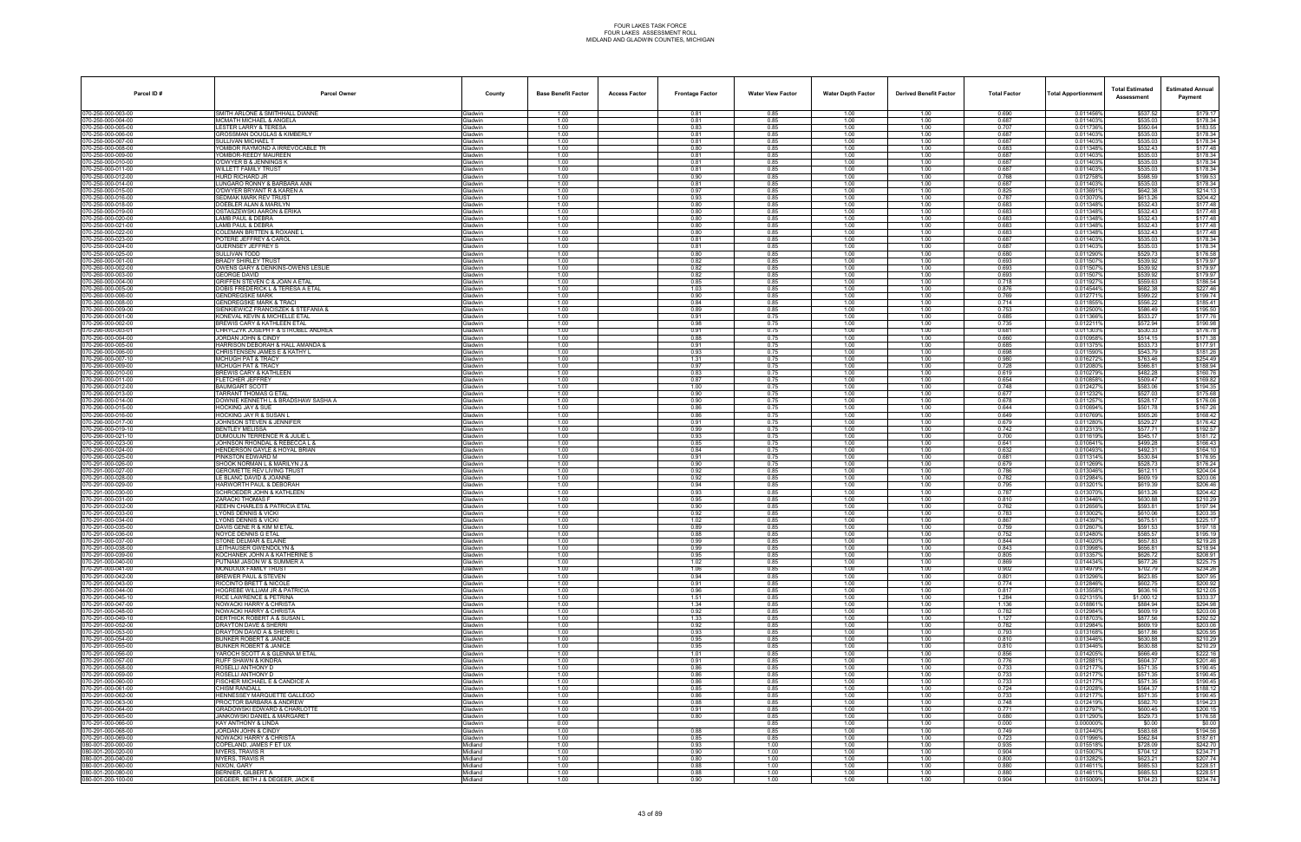| Parcel ID#                               | <b>Parcel Owner</b>                                                           | County                            | <b>Base Benefit Factor</b> | <b>Access Factor</b> | <b>Frontage Factor</b> | <b>Water View Factor</b> | <b>Water Depth Factor</b> | <b>Derived Benefit Factor</b> | <b>Total Factor</b> | Total Apportionmer     | <b>Total Estimated</b><br>Assessment | <b>Estimated Annual</b><br>Payment |
|------------------------------------------|-------------------------------------------------------------------------------|-----------------------------------|----------------------------|----------------------|------------------------|--------------------------|---------------------------|-------------------------------|---------------------|------------------------|--------------------------------------|------------------------------------|
| 070-250-000-003-00                       | SMITH ARLONE & SMITHHALL DIANNE                                               | Gladwin                           | 1.00                       |                      | 0.81                   | 0.85                     | 1.00                      | 1.00                          | 0.690               | 0.011456%              | \$537.52                             | \$179.17                           |
| 070-250-000-004-00                       | MCMATH MICHAEL & ANGELA                                                       | Gladwin                           | 1.00                       |                      | 0.81                   | 0.85                     | 1.00                      | 1.00                          | 0.687               | 0.011403%              | \$535.03                             | \$178.34                           |
| 70-250-000-005-00<br>070-250-000-006-00  | ESTER LARRY & TERESA<br>GROSSMAN DOUGLAS & KIMBERLY                           | <b>Gladwin</b><br>Gladwin         | 1.00<br>1.00               |                      | 0.83<br>0.81           | 0.85<br>0.85             | 1.00<br>1.00              | 1.00<br>1.00                  | 0.707<br>0.687      | 0.011736%<br>0.0114039 | \$550.64<br>\$535.03                 | \$183.55<br>\$178.34               |
| 70-250-000-007-00                        | SULLIVAN MICHAEL T                                                            | Gladwin                           | 1.00                       |                      | 0.81                   | 0.85                     | 1.00                      | 1.00                          | 0.687               | 0.0114039              | \$535.03                             | \$178.34                           |
| 70-250-000-008-00                        | YOMBOR RAYMOND A IRREVOCABLE TR                                               | Gladwin                           | 1.00                       |                      | 0.80                   | 0.85                     | 1.00                      | 1.00                          | 0.683               | 0.0113489              | \$532.43                             | \$177.48                           |
| 70-250-000-009-00<br>70-250-000-010-00   | YOMBOR-REEDY MAUREEN<br>O'DWYER B & JENNINGS K                                | Gladwin<br><b>Jadwin</b>          | 1.00<br>1.00               |                      | 0.81<br>0.81           | 0.85<br>0.85             | 1.00<br>1.00              | 1.00<br>1.00                  | 0.687<br>0.687      | 0.011403%<br>0.0114039 | \$535.03<br>\$535.03                 | \$178.34<br>\$178.34               |
| 70-250-000-011-00                        | WILLETT FAMILY TRUST                                                          | Gladwin                           | 1.00                       |                      | 0.81                   | 0.85                     | 1.00                      | 1.00                          | 0.687               | 0.011403%              | \$535.03                             | \$178.34                           |
| 70-250-000-012-00                        | HURD RICHARD JR                                                               | Gladwin                           | 1.00                       |                      | 0.90                   | 0.85                     | 1.00                      | 1.00                          | 0.768               | 0.012758%              | \$598.59                             | \$199.53                           |
| 70-250-000-014-00<br>70-250-000-015-00   | UNGARO RONNY & BARBARA ANN<br>O'DWYER BRYANT R & KAREN A                      | <b>Gladwin</b><br>Gladwin         | 1.00<br>1.00               |                      | 0.81<br>0.97           | 0.85<br>0.85             | 1.00<br>1.00              | 1.00<br>1.00                  | 0.687<br>0.825      | 0.0114039<br>0.013691% | \$535.03<br>\$642.38                 | \$178.34<br>\$214.13               |
| 70-250-000-016-00                        | SEDMAK MARK REV TRUST                                                         | <b>Gladwin</b>                    | 1.00                       |                      | 0.93                   | 0.85                     | 1.00                      | 1.00                          | 0.787               | 0.0130709              | \$613.26                             | \$204.42                           |
| 70-250-000-018-00                        | DOEBLER ALAN & MARILYN                                                        | <b>Gladwin</b>                    | 1.00                       |                      | 0.80                   | 0.85                     | 1.00                      | 1.00                          | 0.683               | 0.0113489              | \$532.43                             | \$177.48                           |
| 70-250-000-019-00<br>70-250-000-020-00   | OSTASZEWSKI AARON & ERIKA<br>LAMB PAUL & DEBRA                                | Gladwin<br>Gladwin                | 1.00<br>1.00               |                      | 0.80<br>0.80           | 0.85<br>0.85             | 1.00<br>1.00              | 1.00<br>1.00                  | 0.683<br>0.683      | 0.011348%<br>0.011348% | \$532.43<br>\$532.43                 | \$177.48<br>\$177.48               |
| 70-250-000-021-00                        | LAMB PAUL & DEBRA                                                             | Gladwin                           | 1.00                       |                      | 0.80                   | 0.85                     | 1.00                      | 1.00                          | 0.683               | 0.011348%              | \$532.43                             | \$177.48                           |
| 70-250-000-022-00                        | COLEMAN BRITTEN & ROXANE L                                                    | <b>Gladwin</b>                    | 1.00                       |                      | 0.80                   | 0.85                     | 1.00                      | 1.00                          | 0.683               | 0.011348%              | \$532.43                             | \$177.48                           |
| 70-250-000-023-00                        | POTERE JEFFREY & CAROL                                                        | Gladwin                           | 1.00                       |                      | 0.81                   | 0.85                     | 1.00                      | 1.00                          | 0.687               | 0.011403%              | \$535.03                             | \$178.34                           |
| 70-250-000-024-00<br>70-250-000-025-00   | GUERNSEY JEFFREY S<br><b>SULLIVAN TODD</b>                                    | Gladwin<br>Gladwin                | 1.00<br>1.00               |                      | 0.81<br>0.80           | 0.85<br>0.85             | 1.00<br>1.00              | 1.00<br>1.00                  | 0.687<br>0.680      | 0.0114039<br>0.011290% | \$535.03<br>\$529.73                 | \$178.34<br>\$176.58               |
| 70-260-000-001-00                        | <b>BRADY SHIRLEY TRUST</b>                                                    | Gladwin                           | 1.00                       |                      | 0.82                   | 0.85                     | 1.00                      | 1.00                          | 0.693               | 0.011507%              | \$539.92                             | \$179.97                           |
| 70-260-000-002-00                        | )WENS GARY & DENKINS-OWENS LESLIE                                             | <b>Gladwin</b>                    | 1.00                       |                      | 0.82                   | 0.85                     | 1.00                      | 1.00                          | 0.693               | 0.011507               | \$539.92                             | \$179.97                           |
| 70-260-000-003-00<br>70-260-000-004-00   | <b>GEORGE DAVID</b><br>GRIFFEN STEVEN C & JOAN A ETAL                         | <b>Gladwin</b><br>Gladwin         | 1.00<br>1.00               |                      | 0.82<br>0.85           | 0.85<br>0.85             | 1.00<br>1.00              | 1.00<br>1.00                  | 0.693<br>0.718      | 0.0115079<br>0.011927  | \$539.92<br>\$559.63                 | \$179.97<br>\$186.54               |
| 070-260-000-005-00                       | DOBIS FREDERICK L & TERESA A ETAL                                             | Gladwin                           | 1.00                       |                      | 1.03                   | 0.85                     | 1.00                      | 1.00                          | 0.876               | 0.014544%              | \$682.38                             | \$227.46                           |
| 70-260-000-006-00                        | <b>GENDREGSKE MARK</b>                                                        | <b>Gladwin</b>                    | 1.00                       |                      | 0.90                   | 0.85                     | 1.00                      | 1.00                          | 0.769               | 0.0127719              | \$599.22                             | \$199.74                           |
| 70-260-000-008-00                        | <b>SENDREGSKE MARK &amp; TRACI</b>                                            | <b>Gladwin</b>                    | 1.00                       |                      | 0.84                   | 0.85                     | 1.00                      | 1.00                          | 0.714               | 0.0118559              | \$556.22                             | \$185.41                           |
| 70-260-000-009-00<br>70-290-000-001-00   | SIENKIEWICZ FRANCISZEK & STEFANIA &<br>KONEVAL KEVIN & MICHELLE ETAL          | <b>Gladwin</b><br>Gladwin         | 1.00<br>1.00               |                      | 0.89<br>0.91           | 0.85<br>0.75             | 1.00<br>1.00              | 1.00<br>1.00                  | 0.753<br>0.685      | 0.012500%<br>0.011366% | \$586.49<br>\$533.27                 | \$195.50<br>\$177.76               |
| 070-290-000-002-00                       | <b>BREWIS CARY &amp; KATHLEEN ETAL</b>                                        | Gladwin                           | 1.00                       |                      | 0.98                   | 0.75                     | 1.00                      | 1.00                          | 0.735               | 0.012211%              | \$572.94                             | \$190.98                           |
| 70-290-000-003-01                        | <b>CHRYCZYK JOSEPH F &amp; STROBEL ANDREA</b>                                 | <b>Gladwin</b>                    | 1.00                       |                      | 0.91                   | 0.75                     | 1.00                      | 1.00                          | 0.681               | 0.0113039              | \$530.33                             | \$176.78                           |
| 70-290-000-004-00<br>70-290-000-005-00   | JORDAN JOHN & CINDY<br>HARRISON DEBORAH & HALL AMANDA &                       | <b>Gladwin</b><br><b>Gladwin</b>  | 1.00<br>1.00               |                      | 0.88<br>0.91           | 0.75<br>0.75             | 1.00<br>1.00              | 1.00<br>1.00                  | 0.660<br>0.685      | 0.010958%<br>0.011375% | \$514.15<br>\$533.73                 | \$171.38<br>\$177.91               |
| 70-290-000-006-00                        | CHRISTENSEN JAMES E & KATHY L                                                 | Gladwin                           | 1.00                       |                      | 0.93                   | 0.75                     | 1.00                      | 1.00                          | 0.698               | 0.011590%              | \$543.79                             | \$181.26                           |
| 70-290-000-007-10                        | <b>MCHUGH PAT &amp; TRACY</b>                                                 | Gladwin                           | 1.00                       |                      | 1.31                   | 0.75                     | 1.00                      | 1.00                          | 0.980               | 0.016272%              | \$763.46                             | \$254.49                           |
| 70-290-000-009-00                        | MCHUGH PAT & TRACY<br><b>REWIS CARY &amp; KATHLEEN</b>                        | Gladwin                           | 1.00                       |                      | 0.97                   | 0.75                     | 1.00                      | 1.00                          | 0.728               | 0.0120809              | \$566.81                             | \$188.94                           |
| 70-290-000-010-00<br>70-290-000-011-00   | <b>FLETCHER JEFFREY</b>                                                       | <b>i</b> ladwin<br><b>Gladwin</b> | 1.00<br>1.00               |                      | 0.83<br>0.87           | 0.75<br>0.75             | 1.00<br>1.00              | 1.00<br>1.00                  | 0.619<br>0.654      | 0.0102799<br>0.010858% | \$482.28<br>\$509.47                 | \$160.76<br>\$169.82               |
| 70-290-000-012-00                        | <b>BAUMGART SCOTT</b>                                                         | Gladwin                           | 1.00                       |                      | 1.00                   | 0.75                     | 1.00                      | 1.00                          | 0.748               | 0.012427               | \$583.06                             | \$194.35                           |
| 070-290-000-013-00                       | <b>TARRANT THOMAS G ETAL</b>                                                  | Gladwin                           | 1.00                       |                      | 0.90                   | 0.75                     | 1.00                      | 1.00                          | 0.677               | 0.011232%              | \$527.03                             | \$175.68                           |
| 70-290-000-014-00<br>70-290-000-015-00   | DOWNIE KENNETH L & BRADSHAW SASHA A<br>IOCKING JAY & SUE                      | <b>Gladwin</b><br><b>Gladwin</b>  | 1.00<br>1.00               |                      | 0.90<br>0.86           | 0.75<br>0.75             | 1.00<br>1.00              | 1.00<br>1.00                  | 0.678<br>0.644      | 0.0112579<br>0.010694% | \$528.17<br>\$501.78                 | \$176.06<br>\$167.26               |
| 70-290-000-016-00                        | <b>TOCKING JAY R &amp; SUSAN L</b>                                            | <b>Gladwin</b>                    | 1.00                       |                      | 0.86                   | 0.75                     | 1.00                      | 1.00                          | 0.649               | 0.010769%              | \$505.26                             | \$168.42                           |
| 70-290-000-017-00                        | JOHNSON STEVEN & JENNIFER                                                     | Gladwin                           | 1.00                       |                      | 0.91                   | 0.75                     | 1.00                      | 1.00                          | 0.679               | 0.0112809              | \$529.27                             | \$176.42                           |
| 70-290-000-019-10                        | BENTLEY MELISSA                                                               | Gladwin                           | 1.00<br>1.00               |                      | 0.99<br>0.93           | 0.75<br>0.75             | 1.00<br>1.00              | 1.00<br>1.00                  | 0.742<br>0.700      | 0.012313%<br>0.0116199 | \$577.71<br>\$545.17                 | \$192.57                           |
| 70-290-000-021-10<br>70-290-000-023-00   | DUMOULIN TERRENCE R & JULIE L<br>OHNSON RHONDAL & REBECCA L &                 | <b>Gladwin</b><br>iladwin         | 1.00                       |                      | 0.85                   | 0.75                     | 1.00                      | 1.00                          | 0.641               | 0.010641               | \$499.28                             | \$181.72<br>\$166.43               |
| 70-290-000-024-00                        | <b>HENDERSON GAYLE &amp; HOYAL BRIAN</b>                                      | <b>Gladwin</b>                    | 1.00                       |                      | 0.84                   | 0.75                     | 1.00                      | 1.00                          | 0.632               | 0.010493%              | \$492.31                             | \$164.10                           |
| 70-290-000-025-00                        | PINKSTON EDWARD M                                                             | <b>Gladwin</b>                    | 1.00                       |                      | 0.91                   | 0.75                     | 1.00                      | 1.00                          | 0.681               | 0.011314%              | \$530.84                             | \$176.95                           |
| 070-291-000-026-00<br>70-291-000-027-00  | SHOOK NORMAN L & MARILYN J &<br><b>GEROMETTE REV LIVING TRUST</b>             | Gladwin<br><b>Gladwin</b>         | 1.00<br>1.00               |                      | 0.90<br>0.92           | 0.75<br>0.85             | 1.00<br>1.00              | 1.00<br>1.00                  | 0.679<br>0.786      | 0.011269%<br>0.013046% | \$528.73<br>\$612.11                 | \$176.24<br>\$204.04               |
| 70-291-000-028-00                        | LE BLANC DAVID & JOANNE                                                       | <b>Gladwin</b>                    | 1.00                       |                      | 0.92                   | 0.85                     | 1.00                      | 1.00                          | 0.782               | 0.012984%              | \$609.19                             | \$203.06                           |
| 070-291-000-029-00                       | HARWORTH PAUL & DEBORAH                                                       | Gladwin                           | 1.00                       |                      | 0.94                   | 0.85                     | 1.00                      | 1.00                          | 0.795               | 0.013201%              | \$619.39                             | \$206.46                           |
| 70-291-000-030-00<br>070-291-000-031-00  | SCHROEDER JOHN & KATHLEEN<br>ZARACKI THOMAS F                                 | Gladwin<br>Gladwin                | 1.00<br>1.00               |                      | 0.93<br>0.95           | 0.85<br>0.85             | 1.00<br>1.00              | 1.00<br>1.00                  | 0.787<br>0.810      | 0.013070<br>0.013446%  | \$613.26<br>\$630.88                 | \$204.42<br>\$210.29               |
| 70-291-000-032-00                        | <b>KEEHN CHARLES &amp; PATRICIA ETAL</b>                                      | <b>Gladwin</b>                    | 1.00                       |                      | 0.90                   | 0.85                     | 1.00                      | 1.00                          | 0.762               | 0.0126569              | \$593.81                             | \$197.94                           |
| 70-291-000-033-00                        | YONS DENNIS & VICKI                                                           | <b>Gladwin</b>                    | 1.00                       |                      | 0.92                   | 0.85                     | 1.00                      | 1.00                          | 0.783               | 0.0130029              | \$610.06                             | \$203.35                           |
| 070-291-000-034-00                       | YONS DENNIS & VICKI                                                           | <b>Gladwin</b>                    | 1.00                       |                      | 1.02                   | 0.85                     | 1.00                      | 1.00                          | 0.867               | 0.014397%              | \$675.51                             | \$225.17                           |
| 70-291-000-035-00<br>070-291-000-036-00  | DAVIS GENE R & KIM M ETAL<br>NOYCE DENNIS G ETAL                              | <b>Gladwin</b><br>Gladwin         | 1.00<br>1.00               |                      | 0.89<br>0.88           | 0.85<br>0.85             | 1.00<br>1.00              | 1.00<br>1.00                  | 0.759<br>0.752      | 0.012607<br>0.012480%  | \$591.53<br>\$585.57                 | \$197.18<br>\$195.19               |
| 070-291-000-037-00                       | STONE DELMAR & ELAINE                                                         | <b>Jadwin</b>                     | 1.00                       |                      | 0.99                   | 0.85                     | 1.00                      | 1.00                          | 0.844               | 0.0140209              | \$657.83                             | \$219.28                           |
| 070-291-000-038-00                       | LEITHAUSER GWENDOLYN &                                                        | <b>i</b> ladwin                   | 1.00                       |                      | 0.99                   | 0.85                     | 1.00                      | 1.00                          | 0.843               | 0.013998%              | \$656.81                             | \$218.94                           |
| 070-291-000-039-00<br>70-291-000-040-00  | KOCHANEK JOHN A & KATHERINE S<br>PUTNAM JASON W & SUMMER A                    | Gladwin<br>Gladwin                | 1.00<br>1.00               |                      | 0.95<br>1.02           | 0.85<br>0.85             | 1.00<br>1.00              | 1.00<br>1.00                  | 0.805<br>0.869      | 0.013357%<br>0.014434% | \$626.72<br>\$677.26                 | \$208.91<br>\$225.75               |
| 070-291-000-041-00                       | MONDOUX FAMILY TRUST                                                          | Gladwin                           | 1.00                       |                      | 1.06                   | 0.85                     | 1.00                      | 1.00                          | 0.902               | 0.014979%              | \$702.79                             | \$234.26                           |
| 70-291-000-042-00                        | BREWER PAUL & STEVEN                                                          | <b>Gladwin</b>                    | 1.00                       |                      | 0.94                   | 0.85                     | 1.00                      | 1.00                          | 0.801               | 0.013296%              | \$623.85                             | \$207.95                           |
| 70-291-000-043-00<br>070-291-000-044-00  | RICCINTO BRETT & NICOLE<br>HOGREBE WILLIAM JR & PATRICIA                      | <b>Gladwin</b><br>Gladwin         | 1.00<br>1.00               |                      | 0.91<br>0.96           | 0.85<br>0.85             | 1.00<br>1.00              | 1.00<br>1.00                  | 0.774<br>0.817      | 0.012846%<br>0.013558% | \$602.75<br>\$636.16                 | \$200.92<br>\$212.05               |
| 70-291-000-045-10                        | RICE LAWRENCE & PETRINA                                                       | Gladwin                           | 1.00                       |                      | 1.51                   | 0.85                     | 1.00                      | 1.00                          | 1.284               | 0.0213159              | \$1,000.12                           | \$333.37                           |
| 070-291-000-047-00                       | NOWACKI HARRY & CHRISTA                                                       | Gladwin                           | 1.00                       |                      | 1.34                   | 0.85                     | 1.00                      | 1.00                          | 1.136               | 0.018861%              | \$884.94                             | \$294.98                           |
| 70-291-000-048-00                        | NOWACKI HARRY & CHRISTA                                                       | <b>Gladwin</b>                    | 1.00                       |                      | 0.92                   | 0.85                     | 1.00                      | 1.00                          | 0.782               | 0.012984%              | \$609.19                             | \$203.06                           |
| 70-291-000-049-10<br>070-291-000-052-00  | DERTHICK ROBERT A & SUSAN L<br>DRAYTON DAVE & SHERRI                          | <b>Gladwin</b><br>Gladwin         | 1.00<br>1.00               |                      | 1.33<br>0.92           | 0.85<br>0.85             | 1.00<br>1.00              | 1.00<br>1.00                  | 1.127<br>0.782      | 0.0187039<br>0.012984% | \$877.56<br>\$609.19                 | \$292.52<br>\$203.06               |
| 70-291-000-053-00                        | DRAYTON DAVID A & SHERRI I                                                    | Gladwin                           | 1.00                       |                      | 0.93                   | 0.85                     | 1.00                      | 1.00                          | 0.793               | 0.013168%              | \$617.86                             | \$205.95                           |
| 070-291-000-054-00                       | <b>BUNKER ROBERT &amp; JANICE</b>                                             | Gladwin                           | 1.00                       |                      | 0.95                   | 0.85                     | 1.00                      | 1.00                          | 0.810               | 0.013446%              | \$630.88                             | \$210.29                           |
| 70-291-000-055-00<br>70-291-000-056-00   | <b>BUNKER ROBERT &amp; JANICE</b><br>YAROCH SCOTT A & GLENNA M ETAL           | <b>Gladwin</b><br><b>Gladwin</b>  | 1.00<br>1.00               |                      | 0.95<br>1.01           | 0.85<br>0.85             | 1.00<br>1.00              | 1.00<br>1.00                  | 0.810<br>0.856      | 0.013446%<br>0.014205% | \$630.88<br>\$666.49                 | \$210.29<br>\$222.16               |
| 070-291-000-057-00                       | RUFF SHAWN & KINDRA                                                           | Gladwin                           | 1.00                       |                      | 0.91                   | 0.85                     | 1.00                      | 1.00                          | 0.776               | 0.012881%              | \$604.37                             | \$201.46                           |
| 70-291-000-058-00                        | ROSELLI ANTHONY D                                                             | Gladwin                           | 1.00                       |                      | 0.86                   | 0.85                     | 1.00                      | 1.00                          | 0.733               | 0.0121779              | \$571.35                             | \$190.45                           |
| 070-291-000-059-00<br>70-291-000-060-00  | ROSELLI ANTHONY D<br><b>ISCHER MICHAEL E &amp; CANDICE A</b>                  | Gladwin<br>Gladwin                | 1.00<br>1.00               |                      | 0.86<br>0.86           | 0.85<br>0.85             | 1.00<br>1.00              | 1.00<br>1.00                  | 0.733<br>0.733      | 0.012177%<br>0.0121779 | \$571.35<br>\$571.35                 | \$190.45<br>\$190.45               |
| 70-291-000-061-00                        | HISM RANDALL:                                                                 | <b>Gladwin</b>                    | 1.00                       |                      | 0.85                   | 0.85                     | 1.00                      | 1.00                          | 0.724               | 0.0120289              | \$564.37                             | \$188.12                           |
| 070-291-000-062-00                       | HENNESSEY MARQUETTE GALLEGO                                                   | Gladwin                           | 1.00                       |                      | 0.86                   | 0.85                     | 1.00                      | 1.00                          | 0.733               | 0.012177%              | \$571.35                             | \$190.45                           |
| 070-291-000-063-00<br>070-291-000-064-00 | <b>PROCTOR BARBARA &amp; ANDREW</b><br><b>GRADOWSKI EDWARD &amp; CHARLOTT</b> | Gladwin                           | 1.00<br>1.00               |                      | 0.88<br>0.91           | 0.85<br>0.85             | 1.00<br>1.00              | 1.00                          | 0.748<br>0.771      | 0.012419%              | \$582.70<br>\$600.45                 | \$194.23<br>\$200.15               |
| 70-291-000-065-00                        | JANKOWSKI DANIEL & MARGARET                                                   | Gladwin<br>Gladwin                | 1.00                       |                      | 0.80                   | 0.85                     | 1.00                      | 1.00<br>1.00                  | 0.680               | 0.012797%<br>0.011290% | \$529.73                             | \$176.58                           |
| 70-291-000-066-00                        | KAY ANTHONY & LINDA                                                           | <b>Gladwin</b>                    | 0.00                       |                      |                        | 0.85                     | 1.00                      | 1.00                          | 0.000               | 0.000000%              | \$0.00                               | \$0.00                             |
| 070-291-000-068-00                       | JORDAN JOHN & CINDY                                                           | Gladwin                           | 1.00                       |                      | 0.88                   | 0.85                     | 1.00                      | 1.00                          | 0.749               | 0.012440%              | \$583.68                             | \$194.56                           |
| 70-291-000-069-00<br>080-001-200-000-00  | NOWACKI HARRY & CHRISTA<br>COPELAND, JAMES F ET UX                            | Gladwin<br>Midland                | 1.00<br>1.00               |                      | 0.85<br>0.93           | 0.85<br>1.00             | 1.00<br>1.00              | 1.00<br>1.00                  | 0.723<br>0.935      | 0.011996%<br>0.015518% | \$562.84<br>\$728.09                 | \$187.61<br>\$242.70               |
| 080-001-200-020-00                       | <b>MYERS, TRAVIS R</b>                                                        | Midland                           | 1.00                       |                      | 0.90                   | 1.00                     | 1.00                      | 1.00                          | 0.904               | 0.015007%              | \$704.12                             | \$234.71                           |
| 80-001-200-040-00                        | MYERS, TRAVIS R                                                               | Midland                           | 1.00                       |                      | 0.80                   | 1.00                     | 1.00                      | 1.00                          | 0.800               | 0.013282%              | \$623.21                             | \$207.74                           |
| 080-001-200-060-00<br>080-001-200-080-00 | NIXON, GARY<br>BERNIER. GILBERT A                                             | Midland<br>Midland                | 1.00<br>1.00               |                      | 0.88<br>0.88           | 1.00<br>1.00             | 1.00<br>1.00              | 1.00<br>1.00                  | 0.880<br>0.880      | 0.014611%<br>0.014611% | \$685.53<br>\$685.53                 | \$228.51<br>\$228.51               |
| 080-001-200-100-00                       | DEGEER, BETH J & DEGEER, JACK E                                               | Midland                           | 1.00                       |                      | 0.90                   | 1.00                     | 1.00                      | 1.00                          | 0.904               | 0.015009%              | \$704.23                             | \$234.74                           |
|                                          |                                                                               |                                   |                            |                      |                        |                          |                           |                               |                     |                        |                                      |                                    |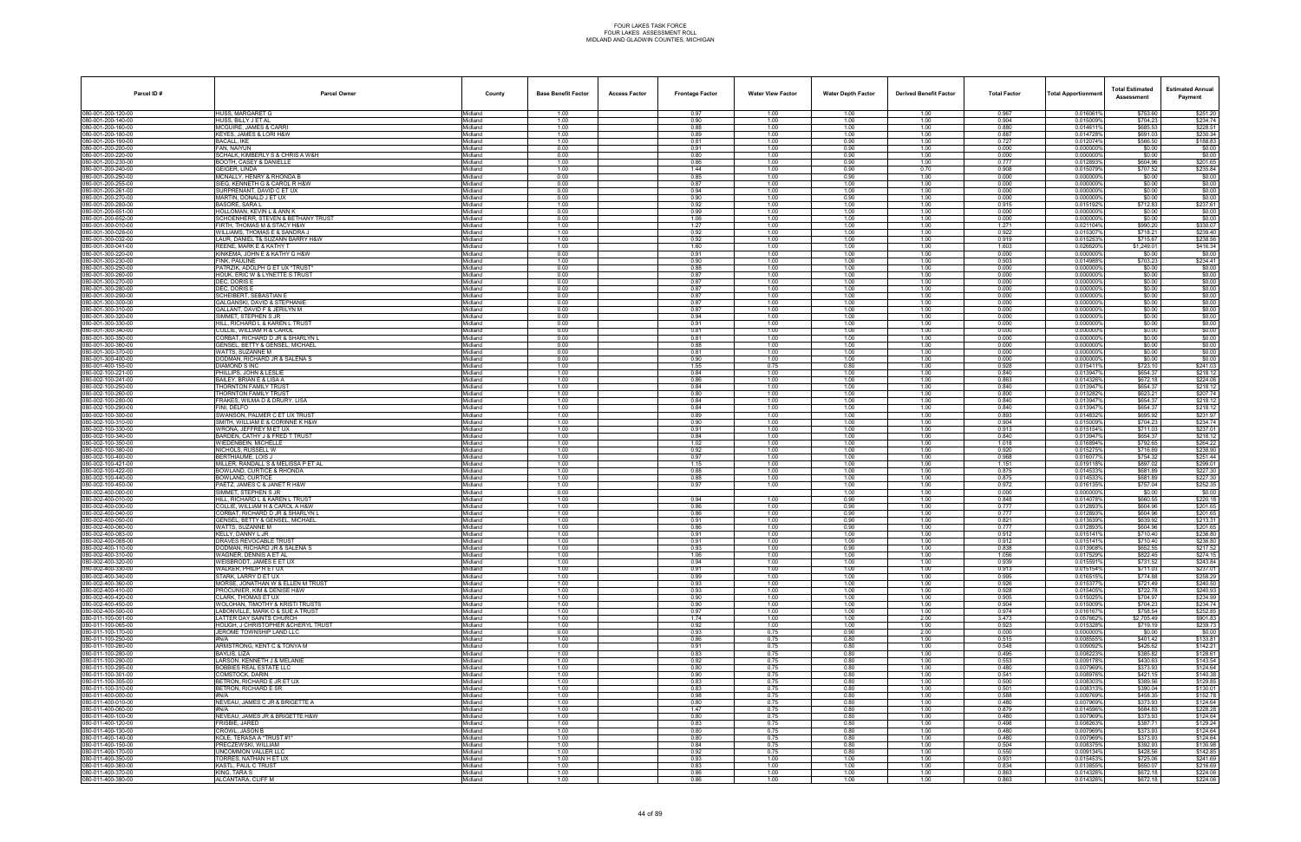| HUSS, MARGARET G<br>0.016061%<br>\$753.60<br>1.00<br>0.97<br>1.00<br>1.00<br>1.00<br>0.967<br>\$251.20<br>Midland<br>HUSS, BILLY J ET AL<br>1.00<br>0.904<br>\$704.23<br>080-001-200-140-00<br>Midland<br>0.90<br>1.00<br>1.00<br>1.00<br>0.015009%<br>\$234.74<br>080-001-200-160-00<br>MCGUIRE, JAMES & CARR<br>Midland<br>1.00<br>0.88<br>1.00<br>1.00<br>1.00<br>0.880<br>0.0146119<br>\$685.53<br>\$228.51<br>KEYES, JAMES & LORI H&W<br>1.00<br>0.887<br>0.014728%<br>\$691.03<br>\$230.34<br>Midland<br>0.89<br>1.00<br>1.00<br>1.00<br>0.81<br>0.727<br>80-001-200-190-00<br><b>BACALL, IKE</b><br>Midland<br>1.00<br>1.00<br>0.90<br>1.00<br>0.012074%<br>\$566.50<br>\$188.83<br>0.00<br>0.91<br>1.00<br>0.90<br>\$0.00<br>\$0.00<br>080-001-200-200-00<br>FAN, NAIYUN<br>Midland<br>1.00<br>0.000<br>0.000000%<br>0.90<br>0.000<br>\$0.00<br>\$0.00<br>80-001-200-220-00<br>SCHALK, KIMBERLY S & CHRIS A W&H<br>Midland<br>0.00<br>0.80<br>1.00<br>1.00<br>0.0000009<br>\$604.96<br>80-001-200-230-00<br>BOOTH, CASEY & DANIELLE<br>Midland<br>1.00<br>0.86<br>1.00<br>0.90<br>1.00<br>0.777<br>0.0128939<br>\$201.65<br>GEIGER, LINDA<br>1.00<br>1.44<br>0.90<br>0.70<br>0.908<br>0.015079%<br>\$707.52<br>\$235.84<br>Midland<br>1.00<br>0.00<br>0.85<br>0.000<br>80-001-200-250-00<br>MCNALLY, HENRY & RHONDA B<br>Midland<br>1.00<br>0.90<br>1.00<br>0.000000%<br>\$0.00<br>\$0.00<br>080-001-200-255-00<br>SIEG, KENNETH G & CAROL R H&W<br>0.00<br>0.87<br>1.00<br>1.00<br>1.00<br>0.000<br>0.000000%<br>\$0.00<br>\$0.00<br>Midland<br>0.00<br>0.94<br>1.00<br>1.00<br>0.000<br>\$0.00<br>SURPRENANT, DAVID C ET UX<br>Midland<br>1.00<br>0.000000%<br>\$0.00<br>MARTIN, DONALD J ET UX<br>Midland<br>0.00<br>0.90<br>1.00<br>0.90<br>1.00<br>0.000<br>0.000000%<br>\$0.00<br>080-001-200-280-00<br><b>BASORE, SARA L</b><br>1.00<br>0.92<br>0.915<br>0.015192%<br>\$712.83<br>\$237.61<br>Midland<br>1.00<br>1.00<br>1.00<br>0.99<br>0.000<br>HOLLOMAN, KEVIN L & ANN K<br>Midland<br>0.00<br>1.00<br>1.00<br>1.00<br>0.000000%<br>\$0.00<br>\$0.00<br>0.00<br>1.00<br>1.00<br>0.000<br>0.000000%<br>\$0.00<br>\$0.00<br>SCHOENHERR, STEVEN & BETHANY TRUST<br>Midland<br>1.06<br>1.00<br>1.00<br>1.00<br>1.271<br>0.021104%<br>\$330.07<br>80-001-300-010-00<br>FIRTH. THOMAS M & STACY H&W<br>Midland<br>1.27<br>1.00<br>1.00<br>\$990.20<br>\$239.40<br>80-001-300-026-00<br><i>NI</i> LLIAMS. THOMAS E & SANDRA J<br>Midland<br>1.00<br>0.92<br>1.00<br>1.00<br>1.00<br>0.922<br>0.0153079<br>\$718.21<br>\$238.56<br>LAUR, DANIEL T& SUZANN BARRY H&W<br>1.00<br>1.00<br>0.919<br>0.015253%<br>Midland<br>0.92<br>1.00<br>1.00<br>\$715.67<br>\$416.34<br>80-001-300-041-00<br>REENE, MARK E & KATHY T<br>Midland<br>1.00<br>1.60<br>1.00<br>1.00<br>1.00<br>1.603<br>0.026620%<br>\$1,249.01<br>KINKEMA, JOHN E & KATHY G H&W<br>0.00<br>0.91<br>1.00<br>1.00<br>1.00<br>0.000<br>0.000000%<br>\$0.00<br>\$0.00<br>Midland<br>1.00<br>1.00<br>0.903<br>0.014988%<br>\$703.23<br>\$234.41<br>FINK, PAULINE<br>Midland<br>0.90<br>1.00<br>1.00<br>080-001-300-250-00<br>PATRZIK, ADOLPH G ET UX *TRUST<br>Midland<br>0.00<br>0.88<br>1.00<br>1.00<br>1.00<br>0.000<br>0.000000%<br>\$0.00<br>\$0.00<br>HOUK, ERIC W & LYNETTE S TRUST<br>0.00<br>0.87<br>0.000<br>0.000000%<br>\$0.00<br>Midland<br>1.00<br>1.00<br>1.00<br>0.000<br>DEC. DORIS E<br>Midland<br>0.00<br>0.87<br>1.00<br>1.00<br>1.00<br>0.000000%<br>\$0.00<br>080-001-300-280-00<br>DEC, DORIS E<br>0.00<br>0.87<br>1.00<br>1.00<br>1.00<br>0.000<br>0.0000009<br>\$0.00<br>\$0.00<br>Midland<br>0.00<br>0.000<br>\$0.00<br>SCHEIBERT, SEBASTIAN E<br>Midland<br>0.87<br>1.00<br>1.00<br>1.00<br>0.000000%<br>0.000<br>\$0.00<br>80-001-300-300-00<br>SALGANSKI, DAVID & STEPHANIE<br>Midland<br>0.00<br>0.87<br>1.00<br>1.00<br>1.00<br>0.000000%<br>\$0.00<br>080-001-300-310-00<br>GALLANT, DAVID F & JERILYN M<br>0.00<br>0.87<br>1.00<br>0.000<br>\$0.00<br>\$0.00<br>Midland<br>1.00<br>1.00<br>0.000000%<br>SIMMET, STEPHEN S JR<br>Midland<br>0.00<br>0.94<br>1.00<br>1.00<br>1.00<br>0.000<br>0.000000%<br>\$0.00<br>HILL, RICHARD L & KAREN L TRUST<br>0.00<br>0.91<br>1.00<br>1.00<br>1.00<br>0.000<br>0.0000009<br>\$0.00<br>\$0.00<br>Midland<br>0.00<br>1.00<br>0.000<br>0.000000%<br>\$0.00<br>080-001-300-340-00<br>COLLIE, WILLIAM H & CAROL<br>Midland<br>0.81<br>1.00<br>1.00<br>\$0.00<br>CORBAT. RICHARD D JR & SHARLYN L<br>Midland<br>0.00<br>0.81<br>1.00<br>1.00<br>1.00<br>0.000<br>0.000000%<br>\$0.00<br>GENSEL, BETTY & GENSEL, MICHAEL<br>0.00<br>0.000000%<br>Midland<br>0.88<br>1.00<br>1.00<br>1.00<br>0.000<br>\$0.00<br>080-001-300-370-00<br>WATTS. SUZANNE M<br>Midland<br>0.00<br>0.81<br>1.00<br>1.00<br>1.00<br>0.000<br>0.0000009<br>\$0.00<br>\$0.00<br>DODMAN, RICHARD JR & SALENA S<br>0.00<br>0.90<br>1.00<br>1.00<br>1.00<br>0.000<br>0.0000009<br>\$0.00<br>\$0.00<br>Midland<br>1.00<br>0.928<br>DIAMOND S INC<br>Midland<br>1.55<br>0.75<br>0.80<br>1.00<br>0.015411%<br>\$723.10<br>\$241.03<br>1.00<br>0.84<br>0.840<br>\$654.37<br>\$218.12<br>80-002-100-221-00<br>PHILLIPS, JOHN & LESLIE<br>Midland<br>1.00<br>1.00<br>1.00<br>0.0139479<br>\$224.06<br>BAILEY, BRIAN E & LISA A<br>1.00<br>1.00<br>0.863<br>0.014326%<br>\$672.18<br>Midland<br>0.86<br>1.00<br>1.00<br>\$218.12<br>80-002-100-250-00<br>THORNTON FAMILY TRUST<br>Midland<br>1.00<br>0.84<br>1.00<br>1.00<br>1.00<br>0.840<br>0.013947%<br>\$654.37<br>080-002-100-260-00<br>THORNTON FAMILY TRUST<br>1.00<br>0.80<br>1.00<br>1.00<br>1.00<br>0.800<br>0.013282%<br>\$623.21<br>\$207.74<br>Midland<br>1.00<br>0.840<br>0.013947%<br>\$218.12<br>FRAKES, WILMA D & DRURY, LISA<br>Midland<br>0.84<br>1.00<br>1.00<br>1.00<br>\$654.37<br>1.00<br>0.840<br>0.013947%<br>\$654.37<br>\$218.12<br>80-002-100-290-00<br>FINI. DELFO<br>Midland<br>0.84<br>1.00<br>1.00<br>1.00<br>\$231.97<br>080-002-100-300-00<br>SWANSON, PALMER C ET UX TRUST<br>1.00<br>0.89<br>0.014832%<br>\$695.92<br>Midland<br>1.00<br>1.00<br>1.00<br>0.893<br>SMITH, WILLIAM E & CORINNE K H&W<br>Midland<br>1.00<br>0.90<br>1.00<br>1.00<br>1.00<br>0.904<br>0.015009%<br>\$704.23<br>\$234.74<br>WRONA, JEFFREY M ET UX<br>1.00<br>0.91<br>1.00<br>1.00<br>1.00<br>0.913<br>0.015154%<br>\$711.03<br>\$237.01<br>Midland<br>\$218.12<br>80-002-100-340-00<br>BARDEN, CATHY J & FRED T TRUST<br>Midland<br>1.00<br>0.84<br>1.00<br>1.00<br>1.00<br>0.840<br>0.013947%<br>\$654.37<br>1.00<br>1.018<br>\$264.22<br>80-002-100-350-00<br>WIEDENBEIN, MICHELLE<br>Midland<br>1.02<br>1.00<br>1.00<br>1.00<br>0.016894%<br>\$792.65<br>1.00<br>0.015275%<br>\$238.90<br>80-002-100-380-00<br>NICHOLS, RUSSELL W<br>0.92<br>1.00<br>1.00<br>1.00<br>0.920<br>\$716.69<br>Midland<br>\$251.44<br>80-002-100-400-00<br>BERTHIAUME. LOIS J<br>Midland<br>1.00<br>0.97<br>1.00<br>1.00<br>1.00<br>0.968<br>0.0160779<br>\$754.32<br>MILLER, RANDALL S & MELISSA P ET AL<br>1.00<br>1.15<br>1.00<br>1.00<br>1.00<br>1.151<br>0.019118%<br>\$897.02<br>\$299.01<br>Midland<br>1.00<br>\$227.30<br>BOWLAND, CURTICE & RHONDA<br>Midland<br>0.88<br>1.00<br>1.00<br>1.00<br>0.875<br>0.014533%<br>\$681.89<br>1.00<br>0.88<br>0.875<br>0.014533%<br>\$681.89<br>\$227.30<br>80-002-100-440-00<br><b>3OWLAND, CURTICE</b><br>Midland<br>1.00<br>1.00<br>1.00<br>PAETZ, JAMES C & JANET R H&W<br>\$757.04<br>\$252.35<br>1.00<br>0.97<br>0.972<br>0.016135%<br>Midland<br>1.00<br>1.00<br>1.00<br>SIMMET, STEPHEN S JR<br>Midland<br>0.00<br>1.00<br>1.00<br>0.000<br>0.000000%<br>\$0.00<br>\$0.00<br>080-002-400-010-00<br>HILL, RICHARD L & KAREN L TRUST<br>Midland<br>1.00<br>0.94<br>1.00<br>0.90<br>1.00<br>0.848<br>0.014078%<br>\$660.55<br>\$220.18<br>\$201.65<br>80-002-400-030-00<br>COLLIE, WILLIAM H & CAROL A H&W<br>Midland<br>1.00<br>0.86<br>1.00<br>0.90<br>1.00<br>0.777<br>0.012893%<br>\$604.96<br>CORBAT. RICHARD D JR & SHARLYN L<br>1.00<br>0.777<br>\$604.96<br>\$201.65<br>80-002-400-040-00<br>Midland<br>0.86<br>1.00<br>0.90<br>1.00<br>0.012893%<br>080-002-400-050-00<br>1.00<br>\$213.31<br>GENSEL, BETTY & GENSEL, MICHAEL<br>0.91<br>1.00<br>0.90<br>1.00<br>0.821<br>0.013639%<br>\$639.92<br>Midland<br>80-002-400-060-00<br>WATTS. SUZANNE M<br>Midland<br>1.00<br>0.86<br>1.00<br>0.90<br>1.00<br>0.777<br>0.012893<br>\$604.96<br>\$201.65<br>KELLY, DANNY L JR<br>Midland<br>1.00<br>0.91<br>1.00<br>1.00<br>1.00<br>0.912<br>0.0151419<br>\$710.40<br>\$236.80<br>080-002-400-088-00<br>DRAVES REVOCABLE TRUST<br>Midland<br>1.00<br>0.91<br>1.00<br>1.00<br>1.00<br>0.912<br>0.0151419<br>\$710.40<br>\$236.80<br>DODMAN, RICHARD JR & SALENA S<br>Midland<br>1.00<br>1.00<br>0.838<br>0.013908%<br>\$652.55<br>\$217.52<br>0.93<br>1.00<br>0.90<br>WAGNER, DENNIS A ET AL<br>0.017529%<br>\$822.45<br>Midland<br>1.00<br>1.06<br>1.00<br>1.00<br>1.00<br>1.056<br>080-002-400-320-00<br>WEISBRODT, JAMES E ET UX<br>Midland<br>1.00<br>0.94<br>1.00<br>1.00<br>1.00<br>0.939<br>0.015591%<br>\$731.52<br>\$243.84<br>WALKER, PHILIP R ET UX<br>Midland<br>1.00<br>0.91<br>1.00<br>1.00<br>1.00<br>0.913<br>0.015154%<br>\$711.03<br>\$237.01<br>0.016515%<br>STARK, LARRY D ET UX<br>Midland<br>1.00<br>0.99<br>1.00<br>1.00<br>1.00<br>0.995<br>\$774.88<br>\$258.29<br>MORSE, JONATHAN W & ELLEN M TRUST<br>1.00<br>0.926<br>0.015377%<br>\$240.50<br>80-002-400-360-00<br>Midland<br>0.93<br>1.00<br>1.00<br>1.00<br>\$721.49<br>\$240.93<br>PROCUNIER, KIM & DENISE H&W<br>1.00<br>1.00<br>0.928<br>0.015405%<br>\$722.78<br>Midland<br>0.93<br>1.00<br>1.00<br>CLARK. THOMAS ET UX<br>Midland<br>1.00<br>0.90<br>1.00<br>1.00<br>1.00<br>0.905<br>0.015025%<br>\$704.97<br>\$234.99<br>080-002-400-450-00<br>WOLOHAN, TIMOTHY & KRISTI TRUSTS<br>Midland<br>1.00<br>0.90<br>1.00<br>1.00<br>1.00<br>0.904<br>0.015009%<br>\$704.23<br>\$234.74<br>1.00<br>0.974<br>0.016167%<br>\$758.54<br>LABONVILLE, MARK O & SUE A TRUST<br>Midland<br>0.97<br>1.00<br>1.00<br>1.00<br>\$252.85<br>Midland<br>1.00<br>1.00<br>2.00<br>3.473<br>0.057662%<br>\$2,705.49<br>\$901.83<br>LATTER DAY SAINTS CHURCH<br>1.74<br>1.00<br>080-011-100-065-00<br>HOUGH, J CHRISTOPHER & CHERYL TRUST<br>1.00<br>0.92<br>0.923<br>0.015328%<br>\$719.19<br>\$239.73<br>Midland<br>1.00<br>1.00<br>1.00<br>JEROME TOWNSHIP LAND LLC<br>Midland<br>0.00<br>0.93<br>0.75<br>0.90<br>2.00<br>0.000<br>0.000000%<br>\$0.00<br>\$0.00<br>080-011-100-250-00<br>Midland<br>1.00<br>0.86<br>0.75<br>0.80<br>1.00<br>0.515<br>0.008555%<br>\$401.42<br>\$133.81<br>#N/A<br>ARMSTRONG, KENT C & TONYA M<br>0.548<br>080-011-100-260-00<br>Midland<br>1.00<br>0.91<br>0.75<br>0.80<br>1.00<br>0.009092%<br>\$426.62<br>\$142.21<br>0.80<br>0.495<br>\$385.82<br>\$128.61<br>BAYLIS, LIZA<br>Midland<br>1.00<br>0.83<br>0.75<br>1.00<br>0.008223%<br>0.009178%<br>080-011-100-290-00<br>ARSON, KENNETH J & MELANIE<br>1.00<br>0.92<br>0.80<br>0.553<br>\$430.63<br>\$143.54<br>Midland<br>0.75<br>1.00<br>080-011-100-295-00<br><b>BOBBIES REAL ESTATE LLC</b><br>Midland<br>1.00<br>0.80<br>0.75<br>0.80<br>1.00<br>0.480<br>0.007969%<br>\$373.93<br>\$124.64<br>COMSTOCK, DARIN<br>Midland<br>1.00<br>0.90<br>0.75<br>0.80<br>1.00<br>0.541<br>0.008976%<br>\$421.15<br>\$140.38<br>1.00<br>0.500<br>0.008303%<br>\$389.56<br>080-011-100-305-00<br>BETRON, RICHARD E JR ET UX<br>Midland<br>0.83<br>0.75<br>0.80<br>1.00<br>\$129.85<br>BETRON, RICHARD E SR<br>1.00<br>0.83<br>0.80<br>1.00<br>0.501<br>0.008313%<br>\$390.04<br>\$130.01<br>080-011-100-310-00<br>Midland<br>0.75<br>0.009769%<br>1.00<br>0.98<br>0.588<br>\$458.35<br>\$152.78<br>Midland<br>0.75<br>0.80<br>1.00<br>#N/A<br>NEVEAU, JAMES C JR & BRIGETTE A<br>Midland<br>1.00<br>0.80<br>0.75<br>0.80<br>1.00<br>0.480<br>0.007969%<br>\$373.93<br>\$124.64<br>080-011-400-060-00<br>Midland<br>1.00<br>1.47<br>0.75<br>0.80<br>1.00<br>0.879<br>0.014596%<br>\$684.83<br>\$228.28<br>#N/A<br>0.80<br>0.007969%<br>\$373.93<br>NEVEAU, JAMES JR & BRIGETTE H&W<br>Midland<br>1.00<br>0.80<br>0.75<br>1.00<br>0.480<br>\$124.64<br>0.80<br>0.498<br>\$387.71<br>FRISBIE, JARED<br>Midland<br>1.00<br>0.83<br>0.75<br>1.00<br>0.008263%<br>\$129.24<br>0.480<br>080-011-400-130-00<br>CROWL, JASON B<br>1.00<br>0.80<br>0.007969%<br>\$373.93<br>\$124.64<br>Midland<br>0.80<br>0.75<br>1.00<br>KOLE, TERASA A *TRUST #1*<br>Midland<br>1.00<br>0.80<br>0.75<br>0.80<br>1.00<br>0.480<br>0.007969%<br>\$373.93<br>\$124.64<br>PRECZEWSKI, WILLIAM<br>Midland<br>1.00<br>0.84<br>0.75<br>0.80<br>1.00<br>0.504<br>0.008375%<br>\$392.93<br>\$130.98<br>1.00<br>0.550<br>0.009134%<br>\$428.56<br>080-011-400-170-00<br>JNCOMMON VALLER LLC<br>Midland<br>0.92<br>0.75<br>0.80<br>1.00<br>\$142.85<br>0.931<br>0.015453%<br>\$725.06<br>\$241.69<br>TORRES. NATHAN H ET UX<br>Midland<br>1.00<br>0.93<br>1.00<br>1.00<br>1.00<br>KASTL, PAUL C TRUST<br>1.00<br>0.834<br>0.013855%<br>\$650.07<br>\$216.69<br>Midland<br>0.83<br>1.00<br>1.00<br>1.00<br>080-011-400-370-00<br>KING, TARA S<br>Midland<br>1.00<br>0.86<br>1.00<br>1.00<br>1.00<br>0.863<br>0.014326%<br>\$672.18<br>\$224.06<br>ALCANTARA, CLIFF M<br>Midland<br>1.00<br>0.86<br>1.00<br>1.00<br>1.00<br>0.863<br>0.014326%<br>\$672.18<br>\$224.06 | Parcel ID#         | <b>Parcel Owner</b> | County | <b>Base Benefit Factor</b> | <b>Access Factor</b> | <b>Frontage Factor</b> | <b>Water View Factor</b> | <b>Water Depth Factor</b> | <b>Derived Benefit Factor</b> | <b>Total Factor</b> | <b>Total Apportionmer</b> | <b>Total Estimated</b><br>Assessment | <b>Estimated Annual</b><br>Payment |
|------------------------------------------------------------------------------------------------------------------------------------------------------------------------------------------------------------------------------------------------------------------------------------------------------------------------------------------------------------------------------------------------------------------------------------------------------------------------------------------------------------------------------------------------------------------------------------------------------------------------------------------------------------------------------------------------------------------------------------------------------------------------------------------------------------------------------------------------------------------------------------------------------------------------------------------------------------------------------------------------------------------------------------------------------------------------------------------------------------------------------------------------------------------------------------------------------------------------------------------------------------------------------------------------------------------------------------------------------------------------------------------------------------------------------------------------------------------------------------------------------------------------------------------------------------------------------------------------------------------------------------------------------------------------------------------------------------------------------------------------------------------------------------------------------------------------------------------------------------------------------------------------------------------------------------------------------------------------------------------------------------------------------------------------------------------------------------------------------------------------------------------------------------------------------------------------------------------------------------------------------------------------------------------------------------------------------------------------------------------------------------------------------------------------------------------------------------------------------------------------------------------------------------------------------------------------------------------------------------------------------------------------------------------------------------------------------------------------------------------------------------------------------------------------------------------------------------------------------------------------------------------------------------------------------------------------------------------------------------------------------------------------------------------------------------------------------------------------------------------------------------------------------------------------------------------------------------------------------------------------------------------------------------------------------------------------------------------------------------------------------------------------------------------------------------------------------------------------------------------------------------------------------------------------------------------------------------------------------------------------------------------------------------------------------------------------------------------------------------------------------------------------------------------------------------------------------------------------------------------------------------------------------------------------------------------------------------------------------------------------------------------------------------------------------------------------------------------------------------------------------------------------------------------------------------------------------------------------------------------------------------------------------------------------------------------------------------------------------------------------------------------------------------------------------------------------------------------------------------------------------------------------------------------------------------------------------------------------------------------------------------------------------------------------------------------------------------------------------------------------------------------------------------------------------------------------------------------------------------------------------------------------------------------------------------------------------------------------------------------------------------------------------------------------------------------------------------------------------------------------------------------------------------------------------------------------------------------------------------------------------------------------------------------------------------------------------------------------------------------------------------------------------------------------------------------------------------------------------------------------------------------------------------------------------------------------------------------------------------------------------------------------------------------------------------------------------------------------------------------------------------------------------------------------------------------------------------------------------------------------------------------------------------------------------------------------------------------------------------------------------------------------------------------------------------------------------------------------------------------------------------------------------------------------------------------------------------------------------------------------------------------------------------------------------------------------------------------------------------------------------------------------------------------------------------------------------------------------------------------------------------------------------------------------------------------------------------------------------------------------------------------------------------------------------------------------------------------------------------------------------------------------------------------------------------------------------------------------------------------------------------------------------------------------------------------------------------------------------------------------------------------------------------------------------------------------------------------------------------------------------------------------------------------------------------------------------------------------------------------------------------------------------------------------------------------------------------------------------------------------------------------------------------------------------------------------------------------------------------------------------------------------------------------------------------------------------------------------------------------------------------------------------------------------------------------------------------------------------------------------------------------------------------------------------------------------------------------------------------------------------------------------------------------------------------------------------------------------------------------------------------------------------------------------------------------------------------------------------------------------------------------------------------------------------------------------------------------------------------------------------------------------------------------------------------------------------------------------------------------------------------------------------------------------------------------------------------------------------------------------------------------------------------------------------------------------------------------------------------------------------------------------------------------------------------------------------------------------------------------------------------------------------------------------------------------------------------------------------------------------------------------------------------------------------------------------------------------------------------------------------------------------------------------------------------------------------------------------------------------------------------------------------------------------------------------------------------------------------------------------------------------------------------------------------------------------------------------------------------------------------------------------------------------------------------------------------------------------------------------------------------------------------------------------------------------------------------------------------------------------------------------------------------------------------------------------------------------------------------------------------------------------------------------------------------------------------------------------------------------------------------------------------------------------------------------------------------------------------------------------------------------------------------------------------------------------------------------------------------------------------------------------------------------------------------------------------------------------------------------------------------------------------------------------------------------------------------------------------------------------------------------------------------------------------------------------------------------------------------------------------------------------------------------------------------------------------------------------------------------------------------------------------------------------------------------------------------------------------------------------------------------------------------------------------------------------------------------------------------------------------------------------------------------------------------------------------------------------------------------------------------------------------------------------------------------------------------------------------------------------------------------------------------------------------------------------------------------------------------------------------------------------------------------------------------------------------------------------------------------------------------------------------------------------------------------------------------------------------------------------------------------------------------------------------------------------------------------------------------------------------------------------------------------------------------------------------------------------------------------------------------------------------------------------------------------------------------------------------------------------------------------------------------------------------------------------------------------------------------------------------------------------------------------------------------------------------------------------------------------------------------------------------------------------------------------------------------------------------------------------------------------------------------------------------------------------------------------------------------------------------------------------------------------------------------------------------------------------------------------------------------------------------------------------------------------------------------------------------------------------------------------------------------------------------------------------------------------------------------------------------------------------------------------------------------------------------------------------------------------------------------------------------------------------------------------------------------------------------------------------------------------------------------------------------------------------------------------------------------------------------------------------------------------------------------------------------------------------------------------------------------------------------------|--------------------|---------------------|--------|----------------------------|----------------------|------------------------|--------------------------|---------------------------|-------------------------------|---------------------|---------------------------|--------------------------------------|------------------------------------|
|                                                                                                                                                                                                                                                                                                                                                                                                                                                                                                                                                                                                                                                                                                                                                                                                                                                                                                                                                                                                                                                                                                                                                                                                                                                                                                                                                                                                                                                                                                                                                                                                                                                                                                                                                                                                                                                                                                                                                                                                                                                                                                                                                                                                                                                                                                                                                                                                                                                                                                                                                                                                                                                                                                                                                                                                                                                                                                                                                                                                                                                                                                                                                                                                                                                                                                                                                                                                                                                                                                                                                                                                                                                                                                                                                                                                                                                                                                                                                                                                                                                                                                                                                                                                                                                                                                                                                                                                                                                                                                                                                                                                                                                                                                                                                                                                                                                                                                                                                                                                                                                                                                                                                                                                                                                                                                                                                                                                                                                                                                                                                                                                                                                                                                                                                                                                                                                                                                                                                                                                                                                                                                                                                                                                                                                                                                                                                                                                                                                                                                                                                                                                                                                                                                                                                                                                                                                                                                                                                                                                                                                                                                                                                                                                                                                                                                                                                                                                                                                                                                                                                                                                                                                                                                                                                                                                                                                                                                                                                                                                                                                                                                                                                                                                                                                                                                                                                                                                                                                                                                                                                                                                                                                                                                                                                                                                                                                                                                                                                                                                                                                                                                                                                                                                                                                                                                                                                                                                                                                                                                                                                                                                                                                                                                                                                                                                                                                                                                                                                                                                                                                                                                                                                                                                                                                                                                                                                                                                                                                                                                                                                                                                                                                                                                                                                                                                                                                                                                                                                                                                                                                                                                                                                                                                                                                                                                                                                                                                                                                                                                                                                                                                                                                                                                                                                                                                                                                                                                                                                                                                                                                                                                                                                                                                                                                                                                                                                                                                                                                                                                                                                                                                                                                                                                                                                                                                                                                                                                                                                                                                                                                                                                                                                                                                                                                                                    | 080-001-200-120-00 |                     |        |                            |                      |                        |                          |                           |                               |                     |                           |                                      |                                    |
|                                                                                                                                                                                                                                                                                                                                                                                                                                                                                                                                                                                                                                                                                                                                                                                                                                                                                                                                                                                                                                                                                                                                                                                                                                                                                                                                                                                                                                                                                                                                                                                                                                                                                                                                                                                                                                                                                                                                                                                                                                                                                                                                                                                                                                                                                                                                                                                                                                                                                                                                                                                                                                                                                                                                                                                                                                                                                                                                                                                                                                                                                                                                                                                                                                                                                                                                                                                                                                                                                                                                                                                                                                                                                                                                                                                                                                                                                                                                                                                                                                                                                                                                                                                                                                                                                                                                                                                                                                                                                                                                                                                                                                                                                                                                                                                                                                                                                                                                                                                                                                                                                                                                                                                                                                                                                                                                                                                                                                                                                                                                                                                                                                                                                                                                                                                                                                                                                                                                                                                                                                                                                                                                                                                                                                                                                                                                                                                                                                                                                                                                                                                                                                                                                                                                                                                                                                                                                                                                                                                                                                                                                                                                                                                                                                                                                                                                                                                                                                                                                                                                                                                                                                                                                                                                                                                                                                                                                                                                                                                                                                                                                                                                                                                                                                                                                                                                                                                                                                                                                                                                                                                                                                                                                                                                                                                                                                                                                                                                                                                                                                                                                                                                                                                                                                                                                                                                                                                                                                                                                                                                                                                                                                                                                                                                                                                                                                                                                                                                                                                                                                                                                                                                                                                                                                                                                                                                                                                                                                                                                                                                                                                                                                                                                                                                                                                                                                                                                                                                                                                                                                                                                                                                                                                                                                                                                                                                                                                                                                                                                                                                                                                                                                                                                                                                                                                                                                                                                                                                                                                                                                                                                                                                                                                                                                                                                                                                                                                                                                                                                                                                                                                                                                                                                                                                                                                                                                                                                                                                                                                                                                                                                                                                                                                                                                                                                    |                    |                     |        |                            |                      |                        |                          |                           |                               |                     |                           |                                      |                                    |
|                                                                                                                                                                                                                                                                                                                                                                                                                                                                                                                                                                                                                                                                                                                                                                                                                                                                                                                                                                                                                                                                                                                                                                                                                                                                                                                                                                                                                                                                                                                                                                                                                                                                                                                                                                                                                                                                                                                                                                                                                                                                                                                                                                                                                                                                                                                                                                                                                                                                                                                                                                                                                                                                                                                                                                                                                                                                                                                                                                                                                                                                                                                                                                                                                                                                                                                                                                                                                                                                                                                                                                                                                                                                                                                                                                                                                                                                                                                                                                                                                                                                                                                                                                                                                                                                                                                                                                                                                                                                                                                                                                                                                                                                                                                                                                                                                                                                                                                                                                                                                                                                                                                                                                                                                                                                                                                                                                                                                                                                                                                                                                                                                                                                                                                                                                                                                                                                                                                                                                                                                                                                                                                                                                                                                                                                                                                                                                                                                                                                                                                                                                                                                                                                                                                                                                                                                                                                                                                                                                                                                                                                                                                                                                                                                                                                                                                                                                                                                                                                                                                                                                                                                                                                                                                                                                                                                                                                                                                                                                                                                                                                                                                                                                                                                                                                                                                                                                                                                                                                                                                                                                                                                                                                                                                                                                                                                                                                                                                                                                                                                                                                                                                                                                                                                                                                                                                                                                                                                                                                                                                                                                                                                                                                                                                                                                                                                                                                                                                                                                                                                                                                                                                                                                                                                                                                                                                                                                                                                                                                                                                                                                                                                                                                                                                                                                                                                                                                                                                                                                                                                                                                                                                                                                                                                                                                                                                                                                                                                                                                                                                                                                                                                                                                                                                                                                                                                                                                                                                                                                                                                                                                                                                                                                                                                                                                                                                                                                                                                                                                                                                                                                                                                                                                                                                                                                                                                                                                                                                                                                                                                                                                                                                                                                                                                                                                                    | 080-001-200-180-00 |                     |        |                            |                      |                        |                          |                           |                               |                     |                           |                                      |                                    |
|                                                                                                                                                                                                                                                                                                                                                                                                                                                                                                                                                                                                                                                                                                                                                                                                                                                                                                                                                                                                                                                                                                                                                                                                                                                                                                                                                                                                                                                                                                                                                                                                                                                                                                                                                                                                                                                                                                                                                                                                                                                                                                                                                                                                                                                                                                                                                                                                                                                                                                                                                                                                                                                                                                                                                                                                                                                                                                                                                                                                                                                                                                                                                                                                                                                                                                                                                                                                                                                                                                                                                                                                                                                                                                                                                                                                                                                                                                                                                                                                                                                                                                                                                                                                                                                                                                                                                                                                                                                                                                                                                                                                                                                                                                                                                                                                                                                                                                                                                                                                                                                                                                                                                                                                                                                                                                                                                                                                                                                                                                                                                                                                                                                                                                                                                                                                                                                                                                                                                                                                                                                                                                                                                                                                                                                                                                                                                                                                                                                                                                                                                                                                                                                                                                                                                                                                                                                                                                                                                                                                                                                                                                                                                                                                                                                                                                                                                                                                                                                                                                                                                                                                                                                                                                                                                                                                                                                                                                                                                                                                                                                                                                                                                                                                                                                                                                                                                                                                                                                                                                                                                                                                                                                                                                                                                                                                                                                                                                                                                                                                                                                                                                                                                                                                                                                                                                                                                                                                                                                                                                                                                                                                                                                                                                                                                                                                                                                                                                                                                                                                                                                                                                                                                                                                                                                                                                                                                                                                                                                                                                                                                                                                                                                                                                                                                                                                                                                                                                                                                                                                                                                                                                                                                                                                                                                                                                                                                                                                                                                                                                                                                                                                                                                                                                                                                                                                                                                                                                                                                                                                                                                                                                                                                                                                                                                                                                                                                                                                                                                                                                                                                                                                                                                                                                                                                                                                                                                                                                                                                                                                                                                                                                                                                                                                                                                                                    |                    |                     |        |                            |                      |                        |                          |                           |                               |                     |                           |                                      |                                    |
|                                                                                                                                                                                                                                                                                                                                                                                                                                                                                                                                                                                                                                                                                                                                                                                                                                                                                                                                                                                                                                                                                                                                                                                                                                                                                                                                                                                                                                                                                                                                                                                                                                                                                                                                                                                                                                                                                                                                                                                                                                                                                                                                                                                                                                                                                                                                                                                                                                                                                                                                                                                                                                                                                                                                                                                                                                                                                                                                                                                                                                                                                                                                                                                                                                                                                                                                                                                                                                                                                                                                                                                                                                                                                                                                                                                                                                                                                                                                                                                                                                                                                                                                                                                                                                                                                                                                                                                                                                                                                                                                                                                                                                                                                                                                                                                                                                                                                                                                                                                                                                                                                                                                                                                                                                                                                                                                                                                                                                                                                                                                                                                                                                                                                                                                                                                                                                                                                                                                                                                                                                                                                                                                                                                                                                                                                                                                                                                                                                                                                                                                                                                                                                                                                                                                                                                                                                                                                                                                                                                                                                                                                                                                                                                                                                                                                                                                                                                                                                                                                                                                                                                                                                                                                                                                                                                                                                                                                                                                                                                                                                                                                                                                                                                                                                                                                                                                                                                                                                                                                                                                                                                                                                                                                                                                                                                                                                                                                                                                                                                                                                                                                                                                                                                                                                                                                                                                                                                                                                                                                                                                                                                                                                                                                                                                                                                                                                                                                                                                                                                                                                                                                                                                                                                                                                                                                                                                                                                                                                                                                                                                                                                                                                                                                                                                                                                                                                                                                                                                                                                                                                                                                                                                                                                                                                                                                                                                                                                                                                                                                                                                                                                                                                                                                                                                                                                                                                                                                                                                                                                                                                                                                                                                                                                                                                                                                                                                                                                                                                                                                                                                                                                                                                                                                                                                                                                                                                                                                                                                                                                                                                                                                                                                                                                                                                                                                    |                    |                     |        |                            |                      |                        |                          |                           |                               |                     |                           |                                      |                                    |
|                                                                                                                                                                                                                                                                                                                                                                                                                                                                                                                                                                                                                                                                                                                                                                                                                                                                                                                                                                                                                                                                                                                                                                                                                                                                                                                                                                                                                                                                                                                                                                                                                                                                                                                                                                                                                                                                                                                                                                                                                                                                                                                                                                                                                                                                                                                                                                                                                                                                                                                                                                                                                                                                                                                                                                                                                                                                                                                                                                                                                                                                                                                                                                                                                                                                                                                                                                                                                                                                                                                                                                                                                                                                                                                                                                                                                                                                                                                                                                                                                                                                                                                                                                                                                                                                                                                                                                                                                                                                                                                                                                                                                                                                                                                                                                                                                                                                                                                                                                                                                                                                                                                                                                                                                                                                                                                                                                                                                                                                                                                                                                                                                                                                                                                                                                                                                                                                                                                                                                                                                                                                                                                                                                                                                                                                                                                                                                                                                                                                                                                                                                                                                                                                                                                                                                                                                                                                                                                                                                                                                                                                                                                                                                                                                                                                                                                                                                                                                                                                                                                                                                                                                                                                                                                                                                                                                                                                                                                                                                                                                                                                                                                                                                                                                                                                                                                                                                                                                                                                                                                                                                                                                                                                                                                                                                                                                                                                                                                                                                                                                                                                                                                                                                                                                                                                                                                                                                                                                                                                                                                                                                                                                                                                                                                                                                                                                                                                                                                                                                                                                                                                                                                                                                                                                                                                                                                                                                                                                                                                                                                                                                                                                                                                                                                                                                                                                                                                                                                                                                                                                                                                                                                                                                                                                                                                                                                                                                                                                                                                                                                                                                                                                                                                                                                                                                                                                                                                                                                                                                                                                                                                                                                                                                                                                                                                                                                                                                                                                                                                                                                                                                                                                                                                                                                                                                                                                                                                                                                                                                                                                                                                                                                                                                                                                                                                                    | 080-001-200-240-00 |                     |        |                            |                      |                        |                          |                           |                               |                     |                           |                                      |                                    |
|                                                                                                                                                                                                                                                                                                                                                                                                                                                                                                                                                                                                                                                                                                                                                                                                                                                                                                                                                                                                                                                                                                                                                                                                                                                                                                                                                                                                                                                                                                                                                                                                                                                                                                                                                                                                                                                                                                                                                                                                                                                                                                                                                                                                                                                                                                                                                                                                                                                                                                                                                                                                                                                                                                                                                                                                                                                                                                                                                                                                                                                                                                                                                                                                                                                                                                                                                                                                                                                                                                                                                                                                                                                                                                                                                                                                                                                                                                                                                                                                                                                                                                                                                                                                                                                                                                                                                                                                                                                                                                                                                                                                                                                                                                                                                                                                                                                                                                                                                                                                                                                                                                                                                                                                                                                                                                                                                                                                                                                                                                                                                                                                                                                                                                                                                                                                                                                                                                                                                                                                                                                                                                                                                                                                                                                                                                                                                                                                                                                                                                                                                                                                                                                                                                                                                                                                                                                                                                                                                                                                                                                                                                                                                                                                                                                                                                                                                                                                                                                                                                                                                                                                                                                                                                                                                                                                                                                                                                                                                                                                                                                                                                                                                                                                                                                                                                                                                                                                                                                                                                                                                                                                                                                                                                                                                                                                                                                                                                                                                                                                                                                                                                                                                                                                                                                                                                                                                                                                                                                                                                                                                                                                                                                                                                                                                                                                                                                                                                                                                                                                                                                                                                                                                                                                                                                                                                                                                                                                                                                                                                                                                                                                                                                                                                                                                                                                                                                                                                                                                                                                                                                                                                                                                                                                                                                                                                                                                                                                                                                                                                                                                                                                                                                                                                                                                                                                                                                                                                                                                                                                                                                                                                                                                                                                                                                                                                                                                                                                                                                                                                                                                                                                                                                                                                                                                                                                                                                                                                                                                                                                                                                                                                                                                                                                                                                                                    |                    |                     |        |                            |                      |                        |                          |                           |                               |                     |                           |                                      |                                    |
|                                                                                                                                                                                                                                                                                                                                                                                                                                                                                                                                                                                                                                                                                                                                                                                                                                                                                                                                                                                                                                                                                                                                                                                                                                                                                                                                                                                                                                                                                                                                                                                                                                                                                                                                                                                                                                                                                                                                                                                                                                                                                                                                                                                                                                                                                                                                                                                                                                                                                                                                                                                                                                                                                                                                                                                                                                                                                                                                                                                                                                                                                                                                                                                                                                                                                                                                                                                                                                                                                                                                                                                                                                                                                                                                                                                                                                                                                                                                                                                                                                                                                                                                                                                                                                                                                                                                                                                                                                                                                                                                                                                                                                                                                                                                                                                                                                                                                                                                                                                                                                                                                                                                                                                                                                                                                                                                                                                                                                                                                                                                                                                                                                                                                                                                                                                                                                                                                                                                                                                                                                                                                                                                                                                                                                                                                                                                                                                                                                                                                                                                                                                                                                                                                                                                                                                                                                                                                                                                                                                                                                                                                                                                                                                                                                                                                                                                                                                                                                                                                                                                                                                                                                                                                                                                                                                                                                                                                                                                                                                                                                                                                                                                                                                                                                                                                                                                                                                                                                                                                                                                                                                                                                                                                                                                                                                                                                                                                                                                                                                                                                                                                                                                                                                                                                                                                                                                                                                                                                                                                                                                                                                                                                                                                                                                                                                                                                                                                                                                                                                                                                                                                                                                                                                                                                                                                                                                                                                                                                                                                                                                                                                                                                                                                                                                                                                                                                                                                                                                                                                                                                                                                                                                                                                                                                                                                                                                                                                                                                                                                                                                                                                                                                                                                                                                                                                                                                                                                                                                                                                                                                                                                                                                                                                                                                                                                                                                                                                                                                                                                                                                                                                                                                                                                                                                                                                                                                                                                                                                                                                                                                                                                                                                                                                                                                                                                    | 080-001-200-261-00 |                     |        |                            |                      |                        |                          |                           |                               |                     |                           |                                      |                                    |
|                                                                                                                                                                                                                                                                                                                                                                                                                                                                                                                                                                                                                                                                                                                                                                                                                                                                                                                                                                                                                                                                                                                                                                                                                                                                                                                                                                                                                                                                                                                                                                                                                                                                                                                                                                                                                                                                                                                                                                                                                                                                                                                                                                                                                                                                                                                                                                                                                                                                                                                                                                                                                                                                                                                                                                                                                                                                                                                                                                                                                                                                                                                                                                                                                                                                                                                                                                                                                                                                                                                                                                                                                                                                                                                                                                                                                                                                                                                                                                                                                                                                                                                                                                                                                                                                                                                                                                                                                                                                                                                                                                                                                                                                                                                                                                                                                                                                                                                                                                                                                                                                                                                                                                                                                                                                                                                                                                                                                                                                                                                                                                                                                                                                                                                                                                                                                                                                                                                                                                                                                                                                                                                                                                                                                                                                                                                                                                                                                                                                                                                                                                                                                                                                                                                                                                                                                                                                                                                                                                                                                                                                                                                                                                                                                                                                                                                                                                                                                                                                                                                                                                                                                                                                                                                                                                                                                                                                                                                                                                                                                                                                                                                                                                                                                                                                                                                                                                                                                                                                                                                                                                                                                                                                                                                                                                                                                                                                                                                                                                                                                                                                                                                                                                                                                                                                                                                                                                                                                                                                                                                                                                                                                                                                                                                                                                                                                                                                                                                                                                                                                                                                                                                                                                                                                                                                                                                                                                                                                                                                                                                                                                                                                                                                                                                                                                                                                                                                                                                                                                                                                                                                                                                                                                                                                                                                                                                                                                                                                                                                                                                                                                                                                                                                                                                                                                                                                                                                                                                                                                                                                                                                                                                                                                                                                                                                                                                                                                                                                                                                                                                                                                                                                                                                                                                                                                                                                                                                                                                                                                                                                                                                                                                                                                                                                                                                                    | 080-001-200-270-00 |                     |        |                            |                      |                        |                          |                           |                               |                     |                           |                                      | \$0.00                             |
|                                                                                                                                                                                                                                                                                                                                                                                                                                                                                                                                                                                                                                                                                                                                                                                                                                                                                                                                                                                                                                                                                                                                                                                                                                                                                                                                                                                                                                                                                                                                                                                                                                                                                                                                                                                                                                                                                                                                                                                                                                                                                                                                                                                                                                                                                                                                                                                                                                                                                                                                                                                                                                                                                                                                                                                                                                                                                                                                                                                                                                                                                                                                                                                                                                                                                                                                                                                                                                                                                                                                                                                                                                                                                                                                                                                                                                                                                                                                                                                                                                                                                                                                                                                                                                                                                                                                                                                                                                                                                                                                                                                                                                                                                                                                                                                                                                                                                                                                                                                                                                                                                                                                                                                                                                                                                                                                                                                                                                                                                                                                                                                                                                                                                                                                                                                                                                                                                                                                                                                                                                                                                                                                                                                                                                                                                                                                                                                                                                                                                                                                                                                                                                                                                                                                                                                                                                                                                                                                                                                                                                                                                                                                                                                                                                                                                                                                                                                                                                                                                                                                                                                                                                                                                                                                                                                                                                                                                                                                                                                                                                                                                                                                                                                                                                                                                                                                                                                                                                                                                                                                                                                                                                                                                                                                                                                                                                                                                                                                                                                                                                                                                                                                                                                                                                                                                                                                                                                                                                                                                                                                                                                                                                                                                                                                                                                                                                                                                                                                                                                                                                                                                                                                                                                                                                                                                                                                                                                                                                                                                                                                                                                                                                                                                                                                                                                                                                                                                                                                                                                                                                                                                                                                                                                                                                                                                                                                                                                                                                                                                                                                                                                                                                                                                                                                                                                                                                                                                                                                                                                                                                                                                                                                                                                                                                                                                                                                                                                                                                                                                                                                                                                                                                                                                                                                                                                                                                                                                                                                                                                                                                                                                                                                                                                                                                                                                    | 080-001-200-651-00 |                     |        |                            |                      |                        |                          |                           |                               |                     |                           |                                      |                                    |
|                                                                                                                                                                                                                                                                                                                                                                                                                                                                                                                                                                                                                                                                                                                                                                                                                                                                                                                                                                                                                                                                                                                                                                                                                                                                                                                                                                                                                                                                                                                                                                                                                                                                                                                                                                                                                                                                                                                                                                                                                                                                                                                                                                                                                                                                                                                                                                                                                                                                                                                                                                                                                                                                                                                                                                                                                                                                                                                                                                                                                                                                                                                                                                                                                                                                                                                                                                                                                                                                                                                                                                                                                                                                                                                                                                                                                                                                                                                                                                                                                                                                                                                                                                                                                                                                                                                                                                                                                                                                                                                                                                                                                                                                                                                                                                                                                                                                                                                                                                                                                                                                                                                                                                                                                                                                                                                                                                                                                                                                                                                                                                                                                                                                                                                                                                                                                                                                                                                                                                                                                                                                                                                                                                                                                                                                                                                                                                                                                                                                                                                                                                                                                                                                                                                                                                                                                                                                                                                                                                                                                                                                                                                                                                                                                                                                                                                                                                                                                                                                                                                                                                                                                                                                                                                                                                                                                                                                                                                                                                                                                                                                                                                                                                                                                                                                                                                                                                                                                                                                                                                                                                                                                                                                                                                                                                                                                                                                                                                                                                                                                                                                                                                                                                                                                                                                                                                                                                                                                                                                                                                                                                                                                                                                                                                                                                                                                                                                                                                                                                                                                                                                                                                                                                                                                                                                                                                                                                                                                                                                                                                                                                                                                                                                                                                                                                                                                                                                                                                                                                                                                                                                                                                                                                                                                                                                                                                                                                                                                                                                                                                                                                                                                                                                                                                                                                                                                                                                                                                                                                                                                                                                                                                                                                                                                                                                                                                                                                                                                                                                                                                                                                                                                                                                                                                                                                                                                                                                                                                                                                                                                                                                                                                                                                                                                                                                                    | 080-001-200-652-00 |                     |        |                            |                      |                        |                          |                           |                               |                     |                           |                                      |                                    |
|                                                                                                                                                                                                                                                                                                                                                                                                                                                                                                                                                                                                                                                                                                                                                                                                                                                                                                                                                                                                                                                                                                                                                                                                                                                                                                                                                                                                                                                                                                                                                                                                                                                                                                                                                                                                                                                                                                                                                                                                                                                                                                                                                                                                                                                                                                                                                                                                                                                                                                                                                                                                                                                                                                                                                                                                                                                                                                                                                                                                                                                                                                                                                                                                                                                                                                                                                                                                                                                                                                                                                                                                                                                                                                                                                                                                                                                                                                                                                                                                                                                                                                                                                                                                                                                                                                                                                                                                                                                                                                                                                                                                                                                                                                                                                                                                                                                                                                                                                                                                                                                                                                                                                                                                                                                                                                                                                                                                                                                                                                                                                                                                                                                                                                                                                                                                                                                                                                                                                                                                                                                                                                                                                                                                                                                                                                                                                                                                                                                                                                                                                                                                                                                                                                                                                                                                                                                                                                                                                                                                                                                                                                                                                                                                                                                                                                                                                                                                                                                                                                                                                                                                                                                                                                                                                                                                                                                                                                                                                                                                                                                                                                                                                                                                                                                                                                                                                                                                                                                                                                                                                                                                                                                                                                                                                                                                                                                                                                                                                                                                                                                                                                                                                                                                                                                                                                                                                                                                                                                                                                                                                                                                                                                                                                                                                                                                                                                                                                                                                                                                                                                                                                                                                                                                                                                                                                                                                                                                                                                                                                                                                                                                                                                                                                                                                                                                                                                                                                                                                                                                                                                                                                                                                                                                                                                                                                                                                                                                                                                                                                                                                                                                                                                                                                                                                                                                                                                                                                                                                                                                                                                                                                                                                                                                                                                                                                                                                                                                                                                                                                                                                                                                                                                                                                                                                                                                                                                                                                                                                                                                                                                                                                                                                                                                                                                                                    |                    |                     |        |                            |                      |                        |                          |                           |                               |                     |                           |                                      |                                    |
|                                                                                                                                                                                                                                                                                                                                                                                                                                                                                                                                                                                                                                                                                                                                                                                                                                                                                                                                                                                                                                                                                                                                                                                                                                                                                                                                                                                                                                                                                                                                                                                                                                                                                                                                                                                                                                                                                                                                                                                                                                                                                                                                                                                                                                                                                                                                                                                                                                                                                                                                                                                                                                                                                                                                                                                                                                                                                                                                                                                                                                                                                                                                                                                                                                                                                                                                                                                                                                                                                                                                                                                                                                                                                                                                                                                                                                                                                                                                                                                                                                                                                                                                                                                                                                                                                                                                                                                                                                                                                                                                                                                                                                                                                                                                                                                                                                                                                                                                                                                                                                                                                                                                                                                                                                                                                                                                                                                                                                                                                                                                                                                                                                                                                                                                                                                                                                                                                                                                                                                                                                                                                                                                                                                                                                                                                                                                                                                                                                                                                                                                                                                                                                                                                                                                                                                                                                                                                                                                                                                                                                                                                                                                                                                                                                                                                                                                                                                                                                                                                                                                                                                                                                                                                                                                                                                                                                                                                                                                                                                                                                                                                                                                                                                                                                                                                                                                                                                                                                                                                                                                                                                                                                                                                                                                                                                                                                                                                                                                                                                                                                                                                                                                                                                                                                                                                                                                                                                                                                                                                                                                                                                                                                                                                                                                                                                                                                                                                                                                                                                                                                                                                                                                                                                                                                                                                                                                                                                                                                                                                                                                                                                                                                                                                                                                                                                                                                                                                                                                                                                                                                                                                                                                                                                                                                                                                                                                                                                                                                                                                                                                                                                                                                                                                                                                                                                                                                                                                                                                                                                                                                                                                                                                                                                                                                                                                                                                                                                                                                                                                                                                                                                                                                                                                                                                                                                                                                                                                                                                                                                                                                                                                                                                                                                                                                                                                    | 080-001-300-032-00 |                     |        |                            |                      |                        |                          |                           |                               |                     |                           |                                      |                                    |
|                                                                                                                                                                                                                                                                                                                                                                                                                                                                                                                                                                                                                                                                                                                                                                                                                                                                                                                                                                                                                                                                                                                                                                                                                                                                                                                                                                                                                                                                                                                                                                                                                                                                                                                                                                                                                                                                                                                                                                                                                                                                                                                                                                                                                                                                                                                                                                                                                                                                                                                                                                                                                                                                                                                                                                                                                                                                                                                                                                                                                                                                                                                                                                                                                                                                                                                                                                                                                                                                                                                                                                                                                                                                                                                                                                                                                                                                                                                                                                                                                                                                                                                                                                                                                                                                                                                                                                                                                                                                                                                                                                                                                                                                                                                                                                                                                                                                                                                                                                                                                                                                                                                                                                                                                                                                                                                                                                                                                                                                                                                                                                                                                                                                                                                                                                                                                                                                                                                                                                                                                                                                                                                                                                                                                                                                                                                                                                                                                                                                                                                                                                                                                                                                                                                                                                                                                                                                                                                                                                                                                                                                                                                                                                                                                                                                                                                                                                                                                                                                                                                                                                                                                                                                                                                                                                                                                                                                                                                                                                                                                                                                                                                                                                                                                                                                                                                                                                                                                                                                                                                                                                                                                                                                                                                                                                                                                                                                                                                                                                                                                                                                                                                                                                                                                                                                                                                                                                                                                                                                                                                                                                                                                                                                                                                                                                                                                                                                                                                                                                                                                                                                                                                                                                                                                                                                                                                                                                                                                                                                                                                                                                                                                                                                                                                                                                                                                                                                                                                                                                                                                                                                                                                                                                                                                                                                                                                                                                                                                                                                                                                                                                                                                                                                                                                                                                                                                                                                                                                                                                                                                                                                                                                                                                                                                                                                                                                                                                                                                                                                                                                                                                                                                                                                                                                                                                                                                                                                                                                                                                                                                                                                                                                                                                                                                                                                                    | 080-001-300-220-00 |                     |        |                            |                      |                        |                          |                           |                               |                     |                           |                                      |                                    |
|                                                                                                                                                                                                                                                                                                                                                                                                                                                                                                                                                                                                                                                                                                                                                                                                                                                                                                                                                                                                                                                                                                                                                                                                                                                                                                                                                                                                                                                                                                                                                                                                                                                                                                                                                                                                                                                                                                                                                                                                                                                                                                                                                                                                                                                                                                                                                                                                                                                                                                                                                                                                                                                                                                                                                                                                                                                                                                                                                                                                                                                                                                                                                                                                                                                                                                                                                                                                                                                                                                                                                                                                                                                                                                                                                                                                                                                                                                                                                                                                                                                                                                                                                                                                                                                                                                                                                                                                                                                                                                                                                                                                                                                                                                                                                                                                                                                                                                                                                                                                                                                                                                                                                                                                                                                                                                                                                                                                                                                                                                                                                                                                                                                                                                                                                                                                                                                                                                                                                                                                                                                                                                                                                                                                                                                                                                                                                                                                                                                                                                                                                                                                                                                                                                                                                                                                                                                                                                                                                                                                                                                                                                                                                                                                                                                                                                                                                                                                                                                                                                                                                                                                                                                                                                                                                                                                                                                                                                                                                                                                                                                                                                                                                                                                                                                                                                                                                                                                                                                                                                                                                                                                                                                                                                                                                                                                                                                                                                                                                                                                                                                                                                                                                                                                                                                                                                                                                                                                                                                                                                                                                                                                                                                                                                                                                                                                                                                                                                                                                                                                                                                                                                                                                                                                                                                                                                                                                                                                                                                                                                                                                                                                                                                                                                                                                                                                                                                                                                                                                                                                                                                                                                                                                                                                                                                                                                                                                                                                                                                                                                                                                                                                                                                                                                                                                                                                                                                                                                                                                                                                                                                                                                                                                                                                                                                                                                                                                                                                                                                                                                                                                                                                                                                                                                                                                                                                                                                                                                                                                                                                                                                                                                                                                                                                                                                                                    | 080-001-300-230-00 |                     |        |                            |                      |                        |                          |                           |                               |                     |                           |                                      |                                    |
|                                                                                                                                                                                                                                                                                                                                                                                                                                                                                                                                                                                                                                                                                                                                                                                                                                                                                                                                                                                                                                                                                                                                                                                                                                                                                                                                                                                                                                                                                                                                                                                                                                                                                                                                                                                                                                                                                                                                                                                                                                                                                                                                                                                                                                                                                                                                                                                                                                                                                                                                                                                                                                                                                                                                                                                                                                                                                                                                                                                                                                                                                                                                                                                                                                                                                                                                                                                                                                                                                                                                                                                                                                                                                                                                                                                                                                                                                                                                                                                                                                                                                                                                                                                                                                                                                                                                                                                                                                                                                                                                                                                                                                                                                                                                                                                                                                                                                                                                                                                                                                                                                                                                                                                                                                                                                                                                                                                                                                                                                                                                                                                                                                                                                                                                                                                                                                                                                                                                                                                                                                                                                                                                                                                                                                                                                                                                                                                                                                                                                                                                                                                                                                                                                                                                                                                                                                                                                                                                                                                                                                                                                                                                                                                                                                                                                                                                                                                                                                                                                                                                                                                                                                                                                                                                                                                                                                                                                                                                                                                                                                                                                                                                                                                                                                                                                                                                                                                                                                                                                                                                                                                                                                                                                                                                                                                                                                                                                                                                                                                                                                                                                                                                                                                                                                                                                                                                                                                                                                                                                                                                                                                                                                                                                                                                                                                                                                                                                                                                                                                                                                                                                                                                                                                                                                                                                                                                                                                                                                                                                                                                                                                                                                                                                                                                                                                                                                                                                                                                                                                                                                                                                                                                                                                                                                                                                                                                                                                                                                                                                                                                                                                                                                                                                                                                                                                                                                                                                                                                                                                                                                                                                                                                                                                                                                                                                                                                                                                                                                                                                                                                                                                                                                                                                                                                                                                                                                                                                                                                                                                                                                                                                                                                                                                                                                                                                    | 080-001-300-260-00 |                     |        |                            |                      |                        |                          |                           |                               |                     |                           |                                      | \$0.00                             |
|                                                                                                                                                                                                                                                                                                                                                                                                                                                                                                                                                                                                                                                                                                                                                                                                                                                                                                                                                                                                                                                                                                                                                                                                                                                                                                                                                                                                                                                                                                                                                                                                                                                                                                                                                                                                                                                                                                                                                                                                                                                                                                                                                                                                                                                                                                                                                                                                                                                                                                                                                                                                                                                                                                                                                                                                                                                                                                                                                                                                                                                                                                                                                                                                                                                                                                                                                                                                                                                                                                                                                                                                                                                                                                                                                                                                                                                                                                                                                                                                                                                                                                                                                                                                                                                                                                                                                                                                                                                                                                                                                                                                                                                                                                                                                                                                                                                                                                                                                                                                                                                                                                                                                                                                                                                                                                                                                                                                                                                                                                                                                                                                                                                                                                                                                                                                                                                                                                                                                                                                                                                                                                                                                                                                                                                                                                                                                                                                                                                                                                                                                                                                                                                                                                                                                                                                                                                                                                                                                                                                                                                                                                                                                                                                                                                                                                                                                                                                                                                                                                                                                                                                                                                                                                                                                                                                                                                                                                                                                                                                                                                                                                                                                                                                                                                                                                                                                                                                                                                                                                                                                                                                                                                                                                                                                                                                                                                                                                                                                                                                                                                                                                                                                                                                                                                                                                                                                                                                                                                                                                                                                                                                                                                                                                                                                                                                                                                                                                                                                                                                                                                                                                                                                                                                                                                                                                                                                                                                                                                                                                                                                                                                                                                                                                                                                                                                                                                                                                                                                                                                                                                                                                                                                                                                                                                                                                                                                                                                                                                                                                                                                                                                                                                                                                                                                                                                                                                                                                                                                                                                                                                                                                                                                                                                                                                                                                                                                                                                                                                                                                                                                                                                                                                                                                                                                                                                                                                                                                                                                                                                                                                                                                                                                                                                                                                                                    | 080-001-300-270-00 |                     |        |                            |                      |                        |                          |                           |                               |                     |                           |                                      | \$0.00                             |
|                                                                                                                                                                                                                                                                                                                                                                                                                                                                                                                                                                                                                                                                                                                                                                                                                                                                                                                                                                                                                                                                                                                                                                                                                                                                                                                                                                                                                                                                                                                                                                                                                                                                                                                                                                                                                                                                                                                                                                                                                                                                                                                                                                                                                                                                                                                                                                                                                                                                                                                                                                                                                                                                                                                                                                                                                                                                                                                                                                                                                                                                                                                                                                                                                                                                                                                                                                                                                                                                                                                                                                                                                                                                                                                                                                                                                                                                                                                                                                                                                                                                                                                                                                                                                                                                                                                                                                                                                                                                                                                                                                                                                                                                                                                                                                                                                                                                                                                                                                                                                                                                                                                                                                                                                                                                                                                                                                                                                                                                                                                                                                                                                                                                                                                                                                                                                                                                                                                                                                                                                                                                                                                                                                                                                                                                                                                                                                                                                                                                                                                                                                                                                                                                                                                                                                                                                                                                                                                                                                                                                                                                                                                                                                                                                                                                                                                                                                                                                                                                                                                                                                                                                                                                                                                                                                                                                                                                                                                                                                                                                                                                                                                                                                                                                                                                                                                                                                                                                                                                                                                                                                                                                                                                                                                                                                                                                                                                                                                                                                                                                                                                                                                                                                                                                                                                                                                                                                                                                                                                                                                                                                                                                                                                                                                                                                                                                                                                                                                                                                                                                                                                                                                                                                                                                                                                                                                                                                                                                                                                                                                                                                                                                                                                                                                                                                                                                                                                                                                                                                                                                                                                                                                                                                                                                                                                                                                                                                                                                                                                                                                                                                                                                                                                                                                                                                                                                                                                                                                                                                                                                                                                                                                                                                                                                                                                                                                                                                                                                                                                                                                                                                                                                                                                                                                                                                                                                                                                                                                                                                                                                                                                                                                                                                                                                                                                                    | 080-001-300-290-00 |                     |        |                            |                      |                        |                          |                           |                               |                     |                           |                                      | \$0.00                             |
|                                                                                                                                                                                                                                                                                                                                                                                                                                                                                                                                                                                                                                                                                                                                                                                                                                                                                                                                                                                                                                                                                                                                                                                                                                                                                                                                                                                                                                                                                                                                                                                                                                                                                                                                                                                                                                                                                                                                                                                                                                                                                                                                                                                                                                                                                                                                                                                                                                                                                                                                                                                                                                                                                                                                                                                                                                                                                                                                                                                                                                                                                                                                                                                                                                                                                                                                                                                                                                                                                                                                                                                                                                                                                                                                                                                                                                                                                                                                                                                                                                                                                                                                                                                                                                                                                                                                                                                                                                                                                                                                                                                                                                                                                                                                                                                                                                                                                                                                                                                                                                                                                                                                                                                                                                                                                                                                                                                                                                                                                                                                                                                                                                                                                                                                                                                                                                                                                                                                                                                                                                                                                                                                                                                                                                                                                                                                                                                                                                                                                                                                                                                                                                                                                                                                                                                                                                                                                                                                                                                                                                                                                                                                                                                                                                                                                                                                                                                                                                                                                                                                                                                                                                                                                                                                                                                                                                                                                                                                                                                                                                                                                                                                                                                                                                                                                                                                                                                                                                                                                                                                                                                                                                                                                                                                                                                                                                                                                                                                                                                                                                                                                                                                                                                                                                                                                                                                                                                                                                                                                                                                                                                                                                                                                                                                                                                                                                                                                                                                                                                                                                                                                                                                                                                                                                                                                                                                                                                                                                                                                                                                                                                                                                                                                                                                                                                                                                                                                                                                                                                                                                                                                                                                                                                                                                                                                                                                                                                                                                                                                                                                                                                                                                                                                                                                                                                                                                                                                                                                                                                                                                                                                                                                                                                                                                                                                                                                                                                                                                                                                                                                                                                                                                                                                                                                                                                                                                                                                                                                                                                                                                                                                                                                                                                                                                                                                    |                    |                     |        |                            |                      |                        |                          |                           |                               |                     |                           |                                      |                                    |
|                                                                                                                                                                                                                                                                                                                                                                                                                                                                                                                                                                                                                                                                                                                                                                                                                                                                                                                                                                                                                                                                                                                                                                                                                                                                                                                                                                                                                                                                                                                                                                                                                                                                                                                                                                                                                                                                                                                                                                                                                                                                                                                                                                                                                                                                                                                                                                                                                                                                                                                                                                                                                                                                                                                                                                                                                                                                                                                                                                                                                                                                                                                                                                                                                                                                                                                                                                                                                                                                                                                                                                                                                                                                                                                                                                                                                                                                                                                                                                                                                                                                                                                                                                                                                                                                                                                                                                                                                                                                                                                                                                                                                                                                                                                                                                                                                                                                                                                                                                                                                                                                                                                                                                                                                                                                                                                                                                                                                                                                                                                                                                                                                                                                                                                                                                                                                                                                                                                                                                                                                                                                                                                                                                                                                                                                                                                                                                                                                                                                                                                                                                                                                                                                                                                                                                                                                                                                                                                                                                                                                                                                                                                                                                                                                                                                                                                                                                                                                                                                                                                                                                                                                                                                                                                                                                                                                                                                                                                                                                                                                                                                                                                                                                                                                                                                                                                                                                                                                                                                                                                                                                                                                                                                                                                                                                                                                                                                                                                                                                                                                                                                                                                                                                                                                                                                                                                                                                                                                                                                                                                                                                                                                                                                                                                                                                                                                                                                                                                                                                                                                                                                                                                                                                                                                                                                                                                                                                                                                                                                                                                                                                                                                                                                                                                                                                                                                                                                                                                                                                                                                                                                                                                                                                                                                                                                                                                                                                                                                                                                                                                                                                                                                                                                                                                                                                                                                                                                                                                                                                                                                                                                                                                                                                                                                                                                                                                                                                                                                                                                                                                                                                                                                                                                                                                                                                                                                                                                                                                                                                                                                                                                                                                                                                                                                                                                                    | 080-001-300-320-00 |                     |        |                            |                      |                        |                          |                           |                               |                     |                           |                                      | \$0.00                             |
|                                                                                                                                                                                                                                                                                                                                                                                                                                                                                                                                                                                                                                                                                                                                                                                                                                                                                                                                                                                                                                                                                                                                                                                                                                                                                                                                                                                                                                                                                                                                                                                                                                                                                                                                                                                                                                                                                                                                                                                                                                                                                                                                                                                                                                                                                                                                                                                                                                                                                                                                                                                                                                                                                                                                                                                                                                                                                                                                                                                                                                                                                                                                                                                                                                                                                                                                                                                                                                                                                                                                                                                                                                                                                                                                                                                                                                                                                                                                                                                                                                                                                                                                                                                                                                                                                                                                                                                                                                                                                                                                                                                                                                                                                                                                                                                                                                                                                                                                                                                                                                                                                                                                                                                                                                                                                                                                                                                                                                                                                                                                                                                                                                                                                                                                                                                                                                                                                                                                                                                                                                                                                                                                                                                                                                                                                                                                                                                                                                                                                                                                                                                                                                                                                                                                                                                                                                                                                                                                                                                                                                                                                                                                                                                                                                                                                                                                                                                                                                                                                                                                                                                                                                                                                                                                                                                                                                                                                                                                                                                                                                                                                                                                                                                                                                                                                                                                                                                                                                                                                                                                                                                                                                                                                                                                                                                                                                                                                                                                                                                                                                                                                                                                                                                                                                                                                                                                                                                                                                                                                                                                                                                                                                                                                                                                                                                                                                                                                                                                                                                                                                                                                                                                                                                                                                                                                                                                                                                                                                                                                                                                                                                                                                                                                                                                                                                                                                                                                                                                                                                                                                                                                                                                                                                                                                                                                                                                                                                                                                                                                                                                                                                                                                                                                                                                                                                                                                                                                                                                                                                                                                                                                                                                                                                                                                                                                                                                                                                                                                                                                                                                                                                                                                                                                                                                                                                                                                                                                                                                                                                                                                                                                                                                                                                                                                                                                    | 080-001-300-330-00 |                     |        |                            |                      |                        |                          |                           |                               |                     |                           |                                      |                                    |
|                                                                                                                                                                                                                                                                                                                                                                                                                                                                                                                                                                                                                                                                                                                                                                                                                                                                                                                                                                                                                                                                                                                                                                                                                                                                                                                                                                                                                                                                                                                                                                                                                                                                                                                                                                                                                                                                                                                                                                                                                                                                                                                                                                                                                                                                                                                                                                                                                                                                                                                                                                                                                                                                                                                                                                                                                                                                                                                                                                                                                                                                                                                                                                                                                                                                                                                                                                                                                                                                                                                                                                                                                                                                                                                                                                                                                                                                                                                                                                                                                                                                                                                                                                                                                                                                                                                                                                                                                                                                                                                                                                                                                                                                                                                                                                                                                                                                                                                                                                                                                                                                                                                                                                                                                                                                                                                                                                                                                                                                                                                                                                                                                                                                                                                                                                                                                                                                                                                                                                                                                                                                                                                                                                                                                                                                                                                                                                                                                                                                                                                                                                                                                                                                                                                                                                                                                                                                                                                                                                                                                                                                                                                                                                                                                                                                                                                                                                                                                                                                                                                                                                                                                                                                                                                                                                                                                                                                                                                                                                                                                                                                                                                                                                                                                                                                                                                                                                                                                                                                                                                                                                                                                                                                                                                                                                                                                                                                                                                                                                                                                                                                                                                                                                                                                                                                                                                                                                                                                                                                                                                                                                                                                                                                                                                                                                                                                                                                                                                                                                                                                                                                                                                                                                                                                                                                                                                                                                                                                                                                                                                                                                                                                                                                                                                                                                                                                                                                                                                                                                                                                                                                                                                                                                                                                                                                                                                                                                                                                                                                                                                                                                                                                                                                                                                                                                                                                                                                                                                                                                                                                                                                                                                                                                                                                                                                                                                                                                                                                                                                                                                                                                                                                                                                                                                                                                                                                                                                                                                                                                                                                                                                                                                                                                                                                                                                                    | 080-001-300-350-00 |                     |        |                            |                      |                        |                          |                           |                               |                     |                           |                                      | \$0.00                             |
|                                                                                                                                                                                                                                                                                                                                                                                                                                                                                                                                                                                                                                                                                                                                                                                                                                                                                                                                                                                                                                                                                                                                                                                                                                                                                                                                                                                                                                                                                                                                                                                                                                                                                                                                                                                                                                                                                                                                                                                                                                                                                                                                                                                                                                                                                                                                                                                                                                                                                                                                                                                                                                                                                                                                                                                                                                                                                                                                                                                                                                                                                                                                                                                                                                                                                                                                                                                                                                                                                                                                                                                                                                                                                                                                                                                                                                                                                                                                                                                                                                                                                                                                                                                                                                                                                                                                                                                                                                                                                                                                                                                                                                                                                                                                                                                                                                                                                                                                                                                                                                                                                                                                                                                                                                                                                                                                                                                                                                                                                                                                                                                                                                                                                                                                                                                                                                                                                                                                                                                                                                                                                                                                                                                                                                                                                                                                                                                                                                                                                                                                                                                                                                                                                                                                                                                                                                                                                                                                                                                                                                                                                                                                                                                                                                                                                                                                                                                                                                                                                                                                                                                                                                                                                                                                                                                                                                                                                                                                                                                                                                                                                                                                                                                                                                                                                                                                                                                                                                                                                                                                                                                                                                                                                                                                                                                                                                                                                                                                                                                                                                                                                                                                                                                                                                                                                                                                                                                                                                                                                                                                                                                                                                                                                                                                                                                                                                                                                                                                                                                                                                                                                                                                                                                                                                                                                                                                                                                                                                                                                                                                                                                                                                                                                                                                                                                                                                                                                                                                                                                                                                                                                                                                                                                                                                                                                                                                                                                                                                                                                                                                                                                                                                                                                                                                                                                                                                                                                                                                                                                                                                                                                                                                                                                                                                                                                                                                                                                                                                                                                                                                                                                                                                                                                                                                                                                                                                                                                                                                                                                                                                                                                                                                                                                                                                                                                    | 080-001-300-360-00 |                     |        |                            |                      |                        |                          |                           |                               |                     |                           |                                      | \$0.00                             |
|                                                                                                                                                                                                                                                                                                                                                                                                                                                                                                                                                                                                                                                                                                                                                                                                                                                                                                                                                                                                                                                                                                                                                                                                                                                                                                                                                                                                                                                                                                                                                                                                                                                                                                                                                                                                                                                                                                                                                                                                                                                                                                                                                                                                                                                                                                                                                                                                                                                                                                                                                                                                                                                                                                                                                                                                                                                                                                                                                                                                                                                                                                                                                                                                                                                                                                                                                                                                                                                                                                                                                                                                                                                                                                                                                                                                                                                                                                                                                                                                                                                                                                                                                                                                                                                                                                                                                                                                                                                                                                                                                                                                                                                                                                                                                                                                                                                                                                                                                                                                                                                                                                                                                                                                                                                                                                                                                                                                                                                                                                                                                                                                                                                                                                                                                                                                                                                                                                                                                                                                                                                                                                                                                                                                                                                                                                                                                                                                                                                                                                                                                                                                                                                                                                                                                                                                                                                                                                                                                                                                                                                                                                                                                                                                                                                                                                                                                                                                                                                                                                                                                                                                                                                                                                                                                                                                                                                                                                                                                                                                                                                                                                                                                                                                                                                                                                                                                                                                                                                                                                                                                                                                                                                                                                                                                                                                                                                                                                                                                                                                                                                                                                                                                                                                                                                                                                                                                                                                                                                                                                                                                                                                                                                                                                                                                                                                                                                                                                                                                                                                                                                                                                                                                                                                                                                                                                                                                                                                                                                                                                                                                                                                                                                                                                                                                                                                                                                                                                                                                                                                                                                                                                                                                                                                                                                                                                                                                                                                                                                                                                                                                                                                                                                                                                                                                                                                                                                                                                                                                                                                                                                                                                                                                                                                                                                                                                                                                                                                                                                                                                                                                                                                                                                                                                                                                                                                                                                                                                                                                                                                                                                                                                                                                                                                                                                                                    | 080-001-300-400-00 |                     |        |                            |                      |                        |                          |                           |                               |                     |                           |                                      |                                    |
|                                                                                                                                                                                                                                                                                                                                                                                                                                                                                                                                                                                                                                                                                                                                                                                                                                                                                                                                                                                                                                                                                                                                                                                                                                                                                                                                                                                                                                                                                                                                                                                                                                                                                                                                                                                                                                                                                                                                                                                                                                                                                                                                                                                                                                                                                                                                                                                                                                                                                                                                                                                                                                                                                                                                                                                                                                                                                                                                                                                                                                                                                                                                                                                                                                                                                                                                                                                                                                                                                                                                                                                                                                                                                                                                                                                                                                                                                                                                                                                                                                                                                                                                                                                                                                                                                                                                                                                                                                                                                                                                                                                                                                                                                                                                                                                                                                                                                                                                                                                                                                                                                                                                                                                                                                                                                                                                                                                                                                                                                                                                                                                                                                                                                                                                                                                                                                                                                                                                                                                                                                                                                                                                                                                                                                                                                                                                                                                                                                                                                                                                                                                                                                                                                                                                                                                                                                                                                                                                                                                                                                                                                                                                                                                                                                                                                                                                                                                                                                                                                                                                                                                                                                                                                                                                                                                                                                                                                                                                                                                                                                                                                                                                                                                                                                                                                                                                                                                                                                                                                                                                                                                                                                                                                                                                                                                                                                                                                                                                                                                                                                                                                                                                                                                                                                                                                                                                                                                                                                                                                                                                                                                                                                                                                                                                                                                                                                                                                                                                                                                                                                                                                                                                                                                                                                                                                                                                                                                                                                                                                                                                                                                                                                                                                                                                                                                                                                                                                                                                                                                                                                                                                                                                                                                                                                                                                                                                                                                                                                                                                                                                                                                                                                                                                                                                                                                                                                                                                                                                                                                                                                                                                                                                                                                                                                                                                                                                                                                                                                                                                                                                                                                                                                                                                                                                                                                                                                                                                                                                                                                                                                                                                                                                                                                                                                                                                    | 080-001-400-155-00 |                     |        |                            |                      |                        |                          |                           |                               |                     |                           |                                      |                                    |
|                                                                                                                                                                                                                                                                                                                                                                                                                                                                                                                                                                                                                                                                                                                                                                                                                                                                                                                                                                                                                                                                                                                                                                                                                                                                                                                                                                                                                                                                                                                                                                                                                                                                                                                                                                                                                                                                                                                                                                                                                                                                                                                                                                                                                                                                                                                                                                                                                                                                                                                                                                                                                                                                                                                                                                                                                                                                                                                                                                                                                                                                                                                                                                                                                                                                                                                                                                                                                                                                                                                                                                                                                                                                                                                                                                                                                                                                                                                                                                                                                                                                                                                                                                                                                                                                                                                                                                                                                                                                                                                                                                                                                                                                                                                                                                                                                                                                                                                                                                                                                                                                                                                                                                                                                                                                                                                                                                                                                                                                                                                                                                                                                                                                                                                                                                                                                                                                                                                                                                                                                                                                                                                                                                                                                                                                                                                                                                                                                                                                                                                                                                                                                                                                                                                                                                                                                                                                                                                                                                                                                                                                                                                                                                                                                                                                                                                                                                                                                                                                                                                                                                                                                                                                                                                                                                                                                                                                                                                                                                                                                                                                                                                                                                                                                                                                                                                                                                                                                                                                                                                                                                                                                                                                                                                                                                                                                                                                                                                                                                                                                                                                                                                                                                                                                                                                                                                                                                                                                                                                                                                                                                                                                                                                                                                                                                                                                                                                                                                                                                                                                                                                                                                                                                                                                                                                                                                                                                                                                                                                                                                                                                                                                                                                                                                                                                                                                                                                                                                                                                                                                                                                                                                                                                                                                                                                                                                                                                                                                                                                                                                                                                                                                                                                                                                                                                                                                                                                                                                                                                                                                                                                                                                                                                                                                                                                                                                                                                                                                                                                                                                                                                                                                                                                                                                                                                                                                                                                                                                                                                                                                                                                                                                                                                                                                                                                                    | 080-002-100-241-00 |                     |        |                            |                      |                        |                          |                           |                               |                     |                           |                                      |                                    |
|                                                                                                                                                                                                                                                                                                                                                                                                                                                                                                                                                                                                                                                                                                                                                                                                                                                                                                                                                                                                                                                                                                                                                                                                                                                                                                                                                                                                                                                                                                                                                                                                                                                                                                                                                                                                                                                                                                                                                                                                                                                                                                                                                                                                                                                                                                                                                                                                                                                                                                                                                                                                                                                                                                                                                                                                                                                                                                                                                                                                                                                                                                                                                                                                                                                                                                                                                                                                                                                                                                                                                                                                                                                                                                                                                                                                                                                                                                                                                                                                                                                                                                                                                                                                                                                                                                                                                                                                                                                                                                                                                                                                                                                                                                                                                                                                                                                                                                                                                                                                                                                                                                                                                                                                                                                                                                                                                                                                                                                                                                                                                                                                                                                                                                                                                                                                                                                                                                                                                                                                                                                                                                                                                                                                                                                                                                                                                                                                                                                                                                                                                                                                                                                                                                                                                                                                                                                                                                                                                                                                                                                                                                                                                                                                                                                                                                                                                                                                                                                                                                                                                                                                                                                                                                                                                                                                                                                                                                                                                                                                                                                                                                                                                                                                                                                                                                                                                                                                                                                                                                                                                                                                                                                                                                                                                                                                                                                                                                                                                                                                                                                                                                                                                                                                                                                                                                                                                                                                                                                                                                                                                                                                                                                                                                                                                                                                                                                                                                                                                                                                                                                                                                                                                                                                                                                                                                                                                                                                                                                                                                                                                                                                                                                                                                                                                                                                                                                                                                                                                                                                                                                                                                                                                                                                                                                                                                                                                                                                                                                                                                                                                                                                                                                                                                                                                                                                                                                                                                                                                                                                                                                                                                                                                                                                                                                                                                                                                                                                                                                                                                                                                                                                                                                                                                                                                                                                                                                                                                                                                                                                                                                                                                                                                                                                                                                                                    |                    |                     |        |                            |                      |                        |                          |                           |                               |                     |                           |                                      |                                    |
|                                                                                                                                                                                                                                                                                                                                                                                                                                                                                                                                                                                                                                                                                                                                                                                                                                                                                                                                                                                                                                                                                                                                                                                                                                                                                                                                                                                                                                                                                                                                                                                                                                                                                                                                                                                                                                                                                                                                                                                                                                                                                                                                                                                                                                                                                                                                                                                                                                                                                                                                                                                                                                                                                                                                                                                                                                                                                                                                                                                                                                                                                                                                                                                                                                                                                                                                                                                                                                                                                                                                                                                                                                                                                                                                                                                                                                                                                                                                                                                                                                                                                                                                                                                                                                                                                                                                                                                                                                                                                                                                                                                                                                                                                                                                                                                                                                                                                                                                                                                                                                                                                                                                                                                                                                                                                                                                                                                                                                                                                                                                                                                                                                                                                                                                                                                                                                                                                                                                                                                                                                                                                                                                                                                                                                                                                                                                                                                                                                                                                                                                                                                                                                                                                                                                                                                                                                                                                                                                                                                                                                                                                                                                                                                                                                                                                                                                                                                                                                                                                                                                                                                                                                                                                                                                                                                                                                                                                                                                                                                                                                                                                                                                                                                                                                                                                                                                                                                                                                                                                                                                                                                                                                                                                                                                                                                                                                                                                                                                                                                                                                                                                                                                                                                                                                                                                                                                                                                                                                                                                                                                                                                                                                                                                                                                                                                                                                                                                                                                                                                                                                                                                                                                                                                                                                                                                                                                                                                                                                                                                                                                                                                                                                                                                                                                                                                                                                                                                                                                                                                                                                                                                                                                                                                                                                                                                                                                                                                                                                                                                                                                                                                                                                                                                                                                                                                                                                                                                                                                                                                                                                                                                                                                                                                                                                                                                                                                                                                                                                                                                                                                                                                                                                                                                                                                                                                                                                                                                                                                                                                                                                                                                                                                                                                                                                                                                    | 080-002-100-280-00 |                     |        |                            |                      |                        |                          |                           |                               |                     |                           |                                      |                                    |
|                                                                                                                                                                                                                                                                                                                                                                                                                                                                                                                                                                                                                                                                                                                                                                                                                                                                                                                                                                                                                                                                                                                                                                                                                                                                                                                                                                                                                                                                                                                                                                                                                                                                                                                                                                                                                                                                                                                                                                                                                                                                                                                                                                                                                                                                                                                                                                                                                                                                                                                                                                                                                                                                                                                                                                                                                                                                                                                                                                                                                                                                                                                                                                                                                                                                                                                                                                                                                                                                                                                                                                                                                                                                                                                                                                                                                                                                                                                                                                                                                                                                                                                                                                                                                                                                                                                                                                                                                                                                                                                                                                                                                                                                                                                                                                                                                                                                                                                                                                                                                                                                                                                                                                                                                                                                                                                                                                                                                                                                                                                                                                                                                                                                                                                                                                                                                                                                                                                                                                                                                                                                                                                                                                                                                                                                                                                                                                                                                                                                                                                                                                                                                                                                                                                                                                                                                                                                                                                                                                                                                                                                                                                                                                                                                                                                                                                                                                                                                                                                                                                                                                                                                                                                                                                                                                                                                                                                                                                                                                                                                                                                                                                                                                                                                                                                                                                                                                                                                                                                                                                                                                                                                                                                                                                                                                                                                                                                                                                                                                                                                                                                                                                                                                                                                                                                                                                                                                                                                                                                                                                                                                                                                                                                                                                                                                                                                                                                                                                                                                                                                                                                                                                                                                                                                                                                                                                                                                                                                                                                                                                                                                                                                                                                                                                                                                                                                                                                                                                                                                                                                                                                                                                                                                                                                                                                                                                                                                                                                                                                                                                                                                                                                                                                                                                                                                                                                                                                                                                                                                                                                                                                                                                                                                                                                                                                                                                                                                                                                                                                                                                                                                                                                                                                                                                                                                                                                                                                                                                                                                                                                                                                                                                                                                                                                                                                                    |                    |                     |        |                            |                      |                        |                          |                           |                               |                     |                           |                                      |                                    |
|                                                                                                                                                                                                                                                                                                                                                                                                                                                                                                                                                                                                                                                                                                                                                                                                                                                                                                                                                                                                                                                                                                                                                                                                                                                                                                                                                                                                                                                                                                                                                                                                                                                                                                                                                                                                                                                                                                                                                                                                                                                                                                                                                                                                                                                                                                                                                                                                                                                                                                                                                                                                                                                                                                                                                                                                                                                                                                                                                                                                                                                                                                                                                                                                                                                                                                                                                                                                                                                                                                                                                                                                                                                                                                                                                                                                                                                                                                                                                                                                                                                                                                                                                                                                                                                                                                                                                                                                                                                                                                                                                                                                                                                                                                                                                                                                                                                                                                                                                                                                                                                                                                                                                                                                                                                                                                                                                                                                                                                                                                                                                                                                                                                                                                                                                                                                                                                                                                                                                                                                                                                                                                                                                                                                                                                                                                                                                                                                                                                                                                                                                                                                                                                                                                                                                                                                                                                                                                                                                                                                                                                                                                                                                                                                                                                                                                                                                                                                                                                                                                                                                                                                                                                                                                                                                                                                                                                                                                                                                                                                                                                                                                                                                                                                                                                                                                                                                                                                                                                                                                                                                                                                                                                                                                                                                                                                                                                                                                                                                                                                                                                                                                                                                                                                                                                                                                                                                                                                                                                                                                                                                                                                                                                                                                                                                                                                                                                                                                                                                                                                                                                                                                                                                                                                                                                                                                                                                                                                                                                                                                                                                                                                                                                                                                                                                                                                                                                                                                                                                                                                                                                                                                                                                                                                                                                                                                                                                                                                                                                                                                                                                                                                                                                                                                                                                                                                                                                                                                                                                                                                                                                                                                                                                                                                                                                                                                                                                                                                                                                                                                                                                                                                                                                                                                                                                                                                                                                                                                                                                                                                                                                                                                                                                                                                                                                                                    | 080-002-100-310-00 |                     |        |                            |                      |                        |                          |                           |                               |                     |                           |                                      |                                    |
|                                                                                                                                                                                                                                                                                                                                                                                                                                                                                                                                                                                                                                                                                                                                                                                                                                                                                                                                                                                                                                                                                                                                                                                                                                                                                                                                                                                                                                                                                                                                                                                                                                                                                                                                                                                                                                                                                                                                                                                                                                                                                                                                                                                                                                                                                                                                                                                                                                                                                                                                                                                                                                                                                                                                                                                                                                                                                                                                                                                                                                                                                                                                                                                                                                                                                                                                                                                                                                                                                                                                                                                                                                                                                                                                                                                                                                                                                                                                                                                                                                                                                                                                                                                                                                                                                                                                                                                                                                                                                                                                                                                                                                                                                                                                                                                                                                                                                                                                                                                                                                                                                                                                                                                                                                                                                                                                                                                                                                                                                                                                                                                                                                                                                                                                                                                                                                                                                                                                                                                                                                                                                                                                                                                                                                                                                                                                                                                                                                                                                                                                                                                                                                                                                                                                                                                                                                                                                                                                                                                                                                                                                                                                                                                                                                                                                                                                                                                                                                                                                                                                                                                                                                                                                                                                                                                                                                                                                                                                                                                                                                                                                                                                                                                                                                                                                                                                                                                                                                                                                                                                                                                                                                                                                                                                                                                                                                                                                                                                                                                                                                                                                                                                                                                                                                                                                                                                                                                                                                                                                                                                                                                                                                                                                                                                                                                                                                                                                                                                                                                                                                                                                                                                                                                                                                                                                                                                                                                                                                                                                                                                                                                                                                                                                                                                                                                                                                                                                                                                                                                                                                                                                                                                                                                                                                                                                                                                                                                                                                                                                                                                                                                                                                                                                                                                                                                                                                                                                                                                                                                                                                                                                                                                                                                                                                                                                                                                                                                                                                                                                                                                                                                                                                                                                                                                                                                                                                                                                                                                                                                                                                                                                                                                                                                                                                                                                    | 080-002-100-330-00 |                     |        |                            |                      |                        |                          |                           |                               |                     |                           |                                      |                                    |
|                                                                                                                                                                                                                                                                                                                                                                                                                                                                                                                                                                                                                                                                                                                                                                                                                                                                                                                                                                                                                                                                                                                                                                                                                                                                                                                                                                                                                                                                                                                                                                                                                                                                                                                                                                                                                                                                                                                                                                                                                                                                                                                                                                                                                                                                                                                                                                                                                                                                                                                                                                                                                                                                                                                                                                                                                                                                                                                                                                                                                                                                                                                                                                                                                                                                                                                                                                                                                                                                                                                                                                                                                                                                                                                                                                                                                                                                                                                                                                                                                                                                                                                                                                                                                                                                                                                                                                                                                                                                                                                                                                                                                                                                                                                                                                                                                                                                                                                                                                                                                                                                                                                                                                                                                                                                                                                                                                                                                                                                                                                                                                                                                                                                                                                                                                                                                                                                                                                                                                                                                                                                                                                                                                                                                                                                                                                                                                                                                                                                                                                                                                                                                                                                                                                                                                                                                                                                                                                                                                                                                                                                                                                                                                                                                                                                                                                                                                                                                                                                                                                                                                                                                                                                                                                                                                                                                                                                                                                                                                                                                                                                                                                                                                                                                                                                                                                                                                                                                                                                                                                                                                                                                                                                                                                                                                                                                                                                                                                                                                                                                                                                                                                                                                                                                                                                                                                                                                                                                                                                                                                                                                                                                                                                                                                                                                                                                                                                                                                                                                                                                                                                                                                                                                                                                                                                                                                                                                                                                                                                                                                                                                                                                                                                                                                                                                                                                                                                                                                                                                                                                                                                                                                                                                                                                                                                                                                                                                                                                                                                                                                                                                                                                                                                                                                                                                                                                                                                                                                                                                                                                                                                                                                                                                                                                                                                                                                                                                                                                                                                                                                                                                                                                                                                                                                                                                                                                                                                                                                                                                                                                                                                                                                                                                                                                                                                                    |                    |                     |        |                            |                      |                        |                          |                           |                               |                     |                           |                                      |                                    |
|                                                                                                                                                                                                                                                                                                                                                                                                                                                                                                                                                                                                                                                                                                                                                                                                                                                                                                                                                                                                                                                                                                                                                                                                                                                                                                                                                                                                                                                                                                                                                                                                                                                                                                                                                                                                                                                                                                                                                                                                                                                                                                                                                                                                                                                                                                                                                                                                                                                                                                                                                                                                                                                                                                                                                                                                                                                                                                                                                                                                                                                                                                                                                                                                                                                                                                                                                                                                                                                                                                                                                                                                                                                                                                                                                                                                                                                                                                                                                                                                                                                                                                                                                                                                                                                                                                                                                                                                                                                                                                                                                                                                                                                                                                                                                                                                                                                                                                                                                                                                                                                                                                                                                                                                                                                                                                                                                                                                                                                                                                                                                                                                                                                                                                                                                                                                                                                                                                                                                                                                                                                                                                                                                                                                                                                                                                                                                                                                                                                                                                                                                                                                                                                                                                                                                                                                                                                                                                                                                                                                                                                                                                                                                                                                                                                                                                                                                                                                                                                                                                                                                                                                                                                                                                                                                                                                                                                                                                                                                                                                                                                                                                                                                                                                                                                                                                                                                                                                                                                                                                                                                                                                                                                                                                                                                                                                                                                                                                                                                                                                                                                                                                                                                                                                                                                                                                                                                                                                                                                                                                                                                                                                                                                                                                                                                                                                                                                                                                                                                                                                                                                                                                                                                                                                                                                                                                                                                                                                                                                                                                                                                                                                                                                                                                                                                                                                                                                                                                                                                                                                                                                                                                                                                                                                                                                                                                                                                                                                                                                                                                                                                                                                                                                                                                                                                                                                                                                                                                                                                                                                                                                                                                                                                                                                                                                                                                                                                                                                                                                                                                                                                                                                                                                                                                                                                                                                                                                                                                                                                                                                                                                                                                                                                                                                                                                                                    |                    |                     |        |                            |                      |                        |                          |                           |                               |                     |                           |                                      |                                    |
|                                                                                                                                                                                                                                                                                                                                                                                                                                                                                                                                                                                                                                                                                                                                                                                                                                                                                                                                                                                                                                                                                                                                                                                                                                                                                                                                                                                                                                                                                                                                                                                                                                                                                                                                                                                                                                                                                                                                                                                                                                                                                                                                                                                                                                                                                                                                                                                                                                                                                                                                                                                                                                                                                                                                                                                                                                                                                                                                                                                                                                                                                                                                                                                                                                                                                                                                                                                                                                                                                                                                                                                                                                                                                                                                                                                                                                                                                                                                                                                                                                                                                                                                                                                                                                                                                                                                                                                                                                                                                                                                                                                                                                                                                                                                                                                                                                                                                                                                                                                                                                                                                                                                                                                                                                                                                                                                                                                                                                                                                                                                                                                                                                                                                                                                                                                                                                                                                                                                                                                                                                                                                                                                                                                                                                                                                                                                                                                                                                                                                                                                                                                                                                                                                                                                                                                                                                                                                                                                                                                                                                                                                                                                                                                                                                                                                                                                                                                                                                                                                                                                                                                                                                                                                                                                                                                                                                                                                                                                                                                                                                                                                                                                                                                                                                                                                                                                                                                                                                                                                                                                                                                                                                                                                                                                                                                                                                                                                                                                                                                                                                                                                                                                                                                                                                                                                                                                                                                                                                                                                                                                                                                                                                                                                                                                                                                                                                                                                                                                                                                                                                                                                                                                                                                                                                                                                                                                                                                                                                                                                                                                                                                                                                                                                                                                                                                                                                                                                                                                                                                                                                                                                                                                                                                                                                                                                                                                                                                                                                                                                                                                                                                                                                                                                                                                                                                                                                                                                                                                                                                                                                                                                                                                                                                                                                                                                                                                                                                                                                                                                                                                                                                                                                                                                                                                                                                                                                                                                                                                                                                                                                                                                                                                                                                                                                                                                    | 080-002-100-421-00 |                     |        |                            |                      |                        |                          |                           |                               |                     |                           |                                      |                                    |
|                                                                                                                                                                                                                                                                                                                                                                                                                                                                                                                                                                                                                                                                                                                                                                                                                                                                                                                                                                                                                                                                                                                                                                                                                                                                                                                                                                                                                                                                                                                                                                                                                                                                                                                                                                                                                                                                                                                                                                                                                                                                                                                                                                                                                                                                                                                                                                                                                                                                                                                                                                                                                                                                                                                                                                                                                                                                                                                                                                                                                                                                                                                                                                                                                                                                                                                                                                                                                                                                                                                                                                                                                                                                                                                                                                                                                                                                                                                                                                                                                                                                                                                                                                                                                                                                                                                                                                                                                                                                                                                                                                                                                                                                                                                                                                                                                                                                                                                                                                                                                                                                                                                                                                                                                                                                                                                                                                                                                                                                                                                                                                                                                                                                                                                                                                                                                                                                                                                                                                                                                                                                                                                                                                                                                                                                                                                                                                                                                                                                                                                                                                                                                                                                                                                                                                                                                                                                                                                                                                                                                                                                                                                                                                                                                                                                                                                                                                                                                                                                                                                                                                                                                                                                                                                                                                                                                                                                                                                                                                                                                                                                                                                                                                                                                                                                                                                                                                                                                                                                                                                                                                                                                                                                                                                                                                                                                                                                                                                                                                                                                                                                                                                                                                                                                                                                                                                                                                                                                                                                                                                                                                                                                                                                                                                                                                                                                                                                                                                                                                                                                                                                                                                                                                                                                                                                                                                                                                                                                                                                                                                                                                                                                                                                                                                                                                                                                                                                                                                                                                                                                                                                                                                                                                                                                                                                                                                                                                                                                                                                                                                                                                                                                                                                                                                                                                                                                                                                                                                                                                                                                                                                                                                                                                                                                                                                                                                                                                                                                                                                                                                                                                                                                                                                                                                                                                                                                                                                                                                                                                                                                                                                                                                                                                                                                                                                                    | 080-002-100-422-00 |                     |        |                            |                      |                        |                          |                           |                               |                     |                           |                                      |                                    |
|                                                                                                                                                                                                                                                                                                                                                                                                                                                                                                                                                                                                                                                                                                                                                                                                                                                                                                                                                                                                                                                                                                                                                                                                                                                                                                                                                                                                                                                                                                                                                                                                                                                                                                                                                                                                                                                                                                                                                                                                                                                                                                                                                                                                                                                                                                                                                                                                                                                                                                                                                                                                                                                                                                                                                                                                                                                                                                                                                                                                                                                                                                                                                                                                                                                                                                                                                                                                                                                                                                                                                                                                                                                                                                                                                                                                                                                                                                                                                                                                                                                                                                                                                                                                                                                                                                                                                                                                                                                                                                                                                                                                                                                                                                                                                                                                                                                                                                                                                                                                                                                                                                                                                                                                                                                                                                                                                                                                                                                                                                                                                                                                                                                                                                                                                                                                                                                                                                                                                                                                                                                                                                                                                                                                                                                                                                                                                                                                                                                                                                                                                                                                                                                                                                                                                                                                                                                                                                                                                                                                                                                                                                                                                                                                                                                                                                                                                                                                                                                                                                                                                                                                                                                                                                                                                                                                                                                                                                                                                                                                                                                                                                                                                                                                                                                                                                                                                                                                                                                                                                                                                                                                                                                                                                                                                                                                                                                                                                                                                                                                                                                                                                                                                                                                                                                                                                                                                                                                                                                                                                                                                                                                                                                                                                                                                                                                                                                                                                                                                                                                                                                                                                                                                                                                                                                                                                                                                                                                                                                                                                                                                                                                                                                                                                                                                                                                                                                                                                                                                                                                                                                                                                                                                                                                                                                                                                                                                                                                                                                                                                                                                                                                                                                                                                                                                                                                                                                                                                                                                                                                                                                                                                                                                                                                                                                                                                                                                                                                                                                                                                                                                                                                                                                                                                                                                                                                                                                                                                                                                                                                                                                                                                                                                                                                                                                                                    | 080-002-100-450-00 |                     |        |                            |                      |                        |                          |                           |                               |                     |                           |                                      |                                    |
|                                                                                                                                                                                                                                                                                                                                                                                                                                                                                                                                                                                                                                                                                                                                                                                                                                                                                                                                                                                                                                                                                                                                                                                                                                                                                                                                                                                                                                                                                                                                                                                                                                                                                                                                                                                                                                                                                                                                                                                                                                                                                                                                                                                                                                                                                                                                                                                                                                                                                                                                                                                                                                                                                                                                                                                                                                                                                                                                                                                                                                                                                                                                                                                                                                                                                                                                                                                                                                                                                                                                                                                                                                                                                                                                                                                                                                                                                                                                                                                                                                                                                                                                                                                                                                                                                                                                                                                                                                                                                                                                                                                                                                                                                                                                                                                                                                                                                                                                                                                                                                                                                                                                                                                                                                                                                                                                                                                                                                                                                                                                                                                                                                                                                                                                                                                                                                                                                                                                                                                                                                                                                                                                                                                                                                                                                                                                                                                                                                                                                                                                                                                                                                                                                                                                                                                                                                                                                                                                                                                                                                                                                                                                                                                                                                                                                                                                                                                                                                                                                                                                                                                                                                                                                                                                                                                                                                                                                                                                                                                                                                                                                                                                                                                                                                                                                                                                                                                                                                                                                                                                                                                                                                                                                                                                                                                                                                                                                                                                                                                                                                                                                                                                                                                                                                                                                                                                                                                                                                                                                                                                                                                                                                                                                                                                                                                                                                                                                                                                                                                                                                                                                                                                                                                                                                                                                                                                                                                                                                                                                                                                                                                                                                                                                                                                                                                                                                                                                                                                                                                                                                                                                                                                                                                                                                                                                                                                                                                                                                                                                                                                                                                                                                                                                                                                                                                                                                                                                                                                                                                                                                                                                                                                                                                                                                                                                                                                                                                                                                                                                                                                                                                                                                                                                                                                                                                                                                                                                                                                                                                                                                                                                                                                                                                                                                                                                    | 080-002-400-000-00 |                     |        |                            |                      |                        |                          |                           |                               |                     |                           |                                      |                                    |
|                                                                                                                                                                                                                                                                                                                                                                                                                                                                                                                                                                                                                                                                                                                                                                                                                                                                                                                                                                                                                                                                                                                                                                                                                                                                                                                                                                                                                                                                                                                                                                                                                                                                                                                                                                                                                                                                                                                                                                                                                                                                                                                                                                                                                                                                                                                                                                                                                                                                                                                                                                                                                                                                                                                                                                                                                                                                                                                                                                                                                                                                                                                                                                                                                                                                                                                                                                                                                                                                                                                                                                                                                                                                                                                                                                                                                                                                                                                                                                                                                                                                                                                                                                                                                                                                                                                                                                                                                                                                                                                                                                                                                                                                                                                                                                                                                                                                                                                                                                                                                                                                                                                                                                                                                                                                                                                                                                                                                                                                                                                                                                                                                                                                                                                                                                                                                                                                                                                                                                                                                                                                                                                                                                                                                                                                                                                                                                                                                                                                                                                                                                                                                                                                                                                                                                                                                                                                                                                                                                                                                                                                                                                                                                                                                                                                                                                                                                                                                                                                                                                                                                                                                                                                                                                                                                                                                                                                                                                                                                                                                                                                                                                                                                                                                                                                                                                                                                                                                                                                                                                                                                                                                                                                                                                                                                                                                                                                                                                                                                                                                                                                                                                                                                                                                                                                                                                                                                                                                                                                                                                                                                                                                                                                                                                                                                                                                                                                                                                                                                                                                                                                                                                                                                                                                                                                                                                                                                                                                                                                                                                                                                                                                                                                                                                                                                                                                                                                                                                                                                                                                                                                                                                                                                                                                                                                                                                                                                                                                                                                                                                                                                                                                                                                                                                                                                                                                                                                                                                                                                                                                                                                                                                                                                                                                                                                                                                                                                                                                                                                                                                                                                                                                                                                                                                                                                                                                                                                                                                                                                                                                                                                                                                                                                                                                                                                                    |                    |                     |        |                            |                      |                        |                          |                           |                               |                     |                           |                                      |                                    |
|                                                                                                                                                                                                                                                                                                                                                                                                                                                                                                                                                                                                                                                                                                                                                                                                                                                                                                                                                                                                                                                                                                                                                                                                                                                                                                                                                                                                                                                                                                                                                                                                                                                                                                                                                                                                                                                                                                                                                                                                                                                                                                                                                                                                                                                                                                                                                                                                                                                                                                                                                                                                                                                                                                                                                                                                                                                                                                                                                                                                                                                                                                                                                                                                                                                                                                                                                                                                                                                                                                                                                                                                                                                                                                                                                                                                                                                                                                                                                                                                                                                                                                                                                                                                                                                                                                                                                                                                                                                                                                                                                                                                                                                                                                                                                                                                                                                                                                                                                                                                                                                                                                                                                                                                                                                                                                                                                                                                                                                                                                                                                                                                                                                                                                                                                                                                                                                                                                                                                                                                                                                                                                                                                                                                                                                                                                                                                                                                                                                                                                                                                                                                                                                                                                                                                                                                                                                                                                                                                                                                                                                                                                                                                                                                                                                                                                                                                                                                                                                                                                                                                                                                                                                                                                                                                                                                                                                                                                                                                                                                                                                                                                                                                                                                                                                                                                                                                                                                                                                                                                                                                                                                                                                                                                                                                                                                                                                                                                                                                                                                                                                                                                                                                                                                                                                                                                                                                                                                                                                                                                                                                                                                                                                                                                                                                                                                                                                                                                                                                                                                                                                                                                                                                                                                                                                                                                                                                                                                                                                                                                                                                                                                                                                                                                                                                                                                                                                                                                                                                                                                                                                                                                                                                                                                                                                                                                                                                                                                                                                                                                                                                                                                                                                                                                                                                                                                                                                                                                                                                                                                                                                                                                                                                                                                                                                                                                                                                                                                                                                                                                                                                                                                                                                                                                                                                                                                                                                                                                                                                                                                                                                                                                                                                                                                                                                                                    |                    |                     |        |                            |                      |                        |                          |                           |                               |                     |                           |                                      |                                    |
|                                                                                                                                                                                                                                                                                                                                                                                                                                                                                                                                                                                                                                                                                                                                                                                                                                                                                                                                                                                                                                                                                                                                                                                                                                                                                                                                                                                                                                                                                                                                                                                                                                                                                                                                                                                                                                                                                                                                                                                                                                                                                                                                                                                                                                                                                                                                                                                                                                                                                                                                                                                                                                                                                                                                                                                                                                                                                                                                                                                                                                                                                                                                                                                                                                                                                                                                                                                                                                                                                                                                                                                                                                                                                                                                                                                                                                                                                                                                                                                                                                                                                                                                                                                                                                                                                                                                                                                                                                                                                                                                                                                                                                                                                                                                                                                                                                                                                                                                                                                                                                                                                                                                                                                                                                                                                                                                                                                                                                                                                                                                                                                                                                                                                                                                                                                                                                                                                                                                                                                                                                                                                                                                                                                                                                                                                                                                                                                                                                                                                                                                                                                                                                                                                                                                                                                                                                                                                                                                                                                                                                                                                                                                                                                                                                                                                                                                                                                                                                                                                                                                                                                                                                                                                                                                                                                                                                                                                                                                                                                                                                                                                                                                                                                                                                                                                                                                                                                                                                                                                                                                                                                                                                                                                                                                                                                                                                                                                                                                                                                                                                                                                                                                                                                                                                                                                                                                                                                                                                                                                                                                                                                                                                                                                                                                                                                                                                                                                                                                                                                                                                                                                                                                                                                                                                                                                                                                                                                                                                                                                                                                                                                                                                                                                                                                                                                                                                                                                                                                                                                                                                                                                                                                                                                                                                                                                                                                                                                                                                                                                                                                                                                                                                                                                                                                                                                                                                                                                                                                                                                                                                                                                                                                                                                                                                                                                                                                                                                                                                                                                                                                                                                                                                                                                                                                                                                                                                                                                                                                                                                                                                                                                                                                                                                                                                                                                    |                    |                     |        |                            |                      |                        |                          |                           |                               |                     |                           |                                      |                                    |
|                                                                                                                                                                                                                                                                                                                                                                                                                                                                                                                                                                                                                                                                                                                                                                                                                                                                                                                                                                                                                                                                                                                                                                                                                                                                                                                                                                                                                                                                                                                                                                                                                                                                                                                                                                                                                                                                                                                                                                                                                                                                                                                                                                                                                                                                                                                                                                                                                                                                                                                                                                                                                                                                                                                                                                                                                                                                                                                                                                                                                                                                                                                                                                                                                                                                                                                                                                                                                                                                                                                                                                                                                                                                                                                                                                                                                                                                                                                                                                                                                                                                                                                                                                                                                                                                                                                                                                                                                                                                                                                                                                                                                                                                                                                                                                                                                                                                                                                                                                                                                                                                                                                                                                                                                                                                                                                                                                                                                                                                                                                                                                                                                                                                                                                                                                                                                                                                                                                                                                                                                                                                                                                                                                                                                                                                                                                                                                                                                                                                                                                                                                                                                                                                                                                                                                                                                                                                                                                                                                                                                                                                                                                                                                                                                                                                                                                                                                                                                                                                                                                                                                                                                                                                                                                                                                                                                                                                                                                                                                                                                                                                                                                                                                                                                                                                                                                                                                                                                                                                                                                                                                                                                                                                                                                                                                                                                                                                                                                                                                                                                                                                                                                                                                                                                                                                                                                                                                                                                                                                                                                                                                                                                                                                                                                                                                                                                                                                                                                                                                                                                                                                                                                                                                                                                                                                                                                                                                                                                                                                                                                                                                                                                                                                                                                                                                                                                                                                                                                                                                                                                                                                                                                                                                                                                                                                                                                                                                                                                                                                                                                                                                                                                                                                                                                                                                                                                                                                                                                                                                                                                                                                                                                                                                                                                                                                                                                                                                                                                                                                                                                                                                                                                                                                                                                                                                                                                                                                                                                                                                                                                                                                                                                                                                                                                                                                                    | 080-002-400-083-00 |                     |        |                            |                      |                        |                          |                           |                               |                     |                           |                                      |                                    |
|                                                                                                                                                                                                                                                                                                                                                                                                                                                                                                                                                                                                                                                                                                                                                                                                                                                                                                                                                                                                                                                                                                                                                                                                                                                                                                                                                                                                                                                                                                                                                                                                                                                                                                                                                                                                                                                                                                                                                                                                                                                                                                                                                                                                                                                                                                                                                                                                                                                                                                                                                                                                                                                                                                                                                                                                                                                                                                                                                                                                                                                                                                                                                                                                                                                                                                                                                                                                                                                                                                                                                                                                                                                                                                                                                                                                                                                                                                                                                                                                                                                                                                                                                                                                                                                                                                                                                                                                                                                                                                                                                                                                                                                                                                                                                                                                                                                                                                                                                                                                                                                                                                                                                                                                                                                                                                                                                                                                                                                                                                                                                                                                                                                                                                                                                                                                                                                                                                                                                                                                                                                                                                                                                                                                                                                                                                                                                                                                                                                                                                                                                                                                                                                                                                                                                                                                                                                                                                                                                                                                                                                                                                                                                                                                                                                                                                                                                                                                                                                                                                                                                                                                                                                                                                                                                                                                                                                                                                                                                                                                                                                                                                                                                                                                                                                                                                                                                                                                                                                                                                                                                                                                                                                                                                                                                                                                                                                                                                                                                                                                                                                                                                                                                                                                                                                                                                                                                                                                                                                                                                                                                                                                                                                                                                                                                                                                                                                                                                                                                                                                                                                                                                                                                                                                                                                                                                                                                                                                                                                                                                                                                                                                                                                                                                                                                                                                                                                                                                                                                                                                                                                                                                                                                                                                                                                                                                                                                                                                                                                                                                                                                                                                                                                                                                                                                                                                                                                                                                                                                                                                                                                                                                                                                                                                                                                                                                                                                                                                                                                                                                                                                                                                                                                                                                                                                                                                                                                                                                                                                                                                                                                                                                                                                                                                                                                                                    | 080-002-400-110-00 |                     |        |                            |                      |                        |                          |                           |                               |                     |                           |                                      |                                    |
|                                                                                                                                                                                                                                                                                                                                                                                                                                                                                                                                                                                                                                                                                                                                                                                                                                                                                                                                                                                                                                                                                                                                                                                                                                                                                                                                                                                                                                                                                                                                                                                                                                                                                                                                                                                                                                                                                                                                                                                                                                                                                                                                                                                                                                                                                                                                                                                                                                                                                                                                                                                                                                                                                                                                                                                                                                                                                                                                                                                                                                                                                                                                                                                                                                                                                                                                                                                                                                                                                                                                                                                                                                                                                                                                                                                                                                                                                                                                                                                                                                                                                                                                                                                                                                                                                                                                                                                                                                                                                                                                                                                                                                                                                                                                                                                                                                                                                                                                                                                                                                                                                                                                                                                                                                                                                                                                                                                                                                                                                                                                                                                                                                                                                                                                                                                                                                                                                                                                                                                                                                                                                                                                                                                                                                                                                                                                                                                                                                                                                                                                                                                                                                                                                                                                                                                                                                                                                                                                                                                                                                                                                                                                                                                                                                                                                                                                                                                                                                                                                                                                                                                                                                                                                                                                                                                                                                                                                                                                                                                                                                                                                                                                                                                                                                                                                                                                                                                                                                                                                                                                                                                                                                                                                                                                                                                                                                                                                                                                                                                                                                                                                                                                                                                                                                                                                                                                                                                                                                                                                                                                                                                                                                                                                                                                                                                                                                                                                                                                                                                                                                                                                                                                                                                                                                                                                                                                                                                                                                                                                                                                                                                                                                                                                                                                                                                                                                                                                                                                                                                                                                                                                                                                                                                                                                                                                                                                                                                                                                                                                                                                                                                                                                                                                                                                                                                                                                                                                                                                                                                                                                                                                                                                                                                                                                                                                                                                                                                                                                                                                                                                                                                                                                                                                                                                                                                                                                                                                                                                                                                                                                                                                                                                                                                                                                                                                    | 080-002-400-310-00 |                     |        |                            |                      |                        |                          |                           |                               |                     |                           |                                      | \$274.15                           |
|                                                                                                                                                                                                                                                                                                                                                                                                                                                                                                                                                                                                                                                                                                                                                                                                                                                                                                                                                                                                                                                                                                                                                                                                                                                                                                                                                                                                                                                                                                                                                                                                                                                                                                                                                                                                                                                                                                                                                                                                                                                                                                                                                                                                                                                                                                                                                                                                                                                                                                                                                                                                                                                                                                                                                                                                                                                                                                                                                                                                                                                                                                                                                                                                                                                                                                                                                                                                                                                                                                                                                                                                                                                                                                                                                                                                                                                                                                                                                                                                                                                                                                                                                                                                                                                                                                                                                                                                                                                                                                                                                                                                                                                                                                                                                                                                                                                                                                                                                                                                                                                                                                                                                                                                                                                                                                                                                                                                                                                                                                                                                                                                                                                                                                                                                                                                                                                                                                                                                                                                                                                                                                                                                                                                                                                                                                                                                                                                                                                                                                                                                                                                                                                                                                                                                                                                                                                                                                                                                                                                                                                                                                                                                                                                                                                                                                                                                                                                                                                                                                                                                                                                                                                                                                                                                                                                                                                                                                                                                                                                                                                                                                                                                                                                                                                                                                                                                                                                                                                                                                                                                                                                                                                                                                                                                                                                                                                                                                                                                                                                                                                                                                                                                                                                                                                                                                                                                                                                                                                                                                                                                                                                                                                                                                                                                                                                                                                                                                                                                                                                                                                                                                                                                                                                                                                                                                                                                                                                                                                                                                                                                                                                                                                                                                                                                                                                                                                                                                                                                                                                                                                                                                                                                                                                                                                                                                                                                                                                                                                                                                                                                                                                                                                                                                                                                                                                                                                                                                                                                                                                                                                                                                                                                                                                                                                                                                                                                                                                                                                                                                                                                                                                                                                                                                                                                                                                                                                                                                                                                                                                                                                                                                                                                                                                                                                                                    | 080-002-400-330-00 |                     |        |                            |                      |                        |                          |                           |                               |                     |                           |                                      |                                    |
|                                                                                                                                                                                                                                                                                                                                                                                                                                                                                                                                                                                                                                                                                                                                                                                                                                                                                                                                                                                                                                                                                                                                                                                                                                                                                                                                                                                                                                                                                                                                                                                                                                                                                                                                                                                                                                                                                                                                                                                                                                                                                                                                                                                                                                                                                                                                                                                                                                                                                                                                                                                                                                                                                                                                                                                                                                                                                                                                                                                                                                                                                                                                                                                                                                                                                                                                                                                                                                                                                                                                                                                                                                                                                                                                                                                                                                                                                                                                                                                                                                                                                                                                                                                                                                                                                                                                                                                                                                                                                                                                                                                                                                                                                                                                                                                                                                                                                                                                                                                                                                                                                                                                                                                                                                                                                                                                                                                                                                                                                                                                                                                                                                                                                                                                                                                                                                                                                                                                                                                                                                                                                                                                                                                                                                                                                                                                                                                                                                                                                                                                                                                                                                                                                                                                                                                                                                                                                                                                                                                                                                                                                                                                                                                                                                                                                                                                                                                                                                                                                                                                                                                                                                                                                                                                                                                                                                                                                                                                                                                                                                                                                                                                                                                                                                                                                                                                                                                                                                                                                                                                                                                                                                                                                                                                                                                                                                                                                                                                                                                                                                                                                                                                                                                                                                                                                                                                                                                                                                                                                                                                                                                                                                                                                                                                                                                                                                                                                                                                                                                                                                                                                                                                                                                                                                                                                                                                                                                                                                                                                                                                                                                                                                                                                                                                                                                                                                                                                                                                                                                                                                                                                                                                                                                                                                                                                                                                                                                                                                                                                                                                                                                                                                                                                                                                                                                                                                                                                                                                                                                                                                                                                                                                                                                                                                                                                                                                                                                                                                                                                                                                                                                                                                                                                                                                                                                                                                                                                                                                                                                                                                                                                                                                                                                                                                                                                    | 080-002-400-340-00 |                     |        |                            |                      |                        |                          |                           |                               |                     |                           |                                      |                                    |
|                                                                                                                                                                                                                                                                                                                                                                                                                                                                                                                                                                                                                                                                                                                                                                                                                                                                                                                                                                                                                                                                                                                                                                                                                                                                                                                                                                                                                                                                                                                                                                                                                                                                                                                                                                                                                                                                                                                                                                                                                                                                                                                                                                                                                                                                                                                                                                                                                                                                                                                                                                                                                                                                                                                                                                                                                                                                                                                                                                                                                                                                                                                                                                                                                                                                                                                                                                                                                                                                                                                                                                                                                                                                                                                                                                                                                                                                                                                                                                                                                                                                                                                                                                                                                                                                                                                                                                                                                                                                                                                                                                                                                                                                                                                                                                                                                                                                                                                                                                                                                                                                                                                                                                                                                                                                                                                                                                                                                                                                                                                                                                                                                                                                                                                                                                                                                                                                                                                                                                                                                                                                                                                                                                                                                                                                                                                                                                                                                                                                                                                                                                                                                                                                                                                                                                                                                                                                                                                                                                                                                                                                                                                                                                                                                                                                                                                                                                                                                                                                                                                                                                                                                                                                                                                                                                                                                                                                                                                                                                                                                                                                                                                                                                                                                                                                                                                                                                                                                                                                                                                                                                                                                                                                                                                                                                                                                                                                                                                                                                                                                                                                                                                                                                                                                                                                                                                                                                                                                                                                                                                                                                                                                                                                                                                                                                                                                                                                                                                                                                                                                                                                                                                                                                                                                                                                                                                                                                                                                                                                                                                                                                                                                                                                                                                                                                                                                                                                                                                                                                                                                                                                                                                                                                                                                                                                                                                                                                                                                                                                                                                                                                                                                                                                                                                                                                                                                                                                                                                                                                                                                                                                                                                                                                                                                                                                                                                                                                                                                                                                                                                                                                                                                                                                                                                                                                                                                                                                                                                                                                                                                                                                                                                                                                                                                                                                                    | 080-002-400-410-00 |                     |        |                            |                      |                        |                          |                           |                               |                     |                           |                                      |                                    |
|                                                                                                                                                                                                                                                                                                                                                                                                                                                                                                                                                                                                                                                                                                                                                                                                                                                                                                                                                                                                                                                                                                                                                                                                                                                                                                                                                                                                                                                                                                                                                                                                                                                                                                                                                                                                                                                                                                                                                                                                                                                                                                                                                                                                                                                                                                                                                                                                                                                                                                                                                                                                                                                                                                                                                                                                                                                                                                                                                                                                                                                                                                                                                                                                                                                                                                                                                                                                                                                                                                                                                                                                                                                                                                                                                                                                                                                                                                                                                                                                                                                                                                                                                                                                                                                                                                                                                                                                                                                                                                                                                                                                                                                                                                                                                                                                                                                                                                                                                                                                                                                                                                                                                                                                                                                                                                                                                                                                                                                                                                                                                                                                                                                                                                                                                                                                                                                                                                                                                                                                                                                                                                                                                                                                                                                                                                                                                                                                                                                                                                                                                                                                                                                                                                                                                                                                                                                                                                                                                                                                                                                                                                                                                                                                                                                                                                                                                                                                                                                                                                                                                                                                                                                                                                                                                                                                                                                                                                                                                                                                                                                                                                                                                                                                                                                                                                                                                                                                                                                                                                                                                                                                                                                                                                                                                                                                                                                                                                                                                                                                                                                                                                                                                                                                                                                                                                                                                                                                                                                                                                                                                                                                                                                                                                                                                                                                                                                                                                                                                                                                                                                                                                                                                                                                                                                                                                                                                                                                                                                                                                                                                                                                                                                                                                                                                                                                                                                                                                                                                                                                                                                                                                                                                                                                                                                                                                                                                                                                                                                                                                                                                                                                                                                                                                                                                                                                                                                                                                                                                                                                                                                                                                                                                                                                                                                                                                                                                                                                                                                                                                                                                                                                                                                                                                                                                                                                                                                                                                                                                                                                                                                                                                                                                                                                                                                                                    | 080-002-400-420-00 |                     |        |                            |                      |                        |                          |                           |                               |                     |                           |                                      |                                    |
|                                                                                                                                                                                                                                                                                                                                                                                                                                                                                                                                                                                                                                                                                                                                                                                                                                                                                                                                                                                                                                                                                                                                                                                                                                                                                                                                                                                                                                                                                                                                                                                                                                                                                                                                                                                                                                                                                                                                                                                                                                                                                                                                                                                                                                                                                                                                                                                                                                                                                                                                                                                                                                                                                                                                                                                                                                                                                                                                                                                                                                                                                                                                                                                                                                                                                                                                                                                                                                                                                                                                                                                                                                                                                                                                                                                                                                                                                                                                                                                                                                                                                                                                                                                                                                                                                                                                                                                                                                                                                                                                                                                                                                                                                                                                                                                                                                                                                                                                                                                                                                                                                                                                                                                                                                                                                                                                                                                                                                                                                                                                                                                                                                                                                                                                                                                                                                                                                                                                                                                                                                                                                                                                                                                                                                                                                                                                                                                                                                                                                                                                                                                                                                                                                                                                                                                                                                                                                                                                                                                                                                                                                                                                                                                                                                                                                                                                                                                                                                                                                                                                                                                                                                                                                                                                                                                                                                                                                                                                                                                                                                                                                                                                                                                                                                                                                                                                                                                                                                                                                                                                                                                                                                                                                                                                                                                                                                                                                                                                                                                                                                                                                                                                                                                                                                                                                                                                                                                                                                                                                                                                                                                                                                                                                                                                                                                                                                                                                                                                                                                                                                                                                                                                                                                                                                                                                                                                                                                                                                                                                                                                                                                                                                                                                                                                                                                                                                                                                                                                                                                                                                                                                                                                                                                                                                                                                                                                                                                                                                                                                                                                                                                                                                                                                                                                                                                                                                                                                                                                                                                                                                                                                                                                                                                                                                                                                                                                                                                                                                                                                                                                                                                                                                                                                                                                                                                                                                                                                                                                                                                                                                                                                                                                                                                                                                                                                    | 080-002-400-500-00 |                     |        |                            |                      |                        |                          |                           |                               |                     |                           |                                      |                                    |
|                                                                                                                                                                                                                                                                                                                                                                                                                                                                                                                                                                                                                                                                                                                                                                                                                                                                                                                                                                                                                                                                                                                                                                                                                                                                                                                                                                                                                                                                                                                                                                                                                                                                                                                                                                                                                                                                                                                                                                                                                                                                                                                                                                                                                                                                                                                                                                                                                                                                                                                                                                                                                                                                                                                                                                                                                                                                                                                                                                                                                                                                                                                                                                                                                                                                                                                                                                                                                                                                                                                                                                                                                                                                                                                                                                                                                                                                                                                                                                                                                                                                                                                                                                                                                                                                                                                                                                                                                                                                                                                                                                                                                                                                                                                                                                                                                                                                                                                                                                                                                                                                                                                                                                                                                                                                                                                                                                                                                                                                                                                                                                                                                                                                                                                                                                                                                                                                                                                                                                                                                                                                                                                                                                                                                                                                                                                                                                                                                                                                                                                                                                                                                                                                                                                                                                                                                                                                                                                                                                                                                                                                                                                                                                                                                                                                                                                                                                                                                                                                                                                                                                                                                                                                                                                                                                                                                                                                                                                                                                                                                                                                                                                                                                                                                                                                                                                                                                                                                                                                                                                                                                                                                                                                                                                                                                                                                                                                                                                                                                                                                                                                                                                                                                                                                                                                                                                                                                                                                                                                                                                                                                                                                                                                                                                                                                                                                                                                                                                                                                                                                                                                                                                                                                                                                                                                                                                                                                                                                                                                                                                                                                                                                                                                                                                                                                                                                                                                                                                                                                                                                                                                                                                                                                                                                                                                                                                                                                                                                                                                                                                                                                                                                                                                                                                                                                                                                                                                                                                                                                                                                                                                                                                                                                                                                                                                                                                                                                                                                                                                                                                                                                                                                                                                                                                                                                                                                                                                                                                                                                                                                                                                                                                                                                                                                                                                                    | 080-011-100-001-00 |                     |        |                            |                      |                        |                          |                           |                               |                     |                           |                                      |                                    |
|                                                                                                                                                                                                                                                                                                                                                                                                                                                                                                                                                                                                                                                                                                                                                                                                                                                                                                                                                                                                                                                                                                                                                                                                                                                                                                                                                                                                                                                                                                                                                                                                                                                                                                                                                                                                                                                                                                                                                                                                                                                                                                                                                                                                                                                                                                                                                                                                                                                                                                                                                                                                                                                                                                                                                                                                                                                                                                                                                                                                                                                                                                                                                                                                                                                                                                                                                                                                                                                                                                                                                                                                                                                                                                                                                                                                                                                                                                                                                                                                                                                                                                                                                                                                                                                                                                                                                                                                                                                                                                                                                                                                                                                                                                                                                                                                                                                                                                                                                                                                                                                                                                                                                                                                                                                                                                                                                                                                                                                                                                                                                                                                                                                                                                                                                                                                                                                                                                                                                                                                                                                                                                                                                                                                                                                                                                                                                                                                                                                                                                                                                                                                                                                                                                                                                                                                                                                                                                                                                                                                                                                                                                                                                                                                                                                                                                                                                                                                                                                                                                                                                                                                                                                                                                                                                                                                                                                                                                                                                                                                                                                                                                                                                                                                                                                                                                                                                                                                                                                                                                                                                                                                                                                                                                                                                                                                                                                                                                                                                                                                                                                                                                                                                                                                                                                                                                                                                                                                                                                                                                                                                                                                                                                                                                                                                                                                                                                                                                                                                                                                                                                                                                                                                                                                                                                                                                                                                                                                                                                                                                                                                                                                                                                                                                                                                                                                                                                                                                                                                                                                                                                                                                                                                                                                                                                                                                                                                                                                                                                                                                                                                                                                                                                                                                                                                                                                                                                                                                                                                                                                                                                                                                                                                                                                                                                                                                                                                                                                                                                                                                                                                                                                                                                                                                                                                                                                                                                                                                                                                                                                                                                                                                                                                                                                                                                                                    | 080-011-100-170-00 |                     |        |                            |                      |                        |                          |                           |                               |                     |                           |                                      |                                    |
|                                                                                                                                                                                                                                                                                                                                                                                                                                                                                                                                                                                                                                                                                                                                                                                                                                                                                                                                                                                                                                                                                                                                                                                                                                                                                                                                                                                                                                                                                                                                                                                                                                                                                                                                                                                                                                                                                                                                                                                                                                                                                                                                                                                                                                                                                                                                                                                                                                                                                                                                                                                                                                                                                                                                                                                                                                                                                                                                                                                                                                                                                                                                                                                                                                                                                                                                                                                                                                                                                                                                                                                                                                                                                                                                                                                                                                                                                                                                                                                                                                                                                                                                                                                                                                                                                                                                                                                                                                                                                                                                                                                                                                                                                                                                                                                                                                                                                                                                                                                                                                                                                                                                                                                                                                                                                                                                                                                                                                                                                                                                                                                                                                                                                                                                                                                                                                                                                                                                                                                                                                                                                                                                                                                                                                                                                                                                                                                                                                                                                                                                                                                                                                                                                                                                                                                                                                                                                                                                                                                                                                                                                                                                                                                                                                                                                                                                                                                                                                                                                                                                                                                                                                                                                                                                                                                                                                                                                                                                                                                                                                                                                                                                                                                                                                                                                                                                                                                                                                                                                                                                                                                                                                                                                                                                                                                                                                                                                                                                                                                                                                                                                                                                                                                                                                                                                                                                                                                                                                                                                                                                                                                                                                                                                                                                                                                                                                                                                                                                                                                                                                                                                                                                                                                                                                                                                                                                                                                                                                                                                                                                                                                                                                                                                                                                                                                                                                                                                                                                                                                                                                                                                                                                                                                                                                                                                                                                                                                                                                                                                                                                                                                                                                                                                                                                                                                                                                                                                                                                                                                                                                                                                                                                                                                                                                                                                                                                                                                                                                                                                                                                                                                                                                                                                                                                                                                                                                                                                                                                                                                                                                                                                                                                                                                                                                                                                    |                    |                     |        |                            |                      |                        |                          |                           |                               |                     |                           |                                      |                                    |
|                                                                                                                                                                                                                                                                                                                                                                                                                                                                                                                                                                                                                                                                                                                                                                                                                                                                                                                                                                                                                                                                                                                                                                                                                                                                                                                                                                                                                                                                                                                                                                                                                                                                                                                                                                                                                                                                                                                                                                                                                                                                                                                                                                                                                                                                                                                                                                                                                                                                                                                                                                                                                                                                                                                                                                                                                                                                                                                                                                                                                                                                                                                                                                                                                                                                                                                                                                                                                                                                                                                                                                                                                                                                                                                                                                                                                                                                                                                                                                                                                                                                                                                                                                                                                                                                                                                                                                                                                                                                                                                                                                                                                                                                                                                                                                                                                                                                                                                                                                                                                                                                                                                                                                                                                                                                                                                                                                                                                                                                                                                                                                                                                                                                                                                                                                                                                                                                                                                                                                                                                                                                                                                                                                                                                                                                                                                                                                                                                                                                                                                                                                                                                                                                                                                                                                                                                                                                                                                                                                                                                                                                                                                                                                                                                                                                                                                                                                                                                                                                                                                                                                                                                                                                                                                                                                                                                                                                                                                                                                                                                                                                                                                                                                                                                                                                                                                                                                                                                                                                                                                                                                                                                                                                                                                                                                                                                                                                                                                                                                                                                                                                                                                                                                                                                                                                                                                                                                                                                                                                                                                                                                                                                                                                                                                                                                                                                                                                                                                                                                                                                                                                                                                                                                                                                                                                                                                                                                                                                                                                                                                                                                                                                                                                                                                                                                                                                                                                                                                                                                                                                                                                                                                                                                                                                                                                                                                                                                                                                                                                                                                                                                                                                                                                                                                                                                                                                                                                                                                                                                                                                                                                                                                                                                                                                                                                                                                                                                                                                                                                                                                                                                                                                                                                                                                                                                                                                                                                                                                                                                                                                                                                                                                                                                                                                                                                                    | 080-011-100-280-00 |                     |        |                            |                      |                        |                          |                           |                               |                     |                           |                                      |                                    |
|                                                                                                                                                                                                                                                                                                                                                                                                                                                                                                                                                                                                                                                                                                                                                                                                                                                                                                                                                                                                                                                                                                                                                                                                                                                                                                                                                                                                                                                                                                                                                                                                                                                                                                                                                                                                                                                                                                                                                                                                                                                                                                                                                                                                                                                                                                                                                                                                                                                                                                                                                                                                                                                                                                                                                                                                                                                                                                                                                                                                                                                                                                                                                                                                                                                                                                                                                                                                                                                                                                                                                                                                                                                                                                                                                                                                                                                                                                                                                                                                                                                                                                                                                                                                                                                                                                                                                                                                                                                                                                                                                                                                                                                                                                                                                                                                                                                                                                                                                                                                                                                                                                                                                                                                                                                                                                                                                                                                                                                                                                                                                                                                                                                                                                                                                                                                                                                                                                                                                                                                                                                                                                                                                                                                                                                                                                                                                                                                                                                                                                                                                                                                                                                                                                                                                                                                                                                                                                                                                                                                                                                                                                                                                                                                                                                                                                                                                                                                                                                                                                                                                                                                                                                                                                                                                                                                                                                                                                                                                                                                                                                                                                                                                                                                                                                                                                                                                                                                                                                                                                                                                                                                                                                                                                                                                                                                                                                                                                                                                                                                                                                                                                                                                                                                                                                                                                                                                                                                                                                                                                                                                                                                                                                                                                                                                                                                                                                                                                                                                                                                                                                                                                                                                                                                                                                                                                                                                                                                                                                                                                                                                                                                                                                                                                                                                                                                                                                                                                                                                                                                                                                                                                                                                                                                                                                                                                                                                                                                                                                                                                                                                                                                                                                                                                                                                                                                                                                                                                                                                                                                                                                                                                                                                                                                                                                                                                                                                                                                                                                                                                                                                                                                                                                                                                                                                                                                                                                                                                                                                                                                                                                                                                                                                                                                                                                                                    |                    |                     |        |                            |                      |                        |                          |                           |                               |                     |                           |                                      |                                    |
|                                                                                                                                                                                                                                                                                                                                                                                                                                                                                                                                                                                                                                                                                                                                                                                                                                                                                                                                                                                                                                                                                                                                                                                                                                                                                                                                                                                                                                                                                                                                                                                                                                                                                                                                                                                                                                                                                                                                                                                                                                                                                                                                                                                                                                                                                                                                                                                                                                                                                                                                                                                                                                                                                                                                                                                                                                                                                                                                                                                                                                                                                                                                                                                                                                                                                                                                                                                                                                                                                                                                                                                                                                                                                                                                                                                                                                                                                                                                                                                                                                                                                                                                                                                                                                                                                                                                                                                                                                                                                                                                                                                                                                                                                                                                                                                                                                                                                                                                                                                                                                                                                                                                                                                                                                                                                                                                                                                                                                                                                                                                                                                                                                                                                                                                                                                                                                                                                                                                                                                                                                                                                                                                                                                                                                                                                                                                                                                                                                                                                                                                                                                                                                                                                                                                                                                                                                                                                                                                                                                                                                                                                                                                                                                                                                                                                                                                                                                                                                                                                                                                                                                                                                                                                                                                                                                                                                                                                                                                                                                                                                                                                                                                                                                                                                                                                                                                                                                                                                                                                                                                                                                                                                                                                                                                                                                                                                                                                                                                                                                                                                                                                                                                                                                                                                                                                                                                                                                                                                                                                                                                                                                                                                                                                                                                                                                                                                                                                                                                                                                                                                                                                                                                                                                                                                                                                                                                                                                                                                                                                                                                                                                                                                                                                                                                                                                                                                                                                                                                                                                                                                                                                                                                                                                                                                                                                                                                                                                                                                                                                                                                                                                                                                                                                                                                                                                                                                                                                                                                                                                                                                                                                                                                                                                                                                                                                                                                                                                                                                                                                                                                                                                                                                                                                                                                                                                                                                                                                                                                                                                                                                                                                                                                                                                                                                                                                    | 080-011-100-301-00 |                     |        |                            |                      |                        |                          |                           |                               |                     |                           |                                      |                                    |
|                                                                                                                                                                                                                                                                                                                                                                                                                                                                                                                                                                                                                                                                                                                                                                                                                                                                                                                                                                                                                                                                                                                                                                                                                                                                                                                                                                                                                                                                                                                                                                                                                                                                                                                                                                                                                                                                                                                                                                                                                                                                                                                                                                                                                                                                                                                                                                                                                                                                                                                                                                                                                                                                                                                                                                                                                                                                                                                                                                                                                                                                                                                                                                                                                                                                                                                                                                                                                                                                                                                                                                                                                                                                                                                                                                                                                                                                                                                                                                                                                                                                                                                                                                                                                                                                                                                                                                                                                                                                                                                                                                                                                                                                                                                                                                                                                                                                                                                                                                                                                                                                                                                                                                                                                                                                                                                                                                                                                                                                                                                                                                                                                                                                                                                                                                                                                                                                                                                                                                                                                                                                                                                                                                                                                                                                                                                                                                                                                                                                                                                                                                                                                                                                                                                                                                                                                                                                                                                                                                                                                                                                                                                                                                                                                                                                                                                                                                                                                                                                                                                                                                                                                                                                                                                                                                                                                                                                                                                                                                                                                                                                                                                                                                                                                                                                                                                                                                                                                                                                                                                                                                                                                                                                                                                                                                                                                                                                                                                                                                                                                                                                                                                                                                                                                                                                                                                                                                                                                                                                                                                                                                                                                                                                                                                                                                                                                                                                                                                                                                                                                                                                                                                                                                                                                                                                                                                                                                                                                                                                                                                                                                                                                                                                                                                                                                                                                                                                                                                                                                                                                                                                                                                                                                                                                                                                                                                                                                                                                                                                                                                                                                                                                                                                                                                                                                                                                                                                                                                                                                                                                                                                                                                                                                                                                                                                                                                                                                                                                                                                                                                                                                                                                                                                                                                                                                                                                                                                                                                                                                                                                                                                                                                                                                                                                                                                                    |                    |                     |        |                            |                      |                        |                          |                           |                               |                     |                           |                                      |                                    |
|                                                                                                                                                                                                                                                                                                                                                                                                                                                                                                                                                                                                                                                                                                                                                                                                                                                                                                                                                                                                                                                                                                                                                                                                                                                                                                                                                                                                                                                                                                                                                                                                                                                                                                                                                                                                                                                                                                                                                                                                                                                                                                                                                                                                                                                                                                                                                                                                                                                                                                                                                                                                                                                                                                                                                                                                                                                                                                                                                                                                                                                                                                                                                                                                                                                                                                                                                                                                                                                                                                                                                                                                                                                                                                                                                                                                                                                                                                                                                                                                                                                                                                                                                                                                                                                                                                                                                                                                                                                                                                                                                                                                                                                                                                                                                                                                                                                                                                                                                                                                                                                                                                                                                                                                                                                                                                                                                                                                                                                                                                                                                                                                                                                                                                                                                                                                                                                                                                                                                                                                                                                                                                                                                                                                                                                                                                                                                                                                                                                                                                                                                                                                                                                                                                                                                                                                                                                                                                                                                                                                                                                                                                                                                                                                                                                                                                                                                                                                                                                                                                                                                                                                                                                                                                                                                                                                                                                                                                                                                                                                                                                                                                                                                                                                                                                                                                                                                                                                                                                                                                                                                                                                                                                                                                                                                                                                                                                                                                                                                                                                                                                                                                                                                                                                                                                                                                                                                                                                                                                                                                                                                                                                                                                                                                                                                                                                                                                                                                                                                                                                                                                                                                                                                                                                                                                                                                                                                                                                                                                                                                                                                                                                                                                                                                                                                                                                                                                                                                                                                                                                                                                                                                                                                                                                                                                                                                                                                                                                                                                                                                                                                                                                                                                                                                                                                                                                                                                                                                                                                                                                                                                                                                                                                                                                                                                                                                                                                                                                                                                                                                                                                                                                                                                                                                                                                                                                                                                                                                                                                                                                                                                                                                                                                                                                                                                                                    | 080-011-400-000-00 |                     |        |                            |                      |                        |                          |                           |                               |                     |                           |                                      |                                    |
|                                                                                                                                                                                                                                                                                                                                                                                                                                                                                                                                                                                                                                                                                                                                                                                                                                                                                                                                                                                                                                                                                                                                                                                                                                                                                                                                                                                                                                                                                                                                                                                                                                                                                                                                                                                                                                                                                                                                                                                                                                                                                                                                                                                                                                                                                                                                                                                                                                                                                                                                                                                                                                                                                                                                                                                                                                                                                                                                                                                                                                                                                                                                                                                                                                                                                                                                                                                                                                                                                                                                                                                                                                                                                                                                                                                                                                                                                                                                                                                                                                                                                                                                                                                                                                                                                                                                                                                                                                                                                                                                                                                                                                                                                                                                                                                                                                                                                                                                                                                                                                                                                                                                                                                                                                                                                                                                                                                                                                                                                                                                                                                                                                                                                                                                                                                                                                                                                                                                                                                                                                                                                                                                                                                                                                                                                                                                                                                                                                                                                                                                                                                                                                                                                                                                                                                                                                                                                                                                                                                                                                                                                                                                                                                                                                                                                                                                                                                                                                                                                                                                                                                                                                                                                                                                                                                                                                                                                                                                                                                                                                                                                                                                                                                                                                                                                                                                                                                                                                                                                                                                                                                                                                                                                                                                                                                                                                                                                                                                                                                                                                                                                                                                                                                                                                                                                                                                                                                                                                                                                                                                                                                                                                                                                                                                                                                                                                                                                                                                                                                                                                                                                                                                                                                                                                                                                                                                                                                                                                                                                                                                                                                                                                                                                                                                                                                                                                                                                                                                                                                                                                                                                                                                                                                                                                                                                                                                                                                                                                                                                                                                                                                                                                                                                                                                                                                                                                                                                                                                                                                                                                                                                                                                                                                                                                                                                                                                                                                                                                                                                                                                                                                                                                                                                                                                                                                                                                                                                                                                                                                                                                                                                                                                                                                                                                                                                    | 080-011-400-010-00 |                     |        |                            |                      |                        |                          |                           |                               |                     |                           |                                      |                                    |
|                                                                                                                                                                                                                                                                                                                                                                                                                                                                                                                                                                                                                                                                                                                                                                                                                                                                                                                                                                                                                                                                                                                                                                                                                                                                                                                                                                                                                                                                                                                                                                                                                                                                                                                                                                                                                                                                                                                                                                                                                                                                                                                                                                                                                                                                                                                                                                                                                                                                                                                                                                                                                                                                                                                                                                                                                                                                                                                                                                                                                                                                                                                                                                                                                                                                                                                                                                                                                                                                                                                                                                                                                                                                                                                                                                                                                                                                                                                                                                                                                                                                                                                                                                                                                                                                                                                                                                                                                                                                                                                                                                                                                                                                                                                                                                                                                                                                                                                                                                                                                                                                                                                                                                                                                                                                                                                                                                                                                                                                                                                                                                                                                                                                                                                                                                                                                                                                                                                                                                                                                                                                                                                                                                                                                                                                                                                                                                                                                                                                                                                                                                                                                                                                                                                                                                                                                                                                                                                                                                                                                                                                                                                                                                                                                                                                                                                                                                                                                                                                                                                                                                                                                                                                                                                                                                                                                                                                                                                                                                                                                                                                                                                                                                                                                                                                                                                                                                                                                                                                                                                                                                                                                                                                                                                                                                                                                                                                                                                                                                                                                                                                                                                                                                                                                                                                                                                                                                                                                                                                                                                                                                                                                                                                                                                                                                                                                                                                                                                                                                                                                                                                                                                                                                                                                                                                                                                                                                                                                                                                                                                                                                                                                                                                                                                                                                                                                                                                                                                                                                                                                                                                                                                                                                                                                                                                                                                                                                                                                                                                                                                                                                                                                                                                                                                                                                                                                                                                                                                                                                                                                                                                                                                                                                                                                                                                                                                                                                                                                                                                                                                                                                                                                                                                                                                                                                                                                                                                                                                                                                                                                                                                                                                                                                                                                                                                                    | 080-011-400-100-00 |                     |        |                            |                      |                        |                          |                           |                               |                     |                           |                                      |                                    |
|                                                                                                                                                                                                                                                                                                                                                                                                                                                                                                                                                                                                                                                                                                                                                                                                                                                                                                                                                                                                                                                                                                                                                                                                                                                                                                                                                                                                                                                                                                                                                                                                                                                                                                                                                                                                                                                                                                                                                                                                                                                                                                                                                                                                                                                                                                                                                                                                                                                                                                                                                                                                                                                                                                                                                                                                                                                                                                                                                                                                                                                                                                                                                                                                                                                                                                                                                                                                                                                                                                                                                                                                                                                                                                                                                                                                                                                                                                                                                                                                                                                                                                                                                                                                                                                                                                                                                                                                                                                                                                                                                                                                                                                                                                                                                                                                                                                                                                                                                                                                                                                                                                                                                                                                                                                                                                                                                                                                                                                                                                                                                                                                                                                                                                                                                                                                                                                                                                                                                                                                                                                                                                                                                                                                                                                                                                                                                                                                                                                                                                                                                                                                                                                                                                                                                                                                                                                                                                                                                                                                                                                                                                                                                                                                                                                                                                                                                                                                                                                                                                                                                                                                                                                                                                                                                                                                                                                                                                                                                                                                                                                                                                                                                                                                                                                                                                                                                                                                                                                                                                                                                                                                                                                                                                                                                                                                                                                                                                                                                                                                                                                                                                                                                                                                                                                                                                                                                                                                                                                                                                                                                                                                                                                                                                                                                                                                                                                                                                                                                                                                                                                                                                                                                                                                                                                                                                                                                                                                                                                                                                                                                                                                                                                                                                                                                                                                                                                                                                                                                                                                                                                                                                                                                                                                                                                                                                                                                                                                                                                                                                                                                                                                                                                                                                                                                                                                                                                                                                                                                                                                                                                                                                                                                                                                                                                                                                                                                                                                                                                                                                                                                                                                                                                                                                                                                                                                                                                                                                                                                                                                                                                                                                                                                                                                                                                                                    | 080-011-400-120-00 |                     |        |                            |                      |                        |                          |                           |                               |                     |                           |                                      |                                    |
|                                                                                                                                                                                                                                                                                                                                                                                                                                                                                                                                                                                                                                                                                                                                                                                                                                                                                                                                                                                                                                                                                                                                                                                                                                                                                                                                                                                                                                                                                                                                                                                                                                                                                                                                                                                                                                                                                                                                                                                                                                                                                                                                                                                                                                                                                                                                                                                                                                                                                                                                                                                                                                                                                                                                                                                                                                                                                                                                                                                                                                                                                                                                                                                                                                                                                                                                                                                                                                                                                                                                                                                                                                                                                                                                                                                                                                                                                                                                                                                                                                                                                                                                                                                                                                                                                                                                                                                                                                                                                                                                                                                                                                                                                                                                                                                                                                                                                                                                                                                                                                                                                                                                                                                                                                                                                                                                                                                                                                                                                                                                                                                                                                                                                                                                                                                                                                                                                                                                                                                                                                                                                                                                                                                                                                                                                                                                                                                                                                                                                                                                                                                                                                                                                                                                                                                                                                                                                                                                                                                                                                                                                                                                                                                                                                                                                                                                                                                                                                                                                                                                                                                                                                                                                                                                                                                                                                                                                                                                                                                                                                                                                                                                                                                                                                                                                                                                                                                                                                                                                                                                                                                                                                                                                                                                                                                                                                                                                                                                                                                                                                                                                                                                                                                                                                                                                                                                                                                                                                                                                                                                                                                                                                                                                                                                                                                                                                                                                                                                                                                                                                                                                                                                                                                                                                                                                                                                                                                                                                                                                                                                                                                                                                                                                                                                                                                                                                                                                                                                                                                                                                                                                                                                                                                                                                                                                                                                                                                                                                                                                                                                                                                                                                                                                                                                                                                                                                                                                                                                                                                                                                                                                                                                                                                                                                                                                                                                                                                                                                                                                                                                                                                                                                                                                                                                                                                                                                                                                                                                                                                                                                                                                                                                                                                                                                                                                    | 080-011-400-140-00 |                     |        |                            |                      |                        |                          |                           |                               |                     |                           |                                      |                                    |
|                                                                                                                                                                                                                                                                                                                                                                                                                                                                                                                                                                                                                                                                                                                                                                                                                                                                                                                                                                                                                                                                                                                                                                                                                                                                                                                                                                                                                                                                                                                                                                                                                                                                                                                                                                                                                                                                                                                                                                                                                                                                                                                                                                                                                                                                                                                                                                                                                                                                                                                                                                                                                                                                                                                                                                                                                                                                                                                                                                                                                                                                                                                                                                                                                                                                                                                                                                                                                                                                                                                                                                                                                                                                                                                                                                                                                                                                                                                                                                                                                                                                                                                                                                                                                                                                                                                                                                                                                                                                                                                                                                                                                                                                                                                                                                                                                                                                                                                                                                                                                                                                                                                                                                                                                                                                                                                                                                                                                                                                                                                                                                                                                                                                                                                                                                                                                                                                                                                                                                                                                                                                                                                                                                                                                                                                                                                                                                                                                                                                                                                                                                                                                                                                                                                                                                                                                                                                                                                                                                                                                                                                                                                                                                                                                                                                                                                                                                                                                                                                                                                                                                                                                                                                                                                                                                                                                                                                                                                                                                                                                                                                                                                                                                                                                                                                                                                                                                                                                                                                                                                                                                                                                                                                                                                                                                                                                                                                                                                                                                                                                                                                                                                                                                                                                                                                                                                                                                                                                                                                                                                                                                                                                                                                                                                                                                                                                                                                                                                                                                                                                                                                                                                                                                                                                                                                                                                                                                                                                                                                                                                                                                                                                                                                                                                                                                                                                                                                                                                                                                                                                                                                                                                                                                                                                                                                                                                                                                                                                                                                                                                                                                                                                                                                                                                                                                                                                                                                                                                                                                                                                                                                                                                                                                                                                                                                                                                                                                                                                                                                                                                                                                                                                                                                                                                                                                                                                                                                                                                                                                                                                                                                                                                                                                                                                                                                                    | 080-011-400-150-00 |                     |        |                            |                      |                        |                          |                           |                               |                     |                           |                                      |                                    |
|                                                                                                                                                                                                                                                                                                                                                                                                                                                                                                                                                                                                                                                                                                                                                                                                                                                                                                                                                                                                                                                                                                                                                                                                                                                                                                                                                                                                                                                                                                                                                                                                                                                                                                                                                                                                                                                                                                                                                                                                                                                                                                                                                                                                                                                                                                                                                                                                                                                                                                                                                                                                                                                                                                                                                                                                                                                                                                                                                                                                                                                                                                                                                                                                                                                                                                                                                                                                                                                                                                                                                                                                                                                                                                                                                                                                                                                                                                                                                                                                                                                                                                                                                                                                                                                                                                                                                                                                                                                                                                                                                                                                                                                                                                                                                                                                                                                                                                                                                                                                                                                                                                                                                                                                                                                                                                                                                                                                                                                                                                                                                                                                                                                                                                                                                                                                                                                                                                                                                                                                                                                                                                                                                                                                                                                                                                                                                                                                                                                                                                                                                                                                                                                                                                                                                                                                                                                                                                                                                                                                                                                                                                                                                                                                                                                                                                                                                                                                                                                                                                                                                                                                                                                                                                                                                                                                                                                                                                                                                                                                                                                                                                                                                                                                                                                                                                                                                                                                                                                                                                                                                                                                                                                                                                                                                                                                                                                                                                                                                                                                                                                                                                                                                                                                                                                                                                                                                                                                                                                                                                                                                                                                                                                                                                                                                                                                                                                                                                                                                                                                                                                                                                                                                                                                                                                                                                                                                                                                                                                                                                                                                                                                                                                                                                                                                                                                                                                                                                                                                                                                                                                                                                                                                                                                                                                                                                                                                                                                                                                                                                                                                                                                                                                                                                                                                                                                                                                                                                                                                                                                                                                                                                                                                                                                                                                                                                                                                                                                                                                                                                                                                                                                                                                                                                                                                                                                                                                                                                                                                                                                                                                                                                                                                                                                                                                                                    | 080-011-400-350-00 |                     |        |                            |                      |                        |                          |                           |                               |                     |                           |                                      |                                    |
|                                                                                                                                                                                                                                                                                                                                                                                                                                                                                                                                                                                                                                                                                                                                                                                                                                                                                                                                                                                                                                                                                                                                                                                                                                                                                                                                                                                                                                                                                                                                                                                                                                                                                                                                                                                                                                                                                                                                                                                                                                                                                                                                                                                                                                                                                                                                                                                                                                                                                                                                                                                                                                                                                                                                                                                                                                                                                                                                                                                                                                                                                                                                                                                                                                                                                                                                                                                                                                                                                                                                                                                                                                                                                                                                                                                                                                                                                                                                                                                                                                                                                                                                                                                                                                                                                                                                                                                                                                                                                                                                                                                                                                                                                                                                                                                                                                                                                                                                                                                                                                                                                                                                                                                                                                                                                                                                                                                                                                                                                                                                                                                                                                                                                                                                                                                                                                                                                                                                                                                                                                                                                                                                                                                                                                                                                                                                                                                                                                                                                                                                                                                                                                                                                                                                                                                                                                                                                                                                                                                                                                                                                                                                                                                                                                                                                                                                                                                                                                                                                                                                                                                                                                                                                                                                                                                                                                                                                                                                                                                                                                                                                                                                                                                                                                                                                                                                                                                                                                                                                                                                                                                                                                                                                                                                                                                                                                                                                                                                                                                                                                                                                                                                                                                                                                                                                                                                                                                                                                                                                                                                                                                                                                                                                                                                                                                                                                                                                                                                                                                                                                                                                                                                                                                                                                                                                                                                                                                                                                                                                                                                                                                                                                                                                                                                                                                                                                                                                                                                                                                                                                                                                                                                                                                                                                                                                                                                                                                                                                                                                                                                                                                                                                                                                                                                                                                                                                                                                                                                                                                                                                                                                                                                                                                                                                                                                                                                                                                                                                                                                                                                                                                                                                                                                                                                                                                                                                                                                                                                                                                                                                                                                                                                                                                                                                                                                    | 080-011-400-360-00 |                     |        |                            |                      |                        |                          |                           |                               |                     |                           |                                      |                                    |
|                                                                                                                                                                                                                                                                                                                                                                                                                                                                                                                                                                                                                                                                                                                                                                                                                                                                                                                                                                                                                                                                                                                                                                                                                                                                                                                                                                                                                                                                                                                                                                                                                                                                                                                                                                                                                                                                                                                                                                                                                                                                                                                                                                                                                                                                                                                                                                                                                                                                                                                                                                                                                                                                                                                                                                                                                                                                                                                                                                                                                                                                                                                                                                                                                                                                                                                                                                                                                                                                                                                                                                                                                                                                                                                                                                                                                                                                                                                                                                                                                                                                                                                                                                                                                                                                                                                                                                                                                                                                                                                                                                                                                                                                                                                                                                                                                                                                                                                                                                                                                                                                                                                                                                                                                                                                                                                                                                                                                                                                                                                                                                                                                                                                                                                                                                                                                                                                                                                                                                                                                                                                                                                                                                                                                                                                                                                                                                                                                                                                                                                                                                                                                                                                                                                                                                                                                                                                                                                                                                                                                                                                                                                                                                                                                                                                                                                                                                                                                                                                                                                                                                                                                                                                                                                                                                                                                                                                                                                                                                                                                                                                                                                                                                                                                                                                                                                                                                                                                                                                                                                                                                                                                                                                                                                                                                                                                                                                                                                                                                                                                                                                                                                                                                                                                                                                                                                                                                                                                                                                                                                                                                                                                                                                                                                                                                                                                                                                                                                                                                                                                                                                                                                                                                                                                                                                                                                                                                                                                                                                                                                                                                                                                                                                                                                                                                                                                                                                                                                                                                                                                                                                                                                                                                                                                                                                                                                                                                                                                                                                                                                                                                                                                                                                                                                                                                                                                                                                                                                                                                                                                                                                                                                                                                                                                                                                                                                                                                                                                                                                                                                                                                                                                                                                                                                                                                                                                                                                                                                                                                                                                                                                                                                                                                                                                                                                                    | 080-011-400-380-00 |                     |        |                            |                      |                        |                          |                           |                               |                     |                           |                                      |                                    |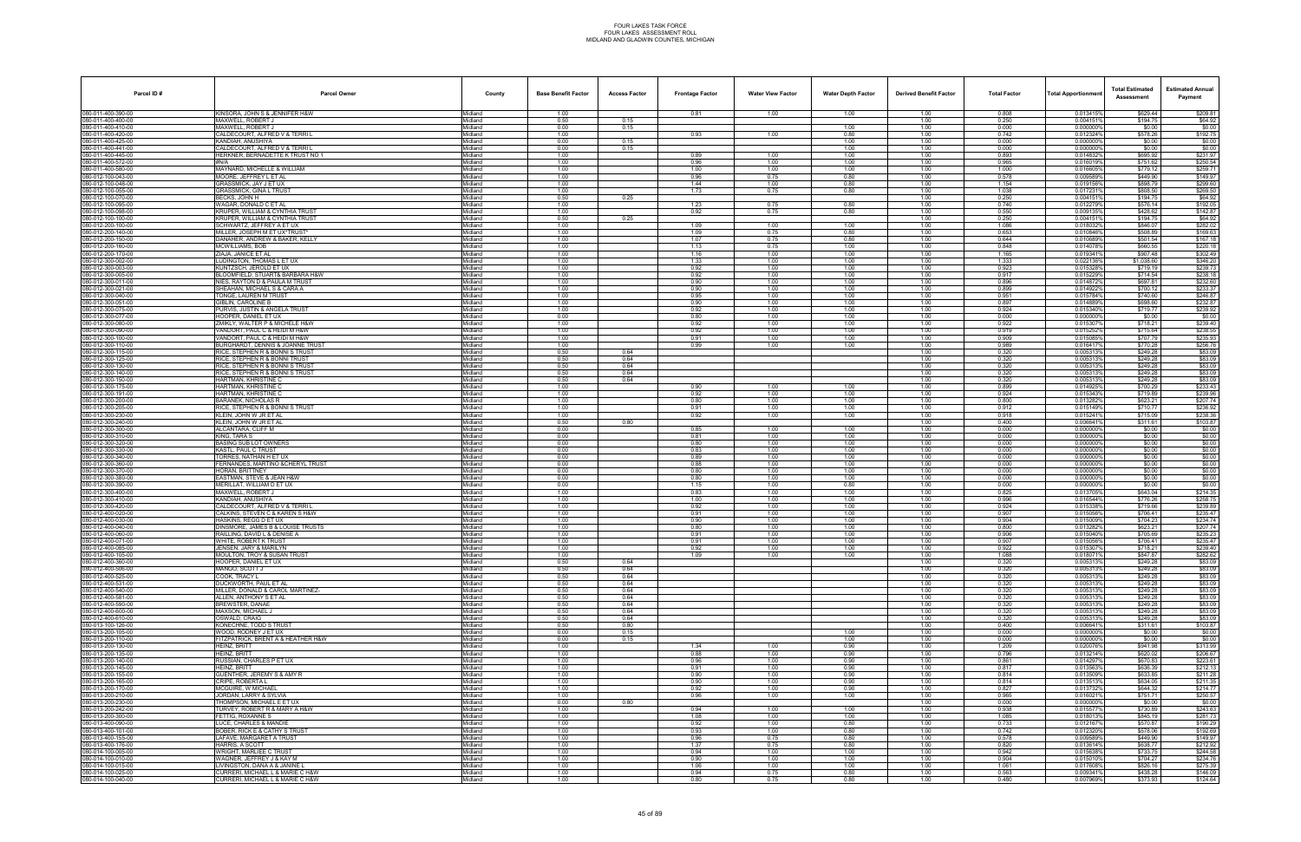| Parcel ID#                               | <b>Parcel Owner</b>                                                           | County             | <b>Base Benefit Factor</b> | <b>Access Factor</b> | <b>Frontage Factor</b> | <b>Water View Factor</b> | <b>Water Depth Factor</b> | <b>Derived Benefit Factor</b> | <b>Total Factor</b> | <b>Total Apportionmer</b> | <b>Total Estimated</b><br>Assessment | <b>Estimated Annual</b><br>Payment |
|------------------------------------------|-------------------------------------------------------------------------------|--------------------|----------------------------|----------------------|------------------------|--------------------------|---------------------------|-------------------------------|---------------------|---------------------------|--------------------------------------|------------------------------------|
| 080-011-400-390-00                       | KINSORA, JOHN S & JENNIFER H&W                                                | Midland            | 1.00                       |                      | 0.81                   | 1.00                     | 1.00                      | 1.00                          | 0.808               | 0.013415%                 | \$629.44                             | \$209.81                           |
| 00-011-400-400-00<br>080-011-400-410-00  | MAXWELL, ROBERT J<br>MAXWELL, ROBERT J                                        | Midland<br>Midland | 0.50<br>0.00               | 0.15<br>0.15         |                        |                          | 1.00                      | 1.00<br>1.00                  | 0.250<br>0.000      | 0.0041519<br>0.0000009    | \$194.75<br>\$0.00                   | \$64.92<br>\$0.00                  |
| 080-011-400-420-00                       | CALDECOURT, ALFRED V & TERRI L                                                | Midland            | 1.00                       |                      | 0.93                   | 1.00                     | 0.80                      | 1.00                          | 0.742               | 0.012324%                 | \$578.26                             | \$192.75                           |
| 080-011-400-425-00<br>080-011-400-441-00 | KANDIAH, ANUSHIYA<br>CALDECOURT, ALFRED V & TERRI L                           | Midland<br>Midland | 0.00<br>0.00               | 0.15<br>0.15         |                        |                          | 1.00<br>1.00              | 1.00<br>1.00                  | 0.000<br>0.000      | 0.000000%<br>0.000000%    | \$0.00<br>\$0.00                     | \$0.00<br>\$0.00                   |
| 080-011-400-445-00                       | HERKNER, BERNADETTE K TRUST NO 1                                              | Midland            | 1.00                       |                      | 0.89                   | 1.00                     | 1.00                      | 1.00                          | 0.893               | 0.0148329                 | \$695.92                             | \$231.97                           |
| 80-011-400-572-00                        | #N/A                                                                          | Midland            | 1.00                       |                      | 0.96                   | 1.00                     | 1.00                      | 1.00                          | 0.965               | 0.0160199                 | \$751.62                             | \$250.54                           |
| 080-011-400-580-00<br>080-012-100-043-00 | MAYNARD, MICHELLE & WILLIAM<br>MOORE, JEFFREY L ET AL                         | Midland<br>Midland | 1.00<br>1.00               |                      | 1.00<br>0.96           | 1.00<br>0.75             | 1.00<br>0.80              | 1.00<br>1.00                  | 1.000<br>0.578      | 0.016605%<br>0.009589%    | \$779.12<br>\$449.90                 | \$259.71<br>\$149.97               |
| 080-012-100-048-00                       | <b>GRASSMICK, JAY J ET UX</b>                                                 | Midland            | 1.00                       |                      | 1.44                   | 1.00                     | 0.80                      | 1.00                          | 1.154               | 0.019156%                 | \$898.79                             | \$299.60                           |
| 080-012-100-055-00<br>80-012-100-070-00  | GRASSMICK, GINA L TRUST<br>BECKS, JOHN H                                      | Midland<br>Midland | 1.00<br>0.50               | 0.25                 | 1.73                   | 0.75                     | 0.80                      | 1.00<br>1.00                  | 1.038<br>0.250      | 0.0172319<br>0.0041519    | \$808.50<br>\$194.75                 | \$269.50<br>\$64.92                |
| 080-012-100-095-00                       | WAGAR, DONALD C ET AL                                                         | Midland            | 1.00                       |                      | 1.23                   | 0.75                     | 0.80                      | 1.00                          | 0.740               | 0.012279%                 | \$576.14                             | \$192.05                           |
| 080-012-100-098-00<br>080-012-100-100-00 | KRUPER, WILLIAM & CYNTHIA TRUST<br><b>KRUPER, WILLIAM &amp; CYNTHIA TRUST</b> | Midland<br>Midland | 1.00<br>0.50               | 0.25                 | 0.92                   | 0.75                     | 0.80                      | 1.00<br>1.00                  | 0.550<br>0.250      | 0.009135%<br>0.0041519    | \$428.62<br>\$194.75                 | \$142.87<br>\$64.92                |
| 80-012-200-100-00                        | SCHWARTZ, JEFFREY A ET UX                                                     | Midland            | 1.00                       |                      | 1.09                   | 1.00                     | 1.00                      | 1.00                          | 1.086               | 0.0180329                 | \$846.07                             | \$282.02                           |
| 80-012-200-140-00                        | MILLER, JOSEPH M ET UX*TRUST                                                  | Midland            | 1.00                       |                      | 1.09                   | 0.75                     | 0.80                      | 1.00                          | 0.653               | 0.010846%                 | \$508.89                             | \$169.63                           |
| 080-012-200-150-00<br>80-012-200-160-00  | DANAHER, ANDREW & BAKER, KELLY<br>MCWILLIAMS, BOB                             | Midland<br>Midland | 1.00<br>1.00               |                      | 1.07<br>1.13           | 0.75<br>0.75             | 0.80<br>1.00              | 1.00<br>1.00                  | 0.644<br>0.848      | 0.010689%<br>0.014078%    | \$501.54<br>\$660.55                 | \$167.18<br>\$220.18               |
| 080-012-200-170-00                       | ZIAJA, JANICE ET AL                                                           | Midland            | 1.00                       |                      | 1.16                   | 1.00                     | 1.00                      | 1.00                          | 1.165               | 0.0193419                 | \$907.48                             | \$302.49                           |
| 080-012-300-002-00<br>80-012-300-003-00  | LUDINGTON, THOMAS L ET UX<br>KUNTZSCH, JEROLD ET UX                           | Midland<br>Midland | 1.00<br>1.00               |                      | 1.33<br>0.92           | 1.00<br>1.00             | 1.00<br>1.00              | 1.00<br>1.00                  | 1.333<br>0.923      | 0.022136%<br>0.015328%    | \$1,038.60<br>\$719.19               | \$346.20<br>\$239.73               |
| 080-012-300-005-00                       | BLOOMFIELD, STUART& BARBARA H&W                                               | Midland            | 1.00                       |                      | 0.92                   | 1.00                     | 1.00                      | 1.00                          | 0.917               | 0.015229%                 | \$714.54                             | \$238.18                           |
| 080-012-300-011-00<br>080-012-300-021-00 | NIES, RAYTON D & PAULA M TRUST<br>SHEAHAN, MICHAEL S & CARA A                 | Midland<br>Midland | 1.00<br>1.00               |                      | 0.90<br>0.90           | 1.00<br>1.00             | 1.00<br>1.00              | 1.00<br>1.00                  | 0.896<br>0.899      | 0.014872%<br>0.0149229    | \$697.81<br>\$700.12                 | \$232.60<br>\$233.37               |
| 80-012-300-040-00                        | TONGE, LAUREN M TRUST                                                         | Midland            | 1.00                       |                      | 0.95                   | 1.00                     | 1.00                      | 1.00                          | 0.951               | 0.015784%                 | \$740.60                             | \$246.87                           |
| 80-012-300-051-00                        | GIBLIN. CAROLINE B                                                            | Midland            | 1.00                       |                      | 0.90                   | 1.00                     | 1.00                      | 1.00                          | 0.897               | 0.014889%                 | \$698.60                             | \$232.87                           |
| 080-012-300-075-00<br>80-012-300-077-00  | PURVIS, JUSTIN & ANGELA TRUST<br>HOOPER. DANIEL ET UX                         | Midland<br>Midland | 1.00<br>0.00               |                      | 0.92<br>0.80           | 1.00<br>1.00             | 1.00<br>1.00              | 1.00<br>1.00                  | 0.924<br>0.000      | 0.015340%<br>0.000000%    | \$719.77<br>\$0.00                   | \$239.92<br>\$0.00                 |
| 080-012-300-080-00                       | ZMIKLY, WALTER P & MICHELE H&W                                                | Midland            | 1.00                       |                      | 0.92                   | 1.00                     | 1.00                      | 1.00                          | 0.922               | 0.0153079                 | \$718.21                             | \$239.40                           |
| 080-012-300-090-00<br>80-012-300-100-00  | VANDORT, PAUL C & HEIDI M H&W<br>VANDORT. PAUL C & HEIDI M H&W                | Midland<br>Midland | 1.00<br>1.00               |                      | 0.92<br>0.91           | 1.00<br>1.00             | 1.00<br>1.00              | 1.00<br>1.00                  | 0.919<br>0.909      | 0.015252%<br>0.015085%    | \$715.64<br>\$707.79                 | \$238.55<br>\$235.93               |
| 080-012-300-110-00                       | BURGHARDT, DENNIS & JOANNE TRUST                                              | Midland            | 1.00                       |                      | 0.99                   | 1.00                     | 1.00                      | 1.00                          | 0.989               | 0.016417%                 | \$770.28                             | \$256.76                           |
| 080-012-300-115-00<br>080-012-300-125-00 | RICE, STEPHEN R & BONNI S TRUST<br>RICE, STEPHEN R & BONNI TRUST              | Midland<br>Midland | 0.50<br>0.50               | 0.64<br>0.64         |                        |                          |                           | 1.00<br>1.00                  | 0.320<br>0.320      | 0.005313%<br>0.005313     | \$249.28<br>\$249.28                 | \$83.09<br>\$83.09                 |
| 80-012-300-130-00                        | RICE. STEPHEN R & BONNI S TRUST                                               | Midland            | 0.50                       | 0.64                 |                        |                          |                           | 1.00                          | 0.320               | 0.005313%                 | \$249.28                             | \$83.09                            |
| 30-012-300-140-00                        | RICE, STEPHEN R & BONNI S TRUST                                               | Midland            | 0.50                       | 0.64                 |                        |                          |                           | 1.00                          | 0.320               | 0.0053139                 | \$249.28                             | \$83.09                            |
| 080-012-300-150-00<br>80-012-300-175-00  | HARTMAN, KHRISTINE C<br>HARTMAN, KHRISTINE C                                  | Midland<br>Midland | 0.50<br>1.00               | 0.64                 | 0.90                   | 1.00                     | 1.00                      | 1.00<br>1.00                  | 0.320<br>0.899      | 0.005313%<br>0.014925%    | \$249.28<br>\$700.29                 | \$83.09<br>\$233.43                |
| 080-012-300-191-00                       | HARTMAN, KHRISTINE C                                                          | Midland            | 1.00                       |                      | 0.92                   | 1.00                     | 1.00                      | 1.00                          | 0.924               | 0.015343%                 | \$719.89                             | \$239.96                           |
| 080-012-300-200-00<br>80-012-300-205-00  | <b>BARANEK, NICHOLAS R</b><br>RICE. STEPHEN R & BONNI S TRUST                 | Midland<br>Midland | 1.00<br>1.00               |                      | 0.80<br>0.91           | 1.00<br>1.00             | 1.00<br>1.00              | 1.00<br>1.00                  | 0.800<br>0.912      | 0.013282%<br>0.015149%    | \$623.21<br>\$710.77                 | \$207.74<br>\$236.92               |
| 080-012-300-230-00                       | KLEIN, JOHN W JR ET AL                                                        | Midland            | 1.00                       |                      | 0.92                   | 1.00                     | 1.00                      | 1.00                          | 0.918               | 0.015241%                 | \$715.09                             | \$238.36                           |
| 080-012-300-240-00<br>080-012-300-300-00 | KLEIN, JOHN W JR ET AL<br>ALCANTARA, CLIFF M                                  | Midland<br>Midland | 0.50<br>0.00               | 0.80                 | 0.85                   | 1.00                     | 1.00                      | 1.00<br>1.00                  | 0.400<br>0.000      | 0.006641%<br>0.0000009    | \$311.61<br>\$0.00                   | \$103.87<br>\$0.00                 |
| 80-012-300-310-00                        | KING. TARA S                                                                  | Midland            | 0.00                       |                      | 0.81                   | 1.00                     | 1.00                      | 1.00                          | 0.000               | 0.000000%                 | \$0.00                               | \$0.00                             |
| 80-012-300-320-00                        | BASING SUB LOT OWNERS                                                         | Midland            | 0.00                       |                      | 0.80                   | 1.00                     | 1.00                      | 1.00                          | 0.000               | 0.000000%                 | \$0.00                               | \$0.00                             |
| 080-012-300-330-00<br>80-012-300-340-00  | KASTL, PAUL C TRUST<br>FORRES. NATHAN H ET UX                                 | Midland<br>Midland | 0.00<br>0.00               |                      | 0.83<br>0.89           | 1.00<br>1.00             | 1.00<br>1.00              | 1.00<br>1.00                  | 0.000<br>0.000      | 0.0000009<br>0.000000     | \$0.00<br>\$0.00                     | \$0.00<br>\$0.00                   |
| 080-012-300-360-00                       | FERNANDES, MARTINO & CHERYL TRUST                                             | Midland            | 0.00                       |                      | 0.88                   | 1.00                     | 1.00                      | 1.00                          | 0.000               | 0.0000009                 | \$0.00                               | \$0.00                             |
| 080-012-300-370-00<br>80-012-300-380-00  | HORAN, BRITTNEY<br>EASTMAN, STEVE & JEAN H&W                                  | Midland<br>Midland | 0.00<br>0.00               |                      | 0.80<br>0.80           | 1.00<br>1.00             | 1.00<br>1.00              | 1.00<br>1.00                  | 0.000<br>0.000      | 0.000000%<br>0.000000%    | \$0.00<br>\$0.00                     | \$0.00<br>\$0.00                   |
| 080-012-300-390-00                       | MERILLAT. WILLIAM D ET UX                                                     | Midland            | 0.00                       |                      | 1.15                   | 1.00                     | 0.80                      | 1.00                          | 0.000               | 0.0000009                 | \$0.00                               | \$0.00                             |
| 080-012-300-400-00<br>080-012-300-410-00 | MAXWELL, ROBERT J<br>KANDIAH, ANUSHIYA                                        | Midland<br>Midland | 1.00<br>1.00               |                      | 0.83<br>1.00           | 1.00<br>1.00             | 1.00<br>1.00              | 1.00<br>1.00                  | 0.825<br>0.996      | 0.0137059<br>0.016544%    | \$643.04<br>\$776.26                 | \$214.35<br>\$258.75               |
| 80-012-300-420-00                        | CALDECOURT, ALFRED V & TERRI L                                                | Midland            | 1.00                       |                      | 0.92                   | 1.00                     | 1.00                      | 1.00                          | 0.924               | 0.015338%                 | \$719.66                             | \$239.89                           |
| 80-012-400-020-00                        | CALKINS. STEVEN C & KAREN S H&W                                               | Midland            | 1.00<br>1.00               |                      | 0.91                   | 1.00                     | 1.00                      | 1.00                          | 0.907<br>0.904      | 0.015056%<br>0.015009%    | \$706.41<br>\$704.23                 | \$235.47<br>\$234.74               |
| 080-012-400-030-00<br>080-012-400-040-00 | HASKINS, REGG D ET UX<br>DINSMORE, JAMES B & LOUISE TRUSTS                    | Midland<br>Midland | 1.00                       |                      | 0.90<br>0.80           | 1.00<br>1.00             | 1.00<br>1.00              | 1.00<br>1.00                  | 0.800               | 0.013282                  | \$623.21                             | \$207.74                           |
| 080-012-400-060-00                       | RAILLING, DAVID L & DENISE A                                                  | Midland            | 1.00                       |                      | 0.91                   | 1.00                     | 1.00                      | 1.00                          | 0.906               | 0.015040%                 | \$705.69                             | \$235.23                           |
| 080-012-400-071-00<br>080-012-400-085-00 | WHITE, ROBERT K TRUST<br>JENSEN, JARY & MARILYN                               | Midland<br>Midland | 1.00<br>1.00               |                      | 0.91<br>0.92           | 1.00<br>1.00             | 1.00<br>1.00              | 1.00<br>1.00                  | 0.907<br>0.922      | 0.015056%<br>0.0153079    | \$706.41<br>\$718.21                 | \$235.47<br>\$239.40               |
| 080-012-400-105-00                       | MOULTON, TROY & SUSAN TRUST                                                   | Midland            | 1.00                       |                      | 1.09                   | 1.00                     | 1.00                      | 1.00                          | 1.088               | 0.018071%                 | \$847.87                             | \$282.62                           |
| 080-012-400-360-00<br>080-012-400-506-00 | HOOPER, DANIEL ET UX<br>MANGO, SCOTT J                                        | Midland<br>Midland | 0.50<br>0.50               | 0.64<br>0.64         |                        |                          |                           | 1.00<br>1.00                  | 0.320<br>0.320      | 0.005313%<br>0.005313%    | \$249.28<br>\$249.28                 | \$83.09<br>\$83.09                 |
| 080-012-400-525-00                       | COOK. TRACY L                                                                 | Midland            | 0.50                       | 0.64                 |                        |                          |                           | 1.00                          | 0.320               | 0.005313%                 | \$249.28                             | \$83.09                            |
| 80-012-400-531-00<br>080-012-400-540-00  | DUCKWORTH, PAUL ET AL<br>MILLER, DONALD & CAROL MARTINEZ-                     | Midland<br>Midland | 0.50<br>0.50               | 0.64<br>0.64         |                        |                          |                           | 1.00<br>1.00                  | 0.320<br>0.320      | 0.005313%<br>0.0053139    | \$249.28<br>\$249.28                 | \$83.09<br>\$83.09                 |
| 80-012-400-581-00                        | ALLEN, ANTHONY S ET AL                                                        | Midland            | 0.50                       | 0.64                 |                        |                          |                           | 1.00                          | 0.320               | 0.0053139                 | \$249.28                             | \$83.09                            |
| 080-012-400-590-00                       | BREWSTER, DANAE<br>MAXSON, MICHAEL J                                          | Midland            | 0.50                       | 0.64                 |                        |                          |                           | 1.00                          | 0.320               | 0.005313%                 | \$249.28                             | \$83.09                            |
| 00-012-400-600-00<br>00-012-400-610-00   | OSWALD. CRAIG                                                                 | Midland<br>Midland | 0.50<br>0.50               | 0.64<br>0.64         |                        |                          |                           | 1.00<br>1.00                  | 0.320<br>0.320      | 0.005313%<br>0.005313%    | \$249.28<br>\$249.28                 | \$83.09<br>\$83.09                 |
| 080-013-100-126-00                       | KONECHNE, TODD S TRUST                                                        | Midland            | 0.50                       | 0.80                 |                        |                          |                           | 1.00                          | 0.400               | 0.0066419                 | \$311.61                             | \$103.87                           |
| 080-013-200-105-00<br>080-013-200-110-00 | WOOD, RODNEY J ET UX<br>FITZPATRICK, BRENT A & HEATHER H&W                    | Midland<br>Midland | 0.00<br>0.00               | 0.15<br>0.15         |                        |                          | 1.00<br>1.00              | 1.00<br>1.00                  | 0.000<br>0.000      | 0.0000009<br>0.000000%    | \$0.00<br>\$0.00                     | \$0.00<br>\$0.00                   |
| 80-013-200-130-00                        | HEINZ, BRITT                                                                  | Midland            | 1.00                       |                      | 1.34                   | 1.00                     | 0.90                      | 1.00                          | 1.209               | 0.020076%                 | \$941.98                             | \$313.99                           |
| 080-013-200-135-00<br>080-013-200-140-00 | HEINZ, BRITT<br>RUSSIAN, CHARLES P ET UX                                      | Midland<br>Midland | 1.00<br>1.00               |                      | 0.88<br>0.96           | 1.00<br>1.00             | 0.90<br>0.90              | 1.00<br>1.00                  | 0.796<br>0.861      | 0.013214%<br>0.0142979    | \$620.02<br>\$670.83                 | \$206.67<br>\$223.61               |
| 080-013-200-145-00                       | HEINZ. BRITT                                                                  | Midland            | 1.00                       |                      | 0.91                   | 1.00                     | 0.90                      | 1.00                          | 0.817               | 0.0135639                 | \$636.39                             | \$212.13                           |
| 080-013-200-155-00                       | GUENTHER, JEREMY S & AMY R                                                    | Midland            | 1.00<br>1.00               |                      | 0.90                   | 1.00<br>1.00             | 0.90<br>0.90              | 1.00<br>1.00                  | 0.814               | 0.013509%<br>0.013513%    | \$633.85                             | \$211.28                           |
| 080-013-200-165-00<br>080-013-200-170-00 | CRIPE, ROBERTA L<br>MCGUIRE. W MICHAEL                                        | Midland<br>Midland | 1.00                       |                      | 0.90<br>0.92           | 1.00                     | 0.90                      | 1.00                          | 0.814<br>0.827      | 0.013732%                 | \$634.05<br>\$644.32                 | \$211.35<br>\$214.77               |
| 080-013-200-210-00                       | JORDAN, LARRY & SYLVIA                                                        | Midland            | 1.00                       |                      | 0.96                   | 1.00                     | 1.00                      | 1.00                          | 0.965               | 0.0160219                 | \$751.71                             | \$250.57                           |
| 080-013-200-230-00<br>080-013-200-242-00 | THOMPSON, MICHAEL E ET UX<br>TURVEY, ROBERT R & MARY A H&W                    | Midland<br>Midland | 0.00<br>1.00               | 0.80                 | 0.94                   | 1.00                     | 1.00                      | 1.00<br>1.00                  | 0.000<br>0.938      | 0.000000%<br>0.015577%    | \$0.00<br>\$730.89                   | \$0.00<br>\$243.63                 |
| 080-013-200-300-00                       | FETTIG. ROXANNE S                                                             | Midland            | 1.00                       |                      | 1.08                   | 1.00                     | 1.00                      | 1.00                          | 1.085               | 0.018013%                 | \$845.19                             | \$281.73                           |
| 080-013-400-090-00<br>080-013-400-101-00 | LUCE. CHARLES & MANDIE<br>BOBER, RICK E & CATHY S TRUST                       | Midland<br>Midland | 1.00<br>1.00               |                      | 0.92<br>0.93           | 1.00<br>1.00             | 0.80<br>0.80              | 1.00<br>1.00                  | 0.733<br>0.742      | 0.012167%<br>0.0123209    | \$570.87<br>\$578.06                 | \$190.29<br>\$192.69               |
| 080-013-400-155-00                       | LAFAVE, MARGARET A TRUST                                                      | Midland            | 1.00                       |                      | 0.96                   | 0.75                     | 0.80                      | 1.00                          | 0.578               | 0.009589%                 | \$449.90                             | \$149.97                           |
| 080-013-400-176-00                       | HARRIS, A SCOTT                                                               | Midland            | 1.00<br>1.00               |                      | 1.37<br>0.94           | 0.75                     | 0.80                      | 1.00                          | 0.820<br>0.942      | 0.013614%<br>0.015638%    | \$638.77<br>\$733.75                 | \$212.92<br>\$244.58               |
| 080-014-100-005-00<br>00-014-100-010-00  | WRIGHT, MARLIEE C TRUST<br>WAGNER. JEFFREY J & KAY M                          | Midland<br>Midland | 1.00                       |                      | 0.90                   | 1.00<br>1.00             | 1.00<br>1.00              | 1.00<br>1.00                  | 0.904               | 0.015010%                 | \$704.27                             | \$234.76                           |
| 080-014-100-015-00                       | LIVINGSTON, DANA A & JANINE                                                   | Midland            | 1.00                       |                      | 1.06                   | 1.00                     | 1.00                      | 1.00                          | 1.061               | 0.017608%                 | \$826.16                             | \$275.39                           |
| 080-014-100-025-00<br>080-014-100-040-00 | CURRERI, MICHAEL L & MARIE C H&W<br>CURRERI, MICHAEL L & MARIE C H&W          | Midland<br>Midland | 1.00<br>1.00               |                      | 0.94<br>0.80           | 0.75<br>0.75             | 0.80<br>0.80              | 1.00<br>1.00                  | 0.563<br>0.480      | 0.009341%<br>0.007969%    | \$438.28<br>\$373.93                 | \$146.09<br>\$124.64               |
|                                          |                                                                               |                    |                            |                      |                        |                          |                           |                               |                     |                           |                                      |                                    |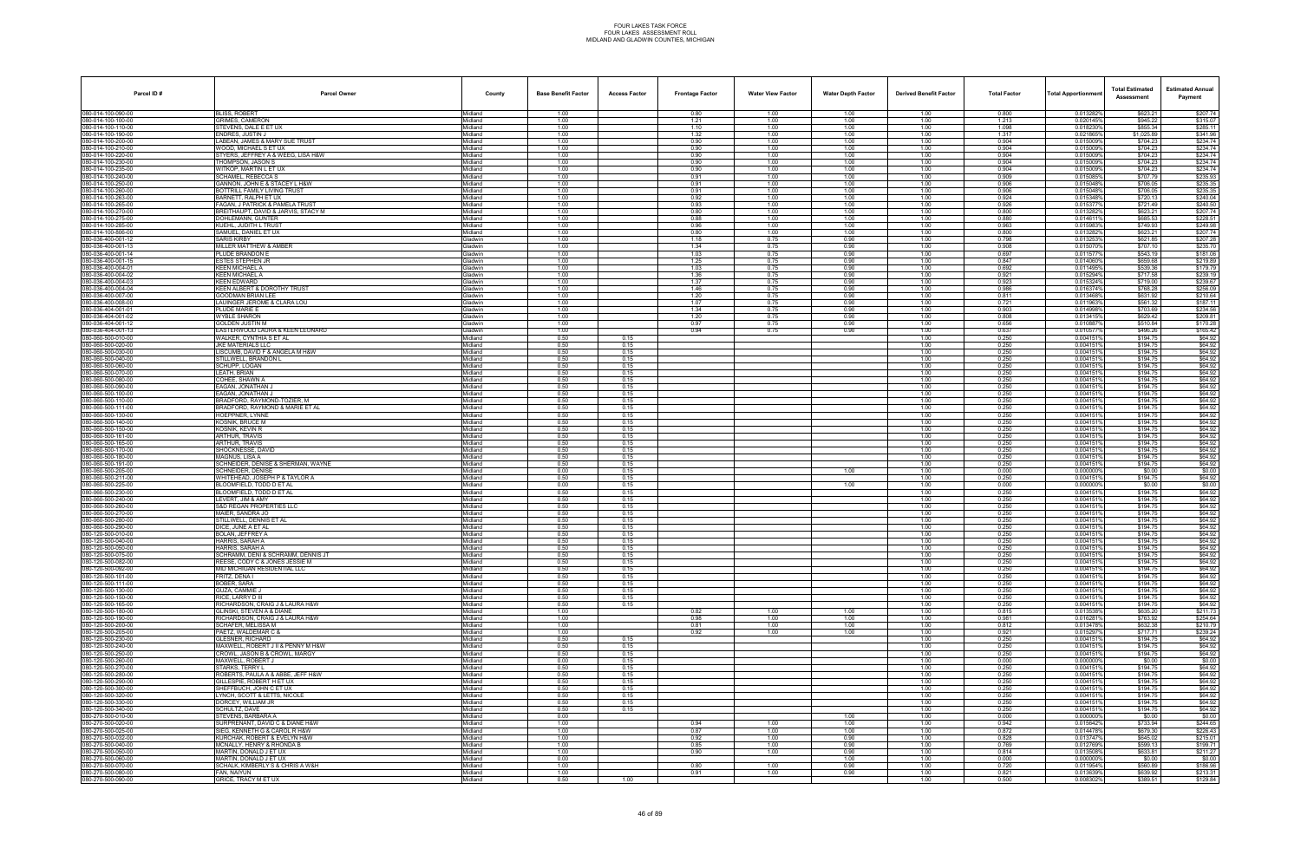| Parcel ID#                               | <b>Parcel Owner</b>                                            | County                    | <b>Base Benefit Factor</b> | <b>Access Factor</b> | <b>Frontage Factor</b> | <b>Water View Factor</b> | <b>Water Depth Factor</b> | <b>Derived Benefit Factor</b> | <b>Total Factor</b> | Total Apportionmen     | <b>Total Estimated</b><br>Assessment | <b>Estimated Annual</b><br>Payment |
|------------------------------------------|----------------------------------------------------------------|---------------------------|----------------------------|----------------------|------------------------|--------------------------|---------------------------|-------------------------------|---------------------|------------------------|--------------------------------------|------------------------------------|
| 080-014-100-090-00                       | <b>BLISS, ROBERT</b>                                           | Midland                   | 1.00                       |                      | 0.80                   | 1.00                     | 1.00                      | 1.00                          | 0.800               | 0.013282%              | \$623.21                             | \$207.74                           |
| 00-014-100-100-00<br>80-014-100-110-00   | GRIMES, CAMERON<br>STEVENS, DALE E ET UX                       | Midland<br>Midland        | 1.00<br>1.00               |                      | 1.21<br>1.10           | 1.00<br>1.00             | 1.00<br>1.00              | 1.00<br>1.00                  | 1.213<br>1.098      | 0.020145%              | \$945.22<br>\$855.34                 | \$315.07                           |
| 080-014-100-190-00                       | ENDRES, JUSTIN J                                               | Midland                   | 1.00                       |                      | 1.32                   | 1.00                     | 1.00                      | 1.00                          | 1.317               | 0.018230%<br>0.021865% | \$1,025.89                           | \$285.11<br>\$341.96               |
| 80-014-100-200-00                        | LABEAN, JAMES & MARY SUE TRUST                                 | Midland                   | 1.00                       |                      | 0.90                   | 1.00                     | 1.00                      | 1.00                          | 0.904               | 0.015009%              | \$704.23                             | \$234.74                           |
| 080-014-100-210-00                       | WOOD, MICHAEL S ET UX                                          | Midland                   | 1.00<br>1.00               |                      | 0.90                   | 1.00<br>1.00             | 1.00<br>1.00              | 1.00                          | 0.904<br>0.904      | 0.015009%<br>0.015009% | \$704.23<br>\$704.23                 | \$234.74<br>\$234.74               |
| 80-014-100-220-00<br>80-014-100-230-00   | STYERS, JEFFREY A & WEEG, LISA H&W<br><b>FHOMPSON, JASON S</b> | Midland<br>Midland        | 1.00                       |                      | 0.90<br>0.90           | 1.00                     | 1.00                      | 1.00<br>1.00                  | 0.904               | 0.015009%              | \$704.23                             | \$234.74                           |
| 080-014-100-235-00                       | WITKOP, MARTIN L ET UX                                         | Midland                   | 1.00                       |                      | 0.90                   | 1.00                     | 1.00                      | 1.00                          | 0.904               | 0.015009%              | \$704.23                             | \$234.74                           |
| 80-014-100-240-00                        | SCHAMEL. REBECCA S                                             | Midland                   | 1.00                       |                      | 0.91                   | 1.00                     | 1.00                      | 1.00                          | 0.909               | 0.015085%              | \$707.79                             | \$235.93                           |
| 00-014-100-250-00<br>80-014-100-260-00   | GANNON, JOHN E & STACEY L H&W<br>BOTTRILL FAMILY LIVING TRUST  | Midland<br>Midland        | 1.00<br>1.00               |                      | 0.91<br>0.91           | 1.00<br>1.00             | 1.00<br>1.00              | 1.00<br>1.00                  | 0.906<br>0.906      | 0.015048%<br>0.015048% | \$706.05<br>\$706.05                 | \$235.35<br>\$235.35               |
| 80-014-100-263-00                        | BARNETT, RALPH ET UX                                           | Midland                   | 1.00                       |                      | 0.92                   | 1.00                     | 1.00                      | 1.00                          | 0.924               | 0.015348%              | \$720.13                             | \$240.04                           |
| 080-014-100-265-00                       | FAGAN, J PATRICK & PAMELA TRUST                                | Midland                   | 1.00                       |                      | 0.93                   | 1.00                     | 1.00                      | 1.00                          | 0.926               | 0.015377%              | \$721.49                             | \$240.50                           |
| 80-014-100-270-00<br>080-014-100-275-00  | BREITHAUPT, DAVID & JARVIS, STACY M<br>DOHLEMANN, GUNTER       | Midland<br>Midland        | 1.00<br>1.00               |                      | 0.80<br>0.88           | 1.00<br>1.00             | 1.00<br>1.00              | 1.00<br>1.00                  | 0.800<br>0.880      | 0.013282%<br>0.0146119 | \$623.21<br>\$685.53                 | \$207.74<br>\$228.51               |
| 80-014-100-285-00                        | KUEHL, JUDITH L TRUST                                          | Midland                   | 1.00                       |                      | 0.96                   | 1.00                     | 1.00                      | 1.00                          | 0.963               | 0.015983%              | \$749.93                             | \$249.98                           |
| 80-014-100-806-00                        | SAMUEL, DANIEL ET UX                                           | Midland                   | 1.00                       |                      | 0.80                   | 1.00                     | 1.00                      | 1.00                          | 0.800               | 0.013282%              | \$623.21                             | \$207.74                           |
| 080-036-400-001-12<br>30-036-400-001-13  | <b>SARIS KIRBY</b><br>MILLER MATTHEW & AMBER                   | Gladwin<br><b>Gladwin</b> | 1.00<br>1.00               |                      | 1.18<br>1.34           | 0.75<br>0.75             | 0.90<br>0.90              | 1.00<br>1.00                  | 0.798<br>0.908      | 0.013253%<br>0.015070% | \$621.85<br>\$707.10                 | \$207.28<br>\$235.70               |
| 080-036-400-001-14                       | PLUDE BRANDON I                                                | <b>Gladwin</b>            | 1.00                       |                      | 1.03                   | 0.75                     | 0.90                      | 1.00                          | 0.697               | 0.0115779              | \$543.19                             | \$181.06                           |
| 80-036-400-001-15                        | ESTES STEPHEN JR                                               | <b>Gladwin</b>            | 1.00                       |                      | 1.25                   | 0.75                     | 0.90                      | 1.00                          | 0.847               | 0.014060%              | \$659.68                             | \$219.89                           |
| 80-036-400-004-01<br>80-036-400-004-02   | KEEN MICHAEL A<br><b>KEEN MICHAEL A</b>                        | <b>Gladwin</b><br>Gladwin | 1.00<br>1.00               |                      | 1.03<br>1.36           | 0.75<br>0.75             | 0.90<br>0.90              | 1.00<br>1.00                  | 0.692<br>0.921      | 0.011495%<br>0.015294% | \$539.36<br>\$717.58                 | \$179.79<br>\$239.19               |
| 80-036-400-004-03                        | <b>KEEN EDWARD</b>                                             | <b>Gladwin</b>            | 1.00                       |                      | 1.37                   | 0.75                     | 0.90                      | 1.00                          | 0.923               | 0.015324%              | \$719.00                             | \$239.67                           |
| 080-036-400-004-04                       | KEEN ALBERT & DOROTHY TRUST                                    | <b>Gladwin</b>            | 1.00                       |                      | 1.46                   | 0.75                     | 0.90                      | 1.00                          | 0.986               | 0.016374%              | \$768.28                             | \$256.09                           |
| 80-036-400-007-00                        | <b>GOODMAN BRIAN LEE</b>                                       | <b>Gladwin</b>            | 1.00                       |                      | 1.20                   | 0.75                     | 0.90                      | 1.00                          | 0.811               | 0.013468%              | \$631.92                             | \$210.64                           |
| 30-036-400-008-00<br>80-036-404-001-01   | LAUINGER JEROME & CLARA LOU<br>PLUDE MARIE E                   | <b>Gladwin</b><br>Gladwin | 1.00<br>1.00               |                      | 1.07<br>1.34           | 0.75<br>0.75             | 0.90<br>0.90              | 1.00<br>1.00                  | 0.721<br>0.903      | 0.011963%<br>0.014998% | \$561.32<br>\$703.69                 | \$187.11<br>\$234.56               |
| 30-036-404-001-02                        | <b>WYBLE SHARON</b>                                            | <b>Gladwin</b>            | 1.00                       |                      | 1.20                   | 0.75                     | 0.90                      | 1.00                          | 0.808               | 0.013415%              | \$629.42                             | \$209.81                           |
| 080-036-404-001-12                       | GOLDEN JUSTIN M                                                | <b>Gladwin</b>            | 1.00                       |                      | 0.97                   | 0.75                     | 0.90                      | 1.00                          | 0.656               | 0.0108879              | \$510.84                             | \$170.28                           |
| 80-036-404-001-13<br>30-060-500-010-00   | EASTERWOOD LAURA & KEEN LEONARD<br>WALKER, CYNTHIA S ET AL     | <b>Gladwin</b><br>Midland | 1.00<br>0.50               | 0.15                 | 0.94                   | 0.75                     | 0.90                      | 1.00<br>1.00                  | 0.637<br>0.250      | 0.010577%<br>0.004151% | \$496.26<br>\$194.75                 | \$165.42<br>\$64.92                |
| 80-060-500-020-00                        | <b>JKE MATERIALS LLC</b>                                       | Midland                   | 0.50                       | 0.15                 |                        |                          |                           | 1.00                          | 0.250               | 0.004151%              | \$194.75                             | \$64.92                            |
| 30-060-500-030-00                        | LISCUMB, DAVID F & ANGELA M H&W                                | Midland                   | 0.50                       | 0.15                 |                        |                          |                           | 1.00                          | 0.250               | 0.004151%              | \$194.75                             | \$64.92                            |
| 80-060-500-040-00                        | STILLWELL, BRANDON L<br>SCHUPP, LOGAN                          | Midland                   | 0.50                       | 0.15                 |                        |                          |                           | 1.00                          | 0.250               | 0.0041519<br>0.004151% | \$194.75                             | \$64.92                            |
| 80-060-500-060-00<br>30-060-500-070-00   | LEATH, BRIAN                                                   | Midland<br>Midland        | 0.50<br>0.50               | 0.15<br>0.15         |                        |                          |                           | 1.00<br>1.00                  | 0.250<br>0.250      | 0.004151%              | \$194.75<br>\$194.75                 | \$64.92<br>\$64.92                 |
| 80-060-500-080-00                        | COHEE, SHAWN A                                                 | Midland                   | 0.50                       | 0.15                 |                        |                          |                           | 1.00                          | 0.250               | 0.004151%              | \$194.75                             | \$64.92                            |
| 30-060-500-090-00                        | EAGAN, JONATHAN 、                                              | Midland                   | 0.50                       | 0.15                 |                        |                          |                           | 1.00                          | 0.250               | 0.0041519              | \$194.75                             | \$64.92                            |
| 80-060-500-100-00<br>80-060-500-110-00   | EAGAN, JONATHAN J<br>BRADFORD, RAYMOND-TOZIER, M               | Midland<br>Midland        | 0.50<br>0.50               | 0.15<br>0.15         |                        |                          |                           | 1.00<br>1.00                  | 0.250<br>0.250      | 0.0041519<br>0.004151% | \$194.75<br>\$194.75                 | \$64.92<br>\$64.92                 |
| 80-060-500-111-00                        | BRADFORD, RAYMOND & MARIE ET AL                                | Midland                   | 0.50                       | 0.15                 |                        |                          |                           | 1.00                          | 0.250               | 0.004151%              | \$194.75                             | \$64.92                            |
| 80-060-500-130-00                        | HOEPPNER, LYNNE                                                | Midland                   | 0.50                       | 0.15                 |                        |                          |                           | 1.00                          | 0.250               | 0.004151%              | \$194.75                             | \$64.92                            |
| 80-060-500-140-00<br>80-060-500-150-00   | KOSNIK. BRUCE M<br>KOSNIK, KEVIN R                             | Midland<br>Midland        | 0.50<br>0.50               | 0.15<br>0.15         |                        |                          |                           | 1.00<br>1.00                  | 0.250<br>0.250      | 0.0041519<br>0.0041519 | \$194.75<br>\$194.75                 | \$64.92<br>\$64.92                 |
| 80-060-500-161-00                        | <b>ARTHUR, TRAVIS</b>                                          | Midland                   | 0.50                       | 0.15                 |                        |                          |                           | 1.00                          | 0.250               | 0.004151%              | \$194.75                             | \$64.92                            |
| 80-060-500-165-00                        | ARTHUR. TRAVIS                                                 | Midland                   | 0.50                       | 0.15                 |                        |                          |                           | 1.00                          | 0.250               | 0.004151%              | \$194.75                             | \$64.92                            |
| 80-060-500-170-00                        | SHOCKNESSE, DAVID<br>MAGNUS. LISA A                            | Midland                   | 0.50                       | 0.15<br>0.15         |                        |                          |                           | 1.00                          | 0.250               | 0.004151%<br>0.0041519 | \$194.75                             | \$64.92<br>\$64.92                 |
| 30-060-500-180-00<br>80-060-500-191-00   | SCHNEIDER, DENISE & SHERMAN, WAYNE                             | Midland<br>Midland        | 0.50<br>0.50               | 0.15                 |                        |                          |                           | 1.00<br>1.00                  | 0.250<br>0.250      | 0.004151%              | \$194.75<br>\$194.75                 | \$64.92                            |
| 80-060-500-205-00                        | SCHNEIDER, DENISE                                              | Midland                   | 0.00                       | 0.15                 |                        |                          | 1.00                      | 1.00                          | 0.000               | 0.000000%              | \$0.00                               | \$0.00                             |
| 80-060-500-211-00                        | WHITEHEAD, JOSEPH P & TAYLOR A                                 | Midland                   | 0.50                       | 0.15                 |                        |                          |                           | 1.00                          | 0.250               | 0.004151%              | \$194.75                             | \$64.92                            |
| 80-060-500-225-00<br>80-060-500-230-00   | BLOOMFIELD, TODD D ET AL<br>BLOOMFIELD, TODD D ET AL           | Midland<br>Midland        | 0.00<br>0.50               | 0.15<br>0.15         |                        |                          | 1.00                      | 1.00<br>1.00                  | 0.000<br>0.250      | 0.0000009<br>0.0041519 | \$0.00<br>\$194.75                   | \$0.00<br>\$64.92                  |
| 80-060-500-240-00                        | LEVERT, JIM & AMY                                              | Midland                   | 0.50                       | 0.15                 |                        |                          |                           | 1.00                          | 0.250               | 0.004151%              | \$194.75                             | \$64.92                            |
| 80-060-500-260-00                        | S&D REGAN PROPERTIES LLC                                       | Midland                   | 0.50                       | 0.15                 |                        |                          |                           | 1.00                          | 0.250               | 0.004151%              | \$194.75                             | \$64.92                            |
| 80-060-500-270-00<br>80-060-500-280-00   | MAIER. SANDRA JO<br>STILLWELL, DENNIS ET AL                    | Midland                   | 0.50<br>0.50               | 0.15<br>0.15         |                        |                          |                           | 1.00<br>1.00                  | 0.250<br>0.250      | 0.004151%<br>0.0041519 | \$194.75<br>\$194.75                 | \$64.92<br>\$64.92                 |
| 30-060-500-290-00                        | DICE, JUNE A ET AL                                             | Midland<br>Midland        | 0.50                       | 0.15                 |                        |                          |                           | 1.00                          | 0.250               | 0.004151               | \$194.75                             | \$64.92                            |
| 080-120-500-010-00                       | BOLAN, JEFFREY A                                               | Midland                   | 0.50                       | 0.15                 |                        |                          |                           | 1.00                          | 0.250               | 0.004151%              | \$194.75                             | \$64.92                            |
| 080-120-500-040-00                       | HARRIS, SARAH A                                                | Midland                   | 0.50                       | 0.15                 |                        |                          |                           | 1.00                          | 0.250               | 0.0041519              | \$194.75                             | \$64.92                            |
| 080-120-500-050-00<br>080-120-500-075-00 | <b>HARRIS, SARAH A</b><br>SCHRAMM, DENI & SCHRAMM, DENNIS JT   | Midland<br>Midland        | 0.50<br>0.50               | 0.15<br>0.15         |                        |                          |                           | 1.00<br>1.00                  | 0.250<br>0.250      | 0.004151%<br>0.004151% | \$194.75<br>\$194.75                 | \$64.92<br>\$64.92                 |
| 080-120-500-082-00                       | REESE, CODY C & JONES JESSIE M                                 | Midland                   | 0.50                       | 0.15                 |                        |                          |                           | 1.00                          | 0.250               | 0.004151%              | \$194.75                             | \$64.92                            |
| 080-120-500-092-00                       | MID MICHIGAN RESIDENTIAL LLC                                   | Midland                   | 0.50                       | 0.15                 |                        |                          |                           | 1.00                          | 0.250               | 0.004151%              | \$194.75                             | \$64.92                            |
| 80-120-500-101-00<br>80-120-500-111-00   | FRITZ, DENA I<br>BOBER, SARA                                   | Midland<br>Midland        | 0.50<br>0.50               | 0.15<br>0.15         |                        |                          |                           | 1.00<br>1.00                  | 0.250<br>0.250      | 0.004151%<br>0.004151% | \$194.75<br>\$194.75                 | \$64.92<br>\$64.92                 |
| 080-120-500-130-00                       | GUZA, CAMMIE J                                                 | Midland                   | 0.50                       | 0.15                 |                        |                          |                           | 1.00                          | 0.250               | 0.004151%              | \$194.75                             | \$64.92                            |
| 080-120-500-150-00                       | RICE, LARRY D III                                              | Midland                   | 0.50                       | 0.15                 |                        |                          |                           | 1.00                          | 0.250               | 0.004151%              | \$194.75                             | \$64.92                            |
| 080-120-500-165-00                       | RICHARDSON, CRAIG J & LAURA H&W                                | Midland                   | 0.50                       | 0.15                 |                        |                          |                           | 1.00                          | 0.250               | 0.004151%              | \$194.75                             | \$64.92                            |
| 080-120-500-180-00<br>080-120-500-190-00 | GLINSKI, STEVEN A & DIANE<br>RICHARDSON, CRAIG J & LAURA H&W   | Midland<br>Midland        | 1.00<br>1.00               |                      | 0.82<br>0.98           | 1.00<br>1.00             | 1.00<br>1.00              | 1.00<br>1.00                  | 0.815<br>0.981      | 0.013538%<br>0.016281% | \$635.20<br>\$763.92                 | \$211.73<br>\$254.64               |
| 080-120-500-200-00                       | SCHAFER. MELISSA M                                             | Midland                   | 1.00                       |                      | 0.81                   | 1.00                     | 1.00                      | 1.00                          | 0.812               | 0.013478%              | \$632.38                             | \$210.79                           |
| 080-120-500-205-00                       | PAETZ, WALDEMAR C &                                            | Midland                   | 1.00                       |                      | 0.92                   | 1.00                     | 1.00                      | 1.00                          | 0.921               | 0.0152979              | \$717.71                             | \$239.24                           |
| 080-120-500-230-00<br>80-120-500-240-00  | GLESNER, RICHARD<br>MAXWELL, ROBERT J II & PENNY M H&W         | Midland<br>Midland        | 0.50<br>0.50               | 0.15<br>0.15         |                        |                          |                           | 1.00<br>1.00                  | 0.250<br>0.250      | 0.004151%<br>0.004151% | \$194.75<br>\$194.75                 | \$64.92<br>\$64.92                 |
| 80-120-500-250-00                        | CROWL. JASON B & CROWL. MARGY                                  | Midland                   | 0.50                       | 0.15                 |                        |                          |                           | 1.00                          | 0.250               | 0.004151%              | \$194.75                             | \$64.92                            |
| 080-120-500-260-00                       | MAXWELL, ROBERT J                                              | Midland                   | 0.00                       | 0.15                 |                        |                          |                           | 1.00                          | 0.000               | 0.000000%              | \$0.00                               | \$0.00                             |
| 080-120-500-270-00                       | STARKS, TERRY L                                                | Midland                   | 0.50                       | 0.15<br>0.15         |                        |                          |                           | 1.00                          | 0.250               | 0.004151%              | \$194.75                             | \$64.92                            |
| 080-120-500-280-00<br>080-120-500-290-00 | ROBERTS, PAULA A & ABBE, JEFF H&W<br>GILLESPIE, ROBERT H ET UX | Midland<br>Midland        | 0.50<br>0.50               | 0.15                 |                        |                          |                           | 1.00<br>1.00                  | 0.250<br>0.250      | 0.004151%<br>0.004151% | \$194.75<br>\$194.75                 | \$64.92<br>\$64.92                 |
| 080-120-500-300-00                       | SHEFFBUCH, JOHN C ET UX                                        | Midland                   | 0.50                       | 0.15                 |                        |                          |                           | 1.00                          | 0.250               | 0.004151%              | \$194.75                             | \$64.92                            |
| 080-120-500-320-00                       | LYNCH, SCOTT & LETTS, NICOLE                                   | Midland                   | 0.50                       | 0.15                 |                        |                          |                           | 1.00                          | 0.250               | 0.004151%              | \$194.75                             | \$64.92                            |
| 080-120-500-330-00<br>080-120-500-340-00 | DORCEY, WILLIAM JR<br>SCHULTZ, DAVE                            | Midland<br>Midland        | 0.50<br>0.50               | 0.15<br>0.15         |                        |                          |                           | 1.00<br>1.00                  | 0.250<br>0.250      | 0.004151%<br>0.004151% | \$194.75<br>\$194.75                 | \$64.92<br>\$64.92                 |
| 00-270-500-010-00                        | STEVENS, BARBARA A                                             | Midland                   | 0.00                       |                      |                        |                          | 1.00                      | 1.00                          | 0.000               | 0.000000%              | \$0.00                               | \$0.00                             |
| 080-270-500-020-00                       | SURPRENANT, DAVID C & DIANE H&W                                | Midland                   | 1.00                       |                      | 0.94                   | 1.00                     | 1.00                      | 1.00                          | 0.942               | 0.015642%              | \$733.94                             | \$244.65                           |
| 080-270-500-025-00<br>080-270-500-032-00 | SIEG, KENNETH G & CAROL R H&W<br>KURCHAK, ROBERT & EVELYN H&W  | Midland<br>Midland        | 1.00<br>1.00               |                      | 0.87<br>0.92           | 1.00<br>1.00             | 1.00<br>0.90              | 1.00<br>1.00                  | 0.872<br>0.828      | 0.014478%<br>0.013747% | \$679.30<br>\$645.02                 | \$226.43<br>\$215.01               |
| 080-270-500-040-00                       | MCNALLY, HENRY & RHONDA B                                      | Midland                   | 1.00                       |                      | 0.85                   | 1.00                     | 0.90                      | 1.00                          | 0.769               | 0.012769%              | \$599.13                             | \$199.71                           |
| 080-270-500-050-00                       | MARTIN, DONALD J ET UX                                         | Midland                   | 1.00                       |                      | 0.90                   | 1.00                     | 0.90                      | 1.00                          | 0.814               | 0.013508%              | \$633.81                             | \$211.27                           |
| 080-270-500-060-00                       | MARTIN, DONALD J ET UX                                         | Midland                   | 0.00                       |                      |                        |                          | 1.00                      | 1.00                          | 0.000               | 0.000000%              | \$0.00                               | \$0.00                             |
| 080-270-500-070-00<br>080-270-500-080-00 | SCHALK, KIMBERLY S & CHRIS A W&H<br>FAN, NAIYUN                | Midland<br>Midland        | 1.00<br>1.00               |                      | 0.80<br>0.91           | 1.00<br>1.00             | 0.90<br>0.90              | 1.00<br>1.00                  | 0.720<br>0.821      | 0.011954%<br>0.013639% | \$560.89<br>\$639.92                 | \$186.96<br>\$213.31               |
| 080-270-500-090-00                       | GRICE, TRACY M ET UX                                           | Midland                   | 0.50                       | 1.00                 |                        |                          |                           | 1.00                          | 0.500               | 0.008302%              | \$389.51                             | \$129.84                           |
|                                          |                                                                |                           |                            |                      |                        |                          |                           |                               |                     |                        |                                      |                                    |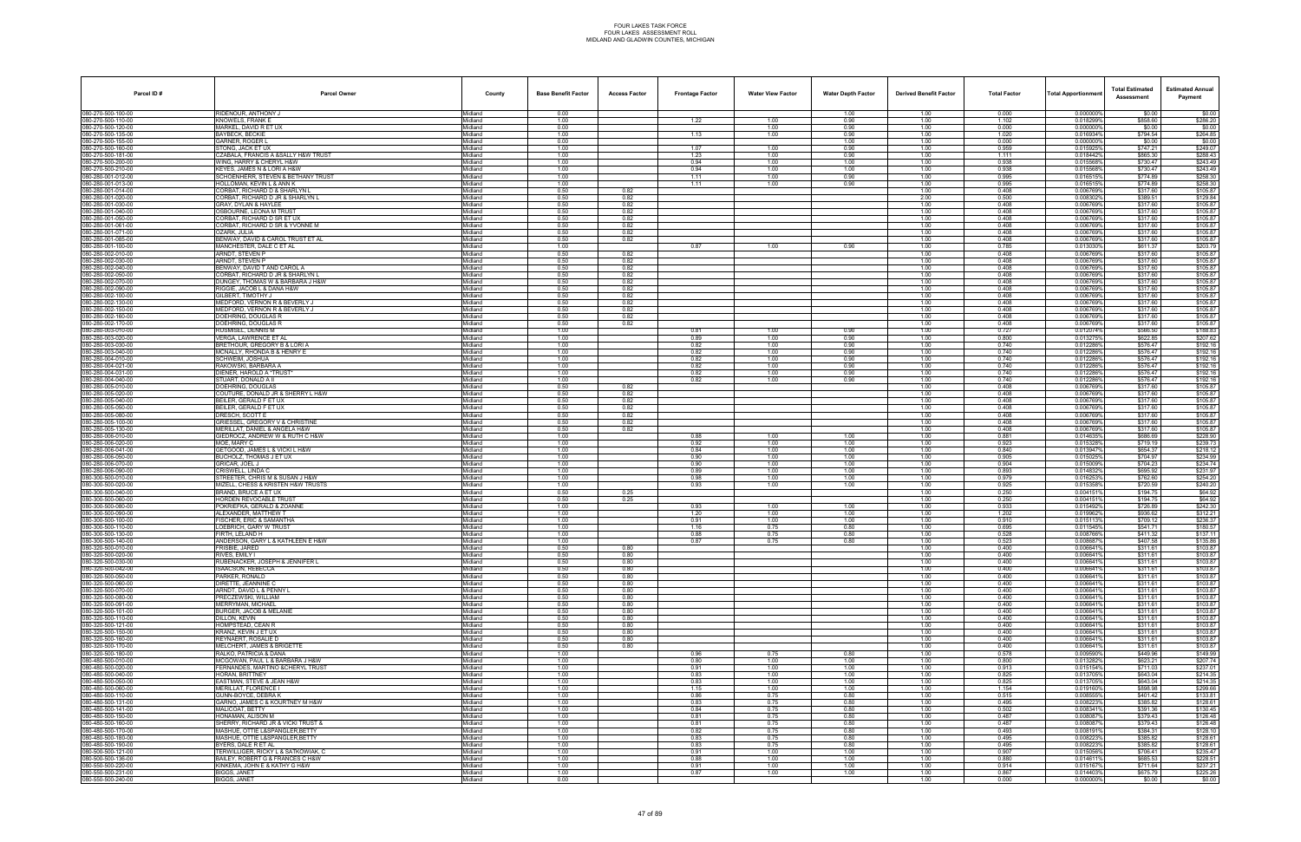| Parcel ID#                               | <b>Parcel Owner</b>                                                     | County             | <b>Base Benefit Factor</b> | <b>Access Factor</b> | <b>Frontage Factor</b> | <b>Water View Factor</b> | <b>Water Depth Factor</b> | <b>Derived Benefit Factor</b> | <b>Total Factor</b> | <b>Total Apportionmen</b> | <b>Total Estimated</b><br>Assessment | <b>Estimated Annual</b><br>Payment |
|------------------------------------------|-------------------------------------------------------------------------|--------------------|----------------------------|----------------------|------------------------|--------------------------|---------------------------|-------------------------------|---------------------|---------------------------|--------------------------------------|------------------------------------|
| 080-270-500-100-00                       | RIDENOUR, ANTHONY J                                                     | Midland            | 0.00                       |                      |                        |                          | 1.00                      | 1.00                          | 0.000               | 0.000000%                 | \$0.00                               | \$0.00                             |
| 080-270-500-110-00<br>080-270-500-120-00 | KNOWELS, FRANK<br>MARKEL, DAVID R ET UX                                 | Midland<br>Midland | 1.00<br>0.00               |                      | 1.22                   | 1.00<br>1.00             | 0.90<br>0.90              | 1.00<br>1.00                  | 1.102<br>0.000      | 0.018299%<br>0.000000%    | \$858.60<br>\$0.00                   | \$286.20<br>\$0.00                 |
| 080-270-500-135-00                       | <b>BAYBECK, BECKIE</b>                                                  | Midland            | 1.00                       |                      | 1.13                   | 1.00                     | 0.90                      | 1.00                          | 1.020               | 0.016934%                 | \$794.54                             | \$264.85                           |
| 080-270-500-155-00<br>080-270-500-160-00 | GARNER, ROGER I<br>STONG, JACK ET UX                                    | Midland<br>Midland | 0.00<br>1.00               |                      | 1.07                   | 1.00                     | 1.00<br>0.90              | 1.00<br>1.00                  | 0.000<br>0.959      | 0.000000%<br>0.015925%    | \$0.00<br>\$747.21                   | \$0.00<br>\$249.07                 |
| 80-270-500-181-00                        | CZABALA, FRANCIS A &SALLY H&W TRUST                                     | Midland            | 1.00                       |                      | 1.23                   | 1.00                     | 0.90                      | 1.00                          | 1.111               | 0.018442%                 | \$865.30                             | \$288.43                           |
| 080-270-500-200-00<br>080-270-500-210-00 | <b>NING. HARRY &amp; CHERYL H&amp;W</b><br>KEYES, JAMES N & LORI A H&W  | Midland<br>Midland | 1.00<br>1.00               |                      | 0.94<br>0.94           | 1.00<br>1.00             | 1.00<br>1.00              | 1.00<br>1.00                  | 0.938<br>0.938      | 0.0155689<br>0.015568%    | \$730.47<br>\$730.47                 | \$243.49<br>\$243.49               |
| 080-280-001-012-00                       | SCHOENHERR, STEVEN & BETHANY TRUST<br>HOLLOMAN, KEVIN L & ANN K         | Midland<br>Midland | 1.00<br>1.00               |                      | 1.11<br>1.11           | 1.00<br>1.00             | 0.90<br>0.90              | 1.00<br>1.00                  | 0.995<br>0.995      | 0.016515%<br>0.016515%    | \$774.89<br>\$774.89                 | \$258.30<br>\$258.30               |
| 080-280-001-013-00<br>080-280-001-014-00 | CORBAT, RICHARD D & SHARLYN I                                           | Midland            | 0.50                       | 0.82                 |                        |                          |                           | 1.00                          | 0.408               | 0.006769%                 | \$317.60                             | \$105.87                           |
| 080-280-001-020-00<br>080-280-001-030-00 | CORBAT, RICHARD D JR & SHARLYN L<br>GRAY, DYLAN & HAYLEE                | Midland<br>Midland | 0.50<br>0.50               | 0.82<br>0.82         |                        |                          |                           | 2.00<br>1.00                  | 0.500<br>0.408      | 0.0083029<br>0.006769%    | \$389.51<br>\$317.60                 | \$129.84<br>\$105.87               |
| 080-280-001-040-00                       | OSBOURNE, LEONA M TRUST                                                 | Midland            | 0.50                       | 0.82                 |                        |                          |                           | 1.00                          | 0.408               | 0.006769%                 | \$317.60                             | \$105.87                           |
| 080-280-001-050-00<br>80-280-001-061-00  | CORBAT, RICHARD D SR ET UX<br>CORBAT, RICHARD D SR & YVONNE M           | Midland<br>Midland | 0.50<br>0.50               | 0.82<br>0.82         |                        |                          |                           | 1.00<br>1.00                  | 0.408<br>0.408      | 0.006769%<br>0.006769%    | \$317.60<br>\$317.60                 | \$105.87<br>\$105.87               |
| 80-280-001-071-00                        | )ZARK. JULIA                                                            | Midland            | 0.50                       | 0.82                 |                        |                          |                           | 1.00                          | 0.408               | 0.006769%                 | \$317.60                             | \$105.87                           |
| 080-280-001-085-00<br>80-280-001-100-00  | BENWAY, DAVID & CAROL TRUST ET AL<br>MANCHESTER, DALE C ET AL           | Midland<br>Midland | 0.50<br>1.00               | 0.82                 | 0.87                   | 1.00                     | 0.90                      | 1.00<br>1.00                  | 0.408<br>0.785      | 0.006769%<br>0.013030%    | \$317.60<br>\$611.37                 | \$105.87<br>\$203.79               |
| 080-280-002-010-00                       | ARNDT, STEVEN P                                                         | Midland            | 0.50                       | 0.82                 |                        |                          |                           | 1.00                          | 0.408               | 0.006769%                 | \$317.60                             | \$105.87                           |
| 080-280-002-030-00<br>080-280-002-040-00 | ARNDT, STEVEN P<br>BENWAY, DAVID T AND CAROL A                          | Midland<br>Midland | 0.50<br>0.50               | 0.82<br>0.82         |                        |                          |                           | 1.00<br>1.00                  | 0.408<br>0.408      | 0.006769%<br>0.006769%    | \$317.60<br>\$317.60                 | \$105.87<br>\$105.87               |
| 080-280-002-050-00                       | CORBAT, RICHARD D JR & SHARLYN L                                        | Midland            | 0.50                       | 0.82                 |                        |                          |                           | 1.00                          | 0.408               | 0.006769%                 | \$317.60                             | \$105.87                           |
| 080-280-002-070-00<br>080-280-002-090-00 | DUNGEY, THOMAS W & BARBARA J H&W<br>RIGGIE, JACOB L & DANA H&W          | Midland<br>Midland | 0.50<br>0.50               | 0.82<br>0.82         |                        |                          |                           | 1.00<br>1.00                  | 0.408<br>0.408      | 0.006769%<br>0.006769%    | \$317.60<br>\$317.60                 | \$105.87<br>\$105.87               |
| 080-280-002-100-00                       | GILBERT. TIMOTHY J                                                      | Midland            | 0.50                       | 0.82                 |                        |                          |                           | 1.00                          | 0.408               | 0.006769%                 | \$317.60                             | \$105.87                           |
| 80-280-002-130-00<br>080-280-002-150-00  | MEDFORD, VERNON R & BEVERLY J<br>MEDFORD, VERNON R & BEVERLY J          | Midland<br>Midland | 0.50<br>0.50               | 0.82<br>0.82         |                        |                          |                           | 1.00<br>1.00                  | 0.408<br>0.408      | 0.006769%<br>0.006769%    | \$317.60<br>\$317.60                 | \$105.87<br>\$105.87               |
| 080-280-002-160-00                       | DOEHRING, DOUGLAS R                                                     | Midland            | 0.50                       | 0.82                 |                        |                          |                           | 1.00                          | 0.408               | 0.006769%                 | \$317.60                             | \$105.87                           |
| 080-280-002-170-00<br>080-280-003-010-00 | DOEHRING, DOUGLAS R<br>RUSMISEL, DENNIS M                               | Midland<br>Midland | 0.50<br>1.00               | 0.82                 | 0.81                   | 1.00                     | 0.90                      | 1.00<br>1.00                  | 0.408<br>0.727      | 0.006769%<br>0.012074%    | \$317.60<br>\$566.50                 | \$105.87<br>\$188.83               |
| 080-280-003-020-00                       | VERGA, LAWRENCE ET AL                                                   | Midland            | 1.00                       |                      | 0.89                   | 1.00                     | 0.90                      | 1.00                          | 0.800               | 0.013275%                 | \$622.85                             | \$207.62                           |
| 080-280-003-030-00<br>080-280-003-040-00 | BRETHOUR, GREGORY B & LORI A<br>MCNALLY, RHONDA B & HENRY E             | Midland<br>Midland | 1.00<br>1.00               |                      | 0.82<br>0.82           | 1.00<br>1.00             | 0.90<br>0.90              | 1.00<br>1.00                  | 0.740<br>0.740      | 0.012286%<br>0.012286%    | \$576.47<br>\$576.47                 | \$192.16<br>\$192.16               |
| 080-280-004-010-00                       | <b>SCHWEIM, JOSHUA</b>                                                  | Midland            | 1.00                       |                      | 0.82                   | 1.00                     | 0.90                      | 1.00                          | 0.740               | 0.012286%                 | \$576.47                             | \$192.16                           |
| 80-280-004-021-00<br>80-280-004-031-00   | RAKOWSKI, BARBARA A<br>DIENER, HAROLD A *TRUST                          | Midland<br>Midland | 1.00<br>1.00               |                      | 0.82<br>0.82           | 1.00<br>1.00             | 0.90<br>0.90              | 1.00<br>1.00                  | 0.740<br>0.740      | 0.012286%<br>0.012286%    | \$576.47<br>\$576.47                 | \$192.16<br>\$192.16               |
| 080-280-004-040-00                       | STUART, DONALD A II                                                     | Midland            | 1.00                       |                      | 0.82                   | 1.00                     | 0.90                      | 1.00                          | 0.740               | 0.012286%                 | \$576.47                             | \$192.16                           |
| 080-280-005-010-00<br>080-280-005-020-00 | DOEHRING, DOUGLAS<br>COUTURE, DONALD JR & SHERRY L H&W                  | Midland<br>Midland | 0.50<br>0.50               | 0.82<br>0.82         |                        |                          |                           | 1.00<br>1.00                  | 0.408<br>0.408      | 0.006769%<br>0.006769%    | \$317.60<br>\$317.60                 | \$105.87<br>\$105.87               |
| 080-280-005-040-00                       | BEILER, GERALD F ET UX                                                  | Midland            | 0.50                       | 0.82                 |                        |                          |                           | 1.00                          | 0.408               | 0.006769%                 | \$317.60                             | \$105.87                           |
| 080-280-005-050-00<br>080-280-005-080-00 | BEILER, GERALD F ET UX<br>DRESCH, SCOTT E                               | Midland<br>Midland | 0.50<br>0.50               | 0.82<br>0.82         |                        |                          |                           | 1.00<br>1.00                  | 0.408<br>0.408      | 0.006769%<br>0.006769%    | \$317.60<br>\$317.60                 | \$105.87<br>\$105.87               |
| 080-280-005-100-00                       | GRIESSEL, GREGORY V & CHRISTINE                                         | Midland            | 0.50                       | 0.82                 |                        |                          |                           | 1.00                          | 0.408               | 0.006769%                 | \$317.60                             | \$105.87                           |
| 080-280-005-130-00<br>80-280-006-010-00  | MERILLAT, DANIEL & ANGELA H&W<br>GIEDROCZ. ANDREW W & RUTH C H&W        | Midland<br>Midland | 0.50<br>1.00               | 0.82                 | 0.88                   | 1.00                     | 1.00                      | 1.00<br>1.00                  | 0.408<br>0.881      | 0.006769%<br>0.014635%    | \$317.60<br>\$686.69                 | \$105.87<br>\$228.90               |
| 80-280-006-020-00                        | MOE. MARY C                                                             | Midland            | 1.00                       |                      | 0.92                   | 1.00                     | 1.00                      | 1.00                          | 0.923               | 0.015328%                 | \$719.19                             | \$239.73                           |
| 080-280-006-041-00<br>080-280-006-050-00 | GETGOOD, JAMES L & VICKI L H&W<br>BUCHOLZ, THOMAS J ET UX               | Midland<br>Midland | 1.00<br>1.00               |                      | 0.84<br>0.90           | 1.00<br>1.00             | 1.00<br>1.00              | 1.00<br>1.00                  | 0.840<br>0.905      | 0.013947%<br>0.015025%    | \$654.37<br>\$704.97                 | \$218.12<br>\$234.99               |
| 080-280-006-070-00<br>080-280-006-090-00 | GRICAR, JOEL J<br>CRISWELL, LINDA C                                     | Midland<br>Midland | 1.00<br>1.00               |                      | 0.90<br>0.89           | 1.00<br>1.00             | 1.00<br>1.00              | 1.00<br>1.00                  | 0.904<br>0.893      | 0.015009%<br>0.014832%    | \$704.23<br>\$695.92                 | \$234.74<br>\$231.97               |
| 080-300-500-010-00                       | STREETER. CHRIS M & SUSAN J H&W                                         | Midland            | 1.00                       |                      | 0.98                   | 1.00                     | 1.00                      | 1.00                          | 0.979               | 0.016253%                 | \$762.60                             | \$254.20                           |
| 080-300-500-020-00<br>080-300-500-040-00 | MIZELL, CHESS & KRISTEN H&W TRUSTS<br>BRAND. BRUCE A ET UX              | Midland<br>Midland | 1.00<br>0.50               | 0.25                 | 0.93                   | 1.00                     | 1.00                      | 1.00<br>1.00                  | 0.925<br>0.250      | 0.015358%<br>0.0041519    | \$720.59<br>\$194.75                 | \$240.20<br>\$64.92                |
| 080-300-500-060-00                       | HORDEN REVOCABLE TRUST                                                  | Midland            | 0.50                       | 0.25                 |                        |                          |                           | 1.00                          | 0.250               | 0.0041519                 | \$194.75                             | \$64.92                            |
| 80-300-500-080-00<br>80-300-500-090-00   | POKRIEFKA, GERALD & ZOANNE<br>ALEXANDER. MATTHEW T                      | Midland<br>Midland | 1.00<br>1.00               |                      | 0.93<br>1.20           | 1.00<br>1.00             | 1.00<br>1.00              | 1.00<br>1.00                  | 0.933<br>1.202      | 0.015492%<br>0.019962%    | \$726.89<br>\$936.62                 | \$242.30<br>\$312.21               |
| 080-300-500-100-00                       | <b>FISCHER, ERIC &amp; SAMANTHA</b>                                     | Midland            | 1.00                       |                      | 0.91                   | 1.00                     | 1.00                      | 1.00                          | 0.910               | 0.0151139                 | \$709.12                             | \$236.37                           |
| 080-300-500-110-00<br>080-300-500-130-00 | LOEBRICH, GARY W TRUST<br>FIRTH. LELAND H                               | Midland<br>Midland | 1.00<br>1.00               |                      | 1.16<br>0.88           | 0.75<br>0.75             | 0.80<br>0.80              | 1.00<br>1.00                  | 0.695<br>0.528      | 0.0115459<br>0.008766%    | \$541.71<br>\$411.32                 | \$180.57<br>\$137.11               |
| 080-300-500-140-00                       | ANDERSON, GARY L & KATHLEEN E H&W                                       | Midland            | 1.00                       |                      | 0.87                   | 0.75                     | 0.80                      | 1.00                          | 0.523               | 0.008687%                 | \$407.58                             | \$135.86                           |
| 080-320-500-010-00<br>080-320-500-020-00 | FRISBIE, JARED<br>RIVES, EMILY I                                        | Midland<br>Midland | 0.50<br>0.50               | 0.80<br>0.80         |                        |                          |                           | 1.00<br>1.00                  | 0.400<br>0.400      | 0.006641%<br>0.006641%    | \$311.61<br>\$311.61                 | \$103.87<br>\$103.87               |
| 080-320-500-030-00                       | RUBENACKER, JOSEPH & JENNIFER L                                         | Midland            | 0.50                       | 0.80                 |                        |                          |                           | 1.00                          | 0.400               | 0.006641%                 | \$311.61                             | \$103.87                           |
| 080-320-500-042-00<br>080-320-500-050-00 | <b>ISAACSON, REBECCA</b><br>PARKER, RONALD                              | Midland<br>Midland | 0.50<br>0.50               | 0.80<br>0.80         |                        |                          |                           | 1.00<br>1.00                  | 0.400<br>0.400      | 0.006641%<br>0.006641%    | \$311.61<br>\$311.61                 | \$103.87<br>\$103.87               |
| 080-320-500-060-00                       | DIRETTE. JEANNINE C<br>ARNDT, DAVID L & PENNY L                         | Midland            | 0.50                       | 0.80                 |                        |                          |                           | 1.00                          | 0.400               | 0.006641%                 | \$311.61                             | \$103.87                           |
| 080-320-500-070-00<br>080-320-500-080-00 | PRECZEWSKI, WILLIAM                                                     | Midland<br>Midland | 0.50<br>0.50               | 0.80<br>0.80         |                        |                          |                           | 1.00<br>1.00                  | 0.400<br>0.400      | 0.0066419<br>0.006641%    | \$311.61<br>\$311.61                 | \$103.87<br>\$103.87               |
| 080-320-500-091-00                       | MERRYMAN, MICHAEL                                                       | Midland            | 0.50                       | 0.80                 |                        |                          |                           | 1.00                          | 0.400               | 0.006641%                 | \$311.61                             | \$103.87                           |
| 080-320-500-101-00<br>080-320-500-110-00 | BURGER, JACOB & MELANIE<br>DILLON. KEVIN                                | Midland<br>Midland | 0.50<br>0.50               | 0.80<br>0.80         |                        |                          |                           | 1.00<br>1.00                  | 0.400<br>0.400      | 0.006641%<br>0.006641%    | \$311.61<br>\$311.61                 | \$103.87<br>\$103.87               |
| 080-320-500-121-00<br>080-320-500-150-00 | HOMPSTEAD, CEAN R<br>KRANZ, KEVIN J ET UX                               | Midland<br>Midland | 0.50<br>0.50               | 0.80<br>0.80         |                        |                          |                           | 1.00<br>1.00                  | 0.400<br>0.400      | 0.006641%<br>0.006641%    | \$311.61<br>\$311.61                 | \$103.87<br>\$103.87               |
| 080-320-500-160-00                       | REYNAERT, ROSALIE D                                                     | Midland            | 0.50                       | 0.80                 |                        |                          |                           | 1.00                          | 0.400               | 0.006641%                 | \$311.61                             | \$103.87                           |
| 80-320-500-170-00<br>80-320-500-180-00   | MELCHERT. JAMES & BRIGETTE<br>RALKO, PATRICIA & DANA                    | Midland<br>Midland | 0.50<br>1.00               | 0.80                 | 0.96                   | 0.75                     | 0.80                      | 1.00<br>1.00                  | 0.400<br>0.578      | 0.006641%<br>0.009590%    | \$311.61<br>\$449.96                 | \$103.87<br>\$149.99               |
| 80-480-500-010-00                        | MCGOWAN, PAUL L & BARBARA J H&W                                         | Midland            | 1.00                       |                      | 0.80                   | 1.00                     | 1.00                      | 1.00                          | 0.800               | 0.0132829                 | \$623.21                             | \$207.74                           |
| 80-480-500-020-00<br>080-480-500-040-00  | FERNANDES, MARTINO & CHERYL TRUST<br>HORAN, BRITTNEY                    | Midland<br>Midland | 1.00<br>1.00               |                      | 0.91<br>0.83           | 1.00<br>1.00             | 1.00<br>1.00              | 1.00<br>1.00                  | 0.913<br>0.825      | 0.015154%<br>0.013705%    | \$711.03<br>\$643.04                 | \$237.01<br>\$214.35               |
| 080-480-500-050-00                       | EASTMAN, STEVE & JEAN H&W                                               | Midland            | 1.00                       |                      | 0.83                   | 1.00                     | 1.00                      | 1.00                          | 0.825               | 0.013705%                 | \$643.04                             | \$214.35                           |
| 080-480-500-060-00<br>080-480-500-110-00 | MERILLAT, FLORENCE I<br><b>GUNN-BOYCE, DEBRAK</b>                       | Midland<br>Midland | 1.00<br>1.00               |                      | 1.15<br>0.86           | 1.00<br>0.75             | 1.00<br>0.80              | 1.00<br>1.00                  | 1.154<br>0.515      | 0.019160%<br>0.008555%    | \$898.98<br>\$401.42                 | \$299.66<br>\$133.81               |
| 80-480-500-131-00                        | GARNO, JAMES C & KOURTNEY M H&W                                         | Midland            | 1.00                       |                      | 0.83                   | 0.75                     | 0.80                      | 1.00                          | 0.495               | 0.0082239                 | \$385.82                             | \$128.61                           |
| 080-480-500-141-00<br>80-480-500-150-00  | MALICOAT, BETTY<br>HONAMAN, ALISON M                                    | Midland<br>Midland | 1.00<br>1.00               |                      | 0.84<br>0.81           | 0.75<br>0.75             | 0.80<br>0.80              | 1.00<br>1.00                  | 0.502<br>0.487      | 0.008341%<br>0.008087%    | \$391.36<br>\$379.43                 | \$130.45<br>\$126.48               |
| 80-480-500-160-00                        | SHERRY, RICHARD JR & VICKI TRUST &                                      | Midland            | 1.00                       |                      | 0.81                   | 0.75                     | 0.80                      | 1.00                          | 0.487               | 0.008087%                 | \$379.43                             | \$126.48                           |
| 80-480-500-170-00<br>80-480-500-180-00   | MASHUE, OTTIE L&SPANGLER, BETTY<br>MASHUE, OTTIE L&SPANGLER, BETTY      | Midland<br>Midland | 1.00<br>1.00               |                      | 0.82<br>0.83           | 0.75<br>0.75             | 0.80<br>0.80              | 1.00<br>1.00                  | 0.493<br>0.495      | 0.008191%<br>0.0082239    | \$384.31<br>\$385.82                 | \$128.10<br>\$128.61               |
| 080-480-500-190-00                       | BYERS, DALE R ET AL                                                     | Midland            | 1.00                       |                      | 0.83                   | 0.75                     | 0.80                      | 1.00                          | 0.495               | 0.008223%                 | \$385.82                             | \$128.61                           |
| 080-500-500-121-00<br>080-500-500-136-00 | TERWILLIGER, RICKY L & SATKOWIAK, C<br>BAILEY, ROBERT G & FRANCES C H&W | Midland<br>Midland | 1.00<br>1.00               |                      | 0.91<br>0.88           | 1.00<br>1.00             | 1.00<br>1.00              | 1.00<br>1.00                  | 0.907<br>0.880      | 0.015056%<br>0.014611%    | \$706.41<br>\$685.53                 | \$235.47<br>\$228.51               |
| 080-550-500-220-00                       | KINKEMA, JOHN E & KATHY G H&W                                           | Midland            | 1.00                       |                      | 0.91                   | 1.00                     | 1.00                      | 1.00                          | 0.914               | 0.015167%                 | \$711.64                             | \$237.21                           |
| 080-550-500-231-00<br>080-550-500-240-00 | BIGGS, JANET<br><b>BIGGS, JANET</b>                                     | Midland<br>Midland | 1.00<br>0.00               |                      | 0.87                   | 1.00                     | 1.00                      | 1.00<br>1.00                  | 0.867<br>0.000      | 0.014403%<br>0.000000%    | \$675.79<br>\$0.00                   | \$225.26<br>\$0.00                 |
|                                          |                                                                         |                    |                            |                      |                        |                          |                           |                               |                     |                           |                                      |                                    |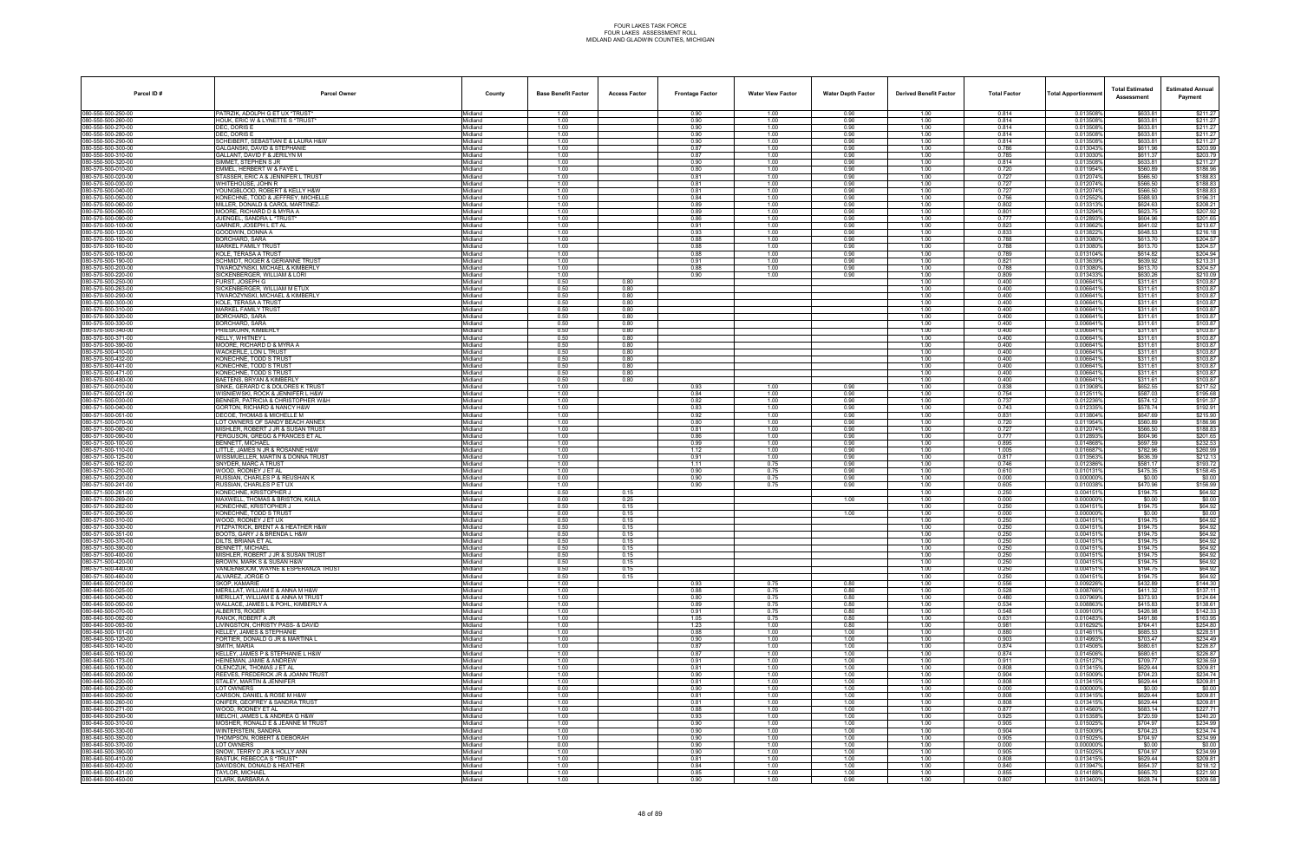| Parcel ID#                               | <b>Parcel Owner</b>                                                    | County             | <b>Base Benefit Factor</b> | <b>Access Factor</b> | <b>Frontage Factor</b> | <b>Water View Factor</b> | <b>Water Depth Factor</b> | <b>Derived Benefit Factor</b> | <b>Total Factor</b> | <b>Total Apportionmen</b> | <b>Total Estimated</b><br>Assessment | <b>Estimated Annual</b><br>Payment |
|------------------------------------------|------------------------------------------------------------------------|--------------------|----------------------------|----------------------|------------------------|--------------------------|---------------------------|-------------------------------|---------------------|---------------------------|--------------------------------------|------------------------------------|
| 080-550-500-250-00                       | PATRZIK, ADOLPH G ET UX *TRUST*                                        | Midland            | 1.00                       |                      | 0.90                   | 1.00                     | 0.90                      | 1.00                          | 0.814               | 0.013508%                 | \$633.81                             | \$211.27                           |
| 080-550-500-260-00                       | HOUK, ERIC W & LYNETTE S *TRUST*                                       | Midland            | 1.00                       |                      | 0.90                   | 1.00                     | 0.90                      | 1.00                          | 0.814               | 0.013508%                 | \$633.81                             | \$211.27                           |
| 80-550-500-270-00<br>80-550-500-280-00   | DEC, DORIS E<br>DEC. DORIS E                                           | Midland<br>Midland | 1.00<br>1.00               |                      | 0.90<br>0.90           | 1.00<br>1.00             | 0.90<br>0.90              | 1.00<br>1.00                  | 0.814<br>0.814      | 0.013508%<br>0.013508%    | \$633.81<br>\$633.81                 | \$211.27<br>\$211.27               |
| 80-550-500-290-00                        | SCHEIBERT. SEBASTIAN E & LAURA H&W                                     | Midland            | 1.00                       |                      | 0.90                   | 1.00                     | 0.90                      | 1.00                          | 0.814               | 0.013508%                 | \$633.81                             | \$211.27                           |
| 080-550-500-300-00                       | GALGANSKI, DAVID & STEPHANIE                                           | Midland            | 1.00                       |                      | 0.87                   | 1.00                     | 0.90                      | 1.00                          | 0.786               | 0.013043%                 | \$611.96                             | \$203.99                           |
| 080-550-500-310-00<br>30-550-500-320-00  | GALLANT, DAVID F & JERILYN M<br>SIMMET, STEPHEN S JR                   | Midland<br>Midland | 1.00<br>1.00               |                      | 0.87<br>0.90           | 1.00<br>1.00             | 0.90<br>0.90              | 1.00<br>1.00                  | 0.785<br>0.814      | 0.013030%<br>0.013508%    | \$611.37<br>\$633.81                 | \$203.79<br>\$211.27               |
| 80-570-500-010-00                        | EMMEL. HERBERT W & FAYE L                                              | <i>l</i> idland    | 1.00                       |                      | 0.80                   | 1.00                     | 0.90                      | 1.00                          | 0.720               | 0.011954%                 | \$560.89                             | \$186.96                           |
| 80-570-500-020-00                        | STASSER, ERIC A & JENNIFER L TRUST<br>WHITEHOUSE, JOHN R               | Midland            | 1.00                       |                      | 0.81                   | 1.00                     | 0.90                      | 1.00                          | 0.727               | 0.012074%                 | \$566.50                             | \$188.83                           |
| 080-570-500-030-00<br>080-570-500-040-00 | YOUNGBLOOD, ROBERT & KELLY H&W                                         | Midland<br>Midland | 1.00<br>1.00               |                      | 0.81<br>0.81           | 1.00<br>1.00             | 0.90<br>0.90              | 1.00<br>1.00                  | 0.727<br>0.727      | 0.012074%<br>0.012074%    | \$566.50<br>\$566.50                 | \$188.83<br>\$188.83               |
| 080-570-500-050-00                       | KONECHNE, TODD & JEFFREY, MICHELLE                                     | Viidland           | 1.00                       |                      | 0.84                   | 1.00                     | 0.90                      | 1.00                          | 0.756               | 0.0125529                 | \$588.93                             | \$196.31                           |
| 80-570-500-060-00                        | MILLER, DONALD & CAROL MARTINEZ-<br>MOORE, RICHARD D & MYRA A          | Midland<br>Midland | 1.00                       |                      | 0.89                   | 1.00                     | 0.90                      | 1.00                          | 0.802<br>0.801      | 0.013313%                 | \$624.63                             | \$208.21                           |
| 80-570-500-080-00<br>080-570-500-090-00  | JUENGEL, SANDRA L *TRUST*                                              | Midland            | 1.00<br>1.00               |                      | 0.89<br>0.86           | 1.00<br>1.00             | 0.90<br>0.90              | 1.00<br>1.00                  | 0.777               | 0.013294%<br>0.012893%    | \$623.75<br>\$604.96                 | \$207.92<br>\$201.65               |
| 080-570-500-100-00                       | GARNER, JOSEPH L ET AL                                                 | Midland            | 1.00                       |                      | 0.91                   | 1.00                     | 0.90                      | 1.00                          | 0.823               | 0.013662%                 | \$641.02                             | \$213.67                           |
| 80-570-500-120-00                        | GOODWIN, DONNA A                                                       | Midland            | 1.00                       |                      | 0.93                   | 1.00                     | 0.90                      | 1.00                          | 0.833               | 0.0138229                 | \$648.53                             | \$216.18                           |
| 80-570-500-150-00<br>80-570-500-160-00   | BORCHARD, SARA<br><b>MARKEL FAMILY TRUST</b>                           | Midland<br>Midland | 1.00<br>1.00               |                      | 0.88<br>0.88           | 1.00<br>1.00             | 0.90<br>0.90              | 1.00<br>1.00                  | 0.788<br>0.788      | 0.013080%<br>0.013080%    | \$613.70<br>\$613,70                 | \$204.57<br>\$204.57               |
| 080-570-500-180-00                       | KOLE. TERASA A TRUST                                                   | Midland            | 1.00                       |                      | 0.88                   | 1.00                     | 0.90                      | 1.00                          | 0.789               | 0.013104%                 | \$614.82                             | \$204.94                           |
| 080-570-500-190-00                       | <b>SCHMIDT, ROGER &amp; GERIANNE TRUST</b>                             | Midland            | 1.00                       |                      | 0.91                   | 1.00                     | 0.90                      | 1.00                          | 0.821               | 0.013639%                 | \$639.92                             | \$213.31                           |
| 80-570-500-200-00<br>080-570-500-220-00  | TWAROZYNSKI, MICHAEL & KIMBERLY<br>SICKENBERGER, WILLIAM & LORI        | Midland<br>Midland | 1.00<br>1.00               |                      | 0.88<br>0.90           | 1.00<br>1.00             | 0.90<br>0.90              | 1.00<br>1.00                  | 0.788<br>0.809      | 0.013080%<br>0.013433%    | \$613.70<br>\$630.26                 | \$204.57<br>\$210.09               |
| 80-570-500-250-00                        | FURST. JOSEPH G                                                        | Midland            | 0.50                       | 0.80                 |                        |                          |                           | 1.00                          | 0.400               | 0.0066419                 | \$311.61                             | \$103.87                           |
| 80-570-500-263-00                        | SICKENBERGER, WILLIAM M ETUX                                           | Midland            | 0.50                       | 0.80                 |                        |                          |                           | 1.00                          | 0.400               | 0.0066419                 | \$311.61                             | \$103.87                           |
| 080-570-500-290-00<br>80-570-500-300-00  | TWAROZYNSKI, MICHAEL & KIMBERL'<br>KOLE, TERASA A TRUST                | Midland<br>Midland | 0.50<br>0.50               | 0.80<br>0.80         |                        |                          |                           | 1.00<br>1.00                  | 0.400<br>0.400      | 0.0066419<br>0.0066419    | \$311.61<br>\$311.61                 | \$103.87<br>\$103.87               |
| 30-570-500-310-00                        | <b>MARKEL FAMILY TRUST</b>                                             | Midland            | 0.50                       | 0.80                 |                        |                          |                           | 1.00                          | 0.400               | 0.006641%                 | \$311.61                             | \$103.87                           |
| 80-570-500-320-00                        | BORCHARD, SARA                                                         | Midland            | 0.50                       | 0.80                 |                        |                          |                           | 1.00                          | 0.400               | 0.006641%                 | \$311.61                             | \$103.87                           |
| 080-570-500-330-00<br>080-570-500-340-00 | BORCHARD. SARA<br>PRIESKORN, KIMBERLY                                  | Midland<br>Midland | 0.50<br>0.50               | 0.80<br>0.80         |                        |                          |                           | 1.00<br>1.00                  | 0.400<br>0.400      | 0.006641<br>0.0066419     | \$311.61<br>\$311.61                 | \$103.87<br>\$103.87               |
| 80-570-500-371-00                        | KELLY, WHITNEY L                                                       | Midland            | 0.50                       | 0.80                 |                        |                          |                           | 1.00                          | 0.400               | 0.0066419                 | \$311.61                             | \$103.87                           |
| 80-570-500-390-00                        | MOORE. RICHARD D & MYRA A                                              | Midland            | 0.50                       | 0.80                 |                        |                          |                           | 1.00                          | 0.400               | 0.006641%                 | \$311.61                             | \$103.87                           |
| 80-570-500-410-00                        | WACKERLE, LON L TRUST                                                  | Midland            | 0.50                       | 0.80                 |                        |                          |                           | 1.00                          | 0.400               | 0.0066419                 | \$311.61                             | \$103.87                           |
| 180-570-500-432-00<br>80-570-500-441-00  | KONECHNE, TODD S TRUST<br>KONECHNE, TODD S TRUST                       | Midland<br>Midland | 0.50<br>0.50               | 0.80<br>0.80         |                        |                          |                           | 1.00<br>1.00                  | 0.400<br>0.400      | 0.006641<br>0.0066419     | \$311.61<br>\$311.61                 | \$103.87<br>\$103.87               |
| 80-570-500-471-00                        | KONECHNE, TODD S TRUST                                                 | Midland            | 0.50                       | 0.80                 |                        |                          |                           | 1.00                          | 0.400               | 0.0066419                 | \$311.61                             | \$103.87                           |
| 30-570-500-480-00                        | BAETENS, BRYAN & KIMBERLY                                              | Midland            | 0.50                       | 0.80                 |                        |                          |                           | 1.00                          | 0.400               | 0.006641%                 | \$311.61                             | \$103.87                           |
| 80-571-500-010-00<br>080-571-500-021-00  | SINKE, GERARD C & DOLORES K TRUST<br>WISNIEWSKI, ROCK & JENNIFER L H&W | Midland<br>Midland | 1.00<br>1.00               |                      | 0.93<br>0.84           | 1.00<br>1.00             | 0.90<br>0.90              | 1.00<br>1.00                  | 0.838<br>0.754      | 0.013908%<br>0.012511     | \$652.55<br>\$587.03                 | \$217.52<br>\$195.68               |
| 80-571-500-030-00                        | BENNER, PATRICIA & CHRISTOPHER W&H                                     | Midland            | 1.00                       |                      | 0.82                   | 1.00                     | 0.90                      | 1.00                          | 0.737               | 0.012236%                 | \$574.12                             | \$191.37                           |
| 80-571-500-040-00                        | <b>GORTON, RICHARD &amp; NANCY H&amp;W</b>                             | Midland            | 1.00                       |                      | 0.83                   | 1.00                     | 0.90                      | 1.00                          | 0.743               | 0.012335                  | \$578.74                             | \$192.91                           |
| 80-571-500-051-00<br>080-571-500-070-00  | DECOE. THOMAS & MICHELLE M<br>LOT OWNERS OF SANDY BEACH ANNEX          | Midland<br>Midland | 1.00<br>1.00               |                      | 0.92<br>0.80           | 1.00<br>1.00             | 0.90<br>0.90              | 1.00<br>1.00                  | 0.831<br>0.720      | 0.013804%<br>0.011954%    | \$647.69<br>\$560.89                 | \$215.90<br>\$186.96               |
| 080-571-500-080-00                       | MISHLER, ROBERT J JR & SUSAN TRUST                                     | Midland            | 1.00                       |                      | 0.81                   | 1.00                     | 0.90                      | 1.00                          | 0.727               | 0.0120749                 | \$566.50                             | \$188.83                           |
| 080-571-500-090-00                       | FERGUSON, GREGG & FRANCES ET AL                                        | Midland            | 1.00                       |                      | 0.86                   | 1.00                     | 0.90                      | 1.00                          | 0.777               | 0.012893%                 | \$604.96                             | \$201.65                           |
| 80-571-500-100-00<br>80-571-500-110-00   | BENNETT, MICHAEL<br>LITTLE, JAMES N JR & ROSANNE H&W                   | Midland<br>Midland | 1.00<br>1.00               |                      | 0.99<br>1.12           | 1.00<br>1.00             | 0.90<br>0.90              | 1.00<br>1.00                  | 0.895<br>1.005      | 0.014868%<br>0.016687%    | \$697.59<br>\$782.96                 | \$232.53<br>\$260.99               |
| 080-571-500-125-00                       | WISSMUELLER. MARTIN & DONNA TRUST                                      | Midland            | 1.00                       |                      | 0.91                   | 1.00                     | 0.90                      | 1.00                          | 0.817               | 0.0135639                 | \$636.39                             | \$212.13                           |
| 080-571-500-162-00                       | SNYDER, MARC A TRUST                                                   | Midland            | 1.00                       |                      | 1.11                   | 0.75                     | 0.90                      | 1.00                          | 0.746               | 0.0123869                 | \$581.17                             | \$193.72                           |
| 080-571-500-210-00<br>80-571-500-220-00  | WOOD, RODNEY J ET AL<br>RUSSIAN, CHARLES P & REUSHAN K                 | Midland<br>Midland | 1.00<br>0.00               |                      | 0.90<br>0.90           | 0.75<br>0.75             | 0.90<br>0.90              | 1.00<br>1.00                  | 0.610<br>0.000      | 0.010131%<br>0.000000%    | \$475.35<br>\$0.00                   | \$158.45<br>\$0.00                 |
| 80-571-500-241-00                        | RUSSIAN. CHARLES P ET UX                                               | Midland            | 1.00                       |                      | 0.90                   | 0.75                     | 0.90                      | 1.00                          | 0.605               | 0.010038%                 | \$470.96                             | \$156.99                           |
| 080-571-500-261-00                       | KONECHNE, KRISTOPHER J                                                 | Midland            | 0.50                       | 0.15                 |                        |                          |                           | 1.00                          | 0.250               | 0.0041519                 | \$194.75                             | \$64.92                            |
| 180-571-500-269-00<br>080-571-500-282-00 | MAXWELL, THOMAS & BRISTON, KAILA<br>KONECHNE, KRISTOPHER J             | Midland<br>Midland | 0.00<br>0.50               | 0.25<br>0.15         |                        |                          | 1.00                      | 1.00<br>1.00                  | 0.000<br>0.250      | 0.000000<br>0.0041519     | \$0.00<br>\$194.75                   | \$0.00<br>\$64.92                  |
| 80-571-500-290-00                        | KONECHNE, TODD S TRUST                                                 | Midland            | 0.00                       | 0.15                 |                        |                          | 1.00                      | 1.00                          | 0.000               | 0.0000009                 | \$0.00                               | \$0.00                             |
| 30-571-500-310-00                        | WOOD. RODNEY J ET UX                                                   | Midland            | 0.50                       | 0.15                 |                        |                          |                           | 1.00                          | 0.250               | 0.0041519                 | \$194.75                             | \$64.92                            |
| 80-571-500-330-00<br>080-571-500-351-00  | FITZPATRICK, BRENT A & HEATHER H&W<br>BOOTS, GARY J & BRENDA L H&W     | Midland<br>Midland | 0.50<br>0.50               | 0.15<br>0.15         |                        |                          |                           | 1.00<br>1.00                  | 0.250<br>0.250      | 0.004151<br>0.004151      | \$194.75<br>\$194.75                 | \$64.92<br>\$64.92                 |
| 080-571-500-370-00                       | DILTS, BRIANA ET AL                                                    | Midland            | 0.50                       | 0.15                 |                        |                          |                           | 1.00                          | 0.250               | 0.0041519                 | \$194.75                             | \$64.92                            |
| 080-571-500-390-00                       | <b>BENNETT, MICHAEL</b>                                                | Midland            | 0.50                       | 0.15                 |                        |                          |                           | 1.00                          | 0.250               | 0.0041519                 | \$194.75                             | \$64.92                            |
| 080-571-500-400-00<br>080-571-500-420-00 | MISHLER, ROBERT J JR & SUSAN TRUST<br>BROWN, MARK S & SUSAN H&W        | Midland<br>Midland | 0.50<br>0.50               | 0.15<br>0.15         |                        |                          |                           | 1.00<br>1.00                  | 0.250<br>0.250      | 0.004151%<br>0.0041519    | \$194.75<br>\$194.75                 | \$64.92<br>\$64.92                 |
| 080-571-500-440-00                       | VANDENBOOM, WAYNE & ESPERANZA TRUST                                    | Midland            | 0.50                       | 0.15                 |                        |                          |                           | 1.00                          | 0.250               | 0.0041519                 | \$194.75                             | \$64.92                            |
| 080-571-500-460-00                       | ALVAREZ, JORGE O                                                       | Midland            | 0.50                       | 0.15                 |                        |                          |                           | 1.00                          | 0.250               | 0.0041519                 | \$194.75                             | \$64.92                            |
| 080-640-500-010-00<br>80-640-500-025-00  | <b>SKOP, KAMARIE</b><br>MERILLAT. WILLIAM E & ANNA M H&W               | Midland<br>Midland | 1.00<br>1.00               |                      | 0.93<br>0.88           | 0.75<br>0.75             | 0.80<br>0.80              | 1.00<br>1.00                  | 0.556<br>0.528      | 0.009226%<br>0.008766%    | \$432.89<br>\$411.32                 | \$144.30<br>\$137.11               |
| 080-640-500-040-00                       | MERILLAT, WILLIAM E & ANNA M TRUST                                     | Midland            | 1.00                       |                      | 0.80                   | 0.75                     | 0.80                      | 1.00                          | 0.480               | 0.007969%                 | \$373.93                             | \$124.64                           |
| 80-640-500-050-00                        | WALLACE, JAMES L & POHL, KIMBERLY A                                    | Midland            | 1.00                       |                      | 0.89                   | 0.75                     | 0.80                      | 1.00                          | 0.534               | 0.008863%                 | \$415.83                             | \$138.61                           |
| 080-640-500-070-00<br>080-640-500-092-00 | ALBERTS, ROGER<br>RANCK, ROBERT A JR                                   | Midland<br>Midland | 1.00<br>1.00               |                      | 0.91<br>1.05           | 0.75<br>0.75             | 0.80<br>0.80              | 1.00<br>1.00                  | 0.548<br>0.631      | 0.009100%<br>0.010483%    | \$426.98<br>\$491.86                 | \$142.33<br>\$163.95               |
| 80-640-500-093-00                        | LIVINGSTON, CHRISTY PASS- & DAVID                                      | Midland            | 1.00                       |                      | 1.23                   | 1.00                     | 0.80                      | 1.00                          | 0.981               | 0.016292%                 | \$764.41                             | \$254.80                           |
| 080-640-500-101-00                       | KELLEY, JAMES & STEPHANIE                                              | Midland            | 1.00                       |                      | 0.88                   | 1.00                     | 1.00                      | 1.00                          | 0.880               | 0.014611%                 | \$685.53                             | \$228.51                           |
| 080-640-500-120-00<br>080-640-500-140-00 | FORTIER, DONALD G JR & MARTINA L<br>SMITH, MARIA                       | Midland<br>Midland | 1.00<br>1.00               |                      | 0.90<br>0.87           | 1.00<br>1.00             | 1.00<br>1.00              | 1.00<br>1.00                  | 0.903<br>0.874      | 0.014993%<br>0.014506%    | \$703.47<br>\$680.61                 | \$234.49<br>\$226.87               |
| 080-640-500-160-00                       | KELLEY, JAMES P & STEPHANIE L H&W                                      | Midland            | 1.00                       |                      | 0.87                   | 1.00                     | 1.00                      | 1.00                          | 0.874               | 0.014506%                 | \$680.61                             | \$226.87                           |
| 80-640-500-173-00                        | HEINEMAN, JAMIE & ANDREW                                               | Midland            | 1.00                       |                      | 0.91                   | 1.00                     | 1.00                      | 1.00                          | 0.911               | 0.0151279                 | \$709.77                             | \$236.59                           |
| 00-640-500-190-00<br>080-640-500-200-00  | OLENCZUK. THOMAS J ET AL<br>REEVES, FREDERICK JR & JOANN TRUST         | Midland<br>Midland | 1.00<br>1.00               |                      | 0.81<br>0.90           | 1.00<br>1.00             | 1.00<br>1.00              | 1.00<br>1.00                  | 0.808<br>0.904      | 0.013415%<br>0.015009%    | \$629.44<br>\$704.23                 | \$209.81<br>\$234.74               |
| 06-640-500-220-00                        | STALEY, MARTIN & JENNIFER                                              | Midland            | 1.00                       |                      | 0.81                   | 1.00                     | 1.00                      | 1.00                          | 0.808               | 0.013415%                 | \$629.44                             | \$209.81                           |
| 080-640-500-230-00                       | LOT OWNERS                                                             | Midland            | 0.00                       |                      | 0.90                   | 1.00                     | 1.00                      | 1.00                          | 0.000               | 0.0000009                 | \$0.00                               | \$0.00                             |
| 80-640-500-250-00<br>080-640-500-260-00  | CARSON, DANIEL & ROSE M H&W<br>ONIFER, GEOFREY & SANDRA TRUST          | Midland<br>Midland | 1.00<br>1.00               |                      | 0.81<br>0.81           | 1.00<br>1.00             | 1.00<br>1.00              | 1.00<br>1.00                  | 0.808<br>0.808      | 0.013415%<br>0.013415%    | \$629.44<br>\$629.44                 | \$209.81<br>\$209.81               |
| 080-640-500-271-00                       | WOOD, RODNEY ET AL                                                     | Midland            | 1.00                       |                      | 0.88                   | 1.00                     | 1.00                      | 1.00                          | 0.877               | 0.014560%                 | \$683.14                             | \$227.71                           |
| 080-640-500-290-00                       | MELCHI, JAMES L & ANDREA G H&W                                         | Midland            | 1.00                       |                      | 0.93                   | 1.00                     | 1.00                      | 1.00                          | 0.925               | 0.015358%                 | \$720.59                             | \$240.20                           |
| 00-640-500-310-00<br>80-640-500-330-00   | MOSHER, RONALD E & JEANNE M TRUST<br>WINTERSTEIN, SANDRA               | Midland<br>Midland | 1.00<br>1.00               |                      | 0.90<br>0.90           | 1.00<br>1.00             | 1.00<br>1.00              | 1.00<br>1.00                  | 0.905<br>0.904      | 0.015025%<br>0.015009%    | \$704.97<br>\$704.23                 | \$234.99<br>\$234.74               |
| 80-640-500-350-00                        | THOMPSON, ROBERT & DEBORAH                                             | Midland            | 1.00                       |                      | 0.90                   | 1.00                     | 1.00                      | 1.00                          | 0.905               | 0.015025%                 | \$704.97                             | \$234.99                           |
| 80-640-500-370-00                        | LOT OWNERS                                                             | Midland            | 0.00                       |                      | 0.90                   | 1.00                     | 1.00                      | 1.00                          | 0.000               | 0.000000%                 | \$0.00                               | \$0.00                             |
| 080-640-500-390-00<br>080-640-500-410-00 | SNOW, TERRY D JR & HOLLY ANN<br>BASTUK, REBECCA S *TRUST*              | Midland<br>Midland | 1.00<br>1.00               |                      | 0.90<br>0.81           | 1.00<br>1.00             | 1.00<br>1.00              | 1.00<br>1.00                  | 0.905<br>0.808      | 0.015025%<br>0.013415%    | \$704.97<br>\$629.44                 | \$234.99<br>\$209.81               |
| 80-640-500-420-00                        | DAVIDSON, DONALD & HEATHER                                             | Midland            | 1.00                       |                      | 0.84                   | 1.00                     | 1.00                      | 1.00                          | 0.840               | 0.013947%                 | \$654.37                             | \$218.12                           |
| 080-640-500-431-00                       | TAYLOR, MICHAEL                                                        | Midland            | 1.00                       |                      | 0.85                   | 1.00                     | 1.00                      | 1.00                          | 0.855               | 0.014188%                 | \$665.70                             | \$221.90                           |
| 080-640-500-450-00                       | CLARK, BARBARA A                                                       | Midland            | 1.00                       |                      | 0.90                   | 1.00                     | 0.90                      | 1.00                          | 0.807               | 0.013400%                 | \$628.74                             | \$209.58                           |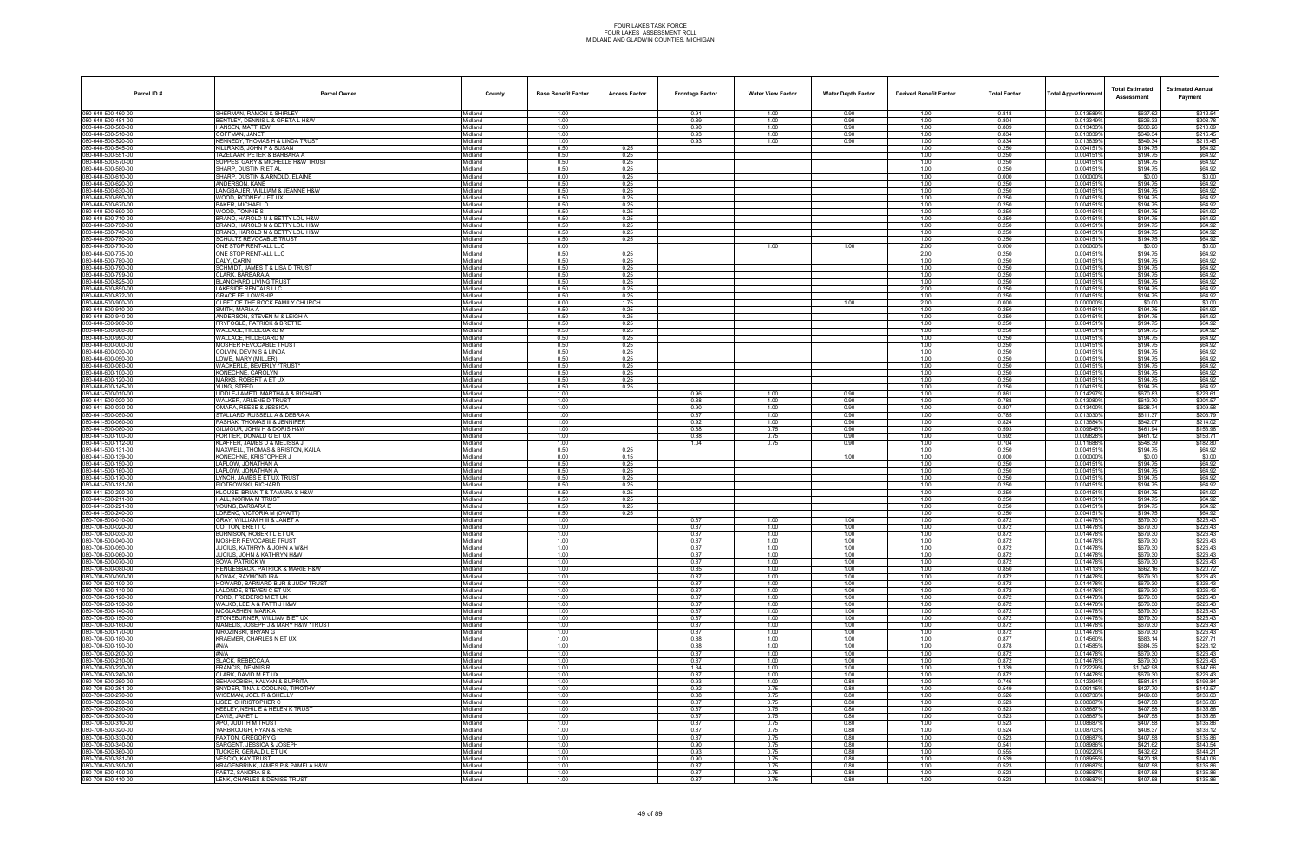| Parcel ID#                               | <b>Parcel Owner</b>                                                   | County                     | <b>Base Benefit Factor</b> | <b>Access Factor</b> | <b>Frontage Factor</b> | <b>Water View Factor</b> | <b>Water Depth Factor</b> | <b>Derived Benefit Factor</b> | <b>Total Factor</b> | <b>Total Apportionmer</b> | <b>Total Estimated</b><br>Assessment | <b>Estimated Annual</b><br>Payment |
|------------------------------------------|-----------------------------------------------------------------------|----------------------------|----------------------------|----------------------|------------------------|--------------------------|---------------------------|-------------------------------|---------------------|---------------------------|--------------------------------------|------------------------------------|
| 080-640-500-460-00                       | SHERMAN, RAMON & SHIRLEY                                              | Midland                    | 1.00                       |                      | 0.91                   | 1.00                     | 0.90                      | 1.00                          | 0.818               | 0.013589%                 | \$637.62                             | \$212.54                           |
| 080-640-500-481-00<br>80-640-500-500-00  | BENTLEY, DENNIS L & GRETA L H&W<br>HANSEN. MATTHEW                    | Midland<br>Midland         | 1.00<br>1.00               |                      | 0.89<br>0.90           | 1.00<br>1.00             | 0.90<br>0.90              | 1.00<br>1.00                  | 0.804<br>0.809      | 0.013349%<br>0.0134339    | \$626.33<br>\$630.26                 | \$208.78<br>\$210.09               |
| 80-640-500-510-00                        | COFFMAN, JANET                                                        | Midland                    | 1.00                       |                      | 0.93                   | 1.00                     | 0.90                      | 1.00                          | 0.834               | 0.013839%                 | \$649.34                             | \$216.45                           |
| 80-640-500-520-00                        | KENNEDY, THOMAS H & LINDA TRUST                                       | Midland                    | 1.00                       |                      | 0.93                   | 1.00                     | 0.90                      | 1.00                          | 0.834               | 0.013839%                 | \$649.34                             | \$216.45                           |
| 80-640-500-545-00<br>80-640-500-551-00   | KILLRAKIS, JOHN P & SUSAN<br>TAZELAAR, PETER & BARBARA A              | Midland<br>Midland         | 0.50<br>0.50               | 0.25<br>0.25         |                        |                          |                           | 1.00<br>1.00                  | 0.250<br>0.250      | 0.0041519<br>0.0041519    | \$194.75<br>\$194.75                 | \$64.92<br>\$64.92                 |
| 80-640-500-570-00                        | SUPPES, GARY & MICHELLE H&W TRUST                                     | Midland                    | 0.50                       | 0.25                 |                        |                          |                           | 1.00                          | 0.250               | 0.0041519                 | \$194.75                             | \$64.92                            |
| 80-640-500-580-00<br>80-640-500-610-00   | SHARP, DUSTIN R ET AL<br>SHARP, DUSTIN & ARNOLD, ELAINE               | Midland<br>Midland         | 0.50<br>0.00               | 0.25<br>0.25         |                        |                          |                           | 1.00<br>1.00                  | 0.250<br>0.000      | 0.0041519<br>0.0000009    | \$194.75<br>\$0.00                   | \$64.92<br>\$0.00                  |
| 80-640-500-620-00                        | ANDERSON, KANE                                                        | Midland                    | 0.50                       | 0.25                 |                        |                          |                           | 1.00                          | 0.250               | 0.0041519                 | \$194.75                             | \$64.92                            |
| 80-640-500-630-00                        | LANGBAUER, WILLIAM & JEANNE H&W                                       | Midland                    | 0.50                       | 0.25                 |                        |                          |                           | 1.00                          | 0.250               | 0.004151%                 | \$194.75                             | \$64.92                            |
| 80-640-500-650-00<br>80-640-500-670-00   | WOOD, RODNEY J ET UX<br>BAKER, MICHAEL D                              | Midland<br>Midland         | 0.50<br>0.50               | 0.25<br>0.25         |                        |                          |                           | 1.00<br>1.00                  | 0.250<br>0.250      | 0.0041519<br>0.0041519    | \$194.75<br>\$194.75                 | \$64.92<br>\$64.92                 |
| 80-640-500-690-00                        | WOOD, TONNIE S                                                        | Midland                    | 0.50                       | 0.25                 |                        |                          |                           | 1.00                          | 0.250               | 0.0041519                 | \$194.75                             | \$64.92                            |
| 80-640-500-710-00<br>80-640-500-730-00   | BRAND, HAROLD N & BETTY LOU H&W<br>BRAND, HAROLD N & BETTY LOU H&W    | Midland<br>Midland         | 0.50<br>0.50               | 0.25<br>0.25         |                        |                          |                           | 1.00<br>1.00                  | 0.250<br>0.250      | 0.0041519<br>0.0041519    | \$194.75<br>\$194.75                 | \$64.92<br>\$64.92                 |
| 80-640-500-740-00                        | BRAND, HAROLD N & BETTY LOU H&W                                       | <i>l</i> idland            | 0.50                       | 0.25                 |                        |                          |                           | 1.00                          | 0.250               | 0.0041519                 | \$194.75                             | \$64.92                            |
| 80-640-500-750-00<br>80-640-500-770-00   | SCHULTZ REVOCABLE TRUST<br>ONE STOP RENT-ALL LLC                      | Midland                    | 0.50<br>0.00               | 0.25                 |                        |                          |                           | 1.00<br>2.00                  | 0.250<br>0.000      | 0.0041519<br>0.000000     | \$194.75                             | \$64.92<br>\$0.00                  |
| 80-640-500-775-00                        | ONE STOP RENT-ALL LLC                                                 | Midland<br>Midland         | 0.50                       | 0.25                 |                        | 1.00                     | 1.00                      | 2.00                          | 0.250               | 0.0041519                 | \$0.00<br>\$194.75                   | \$64.92                            |
| 80-640-500-780-00                        | DALY, CARIN                                                           | Midland                    | 0.50                       | 0.25                 |                        |                          |                           | 1.00                          | 0.250               | 0.0041519                 | \$194.75                             | \$64.92                            |
| 80-640-500-790-00<br>80-640-500-799-00   | SCHMIDT, JAMES T & LISA D TRUST<br>CLARK, BARBARA A                   | Midland<br>Midland         | 0.50<br>0.50               | 0.25<br>0.25         |                        |                          |                           | 1.00<br>1.00                  | 0.250<br>0.250      | 0.004151<br>0.0041519     | \$194.75<br>\$194.75                 | \$64.92<br>\$64.92                 |
| 80-640-500-825-00                        | BLANCHARD LIVING TRUST                                                | Midland                    | 0.50                       | 0.25                 |                        |                          |                           | 1.00                          | 0.250               | 0.0041519                 | \$194.75                             | \$64.92                            |
| 80-640-500-850-00                        | LAKESIDE RENTALS LLC                                                  | Midland                    | 0.50                       | 0.25                 |                        |                          |                           | 2.00                          | 0.250               | 0.0041519                 | \$194.75                             | \$64.92                            |
| 80-640-500-872-00<br>80-640-500-900-00   | <b>GRACE FELLOWSHIP</b><br>CLEFT OF THE ROCK FAMILY CHURCH            | Midland<br><i>l</i> idland | 0.50<br>0.00               | 0.25<br>1.75         |                        |                          | 1.00                      | 1.00<br>2.00                  | 0.250<br>0.000      | 0.0041519<br>0.000000%    | \$194.75<br>\$0.00                   | \$64.92<br>\$0.00                  |
| 80-640-500-910-00                        | SMITH, MARIA A                                                        | Midland                    | 0.50                       | 0.25                 |                        |                          |                           | 1.00                          | 0.250               | 0.0041519                 | \$194.75                             | \$64.92                            |
| 80-640-500-940-00<br>80-640-500-960-00   | ANDERSON, STEVEN M & LEIGH A<br><b>FRYFOGLE, PATRICK &amp; BRETTE</b> | Midland<br>Midland         | 0.50<br>0.50               | 0.25<br>0.25         |                        |                          |                           | 1.00<br>1.00                  | 0.250<br>0.250      | 0.004151<br>0.0041519     | \$194.75<br>\$194.75                 | \$64.92<br>\$64.92                 |
| 80-640-500-980-00                        | WALLACE, HILDEGARD M                                                  | Midland                    | 0.50                       | 0.25                 |                        |                          |                           | 1.00                          | 0.250               | 0.0041519                 | \$194.75                             | \$64.92                            |
| 80-640-500-990-00                        | WALLACE, HILDEGARD M                                                  | <i>l</i> idland            | 0.50                       | 0.25                 |                        |                          |                           | 1.00                          | 0.250               | 0.004151                  | \$194.75                             | \$64.92                            |
| 80-640-600-000-00<br>80-640-600-030-00   | MOSHER REVOCABLE TRUST<br>COLVIN, DEVIN S & LINDA                     | Midland<br>Midland         | 0.50<br>0.50               | 0.25<br>0.25         |                        |                          |                           | 1.00<br>1.00                  | 0.250<br>0.250      | 0.0041519<br>0.0041519    | \$194.75<br>\$194.75                 | \$64.92<br>\$64.92                 |
| 80-640-600-050-00                        | LOWE, MARY (MILLER)                                                   | Midland                    | 0.50                       | 0.25                 |                        |                          |                           | 1.00                          | 0.250               | 0.0041519                 | \$194.75                             | \$64.92                            |
| 80-640-600-080-00<br>80-640-600-100-00   | WACKERLE, BEVERLY *TRUST*<br>KONECHNE, CAROLYN                        | Midland<br>lidland         | 0.50<br>0.50               | 0.25<br>0.25         |                        |                          |                           | 1.00<br>1.00                  | 0.250<br>0.250      | 0.0041519<br>0.004151     | \$194.75<br>\$194.75                 | \$64.92<br>\$64.92                 |
| 80-640-600-120-00                        | MARKS, ROBERT A ET UX                                                 | Midland                    | 0.50                       | 0.25                 |                        |                          |                           | 1.00                          | 0.250               | 0.0041519                 | \$194.75                             | \$64.92                            |
| 80-640-600-145-00                        | YUNG, STEED                                                           | Midland                    | 0.50                       | 0.25                 |                        |                          |                           | 1.00                          | 0.250               | 0.0041519                 | \$194.75                             | \$64.92                            |
| 80-641-500-010-00<br>80-641-500-020-00   | LIDDLE-LAMETI, MARTHA A & RICHARD<br>WALKER, ARLENE D TRUST           | Midland<br>Midland         | 1.00<br>1.00               |                      | 0.96<br>0.88           | 1.00<br>1.00             | 0.90<br>0.90              | 1.00<br>1.00                  | 0.861<br>0.788      | 0.014297%<br>0.0130809    | \$670.83<br>\$613.70                 | \$223.61<br>\$204.57               |
| 80-641-500-030-00                        | OMARA, REESE & JESSICA                                                | <i>l</i> idland            | 1.00                       |                      | 0.90                   | 1.00                     | 0.90                      | 1.00                          | 0.807               | 0.013400%                 | \$628.74                             | \$209.58                           |
| 80-641-500-050-00<br>80-641-500-060-00   | STALLARD, RUSSELL A & DEBRA A<br>PASHAK, THOMAS III & JENNIFER        | Midland<br>Midland         | 1.00<br>1.00               |                      | 0.87<br>0.92           | 1.00<br>1.00             | 0.90<br>0.90              | 1.00<br>1.00                  | 0.785<br>0.824      | 0.013030%<br>0.013684%    | \$611.37<br>\$642.07                 | \$203.79<br>\$214.02               |
| 80-641-500-080-00                        | GILMOUR. JOHN H & DORIS H&W                                           | Midland                    | 1.00                       |                      | 0.88                   | 0.75                     | 0.90                      | 1.00                          | 0.593               | 0.009845%                 | \$461.94                             | \$153.98                           |
| 80-641-500-100-00                        | FORTIER, DONALD G ET UX                                               | Midland                    | 1.00                       |                      | 0.88                   | 0.75                     | 0.90                      | 1.00                          | 0.592               | 0.0098289                 | \$461.12                             | \$153.71                           |
| 80-641-500-112-00<br>80-641-500-131-00   | KLAFFER, JAMES D & MELISSA J<br>MAXWELL, THOMAS & BRISTON, KAILA      | lidland<br>Midland         | 1.00<br>0.50               | 0.25                 | 1.04                   | 0.75                     | 0.90                      | 1.00<br>1.00                  | 0.704<br>0.250      | 0.0116889<br>0.004151%    | \$548.39<br>\$194.75                 | \$182.80<br>\$64.92                |
| 80-641-500-139-00                        | KONECHNE, KRISTOPHER J                                                | Midland                    | 0.00                       | 0.15                 |                        |                          | 1.00                      | 1.00                          | 0.000               | 0.000000                  | \$0.00                               | \$0.00                             |
| 80-641-500-150-00<br>80-641-500-160-00   | LAPLOW. JONATHAN A<br>LAPLOW, JONATHAN A                              | Midland<br>Midland         | 0.50<br>0.50               | 0.25<br>0.25         |                        |                          |                           | 1.00<br>1.00                  | 0.250<br>0.250      | 0.0041519<br>0.0041519    | \$194.75<br>\$194.75                 | \$64.92<br>\$64.92                 |
| 80-641-500-170-00                        | YNCH, JAMES E ET UX TRUST.                                            | <i>l</i> idland            | 0.50                       | 0.25                 |                        |                          |                           | 1.00                          | 0.250               | 0.004151                  | \$194.75                             | \$64.92                            |
| 80-641-500-181-00                        | PIOTROWSKI, RICHARD                                                   | Midland                    | 0.50                       | 0.25                 |                        |                          |                           | 1.00                          | 0.250               | 0.004151%                 | \$194.75                             | \$64.92                            |
| 80-641-500-200-00<br>080-641-500-211-00  | KLOUSE, BRIAN T & TAMARA S H&W<br>HALL. NORMA M TRUST                 | Midland<br>Midland         | 0.50<br>0.50               | 0.25<br>0.25         |                        |                          |                           | 1.00<br>1.00                  | 0.250<br>0.250      | 0.0041519<br>0.0041519    | \$194.75<br>\$194.75                 | \$64.92<br>\$64.92                 |
| 80-641-500-221-00                        | YOUNG, BARBARA E                                                      | Midland                    | 0.50                       | 0.25                 |                        |                          |                           | 1.00                          | 0.250               | 0.0041519                 | \$194.75                             | \$64.92                            |
| 80-641-500-240-00<br>00-700-500-010-00   | ORENC, VICTORIA M (OVAITT)<br>GRAY, WILLIAM H III & JANET A           | lidland<br>Midland         | 0.50<br>1.00               | 0.25                 | 0.87                   | 1.00                     | 1.00                      | 1.00<br>1.00                  | 0.250<br>0.872      | 0.004151<br>0.014478%     | \$194.75<br>\$679.30                 | \$64.92<br>\$226.43                |
| 30-700-500-020-00                        | COTTON, BRETT C                                                       | Midland                    | 1.00                       |                      | 0.87                   | 1.00                     | 1.00                      | 1.00                          | 0.872               | 0.0144789                 | \$679.30                             | \$226.43                           |
| 80-700-500-030-00                        | BURNISON, ROBERT L ET UX                                              | Midland                    | 1.00                       |                      | 0.87                   | 1.00                     | 1.00                      | 1.00                          | 0.872               | 0.014478%                 | \$679.30                             | \$226.43                           |
| 080-700-500-040-00<br>080-700-500-050-00 | MOSHER REVOCABLE TRUST<br>JUCIUS, KATHRYN & JOHN A W&H                | Midland<br>lidland         | 1.00<br>1.00               |                      | 0.87<br>0.87           | 1.00<br>1.00             | 1.00<br>1.00              | 1.00<br>1.00                  | 0.872<br>0.872      | 0.0144789<br>0.014478%    | \$679.30<br>\$679.30                 | \$226.43<br>\$226.43               |
| 06-060-060-080-080                       | JUCIUS, JOHN & KATHRYN H&W                                            | Midland                    | 1.00                       |                      | 0.87                   | 1.00                     | 1.00                      | 1.00                          | 0.872               | 0.014478%                 | \$679.30                             | \$226.43                           |
| 80-700-500-070-00<br>80-700-500-080-00   | SOVA, PATRICK W<br>HENGESBACK, PATRICK & MARIE H&W                    | Midland<br>Midland         | 1.00<br>1.00               |                      | 0.87<br>0.85           | 1.00<br>1.00             | 1.00<br>1.00              | 1.00<br>1.00                  | 0.872<br>0.850      | 0.014478%<br>0.014113%    | \$679.30<br>\$662.16                 | \$226.43<br>\$220.72               |
| 080-700-500-090-00                       | NOVAK, RAYMOND IRA                                                    | Midland                    | 1.00                       |                      | 0.87                   | 1.00                     | 1.00                      | 1.00                          | 0.872               | 0.014478%                 | \$679.30                             | \$226.43                           |
| 30-700-500-100-00<br>80-700-500-110-00   | HOWARD, BARNARD B JR & JUDY TRUST                                     | <i>l</i> idland            | 1.00                       |                      | 0.87                   | 1.00                     | 1.00                      | 1.00                          | 0.872               | 0.0144789                 | \$679.30                             | \$226.43                           |
| 80-700-500-120-00                        | LALONDE. STEVEN C ET UX<br>FORD, FREDERIC M ET UX                     | Midland<br>Midland         | 1.00<br>1.00               |                      | 0.87<br>0.87           | 1.00<br>1.00             | 1.00<br>1.00              | 1.00<br>1.00                  | 0.872<br>0.872      | 0.014478%<br>0.014478%    | \$679.30<br>\$679.30                 | \$226.43<br>\$226.43               |
| 80-700-500-130-00                        | WALKO, LEE A & PATTI J H&W                                            | Midland                    | 1.00                       |                      | 0.87                   | 1.00                     | 1.00                      | 1.00                          | 0.872               | 0.014478%                 | \$679.30                             | \$226.43                           |
| 080-700-500-140-00<br>80-700-500-150-00  | MCGLASHEN, MARK A<br>STONEBURNER, WILLIAM B ET UX                     | Midland<br>Midland         | 1.00<br>1.00               |                      | 0.87<br>0.87           | 1.00<br>1.00             | 1.00<br>1.00              | 1.00<br>1.00                  | 0.872<br>0.872      | 0.014478%<br>0.0144789    | \$679.30<br>\$679.30                 | \$226.43<br>\$226.43               |
| 080-700-500-160-00                       | MANELIS, JOSEPH J & MARY H&W *TRUST                                   | Midland                    | 1.00                       |                      | 0.87                   | 1.00                     | 1.00                      | 1.00                          | 0.872               | 0.014478%                 | \$679.30                             | \$226.43                           |
| 080-700-500-170-00                       | MROZINSKI, BRYAN G                                                    | Midland                    | 1.00                       |                      | 0.87                   | 1.00                     | 1.00                      | 1.00                          | 0.872               | 0.014478%                 | \$679.30                             | \$226.43                           |
| 80-700-500-180-00<br>080-700-500-190-00  | <b>KRAEMER, CHARLES N ET UX</b><br>#N/A                               | Midland<br>Midland         | 1.00<br>1.00               |                      | 0.88<br>0.88           | 1.00<br>1.00             | 1.00<br>1.00              | 1.00<br>1.00                  | 0.877<br>0.878      | 0.014560%<br>0.0145859    | \$683.14<br>\$684.35                 | \$227.71<br>\$228.12               |
| 80-700-500-200-00                        | #N/A                                                                  | <i>l</i> idland            | 1.00                       |                      | 0.87                   | 1.00                     | 1.00                      | 1.00                          | 0.872               | 0.014478%                 | \$679.30                             | \$226.43                           |
| 80-700-500-210-00<br>80-700-500-220-00   | SLACK, REBECCA A<br>FRANCIS, DENNIS R                                 | Midland<br>Midland         | 1.00<br>1.00               |                      | 0.87<br>1.34           | 1.00<br>1.00             | 1.00<br>1.00              | 1.00<br>1.00                  | 0.872<br>1.339      | 0.014478%<br>0.022229%    | \$679.30<br>\$1,042.98               | \$226.43<br>\$347.66               |
| 080-700-500-240-00                       | CLARK, DAVID M ET UX                                                  | Midland                    | 1.00                       |                      | 0.87                   | 1.00                     | 1.00                      | 1.00                          | 0.872               | 0.014478%                 | \$679.30                             | \$226.43                           |
| 080-700-500-250-00                       | SEHANOBISH, KALYAN & SUPRITA                                          | Midland                    | 1.00                       |                      | 0.93                   | 1.00                     | 0.80                      | 1.00                          | 0.746               | 0.012394%                 | \$581.51                             | \$193.84                           |
| 80-700-500-261-00<br>080-700-500-270-00  | SNYDER, TINA & CODLING, TIMOTHY<br>WISEMAN, JOEL R & SHELLY           | Midland<br>Midland         | 1.00<br>1.00               |                      | 0.92<br>0.88           | 0.75<br>0.75             | 0.80<br>0.80              | 1.00<br>1.00                  | 0.549<br>0.526      | 0.0091159<br>0.008736%    | \$427.70<br>\$409.88                 | \$142.57<br>\$136.63               |
| 080-700-500-280-00                       | LISEE, CHRISTOPHER C                                                  | Midland                    | 1.00                       |                      | 0.87                   | 0.75                     | 0.80                      | 1.00                          | 0.523               | 0.008687%                 | \$407.58                             | \$135.86                           |
| 080-700-500-290-00<br>080-700-500-300-00 | KEELEY, NEHIL E & HELEN K TRUST<br>DAVIS, JANET L                     | Midland<br>Midland         | 1.00<br>1.00               |                      | 0.87<br>0.87           | 0.75<br>0.75             | 0.80<br>0.80              | 1.00<br>1.00                  | 0.523<br>0.523      | 0.008687%<br>0.008687%    | \$407.58<br>\$407.58                 | \$135.86<br>\$135.86               |
| 80-700-500-310-00                        | APO, JUDITH M TRUST                                                   | Midland                    | 1.00                       |                      | 0.87                   | 0.75                     | 0.80                      | 1.00                          | 0.523               | 0.008687                  | \$407.58                             | \$135.86                           |
| 80-700-500-320-00                        | YARBROUGH, RYAN & RENE                                                | Midland                    | 1.00                       |                      | 0.87                   | 0.75                     | 0.80                      | 1.00                          | 0.524               | 0.008703%                 | \$408.37                             | \$136.12                           |
| 80-700-500-330-00<br>80-700-500-340-00   | PAXTON, GREGORY G<br>SARGENT, JESSICA & JOSEPH                        | Midland<br>Midland         | 1.00<br>1.00               |                      | 0.87<br>0.90           | 0.75<br>0.75             | 0.80<br>0.80              | 1.00<br>1.00                  | 0.523<br>0.541      | 0.008687%<br>0.008986%    | \$407.58<br>\$421.62                 | \$135.86<br>\$140.54               |
| 080-700-500-360-00                       | TUCKER, GERALD L ET UX                                                | Midland                    | 1.00                       |                      | 0.93                   | 0.75                     | 0.80                      | 1.00                          | 0.555               | 0.009220%                 | \$432.62                             | \$144.21                           |
| 80-700-500-381-00<br>080-700-500-390-00  | VESCIO, KAY TRUST<br>KRAGENBRINK, JAMES P & PAMELA H&W                | Midland<br>Midland         | 1.00<br>1.00               |                      | 0.90<br>0.87           | 0.75<br>0.75             | 0.80<br>0.80              | 1.00<br>1.00                  | 0.539<br>0.523      | 0.0089559<br>0.008687%    | \$420.18<br>\$407.58                 | \$140.06<br>\$135.86               |
| 06-700-500-400-00                        | PAETZ. SANDRA S &                                                     | Midland                    | 1.00                       |                      | 0.87                   | 0.75                     | 0.80                      | 1.00                          | 0.523               | 0.008687%                 | \$407.58                             | \$135.86                           |
| 080-700-500-410-00                       | LENK, CHARLES & DENISE TRUST                                          | Midland                    | 1.00                       |                      | 0.87                   | 0.75                     | 0.80                      | 1.00                          | 0.523               | 0.008687%                 | \$407.58                             | \$135.86                           |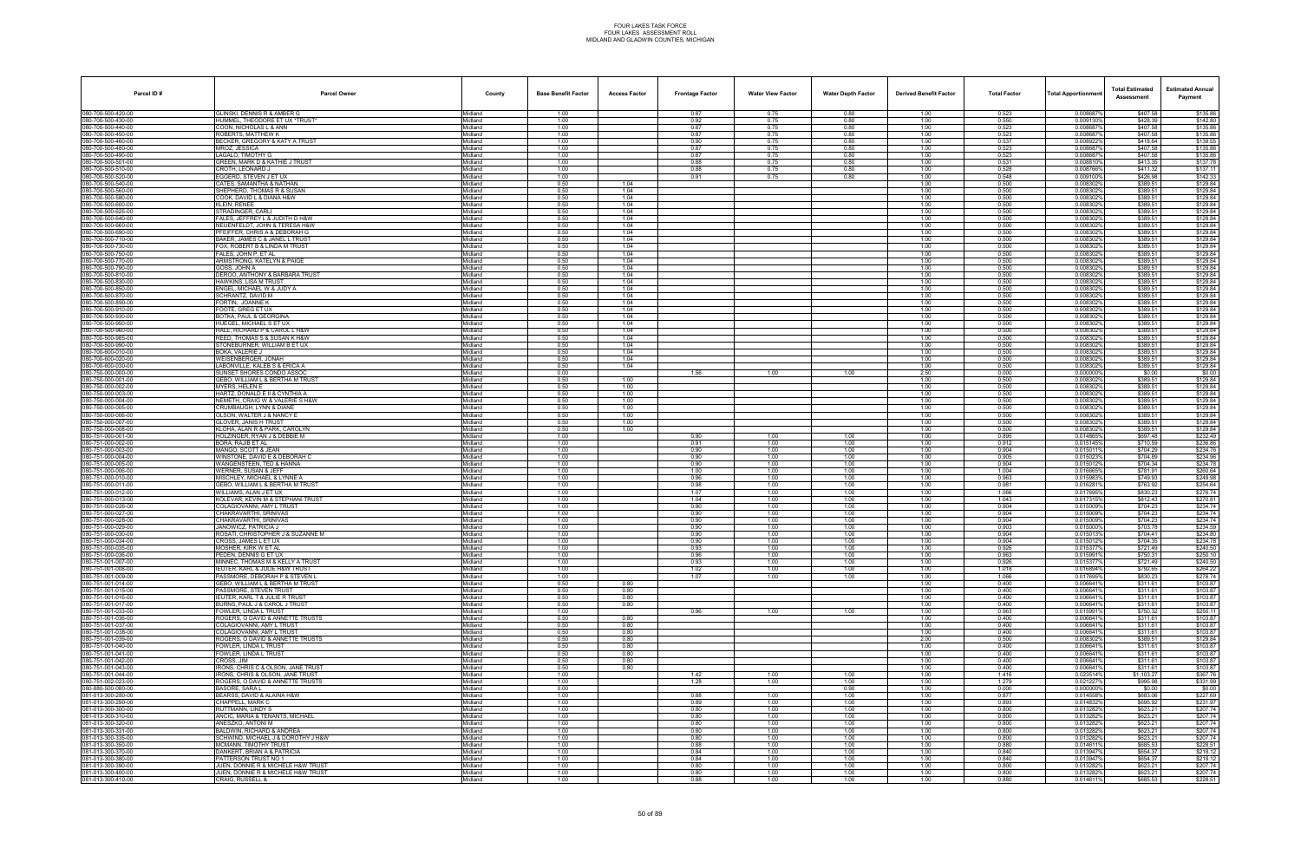| Parcel ID#                               | <b>Parcel Owner</b>                                                | County             | <b>Base Benefit Factor</b> | <b>Access Factor</b>    | <b>Frontage Factor</b> | <b>Water View Factor</b> | <b>Water Depth Factor</b> | <b>Derived Benefit Factor</b> | <b>Total Factor</b> | <b>Total Apportionment</b> | <b>Total Estimated</b><br>Assessment | <b>Estimated Annual</b><br>Payment |
|------------------------------------------|--------------------------------------------------------------------|--------------------|----------------------------|-------------------------|------------------------|--------------------------|---------------------------|-------------------------------|---------------------|----------------------------|--------------------------------------|------------------------------------|
| 080-700-500-420-00                       | GLINSKI. DENNIS R & AMBER G                                        | Midland            | 1.00                       |                         | 0.87                   | 0.75                     | 0.80                      | 1.00                          | 0.523               | 0.008687%                  | \$407.58                             | \$135.86                           |
| 080-700-500-430-00                       | HUMMEL, THEODORE ET UX *TRUST*                                     | Midland            | 1.00                       |                         | 0.92                   | 0.75                     | 0.80                      | 1.00                          | 0.550               | 0.009130%                  | \$428.39                             | \$142.80                           |
| 080-700-500-440-00<br>080-700-500-450-00 | COON, NICHOLAS L & ANN<br>ROBERTS. MATTHEW K                       | Midland<br>Midland | 1.00<br>1.00               |                         | 0.87<br>0.87           | 0.75<br>0.75             | 0.80<br>0.80              | 1.00<br>1.00                  | 0.523<br>0.523      | 0.0086879<br>0.008687%     | \$407.58<br>\$407.58                 | \$135.86<br>\$135.86               |
| 080-700-500-460-00                       | BECKER, GREGORY & KATY A TRUST                                     | Midland            | 1.00                       |                         | 0.90                   | 0.75                     | 0.80                      | 1.00                          | 0.537               | 0.008922%                  | \$418.64                             | \$139.55                           |
| 080-700-500-480-00                       | MROZ. JESSICA                                                      | Midland            | 1.00                       |                         | 0.87                   | 0.75                     | 0.80                      | 1.00                          | 0.523               | 0.008687%                  | \$407.58                             | \$135.86                           |
| 080-700-500-490-00<br>80-700-500-501-00  | AGALO, TIMOTHY G<br>GREEN, MARK D & KATHIE J TRUST                 | Midland<br>Midland | 1.00<br>1.00               |                         | 0.87<br>0.88           | 0.75<br>0.75             | 0.80<br>0.80              | 1.00<br>1.00                  | 0.523<br>0.531      | 0.0086879<br>0.008810      | \$407.58<br>\$413.35                 | \$135.86<br>\$137.78               |
| 80-700-500-510-00                        | CROTH. LEONARD J                                                   | Midland            | 1.00                       |                         | 0.88                   | 0.75                     | 0.80                      | 1.00                          | 0.528               | 0.008766%                  | \$411.32                             | \$137.11                           |
| 80-700-500-520-00                        | :GGERD, STEVEN J ET UX                                             | Midland            | 1.00                       |                         | 0.91                   | 0.75                     | 0.80                      | 1.00                          | 0.548               | 0.009100%                  | \$426.98                             | \$142.33                           |
| 080-700-500-540-00<br>080-700-500-560-00 | CATES, SAMANTHA & NATHAN<br>SHEPHERD, THOMAS R & SUSAN             | Midland<br>Midland | 0.50<br>0.50               | 1.04<br>1.04            |                        |                          |                           | 1.00<br>1.00                  | 0.500<br>0.500      | 0.008302%<br>0.008302%     | \$389.51<br>\$389.51                 | \$129.84<br>\$129.84               |
| 80-700-500-580-00                        | COOK. DAVID L & DIANA H&W                                          | Midland            | 0.50                       | 1.04                    |                        |                          |                           | 1.00                          | 0.500               | 0.0083029                  | \$389.51                             | \$129.84                           |
| 080-700-500-600-00                       | <b>KLEIN, RENEE</b>                                                | Midland            | 0.50                       | 1.04                    |                        |                          |                           | 1.00                          | 0.500               | 0.008302%                  | \$389.51                             | \$129.84                           |
| 080-700-500-625-00                       | STRADINGER, CARLI                                                  | Midland            | 0.50                       | 1.04                    |                        |                          |                           | 1.00                          | 0.500               | 0.008302%                  | \$389.51                             | \$129.84                           |
| 080-700-500-640-00<br>080-700-500-660-00 | FALES, JEFFREY L & JUDITH D H&W<br>NEUENFELDT, JOHN & TERESA H&W   | Midland<br>Midland | 0.50<br>0.50               | 1.04<br>1.04            |                        |                          |                           | 1.00<br>1.00                  | 0.500<br>0.500      | 0.008302%<br>0.008302%     | \$389.51<br>\$389.51                 | \$129.84<br>\$129.84               |
| 80-700-500-690-00                        | PFEIFFER, CHRIS A & DEBORAH G                                      | Midland            | 0.50                       | 1.04                    |                        |                          |                           | 1.00                          | 0.500               | 0.0083029                  | \$389.51                             | \$129.84                           |
| 80-700-500-710-00                        | BAKER, JAMES C & JANEL L TRUST                                     | Midland            | 0.50                       | 1.04                    |                        |                          |                           | 1.00                          | 0.500               | 0.008302%                  | \$389.51                             | \$129.84                           |
| 80-700-500-730-00<br>080-700-500-750-00  | OX. ROBERT B & LINDA M TRUST<br>FALES, JOHN P, ET AL               | Midland<br>Midland | 0.50<br>0.50               | 1 <sub>04</sub><br>1.04 |                        |                          |                           | 1.00<br>1.00                  | 0.500<br>0.500      | 0.008302%<br>0.008302%     | \$389.51<br>\$389.51                 | \$129.84<br>\$129.84               |
| 080-700-500-770-00                       | ARMSTRONG, KATELYN & PAIGE                                         | Midland            | 0.50                       | 1.04                    |                        |                          |                           | 1.00                          | 0.500               | 0.008302%                  | \$389.51                             | \$129.84                           |
| 80-700-500-790-00                        | 30SS, JOHN A                                                       | Midland            | 0.50                       | 1.04                    |                        |                          |                           | 1.00                          | 0.500               | 0.0083029                  | \$389.51                             | \$129.84                           |
| 080-700-500-810-00                       | DEROO, ANTHONY & BARBARA TRUST                                     | Midland            | 0.50                       | 1.04                    |                        |                          |                           | 1.00                          | 0.500               | 0.008302%                  | \$389.51                             | \$129.84                           |
| 080-700-500-830-00<br>080-700-500-850-00 | HAWKINS. LISA M TRUST<br>ENGEL, MICHAEL W & JUDY A                 | Midland<br>Midland | 0.50<br>0.50               | 1.04<br>1.04            |                        |                          |                           | 1.00<br>1.00                  | 0.500<br>0.500      | 0.008302%<br>0.008302%     | \$389.51<br>\$389.51                 | \$129.84<br>\$129.84               |
| 080-700-500-870-00                       | SCHRANTZ, DAVID M                                                  | Midland            | 0.50                       | 1.04                    |                        |                          |                           | 1.00                          | 0.500               | 0.008302%                  | \$389.51                             | \$129.84                           |
| 80-700-500-890-00                        | FORTIN, JOANNE K                                                   | Midland            | 0.50                       | 1.04                    |                        |                          |                           | 1.00                          | 0.500               | 0.0083029                  | \$389.51                             | \$129.84                           |
| 80-700-500-910-00<br>080-700-500-930-00  | FOOTE, GREG ET UX<br><b>BOTKA, PAUL &amp; GEORGINA</b>             | Midland<br>Midland | 0.50<br>0.50               | 1.04<br>1.04            |                        |                          |                           | 1.00<br>1.00                  | 0.500<br>0.500      | 0.008302%<br>0.008302%     | \$389.51<br>\$389.51                 | \$129.84<br>\$129.84               |
| 080-700-500-950-00                       | HUEGEL. MICHAEL S ET UX                                            | Midland            | 0.50                       | 1.04                    |                        |                          |                           | 1.00                          | 0.500               | 0.0083029                  | \$389.51                             | \$129.84                           |
| 080-700-500-960-00                       | HALE, RICHARD P & CAROL L H&W                                      | Midland            | 0.50                       | 1.04                    |                        |                          |                           | 1.00                          | 0.500               | 0.008302%                  | \$389.51                             | \$129.84                           |
| 80-700-500-985-00                        | REED, THOMAS S & SUSAN K H&W                                       | Midland            | 0.50                       | 1.04                    |                        |                          |                           | 1.00                          | 0.500               | 0.0083029                  | \$389.51                             | \$129.84                           |
| 080-700-500-990-00<br>080-700-600-010-00 | STONEBURNER, WILLIAM B ET UX<br>30KA. VALERIE J                    | Midland<br>Midland | 0.50<br>0.50               | 1.04<br>1.04            |                        |                          |                           | 1.00<br>1.00                  | 0.500<br>0.500      | 0.008302%<br>0.008302%     | \$389.51<br>\$389.51                 | \$129.84<br>\$129.84               |
| 080-700-600-020-00                       | WEISENBERGER, JONAH                                                | Midland            | 0.50                       | 1.04                    |                        |                          |                           | 1.00                          | 0.500               | 0.0083029                  | \$389.51                             | \$129.84                           |
| 080-700-600-030-00                       | <b>ABONVILLE, KALEB S &amp; ERICA A</b>                            | Midland            | 0.50                       | 1.04                    |                        |                          |                           | 1.00                          | 0.500               | 0.008302%                  | \$389.51                             | \$129.84                           |
| 80-750-000-000-00<br>80-750-000-001-00   | SUNSET SHORES CONDO ASSOC<br>GEBO. WILLIAM L & BERTHA M TRUST      | Midland<br>Midland | 0.00<br>0.50               | 1.00                    | 1.56                   | 1.00                     | 1.00                      | 2.50<br>1.00                  | 0.000<br>0.500      | 0.0000009<br>0.008302%     | \$0.00<br>\$389.51                   | \$0.00<br>\$129.84                 |
| 80-750-000-002-00                        | MYERS. HELEN E                                                     | Midland            | 0.50                       | 1.00                    |                        |                          |                           | 1.00                          | 0.500               | 0.008302%                  | \$389.51                             | \$129.84                           |
| 080-750-000-003-00                       | HARTZ, DONALD E II & CYNTHIA A                                     | Midland            | 0.50                       | 1.00                    |                        |                          |                           | 1.00                          | 0.500               | 0.0083029                  | \$389.51                             | \$129.84                           |
| 080-750-000-004-00                       | <b>VEMETH, CRAIG W &amp; VALERIE S H&amp;W</b>                     | Midland            | 0.50                       | 1.00                    |                        |                          |                           | 1.00                          | 0.500               | 0.008302%                  | \$389.51                             | \$129.84                           |
| 80-750-000-005-00<br>080-750-000-006-00  | CRUMBAUGH, LYNN & DIANE<br><b>OLSON. WALTER J &amp; NANCY E</b>    | Midland<br>Midland | 0.50<br>0.50               | 1.00<br>1.00            |                        |                          |                           | 1.00<br>1.00                  | 0.500<br>0.500      | 0.008302%<br>0.008302%     | \$389.51<br>\$389.51                 | \$129.84<br>\$129.84               |
| 080-750-000-007-00                       | <b>GLOVER, JANIS H TRUST</b>                                       | Midland            | 0.50                       | 1.00                    |                        |                          |                           | 1.00                          | 0.500               | 0.008302%                  | \$389.51                             | \$129.84                           |
| 080-750-000-008-00                       | KLOHA, ALAN R & PARK, CAROLYN                                      | Midland            | 0.50                       | 1.00                    |                        |                          |                           | 1.00                          | 0.500               | 0.0083029                  | \$389.51                             | \$129.84                           |
| 080-751-000-001-00<br>80-751-000-002-00  | HOLZINGER, RYAN J & DEBBIE M<br><b>BORA, RAJIB ET AL</b>           | Midland<br>Midland | 1.00<br>1.00               |                         | 0.90<br>0.91           | 1.00<br>1.00             | 1.00<br>1.00              | 1.00<br>1.00                  | 0.895<br>0.912      | 0.014865%<br>0.015145%     | \$697.48<br>\$710.59                 | \$232.49<br>\$236.86               |
| 080-751-000-003-00                       | MANGO. SCOTT & JEAN                                                | Midland            | 1.00                       |                         | 0.90                   | 1.00                     | 1.00                      | 1.00                          | 0.904               | 0.015011%                  | \$704.29                             | \$234.76                           |
| 080-751-000-004-00                       | WINSTONE, DAVID E & DEBORAH C                                      | Midland            | 1.00                       |                         | 0.90                   | 1.00                     | 1.00                      | 1.00                          | 0.905               | 0.015023%                  | \$704.89                             | \$234.96                           |
| 080-751-000-005-00                       | WANGENSTEEN, TED & HANNA                                           | Midland            | 1.00                       |                         | 0.90                   | 1.00                     | 1.00                      | 1.00                          | 0.904               | 0.0150129                  | \$704.34                             | \$234.78                           |
| 080-751-000-006-00<br>80-751-000-010-00  | WERNER, SUSAN & JEFF<br><b>MISCHLEY, MICHAEL &amp; LYNNE A</b>     | Midland<br>Midland | 1.00<br>1.00               |                         | 1.00<br>0.96           | 1.00<br>1.00             | 1.00<br>1.00              | 1.00<br>1.00                  | 1.004<br>0.963      | 0.016665%<br>0.015983%     | \$781.91<br>\$749.93                 | \$260.64<br>\$249.98               |
| 080-751-000-011-00                       | <b>GEBO. WILLIAM L &amp; BERTHA M TRUST</b>                        | Midland            | 1.00                       |                         | 0.98                   | 1.00                     | 1.00                      | 1.00                          | 0.981               | 0.016281%                  | \$763.92                             | \$254.64                           |
| 080-751-000-012-00                       | VILLIAMS, ALAN J ET UX                                             | Midland            | 1.00                       |                         | 1.07                   | 1.00                     | 1.00                      | 1.00                          | 1.066               | 0.017695%                  | \$830.23                             | \$276.74                           |
| 080-751-000-013-00<br>080-751-000-026-00 | KOLEVAR, KEVIN M & STEPHANI TRUST<br>COLAGIOVANNI, AMY L TRUST     | Midland<br>Midland | 1.00<br>1.00               |                         | 1.04<br>0.90           | 1.00<br>1.00             | 1.00<br>1.00              | 1.00<br>1.00                  | 1.043<br>0.904      | 0.0173159<br>0.015009%     | \$812.43<br>\$704.23                 | \$270.81<br>\$234.74               |
| 80-751-000-027-00                        | CHAKRAVARTHI, SRINIVAS                                             | Midland            | 1.00                       |                         | 0.90                   | 1.00                     | 1.00                      | 1.00                          | 0.904               | 0.015009%                  | \$704.23                             | \$234.74                           |
| 80-751-000-028-00                        | CHAKRAVARTHI, SRINIVAS                                             | Midland            | 1.00                       |                         | 0.90                   | 1.00                     | 1.00                      | 1.00                          | 0.904               | 0.015009%                  | \$704.23                             | \$234.74                           |
| 080-751-000-029-00                       | JANOWICZ, PATRICIA J                                               | Midland            | 1.00                       |                         | 0.90                   | 1.00                     | 1.00                      | 1.00                          | 0.903               | 0.015000%                  | \$703.78                             | \$234.59                           |
| 080-751-000-030-00<br>080-751-000-034-00 | ROSATI, CHRISTOPHER J & SUZANNE M<br>CROSS, JAMES L ET UX          | Midland<br>Midland | 1.00<br>1.00               |                         | 0.90<br>0.90           | 1.00<br>1.00             | 1.00<br>1.00              | 1.00<br>1.00                  | 0.904<br>0.904      | 0.0150139<br>0.015012%     | \$704.41<br>\$704.35                 | \$234.80<br>\$234.78               |
| 080-751-000-035-00                       | MOSHER, KIRK W ET AL                                               | Midland            | 1.00                       |                         | 0.93                   | 1.00                     | 1.00                      | 1.00                          | 0.926               | 0.015377%                  | \$721.49                             | \$240.50                           |
| 080-751-000-036-00                       | PEDEN. DENNIS G ET UX                                              | Midland            | 1.00                       |                         | 0.96                   | 1.00                     | 1.00                      | 1.00                          | 0.963               | 0.015991%                  | \$750.31                             | \$250.10                           |
| 080-751-001-007-00<br>080-751-001-008-00 | MINNEC. THOMAS M & KELLY A TRUST<br>IEUTER, KARL & JULIE H&W TRUST | Midland<br>Midland | 1.00<br>1.00               |                         | 0.93<br>1.02           | 1.00<br>1.00             | 1.00<br>1.00              | 1.00<br>1.00                  | 0.926<br>1.018      | 0.015377%<br>0.016894%     | \$721.49<br>\$792.65                 | \$240.50<br>\$264.22               |
| 080-751-001-009-00                       | PASSMORE, DEBORAH P & STEVEN L                                     | Midland            | 1.00                       |                         | 1.07                   | 1.00                     | 1.00                      | 1.00                          | 1.066               | 0.017695%                  | \$830.23                             | \$276.74                           |
| 080-751-001-014-00                       | GEBO, WILLIAM L & BERTHA M TRUST                                   | Midland            | 0.50                       | 0.80                    |                        |                          |                           | 1.00                          | 0.400               | 0.006641%                  | \$311.61                             | \$103.87                           |
| 080-751-001-015-00<br>080-751-001-016-00 | PASSMORE, STEVEN TRUST<br>IEUTER, KARL T & JULIE R TRUST           | Midland<br>Midland | 0.50<br>0.50               | 0.80<br>0.80            |                        |                          |                           | 1.00<br>1.00                  | 0.400<br>0.400      | 0.006641%<br>0.006641%     | \$311.61<br>\$311.61                 | \$103.87<br>\$103.87               |
| 080-751-001-017-00                       | BURNS, PAUL J & CAROL J TRUST                                      | Midland            | 0.50                       | 0.80                    |                        |                          |                           | 1.00                          | 0.400               | 0.006641%                  | \$311.61                             | \$103.87                           |
| 080-751-001-033-00                       | FOWLER, LINDA L TRUST                                              | Midland            | 1.00                       |                         | 0.96                   | 1.00                     | 1.00                      | 1.00                          | 0.963               | 0.015991%                  | \$750.32                             | \$250.11                           |
| 080-751-001-036-00                       | ROGERS, O DAVID & ANNETTE TRUSTS                                   | Midland            | 0.50                       | 0.80                    |                        |                          |                           | 1.00                          | 0.400               | 0.006641%                  | \$311.61                             | \$103.87                           |
| 080-751-001-037-00<br>080-751-001-038-00 | COLAGIOVANNI, AMY L TRUST<br>COLAGIOVANNI, AMY L TRUST             | Midland<br>Midland | 0.50<br>0.50               | 0.80<br>0.80            |                        |                          |                           | 1.00<br>1.00                  | 0.400<br>0.400      | 0.006641%<br>0.006641%     | \$311.61<br>\$311.61                 | \$103.87<br>\$103.87               |
| 080-751-001-039-00                       | ROGERS, O DAVID & ANNETTE TRUSTS                                   | Midland            | 0.50                       | 0.80                    |                        |                          |                           | 2.00                          | 0.500               | 0.008302%                  | \$389.51                             | \$129.84                           |
| 080-751-001-040-00                       | FOWLER, LINDA L TRUST                                              | Midland            | 0.50                       | 0.80                    |                        |                          |                           | 1.00                          | 0.400               | 0.006641%                  | \$311.61                             | \$103.87                           |
| 080-751-001-041-00                       | FOWLER, LINDA L TRUST                                              | Midland            | 0.50                       | 0.80                    |                        |                          |                           | 1.00                          | 0.400               | 0.006641%                  | \$311.61                             | \$103.87                           |
| 080-751-001-042-00<br>080-751-001-043-00 | ROSS, JIM:<br>IRONS, CHRIS C & OLSON, JANE TRUST                   | Midland<br>Midland | 0.50<br>0.50               | 0.80<br>0.80            |                        |                          |                           | 1.00<br>1.00                  | 0.400<br>0.400      | 0.006641%<br>0.006641%     | \$311.61<br>\$311.61                 | \$103.87<br>\$103.87               |
| 080-751-001-044-00                       | <b>IRONS, CHRIS &amp; OLSON, JANE TRUST</b>                        | Midland            | 1.00                       |                         | 1.42                   | 1.00                     | 1.00                      | 1.00                          | 1.416               | 0.023514%                  | \$1,103.27                           | \$367.76                           |
| 080-751-002-023-00                       | ROGERS, O DAVID & ANNETTE TRUSTS                                   | Midland            | 1.00                       |                         | 1.28                   | 1.00                     | 1.00                      | 1.00                          | 1.279               | 0.021227%                  | \$995.98                             | \$331.99                           |
| 080-880-500-080-00<br>081-013-300-280-00 | <b>BASORE, SARAL</b><br>BEARSS, DAVID & ALAINA H&W                 | Midland<br>Midland | 0.00<br>1.00               |                         | 0.88                   | 1.00                     | 0.90<br>1.00              | 1.00<br>1.00                  | 0.000<br>0.877      | 0.000000%<br>0.014558%     | \$0.00<br>\$683.06                   | \$0.00<br>\$227.69                 |
| 081-013-300-290-00                       | CHAPPELL, MARK C                                                   | Midland            | 1.00                       |                         | 0.89                   | 1.00                     | 1.00                      | 1.00                          | 0.893               | 0.014832%                  | \$695.92                             | \$231.97                           |
| 081-013-300-300-00                       | RUTTMANN, LINDY S                                                  | Midland            | 1.00                       |                         | 0.80                   | 1.00                     | 1.00                      | 1.00                          | 0.800               | 0.013282%                  | \$623.21                             | \$207.74                           |
| 081-013-300-310-00<br>081-013-300-320-00 | ANCIC, MARIA & TENANTS, MICHAEL<br>ANESZKO, ANTONI M               | Midland<br>Midland | 1.00<br>1.00               |                         | 0.80<br>0.80           | 1.00<br>1.00             | 1.00<br>1.00              | 1.00<br>1.00                  | 0.800<br>0.800      | 0.013282%<br>0.013282%     | \$623.21<br>\$623.21                 | \$207.74<br>\$207.74               |
| 081-013-300-331-00                       | <b>BALDWIN, RICHARD &amp; ANDREA</b>                               | Midland            | 1.00                       |                         | 0.80                   | 1.00                     | 1.00                      | 1.00                          | 0.800               | 0.013282%                  | \$623.21                             | \$207.74                           |
| 081-013-300-335-00                       | SCHWIND, MICHAEL J & DOROTHY J H&W                                 | Midland            | 1.00                       |                         | 0.80                   | 1.00                     | 1.00                      | 1.00                          | 0.800               | 0.013282%                  | \$623.21                             | \$207.74                           |
| 081-013-300-350-00                       | MCMANN, TIMOTHY TRUST                                              | Midland            | 1.00                       |                         | 0.88                   | 1.00                     | 1.00                      | 1.00                          | 0.880               | 0.014611%                  | \$685.53                             | \$228.51                           |
| 081-013-300-370-00<br>081-013-300-380-00 | DANKERT, BRIAN A & PATRICIA<br>PATTERSON TRUST NO 1                | Midland<br>Midland | 1.00<br>1.00               |                         | 0.84<br>0.84           | 1.00<br>1.00             | 1.00<br>1.00              | 1.00<br>1.00                  | 0.840<br>0.840      | 0.013947%<br>0.013947%     | \$654.37<br>\$654.37                 | \$218.12<br>\$218.12               |
| 081-013-300-390-00                       | JUEN, DONNIE R & MICHELE H&W TRUST                                 | Midland            | 1.00                       |                         | 0.80                   | 1.00                     | 1.00                      | 1.00                          | 0.800               | 0.013282%                  | \$623.21                             | \$207.74                           |
| 081-013-300-400-00                       | JUEN, DONNIE R & MICHELE H&W TRUST                                 | Midland            | 1.00                       |                         | 0.80                   | 1.00                     | 1.00                      | 1.00                          | 0.800               | 0.013282%                  | \$623.21                             | \$207.74                           |
| 081-013-300-410-00                       | CRAIG, RUSSELL &                                                   | Midland            | 1.00                       |                         | 0.88                   | 1.00                     | 1.00                      | 1.00                          | 0.880               | 0.014611%                  | \$685.53                             | \$228.51                           |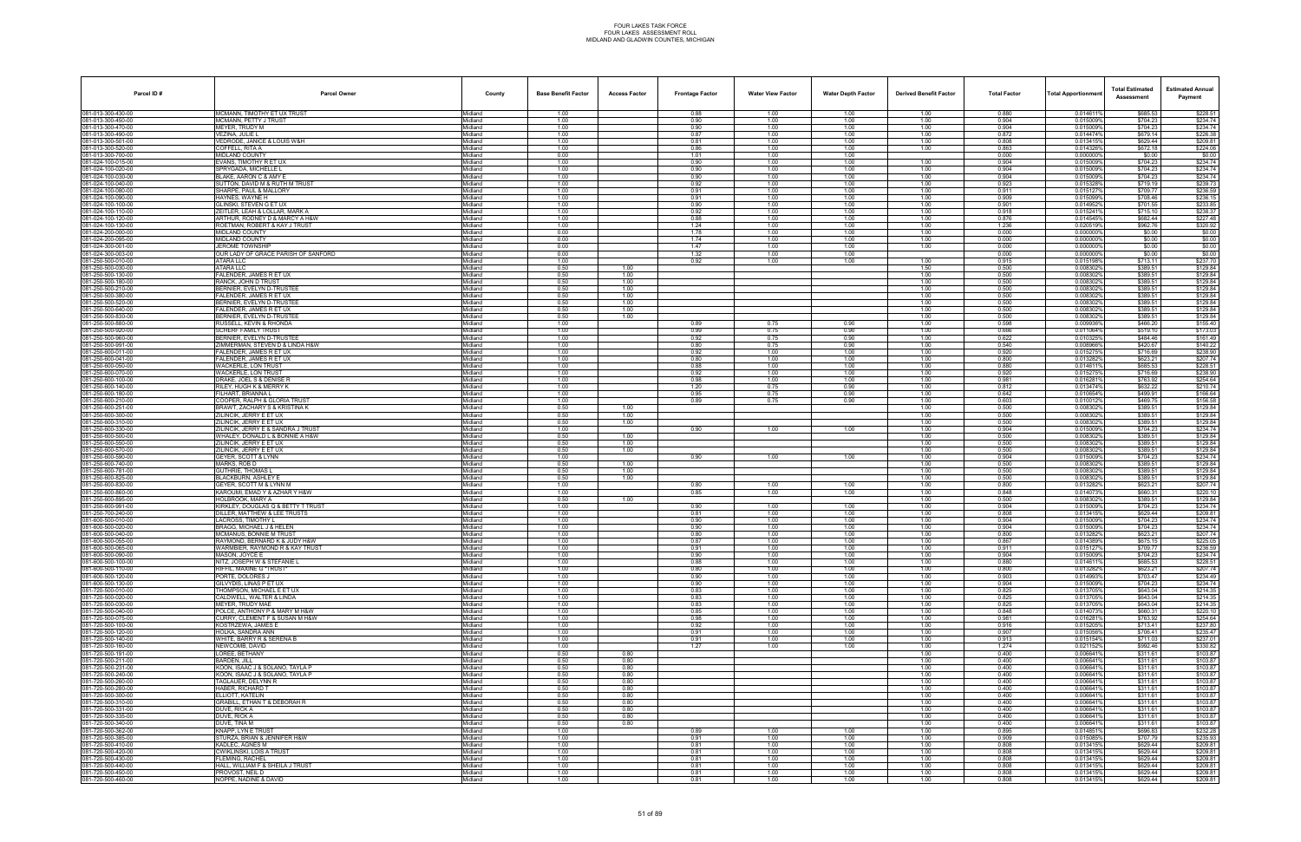| Parcel ID#                               | <b>Parcel Owner</b>                                                   | County             | <b>Base Benefit Factor</b> | <b>Access Factor</b> | <b>Frontage Factor</b> | <b>Water View Factor</b> | <b>Water Depth Factor</b> | <b>Derived Benefit Factor</b> | <b>Total Factor</b> | <b>Total Apportionmer</b> | <b>Total Estimated</b><br>Assessment | <b>Estimated Annual</b><br>Payment |
|------------------------------------------|-----------------------------------------------------------------------|--------------------|----------------------------|----------------------|------------------------|--------------------------|---------------------------|-------------------------------|---------------------|---------------------------|--------------------------------------|------------------------------------|
| 081-013-300-430-00                       | MCMANN. TIMOTHY ET UX TRUST                                           | Midland            | 1.00                       |                      | 0.88                   | 1.00                     | 1.00                      | 1.00                          | 0.880               | 0.014611%                 | \$685.53                             | \$228.51                           |
| 081-013-300-450-00<br>081-013-300-470-00 | MCMANN, PETTY J TRUST<br><b>MEYER, TRUDY M</b>                        | Midland<br>Midland | 1.00<br>1.00               |                      | 0.90<br>0.90           | 1.00<br>1.00             | 1.00<br>1.00              | 1.00<br>1.00                  | 0.904<br>0.904      | 0.015009%<br>0.015009%    | \$704.23<br>\$704.23                 | \$234.74<br>\$234.74               |
| 081-013-300-490-00                       | VEZINA, JULIE L                                                       | Midland            | 1.00                       |                      | 0.87                   | 1.00                     | 1.00                      | 1.00                          | 0.872               | 0.014474%                 | \$679.14                             | \$226.38                           |
| 081-013-300-501-00                       | VEDRODE, JANICE & LOUIS W&H                                           | Midland            | 1.00                       |                      | 0.81                   | 1.00                     | 1.00                      | 1.00                          | 0.808               | 0.013415%                 | \$629.44                             | \$209.81                           |
| 081-013-300-520-00<br>081-013-300-700-00 | COFFELL, RITA A<br>MIDLAND COUNTY                                     | Midland<br>Midland | 1.00<br>0.00               |                      | 0.86<br>1.01           | 1.00<br>1.00             | 1.00<br>1.00              | 1.00                          | 0.863<br>0.000      | 0.0143269<br>0.000000%    | \$672.18<br>\$0.00                   | \$224.06<br>\$0.00                 |
| 81-024-100-015-00                        | EVANS, TIMOTHY R ET UX                                                | Midland            | 1.00                       |                      | 0.90                   | 1.00                     | 1.00                      | 1.00                          | 0.904               | 0.015009%                 | \$704.23                             | \$234.74                           |
| 081-024-100-020-00                       | SPRYGADA. MICHELLE L                                                  | Midland            | 1.00                       |                      | 0.90                   | 1.00                     | 1.00                      | 1.00                          | 0.904               | 0.015009%                 | \$704.23                             | \$234.74                           |
| 081-024-100-030-00<br>081-024-100-040-00 | BLAKE, AARON C & AMY E<br>SUTTON, DAVID M & RUTH M TRUST              | Midland<br>Midland | 1.00<br>1.00               |                      | 0.90<br>0.92           | 1.00<br>1.00             | 1.00<br>1.00              | 1.00<br>1.00                  | 0.904<br>0.923      | 0.015009%<br>0.0153289    | \$704.23<br>\$719.19                 | \$234.74<br>\$239.73               |
| 081-024-100-080-00                       | SHARPE, PAUL & MALLORY                                                | Midland            | 1.00                       |                      | 0.91                   | 1.00                     | 1.00                      | 1.00                          | 0.911               | 0.015127%                 | \$709.77                             | \$236.59                           |
| 81-024-100-090-00                        | HAYNES. WAYNE H                                                       | Midland            | 1.00                       |                      | 0.91                   | 1.00                     | 1.00                      | 1.00                          | 0.909               | 0.015099%                 | \$708.46                             | \$236.15                           |
| 081-024-100-100-00<br>081-024-100-110-00 | GLINSKI, STEVEN G ET UX<br>ZEITLER, LEAH & LOLLAR, MARK A             | Midland<br>Midland | 1.00<br>1.00               |                      | 0.90<br>0.92           | 1.00<br>1.00             | 1.00<br>1.00              | 1.00<br>1.00                  | 0.901<br>0.918      | 0.014952%<br>0.0152419    | \$701.55<br>\$715.10                 | \$233.85<br>\$238.37               |
| 081-024-100-120-00                       | ARTHUR. RODNEY D & MARCY A H&W                                        | Midland            | 1.00                       |                      | 0.88                   | 1.00                     | 1.00                      | 1.00                          | 0.876               | 0.014545%                 | \$682.44                             | \$227.48                           |
| 081-024-100-130-00                       | ROETMAN, ROBERT & KAY J TRUST                                         | Midland            | 1.00                       |                      | 1.24                   | 1.00                     | 1.00                      | 1.00                          | 1.236               | 0.020519%                 | \$962.76                             | \$320.92                           |
| 81-024-200-000-00<br>81-024-200-095-00   | <b>MIDLAND COUNTY</b><br><b>MIDLAND COUNTY</b>                        | Aidland<br>Midland | 0.00<br>0.00               |                      | 1.78<br>1.74           | 1.00<br>1.00             | 1.00<br>1.00              | 1.00<br>1.00                  | 0.000<br>0.000      | 0.000000%<br>0.0000009    | \$0.00<br>\$0.00                     | \$0.00<br>\$0.00                   |
| 81-024-300-001-00                        | JEROME TOWNSHIP                                                       | Midland            | 0.00                       |                      | 1.47                   | 1.00                     | 1.00                      | 1.00                          | 0.000               | 0.0000009                 | \$0.00                               | \$0.00                             |
| 081-024-300-003-00                       | OUR LADY OF GRACE PARISH OF SANFORD                                   | Midland            | 0.00                       |                      | 1.32                   | 1.00                     | 1.00                      |                               | 0.000               | 0.0000009                 | \$0.00                               | \$0.00                             |
| 081-250-500-010-00<br>81-250-500-030-00  | ATARA LLC<br>ATARA LLC                                                | Midland<br>Midland | 1.00<br>0.50               | 1.00                 | 0.92                   | 1.00                     | 1.00                      | 1.00<br>1.50                  | 0.915<br>0.500      | 0.015198%<br>0.0083029    | \$713.11<br>\$389.51                 | \$237.70<br>\$129.84               |
| 081-250-500-130-00                       | FALENDER, JAMES R ET UX                                               | Midland            | 0.50                       | 1.00                 |                        |                          |                           | 1.00                          | 0.500               | 0.0083029                 | \$389.51                             | \$129.84                           |
| 081-250-500-180-00                       | RANCK, JOHN D TRUST                                                   | Midland            | 0.50                       | 1.00                 |                        |                          |                           | 1.00                          | 0.500               | 0.0083029                 | \$389.51                             | \$129.84                           |
| 081-250-500-210-00<br>081-250-500-380-00 | BERNIER, EVELYN D-TRUSTEE<br><b>FALENDER, JAMES R ET UX</b>           | Midland<br>Midland | 0.50<br>0.50               | 1.00<br>1.00         |                        |                          |                           | 1.00<br>1.00                  | 0.500<br>0.500      | 0.0083029<br>0.0083029    | \$389.51<br>\$389.51                 | \$129.84<br>\$129.84               |
| 81-250-500-520-00                        | BERNIER, EVELYN D-TRUSTEE                                             | Aidland            | 0.50                       | 1.00                 |                        |                          |                           | 1.00                          | 0.500               | 0.0083029                 | \$389.51                             | \$129.84                           |
| 81-250-500-640-00                        | FALENDER, JAMES R ET UX                                               | Midland            | 0.50                       | 1.00                 |                        |                          |                           | 1.00                          | 0.500               | 0.0083029                 | \$389.51                             | \$129.84                           |
| 81-250-500-830-00<br>081-250-500-880-00  | BERNIER, EVELYN D-TRUSTEE<br>RUSSELL, KEVIN & RHONDA                  | Midland<br>Midland | 0.50<br>1.00               | 1.00                 | 0.89                   | 0.75                     | 0.90                      | 1.00<br>1.00                  | 0.500<br>0.598      | 0.008302<br>0.009936%     | \$389.51<br>\$466.20                 | \$129.84<br>\$155.40               |
| 081-250-500-920-00                       | <b>SCHERF FAMILY TRUST</b>                                            | Midland            | 1.00                       |                      | 0.99                   | 0.75                     | 0.90                      | 1.00                          | 0.666               | 0.011064%                 | \$519.10                             | \$173.03                           |
| 81-250-500-960-00                        | BERNIER, EVELYN D-TRUSTEE                                             | Midland            | 1.00                       |                      | 0.92                   | 0.75                     | 0.90                      | 1.00                          | 0.622               | 0.0103259                 | \$484.46                             | \$161.49                           |
| 081-250-500-991-00<br>081-250-600-011-00 | ZIMMERMAN, STEVEN D & LINDA H&W<br>FALENDER, JAMES R ET UX            | Midland<br>Midland | 1.00<br>1.00               |                      | 0.80<br>0.92           | 0.75<br>1.00             | 0.90<br>1.00              | 1.00<br>1.00                  | 0.540<br>0.920      | 0.008966%<br>0.0152759    | \$420.67<br>\$716.69                 | \$140.22<br>\$238.90               |
| 081-250-600-041-00                       | FALENDER, JAMES R ET UX                                               | Midland            | 1.00                       |                      | 0.80                   | 1.00                     | 1.00                      | 1.00                          | 0.800               | 0.013282%                 | \$623.21                             | \$207.74                           |
| 81-250-600-050-00                        | WACKERLE, LON TRUST                                                   | Midland            | 1.00                       |                      | 0.88                   | 1.00                     | 1.00                      | 1.00                          | 0.880               | 0.0146119                 | \$685.53                             | \$228.51                           |
| 81-250-600-070-00<br>81-250-600-100-00   | <b>NACKERLE, LON TRUST</b><br>DRAKE, JOEL S & DENISE R                | lidland<br>Midland | 1.00<br>1.00               |                      | 0.92<br>0.98           | 1.00<br>1.00             | 1.00<br>1.00              | 1.00<br>1.00                  | 0.920<br>0.981      | 0.015275<br>0.016281%     | \$716.69<br>\$763.92                 | \$238.90<br>\$254.64               |
| 81-250-600-140-00                        | RILEY, HUGH K & MERRY K                                               | Midland            | 1.00                       |                      | 1.20                   | 0.75                     | 0.90                      | 1.00                          | 0.812               | 0.013474%                 | \$632.22                             | \$210.74                           |
| 081-250-600-180-00                       | FILHART, BRIANNA L                                                    | Midland            | 1.00                       |                      | 0.95                   | 0.75                     | 0.90                      | 1.00                          | 0.642               | 0.010654%                 | \$499.91                             | \$166.64                           |
| 081-250-600-210-00<br>81-250-600-251-00  | COOPER, RALPH & GLORIA TRUST<br>BRAWT, ZACHARY S & KRISTINA K         | Midland<br>Midland | 1.00<br>0.50               | 1.00                 | 0.89                   | 0.75                     | 0.90                      | 1.00<br>1.00                  | 0.603<br>0.500      | 0.0100129<br>0.0083029    | \$469.75<br>\$389.51                 | \$156.58<br>\$129.84               |
| 081-250-600-300-00                       | ZILINCIK, JERRY E ET UX                                               | Midland            | 0.50                       | 1.00                 |                        |                          |                           | 1.00                          | 0.500               | 0.008302%                 | \$389.51                             | \$129.84                           |
| 081-250-600-310-00                       | ZILINCIK, JERRY E ET UX                                               | Midland            | 0.50                       | 1.00                 |                        |                          |                           | 1.00                          | 0.500               | 0.0083029                 | \$389.51                             | \$129.84                           |
| 081-250-600-330-00<br>81-250-600-500-00  | ZILINCIK, JERRY E & SANDRA J TRUST<br>VHALEY, DONALD L & BONNIE A H&W | Midland<br>Midland | 1.00<br>0.50               | 1.00                 | 0.90                   | 1.00                     | 1.00                      | 1.00<br>1.00                  | 0.904<br>0.500      | 0.015009%<br>0.008302     | \$704.23<br>\$389.51                 | \$234.74<br>\$129.84               |
| 31-250-600-550-00                        | ZILINCIK, JERRY E ET UX                                               | Aidland            | 0.50                       | 1.00                 |                        |                          |                           | 1.00                          | 0.500               | 0.0083029                 | \$389.51                             | \$129.84                           |
| 081-250-600-570-00                       | ZILINCIK, JERRY E ET UX                                               | Midland            | 0.50                       | 1.00                 |                        |                          |                           | 1.00                          | 0.500               | 0.008302%                 | \$389.51                             | \$129.84                           |
| 81-250-600-590-00<br>081-250-600-740-00  | GEYER, SCOTT & LYNN<br>MARKS, ROB D                                   | Midland<br>Midland | 1.00<br>0.50               | 1.00                 | 0.90                   | 1.00                     | 1.00                      | 1.00<br>1.00                  | 0.904<br>0.500      | 0.015009%<br>0.008302%    | \$704.23<br>\$389.51                 | \$234.74<br>\$129.84               |
| 081-250-600-781-00                       | <b>SUTHRIE, THOMAS L</b>                                              | Midland            | 0.50                       | 1.00                 |                        |                          |                           | 1.00                          | 0.500               | 0.0083029                 | \$389.51                             | \$129.84                           |
| 81-250-600-825-00                        | BLACKBURN, ASHLEY E                                                   | Aidland            | 0.50                       | 1.00                 |                        |                          |                           | 1.00                          | 0.500               | 0.0083029                 | \$389.51                             | \$129.84                           |
| 081-250-600-830-00<br>081-250-600-860-00 | GEYER. SCOTT M & LYNN M<br>KAROUMI, EMAD Y & AZHAR Y H&W              | Midland<br>Midland | 1.00<br>1.00               |                      | 0.80<br>0.85           | 1.00<br>1.00             | 1.00<br>1.00              | 1.00<br>1.00                  | 0.800<br>0.848      | 0.013282%<br>0.0140739    | \$623.21<br>\$660.31                 | \$207.74<br>\$220.10               |
| 081-250-600-895-00                       | HOLBROOK, MARY A                                                      | Midland            | 0.50                       | 1.00                 |                        |                          |                           | 1.00                          | 0.500               | 0.008302%                 | \$389.51                             | \$129.84                           |
| 81-250-600-991-00                        | KIRKLEY, DOUGLAS Q & BETTY T TRUST                                    | Midland            | 1.00                       |                      | 0.90                   | 1.00                     | 1.00                      | 1.00                          | 0.904               | 0.015009%                 | \$704.23                             | \$234.74                           |
| 31-250-700-240-00<br>081-600-500-010-00  | )ILLER, MATTHEW & LEE TRUSTS<br><b>ACROSS. TIMOTHY L</b>              | Aidland<br>Midland | 1.00<br>1.00               |                      | 0.81<br>0.90           | 1.00<br>1.00             | 1.00<br>1.00              | 1.00<br>1.00                  | 0.808<br>0.904      | 0.013415<br>0.015009%     | \$629.44<br>\$704.23                 | \$209.81<br>\$234.74               |
| 81-600-500-020-00                        | BRAGG, MICHAEL J & HELEN                                              | Midland            | 1.00                       |                      | 0.90                   | 1.00                     | 1.00                      | 1.00                          | 0.904               | 0.015009%                 | \$704.23                             | \$234.74                           |
| 081-600-500-040-00                       | <b>MCMANUS. BONNIE M TRUST</b>                                        | Midland            | 1.00                       |                      | 0.80                   | 1.00                     | 1.00                      | 1.00                          | 0.800               | 0.0132829                 | \$623.21                             | \$207.74                           |
| 081-600-500-055-00<br>081-600-500-065-00 | RAYMOND, BERNARD K & JUDY H&W<br>WARMBIER, RAYMOND R & KAY TRUST      | Midland<br>Aidland | 1.00<br>1.00               |                      | 0.87<br>0.91           | 1.00<br>1.00             | 1.00<br>1.00              | 1.00<br>1.00                  | 0.867<br>0.911      | 0.014389%<br>0.0151279    | \$675.15<br>\$709.77                 | \$225.05<br>\$236.59               |
| 081-600-500-090-00                       | MASON, JOYCE E                                                        | Midland            | 1.00                       |                      | 0.90                   | 1.00                     | 1.00                      | 1.00                          | 0.904               | 0.015009%                 | \$704.23                             | \$234.74                           |
| 081-600-500-100-00                       | NITZ, JOSEPH W & STEFANIE L                                           | Midland            | 1.00                       |                      | 0.88                   | 1.00                     | 1.00                      | 1.00                          | 0.880               | 0.014611%                 | \$685.53                             | \$228.51                           |
| 081-600-500-110-00<br>081-600-500-120-00 | RIFFIL, MAXINE G *TRUST*<br>PORTE, DOLORES J                          | Midland<br>Midland | 1.00<br>1.00               |                      | 0.80<br>0.90           | 1.00<br>1.00             | 1.00<br>1.00              | 1.00<br>1.00                  | 0.800<br>0.903      | 0.013282%<br>0.0149939    | \$623.21<br>\$703.47                 | \$207.74<br>\$234.49               |
| 81-600-500-130-00                        | GILVYDIS, LINAS P ET UX                                               | Midland            | 1.00                       |                      | 0.90                   | 1.00                     | 1.00                      | 1.00                          | 0.904               | 0.015009%                 | \$704.23                             | \$234.74                           |
| 081-720-500-010-00<br>081-720-500-020-00 | THOMPSON, MICHAEL E ET UX<br>CALDWELL, WALTER & LINDA                 | Midland<br>Midland | 1.00<br>1.00               |                      | 0.83<br>0.83           | 1.00<br>1.00             | 1.00<br>1.00              | 1.00<br>1.00                  | 0.825<br>0.825      | 0.013705%<br>0.013705%    | \$643.04<br>\$643.04                 | \$214.35<br>\$214.35               |
| 081-720-500-030-00                       | MEYER. TRUDY MAE                                                      | Midland            | 1.00                       |                      | 0.83                   | 1.00                     | 1.00                      | 1.00                          | 0.825               | 0.013705%                 | \$643.04                             | \$214.35                           |
| 081-720-500-040-00                       | POLCE, ANTHONY P & MARY M H&W                                         | Midland            | 1.00                       |                      | 0.85                   | 1.00                     | 1.00                      | 1.00                          | 0.848               | 0.0140739                 | \$660.31                             | \$220.10                           |
| 081-720-500-075-00<br>081-720-500-100-00 | CURRY, CLEMENT F & SUSAN M H&W<br>KOSTRZEWA, JAMES E                  | Midland<br>Midland | 1.00<br>1.00               |                      | 0.98<br>0.92           | 1.00<br>1.00             | 1.00<br>1.00              | 1.00<br>1.00                  | 0.981<br>0.916      | 0.0162819<br>0.015205%    | \$763.92<br>\$713.41                 | \$254.64<br>\$237.80               |
| 081-720-500-120-00                       | HOLKA, SANDRA ANN                                                     | Midland            | 1.00                       |                      | 0.91                   | 1.00                     | 1.00                      | 1.00                          | 0.907               | 0.015056%                 | \$706.41                             | \$235.47                           |
| 081-720-500-140-00                       | WHITE, BARRY R & SERENA B                                             | Midland            | 1.00                       |                      | 0.91                   | 1.00                     | 1.00                      | 1.00                          | 0.913               | 0.015154%                 | \$711.03                             | \$237.01                           |
| 081-720-500-160-00<br>81-720-500-191-00  | NEWCOMB, DAVID<br>LOREE, BETHANY                                      | Midland<br>Midland | 1.00<br>0.50               | 0.80                 | 1.27                   | 1.00                     | 1.00                      | 1.00<br>1.00                  | 1.274<br>0.400      | 0.0211529<br>0.006641%    | \$992.46<br>\$311.61                 | \$330.82<br>\$103.87               |
| 081-720-500-211-00                       | BARDEN, JILL                                                          | Midland            | 0.50                       | 0.80                 |                        |                          |                           | 1.00                          | 0.400               | 0.006641%                 | \$311.61                             | \$103.87                           |
| 081-720-500-231-00                       | KOON, ISAAC J & SOLANO, TAYLA P                                       | Midland            | 0.50                       | 0.80                 |                        |                          |                           | 1.00                          | 0.400               | 0.006641%                 | \$311.61                             | \$103.87                           |
| 081-720-500-240-00<br>081-720-500-260-00 | KOON, ISAAC J & SOLANO, TAYLA P<br>TAGLAUER, DELYNN R                 | Midland<br>Midland | 0.50<br>0.50               | 0.80<br>0.80         |                        |                          |                           | 1.00<br>1.00                  | 0.400<br>0.400      | 0.006641%<br>0.0066419    | \$311.61<br>\$311.61                 | \$103.87<br>\$103.87               |
| 81-720-500-280-00                        | HABER, RICHARD T                                                      | Midland            | 0.50                       | 0.80                 |                        |                          |                           | 1.00                          | 0.400               | 0.0066419                 | \$311.61                             | \$103.87                           |
| 081-720-500-300-00                       | ELLIOTT. KATELIN                                                      | Midland            | 0.50                       | 0.80                 |                        |                          |                           | 1.00                          | 0.400               | 0.006641%                 | \$311.61                             | \$103.87                           |
| 081-720-500-310-00<br>081-720-500-331-00 | GRABILL, ETHAN T & DEBORAH R<br>DUVE. RICK A                          | Midland<br>Midland | 0.50<br>0.50               | 0.80<br>0.80         |                        |                          |                           | 1.00<br>1.00                  | 0.400<br>0.400      | 0.006641%<br>0.006641%    | \$311.61<br>\$311.61                 | \$103.87<br>\$103.87               |
| 081-720-500-335-00                       | DUVE, RICK A                                                          | Midland            | 0.50                       | 0.80                 |                        |                          |                           | 1.00                          | 0.400               | 0.0066419                 | \$311.61                             | \$103.87                           |
| 81-720-500-340-00                        | DUVE, TINA M                                                          | Midland            | 0.50                       | 0.80                 |                        |                          |                           | 1.00                          | 0.400               | 0.0066419                 | \$311.61                             | \$103.87                           |
| 081-720-500-362-00<br>081-720-500-385-00 | KNAPP. LYN E TRUST<br>STURZA, BRIAN & JENNIFER H&W                    | Midland<br>Midland | 1.00<br>1.00               |                      | 0.89<br>0.91           | 1.00<br>1.00             | 1.00<br>1.00              | 1.00<br>1.00                  | 0.895<br>0.909      | 0.014851%<br>0.015085%    | \$696.83<br>\$707.79                 | \$232.28<br>\$235.93               |
| 081-720-500-410-00                       | KADLEC, AGNES M                                                       | Midland            | 1.00                       |                      | 0.81                   | 1.00                     | 1.00                      | 1.00                          | 0.808               | 0.013415%                 | \$629.44                             | \$209.81                           |
| 081-720-500-420-00                       | CWIKLINSKI, LOIS A TRUST                                              | Midland            | 1.00                       |                      | 0.81                   | 1.00                     | 1.00                      | 1.00                          | 0.808               | 0.0134159                 | \$629.44                             | \$209.81                           |
| 81-720-500-430-00<br>081-720-500-440-00  | LEMING, RACHEL<br>HALL, WILLIAM F & SHEILA J TRUST                    | Midland<br>Midland | 1.00<br>1.00               |                      | 0.81<br>0.81           | 1.00<br>1.00             | 1.00<br>1.00              | 1.00<br>1.00                  | 0.808<br>0.808      | 0.013415%<br>0.013415%    | \$629.44<br>\$629.44                 | \$209.81<br>\$209.81               |
| 081-720-500-450-00                       | PROVOST. NEIL D                                                       | Midland            | 1.00                       |                      | 0.81                   | 1.00                     | 1.00                      | 1.00                          | 0.808               | 0.013415%                 | \$629.44                             | \$209.81                           |
| 081-720-500-460-00                       | NOPPE, NADINE & DAVID                                                 | Midland            | 1.00                       |                      | 0.81                   | 1.00                     | 1.00                      | 1.00                          | 0.808               | 0.013415%                 | \$629.44                             | \$209.81                           |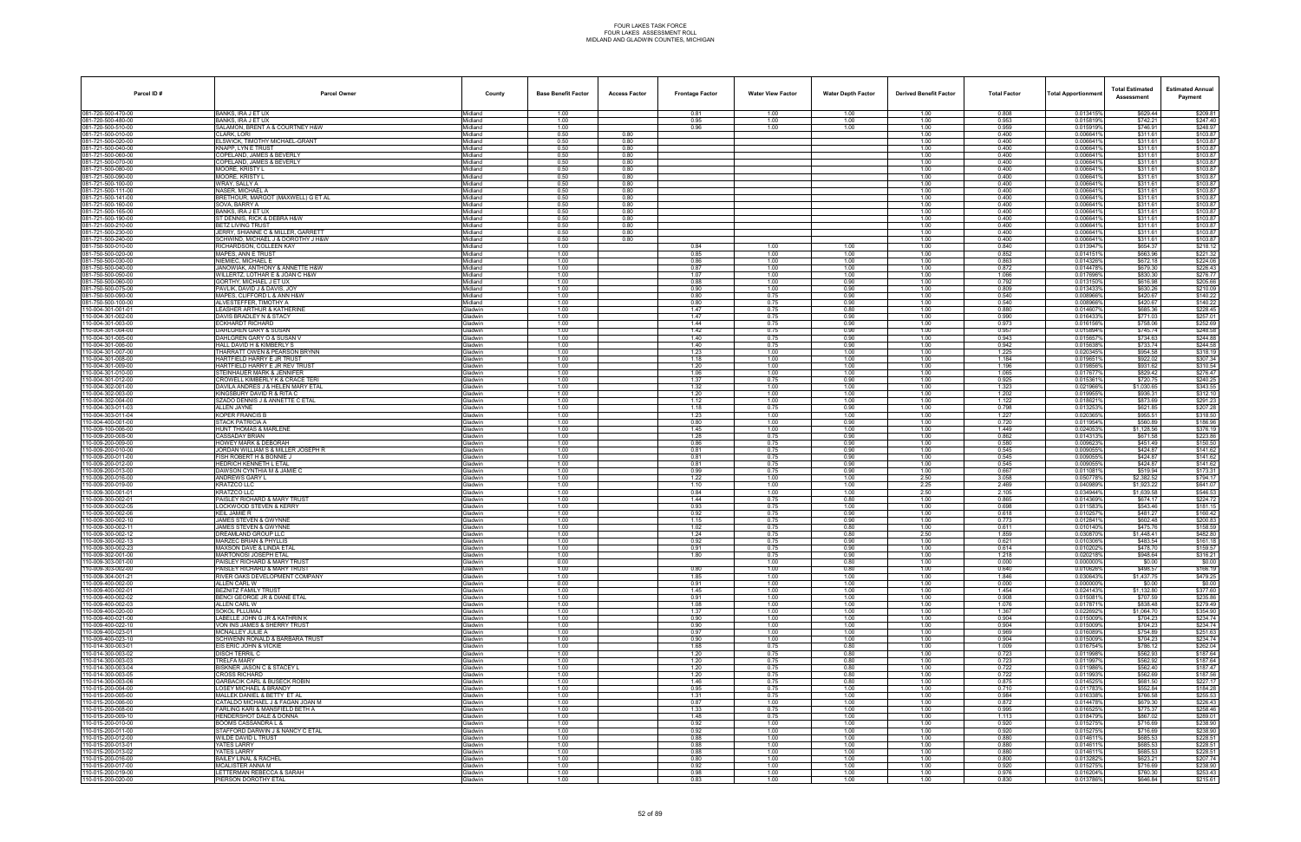| Parcel ID#                               | <b>Parcel Owner</b>                                                | County                           | <b>Base Benefit Factor</b> | <b>Access Factor</b> | <b>Frontage Factor</b> | <b>Water View Factor</b> | <b>Water Depth Factor</b> | <b>Derived Benefit Factor</b> | <b>Total Factor</b> | <b>Total Apportionmer</b> | <b>Total Estimated</b><br>Assessment | <b>Estimated Annual</b><br>Payment |
|------------------------------------------|--------------------------------------------------------------------|----------------------------------|----------------------------|----------------------|------------------------|--------------------------|---------------------------|-------------------------------|---------------------|---------------------------|--------------------------------------|------------------------------------|
| 081-720-500-470-00                       | BANKS, IRA J ET UX                                                 | Midland                          | 1.00                       |                      | 0.81                   | 1.00                     | 1.00                      | 1.00                          | 0.808               | 0.013415%                 | \$629.44                             | \$209.81                           |
| 181-720-500-480-00                       | BANKS, IRA J ET UX                                                 | Midland                          | 1.00                       |                      | 0.95                   | 1.00                     | 1.00                      | 1.00                          | 0.953               | 0.015819%                 | \$742.21                             | \$247.40<br>\$248.97               |
| 081-720-500-510-00<br>81-721-500-010-00  | SALAMON, BRENT A & COURTNEY H&W<br>CLARK. LORI                     | Midland<br>Midland               | 1.00<br>0.50               | 0.80                 | 0.96                   | 1.00                     | 1.00                      | 1.00<br>1.00                  | 0.959<br>0.400      | 0.0159199<br>0.006641%    | \$746.91<br>\$311.61                 | \$103.87                           |
| 081-721-500-020-00                       | ELSWICK, TIMOTHY MICHAEL-GRANT                                     | Midland                          | 0.50                       | 0.80                 |                        |                          |                           | 1.00                          | 0.400               | 0.0066419                 | \$311.61                             | \$103.87                           |
| 081-721-500-040-00                       | KNAPP. LYN E TRUST                                                 | Midland                          | 0.50                       | 0.80                 |                        |                          |                           | 1.00                          | 0.400               | 0.006641%                 | \$311.61                             | \$103.87                           |
| 181-721-500-060-00<br>31-721-500-070-00  | COPELAND, JAMES & BEVERLY<br>COPELAND, JAMES & BEVERLY             | Midland<br>Midland               | 0.50<br>0.50               | 0.80<br>0.80         |                        |                          |                           | 1.00<br>1.00                  | 0.400<br>0.400      | 0.006641<br>0.0066419     | \$311.61<br>\$311.61                 | \$103.87<br>\$103.87               |
| 31-721-500-080-00                        | MOORE. KRISTY L                                                    | <i>l</i> idland                  | 0.50                       | 0.80                 |                        |                          |                           | 1.00                          | 0.400               | 0.0066419                 | \$311.61                             | \$103.87                           |
| 81-721-500-090-00                        | <b>MOORE, KRISTY L</b>                                             | Midland                          | 0.50                       | 0.80                 |                        |                          |                           | 1.00                          | 0.400               | 0.0066419                 | \$311.61                             | \$103.87                           |
| 81-721-500-100-00<br>181-721-500-111-00  | WRAY, SALLY A<br>NASER, MICHAEL A                                  | Midland<br>Midland               | 0.50<br>0.50               | 0.80<br>0.80         |                        |                          |                           | 1.00<br>1.00                  | 0.400<br>0.400      | 0.006641%<br>0.0066419    | \$311.61<br>\$311.61                 | \$103.87<br>\$103.87               |
| 181-721-500-141-00                       | BRETHOUR, MARGOT (MAXWELL) G ET AL                                 | Midland                          | 0.50                       | 0.80                 |                        |                          |                           | 1.00                          | 0.400               | 0.0066419                 | \$311.61                             | \$103.87                           |
| 81-721-500-160-00                        | SOVA. BARRY A                                                      | Midland                          | 0.50                       | 0.80                 |                        |                          |                           | 1.00                          | 0.400               | 0.006641%                 | \$311.61                             | \$103.87                           |
| 081-721-500-165-00                       | BANKS, IRA J ET UX                                                 | Midland                          | 0.50                       | 0.80                 |                        |                          |                           | 1.00                          | 0.400               | 0.0066419                 | \$311.61                             | \$103.87                           |
| 181-721-500-190-00<br>181-721-500-210-00 | ST DENNIS, RICK & DEBRA H&W<br>BETZ LIVING TRUST                   | Midland<br>Midland               | 0.50<br>0.50               | 0.80<br>0.80         |                        |                          |                           | 1.00<br>1.00                  | 0.400<br>0.400      | 0.0066419<br>0.0066419    | \$311.61<br>\$311.61                 | \$103.87<br>\$103.87               |
| 81-721-500-230-00                        | JERRY, SHIANNE C & MILLER, GARRETT                                 | Midland                          | 0.50                       | 0.80                 |                        |                          |                           | 1.00                          | 0.400               | 0.0066419                 | \$311.61                             | \$103.87                           |
| 81-721-500-240-00                        | SCHWIND, MICHAEL J & DOROTHY J H&W                                 | <i>l</i> idland                  | 0.50                       | 0.80                 |                        |                          |                           | 1.00                          | 0.400               | 0.006641%                 | \$311.61                             | \$103.87                           |
| 81-750-500-010-00<br>081-750-500-020-00  | RICHARDSON, COLLEEN KAY<br>MAPES, ANN E TRUST                      | Midland<br>Midland               | 1.00<br>1.00               |                      | 0.84<br>0.85           | 1.00<br>1.00             | 1.00<br>1.00              | 1.00<br>1.00                  | 0.840<br>0.852      | 0.013947%<br>0.0141519    | \$654.37<br>\$663.96                 | \$218.12<br>\$221.32               |
| 081-750-500-030-00                       | NIEMIEC, MICHAEL E                                                 | Midland                          | 1.00                       |                      | 0.86                   | 1.00                     | 1.00                      | 1.00                          | 0.863               | 0.014326%                 | \$672.18                             | \$224.06                           |
| 81-750-500-040-00                        | JANOWIAK, ANTHONY & ANNETTE H&W                                    | Midland                          | 1.00                       |                      | 0.87                   | 1.00                     | 1.00                      | 1.00                          | 0.872               | 0.0144789                 | \$679.30                             | \$226.43                           |
| 81-750-500-050-00<br>081-750-500-060-00  | WILLERTZ, LOTHAR E & JOAN C H&W<br>GORTHY, MICHAEL J ET UX         | Midland<br>Midland               | 1.00<br>1.00               |                      | 1.07<br>0.88           | 1.00<br>1.00             | 1.00<br>0.90              | 1.00<br>1.00                  | 1.066<br>0.792      | 0.017696%<br>0.013150%    | \$830.30<br>\$616.98                 | \$276.77                           |
| 081-750-500-075-00                       | PAVLIK, DAVID J & DAVIS, JOY                                       | Midland                          | 1.00                       |                      | 0.90                   | 1.00                     | 0.90                      | 1.00                          | 0.809               | 0.0134339                 | \$630.26                             | \$205.66<br>\$210.09               |
| 81-750-500-090-00                        | MAPES. CLIFFORD L & ANN H&W                                        | Midland                          | 1.00                       |                      | 0.80                   | 0.75                     | 0.90                      | 1.00                          | 0.540               | 0.008966%                 | \$420.67                             | \$140.22                           |
| 31-750-500-100-00                        | ALVESTEFFER, TIMOTHY A                                             | Midland                          | 1.00                       |                      | 0.80                   | 0.75                     | 0.90                      | 1.00                          | 0.540               | 0.008966%                 | \$420.67                             | \$140.22                           |
| 10-004-301-001-01<br>10-004-301-002-00   | <b>LEASHER ARTHUR &amp; KATHERINE</b><br>DAVIS BRADLEY N & STACY   | <b>Gladwin</b><br><b>Gladwin</b> | 1.00<br>1.00               |                      | 1.47<br>1.47           | 0.75<br>0.75             | 0.80<br>0.90              | 1.00<br>1.00                  | 0.880<br>0.990      | 0.014607%<br>0.0164339    | \$685.36<br>\$771.03                 | \$228.45<br>\$257.01               |
| 10-004-301-003-00                        | ECKHARDT RICHARD                                                   | <b>Sladwin</b>                   | 1.00                       |                      | 1.44                   | 0.75                     | 0.90                      | 1.00                          | 0.973               | 0.016156%                 | \$758.06                             | \$252.69                           |
| 10-004-301-004-00                        | DAHLGREN GARY & SUSAN                                              | <b>Gladwin</b>                   | 1.00                       |                      | 1.42                   | 0.75                     | 0.90                      | 1.00                          | 0.957               | 0.015894%                 | \$745.74                             | \$248.58                           |
| 10-004-301-005-00                        | DAHLGREN GARY O & SUSAN V                                          | iladwin                          | 1.00                       |                      | 1.40                   | 0.75                     | 0.90                      | 1.00                          | 0.943               | 0.0156579                 | \$734.63                             | \$244.88                           |
| 10-004-301-006-00<br>10-004-301-007-00   | HALL DAVID H & KIMBERLY S<br>THARRATT OWEN & PEARSON BRYNN         | <b>Gladwin</b><br><b>Gladwin</b> | 1.00<br>1.00               |                      | 1.40<br>1.23           | 0.75<br>1.00             | 0.90<br>1.00              | 1.00<br>1.00                  | 0.942<br>1.225      | 0.015638%<br>0.020345%    | \$733.74<br>\$954.58                 | \$244.58<br>\$318.19               |
| 10-004-301-008-00                        | HARTFIELD HARRY E JR TRUST                                         | <b>Sladwin</b>                   | 1.00                       |                      | 1.18                   | 1.00                     | 1.00                      | 1.00                          | 1.184               | 0.0196519                 | \$922.02                             | \$307.34                           |
| 10-004-301-009-00                        | HARTFIELD HARRY E JR REV TRUST                                     | <b>Gladwin</b>                   | 1.00                       |                      | 1.20                   | 1.00                     | 1.00                      | 1.00                          | 1.196               | 0.019856%                 | \$931.62                             | \$310.54                           |
| 10-004-301-010-00<br>10-004-301-012-00   | STEINHAUER MARK & JENNIFER<br>CROWELL KIMBERLY K & CRACE TERI      | iladwin<br><b>Gladwin</b>        | 1.00<br>1.00               |                      | 1.06<br>1.37           | 1.00<br>0.75             | 1.00<br>0.90              | 1.00<br>1.00                  | 1.065<br>0.925      | 0.017677<br>0.0153619     | \$829.42<br>\$720.75                 | \$276.47<br>\$240.25               |
| 10-004-302-001-00                        | DAVILA ANDRES J & HELEN MARY ETAL                                  | <b>Sladwin</b>                   | 1.00                       |                      | 1.32                   | 1.00                     | 1.00                      | 1.00                          | 1.323               | 0.021966%                 | \$1,030.65                           | \$343.55                           |
| 10-004-302-003-00                        | KINGSBURY DAVID R & RITA C                                         | iladwin                          | 1.00                       |                      | 1.20                   | 1.00                     | 1.00                      | 1.00                          | 1.202               | 0.0199559                 | \$936.31                             | \$312.10                           |
| 10-004-302-004-00                        | SZADO DENNIS J & ANNETTE C ETAL                                    | <b>Gladwin</b>                   | 1.00                       |                      | 1.12                   | 1.00                     | 1.00                      | 1.00                          | 1.122               | 0.018621%                 | \$873.69                             | \$291.23                           |
| 10-004-303-011-03<br>10-004-303-011-04   | ALLEN JAYNE<br>KOPER FRANCIS B                                     | iladwin<br><b>Gladwin</b>        | 1.00<br>1.00               |                      | 1.18<br>1.23           | 0.75<br>1.00             | 0.90<br>1.00              | 1.00<br>1.00                  | 0.798<br>1.227      | 0.0132539<br>0.020365%    | \$621.85<br>\$955.51                 | \$207.28<br>\$318.50               |
| 10-004-400-001-00                        | STACK PATRICIA A                                                   | Gladwin                          | 1.00                       |                      | 0.80                   | 1.00                     | 0.90                      | 1.00                          | 0.720               | 0.011954%                 | \$560.89                             | \$186.96                           |
| 10-009-100-006-00                        | <b>HUNT THOMAS &amp; MARLENE</b>                                   | <b>Sladwin</b>                   | 1.00                       |                      | 1.45                   | 1.00                     | 1.00                      | 1.00                          | 1.449               | 0.024053                  | \$1,128.56                           | \$376.19                           |
| 10-009-200-008-00<br>10-009-200-009-00   | CASSADAY BRIAN<br><b>HOWEY MARK &amp; DEBORAH</b>                  | Gladwin<br>iladwin               | 1.00<br>1.00               |                      | 1.28<br>0.86           | 0.75<br>0.75             | 0.90<br>0.90              | 1.00<br>1.00                  | 0.862<br>0.580      | 0.0143139<br>0.009623     | \$671.58<br>\$451.49                 | \$223.86<br>\$150.50               |
| 10-009-200-010-00                        | JORDAN WILLIAM S & MILLER JOSEPH R                                 | <b>Gladwin</b>                   | 1.00                       |                      | 0.81                   | 0.75                     | 0.90                      | 1.00                          | 0.545               | 0.009055%                 | \$424.87                             | \$141.62                           |
| 10-009-200-011-00                        | FISH ROBERT H & BONNIE J                                           | <b>Sladwin</b>                   | 1.00                       |                      | 0.81                   | 0.75                     | 0.90                      | 1.00                          | 0.545               | 0.009055%                 | \$424.87                             | \$141.62                           |
| 10-009-200-012-00                        | HEDRICH KENNETH L ETAL                                             | iladwin<br>Gladwin               | 1.00<br>1.00               |                      | 0.81<br>0.99           | 0.75<br>0.75             | 0.90<br>0.90              | 1.00<br>1.00                  | 0.545<br>0.667      | 0.009055<br>0.0110819     | \$424.87<br>\$519.94                 | \$141.62                           |
| 10-009-200-013-00<br>10-009-200-016-00   | DAWSON CYNTHIA M & JAMIE C<br><b>ANDREWS GARY L</b>                | <b>Gladwin</b>                   | 1.00                       |                      | 1.22                   | 1.00                     | 1.00                      | 2.50                          | 3.058               | 0.050778%                 | \$2,382.52                           | \$173.31<br>\$794.17               |
| 10-009-200-019-00                        | KRATZCO LLC                                                        | <b>Gladwin</b>                   | 1.00                       |                      | 1.10                   | 1.00                     | 1.00                      | 2.25                          | 2.469               | 0.040989%                 | \$1,923.22                           | \$641.07                           |
| 10-009-300-001-01                        | <b>KRATZCO LLC</b>                                                 | Gladwin                          | 1.00                       |                      | 0.84                   | 1.00                     | 1.00                      | 2.50                          | 2.105               | 0.034944%                 | \$1,639.58                           | \$546.53                           |
| 10-009-300-002-0<br>10-009-300-002-05    | PAISLEY RICHARD & MARY TRUST<br><b>LOCKWOOD STEVEN &amp; KERRY</b> | <b>Gladwin</b><br>Gladwin        | 1.00<br>1.00               |                      | 1.44<br>0.93           | 0.75<br>0.75             | 0.80<br>1.00              | 1.00<br>1.00                  | 0.865<br>0.698      | 0.0143699<br>0.011583%    | \$674.17<br>\$543.46                 | \$224.72<br>\$181.15               |
| 10-009-300-002-06                        | <b>KEIL JAMIE R</b>                                                | iladwin                          | 1.00                       |                      | 0.92                   | 0.75                     | 0.90                      | 1.00                          | 0.618               | 0.010257                  | \$481.27                             | \$160.42                           |
| 10-009-300-002-10                        | <b>JAMES STEVEN &amp; GWYNNE</b>                                   | <b>Sladwin</b>                   | 1.00                       |                      | 1.15                   | 0.75                     | 0.90                      | 1.00                          | 0.773               | 0.0128419                 | \$602.48                             | \$200.83                           |
| 10-009-300-002-1<br>10-009-300-002-12    | JAMES STEVEN & GWYNNE<br>DREAMLAND GROUP LLC                       | <b>Gladwin</b><br><b>Gladwin</b> | 1.00<br>1.00               |                      | 1.02<br>1.24           | 0.75<br>0.75             | 0.80<br>0.80              | 1.00<br>2.50                  | 0.611<br>1.859      | 0.010140%<br>0.030870     | \$475.76<br>\$1,448.41               | \$158.59<br>\$482.80               |
| 110-009-300-002-13                       | <b>MARZEC BRIAN &amp; PHYLLIS</b>                                  | <b>Gladwin</b>                   | 1.00                       |                      | 0.92                   | 0.75                     | 0.90                      | 1.00                          | 0.621               | 0.010306%                 | \$483.54                             | \$161.18                           |
| 110-009-300-002-23                       | MAXSON DAVE & LINDA ETAL                                           | iladwin                          | 1.00                       |                      | 0.91                   | 0.75                     | 0.90                      | 1.00                          | 0.614               | 0.010202%                 | \$478.70                             | \$159.57                           |
| 10-009-302-001-00                        | <b>MARTONOSI JOSEPH ETAL</b>                                       | Gladwin                          | 1.00                       |                      | 1.80                   | 0.75                     | 0.90                      | 1.00                          | 1.218               | 0.020218%                 | \$948.64                             | \$316.21                           |
| 10-009-303-001-00<br>10-009-303-002-00   | PAISLEY RICHARD & MARY TRUST<br>PAISLEY RICHARD & MARY TRUST       | Gladwin<br><b>Gladwin</b>        | 0.00<br>1.00               |                      | 0.80                   | 1.00<br>1.00             | 0.80<br>0.80              | 1.00<br>1.00                  | 0.000<br>0.640      | 0.000000%<br>0.010626%    | \$0.00<br>\$498.57                   | \$0.00<br>\$166.19                 |
| 110-009-304-001-21                       | RIVER OAKS DEVELOPMENT COMPANY                                     | Gladwin                          | 1.00                       |                      | 1.85                   | 1.00                     | 1.00                      | 1.00                          | 1.846               | 0.030643%                 | \$1,437,75                           | \$479.25                           |
| 10-009-400-002-00                        | ALLEN CARL W                                                       | <b>Sladwin</b>                   | 0.00                       |                      | 0.91                   | 1.00                     | 1.00                      | 1.00                          | 0.000               | 0.000000%                 | \$0.00                               | \$0.00                             |
| 10-009-400-002-01<br>10-009-400-002-02   | BEZNITZ FAMILY TRUST<br>BENCI GEORGE JR & DIANE ETAL               | Gladwin<br><b>Gladwin</b>        | 1.00<br>1.00               |                      | 1.45<br>0.91           | 1.00<br>1.00             | 1.00<br>1.00              | 1.00<br>1.00                  | 1.454<br>0.908      | 0.024143%<br>0.0150819    | \$1,132.80<br>\$707.59               | \$377.60<br>\$235.86               |
| 10-009-400-002-03                        | ALLEN CARL W                                                       | <b>Gladwin</b>                   | 1.00                       |                      | 1.08                   | 1.00                     | 1.00                      | 1.00                          | 1.076               | 0.017871%                 | \$838.48                             | \$279.49                           |
| 110-009-400-020-00                       | <b>SOKOL PLLUMAJ</b>                                               | Gladwin                          | 1.00                       |                      | 1.37                   | 1.00                     | 1.00                      | 1.00                          | 1.367               | 0.022692%                 | \$1,064.70                           | \$354.90                           |
| 110-009-400-021-00                       | LABELLE JOHN G JR & KATHRIN K                                      | Gladwin                          | 1.00                       |                      | 0.90                   | 1.00                     | 1.00                      | 1.00                          | 0.904               | 0.015009%                 | \$704.23                             | \$234.74                           |
| 10-009-400-022-10<br>10-009-400-023-01   | VON INS JAMES & SHERRY TRUST<br>MCNALLEY JULIE A                   | <b>Gladwin</b><br>Gladwin        | 1.00<br>1.00               |                      | 0.90<br>0.97           | 1.00<br>1.00             | 1.00<br>1.00              | 1.00<br>1.00                  | 0.904<br>0.969      | 0.015009%<br>0.016089%    | \$704.23<br>\$754.89                 | \$234.74<br>\$251.63               |
| 10-009-400-023-10                        | SCHWENN RONALD & BARBARA TRUST                                     | <b>Gladwin</b>                   | 1.00                       |                      | 0.90                   | 1.00                     | 1.00                      | 1.00                          | 0.904               | 0.015009%                 | \$704.23                             | \$234.74                           |
| 110-014-300-003-01                       | EIS ERIC JOHN & VICKIE                                             | Gladwin                          | 1.00                       |                      | 1.68                   | 0.75                     | 0.80                      | 1.00                          | 1.009               | 0.016754%                 | \$786.12                             | \$262.04                           |
| 10-014-300-003-02<br>10-014-300-003-03   | DISCH TERRIL C<br>TRELFA MARY                                      | Gladwin<br><b>Sladwin</b>        | 1.00<br>1.00               |                      | 1.20<br>1.20           | 0.75<br>0.75             | 0.80<br>0.80              | 1.00<br>1.00                  | 0.723<br>0.723      | 0.011998%<br>0.011997%    | \$562.93<br>\$562.92                 | \$187.64<br>\$187.64               |
| 10-014-300-003-04                        | <b>BISKNER JASON C &amp; STACEY L</b>                              | Gladwin                          | 1.00                       |                      | 1.20                   | 0.75                     | 0.80                      | 1.00                          | 0.722               | 0.011986%                 | \$562.40                             | \$187.47                           |
| 10-014-300-003-05                        | CROSS RICHARD                                                      | <b>Gladwin</b>                   | 1.00                       |                      | 1.20                   | 0.75                     | 0.80                      | 1.00                          | 0.722               | 0.011993%                 | \$562.69                             | \$187.56                           |
| 110-014-300-003-06<br>110-015-200-004-00 | GARBACIK CARL & BUSECK ROBIN<br>LOSEY MICHAEL & BRANDY             | Gladwin<br>Gladwin               | 1.00<br>1.00               |                      | 1.46<br>0.95           | 0.75<br>0.75             | 0.80<br>1.00              | 1.00<br>1.00                  | 0.875<br>0.710      | 0.014525%<br>0.011783%    | \$681.50<br>\$552.84                 | \$227.17<br>\$184.28               |
| 10-015-200-005-00                        | MALLEK DANIEL & BETTY ET AL                                        | <b>Gladwin</b>                   | 1.00                       |                      | 1.31                   | 0.75                     | 1.00                      | 1.00                          | 0.984               | 0.016338%                 | \$766.58                             | \$255.53                           |
| 10-015-200-006-00                        | CATALDO MICHAEL J & FAGAN JOAN M                                   | Gladwin                          | 1.00                       |                      | 0.87                   | 1.00                     | 1.00                      | 1.00                          | 0.872               | 0.014478%                 | \$679.30                             | \$226.43                           |
| 10-015-200-008-00                        | FARLING KARI & MANSFIELD BETH A                                    | Gladwin                          | 1.00                       |                      | 1.33                   | 0.75                     | 1.00                      | 1.00                          | 0.995               | 0.016525%                 | \$775.37                             | \$258.46                           |
| 110-015-200-009-10<br>10-015-200-010-00  | HENDERSHOT DALE & DONNA<br><b>BOOMS CASSANDRA L &amp;</b>          | Gladwin<br>Gladwin               | 1.00<br>1.00               |                      | 1.48<br>0.92           | 0.75<br>1.00             | 1.00<br>1.00              | 1.00<br>1.00                  | 1.113<br>0.920      | 0.018479%<br>0.015275%    | \$867.02<br>\$716.69                 | \$289.01<br>\$238.90               |
| 10-015-200-011-00                        | STAFFORD DARWIN J & NANCY C ETAL                                   | <b>Sladwin</b>                   | 1.00                       |                      | 0.92                   | 1.00                     | 1.00                      | 1.00                          | 0.920               | 0.015275%                 | \$716.69                             | \$238.90                           |
| 10-015-200-012-00                        | WILDE DAVID L TRUST                                                | Gladwin                          | 1.00                       |                      | 0.88                   | 1.00                     | 1.00                      | 1.00                          | 0.880               | 0.014611%                 | \$685.53                             | \$228.51                           |
| 10-015-200-013-01                        | YATES LARRY<br>YATES LARRY                                         | Gladwin<br>Gladwin               | 1.00<br>1.00               |                      | 0.88<br>0.88           | 1.00<br>1.00             | 1.00<br>1.00              | 1.00<br>1.00                  | 0.880<br>0.880      | 0.014611%<br>0.014611%    | \$685.53<br>\$685.53                 | \$228.51<br>\$228.51               |
| 110-015-200-013-02<br>10-015-200-016-00  | <b>BAILEY LINAL &amp; RACHEL</b>                                   | Gladwin                          | 1.00                       |                      | 0.80                   | 1.00                     | 1.00                      | 1.00                          | 0.800               | 0.013282%                 | \$623.21                             | \$207.74                           |
| 10-015-200-017-00                        | MCALISTER ANNA M                                                   | <b>Gladwin</b>                   | 1.00                       |                      | 0.92                   | 1.00                     | 1.00                      | 1.00                          | 0.920               | 0.015275%                 | \$716.69                             | \$238.90                           |
| 10-015-200-019-00                        | LETTERMAN REBECCA & SARAH                                          | Gladwin                          | 1.00                       |                      | 0.98                   | 1.00                     | 1.00                      | 1.00                          | 0.976               | 0.016204%                 | \$760.30                             | \$253.43                           |
| 10-015-200-020-00                        | PIERSON DOROTHY ETAL                                               | Gladwin                          | 1.00                       |                      | 0.83                   | 1.00                     | 1.00                      | 1.00                          | 0.830               | 0.013786%                 | \$646.84                             | \$215.61                           |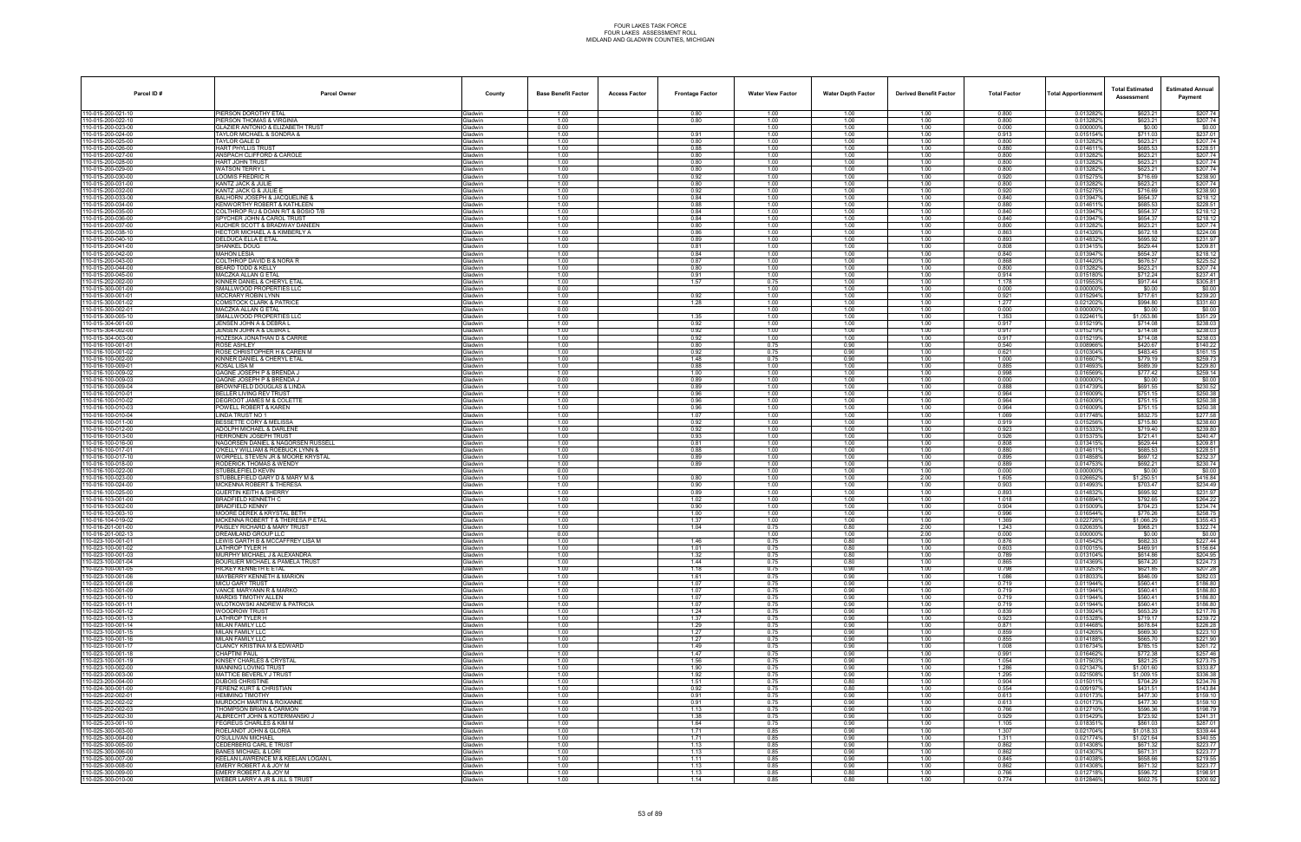| Parcel ID#                             | <b>Parcel Owner</b>                                                          | County                           | <b>Base Benefit Factor</b> | <b>Access Factor</b> | <b>Frontage Factor</b> | <b>Water View Factor</b> | <b>Water Depth Factor</b> | <b>Derived Benefit Factor</b> | <b>Total Factor</b> | Total Apportionmer     | <b>Total Estimated</b><br>Assessment | <b>Estimated Annual</b><br>Payment |
|----------------------------------------|------------------------------------------------------------------------------|----------------------------------|----------------------------|----------------------|------------------------|--------------------------|---------------------------|-------------------------------|---------------------|------------------------|--------------------------------------|------------------------------------|
| 110-015-200-021-10                     | PIERSON DOROTHY ETAL                                                         | <b>Gladwin</b>                   | 1.00                       |                      | 0.80                   | 1.00                     | 1.00                      | 1.00                          | 0.800               | 0.013282%              | \$623.21                             | \$207.74                           |
| 10-015-200-022-10<br>0-015-200-023-00  | PIERSON THOMAS & VIRGINIA<br>SLAZIER ANTONIO & ELIZABETH TRUST               | Gladwin<br><b>Gladwin</b>        | 1.00<br>0.00               |                      | 0.80                   | 1.00<br>1.00             | 1.00<br>1.00              | 1.00<br>1.00                  | 0.800<br>0.000      | 0.013282%<br>0.000000% | \$623.21<br>\$0.00                   | \$207.74<br>\$0.00                 |
| 10-015-200-024-00                      | TAYLOR MICHAEL & SONDRA &                                                    | Gladwin                          | 1.00                       |                      | 0.91                   | 1.00                     | 1.00                      | 1.00                          | 0.913               | 0.015154%              | \$711.03                             | \$237.01                           |
| 10-015-200-025-00<br>10-015-200-026-00 | TAYLOR GALE D<br>HART PHYLLIS TRUST                                          | Gladwin<br>Gladwin               | 1.00<br>1.00               |                      | 0.80<br>0.88           | 1.00<br>1.00             | 1.00<br>1.00              | 1.00<br>1.00                  | 0.800<br>0.880      | 0.013282%<br>0.0146119 | \$623.21<br>\$685.53                 | \$207.74<br>\$228.51               |
| 10-015-200-027-00                      | ANSPACH CLIFFORD & CAROLE                                                    | Gladwin                          | 1.00                       |                      | 0.80                   | 1.00                     | 1.00                      | 1.00                          | 0.800               | 0.013282%              | \$623.21                             | \$207.74                           |
| 0-015-200-028-00                       | HART JOHN TRUST                                                              | <b>Gladwin</b>                   | 1.00                       |                      | 0.80                   | 1.00                     | 1.00                      | 1.00                          | 0.800               | 0.013282%              | \$623.21                             | \$207.74                           |
| 10-015-200-029-00<br>10-015-200-030-00 | <b>WATSON TERRY L</b><br>LOOMIS FREDRIC R                                    | Gladwin<br>Gladwin               | 1.00<br>1.00               |                      | 0.80<br>0.92           | 1.00<br>1.00             | 1.00<br>1.00              | 1.00<br>1.00                  | 0.800<br>0.920      | 0.013282%<br>0.015275% | \$623.21<br>\$716.69                 | \$207.74<br>\$238.90               |
| 10-015-200-031-00                      | KANTZ JACK & JULIE                                                           | <b>Gladwin</b>                   | 1.00                       |                      | 0.80                   | 1.00                     | 1.00                      | 1.00                          | 0.800               | 0.0132829              | \$623.21                             | \$207.74                           |
| 10-015-200-032-00<br>10-015-200-033-00 | KANTZ JACK G & JULIE E<br>BALHORN JOSEPH & JACQUELINE &                      | Gladwin<br><b>Gladwin</b>        | 1.00<br>1.00               |                      | 0.92<br>0.84           | 1.00<br>1.00             | 1.00<br>1.00              | 1.00<br>1.00                  | 0.920<br>0.840      | 0.015275%<br>0.013947% | \$716.69<br>\$654.37                 | \$238.90<br>\$218.12               |
| 10-015-200-034-00                      | KENWORTHY ROBERT & KATHLEEN                                                  | <b>Gladwin</b>                   | 1.00                       |                      | 0.88                   | 1.00                     | 1.00                      | 1.00                          | 0.880               | 0.0146119              | \$685.53                             | \$228.51                           |
| 10-015-200-035-00<br>10-015-200-036-00 | COLTHROP R/J & DOAN R/T & BOSIO T/E<br>SPYCHER JOHN & CAROL TRUST            | Gladwin                          | 1.00<br>1.00               |                      | 0.84<br>0.84           | 1.00                     | 1.00<br>1.00              | 1.00                          | 0.840<br>0.840      | 0.013947%<br>0.013947% | \$654.37<br>\$654.37                 | \$218.12                           |
| 10-015-200-037-00                      | KUCHER SCOTT & BRADWAY DANEEN                                                | Gladwin<br>Gladwin               | 1.00                       |                      | 0.80                   | 1.00<br>1.00             | 1.00                      | 1.00<br>1.00                  | 0.800               | 0.013282%              | \$623.21                             | \$218.12<br>\$207.74               |
| 10-015-200-038-10                      | IECTOR MICHAEL A & KIMBERLY A                                                | <b>Jadwin</b>                    | 1.00                       |                      | 0.86                   | 1.00                     | 1.00                      | 1.00                          | 0.863               | 0.014326%              | \$672.18                             | \$224.06                           |
| 10-015-200-040-10<br>10-015-200-041-00 | DELDUCA ELLA E ETAL<br><b>SHANKEL DOUG</b>                                   | Gladwin<br>Gladwin               | 1.00<br>1.00               |                      | 0.89<br>0.81           | 1.00<br>1.00             | 1.00<br>1.00              | 1.00<br>1.00                  | 0.893<br>0.808      | 0.0148329<br>0.0134159 | \$695.92<br>\$629.44                 | \$231.97<br>\$209.81               |
| 10-015-200-042-00                      | <b>MAHON LESIA</b>                                                           | Gladwin                          | 1.00                       |                      | 0.84                   | 1.00                     | 1.00                      | 1.00                          | 0.840               | 0.013947%              | \$654.37                             | \$218.12                           |
| 10-015-200-043-00<br>10-015-200-044-00 | <b>COLTHROP DAVID B &amp; NORA R</b><br>BEARD TODD & KELLY                   | Gladwin<br><b>Gladwin</b>        | 1.00<br>1.00               |                      | 0.87<br>0.80           | 1.00<br>1.00             | 1.00<br>1.00              | 1.00<br>1.00                  | 0.868<br>0.800      | 0.0144209<br>0.013282% | \$676.57<br>\$623.21                 | \$225.52<br>\$207.74               |
| 10-015-200-045-00                      | MACZKA ALLAN G ETAL                                                          | <b>Gladwin</b>                   | 1.00                       |                      | 0.91                   | 1.00                     | 1.00                      | 1.00                          | 0.914               | 0.015180%              | \$712.24                             | \$237.41                           |
| 10-015-202-002-00<br>10-015-300-001-00 | KINNER DANIEL & CHERYL ETAL                                                  | Gladwin                          | 1.00                       |                      | 1.57                   | 0.75                     | 1.00                      | 1.00                          | 1.178               | 0.0195539              | \$917.44                             | \$305.81                           |
| 10-015-300-001-01                      | SMALLWOOD PROPERTIES LLC<br>MCCRARY ROBIN LYNN                               | Gladwin<br>Gladwin               | 0.00<br>1.00               |                      | 0.92                   | 1.00<br>1.00             | 1.00<br>1.00              | 1.00<br>1.00                  | 0.000<br>0.921      | 0.000000%<br>0.015294% | \$0.00<br>\$717.61                   | \$0.00<br>\$239.20                 |
| 10-015-300-001-02                      | :OMSTOCK CLARK & PATRICE                                                     | <b>Jadwin</b>                    | 1.00                       |                      | 1.28                   | 1.00                     | 1.00                      | 1.00                          | 1.277               | 0.0212029              | \$994.80                             | \$331.60                           |
| 10-015-300-002-0<br>10-015-300-005-10  | MACZKA ALLAN G ETAL<br>SMALLWOOD PROPERTIES LLC                              | Gladwin<br>Gladwin               | 0.00<br>1.00               |                      | 1.35                   | 1.00<br>1.00             | 1.00<br>1.00              | 1.00<br>1.00                  | 0.000<br>1.353      | 0.0000009<br>0.0224619 | \$0.00<br>\$1,053.86                 | \$0.00<br>\$351.29                 |
| 10-015-304-001-00                      | JENSEN JOHN A & DEBRA L                                                      | Gladwin                          | 1.00                       |                      | 0.92                   | 1.00                     | 1.00                      | 1.00                          | 0.917               | 0.015219%              | \$714.08                             | \$238.03                           |
| 10-015-304-002-00                      | JENSEN JOHN A & DEBRA L                                                      | Gladwin                          | 1.00                       |                      | 0.92                   | 1.00                     | 1.00                      | 1.00                          | 0.917               | 0.0152199              | \$714.08                             | \$238.03                           |
| 10-015-304-003-00<br>10-016-100-001-01 | HOZESKA JONATHAN D & CARRIE<br>ROSE ASHLEY                                   | <b>Gladwin</b><br><b>Gladwin</b> | 1.00<br>1.00               |                      | 0.92<br>0.80           | 1.00<br>0.75             | 1.00<br>0.90              | 1.00<br>1.00                  | 0.917<br>0.540      | 0.015219%<br>0.008966% | \$714.08<br>\$420.67                 | \$238.03<br>\$140.22               |
| 10-016-100-001-02                      | ROSE CHRISTOPHER H & CAREN M                                                 | Gladwin                          | 1.00                       |                      | 0.92                   | 0.75                     | 0.90                      | 1.00                          | 0.621               | 0.010304%              | \$483.45                             | \$161.15                           |
| 10-016-100-002-00<br>10-016-100-009-01 | KINNER DANIEL & CHERYL ETAL<br><b>KOSAL LISA M</b>                           | Gladwin<br>Gladwin               | 1.00<br>1.00               |                      | 1.48<br>0.88           | 0.75<br>1.00             | 0.90<br>1.00              | 1.00<br>1.00                  | 1.000<br>0.885      | 0.016607%<br>0.0146939 | \$779.19<br>\$689.39                 | \$259.73<br>\$229.80               |
| 10-016-100-009-02                      | GAGNE JOSEPH P & BRENDA J                                                    | <b>Gladwin</b>                   | 1.00                       |                      | 1.00                   | 1.00                     | 1.00                      | 1.00                          | 0.998               | 0.016569%              | \$777.42                             | \$259.14                           |
| 10-016-100-009-03<br>10-016-100-009-04 | <b>GAGNE JOSEPH P &amp; BRENDA J</b><br>BROWNFIELD DOUGLAS & LINDA           | <b>Gladwin</b><br>Gladwin        | 0.00<br>1.00               |                      | 0.89<br>0.89           | 1.00<br>1.00             | 1.00<br>1.00              | 1.00<br>1.00                  | 0.000<br>0.888      | 0.000000%<br>0.0147399 | \$0.00<br>\$691.55                   | \$0.00                             |
| 10-016-100-010-01                      | BELLER LIVING REV TRUST                                                      | Gladwin                          | 1.00                       |                      | 0.96                   | 1.00                     | 1.00                      | 1.00                          | 0.964               | 0.016009%              | \$751.15                             | \$230.52<br>\$250.38               |
| 10-016-100-010-02                      | DEGROOT JAMES M & COLETTE                                                    | <b>Gladwin</b>                   | 1.00                       |                      | 0.96                   | 1.00                     | 1.00                      | 1.00                          | 0.964               | 0.016009%              | \$751.15                             | \$250.38                           |
| 10-016-100-010-03<br>10-016-100-010-04 | OWELL ROBERT & KAREN<br><b>LINDA TRUST NO 1</b>                              | <b>Gladwin</b><br><b>Gladwin</b> | 1.00<br>1.00               |                      | 0.96<br>1.07           | 1.00<br>1.00             | 1.00<br>1.00              | 1.00<br>1.00                  | 0.964<br>1.069      | 0.016009%<br>0.017748% | \$751.15<br>\$832.75                 | \$250.38<br>\$277.58               |
| 10-016-100-011-00                      | BESSETTE CORY & MELISSA                                                      | Gladwin                          | 1.00                       |                      | 0.92                   | 1.00                     | 1.00                      | 1.00                          | 0.919               | 0.015256%              | \$715.80                             | \$238.60                           |
| 10-016-100-012-00<br>10-016-100-013-00 | <b>ADOLPH MICHAEL &amp; DARLENE</b><br><b>HERRONEN JOSEPH TRUST</b>          | Gladwin<br><b>Gladwin</b>        | 1.00<br>1.00               |                      | 0.92<br>0.93           | 1.00<br>1.00             | 1.00<br>1.00              | 1.00<br>1.00                  | 0.923<br>0.926      | 0.015333%<br>0.015375  | \$719.40<br>\$721.41                 | \$239.80<br>\$240.47               |
| 10-016-100-016-00                      | NAGORSEN DANIEL & NAGORSEN RUSSELL                                           | iladwin                          | 1.00                       |                      | 0.81                   | 1.00                     | 1.00                      | 1.00                          | 0.808               | 0.013415               | \$629.44                             | \$209.81                           |
| 10-016-100-017-01<br>10-016-100-017-10 | O'KELLY WILLIAM & ROEBUCK LYNN &<br>WORPELL STEVEN JR & MOORE KRYSTAL        | <b>Gladwin</b><br><b>Gladwin</b> | 1.00<br>1.00               |                      | 0.88<br>0.89           | 1.00<br>1.00             | 1.00<br>1.00              | 1.00<br>1.00                  | 0.880<br>0.895      | 0.0146119<br>0.014858% | \$685.53<br>\$697.12                 | \$228.51<br>\$232.37               |
| 10-016-100-018-00                      | RODERICK THOMAS & WENDY                                                      | Gladwin                          | 1.00                       |                      | 0.89                   | 1.00                     | 1.00                      | 1.00                          | 0.889               | 0.014753%              | \$692.21                             | \$230.74                           |
| 10-016-100-022-00                      | STUBBLEFIELD KEVIN                                                           | <b>Gladwin</b>                   | 0.00                       |                      |                        | 1.00                     | 1.00                      | 1.00                          | 0.000               | 0.0000009              | \$0.00                               | \$0.00                             |
| 0-016-100-023-00<br>10-016-100-024-00  | STUBBLEFIELD GARY D & MARY M &<br><b>MCKENNA ROBERT &amp; THERESA</b>        | <b>Gladwin</b><br><b>Gladwin</b> | 1.00<br>1.00               |                      | 0.80<br>0.90           | 1.00<br>1.00             | 1.00<br>1.00              | 2.00<br>1.00                  | 1.605<br>0.903      | 0.0266529<br>0.014993% | \$1,250.51<br>\$703.47               | \$416.84<br>\$234.49               |
| 10-016-100-025-00                      | GUERTIN KEITH & SHERRY                                                       | Gladwin                          | 1.00                       |                      | 0.89                   | 1.00                     | 1.00                      | 1.00                          | 0.893               | 0.0148329              | \$695.92                             | \$231.97                           |
| 10-016-103-001-00<br>10-016-103-002-00 | BRADFIELD KENNETH C<br><b>BRADFIELD KENNY</b>                                | Gladwin<br><b>Gladwin</b>        | 1.00<br>1.00               |                      | 1.02<br>0.90           | 1.00<br>1.00             | 1.00<br>1.00              | 1.00<br>1.00                  | 1.018<br>0.904      | 0.016894%<br>0.015009% | \$792.65<br>\$704.23                 | \$264.22<br>\$234.74               |
| 10-016-103-003-10                      | MOORE DEREK & KRYSTAL BETH                                                   | iladwin                          | 1.00                       |                      | 1.00                   | 1.00                     | 1.00                      | 1.00                          | 0.996               | 0.016544%              | \$776.26                             | \$258.75                           |
| 10-016-104-019-02<br>10-016-201-001-00 | <b>MCKENNA ROBERT T &amp; THERESA P ETAL</b><br>PAISLEY RICHARD & MARY TRUST | <b>Gladwin</b><br><b>Gladwin</b> | 1.00<br>1.00               |                      | 1.37<br>1.04           | 1.00<br>0.75             | 1.00<br>0.80              | 1.00<br>2.00                  | 1.369<br>1.243      | 0.022726%<br>0.020635  | \$1,066.29<br>\$968.21               | \$355.43<br>\$322.74               |
| 10-016-201-002-13                      | DREAMLAND GROUP LLC                                                          | Gladwin                          | 0.00                       |                      |                        | 1.00                     | 1.00                      | 2.00                          | 0.000               | 0.000000%              | \$0.00                               | \$0.00                             |
| 10-023-100-001-01                      | LEWIS GARTH B & MCCAFFREY LISA M                                             | <b>Gladwin</b>                   | 1.00                       |                      | 1.46                   | 0.75                     | 0.80                      | 1.00                          | 0.876               | 0.0145429              | \$682.33                             | \$227.44                           |
| 10-023-100-001-02<br>10-023-100-001-03 | _ATHROP TYLER H<br>MURPHY MICHAEL J & ALEXANDRA                              | <b>i</b> ladwin<br>Gladwin       | 1.00<br>1.00               |                      | 1.01<br>1.32           | 0.75<br>0.75             | 0.80<br>0.80              | 1.00<br>1.00                  | 0.603<br>0.789      | 0.0100159<br>0.013104% | \$469.91<br>\$614.86                 | \$156.64<br>\$204.95               |
| 10-023-100-001-04                      | <b>BOURLIER MICHAEL &amp; PAMELA TRUST</b>                                   | <b>Gladwin</b>                   | 1.00                       |                      | 1.44                   | 0.75                     | 0.80                      | 1.00                          | 0.865               | 0.014369%              | \$674.20                             | \$224.73                           |
| 10-023-100-001-05<br>10-023-100-001-06 | HICKEY KENNETH E ETAL<br>MAYBERRY KENNETH & MARION                           | Gladwin<br><b>Gladwin</b>        | 1.00<br>1.00               |                      | 1.18<br>1.61           | 0.75<br>0.75             | 0.90<br>0.90              | 1.00<br>1.00                  | 0.798<br>1.086      | 0.013253%<br>0.0180339 | \$621.85<br>\$846.09                 | \$207.28<br>\$282.03               |
| 10-023-100-001-08                      | <b>MICU GARY TRUST</b>                                                       | <b>Gladwin</b>                   | 1.00                       |                      | 1.07                   | 0.75                     | 0.90                      | 1.00                          | 0.719               | 0.011944%              | \$560.41                             | \$186.80                           |
| 10-023-100-001-09<br>10-023-100-001-10 | VANCE MARYANN R & MARKO<br>MARDIS TIMOTHY ALLEN                              | Gladwin<br>Gladwin               | 1.00<br>1.00               |                      | 1.07<br>1.07           | 0.75<br>0.75             | 0.90<br>0.90              | 1.00<br>1.00                  | 0.719<br>0.719      | 0.011944%<br>0.011944% | \$560.41<br>\$560.41                 | \$186.80<br>\$186.80               |
| 10-023-100-001-11                      | WLOTKOWSKI ANDREW & PATRICIA                                                 | Gladwin                          | 1.00                       |                      | 1.07                   | 0.75                     | 0.90                      | 1.00                          | 0.719               | 0.011944%              | \$560.41                             | \$186.80                           |
| 10-023-100-001-12                      | <b>WOODROW TRUST</b>                                                         | <b>Gladwin</b>                   | 1.00                       |                      | 1.24                   | 0.75                     | 0.90                      | 1.00                          | 0.839               | 0.013924%              | \$653.29                             | \$217.76                           |
| 10-023-100-001-13<br>10-023-100-001-14 | ATHROP TYLER H<br>MILAN FAMILY LLC                                           | <b>Gladwin</b><br>Gladwin        | 1.00<br>1.00               |                      | 1.37<br>1.29           | 0.75<br>0.75             | 0.90<br>0.90              | 1.00<br>1.00                  | 0.923<br>0.871      | 0.0153289<br>0.014468% | \$719.17<br>\$678.84                 | \$239.72<br>\$226.28               |
| 10-023-100-001-15                      | MILAN FAMILY LLC                                                             | Gladwin                          | 1.00                       |                      | 1.27                   | 0.75                     | 0.90                      | 1.00                          | 0.859               | 0.014265%              | \$669.30                             | \$223.10                           |
| 10-023-100-001-16<br>10-023-100-001-17 | MILAN FAMILY LLC<br>CLANCY KRISTINA M & EDWARD                               | Gladwin<br><b>Gladwin</b>        | 1.00<br>1.00               |                      | 1.27<br>1.49           | 0.75<br>0.75             | 0.90<br>0.90              | 1.00<br>1.00                  | 0.855<br>1.008      | 0.014188%<br>0.016734% | \$665.70<br>\$785.15                 | \$221.90<br>\$261.72               |
| 10-023-100-001-18                      | CHAPTINI PAUL                                                                | <b>Gladwin</b>                   | 1.00                       |                      | 1.47                   | 0.75                     | 0.90                      | 1.00                          | 0.991               | 0.016462%              | \$772.38                             | \$257.46                           |
| 10-023-100-001-19<br>10-023-100-002-00 | KINSEY CHARLES & CRYSTAL<br><b>MANNING LOVING TRUST</b>                      | Gladwin<br><b>Gladwin</b>        | 1.00<br>1.00               |                      | 1.56<br>1.90           | 0.75<br>0.75             | 0.90<br>0.90              | 1.00<br>1.00                  | 1.054<br>1.286      | 0.017503%<br>0.021347% | \$821.25<br>\$1,001.60               | \$273.75<br>\$333.87               |
| 10-023-200-003-00                      | MATTICE BEVERLY J TRUST                                                      | Gladwin                          | 1.00                       |                      | 1.92                   | 0.75                     | 0.90                      | 1.00                          | 1.295               | 0.021508%              | \$1,009.15                           | \$336.38                           |
| 10-023-200-004-00                      | DUBOIS CHRISTINE                                                             | Gladwin                          | 1.00                       |                      | 1.51                   | 0.75                     | 0.80                      | 1.00                          | 0.904               | 0.015011%              | \$704.29                             | \$234.76                           |
| 0-024-300-001-00<br>10-025-202-002-01  | ERENZ KURT & CHRISTIAN<br><b>HEMMING TIMOTHY</b>                             | <b>Gladwin</b><br>Gladwin        | 1.00<br>1.00               |                      | 0.92<br>0.91           | 0.75<br>0.75             | 0.80<br>0.90              | 1.00<br>1.00                  | 0.554<br>0.613      | 0.0091979<br>0.010173% | \$431.51<br>\$477.30                 | \$143.84<br>\$159.10               |
| 10-025-202-002-02                      | MURDOCH MARTIN & ROXANNE                                                     | Gladwin                          | 1.00                       |                      | 0.91                   | 0.75                     | 0.90                      | 1.00                          | 0.613               | 0.010173%              | \$477.30                             | \$159.10                           |
| 10-025-202-002-03<br>10-025-202-002-30 | THOMPSON BRIAN & CARMON<br>ALBRECHT JOHN & KOTERMANSKI J                     | Gladwin<br>Gladwin               | 1.00<br>1.00               |                      | 1.13<br>1.38           | 0.75<br>0.75             | 0.90<br>0.90              | 1.00<br>1.00                  | 0.766<br>0.929      | 0.012710%<br>0.015429% | \$596.36<br>\$723.92                 | \$198.79<br>\$241.31               |
| 10-025-203-001-10                      | EGREUS CHARLES & KIM M                                                       | <b>Gladwin</b>                   | 1.00                       |                      | 1.64                   | 0.75                     | 0.90                      | 1.00                          | 1.105               | 0.0183519              | \$861.03                             | \$287.01                           |
| 10-025-300-003-00<br>10-025-300-004-00 | ROELANDT JOHN & GLORIA<br>O'SULLIVAN MICHAEL                                 | Gladwin<br>Gladwin               | 1.00<br>1.00               |                      | 1.71<br>1.71           | 0.85<br>0.85             | 0.90<br>0.90              | 1.00<br>1.00                  | 1.307<br>1.311      | 0.021704%<br>0.021774% | \$1,018.33<br>\$1.021.64             | \$339.44<br>\$340.55               |
| 10-025-300-005-00                      | CEDERBERG CARL E TRUST                                                       | Gladwin                          | 1.00                       |                      | 1.13                   | 0.85                     | 0.90                      | 1.00                          | 0.862               | 0.014308%              | \$671.32                             | \$223.77                           |
| 10-025-300-006-00                      | <b>BANES MICHAEL &amp; LORI</b>                                              | Gladwin                          | 1.00                       |                      | 1.13                   | 0.85                     | 0.90                      | 1.00                          | 0.862               | 0.014307%              | \$671.31                             | \$223.77                           |
| 10-025-300-007-00<br>10-025-300-008-00 | KEELAN LAWRENCE M & KEELAN LOGAN L<br>EMERY ROBERT A & JOY M                 | <b>Gladwin</b><br>Gladwin        | 1.00<br>1.00               |                      | 1.11<br>1.13           | 0.85<br>0.85             | 0.90<br>0.90              | 1.00<br>1.00                  | 0.845<br>0.862      | 0.014038%<br>0.014308% | \$658.66<br>\$671.32                 | \$219.55<br>\$223.77               |
| 10-025-300-009-00                      | EMERY ROBERT A & JOY M                                                       | Gladwin                          | 1.00                       |                      | 1.13                   | 0.85                     | 0.80                      | 1.00                          | 0.766               | 0.012718%              | \$596.72                             | \$198.91                           |
| 10-025-300-010-00                      | WEBER LARRY A JR & JILL S TRUST                                              | Gladwin                          | 1.00                       |                      | 1.14                   | 0.85                     | 0.80                      | 1.00                          | 0.774               | 0.012846%              | \$602.75                             | \$200.92                           |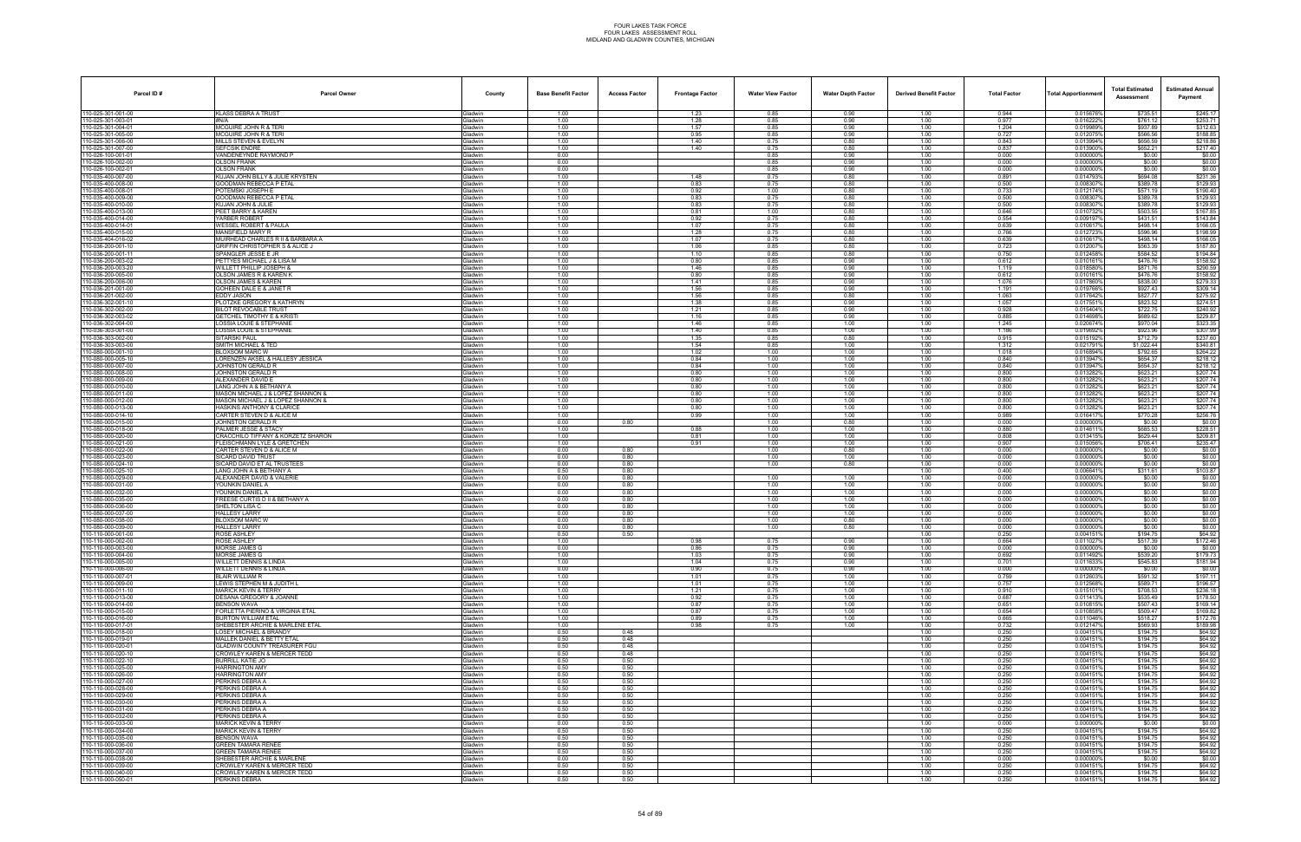| Parcel ID#                              | <b>Parcel Owner</b>                                                             | County                           | <b>Base Benefit Factor</b> | <b>Access Factor</b> | <b>Frontage Factor</b> | <b>Water View Factor</b> | <b>Water Depth Factor</b> | <b>Derived Benefit Factor</b> | <b>Total Factor</b> | <b>Total Apportionmer</b> | <b>Total Estimated</b><br>Assessment | <b>Estimated Annual</b><br>Payment |
|-----------------------------------------|---------------------------------------------------------------------------------|----------------------------------|----------------------------|----------------------|------------------------|--------------------------|---------------------------|-------------------------------|---------------------|---------------------------|--------------------------------------|------------------------------------|
| 110-025-301-001-00                      | KLASS DEBRA A TRUST                                                             | Gladwin                          | 1.00                       |                      | 1.23                   | 0.85                     | 0.90                      | 1.00                          | 0.944               | 0.015676%                 | \$735.51                             | \$245.17                           |
| 10-025-301-003-01                       | #N/A                                                                            | Gladwin                          | 1.00                       |                      | 1.28                   | 0.85                     | 0.90                      | 1.00                          | 0.977               | 0.016222%                 | \$761.12                             | \$253.71                           |
| 10-025-301-004-01<br>10-025-301-005-00  | <b>MCGUIRE JOHN R &amp; TERI</b><br><b>MCGUIRE JOHN R &amp; TER</b>             | <b>Gladwin</b><br>Gladwin        | 1.00<br>1.00               |                      | 1.57<br>0.95           | 0.85<br>0.85             | 0.90<br>0.90              | 1.00<br>1.00                  | 1.204<br>0.727      | 0.019989%<br>0.012075%    | \$937.89<br>\$566.56                 | \$312.63<br>\$188.85               |
| 10-025-301-006-00                       | MILLS STEVEN & EVELYN                                                           | Gladwin                          | 1.00                       |                      | 1.40                   | 0.75                     | 0.80                      | 1.00                          | 0.843               | 0.013994%                 | \$656.59                             | \$218.86                           |
| 10-025-301-007-00                       | <b>SEFCSIK ENDRE</b>                                                            | Gladwin                          | 1.00                       |                      | 1.40                   | 0.75                     | 0.80                      | 1.00                          | 0.837               | 0.0139009                 | \$652.21                             | \$217.40                           |
| 10-026-100-001-01<br>0-026-100-002-00   | VANDENEYNDE RAYMOND P<br><b>OLSON FRANK</b>                                     | Gladwin<br><b>Gladwin</b>        | 0.00<br>0.00               |                      |                        | 0.85<br>0.85             | 0.90<br>0.90              | 1.00<br>1.00                  | 0.000<br>0.000      | 0.000000%<br>0.0000009    | \$0.00<br>\$0.00                     | \$0.00<br>\$0.00                   |
| 10-026-100-002-01                       | <b>OLSON FRANK</b>                                                              | Gladwin                          | 0.00                       |                      |                        | 0.85                     | 0.90                      | 1.00                          | 0.000               | 0.0000009                 | \$0.00                               | \$0.00                             |
| 10-035-400-007-00                       | KUJAN JOHN BILLY & JULIE KRYSTEN                                                | Gladwin                          | 1.00                       |                      | 1.48                   | 0.75                     | 0.80                      | 1.00                          | 0.891               | 0.0147939                 | \$694.08                             | \$231.36                           |
| 10-035-400-008-00<br>10-035-400-008-01  | <b>GOODMAN REBECCA P ETAL</b><br>POTEMSKI JOSEPH E                              | <b>Gladwin</b><br>Gladwin        | 1.00<br>1.00               |                      | 0.83<br>0.92           | 0.75<br>1.00             | 0.80<br>0.80              | 1.00<br>1.00                  | 0.500<br>0.733      | 0.008307<br>0.012174%     | \$389.78<br>\$571.19                 | \$129.93<br>\$190.40               |
| 10-035-400-009-00                       | GOODMAN REBECCA P ETAL                                                          | <b>Gladwin</b>                   | 1.00                       |                      | 0.83                   | 0.75                     | 0.80                      | 1.00                          | 0.500               | 0.008307                  | \$389.78                             | \$129.93                           |
| 10-035-400-010-00                       | <b>KUJAN JOHN &amp; JULIE</b>                                                   | Gladwin                          | 1.00                       |                      | 0.83                   | 0.75                     | 0.80                      | 1.00                          | 0.500               | 0.008307                  | \$389.78                             | \$129.93                           |
| 10-035-400-013-00<br>10-035-400-014-00  | PEET BARRY & KAREN<br>YARBER ROBERT                                             | Gladwin<br>Gladwin               | 1.00<br>1.00               |                      | 0.81<br>0.92           | 1.00<br>0.75             | 0.80<br>0.80              | 1.00<br>1.00                  | 0.646<br>0.554      | 0.0107329<br>0.0091979    | \$503.55<br>\$431.51                 | \$167.85<br>\$143.84               |
| 10-035-400-014-01                       | <b>WESSEL ROBERT &amp; PAULA</b>                                                | Gladwin                          | 1.00                       |                      | 1.07                   | 0.75                     | 0.80                      | 1.00                          | 0.639               | 0.0106179                 | \$498.14                             | \$166.05                           |
| 10-035-400-015-00                       | <b>MANSFIELD MARY R</b>                                                         | <b>Gladwin</b>                   | 1.00                       |                      | 1.28                   | 0.75                     | 0.80                      | 1.00                          | 0.766               | 0.012723%                 | \$596.96                             | \$198.99                           |
| 10-035-404-016-02<br>10-036-200-001-10  | <b>MUIRHEAD CHARLES R II &amp; BARBARA A</b><br>GRIFFIN CHRISTOPHER S & ALICE J | <b>Gladwin</b><br>Gladwin        | 1.00<br>1.00               |                      | 1.07<br>1.06           | 0.75<br>0.85             | 0.80<br>0.80              | 1.00<br>1.00                  | 0.639<br>0.723      | 0.010617<br>0.012007      | \$498.14<br>\$563.39                 | \$166.05<br>\$187.80               |
| 10-036-200-001-11                       | SPANGLER JESSE E JR                                                             | Gladwin                          | 1.00                       |                      | 1.10                   | 0.85                     | 0.80                      | 1.00                          | 0.750               | 0.0124589                 | \$584.52                             | \$194.84                           |
| 10-036-200-003-02                       | PETTYES MICHAEL J & LISA M                                                      | <b>Gladwin</b>                   | 1.00                       |                      | 0.80                   | 0.85                     | 0.90                      | 1.00                          | 0.612               | 0.010161%                 | \$476.76                             | \$158.92                           |
| 0-036-200-003-20                        | WILLETT PHILLIP JOSEPH &                                                        | <b>Gladwin</b>                   | 1.00                       |                      | 1.46                   | 0.85                     | 0.90                      | 1.00                          | 1.119               | 0.018580%                 | \$871.76                             | \$290.59                           |
| 10-036-200-005-00<br>10-036-200-006-00  | OLSON JAMES R & KAREN K<br>OLSON JAMES & KAREN                                  | <b>Gladwin</b><br>Gladwin        | 1.00<br>1.00               |                      | 0.80<br>1.41           | 0.85<br>0.85             | 0.90<br>0.90              | 1.00<br>1.00                  | 0.612<br>1.076      | 0.010161%<br>0.017860%    | \$476.76<br>\$838.00                 | \$158.92<br>\$279.33               |
| 10-036-201-001-00                       | GOHEEN DALE E & JANET R                                                         | Gladwin                          | 1.00                       |                      | 1.56                   | 0.85                     | 0.90                      | 1.00                          | 1.191               | 0.019766%                 | \$927.43                             | \$309.14                           |
| 10-036-201-002-00                       | EDDY JASON                                                                      | <b>Gladwin</b>                   | 1.00                       |                      | 1.56                   | 0.85                     | 0.80                      | 1.00                          | 1.063               | 0.0176429                 | \$827.77                             | \$275.92                           |
| 0-036-302-001-10<br>10-036-302-002-00   | LOTZKE GREGORY & KATHRYN<br><b>BILOT REVOCABLE TRUST</b>                        | <b>Jadwin</b><br>Gladwin         | 1.00<br>1.00               |                      | 1.38<br>1.21           | 0.85<br>0.85             | 0.90<br>0.90              | 1.00<br>1.00                  | 1.057<br>0.928      | 0.017551<br>0.015404%     | \$823.52<br>\$722.75                 | \$274.51<br>\$240.92               |
| 10-036-302-003-02                       | SETCHEL TIMOTHY E & KRIST                                                       | Gladwin                          | 1.00                       |                      | 1.16                   | 0.85                     | 0.90                      | 1.00                          | 0.885               | 0.014698%                 | \$689.62                             | \$229.87                           |
| 10-036-302-004-00                       | OSSIA LOUIE & STEPHANIE                                                         | Gladwin                          | 1.00                       |                      | 1.46                   | 0.85                     | 1.00                      | 1.00                          | 1.245               | 0.020674%                 | \$970.04                             | \$323.35                           |
| 10-036-303-001-00<br>10-036-303-002-00  | LOSSIA LOUIE & STEPHANIE<br><b>SITARSKI PAUL</b>                                | <b>Gladwin</b><br><b>Gladwin</b> | 1.00<br>1.00               |                      | 1.40<br>1.35           | 0.85<br>0.85             | 1.00<br>0.80              | 1.00<br>1.00                  | 1.186<br>0.915      | 0.0196929<br>0.015192%    | \$923.96<br>\$712.79                 | \$307.99<br>\$237.60               |
| 10-036-303-003-00                       | SMITH MICHAEL & TED                                                             | <b>Gladwin</b>                   | 1.00                       |                      | 1.54                   | 0.85                     | 1.00                      | 1.00                          | 1.312               | 0.021791%                 | \$1,022.44                           | \$340.81                           |
| 10-080-000-001-10                       | <b>BLOXSOM MARC W</b>                                                           | Gladwin                          | 1.00                       |                      | 1.02                   | 1.00                     | 1.00                      | 1.00                          | 1.018               | 0.016894%                 | \$792.65                             | \$264.22                           |
| 10-080-000-005-10                       | LORENZEN AKSEL & HALLESY JESSICA                                                | Gladwin                          | 1.00                       |                      | 0.84                   | 1.00                     | 1.00                      | 1.00                          | 0.840               | 0.013947%                 | \$654.37                             | \$218.12                           |
| 0-080-000-007-00<br>0-080-000-008-00    | JOHNSTON GERALD R<br>JOHNSTON GERALD F                                          | Gladwin<br>iladwin               | 1.00<br>1.00               |                      | 0.84<br>0.80           | 1.00<br>1.00             | 1.00<br>1.00              | 1.00<br>1.00                  | 0.840<br>0.800      | 0.0139479<br>0.013282%    | \$654.37<br>\$623.21                 | \$218.12<br>\$207.74               |
| 0-080-000-009-00                        | ALEXANDER DAVID E                                                               | <b>Gladwin</b>                   | 1.00                       |                      | 0.80                   | 1.00                     | 1.00                      | 1.00                          | 0.800               | 0.013282%                 | \$623.21                             | \$207.74                           |
| 10-080-000-010-00                       | LANG JOHN A & BETHANY A                                                         | Gladwin                          | 1.00                       |                      | 0.80                   | 1.00                     | 1.00                      | 1.00                          | 0.800               | 0.0132829                 | \$623.21                             | \$207.74                           |
| 10-080-000-011-00<br>0-080-000-012-00   | MASON MICHAEL J & LOPEZ SHANNON &<br>MASON MICHAEL J & LOPEZ SHANNON &          | Gladwin<br><b>Gladwin</b>        | 1.00<br>1.00               |                      | 0.80<br>0.80           | 1.00<br>1.00             | 1.00<br>1.00              | 1.00<br>1.00                  | 0.800<br>0.800      | 0.013282%<br>0.013282%    | \$623.21<br>\$623.21                 | \$207.74<br>\$207.74               |
| 0-080-000-013-00                        | HASKINS ANTHONY & CLARICE                                                       | <b>Gladwin</b>                   | 1.00                       |                      | 0.80                   | 1.00                     | 1.00                      | 1.00                          | 0.800               | 0.013282%                 | \$623.21                             | \$207.74                           |
| 10-080-000-014-10                       | CARTER STEVEN D & ALICE M                                                       | <b>Gladwin</b>                   | 1.00                       |                      | 0.99                   | 1.00                     | 1.00                      | 1.00                          | 0.989               | 0.016417%                 | \$770.28                             | \$256.76                           |
| 10-080-000-015-00                       | JOHNSTON GERALD R                                                               | Gladwin                          | 0.00                       | 0.80                 |                        | 1.00                     | 0.80                      | 1.00                          | 0.000<br>0.880      | 0.0000009<br>0.0146119    | \$0.00<br>\$685.53                   | \$0.00<br>\$228.51                 |
| 10-080-000-018-00<br>0-080-000-020-00   | PALMER JESSE & STACY<br>CRACCHILO TIFFANY & KORZETZ SHARON                      | Gladwin<br><b>Gladwin</b>        | 1.00<br>1.00               |                      | 0.88<br>0.81           | 1.00<br>1.00             | 1.00<br>1.00              | 1.00<br>1.00                  | 0.808               | 0.013415                  | \$629.44                             | \$209.81                           |
| 0-080-000-021-00                        | LEISCHMANN LYLE & GRETCHEN                                                      | iladwin                          | 1.00                       |                      | 0.91                   | 1.00                     | 1.00                      | 1.00                          | 0.907               | 0.015056%                 | \$706.41                             | \$235.47                           |
| 10-080-000-022-00                       | CARTER STEVEN D & ALICE M                                                       | <b>Gladwin</b>                   | 0.00                       | 0.80                 |                        | 1.00                     | 0.80                      | 1.00                          | 0.000               | 0.000000%                 | \$0.00                               | \$0.00                             |
| 10-080-000-023-00<br>10-080-000-024-10  | SICARD DAVID TRUST<br>SICARD DAVID ET AL TRUSTEES                               | <b>Gladwin</b><br>Gladwin        | 0.00<br>0.00               | 0.80<br>0.80         |                        | 1.00<br>1.00             | 1.00<br>0.80              | 1.00<br>1.00                  | 0.000<br>0.000      | 0.000000<br>0.000000%     | \$0.00<br>\$0.00                     | \$0.00<br>\$0.00                   |
| 0-080-000-025-10                        | LANG JOHN A & BETHANY A                                                         | <b>Gladwin</b>                   | 0.50                       | 0.80                 |                        |                          |                           | 1.00                          | 0.400               | 0.0066419                 | \$311.61                             | \$103.87                           |
| 0-080-000-029-00                        | ALEXANDER DAVID & VALERIE                                                       | <b>Gladwin</b>                   | 0.00                       | 0.80                 |                        | 1.00                     | 1.00                      | 1.00                          | 0.000               | 0.0000009                 | \$0.00                               | \$0.00                             |
| 10-080-000-031-00<br>10-080-000-032-00  | YOUNKIN DANIEL A<br>YOUNKIN DANIEL A                                            | Gladwin<br>Gladwin               | 0.00<br>0.00               | 0.80<br>0.80         |                        | 1.00<br>1.00             | 1.00<br>1.00              | 1.00<br>1.00                  | 0.000<br>0.000      | 0.000000%<br>0.000000     | \$0.00<br>\$0.00                     | \$0.00<br>\$0.00                   |
| 10-080-000-035-00                       | FREESE CURTIS D II & BETHANY A                                                  | Gladwin                          | 0.00                       | 0.80                 |                        | 1.00                     | 1.00                      | 1.00                          | 0.000               | 0.000000%                 | \$0.00                               | \$0.00                             |
| 10-080-000-036-00                       | SHELTON LISA C                                                                  | <b>Gladwin</b>                   | 0.00                       | 0.80                 |                        | 1.00                     | 1.00                      | 1.00                          | 0.000               | 0.0000009                 | \$0.00                               | \$0.00                             |
| 0-080-000-037-00                        | HALLESY LARRY                                                                   | <b>Gladwin</b>                   | 0.00                       | 0.80                 |                        | 1.00                     | 1.00                      | 1.00                          | 0.000               | 0.0000009                 | \$0.00                               | \$0.00                             |
| 10-080-000-038-00<br>10-080-000-039-00  | <b>BLOXSOM MARC W</b><br>HALLESY LARRY                                          | <b>Gladwin</b><br><b>Gladwin</b> | 0.00<br>0.00               | 0.80<br>0.80         |                        | 1.00<br>1.00             | 0.80<br>0.80              | 1.00<br>1.00                  | 0.000<br>0.000      | 0.000000%<br>0.000000     | \$0.00<br>\$0.00                     | \$0.00<br>\$0.00                   |
| 10-110-000-001-00                       | ROSE ASHLEY                                                                     | Gladwin                          | 0.50                       | 0.50                 |                        |                          |                           | 1.00                          | 0.250               | 0.004151                  | \$194.75                             | \$64.92                            |
| 10-110-000-002-00                       | ROSE ASHLEY                                                                     | <b>Gladwin</b>                   | 1.00                       |                      | 0.98                   | 0.75                     | 0.90                      | 1.00                          | 0.664               | 0.011027                  | \$517.39                             | \$172.46                           |
| 110-110-000-003-00<br>10-110-000-004-00 | MORSE JAMES G<br>MORSE JAMES G                                                  | <b>Gladwin</b><br>Gladwin        | 0.00<br>1.00               |                      | 0.86<br>1.03           | 0.75<br>0.75             | 0.90<br>0.90              | 1.00<br>1.00                  | 0.000<br>0.692      | 0.000000%<br>0.011492%    | \$0.00<br>\$539.20                   | \$0.00<br>\$179.73                 |
| 10-110-000-005-00                       | WILLETT DENNIS & LINDA                                                          | Gladwin                          | 1.00                       |                      | 1.04                   | 0.75                     | 0.90                      | 1.00                          | 0.701               | 0.0116339                 | \$545.83                             | \$181.94                           |
| 10-110-000-006-00                       | WILLETT DENNIS & LINDA                                                          | Gladwin                          | 0.00                       |                      | 0.90                   | 0.75                     | 0.90                      | 1.00                          | 0.000               | 0.000000%                 | \$0.00                               | \$0.00                             |
| 10-110-000-007-01<br>10-110-000-009-00  | <b>BLAIR WILLIAM R</b>                                                          | <b>Gladwin</b>                   | 1.00                       |                      | 1.01                   | 0.75                     | 1.00                      | 1.00                          | 0.759               | 0.0126039                 | \$591.32                             | \$197.11                           |
| 10-110-000-011-10                       | LEWIS STEPHEN M & JUDITH L<br><b>MARICK KEVIN &amp; TERRY</b>                   | <b>Gladwin</b><br>Gladwin        | 1.00<br>1.00               |                      | 1.01<br>1.21           | 0.75<br>0.75             | 1.00<br>1.00              | 1.00<br>1.00                  | 0.757<br>0.910      | 0.012568%<br>0.015101%    | \$589.71<br>\$708.53                 | \$196.57<br>\$236.18               |
| 10-110-000-013-00                       | DESANA GREGORY & JOANNE                                                         | Gladwin                          | 1.00                       |                      | 0.92                   | 0.75                     | 1.00                      | 1.00                          | 0.687               | 0.011413%                 | \$535.49                             | \$178.50                           |
| 10-110-000-014-00                       | <b>BENSON WAVA</b>                                                              | Gladwin                          | 1.00                       |                      | 0.87                   | 0.75                     | 1.00                      | 1.00                          | 0.651               | 0.010815%                 | \$507.43                             | \$169.14                           |
| 10-110-000-015-00<br>10-110-000-016-00  | ORLETTA PIERINO & VIRGINIA ETAL<br><b>BURTON WILLIAM ETAL</b>                   | <b>Gladwin</b><br><b>Gladwin</b> | 1.00<br>1.00               |                      | 0.87<br>0.89           | 0.75<br>0.75             | 1.00<br>1.00              | 1.00<br>1.00                  | 0.654<br>0.665      | 0.010858%<br>0.011046%    | \$509.47<br>\$518.27                 | \$169.82<br>\$172.76               |
| 10-110-000-017-01                       | SHEBESTER ARCHIE & MARLENE ETAL                                                 | Gladwin                          | 1.00                       |                      | 0.98                   | 0.75                     | 1.00                      | 1.00                          | 0.732               | 0.012147%                 | \$569.93                             | \$189.98                           |
| 10-110-000-018-00                       | OSEY MICHAEL & BRANDY                                                           | Gladwin                          | 0.50                       | 0.48                 |                        |                          |                           | 1.00                          | 0.250               | 0.0041519                 | \$194.75                             | \$64.92                            |
| 10-110-000-019-01<br>10-110-000-020-01  | MALLEK DANIEL & BETTY ETAL<br><b>GLADWIN COUNTY TREASURER FGU</b>               | Gladwin<br>Gladwin               | 0.50                       | 0.48<br>0.48         |                        |                          |                           | 1.00<br>1.00                  | 0.250               | 0.004151%<br>0.0041519    | \$194.75<br>\$194.75                 | \$64.92<br>\$64.92                 |
| 10-110-000-020-10                       | ROWLEY KAREN & MERCER TEDD:                                                     | <b>Gladwin</b>                   | 0.50<br>0.50               | 0.48                 |                        |                          |                           | 1.00                          | 0.250<br>0.250      | 0.004151                  | \$194.75                             | \$64.92                            |
| 10-110-000-022-10                       | <b>BURRILL KATIE JO</b>                                                         | Gladwin                          | 0.50                       | 0.50                 |                        |                          |                           | 1.00                          | 0.250               | 0.004151%                 | \$194.75                             | \$64.92                            |
| 10-110-000-025-00                       | <b>HARRINGTON AMY</b>                                                           | Gladwin                          | 0.50                       | 0.50                 |                        |                          |                           | 1.00                          | 0.250               | 0.0041519                 | \$194.75                             | \$64.92                            |
| 10-110-000-026-00<br>10-110-000-027-00  | HARRINGTON AMY<br>PERKINS DEBRA A                                               | Gladwin<br>Gladwin               | 0.50<br>0.50               | 0.50<br>0.50         |                        |                          |                           | 1.00<br>1.00                  | 0.250<br>0.250      | 0.0041519<br>0.0041519    | \$194.75<br>\$194.75                 | \$64.92<br>\$64.92                 |
| 10-110-000-028-00                       | <b>ERKINS DEBRA A</b>                                                           | <b>Gladwin</b>                   | 0.50                       | 0.50                 |                        |                          |                           | 1.00                          | 0.250               | 0.0041519                 | \$194.75                             | \$64.92                            |
| 10-110-000-029-00                       | PERKINS DEBRA A                                                                 | Gladwin                          | 0.50                       | 0.50                 |                        |                          |                           | 1.00                          | 0.250               | 0.004151%                 | \$194.75                             | \$64.92                            |
| 10-110-000-030-00<br>10-110-000-031-00  | PERKINS DEBRA A<br>PERKINS DEBRA A                                              | Gladwin<br>Gladwin               | 0.50<br>0.50               | 0.50<br>0.50         |                        |                          |                           | 1.00<br>1.00                  | 0.250<br>0.250      | 0.0041519<br>0.0041519    | \$194.75<br>\$194.75                 | \$64.92<br>\$64.92                 |
| 10-110-000-032-00                       | PERKINS DEBRA A                                                                 | Gladwin                          | 0.50                       | 0.50                 |                        |                          |                           | 1.00                          | 0.250               | 0.0041519                 | \$194.75                             | \$64.92                            |
| 10-110-000-033-00                       | MARICK KEVIN & TERRY                                                            | <b>Gladwin</b>                   | 0.00                       | 0.50                 |                        |                          |                           | 1.00                          | 0.000               | 0.0000009                 | \$0.00                               | \$0.00                             |
| 10-110-000-034-00                       | <b>MARICK KEVIN &amp; TERRY</b>                                                 | Gladwin                          | 0.50                       | 0.50                 |                        |                          |                           | 1.00                          | 0.250               | 0.004151%                 | \$194.75                             | \$64.92                            |
| 10-110-000-035-00<br>10-110-000-036-00  | <b>BENSON WAVA</b><br><b>GREEN TAMARA RENEE</b>                                 | Gladwin<br>Gladwin               | 0.50<br>0.50               | 0.50<br>0.50         |                        |                          |                           | 1.00<br>1.00                  | 0.250<br>0.250      | 0.004151%<br>0.0041519    | \$194.75<br>\$194.75                 | \$64.92<br>\$64.92                 |
| 10-110-000-037-00                       | <b>GREEN TAMARA RENEE</b>                                                       | Gladwin                          | 0.50                       | 0.50                 |                        |                          |                           | 1.00                          | 0.250               | 0.0041519                 | \$194.75                             | \$64.92                            |
| 10-110-000-038-00                       | <b>HEBESTER ARCHIE &amp; MARLENE</b>                                            | <b>Gladwin</b>                   | 0.00                       | 0.50                 |                        |                          |                           | 1.00                          | 0.000               | 0.000000%                 | \$0.00                               | \$0.00                             |
| 10-110-000-039-00<br>10-110-000-040-00  | CROWLEY KAREN & MERCER TEDD<br>CROWLEY KAREN & MERCER TEDD                      | Gladwin<br>Gladwin               | 0.50<br>0.50               | 0.50<br>0.50         |                        |                          |                           | 1.00<br>1.00                  | 0.250<br>0.250      | 0.004151%<br>0.0041519    | \$194.75<br>\$194.75                 | \$64.92<br>\$64.92                 |
| 10-110-000-050-01                       | PERKINS DEBRA                                                                   | Gladwin                          | 0.50                       | 0.50                 |                        |                          |                           | 1.00                          | 0.250               | 0.004151%                 | \$194.75                             | \$64.92                            |
|                                         |                                                                                 |                                  |                            |                      |                        |                          |                           |                               |                     |                           |                                      |                                    |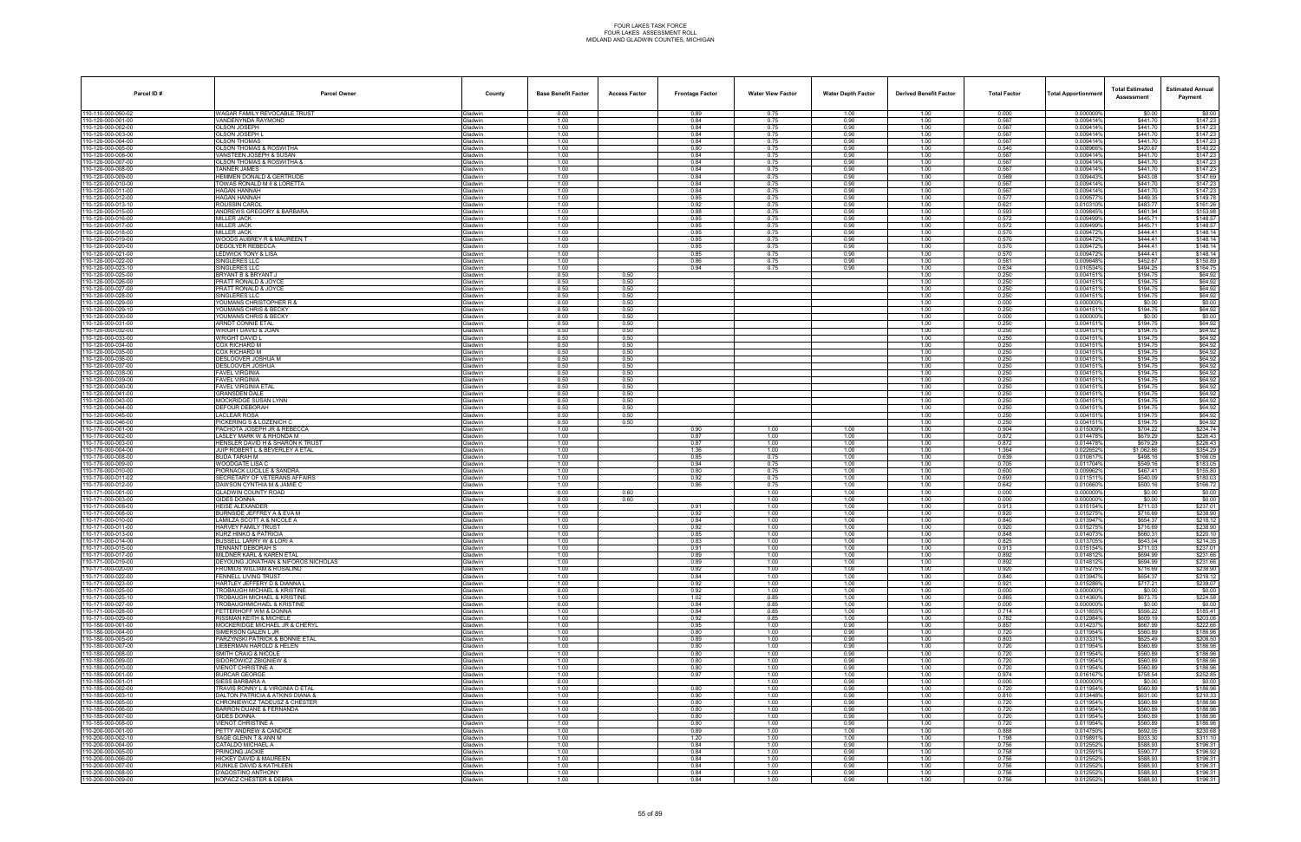| Parcel ID#                             | <b>Parcel Owner</b>                                                  | County                           | <b>Base Benefit Factor</b> | <b>Access Factor</b> | <b>Frontage Factor</b> | <b>Water View Factor</b> | <b>Water Depth Factor</b> | <b>Derived Benefit Factor</b> | <b>Total Factor</b> | Total Apportionmer     | <b>Total Estimated</b><br>Assessment | <b>Estimated Annual</b><br>Payment |
|----------------------------------------|----------------------------------------------------------------------|----------------------------------|----------------------------|----------------------|------------------------|--------------------------|---------------------------|-------------------------------|---------------------|------------------------|--------------------------------------|------------------------------------|
| 10-110-000-050-02                      | WAGAR FAMILY REVOCABLE TRUST                                         | <b>Gladwin</b>                   | 0.00                       |                      | 0.89                   | 0.75                     | 1.00                      | 1.00                          | 0.000               | 0.000000%              | \$0.00                               | \$0.00                             |
| 10-120-000-001-00<br>10-120-000-002-00 | VANDENYNDA RAYMOND<br><b>DLSON JOSEPH</b>                            | Gladwin<br><b>Gladwin</b>        | 1.00<br>1.00               |                      | 0.84<br>0.84           | 0.75<br>0.75             | 0.90<br>0.90              | 1.00<br>1.00                  | 0.567<br>0.567      | 0.009414%<br>0.009414% | \$441.70<br>\$441.70                 | \$147.23<br>\$147.23               |
| 10-120-000-003-00                      | OLSON JOSEPH I                                                       | Gladwin                          | 1.00                       |                      | 0.84                   | 0.75                     | 0.90                      | 1.00                          | 0.567               | 0.009414%              | \$441.70                             | \$147.23                           |
| 10-120-000-004-00                      | OLSON THOMAS                                                         | Gladwin                          | 1.00                       |                      | 0.84                   | 0.75                     | 0.90                      | 1.00                          | 0.567               | 0.009414%              | \$441.70                             | \$147.23                           |
| 10-120-000-005-00<br>10-120-000-006-00 | <b>OLSON THOMAS &amp; ROSWITHA</b><br>VANSTEEN JOSEPH & SUSAN        | Gladwin<br>Gladwin               | 1.00<br>1.00               |                      | 0.80<br>0.84           | 0.75<br>0.75             | 0.90<br>0.90              | 1.00<br>1.00                  | 0.540<br>0.567      | 0.0089669<br>0.009414% | \$420.67<br>\$441.70                 | \$140.22<br>\$147.23               |
| 10-120-000-007-00                      | <b>DLSON THOMAS &amp; ROSWITHA &amp;</b>                             | <b>Gladwin</b>                   | 1.00                       |                      | 0.84                   | 0.75                     | 0.90                      | 1.00                          | 0.567               | 0.009414%              | \$441.70                             | \$147.23                           |
| 10-120-000-008-00                      | <b>TANNER JAMES</b>                                                  | <b>Gladwin</b>                   | 1.00                       |                      | 0.84                   | 0.75                     | 0.90                      | 1.00                          | 0.567               | 0.009414%              | \$441.70                             | \$147.23                           |
| 10-120-000-009-00<br>10-120-000-010-00 | <b>HEMMEN DONALD &amp; GERTRUDE</b><br>TOWAS RONALD M II & LORETTA   | Gladwin<br><b>Gladwin</b>        | 1.00<br>1.00               |                      | 0.84<br>0.84           | 0.75<br>0.75             | 0.90<br>0.90              | 1.00<br>1.00                  | 0.569<br>0.567      | 0.009443%<br>0.009414% | \$443.08<br>\$441.70                 | \$147.69<br>\$147.23               |
| 10-120-000-011-00                      | HAGAN HANNAH                                                         | Gladwin                          | 1.00                       |                      | 0.84                   | 0.75                     | 0.90                      | 1.00                          | 0.567               | 0.009414%              | \$441.70                             | \$147.23                           |
| 10-120-000-012-00                      | HAGAN HANNAH                                                         | <b>Gladwin</b>                   | 1.00                       |                      | 0.85                   | 0.75                     | 0.90                      | 1.00                          | 0.577               | 0.0095779              | \$449.35                             | \$149.78                           |
| 10-120-000-013-10                      | ROUSSIN CAROL<br>ANDREWS GREGORY & BARBARA                           | Gladwin                          | 1.00                       |                      | 0.92                   | 0.75                     | 0.90                      | 1.00                          | 0.621               | 0.0103109              | \$483.77<br>\$461.94                 | \$161.26                           |
| 10-120-000-015-00<br>10-120-000-016-00 | <b>MILLER JACK</b>                                                   | Gladwin<br>Gladwin               | 1.00<br>1.00               |                      | 0.88<br>0.85           | 0.75<br>0.75             | 0.90<br>0.90              | 1.00<br>1.00                  | 0.593<br>0.572      | 0.0098459<br>0.0094999 | \$445.71                             | \$153.98<br>\$148.57               |
| 10-120-000-017-00                      | <b>MILLER JACK</b>                                                   | Gladwin                          | 1.00                       |                      | 0.85                   | 0.75                     | 0.90                      | 1.00                          | 0.572               | 0.009499%              | \$445.71                             | \$148.57                           |
| 0-120-000-018-00                       | <b>MILLER JACK</b>                                                   | <b>Gladwin</b>                   | 1.00                       |                      | 0.85                   | 0.75                     | 0.90                      | 1.00                          | 0.570               | 0.0094729              | \$444.41                             | \$148.14                           |
| 10-120-000-019-00<br>10-120-000-020-00 | WOODS AUBREY R & MAUREEN T<br>DEGOLYER REBECCA                       | <b>Gladwin</b><br>Gladwin        | 1.00<br>1.00               |                      | 0.85<br>0.85           | 0.75<br>0.75             | 0.90<br>0.90              | 1.00<br>1.00                  | 0.570<br>0.570      | 0.009472<br>0.009472   | \$444.41<br>\$444.41                 | \$148.14<br>\$148.14               |
| 10-120-000-021-00                      | LEDWICK TONY & LISA                                                  | Gladwin                          | 1.00                       |                      | 0.85                   | 0.75                     | 0.90                      | 1.00                          | 0.570               | 0.0094729              | \$444.41                             | \$148.14                           |
| 10-120-000-022-00                      | SINGLERES LLC                                                        | Gladwin                          | 1.00                       |                      | 0.86                   | 0.75                     | 0.90                      | 1.00                          | 0.581               | 0.009648%              | \$452.67                             | \$150.89                           |
| 10-120-000-023-10<br>10-120-000-025-00 | SINGLERES LLC<br>BRYANT B & BRYANT J                                 | <b>Gladwin</b><br><b>Gladwin</b> | 1.00<br>0.50               | 0.50                 | 0.94                   | 0.75                     | 0.90                      | 1.00<br>1.00                  | 0.634<br>0.250      | 0.010534%<br>0.0041519 | \$494.25<br>\$194.75                 | \$164.75<br>\$64.92                |
| 10-120-000-026-00                      | PRATT RONALD & JOYCE                                                 | Gladwin                          | 0.50                       | 0.50                 |                        |                          |                           | 1.00                          | 0.250               | 0.004151               | \$194.75                             | \$64.92                            |
| 10-120-000-027-00                      | PRATT RONALD & JOYCE                                                 | Gladwin                          | 0.50                       | 0.50                 |                        |                          |                           | 1.00                          | 0.250               | 0.0041519              | \$194.75                             | \$64.92                            |
| 10-120-000-028-00<br>10-120-000-029-00 | SINGLERES LLC<br>OUMANS CHRISTOPHER R &                              | <b>Gladwin</b><br><b>Gladwin</b> | 0.50<br>0.00               | 0.50<br>0.50         |                        |                          |                           | 1.00<br>1.00                  | 0.250<br>0.000      | 0.0041519<br>0.0000009 | \$194.75<br>\$0.00                   | \$64.92<br>\$0.00                  |
| 10-120-000-029-10                      | YOUMANS CHRIS & BECKY                                                | <b>Gladwin</b>                   | 0.50                       | 0.50                 |                        |                          |                           | 1.00                          | 0.250               | 0.0041519              | \$194.75                             | \$64.92                            |
| 10-120-000-030-00                      | YOUMANS CHRIS & BECKY                                                | Gladwin                          | 0.00                       | 0.50                 |                        |                          |                           | 1.00                          | 0.000               | 0.000000               | \$0.00                               | \$0.00                             |
| 10-120-000-031-00                      | ARNDT CONNIE ETAL                                                    | Gladwin                          | 0.50                       | 0.50                 |                        |                          |                           | 1.00                          | 0.250               | 0.0041519              | \$194.75                             | \$64.92                            |
| 10-120-000-032-00<br>10-120-000-033-00 | WRIGHT DAVID & JOAN<br>NRIGHT DAVID L                                | <b>Gladwin</b><br><b>Gladwin</b> | 0.50<br>0.50               | 0.50<br>0.50         |                        |                          |                           | 1.00<br>1.00                  | 0.250<br>0.250      | 0.0041519<br>0.004151  | \$194.75<br>\$194.75                 | \$64.92<br>\$64.92                 |
| 10-120-000-034-00                      | COX RICHARD M                                                        | <b>Gladwin</b>                   | 0.50                       | 0.50                 |                        |                          |                           | 1.00                          | 0.250               | 0.0041519              | \$194.75                             | \$64.92                            |
| 10-120-000-035-00                      | COX RICHARD M                                                        | Gladwin                          | 0.50                       | 0.50                 |                        |                          |                           | 1.00                          | 0.250               | 0.004151               | \$194.75                             | \$64.92                            |
| 10-120-000-036-00<br>10-120-000-037-00 | DESLOOVER JOSHUA M<br>DESLOOVER JOSHUA                               | Gladwin<br><b>Gladwin</b>        | 0.50<br>0.50               | 0.50<br>0.50         |                        |                          |                           | 1.00<br>1.00                  | 0.250<br>0.250      | 0.0041519<br>0.0041519 | \$194.75<br>\$194.75                 | \$64.92<br>\$64.92                 |
| 10-120-000-038-00                      | FAVEL VIRGINIA                                                       | <b>Gladwin</b>                   | 0.50                       | 0.50                 |                        |                          |                           | 1.00                          | 0.250               | 0.004151               | \$194.75                             | \$64.92                            |
| 10-120-000-039-00                      | <b>FAVEL VIRGINIA</b>                                                | <b>Gladwin</b>                   | 0.50                       | 0.50                 |                        |                          |                           | 1.00                          | 0.250               | 0.0041519              | \$194.75                             | \$64.92                            |
| 10-120-000-040-00<br>10-120-000-041-00 | FAVEL VIRGINIA ETAL<br><b>GRANSDEN DALE</b>                          | Gladwin<br>Gladwin               | 0.50<br>0.50               | 0.50<br>0.50         |                        |                          |                           | 1.00<br>1.00                  | 0.250<br>0.250      | 0.004151<br>0.0041519  | \$194.75<br>\$194.75                 | \$64.92<br>\$64.92                 |
| 10-120-000-043-00                      | MOCKRIDGE SUSAN LYNN                                                 | <b>Gladwin</b>                   | 0.50                       | 0.50                 |                        |                          |                           | 1.00                          | 0.250               | 0.0041519              | \$194.75                             | \$64.92                            |
| 10-120-000-044-00                      | DEFOUR DEBORAH                                                       | <b>Gladwin</b>                   | 0.50                       | 0.50                 |                        |                          |                           | 1.00                          | 0.250               | 0.004151               | \$194.75                             | \$64.92                            |
| 10-120-000-045-00<br>10-120-000-046-00 | <b>ACLEAR ROSA</b><br>PICKERING S & LOZENICH C                       | <b>Gladwin</b><br>Gladwin        | 0.50                       | 0.50<br>0.50         |                        |                          |                           | 1.00<br>1.00                  | 0.250               | 0.004151%<br>0.0041519 | \$194.75<br>\$194.75                 | \$64.92<br>\$64.92                 |
| 10-170-000-001-00                      | PACHOTA JOSEPH JR & REBECCA                                          | Gladwin                          | 0.50<br>1.00               |                      | 0.90                   | 1.00                     | 1.00                      | 1.00                          | 0.250<br>0.904      | 0.015009%              | \$704.22                             | \$234.74                           |
| 10-170-000-002-00                      | ASLEY MARK W & RHONDA M                                              | <b>Gladwin</b>                   | 1.00                       |                      | 0.87                   | 1.00                     | 1.00                      | 1.00                          | 0.872               | 0.0144789              | \$679.29                             | \$226.43                           |
| 10-170-000-003-00<br>10-170-000-004-00 | IENSLER DAVID H & SHARON K TRUST<br>JUIP ROBERT L & BEVERLEY A ETAL  | iladwin<br><b>Gladwin</b>        | 1.00<br>1.00               |                      | 0.87                   | 1.00                     | 1.00<br>1.00              | 1.00<br>1.00                  | 0.872<br>1.364      | 0.0144789<br>0.022652% | \$679.29<br>\$1,062.86               | \$226.43<br>\$354.29               |
| 10-170-000-008-00                      | BUDA TARAH M                                                         | <b>Gladwin</b>                   | 1.00                       |                      | 1.36<br>0.85           | 1.00<br>0.75             | 1.00                      | 1.00                          | 0.639               | 0.0106179              | \$498.16                             | \$166.05                           |
| 10-170-000-009-00                      | WOODGATE LISA C                                                      | Gladwin                          | 1.00                       |                      | 0.94                   | 0.75                     | 1.00                      | 1.00                          | 0.705               | 0.011704%              | \$549.16                             | \$183.05                           |
| 10-170-000-010-00                      | <b>IORNACK LUCILLE &amp; SANDRA</b>                                  | <b>Gladwin</b>                   | 1.00                       |                      | 0.80                   | 0.75                     | 1.00                      | 1.00                          | 0.600               | 0.0099629              | \$467.41                             | \$155.80                           |
| 10-170-000-011-02<br>10-170-000-012-00 | <b>SECRETARY OF VETERANS AFFAIRS</b><br>DAWSON CYNTHIA M & JAMIE C   | <b>Gladwin</b><br>Gladwin        | 1.00<br>1.00               |                      | 0.92<br>0.86           | 0.75<br>0.75             | 1.00<br>1.00              | 1.00<br>1.00                  | 0.693<br>0.642      | 0.011511<br>0.010660%  | \$540.09<br>\$500.16                 | \$180.03<br>\$166.72               |
| 10-171-000-001-00                      | GLADWIN COUNTY ROAD                                                  | Gladwin                          | 0.00                       | 0.60                 |                        | 1.00                     | 1.00                      | 1.00                          | 0.000               | 0.0000009              | \$0.00                               | \$0.00                             |
| 10-171-000-003-00                      | <b>GIDES DONNA</b>                                                   | Gladwin                          | 0.00                       | 0.60                 |                        | 1.00                     | 1.00                      | 1.00                          | 0.000               | 0.000000%              | \$0.00                               | \$0.00                             |
| 10-171-000-006-00<br>10-171-000-008-00 | <b>HEISE ALEXANDER</b><br><b>BURNSIDE JEFFREY A &amp; EVA M</b>      | <b>Gladwin</b><br>iladwin        | 1.00<br>1.00               |                      | 0.91<br>0.92           | 1.00<br>1.00             | 1.00<br>1.00              | 1.00<br>1.00                  | 0.913<br>0.920      | 0.0151549<br>0.015275  | \$711.03<br>\$716.69                 | \$237.01<br>\$238.90               |
| 10-171-000-010-00                      | <b>AMILZA SCOTT A &amp; NICOLE A</b>                                 | <b>Gladwin</b>                   | 1.00                       |                      | 0.84                   | 1.00                     | 1.00                      | 1.00                          | 0.840               | 0.013947%              | \$654.37                             | \$218.12                           |
| 10-171-000-011-00                      | <b>HARVEY FAMILY TRUST</b>                                           | <b>Gladwin</b>                   | 1.00                       |                      | 0.92                   | 1.00                     | 1.00                      | 1.00                          | 0.920               | 0.015275               | \$716.69                             | \$238.90                           |
| 10-171-000-013-00<br>10-171-000-014-00 | <b>KURZ HINKO &amp; PATRICIA</b><br>BUSSELL LARRY W & LORI A         | Gladwin                          | 1.00<br>1.00               |                      | 0.85<br>0.83           | 1.00<br>1.00             | 1.00<br>1.00              | 1.00<br>1.00                  | 0.848<br>0.825      | 0.014073%<br>0.0137059 | \$660.31<br>\$643.04                 | \$220.10<br>\$214.35               |
| 110-171-000-015-00                     | TENNANT DEBORAH S                                                    | <b>Jadwin</b><br><b>i</b> ladwin | 1.00                       |                      | 0.91                   | 1.00                     | 1.00                      | 1.00                          | 0.913               | 0.015154%              | \$711.03                             | \$237.01                           |
| 10-171-000-017-00                      | MILDNER KARL & KAREN ETAL                                            | Gladwin                          | 1.00                       |                      | 0.89                   | 1.00                     | 1.00                      | 1.00                          | 0.892               | 0.014812%              | \$694.99                             | \$231.66                           |
| 10-171-000-019-00                      | DEYOUNG JONATHAN & NIFOROS NICHOLAS                                  | Gladwin                          | 1.00                       |                      | 0.89                   | 1.00                     | 1.00                      | 1.00                          | 0.892               | 0.014812%              | \$694.99                             | \$231.66                           |
| 10-171-000-020-00<br>10-171-000-022-00 | FROMIUS WILLIAM & ROSALIND<br><b>ENNELL LIVING TRUST</b>             | Gladwin<br><b>Gladwin</b>        | 1.00<br>1.00               |                      | 0.92<br>0.84           | 1.00<br>1.00             | 1.00<br>1.00              | 1.00<br>1.00                  | 0.920<br>0.840      | 0.015275%<br>0.0139479 | \$716.69<br>\$654.37                 | \$238.90<br>\$218.12               |
| 10-171-000-023-00                      | IARTLEY JEFFERY D & DIANNA L                                         | <b>Gladwin</b>                   | 1.00                       |                      | 0.92                   | 1.00                     | 1.00                      | 1.00                          | 0.921               | 0.015286%              | \$717.21                             | \$239.07                           |
| 10-171-000-025-00                      | TROBAUGH MICHAEL & KRISTINE                                          | Gladwin                          | 0.00                       |                      | 0.92                   | 1.00                     | 1.00                      | 1.00                          | 0.000               | 0.000000%              | \$0.00                               | \$0.00                             |
| 10-171-000-025-10<br>10-171-000-027-00 | <b>TROBAUGH MICHAEL &amp; KRISTINE</b><br>TROBAUGHMICHAEL & KRISTINE | Gladwin<br>Gladwin               | 1.00<br>0.00               |                      | 1.02<br>0.84           | 0.85<br>0.85             | 1.00<br>1.00              | 1.00<br>1.00                  | 0.865<br>0.000      | 0.014360%<br>0.000000% | \$673.75<br>\$0.00                   | \$224.58<br>\$0.00                 |
| 10-171-000-028-00                      | <b>ETTERHOFF WM &amp; DONNA</b>                                      | <b>Gladwin</b>                   | 1.00                       |                      | 0.84                   | 0.85                     | 1.00                      | 1.00                          | 0.714               | 0.011855%              | \$556.22                             | \$185.41                           |
| 10-171-000-029-00                      | ISSMAN KEITH & MICHELE                                               | <b>Gladwin</b>                   | 1.00                       |                      | 0.92                   | 0.85                     | 1.00                      | 1.00                          | 0.782               | 0.012984%              | \$609.19                             | \$203.06                           |
| 10-180-000-001-00<br>10-180-000-004-00 | MOCKERIDGE MICHAEL JR & CHERYL<br>SIMERSON GALEN L JR                | Gladwin<br>Gladwin               | 1.00<br>1.00               |                      | 0.95<br>0.80           | 1.00<br>1.00             | 0.90<br>0.90              | 1.00<br>1.00                  | 0.857<br>0.720      | 0.014237%<br>0.011954% | \$667.99<br>\$560.89                 | \$222.66<br>\$186.96               |
| 10-180-000-005-00                      | PARZYNSKI PATRICK & BONNIE ETAL                                      | Gladwin                          | 1.00                       |                      | 0.89                   | 1.00                     | 0.90                      | 1.00                          | 0.803               | 0.013331%              | \$625.49                             | \$208.50                           |
| 10-180-000-007-00                      | LIEBERMAN HAROLD & HELEN                                             | <b>Gladwin</b>                   | 1.00                       |                      | 0.80                   | 1.00                     | 0.90                      | 1.00                          | 0.720               | 0.011954%              | \$560.89                             | \$186.96                           |
| 10-180-000-008-00<br>10-180-000-009-00 | SMITH CRAIG & NICOLE                                                 | <b>Gladwin</b><br>Gladwin        | 1.00<br>1.00               |                      | 0.80<br>0.80           | 1.00<br>1.00             | 0.90<br>0.90              | 1.00<br>1.00                  | 0.720               | 0.011954%<br>0.011954% | \$560.89<br>\$560.89                 | \$186.96<br>\$186.96               |
| 10-180-000-010-00                      | SIDOROWICZ ZBIGNIEW &<br>VIENOT CHRISTINE A                          | Gladwin                          | 1.00                       |                      | 0.80                   | 1.00                     | 0.90                      | 1.00                          | 0.720<br>0.720      | 0.011954%              | \$560.89                             | \$186.96                           |
| 10-185-000-001-00                      | BURCAR GEORGE                                                        | Gladwin                          | 1.00                       |                      | 0.97                   | 1.00                     | 1.00                      | 1.00                          | 0.974               | 0.016167%              | \$758.54                             | \$252.85                           |
| 10-185-000-001-01                      | SIESS BARBARA A                                                      | Gladwin                          | 0.00                       |                      |                        | 1.00                     | 0.90                      | 1.00                          | 0.000               | 0.0000009              | \$0.00                               | \$0.00                             |
| 10-185-000-002-00<br>10-185-000-003-10 | TRAVIS RONNY L & VIRGINIA D ETAL<br>DALTON PATRICIA & ATKINS DIANA & | <b>Gladwin</b><br>Gladwin        | 1.00<br>1.00               |                      | 0.80<br>0.90           | 1.00<br>1.00             | 0.90<br>0.90              | 1.00<br>1.00                  | 0.720<br>0.810      | 0.011954%<br>0.013448% | \$560.89<br>\$631.00                 | \$186.96<br>\$210.33               |
| 10-185-000-005-00                      | CHRONIEWICZ TADEUSZ & CHESTER                                        | Gladwin                          | 1.00                       |                      | 0.80                   | 1.00                     | 0.90                      | 1.00                          | 0.720               | 0.011954%              | \$560.89                             | \$186.96                           |
| 10-185-000-006-00                      | BARRON DUANE & FERNANDA                                              | Gladwin                          | 1.00                       |                      | 0.80                   | 1.00                     | 0.90                      | 1.00                          | 0.720               | 0.011954%              | \$560.89                             | \$186.96                           |
| 10-185-000-007-00<br>10-185-000-008-00 | GIDES DONNA<br>VIENOT CHRISTINE A                                    | Gladwin<br><b>Gladwin</b>        | 1.00<br>1.00               |                      | 0.80<br>0.80           | 1.00<br>1.00             | 0.90<br>0.90              | 1.00<br>1.00                  | 0.720<br>0.720      | 0.011954%<br>0.011954% | \$560.89<br>\$560.89                 | \$186.96<br>\$186.96               |
| 10-200-000-001-00                      | PETTY ANDREW & CANDICE                                               | Gladwin                          | 1.00                       |                      | 0.89                   | 1.00                     | 1.00                      | 1.00                          | 0.888               | 0.014750%              | \$692.05                             | \$230.68                           |
| 10-200-000-002-10                      | SAGE GLENN T & ANN M                                                 | Gladwin                          | 1.00                       |                      | 1.20                   | 1.00                     | 1.00                      | 1.00                          | 1.198               | 0.019891%              | \$933.30                             | \$311.10                           |
| 10-200-000-004-00                      | CATALDO MICHAEL A                                                    | Gladwin                          | 1.00                       |                      | 0.84                   | 1.00                     | 0.90                      | 1.00                          | 0.756               | 0.012552%              | \$588.93                             | \$196.31                           |
| 10-200-000-005-00<br>0-200-000-006-00  | PRINCING JACKIE<br>IICKEY DAVID & MAUREEN                            | Gladwin<br><b>Gladwin</b>        | 1.00<br>1.00               |                      | 0.84<br>0.84           | 1.00<br>1.00             | 0.90<br>0.90              | 1.00<br>1.00                  | 0.758<br>0.756      | 0.012591%<br>0.012552% | \$590.77<br>\$588.93                 | \$196.92<br>\$196.31               |
| 10-200-000-007-00                      | <b>KUNKLE DAVID &amp; KATHLEEN</b>                                   | Gladwin                          | 1.00                       |                      | 0.84                   | 1.00                     | 0.90                      | 1.00                          | 0.756               | 0.012552%              | \$588.93                             | \$196.31                           |
| 10-200-000-008-00                      | D'AGOSTINO ANTHONY                                                   | Gladwin                          | 1.00                       |                      | 0.84                   | 1.00                     | 0.90                      | 1.00                          | 0.756               | 0.012552%              | \$588.93                             | \$196.31                           |
| 10-200-000-009-00                      | KOPACZ CHESTER & DEBRA                                               | Gladwin                          | 1.00                       |                      | 0.84                   | 1.00                     | 0.90                      | 1.00                          | 0.756               | 0.012552%              | \$588.93                             | \$196.31                           |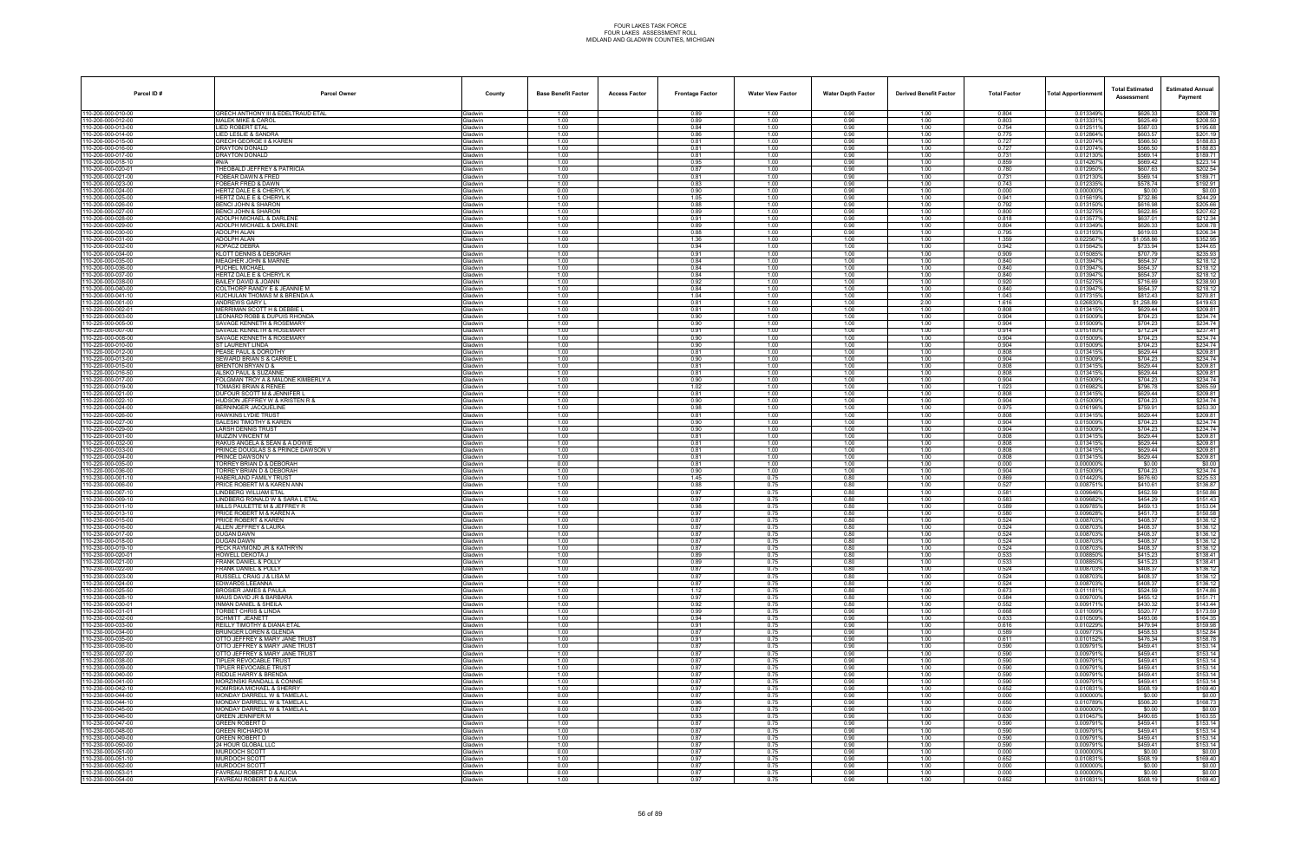| Parcel ID#                               | <b>Parcel Owner</b>                                              | County                           | <b>Base Benefit Factor</b> | <b>Access Factor</b> | <b>Frontage Factor</b> | <b>Water View Factor</b> | <b>Water Depth Factor</b> | <b>Derived Benefit Factor</b> | <b>Total Factor</b> | <b>Total Apportionmen</b> | <b>Total Estimated</b><br>Assessment | <b>Estimated Annual</b><br>Payment |
|------------------------------------------|------------------------------------------------------------------|----------------------------------|----------------------------|----------------------|------------------------|--------------------------|---------------------------|-------------------------------|---------------------|---------------------------|--------------------------------------|------------------------------------|
| 110-200-000-010-00                       | GRECH ANTHONY III & EDELTRAUD ETAL                               | Gladwin                          | 1.00                       |                      | 0.89                   | 1.00                     | 0.90                      | 1.00                          | 0.804               | 0.013349%                 | \$626.33                             | \$208.78                           |
| 110-200-000-012-00<br>110-200-000-013-00 | MALEK MIKE & CAROL<br><b>LIED ROBERT ETAL</b>                    | <b>Gladwin</b>                   | 1.00<br>1.00               |                      | 0.89<br>0.84           | 1.00<br>1.00             | 0.90<br>0.90              | 1.00<br>1.00                  | 0.803<br>0.754      | 0.013331%<br>0.0125119    | \$625.49<br>\$587.03                 | \$208.50<br>\$195.68               |
| 110-200-000-014-00                       | LIED LESLIE & SANDRA                                             | ladwin<br><b>Sladwin</b>         | 1.00                       |                      | 0.86                   | 1.00                     | 0.90                      | 1.00                          | 0.775               | 0.012864%                 | \$603.57                             | \$201.19                           |
| 110-200-000-015-00                       | <b>GRECH GEORGE II &amp; KAREN</b>                               | Gladwin                          | 1.00                       |                      | 0.81                   | 1.00                     | 0.90                      | 1.00                          | 0.727               | 0.012074%                 | \$566.50                             | \$188.83                           |
| 110-200-000-016-00                       | DRAYTON DONALD                                                   | Gladwin                          | 1.00                       |                      | 0.81                   | 1.00                     | 0.90                      | 1.00                          | 0.727               | 0.012074%                 | \$566.50                             | \$188.83                           |
| 110-200-000-017-00<br>110-200-000-018-10 | DRAYTON DONALD<br>#N/A                                           | <b>Gladwin</b><br>ladwin         | 1.00<br>1.00               |                      | 0.81<br>0.95           | 1.00<br>1.00             | 0.90<br>0.90              | 1.00<br>1.00                  | 0.731<br>0.859      | 0.0121309<br>0.014267     | \$569.14<br>\$669.42                 | \$189.71<br>\$223.14               |
| 110-200-000-020-01                       | THEOBALD JEFFREY & PATRICIA                                      | <b>Gladwin</b>                   | 1.00                       |                      | 0.87                   | 1.00                     | 0.90                      | 1.00                          | 0.780               | 0.012950%                 | \$607.63                             | \$202.54                           |
| 110-200-000-021-00                       | FOBEAR DAWN & FRED<br>FOBEAR FRED & DAWN                         | <b>Gladwin</b>                   | 1.00<br>1.00               |                      | 0.81<br>0.83           | 1.00<br>1.00             | 0.90<br>0.90              | 1.00<br>1.00                  | 0.731<br>0.743      | 0.012130<br>0.012335%     | \$569.14<br>\$578.74                 | \$189.71<br>\$192.91               |
| 110-200-000-023-00<br>110-200-000-024-00 | HERTZ DALE E & CHERYL K                                          | Gladwin<br><b>Gladwin</b>        | 0.00                       |                      | 0.90                   | 1.00                     | 0.90                      | 1.00                          | 0.000               | 0.0000009                 | \$0.00                               | \$0.00                             |
| 110-200-000-025-00                       | HERTZ DALE E & CHERYL K                                          | <b>Gladwin</b>                   | 1.00                       |                      | 1.05                   | 1.00                     | 0.90                      | 1.00                          | 0.941               | 0.0156199                 | \$732.86                             | \$244.29                           |
| 110-200-000-026-00                       | BENCI JOHN & SHARON                                              | <b>Gladwin</b>                   | 1.00                       |                      | 0.88                   | 1.00<br>1.00             | 0.90                      | 1.00                          | 0.792<br>0.800      | 0.013150%                 | \$616.98                             | \$205.66                           |
| 110-200-000-027-00<br>110-200-000-028-00 | BENCI JOHN & SHARON<br>ADOLPH MICHAEL & DARLENE                  | <b>Gladwin</b><br>Gladwin        | 1.00<br>1.00               |                      | 0.89<br>0.91           | 1.00                     | 0.90<br>0.90              | 1.00<br>1.00                  | 0.818               | 0.013275<br>0.013577%     | \$622.85<br>\$637.01                 | \$207.62<br>\$212.34               |
| 110-200-000-029-00                       | <b>ADOLPH MICHAEL &amp; DARLENE</b>                              | <b>Gladwin</b>                   | 1.00                       |                      | 0.89                   | 1.00                     | 0.90                      | 1.00                          | 0.804               | 0.0133499                 | \$626.33                             | \$208.78                           |
| 110-200-000-030-00<br>110-200-000-031-00 | <b>ADOLPH ALAN</b><br><b>ADOLPH ALAN</b>                         | 3ladwin<br><b>Gladwin</b>        | 1.00<br>1.00               |                      | 0.88<br>1.36           | 1.00<br>1.00             | 0.90<br>1.00              | 1.00<br>1.00                  | 0.795<br>1.359      | 0.0131939<br>0.022567%    | \$619.03<br>\$1.058.86               | \$206.34<br>\$352.95               |
| 110-200-000-032-00                       | <b>KOPACZ DEBRA</b>                                              | 3ladwin                          | 1.00                       |                      | 0.94                   | 1.00                     | 1.00                      | 1.00                          | 0.942               | 0.0156429                 | \$733.94                             | \$244.65                           |
| 110-200-000-034-00                       | KLOTT DENNIS & DEBORAH                                           | Gladwin                          | 1.00                       |                      | 0.91                   | 1.00                     | 1.00                      | 1.00                          | 0.909               | 0.015085%                 | \$707.79                             | \$235.93                           |
| 110-200-000-035-00<br>110-200-000-036-00 | MEAGHER JOHN & MARNIE<br>PUCHEL MICHAEL                          | <b>Gladwin</b><br><b>Gladwin</b> | 1.00<br>1.00               |                      | 0.84<br>0.84           | 1.00<br>1.00             | 1.00<br>1.00              | 1.00<br>1.00                  | 0.840<br>0.840      | 0.0139479<br>0.0139479    | \$654.37<br>\$654.37                 | \$218.12<br>\$218.12               |
| 110-200-000-037-00                       | HERTZ DALE E & CHERYL K                                          | Gladwin                          | 1.00                       |                      | 0.84                   | 1.00                     | 1.00                      | 1.00                          | 0.840               | 0.013947%                 | \$654.37                             | \$218.12                           |
| 110-200-000-038-00                       | BAILEY DAVID & JOANN                                             | Gladwin                          | 1.00                       |                      | 0.92                   | 1.00                     | 1.00                      | 1.00                          | 0.920               | 0.0152759                 | \$716.69                             | \$238.90                           |
| 110-200-000-040-00<br>110-200-000-041-10 | COLTHORP RANDY E & JEANNIE M<br>KUCHULAN THOMAS M & BRENDA A     | Gladwin<br>Gladwin               | 1.00<br>1.00               |                      | 0.84<br>1.04           | 1.00<br>1.00             | 1.00<br>1.00              | 1.00<br>1.00                  | 0.840<br>1.043      | 0.0139479<br>0.017315     | \$654.37<br>\$812.43                 | \$218.12<br>\$270.81               |
| 110-220-000-001-00                       | ANDREWS GARY L                                                   | <b>Gladwin</b>                   | 1.00                       |                      | 0.81                   | 1.00                     | 1.00                      | 2.00                          | 1.616               | 0.026830                  | \$1,258.89                           | \$419.63                           |
| 110-220-000-002-01                       | MERRIMAN SCOTT H & DEBBIE L                                      | Gladwin                          | 1.00                       |                      | 0.81                   | 1.00                     | 1.00                      | 1.00                          | 0.808               | 0.013415%                 | \$629.44                             | \$209.81                           |
| 110-220-000-003-00<br>110-220-000-005-00 | LEONARD ROBB & DUPUIS RHONDA<br>SAVAGE KENNETH & ROSEMARY        | Gladwin<br><b>Gladwin</b>        | 1.00<br>1.00               |                      | 0.90<br>0.90           | 1.00<br>1.00             | 1.00<br>1.00              | 1.00<br>1.00                  | 0.904<br>0.904      | 0.015009%<br>0.015009%    | \$704.23<br>\$704.23                 | \$234.74<br>\$234.74               |
| 110-220-000-007-00                       | SAVAGE KENNETH & ROSEMARY                                        | Gladwin                          | 1.00                       |                      | 0.91                   | 1.00                     | 1.00                      | 1.00                          | 0.914               | 0.015180%                 | \$712.24                             | \$237.41                           |
| 110-220-000-008-00                       | SAVAGE KENNETH & ROSEMARY                                        | <b>Gladwin</b>                   | 1.00                       |                      | 0.90                   | 1.00                     | 1.00                      | 1.00                          | 0.904               | 0.015009%                 | \$704.23                             | \$234.74                           |
| 110-220-000-010-00<br>110-220-000-012-00 | ST LAURENT LINDA<br>PEASE PAUL & DOROTHY                         | Gladwin<br>Gladwin               | 1.00<br>1.00               |                      | 0.90<br>0.81           | 1.00<br>1.00             | 1.00<br>1.00              | 1.00<br>1.00                  | 0.904<br>0.808      | 0.015009%<br>0.013415%    | \$704.23<br>\$629.44                 | \$234.74<br>\$209.81               |
| 110-220-000-013-00                       | SEWARD BRIAN S & CARRIE L                                        | Gladwin                          | 1.00                       |                      | 0.90                   | 1.00                     | 1.00                      | 1.00                          | 0.904               | 0.0150099                 | \$704.23                             | \$234.74                           |
| 110-220-000-015-00                       | BRENTON BRYAN D &                                                | Gladwin                          | 1.00                       |                      | 0.81                   | 1.00                     | 1.00                      | 1.00                          | 0.808               | 0.013415%                 | \$629.44                             | \$209.81                           |
| 110-220-000-016-50<br>110-220-000-017-00 | ALSKO PAUL & SUZANNE<br>FOLGMAN TROY A & MALONE KIMBERLY A       | <b>Gladwin</b><br><b>Gladwin</b> | 1.00<br>1.00               |                      | 0.81<br>0.90           | 1.00<br>1.00             | 1.00<br>1.00              | 1.00<br>1.00                  | 0.808<br>0.904      | 0.0134159<br>0.015009%    | \$629.44<br>\$704.23                 | \$209.81<br>\$234.74               |
| 110-220-000-019-00                       | <b>TOMASKI BRIAN &amp; RENEE</b>                                 | Gladwin                          | 1.00                       |                      | 1.02                   | 1.00                     | 1.00                      | 1.00                          | 1.023               | 0.016982%                 | \$796.78                             | \$265.59                           |
| 110-220-000-021-00                       | <b>DUFOUR SCOTT M &amp; JENNIFER</b>                             | <b>Gladwin</b>                   | 1.00                       |                      | 0.81                   | 1.00                     | 1.00                      | 1.00                          | 0.808               | 0.013415%                 | \$629.44                             | \$209.81                           |
| 110-220-000-022-10<br>110-220-000-024-00 | HUDSON JEFFREY W & KRISTEN R &<br>BERNINGER JACQUELINE           | Gladwin<br><b>Gladwin</b>        | 1.00<br>1.00               |                      | 0.90<br>0.98           | 1.00<br>1.00             | 1.00<br>1.00              | 1.00<br>1.00                  | 0.904<br>0.975      | 0.015009%<br>0.016196%    | \$704.23<br>\$759.91                 | \$234.74<br>\$253.30               |
| 110-220-000-026-00                       | <b>HAWKINS LYDIE TRUST</b>                                       | <b>Gladwin</b>                   | 1.00                       |                      | 0.81                   | 1.00                     | 1.00                      | 1.00                          | 0.808               | 0.013415%                 | \$629.44                             | \$209.81                           |
| 110-220-000-027-00                       | SALESKI TIMOTHY & KAREN                                          | Gladwin                          | 1.00                       |                      | 0.90                   | 1.00                     | 1.00                      | 1.00                          | 0.904               | 0.015009%                 | \$704.23                             | \$234.74                           |
| 110-220-000-029-00<br>110-220-000-031-00 | <b>LARSH DENNIS TRUST</b><br><b>MUZZIN VINCENT M</b>             | Gladwin<br>Gladwin               | 1.00<br>1.00               |                      | 0.90<br>0.81           | 1.00<br>1.00             | 1.00<br>1.00              | 1.00<br>1.00                  | 0.904<br>0.808      | 0.015009%<br>0.0134159    | \$704.23<br>\$629.44                 | \$234.74<br>\$209.81               |
| 110-220-000-032-00                       | RAKUS ANGELA & SEAN & A DOWIE                                    | ladwin                           | 1.00                       |                      | 0.81                   | 1.00                     | 1.00                      | 1.00                          | 0.808               | 0.013415                  | \$629.44                             | \$209.81                           |
| 110-220-000-033-00                       | PRINCE DOUGLAS S & PRINCE DAWSON V                               | <b>Sladwin</b>                   | 1.00                       |                      | 0.81                   | 1.00                     | 1.00                      | 1.00                          | 0.808               | 0.013415                  | \$629.44                             | \$209.81                           |
| 110-220-000-034-00<br>110-220-000-035-00 | PRINCE DAWSON V<br>TORREY BRIAN D & DEBORAH                      | Gladwin<br>Gladwin               | 1.00<br>0.00               |                      | 0.81<br>0.81           | 1.00<br>1.00             | 1.00<br>1.00              | 1.00<br>1.00                  | 0.808<br>0.000      | 0.013415<br>0.000000%     | \$629.44<br>\$0.00                   | \$209.81<br>\$0.00                 |
| 110-220-000-036-00                       | TORREY BRIAN D & DEBORAH                                         | <b>Gladwin</b>                   | 1.00                       |                      | 0.90                   | 1.00                     | 1.00                      | 1.00                          | 0.904               | 0.015009%                 | \$704.23                             | \$234.74                           |
| 110-230-000-001-10                       | HABERLAND FAMILY TRUST                                           | <b>Gladwin</b>                   | 1.00                       |                      | 1.45                   | 0.75                     | 0.80                      | 1.00                          | 0.869               | 0.0144209                 | \$676.60                             | \$225.53                           |
| 110-230-000-006-00<br>110-230-000-007-10 | PRICE ROBERT M & KAREN ANN<br>LINDBERG WILLIAM ETAL              | <b>Gladwin</b><br>Gladwin        | 1.00<br>1.00               |                      | 0.88<br>0.97           | 0.75<br>0.75             | 0.80<br>0.80              | 1.00<br>1.00                  | 0.527<br>0.581      | 0.0087519<br>0.0096469    | \$410.61<br>\$452.59                 | \$136.87<br>\$150.86               |
| 110-230-000-009-10                       | LINDBERG RONALD W & SARA L ETAL                                  | Gladwin                          | 1.00                       |                      | 0.97                   | 0.75                     | 0.80                      | 1.00                          | 0.583               | 0.009682%                 | \$454.29                             | \$151.43                           |
| 110-230-000-011-10                       | MILLS PAULETTE M & JEFFREY F<br>PRICE ROBERT M & KAREN A         | <b>Gladwin</b>                   | 1.00                       |                      | 0.98                   | 0.75                     | 0.80                      | 1.00                          | 0.589               | 0.009785                  | \$459.13                             | \$153.04                           |
| 110-230-000-013-10<br>110-230-000-015-00 | PRICE ROBERT & KAREN                                             | ladwin<br><b>Gladwin</b>         | 1.00<br>1.00               |                      | 0.97<br>0.87           | 0.75<br>0.75             | 0.80<br>0.80              | 1.00<br>1.00                  | 0.580<br>0.524      | 0.0096289<br>0.008703%    | \$451.73<br>\$408.37                 | \$150.58<br>\$136.12               |
| 110-230-000-016-00                       | ALLEN JEFFREY & LAURA                                            | 3ladwin                          | 1.00                       |                      | 0.87                   | 0.75                     | 0.80                      | 1.00                          | 0.524               | 0.008703                  | \$408.37                             | \$136.12                           |
| 110-230-000-017-00<br>110-230-000-018-00 | <b>DUGAN DAWN</b><br><b>DUGAN DAWN</b>                           | Gladwin<br><b>Gladwin</b>        | 1.00<br>1.00               |                      | 0.87<br>0.87           | 0.75<br>0.75             | 0.80<br>0.80              | 1.00<br>1.00                  | 0.524<br>0.524      | 0.008703%<br>0.008703     | \$408.37<br>\$408.37                 | \$136.12<br>\$136.12               |
| 110-230-000-019-10                       | PECK RAYMOND JR & KATHRYN                                        | <b>Gladwin</b>                   | 1.00                       |                      | 0.87                   | 0.75                     | 0.80                      | 1.00                          | 0.524               | 0.0087039                 | \$408.37                             | \$136.12                           |
| 110-230-000-020-01                       | HOWELL DEKOTA J                                                  | Gladwin                          | 1.00                       |                      | 0.89                   | 0.75                     | 0.80                      | 1.00                          | 0.533               | 0.008850%                 | \$415.23                             | \$138.41                           |
| 110-230-000-021-00<br>110-230-000-022-00 | FRANK DANIEL & POLLY<br>FRANK DANIEL & POLLY                     | <b>Gladwin</b><br>Gladwin        | 1.00<br>1.00               |                      | 0.89<br>0.87           | 0.75<br>0.75             | 0.80<br>0.80              | 1.00<br>1.00                  | 0.533<br>0.524      | 0.008850%<br>0.008703%    | \$415.23<br>\$408.37                 | \$138.41<br>\$136.12               |
| 110-230-000-023-00                       | RUSSELL CRAIG J & LISA M                                         | Gladwin                          | 1.00                       |                      | 0.87                   | 0.75                     | 0.80                      | 1.00                          | 0.524               | 0.0087039                 | \$408.37                             | \$136.12                           |
| 110-230-000-024-00                       | EDWARDS LEEANNA                                                  | <b>Gladwin</b>                   | 1.00                       |                      | 0.87                   | 0.75                     | 0.80                      | 1.00                          | 0.524               | 0.0087039                 | \$408.37                             | \$136.12                           |
| 110-230-000-025-50<br>110-230-000-028-10 | BROSIER JAMES & PAULA<br>MAUS DAVID JR & BARBARA                 | Gladwin<br><b>Gladwin</b>        | 1.00<br>1.00               |                      | 1.12<br>0.97           | 0.75<br>0.75             | 0.80<br>0.80              | 1.00<br>1.00                  | 0.673<br>0.584      | 0.011181%<br>0.009700%    | \$524.59<br>\$455.12                 | \$174.86<br>\$151.71               |
| 110-230-000-030-01                       | <b>INMAN DANIEL &amp; SHEILA</b>                                 | Gladwin                          | 1.00                       |                      | 0.92                   | 0.75                     | 0.80                      | 1.00                          | 0.552               | 0.009171%                 | \$430.32                             | \$143.44                           |
| 110-230-000-031-01                       | TORBET CHRIS & LINDA                                             | Gladwin                          | 1.00                       |                      | 0.99                   | 0.75                     | 0.90                      | 1.00                          | 0.668               | 0.011099%                 | \$520.77                             | \$173.59                           |
| 110-230-000-032-00<br>110-230-000-033-00 | SCHMITT JEANETT<br>REILLY TIMOTHY & DIANA ETAL                   | <b>Gladwin</b><br>Gladwin        | 1.00<br>1.00               |                      | 0.94<br>0.91           | 0.75<br>0.75             | 0.90<br>0.90              | 1.00<br>1.00                  | 0.633<br>0.616      | 0.010509%<br>0.010229%    | \$493.06<br>\$479.94                 | \$164.35<br>\$159.98               |
| 110-230-000-034-00                       | BRUNGER LOREN & GLENDA                                           | Gladwin                          | 1.00                       |                      | 0.87                   | 0.75                     | 0.90                      | 1.00                          | 0.589               | 0.009773%                 | \$458.53                             | \$152.84                           |
| 110-230-000-035-00                       | OTTO JEFFREY & MARY JANE TRUST                                   | Gladwin                          | 1.00                       |                      | 0.91                   | 0.75                     | 0.90                      | 1.00                          | 0.611               | 0.010152%                 | \$476.34                             | \$158.78                           |
| 110-230-000-036-00<br>110-230-000-037-00 | OTTO JEFFREY & MARY JANE TRUST<br>OTTO JEFFREY & MARY JANE TRUST | Gladwin<br><b>Sladwin</b>        | 1.00<br>1.00               |                      | 0.87<br>0.87           | 0.75<br>0.75             | 0.90<br>0.90              | 1.00<br>1.00                  | 0.590<br>0.590      | 0.009791%<br>0.0097919    | \$459.41<br>\$459.41                 | \$153.14<br>\$153.14               |
| 110-230-000-038-00                       | TIPLER REVOCABLE TRUST                                           | Gladwin                          | 1.00                       |                      | 0.87                   | 0.75                     | 0.90                      | 1.00                          | 0.590               | 0.009791%                 | \$459.41                             | \$153.14                           |
| 110-230-000-039-00                       | TIPLER REVOCABLE TRUST                                           | Gladwin                          | 1.00                       |                      | 0.87                   | 0.75                     | 0.90                      | 1.00                          | 0.590               | 0.009791%                 | \$459.41                             | \$153.14                           |
| 110-230-000-040-00<br>110-230-000-041-00 | RIDDLE HARRY & BRENDA<br>MORZINSKI RANDALL & CONNIE              | Gladwin<br>Gladwin               | 1.00<br>1.00               |                      | 0.87<br>0.87           | 0.75<br>0.75             | 0.90<br>0.90              | 1.00<br>1.00                  | 0.590<br>0.590      | 0.009791%<br>0.009791%    | \$459.41<br>\$459.41                 | \$153.14<br>\$153.14               |
| 110-230-000-042-10                       | KOMRSKA MICHAEL & SHERRY                                         | <b>Sladwin</b>                   | 1.00                       |                      | 0.97                   | 0.75                     | 0.90                      | 1.00                          | 0.652               | 0.0108319                 | \$508.19                             | \$169.40                           |
| 110-230-000-044-00<br>110-230-000-044-10 | MONDAY DARRELL W & TAMELA L<br>MONDAY DARRELL W & TAMELA L       | Gladwin                          | 0.00                       |                      | 0.87                   | 0.75                     | 0.90<br>0.90              | 1.00                          | 0.000<br>0.650      | 0.000000%<br>0.010789%    | \$0.00<br>\$506.20                   | \$0.00<br>\$168.73                 |
| 110-230-000-045-00                       | MONDAY DARRELL W & TAMELA L                                      | Gladwin<br>Gladwin               | 1.00<br>0.00               |                      | 0.96<br>0.87           | 0.75<br>0.75             | 0.90                      | 1.00<br>1.00                  | 0.000               | 0.000000%                 | \$0.00                               | \$0.00                             |
| 110-230-000-046-00                       | <b>GREEN JENNIFER M</b>                                          | Gladwin                          | 1.00                       |                      | 0.93                   | 0.75                     | 0.90                      | 1.00                          | 0.630               | 0.010457%                 | \$490.65                             | \$163.55                           |
| 110-230-000-047-00<br>110-230-000-048-00 | <b>GREEN ROBERT D</b><br><b>GREEN RICHARD M</b>                  | <b>Sladwin</b><br><b>Gladwin</b> | 1.00                       |                      | 0.87<br>0.87           | 0.75                     | 0.90<br>0.90              | 1.00                          | 0.590<br>0.590      | 0.0097919<br>0.009791%    | \$459.41<br>\$459.41                 | \$153.14<br>\$153.14               |
| 110-230-000-049-00                       | <b>GREEN ROBERT D</b>                                            | Gladwin                          | 1.00<br>1.00               |                      | 0.87                   | 0.75<br>0.75             | 0.90                      | 1.00<br>1.00                  | 0.590               | 0.009791%                 | \$459.41                             | \$153.14                           |
| 110-230-000-050-00                       | 24 HOUR GLOBAL LLC                                               | Gladwin                          | 1.00                       |                      | 0.87                   | 0.75                     | 0.90                      | 1.00                          | 0.590               | 0.009791%                 | \$459.41                             | \$153.14                           |
| 110-230-000-051-00<br>110-230-000-051-10 | MURDOCH SCOTT<br>MURDOCH SCOTT                                   | Gladwin<br><b>Gladwin</b>        | 0.00<br>1.00               |                      | 0.87<br>0.97           | 0.75<br>0.75             | 0.90<br>0.90              | 1.00<br>1.00                  | 0.000<br>0.652      | 0.000000%<br>0.0108319    | \$0.00<br>\$508.19                   | \$0.00<br>\$169.40                 |
| 110-230-000-052-00                       | MURDOCH SCOTT                                                    | <b>Gladwin</b>                   | 0.00                       |                      | 0.87                   | 0.75                     | 0.90                      | 1.00                          | 0.000               | 0.000000%                 | \$0.00                               | \$0.00                             |
| 110-230-000-053-01                       | FAVREAU ROBERT D & ALICIA                                        | Gladwin                          | 0.00                       |                      | 0.87                   | 0.75                     | 0.90                      | 1.00                          | 0.000               | 0.000000%                 | \$0.00                               | \$0.00                             |
| 110-230-000-054-00                       | FAVREAU ROBERT D & ALICIA                                        | Gladwin                          | 1.00                       |                      | 0.97                   | 0.75                     | 0.90                      | 1.00                          | 0.652               | 0.010831%                 | \$508.19                             | \$169.40                           |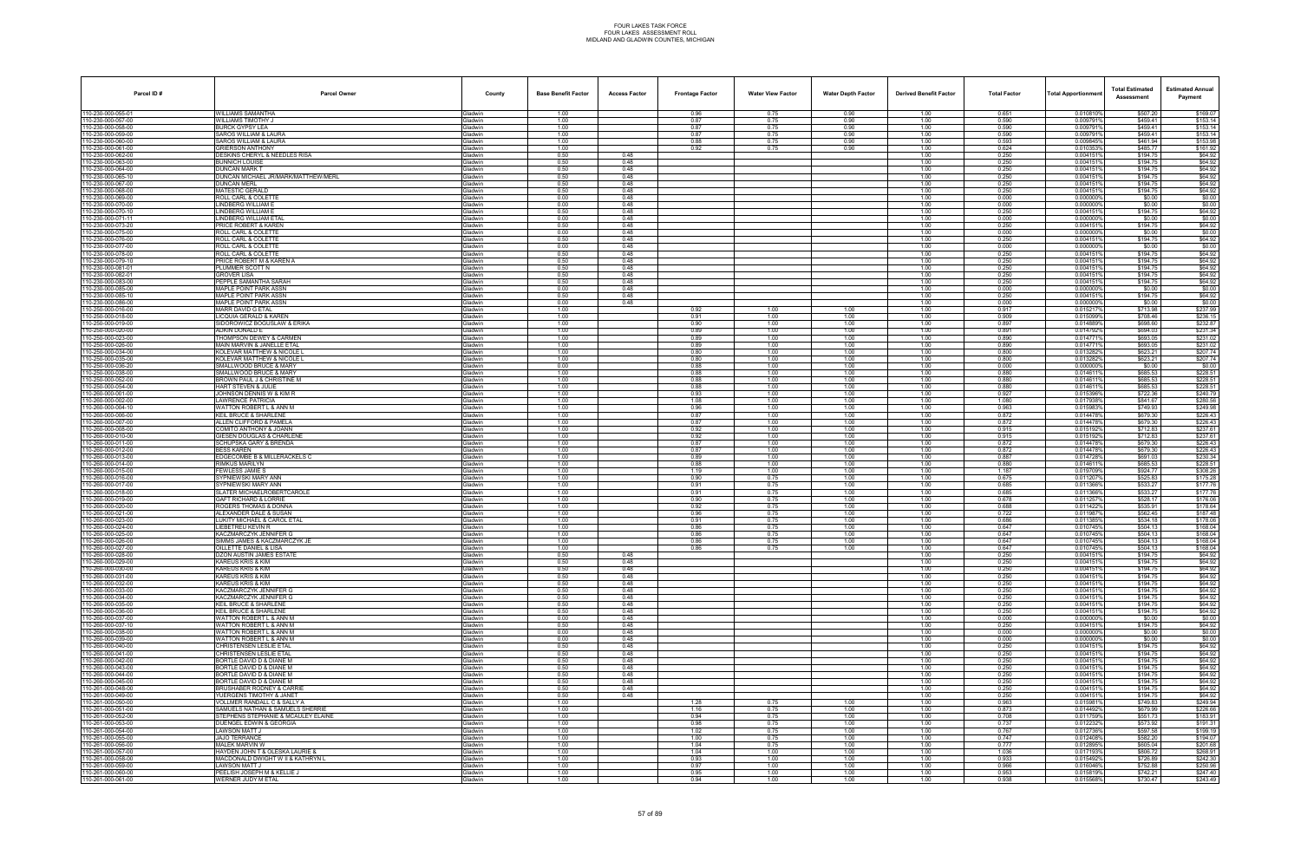| Parcel ID#                               | <b>Parcel Owner</b>                                         | County                           | <b>Base Benefit Factor</b> | <b>Access Factor</b> | <b>Frontage Factor</b> | <b>Water View Factor</b> | <b>Water Depth Factor</b> | <b>Derived Benefit Factor</b> | <b>Total Factor</b> | <b>Total Apportionmen</b> | <b>Total Estimated</b><br>Assessment | <b>Estimated Annual</b><br>Payment |
|------------------------------------------|-------------------------------------------------------------|----------------------------------|----------------------------|----------------------|------------------------|--------------------------|---------------------------|-------------------------------|---------------------|---------------------------|--------------------------------------|------------------------------------|
| 110-230-000-055-01                       | <b>WILLIAMS SAMANTHA</b>                                    | Gladwin                          | 1.00                       |                      | 0.96                   | 0.75                     | 0.90                      | 1.00                          | 0.651               | 0.010810%                 | \$507.20                             | \$169.07                           |
| 110-230-000-057-00                       | WILLIAMS TIMOTHY J                                          | <b>Gladwin</b>                   | 1.00                       |                      | 0.87                   | 0.75                     | 0.90                      | 1.00                          | 0.590               | 0.009791%                 | \$459.41                             | \$153.14                           |
| 110-230-000-058-00<br>110-230-000-059-00 | <b>BURCK GYPSY LEA</b><br>SAROS WILLIAM & LAURA             | 3ladwin<br><b>Gladwin</b>        | 1.00<br>1.00               |                      | 0.87<br>0.87           | 0.75<br>0.75             | 0.90<br>0.90              | 1.00<br>1.00                  | 0.590<br>0.590      | 0.009791<br>0.009791%     | \$459.41<br>\$459.41                 | \$153.14<br>\$153.14               |
| 110-230-000-060-00                       | SAROS WILLIAM & LAURA                                       | <b>Gladwin</b>                   | 1.00                       |                      | 0.88                   | 0.75                     | 0.90                      | 1.00                          | 0.593               | 0.009845%                 | \$461.94                             | \$153.98                           |
| 110-230-000-061-00                       | <b>GRIERSON ANTHONY</b>                                     | Gladwin                          | 1.00                       |                      | 0.92                   | 0.75                     | 0.90                      | 1.00                          | 0.624               | 0.0103539                 | \$485.77                             | \$161.92                           |
| 110-230-000-062-00                       | DESKINS CHERYL & NEEDLES RISA                               | Gladwin                          | 0.50                       | 0.48                 |                        |                          |                           | 1.00                          | 0.250               | 0.004151%                 | \$194.75                             | \$64.92                            |
| 110-230-000-063-00<br>110-230-000-064-00 | <b>BUNNICH LOUISE</b><br><b>DUNCAN MARK T</b>               | <b>Gladwin</b><br><b>Gladwin</b> | 0.50<br>0.50               | 0.48<br>0.48         |                        |                          |                           | 1.00<br>1.00                  | 0.250<br>0.250      | 0.004151<br>0.0041519     | \$194.75<br>\$194.75                 | \$64.92<br>\$64.92                 |
| 110-230-000-065-10                       | DUNCAN MICHAEL JR/MARK/MATTHEW/MERL                         | <b>Gladwin</b>                   | 0.50                       | 0.48                 |                        |                          |                           | 1.00                          | 0.250               | 0.0041519                 | \$194.75                             | \$64.92                            |
| 110-230-000-067-00                       | <b>DUNCAN MERL</b>                                          | <b>Gladwin</b>                   | 0.50                       | 0.48                 |                        |                          |                           | 1.00                          | 0.250               | 0.004151                  | \$194.75                             | \$64.92                            |
| 110-230-000-068-00                       | MATESTIC GERALD                                             | Gladwin                          | 0.50                       | 0.48                 |                        |                          |                           | 1.00                          | 0.250               | 0.0041519                 | \$194.75                             | \$64.92                            |
| 110-230-000-069-00<br>110-230-000-070-00 | <b>ROLL CARL &amp; COLETTE</b><br>LINDBERG WILLIAM E        | <b>Gladwin</b><br><b>Gladwin</b> | 0.00<br>0.00               | 0.48<br>0.48         |                        |                          |                           | 1.00<br>1.00                  | 0.000<br>0.000      | 0.0000009<br>0.000000%    | \$0.00<br>\$0.00                     | \$0.00<br>\$0.00                   |
| 110-230-000-070-10                       | <b>LINDBERG WILLIAM E</b>                                   | Gladwin                          | 0.50                       | 0.48                 |                        |                          |                           | 1.00                          | 0.250               | 0.0041519                 | \$194.75                             | \$64.92                            |
| 110-230-000-071-11                       | LINDBERG WILLIAM ETA                                        | Gladwin                          | 0.00                       | 0.48                 |                        |                          |                           | 1.00                          | 0.000               | 0.000000                  | \$0.00                               | \$0.00                             |
| 110-230-000-073-20                       | PRICE ROBERT & KAREN                                        | Gladwin                          | 0.50                       | 0.48                 |                        |                          |                           | 1.00                          | 0.250               | 0.0041519                 | \$194.75                             | \$64.92                            |
| 110-230-000-075-00<br>110-230-000-076-00 | <b>ROLL CARL &amp; COLETTE</b><br>ROLL CARL & COLETTE       | <b>Gladwin</b><br><b>Gladwin</b> | 0.00<br>0.50               | 0.48<br>0.48         |                        |                          |                           | 1.00<br>1.00                  | 0.000<br>0.250      | 0.0000009<br>0.0041519    | \$0.00<br>\$194.75                   | \$0.00<br>\$64.92                  |
| 110-230-000-077-00                       | <b>ROLL CARL &amp; COLETTE</b>                              | Gladwin                          | 0.00                       | 0.48                 |                        |                          |                           | 1.00                          | 0.000               | 0.000000%                 | \$0.00                               | \$0.00                             |
| 110-230-000-078-00                       | ROLL CARL & COLETTE                                         | Gladwin                          | 0.50                       | 0.48                 |                        |                          |                           | 1.00                          | 0.250               | 0.0041519                 | \$194.75                             | \$64.92                            |
| 110-230-000-079-10                       | PRICE ROBERT M & KAREN A                                    | Gladwin                          | 0.50                       | 0.48                 |                        |                          |                           | 1.00                          | 0.250               | 0.0041519                 | \$194.75                             | \$64.92                            |
| 110-230-000-081-01                       | PLUMMER SCOTT N                                             | <b>Gladwin</b>                   | 0.50                       | 0.48                 |                        |                          |                           | 1.00                          | 0.250               | 0.0041519                 | \$194.75                             | \$64.92                            |
| 110-230-000-082-01<br>110-230-000-083-00 | <b>GROVER LISA</b><br>PEPPLE SAMANTHA SARAH                 | <b>Gladwin</b><br>Gladwin        | 0.50<br>0.50               | 0.48<br>0.48         |                        |                          |                           | 1.00<br>1.00                  | 0.250<br>0.250      | 0.0041519<br>0.0041519    | \$194.75<br>\$194.75                 | \$64.92<br>\$64.92                 |
| 110-230-000-085-00                       | MAPLE POINT PARK ASSN                                       | Gladwin                          | 0.00                       | 0.48                 |                        |                          |                           | 1.00                          | 0.000               | 0.0000009                 | \$0.00                               | \$0.00                             |
| 110-230-000-085-10                       | <b>MAPLE POINT PARK ASSN</b>                                | Gladwin                          | 0.50                       | 0.48                 |                        |                          |                           | 1.00                          | 0.250               | 0.0041519                 | \$194.75                             | \$64.92                            |
| 110-230-000-086-00                       | <b>MAPLE POINT PARK ASSN</b>                                | Gladwin                          | 0.00                       | 0.48                 |                        |                          |                           | 1.00                          | 0.000               | 0.0000009                 | \$0.00                               | \$0.00                             |
| 110-250-000-016-00<br>110-250-000-018-00 | MARR DAVID G ETAL<br>LICQUIA GERALD & KAREN                 | <b>Sladwin</b><br>Gladwin        | 1.00<br>1.00               |                      | 0.92<br>0.91           | 1.00<br>1.00             | 1.00<br>1.00              | 1.00<br>1.00                  | 0.917<br>0.909      | 0.015217<br>0.015099%     | \$713.98<br>\$708.46                 | \$237.99<br>\$236.15               |
| 110-250-000-019-00                       | SIDOROWICZ BOGUSLAW & ERIKA                                 | Gladwin                          | 1.00                       |                      | 0.90                   | 1.00                     | 1.00                      | 1.00                          | 0.897               | 0.014889%                 | \$698.60                             | \$232.87                           |
| 110-250-000-020-00                       | ADKIN DONALD E                                              | Gladwin                          | 1.00                       |                      | 0.89                   | 1.00                     | 1.00                      | 1.00                          | 0.891               | 0.014792%                 | \$694.03                             | \$231.34                           |
| 110-250-000-023-00                       | THOMPSON DEWEY & CARMEN                                     | Gladwin                          | 1.00                       |                      | 0.89                   | 1.00                     | 1.00                      | 1.00                          | 0.890               | 0.0147719                 | \$693.05                             | \$231.02                           |
| 110-250-000-026-00<br>110-250-000-034-00 | MAIN MARVIN & JANELLE ETAL<br>KOLEVAR MATTHEW & NICOLE L    | <b>Gladwin</b><br>Gladwin        | 1.00<br>1.00               |                      | 0.89<br>0.80           | 1.00<br>1.00             | 1.00<br>1.00              | 1.00<br>1.00                  | 0.890<br>0.800      | 0.0147719<br>0.0132829    | \$693.05<br>\$623.21                 | \$231.02<br>\$207.74               |
| 110-250-000-035-00                       | KOLEVAR MATTHEW & NICOLE L                                  | Gladwin                          | 1.00                       |                      | 0.80                   | 1.00                     | 1.00                      | 1.00                          | 0.800               | 0.013282%                 | \$623.21                             | \$207.74                           |
| 110-250-000-036-20                       | SMALLWOOD BRUCE & MARY                                      | <b>Gladwin</b>                   | 0.00                       |                      | 0.88                   | 1.00                     | 1.00                      | 1.00                          | 0.000               | 0.0000009                 | \$0.00                               | \$0.00                             |
| 110-250-000-038-00                       | SMALLWOOD BRUCE & MARY                                      | <b>Gladwin</b>                   | 1.00                       |                      | 0.88                   | 1.00                     | 1.00                      | 1.00                          | 0.880               | 0.014611                  | \$685.53                             | \$228.51                           |
| 110-250-000-052-00<br>110-250-000-054-00 | BROWN PAUL J & CHRISTINE M<br>HART STEVEN & JULIE           | <b>Sladwin</b><br><b>Gladwin</b> | 1.00<br>1.00               |                      | 0.88<br>0.88           | 1.00<br>1.00             | 1.00<br>1.00              | 1.00<br>1.00                  | 0.880<br>0.880      | 0.0146119<br>0.0146119    | \$685.53<br>\$685.53                 | \$228.51<br>\$228.51               |
| 110-260-000-001-00                       | JOHNSON DENNIS W & KIM R                                    | Gladwin                          | 1.00                       |                      | 0.93                   | 1.00                     | 1.00                      | 1.00                          | 0.927               | 0.015396%                 | \$722.36                             | \$240.79                           |
| 110-260-000-002-00                       | <b>LAWRENCE PATRICIA</b>                                    | <b>Gladwin</b>                   | 1.00                       |                      | 1.08                   | 1.00                     | 1.00                      | 1.00                          | 1.080               | 0.017938%                 | \$841.67                             | \$280.56                           |
| 110-260-000-004-10                       | WATTON ROBERT L & ANN M                                     | <b>Gladwin</b>                   | 1.00                       |                      | 0.96                   | 1.00                     | 1.00                      | 1.00                          | 0.963               | 0.0159839                 | \$749.93                             | \$249.98                           |
| 110-260-000-006-00<br>110-260-000-007-00 | <b>KEIL BRUCE &amp; SHARLENE</b><br>ALLEN CLIFFORD & PAMELA | <b>Gladwin</b><br><b>Gladwin</b> | 1.00<br>1.00               |                      | 0.87<br>0.87           | 1.00<br>1.00             | 1.00<br>1.00              | 1.00<br>1.00                  | 0.872<br>0.872      | 0.014478%<br>0.014478%    | \$679.30<br>\$679.30                 | \$226.43<br>\$226.43               |
| 110-260-000-008-00                       | COMITO ANTHONY & JOANN                                      | Gladwin                          | 1.00                       |                      | 0.92                   | 1.00                     | 1.00                      | 1.00                          | 0.915               | 0.015192%                 | \$712.83                             | \$237.61                           |
| 110-260-000-010-00                       | GIESEN DOUGLAS & CHARLENE                                   | <b>Gladwin</b>                   | 1.00                       |                      | 0.92                   | 1.00                     | 1.00                      | 1.00                          | 0.915               | 0.0151929                 | \$712.83                             | \$237.61                           |
| 110-260-000-011-00                       | <b>SCHUPSKA GARY &amp; BRENDA</b>                           | <b>Gladwin</b>                   | 1.00                       |                      | 0.87                   | 1.00                     | 1.00                      | 1.00                          | 0.872               | 0.0144789                 | \$679.30                             | \$226.43                           |
| 110-260-000-012-00<br>110-260-000-013-00 | <b>BESS KAREN</b><br>EDGECOMBE B & MILLERACKELS C           | <b>Gladwin</b><br><b>Sladwin</b> | 1.00<br>1.00               |                      | 0.87<br>0.89           | 1.00<br>1.00             | 1.00<br>1.00              | 1.00<br>1.00                  | 0.872<br>0.887      | 0.014478%<br>0.014728%    | \$679.30<br>\$691.03                 | \$226.43<br>\$230.34               |
| 110-260-000-014-00                       | RIMKUS MARILYN                                              | <b>Gladwin</b>                   | 1.00                       |                      | 0.88                   | 1.00                     | 1.00                      | 1.00                          | 0.880               | 0.0146119                 | \$685.53                             | \$228.51                           |
| 110-260-000-015-00                       | <b>FEWLESS JAMIE S</b>                                      | <b>Gladwin</b>                   | 1.00                       |                      | 1.19                   | 1.00                     | 1.00                      | 1.00                          | 1.187               | 0.019709%                 | \$924.77                             | \$308.26                           |
| 110-260-000-016-00                       | SYPNIEWSKI MARY ANN                                         | <b>Gladwin</b>                   | 1.00                       |                      | 0.90                   | 0.75                     | 1.00                      | 1.00                          | 0.675               | 0.011207                  | \$525.83                             | \$175.28                           |
| 110-260-000-017-00<br>110-260-000-018-00 | SYPNIEWSKI MARY ANN<br>SLATER MICHAELROBERTCAROLE           | <b>Gladwin</b><br>Gladwin        | 1.00<br>1.00               |                      | 0.91<br>0.91           | 0.75<br>0.75             | 1.00<br>1.00              | 1.00<br>1.00                  | 0.685<br>0.685      | 0.011366%<br>0.011366%    | \$533.27<br>\$533.27                 | \$177.76<br>\$177.76               |
| 110-260-000-019-00                       | <b>GAFT RICHARD &amp; LORRIE</b>                            | <b>Gladwin</b>                   | 1.00                       |                      | 0.90                   | 0.75                     | 1.00                      | 1.00                          | 0.678               | 0.011257                  | \$528.17                             | \$176.06                           |
| 110-260-000-020-00                       | ROGERS THOMAS & DONNA                                       | Gladwin                          | 1.00                       |                      | 0.92                   | 0.75                     | 1.00                      | 1.00                          | 0.688               | 0.011422%                 | \$535.91                             | \$178.64                           |
| 110-260-000-021-00                       | ALEXANDER DALE & SUSAN                                      | <b>Gladwin</b>                   | 1.00                       |                      | 0.96                   | 0.75                     | 1.00                      | 1.00                          | 0.722               | 0.011987                  | \$562.45                             | \$187.48                           |
| 110-260-000-023-00<br>110-260-000-024-00 | LUKITY MICHAEL & CAROL ETAL<br><b>LIEBETREU KEVIN R</b>     | <b>Gladwin</b><br>Gladwin        | 1.00<br>1.00               |                      | 0.91<br>0.86           | 0.75<br>0.75             | 1.00<br>1.00              | 1.00<br>1.00                  | 0.686<br>0.647      | 0.011385%<br>0.010745%    | \$534.18<br>\$504.13                 | \$178.06<br>\$168.04               |
| 110-260-000-025-00                       | KACZMARCZYK JENNIFER G                                      | <b>Gladwin</b>                   | 1.00                       |                      | 0.86                   | 0.75                     | 1.00                      | 1.00                          | 0.647               | 0.0107459                 | \$504.13                             | \$168.04                           |
| 110-260-000-026-00                       | SIMMS JAMES & KACZMARCZYK JE                                | Gladwin                          | 1.00                       |                      | 0.86                   | 0.75                     | 1.00                      | 1.00                          | 0.647               | 0.010745%                 | \$504.13                             | \$168.04                           |
| 110-260-000-027-00                       | OILLETTE DANIEL & LISA                                      | <b>Gladwin</b>                   | 1.00                       |                      | 0.86                   | 0.75                     | 1.00                      | 1.00                          | 0.647               | 0.010745%                 | \$504.13                             | \$168.04                           |
| 110-260-000-028-00<br>110-260-000-029-00 | DZON AUSTIN JAMES ESTATE<br><b>KAREUS KRIS &amp; KIM</b>    | Gladwin<br>Gladwin               | 0.50<br>0.50               | 0.48<br>0.48         |                        |                          |                           | 1.00<br>1.00                  | 0.250<br>0.250      | 0.004151%<br>0.004151%    | \$194.75<br>\$194.75                 | \$64.92<br>\$64.92                 |
| 110-260-000-030-00                       | KAREUS KRIS & KIM                                           | Gladwin                          | 0.50                       | 0.48                 |                        |                          |                           | 1.00                          | 0.250               | 0.0041519                 | \$194.75                             | \$64.92                            |
| 110-260-000-031-00                       | <b>KAREUS KRIS &amp; KIM</b>                                | Gladwin                          | 0.50                       | 0.48                 |                        |                          |                           | 1.00                          | 0.250               | 0.0041519                 | \$194.75                             | \$64.92                            |
| 110-260-000-032-00                       | <b>KAREUS KRIS &amp; KIM</b>                                | Gladwin                          | 0.50                       | 0.48                 |                        |                          |                           | 1.00                          | 0.250               | 0.0041519                 | \$194.75                             | \$64.92                            |
| 110-260-000-033-00<br>110-260-000-034-00 | KACZMARCZYK JENNIFER G<br>KACZMARCZYK JENNIFER G            | <b>Gladwin</b><br>Gladwin        | 0.50<br>0.50               | 0.48<br>0.48         |                        |                          |                           | 1.00<br>1.00                  | 0.250<br>0.250      | 0.0041519<br>0.0041519    | \$194.75<br>\$194.75                 | \$64.92<br>\$64.92                 |
| 110-260-000-035-00                       | <b>KEIL BRUCE &amp; SHARLENE</b>                            | Gladwin                          | 0.50                       | 0.48                 |                        |                          |                           | 1.00                          | 0.250               | 0.004151%                 | \$194.75                             | \$64.92                            |
| 110-260-000-036-00                       | <b>KEIL BRUCE &amp; SHARLENE</b>                            | Gladwin                          | 0.50                       | 0.48                 |                        |                          |                           | 1.00                          | 0.250               | 0.0041519                 | \$194.75                             | \$64.92                            |
| 110-260-000-037-00                       | WATTON ROBERT L & ANN M                                     | Gladwin                          | 0.00                       | 0.48                 |                        |                          |                           | 1.00                          | 0.000               | 0.000000%                 | \$0.00                               | \$0.00                             |
| 110-260-000-037-10<br>110-260-000-038-00 | WATTON ROBERT L & ANN M<br>WATTON ROBERT L & ANN M          | <b>Gladwin</b><br>Gladwin        | 0.50<br>0.00               | 0.48<br>0.48         |                        |                          |                           | 1.00<br>1.00                  | 0.250<br>0.000      | 0.004151%<br>0.000000%    | \$194.75<br>\$0.00                   | \$64.92<br>\$0.00                  |
| 110-260-000-039-00                       | WATTON ROBERT L & ANN M                                     | Gladwin                          | 0.00                       | 0.48                 |                        |                          |                           | 1.00                          | 0.000               | 0.000000%                 | \$0.00                               | \$0.00                             |
| 110-260-000-040-00                       | CHRISTENSEN LESLIE ETAL                                     | Gladwin                          | 0.50                       | 0.48                 |                        |                          |                           | 1.00                          | 0.250               | 0.0041519                 | \$194.75                             | \$64.92                            |
| 110-260-000-041-00                       | CHRISTENSEN LESLIE ETAL                                     | Gladwin                          | 0.50                       | 0.48                 |                        |                          |                           | 1.00                          | 0.250               | 0.0041519                 | \$194.75                             | \$64.92                            |
| 110-260-000-042-00<br>110-260-000-043-00 | BORTLE DAVID D & DIANE M<br>BORTLE DAVID D & DIANE M        | <b>Gladwin</b><br><b>Gladwin</b> | 0.50<br>0.50               | 0.48<br>0.48         |                        |                          |                           | 1.00<br>1.00                  | 0.250<br>0.250      | 0.004151%<br>0.0041519    | \$194.75<br>\$194.75                 | \$64.92<br>\$64.92                 |
| 110-260-000-044-00                       | BORTLE DAVID D & DIANE M                                    | Gladwin                          | 0.50                       | 0.48                 |                        |                          |                           | 1.00                          | 0.250               | 0.004151%                 | \$194.75                             | \$64.92                            |
| 110-260-000-045-00                       | BORTLE DAVID D & DIANE M                                    | <b>Gladwin</b>                   | 0.50                       | 0.48                 |                        |                          |                           | 1.00                          | 0.250               | 0.0041519                 | \$194.75                             | \$64.92                            |
| 110-261-000-048-00                       | BRUSHABER RODNEY & CARRIE                                   | Gladwin                          | 0.50                       | 0.48                 |                        |                          |                           | 1.00                          | 0.250               | 0.0041519                 | \$194.75                             | \$64.92                            |
| 110-261-000-049-00<br>110-261-000-050-00 | YUERGENS TIMOTHY & JANET<br>VOLLMER RANDALL C & SALLY A     | <b>Gladwin</b><br><b>Gladwin</b> | 0.50<br>1.00               | 0.48                 | 1.28                   | 0.75                     | 1.00                      | 1.00<br>1.00                  | 0.250<br>0.963      | 0.004151%<br>0.015981%    | \$194.75<br>\$749.83                 | \$64.92<br>\$249.94                |
| 110-261-000-051-00                       | SAMUELS NATHAN & SAMUELS SHERRIE                            | Gladwin                          | 1.00                       |                      | 1.16                   | 0.75                     | 1.00                      | 1.00                          | 0.873               | 0.014492%                 | \$679.99                             | \$226.66                           |
| 110-261-000-052-00                       | STEPHENS STEPHANIE & MCAULEY ELAINE                         | <b>Gladwin</b>                   | 1.00                       |                      | 0.94                   | 0.75                     | 1.00                      | 1.00                          | 0.708               | 0.011759%                 | \$551.73                             | \$183.91                           |
| 110-261-000-053-00                       | DUENGEL EDWIN & GEORGIA                                     | <b>Gladwin</b>                   | 1.00                       |                      | 0.98                   | 0.75                     | 1.00                      | 1.00                          | 0.737               | 0.012232%                 | \$573.92                             | \$191.31                           |
| 110-261-000-054-00<br>110-261-000-055-00 | LAWSON MATT J<br><b>JAJO TERRANCE</b>                       | <b>Gladwin</b><br><b>Gladwin</b> | 1.00<br>1.00               |                      | 1.02<br>1.00           | 0.75<br>0.75             | 1.00<br>1.00              | 1.00<br>1.00                  | 0.767<br>0.747      | 0.012736%<br>0.012408%    | \$597.58<br>\$582.20                 | \$199.19<br>\$194.07               |
| 110-261-000-056-00                       | <b>MALEK MARVIN W</b>                                       | Gladwin                          | 1.00                       |                      | 1.04                   | 0.75                     | 1.00                      | 1.00                          | 0.777               | 0.012895%                 | \$605.04                             | \$201.68                           |
| 110-261-000-057-00                       | HAYDEN JOHN T & OLESKA LAURIE &                             | <b>Gladwin</b>                   | 1.00                       |                      | 1.04                   | 1.00                     | 1.00                      | 1.00                          | 1.036               | 0.017193%                 | \$806.72                             | \$268.91                           |
| 110-261-000-058-00                       | MACDONALD DWIGHT W II & KATHRYN L                           | <b>Gladwin</b>                   | 1.00                       |                      | 0.93                   | 1.00                     | 1.00                      | 1.00                          | 0.933               | 0.015492%                 | \$726.89                             | \$242.30                           |
| 110-261-000-059-00<br>110-261-000-060-00 | <b>LAWSON MATT J</b><br>PEELISH JOSEPH M & KELLIE J         | <b>Gladwin</b><br><b>Gladwin</b> | 1.00<br>1.00               |                      | 0.97<br>0.95           | 1.00<br>1.00             | 1.00<br>1.00              | 1.00<br>1.00                  | 0.966<br>0.953      | 0.016046%<br>0.015819%    | \$752.88<br>\$742.21                 | \$250.96<br>\$247.40               |
| 110-261-000-061-00                       | WERNER JUDY M ETAL                                          | Gladwin                          | 1.00                       |                      | 0.94                   | 1.00                     | 1.00                      | 1.00                          | 0.938               | 0.015568%                 | \$730.47                             | \$243.49                           |
|                                          |                                                             |                                  |                            |                      |                        |                          |                           |                               |                     |                           |                                      |                                    |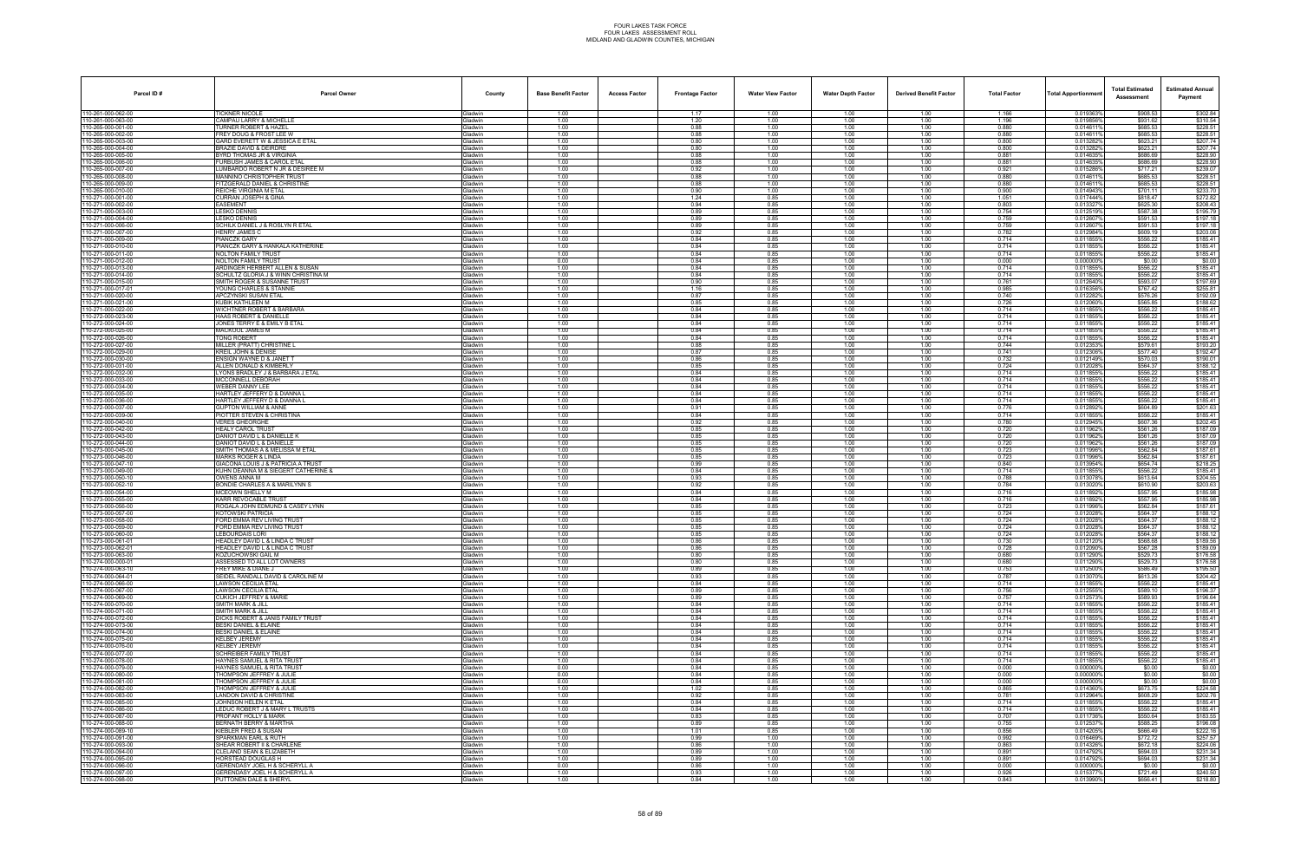| Parcel ID#                             | <b>Parcel Owner</b>                                                                 | County                           | <b>Base Benefit Factor</b> | <b>Access Factor</b> | <b>Frontage Factor</b> | <b>Water View Factor</b> | <b>Water Depth Factor</b> | <b>Derived Benefit Factor</b> | <b>Total Factor</b> | Total Apportionmer     | <b>Total Estimated</b><br>Assessment | <b>Estimated Annual</b><br>Payment |
|----------------------------------------|-------------------------------------------------------------------------------------|----------------------------------|----------------------------|----------------------|------------------------|--------------------------|---------------------------|-------------------------------|---------------------|------------------------|--------------------------------------|------------------------------------|
| 110-261-000-062-00                     | <b>TICKNER NICOLE</b>                                                               | Gladwin                          | 1.00                       |                      | 1.17                   | 1.00                     | 1.00                      | 1.00                          | 1.166               | 0.019363%              | \$908.53                             | \$302.84                           |
| 10-261-000-063-00                      | CAMPAU LARRY & MICHELLE                                                             | Gladwin                          | 1.00                       |                      | 1.20                   | 1.00                     | 1.00                      | 1.00                          | 1.196               | 0.019856%              | \$931.62                             | \$310.54                           |
| 10-265-000-001-00<br>10-265-000-002-00 | <b>TURNER ROBERT &amp; HAZEL</b><br>FREY DOUG & FROST LEE W                         | <b>Gladwin</b><br>Gladwin        | 1.00<br>1.00               |                      | 0.88<br>0.88           | 1.00<br>1.00             | 1.00<br>1.00              | 1.00<br>1.00                  | 0.880<br>0.880      | 0.0146119<br>0.0146119 | \$685.53<br>\$685.53                 | \$228.51<br>\$228.51               |
| 10-265-000-003-00                      | GARD EVERETT W & JESSICA E ETAL                                                     | Gladwin                          | 1.00                       |                      | 0.80                   | 1.00                     | 1.00                      | 1.00                          | 0.800               | 0.013282%              | \$623.21                             | \$207.74                           |
| 10-265-000-004-00                      | <b>BRAZIE DAVID &amp; DEIRDRE</b>                                                   | Gladwin                          | 1.00                       |                      | 0.80                   | 1.00                     | 1.00                      | 1.00                          | 0.800               | 0.0132829              | \$623.21                             | \$207.74                           |
| 10-265-000-005-00<br>0-265-000-006-00  | BYRD THOMAS JR & VIRGINIA<br>URBUSH JAMES & CAROL ETAL                              | Gladwin<br><b>Gladwin</b>        | 1.00<br>1.00               |                      | 0.88<br>0.88           | 1.00<br>1.00             | 1.00<br>1.00              | 1.00<br>1.00                  | 0.881<br>0.881      | 0.014635%<br>0.014635% | \$686.69<br>\$686.69                 | \$228.90<br>\$228.90               |
| 10-265-000-007-00                      | UMBARDO ROBERT N JR & DESIREE M                                                     | Gladwin                          | 1.00                       |                      | 0.92                   | 1.00                     | 1.00                      | 1.00                          | 0.921               | 0.015286%              | \$717.21                             | \$239.07                           |
| 10-265-000-008-00                      | MANNINO CHRISTOPHER TRUST                                                           | Gladwin                          | 1.00                       |                      | 0.88                   | 1.00                     | 1.00                      | 1.00                          | 0.880               | 0.0146119              | \$685.53                             | \$228.51                           |
| 10-265-000-009-00<br>10-265-000-010-00 | <b>FITZGERALD DANIEL &amp; CHRISTINE</b><br>REICHE VIRGINIA M ETAL                  | <b>Gladwin</b><br>Gladwin        | 1.00<br>1.00               |                      | 0.88<br>0.90           | 1.00<br>1.00             | 1.00<br>1.00              | 1.00<br>1.00                  | 0.880<br>0.900      | 0.0146119<br>0.014943% | \$685.53<br>\$701.11                 | \$228.51<br>\$233.70               |
| 10-271-000-001-00                      | URRAN JOSEPH & GINA                                                                 | <b>Gladwin</b>                   | 1.00                       |                      | 1.24                   | 0.85                     | 1.00                      | 1.00                          | 1.051               | 0.017444%              | \$818.47                             | \$272.82                           |
| 10-271-000-002-00                      | EASEMENT                                                                            | Gladwin                          | 1.00                       |                      | 0.94                   | 0.85                     | 1.00                      | 1.00                          | 0.803               | 0.0133279              | \$625.30                             | \$208.43                           |
| 10-271-000-003-00<br>10-271-000-004-00 | LESKO DENNIS<br><b>ESKO DENNIS</b>                                                  | Gladwin<br>Gladwin               | 1.00<br>1.00               |                      | 0.89<br>0.89           | 0.85<br>0.85             | 1.00<br>1.00              | 1.00<br>1.00                  | 0.754<br>0.759      | 0.0125199<br>0.0126079 | \$587.38<br>\$591.53                 | \$195.79<br>\$197.18               |
| 10-271-000-006-00                      | SCHILK DANIEL J & ROSLYN R ETAL                                                     | Gladwin                          | 1.00                       |                      | 0.89                   | 0.85                     | 1.00                      | 1.00                          | 0.759               | 0.012607%              | \$591.53                             | \$197.18                           |
| 10-271-000-007-00                      | <b>IENRY JAMES C</b>                                                                | <b>Gladwin</b>                   | 1.00                       |                      | 0.92                   | 0.85                     | 1.00                      | 1.00                          | 0.782               | 0.012984%              | \$609.19                             | \$203.06                           |
| 10-271-000-009-00                      | PIANCZK GARY                                                                        | Gladwin                          | 1.00                       |                      | 0.84                   | 0.85                     | 1.00                      | 1.00                          | 0.714               | 0.011855%              | \$556.22                             | \$185.41                           |
| 10-271-000-010-00<br>10-271-000-011-00 | PIANCZK GARY & HANKALA KATHERINE<br><b>NOLTON FAMILY TRUST</b>                      | Gladwin<br>Gladwin               | 1.00<br>1.00               |                      | 0.84<br>0.84           | 0.85<br>0.85             | 1.00<br>1.00              | 1.00<br>1.00                  | 0.714<br>0.714      | 0.011855%<br>0.011855% | \$556.22<br>\$556.22                 | \$185.41<br>\$185.41               |
| 10-271-000-012-00                      | NOLTON FAMILY TRUST                                                                 | Gladwin                          | 0.00                       |                      | 0.84                   | 0.85                     | 1.00                      | 1.00                          | 0.000               | 0.000000%              | \$0.00                               | \$0.00                             |
| 10-271-000-013-00                      | ARDINGER HERBERT ALLEN & SUSAN                                                      | <b>Gladwin</b>                   | 1.00                       |                      | 0.84                   | 0.85                     | 1.00                      | 1.00                          | 0.714               | 0.011855%              | \$556.22                             | \$185.41                           |
| 10-271-000-014-00<br>10-271-000-015-00 | SCHULTZ GLORIA J & WINN CHRISTINA M<br>SMITH ROGER & SUSANNE TRUST                  | <b>Gladwin</b><br>Gladwin        | 1.00<br>1.00               |                      | 0.84<br>0.90           | 0.85<br>0.85             | 1.00<br>1.00              | 1.00<br>1.00                  | 0.714<br>0.761      | 0.011855%<br>0.012640% | \$556.22<br>\$593.07                 | \$185.41<br>\$197.69               |
| 10-271-000-017-01                      | YOUNG CHARLES & STANNIE                                                             | Gladwin                          | 1.00                       |                      | 1.16                   | 0.85                     | 1.00                      | 1.00                          | 0.985               | 0.016356%              | \$767.42                             | \$255.81                           |
| 10-271-000-020-00                      | APCZYNSKI SUSAN ETAL                                                                | <b>Gladwin</b>                   | 1.00                       |                      | 0.87                   | 0.85                     | 1.00                      | 1.00                          | 0.740               | 0.0122829              | \$576.26                             | \$192.09                           |
| 10-271-000-021-00                      | UBIK KATHLEEN M                                                                     | <b>Jadwin</b>                    | 1.00                       |                      | 0.85                   | 0.85                     | 1.00                      | 1.00                          | 0.726               | 0.012060%              | \$565.85                             | \$188.62                           |
| 10-271-000-022-00<br>10-272-000-023-00 | <b><i>NICHTNER ROBERT &amp; BARBARA</i></b><br>HAAS ROBERT & DANIELLE               | Gladwin<br>Gladwin               | 1.00<br>1.00               |                      | 0.84<br>0.84           | 0.85<br>0.85             | 1.00<br>1.00              | 1.00<br>1.00                  | 0.714<br>0.714      | 0.011855%<br>0.0118559 | \$556.22<br>\$556.22                 | \$185.41<br>\$185.41               |
| 10-272-000-024-00                      | JONES TERRY E & EMILY B ETAL                                                        | Gladwin                          | 1.00                       |                      | 0.84                   | 0.85                     | 1.00                      | 1.00                          | 0.714               | 0.011855%              | \$556.22                             | \$185.41                           |
| 10-272-000-025-00                      | MACKOOL JAMES M                                                                     | Gladwin                          | 1.00                       |                      | 0.84                   | 0.85                     | 1.00                      | 1.00                          | 0.714               | 0.011855%              | \$556.22                             | \$185.41                           |
| 10-272-000-026-00<br>10-272-000-027-00 | <b>ONG ROBERT</b><br>MILLER (PRATT) CHRISTINE                                       | <b>Gladwin</b><br><b>Gladwin</b> | 1.00<br>1.00               |                      | 0.84<br>0.88           | 0.85<br>0.85             | 1.00<br>1.00              | 1.00<br>1.00                  | 0.714<br>0.744      | 0.011855%<br>0.012353% | \$556.22<br>\$579.61                 | \$185.41<br>\$193.20               |
| 10-272-000-029-00                      | KREIL JOHN & DENISE                                                                 | Gladwin                          | 1.00                       |                      | 0.87                   | 0.85                     | 1.00                      | 1.00                          | 0.741               | 0.012306%              | \$577.40                             | \$192.47                           |
| 10-272-000-030-00                      | ENSIGN WAYNE D & JANET T                                                            | Gladwin                          | 1.00                       |                      | 0.86                   | 0.85                     | 1.00                      | 1.00                          | 0.732               | 0.012149%              | \$570.03                             | \$190.01                           |
| 10-272-000-031-00                      | ALLEN DONALD & KIMBERLY                                                             | <b>Gladwin</b>                   | 1.00                       |                      | 0.85                   | 0.85                     | 1.00                      | 1.00                          | 0.724               | 0.0120289              | \$564.37                             | \$188.12                           |
| 10-272-000-032-00<br>10-272-000-033-00 | YONS BRADLEY J & BARBARA J ETAL<br>MCCONNELL DEBORAH                                | iladwin<br><b>Gladwin</b>        | 1.00<br>1.00               |                      | 0.84<br>0.84           | 0.85<br>0.85             | 1.00<br>1.00              | 1.00<br>1.00                  | 0.714<br>0.714      | 0.011855%<br>0.011855% | \$556.22<br>\$556.22                 | \$185.41<br>\$185.41               |
| 10-272-000-034-00                      | <b>WEBER DANNY LEE</b>                                                              | Gladwin                          | 1.00                       |                      | 0.84                   | 0.85                     | 1.00                      | 1.00                          | 0.714               | 0.0118559              | \$556.22                             | \$185.41                           |
| 10-272-000-035-00                      | HARTLEY JEFFERY D & DIANNA L                                                        | Gladwin                          | 1.00                       |                      | 0.84                   | 0.85                     | 1.00                      | 1.00                          | 0.714               | 0.011855%              | \$556.22                             | \$185.41                           |
| 10-272-000-036-00<br>10-272-000-037-00 | HARTLEY JEFFERY D & DIANNA L<br><b>SUPTON WILLIAM &amp; ANNE</b>                    | <b>Gladwin</b><br><b>Gladwin</b> | 1.00<br>1.00               |                      | 0.84<br>0.91           | 0.85<br>0.85             | 1.00<br>1.00              | 1.00<br>1.00                  | 0.714<br>0.776      | 0.0118559<br>0.012892% | \$556.22<br>\$604.89                 | \$185.41<br>\$201.63               |
| 10-272-000-039-00                      | PIOTTER STEVEN & CHRISTINA                                                          | <b>Gladwin</b>                   | 1.00                       |                      | 0.84                   | 0.85                     | 1.00                      | 1.00                          | 0.714               | 0.011855%              | \$556.22                             | \$185.41                           |
| 10-272-000-040-00                      | VERES GHEORGHE                                                                      | Gladwin                          | 1.00                       |                      | 0.92                   | 0.85                     | 1.00                      | 1.00                          | 0.780               | 0.012945%              | \$607.36                             | \$202.45                           |
| 10-272-000-042-00                      | <b>HEALY CAROL TRUST</b>                                                            | Gladwin                          | 1.00<br>1.00               |                      | 0.85<br>0.85           | 0.85<br>0.85             | 1.00<br>1.00              | 1.00<br>1.00                  | 0.720<br>0.720      | 0.011962%<br>0.0119629 | \$561.26                             | \$187.09<br>\$187.09               |
| 10-272-000-043-00<br>10-272-000-044-00 | )ANIOT DAVID L & DANIELLE K<br>ANIOT DAVID L & DANIELLE                             | <b>Gladwin</b><br>iladwin        | 1.00                       |                      | 0.85                   | 0.85                     | 1.00                      | 1.00                          | 0.720               | 0.011962%              | \$561.26<br>\$561.26                 | \$187.09                           |
| 10-273-000-045-00                      | SMITH THOMAS A & MELISSA M ETAL                                                     | <b>Gladwin</b>                   | 1.00                       |                      | 0.85                   | 0.85                     | 1.00                      | 1.00                          | 0.723               | 0.011996%              | \$562.84                             | \$187.61                           |
| 10-273-000-046-00                      | MARKS ROGER & LINDA                                                                 | Gladwin                          | 1.00                       |                      | 0.85                   | 0.85                     | 1.00                      | 1.00                          | 0.723               | 0.011996%              | \$562.84                             | \$187.61                           |
| 10-273-000-047-10<br>10-273-000-049-00 | <b>GIACONA LOUIS J &amp; PATRICIA A TRUST</b><br>UHN DEANNA M & SIEGERT CATHERINE 8 | Gladwin<br><b>Gladwin</b>        | 1.00<br>1.00               |                      | 0.99<br>0.84           | 0.85<br>0.85             | 1.00<br>1.00              | 1.00<br>1.00                  | 0.840<br>0.714      | 0.013954%<br>0.0118559 | \$654.74<br>\$556.22                 | \$218.25<br>\$185.41               |
| 10-273-000-050-10                      | <b>JWENS ANNA M</b>                                                                 | <b>Gladwin</b>                   | 1.00                       |                      | 0.93                   | 0.85                     | 1.00                      | 1.00                          | 0.788               | 0.013078%              | \$613.64                             | \$204.55                           |
| 10-273-000-052-10                      | BONDIE CHARLES A & MARILYNN S                                                       | Gladwin                          | 1.00                       |                      | 0.92                   | 0.85                     | 1.00                      | 1.00                          | 0.784               | 0.013020%              | \$610.90                             | \$203.63                           |
| 10-273-000-054-00<br>10-273-000-055-00 | MCEOWN SHELLY M<br>KARR REVOCABLE TRUST                                             | Gladwin<br>Gladwin               | 1.00<br>1.00               |                      | 0.84<br>0.84           | 0.85<br>0.85             | 1.00<br>1.00              | 1.00<br>1.00                  | 0.716<br>0.716      | 0.0118929<br>0.011892% | \$557.95<br>\$557.95                 | \$185.98<br>\$185.98               |
| 10-273-000-056-00                      | ROGALA JOHN EDMUND & CASEY LYNN                                                     | <b>Gladwin</b>                   | 1.00                       |                      | 0.85                   | 0.85                     | 1.00                      | 1.00                          | 0.723               | 0.011996%              | \$562.84                             | \$187.61                           |
| 10-273-000-057-00                      | (OTOWSKI PATRICIA                                                                   | <b>Gladwin</b>                   | 1.00                       |                      | 0.85                   | 0.85                     | 1.00                      | 1.00                          | 0.724               | 0.0120289              | \$564.37                             | \$188.12                           |
| 10-273-000-058-00                      | FORD EMMA REV LIVING TRUST                                                          | <b>Gladwin</b>                   | 1.00                       |                      | 0.85                   | 0.85                     | 1.00                      | 1.00                          | 0.724               | 0.012028%              | \$564.37                             | \$188.12                           |
| 10-273-000-059-00<br>10-273-000-060-00 | FORD EMMA REV LIVING TRUST<br><b>EBOURDAIS LORI</b>                                 | <b>Gladwin</b><br>Gladwin        | 1.00<br>1.00               |                      | 0.85<br>0.85           | 0.85<br>0.85             | 1.00<br>1.00              | 1.00<br>1.00                  | 0.724<br>0.724      | 0.012028<br>0.012028%  | \$564.37<br>\$564.37                 | \$188.12<br>\$188.12               |
| 10-273-000-061-01                      | HEADLEY DAVID L & LINDA C TRUST                                                     | <b>Jadwin</b>                    | 1.00                       |                      | 0.86                   | 0.85                     | 1.00                      | 1.00                          | 0.730               | 0.0121209              | \$568.68                             | \$189.56                           |
| 110-273-000-062-01                     | HEADLEY DAVID L & LINDA C TRUST                                                     | <b>i</b> ladwin                  | 1.00                       |                      | 0.86                   | 0.85                     | 1.00                      | 1.00                          | 0.728               | 0.012090%              | \$567.28                             | \$189.09                           |
| 10-273-000-063-00<br>10-274-000-000-01 | KOZUCHOWSKI GAIL M<br>ASSESSED TO ALL LOT OWNERS                                    | Gladwin<br><b>Gladwin</b>        | 1.00<br>1.00               |                      | 0.80<br>0.80           | 0.85<br>0.85             | 1.00<br>1.00              | 1.00<br>1.00                  | 0.680<br>0.680      | 0.011290%<br>0.011290% | \$529.73<br>\$529.73                 | \$176.58<br>\$176.58               |
| 10-274-000-063-10                      | FREY MIKE & DIANE J                                                                 | Gladwin                          | 1.00                       |                      | 0.89                   | 0.85                     | 1.00                      | 1.00                          | 0.753               | 0.012500%              | \$586.49                             | \$195.50                           |
| 10-274-000-064-01                      | SEIDEL RANDALL DAVID & CAROLINE M                                                   | <b>Gladwin</b>                   | 1.00                       |                      | 0.93                   | 0.85                     | 1.00                      | 1.00                          | 0.787               | 0.0130709              | \$613.26                             | \$204.42                           |
| 10-274-000-066-00<br>10-274-000-067-00 | <b>AWSON CECILIA ETAL</b><br><b>LAWSON CECILIA ETAL</b>                             | <b>Gladwin</b><br>Gladwin        | 1.00<br>1.00               |                      | 0.84<br>0.89           | 0.85<br>0.85             | 1.00<br>1.00              | 1.00                          | 0.714<br>0.756      | 0.0118559<br>0.012555% | \$556.22<br>\$589.10                 | \$185.41<br>\$196.37               |
| 10-274-000-069-00                      | CUKICH JEFFREY & MARIE                                                              | Gladwin                          | 1.00                       |                      | 0.89                   | 0.85                     | 1.00                      | 1.00<br>1.00                  | 0.757               | 0.0125739              | \$589.93                             | \$196.64                           |
| 10-274-000-070-00                      | SMITH MARK & JILL                                                                   | Gladwin                          | 1.00                       |                      | 0.84                   | 0.85                     | 1.00                      | 1.00                          | 0.714               | 0.011855%              | \$556.22                             | \$185.41                           |
| 10-274-000-071-00                      | SMITH MARK & JILL                                                                   | <b>Gladwin</b>                   | 1.00                       |                      | 0.84                   | 0.85                     | 1.00                      | 1.00                          | 0.714               | 0.011855%              | \$556.22                             | \$185.41                           |
| 10-274-000-072-00<br>10-274-000-073-00 | <b>DICKS ROBERT &amp; JANIS FAMILY TRUST</b><br>BESKI DANIEL & ELAINE               | <b>Gladwin</b><br>Gladwin        | 1.00<br>1.00               |                      | 0.84<br>0.84           | 0.85<br>0.85             | 1.00<br>1.00              | 1.00<br>1.00                  | 0.714<br>0.714      | 0.0118559<br>0.011855% | \$556.22<br>\$556.22                 | \$185.41<br>\$185.41               |
| 10-274-000-074-00                      | <b>BESKI DANIEL &amp; ELAINE</b>                                                    | Gladwin                          | 1.00                       |                      | 0.84                   | 0.85                     | 1.00                      | 1.00                          | 0.714               | 0.011855%              | \$556.22                             | \$185.41                           |
| 10-274-000-075-00                      | <b>KELBEY JEREMY</b>                                                                | Gladwin                          | 1.00                       |                      | 0.84                   | 0.85                     | 1.00                      | 1.00                          | 0.714               | 0.011855%              | \$556.22                             | \$185.41                           |
| 10-274-000-076-00<br>10-274-000-077-00 | KELBEY JEREMY<br>SCHREIBER FAMILY TRUST                                             | <b>Gladwin</b><br><b>Gladwin</b> | 1.00<br>1.00               |                      | 0.84<br>0.84           | 0.85<br>0.85             | 1.00<br>1.00              | 1.00<br>1.00                  | 0.714<br>0.714      | 0.0118559<br>0.0118559 | \$556.22<br>\$556.22                 | \$185.41<br>\$185.41               |
| 10-274-000-078-00                      | HAYNES SAMUEL & RITA TRUST                                                          | Gladwin                          | 1.00                       |                      | 0.84                   | 0.85                     | 1.00                      | 1.00                          | 0.714               | 0.011855%              | \$556.22                             | \$185.41                           |
| 10-274-000-079-00                      | <b>HAYNES SAMUEL &amp; RITA TRUST</b>                                               | Gladwin                          | 0.00                       |                      | 0.84                   | 0.85                     | 1.00                      | 1.00                          | 0.000               | 0.000000%              | \$0.00                               | \$0.00                             |
| 10-274-000-080-00                      | THOMPSON JEFFREY & JULIE                                                            | Gladwin                          | 0.00                       |                      | 0.84                   | 0.85                     | 1.00                      | 1.00                          | 0.000               | 0.000000%              | \$0.00                               | \$0.00                             |
| 10-274-000-081-00<br>10-274-000-082-00 | THOMPSON JEFFREY & JULIE<br>THOMPSON JEFFREY & JULIE                                | <b>Gladwin</b><br><b>Gladwin</b> | 0.00<br>1.00               |                      | 0.84<br>1.02           | 0.85<br>0.85             | 1.00<br>1.00              | 1.00<br>1.00                  | 0.000<br>0.865      | 0.0000009<br>0.014360% | \$0.00<br>\$673.75                   | \$0.00<br>\$224.58                 |
| 10-274-000-083-00                      | <b>LANDON DAVID &amp; CHRISTINE</b>                                                 | Gladwin                          | 1.00                       |                      | 0.92                   | 0.85                     | 1.00                      | 1.00                          | 0.781               | 0.012964%              | \$608.29                             | \$202.76                           |
| 10-274-000-085-00                      | JOHNSON HELEN K ETAL                                                                | Gladwin                          | 1.00                       |                      | 0.84                   | 0.85                     | 1.00                      | 1.00                          | 0.714               | 0.011855%              | \$556.22                             | \$185.41                           |
| 10-274-000-086-00<br>10-274-000-087-00 | LEDUC ROBERT J & MARY L TRUSTS<br>PROFANT HOLLY & MARK                              | Gladwin<br>Gladwin               | 1.00<br>1.00               |                      | 0.84<br>0.83           | 0.85<br>0.85             | 1.00<br>1.00              | 1.00<br>1.00                  | 0.714<br>0.707      | 0.011855%<br>0.011736% | \$556.22<br>\$550.64                 | \$185.41<br>\$183.55               |
| 10-274-000-088-00                      | ERNATH BERRY & MARTHA                                                               | <b>Gladwin</b>                   | 1.00                       |                      | 0.89                   | 0.85                     | 1.00                      | 1.00                          | 0.755               | 0.012537               | \$588.25                             | \$196.08                           |
| 10-274-000-089-10                      | KIEBLER FRED & SUSAN                                                                | Gladwin                          | 1.00                       |                      | 1.01                   | 0.85                     | 1.00                      | 1.00                          | 0.856               | 0.014205%              | \$666.49                             | \$222.16                           |
| 10-274-000-091-00                      | SPARKMAN EARL & RUTH                                                                | Gladwin                          | 1.00                       |                      | 0.99                   | 1.00                     | 1.00                      | 1.00                          | 0.992               | 0.016469%              | \$772.72                             | \$257.57                           |
| 10-274-000-093-00<br>10-274-000-094-00 | SHEAR ROBERT II & CHARLENE<br>CLELAND SEAN & ELIZABETH                              | Gladwin<br>Gladwin               | 1.00<br>1.00               |                      | 0.86<br>0.89           | 1.00<br>1.00             | 1.00<br>1.00              | 1.00<br>1.00                  | 0.863<br>0.891      | 0.014326%<br>0.014792% | \$672.18<br>\$694.03                 | \$224.06<br>\$231.34               |
| 10-274-000-095-00                      | IORSTEAD DOUGLAS H                                                                  | <b>Gladwin</b>                   | 1.00                       |                      | 0.89                   | 1.00                     | 1.00                      | 1.00                          | 0.891               | 0.014792%              | \$694.03                             | \$231.34                           |
| 10-274-000-096-00                      | GERENDASY JOEL H & SCHERYLL A                                                       | Gladwin                          | 0.00                       |                      | 0.86                   | 1.00                     | 1.00                      | 1.00                          | 0.000               | 0.000000%              | \$0.00                               | \$0.00                             |
| 10-274-000-097-00<br>10-274-000-098-00 | GERENDASY JOEL H & SCHERYLL A<br>PUTTONEN DALE & SHERYL                             | Gladwin<br>Gladwin               | 1.00<br>1.00               |                      | 0.93<br>0.84           | 1.00<br>1.00             | 1.00<br>1.00              | 1.00<br>1.00                  | 0.926<br>0.843      | 0.015377%<br>0.013990% | \$721.49<br>\$656.41                 | \$240.50<br>\$218.80               |
|                                        |                                                                                     |                                  |                            |                      |                        |                          |                           |                               |                     |                        |                                      |                                    |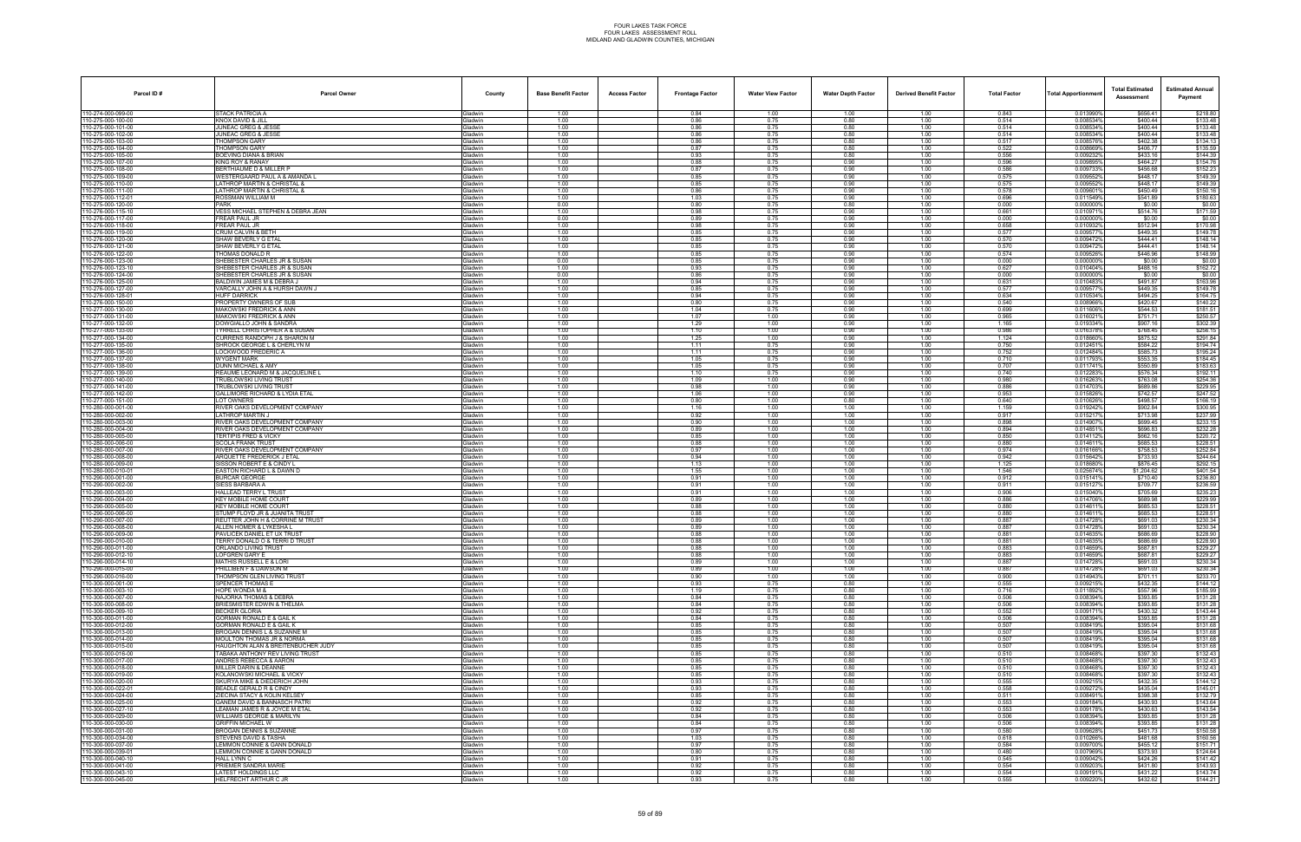| Parcel ID#                             | <b>Parcel Owner</b>                                                      | County                           | <b>Base Benefit Factor</b> | <b>Access Factor</b> | <b>Frontage Factor</b> | <b>Water View Factor</b> | <b>Water Depth Factor</b> | <b>Derived Benefit Factor</b> | <b>Total Factor</b> | <b>Total Apportionmen</b> | <b>Total Estimated</b><br>Assessment | <b>Estimated Annual</b><br>Payment |
|----------------------------------------|--------------------------------------------------------------------------|----------------------------------|----------------------------|----------------------|------------------------|--------------------------|---------------------------|-------------------------------|---------------------|---------------------------|--------------------------------------|------------------------------------|
| 110-274-000-099-00                     | STACK PATRICIA A                                                         | Gladwin                          | 1.00                       |                      | 0.84                   | 1.00                     | 1.00                      | 1.00                          | 0.843               | 0.013990%                 | \$656.41                             | \$218.80                           |
| 10-275-000-100-00                      | KNOX DAVID & JILL                                                        | <b>Gladwin</b>                   | 1.00                       |                      | 0.86                   | 0.75                     | 0.80                      | 1.00                          | 0.514               | 0.008534%                 | \$400.44                             | \$133.48                           |
| 10-275-000-101-00<br>10-275-000-102-00 | JUNEAC GREG & JESSI<br>JUNEAC GREG & JESSE                               | Gladwin<br><b>Gladwin</b>        | 1.00<br>1.00               |                      | 0.86<br>0.86           | 0.75<br>0.75             | 0.80<br>0.80              | 1.00<br>1.00                  | 0.514<br>0.514      | 0.0085349<br>0.008534%    | \$400.44<br>\$400.44                 | \$133.48<br>\$133.48               |
| 10-275-000-103-00                      | THOMPSON GARY                                                            | <b>Gladwin</b>                   | 1.00                       |                      | 0.86                   | 0.75                     | 0.80                      | 1.00                          | 0.517               | 0.0085769                 | \$402.38                             | \$134.13                           |
| 10-275-000-104-00                      | THOMPSON GARY                                                            | Gladwin                          | 1.00                       |                      | 0.87                   | 0.75                     | 0.80                      | 1.00                          | 0.522               | 0.008669%                 | \$406.77                             | \$135.59                           |
| 10-275-000-105-00<br>10-275-000-107-00 | <b>BOEVING DIANA &amp; BRIAN</b><br>KING ROY & RANAY                     | <b>Gladwin</b><br>Gladwin        | 1.00<br>1.00               |                      | 0.93<br>0.88           | 0.75<br>0.75             | 0.80<br>0.90              | 1.00<br>1.00                  | 0.556<br>0.596      | 0.0092329<br>0.009895     | \$433.16<br>\$464.27                 | \$144.39<br>\$154.76               |
| 10-275-000-108-00                      | BERTHIAUME D & MILLER P                                                  | <b>Gladwin</b>                   | 1.00                       |                      | 0.87                   | 0.75                     | 0.90                      | 1.00                          | 0.586               | 0.009733%                 | \$456.68                             | \$152.23                           |
| 10-275-000-109-00                      | <b>NESTERGAARD PAUL A &amp; AMANDA L</b>                                 | <b>Gladwin</b>                   | 1.00                       |                      | 0.85                   | 0.75                     | 0.90                      | 1.00                          | 0.575               | 0.0095529                 | \$448.17                             | \$149.39                           |
| 10-275-000-110-00<br>10-275-000-111-00 | LATHROP MARTIN & CHRISTAL &<br><b>ATHROP MARTIN &amp; CHRISTAL &amp;</b> | <b>Gladwin</b><br><b>Gladwin</b> | 1.00<br>1.00               |                      | 0.85<br>0.86           | 0.75<br>0.75             | 0.90<br>0.90              | 1.00<br>1.00                  | 0.575<br>0.578      | 0.0095529<br>0.0096019    | \$448.17<br>\$450.49                 | \$149.39<br>\$150.16               |
| 10-275-000-112-01                      | ROSSMAN WILLIAM M                                                        | Gladwin                          | 1.00                       |                      | 1.03                   | 0.75                     | 0.90                      | 1.00                          | 0.696               | 0.0115499                 | \$541.89                             | \$180.63                           |
| 10-275-000-120-00                      | PARK                                                                     | <b>Gladwin</b>                   | 0.00                       |                      | 0.80                   | 0.75                     | 0.80                      | 1.00                          | 0.000               | 0.000000%                 | \$0.00                               | \$0.00                             |
| 10-276-000-115-10                      | VESS MICHAEL STEPHEN & DEBRA JEAN                                        | <b>Gladwin</b>                   | 1.00                       |                      | 0.98                   | 0.75                     | 0.90                      | 1.00                          | 0.661               | 0.0109719                 | \$514.76                             | \$171.59                           |
| 10-276-000-117-00<br>10-276-000-118-00 | FREAR PAUL JR<br><b>FREAR PAUL JR</b>                                    | <b>Gladwin</b><br>Gladwin        | 0.00<br>1.00               |                      | 0.89<br>0.98           | 0.75<br>0.75             | 0.90<br>0.90              | 1.00<br>1.00                  | 0.000<br>0.658      | 0.0000009<br>0.0109329    | \$0.00<br>\$512.94                   | \$0.00<br>\$170.98                 |
| 10-276-000-119-00                      | CRUM CALVIN & BETH                                                       | <b>Gladwin</b>                   | 1.00                       |                      | 0.85                   | 0.75                     | 0.90                      | 1.00                          | 0.577               | 0.009577                  | \$449.35                             | \$149.78                           |
| 10-276-000-120-00                      | SHAW BEVERLY G ETAL                                                      | <b>Gladwin</b>                   | 1.00                       |                      | 0.85                   | 0.75                     | 0.90                      | 1.00                          | 0.570               | 0.0094729                 | \$444.41                             | \$148.14                           |
| 10-276-000-121-00<br>10-276-000-122-00 | SHAW BEVERLY G ETAL<br>THOMAS DONALD R                                   | <b>Gladwin</b><br><b>Gladwin</b> | 1.00<br>1.00               |                      | 0.85<br>0.85           | 0.75<br>0.75             | 0.90<br>0.90              | 1.00<br>1.00                  | 0.570<br>0.574      | 0.0094729<br>0.0095269    | \$444.41<br>\$446.96                 | \$148.14<br>\$148.99               |
| 10-276-000-123-00                      | SHEBESTER CHARLES JR & SUSAN                                             | Gladwin                          | 0.00                       |                      | 0.85                   | 0.75                     | 0.90                      | 1.00                          | 0.000               | 0.0000009                 | \$0.00                               | \$0.00                             |
| 10-276-000-123-10                      | SHEBESTER CHARLES JR & SUSAN                                             | Gladwin                          | 1.00                       |                      | 0.93                   | 0.75                     | 0.90                      | 1.00                          | 0.627               | 0.010404%                 | \$488.16                             | \$162.72                           |
| 10-276-000-124-00                      | SHEBESTER CHARLES JR & SUSAN<br>3ALDWIN JAMES M & DEBRA J                | Gladwin<br>Gladwin               | 0.00<br>1.00               |                      | 0.86<br>0.94           | 0.75                     | 0.90<br>0.90              | 1.00<br>1.00                  | 0.000<br>0.631      | 0.000000%<br>0.010483%    | \$0.00<br>\$491.87                   | \$0.00                             |
| 10-276-000-125-00<br>10-276-000-127-00 | VARCALLY JOHN A & HURSH DAWN J                                           | <b>Gladwin</b>                   | 1.00                       |                      | 0.85                   | 0.75<br>0.75             | 0.90                      | 1.00                          | 0.577               | 0.009577                  | \$449.35                             | \$163.96<br>\$149.78               |
| 10-276-000-128-01                      | <b>HUFF DARRICK</b>                                                      | Gladwin                          | 1.00                       |                      | 0.94                   | 0.75                     | 0.90                      | 1.00                          | 0.634               | 0.010534%                 | \$494.25                             | \$164.75                           |
| 10-276-000-150-00                      | ROPERTY OWNERS OF SUB                                                    | <b>Gladwin</b>                   | 1.00                       |                      | 0.80                   | 0.75                     | 0.90                      | 1.00                          | 0.540               | 0.008966%                 | \$420.67                             | \$140.22                           |
| 10-277-000-130-00<br>10-277-000-131-00 | <b>MAKOWSKI FREDRICK &amp; ANN</b><br><b>MAKOWSKI FREDRICK &amp; ANN</b> | <b>Gladwin</b><br><b>Gladwin</b> | 1.00<br>1.00               |                      | 1.04<br>1.07           | 0.75<br>1.00             | 0.90<br>0.90              | 1.00<br>1.00                  | 0.699<br>0.965      | 0.011606%<br>0.016021%    | \$544.53<br>\$751.71                 | \$181.51<br>\$250.57               |
| 10-277-000-132-00                      | DOWGIALLO JOHN & SANDRA                                                  | <b>Gladwin</b>                   | 1.00                       |                      | 1.29                   | 1.00                     | 0.90                      | 1.00                          | 1.165               | 0.0193349                 | \$907.16                             | \$302.39                           |
| 10-277-000-133-00                      | <b>TYRRELL CHRISTOPHER A &amp; SUSAN</b>                                 | Gladwin                          | 1.00                       |                      | 1.10                   | 1.00                     | 0.90                      | 1.00                          | 0.986               | 0.016378%                 | \$768.45                             | \$256.15                           |
| 10-277-000-134-00<br>10-277-000-135-00 | URRENS RANDOPH J & SHARON M<br>SHROCK GEORGE L & CHERLYN M               | <b>Gladwin</b><br>Gladwin        | 1.00<br>1.00               |                      | 1.25<br>1.11           | 1.00<br>0.75             | 0.90<br>0.90              | 1.00<br>1.00                  | 1.124<br>0.750      | 0.0186609<br>0.012451%    | \$875.52<br>\$584.22                 | \$291.84<br>\$194.74               |
| 10-277-000-136-00                      | LOCKWOOD FREDERIC A                                                      | Gladwin                          | 1.00                       |                      | 1.11                   | 0.75                     | 0.90                      | 1.00                          | 0.752               | 0.012484%                 | \$585.73                             | \$195.24                           |
| 10-277-000-137-00                      | <b>WYGENT MARK</b>                                                       | <b>Gladwin</b>                   | 1.00                       |                      | 1.05                   | 0.75                     | 0.90                      | 1.00                          | 0.710               | 0.0117939                 | \$553.35                             | \$184.45                           |
| 10-277-000-138-00                      | <b>DUNN MICHAEL &amp; AMY</b>                                            | Gladwin                          | 1.00                       |                      | 1.05                   | 0.75                     | 0.90                      | 1.00                          | 0.707               | 0.0117419                 | \$550.89                             | \$183.63                           |
| 10-277-000-139-00<br>10-277-000-140-00 | REAUME LEONARD M & JACQUELINE L<br>TRUBLOWSKI LIVING TRUST               | <b>Gladwin</b><br><b>Gladwin</b> | 1.00<br>1.00               |                      | 1.10<br>1.09           | 0.75<br>1.00             | 0.90<br>0.90              | 1.00<br>1.00                  | 0.740<br>0.980      | 0.0122839<br>0.016263%    | \$576.34<br>\$763.08                 | \$192.11<br>\$254.36               |
| 10-277-000-141-00                      | TRUBLOWSKI LIVING TRUST                                                  | <b>Gladwin</b>                   | 1.00                       |                      | 0.98                   | 1.00                     | 0.90                      | 1.00                          | 0.886               | 0.014703%                 | \$689.86                             | \$229.95                           |
| 10-277-000-142-00                      | GALLIMORE RICHARD & LYDIA ETAL                                           | <b>Gladwin</b>                   | 1.00                       |                      | 1.06                   | 1.00                     | 0.90                      | 1.00                          | 0.953               | 0.0158269                 | \$742.57                             | \$247.52                           |
| 10-277-000-151-00<br>10-280-000-001-00 | <b>LOT OWNERS</b><br>RIVER OAKS DEVELOPMENT COMPANY                      | Gladwin<br><b>Gladwin</b>        | 1.00<br>1.00               |                      | 0.80<br>1.16           | 1.00<br>1.00             | 0.80<br>1.00              | 1.00<br>1.00                  | 0.640<br>1.159      | 0.010626%<br>0.0192429    | \$498.57<br>\$902.84                 | \$166.19<br>\$300.95               |
| 10-280-000-002-00                      | LATHROP MARTIN J                                                         | Gladwin                          | 1.00                       |                      | 0.92                   | 1.00                     | 1.00                      | 1.00                          | 0.917               | 0.015217%                 | \$713.98                             | \$237.99                           |
| 10-280-000-003-00                      | RIVER OAKS DEVELOPMENT COMPANY                                           | Gladwin                          | 1.00                       |                      | 0.90                   | 1.00                     | 1.00                      | 1.00                          | 0.898               | 0.014907%                 | \$699.45                             | \$233.15                           |
| 10-280-000-004-00                      | RIVER OAKS DEVELOPMENT COMPANY                                           | <b>Gladwin</b>                   | 1.00                       |                      | 0.89                   | 1.00                     | 1.00                      | 1.00                          | 0.894               | 0.0148519                 | \$696.83                             | \$232.28                           |
| 10-280-000-005-00<br>10-280-000-006-00 | <b>TERTIPIS FRED &amp; VICKY</b><br>SCOLA FRANK TRUST                    | Gladwin<br><b>Gladwin</b>        | 1.00<br>1.00               |                      | 0.85<br>0.88           | 1.00<br>1.00             | 1.00<br>1.00              | 1.00<br>1.00                  | 0.850<br>0.880      | 0.0141129<br>0.0146119    | \$662.16<br>\$685.53                 | \$220.72<br>\$228.51               |
| 10-280-000-007-00                      | RIVER OAKS DEVELOPMENT COMPANY                                           | <b>Gladwin</b>                   | 1.00                       |                      | 0.97                   | 1.00                     | 1.00                      | 1.00                          | 0.974               | 0.016166%                 | \$758.53                             | \$252.84                           |
| 10-280-000-008-00                      | ARQUETTE FREDERICK J ETAL                                                | <b>Gladwin</b>                   | 1.00                       |                      | 0.94                   | 1.00                     | 1.00                      | 1.00                          | 0.942               | 0.0156429                 | \$733.93                             | \$244.64                           |
| 10-280-000-009-00<br>10-280-000-010-01 | SISSON ROBERT E & CINDY I<br>EASTON RICHARD L & DAWN D                   | <b>Gladwin</b><br>Gladwin        | 1.00<br>1.00               |                      | 1.13<br>1.55           | 1.00<br>1.00             | 1.00<br>1.00              | 1.00<br>1.00                  | 1.125<br>1.546      | 0.0186809<br>0.025674%    | \$876.45<br>\$1,204.62               | \$292.15<br>\$401.54               |
| 10-290-000-001-00                      | <b>BURCAR GEORGE</b>                                                     | Gladwin                          | 1.00                       |                      | 0.91                   | 1.00                     | 1.00                      | 1.00                          | 0.912               | 0.0151419                 | \$710.40                             | \$236.80                           |
| 10-290-000-002-00                      | SIESS BARBARA A                                                          | Gladwin                          | 1.00                       |                      | 0.91                   | 1.00                     | 1.00                      | 1.00                          | 0.911               | 0.015127%                 | \$709.77                             | \$236.59                           |
| 10-290-000-003-00                      | <b>HALLEAD TERRY L TRUST</b>                                             | Gladwin                          | 1.00                       |                      | 0.91                   | 1.00                     | 1.00                      | 1.00                          | 0.906               | 0.015040%                 | \$705.69                             | \$235.23                           |
| 10-290-000-004-00<br>10-290-000-005-00 | KEY MOBILE HOME COURT<br>KEY MOBILE HOME COURT                           | <b>Gladwin</b><br>Gladwin        | 1.00<br>1.00               |                      | 0.89<br>0.88           | 1.00<br>1.00             | 1.00<br>1.00              | 1.00<br>1.00                  | 0.886<br>0.880      | 0.0147069<br>0.0146119    | \$689.98<br>\$685.53                 | \$229.99<br>\$228.51               |
| 10-290-000-006-00                      | STUMP FLOYD JR & JUANITA TRUST                                           | <b>Gladwin</b>                   | 1.00                       |                      | 0.88                   | 1.00                     | 1.00                      | 1.00                          | 0.880               | 0.0146119                 | \$685.53                             | \$228.51                           |
| 10-290-000-007-00                      | REUTTER JOHN H & CORRINE M TRUST                                         | <b>Gladwin</b>                   | 1.00                       |                      | 0.89                   | 1.00                     | 1.00                      | 1.00                          | 0.887               | 0.014728%                 | \$691.03                             | \$230.34                           |
| 10-290-000-008-00<br>10-290-000-009-00 | ALLEN HOMER & LYKESHA L<br>PAVLICEK DANIEL ET UX TRUS                    | Gladwin<br>Gladwin               | 1.00<br>1.00               |                      | 0.89<br>0.88           | 1.00<br>1.00             | 1.00<br>1.00              | 1.00<br>1.00                  | 0.887<br>0.881      | 0.0147289<br>0.014635     | \$691.03<br>\$686.69                 | \$230.34<br>\$228.90               |
| 10-290-000-010-00                      | TERRY DONALD O & TERRI D TRUST                                           | Gladwin                          | 1.00                       |                      | 0.88                   | 1.00                     | 1.00                      | 1.00                          | 0.881               | 0.014635%                 | \$686.69                             | \$228.90                           |
| 10-290-000-011-00                      | ORLANDO LIVING TRUST                                                     | <b>Gladwin</b>                   | 1.00                       |                      | 0.88                   | 1.00                     | 1.00                      | 1.00                          | 0.883               | 0.014659%                 | \$687.81                             | \$229.27                           |
| 10-290-000-012-10<br>10-290-000-014-10 | OFGREN GARY E<br><b>MATHIS RUSSELL E &amp; LORI</b>                      | Gladwin<br>Gladwin               | 1.00<br>1.00               |                      | 0.88<br>0.89           | 1.00<br>1.00             | 1.00<br>1.00              | 1.00<br>1.00                  | 0.883<br>0.887      | 0.014659%<br>0.014728%    | \$687.81<br>\$691.03                 | \$229.27<br>\$230.34               |
| 10-290-000-015-00                      | PHILLIBEN F & DAWSON M                                                   | Gladwin                          | 1.00                       |                      | 0.89                   | 1.00                     | 1.00                      | 1.00                          | 0.887               | 0.0147289                 | \$691.03                             | \$230.34                           |
| 10-290-000-016-00                      | THOMPSON GLEN LIVING TRUST                                               | Gladwin                          | 1.00                       |                      | 0.90                   | 1.00                     | 1.00                      | 1.00                          | 0.900               | 0.014943%                 | \$701.11                             | \$233.70                           |
| 10-300-000-001-00                      | SPENCER THOMAS E                                                         | Gladwin                          | 1.00                       |                      | 0.93                   | 0.75                     | 0.80                      | 1.00                          | 0.555               | 0.009215%                 | \$432.35                             | \$144.12                           |
| 10-300-000-003-10<br>10-300-000-007-00 | HOPE WONDA M &<br>NAJORKA THOMAS & DEBRA                                 | Gladwin<br>Gladwin               | 1.00<br>1.00               |                      | 1.19<br>0.84           | 0.75<br>0.75             | 0.80<br>0.80              | 1.00<br>1.00                  | 0.716<br>0.506      | 0.011892%<br>0.008394%    | \$557.96<br>\$393.85                 | \$185.99<br>\$131.28               |
| 10-300-000-008-00                      | BRIESMISTER EDWIN & THELMA                                               | <b>Gladwin</b>                   | 1.00                       |                      | 0.84                   | 0.75                     | 0.80                      | 1.00                          | 0.506               | 0.008394%                 | \$393.85                             | \$131.28                           |
| 10-300-000-009-10                      | <b>BECKER GLORIA</b>                                                     | Gladwin                          | 1.00                       |                      | 0.92                   | 0.75                     | 0.80                      | 1.00                          | 0.552               | 0.009171%                 | \$430.32                             | \$143.44                           |
| 10-300-000-011-00<br>10-300-000-012-00 | GORMAN RONALD E & GAIL K<br><b>GORMAN RONALD E &amp; GAIL K</b>          | Gladwin<br>Gladwin               | 1.00<br>1.00               |                      | 0.84<br>0.85           | 0.75<br>0.75             | 0.80<br>0.80              | 1.00<br>1.00                  | 0.506<br>0.507      | 0.008394%<br>0.008419%    | \$393.85<br>\$395.04                 | \$131.28<br>\$131.68               |
| 10-300-000-013-00                      | <b>BROGAN DENNIS L &amp; SUZANNE M</b>                                   | Gladwin                          | 1.00                       |                      | 0.85                   | 0.75                     | 0.80                      | 1.00                          | 0.507               | 0.008419%                 | \$395.04                             | \$131.68                           |
| 10-300-000-014-00                      | MOULTON THOMAS JR & NORMA                                                | Gladwin                          | 1.00                       |                      | 0.85                   | 0.75                     | 0.80                      | 1.00                          | 0.507               | 0.008419%                 | \$395.04                             | \$131.68                           |
| 10-300-000-015-00                      | HAUGHTON ALAN & BREITENBUCHER JUDY                                       | Gladwin                          | 1.00                       |                      | 0.85                   | 0.75                     | 0.80                      | 1.00                          | 0.507               | 0.008419%                 | \$395.04<br>\$397.30                 | \$131.68                           |
| 10-300-000-016-00<br>10-300-000-017-00 | TABAKA ANTHONY REV LIVING TRUST<br>ANDRES REBECCA & AARON                | Gladwin<br>Gladwin               | 1.00<br>1.00               |                      | 0.85<br>0.85           | 0.75<br>0.75             | 0.80<br>0.80              | 1.00<br>1.00                  | 0.510<br>0.510      | 0.008468%<br>0.008468%    | \$397.30                             | \$132.43<br>\$132.43               |
| 10-300-000-018-00                      | MILLER DARIN & DEANNE                                                    | Gladwin                          | 1.00                       |                      | 0.85                   | 0.75                     | 0.80                      | 1.00                          | 0.510               | 0.008468%                 | \$397.30                             | \$132.43                           |
| 10-300-000-019-00                      | KOLANOWSKI MICHAEL & VICKY                                               | Gladwin                          | 1.00                       |                      | 0.85                   | 0.75                     | 0.80                      | 1.00                          | 0.510               | 0.008468%                 | \$397.30                             | \$132.43                           |
| 10-300-000-020-00<br>10-300-000-022-01 | SKURYA MIKE & DIEDERICH JOHN<br><b>BEADLE GERALD R &amp; CINDY</b>       | Gladwin<br>Gladwin               | 1.00<br>1.00               |                      | 0.93<br>0.93           | 0.75<br>0.75             | 0.80<br>0.80              | 1.00<br>1.00                  | 0.555<br>0.558      | 0.009215%<br>0.009272%    | \$432.35<br>\$435.04                 | \$144.12<br>\$145.01               |
| 0-300-000-024-00                       | <b>IECINA STACY &amp; KOLIN KELSEY</b>                                   | <b>Gladwin</b>                   | 1.00                       |                      | 0.85                   | 0.75                     | 0.80                      | 1.00                          | 0.511               | 0.008491%                 | \$398.38                             | \$132.79                           |
| 10-300-000-025-00                      | <b>GANEM DAVID &amp; BANNASCH PATR</b>                                   | Gladwin                          | 1.00                       |                      | 0.92                   | 0.75                     | 0.80                      | 1.00                          | 0.553               | 0.009184%                 | \$430.93                             | \$143.64                           |
| 10-300-000-027-10                      | LEAMAN JAMES R & JOYCE M ETAL                                            | Gladwin                          | 1.00                       |                      | 0.92                   | 0.75                     | 0.80                      | 1.00                          | 0.553               | 0.009178%                 | \$430.63                             | \$143.54                           |
| 10-300-000-029-00<br>10-300-000-030-00 | WILLIAMS GEORGE & MARILYN<br>GRIFFIN MICHAEL W                           | Gladwin<br>Gladwin               | 1.00<br>1.00               |                      | 0.84<br>0.84           | 0.75<br>0.75             | 0.80<br>0.80              | 1.00<br>1.00                  | 0.506<br>0.506      | 0.008394%<br>0.008394%    | \$393.85<br>\$393.85                 | \$131.28<br>\$131.28               |
| 10-300-000-031-00                      | ROGAN DENNIS & SUZANNE                                                   | <b>Gladwin</b>                   | 1.00                       |                      | 0.97                   | 0.75                     | 0.80                      | 1.00                          | 0.580               | 0.009628%                 | \$451.73                             | \$150.58                           |
| 10-300-000-034-00                      | STEVENS DAVID & TASHA                                                    | Gladwin                          | 1.00                       |                      | 1.03                   | 0.75                     | 0.80                      | 1.00                          | 0.618               | 0.010266%                 | \$481.68                             | \$160.56                           |
| 10-300-000-037-00<br>10-300-000-039-01 | <b>LEMMON CONNIE &amp; GANN DONALD</b><br>LEMMON CONNIE & GANN DONALD    | Gladwin<br>Gladwin               | 1.00<br>1.00               |                      | 0.97<br>0.80           | 0.75<br>0.75             | 0.80<br>0.80              | 1.00<br>1.00                  | 0.584<br>0.480      | 0.009700%<br>0.007969%    | \$455.12<br>\$373.93                 | \$151.71<br>\$124.64               |
| 10-300-000-040-10                      | <b>HALL LYNN C</b>                                                       | Gladwin                          | 1.00                       |                      | 0.91                   | 0.75                     | 0.80                      | 1.00                          | 0.545               | 0.009042%                 | \$424.26                             | \$141.42                           |
| 10-300-000-041-00                      | <b>RIEMER SANDRA MARIE</b>                                               | <b>Gladwin</b>                   | 1.00                       |                      | 0.92                   | 0.75                     | 0.80                      | 1.00                          | 0.554               | 0.009203%                 | \$431.80                             | \$143.93                           |
| 10-300-000-043-10                      | LATEST HOLDINGS LLC                                                      | Gladwin                          | 1.00                       |                      | 0.92                   | 0.75                     | 0.80                      | 1.00                          | 0.554               | 0.0091919                 | \$431.22                             | \$143.74                           |
| 10-300-000-045-00                      | HELFRECHT ARTHUR C JR                                                    | Gladwin                          | 1.00                       |                      | 0.93                   | 0.75                     | 0.80                      | 1.00                          | 0.555               | 0.009220%                 | \$432.62                             | \$144.21                           |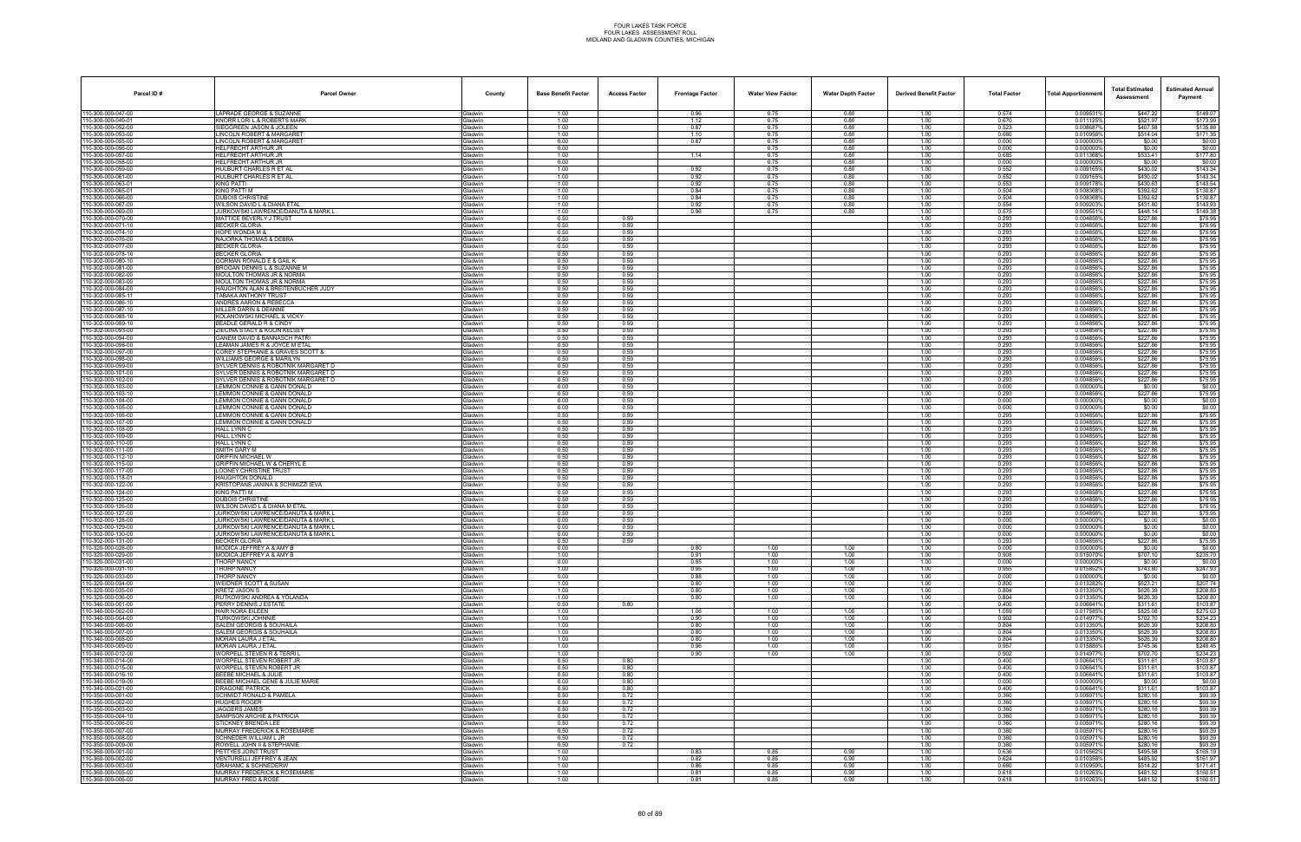| Parcel ID#                             | <b>Parcel Owner</b>                                                        | County                           | <b>Base Benefit Factor</b> | <b>Access Factor</b> | <b>Frontage Factor</b> | <b>Water View Factor</b> | <b>Water Depth Factor</b> | <b>Derived Benefit Factor</b> | <b>Total Factor</b> | <b>Total Apportionmen</b> | <b>Total Estimated</b><br>Assessment | <b>Estimated Annual</b><br>Payment |
|----------------------------------------|----------------------------------------------------------------------------|----------------------------------|----------------------------|----------------------|------------------------|--------------------------|---------------------------|-------------------------------|---------------------|---------------------------|--------------------------------------|------------------------------------|
| 10-300-000-047-00                      | LAPRADE GEORGE & SUZANNE                                                   | Gladwin                          | 1.00                       |                      | 0.96                   | 0.75                     | 0.80                      | 1.00                          | 0.574               | 0.009531%                 | \$447.22                             | \$149.07                           |
| 10-300-000-049-01                      | KNORR LORI L & ROBERTS MARK                                                | <b>Gladwin</b>                   | 1.00                       |                      | 1.12                   | 0.75                     | 0.80                      | 1.00                          | 0.670<br>0.523      | 0.0111259                 | \$521.97                             | \$173.99                           |
| 10-300-000-052-00<br>10-300-000-053-00 | SIEGGREEN JASON & JOLEEN<br><b>INCOLN ROBERT &amp; MARGARET</b>            | Gladwin<br><b>Gladwin</b>        | 1.00<br>1.00               |                      | 0.87<br>1.10           | 0.75<br>0.75             | 0.80<br>0.80              | 1.00<br>1.00                  | 0.660               | 0.008687<br>0.010956%     | \$407.58<br>\$514.04                 | \$135.86<br>\$171.35               |
| 10-300-000-055-00                      | <b>INCOLN ROBERT &amp; MARGARET</b>                                        | <b>Gladwin</b>                   | 0.00                       |                      | 0.87                   | 0.75                     | 0.80                      | 1.00                          | 0.000               | 0.0000009                 | \$0.00                               | \$0.00                             |
| 10-300-000-056-00                      | HELFRECHT ARTHUR JR                                                        | Gladwin                          | 0.00                       |                      |                        | 0.75                     | 0.80                      | 1.00                          | 0.000               | 0.0000009                 | \$0.00                               | \$0.00                             |
| 10-300-000-057-00<br>10-300-000-058-00 | HELFRECHT ARTHUR JR<br>HELFRECHT ARTHUR JR                                 | Gladwin<br>Gladwin               | 1.00<br>0.00               |                      | 1.14                   | 0.75<br>0.75             | 0.80<br>0.80              | 1.00<br>1.00                  | 0.685<br>0.000      | 0.0113689<br>0.000000     | \$533.41<br>\$0.00                   | \$177.80<br>\$0.00                 |
| 10-300-000-059-00                      | HULBURT CHARLES R ET AL                                                    | <b>Gladwin</b>                   | 1.00                       |                      | 0.92                   | 0.75                     | 0.80                      | 1.00                          | 0.552               | 0.009165%                 | \$430.02                             | \$143.34                           |
| 10-300-000-061-00                      | HULBURT CHARLES R ET AL                                                    | <b>Gladwin</b>                   | 1.00                       |                      | 0.92                   | 0.75                     | 0.80                      | 1.00                          | 0.552               | 0.0091659                 | \$430.02                             | \$143.34                           |
| 10-300-000-063-01<br>10-300-000-065-01 | KING PATTI<br>KING PATTI M                                                 | <b>Gladwin</b><br><b>Gladwin</b> | 1.00<br>1.00               |                      | 0.92<br>0.84           | 0.75<br>0.75             | 0.80<br>0.80              | 1.00<br>1.00                  | 0.553<br>0.504      | 0.009178%<br>0.008368%    | \$430.63<br>\$392.62                 | \$143.54<br>\$130.87               |
| 10-300-000-066-00                      | DUBOIS CHRISTINE                                                           | Gladwin                          | 1.00                       |                      | 0.84                   | 0.75                     | 0.80                      | 1.00                          | 0.504               | 0.0083689                 | \$392.62                             | \$130.87                           |
| 10-300-000-067-00                      | WILSON DAVID L & DIANA ETAL                                                | <b>Gladwin</b>                   | 1.00                       |                      | 0.92                   | 0.75                     | 0.80                      | 1.00                          | 0.554               | 0.009203%                 | \$431.80                             | \$143.93                           |
| 10-300-000-069-00<br>10-300-000-070-00 | JURKOWSKI LAWRENCE/DANUTA & MARK L<br>MATTICE BEVERLY J TRUST              | Gladwin<br><b>Gladwin</b>        | 1.00<br>0.50               | 0.59                 | 0.96                   | 0.75                     | 0.80                      | 1.00<br>1.00                  | 0.575<br>0.293      | 0.0095519<br>0.004856%    | \$448.14<br>\$227.86                 | \$149.38<br>\$75.95                |
| 10-302-000-071-10                      | BECKER GLORIA                                                              | Gladwin                          | 0.50                       | 0.59                 |                        |                          |                           | 1.00                          | 0.293               | 0.004856%                 | \$227.86                             | \$75.95                            |
| 10-302-000-074-10                      | HOPE WONDA M &                                                             | <b>Gladwin</b>                   | 0.50                       | 0.59                 |                        |                          |                           | 1.00                          | 0.293               | 0.004856%                 | \$227.86                             | \$75.95                            |
| 10-302-000-076-00<br>10-302-000-077-00 | NAJORKA THOMAS & DEBRA<br><b>BECKER GLORIA</b>                             | <b>Gladwin</b><br><b>Gladwin</b> | 0.50<br>0.50               | 0.59<br>0.59         |                        |                          |                           | 1.00<br>1.00                  | 0.293<br>0.293      | 0.004856%<br>0.004856%    | \$227.86<br>\$227.86                 | \$75.95<br>\$75.95                 |
| 10-302-000-078-10                      | BECKER GLORIA                                                              | <b>Gladwin</b>                   | 0.50                       | 0.59                 |                        |                          |                           | 1.00                          | 0.293               | 0.004856%                 | \$227.86                             | \$75.95                            |
| 10-302-000-080-10                      | <b>GORMAN RONALD E &amp; GAIL K</b>                                        | <b>Gladwin</b>                   | 0.50                       | 0.59                 |                        |                          |                           | 1.00                          | 0.293               | 0.004856%                 | \$227.86                             | \$75.95                            |
| 10-302-000-081-00<br>10-302-000-082-00 | BROGAN DENNIS L & SUZANNE M<br><b>MOULTON THOMAS JR &amp; NORMA</b>        | <b>Gladwin</b><br><b>Gladwin</b> | 0.50<br>0.50               | 0.59<br>0.59         |                        |                          |                           | 1.00<br>1.00                  | 0.293<br>0.293      | 0.004856%<br>0.004856%    | \$227.86<br>\$227.86                 | \$75.95<br>\$75.95                 |
| 10-302-000-083-00                      | <b>MOULTON THOMAS JR &amp; NORMA</b>                                       | Gladwin                          | 0.50                       | 0.59                 |                        |                          |                           | 1.00                          | 0.293               | 0.004856%                 | \$227.86                             | \$75.95                            |
| 10-302-000-084-00                      | HAUGHTON ALAN & BREITENBUCHER JUDY                                         | <b>Gladwin</b>                   | 0.50                       | 0.59                 |                        |                          |                           | 1.00                          | 0.293               | 0.004856%                 | \$227.86                             | \$75.95                            |
| 10-302-000-085-11                      | TABAKA ANTHONY TRUST                                                       | Gladwin                          | 0.50                       | 0.59                 |                        |                          |                           | 1.00                          | 0.293               | 0.004856%                 | \$227.86                             | \$75.95                            |
| 10-302-000-086-10<br>10-302-000-087-10 | ANDRES AARON & REBECCA<br><b>MILLER DARIN &amp; DEANNE</b>                 | <b>Gladwin</b><br><b>Gladwin</b> | 0.50<br>0.50               | 0.59<br>0.59         |                        |                          |                           | 1.00<br>1.00                  | 0.293<br>0.293      | 0.004856%<br>0.004856%    | \$227.86<br>\$227.86                 | \$75.95<br>\$75.95                 |
| 10-302-000-088-10                      | <b>KOLANOWSKI MICHAEL &amp; VICKY</b>                                      | <b>Gladwin</b>                   | 0.50                       | 0.59                 |                        |                          |                           | 1.00                          | 0.293               | 0.004856%                 | \$227.86                             | \$75.95                            |
| 10-302-000-089-10                      | BEADLE GERALD R & CINDY                                                    | <b>Gladwin</b>                   | 0.50                       | 0.59                 |                        |                          |                           | 1.00                          | 0.293               | 0.0048569                 | \$227.86                             | \$75.95                            |
| 10-302-000-093-00                      | ZIECINA STACY & KOLIN KELSEY<br>SANEM DAVID & BANNASCH PATR                | <b>Gladwin</b><br><b>Gladwin</b> | 0.50<br>0.50               | 0.59<br>0.59         |                        |                          |                           | 1.00<br>1.00                  | 0.293<br>0.293      | 0.004856%<br>0.004856%    | \$227.86<br>\$227.86                 | \$75.95<br>\$75.95                 |
| 10-302-000-094-00<br>10-302-000-096-00 | LEAMAN JAMES R & JOYCE M ETAL                                              | Gladwin                          | 0.50                       | 0.59                 |                        |                          |                           | 1.00                          | 0.293               | 0.004856%                 | \$227.86                             | \$75.95                            |
| 10-302-000-097-00                      | COREY STEPHANIE & GRAVES SCOTT &                                           | Gladwin                          | 0.50                       | 0.59                 |                        |                          |                           | 1.00                          | 0.293               | 0.004856%                 | \$227.86                             | \$75.95                            |
| 10-302-000-098-00                      | WILLIAMS GEORGE & MARILYN                                                  | <b>Gladwin</b>                   | 0.50                       | 0.59                 |                        |                          |                           | 1.00                          | 0.293               | 0.0048569                 | \$227.86                             | \$75.95                            |
| 10-302-000-099-00<br>10-302-000-101-00 | SYLVER DENNIS & ROBOTNIK MARGARET D<br>SYLVER DENNIS & ROBOTNIK MARGARET D | Gladwin<br><b>Gladwin</b>        | 0.50<br>0.50               | 0.59<br>0.59         |                        |                          |                           | 1.00<br>1.00                  | 0.293<br>0.293      | 0.004856%<br>0.004856%    | \$227.86<br>\$227.86                 | \$75.95<br>\$75.95                 |
| 10-302-000-102-00                      | SYLVER DENNIS & ROBOTNIK MARGARET D                                        | <b>Gladwin</b>                   | 0.50                       | 0.59                 |                        |                          |                           | 1.00                          | 0.293               | 0.004856%                 | \$227.86                             | \$75.95                            |
| 10-302-000-103-00                      | <b>LEMMON CONNIE &amp; GANN DONALD</b>                                     | <b>Gladwin</b>                   | 0.00                       | 0.59                 |                        |                          |                           | 1.00                          | 0.000               | 0.000000%                 | \$0.00                               | \$0.00                             |
| 10-302-000-103-10<br>10-302-000-104-00 | LEMMON CONNIE & GANN DONALD<br>EMMON CONNIE & GANN DONALD                  | <b>Gladwin</b><br>Gladwin        | 0.50<br>0.00               | 0.59<br>0.59         |                        |                          |                           | 1.00<br>1.00                  | 0.293<br>0.000      | 0.0048569<br>0.000000%    | \$227.86<br>\$0.00                   | \$75.95<br>\$0.00                  |
| 10-302-000-105-00                      | EMMON CONNIE & GANN DONALD                                                 | <b>Gladwin</b>                   | 0.00                       | 0.59                 |                        |                          |                           | 1.00                          | 0.000               | 0.0000009                 | \$0.00                               | \$0.00                             |
| 10-302-000-106-00                      | LEMMON CONNIE & GANN DONALD                                                | Gladwin                          | 0.50                       | 0.59                 |                        |                          |                           | 1.00                          | 0.293               | 0.004856%                 | \$227.86                             | \$75.95                            |
| 10-302-000-107-00                      | <b>LEMMON CONNIE &amp; GANN DONALD</b>                                     | Gladwin                          | 0.50                       | 0.59                 |                        |                          |                           | 1.00                          | 0.293               | 0.004856%                 | \$227.86                             | \$75.95                            |
| 10-302-000-108-00<br>10-302-000-109-00 | HALL LYNN C<br><b>HALL LYNN C</b>                                          | <b>Gladwin</b><br>Gladwin        | 0.50<br>0.50               | 0.59<br>0.59         |                        |                          |                           | 1.00<br>1.00                  | 0.293<br>0.293      | 0.0048569<br>0.004856%    | \$227.86<br>\$227.86                 | \$75.95<br>\$75.95                 |
| 10-302-000-110-00                      | HALL LYNN C                                                                | <b>Gladwin</b>                   | 0.50                       | 0.59                 |                        |                          |                           | 1.00                          | 0.293               | 0.004856%                 | \$227.86                             | \$75.95                            |
| 10-302-000-111-00                      | SMITH GARY M                                                               | <b>Gladwin</b>                   | 0.50                       | 0.59                 |                        |                          |                           | 1.00                          | 0.293               | 0.004856%                 | \$227.86                             | \$75.95                            |
| 10-302-000-112-10<br>10-302-000-115-00 | <b>SRIFFIN MICHAEL W</b><br>GRIFFIN MICHAEL W & CHERYL E                   | Gladwin<br><b>Gladwin</b>        | 0.50<br>0.50               | 0.59<br>0.59         |                        |                          |                           | 1.00<br>1.00                  | 0.293<br>0.293      | 0.004856%<br>0.0048569    | \$227.86<br>\$227.86                 | \$75.95<br>\$75.95                 |
| 10-302-000-117-00                      | LOONEY CHRISTINE TRUST                                                     | Gladwin                          | 0.50                       | 0.59                 |                        |                          |                           | 1.00                          | 0.293               | 0.004856%                 | \$227.86                             | \$75.95                            |
| 10-302-000-118-01                      | <b>HAUGHTON DONALD</b>                                                     | <b>Gladwin</b>                   | 0.50                       | 0.59                 |                        |                          |                           | 1.00                          | 0.293               | 0.004856%                 | \$227.86                             | \$75.95                            |
| 10-302-000-122-00<br>10-302-000-124-00 | KRISTOPANS JANINA & SCHIMIZZI IEVA<br>KING PATTI M                         | Gladwin<br>Gladwin               | 0.50<br>0.50               | 0.59<br>0.59         |                        |                          |                           | 1.00<br>1.00                  | 0.293<br>0.293      | 0.004856%<br>0.004856%    | \$227.86<br>\$227.86                 | \$75.95<br>\$75.95                 |
| 10-302-000-125-00                      | DUBOIS CHRISTINE                                                           | Gladwin                          | 0.50                       | 0.59                 |                        |                          |                           | 1.00                          | 0.293               | 0.0048569                 | \$227.86                             | \$75.95                            |
| 10-302-000-126-00                      | WILSON DAVID L & DIANA M ETAL                                              | Gladwin                          | 0.50                       | 0.59                 |                        |                          |                           | 1.00                          | 0.293               | 0.004856%                 | \$227.86                             | \$75.95                            |
| 10-302-000-127-00<br>10-302-000-128-00 | JURKOWSKI LAWRENCE/DANUTA & MARK L<br>JURKOWSKI LAWRENCE/DANUTA & MARK L   | <b>Gladwin</b><br><b>Gladwin</b> | 0.50<br>0.00               | 0.59<br>0.59         |                        |                          |                           | 1.00<br>1.00                  | 0.293<br>0.000      | 0.004856%<br>0.000000%    | \$227.86<br>\$0.00                   | \$75.95<br>\$0.00                  |
| 10-302-000-129-00                      | JURKOWSKI LAWRENCE/DANUTA & MARK L                                         | <b>Gladwin</b>                   | 0.00                       | 0.59                 |                        |                          |                           | 1.00                          | 0.000               | 0.0000009                 | \$0.00                               | \$0.00                             |
| 10-302-000-130-00                      | JURKOWSKI LAWRENCE/DANUTA & MARK I                                         | <b>Gladwin</b>                   | 0.00                       | 0.59                 |                        |                          |                           | 1.00                          | 0.000               | 0.000000                  | \$0.00                               | \$0.00                             |
| 10-302-000-131-00                      | <b>BECKER GLORIA</b>                                                       | Gladwin                          | 0.50                       | 0.59                 |                        |                          |                           | 1.00                          | 0.293               | 0.004856%                 | \$227.86                             | \$75.95                            |
| 10-320-000-028-00<br>10-320-000-029-00 | MODICA JEFFREY A & AMY B<br>MODICA JEFFREY A & AMY B                       | <b>Gladwin</b><br>Gladwin        | 0.00<br>1.00               |                      | 0.80<br>0.91           | 1.00<br>1.00             | 1.00<br>1.00              | 1.00<br>1.00                  | 0.000<br>0.908      | 0.000000%<br>0.015070%    | \$0.00<br>\$707.10                   | \$0.00<br>\$235.70                 |
| 10-320-000-031-00                      | THORP NANCY                                                                | Gladwin                          | 0.00                       |                      | 0.85                   | 1.00                     | 1.00                      | 1.00                          | 0.000               | 0.000000%                 | \$0.00                               | \$0.00                             |
| 10-320-000-031-10                      | THORP NANCY                                                                | Gladwin                          | 1.00                       |                      | 0.95                   | 1.00                     | 1.00                      | 1.00                          | 0.955               | 0.015852%                 | \$743.80                             | \$247.93                           |
| 10-320-000-033-00<br>10-320-000-034-00 | THORP NANCY<br><b>WEIDNER SCOTT &amp; SUSAN</b>                            | Gladwin<br>Gladwin               | 0.00<br>1.00               |                      | 0.88<br>0.80           | 1.00<br>1.00             | 1.00<br>1.00              | 1.00<br>1.00                  | 0.000<br>0.800      | 0.000000%<br>0.013282%    | \$0.00<br>\$623.21                   | \$0.00<br>\$207.74                 |
| 10-320-000-035-00                      | <b>KRETZ JASON S</b>                                                       | Gladwin                          | 1.00                       |                      | 0.80                   | 1.00                     | 1.00                      | 1.00                          | 0.804               | 0.013350%                 | \$626.39                             | \$208.80                           |
| 10-320-000-036-00                      | RUTKOWSKI ANDREA & YOLANDA                                                 | Gladwin                          | 1.00                       |                      | 0.80                   | 1.00                     | 1.00                      | 1.00                          | 0.804               | 0.013350%                 | \$626.39                             | \$208.80                           |
| 10-340-000-001-00<br>10-340-000-002-00 | PERRY DENNIS J ESTATE<br>HAIR NORA EILEEN                                  | Gladwin<br>Gladwin               | 0.50<br>1.00               | 0.80                 | 1.06                   | 1.00                     | 1.00                      | 1.00<br>1.00                  | 0.400<br>1.059      | 0.006641%<br>0.017585%    | \$311.61<br>\$825.08                 | \$103.87<br>\$275.03               |
| 10-340-000-004-00                      | TURKOWSKI JOHNNIE                                                          | Gladwin                          | 1.00                       |                      | 0.90                   | 1.00                     | 1.00                      | 1.00                          | 0.902               | 0.014977%                 | \$702.70                             | \$234.23                           |
| 10-340-000-006-00                      | SALEM GEORGIS & SOUHAILA                                                   | Gladwin                          | 1.00                       |                      | 0.80                   | 1.00                     | 1.00                      | 1.00                          | 0.804               | 0.013350%                 | \$626.39                             | \$208.80                           |
| 10-340-000-007-00<br>10-340-000-008-00 | SALEM GEORGIS & SOUHAILA<br>MORAN LAURA J ETAL                             | Gladwin<br>Gladwin               | 1.00<br>1.00               |                      | 0.80<br>0.80           | 1.00<br>1.00             | 1.00<br>1.00              | 1.00<br>1.00                  | 0.804<br>0.804      | 0.013350%<br>0.013350%    | \$626.39<br>\$626.39                 | \$208.80<br>\$208.80               |
| 10-340-000-009-00                      | MORAN LAURA J ETAL                                                         | Gladwin                          | 1.00                       |                      | 0.96                   | 1.00                     | 1.00                      | 1.00                          | 0.957               | 0.015886%                 | \$745.36                             | \$248.45                           |
| 10-340-000-012-00                      | WORPELL STEVEN R & TERRI L                                                 | Gladwin                          | 1.00                       |                      | 0.90                   | 1.00                     | 1.00                      | 1.00                          | 0.902               | 0.0149779                 | \$702.70                             | \$234.23                           |
| 10-340-000-014-00                      | WORPELL STEVEN ROBERT JR                                                   | <b>Gladwin</b>                   | 0.50                       | 0.80                 |                        |                          |                           | 1.00                          | 0.400               | 0.006641%                 | \$311.61                             | \$103.87                           |
| 10-340-000-015-00<br>10-340-000-016-10 | WORPELL STEVEN ROBERT JR<br>BEEBE MICHAEL & JULIE                          | Gladwin<br>Gladwin               | 0.50<br>0.50               | 0.80<br>0.80         |                        |                          |                           | 1.00<br>1.00                  | 0.400<br>0.400      | 0.006641%<br>0.006641%    | \$311.61<br>\$311.61                 | \$103.87<br>\$103.87               |
| 10-340-000-019-00                      | BEEBE MICHAEL GENE & JULIE MARIE                                           | Gladwin                          | 0.00                       | 0.80                 |                        |                          |                           | 1.00                          | 0.000               | 0.000000%                 | \$0.00                               | \$0.00                             |
| 10-340-000-021-00                      | DRAGONE PATRICK                                                            | Gladwin                          | 0.50                       | 0.80                 |                        |                          |                           | 1.00                          | 0.400               | 0.006641%                 | \$311.61                             | \$103.87                           |
| 10-350-000-001-00<br>10-350-000-002-00 | <b>CHMIDT RONALD &amp; PAMELA</b><br><b>HUGHES ROGER</b>                   | <b>Gladwin</b><br>Gladwin        | 0.50<br>0.50               | 0.72<br>0.72         |                        |                          |                           | 1.00<br>1.00                  | 0.360<br>0.360      | 0.005971%<br>0.005971%    | \$280.16<br>\$280.16                 | \$93.39<br>\$93.39                 |
| 10-350-000-003-00                      | <b>JAGGERS JAMES</b>                                                       | Gladwin                          | 0.50                       | 0.72                 |                        |                          |                           | 1.00                          | 0.360               | 0.005971%                 | \$280.16                             | \$93.39                            |
| 10-350-000-004-10                      | SAMPSON ARCHIE & PATRICIA                                                  | Gladwin                          | 0.50                       | 0.72                 |                        |                          |                           | 1.00                          | 0.360               | 0.005971%                 | \$280.16                             | \$93.39                            |
| 10-350-000-006-00<br>10-350-000-007-00 | STICKNEY BRENDA LEE<br><b>MURRAY FREDERICK &amp; ROSEMARIE</b>             | Gladwin<br><b>Gladwin</b>        | 0.50<br>0.50               | 0.72<br>0.72         |                        |                          |                           | 1.00<br>1.00                  | 0.360<br>0.360      | 0.005971%<br>0.005971%    | \$280.16<br>\$280.16                 | \$93.39<br>\$93.39                 |
| 10-350-000-008-00                      | SCHNEDER WILLIAM L JR                                                      | Gladwin                          | 0.50                       | 0.72                 |                        |                          |                           | 1.00                          | 0.360               | 0.005971%                 | \$280.16                             | \$93.39                            |
| 10-350-000-009-00                      | ROWELL JOHN II & STEPHANIE                                                 | Gladwin                          | 0.50                       | 0.72                 |                        |                          |                           | 1.00                          | 0.360               | 0.005971%                 | \$280.16                             | \$93.39                            |
| 10-360-000-001-00                      | PETTYES JOINT TRUST                                                        | Gladwin                          | 1.00<br>1.00               |                      | 0.83                   | 0.85<br>0.85             | 0.90<br>0.90              | 1.00<br>1.00                  | 0.636<br>0.624      | 0.010562%<br>0.010356%    | \$495.58<br>\$485.92                 | \$165.19<br>\$161.97               |
| 10-360-000-002-00<br>10-360-000-003-00 | VENTURELLI JEFFREY & JEAN<br><b>SRAHAMC &amp; SCHNEDERW</b>                | Gladwin<br><b>Gladwin</b>        | 1.00                       |                      | 0.82<br>0.86           | 0.85                     | 0.90                      | 1.00                          | 0.660               | 0.010959%                 | \$514.22                             | \$171.41                           |
| 10-360-000-005-00                      | MURRAY FREDERICK & ROSEMARIE                                               | Gladwin                          | 1.00                       |                      | 0.81                   | 0.85                     | 0.90                      | 1.00                          | 0.618               | 0.010263%                 | \$481.52                             | \$160.51                           |
| 10-360-000-006-00                      | MURRAY FRED & ROSE                                                         | Gladwin                          | 1.00                       |                      | 0.81                   | 0.85                     | 0.90                      | 1.00                          | 0.618               | 0.010263%                 | \$481.52                             | \$160.51                           |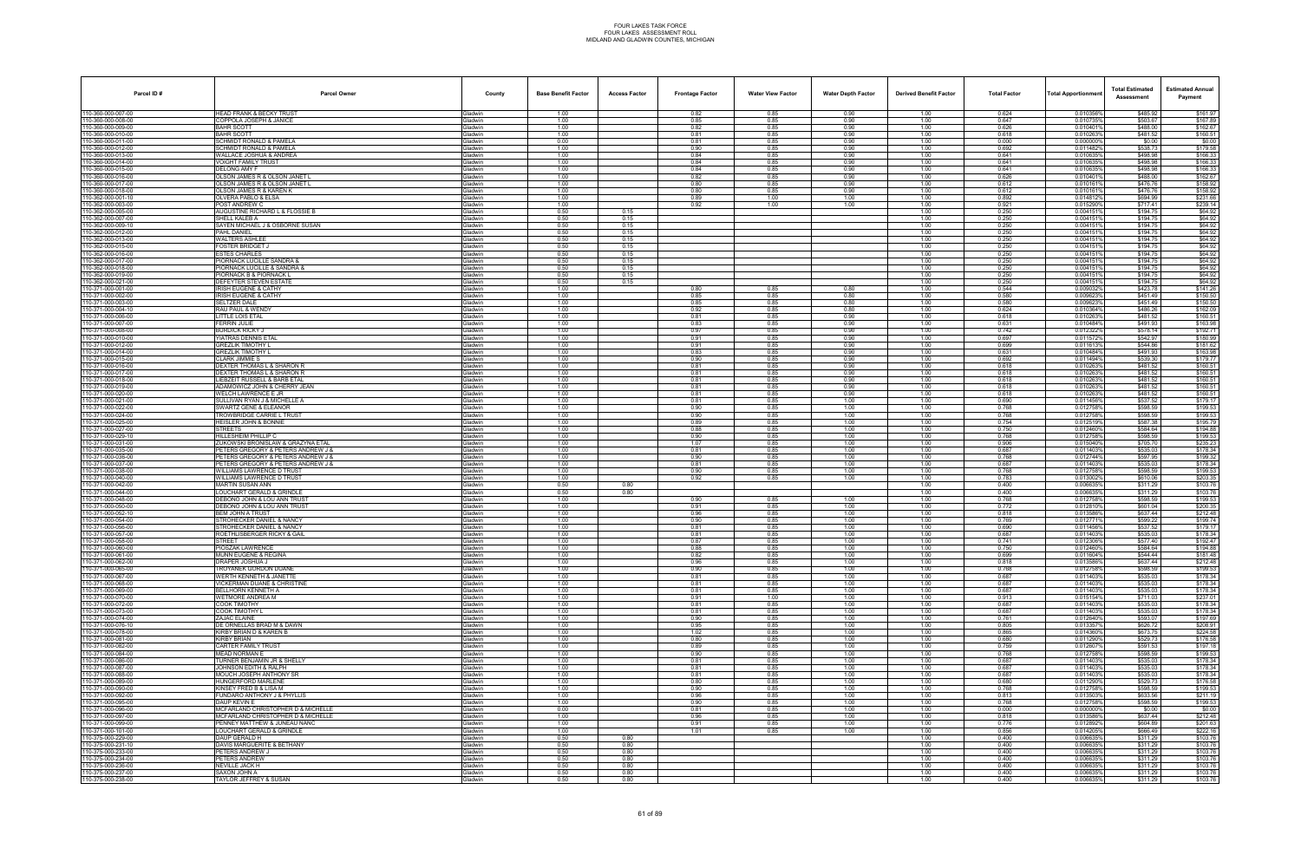| Parcel ID#                             | <b>Parcel Owner</b>                                                       | County                           | <b>Base Benefit Factor</b> | <b>Access Factor</b> | <b>Frontage Factor</b> | <b>Water View Factor</b> | <b>Water Depth Factor</b> | <b>Derived Benefit Factor</b> | <b>Total Factor</b> | Total Apportionmer     | <b>Total Estimated</b><br>Assessment | <b>Estimated Annual</b><br>Payment |
|----------------------------------------|---------------------------------------------------------------------------|----------------------------------|----------------------------|----------------------|------------------------|--------------------------|---------------------------|-------------------------------|---------------------|------------------------|--------------------------------------|------------------------------------|
| 10-360-000-007-00                      | <b>HEAD FRANK &amp; BECKY TRUST</b>                                       | <b>Gladwin</b>                   | 1.00                       |                      | 0.82                   | 0.85                     | 0.90                      | 1.00                          | 0.624               | 0.010356%              | \$485.92                             | \$161.97                           |
| 10-360-000-008-00<br>10-360-000-009-00 | COPPOLA JOSEPH & JANICE<br><b>BAHR SCOTT</b>                              | Gladwin<br><b>Gladwin</b>        | 1.00<br>1.00               |                      | 0.85<br>0.82           | 0.85<br>0.85             | 0.90<br>0.90              | 1.00<br>1.00                  | 0.647<br>0.626      | 0.010735%<br>0.0104019 | \$503.67<br>\$488.00                 | \$167.89<br>\$162.67               |
| 10-360-000-010-00                      | <b>BAHR SCOTT</b>                                                         | Gladwin                          | 1.00                       |                      | 0.81                   | 0.85                     | 0.90                      | 1.00                          | 0.618               | 0.010263%              | \$481.52                             | \$160.51                           |
| 10-360-000-011-00                      | SCHMIDT RONALD & PAMELA                                                   | Gladwin                          | 0.00                       |                      | 0.81                   | 0.85                     | 0.90                      | 1.00                          | 0.000               | 0.000000%              | \$0.00                               | \$0.00                             |
| 10-360-000-012-00                      | <b>SCHMIDT RONALD &amp; PAMELA</b><br>WALLACE JOSHUA & ANDREA             | Gladwin                          | 1.00<br>1.00               |                      | 0.90<br>0.84           | 0.85<br>0.85             | 0.90<br>0.90              | 1.00<br>1.00                  | 0.692<br>0.641      | 0.0114829<br>0.010635% | \$538.73<br>\$498.98                 | \$179.58<br>\$166.33               |
| 10-360-000-013-00<br>0-360-000-014-00  | VOIGHT FAMILY TRUST                                                       | Gladwin<br><b>Gladwin</b>        | 1.00                       |                      | 0.84                   | 0.85                     | 0.90                      | 1.00                          | 0.641               | 0.010635%              | \$498.98                             | \$166.33                           |
| 10-360-000-015-00                      | <b>DELONG AMY F</b>                                                       | <b>Gladwin</b>                   | 1.00                       |                      | 0.84                   | 0.85                     | 0.90                      | 1.00                          | 0.641               | 0.010635%              | \$498.98                             | \$166.33                           |
| 10-360-000-016-00<br>10-360-000-017-00 | OLSON JAMES R & OLSON JANET I<br><b>DLSON JAMES R &amp; OLSON JANET I</b> | Gladwin<br><b>Gladwin</b>        | 1.00<br>1.00               |                      | 0.82<br>0.80           | 0.85<br>0.85             | 0.90<br>0.90              | 1.00<br>1.00                  | 0.626<br>0.612      | 0.010401%<br>0.0101619 | \$488.00<br>\$476.76                 | \$162.67<br>\$158.92               |
| 10-360-000-018-00                      | OLSON JAMES R & KAREN K                                                   | Gladwin                          | 1.00                       |                      | 0.80                   | 0.85                     | 0.90                      | 1.00                          | 0.612               | 0.010161%              | \$476.76                             | \$158.92                           |
| 10-362-000-001-10                      | )LVERA PABLO & ELSA                                                       | <b>Gladwin</b>                   | 1.00                       |                      | 0.89                   | 1.00                     | 1.00                      | 1.00                          | 0.892               | 0.014812%              | \$694.99                             | \$231.66                           |
| 10-362-000-003-00<br>10-362-000-005-00 | POST ANDREW C<br>AUGUSTINE RICHARD L & FLOSSIE B                          | Gladwin<br>Gladwin               | 1.00<br>0.50               | 0.15                 | 0.92                   | 1.00                     | 1.00                      | 1.00<br>1.00                  | 0.921<br>0.250      | 0.015290%<br>0.0041519 | \$717.41<br>\$194.75                 | \$239.14<br>\$64.92                |
| 10-362-000-007-00                      | SHELL KALEB A                                                             | Gladwin                          | 0.50                       | 0.15                 |                        |                          |                           | 1.00                          | 0.250               | 0.0041519              | \$194.75                             | \$64.92                            |
| 10-362-000-009-10                      | SAYEN MICHAEL J & OSBORNE SUSAN                                           | <b>Gladwin</b>                   | 0.50                       | 0.15                 |                        |                          |                           | 1.00                          | 0.250               | 0.0041519              | \$194.75                             | \$64.92                            |
| 0-362-000-012-00<br>10-362-000-013-00  | PAHL DANIEL<br><b>WALTERS ASHLEE</b>                                      | <b>Gladwin</b><br><b>Gladwin</b> | 0.50<br>0.50               | 0.15<br>0.15         |                        |                          |                           | 1.00<br>1.00                  | 0.250<br>0.250      | 0.004151<br>0.004151   | \$194.75<br>\$194.75                 | \$64.92<br>\$64.92                 |
| 10-362-000-015-00                      | FOSTER BRIDGET J                                                          | Gladwin                          | 0.50                       | 0.15                 |                        |                          |                           | 1.00                          | 0.250               | 0.004151               | \$194.75                             | \$64.92                            |
| 10-362-000-016-00                      | <b>STES CHARLES</b>                                                       | Gladwin                          | 0.50                       | 0.15                 |                        |                          |                           | 1.00                          | 0.250               | 0.0041519              | \$194.75                             | \$64.92                            |
| 10-362-000-017-00<br>0-362-000-018-00  | PIORNACK LUCILLE SANDRA &<br>IORNACK LUCILLE & SANDRA &                   | Gladwin<br><b>Gladwin</b>        | 0.50<br>0.50               | 0.15<br>0.15         |                        |                          |                           | 1.00<br>1.00                  | 0.250<br>0.250      | 0.0041519<br>0.004151  | \$194.75<br>\$194.75                 | \$64.92<br>\$64.92                 |
| 10-362-000-019-00                      | PIORNACK B & PIORNACK L                                                   | <b>Gladwin</b>                   | 0.50                       | 0.15                 |                        |                          |                           | 1.00                          | 0.250               | 0.0041519              | \$194.75                             | \$64.92                            |
| 10-362-000-021-00                      | DEFEYTER STEVEN ESTATE                                                    | Gladwin                          | 0.50                       | 0.15                 |                        |                          |                           | 1.00                          | 0.250               | 0.0041519              | \$194.75                             | \$64.92                            |
| 10-371-000-001-00<br>10-371-000-002-00 | <b>IRISH EUGENE &amp; CATHY</b><br>RISH EUGENE & CATHY                    | Gladwin<br><b>Gladwin</b>        | 1.00<br>1.00               |                      | 0.80<br>0.85           | 0.85<br>0.85             | 0.80<br>0.80              | 1.00<br>1.00                  | 0.544<br>0.580      | 0.0090329<br>0.0096239 | \$423.78<br>\$451.49                 | \$141.26<br>\$150.50               |
| 10-371-000-003-00                      | <b>SELTZER DALE</b>                                                       | <b>Gladwin</b>                   | 1.00                       |                      | 0.85                   | 0.85                     | 0.80                      | 1.00                          | 0.580               | 0.0096239              | \$451.49                             | \$150.50                           |
| 10-371-000-004-10                      | RAU PAUL & WENDY                                                          | <b>Gladwin</b>                   | 1.00                       |                      | 0.92                   | 0.85                     | 0.80                      | 1.00                          | 0.624               | 0.010364%              | \$486.26                             | \$162.09                           |
| 10-371-000-006-00<br>10-371-000-007-00 | LITTLE LOIS ETAL<br>FERRIN JULIE                                          | Gladwin<br>Gladwin               | 1.00<br>1.00               |                      | 0.81<br>0.83           | 0.85<br>0.85             | 0.90<br>0.90              | 1.00<br>1.00                  | 0.618<br>0.631      | 0.010263<br>0.010484%  | \$481.52<br>\$491.93                 | \$160.51<br>\$163.98               |
| 10-371-000-008-00                      | BURDICK RICKY J                                                           | <b>Gladwin</b>                   | 1.00                       |                      | 0.97                   | 0.85                     | 0.90                      | 1.00                          | 0.742               | 0.012322%              | \$578.14                             | \$192.71                           |
| 10-371-000-010-00                      | YIATRAS DENNIS ETAL                                                       | <b>Gladwin</b>                   | 1.00                       |                      | 0.91                   | 0.85                     | 0.90                      | 1.00                          | 0.697               | 0.0115729              | \$542.97                             | \$180.99                           |
| 10-371-000-012-00<br>10-371-000-014-00 | <b>GREZLIK TIMOTHY L</b><br>GREZLIK TIMOTHY L                             | <b>Gladwin</b><br>Gladwin        | 1.00<br>1.00               |                      | 0.91<br>0.83           | 0.85<br>0.85             | 0.90<br>0.90              | 1.00<br>1.00                  | 0.699<br>0.631      | 0.0116139<br>0.010484% | \$544.86<br>\$491.93                 | \$181.62<br>\$163.98               |
| 10-371-000-015-00                      | <b>CLARK JIMMIE S</b>                                                     | Gladwin                          | 1.00                       |                      | 0.90                   | 0.85                     | 0.90                      | 1.00                          | 0.692               | 0.011494%              | \$539.30                             | \$179.77                           |
| 10-371-000-016-00                      | DEXTER THOMAS L & SHARON R                                                | <b>Gladwin</b>                   | 1.00                       |                      | 0.81                   | 0.85                     | 0.90                      | 1.00                          | 0.618               | 0.0102639              | \$481.52                             | \$160.51                           |
| 10-371-000-017-00<br>10-371-000-018-00 | DEXTER THOMAS L & SHARON R<br><b>LIEBZEIT RUSSELL &amp; BARB ETAL</b>     | <b>Jadwin</b><br><b>Gladwin</b>  | 1.00<br>1.00               |                      | 0.81<br>0.81           | 0.85<br>0.85             | 0.90<br>0.90              | 1.00<br>1.00                  | 0.618<br>0.618      | 0.0102639<br>0.010263% | \$481.52<br>\$481.52                 | \$160.51<br>\$160.51               |
| 10-371-000-019-00                      | ADAMOWICZ JOHN & CHERRY JEAN                                              | <b>Gladwin</b>                   | 1.00                       |                      | 0.81                   | 0.85                     | 0.90                      | 1.00                          | 0.618               | 0.0102639              | \$481.52                             | \$160.51                           |
| 10-371-000-020-00                      | WELCH LAWRENCE E JR                                                       | Gladwin                          | 1.00                       |                      | 0.81                   | 0.85<br>0.85             | 0.90<br>1.00              | 1.00                          | 0.618               | 0.010263%<br>0.011456% | \$481.52<br>\$537.52                 | \$160.51<br>\$179.17               |
| 10-371-000-021-00<br>10-371-000-022-00 | SULLIVAN RYAN J & MICHELLE A<br>SWARTZ GENE & ELEANOR                     | <b>Gladwin</b><br><b>Gladwin</b> | 1.00<br>1.00               |                      | 0.81<br>0.90           | 0.85                     | 1.00                      | 1.00<br>1.00                  | 0.690<br>0.768      | 0.012758%              | \$598.59                             | \$199.53                           |
| 10-371-000-024-00                      | TROWBRIDGE CARRIE L TRUST                                                 | <b>Gladwin</b>                   | 1.00                       |                      | 0.90                   | 0.85                     | 1.00                      | 1.00                          | 0.768               | 0.012758%              | \$598.59                             | \$199.53                           |
| 10-371-000-025-00<br>10-371-000-027-00 | HEISLER JOHN & BONNIE<br>STREETS                                          | Gladwin<br>Gladwin               | 1.00<br>1.00               |                      | 0.89<br>0.88           | 0.85<br>0.85             | 1.00<br>1.00              | 1.00<br>1.00                  | 0.754<br>0.750      | 0.0125199<br>0.012460% | \$587.38<br>\$584.64                 | \$195.79<br>\$194.88               |
| 10-371-000-029-10                      | HILLESHEIM PHILLIP C                                                      | <b>Gladwin</b>                   | 1.00                       |                      | 0.90                   | 0.85                     | 1.00                      | 1.00                          | 0.768               | 0.0127589              | \$598.59                             | \$199.53                           |
| 10-371-000-031-00                      | UKOWSKI BRONISLAW & GRAZYNA ETAL                                          | iladwin                          | 1.00                       |                      | 1.07                   | 0.85                     | 1.00                      | 1.00                          | 0.906               | 0.0150409              | \$705.70                             | \$235.23                           |
| 10-371-000-035-00<br>10-371-000-036-00 | PETERS GREGORY & PETERS ANDREW J &<br>PETERS GREGORY & PETERS ANDREW J &  | <b>Gladwin</b><br>Gladwin        | 1.00<br>1.00               |                      | 0.81<br>0.90           | 0.85<br>0.85             | 1.00<br>1.00              | 1.00<br>1.00                  | 0.687<br>0.768      | 0.011403%<br>0.012744% | \$535.03<br>\$597.95                 | \$178.34<br>\$199.32               |
| 10-371-000-037-00                      | PETERS GREGORY & PETERS ANDREW J &                                        | Gladwin                          | 1.00                       |                      | 0.81                   | 0.85                     | 1.00                      | 1.00                          | 0.687               | 0.011403%              | \$535.03                             | \$178.34                           |
| 10-371-000-038-00                      | WILLIAMS LAWRENCE D TRUST                                                 | <b>Gladwin</b>                   | 1.00                       |                      | 0.90                   | 0.85                     | 1.00                      | 1.00                          | 0.768               | 0.012758%              | \$598.59                             | \$199.53                           |
| 10-371-000-040-00<br>10-371-000-042-00 | <i>NILLIAMS LAWRENCE D TRUST</i><br>MARTIN SUSAN ANN                      | <b>Gladwin</b><br>Gladwin        | 1.00<br>0.50               | 0.80                 | 0.92                   | 0.85                     | 1.00                      | 1.00<br>1.00                  | 0.783<br>0.400      | 0.0130029<br>0.006635% | \$610.06<br>\$311.29                 | \$203.35<br>\$103.76               |
| 10-371-000-044-00                      | LOUCHART GERALD & GRINDLE                                                 | Gladwin                          | 0.50                       | 0.80                 |                        |                          |                           | 1.00                          | 0.400               | 0.0066359              | \$311.29                             | \$103.76                           |
| 10-371-000-048-00                      | DEBONO JOHN & LOU ANN TRUST                                               | Gladwin                          | 1.00                       |                      | 0.90                   | 0.85                     | 1.00                      | 1.00                          | 0.768               | 0.012758%              | \$598.59                             | \$199.53                           |
| 10-371-000-050-00<br>10-371-000-052-10 | DEBONO JOHN & LOU ANN TRUST<br>BEM JOHN A TRUST                           | <b>Gladwin</b><br><b>Gladwin</b> | 1.00<br>1.00               |                      | 0.91<br>0.96           | 0.85<br>0.85             | 1.00<br>1.00              | 1.00<br>1.00                  | 0.772<br>0.818      | 0.012810<br>0.0135869  | \$601.04<br>\$637.44                 | \$200.3<br>\$212.48                |
| 10-371-000-054-00                      | <b>STROHECKER DANIEL &amp; NANCY</b>                                      | <b>Gladwin</b>                   | 1.00                       |                      | 0.90                   | 0.85                     | 1.00                      | 1.00                          | 0.769               | 0.012771%              | \$599.22                             | \$199.74                           |
| 10-371-000-056-00                      | <b>STROHECKER DANIEL &amp; NANCY</b>                                      | <b>Gladwin</b>                   | 1.00                       |                      | 0.81                   | 0.85                     | 1.00                      | 1.00                          | 0.690               | 0.011456%              | \$537.52                             | \$179.17                           |
| 10-371-000-057-00<br>10-371-000-058-00 | ROETHLISBERGER RICKY & GAIL<br><b>STREET</b>                              | Gladwin<br><b>Gladwin</b>        | 1.00<br>1.00               |                      | 0.81<br>0.87           | 0.85<br>0.85             | 1.00<br>1.00              | 1.00<br>1.00                  | 0.687<br>0.741      | 0.011403%<br>0.0123069 | \$535.03<br>\$577.40                 | \$178.34<br>\$192.47               |
| 110-371-000-060-00                     | PIOSZAK LAWRENCE                                                          | <b>Gladwin</b>                   | 1.00                       |                      | 0.88                   | 0.85                     | 1.00                      | 1.00                          | 0.750               | 0.012460%              | \$584.64                             | \$194.88                           |
| 10-371-000-061-00<br>10-371-000-062-00 | MUNN EUGENE & REGINA<br>DRAPER JOSHUA J                                   | Gladwin<br>Gladwin               | 1.00<br>1.00               |                      | 0.82<br>0.96           | 0.85<br>0.85             | 1.00<br>1.00              | 1.00<br>1.00                  | 0.699<br>0.818      | 0.011604%<br>0.013586% | \$544.44<br>\$637.44                 | \$181.48<br>\$212.48               |
| 10-371-000-065-00                      | TROYANEK GORDON DUANE                                                     | Gladwin                          | 1.00                       |                      | 0.90                   | 0.85                     | 1.00                      | 1.00                          | 0.768               | 0.012758%              | \$598.59                             | \$199.53                           |
| 10-371-000-067-00                      | WERTH KENNETH & JANETTE                                                   | <b>Gladwin</b>                   | 1.00                       |                      | 0.81                   | 0.85                     | 1.00                      | 1.00                          | 0.687               | 0.0114039              | \$535.03                             | \$178.34                           |
| 10-371-000-068-00<br>10-371-000-069-00 | <b>VICKERMAN DUANE &amp; CHRISTINE</b><br>REI I HORN KENNETH A            | <b>Gladwin</b><br>Gladwin        | 1.00<br>1.00               |                      | 0.81<br>0.81           | 0.85<br>0.85             | 1.00<br>1.00              | 1.00<br>1.00                  | 0.687<br>0.687      | 0.011403%<br>0.011403% | \$535.03<br>\$535.03                 | \$178.34<br>\$178.34               |
| 10-371-000-070-00                      | WETMORE ANDREA M                                                          | Gladwin                          | 1.00                       |                      | 0.91                   | 1.00                     | 1.00                      | 1.00                          | 0.913               | 0.015154%              | \$711.03                             | \$237.01                           |
| 10-371-000-072-00                      | COOK TIMOTHY                                                              | Gladwin                          | 1.00                       |                      | 0.81                   | 0.85                     | 1.00                      | 1.00                          | 0.687               | 0.011403%              | \$535.03                             | \$178.34                           |
| 10-371-000-073-00<br>10-371-000-074-00 | COOK TIMOTHY L<br>ZAJAC ELAINE                                            | <b>Gladwin</b><br><b>Gladwin</b> | 1.00<br>1.00               |                      | 0.81<br>0.90           | 0.85<br>0.85             | 1.00<br>1.00              | 1.00<br>1.00                  | 0.687<br>0.761      | 0.011403%<br>0.012640% | \$535.03<br>\$593.07                 | \$178.34<br>\$197.69               |
| 10-371-000-076-10                      | DE ORNELLAS BRAD M & DAWN                                                 | Gladwin                          | 1.00                       |                      | 0.95                   | 0.85                     | 1.00                      | 1.00                          | 0.805               | 0.013357%              | \$626.72                             | \$208.91                           |
| 10-371-000-078-00                      | KIRBY BRIAN D & KAREN B                                                   | Gladwin                          | 1.00                       |                      | 1.02                   | 0.85                     | 1.00                      | 1.00                          | 0.865               | 0.014360%              | \$673.75                             | \$224.58                           |
| 10-371-000-081-00<br>10-371-000-082-00 | <b>KIRBY BRIAN</b><br>CARTER FAMILY TRUST                                 | Gladwin<br><b>Gladwin</b>        | 1.00<br>1.00               |                      | 0.80<br>0.89           | 0.85<br>0.85             | 1.00<br>1.00              | 1.00<br>1.00                  | 0.680<br>0.759      | 0.011290%<br>0.0126079 | \$529.73<br>\$591.53                 | \$176.58<br>\$197.18               |
| 10-371-000-084-00                      | MEAD NORMAN E                                                             | <b>Gladwin</b>                   | 1.00                       |                      | 0.90                   | 0.85                     | 1.00                      | 1.00                          | 0.768               | 0.0127589              | \$598.59                             | \$199.53                           |
| 10-371-000-086-00                      | TURNER BENJAMIN JR & SHELLY                                               | Gladwin                          | 1.00                       |                      | 0.81                   | 0.85                     | 1.00                      | 1.00                          | 0.687<br>0.687      | 0.011403%              | \$535.03                             | \$178.34                           |
| 10-371-000-087-00<br>10-371-000-088-00 | JOHNSON EDITH & RALPH<br>MOUCH JOSEPH ANTHONY SR                          | Gladwin<br>Gladwin               | 1.00<br>1.00               |                      | 0.81<br>0.81           | 0.85<br>0.85             | 1.00<br>1.00              | 1.00<br>1.00                  | 0.687               | 0.011403%<br>0.011403% | \$535.03<br>\$535.03                 | \$178.34<br>\$178.34               |
| 10-371-000-089-00                      | HUNGERFORD MARLENE                                                        | Gladwin                          | 1.00                       |                      | 0.80                   | 0.85                     | 1.00                      | 1.00                          | 0.680               | 0.011290%              | \$529.73                             | \$176.58                           |
| 10-371-000-090-00<br>10-371-000-092-00 | (INSEY FRED B & LISA M<br>FUNDARO ANTHONY J & PHYLLIS                     | <b>Gladwin</b><br>Gladwin        | 1.00<br>1.00               |                      | 0.90<br>0.96           | 0.85<br>0.85             | 1.00<br>1.00              | 1.00<br>1.00                  | 0.768<br>0.813      | 0.0127589<br>0.013503% | \$598.59<br>\$633.56                 | \$199.53<br>\$211.19               |
| 10-371-000-095-00                      | DAUP KEVIN E                                                              | Gladwin                          | 1.00                       |                      | 0.90                   | 0.85                     | 1.00                      | 1.00                          | 0.768               | 0.012758%              | \$598.59                             | \$199.53                           |
| 10-371-000-096-00                      | MCFARLAND CHRISTOPHER D & MICHELLE                                        | Gladwin                          | 0.00                       |                      | 0.81                   | 0.85                     | 1.00                      | 1.00                          | 0.000               | 0.000000%              | \$0.00                               | \$0.00                             |
| 10-371-000-097-00<br>10-371-000-099-00 | MCFARLAND CHRISTOPHER D & MICHELLE<br>ENNEY MATTHEW & JUNEAU NANC         | Gladwin<br><b>Gladwin</b>        | 1.00<br>1.00               |                      | 0.96<br>0.91           | 0.85<br>0.85             | 1.00<br>1.00              | 1.00<br>1.00                  | 0.818<br>0.776      | 0.013586%<br>0.0128929 | \$637.44<br>\$604.89                 | \$212.48<br>\$201.63               |
| 10-371-000-101-00                      | LOUCHART GERALD & GRINDLE                                                 | Gladwin                          | 1.00                       |                      | 1.01                   | 0.85                     | 1.00                      | 1.00                          | 0.856               | 0.014205%              | \$666.49                             | \$222.16                           |
| 10-375-000-229-00                      | DAUP GERALD H                                                             | Gladwin                          | 0.50                       | 0.80                 |                        |                          |                           | 1.00                          | 0.400               | 0.006635%              | \$311.29                             | \$103.76                           |
| 10-375-000-231-10<br>10-375-000-233-00 | DAVIS MARGUERITE & BETHANY<br>PETERS ANDREW J                             | Gladwin<br>Gladwin               | 0.50<br>0.50               | 0.80<br>0.80         |                        |                          |                           | 1.00<br>1.00                  | 0.400<br>0.400      | 0.006635%<br>0.006635% | \$311.29<br>\$311.29                 | \$103.76<br>\$103.76               |
| 10-375-000-234-00                      | <b>ETERS ANDREW</b>                                                       | <b>Gladwin</b>                   | 0.50                       | 0.80                 |                        |                          |                           | 1.00                          | 0.400               | 0.0066359              | \$311.29                             | \$103.76                           |
| 10-375-000-236-00                      | NEVILLE JACK H                                                            | Gladwin                          | 0.50                       | 0.80                 |                        |                          |                           | 1.00                          | 0.400               | 0.006635%              | \$311.29                             | \$103.76                           |
| 10-375-000-237-00<br>10-375-000-238-00 | SAXON JOHN A<br>TAYLOR JEFFREY & SUSAN                                    | Gladwin<br>Gladwin               | 0.50<br>0.50               | 0.80<br>0.80         |                        |                          |                           | 1.00<br>1.00                  | 0.400<br>0.400      | 0.006635%<br>0.006635% | \$311.29<br>\$311.29                 | \$103.76<br>\$103.76               |
|                                        |                                                                           |                                  |                            |                      |                        |                          |                           |                               |                     |                        |                                      |                                    |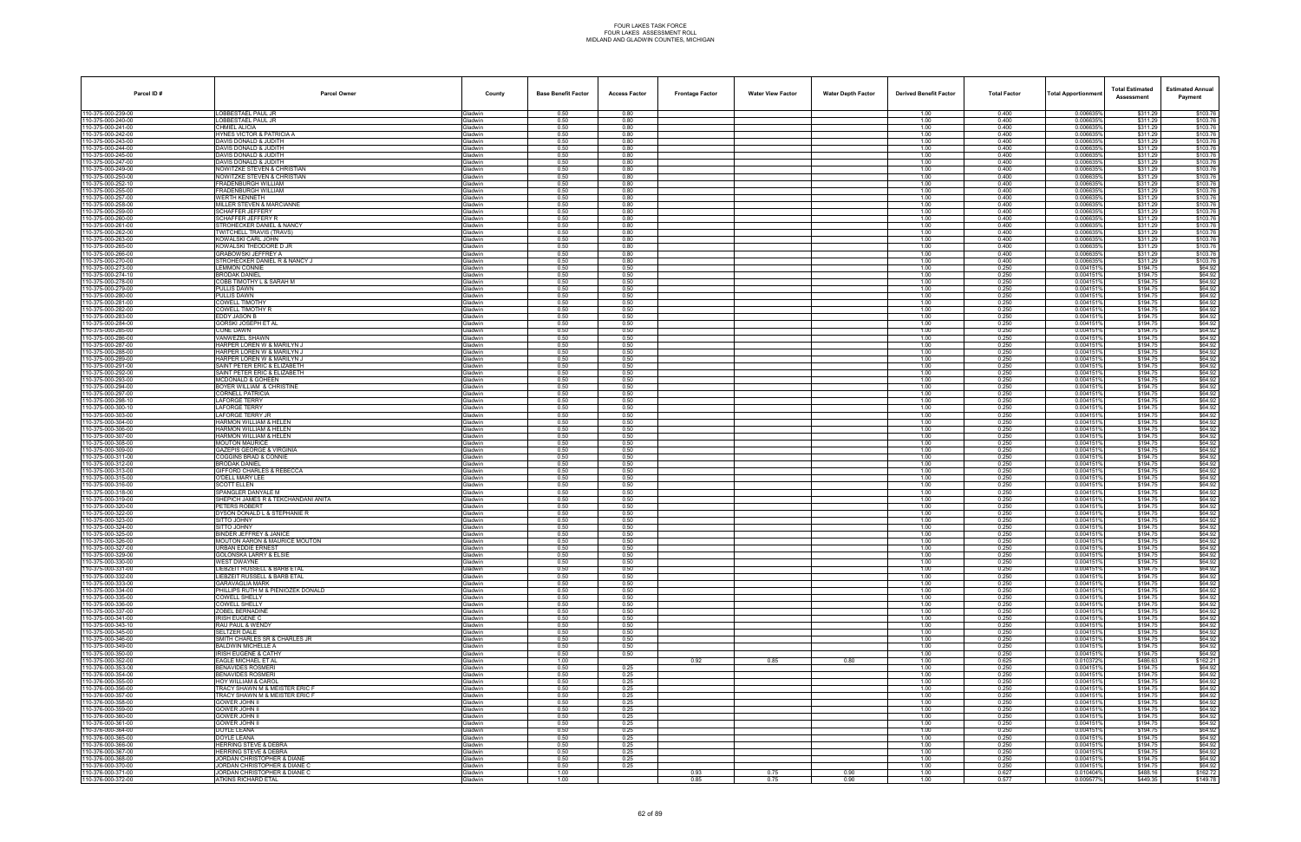| Parcel ID#                             | <b>Parcel Owner</b>                                                      | County                    | <b>Base Benefit Factor</b> | <b>Access Factor</b> | <b>Frontage Factor</b> | <b>Water View Factor</b> | <b>Water Depth Factor</b> | <b>Derived Benefit Factor</b> | <b>Total Factor</b> | <b>Total Apportionment</b> | <b>Total Estimated</b><br>Assessment | <b>Estimated Annual</b><br>Payment |
|----------------------------------------|--------------------------------------------------------------------------|---------------------------|----------------------------|----------------------|------------------------|--------------------------|---------------------------|-------------------------------|---------------------|----------------------------|--------------------------------------|------------------------------------|
| 110-375-000-239-00                     | LOBBESTAEL PAUL JR                                                       | Gladwin                   | 0.50                       | 0.80                 |                        |                          |                           | 1.00                          | 0.400               | 0.006635%                  | \$311.29                             | \$103.76                           |
| 10-375-000-240-00                      | OBBESTAEL PAUL JR                                                        | Gladwin                   | 0.50                       | 0.80                 |                        |                          |                           | 1.00                          | 0.400               | 0.006635%                  | \$311.29                             | \$103.76                           |
| 10-375-000-241-00<br>10-375-000-242-00 | CHMIEL ALICIA<br><b>HYNES VICTOR &amp; PATRICIA A</b>                    | Gladwin<br>Gladwin        | 0.50<br>0.50               | 0.80<br>0.80         |                        |                          |                           | 1.00<br>1.00                  | 0.400<br>0.400      | 0.0066359<br>0.006635%     | \$311.29<br>\$311.29                 | \$103.76<br>\$103.76               |
| 10-375-000-243-00                      | DAVIS DONALD & JUDITH                                                    | Gladwin                   | 0.50                       | 0.80                 |                        |                          |                           | 1.00                          | 0.400               | 0.006635%                  | \$311.29                             | \$103.76                           |
| 10-375-000-244-00                      | DAVIS DONALD & JUDITH                                                    | Gladwin                   | 0.50                       | 0.80                 |                        |                          |                           | 1.00                          | 0.400               | 0.006635%                  | \$311.29                             | \$103.76                           |
| 10-375-000-245-00<br>10-375-000-247-00 | DAVIS DONALD & JUDITH<br>DAVIS DONALD & JUDITH                           | Gladwin<br>Gladwin        | 0.50<br>0.50               | 0.80<br>0.80         |                        |                          |                           | 1.00<br>1.00                  | 0.400<br>0.400      | 0.0066359<br>0.006635      | \$311.29<br>\$311.29                 | \$103.76<br>\$103.76               |
| 10-375-000-249-00                      | NOWITZKE STEVEN & CHRISTIAN                                              | Gladwin                   | 0.50                       | 0.80                 |                        |                          |                           | 1.00                          | 0.400               | 0.006635%                  | \$311.29                             | \$103.76                           |
| 10-375-000-250-00                      | NOWITZKE STEVEN & CHRISTIAN                                              | Gladwin                   | 0.50                       | 0.80                 |                        |                          |                           | 1.00                          | 0.400               | 0.006635%                  | \$311.29                             | \$103.76                           |
| 10-375-000-252-10<br>10-375-000-255-00 | FRADENBURGH WILLIAM<br>FRADENBURGH WILLIAM                               | Gladwin<br>Gladwin        | 0.50<br>0.50               | 0.80<br>0.80         |                        |                          |                           | 1.00<br>1.00                  | 0.400<br>0.400      | 0.0066359<br>0.006635%     | \$311.29<br>\$311.29                 | \$103.76<br>\$103.76               |
| 10-375-000-257-00                      | WERTH KENNETH                                                            | Gladwin                   | 0.50                       | 0.80                 |                        |                          |                           | 1.00                          | 0.400               | 0.0066359                  | \$311.29                             | \$103.76                           |
| 10-375-000-258-00                      | <b>MILLER STEVEN &amp; MARCIANNE</b>                                     | Gladwin                   | 0.50                       | 0.80                 |                        |                          |                           | 1.00                          | 0.400               | 0.006635%                  | \$311.29                             | \$103.76                           |
| 10-375-000-259-00<br>10-375-000-260-00 | SCHAFFER JEFFERY<br>SCHAFFER JEFFERY R                                   | Gladwin<br>Gladwin        | 0.50<br>0.50               | 0.80<br>0.80         |                        |                          |                           | 1.00<br>1.00                  | 0.400<br>0.400      | 0.006635%<br>0.0066359     | \$311.29<br>\$311.29                 | \$103.76<br>\$103.76               |
| 10-375-000-261-00                      | STROHECKER DANIEL & NANCY                                                | Gladwin                   | 0.50                       | 0.80                 |                        |                          |                           | 1.00                          | 0.400               | 0.006635%                  | \$311.29                             | \$103.76                           |
| 10-375-000-262-00                      | TWITCHELL TRAVIS (TRAVS)                                                 | Gladwin                   | 0.50                       | 0.80                 |                        |                          |                           | 1.00                          | 0.400               | 0.0066359                  | \$311.29                             | \$103.76                           |
| 10-375-000-263-00<br>10-375-000-265-00 | KOWALSKI CARL JOHN<br><b>KOWALSKI THEODORE D JR</b>                      | Gladwin<br>Gladwin        | 0.50<br>0.50               | 0.80<br>0.80         |                        |                          |                           | 1.00<br>1.00                  | 0.400<br>0.400      | 0.006635%<br>0.006635%     | \$311.29<br>\$311.29                 | \$103.76<br>\$103.76               |
| 10-375-000-266-00                      | GRABOWSKI JEFFREY A                                                      | Gladwin                   | 0.50                       | 0.80                 |                        |                          |                           | 1.00                          | 0.400               | 0.0066359                  | \$311.29                             | \$103.76                           |
| 10-375-000-270-00                      | <b>STROHECKER DANIEL R &amp; NANCY J</b>                                 | Gladwin                   | 0.50                       | 0.80                 |                        |                          |                           | 1.00                          | 0.400               | 0.006635%                  | \$311.29                             | \$103.76                           |
| 10-375-000-273-00<br>10-375-000-274-10 | <b>LEMMON CONNIE</b><br><b>BRODAK DANIEL</b>                             | Gladwin<br>Gladwin        | 0.50<br>0.50               | 0.50<br>0.50         |                        |                          |                           | 1.00<br>1.00                  | 0.250<br>0.250      | 0.0041519<br>0.004151%     | \$194.75<br>\$194.75                 | \$64.92<br>\$64.92                 |
| 10-375-000-278-00                      | COBB TIMOTHY L & SARAH M                                                 | Gladwin                   | 0.50                       | 0.50                 |                        |                          |                           | 1.00                          | 0.250               | 0.004151%                  | \$194.75                             | \$64.92                            |
| 10-375-000-279-00                      | PULLIS DAWN                                                              | Gladwin                   | 0.50                       | 0.50                 |                        |                          |                           | 1.00                          | 0.250               | 0.004151%                  | \$194.75                             | \$64.92                            |
| 10-375-000-280-00                      | PULLIS DAWN                                                              | Gladwin                   | 0.50                       | 0.50                 |                        |                          |                           | 1.00                          | 0.250               | 0.004151%                  | \$194.75                             | \$64.92                            |
| 10-375-000-281-00<br>10-375-000-282-00 | COWELL TIMOTHY<br>COWELL TIMOTHY R                                       | Gladwin<br>Gladwin        | 0.50<br>0.50               | 0.50<br>0.50         |                        |                          |                           | 1.00<br>1.00                  | 0.250<br>0.250      | 0.0041519<br>0.004151%     | \$194.75<br>\$194.75                 | \$64.92<br>\$64.92                 |
| 10-375-000-283-00                      | <b>EDDY JASON B</b>                                                      | Gladwin                   | 0.50                       | 0.50                 |                        |                          |                           | 1.00                          | 0.250               | 0.004151%                  | \$194.75                             | \$64.92                            |
| 10-375-000-284-00                      | GORSKI JOSEPH ET AL                                                      | Gladwin                   | 0.50                       | 0.50                 |                        |                          |                           | 1.00                          | 0.250               | 0.0041519                  | \$194.75                             | \$64.92                            |
| 10-375-000-285-00<br>10-375-000-286-00 | CONE DAWN<br>VANWEZEL SHAWN                                              | Gladwin<br>Gladwin        | 0.50<br>0.50               | 0.50<br>0.50         |                        |                          |                           | 1.00<br>1.00                  | 0.250<br>0.250      | 0.004151%<br>0.0041519     | \$194.75<br>\$194.75                 | \$64.92<br>\$64.92                 |
| 10-375-000-287-00                      | HARPER LOREN W & MARILYN J                                               | Gladwin                   | 0.50                       | 0.50                 |                        |                          |                           | 1.00                          | 0.250               | 0.004151%                  | \$194.75                             | \$64.92                            |
| 10-375-000-288-00                      | HARPER LOREN W & MARILYN J                                               | Gladwin                   | 0.50                       | 0.50                 |                        |                          |                           | 1.00                          | 0.250               | 0.004151%                  | \$194.75                             | \$64.92                            |
| 10-375-000-289-00                      | HARPER LOREN W & MARILYN J                                               | Gladwin                   | 0.50                       | 0.50                 |                        |                          |                           | 1.00                          | 0.250               | 0.0041519                  | \$194.75                             | \$64.92                            |
| 10-375-000-291-00<br>10-375-000-292-00 | SAINT PETER ERIC & ELIZABETH<br>SAINT PETER ERIC & ELIZABETH             | Gladwin<br><b>Gladwin</b> | 0.50<br>0.50               | 0.50<br>0.50         |                        |                          |                           | 1.00<br>1.00                  | 0.250<br>0.250      | 0.004151%<br>0.0041519     | \$194.75<br>\$194.75                 | \$64.92<br>\$64.92                 |
| 10-375-000-293-00                      | <b>MCDONALD &amp; GOHEEN</b>                                             | Gladwin                   | 0.50                       | 0.50                 |                        |                          |                           | 1.00                          | 0.250               | 0.004151%                  | \$194.75                             | \$64.92                            |
| 10-375-000-294-00                      | <b>BOYER WILLIAM &amp; CHRISTINE</b>                                     | Gladwin                   | 0.50                       | 0.50                 |                        |                          |                           | 1.00                          | 0.250               | 0.004151%                  | \$194.75                             | \$64.92                            |
| 10-375-000-297-00<br>10-375-000-298-10 | CORNELL PATRICIA<br><b>LAFORGE TERRY</b>                                 | Gladwin<br>Gladwin        | 0.50<br>0.50               | 0.50<br>0.50         |                        |                          |                           | 1.00<br>1.00                  | 0.250<br>0.250      | 0.0041519<br>0.004151%     | \$194.75<br>\$194.75                 | \$64.92<br>\$64.92                 |
| 10-375-000-300-10                      | <b>AFORGE TERRY</b>                                                      | Gladwin                   | 0.50                       | 0.50                 |                        |                          |                           | 1.00                          | 0.250               | 0.004151%                  | \$194.75                             | \$64.92                            |
| 10-375-000-303-00                      | <b>AFORGE TERRY JR</b>                                                   | Gladwin                   | 0.50                       | 0.50                 |                        |                          |                           | 1.00                          | 0.250               | 0.004151%                  | \$194.75                             | \$64.92                            |
| 10-375-000-304-00<br>10-375-000-306-00 | <b>HARMON WILLIAM &amp; HELEN</b><br>HARMON WILLIAM & HELEN              | Gladwin<br>Gladwin        | 0.50<br>0.50               | 0.50<br>0.50         |                        |                          |                           | 1.00<br>1.00                  | 0.250<br>0.250      | 0.004151%<br>0.0041519     | \$194.75<br>\$194.75                 | \$64.92<br>\$64.92                 |
| 10-375-000-307-00                      | <b>HARMON WILLIAM &amp; HELEN</b>                                        | Gladwin                   | 0.50                       | 0.50                 |                        |                          |                           | 1.00                          | 0.250               | 0.004151%                  | \$194.75                             | \$64.92                            |
| 10-375-000-308-00                      | <b>MOUTON MAURICE</b>                                                    | <b>Gladwin</b>            | 0.50                       | 0.50                 |                        |                          |                           | 1.00                          | 0.250               | 0.0041519                  | \$194.75                             | \$64.92                            |
| 10-375-000-309-00<br>10-375-000-311-00 | <b>GAZEPIS GEORGE &amp; VIRGINIA</b><br><b>COGGINS BRAD &amp; CONNIE</b> | Gladwin<br>Gladwin        | 0.50<br>0.50               | 0.50<br>0.50         |                        |                          |                           | 1.00<br>1.00                  | 0.250<br>0.250      | 0.004151%<br>0.004151%     | \$194.75<br>\$194.75                 | \$64.92<br>\$64.92                 |
| 10-375-000-312-00                      | <b>BRODAK DANIEL</b>                                                     | Gladwin                   | 0.50                       | 0.50                 |                        |                          |                           | 1.00                          | 0.250               | 0.0041519                  | \$194.75                             | \$64.92                            |
| 10-375-000-313-00                      | GIFFORD CHARLES & REBECCA                                                | Gladwin                   | 0.50                       | 0.50                 |                        |                          |                           | 1.00                          | 0.250               | 0.004151%                  | \$194.75                             | \$64.92                            |
| 10-375-000-315-00                      | <b>O'DELL MARY LEE</b>                                                   | Gladwin                   | 0.50                       | 0.50                 |                        |                          |                           | 1.00                          | 0.250               | 0.004151%                  | \$194.75                             | \$64.92                            |
| 10-375-000-316-00<br>10-375-000-318-00 | SCOTT ELLEN<br>SPANGLER DANYALE M                                        | Gladwin<br>Gladwin        | 0.50<br>0.50               | 0.50<br>0.50         |                        |                          |                           | 1.00<br>1.00                  | 0.250<br>0.250      | 0.004151%<br>0.004151%     | \$194.75<br>\$194.75                 | \$64.92<br>\$64.92                 |
| 10-375-000-319-00                      | SHEPICH JAMES R & TEKCHANDANI ANITA                                      | Gladwin                   | 0.50                       | 0.50                 |                        |                          |                           | 1.00                          | 0.250               | 0.0041519                  | \$194.75                             | \$64.92                            |
| 10-375-000-320-00                      | PETERS ROBERT                                                            | Gladwin                   | 0.50                       | 0.50                 |                        |                          |                           | 1.00                          | 0.250               | 0.004151%                  | \$194.75                             | \$64.92                            |
| 10-375-000-322-00<br>10-375-000-323-00 | DYSON DONALD L & STEPHANIE R<br>SITTO JOHNY                              | Gladwin<br>Gladwin        | 0.50<br>0.50               | 0.50<br>0.50         |                        |                          |                           | 1.00<br>1.00                  | 0.250<br>0.250      | 0.0041519<br>0.004151%     | \$194.75<br>\$194.75                 | \$64.92<br>\$64.92                 |
| 10-375-000-324-00                      | SITTO JOHNY                                                              | Gladwin                   | 0.50                       | 0.50                 |                        |                          |                           | 1.00                          | 0.250               | 0.004151%                  | \$194.75                             | \$64.92                            |
| 10-375-000-325-00                      | <b>BINDER JEFFREY &amp; JANICE</b>                                       | Gladwin                   | 0.50                       | 0.50                 |                        |                          |                           | 1.00                          | 0.250               | 0.0041519                  | \$194.75                             | \$64.92                            |
| 10-375-000-326-00<br>10-375-000-327-00 | MOUTON AARON & MAURICE MOUTON<br>URBAN EDDIE ERNEST                      | Gladwin<br><b>Gladwin</b> | 0.50<br>0.50               | 0.50<br>0.50         |                        |                          |                           | 1.00<br>1.00                  | 0.250<br>0.250      | 0.004151%<br>0.004151%     | \$194.75<br>\$194.75                 | \$64.92<br>\$64.92                 |
| 10-375-000-329-00                      | GOLONSKA LARRY & ELSIE                                                   | Gladwin                   | 0.50                       | 0.50                 |                        |                          |                           | 1.00                          | 0.250               | 0.004151%                  | \$194.75                             | \$64.92                            |
| 10-375-000-330-00                      | <b>WEST DWAYNE</b>                                                       | Gladwin                   | 0.50                       | 0.50                 |                        |                          |                           | 1.00                          | 0.250               | 0.004151%                  | \$194.75                             | \$64.92                            |
| 10-375-000-331-00<br>10-375-000-332-00 | <b>LIEBZEIT RUSSELL &amp; BARB ETAL</b><br>LIEBZEIT RUSSELL & BARB ETAL  | Gladwin<br>Gladwin        | 0.50<br>0.50               | 0.50<br>0.50         |                        |                          |                           | 1.00<br>1.00                  | 0.250<br>0.250      | 0.004151%<br>0.004151%     | \$194.75<br>\$194.75                 | \$64.92<br>\$64.92                 |
| 10-375-000-333-00                      | <b>GARAVAGLIA MARK</b>                                                   | Gladwin                   | 0.50                       | 0.50                 |                        |                          |                           | 1.00                          | 0.250               | 0.004151%                  | \$194.75                             | \$64.92                            |
| 10-375-000-334-00                      | HILLIPS RUTH M & PIENIOZEK DONALD                                        | Gladwin                   | 0.50                       | 0.50                 |                        |                          |                           | 1.00                          | 0.250               | 0.004151%                  | \$194.75                             | \$64.92                            |
| 10-375-000-335-00                      | COWELL SHELLY<br>COWELL SHELLY                                           | Gladwin                   | 0.50                       | 0.50                 |                        |                          |                           | 1.00                          | 0.250               | 0.004151%<br>0.004151%     | \$194.75<br>\$194.75                 | \$64.92<br>\$64.92                 |
| 10-375-000-336-00<br>10-375-000-337-00 | ZOBEL BERNADINE                                                          | Gladwin<br>Gladwin        | 0.50<br>0.50               | 0.50<br>0.50         |                        |                          |                           | 1.00<br>1.00                  | 0.250<br>0.250      | 0.004151%                  | \$194.75                             | \$64.92                            |
| 10-375-000-341-00                      | RISH EUGENE C                                                            | Gladwin                   | 0.50                       | 0.50                 |                        |                          |                           | 1.00                          | 0.250               | 0.004151%                  | \$194.75                             | \$64.92                            |
| 10-375-000-343-10                      | RAU PAUL & WENDY                                                         | Gladwin                   | 0.50                       | 0.50                 |                        |                          |                           | 1.00                          | 0.250               | 0.004151%                  | \$194.75                             | \$64.92                            |
| 10-375-000-345-00<br>10-375-000-346-00 | SELTZER DALE<br>SMITH CHARLES SR & CHARLES JR                            | Gladwin<br>Gladwin        | 0.50<br>0.50               | 0.50<br>0.50         |                        |                          |                           | 1.00<br>1.00                  | 0.250<br>0.250      | 0.004151%<br>0.004151%     | \$194.75<br>\$194.75                 | \$64.92<br>\$64.92                 |
| 10-375-000-349-00                      | BALDWIN MICHELLE A                                                       | Gladwin                   | 0.50                       | 0.50                 |                        |                          |                           | 1.00                          | 0.250               | 0.004151%                  | \$194.75                             | \$64.92                            |
| 10-375-000-350-00                      | RISH EUGENE & CATHY                                                      | Gladwin                   | 0.50                       | 0.50                 |                        |                          |                           | 1.00                          | 0.250               | 0.004151%                  | \$194.75                             | \$64.92                            |
| 10-375-000-352-00<br>10-376-000-353-00 | <b>EAGLE MICHAEL ET AL</b><br><b>BENAVIDES ROSMERI</b>                   | Gladwin<br>Gladwin        | 1.00<br>0.50               | 0.25                 | 0.92                   | 0.85                     | 0.80                      | 1.00<br>1.00                  | 0.625<br>0.250      | 0.010372%<br>0.004151%     | \$486.63<br>\$194.75                 | \$162.21<br>\$64.92                |
| 10-376-000-354-00                      | BENAVIDES ROSMERI                                                        | Gladwin                   | 0.50                       | 0.25                 |                        |                          |                           | 1.00                          | 0.250               | 0.004151%                  | \$194.75                             | \$64.92                            |
| 10-376-000-355-00                      | <b>HOY WILLIAM &amp; CAROL</b>                                           | Gladwin                   | 0.50                       | 0.25                 |                        |                          |                           | 1.00                          | 0.250               | 0.004151%                  | \$194.75                             | \$64.92                            |
| 10-376-000-356-00<br>10-376-000-357-00 | TRACY SHAWN M & MEISTER ERIC F<br>TRACY SHAWN M & MEISTER ERIC F         | Gladwin<br>Gladwin        | 0.50<br>0.50               | 0.25<br>0.25         |                        |                          |                           | 1.00<br>1.00                  | 0.250<br>0.250      | 0.004151%<br>0.004151%     | \$194.75<br>\$194.75                 | \$64.92<br>\$64.92                 |
| 10-376-000-358-00                      | <b>GOWER JOHN II</b>                                                     | Gladwin                   | 0.50                       | 0.25                 |                        |                          |                           | 1.00                          | 0.250               | 0.004151%                  | \$194.75                             | \$64.92                            |
| 10-376-000-359-00                      | GOWER JOHN II                                                            | Gladwin                   | 0.50                       | 0.25                 |                        |                          |                           | 1.00                          | 0.250               | 0.004151%                  | \$194.75                             | \$64.92                            |
| 10-376-000-360-00<br>10-376-000-361-00 | GOWER JOHN II<br><b>GOWER JOHN II</b>                                    | Gladwin<br>Gladwin        | 0.50<br>0.50               | 0.25<br>0.25         |                        |                          |                           | 1.00<br>1.00                  | 0.250<br>0.250      | 0.004151%<br>0.004151%     | \$194.75<br>\$194.75                 | \$64.92<br>\$64.92                 |
| 10-376-000-364-00                      | DOYLE LEANA                                                              | Gladwin                   | 0.50                       | 0.25                 |                        |                          |                           | 1.00                          | 0.250               | 0.004151%                  | \$194.75                             | \$64.92                            |
| 10-376-000-365-00                      | DOYLE LEANA                                                              | Gladwin                   | 0.50                       | 0.25                 |                        |                          |                           | 1.00                          | 0.250               | 0.004151%                  | \$194.75                             | \$64.92                            |
| 10-376-000-366-00                      | <b>HERRING STEVE &amp; DEBRA</b>                                         | Gladwin                   | 0.50                       | 0.25                 |                        |                          |                           | 1.00                          | 0.250               | 0.004151%                  | \$194.75                             | \$64.92                            |
| 10-376-000-367-00<br>10-376-000-368-00 | HERRING STEVE & DEBRA<br>JORDAN CHRISTOPHER & DIANE                      | Gladwin<br>Gladwin        | 0.50<br>0.50               | 0.25<br>0.25         |                        |                          |                           | 1.00<br>1.00                  | 0.250<br>0.250      | 0.004151%<br>0.004151%     | \$194.75<br>\$194.75                 | \$64.92<br>\$64.92                 |
| 10-376-000-370-00                      | JORDAN CHRISTOPHER & DIANE O                                             | Gladwin                   | 0.50                       | 0.25                 |                        |                          |                           | 1.00                          | 0.250               | 0.004151%                  | \$194.75                             | \$64.92                            |
| 10-376-000-371-00                      | JORDAN CHRISTOPHER & DIANE C                                             | Gladwin                   | 1.00                       |                      | 0.93                   | 0.75                     | 0.90                      | 1.00                          | 0.627               | 0.010404%                  | \$488.16                             | \$162.72                           |
| 110-376-000-372-00                     | ATKINS RICHARD ETAL                                                      | Gladwin                   | 1.00                       |                      | 0.85                   | 0.75                     | 0.90                      | 1.00                          | 0.577               | 0.009577%                  | \$449.35                             | \$149.78                           |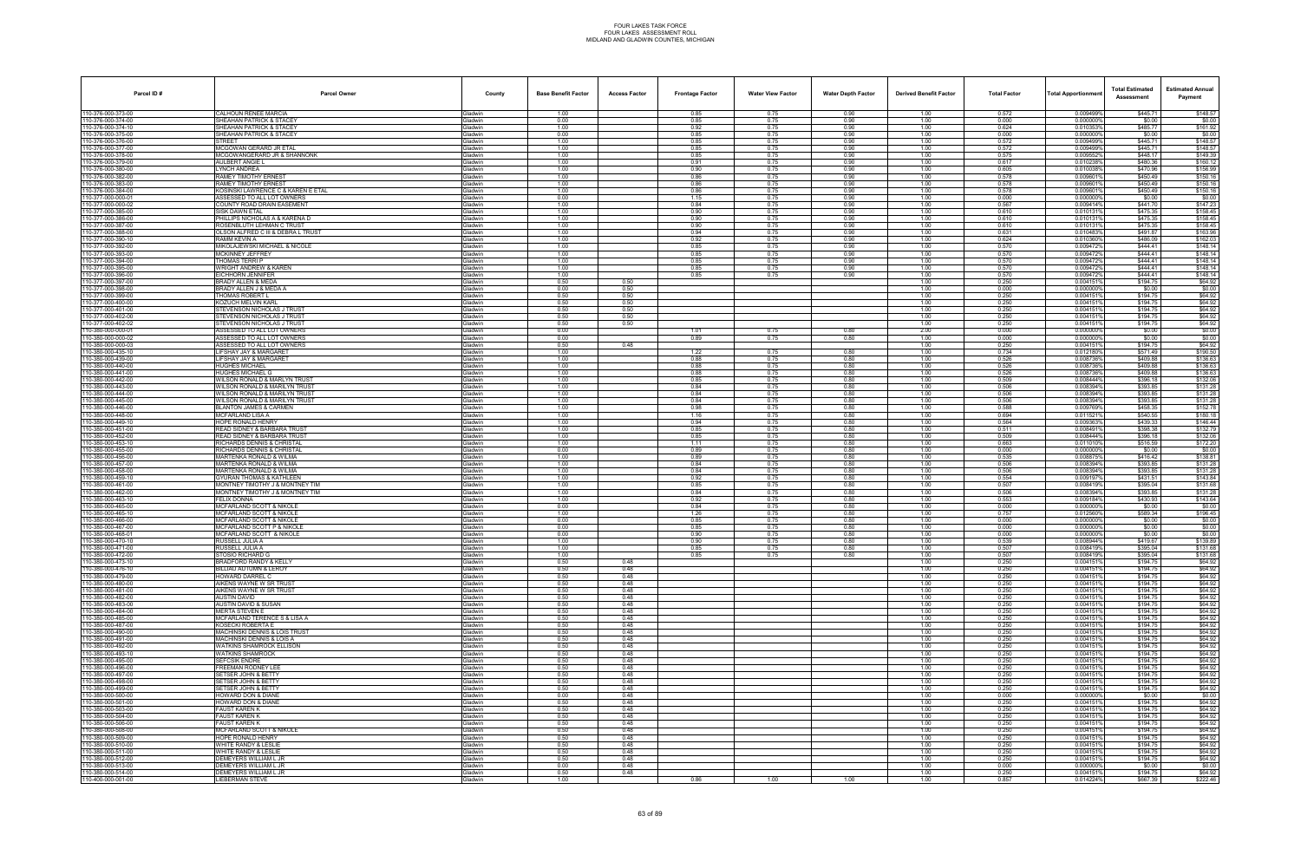| Parcel ID#                               | <b>Parcel Owner</b>                                               | County                           | <b>Base Benefit Factor</b> | <b>Access Factor</b> | <b>Frontage Factor</b> | <b>Water View Factor</b> | <b>Water Depth Factor</b> | <b>Derived Benefit Factor</b> | <b>Total Factor</b> | <b>Total Apportionmen</b> | <b>Total Estimated</b><br>Assessment | <b>Estimated Annual</b><br>Payment |
|------------------------------------------|-------------------------------------------------------------------|----------------------------------|----------------------------|----------------------|------------------------|--------------------------|---------------------------|-------------------------------|---------------------|---------------------------|--------------------------------------|------------------------------------|
| 110-376-000-373-00                       | CALHOUN RENEE MARCIA                                              | Gladwin                          | 1.00                       |                      | 0.85                   | 0.75                     | 0.90                      | 1.00                          | 0.572               | 0.009499%                 | \$445.71                             | \$148.57                           |
| 110-376-000-374-00<br>110-376-000-374-10 | SHEAHAN PATRICK & STACEY<br>SHEAHAN PATRICK & STACEY              | Gladwin<br>iladwin               | 0.00<br>1.00               |                      | 0.85<br>0.92           | 0.75<br>0.75             | 0.90<br>0.90              | 1.00<br>1.00                  | 0.000<br>0.624      | 0.000000%<br>0.010353%    | \$0.00<br>\$485.77                   | \$0.00<br>\$161.92                 |
| 110-376-000-375-00                       | SHEAHAN PATRICK & STACEY                                          | <b>Sladwin</b>                   | 0.00                       |                      | 0.85                   | 0.75                     | 0.90                      | 1.00                          | 0.000               | 0.000000%                 | \$0.00                               | \$0.00                             |
| 110-376-000-376-00<br>110-376-000-377-00 | <b>STREET</b><br>MCGOWAN GERARD JR ETAL                           | Gladwin<br>Gladwin               | 1.00<br>1.00               |                      | 0.85<br>0.85           | 0.75<br>0.75             | 0.90<br>0.90              | 1.00<br>1.00                  | 0.572<br>0.572      | 0.009499%<br>0.009499%    | \$445.71<br>\$445.71                 | \$148.57<br>\$148.57               |
| 110-376-000-378-00                       | MCGOWANGERARD JR & SHANNONK                                       | Gladwin                          | 1.00                       |                      | 0.85                   | 0.75                     | 0.90                      | 1.00                          | 0.575               | 0.009552%                 | \$448.17                             | \$149.39                           |
| 110-376-000-379-00<br>110-376-000-380-00 | AULBERT ANGIE L<br><b>LYNCH ANDREA</b>                            | iladwin<br><b>Gladwin</b>        | 1.00                       |                      | 0.91                   | 0.75                     | 0.90<br>0.90              | 1.00                          | 0.617<br>0.605      | 0.010238%                 | \$480.36<br>\$470.96                 | \$160.12                           |
| 110-376-000-382-00                       | RAMEY TIMOTHY ERNEST                                              | Gladwin                          | 1.00<br>1.00               |                      | 0.90<br>0.86           | 0.75<br>0.75             | 0.90                      | 1.00<br>1.00                  | 0.578               | 0.010038%<br>0.009601%    | \$450.49                             | \$156.99<br>\$150.16               |
| 110-376-000-383-00                       | RAMEY TIMOTHY ERNEST                                              | <b>Gladwin</b>                   | 1.00                       |                      | 0.86                   | 0.75                     | 0.90                      | 1.00                          | 0.578               | 0.009601%                 | \$450.49                             | \$150.16                           |
| 110-376-000-384-00<br>110-377-000-000-01 | KOSINSKI LAWRENCE C & KAREN E ETAL<br>ASSESSED TO ALL LOT OWNERS  | Gladwin<br><b>Gladwin</b>        | 1.00<br>0.00               |                      | 0.86<br>1.15           | 0.75<br>0.75             | 0.90<br>0.90              | 1.00<br>1.00                  | 0.578<br>0.000      | 0.009601%<br>0.000000%    | \$450.49<br>\$0.00                   | \$150.16<br>\$0.00                 |
| 110-377-000-000-02                       | COUNTY ROAD DRAIN EASEMENT                                        | <b>Gladwin</b>                   | 1.00                       |                      | 0.84                   | 0.75                     | 0.90                      | 1.00                          | 0.567               | 0.009414%                 | \$441.70                             | \$147.23                           |
| 110-377-000-385-00<br>110-377-000-386-00 | <b>SISK DAWN ETAL</b><br>PHILLIPS NICHOLAS A & KARENA D           | Gladwin<br>Gladwin               | 1.00<br>1.00               |                      | 0.90<br>0.90           | 0.75<br>0.75             | 0.90<br>0.90              | 1.00<br>1.00                  | 0.610<br>0.610      | 0.010131%<br>0.010131%    | \$475.35<br>\$475.35                 | \$158.45<br>\$158.45               |
| 110-377-000-387-00                       | ROSENBLUTH LEHMAN C TRUST                                         | <b>Gladwin</b>                   | 1.00                       |                      | 0.90                   | 0.75                     | 0.90                      | 1.00                          | 0.610               | 0.010131%                 | \$475.35                             | \$158.45                           |
| 110-377-000-388-00<br>110-377-000-390-10 | OLSON ALFRED C III & DEBRA L TRUST<br>RAMM KEVIN A                | iladwin<br><b>Sladwin</b>        | 1.00<br>1.00               |                      | 0.94<br>0.92           | 0.75<br>0.75             | 0.90<br>0.90              | 1.00<br>1.00                  | 0.631<br>0.624      | 0.010483%<br>0.010360%    | \$491.87<br>\$486.09                 | \$163.96<br>\$162.03               |
| 110-377-000-392-00                       | MIKOLAJEWSKI MICHAEL & NICOLE                                     | Gladwin                          | 1.00                       |                      | 0.85                   | 0.75                     | 0.90                      | 1.00                          | 0.570               | 0.009472%                 | \$444.41                             | \$148.14                           |
| 110-377-000-393-00<br>110-377-000-394-00 | MCKINNEY JEFFREY<br>THOMAS TERRI P                                | <b>Gladwin</b><br><b>Gladwin</b> | 1.00<br>1.00               |                      | 0.85<br>0.85           | 0.75<br>0.75             | 0.90<br>0.90              | 1.00<br>1.00                  | 0.570<br>0.570      | 0.009472%<br>0.009472%    | \$444.41<br>\$444.41                 | \$148.14<br>\$148.14               |
| 110-377-000-395-00                       | WRIGHT ANDREW & KAREN                                             | iladwin                          | 1.00                       |                      | 0.85                   | 0.75                     | 0.90                      | 1.00                          | 0.570               | 0.009472%                 | \$444.41                             | \$148.14                           |
| 110-377-000-396-00<br>110-377-000-397-00 | EICHHORN JENNIFER<br>BRADY ALLEN & MEDA                           | <b>Gladwin</b><br>Gladwin        | 1.00<br>0.50               | 0.50                 | 0.85                   | 0.75                     | 0.90                      | 1.00<br>1.00                  | 0.570               | 0.009472%<br>0.004151%    | \$444.41<br>\$194.75                 | \$148.14<br>\$64.92                |
| 110-377-000-398-00                       | BRADY ALLEN J & MEDA A                                            | Gladwin                          | 0.00                       | 0.50                 |                        |                          |                           | 1.00                          | 0.250<br>0.000      | 0.000000%                 | \$0.00                               | \$0.00                             |
| 110-377-000-399-00                       | THOMAS ROBERT L                                                   | <b>Gladwin</b>                   | 0.50<br>0.50               | 0.50<br>0.50         |                        |                          |                           | 1.00<br>1.00                  | 0.250               | 0.004151%                 | \$194.75                             | \$64.92                            |
| 110-377-000-400-00<br>110-377-000-401-00 | KOZUCH MELVIN KARL<br>STEVENSON NICHOLAS J TRUST                  | iladwin<br>3ladwin               | 0.50                       | 0.50                 |                        |                          |                           | 1.00                          | 0.250<br>0.250      | 0.0041519<br>0.004151%    | \$194.75<br>\$194.75                 | \$64.92<br>\$64.92                 |
| 110-377-000-402-00                       | STEVENSON NICHOLAS J TRUST                                        | Gladwin                          | 0.50                       | 0.50                 |                        |                          |                           | 1.00                          | 0.250               | 0.0041519                 | \$194.75                             | \$64.92                            |
| 110-377-000-402-02<br>110-380-000-000-01 | STEVENSON NICHOLAS J TRUST<br>ASSESSED TO ALL LOT OWNERS          | Gladwin<br><b>Gladwin</b>        | 0.50<br>0.00               | 0.50                 | 1.01                   | 0.75                     | 0.80                      | 1.00<br>2.00                  | 0.250<br>0.000      | 0.004151%<br>0.0000009    | \$194.75<br>\$0.00                   | \$64.92<br>\$0.00                  |
| 110-380-000-000-02                       | ASSESSED TO ALL LOT OWNERS                                        | iladwin                          | 0.00                       |                      | 0.89                   | 0.75                     | 0.80                      | 1.00                          | 0.000               | 0.000000%                 | \$0.00                               | \$0.00                             |
| 110-380-000-000-03<br>110-380-000-435-10 | ASSESSED TO ALL LOT OWNERS<br>LIFSHAY JAY & MARGARET              | <b>Gladwin</b><br>Gladwin        | 0.50<br>1.00               | 0.48                 | 1.22                   | 0.75                     | 0.80                      | 1.00<br>1.00                  | 0.250<br>0.734      | 0.004151%<br>0.0121809    | \$194.75<br>\$571.49                 | \$64.92<br>\$190.50                |
| 110-380-000-439-00                       | <b>LIFSHAY JAY &amp; MARGARET</b>                                 | Gladwin                          | 1.00                       |                      | 0.88                   | 0.75                     | 0.80                      | 1.00                          | 0.526               | 0.008736%                 | \$409.88                             | \$136.63                           |
| 110-380-000-440-00<br>110-380-000-441-00 | <b>HUGHES MICHAEL</b><br>HUGHES MICHAEL G                         | <b>Gladwin</b><br>iladwin        | 1.00<br>1.00               |                      | 0.88<br>0.88           | 0.75<br>0.75             | 0.80<br>0.80              | 1.00<br>1.00                  | 0.526<br>0.526      | 0.008736<br>0.008736      | \$409.88<br>\$409.88                 | \$136.63<br>\$136.63               |
| 110-380-000-442-00                       | WILSON RONALD & MARLYN TRUST                                      | <b>Sladwin</b>                   | 1.00                       |                      | 0.85                   | 0.75                     | 0.80                      | 1.00                          | 0.509               | 0.008444%                 | \$396.18                             | \$132.06                           |
| 110-380-000-443-00<br>110-380-000-444-00 | WILSON RONALD & MARILYN TRUS<br>WILSON RONALD & MARILYN TRUST     | <b>Gladwin</b><br><b>Gladwin</b> | 1.00<br>1.00               |                      | 0.84<br>0.84           | 0.75<br>0.75             | 0.80<br>0.80              | 1.00<br>1.00                  | 0.506<br>0.506      | 0.008394%<br>0.008394%    | \$393.85<br>\$393.85                 | \$131.28<br>\$131.28               |
| 110-380-000-445-00                       | WILSON RONALD & MARILYN TRUST                                     | <b>Gladwin</b>                   | 1.00                       |                      | 0.84                   | 0.75                     | 0.80                      | 1.00                          | 0.506               | 0.008394%                 | \$393.85                             | \$131.28                           |
| 110-380-000-446-00                       | <b>BLANTON JAMES &amp; CARMEN</b><br>MCFARLAND LISA A             | iladwin<br><b>Gladwin</b>        | 1.00<br>1.00               |                      | 0.98<br>1.16           | 0.75                     | 0.80<br>0.80              | 1.00<br>1.00                  | 0.588<br>0.694      | 0.009769%<br>0.011521%    | \$458.35<br>\$540.55                 | \$152.78<br>\$180.18               |
| 110-380-000-448-00<br>110-380-000-449-10 | HOPE RONALD HENRY                                                 | Gladwin                          | 1.00                       |                      | 0.94                   | 0.75<br>0.75             | 0.80                      | 1.00                          | 0.564               | 0.009363%                 | \$439.33                             | \$146.44                           |
| 110-380-000-451-00                       | READ SIDNEY & BARBARA TRUST                                       | Gladwin                          | 1.00                       |                      | 0.85                   | 0.75                     | 0.80                      | 1.00                          | 0.511               | 0.008491%                 | \$398.38                             | \$132.79                           |
| 110-380-000-452-00<br>110-380-000-453-10 | READ SIDNEY & BARBARA TRUST<br>RICHARDS DENNIS & CHRISTAL         | <b>Gladwin</b><br>iladwin        | 1.00<br>1.00               |                      | 0.85<br>1.11           | 0.75<br>0.75             | 0.80<br>0.80              | 1.00<br>1.00                  | 0.509<br>0.663      | 0.008444%<br>0.011010     | \$396.18<br>\$516.59                 | \$132.06<br>\$172.20               |
| 110-380-000-455-00                       | RICHARDS DENNIS & CHRISTAL                                        | <b>Gladwin</b>                   | 0.00                       |                      | 0.89                   | 0.75                     | 0.80                      | 1.00                          | 0.000               | 0.000000%                 | \$0.00                               | \$0.00                             |
| 110-380-000-456-00<br>110-380-000-457-00 | MARTENKA RONALD & WILMA<br><b>MARTENKA RONALD &amp; WILMA</b>     | <b>Gladwin</b><br>Gladwin        | 1.00<br>1.00               |                      | 0.89<br>0.84           | 0.75<br>0.75             | 0.80<br>0.80              | 1.00<br>1.00                  | 0.535<br>0.506      | 0.008875%<br>0.008394%    | \$416.42<br>\$393.85                 | \$138.81<br>\$131.28               |
| 110-380-000-458-00                       | MARTENKA RONALD & WILMA                                           | <b>Gladwin</b>                   | 1.00                       |                      | 0.84                   | 0.75                     | 0.80                      | 1.00                          | 0.506               | 0.008394%                 | \$393.85                             | \$131.28                           |
| 110-380-000-459-10<br>110-380-000-461-00 | GYURAN THOMAS & KATHLEEN<br>MONTNEY TIMOTHY J & MONTNEY TIM       | <b>Gladwin</b><br><b>Gladwin</b> | 1.00<br>1.00               |                      | 0.92<br>0.85           | 0.75<br>0.75             | 0.80<br>0.80              | 1.00<br>1.00                  | 0.554<br>0.507      | 0.0091979<br>0.008419%    | \$431.51<br>\$395.04                 | \$143.84<br>\$131.68               |
| 110-380-000-462-00                       | MONTNEY TIMOTHY J & MONTNEY TIM                                   | Gladwin                          | 1.00                       |                      | 0.84                   | 0.75                     | 0.80                      | 1.00                          | 0.506               | 0.008394%                 | \$393.85                             | \$131.28                           |
| 110-380-000-463-10<br>110-380-000-465-00 | <b>FELIX DONNA</b><br>MCFARLAND SCOTT & NIKOLE                    | Gladwin<br><b>Gladwin</b>        | 1.00<br>0.00               |                      | 0.92<br>0.84           | 0.75<br>0.75             | 0.80<br>0.80              | 1.00<br>1.00                  | 0.553<br>0.000      | 0.009184%<br>0.000000%    | \$430.93<br>\$0.00                   | \$143.64<br>\$0.00                 |
| 110-380-000-465-10                       | MCFARLAND SCOTT & NIKOLE                                          | <b>Gladwin</b>                   | 1.00                       |                      | 1.26                   | 0.75                     | 0.80                      | 1.00                          | 0.757               | 0.012560%                 | \$589.34                             | \$196.45                           |
| 110-380-000-466-00<br>110-380-000-467-00 | <b>MCFARLAND SCOTT &amp; NIKOLE</b><br>MCFARLAND SCOTT P & NIKOLE | <b>Gladwin</b><br><b>Gladwin</b> | 0.00<br>0.00               |                      | 0.85<br>0.85           | 0.75<br>0.75             | 0.80<br>0.80              | 1.00<br>1.00                  | 0.000<br>0.000      | 0.000000%<br>0.0000009    | \$0.00<br>\$0.00                     | \$0.00<br>\$0.00                   |
| 110-380-000-468-01                       | MCFARLAND SCOTT & NIKOLE                                          | Gladwin                          | 0.00                       |                      | 0.90                   | 0.75                     | 0.80                      | 1.00                          | 0.000               | 0.000000%                 | \$0.00                               | \$0.00                             |
| 110-380-000-470-10<br>110-380-000-471-00 | RUSSELL JULIA A<br>RUSSELL JULIA A                                | <b>Gladwin</b><br>iladwin        | 1.00<br>1.00               |                      | 0.90<br>0.85           | 0.75<br>0.75             | 0.80<br>0.80              | 1.00<br>1.00                  | 0.539<br>0.507      | 0.008944%<br>0.008419%    | \$419.67<br>\$395.04                 | \$139.89<br>\$131.68               |
| 110-380-000-472-00                       | STOSIO RICHARD G                                                  | Gladwin                          | 1.00                       |                      | 0.85                   | 0.75                     | 0.80                      | 1.00                          | 0.507               | 0.008419%                 | \$395.04                             | \$131.68                           |
| 110-380-000-473-10<br>110-380-000-476-10 | BRADFORD RANDY & KELLY<br>BILLIAU AUTUMN & LEROY                  | Gladwin<br>Gladwin               | 0.50<br>0.50               | 0.48<br>0.48         |                        |                          |                           | 1.00<br>1.00                  | 0.250<br>0.250      | 0.004151%<br>0.004151%    | \$194.75<br>\$194.75                 | \$64.92<br>\$64.92                 |
| 110-380-000-479-00                       | HOWARD DARREL C                                                   | Gladwin                          | 0.50                       | 0.48                 |                        |                          |                           | 1.00                          | 0.250               | 0.004151%                 | \$194.75                             | \$64.92                            |
| 110-380-000-480-00<br>110-380-000-481-00 | AIKENS WAYNE W SR TRUST<br>AIKENS WAYNE W SR TRUST                | <b>Gladwin</b><br>Gladwin        | 0.50<br>0.50               | 0.48<br>0.48         |                        |                          |                           | 1.00<br>1.00                  | 0.250<br>0.250      | 0.004151%<br>0.004151%    | \$194.75<br>\$194.75                 | \$64.92<br>\$64.92                 |
| 110-380-000-482-00                       | <b>AUSTIN DAVID</b>                                               | <b>Gladwin</b>                   | 0.50                       | 0.48                 |                        |                          |                           | 1.00                          | 0.250               | 0.004151%                 | \$194.75                             | \$64.92                            |
| 110-380-000-483-00<br>110-380-000-484-00 | AUSTIN DAVID & SUSAN<br><b>MERTA STEVEN E</b>                     | Gladwin<br><b>Gladwin</b>        | 0.50<br>0.50               | 0.48<br>0.48         |                        |                          |                           | 1.00<br>1.00                  | 0.250<br>0.250      | 0.004151%<br>0.004151%    | \$194.75<br>\$194.75                 | \$64.92<br>\$64.92                 |
| 110-380-000-485-00                       | MCFARLAND TERENCE S & LISA A                                      | <b>Gladwin</b>                   | 0.50                       | 0.48                 |                        |                          |                           | 1.00                          | 0.250               | 0.004151%                 | \$194.75                             | \$64.92                            |
| 110-380-000-487-00<br>110-380-000-490-00 | KOSECKI ROBERTA E<br><b>MACHINSKI DENNIS &amp; LOIS TRUST</b>     | Gladwin<br>Gladwin               | 0.50<br>0.50               | 0.48<br>0.48         |                        |                          |                           | 1.00<br>1.00                  | 0.250<br>0.250      | 0.004151%<br>0.004151%    | \$194.75<br>\$194.75                 | \$64.92<br>\$64.92                 |
| 110-380-000-491-00                       | <b>MACHINSKI DENNIS &amp; LOIS A</b>                              | Gladwin                          | 0.50                       | 0.48                 |                        |                          |                           | 1.00                          | 0.250               | 0.004151%                 | \$194.75                             | \$64.92                            |
| 110-380-000-492-00<br>110-380-000-493-10 | WATKINS SHAMROCK ELLISON<br><b>WATKINS SHAMROCK</b>               | Gladwin<br><b>Gladwin</b>        | 0.50<br>0.50               | 0.48<br>0.48         |                        |                          |                           | 1.00<br>1.00                  | 0.250<br>0.250      | 0.004151%<br>0.004151%    | \$194.75<br>\$194.75                 | \$64.92<br>\$64.92                 |
| 110-380-000-495-00                       | <b>SEFCSIK ENDRE</b>                                              | Gladwin                          | 0.50                       | 0.48                 |                        |                          |                           | 1.00                          | 0.250               | 0.004151%                 | \$194.75                             | \$64.92                            |
| 110-380-000-496-00<br>110-380-000-497-00 | <b>FREEMAN RODNEY LEE</b><br>SETSER JOHN & BETTY                  | Gladwin<br>Gladwin               | 0.50<br>0.50               | 0.48<br>0.48         |                        |                          |                           | 1.00<br>1.00                  | 0.250<br>0.250      | 0.004151%<br>0.004151%    | \$194.75<br>\$194.75                 | \$64.92<br>\$64.92                 |
| 110-380-000-498-00                       | SETSER JOHN & BETTY                                               | Gladwin                          | 0.50                       | 0.48                 |                        |                          |                           | 1.00                          | 0.250               | 0.004151%                 | \$194.75                             | \$64.92                            |
| 110-380-000-499-00<br>110-380-000-500-00 | SETSER JOHN & BETTY<br><b>HOWARD DON &amp; DIANE</b>              | <b>Gladwin</b><br>Gladwin        | 0.50<br>0.00               | 0.48<br>0.48         |                        |                          |                           | 1.00<br>1.00                  | 0.250<br>0.000      | 0.004151%<br>0.000000%    | \$194.75<br>\$0.00                   | \$64.92<br>\$0.00                  |
| 110-380-000-501-00                       | <b>HOWARD DON &amp; DIANE</b>                                     | Gladwin                          | 0.50                       | 0.48                 |                        |                          |                           | 1.00                          | 0.250               | 0.004151%                 | \$194.75                             | \$64.92                            |
| 110-380-000-503-00                       | <b>FAUST KAREN K</b>                                              | Gladwin                          | 0.50                       | 0.48                 |                        |                          |                           | 1.00                          | 0.250               | 0.004151%                 | \$194.75                             | \$64.92                            |
| 110-380-000-504-00<br>110-380-000-506-00 | <b>FAUST KAREN K</b><br>FAUST KAREN K                             | Gladwin<br><b>Gladwin</b>        | 0.50<br>0.50               | 0.48<br>0.48         |                        |                          |                           | 1.00<br>1.00                  | 0.250<br>0.250      | 0.004151%<br>0.004151%    | \$194.75<br>\$194.75                 | \$64.92<br>\$64.92                 |
| 110-380-000-508-00                       | <b>MCFARLAND SCOTT &amp; NIKOLE</b>                               | Gladwin                          | 0.50                       | 0.48                 |                        |                          |                           | 1.00                          | 0.250               | 0.004151%                 | \$194.75                             | \$64.92                            |
| 110-380-000-509-00<br>110-380-000-510-00 | HOPE RONALD HENRY<br>WHITE RANDY & LESLIE                         | Gladwin<br>Gladwin               | 0.50<br>0.50               | 0.48<br>0.48         |                        |                          |                           | 1.00<br>1.00                  | 0.250<br>0.250      | 0.004151%<br>0.004151%    | \$194.75<br>\$194.75                 | \$64.92<br>\$64.92                 |
| 110-380-000-511-00                       | WHITE RANDY & LESLIE                                              | Gladwin                          | 0.50                       | 0.48                 |                        |                          |                           | 1.00                          | 0.250               | 0.004151%                 | \$194.75                             | \$64.92                            |
| 110-380-000-512-00<br>110-380-000-513-00 | DEMEYERS WILLIAM L JR<br>DEMEYERS WILLIAM L JR                    | <b>Gladwin</b><br>Gladwin        | 0.50<br>0.00               | 0.48<br>0.48         |                        |                          |                           | 1.00<br>1.00                  | 0.250<br>0.000      | 0.004151%<br>0.000000%    | \$194.75<br>\$0.00                   | \$64.92<br>\$0.00                  |
| 110-380-000-514-00                       | DEMEYERS WILLIAM L JR                                             | Gladwin                          | 0.50                       | 0.48                 |                        |                          |                           | 1.00                          | 0.250               | 0.004151%                 | \$194.75                             | \$64.92                            |
| 110-400-000-001-00                       | LIEBERMAN STEVE                                                   | Gladwin                          | 1.00                       |                      | 0.86                   | 1.00                     | 1.00                      | 1.00                          | 0.857               | 0.014224%                 | \$667.39                             | \$222.46                           |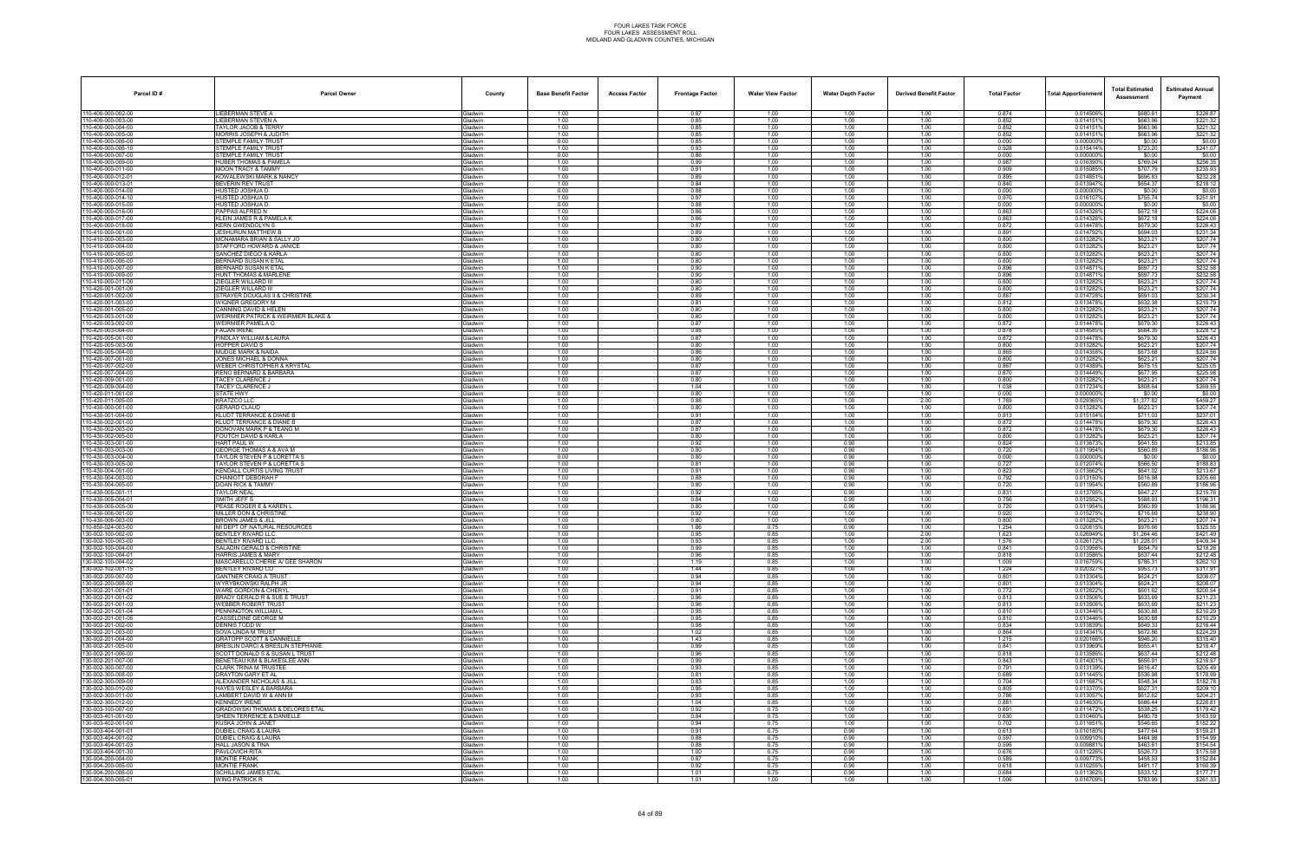| Parcel ID#                             | <b>Parcel Owner</b>                                            | County                           | <b>Base Benefit Factor</b> | <b>Access Factor</b> | <b>Frontage Factor</b> | <b>Water View Factor</b> | <b>Water Depth Factor</b> | <b>Derived Benefit Factor</b> | <b>Total Factor</b> | <b>Total Apportionmer</b> | <b>Total Estimated</b><br>Assessment | <b>Estimated Annual</b><br>Payment |
|----------------------------------------|----------------------------------------------------------------|----------------------------------|----------------------------|----------------------|------------------------|--------------------------|---------------------------|-------------------------------|---------------------|---------------------------|--------------------------------------|------------------------------------|
| 10-400-000-002-00                      | LIEBERMAN STEVE A                                              | Gladwin                          | 1.00                       |                      | 0.87                   | 1.00                     | 1.00                      | 1.00                          | 0.874               | 0.014506%                 | \$680.61                             | \$226.87                           |
| 10-400-000-003-00<br>10-400-000-004-00 | LIEBERMAN STEVEN A<br>TAYLOR JACOB & TERRY                     | <b>Gladwin</b><br><b>Gladwin</b> | 1.00<br>1.00               |                      | 0.85<br>0.85           | 1.00<br>1.00             | 1.00<br>1.00              | 1.00<br>1.00                  | 0.852<br>0.852      | 0.0141519<br>0.0141519    | \$663.96<br>\$663.96                 | \$221.32<br>\$221.32               |
| 10-400-000-005-00                      | MORRIS JOSEPH & JUDITH                                         | Gladwin                          | 1.00                       |                      | 0.85                   | 1.00                     | 1.00                      | 1.00                          | 0.852               | 0.0141519                 | \$663.96                             | \$221.32                           |
| 10-400-000-006-00<br>10-400-000-006-10 | STEMPLE FAMILY TRUST<br>STEMPLE FAMILY TRUST                   | Gladwin<br>Gladwin               | 0.00<br>1.00               |                      | 0.85<br>0.93           | 1.00<br>1.00             | 1.00<br>1.00              | 1.00<br>1.00                  | 0.000<br>0.928      | 0.000000%<br>0.0154149    | \$0.00<br>\$723.20                   | \$0.00<br>\$241.07                 |
| 10-400-000-007-00                      | STEMPLE FAMILY TRUST                                           | <b>Gladwin</b>                   | 0.00                       |                      | 0.86                   | 1.00                     | 1.00                      | 1.00                          | 0.000               | 0.000000                  | \$0.00                               | \$0.00                             |
| 10-400-000-009-00                      | HUBER THOMAS & PAMELA                                          | <b>Gladwin</b>                   | 1.00                       |                      | 0.99                   | 1.00                     | 1.00                      | 1.00                          | 0.987               | 0.0163909<br>0.015085%    | \$769.04<br>\$707.79                 | \$256.35                           |
| 10-400-000-011-00<br>10-400-000-012-01 | <b>MOON TRACY &amp; TAMMY</b><br>KOWALEWSKI MARK & NANCY       | Gladwin<br><b>Gladwin</b>        | 1.00<br>1.00               |                      | 0.91<br>0.89           | 1.00<br>1.00             | 1.00<br>1.00              | 1.00<br>1.00                  | 0.909<br>0.895      | 0.014851%                 | \$696.83                             | \$235.93<br>\$232.28               |
| 10-400-000-013-01                      | BEVERIN REV TRUST                                              | Gladwin                          | 1.00                       |                      | 0.84                   | 1.00                     | 1.00                      | 1.00                          | 0.840               | 0.0139479                 | \$654.37                             | \$218.12                           |
| 10-400-000-014-00<br>10-400-000-014-10 | HUSTED JOSHUA D<br>HUSTED JOSHUA D                             | <b>Gladwin</b><br><b>Gladwin</b> | 0.00<br>1.00               |                      | 0.88<br>0.97           | 1.00<br>1.00             | 1.00<br>1.00              | 1.00<br>1.00                  | 0.000<br>0.970      | 0.0000009<br>0.016107     | \$0.00<br>\$755.74                   | \$0.00<br>\$251.91                 |
| 10-400-000-015-00                      | HUSTED JOSHUA D                                                | Gladwin                          | 0.00                       |                      | 0.88                   | 1.00                     | 1.00                      | 1.00                          | 0.000               | 0.000000%                 | \$0.00                               | \$0.00                             |
| 10-400-000-016-00<br>10-400-000-017-00 | PAPPAS ALFRED N<br>KLEIN JAMES R & PAMELA K                    | Gladwin<br>Gladwin               | 1.00<br>1.00               |                      | 0.86<br>0.86           | 1.00<br>1.00             | 1.00<br>1.00              | 1.00<br>1.00                  | 0.863<br>0.863      | 0.014326%<br>0.0143269    | \$672.18<br>\$672.18                 | \$224.06<br>\$224.06               |
| 10-400-000-018-00                      | KERN GWENDOLYN S                                               | <b>Gladwin</b>                   | 1.00                       |                      | 0.87                   | 1.00                     | 1.00                      | 1.00                          | 0.872               | 0.0144789                 | \$679.30                             | \$226.43                           |
| 10-410-000-001-00<br>10-410-000-003-00 | <b>ESHURUN MATTHEW B</b><br>MCNAMARA BRIAN & SALLY JO          | <b>Gladwin</b><br>Gladwin        | 1.00<br>1.00               |                      | 0.89<br>0.80           | 1.00<br>1.00             | 1.00<br>1.00              | 1.00<br>1.00                  | 0.891<br>0.800      | 0.0147929<br>0.013282%    | \$694.03<br>\$623.21                 | \$231.34<br>\$207.74               |
| 10-410-000-004-00                      | STAFFORD HOWARD & JANICE                                       | <b>Gladwin</b>                   | 1.00                       |                      | 0.80                   | 1.00                     | 1.00                      | 1.00                          | 0.800               | 0.013282%                 | \$623.21                             | \$207.74                           |
| 10-410-000-005-00                      | SANCHEZ DIEGO & KARLA                                          | Gladwin                          | 1.00                       |                      | 0.80                   | 1.00                     | 1.00                      | 1.00                          | 0.800               | 0.0132829                 | \$623.21                             | \$207.74                           |
| 10-410-000-006-00<br>10-410-000-007-00 | BERNARD SUSAN K ETAL<br>BERNARD SUSAN K ETAL                   | <b>Gladwin</b><br><b>Gladwin</b> | 1.00<br>1.00               |                      | 0.80<br>0.90           | 1.00<br>1.00             | 1.00<br>1.00              | 1.00<br>1.00                  | 0.800<br>0.896      | 0.013282%<br>0.0148719    | \$623.21<br>\$697.73                 | \$207.74<br>\$232.58               |
| 10-410-000-009-00                      | <b>HUNT THOMAS &amp; MARLENE</b>                               | Gladwin                          | 1.00                       |                      | 0.90                   | 1.00                     | 1.00                      | 1.00                          | 0.896               | 0.014871%                 | \$697.73                             | \$232.58                           |
| 10-410-000-011-00<br>10-420-001-001-00 | ZIEGLER WILLARD III<br>ZIEGLER WILLARD III                     | Gladwin<br>Gladwin               | 1.00<br>1.00               |                      | 0.80<br>0.80           | 1.00<br>1.00             | 1.00<br>1.00              | 1.00<br>1.00                  | 0.800<br>0.800      | 0.013282%<br>0.0132829    | \$623.21<br>\$623.21                 | \$207.74<br>\$207.74               |
| 10-420-001-002-00                      | STRAYER DOUGLAS II & CHRISTINE                                 | <b>Gladwin</b>                   | 1.00                       |                      | 0.89                   | 1.00                     | 1.00                      | 1.00                          | 0.887               | 0.0147289                 | \$691.03                             | \$230.34                           |
| 10-420-001-003-00<br>10-420-001-005-00 | WIGNER GREGORY M<br>CANNING DAVID & HELEN                      | <b>Gladwin</b><br>Gladwin        | 1.00<br>1.00               |                      | 0.81<br>0.80           | 1.00<br>1.00             | 1.00<br>1.00              | 1.00<br>1.00                  | 0.812<br>0.800      | 0.013478%<br>0.013282%    | \$632.38<br>\$623.21                 | \$210.79<br>\$207.74               |
| 10-420-003-001-00                      | WEIRMIER PATRICK & WEIRMIER BLAKE &                            | <b>Gladwin</b>                   | 1.00                       |                      | 0.80                   | 1.00                     | 1.00                      | 1.00                          | 0.800               | 0.013282%                 | \$623.21                             | \$207.74                           |
| 10-420-003-002-00<br>10-420-003-004-00 | WEIRMIER PAMELA G<br>FAGAN IRENE                               | <b>Gladwin</b><br><b>Gladwin</b> | 1.00<br>1.00               |                      | 0.87<br>0.88           | 1.00<br>1.00             | 1.00<br>1.00              | 1.00<br>1.00                  | 0.872<br>0.878      | 0.0144789<br>0.014585%    | \$679.30<br>\$684.35                 | \$226.43<br>\$228.12               |
| 10-420-005-001-00                      | FINDLAY WILLIAM & LAURA                                        | <b>Gladwin</b>                   | 1.00                       |                      | 0.87                   | 1.00                     | 1.00                      | 1.00                          | 0.872               | 0.014478%                 | \$679.30                             | \$226.43                           |
| 10-420-005-003-00                      | HOPPER DAVID S<br>MUDGE MARK & NAIDA                           | Gladwin                          | 1.00<br>1.00               |                      | 0.80                   | 1.00<br>1.00             | 1.00<br>1.00              | 1.00<br>1.00                  | 0.800<br>0.865      | 0.013282%<br>0.014358%    | \$623.21<br>\$673.68                 | \$207.74<br>\$224.56               |
| 10-420-005-004-00<br>10-420-007-001-00 | JONES MICHAEL & DONNA                                          | Gladwin<br><b>Gladwin</b>        | 1.00                       |                      | 0.86<br>0.80           | 1.00                     | 1.00                      | 1.00                          | 0.800               | 0.0132829                 | \$623.21                             | \$207.74                           |
| 10-420-007-002-00                      | WEBER CHRISTOPHER & KRYSTAL                                    | <b>Gladwin</b>                   | 1.00                       |                      | 0.87                   | 1.00                     | 1.00                      | 1.00                          | 0.867               | 0.014389%                 | \$675.15                             | \$225.05                           |
| 10-420-007-004-00<br>10-420-009-001-00 | RENO BERNARD & BARBARA<br>TACEY CLARENCE J                     | <b>Gladwin</b><br>Gladwin        | 1.00<br>1.00               |                      | 0.87<br>0.80           | 1.00<br>1.00             | 1.00<br>1.00              | 1.00<br>1.00                  | 0.870<br>0.800      | 0.014449%<br>0.013282%    | \$677.95<br>\$623.21                 | \$225.98<br>\$207.74               |
| 10-420-009-004-00                      | TACEY CLARENCE J                                               | <b>Gladwin</b>                   | 1.00                       |                      | 1.04                   | 1.00                     | 1.00                      | 1.00                          | 1.038               | 0.017234%                 | \$808.64                             | \$269.55                           |
| 10-420-011-001-00<br>10-420-011-005-00 | <b>STATE HWY</b><br>KRATZCO LLC                                | <b>Gladwin</b><br><b>Gladwin</b> | 0.00<br>1.00               |                      | 0.80<br>0.88           | 1.00<br>1.00             | 1.00<br>1.00              | 1.00<br>2.00                  | 0.000<br>1.769      | 0.0000009<br>0.029365%    | \$0.00<br>\$1,377.82                 | \$0.00<br>\$459.27                 |
| 10-430-000-001-00                      | <b>GERARD CLAUD</b>                                            | <b>Gladwin</b>                   | 1.00                       |                      | 0.80                   | 1.00                     | 1.00                      | 1.00                          | 0.800               | 0.013282%                 | \$623.21                             | \$207.74                           |
| 10-430-001-004-00<br>10-430-002-001-00 | KLUDT TERRANCE & DIANE E<br>KLUDT TERRANCE & DIANE I           | Gladwin<br>Gladwin               | 1.00<br>1.00               |                      | 0.91<br>0.87           | 1.00<br>1.00             | 1.00<br>1.00              | 1.00<br>1.00                  | 0.913<br>0.872      | 0.015154%<br>0.014478%    | \$711.03<br>\$679.30                 | \$237.01<br>\$226.43               |
| 10-430-002-003-00                      | DONOVAN MARK P & TEANG M                                       | <b>Gladwin</b>                   | 1.00                       |                      | 0.87                   | 1.00                     | 1.00                      | 1.00                          | 0.872               | 0.0144789                 | \$679.30                             | \$226.43                           |
| 10-430-002-005-00<br>10-430-003-001-00 | FOUTCH DAVID & KARLA<br>HART PAUL W                            | <b>Gladwin</b><br><b>Gladwin</b> | 1.00<br>1.00               |                      | 0.80<br>0.92           | 1.00<br>1.00             | 1.00<br>0.90              | 1.00<br>1.00                  | 0.800<br>0.824      | 0.013282%<br>0.013673%    | \$623.21<br>\$641.55                 | \$207.74<br>\$213.85               |
| 10-430-003-003-00                      | <b>GEORGE THOMAS A &amp; AVA M</b>                             | Gladwin                          | 1.00                       |                      | 0.80                   | 1.00                     | 0.90                      | 1.00                          | 0.720               | 0.011954%                 | \$560.89                             | \$186.96                           |
| 10-430-003-004-00                      | TAYLOR STEVEN P & LORETTA S                                    | <b>Gladwin</b>                   | 0.00                       |                      | 0.80                   | 1.00                     | 0.90                      | 1.00                          | 0.000               | 0.0000009                 | \$0.00                               | \$0.00                             |
| 10-430-003-005-00<br>10-430-004-001-00 | TAYLOR STEVEN P & LORETTA S<br>KENDALL CURTIS LIVING TRUST     | <b>Gladwin</b><br><b>Gladwin</b> | 1.00<br>1.00               |                      | 0.81<br>0.91           | 1.00<br>1.00             | 0.90<br>0.90              | 1.00<br>1.00                  | 0.727<br>0.823      | 0.012074%<br>0.013662%    | \$566.50<br>\$641.02                 | \$188.83<br>\$213.67               |
| 10-430-004-003-00                      | CHANIOTT DEBORAH F                                             | Gladwin                          | 1.00                       |                      | 0.88                   | 1.00                     | 0.90                      | 1.00                          | 0.792               | 0.013150%                 | \$616.98                             | \$205.66                           |
| 10-430-004-005-00<br>10-430-005-001-11 | <b>DOAN RICK &amp; TAMMY</b><br>TAYLOR NEAL                    | Gladwin<br>Gladwin               | 1.00<br>1.00               |                      | 0.80<br>0.92           | 1.00<br>1.00             | 0.90<br>0.90              | 1.00<br>1.00                  | 0.720<br>0.831      | 0.011954%<br>0.013795%    | \$560.89<br>\$647.27                 | \$186.96<br>\$215.76               |
| 10-430-005-004-01                      | SMITH JEFF S                                                   | Gladwin                          | 1.00                       |                      | 0.84                   | 1.00                     | 0.90                      | 1.00                          | 0.756               | 0.0125529                 | \$588.93                             | \$196.31                           |
| 10-430-005-005-00<br>10-430-006-001-00 | PEASE ROGER E & KAREN L<br><b>MILLER DON &amp; CHRISTINE</b>   | <b>Gladwin</b><br><b>Gladwin</b> | 1.00<br>1.00               |                      | 0.80<br>0.92           | 1.00<br>1.00             | 0.90<br>1.00              | 1.00<br>1.00                  | 0.720<br>0.920      | 0.011954%<br>0.015275%    | \$560.89<br>\$716.69                 | \$186.96<br>\$238.90               |
| 10-430-006-003-00                      | BROWN JAMES & JILL                                             | Gladwin                          | 1.00                       |                      | 0.80                   | 1.00                     | 1.00                      | 1.00                          | 0.800               | 0.013282                  | \$623.21                             | \$207.74                           |
| 10-850-024-003-00<br>30-002-100-002-00 | MI DEPT OF NATURAL RESOURCES<br><b>BENTLEY RIVARD LLC</b>      | <b>Gladwin</b><br><b>Gladwin</b> | 1.00<br>1.00               |                      | 1.86<br>0.95           | 0.75<br>0.85             | 0.90<br>1.00              | 1.00<br>2.00                  | 1.254<br>1.623      | 0.020815<br>0.026949%     | \$976.66<br>\$1,264.46               | \$325.55<br>\$421.49               |
| 30-002-100-003-00                      | BENTLEY RIVARD LLC                                             | <b>Gladwin</b>                   | 1.00                       |                      | 0.93                   | 0.85                     | 1.00                      | 2.00                          | 1.576               | 0.026172%                 | \$1,228.01                           | \$409.34                           |
| 130-002-100-004-00                     | SALADIN GERALD & CHRISTINE<br><b>HARRIS JAMES &amp; MARY</b>   | <b>Gladwin</b>                   | 1.00                       |                      | 0.99                   | 0.85                     | 1.00                      | 1.00                          | 0.841               | 0.013956%                 | \$654.79                             | \$218.26                           |
| 30-002-100-004-01<br>30-002-100-004-02 | MASCARELLO CHERIE A/ GEE SHARON                                | Gladwin<br>Gladwin               | 1.00<br>1.00               |                      | 0.96<br>1.19           | 0.85<br>0.85             | 1.00<br>1.00              | 1.00<br>1.00                  | 0.818<br>1.009      | 0.013586%<br>0.016759%    | \$637.44<br>\$786.31                 | \$212.48<br>\$262.10               |
| 30-002-102-001-15                      | BENTLEY RIVARD CO                                              | Gladwin                          | 1.00                       |                      | 1.44                   | 0.85                     | 1.00                      | 1.00                          | 1.224               | 0.020327%                 | \$953.73                             | \$317.91                           |
| 30-002-200-007-00<br>30-002-200-008-00 | GANTNER CRAIG A TRUST<br>WYRYBKOWSKI RALPH JR                  | <b>Gladwin</b><br>Gladwin        | 1.00<br>1.00               |                      | 0.94<br>0.94           | 0.85<br>0.85             | 1.00<br>1.00              | 1.00<br>1.00                  | 0.801<br>0.801      | 0.013304%<br>0.013304%    | \$624.21<br>\$624.21                 | \$208.07<br>\$208.07               |
| 30-002-201-001-01                      | WARE GORDON & CHERYL                                           | <b>Gladwin</b>                   | 1.00                       |                      | 0.91                   | 0.85                     | 1.00                      | 1.00                          | 0.772               | 0.0128229                 | \$601.62                             | \$200.54                           |
| 30-002-201-001-02<br>30-002-201-001-03 | BRADY GERALD R & SUE E TRUST<br>WEBBER ROBERT TRUST            | <b>Gladwin</b><br>Gladwin        | 1.00<br>1.00               |                      | 0.96<br>0.96           | 0.85<br>0.85             | 1.00<br>1.00              | 1.00<br>1.00                  | 0.813<br>0.813      | 0.013506%<br>0.013506%    | \$633.69<br>\$633.69                 | \$211.23<br>\$211.23               |
| 30-002-201-001-04                      | PENNINGTON WILLIAM L                                           | Gladwin                          | 1.00                       |                      | 0.95                   | 0.85                     | 1.00                      | 1.00                          | 0.810               | 0.013446%                 | \$630.88                             | \$210.29                           |
| 30-002-201-001-05<br>30-002-201-002-00 | CASSELDINE GEORGE M<br>DENNIS TODD W                           | Gladwin<br>Gladwin               | 1.00<br>1.00               |                      | 0.95<br>0.98           | 0.85<br>0.85             | 1.00<br>1.00              | 1.00<br>1.00                  | 0.810<br>0.834      | 0.013446%<br>0.013839%    | \$630.88<br>\$649.33                 | \$210.29<br>\$216.44               |
| 30-002-201-003-00                      | SOVA LINDA M TRUST                                             | Gladwin                          | 1.00                       |                      | 1.02                   | 0.85                     | 1.00                      | 1.00                          | 0.864               | 0.0143419                 | \$672.86                             | \$224.29                           |
| 30-002-201-004-00<br>30-002-201-005-00 | GRATOPP SCOTT & DANNIELLE<br>BRESLIN DARCI & BRESLIN STEPHANIE | Gladwin<br><b>Gladwin</b>        | 1.00<br>1.00               |                      | 1.43<br>0.99           | 0.85<br>0.85             | 1.00<br>1.00              | 1.00<br>1.00                  | 1.215<br>0.841      | 0.020166%<br>0.013969%    | \$946.20<br>\$655.41                 | \$315.40<br>\$218.47               |
| 30-002-201-006-00                      | SCOTT DONALD S & SUSAN L TRUST                                 | Gladwin                          | 1.00                       |                      | 0.96                   | 0.85                     | 1.00                      | 1.00                          | 0.818               | 0.013586%                 | \$637.44                             | \$212.48                           |
| 30-002-201-007-00                      | BENETEAU KIM & BLAKESLEE ANN                                   | <b>Gladwin</b>                   | 1.00                       |                      | 0.99                   | 0.85                     | 1.00                      | 1.00                          | 0.843               | 0.0140019                 | \$656.91                             | \$218.97                           |
| 30-002-300-007-00<br>30-002-300-008-00 | CLARK TRINA M TRUSTEE<br>DRAYTON GARY ET AL                    | <b>Gladwin</b><br>Gladwin        | 1.00<br>1.00               |                      | 0.93<br>0.81           | 0.85<br>0.85             | 1.00<br>1.00              | 1.00<br>1.00                  | 0.791<br>0.689      | 0.013139%<br>0.011445%    | \$616.47<br>\$536.98                 | \$205.49<br>\$178.99               |
| 30-002-300-009-00                      | ALEXANDER NICHOLAS & JILL                                      | Gladwin                          | 1.00                       |                      | 0.83                   | 0.85                     | 1.00                      | 1.00                          | 0.704               | 0.011687%                 | \$548.34                             | \$182.78                           |
| 30-002-300-010-00<br>30-002-300-011-00 | HAYES WESLEY & BARBARA<br>LAMBERT DAVID W & ANN M              | Gladwin<br>Gladwin               | 1.00<br>1.00               |                      | 0.95<br>0.93           | 0.85<br>0.85             | 1.00<br>1.00              | 1.00<br>1.00                  | 0.805<br>0.786      | 0.013370%<br>0.0130579    | \$627.31<br>\$612.62                 | \$209.10<br>\$204.21               |
| 30-002-300-012-00                      | KENNEDY IRENE                                                  | Gladwin                          | 1.00                       |                      | 1.04                   | 0.85                     | 1.00                      | 1.00                          | 0.881               | 0.014630%                 | \$686.44                             | \$228.81                           |
| 30-003-100-007-00<br>30-003-401-001-00 | GRADOWSKI THOMAS & DELORES ETAL<br>SHEEN TERRENCE & DANIELLE   | Gladwin<br><b>Gladwin</b>        | 1.00<br>1.00               |                      | 0.92<br>0.84           | 0.75<br>0.75             | 1.00<br>1.00              | 1.00<br>1.00                  | 0.691<br>0.630      | 0.011472%<br>0.010460%    | \$538.25<br>\$490.78                 | \$179.42<br>\$163.59               |
| 30-003-402-001-00                      | KUSKA JOHN & JANET                                             | Gladwin                          | 1.00                       |                      | 0.94                   | 0.75                     | 1.00                      | 1.00                          | 0.702               | 0.011651%                 | \$546.65                             | \$182.22                           |
| 30-003-404-001-01<br>30-003-404-001-02 | DUBIEL CRAIG & LAURA<br>DUBIEL CRAIG & LAURA                   | <b>Gladwin</b><br><b>Gladwin</b> | 1.00<br>1.00               |                      | 0.91<br>0.88           | 0.75<br>0.75             | 0.90<br>0.90              | 1.00<br>1.00                  | 0.613<br>0.597      | 0.010180%<br>0.0099109    | \$477.64<br>\$464.98                 | \$159.21<br>\$154.99               |
| 30-003-404-001-03                      | <b>HALL JASON &amp; TINA</b>                                   | Gladwin                          | 1.00                       |                      | 0.88                   | 0.75                     | 0.90                      | 1.00                          | 0.595               | 0.009881%                 | \$463.61                             | \$154.54                           |
| 30-003-404-001-30<br>30-004-200-004-00 | PAVLOVICH RITA<br><b>MONTIE FRANK</b>                          | Gladwin<br>Gladwin               | 1.00<br>1.00               |                      | 1.00<br>0.87           | 0.75<br>0.75             | 0.90<br>0.90              | 1.00<br>1.00                  | 0.676<br>0.589      | 0.011226%<br>0.009773%    | \$526.73<br>\$458.53                 | \$175.58<br>\$152.84               |
| 30-004-200-005-00                      | <b>MONTIE FRANK</b>                                            | Gladwin                          | 1.00                       |                      | 0.92                   | 0.75                     | 0.90                      | 1.00                          | 0.618               | 0.010255%                 | \$481.17                             | \$160.39                           |
| 30-004-200-006-00                      | SCHILLING JAMES ETAL<br>WING PATRICK R                         | Gladwin<br>Gladwin               | 1.00                       |                      | 1.01<br>1.01           | 0.75<br>1.00             | 0.90<br>1.00              | 1.00                          | 0.684<br>1.006      | 0.0113629                 | \$533.12<br>\$783.99                 | \$177.71                           |
| 30-004-300-005-01                      |                                                                |                                  | 1.00                       |                      |                        |                          |                           | 1.00                          |                     | 0.016709%                 |                                      | \$261.33                           |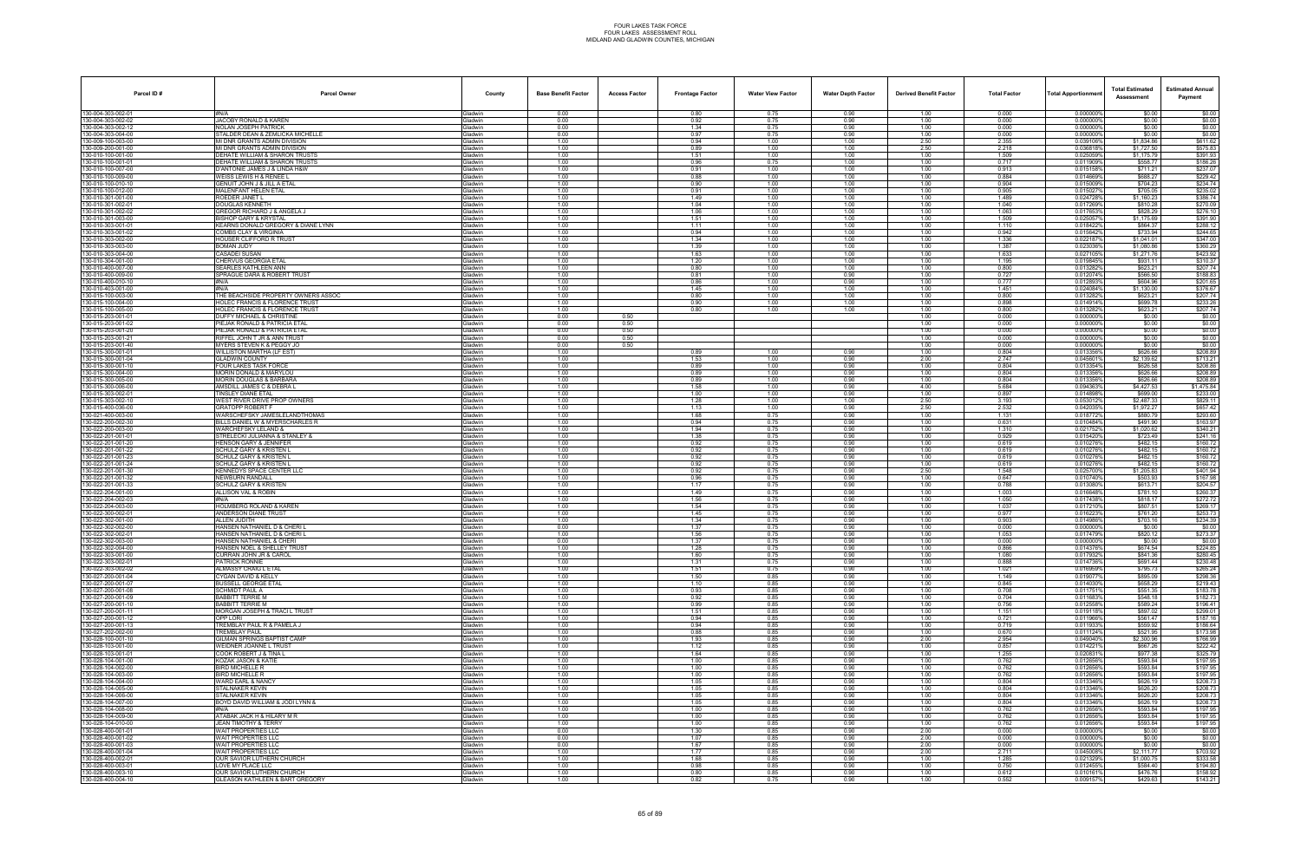| Parcel ID#                              | <b>Parcel Owner</b>                                                     | County                            | <b>Base Benefit Factor</b> | <b>Access Factor</b> | <b>Frontage Factor</b> | <b>Water View Factor</b> | <b>Water Depth Factor</b> | <b>Derived Benefit Factor</b> | <b>Total Factor</b> | Total Apportionmer     | <b>Total Estimated</b><br>Assessment | <b>Estimated Annual</b><br>Payment |
|-----------------------------------------|-------------------------------------------------------------------------|-----------------------------------|----------------------------|----------------------|------------------------|--------------------------|---------------------------|-------------------------------|---------------------|------------------------|--------------------------------------|------------------------------------|
| 130-004-303-002-01                      | #N/A                                                                    | Gladwin                           | 0.00                       |                      | 0.80                   | 0.75                     | 0.90                      | 1.00                          | 0.000               | 0.000000%              | \$0.00                               | \$0.00                             |
| 30-004-303-002-02<br>30-004-303-002-12  | <b>JACOBY RONALD &amp; KAREN</b><br>NOLAN JOSEPH PATRICK                | Gladwin<br><b>Gladwin</b>         | 0.00<br>0.00               |                      | 0.92<br>1.34           | 0.75<br>0.75             | 0.90<br>0.90              | 1.00<br>1.00                  | 0.000<br>0.000      | 0.000000%<br>0.000000% | \$0.00<br>\$0.00                     | \$0.00<br>\$0.00                   |
| 30-004-303-004-00                       | STALDER DEAN & ZEMLICKA MICHELLE                                        | Gladwin                           | 0.00                       |                      | 0.97                   | 0.75                     | 0.90                      | 1.00                          | 0.000               | 0.000000%              | \$0.00                               | \$0.00                             |
| 30-009-100-003-00                       | MI DNR GRANTS ADMIN DIVISION                                            | Gladwin                           | 1.00                       |                      | 0.94                   | 1.00                     | 1.00                      | 2.50                          | 2.355               | 0.039106%              | \$1,834.86                           | \$611.62                           |
| 30-009-200-001-00<br>130-010-100-001-00 | MI DNR GRANTS ADMIN DIVISION<br>DEHATE WILLIAM & SHARON TRUSTS          | Gladwin<br>Gladwin                | 1.00<br>1.00               |                      | 0.89<br>1.51           | 1.00<br>1.00             | 1.00<br>1.00              | 2.50<br>1.00                  | 2.218<br>1.509      | 0.0368189<br>0.025059% | \$1,727.50<br>\$1,175.79             | \$575.83<br>\$391.93               |
| 80-010-100-001-01                       | DEHATE WILLIAM & SHARON TRUSTS                                          | <b>Gladwin</b>                    | 1.00                       |                      | 0.96                   | 0.75                     | 1.00                      | 1.00                          | 0.717               | 0.011909%              | \$558.77                             | \$186.26                           |
| 30-010-100-007-00                       | D'ANTONIE JAMES J & LINDA H&W                                           | Gladwin                           | 1.00                       |                      | 0.91                   | 1.00                     | 1.00                      | 1.00                          | 0.913               | 0.015158%              | \$711.21                             | \$237.07                           |
| 30-010-100-009-00<br>30-010-100-010-10  | WEISS LEWIS H & RENEE L<br><b>GENUIT JOHN J &amp; JILL A ETAI</b>       | Gladwin<br>Gladwin                | 1.00<br>1.00               |                      | 0.88<br>0.90           | 1.00<br>1.00             | 1.00<br>1.00              | 1.00<br>1.00                  | 0.884<br>0.904      | 0.014669%<br>0.015009% | \$688.27<br>\$704.23                 | \$229.42<br>\$234.74               |
| 130-010-100-012-00                      | MALENFANT HELEN ETAL                                                    | Gladwin                           | 1.00                       |                      | 0.91                   | 1.00                     | 1.00                      | 1.00                          | 0.905               | 0.015027%              | \$705.05                             | \$235.02                           |
| 30-010-301-001-00                       | ROEDER JANET L<br>DOUGLAS KENNETH                                       | <b>Gladwin</b>                    | 1.00                       |                      | 1.49                   | 1.00                     | 1.00                      | 1.00                          | 1.489<br>1.040      | 0.024728%              | \$1,160.23                           | \$386.74                           |
| 30-010-301-002-01<br>30-010-301-002-02  | GREGOR RICHARD J & ANGELA J                                             | <b>Gladwin</b><br>Gladwin         | 1.00<br>1.00               |                      | 1.04<br>1.06           | 1.00<br>1.00             | 1.00<br>1.00              | 1.00<br>1.00                  | 1.063               | 0.017269%<br>0.0176539 | \$810.28<br>\$828.29                 | \$270.09<br>\$276.10               |
| 30-010-301-003-00                       | <b>BISHOP GARY &amp; KRYSTAL</b>                                        | Gladwin                           | 1.00                       |                      | 1.51                   | 1.00                     | 1.00                      | 1.00                          | 1.509               | 0.0250579              | \$1,175.69                           | \$391.90                           |
| 130-010-303-001-01<br>30-010-303-001-02 | KEARNS DONALD GREGORY & DIANE LYNN<br>COMBS CLAY & VIRGINIA             | <b>Gladwin</b><br><b>Jadwin</b>   | 1.00<br>1.00               |                      | 1.11<br>0.94           | 1.00<br>1.00             | 1.00<br>1.00              | 1.00<br>1.00                  | 1.110<br>0.942      | 0.0184229<br>0.015642% | \$864.37<br>\$733.94                 | \$288.12<br>\$244.65               |
| 30-010-303-002-00                       | HOUSER CLIFFORD R TRUST                                                 | Gladwin                           | 1.00                       |                      | 1.34                   | 1.00                     | 1.00                      | 1.00                          | 1.336               | 0.0221879              | \$1,041.01                           | \$347.00                           |
| 30-010-303-003-00                       | <b>BOMAN JUDY</b>                                                       | Gladwin                           | 1.00                       |                      | 1.39                   | 1.00                     | 1.00                      | 1.00                          | 1.387               | 0.0230369              | \$1,080.86                           | \$360.29                           |
| 30-010-303-004-00<br>130-010-304-001-00 | CASADEI SUSAN<br>CHERVUS GEORGIA ETAL                                   | Gladwin<br><b>Gladwin</b>         | 1.00<br>1.00               |                      | 1.63<br>1.20           | 1.00<br>1.00             | 1.00<br>1.00              | 1.00<br>1.00                  | 1.633<br>1.195      | 0.027105%<br>0.019845% | \$1,271.76<br>\$931.11               | \$423.92<br>\$310.37               |
| 30-010-400-007-00                       | SEARLES KATHLEEN ANN                                                    | <b>Gladwin</b>                    | 1.00                       |                      | 0.80                   | 1.00                     | 1.00                      | 1.00                          | 0.800               | 0.013282%              | \$623.21                             | \$207.74                           |
| 30-010-400-009-00                       | SPRAGUE DARA & ROBERT TRUST                                             | <b>Gladwin</b>                    | 1.00                       |                      | 0.81                   | 1.00                     | 0.90                      | 1.00                          | 0.727               | 0.012074%              | \$566.50                             | \$188.83                           |
| 30-010-400-010-10<br>30-010-403-001-00  | #N/A<br>#N/A                                                            | Gladwin<br>Gladwin                | 1.00<br>1.00               |                      | 0.86<br>1.45           | 1.00<br>1.00             | 0.90<br>1.00              | 1.00<br>1.00                  | 0.777<br>1.451      | 0.0128939<br>0.024084% | \$604.96<br>\$1,130.00               | \$201.65<br>\$376.67               |
| 30-015-100-003-00                       | THE BEACHSIDE PROPERTY OWNERS ASSOC                                     | <b>Gladwin</b>                    | 1.00                       |                      | 0.80                   | 1.00                     | 1.00                      | 1.00                          | 0.800               | 0.0132829              | \$623.21                             | \$207.74                           |
| 80-015-100-004-00                       | HOLEC FRANCIS & FLORENCE TRUST                                          | <b>Jadwin</b>                     | 1.00                       |                      | 0.90                   | 1.00                     | 1.00                      | 1.00                          | 0.898               | 0.014914%              | \$699.78                             | \$233.26                           |
| 30-015-100-005-00<br>30-015-203-001-01  | HOLEC FRANCIS & FLORENCE TRUST<br>DUFFY MICHAEL & CHRISTINE             | Gladwin<br>Gladwin                | 1.00<br>0.00               | 0.50                 | 0.80                   | 1.00                     | 1.00                      | 1.00<br>1.00                  | 0.800<br>0.000      | 0.0132829<br>0.0000009 | \$623.21<br>\$0.00                   | \$207.74<br>\$0.00                 |
| 30-015-203-001-02                       | PIEJAK RONALD & PATRICIA ETAL                                           | Gladwin                           | 0.00                       | 0.50                 |                        |                          |                           | 1.00                          | 0.000               | 0.000000%              | \$0.00                               | \$0.00                             |
| 30-015-203-001-20                       | PIEJAK RONALD & PATRICIA ETAL<br>RIFFEL JOHN T JR & ANN TRUST           | Gladwin                           | 0.00<br>0.00               | 0.50                 |                        |                          |                           | 1.00                          | 0.000<br>0.000      | 0.0000009<br>0.0000009 | \$0.00                               | \$0.00<br>\$0.00                   |
| 30-015-203-001-21<br>30-015-203-001-40  | MYERS STEVEN K & PEGGY JO                                               | <b>Gladwin</b><br><b>Gladwin</b>  | 0.00                       | 0.50<br>0.50         |                        |                          |                           | 1.00<br>1.00                  | 0.000               | 0.0000009              | \$0.00<br>\$0.00                     | \$0.00                             |
| 30-015-300-001-01                       | WILLISTON MARTHA (LF EST)                                               | Gladwin                           | 1.00                       |                      | 0.89                   | 1.00                     | 0.90                      | 1.00                          | 0.804               | 0.0133569              | \$626.66                             | \$208.89                           |
| 30-015-300-001-04<br>30-015-300-001-10  | <b>GLADWIN COUNTY</b><br>OUR LAKES TASK FORCE                           | Gladwin<br><b>Gladwin</b>         | 1.00<br>1.00               |                      | 1.53<br>0.89           | 1.00<br>1.00             | 0.90<br>0.90              | 2.00<br>1.00                  | 2.747<br>0.804      | 0.0456019<br>0.0133549 | \$2,139.62<br>\$626.58               | \$713.21<br>\$208.86               |
| 30-015-300-004-00                       | <b><i>IORIN DONALD &amp; MARYLOU</i></b>                                | iladwin                           | 1.00                       |                      | 0.89                   | 1.00                     | 0.90                      | 1.00                          | 0.804               | 0.013356%              | \$626.66                             | \$208.89                           |
| 30-015-300-005-00                       | <b>MORIN DOUGLAS &amp; BARBARA</b>                                      | <b>Gladwin</b>                    | 1.00                       |                      | 0.89                   | 1.00                     | 0.90                      | 1.00                          | 0.804               | 0.013356%              | \$626.66                             | \$208.89                           |
| 30-015-300-006-00<br>30-015-303-002-01  | AMSDILL JAMES C & DEBRA L<br><b>TINSLEY DIANE ETAL</b>                  | <b>Gladwin</b><br>Gladwin         | 1.00<br>1.00               |                      | 1.58<br>1.00           | 1.00<br>1.00             | 0.90<br>0.90              | 4.00<br>1.00                  | 5.684<br>0.897      | 0.0943639<br>0.014898% | \$4,427.53<br>\$699.00               | \$1,475.84<br>\$233.00             |
| 30-015-303-002-10                       | WEST RIVER DRIVE PROP OWNERS                                            | <b>Gladwin</b>                    | 1.00                       |                      | 1.28                   | 1.00                     | 1.00                      | 2.50                          | 3.193               | 0.0530129              | \$2,487.33                           | \$829.11                           |
| 30-015-400-036-00                       | SRATOPP ROBERT F                                                        | <b>Gladwin</b>                    | 1.00                       |                      | 1.13                   | 1.00                     | 0.90                      | 2.50                          | 2.532               | 0.042035               | \$1,972.27                           | \$657.42                           |
| 30-021-400-003-00<br>30-022-200-002-30  | WARSCHEFSKY JAMESLELANDTHOMAS<br>BILLS DANIEL W & MYERSCHARLES R        | <b>Gladwin</b><br>Gladwin         | 1.00<br>1.00               |                      | 1.68<br>0.94           | 0.75<br>0.75             | 0.90<br>0.90              | 1.00<br>1.00                  | 1.131<br>0.631      | 0.018772%<br>0.010484% | \$880.79<br>\$491.90                 | \$293.60<br>\$163.97               |
| 30-022-200-003-00                       | WARCHEFSKY LELAND &                                                     | Gladwin                           | 1.00                       |                      | 1.94                   | 0.75                     | 0.90                      | 1.00                          | 1.310               | 0.021752%              | \$1,020.62                           | \$340.21                           |
| 30-022-201-001-01                       | <b>STRELECKI JULIANNA &amp; STANLEY &amp;</b>                           | <b>Gladwin</b>                    | 1.00                       |                      | 1.38                   | 0.75                     | 0.90                      | 1.00                          | 0.929               | 0.0154209              | \$723.49                             | \$241.16                           |
| 80-022-201-001-20<br>30-022-201-001-22  | <b>IENSON GARY &amp; JENNIFER</b><br><b>SCHULZ GARY &amp; KRISTEN L</b> | iladwin<br><b>Gladwin</b>         | 1.00<br>1.00               |                      | 0.92<br>0.92           | 0.75<br>0.75             | 0.90<br>0.90              | 1.00<br>1.00                  | 0.619<br>0.619      | 0.010276<br>0.010276%  | \$482.15<br>\$482.15                 | \$160.72<br>\$160.72               |
| 30-022-201-001-23                       | SCHULZ GARY & KRISTEN L                                                 | Gladwin                           | 1.00                       |                      | 0.92                   | 0.75                     | 0.90                      | 1.00                          | 0.619               | 0.0102769              | \$482.15                             | \$160.72                           |
| 30-022-201-001-24<br>30-022-201-001-30  | <b>SCHULZ GARY &amp; KRISTEN L</b><br><b>KENNEDYS SPACE CENTER LLC</b>  | Gladwin<br><b>Gladwin</b>         | 1.00<br>1.00               |                      | 0.92<br>0.92           | 0.75<br>0.75             | 0.90<br>0.90              | 1.00<br>2.50                  | 0.619<br>1.548      | 0.010276%<br>0.0257009 | \$482.15<br>\$1,205.83               | \$160.72<br>\$401.94               |
| 30-022-201-001-32                       | <b>NEWBURN RANDALL</b>                                                  | <b>Gladwin</b>                    | 1.00                       |                      | 0.96                   | 0.75                     | 0.90                      | 1.00                          | 0.647               | 0.010740%              | \$503.93                             | \$167.98                           |
| 30-022-201-001-33                       | SCHULZ GARY & KRISTEN                                                   | Gladwin                           | 1.00                       |                      | 1.17                   | 0.75                     | 0.90                      | 1.00                          | 0.788               | 0.013080%              | \$613.71                             | \$204.57                           |
| 30-022-204-001-00<br>30-022-204-002-03  | ALLISON VAL & ROBIN<br>#N/A                                             | Gladwin<br>Gladwin                | 1.00<br>1.00               |                      | 1.49<br>1.56           | 0.75<br>0.75             | 0.90<br>0.90              | 1.00<br>1.00                  | 1.003<br>1.050      | 0.016648%<br>0.017438% | \$781.10<br>\$818.17                 | \$260.37<br>\$272.72               |
| 30-022-204-003-00                       | <b>HOLMBERG ROLAND &amp; KAREN</b>                                      | <b>Gladwin</b>                    | 1.00                       |                      | 1.54                   | 0.75                     | 0.90                      | 1.00                          | 1.037               | 0.017210               | \$807.51                             | \$269.17                           |
| 30-022-300-002-0                        | ANDERSON DIANE TRUST<br>ALLEN JUDITH                                    | iladwin                           | 1.00                       |                      | 1.45                   | 0.75                     | 0.90                      | 1.00                          | 0.977               | 0.0162239              | \$761.20                             | \$253.73                           |
| 30-022-302-001-00<br>30-022-302-002-00  | HANSEN NATHANIEL D & CHERI L                                            | <b>Gladwin</b><br><b>Gladwin</b>  | 1.00<br>0.00               |                      | 1.34<br>1.37           | 0.75<br>0.75             | 0.90<br>0.90              | 1.00<br>1.00                  | 0.903<br>0.000      | 0.014986%<br>0.000000  | \$703.16<br>\$0.00                   | \$234.39<br>\$0.00                 |
| 30-022-302-002-01                       | HANSEN NATHANIEL D & CHERI L                                            | Gladwin                           | 1.00                       |                      | 1.56                   | 0.75                     | 0.90                      | 1.00                          | 1.053               | 0.017479%              | \$820.12                             | \$273.37                           |
| 30-022-302-003-00                       | HANSEN NATHANIEL & CHERI                                                | <b>Gladwin</b><br><b>i</b> ladwin | 0.00                       |                      | 1.37                   | 0.75                     | 0.90                      | 1.00                          | 0.000               | 0.0000009              | \$0.00                               | \$0.00                             |
| 130-022-302-004-00<br>30-022-303-001-00 | HANSEN NOEL & SHELLEY TRUST<br>CURRAN JOHN JR & CAROL                   | Gladwin                           | 1.00<br>1.00               |                      | 1.28<br>1.60           | 0.75<br>0.75             | 0.90<br>0.90              | 1.00<br>1.00                  | 0.866<br>1.080      | 0.014376%<br>0.017932% | \$674.54<br>\$841.36                 | \$224.85<br>\$280.45               |
| 30-022-303-002-01                       | <b>PATRICK RONNIE</b>                                                   | Gladwin                           | 1.00                       |                      | 1.31                   | 0.75                     | 0.90                      | 1.00                          | 0.888               | 0.014736%              | \$691.44                             | \$230.48                           |
| 30-022-303-002-02<br>30-027-200-001-04  | ALMASSY CRAIG L ETAL<br>CYGAN DAVID & KELLY                             | Gladwin<br><b>Gladwin</b>         | 1.00<br>1.00               |                      | 1.51<br>1.50           | 0.75<br>0.85             | 0.90<br>0.90              | 1.00<br>1.00                  | 1.021<br>1.149      | 0.016959%<br>0.0190779 | \$795.73<br>\$895.09                 | \$265.24<br>\$298.36               |
| 30-027-200-001-07                       | <b>BUSSELL GEORGE ETAL</b>                                              | <b>Gladwin</b>                    | 1.00                       |                      | 1.10                   | 0.85                     | 0.90                      | 1.00                          | 0.845               | 0.014030%              | \$658.29                             | \$219.43                           |
| 30-027-200-001-08                       | <b>SCHMIDT PAUL A</b>                                                   | Gladwin                           | 1.00                       |                      | 0.93                   | 0.85                     | 0.90                      | 1.00                          | 0.708               | 0.011751%              | \$551.35                             | \$183.78                           |
| 30-027-200-001-09<br>130-027-200-001-10 | <b>BABBITT TERRIE M</b><br>BABBITT TERRIE M                             | Gladwin<br>Gladwin                | 1.00<br>1.00               |                      | 0.92<br>0.99           | 0.85<br>0.85             | 0.90<br>0.90              | 1.00<br>1.00                  | 0.704<br>0.756      | 0.011683%<br>0.012558% | \$548.18<br>\$589.24                 | \$182.73<br>\$196.41               |
| 30-027-200-001-11                       | MORGAN JOSEPH & TRACI L TRUST                                           | <b>Gladwin</b>                    | 1.00                       |                      | 1.51                   | 0.85                     | 0.90                      | 1.00                          | 1.151               | 0.019118%              | \$897.02                             | \$299.01                           |
| 30-027-200-001-12<br>30-027-200-001-13  | )PP Lori<br>TREMBLAY PAUL R & PAMELA J                                  | <b>Gladwin</b><br>Gladwin         | 1.00<br>1.00               |                      | 0.94<br>0.94           | 0.85<br>0.85             | 0.90<br>0.90              | 1.00<br>1.00                  | 0.721<br>0.719      | 0.011966%<br>0.011933% | \$561.47<br>\$559.92                 | \$187.16<br>\$186.64               |
| 30-027-202-002-00                       | <b>TREMBLAY PAUL</b>                                                    | Gladwin                           | 1.00                       |                      | 0.88                   | 0.85                     | 0.90                      | 1.00                          | 0.670               | 0.011124%              | \$521.95                             | \$173.98                           |
| 130-028-100-001-10                      | GILMAN SPRINGS BAPTIST CAMP                                             | Gladwin                           | 1.00                       |                      | 1.93                   | 0.85                     | 0.90                      | 2.00                          | 2.954               | 0.049040%              | \$2,300.96                           | \$766.99                           |
| 30-028-103-001-00<br>30-028-103-001-01  | WEIDNER JOANNE L TRUST<br>COOK ROBERT J & TINA L                        | <b>Gladwin</b><br><b>Gladwin</b>  | 1.00<br>1.00               |                      | 1.12<br>1.64           | 0.85<br>0.85             | 0.90<br>0.90              | 1.00<br>1.00                  | 0.857<br>1.255      | 0.0142219<br>0.020831  | \$667.26<br>\$977.38                 | \$222.42<br>\$325.79               |
| 30-028-104-001-00                       | KOZAK JASON & KATIE                                                     | Gladwin                           | 1.00                       |                      | 1.00                   | 0.85                     | 0.90                      | 1.00                          | 0.762               | 0.012656%              | \$593.84                             | \$197.95                           |
| 30-028-104-002-00                       | BIRD MICHELLE R                                                         | Gladwin                           | 1.00                       |                      | 1.00                   | 0.85                     | 0.90                      | 1.00                          | 0.762               | 0.012656%              | \$593.84                             | \$197.95                           |
| 130-028-104-003-00<br>30-028-104-004-00 | BIRD MICHELLE R<br><b>WARD EARL &amp; NANCY</b>                         | Gladwin<br>Gladwin                | 1.00<br>1.00               |                      | 1.00<br>1.05           | 0.85<br>0.85             | 0.90<br>0.90              | 1.00<br>1.00                  | 0.762<br>0.804      | 0.012656%<br>0.013346% | \$593.84<br>\$626.19                 | \$197.95<br>\$208.73               |
| 30-028-104-005-00                       | <b>STALNAKER KEVIN</b>                                                  | <b>Gladwin</b>                    | 1.00                       |                      | 1.05                   | 0.85                     | 0.90                      | 1.00                          | 0.804               | 0.013346%              | \$626.20                             | \$208.73                           |
| 130-028-104-006-00<br>30-028-104-007-00 | STALNAKER KEVIN<br>BOYD DAVID WILLIAM & JODI LYNN &                     | Gladwin                           | 1.00<br>1.00               |                      | 1.05<br>1.05           | 0.85<br>0.85             | 0.90<br>0.90              | 1.00<br>1.00                  | 0.804<br>0.804      | 0.013346%<br>0.013346% | \$626.20<br>\$626.19                 | \$208.73<br>\$208.73               |
| 130-028-104-008-00                      | #N/A                                                                    | Gladwin<br>Gladwin                | 1.00                       |                      | 1.00                   | 0.85                     | 0.90                      | 1.00                          | 0.762               | 0.012656%              | \$593.84                             | \$197.95                           |
| 30-028-104-009-00                       | ATABAK JACK H & HILARY M R                                              | Gladwin                           | 1.00                       |                      | 1.00                   | 0.85                     | 0.90                      | 1.00                          | 0.762               | 0.012656%              | \$593.84                             | \$197.95                           |
| 30-028-104-010-00<br>30-028-400-001-01  | JEAN TIMOTHY & TERRY<br>WAIT PROPERTIES LLC                             | <b>Gladwin</b><br>Gladwin         | 1.00<br>0.00               |                      | 1.00<br>1.30           | 0.85<br>0.85             | 0.90<br>0.90              | 1.00<br>2.00                  | 0.762<br>0.000      | 0.012656%<br>0.000000% | \$593.84<br>\$0.00                   | \$197.95<br>\$0.00                 |
| 30-028-400-001-02                       | WAIT PROPERTIES LLC                                                     | Gladwin                           | 0.00                       |                      | 1.07                   | 0.85                     | 0.90                      | 2.00                          | 0.000               | 0.000000%              | \$0.00                               | \$0.00                             |
| 30-028-400-001-03                       | WAIT PROPERTIES LLC                                                     | Gladwin                           | 0.00                       |                      | 1.67                   | 0.85                     | 0.90                      | 2.00                          | 0.000               | 0.000000%              | \$0.00                               | \$0.00                             |
| 30-028-400-001-04<br>30-028-400-002-01  | WAIT PROPERTIES LLC<br>)UR SAVIOR LUTHERN CHURCH                        | Gladwin<br><b>Gladwin</b>         | 1.00<br>1.00               |                      | 1.77<br>1.68           | 0.85<br>0.85             | 0.90<br>0.90              | 2.00<br>1.00                  | 2.711<br>1.285      | 0.045008%<br>0.021329% | \$2,111.77<br>\$1,000.75             | \$703.92<br>\$333.58               |
| 30-028-400-003-01                       | LOVE MY PLACE LLC                                                       | Gladwin                           | 1.00                       |                      | 0.98                   | 0.85                     | 0.90                      | 1.00                          | 0.750               | 0.012455%              | \$584.40                             | \$194.80                           |
| 30-028-400-003-10                       | OUR SAVIOR LUTHERN CHURCH                                               | Gladwin                           | 1.00                       |                      | 0.80                   | 0.85                     | 0.90                      | 1.00                          | 0.612               | 0.010161%              | \$476.76                             | \$158.92                           |
| 30-028-400-004-10                       | GLEASON KATHLEEN & BART GREGORY                                         | Gladwin                           | 1.00                       |                      | 0.82                   | 0.75                     | 0.90                      | 1.00                          | 0.552               | 0.009157%              | \$429.63                             | \$143.21                           |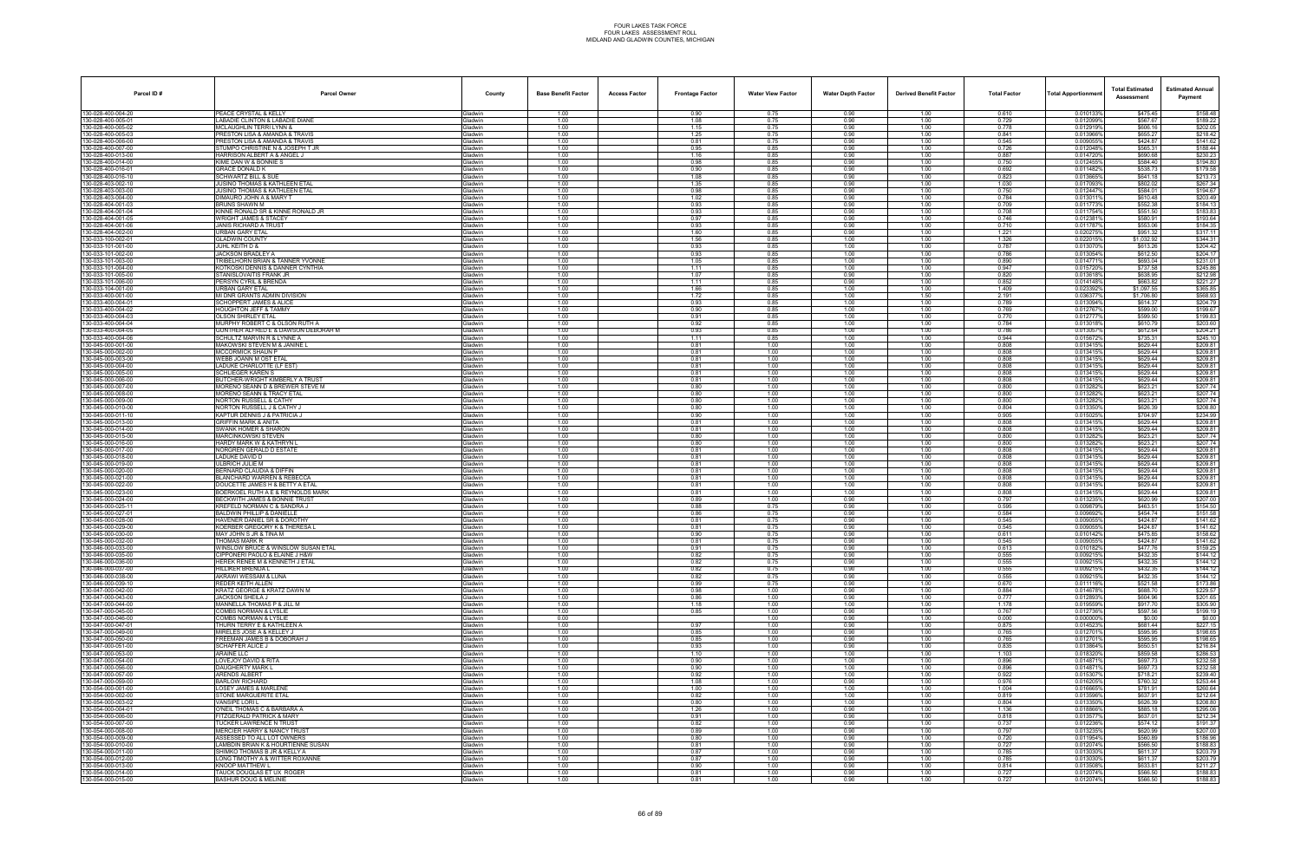| Parcel ID#                               | <b>Parcel Owner</b>                                                  | County                           | <b>Base Benefit Factor</b> | <b>Access Factor</b> | <b>Frontage Factor</b> | <b>Water View Factor</b> | <b>Water Depth Factor</b> | <b>Derived Benefit Factor</b> | <b>Total Factor</b> | <b>Total Apportionmen</b> | <b>Total Estimated</b><br>Assessment | <b>Estimated Annual</b><br>Payment |
|------------------------------------------|----------------------------------------------------------------------|----------------------------------|----------------------------|----------------------|------------------------|--------------------------|---------------------------|-------------------------------|---------------------|---------------------------|--------------------------------------|------------------------------------|
| 130-028-400-004-20                       | PEACE CRYSTAL & KELLY                                                | Gladwin                          | 1.00                       |                      | 0.90                   | 0.75                     | 0.90                      | 1.00                          | 0.610               | 0.010133%                 | \$475.45                             | \$158.48                           |
| 130-028-400-005-01                       | LABADIE CLINTON & LABADIE DIANE                                      | <b>Gladwin</b>                   | 1.00                       |                      | 1.08                   | 0.75                     | 0.90                      | 1.00                          | 0.729               | 0.012099%                 | \$567.67                             | \$189.22                           |
| 130-028-400-005-02<br>130-028-400-005-03 | <b>MCLAUGHLIN TERRI LYNN &amp;</b><br>PRESTON LISA & AMANDA & TRAVIS | ladwin<br><b>Sladwin</b>         | 1.00<br>1.00               |                      | 1.15<br>1.25           | 0.75<br>0.75             | 0.90<br>0.90              | 1.00<br>1.00                  | 0.778<br>0.841      | 0.012919%<br>0.013966%    | \$606.16<br>\$655.27                 | \$202.05<br>\$218.42               |
| 130-028-400-006-00                       | PRESTON LISA & AMANDA & TRAVIS                                       | Gladwin                          | 1.00                       |                      | 0.81                   | 0.75                     | 0.90                      | 1.00                          | 0.545               | 0.009055                  | \$424.87                             | \$141.62                           |
| 130-028-400-007-00                       | STUMPO CHRISTINE N & JOSEPH T JR                                     | Gladwin                          | 1.00                       |                      | 0.95                   | 0.85                     | 0.90                      | 1.00                          | 0.726               | 0.012048%                 | \$565.31                             | \$188.44                           |
| 130-028-400-013-00<br>130-028-400-014-00 | HARRISON ALBERT A & ANGEL J<br>KIME DAN W & BONNIE S                 | <b>Gladwin</b><br>ladwin         | 1.00<br>1.00               |                      | 1.16<br>0.98           | 0.85<br>0.85             | 0.90<br>0.90              | 1.00<br>1.00                  | 0.887<br>0.750      | 0.0147209<br>0.0124559    | \$690.68<br>\$584.40                 | \$230.23<br>\$194.80               |
| 130-028-400-016-01                       | <b>GRACE DONALD K</b>                                                | <b>Gladwin</b>                   | 1.00                       |                      | 0.90                   | 0.85                     | 0.90                      | 1.00                          | 0.692               | 0.011482%                 | \$538.73                             | \$179.58                           |
| 130-028-400-016-10                       | <b>SCHWARTZ BILL &amp; SUE</b>                                       | <b>Gladwin</b>                   | 1.00                       |                      | 1.08                   | 0.85                     | 0.90                      | 1.00                          | 0.823               | 0.0136659                 | \$641.18                             | \$213.73                           |
| 130-028-403-002-10                       | JUSINO THOMAS & KATHLEEN ETAL                                        | Gladwin                          | 1.00                       |                      | 1.35                   | 0.85                     | 0.90                      | 1.00                          | 1.030               | 0.017093%                 | \$802.02                             | \$267.34                           |
| 130-028-403-003-00<br>130-028-403-004-00 | JUSINO THOMAS & KATHLEEN ETAL<br>DIMAURO JOHN A & MARY T             | <b>Gladwin</b><br><b>Gladwin</b> | 1.00<br>1.00               |                      | 0.98<br>1.02           | 0.85<br>0.85             | 0.90<br>0.90              | 1.00<br>1.00                  | 0.750<br>0.784      | 0.0124479<br>0.013011     | \$584.01<br>\$610.48                 | \$194.67<br>\$203.49               |
| 130-028-404-001-03                       | BRUNS SHAWN M                                                        | <b>Gladwin</b>                   | 1.00                       |                      | 0.93                   | 0.85                     | 0.90                      | 1.00                          | 0.709               | 0.011773%                 | \$552.38                             | \$184.13                           |
| 130-028-404-001-04                       | KINNE RONALD SR & KINNE RONALD JR                                    | <b>Gladwin</b>                   | 1.00                       |                      | 0.93                   | 0.85                     | 0.90                      | 1.00                          | 0.708               | 0.011754%                 | \$551.50                             | \$183.83                           |
| 130-028-404-001-05<br>130-028-404-001-06 | <b>WRIGHT JAMES &amp; STACEY</b><br>JANIS RICHARD A TRUST            | Gladwin<br><b>Gladwin</b>        | 1.00<br>1.00               |                      | 0.97<br>0.93           | 0.85<br>0.85             | 0.90<br>0.90              | 1.00<br>1.00                  | 0.746<br>0.710      | 0.0123819<br>0.011787     | \$580.91<br>\$553.06                 | \$193.64<br>\$184.3                |
| 130-028-404-002-00                       | <b>URBAN GARY ETAL</b>                                               | 3ladwin                          | 1.00                       |                      | 1.60                   | 0.85                     | 0.90                      | 1.00                          | 1.221               | 0.020275                  | \$951.32                             | \$317.11                           |
| 130-033-100-002-01                       | <b>GLADWIN COUNTY</b>                                                | <b>Gladwin</b>                   | 1.00                       |                      | 1.56                   | 0.85                     | 1.00                      | 1.00                          | 1.326               | 0.022015%                 | \$1.032.92                           | \$344.31                           |
| 130-033-101-001-00<br>130-033-101-002-00 | JUHL KEITH D &<br><b>JACKSON BRADLEY A</b>                           | 3ladwin<br>Gladwin               | 1.00<br>1.00               |                      | 0.93<br>0.93           | 0.85<br>0.85             | 1.00<br>1.00              | 1.00<br>1.00                  | 0.787<br>0.786      | 0.013070<br>0.013054%     | \$613.26<br>\$612.50                 | \$204.42<br>\$204.17               |
| 130-033-101-003-00                       | TRIBELHORN BRIAN & TANNER YVONNE                                     | <b>Gladwin</b>                   | 1.00                       |                      | 1.05                   | 0.85                     | 1.00                      | 1.00                          | 0.890               | 0.0147719                 | \$693.04                             | \$231.01                           |
| 130-033-101-004-00                       | KOTKOSKI DENNIS & DANNER CYNTHIA                                     | <b>Gladwin</b>                   | 1.00                       |                      | 1.11                   | 0.85                     | 1.00                      | 1.00                          | 0.947               | 0.0157209                 | \$737.58                             | \$245.86                           |
| 130-033-101-005-00<br>130-033-101-006-00 | STANISLOVAITIS FRANK JR<br>PERSYN CYRIL & BRENDA                     | Gladwin<br>Gladwin               | 1.00<br>1.00               |                      | 1.07<br>1.11           | 0.85<br>0.85             | 0.90<br>0.90              | 1.00<br>1.00                  | 0.820<br>0.852      | 0.013618%<br>0.014148%    | \$638.95<br>\$663.82                 | \$212.98<br>\$221.27               |
| 130-033-104-001-00                       | <b>URBAN GARY ETAL</b>                                               | Gladwin                          | 1.00                       |                      | 1.66                   | 0.85                     | 1.00                      | 1.00                          | 1.409               | 0.023392%                 | \$1,097.55                           | \$365.85                           |
| 130-033-400-001-00                       | MI DNR GRANTS ADMIN DIVISION                                         | Gladwin                          | 1.00                       |                      | 1.72                   | 0.85                     | 1.00                      | 1.50                          | 2.191               | 0.0363779                 | \$1,706.80                           | \$568.93                           |
| 130-033-400-004-01                       | <b>SCHOPPERT JAMES &amp; ALICE</b>                                   | <b>Gladwin</b>                   | 1.00                       |                      | 0.93                   | 0.85                     | 1.00                      | 1.00                          | 0.789               | 0.013094%                 | \$614.37                             | \$204.79                           |
| 130-033-400-004-02<br>130-033-400-004-03 | <b>HOUGHTON JEFF &amp; TAMMY</b><br><b>OLSON SHIRLEY ETAL</b>        | Gladwin<br>Gladwin               | 1.00<br>1.00               |                      | 0.90<br>0.91           | 0.85<br>0.85             | 1.00<br>1.00              | 1.00<br>1.00                  | 0.769<br>0.770      | 0.012767%<br>0.0127779    | \$599.00<br>\$599.50                 | \$199.67<br>\$199.83               |
| 130-033-400-004-04                       | MURPHY ROBERT C & OLSON RUTH A                                       | Gladwin                          | 1.00                       |                      | 0.92                   | 0.85                     | 1.00                      | 1.00                          | 0.784               | 0.0130189                 | \$610.79                             | \$203.60                           |
| 130-033-400-004-05                       | GUNTHER ALFRED E & DAWSON DEBORAH M                                  | Gladwin                          | 1.00                       |                      | 0.93                   | 0.85                     | 1.00                      | 1.00                          | 0.786               | 0.0130579                 | \$612.64                             | \$204.21                           |
| 130-033-400-004-06<br>130-045-000-001-00 | SCHULTZ MARVIN R & LYNNE A<br>MAKOWSKI STEVEN M & JANINE L           | <b>Gladwin</b><br>Gladwin        | 1.00<br>1.00               |                      | 1.11<br>0.81           | 0.85<br>1.00             | 1.00<br>1.00              | 1.00<br>1.00                  | 0.944<br>0.808      | 0.015672%<br>0.013415%    | \$735.31<br>\$629.44                 | \$245.10<br>\$209.81               |
| 130-045-000-002-00                       | <b>MCCORMICK SHAUN P</b>                                             | Gladwin                          | 1.00                       |                      | 0.81                   | 1.00                     | 1.00                      | 1.00                          | 0.808               | 0.0134159                 | \$629.44                             | \$209.81                           |
| 130-045-000-003-00                       | WEBB JOANN M OST ETAL                                                | Gladwin                          | 1.00                       |                      | 0.81                   | 1.00                     | 1.00                      | 1.00                          | 0.808               | 0.013415                  | \$629.44                             | \$209.81                           |
| 130-045-000-004-00                       | LADUKE CHARLOTTE (LF EST)                                            | Gladwin                          | 1.00                       |                      | 0.81                   | 1.00                     | 1.00                      | 1.00                          | 0.808               | 0.0134159                 | \$629.44                             | \$209.81                           |
| 130-045-000-005-00<br>130-045-000-006-00 | SCHLIEGER KAREN S<br>BUTCHER-WRIGHT KIMBERLY A TRUST                 | <b>Gladwin</b><br><b>Gladwin</b> | 1.00<br>1.00               |                      | 0.81<br>0.81           | 1.00<br>1.00             | 1.00<br>1.00              | 1.00<br>1.00                  | 0.808<br>0.808      | 0.0134159<br>0.013415%    | \$629.44<br>\$629.44                 | \$209.81<br>\$209.81               |
| 130-045-000-007-00                       | MORENO SEANN D & BREWER STEVE M                                      | Gladwin                          | 1.00                       |                      | 0.80                   | 1.00                     | 1.00                      | 1.00                          | 0.800               | 0.013282%                 | \$623.21                             | \$207.74                           |
| 130-045-000-008-00                       | MORENO SEANN & TRACY ETAL                                            | Gladwin                          | 1.00                       |                      | 0.80                   | 1.00                     | 1.00                      | 1.00                          | 0.800               | 0.0132829                 | \$623.21                             | \$207.74                           |
| 130-045-000-009-00<br>130-045-000-010-00 | NORTON RUSSELL & CATHY<br>NORTON RUSSELL J & CATHY J                 | Gladwin<br><b>Gladwin</b>        | 1.00<br>1.00               |                      | 0.80<br>0.80           | 1.00<br>1.00             | 1.00<br>1.00              | 1.00<br>1.00                  | 0.800<br>0.804      | 0.013282%<br>0.0133509    | \$623.21<br>\$626.39                 | \$207.74<br>\$208.80               |
| 130-045-000-011-10                       | KAPTUR DENNIS J & PATRICIA J                                         | <b>Gladwin</b>                   | 1.00                       |                      | 0.90                   | 1.00                     | 1.00                      | 1.00                          | 0.905               | 0.015025%                 | \$704.97                             | \$234.99                           |
| 130-045-000-013-00                       | <b>GRIFFIN MARK &amp; ANITA</b>                                      | Gladwin                          | 1.00                       |                      | 0.81                   | 1.00                     | 1.00                      | 1.00                          | 0.808               | 0.0134159                 | \$629.44                             | \$209.81                           |
| 130-045-000-014-00                       | <b>SWANK HOMER &amp; SHARON</b>                                      | Gladwin                          | 1.00                       |                      | 0.81                   | 1.00                     | 1.00                      | 1.00                          | 0.808               | 0.0134159                 | \$629.44                             | \$209.81                           |
| 130-045-000-015-00<br>130-045-000-016-00 | <b>MARCINKOWSKI STEVEN</b><br>HARDY MARK W & KATHRYN L               | <b>Gladwin</b><br>ladwin         | 1.00<br>1.00               |                      | 0.80<br>0.80           | 1.00<br>1.00             | 1.00<br>1.00              | 1.00<br>1.00                  | 0.800<br>0.800      | 0.013282%<br>0.013282%    | \$623.21<br>\$623.21                 | \$207.74<br>\$207.74               |
| 130-045-000-017-00                       | NORGREN GERALD D ESTATE                                              | <b>Gladwin</b>                   | 1.00                       |                      | 0.81                   | 1.00                     | 1.00                      | 1.00                          | 0.808               | 0.013415                  | \$629.44                             | \$209.81                           |
| 130-045-000-018-00                       | LADUKE DAVID D                                                       | <b>Gladwin</b>                   | 1.00                       |                      | 0.81                   | 1.00                     | 1.00                      | 1.00                          | 0.808               | 0.013415                  | \$629.44                             | \$209.81                           |
| 130-045-000-019-00<br>130-045-000-020-00 | ULBRICH JULIE M<br>BERNARD CLAUDIA & DIFFIN                          | Gladwin<br><b>Gladwin</b>        | 1.00<br>1.00               |                      | 0.81<br>0.81           | 1.00<br>1.00             | 1.00<br>1.00              | 1.00<br>1.00                  | 0.808<br>0.808      | 0.013415%<br>0.0134159    | \$629.44<br>\$629.44                 | \$209.81<br>\$209.81               |
| 130-045-000-021-00                       | BLANCHARD WARREN & REBECCA                                           | <b>Gladwin</b>                   | 1.00                       |                      | 0.81                   | 1.00                     | 1.00                      | 1.00                          | 0.808               | 0.013415                  | \$629.44                             | \$209.81                           |
| 130-045-000-022-00                       | DOUCETTE JAMES H & BETTY A ETAL                                      | <b>Gladwin</b>                   | 1.00                       |                      | 0.81                   | 1.00                     | 1.00                      | 1.00                          | 0.808               | 0.013415%                 | \$629.44                             | \$209.81                           |
| 130-045-000-023-00<br>130-045-000-024-00 | BOERKOEL RUTH A E & REYNOLDS MARK<br>BECKWITH JAMES & BONNIE TRUST   | Gladwin<br>Gladwin               | 1.00<br>1.00               |                      | 0.81<br>0.89           | 1.00<br>1.00             | 1.00<br>0.90              | 1.00<br>1.00                  | 0.808<br>0.797      | 0.013415<br>0.013235%     | \$629.44<br>\$620.99                 | \$209.81<br>\$207.00               |
| 130-045-000-025-11                       | KREFELD NORMAN C & SANDRA J                                          | <b>Gladwin</b>                   | 1.00                       |                      | 0.88                   | 0.75                     | 0.90                      | 1.00                          | 0.595               | 0.0098799                 | \$463.51                             | \$154.50                           |
| 130-045-000-027-01                       | BALDWIN PHILLIP & DANIELLE                                           | ladwin                           | 1.00                       |                      | 0.86                   | 0.75                     | 0.90                      | 1.00                          | 0.584               | 0.0096929                 | \$454.74                             | \$151.58                           |
| 130-045-000-028-00                       | HAVENER DANIEL SR & DOROTHY<br>KOERBER GREGORY K & THERESA L         | <b>Gladwin</b>                   | 1.00                       |                      | 0.81                   | 0.75                     | 0.90                      | 1.00                          | 0.545<br>0.545      | 0.009055%                 | \$424.87<br>\$424.87                 | \$141.62<br>\$141.62               |
| 130-045-000-029-00<br>130-045-000-030-00 | MAY JOHN S JR & TINA M                                               | 3ladwin<br>Gladwin               | 1.00<br>1.00               |                      | 0.81<br>0.90           | 0.75<br>0.75             | 0.90<br>0.90              | 1.00<br>1.00                  | 0.611               | 0.009055<br>0.010142%     | \$475.85                             | \$158.62                           |
| 130-045-000-032-00                       | <b>THOMAS MARK R</b>                                                 | <b>Gladwin</b>                   | 1.00                       |                      | 0.81                   | 0.75                     | 0.90                      | 1.00                          | 0.545               | 0.0090559                 | \$424.87                             | \$141.62                           |
| 130-046-000-033-00                       | WINSLOW BRUCE & WINSLOW SUSAN ETAL                                   | <b>Gladwin</b>                   | 1.00                       |                      | 0.91                   | 0.75                     | 0.90                      | 1.00                          | 0.613               | 0.010182%                 | \$477.76                             | \$159.25                           |
| 130-046-000-035-00<br>130-046-000-036-00 | CIPPONERI PAOLO & ELAINE J H&W<br>HEREK RENEE M & KENNETH J ETAL     | Gladwin<br><b>Gladwin</b>        | 1.00<br>1.00               |                      | 0.82<br>0.82           | 0.75<br>0.75             | 0.90<br>0.90              | 1.00<br>1.00                  | 0.555<br>0.555      | 0.009215%<br>0.009215%    | \$432.35<br>\$432.35                 | \$144.12<br>\$144.12               |
| 130-046-000-037-00                       | HILLIKER BRENDA L                                                    | Gladwin                          | 1.00                       |                      | 0.82                   | 0.75                     | 0.90                      | 1.00                          | 0.555               | 0.009215%                 | \$432.35                             | \$144.12                           |
| 130-046-000-038-00                       | AKRAWI WESSAM & LUNA                                                 | Gladwin                          | 1.00                       |                      | 0.82                   | 0.75                     | 0.90                      | 1.00                          | 0.555               | 0.0092159                 | \$432.35                             | \$144.12                           |
| 130-046-000-039-10<br>130-047-000-042-00 | <b>REDER KEITH ALLEN</b><br>KRATZ GEORGE & KRATZ DAWN M              | <b>Gladwin</b><br>Gladwin        | 1.00<br>1.00               |                      | 0.99<br>0.98           | 0.75<br>1.00             | 0.90<br>0.90              | 1.00<br>1.00                  | 0.670<br>0.884      | 0.0111169<br>0.014678%    | \$521.58<br>\$688.70                 | \$173.86<br>\$229.57               |
| 130-047-000-043-00                       | <b>JACKSON SHEILA J</b>                                              | <b>Gladwin</b>                   | 1.00                       |                      | 0.86                   | 1.00                     | 0.90                      | 1.00                          | 0.777               | 0.012893%                 | \$604.96                             | \$201.65                           |
| 130-047-000-044-00                       | MANNELLA THOMAS P & JILL M                                           | Gladwin                          | 1.00                       |                      | 1.18                   | 1.00                     | 1.00                      | 1.00                          | 1.178               | 0.019559%                 | \$917.70                             | \$305.90                           |
| 130-047-000-045-00<br>130-047-000-046-00 | COMBS NORMAN & LYSLIE<br>COMBS NORMAN & LYSLIE                       | Gladwin<br><b>Gladwin</b>        | 1.00<br>0.00               |                      | 0.85                   | 1.00<br>1.00             | 0.90<br>0.90              | 1.00<br>1.00                  | 0.767<br>0.000      | 0.012736%<br>0.000000%    | \$597.56                             | \$199.19                           |
| 130-047-000-047-01                       | THURN TERRY E & KATHLEEN A                                           | Gladwin                          | 1.00                       |                      | 0.97                   | 1.00                     | 0.90                      | 1.00                          | 0.875               | 0.014523%                 | \$0.00<br>\$681.44                   | \$0.00<br>\$227.15                 |
| 130-047-000-049-00                       | MIRELES JOSE A & KELLEY J                                            | Gladwin                          | 1.00                       |                      | 0.85                   | 1.00                     | 0.90                      | 1.00                          | 0.765               | 0.012701%                 | \$595.95                             | \$198.65                           |
| 130-047-000-050-00                       | FREEMAN JAMES B & DOBORAH J                                          | Gladwin                          | 1.00                       |                      | 0.85                   | 1.00                     | 0.90                      | 1.00                          | 0.765               | 0.012701%                 | \$595.95                             | \$198.65                           |
| 130-047-000-051-00<br>130-047-000-053-00 | <b>SCHAFFER ALICE J</b><br>ARAINE LLC                                | Gladwin<br><b>Sladwin</b>        | 1.00<br>1.00               |                      | 0.93<br>1.10           | 1.00<br>1.00             | 0.90<br>1.00              | 1.00<br>1.00                  | 0.835<br>1.103      | 0.013864%<br>0.0183209    | \$650.51<br>\$859.58                 | \$216.84<br>\$286.53               |
| 130-047-000-054-00                       | LOVEJOY DAVID & RITA                                                 | Gladwin                          | 1.00                       |                      | 0.90                   | 1.00                     | 1.00                      | 1.00                          | 0.896               | 0.014871%                 | \$697.73                             | \$232.58                           |
| 130-047-000-056-00                       | <b>DAUGHERTY MARK L</b>                                              | Gladwin                          | 1.00                       |                      | 0.90                   | 1.00                     | 1.00                      | 1.00                          | 0.896               | 0.014871%                 | \$697.73                             | \$232.58                           |
| 130-047-000-057-00<br>130-047-000-059-00 | ARENDS ALBERT<br><b>BARLOW RICHARD</b>                               | Gladwin<br>Gladwin               | 1.00<br>1.00               |                      | 0.92<br>1.08           | 1.00<br>1.00             | 1.00<br>0.90              | 1.00<br>1.00                  | 0.922<br>0.976      | 0.015307%<br>0.016205%    | \$718.21<br>\$760.32                 | \$239.40<br>\$253.44               |
| 130-054-000-001-00                       | LOSEY JAMES & MARLENE                                                | <b>Sladwin</b>                   | 1.00                       |                      | 1.00                   | 1.00                     | 1.00                      | 1.00                          | 1.004               | 0.016665%                 | \$781.91                             | \$260.64                           |
| 130-054-000-002-00                       | STONE MARGUERITE ETAL                                                | Gladwin                          | 1.00                       |                      | 0.82                   | 1.00                     | 1.00                      | 1.00                          | 0.819               | 0.013596%                 | \$637.91                             | \$212.64                           |
| 130-054-000-003-02<br>130-054-000-004-01 | <b>VANSIPE LORI L</b><br>O'NEIL THOMAS C & BARBARA A                 | Gladwin<br>Gladwin               | 1.00<br>1.00               |                      | 0.80                   | 1.00<br>1.00             | 1.00<br>0.90              | 1.00<br>1.00                  | 0.804<br>1.136      | 0.013350%<br>0.018866%    | \$626.39<br>\$885.18                 | \$208.80                           |
| 130-054-000-006-00                       | FITZGERALD PATRICK & MARY                                            | Gladwin                          | 1.00                       |                      | 1.26<br>0.91           | 1.00                     | 0.90                      | 1.00                          | 0.818               | 0.013577%                 | \$637.01                             | \$295.06<br>\$212.34               |
| 130-054-000-007-00                       | TUCKER LAWRENCE N TRUST                                              | <b>Sladwin</b>                   | 1.00                       |                      | 0.82                   | 1.00                     | 0.90                      | 1.00                          | 0.737               | 0.012236%                 | \$574.12                             | \$191.37                           |
| 130-054-000-008-00                       | <b>MERCIER HARRY &amp; NANCY TRUST</b>                               | <b>Gladwin</b>                   | 1.00                       |                      | 0.89                   | 1.00                     | 0.90                      | 1.00                          | 0.797               | 0.013235%                 | \$620.99                             | \$207.00                           |
| 130-054-000-009-00<br>130-054-000-010-00 | ASSESSED TO ALL LOT OWNERS<br>LAMBDIN BRIAN K & HOURTIENNE SUSAN     | Gladwin<br>Gladwin               | 1.00<br>1.00               |                      | 0.80<br>0.81           | 1.00<br>1.00             | 0.90<br>0.90              | 1.00<br>1.00                  | 0.720<br>0.727      | 0.011954%<br>0.012074%    | \$560.89<br>\$566.50                 | \$186.96<br>\$188.83               |
| 130-054-000-011-00                       | SHIMKO THOMAS B JR & KELLY A                                         | Gladwin                          | 1.00                       |                      | 0.87                   | 1.00                     | 0.90                      | 1.00                          | 0.785               | 0.013030%                 | \$611.37                             | \$203.79                           |
| 130-054-000-012-00                       | LONG TIMOTHY A & WITTER ROXANNE                                      | <b>Sladwin</b>                   | 1.00                       |                      | 0.87                   | 1.00                     | 0.90                      | 1.00                          | 0.785               | 0.013030%                 | \$611.37                             | \$203.79                           |
| 130-054-000-013-00<br>130-054-000-014-00 | KNOOP MATTHEW L<br>TAUCK DOUGLAS ET UX ROGER                         | <b>Sladwin</b><br>Gladwin        | 1.00<br>1.00               |                      | 0.90<br>0.81           | 1.00<br>1.00             | 0.90<br>0.90              | 1.00<br>1.00                  | 0.814<br>0.727      | 0.013508%<br>0.012074%    | \$633.81<br>\$566.50                 | \$211.27<br>\$188.83               |
| 130-054-000-015-00                       | <b>BASHUR DOUG &amp; MELINIE</b>                                     | Gladwin                          | 1.00                       |                      | 0.81                   | 1.00                     | 0.90                      | 1.00                          | 0.727               | 0.012074%                 | \$566.50                             | \$188.83                           |
|                                          |                                                                      |                                  |                            |                      |                        |                          |                           |                               |                     |                           |                                      |                                    |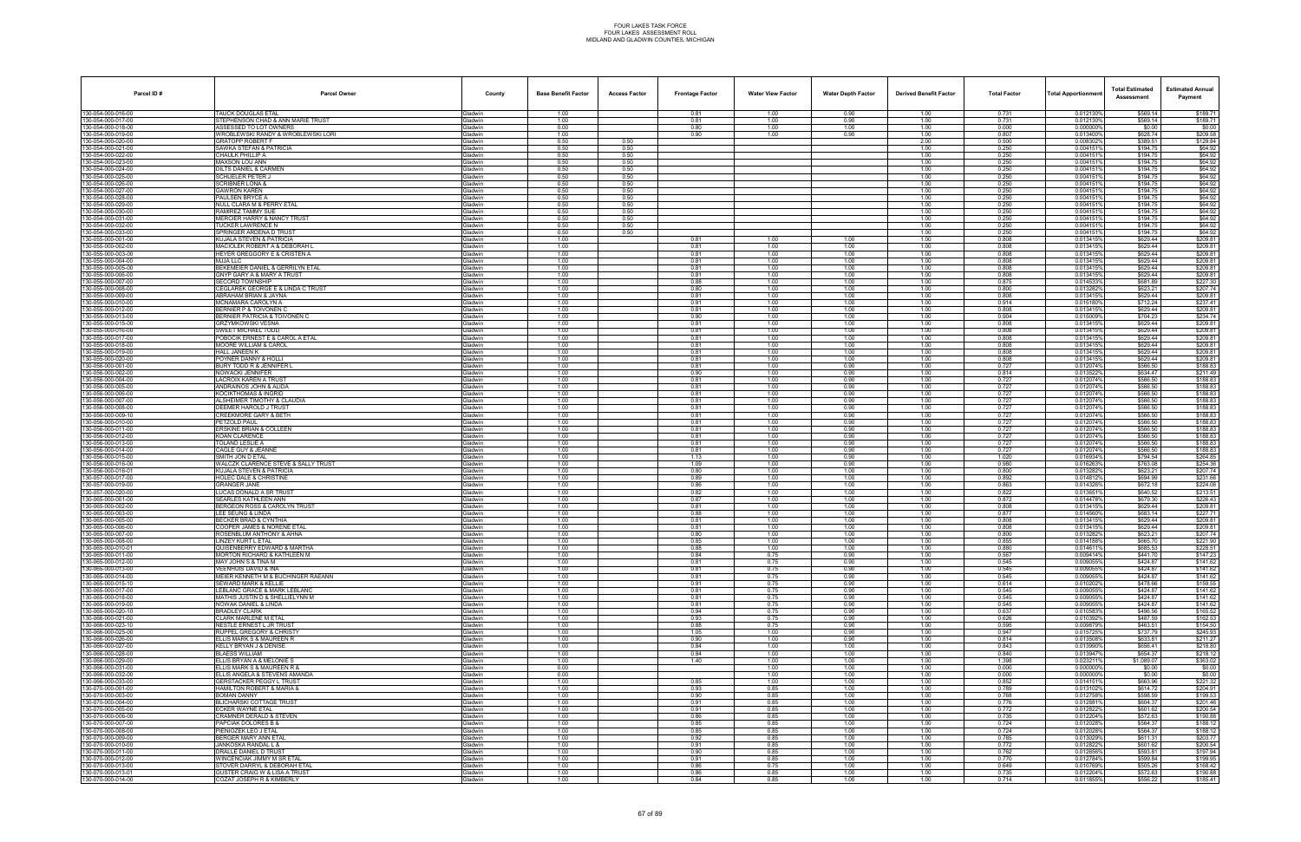| Parcel ID#                              | <b>Parcel Owner</b>                                                   | County                            | <b>Base Benefit Factor</b> | <b>Access Factor</b> | <b>Frontage Factor</b> | <b>Water View Factor</b> | <b>Water Depth Factor</b> | <b>Derived Benefit Factor</b> | <b>Total Factor</b> | <b>Total Apportionmer</b> | <b>Total Estimated</b><br>Assessment | <b>Estimated Annual</b><br>Payment |
|-----------------------------------------|-----------------------------------------------------------------------|-----------------------------------|----------------------------|----------------------|------------------------|--------------------------|---------------------------|-------------------------------|---------------------|---------------------------|--------------------------------------|------------------------------------|
| 130-054-000-016-00                      | <b>TAUCK DOUGLAS ETAL</b>                                             | Gladwin                           | 1.00                       |                      | 0.81                   | 1.00                     | 0.90                      | 1.00                          | 0.731               | 0.012130%                 | \$569.14                             | \$189.71                           |
| 30-054-000-017-00<br>30-054-000-018-00  | STEPHENSON CHAD & ANN MARIE TRUST<br>ASSESSED TO LOT OWNERS           | Gladwin<br><b>Gladwin</b>         | 1.00<br>0.00               |                      | 0.81<br>0.80           | 1.00<br>1.00             | 0.90<br>1.00              | 1.00<br>1.00                  | 0.731<br>0.000      | 0.012130%<br>0.000000%    | \$569.14<br>\$0.00                   | \$189.71<br>\$0.00                 |
| 30-054-000-019-00                       | WROBLEWSKI RANDY & WROBLEWSKI LORI                                    | <b>Gladwin</b>                    | 1.00                       |                      | 0.90                   | 1.00                     | 0.90                      | 1.00                          | 0.807               | 0.013400%                 | \$628.74                             | \$209.58                           |
| 30-054-000-020-00                       | <b>GRATOPP ROBERT F</b>                                               | Gladwin                           | 0.50                       | 0.50                 |                        |                          |                           | 2.00                          | 0.500               | 0.0083029                 | \$389.51                             | \$129.84                           |
| 30-054-000-021-00<br>30-054-000-022-00  | SAWKA STEFAN & PATRICIA<br>CHAULK PHILLIP A                           | Gladwin<br>Gladwin                | 0.50<br>0.50               | 0.50<br>0.50         |                        |                          |                           | 1.00<br>1.00                  | 0.250<br>0.250      | 0.0041519<br>0.0041519    | \$194.75<br>\$194.75                 | \$64.92<br>\$64.92                 |
| 80-054-000-023-00                       | MAXSON LOU ANN                                                        | <b>Gladwin</b>                    | 0.50                       | 0.50                 |                        |                          |                           | 1.00                          | 0.250               | 0.004151                  | \$194.75                             | \$64.92                            |
| 30-054-000-024-00                       | <b>JILTS DANIEL &amp; CARMEN</b>                                      | Gladwin                           | 0.50                       | 0.50                 |                        |                          |                           | 1.00                          | 0.250               | 0.0041519                 | \$194.75                             | \$64.92                            |
| 30-054-000-025-00<br>30-054-000-026-00  | SCHUELER PETER J<br><b>SCRIBNER LONA &amp;</b>                        | Gladwin<br><b>Gladwin</b>         | 0.50<br>0.50               | 0.50<br>0.50         |                        |                          |                           | 1.00<br>1.00                  | 0.250<br>0.250      | 0.0041519<br>0.0041519    | \$194.75<br>\$194.75                 | \$64.92<br>\$64.92                 |
| 30-054-000-027-00                       | <b>GAWRON KAREN</b>                                                   | Gladwin                           | 0.50                       | 0.50                 |                        |                          |                           | 1.00                          | 0.250               | 0.0041519                 | \$194.75                             | \$64.92                            |
| 80-054-000-028-00                       | PAULSEN BRYCE A                                                       | <b>Gladwin</b>                    | 0.50                       | 0.50                 |                        |                          |                           | 1.00                          | 0.250               | 0.0041519                 | \$194.75                             | \$64.92                            |
| 30-054-000-029-00<br>30-054-000-030-00  | NULL CLARA M & PERRY ETAL<br>RAMIREZ TAMMY SUE                        | Gladwin<br>Gladwin                | 0.50<br>0.50               | 0.50<br>0.50         |                        |                          |                           | 1.00<br>1.00                  | 0.250<br>0.250      | 0.0041519<br>0.0041519    | \$194.75<br>\$194.75                 | \$64.92<br>\$64.92                 |
| 30-054-000-031-00                       | <b>MERCIER HARRY &amp; NANCY TRUST</b>                                | Gladwin                           | 0.50                       | 0.50                 |                        |                          |                           | 1.00                          | 0.250               | 0.004151                  | \$194.75                             | \$64.92                            |
| 30-054-000-032-00<br>80-054-000-033-00  | TUCKER LAWRENCE N<br>SPRINGER ARDENA D TRUST                          | Gladwin<br><b>Jadwin</b>          | 0.50<br>0.50               | 0.50<br>0.50         |                        |                          |                           | 1.00<br>1.00                  | 0.250<br>0.250      | 0.0041519<br>0.004151     | \$194.75<br>\$194.75                 | \$64.92<br>\$64.92                 |
| 30-055-000-001-00                       | KUJALA STEVEN & PATRICIA                                              | Gladwin                           | 1.00                       |                      | 0.81                   | 1.00                     | 1.00                      | 1.00                          | 0.808               | 0.013415                  | \$629.44                             | \$209.81                           |
| 30-055-000-002-00                       | MACIOLEK ROBERT A & DEBORAH L                                         | Gladwin                           | 1.00                       |                      | 0.81                   | 1.00                     | 1.00                      | 1.00                          | 0.808               | 0.013415                  | \$629.44                             | \$209.81                           |
| 30-055-000-003-00<br>30-055-000-004-00  | HEYER GREGGORY E & CRISTEN A<br><b>MJJA LLC</b>                       | <b>Gladwin</b><br>Gladwin         | 1.00<br>1.00               |                      | 0.81<br>0.81           | 1.00<br>1.00             | 1.00<br>1.00              | 1.00<br>1.00                  | 0.808<br>0.808      | 0.0134159<br>0.013415%    | \$629.44<br>\$629.44                 | \$209.81<br>\$209.81               |
| 30-055-000-005-00                       | BEKEMEIER DANIEL & GERRILYN ETAL                                      | <b>Gladwin</b>                    | 1.00                       |                      | 0.81                   | 1.00                     | 1.00                      | 1.00                          | 0.808               | 0.0134159                 | \$629.44                             | \$209.81                           |
| 30-055-000-006-00                       | GNYP GARY A & MARY A TRUST                                            | <b>Gladwin</b>                    | 1.00                       |                      | 0.81                   | 1.00                     | 1.00                      | 1.00                          | 0.808               | 0.0134159                 | \$629.44                             | \$209.81                           |
| 30-055-000-007-00<br>30-055-000-008-00  | <b>SECORD TOWNSHIP</b><br>CEGLAREK GEORGE E & LINDA C TRUST           | Gladwin<br>Gladwin                | 1.00<br>1.00               |                      | 0.88<br>0.80           | 1.00<br>1.00             | 1.00<br>1.00              | 1.00<br>1.00                  | 0.875<br>0.800      | 0.014533<br>0.0132829     | \$681.89<br>\$623.21                 | \$227.30<br>\$207.74               |
| 30-055-000-009-00                       | ABRAHAM BRIAN & JAYNA                                                 | Gladwin                           | 1.00                       |                      | 0.81                   | 1.00                     | 1.00                      | 1.00                          | 0.808               | 0.0134159                 | \$629.44                             | \$209.81                           |
| 80-055-000-010-00                       | <b>MCNAMARA CAROLYN A</b><br><b>BERNIER P &amp; TOIVONEN C</b>        | <b>Gladwin</b><br>Gladwin         | 1.00                       |                      | 0.91                   | 1.00                     | 1.00                      | 1.00                          | 0.914<br>0.808      | 0.015180%                 | \$712.24                             | \$237.41                           |
| 30-055-000-012-00<br>30-055-000-013-00  | <b>BERNIER PATRICIA &amp; TOIVONEN C</b>                              | Gladwin                           | 1.00<br>1.00               |                      | 0.81<br>0.90           | 1.00<br>1.00             | 1.00<br>1.00              | 1.00<br>1.00                  | 0.904               | 0.0134159<br>0.0150099    | \$629.44<br>\$704.23                 | \$209.81<br>\$234.74               |
| 30-055-000-015-00                       | <b>GRZYMKOWSKI VESNA</b>                                              | Gladwin                           | 1.00                       |                      | 0.81                   | 1.00                     | 1.00                      | 1.00                          | 0.808               | 0.013415%                 | \$629.44                             | \$209.81                           |
| 30-055-000-016-00<br>30-055-000-017-00  | SWEET MICHAEL TODD<br>OBOCIK ERNEST E & CAROL A ETAL                  | <b>Gladwin</b><br><b>Gladwin</b>  | 1.00<br>1.00               |                      | 0.81<br>0.81           | 1.00<br>1.00             | 1.00<br>1.00              | 1.00<br>1.00                  | 0.808<br>0.808      | 0.0134159<br>0.013415     | \$629.44<br>\$629.44                 | \$209.81<br>\$209.81               |
| 30-055-000-018-00                       | MOORE WILLIAM & CAROL                                                 | <b>Gladwin</b>                    | 1.00                       |                      | 0.81                   | 1.00                     | 1.00                      | 1.00                          | 0.808               | 0.0134159                 | \$629.44                             | \$209.81                           |
| 30-055-000-019-00                       | HALL JANEEN K                                                         | Gladwin                           | 1.00                       |                      | 0.81                   | 1.00                     | 1.00                      | 1.00                          | 0.808               | 0.013415                  | \$629.44                             | \$209.81                           |
| 30-055-000-020-00<br>30-056-000-001-00  | POYNER DANNY & HOLLI<br>BURY TODD R & JENNIFER L                      | Gladwin<br><b>Gladwin</b>         | 1.00<br>1.00               |                      | 0.81<br>0.81           | 1.00<br>1.00             | 1.00<br>0.90              | 1.00<br>1.00                  | 0.808<br>0.727      | 0.013415%<br>0.012074%    | \$629.44<br>\$566.50                 | \$209.81<br>\$188.83               |
| 30-056-000-002-00                       | NOWACKI JENNIFER                                                      | <b>Gladwin</b>                    | 1.00                       |                      | 0.90                   | 1.00                     | 0.90                      | 1.00                          | 0.814               | 0.0135229                 | \$634.47                             | \$211.49                           |
| 30-056-000-004-00                       | <b>ACROIX KAREN A TRUST</b>                                           | <b>Gladwin</b>                    | 1.00                       |                      | 0.81                   | 1.00                     | 0.90                      | 1.00                          | 0.727               | 0.012074%                 | \$566.50                             | \$188.83                           |
| 30-056-000-005-00<br>30-056-000-006-00  | ANDRAINOS JOHN & ALIDA<br>KOCIKTHOMAS & INGRID                        | Gladwin<br>Gladwin                | 1.00<br>1.00               |                      | 0.81<br>0.81           | 1.00<br>1.00             | 0.90<br>0.90              | 1.00<br>1.00                  | 0.727<br>0.727      | 0.012074%<br>0.012074%    | \$566.50<br>\$566.50                 | \$188.83<br>\$188.83               |
| 30-056-000-007-00                       | ALSHEIMER TIMOTHY & CLAUDIA                                           | <b>Gladwin</b>                    | 1.00                       |                      | 0.81                   | 1.00                     | 0.90                      | 1.00                          | 0.727               | 0.012074%                 | \$566.50                             | \$188.83                           |
| 80-056-000-008-00                       | DEEMER HAROLD J TRUST<br>CREEKMORE GARY & BETH                        | <b>Gladwin</b>                    | 1.00                       |                      | 0.81                   | 1.00                     | 0.90                      | 1.00                          | 0.727               | 0.012074%                 | \$566.50                             | \$188.83                           |
| 30-056-000-009-10<br>30-056-000-010-00  | PETZOLD PAUL                                                          | <b>Gladwin</b><br>Gladwin         | 1.00<br>1.00               |                      | 0.81<br>0.81           | 1.00<br>1.00             | 0.90<br>0.90              | 1.00<br>1.00                  | 0.727<br>0.727      | 0.012074%<br>0.012074%    | \$566.50<br>\$566.50                 | \$188.83<br>\$188.83               |
| 30-056-000-011-00                       | <b>ERSKINE BRIAN &amp; COLLEEN</b>                                    | Gladwin                           | 1.00                       |                      | 0.81                   | 1.00                     | 0.90                      | 1.00                          | 0.727               | 0.012074%                 | \$566.50                             | \$188.83                           |
| 30-056-000-012-00<br>30-056-000-013-00  | <b>KOAN CLARENCE</b><br>OLAND LESLIE A                                | <b>Gladwin</b><br>iladwin         | 1.00<br>1.00               |                      | 0.81<br>0.81           | 1.00<br>1.00             | 0.90<br>0.90              | 1.00<br>1.00                  | 0.727<br>0.727      | 0.012074%<br>0.012074%    | \$566.50<br>\$566.50                 | \$188.83<br>\$188.83               |
| 30-056-000-014-00                       | CAGLE GUY & JEANNE                                                    | <b>Gladwin</b>                    | 1.00                       |                      | 0.81                   | 1.00                     | 0.90                      | 1.00                          | 0.727               | 0.012074%                 | \$566.50                             | \$188.83                           |
| 30-056-000-015-00                       | SMITH JON D ETAL                                                      | Gladwin                           | 1.00                       |                      | 1.13                   | 1.00                     | 0.90                      | 1.00                          | 1.020               | 0.016934%                 | \$794.54                             | \$264.85                           |
| 30-056-000-016-00<br>30-056-000-016-01  | WALCZK CLARENCE STEVE & SALLY TRUST<br>KUJALA STEVEN & PATRICIA       | Gladwin<br><b>Gladwin</b>         | 1.00<br>1.00               |                      | 1.09<br>0.80           | 1.00<br>1.00             | 0.90<br>1.00              | 1.00<br>1.00                  | 0.980<br>0.800      | 0.016263%<br>0.0132829    | \$763.08<br>\$623.21                 | \$254.36<br>\$207.74               |
| 30-057-000-017-00                       | HOLEC DALE & CHRISTINE                                                | <b>Gladwin</b>                    | 1.00                       |                      | 0.89                   | 1.00                     | 1.00                      | 1.00                          | 0.892               | 0.0148129                 | \$694.99                             | \$231.66                           |
| 30-057-000-019-00<br>30-057-000-020-00  | <b>GRANGER JANE</b>                                                   | Gladwin                           | 1.00                       |                      | 0.86                   | 1.00                     | 1.00                      | 1.00                          | 0.863               | 0.014326%                 | \$672.18                             | \$224.06                           |
| 30-065-000-001-00                       | LUCAS DONALD A SR TRUST<br><b>SEARLES KATHLEEN ANN</b>                | Gladwin<br>Gladwin                | 1.00<br>1.00               |                      | 0.82<br>0.87           | 1.00<br>1.00             | 1.00<br>1.00              | 1.00<br>1.00                  | 0.822<br>0.872      | 0.0136519<br>0.014478%    | \$640.52<br>\$679.30                 | \$213.51<br>\$226.43               |
| 30-065-000-002-00                       | BERGEON ROSS & CAROLYN TRUST                                          | <b>Gladwin</b>                    | 1.00                       |                      | 0.81                   | 1.00                     | 1.00                      | 1.00                          | 0.808               | 0.013415                  | \$629.44                             | \$209.81                           |
| 30-065-000-003-00<br>30-065-000-005-00  | LEE SEUNG & LINDA<br><b>BECKER BRAD &amp; CYNTHIA</b>                 | <b>Gladwin</b><br><b>Gladwin</b>  | 1.00<br>1.00               |                      | 0.88<br>0.81           | 1.00<br>1.00             | 1.00<br>1.00              | 1.00<br>1.00                  | 0.877<br>0.808      | 0.0145609<br>0.013415%    | \$683.14<br>\$629.44                 | \$227.71<br>\$209.81               |
| 30-065-000-006-00                       | COOPER JAMES & NORENE ETAL                                            | <b>Gladwin</b>                    | 1.00                       |                      | 0.81                   | 1.00                     | 1.00                      | 1.00                          | 0.808               | 0.013415                  | \$629.44                             | \$209.81                           |
| 30-065-000-007-00                       | ROSENBLUM ANTHONY & AHNA                                              | Gladwin                           | 1.00                       |                      | 0.80                   | 1.00                     | 1.00                      | 1.00                          | 0.800               | 0.0132829                 | \$623.21                             | \$207.74                           |
| 30-065-000-008-00<br>130-065-000-010-01 | <b>INZEY KURT L ETAL</b><br>QUISENBERRY EDWARD & MARTHA               | <b>Gladwin</b><br><b>i</b> ladwin | 1.00<br>1.00               |                      | 0.85<br>0.88           | 1.00<br>1.00             | 1.00<br>1.00              | 1.00<br>1.00                  | 0.855<br>0.880      | 0.0141889<br>0.014611     | \$665.70<br>\$685.53                 | \$221.90<br>\$228.51               |
| 30-065-000-011-00                       | MORTON RICHARD & KATHLEEN M                                           | Gladwin                           | 1.00                       |                      | 0.84                   | 0.75                     | 0.90                      | 1.00                          | 0.567               | 0.009414%                 | \$441.70                             | \$147.23                           |
| 30-065-000-012-00                       | MAY JOHN S & TINA M                                                   | Gladwin                           | 1.00                       |                      | 0.81                   | 0.75                     | 0.90                      | 1.00                          | 0.545               | 0.009055%                 | \$424.87                             | \$141.62                           |
| 30-065-000-013-00<br>30-065-000-014-00  | VEENHUIS DAVID & INA<br>MEIER KENNETH M & BUCHINGER RAEANN            | Gladwin<br><b>Gladwin</b>         | 1.00<br>1.00               |                      | 0.81<br>0.81           | 0.75<br>0.75             | 0.90<br>0.90              | 1.00<br>1.00                  | 0.545<br>0.545      | 0.009055%<br>0.009055%    | \$424.87<br>\$424.87                 | \$141.62<br>\$141.62               |
| 80-065-000-015-10                       | SEWARD MARK & KELLIE                                                  | <b>Gladwin</b>                    | 1.00                       |                      | 0.91                   | 0.75                     | 0.90                      | 1.00                          | 0.614               | 0.0102029                 | \$478.66                             | \$159.55                           |
| 30-065-000-017-00<br>30-065-000-018-00  | LEBLANC GRACE & MARK LEBLANC<br>MATHIS JUSTIN D & SHELLIELYNN M       | Gladwin<br>Gladwin                | 1.00<br>1.00               |                      | 0.81<br>0.81           | 0.75<br>0.75             | 0.90<br>0.90              | 1.00<br>1.00                  | 0.545<br>0.545      | 0.009055%<br>0.009055%    | \$424.87<br>\$424.87                 | \$141.62<br>\$141.62               |
| 30-065-000-019-00                       | NOWAK DANIEL & LINDA                                                  | Gladwin                           | 1.00                       |                      | 0.81                   | 0.75                     | 0.90                      | 1.00                          | 0.545               | 0.009055%                 | \$424.87                             | \$141.62                           |
| 30-065-000-020-10                       | <b>BRADLEY CLARK</b>                                                  | <b>Gladwin</b>                    | 1.00                       |                      | 0.94                   | 0.75                     | 0.90                      | 1.00                          | 0.637               | 0.010583%                 | \$496.56                             | \$165.52                           |
| 30-066-000-021-00<br>30-066-000-023-10  | CLARK MARLENE M ETAL<br>NESTLE ERNEST L JR TRUST                      | <b>Gladwin</b><br>Gladwin         | 1.00<br>1.00               |                      | 0.93<br>0.88           | 0.75<br>0.75             | 0.90<br>0.90              | 1.00<br>1.00                  | 0.626<br>0.595      | 0.010392%<br>0.009879%    | \$487.59<br>\$463.51                 | \$162.53<br>\$154.50               |
| 30-066-000-025-00                       | <b>RUPPEL GREGORY &amp; CHRISTY</b>                                   | Gladwin                           | 1.00                       |                      | 1.05                   | 1.00                     | 0.90                      | 1.00                          | 0.947               | 0.015725%                 | \$737.79                             | \$245.93                           |
| 30-066-000-026-00<br>30-066-000-027-00  | ELLIS MARK S & MAUREEN R<br>KELLY BRYAN J & DENISE                    | Gladwin<br><b>Gladwin</b>         | 1.00<br>1.00               |                      | 0.90<br>0.84           | 1.00<br>1.00             | 0.90<br>1.00              | 1.00<br>1.00                  | 0.814<br>0.843      | 0.013508%<br>0.013990%    | \$633.81<br>\$656.41                 | \$211.27<br>\$218.80               |
| 80-066-000-028-00                       | BLAESS WILLIAM                                                        | <b>Gladwin</b>                    | 1.00                       |                      | 0.84                   | 1.00                     | 1.00                      | 1.00                          | 0.840               | 0.013947%                 | \$654.37                             | \$218.12                           |
| 30-066-000-029-00                       | ELLIS BRYAN A & MELONIE S                                             | Gladwin                           | 1.00                       |                      | 1.40                   | 1.00                     | 1.00                      | 1.00                          | 1.398               | 0.023211%                 | \$1,089.07                           | \$363.02                           |
| 30-066-000-031-00<br>30-066-000-032-00  | ELLIS MARK S & MAUREEN R &<br>ELLIS ANGELA & STEVENS AMANDA           | Gladwin<br>Gladwin                | 0.00<br>0.00               |                      |                        | 1.00<br>1.00             | 1.00<br>1.00              | 1.00<br>1.00                  | 0.000<br>0.000      | 0.000000%<br>0.000000%    | \$0.00<br>\$0.00                     | \$0.00<br>\$0.00                   |
| 30-066-000-033-00                       | <b>GERSTACKER PEGGY L TRUST</b>                                       | Gladwin                           | 1.00                       |                      | 0.85                   | 1.00                     | 1.00                      | 1.00                          | 0.852               | 0.0141519                 | \$663.96                             | \$221.32                           |
| 30-070-000-001-00                       | HAMILTON ROBERT & MARIA &                                             | <b>Gladwin</b>                    | 1.00                       |                      | 0.93                   | 0.85                     | 1.00                      | 1.00                          | 0.789               | 0.0131029                 | \$614.72                             | \$204.91                           |
| 30-070-000-003-00<br>30-070-000-004-00  | <b>BOMAN DANNY</b><br><b>BLICHARSKI COTTAGE TRUST</b>                 | Gladwin<br>Gladwin                | 1.00<br>1.00               |                      | 0.90<br>0.91           | 0.85<br>0.85             | 1.00<br>1.00              | 1.00<br>1.00                  | 0.768<br>0.776      | 0.012758%<br>0.012881%    | \$598.59<br>\$604.37                 | \$199.53<br>\$201.46               |
| 30-070-000-005-00                       | <b>ECKER WAYNE ETAL</b>                                               | Gladwin                           | 1.00                       |                      | 0.91                   | 0.85                     | 1.00                      | 1.00                          | 0.772               | 0.012822%                 | \$601.62                             | \$200.54                           |
| 30-070-000-006-00                       | CRAMNER DERALD & STEVEN                                               | Gladwin                           | 1.00                       |                      | 0.86                   | 0.85                     | 1.00                      | 1.00                          | 0.735               | 0.012204%                 | \$572.63                             | \$190.88                           |
| 30-070-000-007-00<br>30-070-000-008-00  | APCIAK DOLORES B &<br>PIENIOZEK LEO J ETAL                            | <b>Gladwin</b><br>Gladwin         | 1.00<br>1.00               |                      | 0.85<br>0.85           | 0.85<br>0.85             | 1.00<br>1.00              | 1.00<br>1.00                  | 0.724<br>0.724      | 0.0120289<br>0.012028%    | \$564.37<br>\$564.37                 | \$188.12<br>\$188.12               |
| 30-070-000-009-00                       | BERGER MARY ANN ETAL                                                  | Gladwin                           | 1.00                       |                      | 0.92                   | 0.85                     | 1.00                      | 1.00                          | 0.785               | 0.013029%                 | \$611.31                             | \$203.77                           |
| 30-070-000-010-00<br>30-070-000-011-00  | JANKOSKA RANDAL L &<br>DRALLE DANIEL D TRUST                          | Gladwin<br>Gladwin                | 1.00<br>1.00               |                      | 0.91<br>0.90           | 0.85<br>0.85             | 1.00<br>1.00              | 1.00<br>1.00                  | 0.772<br>0.762      | 0.012822%<br>0.012656%    | \$601.62<br>\$593.81                 | \$200.54<br>\$197.94               |
| 30-070-000-012-00                       | WINCENCIAK JIMMY M SR ETAL                                            | <b>Gladwin</b>                    | 1.00                       |                      | 0.91                   | 0.85                     | 1.00                      | 1.00                          | 0.770               | 0.012784%                 | \$599.84                             | \$199.95                           |
| 30-070-000-013-00                       | STOVER DARRYL & DEBORAH ETAL                                          | Gladwin                           | 1.00                       |                      | 0.86                   | 0.75                     | 1.00                      | 1.00                          | 0.649               | 0.010769%                 | \$505.26                             | \$168.42                           |
| 30-070-000-013-01<br>30-070-000-014-00  | <b>GUSTER CRAIG W &amp; LISA A TRUST</b><br>COZAT JOSEPH R & KIMBERLY | Gladwin<br>Gladwin                | 1.00<br>1.00               |                      | 0.86<br>0.84           | 0.85<br>0.85             | 1.00<br>1.00              | 1.00<br>1.00                  | 0.735<br>0.714      | 0.012204%<br>0.011855%    | \$572.63<br>\$556.22                 | \$190.88<br>\$185.41               |
|                                         |                                                                       |                                   |                            |                      |                        |                          |                           |                               |                     |                           |                                      |                                    |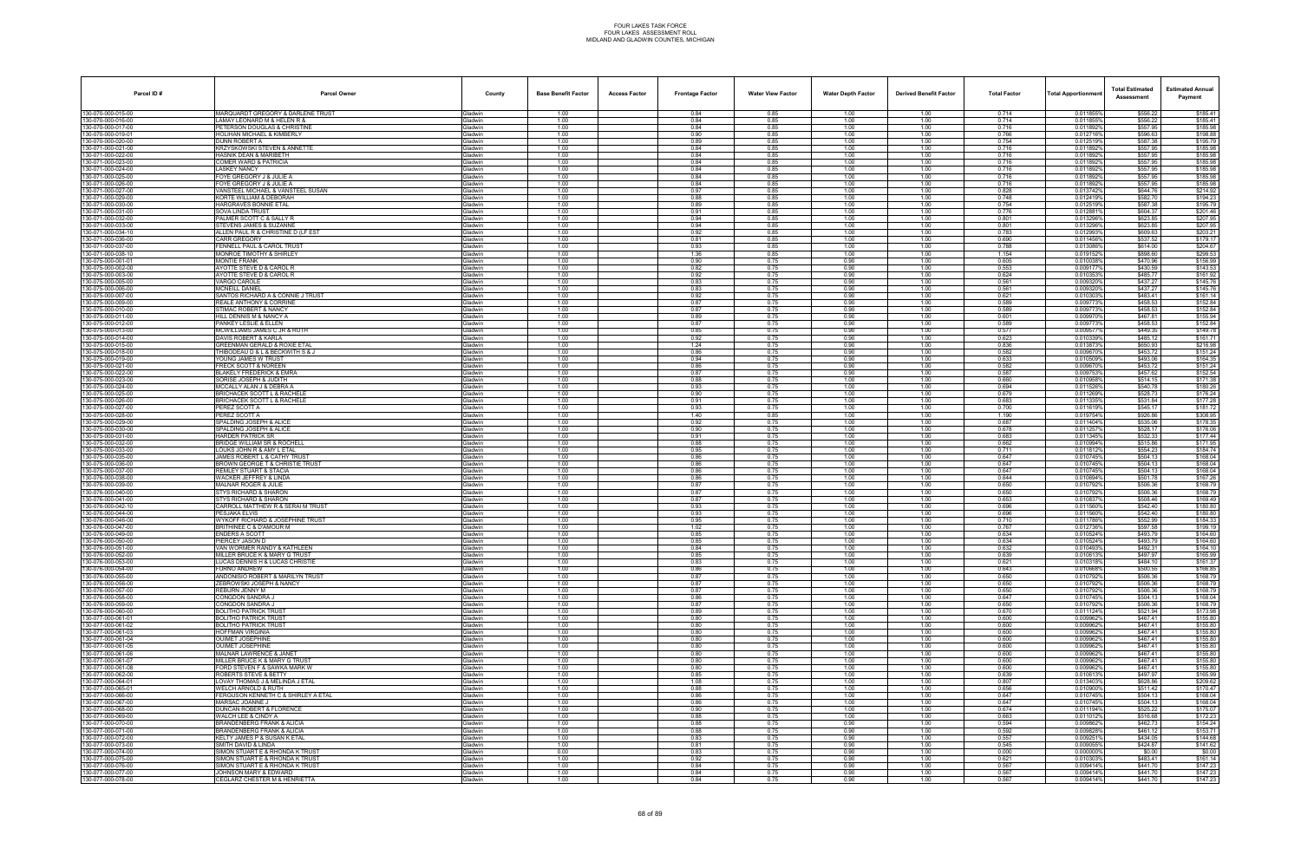| Parcel ID#                               | <b>Parcel Owner</b>                                              | County                           | <b>Base Benefit Factor</b> | <b>Access Factor</b> | <b>Frontage Factor</b> | <b>Water View Factor</b> | <b>Water Depth Factor</b> | <b>Derived Benefit Factor</b> | <b>Total Factor</b> | Total Apportionmer     | <b>Total Estimated</b><br>Assessment | <b>Estimated Annual</b><br>Payment |
|------------------------------------------|------------------------------------------------------------------|----------------------------------|----------------------------|----------------------|------------------------|--------------------------|---------------------------|-------------------------------|---------------------|------------------------|--------------------------------------|------------------------------------|
| 130-070-000-015-00                       | MARQUARDT GREGORY & DARLENE TRUST                                | <b>Sladwin</b>                   | 1.00                       |                      | 0.84                   | 0.85                     | 1.00                      | 1.00                          | 0.714               | 0.011855%              | \$556.22                             | \$185.41                           |
| 130-070-000-016-00<br>30-070-000-017-00  | LAMAY LEONARD M & HELEN R &<br>PETERSON DOUGLAS & CHRISTINE      | Gladwin<br>iladwin               | 1.00<br>1.00               |                      | 0.84<br>0.84           | 0.85<br>0.85             | 1.00<br>1.00              | 1.00<br>1.00                  | 0.714<br>0.716      | 0.011855%<br>0.011892% | \$556.22<br>\$557.95                 | \$185.41<br>\$185.98               |
| 30-070-000-019-01                        | HOLIHAN MICHAEL & KIMBERLY                                       | <b>Gladwin</b>                   | 1.00                       |                      | 0.90                   | 0.85                     | 1.00                      | 1.00                          | 0.766               | 0.012716%              | \$596.63                             | \$198.88                           |
| 30-070-000-020-00                        | DUNN ROBERT A                                                    | Gladwin                          | 1.00                       |                      | 0.89                   | 0.85                     | 1.00                      | 1.00                          | 0.754               | 0.012519%              | \$587.38                             | \$195.79                           |
| 30-071-000-021-00                        | <b>KRZYSKOWSKI STEVEN &amp; ANNETTE</b>                          | Gladwin                          | 1.00<br>1.00               |                      | 0.84                   | 0.85                     | 1.00                      | 1.00                          | 0.716               | 0.0118929              | \$557.95                             | \$185.98                           |
| 130-071-000-022-00<br>30-071-000-023-00  | <b>HASNIK DEAN &amp; MARIBETH</b><br>COMER WARD & PATRICIA       | <b>Gladwin</b><br>iladwin        | 1.00                       |                      | 0.84<br>0.84           | 0.85<br>0.85             | 1.00<br>1.00              | 1.00<br>1.00                  | 0.716<br>0.716      | 0.011892%<br>0.011892% | \$557.95<br>\$557.95                 | \$185.98<br>\$185.98               |
| 30-071-000-024-00                        | <b>LASKEY NANCY</b>                                              | <b>i</b> ladwin                  | 1.00                       |                      | 0.84                   | 0.85                     | 1.00                      | 1.00                          | 0.716               | 0.011892%              | \$557.95                             | \$185.98                           |
| 30-071-000-025-00                        | FOYE GREGORY J & JULIE A                                         | Gladwin                          | 1.00                       |                      | 0.84                   | 0.85                     | 1.00                      | 1.00                          | 0.716               | 0.011892%              | \$557.95                             | \$185.98                           |
| 130-071-000-026-00<br>130-071-000-027-00 | FOYE GREGORY J & JULIE A<br>VANSTEEL MICHAEL & VANSTEEL SUSAN    | <b>Gladwin</b><br><b>Gladwin</b> | 1.00<br>1.00               |                      | 0.84<br>0.97           | 0.85<br>0.85             | 1.00<br>1.00              | 1.00<br>1.00                  | 0.716<br>0.828      | 0.011892%<br>0.013742% | \$557.95<br>\$644.76                 | \$185.98<br>\$214.92               |
| 30-071-000-029-00                        | KORTE WILLIAM & DEBORAH                                          | iladwin                          | 1.00                       |                      | 0.88                   | 0.85                     | 1.00                      | 1.00                          | 0.748               | 0.012419%              | \$582.70                             | \$194.23                           |
| 30-071-000-030-00                        | HARGRAVES BONNIE ETAL                                            | <b>Gladwin</b>                   | 1.00                       |                      | 0.89                   | 0.85                     | 1.00                      | 1.00                          | 0.754               | 0.012519%              | \$587.38                             | \$195.79                           |
| 30-071-000-031-00<br>30-071-000-032-00   | SOVA LINDA TRUST                                                 | Gladwin<br><b>Gladwin</b>        | 1.00<br>1.00               |                      | 0.91<br>0.94           | 0.85<br>0.85             | 1.00<br>1.00              | 1.00<br>1.00                  | 0.776<br>0.801      | 0.012881%<br>0.013296% | \$604.37<br>\$623.85                 | \$201.46<br>\$207.95               |
| 130-071-000-033-00                       | PALMER SCOTT C & SALLY R<br>STEVENS JAMES & SUZANNE              | <b>Gladwin</b>                   | 1.00                       |                      | 0.94                   | 0.85                     | 1.00                      | 1.00                          | 0.801               | 0.013296%              | \$623.85                             | \$207.95                           |
| 30-071-000-034-10                        | ALLEN PAUL R & CHRISTINE D (LF EST                               | iladwin                          | 1.00                       |                      | 0.92                   | 0.85                     | 1.00                      | 1.00                          | 0.783               | 0.012993%              | \$609.63                             | \$203.21                           |
| 30-071-000-036-00                        | CARR GREGORY                                                     | <b>i</b> ladwin                  | 1.00                       |                      | 0.81                   | 0.85                     | 1.00                      | 1.00                          | 0.690               | 0.011456%              | \$537.52                             | \$179.17                           |
| 30-071-000-037-00<br>130-071-000-038-10  | FENNELL PAUL & CAROL TRUST<br>MONROE TIMOTHY & SHIRLEY           | Gladwin<br><b>Sladwin</b>        | 1.00<br>1.00               |                      | 0.93<br>1.36           | 0.85<br>0.85             | 1.00<br>1.00              | 1.00<br>1.00                  | 0.788<br>1.154      | 0.013086%<br>0.019152% | \$614.00<br>\$898.60                 | \$204.67<br>\$299.53               |
| 130-075-000-001-01                       | <b>MONTIE FRANK</b>                                              | <b>Gladwin</b>                   | 1.00                       |                      | 0.90                   | 0.75                     | 0.90                      | 1.00                          | 0.605               | 0.010038%              | \$470.96                             | \$156.99                           |
| 30-075-000-002-00                        | AYOTTE STEVE D & CAROL R                                         | iladwin                          | 1.00                       |                      | 0.82                   | 0.75                     | 0.90                      | 1.00                          | 0.553               | 0.009177%              | \$430.59                             | \$143.53                           |
| 30-075-000-003-00<br>30-075-000-005-00   | AYOTTE STEVE D & CAROL R<br>VARGO CAROLE                         | <b>Gladwin</b><br>Gladwin        | 1.00<br>1.00               |                      | 0.92<br>0.83           | 0.75<br>0.75             | 0.90<br>0.90              | 1.00<br>1.00                  | 0.624<br>0.561      | 0.0103539<br>0.0093209 | \$485.77<br>\$437.27                 | \$161.92<br>\$145.76               |
| 130-075-000-006-00                       | MCNEILL DANIEL                                                   | Gladwin                          | 1.00                       |                      | 0.83                   | 0.75                     | 0.90                      | 1.00                          | 0.561               | 0.009320%              | \$437.27                             | \$145.76                           |
| 30-075-000-007-00                        | SANTOS RICHARD A & CONNIE J TRUST                                | <b>Gladwin</b>                   | 1.00                       |                      | 0.92                   | 0.75                     | 0.90                      | 1.00                          | 0.621               | 0.0103039              | \$483.41                             | \$161.14                           |
| 30-075-000-009-00                        | <b>REALE ANTHONY &amp; CORRINE</b>                               | iladwin                          | 1.00                       |                      | 0.87                   | 0.75                     | 0.90                      | 1.00                          | 0.589               | 0.009773%              | \$458.53                             | \$152.84                           |
| 30-075-000-010-00<br>30-075-000-011-00   | <b>STIMAC ROBERT &amp; NANCY</b><br>HILL DENNIS M & NANCY A      | iladwin<br><b>Gladwin</b>        | 1.00<br>1.00               |                      | 0.87<br>0.89           | 0.75<br>0.75             | 0.90<br>0.90              | 1.00<br>1.00                  | 0.589<br>0.601      | 0.009773<br>0.009970   | \$458.53<br>\$467.81                 | \$152.84<br>\$155.94               |
| 130-075-000-012-00                       | PANKEY LESLIE & ELLEN                                            | <b>Gladwin</b>                   | 1.00                       |                      | 0.87                   | 0.75                     | 0.90                      | 1.00                          | 0.589               | 0.009773%              | \$458.53                             | \$152.84                           |
| 130-075-000-013-00                       | MCWILLIAMS JAMES C JR & RUTH                                     | <b>Gladwin</b>                   | 1.00                       |                      | 0.85                   | 0.75                     | 0.90                      | 1.00                          | 0.577               | 0.0095779              | \$449.35                             | \$149.78                           |
| 30-075-000-014-00<br>30-075-000-015-00   | DAVIS ROBERT & KARLA<br><b>GREENMAN GERALD &amp; ROXIE ETAL</b>  | <b>Gladwin</b><br><b>Gladwin</b> | 1.00<br>1.00               |                      | 0.92<br>1.24           | 0.75<br>0.75             | 0.90<br>0.90              | 1.00<br>1.00                  | 0.623<br>0.836      | 0.010339%<br>0.0138739 | \$485.12<br>\$650.93                 | \$161.71<br>\$216.98               |
| 30-075-000-018-00                        | THIBODEAU D & L & BECKWITH S & J                                 | Gladwin                          | 1.00                       |                      | 0.86                   | 0.75                     | 0.90                      | 1.00                          | 0.582               | 0.009670               | \$453.72                             | \$151.24                           |
| 130-075-000-019-00                       | YOUNG JAMES W TRUST                                              | <b>Gladwin</b>                   | 1.00                       |                      | 0.94                   | 0.75                     | 0.90                      | 1.00                          | 0.633               | 0.010509%              | \$493.06                             | \$164.35                           |
| 30-075-000-021-00                        | FRECK SCOTT & NOREEN                                             | iladwin                          | 1.00                       |                      | 0.86                   | 0.75                     | 0.90                      | 1.00                          | 0.582               | 0.009670               | \$453.72                             | \$151.24                           |
| 30-075-000-022-00<br>30-075-000-023-00   | BLAKELY FREDERICK & EMRA<br>SORISE JOSEPH & JUDITH               | iladwin<br>iladwin               | 1.00<br>1.00               |                      | 0.87<br>0.88           | 0.75<br>0.75             | 0.90<br>1.00              | 1.00<br>1.00                  | 0.587<br>0.660      | 0.009753<br>0.010958%  | \$457.62<br>\$514.15                 | \$152.54<br>\$171.38               |
| 30-075-000-024-00                        | MCCALLY ALAN J & DEBRA A                                         | iladwin                          | 1.00                       |                      | 0.93                   | 0.75                     | 1.00                      | 1.00                          | 0.694               | 0.0115269              | \$540.78                             | \$180.26                           |
| 130-075-000-025-00                       | <b>BRICHACEK SCOTT L &amp; RACHELE</b>                           | <b>Gladwin</b>                   | 1.00                       |                      | 0.90                   | 0.75                     | 1.00                      | 1.00                          | 0.679               | 0.011269%              | \$528.73                             | \$176.24                           |
| 30-075-000-026-00<br>30-075-000-027-00   | <b>BRICHACEK SCOTT L &amp; RACHELE</b><br>PEREZ SCOTT A          | <b>Gladwin</b><br>iladwin        | 1.00<br>1.00               |                      | 0.91<br>0.93           | 0.75<br>0.75             | 1.00<br>1.00              | 1.00<br>1.00                  | 0.683<br>0.700      | 0.0113359<br>0.011619% | \$531.84<br>\$545.17                 | \$177.28<br>\$181.72               |
| 30-075-000-028-00                        | PEREZ SCOTT A                                                    | <b>Gladwin</b>                   | 1.00                       |                      | 1.40                   | 0.85                     | 1.00                      | 1.00                          | 1.190               | 0.019754%              | \$926.86                             | \$308.95                           |
| 30-075-000-029-00                        | SPALDING JOSEPH & ALICE                                          | <b>Gladwin</b>                   | 1.00                       |                      | 0.92                   | 0.75                     | 1.00                      | 1.00                          | 0.687               | 0.011404%              | \$535.06                             | \$178.35                           |
| 130-075-000-030-00<br>30-075-000-031-00  | SPALDING JOSEPH & ALICE<br><b>HARDER PATRICK SR</b>              | <b>Gladwin</b>                   | 1.00<br>1.00               |                      | 0.90<br>0.91           | 0.75<br>0.75             | 1.00<br>1.00              | 1.00<br>1.00                  | 0.678<br>0.683      | 0.011257%<br>0.0113459 | \$528.17<br>\$532.33                 | \$176.06<br>\$177.44               |
| 30-075-000-032-00                        | BRIDGE WILLIAM SR & ROCHELL                                      | iladwin<br>iladwin               | 1.00                       |                      | 0.88                   | 0.75                     | 1.00                      | 1.00                          | 0.662               | 0.0109949              | \$515.86                             | \$171.95                           |
| 30-075-000-033-00                        | LOUKS JOHN R & AMY L ETAL                                        | <b>Sladwin</b>                   | 1.00                       |                      | 0.95                   | 0.75                     | 1.00                      | 1.00                          | 0.711               | 0.011812%              | \$554.23                             | \$184.74                           |
| 30-075-000-035-00                        | JAMES ROBERT L & CATHY TRUST                                     | iladwin                          | 1.00                       |                      | 0.86                   | 0.75                     | 1.00                      | 1.00                          | 0.647               | 0.010745%              | \$504.13                             | \$168.04                           |
| 130-075-000-036-00<br>30-075-000-037-00  | BROWN GEORGE T & CHRISTIE TRUST<br>REMLEY STUART & STACIA        | <b>Gladwin</b><br>iladwin        | 1.00<br>1.00               |                      | 0.86<br>0.86           | 0.75<br>0.75             | 1.00<br>1.00              | 1.00<br>1.00                  | 0.647<br>0.647      | 0.010745%<br>0.010745% | \$504.13<br>\$504.13                 | \$168.04<br>\$168.04               |
| 30-076-000-038-00                        | WACKER JEFFREY & LINDA                                           | iladwin                          | 1.00                       |                      | 0.86                   | 0.75                     | 1.00                      | 1.00                          | 0.644               | 0.010694%              | \$501.78                             | \$167.26                           |
| 30-076-000-039-00                        | MALNAR ROGER & JULIE                                             | <b>Gladwin</b>                   | 1.00                       |                      | 0.87                   | 0.75                     | 1.00                      | 1.00                          | 0.650               | 0.010792%              | \$506.36                             | \$168.79                           |
| 30-076-000-040-00<br>130-076-000-041-00  | STYS RICHARD & SHARON<br><b>STYS RICHARD &amp; SHARON</b>        | <b>Gladwin</b><br><b>Gladwin</b> | 1.00<br>1.00               |                      | 0.87<br>0.87           | 0.75<br>0.75             | 1.00<br>1.00              | 1.00<br>1.00                  | 0.650<br>0.653      | 0.010792%<br>0.010837% | \$506.36<br>\$508.46                 | \$168.79<br>\$169.49               |
| 30-076-000-042-10                        | CARROLL MATTHEW R & SERAI M TRUST                                | iladwin                          | 1.00                       |                      | 0.93                   | 0.75                     | 1.00                      | 1.00                          | 0.696               | 0.0115609              | \$542.40                             | \$180.80                           |
| 30-076-000-044-00                        | PESJAKA ELVIS                                                    | iladwin                          | 1.00                       |                      | 0.93                   | 0.75                     | 1.00                      | 1.00                          | 0.696               | 0.011560%              | \$542.40                             | \$180.80                           |
| 30-076-000-046-00                        | WYKOFF RICHARD & JOSEPHINE TRUST                                 | <b>Sladwin</b>                   | 1.00                       |                      | 0.95                   | 0.75                     | 1.00                      | 1.00                          | 0.710               | 0.011786%              | \$552.99                             | \$184.33                           |
| 30-076-000-047-00<br>130-076-000-049-00  | 3RITHINEE C & D'AMOUR M<br><b>ENDERS A SCOTT</b>                 | iladwin<br><b>Gladwin</b>        | 1.00<br>1.00               |                      | 1.02<br>0.85           | 0.75<br>0.75             | 1.00<br>1.00              | 1.00<br>1.00                  | 0.767<br>0.634      | 0.0127369<br>0.010524% | \$597.58<br>\$493.79                 | \$199.19<br>\$164.60               |
| 130-076-000-050-00                       | PIERCEY JASON D                                                  | iladwin                          | 1.00                       |                      | 0.85                   | 0.75                     | 1.00                      | 1.00                          | 0.634               | 0.010524%              | \$493.79                             | \$164.60                           |
| 130-076-000-051-00                       | VAN WORMER RANDY & KATHLEEN                                      | iladwin                          | 1.00                       |                      | 0.84                   | 0.75                     | 1.00                      | 1.00                          | 0.632               | 0.010493%              | \$492.31                             | \$164.10                           |
| 30-076-000-052-00<br>30-076-000-053-00   | MILLER BRUCE K & MARY G TRUST<br>LUCAS DENNIS H & LUCAS CHRISTIE | Gladwin<br><b>Gladwin</b>        | 1.00<br>1.00               |                      | 0.85<br>0.83           | 0.75<br>0.75             | 1.00<br>1.00              | 1.00<br>1.00                  | 0.639<br>0.621      | 0.010613%<br>0.010318% | \$497.97<br>\$484.10                 | \$165.99<br>\$161.37               |
| 130-076-000-054-00                       | <b>FURNO ANDREW</b>                                              | Gladwin                          | 1.00                       |                      | 0.86                   | 0.75                     | 1.00                      | 1.00                          | 0.643               | 0.010668%              | \$500.55                             | \$166.85                           |
| 130-076-000-055-00                       | ANDONISIO ROBERT & MARILYN TRUST                                 | <b>Gladwin</b>                   | 1.00                       |                      | 0.87                   | 0.75                     | 1.00                      | 1.00                          | 0.650               | 0.010792%              | \$506.36                             | \$168.79                           |
| 30-076-000-056-00<br>30-076-000-057-00   | ZEBROWSKI JOSEPH & NANCY<br>REBURN JENNY M                       | iladwin<br><b>Gladwin</b>        | 1.00<br>1.00               |                      | 0.87<br>0.87           | 0.75<br>0.75             | 1.00<br>1.00              | 1.00<br>1.00                  | 0.650<br>0.650      | 0.010792%<br>0.010792% | \$506.36<br>\$506.36                 | \$168.79<br>\$168.79               |
| 30-076-000-058-00                        | CONGDON SANDRA J                                                 | <b>Gladwin</b>                   | 1.00                       |                      | 0.86                   | 0.75                     | 1.00                      | 1.00                          | 0.647               | 0.010745%              | \$504.13                             | \$168.04                           |
| 130-076-000-059-00                       | CONGDON SANDRA J                                                 | Gladwin                          | 1.00                       |                      | 0.87                   | 0.75                     | 1.00                      | 1.00                          | 0.650               | 0.010792%              | \$506.36                             | \$168.79                           |
| 130-076-000-060-00<br>30-077-000-061-01  | <b>BOLITHO PATRICK TRUST</b><br><b>BOLITHO PATRICK TRUST</b>     | <b>Gladwin</b><br>iladwin        | 1.00<br>1.00               |                      | 0.89<br>0.80           | 0.75<br>0.75             | 1.00<br>1.00              | 1.00<br>1.00                  | 0.670<br>0.600      | 0.011124%<br>0.009962% | \$521.94<br>\$467.41                 | \$173.98<br>\$155.80               |
| 130-077-000-061-02                       | <b>BOLITHO PATRICK TRUST</b>                                     | Gladwin                          | 1.00                       |                      | 0.80                   | 0.75                     | 1.00                      | 1.00                          | 0.600               | 0.009962%              | \$467.41                             | \$155.80                           |
| 30-077-000-061-03                        | HOFFMAN VIRGINIA                                                 | <b>Gladwin</b>                   | 1.00                       |                      | 0.80                   | 0.75                     | 1.00                      | 1.00                          | 0.600               | 0.0099629              | \$467.41                             | \$155.80                           |
| 130-077-000-061-04                       | <b>OUIMET JOSEPHINE</b>                                          | Gladwin                          | 1.00                       |                      | 0.80                   | 0.75                     | 1.00                      | 1.00                          | 0.600               | 0.009962%              | \$467.41                             | \$155.80                           |
| 130-077-000-061-05<br>30-077-000-061-06  | <b>OUIMET JOSEPHINE</b><br>MALNAR LAWRENCE & JANET               | <b>Gladwin</b><br>iladwin        | 1.00<br>1.00               |                      | 0.80<br>0.80           | 0.75<br>0.75             | 1.00<br>1.00              | 1.00<br>1.00                  | 0.600<br>0.600      | 0.0099629<br>0.0099629 | \$467.41<br>\$467.41                 | \$155.80<br>\$155.80               |
| 30-077-000-061-07                        | MILLER BRUCE K & MARY G TRUST                                    | <b>Gladwin</b>                   | 1.00                       |                      | 0.80                   | 0.75                     | 1.00                      | 1.00                          | 0.600               | 0.009962%              | \$467.41                             | \$155.80                           |
| 30-077-000-061-08                        | FORD STEVEN F & SAWKA MARK W                                     | <b>Gladwin</b>                   | 1.00                       |                      | 0.80                   | 0.75                     | 1.00                      | 1.00                          | 0.600               | 0.009962%              | \$467.41                             | \$155.80                           |
| 130-077-000-062-00<br>130-077-000-064-01 | ROBERTS STEVE & BETTY<br>LOVAY THOMAS J & MELINDA J ETAL         | <b>Gladwin</b><br><b>Gladwin</b> | 1.00<br>1.00               |                      | 0.85<br>1.08           | 0.75<br>0.75             | 1.00<br>1.00              | 1.00<br>1.00                  | 0.639<br>0.807      | 0.010613%<br>0.013403% | \$497.97<br>\$628.86                 | \$165.99<br>\$209.62               |
| 30-077-000-065-0                         | WELCH ARNOLD & RUTH                                              | iladwin                          | 1.00                       |                      | 0.88                   | 0.75                     | 1.00                      | 1.00                          | 0.656               | 0.010900%              | \$511.42                             | \$170.47                           |
| 130-077-000-066-00                       | FERGUSON KENNETH C & SHIRLEY A ETAL                              | Gladwin                          | 1.00                       |                      | 0.86                   | 0.75                     | 1.00                      | 1.00                          | 0.647               | 0.010745%              | \$504.13                             | \$168.04                           |
| 30-077-000-067-00                        | MARSAC JOANNE J                                                  | <b>Gladwin</b>                   | 1.00                       |                      | 0.86                   | 0.75                     | 1.00                      | 1.00                          | 0.647               | 0.010745%              | \$504.13                             | \$168.04                           |
| 130-077-000-068-00<br>130-077-000-069-00 | DUNCAN ROBERT & FLORENCE<br>WALCH LEE & CINDY A                  | Gladwin<br><b>Gladwin</b>        | 1.00<br>1.00               |                      | 0.90<br>0.88           | 0.75<br>0.75             | 1.00<br>1.00              | 1.00<br>1.00                  | 0.674<br>0.663      | 0.011194%<br>0.011012% | \$525.22<br>\$516.68                 | \$175.07<br>\$172.23               |
| 30-077-000-070-00                        | BRANDENBERG FRANK & ALICIA                                       | iladwin                          | 1.00                       |                      | 0.88                   | 0.75                     | 0.90                      | 1.00                          | 0.594               | 0.0098629              | \$462.73                             | \$154.24                           |
| 30-077-000-071-00                        | BRANDENBERG FRANK & ALICIA                                       | <b>Gladwin</b>                   | 1.00                       |                      | 0.88                   | 0.75                     | 0.90                      | 1.00                          | 0.592               | 0.009828%              | \$461.12                             | \$153.71                           |
| 30-077-000-072-00<br>130-077-000-073-00  | KELTY JAMES P & SUSAN K ETAL<br>SMITH DAVID & LINDA              | <b>Gladwin</b><br><b>Gladwin</b> | 1.00<br>1.00               |                      | 0.83<br>0.81           | 0.75<br>0.75             | 0.90<br>0.90              | 1.00<br>1.00                  | 0.557<br>0.545      | 0.009251%<br>0.009055% | \$434.05<br>\$424.87                 | \$144.68<br>\$141.62               |
| 130-077-000-074-00                       | SIMON STUART E & RHONDA K TRUST                                  | Gladwin                          | 0.00                       |                      | 0.83                   | 0.75                     | 0.90                      | 1.00                          | 0.000               | 0.000000%              | \$0.00                               | \$0.00                             |
| 30-077-000-075-00                        | IMON STUART E & RHONDA K TRUST                                   | iladwin                          | 1.00                       |                      | 0.92                   | 0.75                     | 0.90                      | 1.00                          | 0.621               | 0.010303%              | \$483.41                             | \$161.14                           |
| 130-077-000-076-00<br>130-077-000-077-00 | SIMON STUART E & RHONDA K TRUST<br>JOHNSON MARY & EDWARD         | Gladwin<br>Gladwin               | 1.00<br>1.00               |                      | 0.84<br>0.84           | 0.75<br>0.75             | 0.90<br>0.90              | 1.00<br>1.00                  | 0.567<br>0.567      | 0.009414%<br>0.009414% | \$441.70<br>\$441.70                 | \$147.23<br>\$147.23               |
| 130-077-000-078-00                       | CEGLARZ CHESTER M & HENRIETTA                                    | Gladwin                          | 1.00                       |                      | 0.84                   | 0.75                     | 0.90                      | 1.00                          | 0.567               | 0.009414%              | \$441.70                             | \$147.23                           |
|                                          |                                                                  |                                  |                            |                      |                        |                          |                           |                               |                     |                        |                                      |                                    |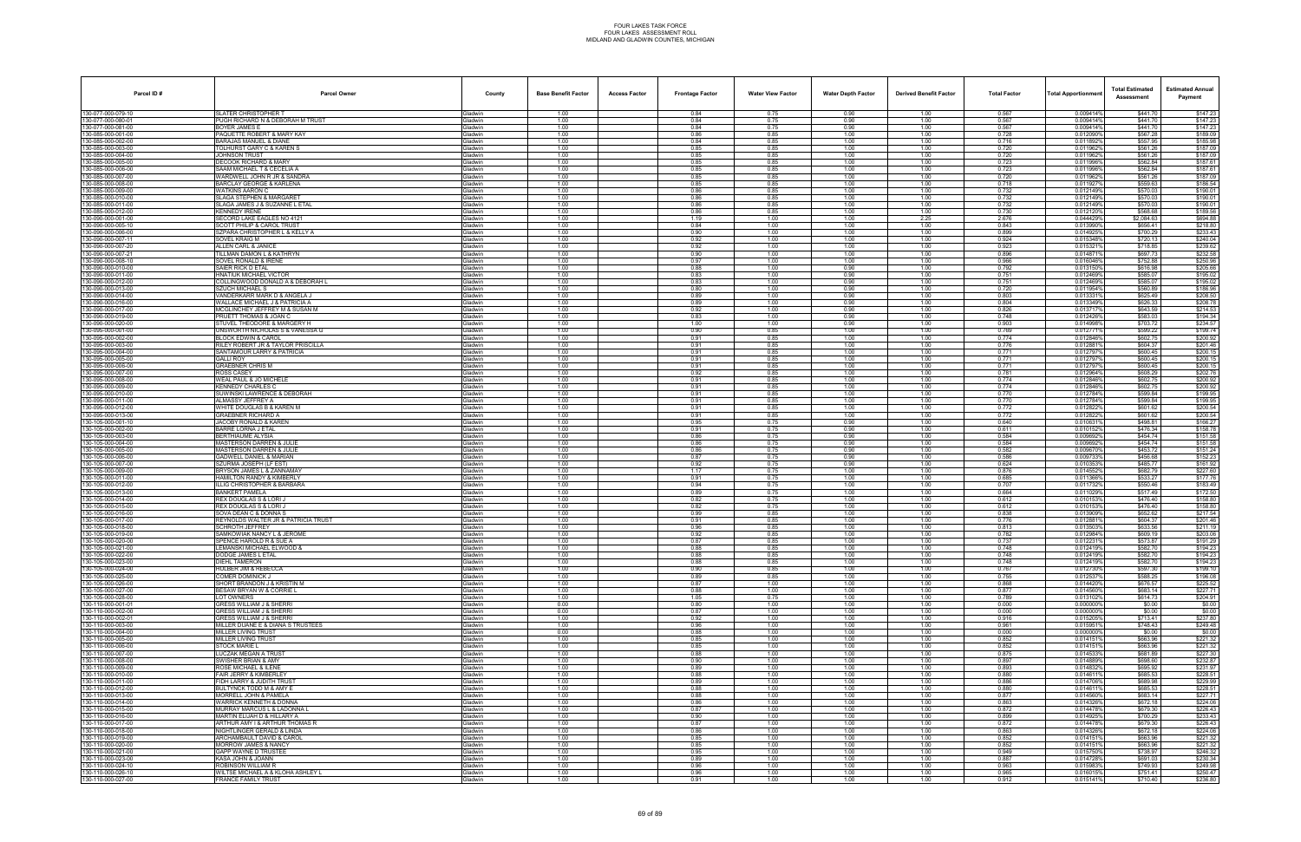| Parcel ID#                               | <b>Parcel Owner</b>                                                | County                           | <b>Base Benefit Factor</b> | <b>Access Factor</b> | <b>Frontage Factor</b> | <b>Water View Factor</b> | <b>Water Depth Factor</b> | <b>Derived Benefit Factor</b> | <b>Total Factor</b> | <b>Total Apportionmen</b> | <b>Total Estimated</b><br>Assessment | <b>Estimated Annual</b><br>Payment |
|------------------------------------------|--------------------------------------------------------------------|----------------------------------|----------------------------|----------------------|------------------------|--------------------------|---------------------------|-------------------------------|---------------------|---------------------------|--------------------------------------|------------------------------------|
| 130-077-000-079-10                       | <b>SLATER CHRISTOPHER T</b>                                        | Gladwin                          | 1.00                       |                      | 0.84                   | 0.75                     | 0.90                      | 1.00                          | 0.567               | 0.009414%                 | \$441.70                             | \$147.23                           |
| 130-077-000-080-01                       | PUGH RICHARD N & DEBORAH M TRUST                                   | <b>Gladwin</b>                   | 1.00<br>1.00               |                      | 0.84<br>0.84           | 0.75<br>0.75             | 0.90                      | 1.00<br>1.00                  | 0.567<br>0.567      | 0.009414%                 | \$441.70                             | \$147.23                           |
| 130-077-000-081-00<br>130-085-000-001-00 | BOYER JAMES E<br>PAQUETTE ROBERT & MARY KAY                        | ladwin<br><b>Gladwin</b>         | 1.00                       |                      | 0.86                   | 0.85                     | 0.90<br>1.00              | 1.00                          | 0.728               | 0.009414%<br>0.012090%    | \$441.70<br>\$567.28                 | \$147.23<br>\$189.09               |
| 130-085-000-002-00                       | BARAJAS MANUEL & DIANE                                             | Gladwin                          | 1.00                       |                      | 0.84                   | 0.85                     | 1.00                      | 1.00                          | 0.716               | 0.011892%                 | \$557.95                             | \$185.98                           |
| 130-085-000-003-00<br>130-085-000-004-00 | TOLHURST GARY C & KAREN S                                          | Gladwin                          | 1.00<br>1.00               |                      | 0.85<br>0.85           | 0.85<br>0.85             | 1.00<br>1.00              | 1.00<br>1.00                  | 0.720<br>0.720      | 0.011962%<br>0.0119629    | \$561.26<br>\$561.26                 | \$187.09<br>\$187.09               |
| 130-085-000-005-00                       | <b>JOHNSON TRUST</b><br>DECOOK RICHARD & MARY                      | <b>Gladwin</b><br>ladwin         | 1.00                       |                      | 0.85                   | 0.85                     | 1.00                      | 1.00                          | 0.723               | 0.011996%                 | \$562.84                             | \$187.61                           |
| 130-085-000-006-00                       | SAAM MICHAEL T & CECELIA A                                         | <b>Sladwin</b>                   | 1.00                       |                      | 0.85                   | 0.85                     | 1.00                      | 1.00                          | 0.723               | 0.011996%                 | \$562.84                             | \$187.61                           |
| 130-085-000-007-00<br>130-085-000-008-00 | WARDWELL JOHN R JR & SANDRA<br><b>BARCLAY GEORGE &amp; KARLENA</b> | <b>Gladwin</b><br>Gladwin        | 1.00<br>1.00               |                      | 0.85<br>0.85           | 0.85<br>0.85             | 1.00<br>1.00              | 1.00<br>1.00                  | 0.720<br>0.718      | 0.011962%<br>0.011927%    | \$561.26<br>\$559.63                 | \$187.09<br>\$186.54               |
| 130-085-000-009-00                       | WATKINS AARON C                                                    | <b>Gladwin</b>                   | 1.00                       |                      | 0.86                   | 0.85                     | 1.00                      | 1.00                          | 0.732               | 0.012149%                 | \$570.03                             | \$190.01                           |
| 130-085-000-010-00                       | SLAGA STEPHEN & MARGARET                                           | <b>Gladwin</b>                   | 1.00                       |                      | 0.86                   | 0.85                     | 1.00                      | 1.00                          | 0.732               | 0.012149%                 | \$570.03                             | \$190.01                           |
| 130-085-000-011-00<br>130-085-000-012-00 | SLAGA JAMES J & SUZANNE L ETAL<br><b>KENNEDY IRENE</b>             | <b>Gladwin</b>                   | 1.00                       |                      | 0.86                   | 0.85<br>0.85             | 1.00                      | 1.00                          | 0.732<br>0.730      | 0.012149%                 | \$570.03<br>\$568.68                 | \$190.01<br>\$189.56               |
| 130-090-000-001-00                       | SECORD LAKE EAGLES NO 4121                                         | <b>Gladwin</b><br>Gladwin        | 1.00<br>1.00               |                      | 0.86<br>1.19           | 1.00                     | 1.00<br>1.00              | 1.00<br>2.25                  | 2.676               | 0.012120<br>0.044429%     | \$2,084.63                           | \$694.88                           |
| 130-090-000-005-10                       | SCOTT PHILIP & CAROL TRUST                                         | <b>Gladwin</b>                   | 1.00                       |                      | 0.84                   | 1.00                     | 1.00                      | 1.00                          | 0.843               | 0.0139909                 | \$656.41                             | \$218.80                           |
| 130-090-000-006-00<br>130-090-000-007-11 | SZPARA CHRISTOPHER L & KELLY A<br>SOVEL KRAIG M                    | 3ladwin<br><b>Gladwin</b>        | 1.00<br>1.00               |                      | 0.90<br>0.92           | 1.00<br>1.00             | 1.00<br>1.00              | 1.00<br>1.00                  | 0.899<br>0.924      | 0.0149259<br>0.015348%    | \$700.29<br>\$720.13                 | \$233.43<br>\$240.04               |
| 130-090-000-007-20                       | ALLEN CARL & JANICE                                                | <b>Gladwin</b>                   | 1.00                       |                      | 0.92                   | 1.00                     | 1.00                      | 1.00                          | 0.923               | 0.0153219                 | \$718.85                             | \$239.62                           |
| 130-090-000-007-21                       | TILLMAN DAMON L & KATHRYN                                          | Gladwin                          | 1.00                       |                      | 0.90                   | 1.00                     | 1.00                      | 1.00                          | 0.896               | 0.014871%                 | \$697.73                             | \$232.58                           |
| 130-090-000-008-10<br>130-090-000-010-00 | SOVEL RONALD & IRENE<br>SAIER RICK D ETAL                          | <b>Gladwin</b><br><b>Gladwin</b> | 1.00<br>1.00               |                      | 0.97<br>0.88           | 1.00<br>1.00             | 1.00<br>0.90              | 1.00<br>1.00                  | 0.966<br>0.792      | 0.016046%<br>0.0131509    | \$752.88<br>\$616.98                 | \$250.96<br>\$205.66               |
| 130-090-000-011-00                       | <b>HNATIUK MICHAEL VICTOR</b>                                      | Gladwin                          | 1.00                       |                      | 0.83                   | 1.00                     | 0.90                      | 1.00                          | 0.751               | 0.012469%                 | \$585.07                             | \$195.02                           |
| 130-090-000-012-00                       | COLLINGWOOD DONALD A & DEBORAH L                                   | Gladwin                          | 1.00                       |                      | 0.83                   | 1.00                     | 0.90                      | 1.00                          | 0.751               | 0.012469%                 | \$585.07                             | \$195.02                           |
| 130-090-000-013-00<br>130-090-000-014-00 | SZUCH MICHAEL S<br>VANDERKARR MARK D & ANGELA J                    | Gladwin<br>Gladwin               | 1.00<br>1.00               |                      | 0.80<br>0.89           | 1.00<br>1.00             | 0.90<br>0.90              | 1.00<br>1.00                  | 0.720<br>0.803      | 0.011954%<br>0.0133319    | \$560.89<br>\$625.49                 | \$186.96<br>\$208.50               |
| 130-090-000-016-00                       | WALLACE MICHAEL J & PATRICIA A                                     | <b>Gladwin</b>                   | 1.00                       |                      | 0.89                   | 1.00                     | 0.90                      | 1.00                          | 0.804               | 0.013349%                 | \$626.33                             | \$208.78                           |
| 130-090-000-017-00                       | MCGLINCHEY JEFFREY M & SUSAN M                                     | Gladwin                          | 1.00                       |                      | 0.92                   | 1.00                     | 0.90                      | 1.00                          | 0.826               | 0.013717%                 | \$643.59                             | \$214.53                           |
| 130-090-000-019-00<br>130-090-000-020-00 | PRUETT THOMAS & JOAN C<br>STUVEL THEODORE & MARGERY H              | Gladwin<br>Gladwin               | 1.00<br>1.00               |                      | 0.83<br>1.00           | 1.00<br>1.00             | 0.90<br>0.90              | 1.00<br>1.00                  | 0.748<br>0.903      | 0.012426%<br>0.014998%    | \$583.03<br>\$703.72                 | \$194.34<br>\$234.57               |
| 130-095-000-001-00                       | UNSWORTH NICHOLAS S & VANESSA G                                    | Gladwin                          | 1.00                       |                      | 0.90                   | 0.85                     | 1.00                      | 1.00                          | 0.769               | 0.0127719                 | \$599.22                             | \$199.74                           |
| 130-095-000-002-00                       | <b>BLOCK EDWIN &amp; CAROL</b>                                     | <b>Gladwin</b>                   | 1.00                       |                      | 0.91                   | 0.85                     | 1.00                      | 1.00                          | 0.774               | 0.012846%                 | \$602.75                             | \$200.92                           |
| 130-095-000-003-00<br>130-095-000-004-00 | RILEY ROBERT JR & TAYLOR PRISCILLA<br>SANTAMOUR LARRY & PATRICIA   | Gladwin<br>Gladwin               | 1.00<br>1.00               |                      | 0.91<br>0.91           | 0.85<br>0.85             | 1.00<br>1.00              | 1.00<br>1.00                  | 0.776<br>0.771      | 0.012881%<br>0.012797%    | \$604.37<br>\$600.45                 | \$201.46<br>\$200.15               |
| 130-095-000-005-00                       | <b>GALLI ROY</b>                                                   | Gladwin                          | 1.00                       |                      | 0.91                   | 0.85                     | 1.00                      | 1.00                          | 0.771               | 0.012797                  | \$600.45                             | \$200.15                           |
| 130-095-000-006-00                       | <b>GRAEBNER CHRIS M</b>                                            | Gladwin                          | 1.00                       |                      | 0.91                   | 0.85                     | 1.00                      | 1.00                          | 0.771               | 0.0127979                 | \$600.45                             | \$200.15                           |
| 130-095-000-007-00<br>130-095-000-008-00 | ROSS CASEY<br>WEAL PAUL & JO MICHELE                               | <b>Gladwin</b><br><b>Gladwin</b> | 1.00<br>1.00               |                      | 0.92<br>0.91           | 0.85<br>0.85             | 1.00<br>1.00              | 1.00<br>1.00                  | 0.781<br>0.774      | 0.012964%<br>0.012846%    | \$608.29<br>\$602.75                 | \$202.76<br>\$200.92               |
| 130-095-000-009-00                       | <b>KENNEDY CHARLES C</b>                                           | Gladwin                          | 1.00                       |                      | 0.91                   | 0.85                     | 1.00                      | 1.00                          | 0.774               | 0.012846%                 | \$602.75                             | \$200.92                           |
| 130-095-000-010-00                       | SUWINSKI LAWRENCE & DEBORAH                                        | <b>Gladwin</b>                   | 1.00                       |                      | 0.91                   | 0.85                     | 1.00                      | 1.00                          | 0.770               | 0.012784%                 | \$599.84                             | \$199.95                           |
| 130-095-000-011-00<br>130-095-000-012-00 | ALMASSY JEFFREY A<br>WHITE DOUGLAS B & KAREN M                     | Gladwin<br><b>Gladwin</b>        | 1.00<br>1.00               |                      | 0.91<br>0.91           | 0.85<br>0.85             | 1.00<br>1.00              | 1.00<br>1.00                  | 0.770<br>0.772      | 0.012784%<br>0.0128229    | \$599.84<br>\$601.62                 | \$199.95<br>\$200.54               |
| 130-095-000-013-00                       | <b>GRAEBNER RICHARD A</b>                                          | <b>Gladwin</b>                   | 1.00                       |                      | 0.91                   | 0.85                     | 1.00                      | 1.00                          | 0.772               | 0.012822%                 | \$601.62                             | \$200.54                           |
| 130-105-000-001-10                       | JACOBY RONALD & KAREN                                              | Gladwin                          | 1.00                       |                      | 0.95                   | 0.75                     | 0.90                      | 1.00                          | 0.640               | 0.010631%                 | \$498.81                             | \$166.27                           |
| 130-105-000-002-00<br>130-105-000-003-00 | BARRE LORNA J ETAL<br>BERTHIAUME ALYSIA                            | Gladwin<br>Gladwin               | 1.00<br>1.00               |                      | 0.91<br>0.86           | 0.75<br>0.75             | 0.90<br>0.90              | 1.00<br>1.00                  | 0.611<br>0.584      | 0.0101529<br>0.009692%    | \$476.34<br>\$454.74                 | \$158.78<br>\$151.58               |
| 130-105-000-004-00                       | MASTERSON DARREN & JULIE                                           | ladwin                           | 1.00                       |                      | 0.86                   | 0.75                     | 0.90                      | 1.00                          | 0.584               | 0.0096929                 | \$454.74                             | \$151.58                           |
| 130-105-000-005-00                       | <b>MASTERSON DARREN &amp; JULIE</b>                                | <b>Gladwin</b>                   | 1.00                       |                      | 0.86                   | 0.75                     | 0.90                      | 1.00                          | 0.582               | 0.009670                  | \$453.72                             | \$151.24                           |
| 130-105-000-006-00<br>130-105-000-007-00 | GADWELL DANIEL & MARIAN<br>SZURMA JOSEPH (LF EST)                  | <b>Gladwin</b><br>Gladwin        | 1.00<br>1.00               |                      | 0.87<br>0.92           | 0.75<br>0.75             | 0.90<br>0.90              | 1.00<br>1.00                  | 0.586<br>0.624      | 0.009733<br>0.010353%     | \$456.68<br>\$485.77                 | \$152.23<br>\$161.92               |
| 130-105-000-009-00                       | BRYSON JAMES L & ZANNAMAY                                          | <b>Gladwin</b>                   | 1.00                       |                      | 1.17                   | 0.75                     | 1.00                      | 1.00                          | 0.876               | 0.0145529                 | \$682.79                             | \$227.60                           |
| 130-105-000-011-00                       | HAMILTON RANDY & KIMBERLY                                          | <b>Gladwin</b>                   | 1.00                       |                      | 0.91                   | 0.75                     | 1.00                      | 1.00                          | 0.685               | 0.011366%                 | \$533.27                             | \$177.76                           |
| 130-105-000-012-00<br>130-105-000-013-00 | ILLIG CHRISTOPHER & BARBARA<br><b>BANKERT PAMELA</b>               | <b>Gladwin</b><br>Gladwin        | 1.00<br>1.00               |                      | 0.94<br>0.89           | 0.75<br>0.75             | 1.00<br>1.00              | 1.00<br>1.00                  | 0.707<br>0.664      | 0.011732%<br>0.011029%    | \$550.46<br>\$517.49                 | \$183.49<br>\$172.50               |
| 130-105-000-014-00                       | REX DOUGLAS S & LORI J                                             | Gladwin                          | 1.00                       |                      | 0.82                   | 0.75                     | 1.00                      | 1.00                          | 0.612               | 0.010153%                 | \$476.40                             | \$158.80                           |
| 130-105-000-015-00                       | REX DOUGLAS S & LORI J                                             | <b>Gladwin</b>                   | 1.00                       |                      | 0.82                   | 0.75                     | 1.00                      | 1.00                          | 0.612               | 0.0101539                 | \$476.40                             | \$158.80                           |
| 130-105-000-016-00<br>130-105-000-017-00 | SOVA DEAN C & DONNA S<br>REYNOLDS WALTER JR & PATRICIA TRUST       | ladwin<br><b>Gladwin</b>         | 1.00<br>1.00               |                      | 0.99<br>0.91           | 0.85<br>0.85             | 1.00<br>1.00              | 1.00<br>1.00                  | 0.838<br>0.776      | 0.013909%<br>0.012881%    | \$652.62<br>\$604.37                 | \$217.54<br>\$201.46               |
| 130-105-000-018-00                       | SCHROTH JEFFREY                                                    | 3ladwin                          | 1.00                       |                      | 0.96                   | 0.85                     | 1.00                      | 1.00                          | 0.813               | 0.0135039                 | \$633.56                             | \$211.19                           |
| 130-105-000-019-00<br>130-105-000-020-00 | SAMKOWIAK NANCY L & JEROME<br>SPENCE HAROLD R & SUE A              | Gladwin<br><b>Gladwin</b>        | 1.00<br>1.00               |                      | 0.92<br>0.87           | 0.85<br>0.85             | 1.00<br>1.00              | 1.00<br>1.00                  | 0.782<br>0.737      | 0.012984%<br>0.0122319    | \$609.19<br>\$573.87                 | \$203.06                           |
| 130-105-000-021-00                       | LEMANSKI MICHAEL ELWOOD &                                          | <b>Gladwin</b>                   | 1.00                       |                      | 0.88                   | 0.85                     | 1.00                      | 1.00                          | 0.748               | 0.012419%                 | \$582.70                             | \$191.29<br>\$194.23               |
| 130-105-000-022-00                       | DODGE JAMES L ETAL                                                 | Gladwin                          | 1.00                       |                      | 0.88                   | 0.85                     | 1.00                      | 1.00                          | 0.748               | 0.012419%                 | \$582.70                             | \$194.23                           |
| 130-105-000-023-00                       | DIEHL TAMERON                                                      | <b>Gladwin</b>                   | 1.00                       |                      | 0.88                   | 0.85                     | 1.00                      | 1.00                          | 0.748               | 0.012419%                 | \$582.70                             | \$194.23                           |
| 130-105-000-024-00<br>130-105-000-025-00 | HULBER JIM & REBECCA<br>COMER DOMINICK J                           | Gladwin<br>Gladwin               | 1.00<br>1.00               |                      | 0.90<br>0.89           | 0.85<br>0.85             | 1.00<br>1.00              | 1.00<br>1.00                  | 0.767<br>0.755      | 0.012730%<br>0.0125379    | \$597.30<br>\$588.25                 | \$199.10<br>\$196.08               |
| 130-105-000-026-00                       | SHORT BRANDON J & KRISTIN M                                        | <b>Gladwin</b>                   | 1.00                       |                      | 0.87                   | 1.00                     | 1.00                      | 1.00                          | 0.868               | 0.0144209                 | \$676.57                             | \$225.52                           |
| 130-105-000-027-00<br>130-105-000-028-00 | BESAW BRYAN W & CORRIE L<br>LOT OWNERS                             | Gladwin<br><b>Gladwin</b>        | 1.00<br>1.00               |                      | 0.88<br>1.05           | 1.00<br>0.75             | 1.00<br>1.00              | 1.00<br>1.00                  | 0.877<br>0.789      | 0.014560%<br>0.013102%    | \$683.14<br>\$614.73                 | \$227.71<br>\$204.91               |
| 130-110-000-001-01                       | <b>GRESS WILLIAM J &amp; SHERRI</b>                                | Gladwin                          | 0.00                       |                      | 0.80                   | 1.00                     | 1.00                      | 1.00                          | 0.000               | 0.000000%                 | \$0.00                               | \$0.00                             |
| 130-110-000-002-00                       | GRESS WILLIAM J & SHERRI                                           | Gladwin                          | 0.00                       |                      | 0.87                   | 1.00                     | 1.00                      | 1.00                          | 0.000               | 0.000000%                 | \$0.00                               | \$0.00                             |
| 130-110-000-002-01<br>130-110-000-003-00 | GRESS WILLIAM J & SHERRI<br>MILLER DUANE E & DIANA S TRUSTEES      | <b>Gladwin</b><br>Gladwin        | 1.00<br>1.00               |                      | 0.92<br>0.96           | 1.00<br>1.00             | 1.00<br>1.00              | 1.00<br>1.00                  | 0.916<br>0.961      | 0.015205%<br>0.015951%    | \$713.41<br>\$748.43                 | \$237.80<br>\$249.48               |
| 130-110-000-004-00                       | MILLER LIVING TRUST                                                | Gladwin                          | 0.00                       |                      | 0.88                   | 1.00                     | 1.00                      | 1.00                          | 0.000               | 0.000000%                 | \$0.00                               | \$0.00                             |
| 130-110-000-005-00                       | MILLER LIVING TRUST                                                | Gladwin                          | 1.00                       |                      | 0.85                   | 1.00                     | 1.00                      | 1.00                          | 0.852               | 0.0141519                 | \$663.96                             | \$221.32                           |
| 130-110-000-006-00<br>130-110-000-007-00 | STOCK MARIE L<br>LUCZAK MEGAN A TRUST                              | Gladwin<br><b>Gladwin</b>        | 1.00<br>1.00               |                      | 0.85<br>0.88           | 1.00<br>1.00             | 1.00<br>1.00              | 1.00<br>1.00                  | 0.852<br>0.875      | 0.0141519<br>0.0145339    | \$663.96<br>\$681.89                 | \$221.32<br>\$227.30               |
| 130-110-000-008-00                       | SWISHER BRIAN & AMY                                                | Gladwin                          | 1.00                       |                      | 0.90                   | 1.00                     | 1.00                      | 1.00                          | 0.897               | 0.014889%                 | \$698.60                             | \$232.87                           |
| 130-110-000-009-00                       | <b>ROSE MICHAEL &amp; ILENE</b>                                    | Gladwin                          | 1.00                       |                      | 0.89                   | 1.00                     | 1.00                      | 1.00                          | 0.893               | 0.014832%                 | \$695.92                             | \$231.97                           |
| 130-110-000-010-00<br>130-110-000-011-00 | FAIR JERRY & KIMBERLEY<br>FIDH LARRY & JUDITH TRUST                | Gladwin<br>Gladwin               | 1.00<br>1.00               |                      | 0.88<br>0.89           | 1.00<br>1.00             | 1.00<br>1.00              | 1.00<br>1.00                  | 0.880<br>0.886      | 0.014611%<br>0.014706%    | \$685.53<br>\$689.98                 | \$228.51<br>\$229.99               |
| 130-110-000-012-00                       | BULTYNCK TODD M & AMY E                                            | <b>Gladwin</b>                   | 1.00                       |                      | 0.88                   | 1.00                     | 1.00                      | 1.00                          | 0.880               | 0.014611%                 | \$685.53                             | \$228.51                           |
| 130-110-000-013-00                       | <b>MORRELL JOHN &amp; PAMELA</b>                                   | Gladwin                          | 1.00                       |                      | 0.88                   | 1.00                     | 1.00                      | 1.00                          | 0.877               | 0.014560%                 | \$683.14                             | \$227.71                           |
| 130-110-000-014-00<br>130-110-000-015-00 | WARRICK KENNETH & DONNA<br>MURRAY MARCUS L & LADONNA               | Gladwin<br>Gladwin               | 1.00<br>1.00               |                      | 0.86<br>0.87           | 1.00<br>1.00             | 1.00<br>1.00              | 1.00<br>1.00                  | 0.863<br>0.872      | 0.014326%<br>0.014478%    | \$672.18<br>\$679.30                 | \$224.06<br>\$226.43               |
| 130-110-000-016-00                       | MARTIN ELIJAH D & HILLARY A                                        | Gladwin                          | 1.00                       |                      | 0.90                   | 1.00                     | 1.00                      | 1.00                          | 0.899               | 0.014925%                 | \$700.29                             | \$233.43                           |
| 130-110-000-017-00                       | ARTHUR AMY I & ARTHUR THOMAS R                                     | <b>Gladwin</b>                   | 1.00                       |                      | 0.87                   | 1.00                     | 1.00                      | 1.00                          | 0.872               | 0.014478%                 | \$679.30                             | \$226.43                           |
| 130-110-000-018-00<br>130-110-000-019-00 | NIGHTLINGER GERALD & LINDA<br>ARCHAMBAULT DAVID & CAROL            | <b>Gladwin</b><br>Gladwin        | 1.00<br>1.00               |                      | 0.86<br>0.85           | 1.00<br>1.00             | 1.00<br>1.00              | 1.00<br>1.00                  | 0.863<br>0.852      | 0.014326%<br>0.014151%    | \$672.18<br>\$663.96                 | \$224.06<br>\$221.32               |
| 130-110-000-020-00                       | <b>MORROW JAMES &amp; NANCY</b>                                    | Gladwin                          | 1.00                       |                      | 0.85                   | 1.00                     | 1.00                      | 1.00                          | 0.852               | 0.014151%                 | \$663.96                             | \$221.32                           |
| 130-110-000-021-00                       | <b>GAPP WAYNE D TRUSTEE</b>                                        | Gladwin                          | 1.00                       |                      | 0.95                   | 1.00                     | 1.00                      | 1.00                          | 0.949               | 0.015750%                 | \$738.97                             | \$246.32                           |
| 130-110-000-023-00<br>130-110-000-024-10 | KASA JOHN & JOANN<br>ROBINSON WILLIAM R                            | <b>Gladwin</b><br><b>Gladwin</b> | 1.00<br>1.00               |                      | 0.89<br>0.96           | 1.00<br>1.00             | 1.00<br>1.00              | 1.00<br>1.00                  | 0.887<br>0.963      | 0.014728%<br>0.015983%    | \$691.03<br>\$749.93                 | \$230.34<br>\$249.98               |
| 130-110-000-026-10                       | WILTSE MICHAEL A & KLOHA ASHLEY L                                  | Gladwin                          | 1.00                       |                      | 0.96                   | 1.00                     | 1.00                      | 1.00                          | 0.965               | 0.016015%                 | \$751.41                             | \$250.47                           |
| 130-110-000-027-00                       | <b>FRANCE FAMILY TRUST</b>                                         | Gladwin                          | 1.00                       |                      | 0.91                   | 1.00                     | 1.00                      | 1.00                          | 0.912               | 0.015141%                 | \$710.40                             | \$236.80                           |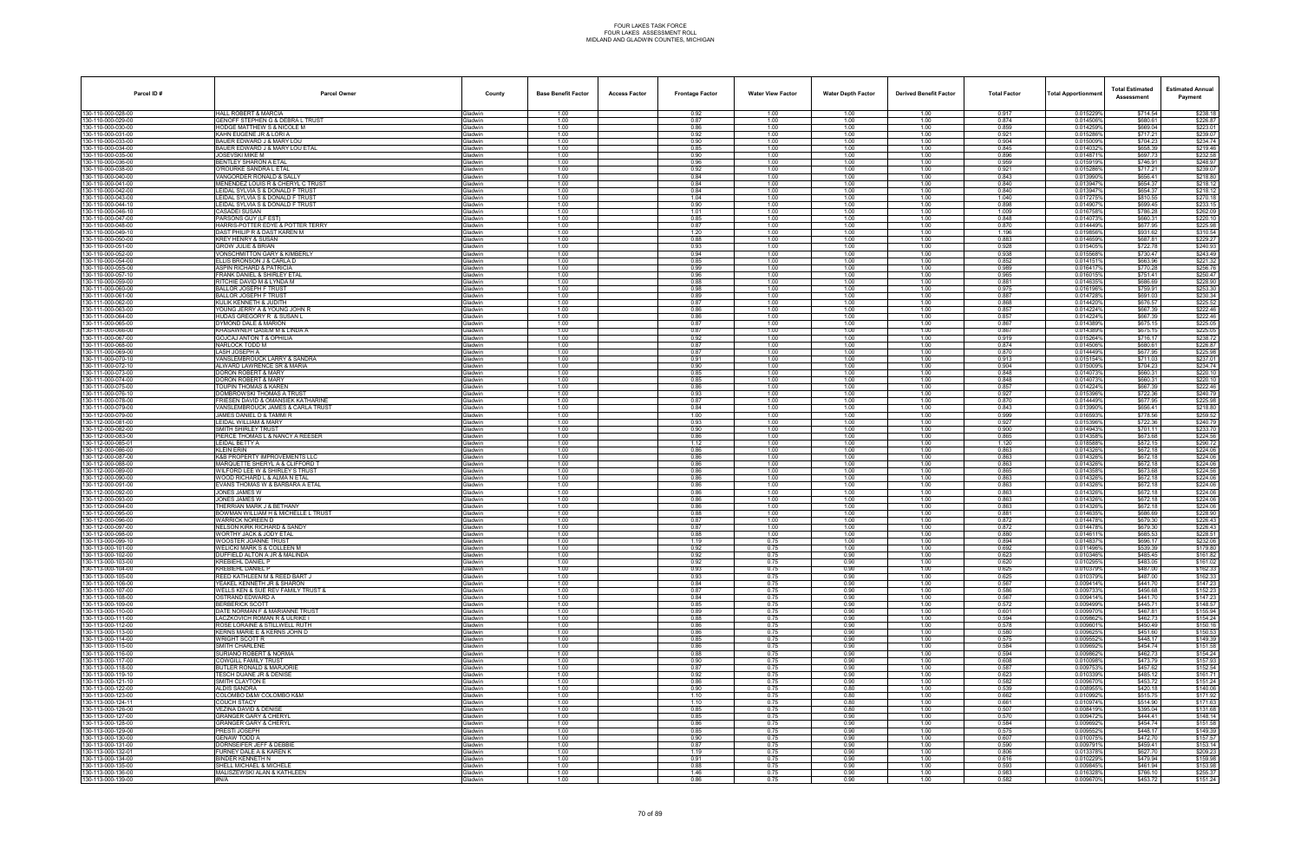| Parcel ID#                                     | <b>Parcel Owner</b>                                                              | County                            | <b>Base Benefit Factor</b> | <b>Access Factor</b> | <b>Frontage Factor</b> | <b>Water View Factor</b> | <b>Water Depth Factor</b> | <b>Derived Benefit Factor</b> | <b>Total Factor</b> | <b>Total Apportionmer</b> | <b>Total Estimated</b><br>Assessment | <b>Estimated Annual</b><br>Payment |
|------------------------------------------------|----------------------------------------------------------------------------------|-----------------------------------|----------------------------|----------------------|------------------------|--------------------------|---------------------------|-------------------------------|---------------------|---------------------------|--------------------------------------|------------------------------------|
| 130-110-000-028-00                             | <b>HALL ROBERT &amp; MARCIA</b>                                                  | Gladwin                           | 1.00                       |                      | 0.92                   | 1.00                     | 1.00                      | 1.00                          | 0.917               | 0.015229%                 | \$714.54                             | \$238.18                           |
| 130-110-000-029-00                             | GENOFF STEPHEN G & DEBRA L TRUST                                                 | Gladwin                           | 1.00                       |                      | 0.87                   | 1.00                     | 1.00                      | 1.00                          | 0.874               | 0.014506%                 | \$680.61                             | \$226.87                           |
| 30-110-000-030-00<br>130-110-000-031-00        | IODGE MATTHEW S & NICOLE M<br>KAHN EUGENE JR & LORI A                            | <b>Gladwin</b><br><b>Gladwin</b>  | 1.00<br>1.00               |                      | 0.86<br>0.92           | 1.00<br>1.00             | 1.00<br>1.00              | 1.00<br>1.00                  | 0.859<br>0.921      | 0.014259%<br>0.015286%    | \$669.04<br>\$717.21                 | \$223.01<br>\$239.07               |
| 30-110-000-033-00                              | BAUER EDWARD J & MARY LOU                                                        | Gladwin                           | 1.00                       |                      | 0.90                   | 1.00                     | 1.00                      | 1.00                          | 0.904               | 0.015009%                 | \$704.23                             | \$234.74                           |
| 30-110-000-034-00                              | BAUER EDWARD J & MARY LOU ETAI                                                   | Gladwin                           | 1.00                       |                      | 0.85                   | 1.00                     | 1.00                      | 1.00                          | 0.845               | 0.014032                  | \$658.39                             | \$219.46                           |
| 30-110-000-035-00<br>80-110-000-036-00         | JOSEVSKI MIKE M<br>BENTLEY SHARON A ETAL                                         | Gladwin<br><b>Gladwin</b>         | 1.00<br>1.00               |                      | 0.90<br>0.96           | 1.00<br>1.00             | 1.00<br>1.00              | 1.00<br>1.00                  | 0.896<br>0.959      | 0.014871%<br>0.015919%    | \$697.73<br>\$746.91                 | \$232.58<br>\$248.97               |
| 30-110-000-038-00                              | <b>TROURKE SANDRA L ETAL</b>                                                     | Gladwin                           | 1.00                       |                      | 0.92                   | 1.00                     | 1.00                      | 1.00                          | 0.921               | 0.015286%                 | \$717.21                             | \$239.07                           |
| 30-110-000-040-00                              | VANGORDER RONALD & SALLY                                                         | Gladwin                           | 1.00                       |                      | 0.84                   | 1.00                     | 1.00                      | 1.00                          | 0.843               | 0.013990%                 | \$656.41                             | \$218.80                           |
| 30-110-000-041-00                              | <b>MENENDEZ LOUIS R &amp; CHERYL C TRUST</b><br>LEIDAL SYLVIA S & DONALD F TRUST | <b>Gladwin</b>                    | 1.00<br>1.00               |                      | 0.84<br>0.84           | 1.00<br>1.00             | 1.00<br>1.00              | 1.00<br>1.00                  | 0.840<br>0.840      | 0.013947%<br>0.013947%    | \$654.37<br>\$654.37                 | \$218.12<br>\$218.12               |
| 130-110-000-042-00<br>30-110-000-043-00        | EIDAL SYLVIA S & DONALD F TRUST                                                  | Gladwin<br><b>Gladwin</b>         | 1.00                       |                      | 1.04                   | 1.00                     | 1.00                      | 1.00                          | 1.040               | 0.017275%                 | \$810.55                             | \$270.18                           |
| 30-110-000-044-10                              | <b>EIDAL SYLVIA S &amp; DONALD F TRUST</b>                                       | <b>Gladwin</b>                    | 1.00                       |                      | 0.90                   | 1.00                     | 1.00                      | 1.00                          | 0.898               | 0.0149079                 | \$699.45                             | \$233.15                           |
| 30-110-000-046-10                              | <b>CASADEI SUSAN</b>                                                             | Gladwin                           | 1.00                       |                      | 1.01                   | 1.00                     | 1.00                      | 1.00                          | 1.009               | 0.016758%                 | \$786.28                             | \$262.09                           |
| 30-110-000-047-00<br>30-110-000-048-00         | PARSONS GUY (LF EST)<br>HARRIS-POTTER EDYE & POTTER TERRY                        | Gladwin<br>Gladwin                | 1.00<br>1.00               |                      | 0.85<br>0.87           | 1.00<br>1.00             | 1.00<br>1.00              | 1.00<br>1.00                  | 0.848<br>0.870      | 0.0140739<br>0.014449%    | \$660.31<br>\$677.95                 | \$220.10<br>\$225.98               |
| 30-110-000-049-10                              | DAST PHILIP R & DAST KAREN M                                                     | <b>Jadwin</b>                     | 1.00                       |                      | 1.20                   | 1.00                     | 1.00                      | 1.00                          | 1.196               | 0.019856%                 | \$931.62                             | \$310.54                           |
| 30-110-000-050-00                              | KREY HENRY & SUSAN                                                               | Gladwin                           | 1.00                       |                      | 0.88                   | 1.00                     | 1.00                      | 1.00                          | 0.883               | 0.014659%                 | \$687.81                             | \$229.27                           |
| 30-110-000-051-00<br>30-110-000-052-00         | GROW JULIE & BRIAN<br><b>VONSCHMITTON GARY &amp; KIMBERLY</b>                    | Gladwin<br><b>Gladwin</b>         | 1.00<br>1.00               |                      | 0.93<br>0.94           | 1.00<br>1.00             | 1.00<br>1.00              | 1.00<br>1.00                  | 0.928<br>0.938      | 0.0154059<br>0.015568%    | \$722.78<br>\$730.47                 | \$240.93<br>\$243.49               |
| 30-110-000-054-00                              | ELLIS BRONSON J & CARLA D                                                        | Gladwin                           | 1.00                       |                      | 0.85                   | 1.00                     | 1.00                      | 1.00                          | 0.852               | 0.0141519                 | \$663.96                             | \$221.32                           |
| 30-110-000-055-00                              | ASPIN RICHARD & PATRICIA                                                         | <b>Gladwin</b>                    | 1.00                       |                      | 0.99                   | 1.00                     | 1.00                      | 1.00                          | 0.989               | 0.0164179                 | \$770.28                             | \$256.76                           |
| 30-110-000-057-10                              | FRANK DANIEL & SHIRLEY ETA                                                       | <b>Gladwin</b>                    | 1.00                       |                      | 0.96                   | 1.00                     | 1.00                      | 1.00                          | 0.965               | 0.0160159                 | \$751.41                             | \$250.47                           |
| 30-110-000-059-00<br>30-111-000-060-00         | RITCHIE DAVID M & LYNDA M<br>BALLOR JOSEPH F TRUST                               | Gladwin<br>Gladwin                | 1.00<br>1.00               |                      | 0.88<br>0.98           | 1.00<br>1.00             | 1.00<br>1.00              | 1.00<br>1.00                  | 0.881<br>0.975      | 0.0146359<br>0.016196%    | \$686.69<br>\$759.91                 | \$228.90<br>\$253.30               |
| 30-111-000-061-00                              | BALLOR JOSEPH F TRUST                                                            | <b>Gladwin</b>                    | 1.00                       |                      | 0.89                   | 1.00                     | 1.00                      | 1.00                          | 0.887               | 0.0147289                 | \$691.03                             | \$230.34                           |
| 30-111-000-062-00                              | (ULIK KENNETH & JUDITH                                                           | <b>Jadwin</b>                     | 1.00                       |                      | 0.87                   | 1.00                     | 1.00                      | 1.00                          | 0.868               | 0.0144209                 | \$676.57                             | \$225.52                           |
| 30-111-000-063-00                              | YOUNG JERRY A & YOUNG JOHN R                                                     | Gladwin                           | 1.00                       |                      | 0.86                   | 1.00                     | 1.00                      | 1.00                          | 0.857<br>0.857      | 0.014224%<br>0.014224%    | \$667.39<br>\$667.39                 | \$222.46                           |
| 30-111-000-064-00<br>130-111-000-065-00        | HUDAS GREGORY R  & SUSAN I<br>YMOND DALE & MARION                                | Gladwin<br>Gladwin                | 1.00<br>1.00               |                      | 0.86<br>0.87           | 1.00<br>1.00             | 1.00<br>1.00              | 1.00<br>1.00                  | 0.867               | 0.014389%                 | \$675.15                             | \$222.46<br>\$225.05               |
| 130-111-000-066-00                             | KHASAWNEH QASEM M & LINDA A                                                      | <b>Gladwin</b>                    | 1.00                       |                      | 0.87                   | 1.00                     | 1.00                      | 1.00                          | 0.867               | 0.014389%                 | \$675.15                             | \$225.05                           |
| 30-111-000-067-00                              | <b>GOJCAJ ANTON T &amp; OPHILIA</b>                                              | <b>Gladwin</b>                    | 1.00                       |                      | 0.92                   | 1.00                     | 1.00                      | 1.00                          | 0.919               | 0.015264%                 | \$716.17                             | \$238.72                           |
| 30-111-000-068-00<br>30-111-000-069-00         | <b>NARLOCK TODD M</b><br>LASH JOSEPH A                                           | <b>Gladwin</b><br>Gladwin         | 1.00<br>1.00               |                      | 0.87<br>0.87           | 1.00<br>1.00             | 1.00<br>1.00              | 1.00<br>1.00                  | 0.874<br>0.870      | 0.014506%<br>0.014449%    | \$680.61<br>\$677.95                 | \$226.87<br>\$225.98               |
| 30-111-000-070-10                              | VANSLEMBROUCK LARRY & SANDRA                                                     | Gladwin                           | 1.00                       |                      | 0.91                   | 1.00                     | 1.00                      | 1.00                          | 0.913               | 0.015154%                 | \$711.03                             | \$237.01                           |
| 30-111-000-072-10                              | ALWARD LAWRENCE SR & MARIA                                                       | <b>Gladwin</b>                    | 1.00                       |                      | 0.90                   | 1.00                     | 1.00                      | 1.00                          | 0.904               | 0.015009%                 | \$704.23                             | \$234.74                           |
| 30-111-000-073-00<br>30-111-000-074-00         | DORON ROBERT & MARY<br><b>DORON ROBERT &amp; MARY</b>                            | <b>i</b> ladwin<br><b>Gladwin</b> | 1.00<br>1.00               |                      | 0.85<br>0.85           | 1.00<br>1.00             | 1.00<br>1.00              | 1.00<br>1.00                  | 0.848<br>0.848      | 0.0140739<br>0.0140739    | \$660.31<br>\$660.31                 | \$220.10<br>\$220.10               |
| 30-111-000-075-00                              | TOUPIN THOMAS & KAREN                                                            | <b>Gladwin</b>                    | 1.00                       |                      | 0.86                   | 1.00                     | 1.00                      | 1.00                          | 0.857               | 0.014224%                 | \$667.39                             | \$222.46                           |
| 130-111-000-076-10                             | DOMBROWSKI THOMAS A TRUST                                                        | Gladwin                           | 1.00                       |                      | 0.93                   | 1.00                     | 1.00                      | 1.00                          | 0.927               | 0.015396%                 | \$722.36                             | \$240.79                           |
| 30-111-000-078-00                              | FRIESEN DAVID & OMANSIEK KATHARINE                                               | <b>Gladwin</b>                    | 1.00                       |                      | 0.87                   | 1.00                     | 1.00                      | 1.00                          | 0.870               | 0.014449%                 | \$677.95                             | \$225.98                           |
| 30-111-000-079-00<br>30-112-000-079-00         | VANSLEMBROUCK JAMES & CARLA TRUST<br>JAMES DANIEL D & TAMMI R                    | <b>Gladwin</b><br><b>Gladwin</b>  | 1.00<br>1.00               |                      | 0.84<br>1.00           | 1.00<br>1.00             | 1.00<br>1.00              | 1.00<br>1.00                  | 0.843<br>0.999      | 0.013990%<br>0.016593%    | \$656.41<br>\$778.56                 | \$218.80<br>\$259.52               |
| 30-112-000-081-00                              | LEIDAL WILLIAM & MARY                                                            | Gladwin                           | 1.00                       |                      | 0.93                   | 1.00                     | 1.00                      | 1.00                          | 0.927               | 0.015396%                 | \$722.36                             | \$240.79                           |
| 30-112-000-082-00                              | SMITH SHIRLEY TRUST                                                              | Gladwin                           | 1.00                       |                      | 0.90                   | 1.00                     | 1.00                      | 1.00                          | 0.900               | 0.014943%                 | \$701.11                             | \$233.70                           |
| 30-112-000-083-00<br><b>30-112-000-085-0</b> 1 | PIERCE THOMAS L & NANCY A REESER<br>EIDAL BETTY A                                | <b>Gladwin</b><br>iladwin         | 1.00<br>1.00               |                      | 0.86<br>1.12           | 1.00<br>1.00             | 1.00<br>1.00              | 1.00<br>1.00                  | 0.865<br>1.120      | 0.0143589<br>0.0185889    | \$673.68<br>\$872.15                 | \$224.56<br>\$290.72               |
| 30-112-000-086-00                              | <b>KLEIN ERIN</b>                                                                | <b>Gladwin</b>                    | 1.00                       |                      | 0.86                   | 1.00                     | 1.00                      | 1.00                          | 0.863               | 0.014326%                 | \$672.18                             | \$224.06                           |
| 30-112-000-087-00                              | K&B PROPERTY IMPROVEMENTS LLC                                                    | <b>Gladwin</b>                    | 1.00                       |                      | 0.86                   | 1.00                     | 1.00                      | 1.00                          | 0.863               | 0.0143269                 | \$672.18                             | \$224.06                           |
| 130-112-000-088-00                             | MARQUETTE SHERYL A & CLIFFORD T                                                  | Gladwin                           | 1.00                       |                      | 0.86                   | 1.00<br>1.00             | 1.00<br>1.00              | 1.00<br>1.00                  | 0.863<br>0.865      | 0.014326%<br>0.014358%    | \$672.18                             | \$224.06                           |
| 30-112-000-089-00<br>30-112-000-090-00         | WILFORD LEE W & SHIRLEY S TRUST<br>NOOD RICHARD L & ALMA N ETAL                  | <b>Gladwin</b><br><b>Gladwin</b>  | 1.00<br>1.00               |                      | 0.86<br>0.86           | 1.00                     | 1.00                      | 1.00                          | 0.863               | 0.0143269                 | \$673.68<br>\$672.18                 | \$224.56<br>\$224.06               |
| 30-112-000-091-00                              | EVANS THOMAS W & BARBARA A ETAL                                                  | Gladwin                           | 1.00                       |                      | 0.86                   | 1.00                     | 1.00                      | 1.00                          | 0.863               | 0.014326%                 | \$672.18                             | \$224.06                           |
| 30-112-000-092-00                              | JONES JAMES W                                                                    | Gladwin                           | 1.00                       |                      | 0.86                   | 1.00                     | 1.00                      | 1.00                          | 0.863               | 0.0143269                 | \$672.18                             | \$224.06                           |
| 30-112-000-093-00<br>30-112-000-094-00         | JONES JAMES W<br>THERRIAN MARK J & BETHANY                                       | Gladwin<br><b>Gladwin</b>         | 1.00<br>1.00               |                      | 0.86<br>0.86           | 1.00<br>1.00             | 1.00<br>1.00              | 1.00<br>1.00                  | 0.863<br>0.863      | 0.014326%<br>0.0143269    | \$672.18<br>\$672.18                 | \$224.06<br>\$224.06               |
| 30-112-000-095-00                              | BOWMAN WILLIAM H & MICHELLE L TRUST                                              | iladwin                           | 1.00                       |                      | 0.88                   | 1.00                     | 1.00                      | 1.00                          | 0.881               | 0.014635                  | \$686.69                             | \$228.90                           |
| 30-112-000-096-00                              | WARRICK NOREEN D                                                                 | <b>Gladwin</b>                    | 1.00                       |                      | 0.87                   | 1.00                     | 1.00                      | 1.00                          | 0.872               | 0.014478%                 | \$679.30                             | \$226.43                           |
| 30-112-000-097-00<br>130-112-000-098-00        | NELSON KIRK RICHARD & SANDY<br><b>WORTHY JACK &amp; JODY ETAL</b>                | <b>Gladwin</b><br>Gladwin         | 1.00<br>1.00               |                      | 0.87<br>0.88           | 1.00<br>1.00             | 1.00<br>1.00              | 1.00<br>1.00                  | 0.872<br>0.880      | 0.014478<br>0.014611      | \$679.30<br>\$685.53                 | \$226.43<br>\$228.51               |
| 30-113-000-099-10                              | WOOSTER JOANNE TRUST                                                             | <b>Jadwin</b>                     | 1.00                       |                      | 1.19                   | 0.75                     | 1.00                      | 1.00                          | 0.894               | 0.014837                  | \$696.17                             | \$232.06                           |
| 130-113-000-101-00                             | WELICKI MARK S & COLLEEN M                                                       | <b>i</b> ladwin                   | 1.00                       |                      | 0.92                   | 0.75                     | 1.00                      | 1.00                          | 0.692               | 0.011496%                 | \$539.39                             | \$179.80                           |
| 30-113-000-102-00                              | DUFFIELD ALTON A JR & MALINDA                                                    | Gladwin                           | 1.00                       |                      | 0.92                   | 0.75                     | 0.90                      | 1.00                          | 0.623               | 0.010346%                 | \$485.45                             | \$161.82                           |
| 30-113-000-103-00<br>30-113-000-104-00         | KREBIEHL DANIEL P<br>KREBIEHL DANIEL P                                           | Gladwin<br>Gladwin                | 1.00<br>1.00               |                      | 0.92<br>0.93           | 0.75<br>0.75             | 0.90<br>0.90              | 1.00<br>1.00                  | 0.620<br>0.625      | 0.010295%<br>0.010379%    | \$483.05<br>\$487.00                 | \$161.02<br>\$162.33               |
| 30-113-000-105-00                              | REED KATHLEEN M & REED BART J                                                    | <b>Gladwin</b>                    | 1.00                       |                      | 0.93                   | 0.75                     | 0.90                      | 1.00                          | 0.625               | 0.0103799                 | \$487.00                             | \$162.33                           |
| 80-113-000-106-00                              | YEAKEL KENNETH JR & SHARON                                                       | <b>Gladwin</b>                    | 1.00                       |                      | 0.84                   | 0.75                     | 0.90                      | 1.00                          | 0.567               | 0.009414%                 | \$441.70                             | \$147.23                           |
| 30-113-000-107-00<br>30-113-000-108-00         | WELLS KEN & SUE REV FAMILY TRUST &<br><b>JSTRAND EDWARD A</b>                    | Gladwin<br>Gladwin                | 1.00<br>1.00               |                      | 0.87<br>0.84           | 0.75<br>0.75             | 0.90<br>0.90              | 1.00<br>1.00                  | 0.586<br>0.567      | 0.009733%<br>0.009414%    | \$456.68<br>\$441.70                 | \$152.23<br>\$147.23               |
| 130-113-000-109-00                             | BERBERICK SCOTT                                                                  | Gladwin                           | 1.00                       |                      | 0.85                   | 0.75                     | 0.90                      | 1.00                          | 0.572               | 0.009499%                 | \$445.71                             | \$148.57                           |
| 30-113-000-110-00                              | DATE NORMAN F & MARIANNE TRUST                                                   | <b>Gladwin</b>                    | 1.00                       |                      | 0.89                   | 0.75                     | 0.90                      | 1.00                          | 0.601               | 0.009970%                 | \$467.81                             | \$155.94                           |
| 30-113-000-111-00                              | ACZKOVICH ROMAN R & ULRIKE I                                                     | <b>Gladwin</b>                    | 1.00                       |                      | 0.88                   | 0.75                     | 0.90                      | 1.00                          | 0.594               | 0.0098629<br>0.009601%    | \$462.73                             | \$154.24                           |
| 30-113-000-112-00<br>30-113-000-113-00         | ROSE LORAINE & STILLWELL RUTH<br>KERNS MARIE E & KERNS JOHN D                    | Gladwin<br>Gladwin                | 1.00<br>1.00               |                      | 0.86<br>0.86           | 0.75<br>0.75             | 0.90<br>0.90              | 1.00<br>1.00                  | 0.578<br>0.580      | 0.009625%                 | \$450.49<br>\$451.60                 | \$150.16<br>\$150.53               |
| 30-113-000-114-00                              | WRIGHT SCOTT R                                                                   | Gladwin                           | 1.00                       |                      | 0.85                   | 0.75                     | 0.90                      | 1.00                          | 0.575               | 0.009552%                 | \$448.17                             | \$149.39                           |
| 30-113-000-115-00                              | SMITH CHARLENE                                                                   | <b>Gladwin</b>                    | 1.00                       |                      | 0.86                   | 0.75                     | 0.90                      | 1.00                          | 0.584               | 0.0096929                 | \$454.74                             | \$151.58                           |
| 30-113-000-116-00<br>30-113-000-117-00         | SURIANO ROBERT & NORMA<br>COWGILL FAMILY TRUST                                   | <b>Gladwin</b><br>Gladwin         | 1.00<br>1.00               |                      | 0.88<br>0.90           | 0.75<br>0.75             | 0.90<br>0.90              | 1.00<br>1.00                  | 0.594<br>0.608      | 0.0098629<br>0.010098%    | \$462.73<br>\$473.79                 | \$154.24<br>\$157.93               |
| 30-113-000-118-00                              | <b>BUTLER RONALD &amp; MARJORIE</b>                                              | Gladwin                           | 1.00                       |                      | 0.87                   | 0.75                     | 0.90                      | 1.00                          | 0.587               | 0.009753%                 | \$457.62                             | \$152.54                           |
| 130-113-000-119-10                             | TESCH DUANE JR & DENISE                                                          | Gladwin                           | 1.00                       |                      | 0.92                   | 0.75                     | 0.90                      | 1.00                          | 0.623               | 0.010339%                 | \$485.12                             | \$161.71                           |
| 30-113-000-121-10<br>30-113-000-122-00         | SMITH CLAYTON E<br>ALDIS SANDRA                                                  | Gladwin<br><b>Gladwin</b>         | 1.00<br>1.00               |                      | 0.86<br>0.90           | 0.75<br>0.75             | 0.90                      | 1.00<br>1.00                  | 0.582<br>0.539      | 0.009670%<br>0.0089559    | \$453.72<br>\$420.18                 | \$151.24<br>\$140.06               |
| 30-113-000-123-00                              | COLOMBO D&M/ COLOMBO K&M                                                         | Gladwin                           | 1.00                       |                      | 1.10                   | 0.75                     | 0.80<br>0.80              | 1.00                          | 0.662               | 0.010992%                 | \$515.75                             | \$171.92                           |
| 30-113-000-124-11                              | <b>COUCH STACY</b>                                                               | Gladwin                           | 1.00                       |                      | 1.10                   | 0.75                     | 0.80                      | 1.00                          | 0.661               | 0.010974%                 | \$514.90                             | \$171.63                           |
| 30-113-000-126-00                              | VEZINA DAVID & DENISE                                                            | Gladwin                           | 1.00                       |                      | 0.85                   | 0.75                     | 0.80                      | 1.00                          | 0.507               | 0.008419%                 | \$395.04                             | \$131.68                           |
| 30-113-000-127-00<br>30-113-000-128-00         | <b>GRANGER GARY &amp; CHERYL</b><br><b>GRANGER GARY &amp; CHERYL</b>             | Gladwin<br><b>Gladwin</b>         | 1.00<br>1.00               |                      | 0.85<br>0.86           | 0.75<br>0.75             | 0.90<br>0.90              | 1.00<br>1.00                  | 0.570<br>0.584      | 0.0094729<br>0.0096929    | \$444.41<br>\$454.74                 | \$148.14<br>\$151.58               |
| 30-113-000-129-00                              | PRESTI JOSEPH                                                                    | Gladwin                           | 1.00                       |                      | 0.85                   | 0.75                     | 0.90                      | 1.00                          | 0.575               | 0.009552%                 | \$448.17                             | \$149.39                           |
| 30-113-000-130-00                              | <b>GENAW TODD A</b>                                                              | Gladwin                           | 1.00                       |                      | 0.90                   | 0.75                     | 0.90                      | 1.00                          | 0.607               | 0.010075%                 | \$472.70                             | \$157.57                           |
| 130-113-000-131-00<br>30-113-000-132-01        | <b>DORNSEIFER JEFF &amp; DEBBIE</b><br>FURNEY DALE A & KAREN K                   | Gladwin<br>Gladwin                | 1.00<br>1.00               |                      | 0.87<br>1.19           | 0.75<br>0.75             | 0.90<br>0.90              | 1.00<br>1.00                  | 0.590<br>0.806      | 0.009791%<br>0.013378%    | \$459.41<br>\$627.70                 | \$153.14<br>\$209.23               |
| 30-113-000-134-00                              | BINDER KENNETH N                                                                 | <b>Gladwin</b>                    | 1.00                       |                      | 0.91                   | 0.75                     | 0.90                      | 1.00                          | 0.616               | 0.010229%                 | \$479.94                             | \$159.98                           |
| 30-113-000-135-00                              | SHELL MICHAEL & MICHELE                                                          | Gladwin                           | 1.00                       |                      | 0.88                   | 0.75                     | 0.90                      | 1.00                          | 0.593               | 0.009845%                 | \$461.94                             | \$153.98                           |
| 30-113-000-136-00                              | MALISZEWSKI ALAN & KATHLEEN                                                      | Gladwin                           | 1.00                       |                      | 1.46                   | 0.75                     | 0.90                      | 1.00                          | 0.983               | 0.016328%                 | \$766.10                             | \$255.37                           |
| 130-113-000-139-00                             | #N/A                                                                             | Gladwin                           | 1.00                       |                      | 0.86                   | 0.75                     | 0.90                      | 1.00                          | 0.582               | 0.009670%                 | \$453.72                             | \$151.24                           |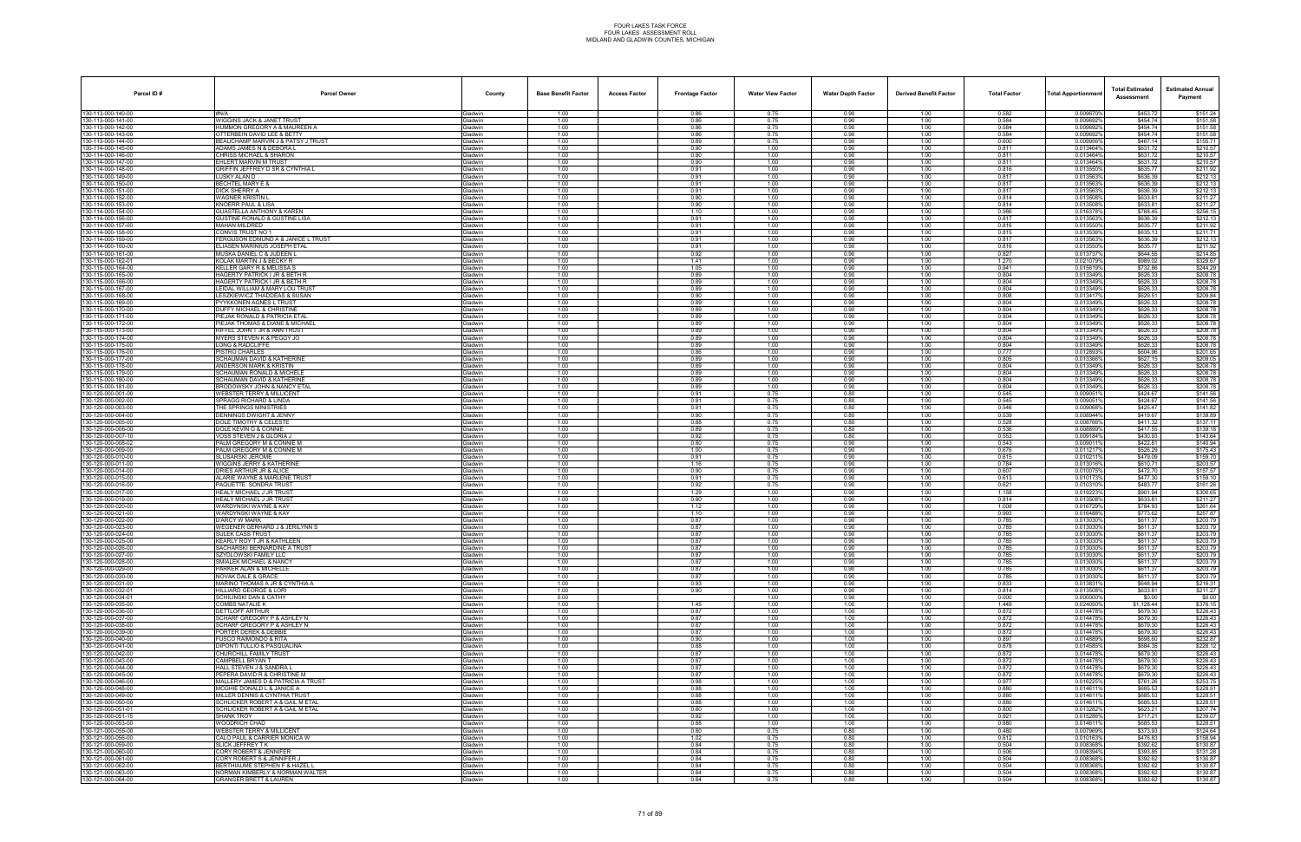| Parcel ID#                               | Parcel Owner                                                          | County                           | <b>Base Benefit Factor</b> | <b>Access Factor</b> | <b>Frontage Factor</b> | <b>Water View Factor</b> | <b>Water Depth Factor</b> | <b>Derived Benefit Factor</b> | <b>Total Factor</b> | <b>Total Apportionmen</b> | <b>Total Estimated</b><br>Assessment | <b>Estimated Annual</b><br>Payment |
|------------------------------------------|-----------------------------------------------------------------------|----------------------------------|----------------------------|----------------------|------------------------|--------------------------|---------------------------|-------------------------------|---------------------|---------------------------|--------------------------------------|------------------------------------|
| 130-113-000-140-00                       | #N/A                                                                  | Gladwin                          | 1.00                       |                      | 0.86                   | 0.75                     | 0.90                      | 1.00                          | 0.582               | 0.009670%                 | \$453.72                             | \$151.24                           |
| 130-113-000-141-00                       | WIGGINS JACK & JANET TRUST                                            | <b>Gladwin</b>                   | 1.00                       |                      | 0.86                   | 0.75                     | 0.90                      | 1.00                          | 0.584               | 0.009692%                 | \$454.74                             | \$151.58                           |
| 130-113-000-142-00                       | HUMMON GREGORY A & MAUREEN A                                          | 3ladwin                          | 1.00                       |                      | 0.86                   | 0.75                     | 0.90                      | 1.00                          | 0.584               | 0.009692                  | \$454.74                             | \$151.58                           |
| 130-113-000-143-00                       | OTTERBEIN DAVID LEE & BETTY                                           | <b>Gladwin</b><br><b>Sladwin</b> | 1.00                       |                      | 0.86<br>0.89           | 0.75<br>0.75             | 0.90<br>0.90              | 1.00                          | 0.584<br>0.600      | 0.009692%<br>0.009956%    | \$454.74<br>\$467.14                 | \$151.58                           |
| 130-113-000-144-00<br>130-114-000-145-00 | BEAUCHAMP MARVIN J & PATSY J TRUST<br>ADAMS JAMES N & DEBORA L        | Gladwin                          | 1.00<br>1.00               |                      | 0.90                   | 1.00                     | 0.90                      | 1.00<br>1.00                  | 0.811               | 0.013464%                 | \$631.72                             | \$155.71<br>\$210.57               |
| 130-114-000-146-00                       | CHRISS MICHAEL & SHARON                                               | Gladwin                          | 1.00                       |                      | 0.90                   | 1.00                     | 0.90                      | 1.00                          | 0.811               | 0.013464%                 | \$631.72                             | \$210.57                           |
| 130-114-000-147-00                       | EHLERT MARVIN M TRUST                                                 | <b>Gladwin</b>                   | 1.00                       |                      | 0.90                   | 1.00                     | 0.90                      | 1.00                          | 0.811               | 0.013464%                 | \$631.72                             | \$210.57                           |
| 130-114-000-148-00                       | GRIFFIN JEFFREY D SR & CYNTHIA L                                      | <b>Gladwin</b>                   | 1.00                       |                      | 0.91                   | 1.00                     | 0.90                      | 1.00                          | 0.816               | 0.013550%                 | \$635.77                             | \$211.92                           |
| 130-114-000-149-00                       | LUSKY ALAN D                                                          | <b>Gladwin</b>                   | 1.00                       |                      | 0.91                   | 1.00                     | 0.90                      | 1.00                          | 0.817               | 0.013563%                 | \$636.39                             | \$212.13                           |
| 130-114-000-150-00                       | BECHTEL MARY E &                                                      | <b>Sladwin</b>                   | 1.00                       |                      | 0.91                   | 1.00                     | 0.90                      | 1.00                          | 0.817               | 0.0135639                 | \$636.39                             | \$212.13                           |
| 130-114-000-151-00                       | <b>DICK SHERRY A</b>                                                  | Gladwin                          | 1.00                       |                      | 0.91                   | 1.00<br>1.00             | 0.90                      | 1.00                          | 0.817<br>0.814      | 0.013563%                 | \$636.39                             | \$212.13                           |
| 130-114-000-152-00<br>130-114-000-153-00 | WAGNER KRISTIN L<br>KNOERR PAUL & LISA                                | <b>Gladwin</b><br><b>Gladwin</b> | 1.00<br>1.00               |                      | 0.90<br>0.90           | 1.00                     | 0.90<br>0.90              | 1.00<br>1.00                  | 0.814               | 0.013508%<br>0.013508%    | \$633.81<br>\$633.81                 | \$211.27<br>\$211.27               |
| 130-114-000-154-00                       | <b>GUASTELLA ANTHONY &amp; KAREN</b>                                  | Gladwin                          | 1.00                       |                      | 1.10                   | 1.00                     | 0.90                      | 1.00                          | 0.986               | 0.016378%                 | \$768.45                             | \$256.15                           |
| 130-114-000-156-00                       | <b>GUSTINE RONALD &amp; GUSTINE LISA</b>                              | Gladwin                          | 1.00                       |                      | 0.91                   | 1.00                     | 0.90                      | 1.00                          | 0.817               | 0.013563                  | \$636.39                             | \$212.13                           |
| 130-114-000-157-00                       | MAHAN MILDRED                                                         | Gladwin                          | 1.00                       |                      | 0.91                   | 1.00                     | 0.90                      | 1.00                          | 0.816               | 0.013550%                 | \$635.77                             | \$211.92                           |
| 130-114-000-158-00                       | CONVIS TRUST NO 1                                                     | <b>Gladwin</b>                   | 1.00                       |                      | 0.91                   | 1.00                     | 0.90                      | 1.00                          | 0.815               | 0.013536%                 | \$635.13                             | \$211.71                           |
| 130-114-000-159-00                       | FERGUSON EDMUND A & JANICE L TRUST                                    | <b>Gladwin</b>                   | 1.00                       |                      | 0.91                   | 1.00                     | 0.90                      | 1.00                          | 0.817               | 0.013563%                 | \$636.39                             | \$212.13                           |
| 130-114-000-160-00                       | ELIASEN MARINIUS JOSEPH ETAL                                          | Gladwin                          | 1.00                       |                      | 0.91                   | 1.00                     | 0.90                      | 1.00                          | 0.816               | 0.013550%                 | \$635.77                             | \$211.92                           |
| 130-114-000-161-00<br>130-115-000-162-01 | MUSKA DANIEL C & JUDEEN L<br>KOLAK MARTIN J & BECKY R                 | Gladwin<br>Gladwin               | 1.00<br>1.00               |                      | 0.92<br>1.41           | 1.00<br>1.00             | 0.90<br>0.90              | 1.00<br>1.00                  | 0.827<br>1.270      | 0.013737<br>0.021079%     | \$644.55<br>\$989.02                 | \$214.85<br>\$329.67               |
| 130-115-000-164-00                       | KELLER GARY R & MELISSA S                                             | <b>Gladwin</b>                   | 1.00                       |                      | 1.05                   | 1.00                     | 0.90                      | 1.00                          | 0.941               | 0.015619%                 | \$732.86                             | \$244.29                           |
| 130-115-000-165-00                       | <b>HAGERTY PATRICK I JR &amp; BETH R</b>                              | <b>Gladwin</b>                   | 1.00                       |                      | 0.89                   | 1.00                     | 0.90                      | 1.00                          | 0.804               | 0.013349%                 | \$626.33                             | \$208.78                           |
| 130-115-000-166-00                       | <b>HAGERTY PATRICK I JR &amp; BETH R</b>                              | Gladwin                          | 1.00                       |                      | 0.89                   | 1.00                     | 0.90                      | 1.00                          | 0.804               | 0.013349%                 | \$626.33                             | \$208.78                           |
| 130-115-000-167-00                       | LEIDAL WILLIAM & MARY LOU TRUST                                       | Gladwin                          | 1.00                       |                      | 0.89                   | 1.00                     | 0.90                      | 1.00                          | 0.804               | 0.013349%                 | \$626.33                             | \$208.78                           |
| 130-115-000-168-00                       | LESZKIEWICZ THADDEAS & SUSAN                                          | Gladwin                          | 1.00                       |                      | 0.90                   | 1.00                     | 0.90                      | 1.00                          | 0.808               | 0.0134179                 | \$629.51                             | \$209.84                           |
| 130-115-000-169-00                       | PYYKKONEN AGNES L TRUST                                               | Gladwin                          | 1.00                       |                      | 0.89                   | 1.00                     | 0.90                      | 1.00                          | 0.804               | 0.0133499                 | \$626.33                             | \$208.78                           |
| 130-115-000-170-00<br>130-115-000-171-00 | <b>DUFFY MICHAEL &amp; CHRISTINE</b><br>PIEJAK RONALD & PATRICIA ETAL | <b>Sladwin</b><br>Gladwin        | 1.00<br>1.00               |                      | 0.89<br>0.89           | 1.00<br>1.00             | 0.90<br>0.90              | 1.00<br>1.00                  | 0.804<br>0.804      | 0.013349%<br>0.013349%    | \$626.33<br>\$626.33                 | \$208.78<br>\$208.78               |
| 130-115-000-172-00                       | PIEJAK THOMAS & DIANE & MICHAEI                                       | Gladwin                          | 1.00                       |                      | 0.89                   | 1.00                     | 0.90                      | 1.00                          | 0.804               | 0.013349%                 | \$626.33                             | \$208.78                           |
| 130-115-000-173-00                       | RIFFEL JOHN T JR & ANN TRUST                                          | Gladwin                          | 1.00                       |                      | 0.89                   | 1.00                     | 0.90                      | 1.00                          | 0.804               | 0.013349%                 | \$626.33                             | \$208.78                           |
| 130-115-000-174-00                       | MYERS STEVEN K & PEGGY JO                                             | Gladwin                          | 1.00                       |                      | 0.89                   | 1.00                     | 0.90                      | 1.00                          | 0.804               | 0.013349%                 | \$626.33                             | \$208.78                           |
| 130-115-000-175-00                       | LONG & RADCLIFFE                                                      | <b>Sladwin</b>                   | 1.00                       |                      | 0.89                   | 1.00                     | 0.90                      | 1.00                          | 0.804               | 0.013349%                 | \$626.33                             | \$208.78                           |
| 130-115-000-176-00                       | PISTRO CHARLES                                                        | Gladwin                          | 1.00                       |                      | 0.86                   | 1.00                     | 0.90                      | 1.00                          | 0.777               | 0.0128939                 | \$604.96                             | \$201.65                           |
| 130-115-000-177-00                       | <b>SCHAUMAN DAVID &amp; KATHERINE</b>                                 | Gladwin                          | 1.00                       |                      | 0.89                   | 1.00                     | 0.90                      | 1.00                          | 0.805               | 0.013366%                 | \$627.15                             | \$209.05                           |
| 130-115-000-178-00                       | <b>ANDERSON MARK &amp; KRISTIN</b>                                    | <b>Gladwin</b>                   | 1.00<br>1.00               |                      | 0.89<br>0.89           | 1.00<br>1.00             | 0.90<br>0.90              | 1.00<br>1.00                  | 0.804<br>0.804      | 0.013349%<br>0.0133499    | \$626.33<br>\$626.33                 | \$208.78<br>\$208.78               |
| 130-115-000-179-00<br>130-115-000-180-00 | SCHAUMAN RONALD & MICHELE<br><b>SCHAUMAN DAVID &amp; KATHERINE</b>    | <b>Gladwin</b><br><b>Gladwin</b> | 1.00                       |                      | 0.89                   | 1.00                     | 0.90                      | 1.00                          | 0.804               | 0.013349%                 | \$626.33                             | \$208.78                           |
| 130-115-000-181-00                       | BRODOWSKY JOHN & NANCY ETAI                                           | 3ladwin                          | 1.00                       |                      | 0.89                   | 1.00                     | 0.90                      | 1.00                          | 0.804               | 0.0133499                 | \$626.33                             | \$208.78                           |
| 130-120-000-001-00                       | WEBSTER TERRY & MILLICENT                                             | Gladwin                          | 1.00                       |                      | 0.91                   | 0.75                     | 0.80                      | 1.00                          | 0.545               | 0.009051%                 | \$424.67                             | \$141.56                           |
| 130-120-000-002-00                       | SPRAGG RICHARD & LINDA                                                | <b>Gladwin</b>                   | 1.00                       |                      | 0.91                   | 0.75                     | 0.80                      | 1.00                          | 0.545               | 0.0090519                 | \$424.67                             | \$141.56                           |
| 130-120-000-003-00                       | THE SPRINGS MINISTRIES                                                | 3ladwin                          | 1.00                       |                      | 0.91                   | 0.75                     | 0.80                      | 1.00                          | 0.546               | 0.0090689                 | \$425.47                             | \$141.82                           |
| 130-120-000-004-00                       | DENNINGS DWIGHT & JENNY                                               | <b>Gladwin</b>                   | 1.00                       |                      | 0.90                   | 0.75                     | 0.80                      | 1.00                          | 0.539               | 0.008944%                 | \$419.67                             | \$139.89                           |
| 130-120-000-005-00<br>130-120-000-006-00 | <b>DOLE TIMOTHY &amp; CELESTE</b><br>DOLE KEVING & CONNIE             | <b>Gladwin</b><br>Gladwin        | 1.00<br>1.00               |                      | 0.88<br>0.89           | 0.75<br>0.75             | 0.80<br>0.80              | 1.00<br>1.00                  | 0.528<br>0.536      | 0.008766%<br>0.0088999    | \$411.32<br>\$417.55                 | \$137.11<br>\$139.18               |
| 130-120-000-007-10                       | VOSS STEVEN J & GLORIA J                                              | <b>Gladwin</b>                   | 1.00                       |                      | 0.92                   | 0.75                     | 0.80                      | 1.00                          | 0.553               | 0.009184%                 | \$430.93                             | \$143.64                           |
| 130-120-000-008-02                       | PALM GREGORY M & CONNIE M                                             | 3ladwin                          | 1.00                       |                      | 0.80                   | 0.75                     | 0.90                      | 1.00                          | 0.543               | 0.009011                  | \$422.81                             | \$140.94                           |
| 130-120-000-009-00                       | PALM GREGORY M & CONNIE M                                             | <b>Gladwin</b>                   | 1.00                       |                      | 1.00                   | 0.75                     | 0.90                      | 1.00                          | 0.676               | 0.011217%                 | \$526.29                             | \$175.43                           |
| 130-120-000-010-00                       | SLUSARSKI JEROME                                                      | <b>Hadwin</b>                    | 1.00                       |                      | 0.91                   | 0.75                     | 0.90                      | 1.00                          | 0.615               | 0.010211%                 | \$479.09                             | \$159.70                           |
| 130-120-000-011-00                       | WIGGINS JERRY & KATHERINE                                             | <b>Sladwin</b>                   | 1.00                       |                      | 1.16                   | 0.75                     | 0.90                      | 1.00                          | 0.784               | 0.0130169                 | \$610.71                             | \$203.57                           |
| 130-120-000-014-00                       | DRIES ARTHUR JR & ALICE                                               | <b>Gladwin</b>                   | 1.00                       |                      | 0.90                   | 0.75<br>0.75             | 0.90                      | 1.00                          | 0.607               | 0.010075%                 | \$472.70                             | \$157.57                           |
| 130-120-000-015-00<br>130-120-000-016-00 | ALARIE WAYNE & MARLENE TRUST<br>PAQUETTE SONDRA TRUST                 | <b>Gladwin</b><br>Gladwin        | 1.00<br>1.00               |                      | 0.91<br>0.92           | 0.75                     | 0.90<br>0.90              | 1.00<br>1.00                  | 0.613<br>0.621      | 0.0101739<br>0.010310%    | \$477.30<br>\$483.77                 | \$159.10<br>\$161.26               |
| 130-120-000-017-00                       | <b>HEALY MICHAEL J JR TRUST</b>                                       | Gladwin                          | 1.00                       |                      | 1.29                   | 1.00                     | 0.90                      | 1.00                          | 1.158               | 0.019223%                 | \$901.94                             | \$300.65                           |
| 130-120-000-019-00                       | HEALY MICHAEL J JR TRUST                                              | <b>Gladwin</b>                   | 1.00                       |                      | 0.90                   | 1.00                     | 0.90                      | 1.00                          | 0.814               | 0.013508%                 | \$633.81                             | \$211.27                           |
| 130-120-000-020-00                       | WARDYNSKI WAYNE & KAY                                                 | Gladwin                          | 1.00                       |                      | 1.12                   | 1.00                     | 0.90                      | 1.00                          | 1.008               | 0.016729%                 | \$784.93                             | \$261.64                           |
| 130-120-000-021-00                       | WARDYNSKI WAYNE & KAY                                                 | <b>Gladwin</b>                   | 1.00                       |                      | 1.10                   | 1.00                     | 0.90                      | 1.00                          | 0.993               | 0.0164889                 | \$773.62                             | \$257.87                           |
| 130-120-000-022-00                       | <b>D'ARCY W MARK</b>                                                  | <b>Gladwin</b>                   | 1.00                       |                      | 0.87                   | 1.00                     | 0.90                      | 1.00                          | 0.785               | 0.013030%                 | \$611.37                             | \$203.79                           |
| 130-120-000-023-00                       | <b>WEGENER GERHARD J &amp; JERILYNN S</b>                             | <b>Gladwin</b>                   | 1.00                       |                      | 0.87                   | 1.00                     | 0.90                      | 1.00                          | 0.785               | 0.013030%                 | \$611.37                             | \$203.79                           |
| 130-120-000-024-00<br>130-120-000-025-00 | <b>SULEK CASS TRUST</b><br>KEARLY ROY T JR & KATHLEEN                 | <b>Gladwin</b><br>Gladwin        | 1.00<br>1.00               |                      | 0.87<br>0.87           | 1.00<br>1.00             | 0.90<br>0.90              | 1.00<br>1.00                  | 0.785<br>0.785      | 0.013030<br>0.013030%     | \$611.37<br>\$611.37                 | \$203.79<br>\$203.79               |
| 130-120-000-026-00                       | SACHARSKI BERNARDINE A TRUST                                          | <b>Gladwin</b>                   | 1.00                       |                      | 0.87                   | 1.00                     | 0.90                      | 1.00                          | 0.785               | 0.013030%                 | \$611.37                             | \$203.79                           |
| 130-120-000-027-00                       | SZYDLOWSKI FAMILY LLC                                                 | Gladwin                          | 1.00                       |                      | 0.87                   | 1.00                     | 0.90                      | 1.00                          | 0.785               | 0.013030%                 | \$611.37                             | \$203.79                           |
| 130-120-000-028-00                       | SMIALEK MICHAEL & NANCY                                               | Gladwin                          | 1.00                       |                      | 0.87                   | 1.00                     | 0.90                      | 1.00                          | 0.785               | 0.013030%                 | \$611.37                             | \$203.79                           |
| 130-120-000-029-00                       | PARKER ALAN & MICHELLE                                                | Gladwin                          | 1.00                       |                      | 0.87                   | 1.00                     | 0.90                      | 1.00                          | 0.785               | 0.013030%                 | \$611.37                             | \$203.79                           |
| 130-120-000-030-00                       | <b>NOVAK DALE &amp; GRACE</b><br>MARINO THOMAS A JR & CYNTHIA A       | Gladwin                          | 1.00                       |                      | 0.87                   | 1.00                     | 0.90                      | 1.00                          | 0.785               | 0.013030%                 | \$611.37<br>\$648.94                 | \$203.79                           |
| 130-120-000-031-00<br>130-120-000-032-01 | HILLIARD GEORGE & LORI                                                | Gladwin<br><b>Gladwin</b>        | 1.00<br>1.00               |                      | 0.93<br>0.90           | 1.00<br>1.00             | 0.90<br>0.90              | 1.00<br>1.00                  | 0.833<br>0.814      | 0.0138319<br>0.013508%    | \$633.81                             | \$216.31<br>\$211.27               |
| 130-120-000-034-01                       | <b>SCHILINSKI DAN &amp; CATHY</b>                                     | Gladwin                          | 0.00                       |                      |                        | 1.00                     | 0.90                      | 1.00                          | 0.000               | 0.000000%                 | \$0.00                               | \$0.00                             |
| 130-120-000-035-00                       | <b>COMBS NATALIE K</b>                                                | Gladwin                          | 1.00                       |                      | 1.45                   | 1.00                     | 1.00                      | 1.00                          | 1.449               | 0.024050%                 | \$1,128.44                           | \$376.15                           |
| 130-120-000-036-00                       | <b>DETTLOFF ARTHUR</b>                                                | Gladwin                          | 1.00                       |                      | 0.87                   | 1.00                     | 1.00                      | 1.00                          | 0.872               | 0.014478%                 | \$679.30                             | \$226.43                           |
| 130-120-000-037-00                       | SCHARF GREGORY P & ASHLEY N                                           | Gladwin                          | 1.00                       |                      | 0.87                   | 1.00                     | 1.00                      | 1.00                          | 0.872               | 0.014478%                 | \$679.30                             | \$226.43                           |
| 130-120-000-038-00                       | SCHARF GREGORY P & ASHLEY N                                           | <b>Gladwin</b>                   | 1.00                       |                      | 0.87                   | 1.00                     | 1.00                      | 1.00                          | 0.872               | 0.014478%                 | \$679.30                             | \$226.43                           |
| 130-120-000-039-00<br>130-120-000-040-00 | PORTER DEREK & DEBBIE                                                 | Gladwin                          | 1.00                       |                      | 0.87                   | 1.00                     | 1.00                      | 1.00                          | 0.872               | 0.014478%<br>0.014889%    | \$679.30                             | \$226.43                           |
| 130-120-000-041-00                       | <b>FUSCO RAIMONDO &amp; RITA</b><br>DIPONTI TULLIO & PASQUALINA       | Gladwin<br>Gladwin               | 1.00<br>1.00               |                      | 0.90<br>0.88           | 1.00<br>1.00             | 1.00<br>1.00              | 1.00<br>1.00                  | 0.897<br>0.878      | 0.014585%                 | \$698.60<br>\$684.35                 | \$232.87<br>\$228.12               |
| 130-120-000-042-00                       | CHURCHILL FAMILY TRUST                                                | Gladwin                          | 1.00                       |                      | 0.87                   | 1.00                     | 1.00                      | 1.00                          | 0.872               | 0.014478%                 | \$679.30                             | \$226.43                           |
| 130-120-000-043-00                       | CAMPBELL BRYAN T                                                      | <b>Gladwin</b>                   | 1.00                       |                      | 0.87                   | 1.00                     | 1.00                      | 1.00                          | 0.872               | 0.014478%                 | \$679.30                             | \$226.43                           |
| 130-120-000-044-00                       | HALL STEVEN J & SANDRA L                                              | <b>Gladwin</b>                   | 1.00                       |                      | 0.87                   | 1.00                     | 1.00                      | 1.00                          | 0.872               | 0.014478%                 | \$679.30                             | \$226.43                           |
| 130-120-000-045-00                       | PEPERA DAVID R & CHRISTINE M                                          | Gladwin                          | 1.00                       |                      | 0.87                   | 1.00                     | 1.00                      | 1.00                          | 0.872               | 0.014478%                 | \$679.30                             | \$226.43                           |
| 130-120-000-046-00<br>130-120-000-048-00 | MALLERY JAMES D & PATRICIA A TRUST                                    | <b>Gladwin</b>                   | 1.00                       |                      | 0.98                   | 1.00                     | 1.00                      | 1.00                          | 0.977               | 0.016225%                 | \$761.26                             | \$253.75<br>\$228.51               |
| 130-120-000-049-00                       | MCGHIE DONALD L & JANICE A<br>MILLER DENNIS & CYNTHIA TRUST           | Gladwin<br><b>Gladwin</b>        | 1.00<br>1.00               |                      | 0.88<br>0.88           | 1.00<br>1.00             | 1.00<br>1.00              | 1.00<br>1.00                  | 0.880<br>0.880      | 0.014611%<br>0.014611%    | \$685.53<br>\$685.53                 | \$228.51                           |
| 130-120-000-050-00                       | SCHLICKER ROBERT A & GAIL M ETAL                                      | <b>Gladwin</b>                   | 1.00                       |                      | 0.88                   | 1.00                     | 1.00                      | 1.00                          | 0.880               | 0.014611%                 | \$685.53                             | \$228.51                           |
| 130-120-000-051-01                       | SCHLICKER ROBERT A & GAIL M ETAL                                      | Gladwin                          | 1.00                       |                      | 0.80                   | 1.00                     | 1.00                      | 1.00                          | 0.800               | 0.013282%                 | \$623.21                             | \$207.74                           |
| 130-120-000-051-15                       | <b>SHANK TROY</b>                                                     | <b>Gladwin</b>                   | 1.00                       |                      | 0.92                   | 1.00                     | 1.00                      | 1.00                          | 0.921               | 0.015286%                 | \$717.21                             | \$239.07                           |
| 130-120-000-053-00                       | WOODRICH CHAD                                                         | <b>Gladwin</b>                   | 1.00                       |                      | 0.88                   | 1.00                     | 1.00                      | 1.00                          | 0.880               | 0.0146119                 | \$685.53                             | \$228.51                           |
| 130-121-000-055-00<br>130-121-000-056-00 | <b>WEBSTER TERRY &amp; MILLICENT</b><br>CALO PAUL & CARRIER MONICA W  | <b>Gladwin</b><br><b>Gladwin</b> | 1.00                       |                      | 0.80<br>1.02           | 0.75<br>0.75             | 0.80<br>0.80              | 1.00                          | 0.480<br>0.612      | 0.007969%<br>0.010163%    | \$373.93<br>\$476.83                 | \$124.64<br>\$158.94               |
| 130-121-000-059-00                       | SLICK JEFFREY TK                                                      | <b>Gladwin</b>                   | 1.00<br>1.00               |                      | 0.84                   | 0.75                     | 0.80                      | 1.00<br>1.00                  | 0.504               | 0.008368%                 | \$392.62                             | \$130.87                           |
| 130-121-000-060-00                       | CORY ROBERT & JENNIFER                                                | <b>Sladwin</b>                   | 1.00                       |                      | 0.84                   | 0.75                     | 0.80                      | 1.00                          | 0.506               | 0.008394%                 | \$393.85                             | \$131.28                           |
| 130-121-000-061-00                       | CORY ROBERT S & JENNIFER J                                            | <b>Gladwin</b>                   | 1.00                       |                      | 0.84                   | 0.75                     | 0.80                      | 1.00                          | 0.504               | 0.008368%                 | \$392.62                             | \$130.87                           |
| 130-121-000-062-00                       | BERTHIAUME STEPHEN F & HAZEL L                                        | <b>Gladwin</b>                   | 1.00                       |                      | 0.84                   | 0.75                     | 0.80                      | 1.00                          | 0.504               | 0.008368%                 | \$392.62                             | \$130.87                           |
| 130-121-000-063-00                       | NORMAN KIMBERLY & NORMAN WALTER                                       | <b>Gladwin</b>                   | 1.00                       |                      | 0.84                   | 0.75                     | 0.80                      | 1.00                          | 0.504               | 0.008368%                 | \$392.62                             | \$130.87                           |
| 130-121-000-064-00                       | <b>GRANGER BRETT &amp; LAUREN</b>                                     | Gladwin                          | 1.00                       |                      | 0.84                   | 0.75                     | 0.80                      | 1.00                          | 0.504               | 0.008368%                 | \$392.62                             | \$130.87                           |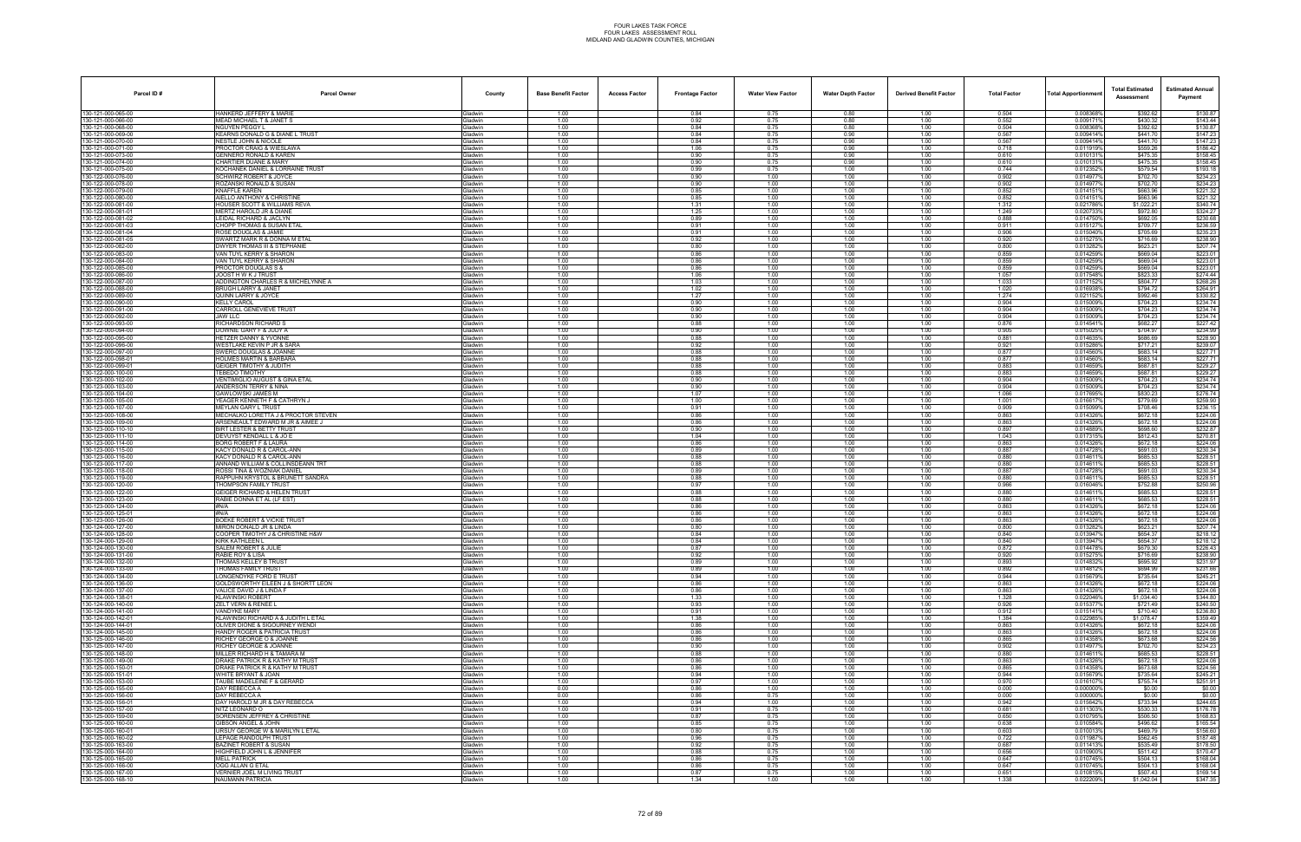| Parcel ID#                               | <b>Parcel Owner</b>                                                     | County                    | <b>Base Benefit Factor</b> | <b>Access Factor</b> | <b>Frontage Factor</b> | <b>Water View Factor</b> | <b>Water Depth Factor</b> | <b>Derived Benefit Factor</b> | <b>Total Factor</b> | Total Apportionmer     | <b>Total Estimated</b><br>Assessment | <b>Estimated Annual</b><br>Payment |
|------------------------------------------|-------------------------------------------------------------------------|---------------------------|----------------------------|----------------------|------------------------|--------------------------|---------------------------|-------------------------------|---------------------|------------------------|--------------------------------------|------------------------------------|
| 130-121-000-065-00                       | HANKERD JEFFERY & MARIE                                                 | Gladwin                   | 1.00                       |                      | 0.84                   | 0.75                     | 0.80                      | 1.00                          | 0.504               | 0.008368%              | \$392.62                             | \$130.87                           |
| 130-121-000-066-00                       | MEAD MICHAEL T & JANET S                                                | Gladwin                   | 1.00                       |                      | 0.92                   | 0.75                     | 0.80                      | 1.00                          | 0.552               | 0.009171%              | \$430.32                             | \$143.44                           |
| 130-121-000-068-00<br>130-121-000-069-00 | NGUYEN PEGGY L<br>KEARNS DONALD G & DIANE L TRUST                       | Gladwin<br>Gladwin        | 1.00<br>1.00               |                      | 0.84<br>0.84           | 0.75<br>0.75             | 0.80<br>0.90              | 1.00<br>1.00                  | 0.504<br>0.567      | 0.008368%<br>0.009414% | \$392.62<br>\$441.70                 | \$130.87<br>\$147.23               |
| 130-121-000-070-00                       | <b>NESTLE JOHN &amp; NICOLE</b>                                         | Gladwin                   | 1.00                       |                      | 0.84                   | 0.75                     | 0.90                      | 1.00                          | 0.567               | 0.009414%              | \$441.70                             | \$147.23                           |
| 130-121-000-071-00                       | PROCTOR CRAIG & WIESLAWA                                                | Gladwin                   | 1.00                       |                      | 1.06                   | 0.75                     | 0.90                      | 1.00                          | 0.718               | 0.0119199              | \$559.26                             | \$186.42                           |
| 130-121-000-073-00<br>130-121-000-074-00 | GENNERO RONALD & KAREN<br>CHARTIER DUANE & MARY                         | Gladwin<br><b>Gladwin</b> | 1.00<br>1.00               |                      | 0.90<br>0.90           | 0.75<br>0.75             | 0.90<br>0.90              | 1.00<br>1.00                  | 0.610<br>0.610      | 0.0101319<br>0.010131  | \$475.35<br>\$475.35                 | \$158.45<br>\$158.45               |
| 130-121-000-075-00                       | KOCHANEK DANIEL & LORRAINE TRUST                                        | Gladwin                   | 1.00                       |                      | 0.99                   | 0.75                     | 1.00                      | 1.00                          | 0.744               | 0.0123529              | \$579.54                             | \$193.18                           |
| 130-122-000-076-00                       | <b>SCHWIRZ ROBERT &amp; JOYCE</b>                                       | Gladwin                   | 1.00                       |                      | 0.90                   | 1.00                     | 1.00                      | 1.00                          | 0.902               | 0.0149779              | \$702.70                             | \$234.23                           |
| 130-122-000-078-00<br>130-122-000-079-00 | ROZANSKI RONALD & SUSAN<br><b>KNAFFLE KAREN</b>                         | Gladwin<br>Gladwin        | 1.00<br>1.00               |                      | 0.90<br>0.85           | 1.00<br>1.00             | 1.00<br>1.00              | 1.00<br>1.00                  | 0.902<br>0.852      | 0.0149779<br>0.0141519 | \$702.70<br>\$663.96                 | \$234.23<br>\$221.32               |
| 130-122-000-080-00                       | AIELLO ANTHONY & CHRISTINE                                              | Gladwin                   | 1.00                       |                      | 0.85                   | 1.00                     | 1.00                      | 1.00                          | 0.852               | 0.0141519              | \$663.96                             | \$221.32                           |
| 130-122-000-081-00                       | <b>HOUSER SCOTT &amp; WILLIAMS REVA</b>                                 | Gladwin                   | 1.00                       |                      | 1.31                   | 1.00                     | 1.00                      | 1.00                          | 1.312               | 0.021786%              | \$1,022.21                           | \$340.74                           |
| 130-122-000-081-01                       | MERTZ HAROLD JR & DIANE                                                 | Gladwin                   | 1.00                       |                      | 1.25                   | 1.00                     | 1.00                      | 1.00                          | 1.249               | 0.0207339              | \$972.80                             | \$324.27                           |
| 130-122-000-081-02<br>130-122-000-081-03 | LEIDAL RICHARD & JACLYN<br>CHOPP THOMAS & SUSAN ETAL                    | Gladwin<br>Gladwin        | 1.00<br>1.00               |                      | 0.89<br>0.91           | 1.00<br>1.00             | 1.00<br>1.00              | 1.00<br>1.00                  | 0.888<br>0.911      | 0.014750%<br>0.0151279 | \$692.05<br>\$709.77                 | \$230.68<br>\$236.59               |
| 130-122-000-081-04                       | ROSE DOUGLAS & JAMIE                                                    | <b>Gladwin</b>            | 1.00                       |                      | 0.91                   | 1.00                     | 1.00                      | 1.00                          | 0.906               | 0.0150409              | \$705.69                             | \$235.23                           |
| 130-122-000-081-05                       | SWARTZ MARK R & DONNA M ETAL                                            | Gladwin                   | 1.00                       |                      | 0.92                   | 1.00                     | 1.00                      | 1.00                          | 0.920               | 0.0152759              | \$716.69                             | \$238.90                           |
| 130-122-000-082-00<br>130-122-000-083-00 | DWYER THOMAS III & STEPHANIE<br>VAN TUYL KERRY & SHARON                 | Gladwin<br>Gladwin        | 1.00<br>1.00               |                      | 0.80<br>0.86           | 1.00<br>1.00             | 1.00<br>1.00              | 1.00<br>1.00                  | 0.800<br>0.859      | 0.0132829<br>0.014259% | \$623.21<br>\$669.04                 | \$207.74<br>\$223.01               |
| 130-122-000-084-00                       | VAN TUYL KERRY & SHARON                                                 | Gladwin                   | 1.00                       |                      | 0.86                   | 1.00                     | 1.00                      | 1.00                          | 0.859               | 0.014259%              | \$669.04                             | \$223.01                           |
| 130-122-000-085-00                       | PROCTOR DOUGLAS S &                                                     | Gladwin                   | 1.00                       |                      | 0.86                   | 1.00                     | 1.00                      | 1.00                          | 0.859               | 0.014259%              | \$669.04                             | \$223.01                           |
| 130-122-000-086-00                       | JOOST H W K J TRUST                                                     | Gladwin                   | 1.00                       |                      | 1.06                   | 1.00                     | 1.00                      | 1.00                          | 1.057               | 0.0175489              | \$823.33                             | \$274.44                           |
| 130-122-000-087-00<br>130-122-000-088-00 | ADDINGTON CHARLES R & MICHELYNNE A<br>BRUGH LARRY & JANET               | Gladwin<br>Gladwin        | 1.00<br>1.00               |                      | 1.03<br>1.02           | 1.00<br>1.00             | 1.00<br>1.00              | 1.00<br>1.00                  | 1.033<br>1.020      | 0.0171529<br>0.016938% | \$804.77<br>\$794.72                 | \$268.26<br>\$264.91               |
| 130-122-000-089-00                       | <b>QUINN LARRY &amp; JOYCE</b>                                          | Gladwin                   | 1.00                       |                      | 1.27                   | 1.00                     | 1.00                      | 1.00                          | 1.274               | 0.0211529              | \$992.46                             | \$330.82                           |
| 130-122-000-090-00                       | KELLY CAROL                                                             | <b>Gladwin</b>            | 1.00                       |                      | 0.90                   | 1.00                     | 1.00                      | 1.00                          | 0.904               | 0.015009%              | \$704.23                             | \$234.74                           |
| 130-122-000-091-00                       | CARROLL GENEVIEVE TRUST                                                 | Gladwin                   | 1.00                       |                      | 0.90                   | 1.00                     | 1.00                      | 1.00                          | 0.904               | 0.015009%              | \$704.23                             | \$234.74                           |
| 130-122-000-092-00<br>130-122-000-093-00 | JAW LLC<br>RICHARDSON RICHARD S                                         | Gladwin<br>Gladwin        | 1.00<br>1.00               |                      | 0.90<br>0.88           | 1.00<br>1.00             | 1.00<br>1.00              | 1.00<br>1.00                  | 0.904<br>0.876      | 0.0150099<br>0.014541% | \$704.23<br>\$682.27                 | \$234.74<br>\$227.42               |
| 130-122-000-094-00                       | DOWNIE GARY F & JUDY A                                                  | Gladwin                   | 1.00                       |                      | 0.90                   | 1.00                     | 1.00                      | 1.00                          | 0.905               | 0.0150259              | \$704.97                             | \$234.99                           |
| 130-122-000-095-00                       | HETZER DANNY & YVONNE                                                   | Gladwin                   | 1.00                       |                      | 0.88                   | 1.00                     | 1.00                      | 1.00                          | 0.881               | 0.0146359              | \$686.69                             | \$228.90                           |
| 130-122-000-096-00                       | WESTLAKE KEVIN P JR & SARA                                              | Gladwin                   | 1.00                       |                      | 0.92                   | 1.00                     | 1.00                      | 1.00                          | 0.921               | 0.015286%              | \$717.21                             | \$239.07                           |
| 130-122-000-097-00<br>130-122-000-098-01 | SWERC DOUGLAS & JOANNE<br><b>HOLMES MARTIN &amp; BARBARA</b>            | Gladwin<br>Gladwin        | 1.00<br>1.00               |                      | 0.88<br>0.88           | 1.00<br>1.00             | 1.00<br>1.00              | 1.00<br>1.00                  | 0.877<br>0.877      | 0.014560%<br>0.014560% | \$683.14<br>\$683.14                 | \$227.71<br>\$227.71               |
| 130-122-000-099-01                       | GEIGER TIMOTHY & JUDITH                                                 | Gladwin                   | 1.00                       |                      | 0.88                   | 1.00                     | 1.00                      | 1.00                          | 0.883               | 0.014659%              | \$687.81                             | \$229.27                           |
| 130-122-000-100-00                       | TEBEDO TIMOTHY                                                          | <b>Gladwin</b>            | 1.00                       |                      | 0.88                   | 1.00                     | 1.00                      | 1.00                          | 0.883               | 0.014659%              | \$687.81                             | \$229.27                           |
| 130-123-000-102-00                       | VENTIMIGLIO AUGUST & GINA ETAL                                          | Gladwin                   | 1.00                       |                      | 0.90                   | 1.00                     | 1.00                      | 1.00                          | 0.904               | 0.015009%              | \$704.23                             | \$234.74                           |
| 130-123-000-103-00<br>130-123-000-104-00 | ANDERSON TERRY & NINA<br>GAWLOWSKI JAMES M                              | Gladwin<br>Gladwin        | 1.00<br>1.00               |                      | 0.90<br>1.07           | 1.00<br>1.00             | 1.00<br>1.00              | 1.00<br>1.00                  | 0.904<br>1.066      | 0.015009%<br>0.017695% | \$704.23<br>\$830.23                 | \$234.74<br>\$276.74               |
| 130-123-000-105-00                       | YEAGER KENNETH F & CATHRYN J                                            | Gladwin                   | 1.00                       |                      | 1.00                   | 1.00                     | 1.00                      | 1.00                          | 1.001               | 0.016617               | \$779.69                             | \$259.90                           |
| 130-123-000-107-00                       | MEYLAN GARY L TRUST                                                     | Gladwin                   | 1.00                       |                      | 0.91                   | 1.00                     | 1.00                      | 1.00                          | 0.909               | 0.015099%              | \$708.46                             | \$236.15                           |
| 130-123-000-108-00<br>130-123-000-109-00 | MECHALKO LORETTA J & PROCTOR STEVEN<br>ARSENEAULT EDWARD M JR & AIMEE J | Gladwin<br>Gladwin        | 1.00<br>1.00               |                      | 0.86<br>0.86           | 1.00<br>1.00             | 1.00<br>1.00              | 1.00<br>1.00                  | 0.863<br>0.863      | 0.014326%<br>0.0143269 | \$672.18<br>\$672.18                 | \$224.06<br>\$224.06               |
| 130-123-000-110-10                       | <b>BIRT LESTER &amp; BETTY TRUST</b>                                    | Gladwin                   | 1.00                       |                      | 0.90                   | 1.00                     | 1.00                      | 1.00                          | 0.897               | 0.014889%              | \$698.60                             | \$232.87                           |
| 130-123-000-111-10                       | DEVUYST KENDALL L & JO E                                                | Gladwin                   | 1.00                       |                      | 1.04                   | 1.00                     | 1.00                      | 1.00                          | 1.043               | 0.017315               | \$812.43                             | \$270.81                           |
| 130-123-000-114-00                       | BORG ROBERT F & LAURA                                                   | <b>Gladwin</b>            | 1.00                       |                      | 0.86                   | 1.00                     | 1.00                      | 1.00                          | 0.863               | 0.014326               | \$672.18                             | \$224.06                           |
| 130-123-000-115-00<br>130-123-000-116-00 | KACY DONALD R & CAROL-ANN<br>KACY DONALD R & CAROL-ANN                  | Gladwin<br>Gladwin        | 1.00<br>1.00               |                      | 0.89<br>0.88           | 1.00<br>1.00             | 1.00<br>1.00              | 1.00<br>1.00                  | 0.887<br>0.880      | 0.014728%<br>0.014611  | \$691.03<br>\$685.53                 | \$230.34<br>\$228.51               |
| 130-123-000-117-00                       | ANNAND WILLIAM & COLLINSDEANN TRT                                       | Gladwin                   | 1.00                       |                      | 0.88                   | 1.00                     | 1.00                      | 1.00                          | 0.880               | 0.014611%              | \$685.53                             | \$228.51                           |
| 130-123-000-118-00                       | ROSSI TINA & WOZNIAK DANIEL                                             | Gladwin                   | 1.00                       |                      | 0.89                   | 1.00                     | 1.00                      | 1.00                          | 0.887               | 0.0147289              | \$691.03                             | \$230.34                           |
| 130-123-000-119-00                       | RAPPUHN KRYSTOL & BRUNETT SANDRA                                        | Gladwin                   | 1.00                       |                      | 0.88                   | 1.00                     | 1.00                      | 1.00                          | 0.880               | 0.014611               | \$685.53                             | \$228.51                           |
| 130-123-000-120-00<br>130-123-000-122-00 | THOMPSON FAMILY TRUST<br>GEIGER RICHARD & HELEN TRUS'                   | Gladwin<br>Gladwin        | 1.00<br>1.00               |                      | 0.97<br>0.88           | 1.00<br>1.00             | 1.00<br>1.00              | 1.00<br>1.00                  | 0.966<br>0.880      | 0.016046%<br>0.0146119 | \$752.88<br>\$685.53                 | \$250.96<br>\$228.51               |
| 130-123-000-123-00                       | RABIE DONNA ET AL (LF EST)                                              | Gladwin                   | 1.00                       |                      | 0.88                   | 1.00                     | 1.00                      | 1.00                          | 0.880               | 0.0146119              | \$685.53                             | \$228.51                           |
| 130-123-000-124-00                       | #N/A                                                                    | Gladwin                   | 1.00                       |                      | 0.86                   | 1.00                     | 1.00                      | 1.00                          | 0.863               | 0.0143269              | \$672.18                             | \$224.06                           |
| 130-123-000-125-01<br>130-123-000-126-00 | #N/A<br>BOEKE ROBERT & VICKIE TRUST                                     | <b>Gladwin</b><br>Gladwin | 1.00<br>1.00               |                      | 0.86<br>0.86           | 1.00<br>1.00             | 1.00<br>1.00              | 1.00<br>1.00                  | 0.863<br>0.863      | 0.0143269<br>0.014326% | \$672.18<br>\$672.18                 | \$224.06<br>\$224.06               |
| 130-124-000-127-00                       | MIRON DONALD JR & LINDA                                                 | Gladwin                   | 1.00                       |                      | 0.80                   | 1.00                     | 1.00                      | 1.00                          | 0.800               | 0.013282               | \$623.21                             | \$207.74                           |
| 130-124-000-128-00                       | COOPER TIMOTHY J & CHRISTINE H&W                                        | Gladwin                   | 1.00                       |                      | 0.84                   | 1.00                     | 1.00                      | 1.00                          | 0.840               | 0.0139479              | \$654.37                             | \$218.12                           |
| 130-124-000-129-00                       | KIRK KATHLEEN L                                                         | Gladwin                   | 1.00                       |                      | 0.84                   | 1.00                     | 1.00                      | 1.00                          | 0.840               | 0.0139479              | \$654.37                             | \$218.12                           |
| 130-124-000-130-00<br>130-124-000-131-00 | SALEM ROBERT & JULIE<br>RABIE ROY & LISA                                | Gladwin<br>Gladwin        | 1.00<br>1.00               |                      | 0.87<br>0.92           | 1.00<br>1.00             | 1.00<br>1.00              | 1.00<br>1.00                  | 0.872<br>0.920      | 0.014478%<br>0.015275% | \$679.30<br>\$716.69                 | \$226.43<br>\$238.90               |
| 130-124-000-132-00                       | THOMAS KELLEY B TRUST                                                   | Gladwin                   | 1.00                       |                      | 0.89                   | 1.00                     | 1.00                      | 1.00                          | 0.893               | 0.0148329              | \$695.92                             | \$231.97                           |
| 130-124-000-133-00                       | THOMAS FAMILY TRUST                                                     | Gladwin                   | 1.00                       |                      | 0.89                   | 1.00                     | 1.00                      | 1.00                          | 0.892               | 0.014812%              | \$694.99                             | \$231.66                           |
| 130-124-000-134-00                       | LONGENDYKE FORD E TRUST                                                 | Gladwin                   | 1.00                       |                      | 0.94                   | 1.00                     | 1.00                      | 1.00                          | 0.944               | 0.0156799              | \$735.64                             | \$245.21                           |
| 130-124-000-136-00<br>130-124-000-137-00 | GOLDSWORTHY EILEEN J & SHORTT LEON<br>VALICE DAVID J & LINDA F          | Gladwin<br>Gladwin        | 1.00<br>1.00               |                      | 0.86<br>0.86           | 1.00<br>1.00             | 1.00<br>1.00              | 1.00<br>1.00                  | 0.863<br>0.863      | 0.014326%<br>0.014326% | \$672.18<br>\$672.18                 | \$224.06<br>\$224.06               |
| 130-124-000-138-01                       | KLAWINSKI ROBERT                                                        | Gladwin                   | 1.00                       |                      | 1.33                   | 1.00                     | 1.00                      | 1.00                          | 1.328               | 0.022046%              | \$1,034.40                           | \$344.80                           |
| 130-124-000-140-00                       | ZELT VERN & RENEE L                                                     | Gladwin                   | 1.00                       |                      | 0.93                   | 1.00                     | 1.00                      | 1.00                          | 0.926               | 0.015377%              | \$721.49                             | \$240.50                           |
| 130-124-000-141-00                       | VANDYKE MARY                                                            | Gladwin                   | 1.00                       |                      | 0.91                   | 1.00                     | 1.00                      | 1.00                          | 0.912               | 0.015141%              | \$710.40                             | \$236.80                           |
| 130-124-000-142-01<br>130-124-000-144-01 | KLAWINSKI RICHARD A & JUDITH L ETAL<br>OLIVER DIONE & SIGOURNEY WENDL   | Gladwin<br>Gladwin        | 1.00<br>1.00               |                      | 1.38<br>0.86           | 1.00<br>1.00             | 1.00<br>1.00              | 1.00<br>1.00                  | 1.384<br>0.863      | 0.0229859<br>0.014326% | \$1,078.47<br>\$672.18               | \$359.49<br>\$224.06               |
| 130-124-000-145-00                       | HANDY ROGER & PATRICIA TRUST                                            | Gladwin                   | 1.00                       |                      | 0.86                   | 1.00                     | 1.00                      | 1.00                          | 0.863               | 0.014326%              | \$672.18                             | \$224.06                           |
| 130-125-000-146-00                       | RICHEY GEORGE O & JOANNE                                                | Gladwin                   | 1.00                       |                      | 0.86                   | 1.00                     | 1.00                      | 1.00                          | 0.865               | 0.014358%              | \$673.68                             | \$224.56                           |
| 130-125-000-147-00<br>130-125-000-148-00 | RICHEY GEORGE & JOANNE<br>MILLER RICHARD H & TAMARA M                   | Gladwin<br>Gladwin        | 1.00<br>1.00               |                      | 0.90                   | 1.00<br>1.00             | 1.00<br>1.00              | 1.00<br>1.00                  | 0.902<br>0.880      | 0.0149779<br>0.0146119 | \$702.70<br>\$685.53                 | \$234.23                           |
| 130-125-000-149-00                       | DRAKE PATRICK R & KATHY M TRUST                                         | Gladwin                   | 1.00                       |                      | 0.88<br>0.86           | 1.00                     | 1.00                      | 1.00                          | 0.863               | 0.014326%              | \$672.18                             | \$228.51<br>\$224.06               |
| 130-125-000-150-01                       | DRAKE PATRICK R & KATHY M TRUST                                         | Gladwin                   | 1.00                       |                      | 0.86                   | 1.00                     | 1.00                      | 1.00                          | 0.865               | 0.014358%              | \$673.68                             | \$224.56                           |
| 130-125-000-151-01                       | WHITE BRYANT & JOAN                                                     | Gladwin                   | 1.00                       |                      | 0.94                   | 1.00                     | 1.00                      | 1.00                          | 0.944               | 0.015679%              | \$735.64                             | \$245.21                           |
| 130-125-000-153-00<br>130-125-000-155-00 | TAUBE MADELEINE F & GERARD<br>DAY REBECCA A                             | Gladwin<br>Gladwin        | 1.00<br>0.00               |                      | 0.97                   | 1.00<br>1.00             | 1.00<br>1.00              | 1.00<br>1.00                  | 0.970<br>0.000      | 0.0161079<br>0.0000009 | \$755.74                             | \$251.91                           |
| 130-125-000-156-00                       | DAY REBECCA A                                                           | Gladwin                   | 0.00                       |                      | 0.86<br>0.86           | 0.75                     | 1.00                      | 1.00                          | 0.000               | 0.000000%              | \$0.00<br>\$0.00                     | \$0.00<br>\$0.00                   |
| 130-125-000-156-01                       | DAY HAROLD M JR & DAY REBECCA                                           | Gladwin                   | 1.00                       |                      | 0.94                   | 1.00                     | 1.00                      | 1.00                          | 0.942               | 0.015642%              | \$733.94                             | \$244.65                           |
| 130-125-000-157-00                       | NITZ LEONARD O                                                          | Gladwin                   | 1.00                       |                      | 0.91                   | 0.75                     | 1.00                      | 1.00                          | 0.681               | 0.011303%              | \$530.33                             | \$176.78                           |
| 130-125-000-159-00<br>130-125-000-160-00 | SORENSEN JEFFREY & CHRISTINE<br><b>GIBSON ANGEL &amp; JOHN</b>          | Gladwin<br>Gladwin        | 1.00<br>1.00               |                      | 0.87                   | 0.75<br>0.75             | 1.00<br>1.00              | 1.00<br>1.00                  | 0.650<br>0.638      | 0.010795%              | \$506.50<br>\$496.62                 | \$168.83<br>\$165.54               |
| 130-125-000-160-01                       | URSUY GEORGE W & MARILYN L ETAL                                         | Gladwin                   | 1.00                       |                      | 0.85<br>0.80           | 0.75                     | 1.00                      | 1.00                          | 0.603               | 0.010584%<br>0.010013% | \$469.79                             | \$156.60                           |
| 130-125-000-160-02                       | LEPAGE RANDOLPH TRUST                                                   | Gladwin                   | 1.00                       |                      | 0.96                   | 0.75                     | 1.00                      | 1.00                          | 0.722               | 0.0119879              | \$562.45                             | \$187.48                           |
| 130-125-000-163-00                       | BAZINET ROBERT & SUSAN                                                  | Gladwin                   | 1.00                       |                      | 0.92                   | 0.75                     | 1.00                      | 1.00                          | 0.687               | 0.011413%              | \$535.49                             | \$178.50                           |
| 130-125-000-164-00<br>130-125-000-165-00 | HIGHFIELD JOHN L & JENNIFER<br><b>MELL PATRICK</b>                      | Gladwin<br>Gladwin        | 1.00<br>1.00               |                      | 0.88<br>0.86           | 0.75<br>0.75             | 1.00<br>1.00              | 1.00<br>1.00                  | 0.656<br>0.647      | 0.010900%<br>0.010745% | \$511.42<br>\$504.13                 | \$170.47<br>\$168.04               |
| 130-125-000-166-00                       | OGG ALLAN G ETAL                                                        | Gladwin                   | 1.00                       |                      | 0.86                   | 0.75                     | 1.00                      | 1.00                          | 0.647               | 0.010745%              | \$504.13                             | \$168.04                           |
| 130-125-000-167-00                       | VERNIER JOEL M LIVING TRUST                                             | Gladwin                   | 1.00                       |                      | 0.87                   | 0.75                     | 1.00                      | 1.00                          | 0.651               | 0.010815%              | \$507.43                             | \$169.14                           |
| 130-125-000-168-10                       | <b>NAUMANN PATRICIA</b>                                                 | Gladwin                   | 1.00                       |                      | 1.34                   | 1.00                     | 1.00                      | 1.00                          | 1.338               | 0.022209%              | \$1,042.04                           | \$347.35                           |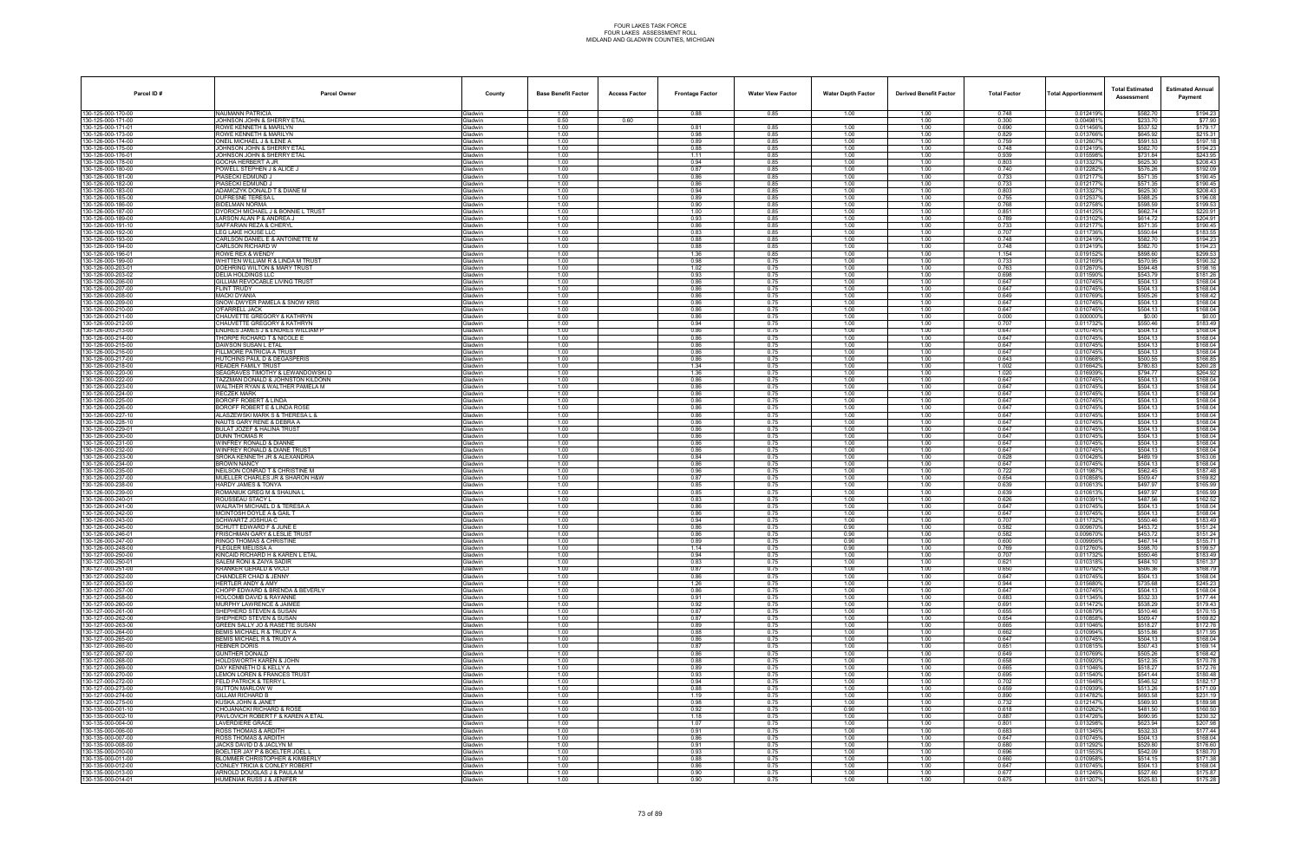| Parcel ID#                               | <b>Parcel Owner</b>                                                    | County                           | <b>Base Benefit Factor</b> | <b>Access Factor</b> | <b>Frontage Factor</b> | <b>Water View Factor</b> | <b>Water Depth Factor</b> | <b>Derived Benefit Factor</b> | <b>Total Factor</b> | <b>Total Apportionmen</b> | <b>Total Estimated</b><br>Assessment | <b>Estimated Annual</b><br>Payment |
|------------------------------------------|------------------------------------------------------------------------|----------------------------------|----------------------------|----------------------|------------------------|--------------------------|---------------------------|-------------------------------|---------------------|---------------------------|--------------------------------------|------------------------------------|
| 130-125-000-170-00                       | <b>NAUMANN PATRICIA</b>                                                | Gladwin                          | 1.00                       |                      | 0.88                   | 0.85                     | 1.00                      | 1.00                          | 0.748               | 0.012419%                 | \$582.70                             | \$194.23                           |
| 130-125-000-171-00<br>130-125-000-171-01 | JOHNSON JOHN & SHERRY ETAL<br>ROWE KENNETH & MARILYN                   | <b>Gladwin</b>                   | 0.50<br>1.00               | 0.60                 | 0.81                   | 0.85                     | 1.00                      | 1.00<br>1.00                  | 0.300<br>0.690      | 0.004981%<br>0.011456%    | \$233.70<br>\$537.52                 | \$77.90<br>\$179.17                |
| 130-126-000-173-00                       | ROWE KENNETH & MARILYN                                                 | ladwin<br><b>Gladwin</b>         | 1.00                       |                      | 0.98                   | 0.85                     | 1.00                      | 1.00                          | 0.829               | 0.0137669                 | \$645.92                             | \$215.31                           |
| 130-126-000-174-00                       | ONEIL MICHAEL J & ILENE A                                              | Gladwin                          | 1.00                       |                      | 0.89                   | 0.85                     | 1.00                      | 1.00                          | 0.759               | 0.012607                  | \$591.53                             | \$197.18                           |
| 130-126-000-175-00                       | JOHNSON JOHN & SHERRY ETAL                                             | Gladwin                          | 1.00                       |                      | 0.88                   | 0.85                     | 1.00                      | 1.00                          | 0.748               | 0.012419%                 | \$582.70                             | \$194.23                           |
| 130-126-000-176-01<br>130-126-000-178-00 | JOHNSON JOHN & SHERRY ETAL<br>GOCHA HERBERT A JR                       | <b>Gladwin</b><br>ladwin         | 1.00<br>1.00               |                      | 1.11<br>0.94           | 0.85<br>0.85             | 1.00<br>1.00              | 1.00<br>1.00                  | 0.939<br>0.803      | 0.0155989<br>0.0133279    | \$731.84<br>\$625.30                 | \$243.95<br>\$208.43               |
| 130-126-000-180-00                       | POWELL STEPHEN J & ALICE J                                             | <b>Gladwin</b>                   | 1.00                       |                      | 0.87                   | 0.85                     | 1.00                      | 1.00                          | 0.740               | 0.012282%                 | \$576.26                             | \$192.09                           |
| 130-126-000-181-00                       | PIASECKI EDMUND J                                                      | <b>Gladwin</b>                   | 1.00                       |                      | 0.86                   | 0.85                     | 1.00                      | 1.00                          | 0.733               | 0.012177                  | \$571.35                             | \$190.45                           |
| 130-126-000-182-00<br>130-126-000-183-00 | PIASECKI EDMUND.<br>ADAMCZYK DONALD T & DIANE M                        | Gladwin<br><b>Gladwin</b>        | 1.00<br>1.00               |                      | 0.86<br>0.94           | 0.85<br>0.85             | 1.00<br>1.00              | 1.00<br>1.00                  | 0.733<br>0.803      | 0.012177%<br>0.013327     | \$571.35<br>\$625.30                 | \$190.45<br>\$208.43               |
| 130-126-000-185-00                       | DUFRESNE TERESA L                                                      | <b>Gladwin</b>                   | 1.00                       |                      | 0.89                   | 0.85                     | 1.00                      | 1.00                          | 0.755               | 0.012537                  | \$588.25                             | \$196.08                           |
| 130-126-000-186-00                       | <b>BIDELMAN NORMA</b>                                                  | <b>Gladwin</b>                   | 1.00                       |                      | 0.90                   | 0.85                     | 1.00                      | 1.00                          | 0.768               | 0.012758%                 | \$598.59                             | \$199.53                           |
| 130-126-000-187-00<br>130-126-000-189-00 | DYORICH MICHAEL J & BONNIE L TRUST                                     | <b>Gladwin</b>                   | 1.00                       |                      | 1.00                   | 0.85                     | 1.00                      | 1.00                          | 0.851               | 0.0141259                 | \$662.74<br>\$614.72                 | \$220.91<br>\$204.91               |
| 130-126-000-191-10                       | LARSON ALAN P & ANDREA J<br>SAFFARIAN REZA & CHERYL                    | Gladwin<br><b>Gladwin</b>        | 1.00<br>1.00               |                      | 0.93<br>0.86           | 0.85<br>0.85             | 1.00<br>1.00              | 1.00<br>1.00                  | 0.789<br>0.733      | 0.013102%<br>0.012177     | \$571.35                             | \$190.45                           |
| 130-126-000-192-00                       | LEG LAKE HOUSE LLC                                                     | 3ladwin                          | 1.00                       |                      | 0.83                   | 0.85                     | 1.00                      | 1.00                          | 0.707               | 0.0117369                 | \$550.64                             | \$183.55                           |
| 130-126-000-193-00                       | CARLSON DANIEL E & ANTOINETTE M                                        | <b>Gladwin</b>                   | 1.00                       |                      | 0.88                   | 0.85                     | 1.00                      | 1.00                          | 0.748               | 0.012419%                 | \$582.70                             | \$194.23                           |
| 130-126-000-194-00<br>130-126-000-196-01 | CARLSON RICHARD W<br>ROWE REX & WENDY                                  | <b>Gladwin</b><br>Gladwin        | 1.00<br>1.00               |                      | 0.88<br>1.36           | 0.85<br>0.85             | 1.00<br>1.00              | 1.00<br>1.00                  | 0.748<br>1.154      | 0.012419%<br>0.019152%    | \$582.70<br>\$898.60                 | \$194.23<br>\$299.53               |
| 130-126-000-199-00                       | WHITTEN WILLIAM R & LINDA M TRUST                                      | <b>Gladwin</b>                   | 1.00                       |                      | 0.98                   | 0.75                     | 1.00                      | 1.00                          | 0.733               | 0.0121699                 | \$570.95                             | \$190.32                           |
| 130-126-000-203-01                       | DOEHRING WILTON & MARY TRUST                                           | <b>Gladwin</b>                   | 1.00                       |                      | 1.02                   | 0.75                     | 1.00                      | 1.00                          | 0.763               | 0.012670                  | \$594.48                             | \$198.16                           |
| 130-126-000-203-02                       | <b>DELIA HOLDINGS LLC</b>                                              | Gladwin                          | 1.00                       |                      | 0.93                   | 0.75                     | 1.00                      | 1.00                          | 0.698               | 0.011590%                 | \$543.79                             | \$181.26<br>\$168.04               |
| 130-126-000-206-00<br>130-126-000-207-00 | GILLIAM REVOCABLE LIVING TRUST<br><b>FLINT TRUDY</b>                   | Gladwin<br>Gladwin               | 1.00<br>1.00               |                      | 0.86<br>0.86           | 0.75<br>0.75             | 1.00<br>1.00              | 1.00<br>1.00                  | 0.647<br>0.647      | 0.010745%<br>0.010745%    | \$504.13<br>\$504.13                 | \$168.04                           |
| 130-126-000-208-00                       | <b>MACKI DYANIA</b>                                                    | Gladwin                          | 1.00                       |                      | 0.86                   | 0.75                     | 1.00                      | 1.00                          | 0.649               | 0.010769%                 | \$505.26                             | \$168.42                           |
| 130-126-000-209-00                       | SNOW-DWYER PAMELA & SNOW KRIS                                          | <b>Gladwin</b>                   | 1.00                       |                      | 0.86                   | 0.75                     | 1.00                      | 1.00                          | 0.647               | 0.010745%                 | \$504.13                             | \$168.04                           |
| 130-126-000-210-00<br>130-126-000-211-00 | O'FARRELL JACK<br>CHAUVETTE GREGORY & KATHRYN                          | Gladwin<br>Gladwin               | 1.00<br>0.00               |                      | 0.86<br>0.86           | 0.75<br>0.75             | 1.00<br>1.00              | 1.00<br>1.00                  | 0.647<br>0.000      | 0.010745%<br>0.000000%    | \$504.13<br>\$0.00                   | \$168.04<br>\$0.00                 |
| 130-126-000-212-00                       | CHAUVETTE GREGORY & KATHRYN                                            | Gladwin                          | 1.00                       |                      | 0.94                   | 0.75                     | 1.00                      | 1.00                          | 0.707               | 0.0117329                 | \$550.46                             | \$183.49                           |
| 130-126-000-213-00                       | ENDRES JAMES J & ENDRES WILLIAM P                                      | Gladwin                          | 1.00                       |                      | 0.86                   | 0.75                     | 1.00                      | 1.00                          | 0.647               | 0.010745%                 | \$504.13                             | \$168.04                           |
| 130-126-000-214-00<br>130-126-000-215-00 | THORPE RICHARD T & NICOLE E<br>DAWSON SUSAN L ETAL                     | <b>Gladwin</b><br>Gladwin        | 1.00<br>1.00               |                      | 0.86                   | 0.75<br>0.75             | 1.00<br>1.00              | 1.00<br>1.00                  | 0.647<br>0.647      | 0.010745%<br>0.010745%    | \$504.13<br>\$504.13                 | \$168.04<br>\$168.04               |
| 130-126-000-216-00                       | <b>FILLMORE PATRICIA A TRUST</b>                                       | Gladwin                          | 1.00                       |                      | 0.86<br>0.86           | 0.75                     | 1.00                      | 1.00                          | 0.647               | 0.010745%                 | \$504.13                             | \$168.04                           |
| 130-126-000-217-00                       | HUTCHINS PAUL D & DEGASPERIS                                           | Gladwin                          | 1.00                       |                      | 0.86                   | 0.75                     | 1.00                      | 1.00                          | 0.643               | 0.010668%                 | \$500.55                             | \$166.85                           |
| 130-126-000-218-00                       | <b>READER FAMILY TRUST</b>                                             | Gladwin                          | 1.00                       |                      | 1.34                   | 0.75                     | 1.00                      | 1.00                          | 1.002               | 0.016642%                 | \$780.83                             | \$260.28                           |
| 130-126-000-220-00<br>130-126-000-222-00 | SEAGRAVES TIMOTHY & LEWANDOWSKI D<br>TAZZMAN DONALD & JOHNSTON KILDONN | <b>Gladwin</b><br><b>Gladwin</b> | 1.00<br>1.00               |                      | 1.36<br>0.86           | 0.75<br>0.75             | 1.00<br>1.00              | 1.00<br>1.00                  | 1.020<br>0.647      | 0.016939%<br>0.010745%    | \$794.77<br>\$504.13                 | \$264.92<br>\$168.04               |
| 130-126-000-223-00                       | WALTHER RYAN & WALTHER PAMELA M                                        | Gladwin                          | 1.00                       |                      | 0.86                   | 0.75                     | 1.00                      | 1.00                          | 0.647               | 0.010745%                 | \$504.13                             | \$168.04                           |
| 130-126-000-224-00                       | <b>RECZEK MARK</b>                                                     | Gladwin                          | 1.00                       |                      | 0.86                   | 0.75                     | 1.00                      | 1.00                          | 0.647               | 0.010745%                 | \$504.13                             | \$168.04                           |
| 130-126-000-225-00<br>130-126-000-226-00 | BOROFF ROBERT & LINDA<br>BOROFF ROBERT E & LINDA ROSE                  | Gladwin<br><b>Gladwin</b>        | 1.00<br>1.00               |                      | 0.86<br>0.86           | 0.75<br>0.75             | 1.00<br>1.00              | 1.00<br>1.00                  | 0.647<br>0.647      | 0.010745%<br>0.010745%    | \$504.13<br>\$504.13                 | \$168.04<br>\$168.04               |
| 130-126-000-227-10                       | ALASZEWSKI MARK S & THERESA L &                                        | <b>Gladwin</b>                   | 1.00                       |                      | 0.86                   | 0.75                     | 1.00                      | 1.00                          | 0.647               | 0.010745%                 | \$504.13                             | \$168.04                           |
| 130-126-000-228-10                       | NAUTS GARY RENE & DEBRA A                                              | Gladwin                          | 1.00                       |                      | 0.86                   | 0.75                     | 1.00                      | 1.00                          | 0.647               | 0.010745%                 | \$504.13                             | \$168.04                           |
| 130-126-000-229-01                       | BULAT JOZEF & HALINA TRUST                                             | Gladwin                          | 1.00                       |                      | 0.86                   | 0.75                     | 1.00                      | 1.00                          | 0.647               | 0.010745%                 | \$504.13                             | \$168.04                           |
| 130-126-000-230-00<br>130-126-000-231-00 | <b>DUNN THOMAS R</b><br>WINFREY RONALD & DIANNE                        | Gladwin<br>ladwin                | 1.00<br>1.00               |                      | 0.86<br>0.86           | 0.75<br>0.75             | 1.00<br>1.00              | 1.00<br>1.00                  | 0.647<br>0.647      | 0.010745%<br>0.010745%    | \$504.13<br>\$504.13                 | \$168.04<br>\$168.04               |
| 130-126-000-232-00                       | WINFREY RONALD & DIANE TRUST                                           | <b>Gladwin</b>                   | 1.00                       |                      | 0.86                   | 0.75                     | 1.00                      | 1.00                          | 0.647               | 0.010745%                 | \$504.13                             | \$168.04                           |
| 130-126-000-233-00                       | SROKA KENNETH JR & ALEXANDRIA                                          | Gladwin                          | 1.00                       |                      | 0.84                   | 0.75                     | 1.00                      | 1.00                          | 0.628               | 0.0104269                 | \$489.19                             | \$163.06                           |
| 130-126-000-234-00<br>130-126-000-235-00 | <b>BROWN NANCY</b><br>NEILSON CONRAD T & CHRISTINE M                   | Gladwin<br><b>Gladwin</b>        | 1.00<br>1.00               |                      | 0.86<br>0.96           | 0.75<br>0.75             | 1.00<br>1.00              | 1.00<br>1.00                  | 0.647<br>0.722      | 0.010745%<br>0.011987%    | \$504.13<br>\$562.45                 | \$168.04<br>\$187.48               |
| 130-126-000-237-00                       | MUELLER CHARLES JR & SHARON H&W                                        | <b>Gladwin</b>                   | 1.00                       |                      | 0.87                   | 0.75                     | 1.00                      | 1.00                          | 0.654               | 0.010858%                 | \$509.47                             | \$169.82                           |
| 130-126-000-238-00                       | HARDY JAMES & TONYA                                                    | <b>Gladwin</b>                   | 1.00                       |                      | 0.85                   | 0.75                     | 1.00                      | 1.00                          | 0.639               | 0.010613%                 | \$497.97                             | \$165.99                           |
| 130-126-000-239-00<br>130-126-000-240-01 | ROMANIUK GREG M & SHAUNA L<br>ROUSSEAU STACY L                         | Gladwin                          | 1.00                       |                      | 0.85                   | 0.75                     | 1.00                      | 1.00                          | 0.639               | 0.0106139                 | \$497.97                             | \$165.99                           |
| 130-126-000-241-00                       | WALRATH MICHAEL D & TERESA A                                           | Gladwin<br><b>Gladwin</b>        | 1.00<br>1.00               |                      | 0.83<br>0.86           | 0.75<br>0.75             | 1.00<br>1.00              | 1.00<br>1.00                  | 0.626<br>0.647      | 0.010391%<br>0.0107459    | \$487.56<br>\$504.13                 | \$162.52<br>\$168.04               |
| 130-126-000-242-00                       | MCINTOSH DOYLE A & GAIL T                                              | iladwin                          | 1.00                       |                      | 0.86                   | 0.75                     | 1.00                      | 1.00                          | 0.647               | 0.010745%                 | \$504.13                             | \$168.04                           |
| 130-126-000-243-00                       | SCHWARTZ JOSHUA C                                                      | <b>Gladwin</b>                   | 1.00                       |                      | 0.94                   | 0.75                     | 1.00                      | 1.00                          | 0.707               | 0.011732%                 | \$550.46                             | \$183.49                           |
| 130-126-000-245-00<br>130-126-000-246-01 | SCHUTT EDWARD F & JUNE E<br><b>FRISCHMAN GARY &amp; LESLIE TRUST</b>   | 3ladwin<br>Gladwin               | 1.00<br>1.00               |                      | 0.86<br>0.86           | 0.75<br>0.75             | 0.90<br>0.90              | 1.00<br>1.00                  | 0.582<br>0.582      | 0.009670<br>0.009670%     | \$453.72<br>\$453.72                 | \$151.24<br>\$151.24               |
| 130-126-000-247-00                       | RINGO THOMAS & CHRISTINE                                               | <b>Gladwin</b>                   | 1.00                       |                      | 0.89                   | 0.75                     | 0.90                      | 1.00                          | 0.600               | 0.009956%                 | \$467.14                             | \$155.71                           |
| 130-126-000-248-00                       | FLEGLER MELISSA A                                                      | <b>Gladwin</b>                   | 1.00                       |                      | 1.14                   | 0.75                     | 0.90                      | 1.00                          | 0.769               | 0.012760%                 | \$598.70                             | \$199.57                           |
| 130-127-000-250-00<br>130-127-000-250-01 | KINCAID RICHARD H & KAREN L ETAL                                       | Gladwin                          | 1.00                       |                      | 0.94                   | 0.75                     | 1.00                      | 1.00                          | 0.707               | 0.011732%                 | \$550.46<br>\$484.10                 | \$183.49                           |
| 130-127-000-251-00                       | SALEM RONI & ZAIYA SADIR<br><b>KRANKER GERALD &amp; VICCI</b>          | <b>Gladwin</b><br>Gladwin        | 1.00<br>1.00               |                      | 0.83<br>0.87           | 0.75<br>0.75             | 1.00<br>1.00              | 1.00<br>1.00                  | 0.621<br>0.650      | 0.010318%<br>0.010792%    | \$506.36                             | \$161.37<br>\$168.79               |
| 130-127-000-252-00                       | CHANDLER CHAD & JENNY                                                  | Gladwin                          | 1.00                       |                      | 0.86                   | 0.75                     | 1.00                      | 1.00                          | 0.647               | 0.010745%                 | \$504.13                             | \$168.04                           |
| 130-127-000-253-00                       | HERTLER ANDY & AMY                                                     | <b>Gladwin</b>                   | 1.00                       |                      | 1.26                   | 0.75                     | 1.00                      | 1.00                          | 0.944               | 0.015680%                 | \$735.68                             | \$245.23                           |
| 130-127-000-257-00<br>130-127-000-258-00 | CHOPP EDWARD & BRENDA & BEVERLY<br><b>HOLCOMB DAVID &amp; RAYANNE</b>  | Gladwin<br><b>Gladwin</b>        | 1.00<br>1.00               |                      | 0.86<br>0.91           | 0.75<br>0.75             | 1.00<br>1.00              | 1.00<br>1.00                  | 0.647<br>0.683      | 0.010745%<br>0.011345%    | \$504.13<br>\$532.33                 | \$168.04<br>\$177.44               |
| 130-127-000-260-00                       | MURPHY LAWRENCE & JAIMEE                                               | Gladwin                          | 1.00                       |                      | 0.92                   | 0.75                     | 1.00                      | 1.00                          | 0.691               | 0.011472%                 | \$538.29                             | \$179.43                           |
| 130-127-000-261-00                       | SHEPHERD STEVEN & SUSAN                                                | Gladwin                          | 1.00                       |                      | 0.87                   | 0.75                     | 1.00                      | 1.00                          | 0.655               | 0.010879%                 | \$510.46                             | \$170.15                           |
| 130-127-000-262-00<br>130-127-000-263-00 | SHEPHERD STEVEN & SUSAN<br>GREEN SALLY JO & RASETTE SUSAN              | <b>Gladwin</b><br>Gladwin        | 1.00<br>1.00               |                      | 0.87<br>0.89           | 0.75<br>0.75             | 1.00<br>1.00              | 1.00<br>1.00                  | 0.654<br>0.665      | 0.010858%<br>0.011046%    | \$509.47<br>\$518.27                 | \$169.82<br>\$172.76               |
| 130-127-000-264-00                       | BEMIS MICHAEL R & TRUDY A                                              | Gladwin                          | 1.00                       |                      | 0.88                   | 0.75                     | 1.00                      | 1.00                          | 0.662               | 0.010994%                 | \$515.86                             | \$171.95                           |
| 130-127-000-265-00                       | BEMIS MICHAEL R & TRUDY A                                              | Gladwin                          | 1.00                       |                      | 0.86                   | 0.75                     | 1.00                      | 1.00                          | 0.647               | 0.010745%                 | \$504.13                             | \$168.04                           |
| 130-127-000-266-00                       | <b>HEBNER DORIS</b>                                                    | Gladwin                          | 1.00                       |                      | 0.87                   | 0.75                     | 1.00                      | 1.00                          | 0.651               | 0.010815%                 | \$507.43                             | \$169.14                           |
| 130-127-000-267-00<br>130-127-000-268-00 | <b>GUNTHER DONALD</b><br>HOLDSWORTH KAREN & JOHN                       | <b>Gladwin</b><br>Gladwin        | 1.00<br>1.00               |                      | 0.86<br>0.88           | 0.75<br>0.75             | 1.00<br>1.00              | 1.00<br>1.00                  | 0.649<br>0.658      | 0.010769%<br>0.010920%    | \$505.26<br>\$512.35                 | \$168.42<br>\$170.78               |
| 130-127-000-269-00                       | DAY KENNETH D & KELLY A                                                | Gladwin                          | 1.00                       |                      | 0.89                   | 0.75                     | 1.00                      | 1.00                          | 0.665               | 0.011046%                 | \$518.27                             | \$172.76                           |
| 130-127-000-270-00                       | LEMON LOREN & FRANCES TRUST                                            | Gladwin                          | 1.00                       |                      | 0.93                   | 0.75                     | 1.00                      | 1.00                          | 0.695               | 0.011540%                 | \$541.44                             | \$180.48                           |
| 130-127-000-272-00<br>130-127-000-273-00 | FELD PATRICK & TERRY L<br>SUTTON MARLOW W                              | Gladwin<br><b>Sladwin</b>        | 1.00<br>1.00               |                      | 0.94<br>0.88           | 0.75<br>0.75             | 1.00<br>1.00              | 1.00<br>1.00                  | 0.702<br>0.659      | 0.011648%<br>0.010939%    | \$546.52<br>\$513.26                 | \$182.17<br>\$171.09               |
| 130-127-000-274-00                       | <b>GILLAM RICHARD B</b>                                                | Gladwin                          | 1.00                       |                      | 1.19                   | 0.75                     | 1.00                      | 1.00                          | 0.890               | 0.014782%                 | \$693.58                             | \$231.19                           |
| 130-127-000-275-00                       | KUSKA JOHN & JANET                                                     | Gladwin                          | 1.00                       |                      | 0.98                   | 0.75                     | 1.00                      | 1.00                          | 0.732               | 0.012147%                 | \$569.93                             | \$189.98                           |
| 130-135-000-001-10<br>130-135-000-002-10 | CHOJANACKI RICHARD & ROSE<br>PAVLOVICH ROBERT F & KAREN A ETAL         | Gladwin<br>Gladwin               | 1.00<br>1.00               |                      | 0.92<br>1.18           | 0.75<br>0.75             | 0.90<br>1.00              | 1.00<br>1.00                  | 0.618<br>0.887      | 0.0102629<br>0.014726%    | \$481.50<br>\$690.95                 | \$160.50<br>\$230.32               |
| 130-135-000-004-00                       | LAVERDIERE GRACE                                                       | <b>Gladwin</b>                   | 1.00                       |                      | 1.07                   | 0.75                     | 1.00                      | 1.00                          | 0.801               | 0.013298%                 | \$623.94                             | \$207.98                           |
| 130-135-000-006-00                       | <b>ROSS THOMAS &amp; ARDITH</b>                                        | <b>Gladwin</b>                   | 1.00                       |                      | 0.91                   | 0.75                     | 1.00                      | 1.00                          | 0.683               | 0.011345%                 | \$532.33                             | \$177.44                           |
| 130-135-000-007-00                       | ROSS THOMAS & ARDITH                                                   | Gladwin                          | 1.00                       |                      | 0.86                   | 0.75                     | 1.00                      | 1.00                          | 0.647               | 0.010745%                 | \$504.13                             | \$168.04                           |
| 130-135-000-008-00<br>130-135-000-010-00 | JACKS DAVID D & JACLYN M<br>BOELTER JAY P & BOELTER JOEL L             | Gladwin<br>Gladwin               | 1.00<br>1.00               |                      | 0.91<br>0.93           | 0.75<br>0.75             | 1.00<br>1.00              | 1.00<br>1.00                  | 0.680<br>0.696      | 0.011292%<br>0.011553%    | \$529.80<br>\$542.09                 | \$176.60<br>\$180.70               |
| 130-135-000-011-00                       | BLOMMER CHRISTOPHER & KIMBERLY                                         | <b>Gladwin</b>                   | 1.00                       |                      | 0.88                   | 0.75                     | 1.00                      | 1.00                          | 0.660               | 0.010958%                 | \$514.15                             | \$171.38                           |
| 130-135-000-012-00                       | CONLEY TRICIA & CONLEY ROBERT                                          | <b>Gladwin</b>                   | 1.00                       |                      | 0.86                   | 0.75                     | 1.00                      | 1.00                          | 0.647               | 0.010745%                 | \$504.13                             | \$168.04                           |
| 130-135-000-013-00                       | ARNOLD DOUGLAS J & PAULA M<br>HUMENIAK RUSS J & JENIFER                | Gladwin<br>Gladwin               | 1.00                       |                      | 0.90<br>0.90           | 0.75<br>0.75             | 1.00                      | 1.00                          | 0.677<br>0.675      | 0.011245%<br>0.011207%    | \$527.60<br>\$525.83                 | \$175.87                           |
| 130-135-000-014-01                       |                                                                        |                                  | 1.00                       |                      |                        |                          | 1.00                      | 1.00                          |                     |                           |                                      | \$175.28                           |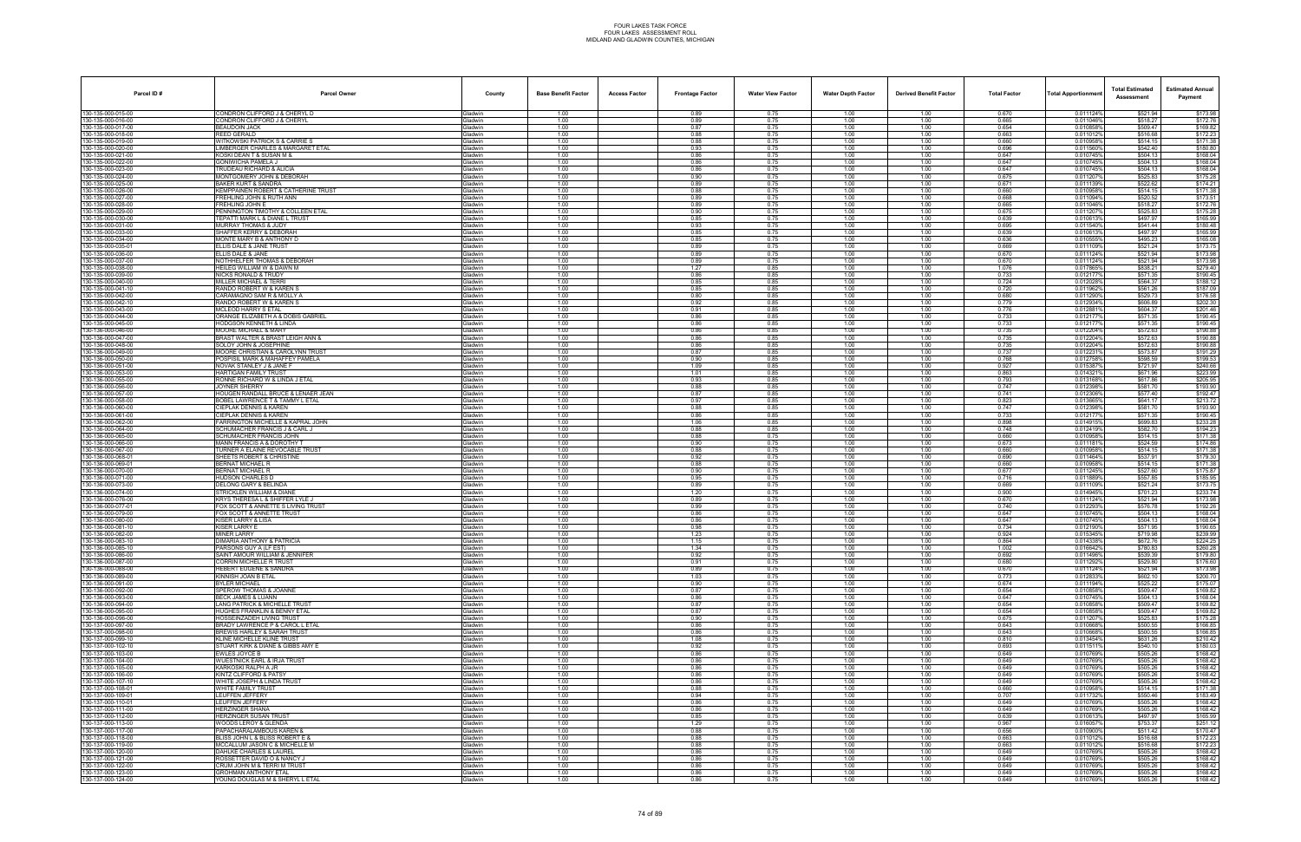| Parcel ID#                               | <b>Parcel Owner</b>                                                 | County                           | <b>Base Benefit Factor</b> | <b>Access Factor</b> | <b>Frontage Factor</b> | <b>Water View Factor</b> | <b>Water Depth Factor</b> | <b>Derived Benefit Factor</b> | <b>Total Factor</b> | <b>Total Apportionmen</b> | <b>Total Estimated</b><br>Assessment | <b>Estimated Annual</b><br>Payment |
|------------------------------------------|---------------------------------------------------------------------|----------------------------------|----------------------------|----------------------|------------------------|--------------------------|---------------------------|-------------------------------|---------------------|---------------------------|--------------------------------------|------------------------------------|
| 130-135-000-015-00                       | CONDRON CLIFFORD J & CHERYL D                                       | Gladwin                          | 1.00                       |                      | 0.89                   | 0.75                     | 1.00                      | 1.00                          | 0.670               | 0.011124%                 | \$521.94                             | \$173.98                           |
| 130-135-000-016-00<br>130-135-000-017-00 | CONDRON CLIFFORD J & CHERYL<br>BEAUDOIN JACK                        | <b>Gladwin</b><br><b>Gladwin</b> | 1.00<br>1.00               |                      | 0.89<br>0.87           | 0.75<br>0.75             | 1.00<br>1.00              | 1.00<br>1.00                  | 0.665<br>0.654      | 0.011046%<br>0.010858%    | \$518.27<br>\$509.47                 | \$172.76<br>\$169.82               |
| 130-135-000-018-00                       | REED GERALD                                                         | <b>Gladwin</b>                   | 1.00                       |                      | 0.88                   | 0.75                     | 1.00                      | 1.00                          | 0.663               | 0.0110129                 | \$516.68                             | \$172.23                           |
| 130-135-000-019-00                       | <b>WITKOWSKI PATRICK S &amp; CARRIE S</b>                           | Gladwin                          | 1.00                       |                      | 0.88                   | 0.75                     | 1.00                      | 1.00                          | 0.660               | 0.0109589                 | \$514.15                             | \$171.38                           |
| 130-135-000-020-00<br>130-135-000-021-00 | LIMBERGER CHARLES & MARGARET ETAL<br>KOSKI DEAN T & SUSAN M &       | Gladwin<br><b>Gladwin</b>        | 1.00<br>1.00               |                      | 0.93<br>0.86           | 0.75<br>0.75             | 1.00<br>1.00              | 1.00<br>1.00                  | 0.696<br>0.647      | 0.011560%<br>0.0107459    | \$542.40<br>\$504.13                 | \$180.80<br>\$168.04               |
| 130-135-000-022-00                       | GONIWICHA PAMELA J                                                  | iladwin                          | 1.00                       |                      | 0.86                   | 0.75                     | 1.00                      | 1.00                          | 0.647               | 0.0107459                 | \$504.13                             | \$168.04                           |
| 130-135-000-023-00                       | TRUDEAU RICHARD & ALICIA                                            | <b>Gladwin</b>                   | 1.00                       |                      | 0.86                   | 0.75                     | 1.00                      | 1.00                          | 0.647               | 0.010745%                 | \$504.13                             | \$168.04                           |
| 130-135-000-024-00<br>130-135-000-025-00 | MONTGOMERY JOHN & DEBORAH<br><b>BAKER KURT &amp; SANDRA</b>         | <b>Gladwin</b><br>Gladwin        | 1.00<br>1.00               |                      | 0.90<br>0.89           | 0.75<br>0.75             | 1.00<br>1.00              | 1.00<br>1.00                  | 0.675<br>0.671      | 0.011207<br>0.011139%     | \$525.83<br>\$522.62                 | \$175.28<br>\$174.21               |
| 130-135-000-026-00                       | KEMPPAINEN ROBERT & CATHERINE TRUST                                 | <b>Gladwin</b>                   | 1.00                       |                      | 0.88                   | 0.75                     | 1.00                      | 1.00                          | 0.660               | 0.0109589                 | \$514.15                             | \$171.38                           |
| 130-135-000-027-00                       | FREHLING JOHN & RUTH ANN                                            | iladwin                          | 1.00                       |                      | 0.89                   | 0.75                     | 1.00                      | 1.00                          | 0.668               | 0.0110949                 | \$520.52                             | \$173.51                           |
| 130-135-000-028-00                       | <b>FREHLING JOHN E</b>                                              | <b>Gladwin</b>                   | 1.00                       |                      | 0.89                   | 0.75                     | 1.00                      | 1.00                          | 0.665               | 0.011046%                 | \$518.27                             | \$172.76                           |
| 130-135-000-029-00<br>130-135-000-030-00 | PENNINGTON TIMOTHY & COLLEEN ETAL<br>TEPATTI MARK L & DIANE L TRUST | Gladwin<br>Gladwin               | 1.00<br>1.00               |                      | 0.90<br>0.85           | 0.75<br>0.75             | 1.00<br>1.00              | 1.00<br>1.00                  | 0.675<br>0.639      | 0.011207<br>0.010613%     | \$525.83<br>\$497.97                 | \$175.28<br>\$165.99               |
| 130-135-000-031-00                       | MURRAY THOMAS & JUDY                                                | <b>Gladwin</b>                   | 1.00                       |                      | 0.93                   | 0.75                     | 1.00                      | 1.00                          | 0.695               | 0.0115409                 | \$541.44                             | \$180.48                           |
| 130-135-000-033-00<br>130-135-000-034-00 | SHAFFER KERRY & DEBORAH<br>MONTE MARY B & ANTHONY D                 | <b>Gladwin</b><br><b>Gladwin</b> | 1.00<br>1.00               |                      | 0.85<br>0.85           | 0.75<br>0.75             | 1.00<br>1.00              | 1.00                          | 0.639<br>0.636      | 0.0106139<br>0.010555%    | \$497.97                             | \$165.99<br>\$165.08               |
| 130-135-000-035-01                       | ELLIS DALE & JANE TRUST                                             | <b>Gladwin</b>                   | 1.00                       |                      | 0.89                   | 0.75                     | 1.00                      | 1.00<br>1.00                  | 0.669               | 0.0111099                 | \$495.23<br>\$521.24                 | \$173.75                           |
| 130-135-000-036-00                       | ELLIS DALE & JANE                                                   | Gladwin                          | 1.00                       |                      | 0.89                   | 0.75                     | 1.00                      | 1.00                          | 0.670               | 0.011124%                 | \$521.94                             | \$173.98                           |
| 130-135-000-037-00                       | NOTHHELFER THOMAS & DEBORAH                                         | <b>Gladwin</b>                   | 1.00                       |                      | 0.89                   | 0.75                     | 1.00                      | 1.00                          | 0.670               | 0.011124%                 | \$521.94                             | \$173.98                           |
| 130-135-000-038-00<br>130-135-000-039-00 | HEILEG WILLIAM W & DAWN M<br>NICKS RONALD & TRUDY                   | <b>Gladwin</b><br>Gladwin        | 1.00<br>1.00               |                      | 1.27<br>0.86           | 0.85<br>0.85             | 1.00<br>1.00              | 1.00<br>1.00                  | 1.076<br>0.733      | 0.0178659<br>0.012177%    | \$838.21<br>\$571.35                 | \$279.40<br>\$190.45               |
| 130-135-000-040-00                       | <b>MILLER MICHAEL &amp; TERRI</b>                                   | <b>Gladwin</b>                   | 1.00                       |                      | 0.85                   | 0.85                     | 1.00                      | 1.00                          | 0.724               | 0.0120289                 | \$564.37                             | \$188.12                           |
| 130-135-000-041-10                       | RANDO ROBERT W & KAREN S                                            | Gladwin                          | 1.00                       |                      | 0.85                   | 0.85                     | 1.00                      | 1.00                          | 0.720               | 0.011962%                 | \$561.26                             | \$187.09                           |
| 130-135-000-042-00<br>130-135-000-042-10 | CARAMAGNO SAM R & MOLLY A<br>RANDO ROBERT W & KAREN S               | <b>Gladwin</b><br><b>Gladwin</b> | 1.00<br>1.00               |                      | 0.80<br>0.92           | 0.85<br>0.85             | 1.00<br>1.00              | 1.00<br>1.00                  | 0.680<br>0.779      | 0.0112909<br>0.012934%    | \$529.73<br>\$606.89                 | \$176.58<br>\$202.30               |
| 130-135-000-043-00                       | MCLEOD HARRY S ETAL                                                 | Gladwin                          | 1.00                       |                      | 0.91                   | 0.85                     | 1.00                      | 1.00                          | 0.776               | 0.012881%                 | \$604.37                             | \$201.46                           |
| 130-135-000-044-00                       | ORANGE ELIZABETH A & DOBIS GABRIEL                                  | Gladwin                          | 1.00                       |                      | 0.86                   | 0.85                     | 1.00                      | 1.00                          | 0.733               | 0.0121779                 | \$571.35                             | \$190.45                           |
| 130-135-000-045-00<br>130-136-000-046-00 | <b>HODGSON KENNETH &amp; LINDA</b>                                  | <b>Gladwin</b>                   | 1.00<br>1.00               |                      | 0.86<br>0.86           | 0.85<br>0.85             | 1.00<br>1.00              | 1.00<br>1.00                  | 0.733<br>0.735      | 0.0121779<br>0.012204%    | \$571.35                             | \$190.45<br>\$190.88               |
| 130-136-000-047-00                       | MOORE MICHAEL & MARY<br>BRAST WALTER & BRAST LEIGH ANN &            | Gladwin<br><b>Gladwin</b>        | 1.00                       |                      | 0.86                   | 0.85                     | 1.00                      | 1.00                          | 0.735               | 0.012204%                 | \$572.63<br>\$572.63                 | \$190.88                           |
| 130-136-000-048-00                       | SOLOY JOHN & JOSEPHINE                                              | Gladwin                          | 1.00                       |                      | 0.86                   | 0.85                     | 1.00                      | 1.00                          | 0.735               | 0.012204%                 | \$572.63                             | \$190.88                           |
| 130-136-000-049-00                       | MOORE CHRISTIAN & CAROLYNN TRUST                                    | Gladwin                          | 1.00                       |                      | 0.87                   | 0.85                     | 1.00                      | 1.00                          | 0.737               | 0.012231%                 | \$573.87                             | \$191.29                           |
| 130-136-000-050-00<br>130-136-000-051-00 | POSPISIL MARK & MAHAFFEY PAMELA<br>NOVAK STANLEY J & JANE F         | Gladwin<br>Gladwin               | 1.00<br>1.00               |                      | 0.90<br>1.09           | 0.85<br>0.85             | 1.00<br>1.00              | 1.00<br>1.00                  | 0.768<br>0.927      | 0.0127589<br>0.0153879    | \$598.59<br>\$721.97                 | \$199.53<br>\$240.66               |
| 130-136-000-053-00                       | HARTIGAN FAMILY TRUST                                               | <b>Gladwin</b>                   | 1.00                       |                      | 1.01                   | 0.85                     | 1.00                      | 1.00                          | 0.863               | 0.014321                  | \$671.96                             | \$223.99                           |
| 130-136-000-055-00                       | RONNE RICHARD W & LINDA J ETAL                                      | <b>Gladwin</b>                   | 1.00                       |                      | 0.93                   | 0.85                     | 1.00                      | 1.00                          | 0.793               | 0.013168%                 | \$617.86                             | \$205.95                           |
| 130-136-000-056-00<br>130-136-000-057-00 | JOYNER SHERRY<br>HOUGEN RANDALL BRUCE & LENAER JEAN                 | Gladwin<br>Gladwin               | 1.00<br>1.00               |                      | 0.88<br>0.87           | 0.85<br>0.85             | 1.00<br>1.00              | 1.00<br>1.00                  | 0.747<br>0.741      | 0.012398%<br>0.0123069    | \$581.70<br>\$577.40                 | \$193.90<br>\$192.47               |
| 130-136-000-058-00                       | BOBEL LAWRENCE T & TAMMY L ETAL                                     | Gladwin                          | 1.00                       |                      | 0.97                   | 0.85                     | 1.00                      | 1.00                          | 0.823               | 0.013665%                 | \$641.17                             | \$213.72                           |
| 130-136-000-060-00                       | CIEPLAK DENNIS & KAREN                                              | <b>Gladwin</b>                   | 1.00                       |                      | 0.88                   | 0.85                     | 1.00                      | 1.00                          | 0.747               | 0.012398%                 | \$581.70                             | \$193.90                           |
| 130-136-000-061-00<br>130-136-000-062-00 | CIEPLAK DENNIS & KAREN<br>FARRINGTON MICHELLE & KAPRAL JOHN         | <b>Gladwin</b><br>Gladwin        | 1.00<br>1.00               |                      | 0.86<br>1.06           | 0.85<br>0.85             | 1.00<br>1.00              | 1.00<br>1.00                  | 0.733<br>0.898      | 0.0121779<br>0.0149159    | \$571.35<br>\$699.83                 | \$190.45<br>\$233.28               |
| 130-136-000-064-00                       | SCHUMACHER FRANCIS J & CARL J                                       | Gladwin                          | 1.00                       |                      | 0.88                   | 0.85                     | 1.00                      | 1.00                          | 0.748               | 0.012419%                 | \$582.70                             | \$194.23                           |
| 130-136-000-065-00                       | SCHUMACHER FRANCIS JOHN                                             | Gladwin                          | 1.00                       |                      | 0.88                   | 0.75                     | 1.00                      | 1.00                          | 0.660               | 0.010958%                 | \$514.15                             | \$171.38                           |
| 130-136-000-066-00<br>130-136-000-067-00 | MANN FRANCIS A & DOROTHY T<br>TURNER A ELAINE REVOCABLE TRUST       | iladwin<br><b>Gladwin</b>        | 1.00<br>1.00               |                      | 0.90<br>0.88           | 0.75<br>0.75             | 1.00<br>1.00              | 1.00<br>1.00                  | 0.673<br>0.660      | 0.011181<br>0.0109589     | \$524.59<br>\$514.15                 | \$174.86<br>\$171.38               |
| 130-136-000-068-01                       | SHEETS ROBERT & CHRISTINE                                           | Gladwin                          | 1.00                       |                      | 0.92                   | 0.75                     | 1.00                      | 1.00                          | 0.690               | 0.011464%                 | \$537.91                             | \$179.30                           |
| 130-136-000-069-01                       | <b>BERNAT MICHAEL R</b>                                             | Gladwin                          | 1.00                       |                      | 0.88                   | 0.75                     | 1.00                      | 1.00                          | 0.660               | 0.010958%                 | \$514.15                             | \$171.38                           |
| 130-136-000-070-00                       | <b>BERNAT MICHAEL R</b>                                             | <b>Gladwin</b>                   | 1.00                       |                      | 0.90                   | 0.75                     | 1.00                      | 1.00                          | 0.677               | 0.0112459                 | \$527.60                             | \$175.87                           |
| 130-136-000-071-00<br>130-136-000-073-00 | <b>HUDSON CHARLES D</b><br>DELONG GARY & BELINDA                    | <b>Gladwin</b><br><b>Gladwin</b> | 1.00<br>1.00               |                      | 0.95<br>0.89           | 0.75<br>0.75             | 1.00<br>1.00              | 1.00<br>1.00                  | 0.716<br>0.669      | 0.0118899<br>0.011109%    | \$557.85<br>\$521.24                 | \$185.95<br>\$173.75               |
| 130-136-000-074-00                       | STRICKLEN WILLIAM & DIANE                                           | Gladwin                          | 1.00                       |                      | 1.20                   | 0.75                     | 1.00                      | 1.00                          | 0.900               | 0.0149459                 | \$701.23                             | \$233.74                           |
| 130-136-000-076-00                       | KRYS THERESA L & SHIFFER LYLE J                                     | Gladwin                          | 1.00                       |                      | 0.89                   | 0.75                     | 1.00                      | 1.00                          | 0.670               | 0.011124%                 | \$521.94                             | \$173.98                           |
| 130-136-000-077-01<br>130-136-000-079-00 | FOX SCOTT & ANNETTE S LIVING TRUST<br>FOX SCOTT & ANNETTE TRUST     | <b>Gladwin</b><br>iladwin        | 1.00<br>1.00               |                      | 0.99<br>0.86           | 0.75<br>0.75             | 1.00<br>1.00              | 1.00<br>1.00                  | 0.740<br>0.647      | 0.0122939<br>0.0107459    | \$576.78<br>\$504.13                 | \$192.26<br>\$168.04               |
| 130-136-000-080-00                       | KISER LARRY & LISA                                                  | <b>Gladwin</b>                   | 1.00                       |                      | 0.86                   | 0.75                     | 1.00                      | 1.00                          | 0.647               | 0.010745%                 | \$504.13                             | \$168.04                           |
| 130-136-000-081-10                       | <b>KISER LARRY E</b>                                                | <b>Gladwin</b>                   | 1.00                       |                      | 0.98                   | 0.75                     | 1.00                      | 1.00                          | 0.734               | 0.0121909                 | \$571.95                             | \$190.65                           |
| 130-136-000-082-00<br>130-136-000-083-10 | <b>MINER LARRY</b><br>DIMARIA ANTHONY & PATRICIA                    | Gladwin<br><b>Gladwin</b>        | 1.00<br>1.00               |                      | 1.23<br>1.15           | 0.75<br>0.75             | 1.00<br>1.00              | 1.00<br>1.00                  | 0.924<br>0.864      | 0.015345%<br>0.0143389    | \$719.98<br>\$672.76                 | \$239.99<br>\$224.25               |
| 130-136-000-085-10                       | PARSONS GUY A (LF EST)                                              | <b>Gladwir</b>                   | 1.00                       |                      | 1.34                   | 0.75                     | 1.00                      | 1.00                          | 1.002               | 0.016642%                 | \$780.83                             | \$260.28                           |
| 130-136-000-086-00                       | SAINT AMOUR WILLIAM & JENNIFER                                      | Gladwin                          | 1.00                       |                      | 0.92                   | 0.75                     | 1.00                      | 1.00                          | 0.692               | 0.011496%                 | \$539.39                             | \$179.80                           |
| 130-136-000-087-00<br>130-136-000-088-00 | CORRIN MICHELLE R TRUST<br><b>HEBERT EUGENE &amp; SANDRA</b>        | <b>Gladwin</b><br>Gladwin        | 1.00<br>1.00               |                      | 0.91<br>0.89           | 0.75<br>0.75             | 1.00<br>1.00              | 1.00<br>1.00                  | 0.680<br>0.670      | 0.011292%<br>0.011124%    | \$529.80<br>\$521.94                 | \$176.60<br>\$173.98               |
| 130-136-000-089-00                       | KINNISH JOAN B ETAL                                                 | Gladwin                          | 1.00                       |                      | 1.03                   | 0.75                     | 1.00                      | 1.00                          | 0.773               | 0.0128339                 | \$602.10                             | \$200.70                           |
| 130-136-000-091-00                       | <b>BYLER MICHAEL</b>                                                | <b>Gladwin</b>                   | 1.00                       |                      | 0.90                   | 0.75                     | 1.00                      | 1.00                          | 0.674               | 0.011194%                 | \$525.22                             | \$175.07                           |
| 130-136-000-092-00<br>130-136-000-093-00 | SPEROW THOMAS & JOANNE<br><b>BECK JAMES &amp; LUANN</b>             | Gladwin<br><b>Gladwin</b>        | 1.00<br>1.00               |                      | 0.87<br>0.86           | 0.75<br>0.75             | 1.00<br>1.00              | 1.00<br>1.00                  | 0.654<br>0.647      | 0.010858%<br>0.010745%    | \$509.47<br>\$504.13                 | \$169.82<br>\$168.04               |
| 130-136-000-094-00                       | LANG PATRICK & MICHELLE TRUST                                       | Gladwin                          | 1.00                       |                      | 0.87                   | 0.75                     | 1.00                      | 1.00                          | 0.654               | 0.010858%                 | \$509.47                             | \$169.82                           |
| 130-136-000-095-00                       | HUGHES FRANKLIN & BENNY ETAL                                        | Gladwin                          | 1.00                       |                      | 0.87                   | 0.75                     | 1.00                      | 1.00                          | 0.654               | 0.010858%                 | \$509.47                             | \$169.82                           |
| 130-136-000-096-00<br>130-137-000-097-00 | HOSSEINZADEH LIVING TRUST<br>BRADY LAWRENCE P & CAROL L ETAL        | <b>Gladwin</b><br>Gladwin        | 1.00<br>1.00               |                      | 0.90<br>0.86           | 0.75<br>0.75             | 1.00<br>1.00              | 1.00<br>1.00                  | 0.675<br>0.643      | 0.0112079<br>0.010668%    | \$525.83<br>\$500.55                 | \$175.28<br>\$166.85               |
| 130-137-000-098-00                       | BREWIS HARLEY & SARAH TRUST                                         | Gladwin                          | 1.00                       |                      | 0.86                   | 0.75                     | 1.00                      | 1.00                          | 0.643               | 0.010668%                 | \$500.55                             | \$166.85                           |
| 130-137-000-099-10                       | KLINE MICHELLE KLINE TRUST                                          | Gladwin                          | 1.00                       |                      | 1.08                   | 0.75                     | 1.00                      | 1.00                          | 0.810               | 0.013454%                 | \$631.26                             | \$210.42                           |
| 130-137-000-102-10<br>130-137-000-103-00 | STUART KIRK & DIANE & GIBBS AMY E<br>EWLES JOYCE B                  | Gladwin<br><b>Gladwin</b>        | 1.00<br>1.00               |                      | 0.92<br>0.86           | 0.75<br>0.75             | 1.00<br>1.00              | 1.00<br>1.00                  | 0.693<br>0.649      | 0.011511%<br>0.010769%    | \$540.10<br>\$505.26                 | \$180.03<br>\$168.42               |
| 130-137-000-104-00                       | <b>WUESTNICK EARL &amp; IRJA TRUST</b>                              | Gladwin                          | 1.00                       |                      | 0.86                   | 0.75                     | 1.00                      | 1.00                          | 0.649               | 0.010769%                 | \$505.26                             | \$168.42                           |
| 130-137-000-105-00                       | KARKOSKI RALPH A JR                                                 | Gladwin                          | 1.00                       |                      | 0.86                   | 0.75                     | 1.00                      | 1.00                          | 0.649               | 0.010769%                 | \$505.26                             | \$168.42                           |
| 130-137-000-106-00<br>130-137-000-107-10 | KINTZ CLIFFORD & PATSY                                              | Gladwin                          | 1.00<br>1.00               |                      | 0.86                   | 0.75<br>0.75             | 1.00                      | 1.00<br>1.00                  | 0.649<br>0.649      | 0.010769%<br>0.010769%    | \$505.26                             | \$168.42                           |
| 130-137-000-108-01                       | WHITE JOSEPH & LINDA TRUST<br>WHITE FAMILY TRUST                    | Gladwin<br><b>Gladwin</b>        | 1.00                       |                      | 0.86<br>0.88           | 0.75                     | 1.00<br>1.00              | 1.00                          | 0.660               | 0.010958%                 | \$505.26<br>\$514.15                 | \$168.42<br>\$171.38               |
| 130-137-000-109-01                       | LEUFFEN JEFFERY                                                     | Gladwin                          | 1.00                       |                      | 0.94                   | 0.75                     | 1.00                      | 1.00                          | 0.707               | 0.011732%                 | \$550.46                             | \$183.49                           |
| 130-137-000-110-01                       | LEUFFEN JEFFERY                                                     | Gladwin                          | 1.00                       |                      | 0.86                   | 0.75                     | 1.00                      | 1.00                          | 0.649               | 0.010769%                 | \$505.26                             | \$168.42                           |
| 130-137-000-111-00<br>130-137-000-112-00 | <b>HERZINGER SHANA</b><br>HERZINGER SUSAN TRUST                     | Gladwin<br>Gladwin               | 1.00<br>1.00               |                      | 0.86<br>0.85           | 0.75<br>0.75             | 1.00<br>1.00              | 1.00<br>1.00                  | 0.649<br>0.639      | 0.010769%<br>0.010613%    | \$505.26<br>\$497.97                 | \$168.42<br>\$165.99               |
| 130-137-000-113-00                       | WOODS LEROY & GLENDA                                                | <b>Gladwin</b>                   | 1.00                       |                      | 1.29                   | 0.75                     | 1.00                      | 1.00                          | 0.967               | 0.0160579                 | \$753.37                             | \$251.12                           |
| 130-137-000-117-00                       | PAPACHARALAMBOUS KAREN &                                            | <b>Gladwin</b>                   | 1.00                       |                      | 0.88                   | 0.75                     | 1.00                      | 1.00                          | 0.656               | 0.010900%                 | \$511.42                             | \$170.47                           |
| 130-137-000-118-00<br>130-137-000-119-00 | BLISS JOHN L & BLISS ROBERT E &<br>MCCALLUM JASON C & MICHELLE M    | Gladwin<br>Gladwin               | 1.00<br>1.00               |                      | 0.88<br>0.88           | 0.75<br>0.75             | 1.00<br>1.00              | 1.00<br>1.00                  | 0.663<br>0.663      | 0.011012%<br>0.011012%    | \$516.68<br>\$516.68                 | \$172.23<br>\$172.23               |
| 130-137-000-120-00                       | DAHLKE CHARLES & LAUREL                                             | Gladwin                          | 1.00                       |                      | 0.86                   | 0.75                     | 1.00                      | 1.00                          | 0.649               | 0.010769%                 | \$505.26                             | \$168.42                           |
| 130-137-000-121-00                       | ROSSETTER DAVID O & NANCY J                                         | <b>Gladwin</b>                   | 1.00                       |                      | 0.86                   | 0.75                     | 1.00                      | 1.00                          | 0.649               | 0.010769%                 | \$505.26                             | \$168.42                           |
| 130-137-000-122-00<br>130-137-000-123-00 | CRUM JOHN M & TERRI M TRUST<br><b>GROHMAN ANTHONY ETAL</b>          | <b>Gladwin</b><br>Gladwin        | 1.00<br>1.00               |                      | 0.86<br>0.86           | 0.75<br>0.75             | 1.00<br>1.00              | 1.00<br>1.00                  | 0.649<br>0.649      | 0.010769%<br>0.010769%    | \$505.26<br>\$505.26                 | \$168.42<br>\$168.42               |
| 130-137-000-124-00                       | YOUNG DOUGLAS M & SHERYL L ETAL                                     | Gladwin                          | 1.00                       |                      | 0.86                   | 0.75                     | 1.00                      | 1.00                          | 0.649               | 0.010769%                 | \$505.26                             | \$168.42                           |
|                                          |                                                                     |                                  |                            |                      |                        |                          |                           |                               |                     |                           |                                      |                                    |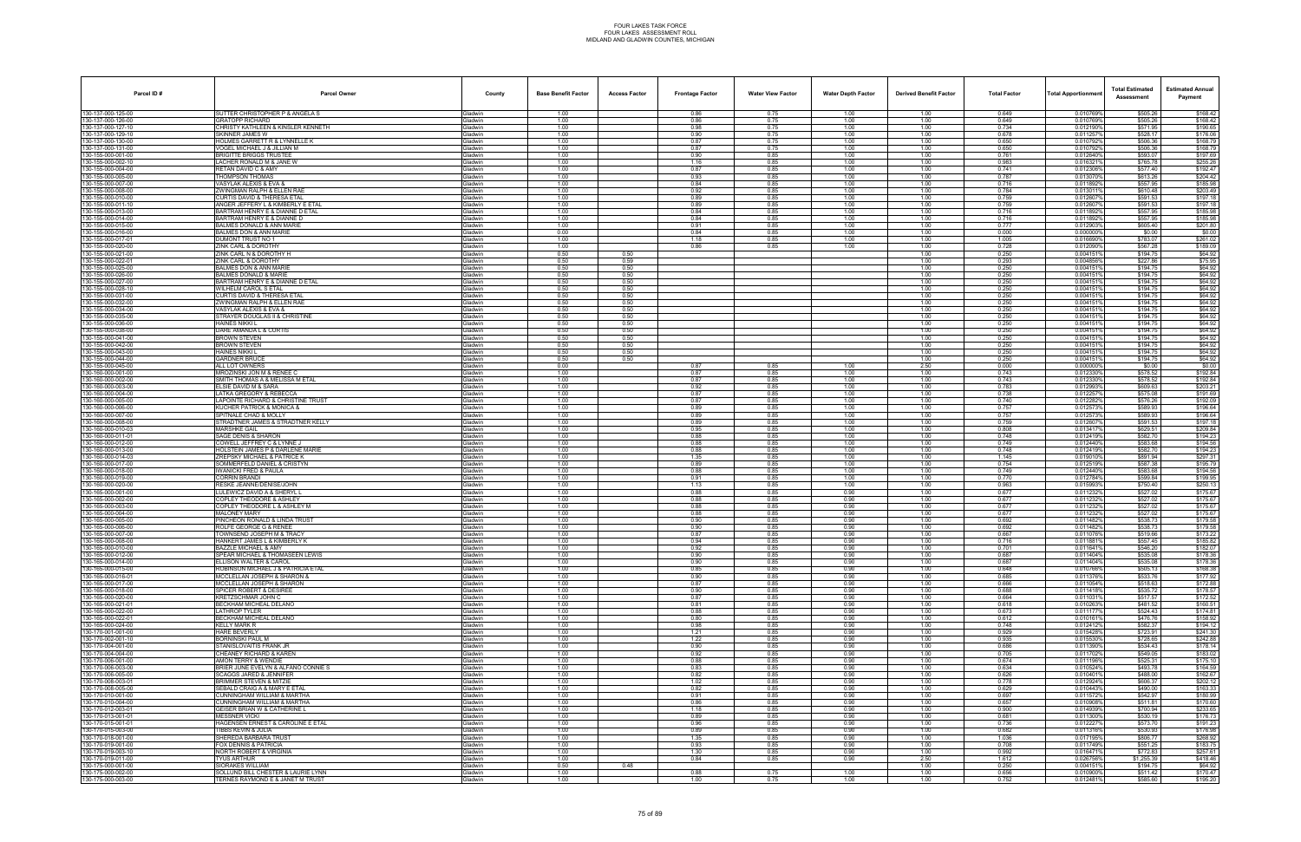| Parcel ID#                               | <b>Parcel Owner</b>                                                           | County                           | <b>Base Benefit Factor</b> | <b>Access Factor</b> | <b>Frontage Factor</b> | <b>Water View Factor</b> | <b>Water Depth Factor</b> | <b>Derived Benefit Factor</b> | <b>Total Factor</b> | <b>Total Apportionmen</b> | <b>Total Estimated</b><br>Assessment | <b>Estimated Annual</b><br>Payment |
|------------------------------------------|-------------------------------------------------------------------------------|----------------------------------|----------------------------|----------------------|------------------------|--------------------------|---------------------------|-------------------------------|---------------------|---------------------------|--------------------------------------|------------------------------------|
| 130-137-000-125-00                       | SUTTER CHRISTOPHER P & ANGELA S                                               | Gladwin                          | 1.00                       |                      | 0.86                   | 0.75                     | 1.00                      | 1.00                          | 0.649               | 0.010769%                 | \$505.26                             | \$168.42                           |
| 130-137-000-126-00                       | <b>GRATOPP RICHARD</b>                                                        | <b>Gladwin</b>                   | 1.00                       |                      | 0.86                   | 0.75                     | 1.00                      | 1.00                          | 0.649               | 0.010769%                 | \$505.26                             | \$168.42                           |
| 30-137-000-127-10                        | CHRISTY KATHLEEN & KINSLER KENNETH                                            | Gladwin                          | 1.00                       |                      | 0.98                   | 0.75                     | 1.00                      | 1.00                          | 0.734               | 0.0121909                 | \$571.95                             | \$190.65                           |
| 30-137-000-129-10<br>30-137-000-130-00   | SKINNER JAMES W<br>HOLMES GARRETT R & LYNNELLE K                              | <b>Gladwin</b><br><b>Gladwin</b> | 1.00<br>1.00               |                      | 0.90<br>0.87           | 0.75<br>0.75             | 1.00<br>1.00              | 1.00<br>1.00                  | 0.678<br>0.650      | 0.011257%<br>0.010792%    | \$528.17<br>\$506.36                 | \$176.06<br>\$168.79               |
| 30-137-000-131-00                        | VOGEL MICHAEL J & JILLIAN M                                                   | Gladwin                          | 1.00                       |                      | 0.87                   | 0.75                     | 1.00                      | 1.00                          | 0.650               | 0.010792%                 | \$506.36                             | \$168.79                           |
| 30-155-000-001-00                        | <b>BRIGITTE BRIGGS TRUSTER</b>                                                | Gladwin                          | 1.00                       |                      | 0.90                   | 0.85                     | 1.00                      | 1.00                          | 0.761               | 0.012640%                 | \$593.07                             | \$197.69                           |
| 30-155-000-002-10                        | LACHER RONALD M & JANE W                                                      | <b>Gladwin</b>                   | 1.00                       |                      | 1.16                   | 0.85                     | 1.00                      | 1.00                          | 0.983               | 0.016321                  | \$765.78                             | \$255.26                           |
| 30-155-000-004-00                        | RETAN DAVID C & AMY                                                           | <b>Gladwin</b>                   | 1.00                       |                      | 0.87                   | 0.85                     | 1.00                      | 1.00                          | 0.741               | 0.012306%                 | \$577.40                             | \$192.47                           |
| 30-155-000-005-00<br>30-155-000-007-00   | THOMPSON THOMAS<br>VASYLAK ALEXIS & EVA &                                     | <b>Gladwin</b><br><b>Gladwin</b> | 1.00<br>1.00               |                      | 0.93<br>0.84           | 0.85<br>0.85             | 1.00<br>1.00              | 1.00<br>1.00                  | 0.787<br>0.716      | 0.0130709<br>0.011892%    | \$613.26<br>\$557.95                 | \$204.42<br>\$185.98               |
| 30-155-000-008-00                        | ZWINGMAN RALPH & ELLEN RAE                                                    | <b>Gladwin</b>                   | 1.00                       |                      | 0.92                   | 0.85                     | 1.00                      | 1.00                          | 0.784               | 0.0130119                 | \$610.48                             | \$203.49                           |
| 30-155-000-010-00                        | CURTIS DAVID & THERESA ETAL                                                   | Gladwin                          | 1.00                       |                      | 0.89                   | 0.85                     | 1.00                      | 1.00                          | 0.759               | 0.012607                  | \$591.53                             | \$197.18                           |
| 30-155-000-011-10                        | ANGER JEFFERY L & KIMBERLY E ETAL                                             | <b>Gladwin</b>                   | 1.00                       |                      | 0.89                   | 0.85                     | 1.00                      | 1.00                          | 0.759               | 0.012607%                 | \$591.53                             | \$197.18                           |
| 30-155-000-013-00                        | <b>BARTRAM HENRY E &amp; DIANNE D ETAL</b>                                    | Gladwin                          | 1.00                       |                      | 0.84                   | 0.85                     | 1.00                      | 1.00                          | 0.716               | 0.0118929                 | \$557.95                             | \$185.98                           |
| 30-155-000-014-00                        | BARTRAM HENRY E & DIANNE D                                                    | <b>Gladwin</b>                   | 1.00                       |                      | 0.84                   | 0.85                     | 1.00                      | 1.00                          | 0.716               | 0.011892%                 | \$557.95                             | \$185.98                           |
| 30-155-000-015-00<br>30-155-000-016-00   | BALMES DONALD & ANN MARIE<br>BALMES DON & ANN MARIE                           | <b>Gladwin</b><br><b>Gladwin</b> | 1.00<br>0.00               |                      | 0.91<br>0.84           | 0.85<br>0.85             | 1.00<br>1.00              | 1.00<br>1.00                  | 0.777<br>0.000      | 0.0129039<br>0.0000009    | \$605.40<br>\$0.00                   | \$201.80<br>\$0.00                 |
| 30-155-000-017-01                        | DUMONT TRUST NO 1                                                             | <b>Gladwin</b>                   | 1.00                       |                      | 1.18                   | 0.85                     | 1.00                      | 1.00                          | 1.005               | 0.016690%                 | \$783.07                             | \$261.02                           |
| 30-155-000-020-00                        | ZINK CARL & DOROTHY                                                           | <b>Gladwin</b>                   | 1.00                       |                      | 0.86                   | 0.85                     | 1.00                      | 1.00                          | 0.728               | 0.012090%                 | \$567.28                             | \$189.09                           |
| 30-155-000-021-00                        | ZINK CARL N & DOROTHY H                                                       | <b>Gladwin</b>                   | 0.50                       | 0.50                 |                        |                          |                           | 1.00                          | 0.250               | 0.0041519                 | \$194.75                             | \$64.92                            |
| 30-155-000-022-01                        | ZINK CARL & DOROTHY                                                           | <b>Gladwin</b>                   | 0.50                       | 0.59                 |                        |                          |                           | 1.00                          | 0.293               | 0.004856%                 | \$227.86                             | \$75.95                            |
| 30-155-000-025-00<br>30-155-000-026-00   | <b>BALMES DON &amp; ANN MARIE</b><br><b>BALMES DONALD &amp; MARIE</b>         | <b>Gladwin</b><br><b>Gladwin</b> | 0.50<br>0.50               | 0.50<br>0.50         |                        |                          |                           | 1.00<br>1.00                  | 0.250<br>0.250      | 0.004151<br>0.004151%     | \$194.75<br>\$194.75                 | \$64.92<br>\$64.92                 |
| 30-155-000-027-00                        | <b>BARTRAM HENRY E &amp; DIANNE D ETAL</b>                                    | Gladwin                          | 0.50                       | 0.50                 |                        |                          |                           | 1.00                          | 0.250               | 0.0041519                 | \$194.75                             | \$64.92                            |
| 30-155-000-028-10                        | WILHELM CAROL S ETAL                                                          | <b>Gladwin</b>                   | 0.50                       | 0.50                 |                        |                          |                           | 1.00                          | 0.250               | 0.0041519                 | \$194.75                             | \$64.92                            |
| 30-155-000-031-00                        | CURTIS DAVID & THERESA ETAL                                                   | Gladwin                          | 0.50                       | 0.50                 |                        |                          |                           | 1.00                          | 0.250               | 0.0041519                 | \$194.75                             | \$64.92                            |
| 30-155-000-032-00                        | ZWINGMAN RALPH & ELLEN RAE                                                    | <b>Gladwin</b>                   | 0.50                       | 0.50                 |                        |                          |                           | 1.00                          | 0.250               | 0.004151                  | \$194.75                             | \$64.92                            |
| 30-155-000-034-00<br>30-155-000-035-00   | VASYLAK ALEXIS & EVA &<br>STRAYER DOUGLAS II & CHRISTINE                      | <b>Gladwin</b><br><b>Gladwin</b> | 0.50<br>0.50               | 0.50<br>0.50         |                        |                          |                           | 1.00<br>1.00                  | 0.250<br>0.250      | 0.004151%<br>0.0041519    | \$194.75<br>\$194.75                 | \$64.92<br>\$64.92                 |
| 30-155-000-036-00                        | HAINES NIKKI L                                                                | <b>Gladwin</b>                   | 0.50                       | 0.50                 |                        |                          |                           | 1.00                          | 0.250               | 0.004151                  | \$194.75                             | \$64.92                            |
| 30-155-000-038-00                        | DARE AMANDA L & CURTIS                                                        | Gladwin                          | 0.50                       | 0.50                 |                        |                          |                           | 1.00                          | 0.250               | 0.0041519                 | \$194.75                             | \$64.92                            |
| 30-155-000-041-00                        | ROWN STEVEN                                                                   | <b>Gladwin</b>                   | 0.50                       | 0.50                 |                        |                          |                           | 1.00                          | 0.250               | 0.004151'                 | \$194.75                             | \$64.92                            |
| 30-155-000-042-00                        | BROWN STEVEN                                                                  | Gladwin                          | 0.50                       | 0.50                 |                        |                          |                           | 1.00                          | 0.250               | 0.0041519                 | \$194.75                             | \$64.92                            |
| 30-155-000-043-00<br>30-155-000-044-00   | HAINES NIKKI L<br><b>GARDNER BRUCE</b>                                        | Gladwin<br><b>Gladwin</b>        | 0.50<br>0.50               | 0.50<br>0.50         |                        |                          |                           | 1.00<br>1.00                  | 0.250<br>0.250      | 0.0041519<br>0.004151     | \$194.75<br>\$194.75                 | \$64.92<br>\$64.92                 |
| 30-155-000-045-00                        | ALL LOT OWNERS                                                                | Gladwin                          | 0.00                       |                      | 0.87                   | 0.85                     | 1.00                      | 2.50                          | 0.000               | 0.000000%                 | \$0.00                               | \$0.00                             |
| 30-160-000-001-00                        | MROZINSKI JON M & RENEE C                                                     | <b>Gladwin</b>                   | 1.00                       |                      | 0.87                   | 0.85                     | 1.00                      | 1.00                          | 0.743               | 0.012330                  | \$578.52                             | \$192.84                           |
| 30-160-000-002-00                        | SMITH THOMAS A & MELISSA M ETAL                                               | <b>Gladwin</b>                   | 1.00                       |                      | 0.87                   | 0.85                     | 1.00                      | 1.00                          | 0.743               | 0.012330%                 | \$578.52                             | \$192.84                           |
| 30-160-000-003-00                        | ELSIE DAVID M & SARA                                                          | <b>Gladwin</b>                   | 1.00                       |                      | 0.92                   | 0.85                     | 1.00                      | 1.00                          | 0.783               | 0.012993%                 | \$609.63                             | \$203.21                           |
| 30-160-000-004-00<br>30-160-000-005-00   | LATKA GREGORY & REBECCA                                                       | <b>Gladwin</b>                   | 1.00<br>1.00               |                      | 0.87<br>0.87           | 0.85<br>0.85             | 1.00<br>1.00              | 1.00<br>1.00                  | 0.738<br>0.740      | 0.012257                  | \$575.08                             | \$191.69                           |
| 30-160-000-006-00                        | APOINTE RICHARD & CHRISTINE TRUST<br><b>KUCHER PATRICK &amp; MONICA &amp;</b> | Gladwin<br><b>Gladwin</b>        | 1.00                       |                      | 0.89                   | 0.85                     | 1.00                      | 1.00                          | 0.757               | 0.012282%<br>0.012573     | \$576.26<br>\$589.93                 | \$192.09<br>\$196.64               |
| 30-160-000-007-00                        | SPITNALE CHAD & MOLLY                                                         | Gladwin                          | 1.00                       |                      | 0.89                   | 0.85                     | 1.00                      | 1.00                          | 0.757               | 0.012573%                 | \$589.93                             | \$196.64                           |
| 30-160-000-008-00                        | STRADTNER JAMES & STRADTNER KELLY                                             | Gladwin                          | 1.00                       |                      | 0.89                   | 0.85                     | 1.00                      | 1.00                          | 0.759               | 0.0126079                 | \$591.53                             | \$197.18                           |
| 130-160-000-010-03                       | MARSHKE GAIL                                                                  | <b>Gladwin</b>                   | 1.00                       |                      | 0.95                   | 0.85                     | 1.00                      | 1.00                          | 0.808               | 0.013417                  | \$629.51                             | \$209.84                           |
| 30-160-000-011-01                        | <b>SAGE DENIS &amp; SHARON</b>                                                | Gladwin                          | 1.00                       |                      | 0.88                   | 0.85<br>0.85             | 1.00<br>1.00              | 1.00<br>1.00                  | 0.748<br>0.749      | 0.012419%<br>0.0124409    | \$582.70<br>\$583.68                 | \$194.23                           |
| 30-160-000-012-00<br>30-160-000-013-00   | COWELL JEFFREY C & LYNNE J<br><b>HOLSTEIN JAMES P &amp; DARLENE MARIE</b>     | <b>Gladwin</b><br><b>Gladwin</b> | 1.00<br>1.00               |                      | 0.88<br>0.88           | 0.85                     | 1.00                      | 1.00                          | 0.748               | 0.012419%                 | \$582.70                             | \$194.56<br>\$194.23               |
| 30-160-000-014-03                        | ZREPSKY MICHAEL & PATRICE K                                                   | <b>Gladwin</b>                   | 1.00                       |                      | 1.35                   | 0.85                     | 1.00                      | 1.00                          | 1.145               | 0.0190109                 | \$891.94                             | \$297.31                           |
| 30-160-000-017-00                        | SOMMERFELD DANIEL & CRISTYN                                                   | <b>Gladwin</b>                   | 1.00                       |                      | 0.89                   | 0.85                     | 1.00                      | 1.00                          | 0.754               | 0.012519                  | \$587.38                             | \$195.79                           |
| 30-160-000-018-00                        | IWANICKI FRED & PAULA                                                         | Gladwin                          | 1.00                       |                      | 0.88                   | 0.85                     | 1.00                      | 1.00                          | 0.749               | 0.012440%                 | \$583.68                             | \$194.56                           |
| 30-160-000-019-00                        | CORRIN BRANDI                                                                 | Gladwin                          | 1.00                       |                      | 0.91                   | 0.85                     | 1.00                      | 1.00                          | 0.770               | 0.012784%                 | \$599.84                             | \$199.95                           |
| 30-160-000-020-00<br>30-165-000-001-00   | RESKE JEANNE/DENISE/JOHN<br>LULEWICZ DAVID A & SHERYL I                       | Gladwin<br>Gladwin               | 1.00<br>1.00               |                      | 1.13<br>0.88           | 0.85<br>0.85             | 1.00<br>0.90              | 1.00<br>1.00                  | 0.963<br>0.677      | 0.015993%<br>0.011232%    | \$750.40<br>\$527.02                 | \$250.13<br>\$175.67               |
| 30-165-000-002-00                        | COPLEY THEODORE & ASHLEY                                                      | <b>Gladwin</b>                   | 1.00                       |                      | 0.88                   | 0.85                     | 0.90                      | 1.00                          | 0.677               | 0.0112329                 | \$527.02                             | \$175.67                           |
| 30-165-000-003-00                        | COPLEY THEODORE L & ASHLEY M                                                  | Gladwin                          | 1.00                       |                      | 0.88                   | 0.85                     | 0.90                      | 1.00                          | 0.677               | 0.011232%                 | \$527.02                             | \$175.67                           |
| 30-165-000-004-00                        | MALONEY MARY                                                                  | <b>Gladwin</b>                   | 1.00                       |                      | 0.88                   | 0.85                     | 0.90                      | 1.00                          | 0.677               | 0.011232                  | \$527.02                             | \$175.67                           |
| 30-165-000-005-00                        | <b>INCHEON RONALD &amp; LINDA TRUST</b>                                       | <b>Gladwin</b>                   | 1.00                       |                      | 0.90                   | 0.85                     | 0.90                      | 1.00                          | 0.692               | 0.011482%                 | \$538.73                             | \$179.58                           |
| 30-165-000-006-00<br>30-165-000-007-00   | ROLFE GEORGE G & RENEE<br><b>TOWNSEND JOSEPH M &amp; TRACY</b>                | Gladwin<br><b>Gladwin</b>        | 1.00<br>1.00               |                      | 0.90<br>0.87           | 0.85<br>0.85             | 0.90<br>0.90              | 1.00<br>1.00                  | 0.692<br>0.667      | 0.0114829<br>0.011076     | \$538.73<br>\$519.66                 | \$179.58<br>\$173.22               |
| 130-165-000-008-00                       | HANKERT JAMES L & KIMBERLY K                                                  | Gladwin                          | 1.00                       |                      | 0.94                   | 0.85                     | 0.90                      | 1.00                          | 0.716               | 0.011881%                 | \$557.45                             | \$185.82                           |
| 130-165-000-010-00                       | <b>BAZZLE MICHAEL &amp; AMY</b>                                               | <b>Gladwin</b>                   | 1.00                       |                      | 0.92                   | 0.85                     | 0.90                      | 1.00                          | 0.701               | 0.011641%                 | \$546.20                             | \$182.07                           |
| 30-165-000-012-00                        | SPEAR MICHAEL & THOMASEEN LEWIS                                               | Gladwin                          | 1.00                       |                      | 0.90                   | 0.85                     | 0.90                      | 1.00                          | 0.687               | 0.011404%                 | \$535.08                             | \$178.36                           |
| 130-165-000-014-00                       | ELLISON WALTER & CAROL                                                        | Gladwin                          | 1.00                       |                      | 0.90                   | 0.85                     | 0.90                      | 1.00                          | 0.687               | 0.011404%                 | \$535.08                             | \$178.36                           |
| 30-165-000-015-00<br>130-165-000-016-01  | ROBINSON MICHAEL J & PATRICIA ETAL<br>MCCLELLAN JOSEPH & SHARON &             | Gladwin<br>Gladwin               | 1.00<br>1.00               |                      | 0.85<br>0.90           | 0.85<br>0.85             | 0.90<br>0.90              | 1.00<br>1.00                  | 0.648<br>0.685      | 0.010766%<br>0.011376%    | \$505.13<br>\$533.76                 | \$168.38<br>\$177.92               |
| 30-165-000-017-00                        | MCCLELLAN JOSEPH & SHARON                                                     | Gladwin                          | 1.00                       |                      | 0.87                   | 0.85                     | 0.90                      | 1.00                          | 0.666               | 0.011054%                 | \$518.63                             | \$172.88                           |
| 30-165-000-018-00                        | SPICER ROBERT & DESIREE                                                       | <b>Gladwin</b>                   | 1.00                       |                      | 0.90                   | 0.85                     | 0.90                      | 1.00                          | 0.688               | 0.011418%                 | \$535.72                             | \$178.57                           |
| 30-165-000-020-00                        | KRETZSCHMAR JOHN C                                                            | Gladwin                          | 1.00                       |                      | 0.87                   | 0.85                     | 0.90                      | 1.00                          | 0.664               | 0.011031%                 | \$517.57                             | \$172.52                           |
| 30-165-000-021-01                        | BECKHAM MICHEAL DELANO                                                        | <b>Gladwin</b>                   | 1.00                       |                      | 0.81                   | 0.85                     | 0.90                      | 1.00                          | 0.618               | 0.010263%                 | \$481.52                             | \$160.51                           |
| 130-165-000-022-00                       | LATHROP TYLER<br>BECKHAM MICHEAL DELANO                                       | Gladwin                          | 1.00<br>1.00               |                      | 0.88                   | 0.85<br>0.85             | 0.90<br>0.90              | 1.00<br>1.00                  | 0.673<br>0.612      | 0.011177%<br>0.010161%    | \$524.43<br>\$476.76                 | \$174.81<br>\$158.92               |
| 30-165-000-022-01<br>30-165-000-024-00   | KELLY MARK R                                                                  | Gladwin<br>Gladwin               | 1.00                       |                      | 0.80<br>0.98           | 0.85                     | 0.90                      | 1.00                          | 0.748               | 0.012412%                 | \$582.37                             | \$194.12                           |
| 130-170-001-001-00                       | <b>HARE BEVERLY</b>                                                           | Gladwin                          | 1.00                       |                      | 1.21                   | 0.85                     | 0.90                      | 1.00                          | 0.929               | 0.015428%                 | \$723.91                             | \$241.30                           |
| 130-170-002-001-10                       | BORNINSKI PAUL M                                                              | Gladwin                          | 1.00                       |                      | 1.22                   | 0.85                     | 0.90                      | 1.00                          | 0.935               | 0.015530%                 | \$728.65                             | \$242.88                           |
| 130-170-004-001-00                       | STANISLOVAITIS FRANK JR                                                       | Gladwin                          | 1.00                       |                      | 0.90                   | 0.85                     | 0.90                      | 1.00                          | 0.686               | 0.011390%                 | \$534.43                             | \$178.14                           |
| 30-170-004-004-00                        | CHEANEY RICHARD & KAREN                                                       | Gladwin                          | 1.00                       |                      | 0.92                   | 0.85                     | 0.90                      | 1.00                          | 0.705               | 0.0117029                 | \$549.05                             | \$183.02                           |
| 30-170-006-001-00<br>130-170-006-003-00  | <b>AMON TERRY &amp; WENDIE</b><br>BRIER JUNE EVELYN & ALFANO CONNIE S         | <b>Gladwin</b><br>Gladwin        | 1.00<br>1.00               |                      | 0.88<br>0.83           | 0.85<br>0.85             | 0.90<br>0.90              | 1.00<br>1.00                  | 0.674<br>0.634      | 0.011196%<br>0.010524%    | \$525.31<br>\$493.78                 | \$175.10<br>\$164.59               |
| 130-170-006-005-00                       | SCAGGS JARED & JENNIFER                                                       | Gladwin                          | 1.00                       |                      | 0.82                   | 0.85                     | 0.90                      | 1.00                          | 0.626               | 0.010401%                 | \$488.00                             | \$162.67                           |
| 130-170-008-003-01                       | BRIMMER STEVEN & MITZIE                                                       | Gladwin                          | 1.00                       |                      | 1.02                   | 0.85                     | 0.90                      | 1.00                          | 0.778               | 0.012924%                 | \$606.37                             | \$202.12                           |
| 130-170-008-005-00                       | SEBALD CRAIG A & MARY E ETAL                                                  | Gladwin                          | 1.00                       |                      | 0.82                   | 0.85                     | 0.90                      | 1.00                          | 0.629               | 0.010443%                 | \$490.00                             | \$163.33                           |
| 30-170-010-001-00                        | UNNINGHAM WILLIAM & MARTHA                                                    | Gladwin                          | 1.00                       |                      | 0.91                   | 0.85                     | 0.90                      | 1.00                          | 0.697               | 0.011572%                 | \$542.97                             | \$180.99                           |
| 130-170-010-004-00<br>130-170-012-003-01 | CUNNINGHAM WILLIAM & MARTHA<br>GEISER BRIAN W & CATHERINE L                   | Gladwin<br>Gladwin               | 1.00<br>1.00               |                      | 0.86<br>1.18           | 0.85<br>0.85             | 0.90<br>0.90              | 1.00<br>1.00                  | 0.657<br>0.900      | 0.010908%<br>0.014939%    | \$511.81<br>\$700.94                 | \$170.60<br>\$233.65               |
| 130-170-013-001-01                       | MESSNER VICKI                                                                 | Gladwin                          | 1.00                       |                      | 0.89                   | 0.85                     | 0.90                      | 1.00                          | 0.681               | 0.011300%                 | \$530.19                             | \$176.73                           |
| 30-170-015-001-01                        | HAGENSEN ERNEST & CAROLINE E ETAL                                             | Gladwin                          | 1.00                       |                      | 0.96                   | 0.85                     | 0.90                      | 1.00                          | 0.736               | 0.0122279                 | \$573.70                             | \$191.23                           |
| 30-170-015-003-00                        | IBBS KEVIN & JULIA                                                            | <b>Gladwin</b>                   | 1.00                       |                      | 0.89                   | 0.85                     | 0.90                      | 1.00                          | 0.682               | 0.011316%                 | \$530.93                             | \$176.98                           |
| 130-170-018-001-00                       | SHEREDA BARBARA TRUST                                                         | Gladwin                          | 1.00                       |                      | 1.35                   | 0.85                     | 0.90                      | 1.00                          | 1.036               | 0.017195%                 | \$806.77                             | \$268.92                           |
| 130-170-019-001-00<br>130-170-019-003-10 | FOX DENNIS & PATRICIA<br>NORTH ROBERT & VIRGINIA                              | Gladwin<br>Gladwin               | 1.00<br>1.00               |                      | 0.93<br>1.30           | 0.85<br>0.85             | 0.90<br>0.90              | 1.00<br>1.00                  | 0.708<br>0.992      | 0.011749%<br>0.016471%    | \$551.25<br>\$772.83                 | \$183.75<br>\$257.61               |
| 130-170-019-011-00                       | <b>TYUS ARTHUR</b>                                                            | Gladwin                          | 1.00                       |                      | 0.84                   | 0.85                     | 0.90                      | 2.50                          | 1.612               | 0.026756%                 | \$1,255.39                           | \$418.46                           |
| 30-175-000-001-00                        | SIORAKES WILLIAM                                                              | <b>Gladwin</b>                   | 0.50                       | 0.48                 |                        |                          |                           | 1.00                          | 0.250               | 0.004151%                 | \$194.75                             | \$64.92                            |
| 30-175-000-002-00                        | SOLLUND BILL CHESTER & LAURIE LYNN                                            | Gladwin                          | 1.00                       |                      | 0.88                   | 0.75                     | 1.00                      | 1.00                          | 0.656               | 0.010900%                 | \$511.42                             | \$170.47                           |
| 130-175-000-003-00                       | TERNES RAYMOND E & JANET M TRUST                                              | Gladwin                          | 1.00                       |                      | 1.00                   | 0.75                     | 1.00                      | 1.00                          | 0.752               | 0.012481%                 | \$585.60                             | \$195.20                           |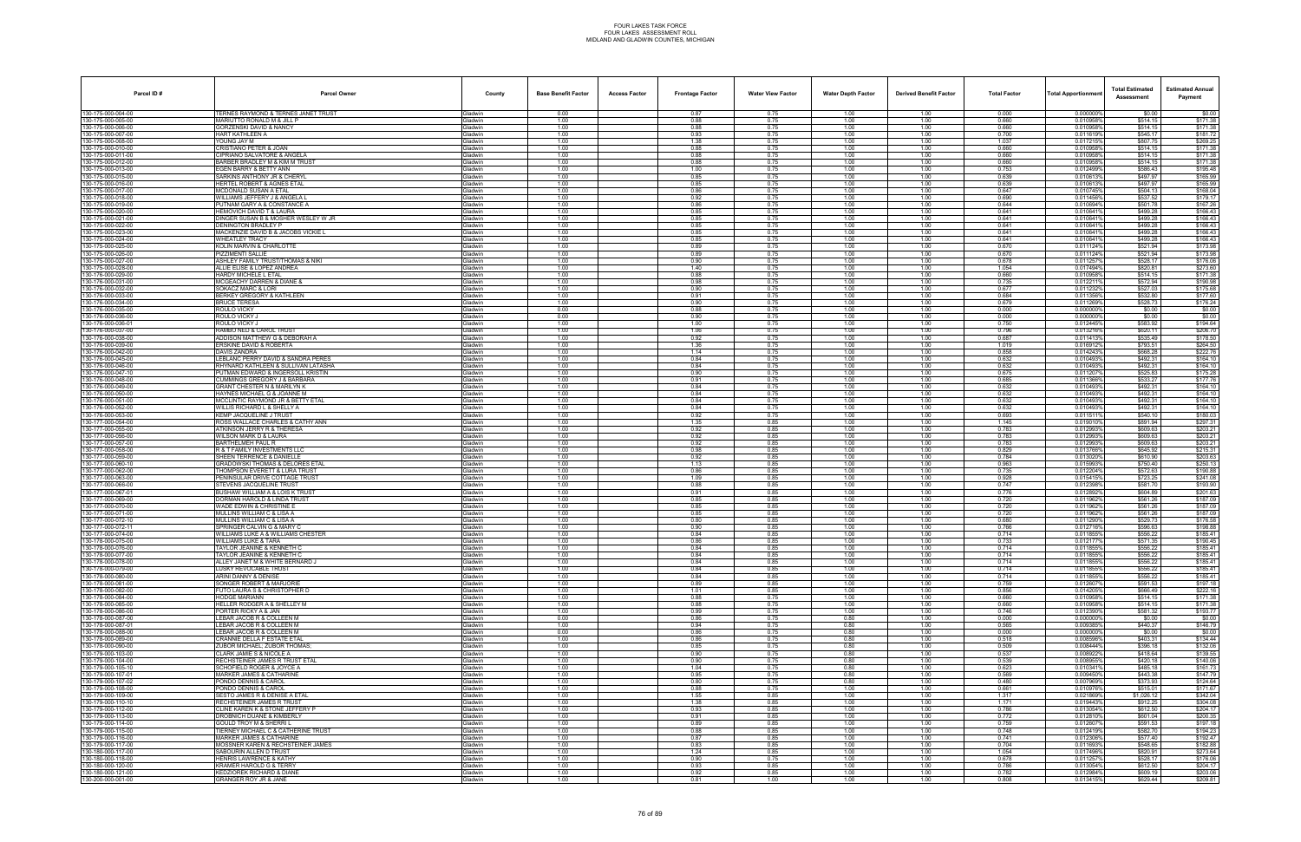| Parcel ID#                               | <b>Parcel Owner</b>                                                         | County                           | <b>Base Benefit Factor</b> | <b>Access Factor</b> | <b>Frontage Factor</b> | <b>Water View Factor</b> | <b>Water Depth Factor</b> | <b>Derived Benefit Factor</b> | <b>Total Factor</b> | <b>Total Apportionmer</b> | <b>Total Estimated</b><br>Assessment | <b>Estimated Annual</b><br>Payment |
|------------------------------------------|-----------------------------------------------------------------------------|----------------------------------|----------------------------|----------------------|------------------------|--------------------------|---------------------------|-------------------------------|---------------------|---------------------------|--------------------------------------|------------------------------------|
| 130-175-000-004-00                       | TERNES RAYMOND & TERNES JANET TRUST                                         | Gladwin                          | 0.00                       |                      | 0.87                   | 0.75                     | 1.00                      | 1.00                          | 0.000               | 0.000000%                 | \$0.00                               | \$0.00                             |
| 30-175-000-005-00<br>30-175-000-006-00   | MARIUTTO RONALD M & JILL P<br><b>GORZENSKI DAVID &amp; NANCY</b>            | <b>Gladwin</b><br><b>Gladwin</b> | 1.00<br>1.00               |                      | 0.88<br>0.88           | 0.75<br>0.75             | 1.00<br>1.00              | 1.00<br>1.00                  | 0.660<br>0.660      | 0.010958%<br>0.010958%    | \$514.15<br>\$514.15                 | \$171.38<br>\$171.38               |
| 30-175-000-007-00                        | HART KATHLEEN A                                                             | Gladwin                          | 1.00                       |                      | 0.93                   | 0.75                     | 1.00                      | 1.00                          | 0.700               | 0.011619%                 | \$545.17                             | \$181.72                           |
| 30-175-000-008-00<br>130-175-000-010-00  | YOUNG JAY M<br>CRISTIANO PETER & JOAN                                       | Gladwin<br>Gladwin               | 1.00<br>1.00               |                      | 1.38<br>0.88           | 0.75<br>0.75             | 1.00<br>1.00              | 1.00<br>1.00                  | 1.037<br>0.660      | 0.017215%<br>0.010958%    | \$807.75<br>\$514.15                 | \$269.25<br>\$171.38               |
| 30-175-000-011-00                        | CIPRIANO SALVATORE & ANGELA                                                 | <b>Gladwin</b>                   | 1.00                       |                      | 0.88                   | 0.75                     | 1.00                      | 1.00                          | 0.660               | 0.010958%                 | \$514.15                             | \$171.38                           |
| 30-175-000-012-00                        | BARBER BRADLEY M & KIM M TRUS<br>EGEN BARRY & BETTY ANN                     | <b>Gladwin</b>                   | 1.00                       |                      | 0.88                   | 0.75                     | 1.00                      | 1.00                          | 0.660               | 0.0109589                 | \$514.15                             | \$171.38                           |
| 130-175-000-013-00<br>30-175-000-015-00  | SARKINS ANTHONY JR & CHERYI                                                 | Gladwin<br><b>Gladwin</b>        | 1.00<br>1.00               |                      | 1.00<br>0.85           | 0.75<br>0.75             | 1.00<br>1.00              | 1.00<br>1.00                  | 0.753<br>0.639      | 0.012499%<br>0.010613%    | \$586.43<br>\$497.97                 | \$195.48<br>\$165.99               |
| 130-175-000-016-00                       | HERTEL ROBERT & AGNES ETAL                                                  | Gladwin                          | 1.00                       |                      | 0.85                   | 0.75                     | 1.00                      | 1.00                          | 0.639               | 0.0106139                 | \$497.97                             | \$165.99                           |
| 30-175-000-017-00<br>30-175-000-018-00   | MCDONALD SUSAN A ETAL<br><i>NILLIAMS JEFFERY J &amp; ANGELA I</i>           | <b>Gladwin</b><br><b>Gladwin</b> | 1.00<br>1.00               |                      | 0.86<br>0.92           | 0.75<br>0.75             | 1.00<br>1.00              | 1.00<br>1.00                  | 0.647<br>0.690      | 0.010745%<br>0.011456%    | \$504.13<br>\$537.52                 | \$168.04<br>\$179.17               |
| 130-175-000-019-00                       | PUTNAM GARY A & CONSTANCE A                                                 | Gladwin                          | 1.00                       |                      | 0.86                   | 0.75                     | 1.00                      | 1.00                          | 0.644               | 0.010694%                 | \$501.78                             | \$167.26                           |
| 30-175-000-020-00<br>30-175-000-021-00   | HEMOVICH DAVID T & LAURA<br>DINGER SUSAN B & MOSHER WESLEY W JR             | Gladwin<br>Gladwin               | 1.00<br>1.00               |                      | 0.85<br>0.85           | 0.75<br>0.75             | 1.00<br>1.00              | 1.00<br>1.00                  | 0.641<br>0.641      | 0.010641%<br>0.0106419    | \$499.28<br>\$499.28                 | \$166.43<br>\$166.43               |
| 30-175-000-022-00                        | DENINGTON BRADLEY P                                                         | <b>Gladwin</b>                   | 1.00                       |                      | 0.85                   | 0.75                     | 1.00                      | 1.00                          | 0.641               | 0.0106419                 | \$499.28                             | \$166.43                           |
| 30-175-000-023-00<br>30-175-000-024-00   | MACKENZIE DAVID B & JACOBS VICKIE L<br>WHEATLEY TRACY                       | <b>Gladwin</b><br>Gladwin        | 1.00<br>1.00               |                      | 0.85<br>0.85           | 0.75<br>0.75             | 1.00<br>1.00              | 1.00<br>1.00                  | 0.641<br>0.641      | 0.0106419<br>0.010641%    | \$499.28<br>\$499.28                 | \$166.43<br>\$166.43               |
| 30-175-000-025-00                        | KOLIN MARVIN & CHARLOTTE                                                    | <b>Gladwin</b>                   | 1.00                       |                      | 0.89                   | 0.75                     | 1.00                      | 1.00                          | 0.670               | 0.011124%                 | \$521.94                             | \$173.98                           |
| 130-175-000-026-00                       | PIZZIMENTI SALLIE                                                           | Gladwin                          | 1.00                       |                      | 0.89                   | 0.75                     | 1.00                      | 1.00                          | 0.670               | 0.0111249                 | \$521.94                             | \$173.98                           |
| 30-175-000-027-00<br>30-175-000-028-00   | ASHLEY FAMILY TRUST/THOMAS & NIKI<br>ALLIE ELISE & LOPEZ ANDREA             | <b>Gladwin</b><br><b>Gladwin</b> | 1.00<br>1.00               |                      | 0.90<br>1.40           | 0.75<br>0.75             | 1.00<br>1.00              | 1.00<br>1.00                  | 0.678<br>1.054      | 0.0112579<br>0.017494%    | \$528.17<br>\$820.81                 | \$176.06<br>\$273.60               |
| 30-176-000-029-00                        | HARDY MICHELE L ETAL                                                        | Gladwin                          | 1.00                       |                      | 0.88                   | 0.75                     | 1.00                      | 1.00                          | 0.660               | 0.010958%                 | \$514.15                             | \$171.38                           |
| 30-176-000-031-00<br>30-176-000-032-00   | <b>MCGEACHY DARREN &amp; DIANE 8</b><br>SOKACZ MARC & LORI                  | Gladwin<br>Gladwin               | 1.00<br>1.00               |                      | 0.98<br>0.90           | 0.75<br>0.75             | 1.00<br>1.00              | 1.00<br>1.00                  | 0.735<br>0.677      | 0.012211%<br>0.0112329    | \$572.94<br>\$527.03                 | \$190.98<br>\$175.68               |
| 30-176-000-033-00                        | BERKEY GREGORY & KATHLEEN                                                   | <b>Gladwin</b>                   | 1.00                       |                      | 0.91                   | 0.75                     | 1.00                      | 1.00                          | 0.684               | 0.011356%                 | \$532.80                             | \$177.60                           |
| 30-176-000-034-00<br>30-176-000-035-00   | <b>RUCE TERESA</b><br>ROULO VICKY                                           | <b>Gladwin</b><br>Gladwin        | 1.00<br>0.00               |                      | 0.90<br>0.88           | 0.75<br>0.75             | 1.00<br>1.00              | 1.00<br>1.00                  | 0.679<br>0.000      | 0.011269%<br>0.000000%    | \$528.73<br>\$0.00                   | \$176.24<br>\$0.00                 |
| 30-176-000-036-00                        | ROULO VICKY J                                                               | <b>Gladwin</b>                   | 0.00                       |                      | 0.90                   | 0.75                     | 1.00                      | 1.00                          | 0.000               | 0.0000009                 | \$0.00                               | \$0.00                             |
| 30-176-000-036-01<br>30-176-000-037-00   | ROULO VICKY J<br>RAMBO NED & CAROL TRUST                                    | Gladwin<br><b>Gladwin</b>        | 1.00<br>1.00               |                      | 1.00<br>1.06           | 0.75<br>0.75             | 1.00<br>1.00              | 1.00<br>1.00                  | 0.750<br>0.796      | 0.0124459<br>0.013216%    | \$583.92<br>\$620.11                 | \$194.64<br>\$206.70               |
| 30-176-000-038-00                        | ADDISON MATTHEW G & DEBORAH A                                               | <b>Gladwin</b>                   | 1.00                       |                      | 0.92                   | 0.75                     | 1.00                      | 1.00                          | 0.687               | 0.0114139                 | \$535.49                             | \$178.50                           |
| 130-176-000-039-00                       | ERSKINE DAVID & ROBERTA                                                     | Gladwin                          | 1.00                       |                      | 1.36                   | 0.75                     | 1.00                      | 1.00                          | 1.019               | 0.016912%                 | \$793.51                             | \$264.50                           |
| 130-176-000-042-00<br>30-176-000-045-00  | DAVIS ZANDRA<br>LEBLANC PERRY DAVID & SANDRA PERES                          | Gladwin<br><b>Gladwin</b>        | 1.00<br>1.00               |                      | 1.14<br>0.84           | 0.75<br>0.75             | 1.00<br>1.00              | 1.00<br>1.00                  | 0.858<br>0.632      | 0.0142439<br>0.0104939    | \$668.28<br>\$492.31                 | \$222.76<br>\$164.10               |
| 30-176-000-046-00                        | RHYNARD KATHLEEN & SULLIVAN LATASHA                                         | <b>Gladwin</b>                   | 1.00                       |                      | 0.84                   | 0.75                     | 1.00                      | 1.00                          | 0.632               | 0.010493%                 | \$492.31                             | \$164.10                           |
| 30-176-000-047-10<br>30-176-000-048-00   | UTMAN EDWARD & INGERSOLL KRISTIN<br>CUMMINGS GREGORY J & BARBARA            | <b>Gladwin</b><br>Gladwin        | 1.00<br>1.00               |                      | 0.90<br>0.91           | 0.75<br>0.75             | 1.00<br>1.00              | 1.00<br>1.00                  | 0.675<br>0.685      | 0.011207<br>0.011366%     | \$525.83<br>\$533.27                 | \$175.28<br>\$177.76               |
| 30-176-000-049-00                        | GRANT CHESTER N & MARILYN K                                                 | Gladwin                          | 1.00                       |                      | 0.84                   | 0.75                     | 1.00                      | 1.00                          | 0.632               | 0.0104939                 | \$492.31                             | \$164.10                           |
| 30-176-000-050-00<br>30-176-000-051-00   | HAYNES MICHAEL G & JOANNE M<br>MCCLINTIC RAYMOND JR & BETTY ETAL            | <b>Gladwin</b><br><b>Gladwin</b> | 1.00<br>1.00               |                      | 0.84<br>0.84           | 0.75<br>0.75             | 1.00<br>1.00              | 1.00<br>1.00                  | 0.632<br>0.632      | 0.0104939<br>0.010493%    | \$492.31<br>\$492.31                 | \$164.10<br>\$164.10               |
| 30-176-000-052-00                        | <i>NILLIS RICHARD L &amp; SHELLY A</i>                                      | <b>Gladwin</b>                   | 1.00                       |                      | 0.84                   | 0.75                     | 1.00                      | 1.00                          | 0.632               | 0.010493%                 | \$492.31                             | \$164.10                           |
| 30-176-000-053-00<br>130-177-000-054-00  | KEMP JACQUELINE J TRUST<br>ROSS WALLACE CHARLES & CATHY ANN                 | Gladwin<br><b>Gladwin</b>        | 1.00<br>1.00               |                      | 0.92<br>1.35           | 0.75<br>0.85             | 1.00<br>1.00              | 1.00<br>1.00                  | 0.693<br>1.145      | 0.0115119<br>0.0190109    | \$540.10<br>\$891.94                 | \$180.03<br>\$297.31               |
| 30-177-000-055-00                        | <b>ATKINSON JERRY R &amp; THERESA</b>                                       | <b>Gladwin</b>                   | 1.00                       |                      | 0.92                   | 0.85                     | 1.00                      | 1.00                          | 0.783               | 0.0129939                 | \$609.63                             | \$203.21                           |
| 30-177-000-056-00                        | WILSON MARK D & LAURA                                                       | <b>Gladwin</b>                   | 1.00                       |                      | 0.92                   | 0.85                     | 1.00                      | 1.00                          | 0.783               | 0.012993%                 | \$609.63                             | \$203.21                           |
| 30-177-000-057-00<br>30-177-000-058-00   | ARTHELMEH PAUL R<br>R & T FAMILY INVESTMENTS LLC                            | <b>Gladwin</b><br>Gladwin        | 1.00<br>1.00               |                      | 0.92<br>0.98           | 0.85<br>0.85             | 1.00<br>1.00              | 1.00<br>1.00                  | 0.783<br>0.829      | 0.012993%<br>0.013766%    | \$609.63<br>\$645.92                 | \$203.21<br>\$215.31               |
| 130-177-000-059-00                       | SHEEN TERRENCE & DANIELLE                                                   | <b>Gladwin</b>                   | 1.00                       |                      | 0.92                   | 0.85                     | 1.00                      | 1.00                          | 0.784               | 0.0130209                 | \$610.90                             | \$203.63                           |
| 30-177-000-060-10<br>30-177-000-062-00   | <b>GRADOWSKI THOMAS &amp; DELORES ETAL</b><br>THOMPSON EVERETT & LURA TRUST | <b>Gladwin</b><br><b>Gladwin</b> | 1.00<br>1.00               |                      | 1.13<br>0.86           | 0.85<br>0.85             | 1.00<br>1.00              | 1.00<br>1.00                  | 0.963<br>0.735      | 0.015993%<br>0.012204%    | \$750.40<br>\$572.63                 | \$250.13<br>\$190.88               |
| 30-177-000-063-00                        | PENINSULAR DRIVE COTTAGE TRUST                                              | <b>Gladwin</b>                   | 1.00                       |                      | 1.09                   | 0.85                     | 1.00                      | 1.00                          | 0.928               | 0.015415%                 | \$723.25                             | \$241.08                           |
| 30-177-000-066-00<br>130-177-000-067-0   | STEVENS JACQUELINE TRUST<br>BUSHAW WILLIAM A & LOIS K TRUS                  | Gladwin<br>Gladwin               | 1.00<br>1.00               |                      | 0.88<br>0.91           | 0.85<br>0.85             | 1.00<br>1.00              | 1.00<br>1.00                  | 0.747<br>0.776      | 0.012398%<br>0.012892%    | \$581.70<br>\$604.89                 | \$193.90<br>\$201.63               |
| 30-177-000-069-00                        | DORMAN HAROLD & LINDA TRUST                                                 | <b>Gladwin</b>                   | 1.00                       |                      | 0.85                   | 0.85                     | 1.00                      | 1.00                          | 0.720               | 0.0119629                 | \$561.26                             | \$187.09                           |
| 30-177-000-070-00<br>30-177-000-071-00   | WADE EDWIN & CHRISTINE E<br>MULLINS WILLIAM C & LISA A                      | <b>Gladwin</b><br><b>Gladwin</b> | 1.00<br>1.00               |                      | 0.85<br>0.85           | 0.85<br>0.85             | 1.00<br>1.00              | 1.00<br>1.00                  | 0.720<br>0.720      | 0.011962%<br>0.0119629    | \$561.26<br>\$561.26                 | \$187.09<br>\$187.09               |
| 30-177-000-072-10                        | MULLINS WILLIAM C & LISA A                                                  | <b>Gladwin</b>                   | 1.00                       |                      | 0.80                   | 0.85                     | 1.00                      | 1.00                          | 0.680               | 0.0112909                 | \$529.73                             | \$176.58                           |
| 30-177-000-072-1                         | SPRINGER CALVIN G & MARY C                                                  | <b>Gladwin</b>                   | 1.00                       |                      | 0.90                   | 0.85                     | 1.00                      | 1.00                          | 0.766               | 0.012716                  | \$596.63                             | \$198.88                           |
| 30-177-000-074-00<br>30-178-000-075-00   | WILLIAMS LUKE A & WILLIAMS CHESTER<br>WILLIAMS LUKE & TARA                  | <b>Gladwin</b><br><b>Gladwin</b> | 1.00<br>1.00               |                      | 0.84<br>0.86           | 0.85<br>0.85             | 1.00<br>1.00              | 1.00<br>1.00                  | 0.714<br>0.733      | 0.011855%<br>0.0121779    | \$556.22<br>\$571.35                 | \$185.41<br>\$190.45               |
| 130-178-000-076-00                       | TAYLOR JEANINE & KENNETH C                                                  | <b>Gladwin</b>                   | 1.00                       |                      | 0.84                   | 0.85                     | 1.00                      | 1.00                          | 0.714               | 0.011855%                 | \$556.22                             | \$185.41                           |
| 30-178-000-077-00<br>30-178-000-078-00   | TAYLOR JEANINE & KENNETH C<br>ALLEY JANET M & WHITE BERNARD J               | Gladwin<br>Gladwin               | 1.00<br>1.00               |                      | 0.84<br>0.84           | 0.85<br>0.85             | 1.00<br>1.00              | 1.00<br>1.00                  | 0.714<br>0.714      | 0.011855%<br>0.011855%    | \$556.22<br>\$556.22                 | \$185.41<br>\$185.41               |
| 30-178-000-079-00                        | LUSKY REVOCABLE TRUST                                                       | Gladwin                          | 1.00                       |                      | 0.84                   | 0.85                     | 1.00                      | 1.00                          | 0.714               | 0.011855%                 | \$556.22                             | \$185.41                           |
| 30-178-000-080-00<br>30-178-000-081-00   | ARINI DANNY & DENISE<br>SONGER ROBERT & MARJORIE                            | <b>Gladwin</b><br>Gladwin        | 1.00<br>1.00               |                      | 0.84<br>0.89           | 0.85<br>0.85             | 1.00<br>1.00              | 1.00<br>1.00                  | 0.714<br>0.759      | 0.011855%<br>0.012607%    | \$556.22<br>\$591.53                 | \$185.41<br>\$197.18               |
| 30-178-000-082-00                        | FUTO LAURA S & CHRISTOPHER D                                                | <b>Gladwin</b>                   | 1.00                       |                      | 1.01                   | 0.85                     | 1.00                      | 1.00                          | 0.856               | 0.014205%                 | \$666.49                             | \$222.16                           |
| 130-178-000-084-00<br>130-178-000-085-00 | HODGE MARIANN<br>HELLER RODGER A & SHELLEY M                                | <b>Gladwin</b><br>Gladwin        | 1.00<br>1.00               |                      | 0.88<br>0.88           | 0.75<br>0.75             | 1.00<br>1.00              | 1.00<br>1.00                  | 0.660<br>0.660      | 0.010958%<br>0.010958%    | \$514.15<br>\$514.15                 | \$171.38<br>\$171.38               |
| 30-178-000-086-00                        | PORTER RICKY A & JAN                                                        | Gladwin                          | 1.00                       |                      | 0.99                   | 0.75                     | 1.00                      | 1.00                          | 0.746               | 0.012390%                 | \$581.32                             | \$193.77                           |
| 30-178-000-087-00                        | LEBAR JACOB R & COLLEEN M                                                   | Gladwin                          | 0.00                       |                      | 0.86                   | 0.75                     | 0.80                      | 1.00                          | 0.000               | 0.000000%                 | \$0.00                               | \$0.00                             |
| 30-178-000-087-01<br>130-178-000-088-00  | LEBAR JACOB R & COLLEEN M<br>LEBAR JACOB R & COLLEEN M                      | <b>Gladwin</b><br><b>Gladwin</b> | 1.00<br>0.00               |                      | 0.94<br>0.86           | 0.75<br>0.75             | 0.80<br>0.80              | 1.00<br>1.00                  | 0.565<br>0.000      | 0.009385%<br>0.0000009    | \$440.37<br>\$0.00                   | \$146.79<br>\$0.00                 |
| 30-178-000-089-00                        | CRANNIE DELLA F ESTATE ETAL                                                 | Gladwin                          | 1.00                       |                      | 0.86                   | 0.75                     | 0.80                      | 1.00                          | 0.518               | 0.008596%                 | \$403.31                             | \$134.44                           |
| 30-178-000-090-00<br>30-179-000-103-00   | ZUBOR MICHAEL; ZUBOR THOMAS;<br>CLARK JAMIE S & NICOLE A                    | <b>Gladwin</b><br>Gladwin        | 1.00<br>1.00               |                      | 0.85<br>0.90           | 0.75<br>0.75             | 0.80<br>0.80              | 1.00<br>1.00                  | 0.509<br>0.537      | 0.008444%<br>0.008922%    | \$396.18<br>\$418.64                 | \$132.06<br>\$139.55               |
| 30-179-000-104-00                        | RECHSTEINER JAMES R TRUST ETAL                                              | <b>Gladwin</b>                   | 1.00                       |                      | 0.90                   | 0.75                     | 0.80                      | 1.00                          | 0.539               | 0.008955%                 | \$420.18                             | \$140.06                           |
| 130-179-000-105-10<br>130-179-000-107-01 | SCHOFIELD ROGER & JOYCE A<br><b>MARKER JAMES &amp; CATHARINE</b>            | <b>Gladwin</b><br>Gladwin        | 1.00<br>1.00               |                      | 1.04<br>0.95           | 0.75<br>0.75             | 0.80<br>0.80              | 1.00<br>1.00                  | 0.623<br>0.569      | 0.0103419<br>0.009450%    | \$485.18<br>\$443.38                 | \$161.73<br>\$147.79               |
| 30-179-000-107-02                        | PONDO DENNIS & CAROL                                                        | <b>Gladwin</b>                   | 1.00                       |                      | 0.80                   | 0.75                     | 0.80                      | 1.00                          | 0.480               | 0.007969%                 | \$373.93                             | \$124.64                           |
| 30-179-000-108-00<br>30-179-000-109-00   | PONDO DENNIS & CAROL<br>SESTO JAMES R & DENISE A ETAL                       | Gladwin<br>Gladwin               | 1.00<br>1.00               |                      | 0.88<br>1.55           | 0.75<br>0.85             | 1.00<br>1.00              | 1.00<br>1.00                  | 0.661<br>1.317      | 0.010976%<br>0.021869%    | \$515.01<br>\$1,026.12               | \$171.67<br>\$342.04               |
| 130-179-000-110-10                       | RECHSTEINER JAMES R TRUST                                                   | <b>Gladwin</b>                   | 1.00                       |                      | 1.38                   | 0.85                     | 1.00                      | 1.00                          | 1.171               | 0.019443%                 | \$912.25                             | \$304.08                           |
| 130-179-000-112-00                       | CLINE KAREN K & STONE JEFFERY P                                             | Gladwin                          | 1.00                       |                      | 0.93                   | 0.85                     | 1.00                      | 1.00                          | 0.786               | 0.013054%                 | \$612.50                             | \$204.17                           |
| 30-179-000-113-00<br>30-179-000-114-00   | ROBNICH DUANE & KIMBERLY<br>GOULD TROY M & SHERRI L                         | <b>Gladwin</b><br>Gladwin        | 1.00<br>1.00               |                      | 0.91<br>0.89           | 0.85<br>0.85             | 1.00<br>1.00              | 1.00<br>1.00                  | 0.772<br>0.759      | 0.012810%<br>0.012607%    | \$601.04<br>\$591.53                 | \$200.35<br>\$197.18               |
| 30-179-000-115-00                        | TIERNEY MICHAEL C & CATHERINE TRUST                                         | <b>Gladwin</b>                   | 1.00                       |                      | 0.88                   | 0.85                     | 1.00                      | 1.00                          | 0.748               | 0.012419%                 | \$582.70                             | \$194.23                           |
| 130-179-000-116-00<br>130-179-000-117-00 | MARKER JAMES & CATHARINE<br>MOSSNER KAREN & RECHSTEINER JAMES               | <b>Gladwin</b><br>Gladwin        | 1.00<br>1.00               |                      | 0.87<br>0.83           | 0.85<br>0.85             | 1.00<br>1.00              | 1.00<br>1.00                  | 0.741<br>0.704      | 0.012306%<br>0.011693%    | \$577.40<br>\$548.65                 | \$192.47<br>\$182.88               |
| 30-180-000-117-00                        | SABOURIN ALLEN D TRUST                                                      | <b>Gladwin</b>                   | 1.00                       |                      | 1.24                   | 0.85                     | 1.00                      | 1.00                          | 1.054               | 0.017496%                 | \$820.91                             | \$273.64                           |
| 30-180-000-118-00<br>30-180-000-120-00   | <b>HENRIS LAWRENCE &amp; KATHY</b><br>KRAMER HAROLD G & TERRY               | Gladwin<br>Gladwin               | 1.00<br>1.00               |                      | 0.90<br>0.93           | 0.75<br>0.85             | 1.00<br>1.00              | 1.00<br>1.00                  | 0.678<br>0.786      | 0.011257%<br>0.013054%    | \$528.17<br>\$612.50                 | \$176.06<br>\$204.17               |
| 30-180-000-121-00                        | KEDZIOREK RICHARD & DIANE                                                   | Gladwin                          | 1.00                       |                      | 0.92                   | 0.85                     | 1.00                      | 1.00                          | 0.782               | 0.012984%                 | \$609.19                             | \$203.06                           |
| 130-200-000-001-00                       | GRANGER ROY JR & JANE                                                       | Gladwin                          | 1.00                       |                      | 0.81                   | 1.00                     | 1.00                      | 1.00                          | 0.808               | 0.013415%                 | \$629.44                             | \$209.81                           |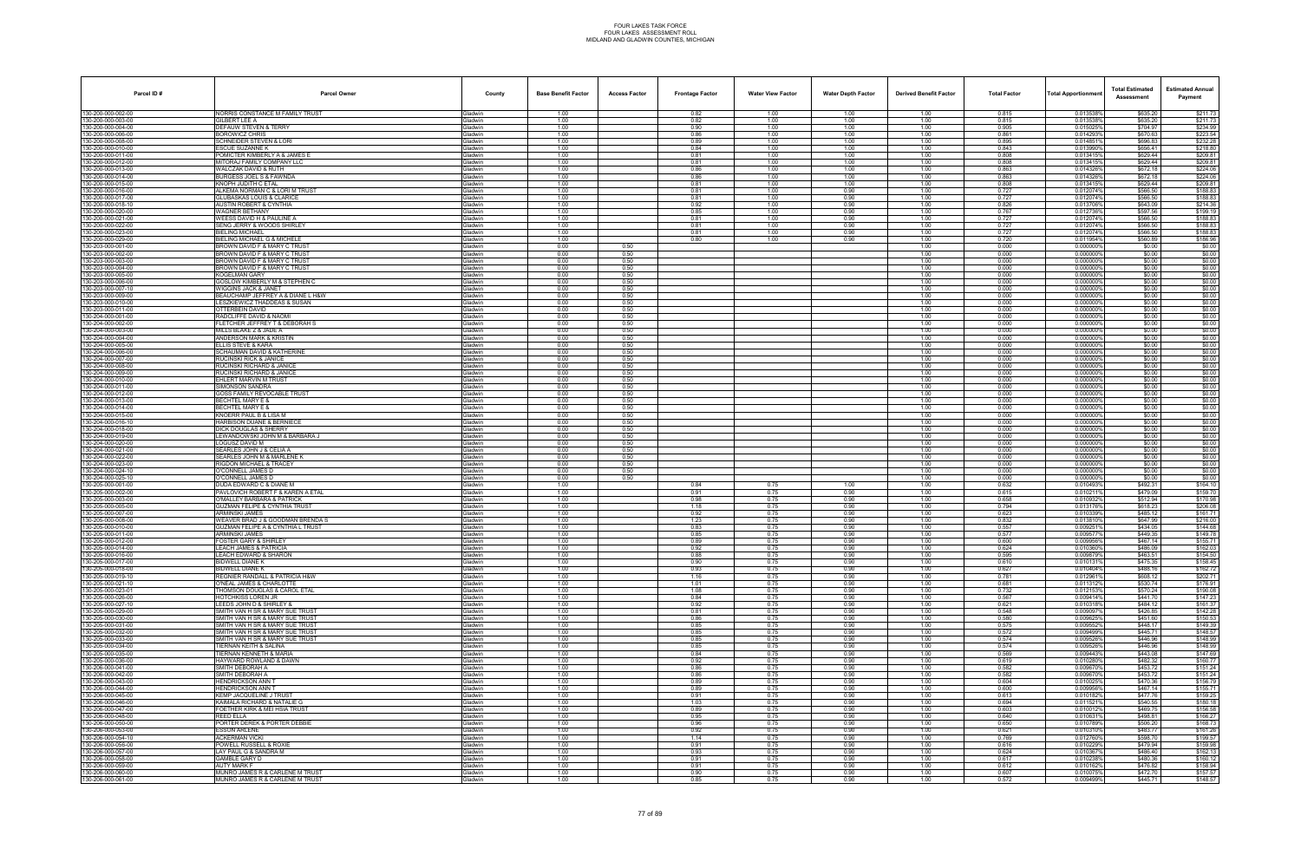| Parcel ID#                               | <b>Parcel Owner</b>                                                    | County                    | <b>Base Benefit Factor</b> | <b>Access Factor</b> | <b>Frontage Factor</b> | <b>Water View Factor</b> | <b>Water Depth Factor</b> | <b>Derived Benefit Factor</b> | <b>Total Factor</b> | <b>Total Apportionmen</b> | <b>Total Estimated</b><br>Assessment | <b>Estimated Annual</b><br>Payment |
|------------------------------------------|------------------------------------------------------------------------|---------------------------|----------------------------|----------------------|------------------------|--------------------------|---------------------------|-------------------------------|---------------------|---------------------------|--------------------------------------|------------------------------------|
| 130-200-000-002-00                       | NORRIS CONSTANCE M FAMILY TRUST                                        | Gladwin                   | 1.00                       |                      | 0.82                   | 1.00                     | 1.00                      | 1.00                          | 0.815               | 0.013538%                 | \$635.20                             | \$211.73                           |
| 130-200-000-003-00                       | GILBERT LEE A                                                          | Gladwin                   | 1.00                       |                      | 0.82                   | 1.00                     | 1.00                      | 1.00                          | 0.815               | 0.013538%                 | \$635.20                             | \$211.73                           |
| 130-200-000-004-00<br>130-200-000-006-00 | DEFAUW STEVEN & TERRY<br><b>BOROWICZ CHRIS</b>                         | Gladwin<br>Gladwin        | 1.00<br>1.00               |                      | 0.90<br>0.86           | 1.00<br>1.00             | 1.00<br>1.00              | 1.00<br>1.00                  | 0.905<br>0.861      | 0.015025<br>0.014293%     | \$704.97<br>\$670.63                 | \$234.99<br>\$223.54               |
| 130-200-000-008-00                       | SCHNEIDER STEVEN & LORI                                                | Gladwin                   | 1.00                       |                      | 0.89                   | 1.00                     | 1.00                      | 1.00                          | 0.895               | 0.0148519                 | \$696.83                             | \$232.28                           |
| 130-200-000-010-00                       | ESCUE SUZANNE K                                                        | Gladwin                   | 1.00                       |                      | 0.84                   | 1.00                     | 1.00                      | 1.00                          | 0.843               | 0.013990%                 | \$656.41                             | \$218.80                           |
| 130-200-000-011-00<br>130-200-000-012-00 | POMICTER KIMBERLY A & JAMES E<br>MITORAJ FAMILY COMPANY LLC            | Gladwin<br>Gladwin        | 1.00<br>1.00               |                      | 0.81<br>0.81           | 1.00<br>1.00             | 1.00<br>1.00              | 1.00<br>1.00                  | 0.808<br>0.808      | 0.0134159<br>0.013415     | \$629.44<br>\$629.44                 | \$209.81<br>\$209.81               |
| 130-200-000-013-00                       | WALCZAK DAVID & RUTH                                                   | Gladwin                   | 1.00                       |                      | 0.86                   | 1.00                     | 1.00                      | 1.00                          | 0.863               | 0.014326%                 | \$672.18                             | \$224.06                           |
| 130-200-000-014-00                       | BURGESS JOEL S & FAWNDA                                                | Gladwin                   | 1.00                       |                      | 0.86                   | 1.00                     | 1.00                      | 1.00                          | 0.863               | 0.014326%                 | \$672.18                             | \$224.06                           |
| 130-200-000-015-00<br>130-200-000-016-00 | KNOPH JUDITH C ETAL<br>ALKEMA NORMAN C & LORI M TRUST                  | Gladwin<br>Gladwin        | 1.00<br>1.00               |                      | 0.81<br>0.81           | 1.00<br>1.00             | 1.00<br>0.90              | 1.00<br>1.00                  | 0.808<br>0.727      | 0.013415%<br>0.012074%    | \$629.44<br>\$566.50                 | \$209.81<br>\$188.83               |
| 130-200-000-017-00                       | GLUBASKAS LOUIS & CLARICE                                              | Gladwin                   | 1.00                       |                      | 0.81                   | 1.00                     | 0.90                      | 1.00                          | 0.727               | 0.012074%                 | \$566.50                             | \$188.83                           |
| 130-200-000-018-10                       | <b>AUSTIN ROBERT &amp; CYNTHIA</b>                                     | Gladwin                   | 1.00                       |                      | 0.92                   | 1.00                     | 0.90                      | 1.00                          | 0.826               | 0.013706%                 | \$643.09                             | \$214.36                           |
| 130-200-000-020-00<br>130-200-000-021-00 | <b>WAGNER BETHANY</b><br>WEESS DAVID H & PAULINE A                     | Gladwin<br>Gladwin        | 1.00<br>1.00               |                      | 0.85<br>0.81           | 1.00<br>1.00             | 0.90<br>0.90              | 1.00<br>1.00                  | 0.767<br>0.727      | 0.012736%<br>0.012074%    | \$597.56<br>\$566.50                 | \$199.19<br>\$188.83               |
| 130-200-000-022-00                       | SENG JERRY & WOODS SHIRLEY                                             | Gladwin                   | 1.00                       |                      | 0.81                   | 1.00                     | 0.90                      | 1.00                          | 0.727               | 0.012074%                 | \$566.50                             | \$188.83                           |
| 130-200-000-023-00                       | BIELING MICHAEL                                                        | Gladwin                   | 1.00                       |                      | 0.81                   | 1.00                     | 0.90                      | 1.00                          | 0.727               | 0.012074%                 | \$566.50                             | \$188.83                           |
| 130-200-000-029-00<br>130-203-000-001-00 | <b>BIELING MICHAEL G &amp; MICHELE</b><br>BROWN DAVID F & MARY C TRUST | Gladwin<br>Gladwin        | 1.00<br>0.00               | 0.50                 | 0.80                   | 1.00                     | 0.90                      | 1.00<br>1.00                  | 0.720<br>0.000      | 0.011954%<br>0.000000%    | \$560.89                             | \$186.96<br>\$0.00                 |
| 130-203-000-002-00                       | BROWN DAVID F & MARY C TRUST                                           | Gladwin                   | 0.00                       | 0.50                 |                        |                          |                           | 1.00                          | 0.000               | 0.0000009                 | \$0.00<br>\$0.00                     | \$0.00                             |
| 130-203-000-003-00                       | BROWN DAVID F & MARY C TRUST                                           | Gladwin                   | 0.00                       | 0.50                 |                        |                          |                           | 1.00                          | 0.000               | 0.0000009                 | \$0.00                               | \$0.00                             |
| 130-203-000-004-00                       | BROWN DAVID F & MARY C TRUST                                           | Gladwin                   | 0.00                       | 0.50                 |                        |                          |                           | 1.00                          | 0.000               | 0.000000'                 | \$0.00                               | \$0.00                             |
| 130-203-000-005-00<br>130-203-000-006-00 | KOGELMAN GARY<br><b>GOSLOW KIMBERLY M &amp; STEPHEN C</b>              | Gladwin<br>Gladwin        | 0.00<br>0.00               | 0.50<br>0.50         |                        |                          |                           | 1.00<br>1.00                  | 0.000<br>0.000      | 0.000000%<br>0.000000%    | \$0.00<br>\$0.00                     | \$0.00<br>\$0.00                   |
| 130-203-000-007-10                       | WIGGINS JACK & JANET                                                   | Gladwin                   | 0.00                       | 0.50                 |                        |                          |                           | 1.00                          | 0.000               | 0.000000                  | \$0.00                               | \$0.00                             |
| 130-203-000-009-00                       | BEAUCHAMP JEFFREY A & DIANE L H&W                                      | Gladwin                   | 0.00                       | 0.50                 |                        |                          |                           | 1.00                          | 0.000               | 0.0000009                 | \$0.00                               | \$0.00                             |
| 130-203-000-010-00<br>130-203-000-011-00 | LESZKIEWICZ THADDEAS & SUSAN<br>OTTERBEIN DAVID                        | Gladwin<br>Gladwin        | 0.00<br>0.00               | 0.50<br>0.50         |                        |                          |                           | 1.00<br>1.00                  | 0.000<br>0.000      | 0.000000<br>0.000000%     | \$0.00<br>\$0.00                     | \$0.00<br>\$0.00                   |
| 130-204-000-001-00                       | RADCLIFFE DAVID & NAOMI                                                | Gladwin                   | 0.00                       | 0.50                 |                        |                          |                           | 1.00                          | 0.000               | 0.000000%                 | \$0.00                               | \$0.00                             |
| 130-204-000-002-00                       | FLETCHER JEFFREY T & DEBORAH S                                         | Gladwin                   | 0.00                       | 0.50                 |                        |                          |                           | 1.00                          | 0.000               | 0.000000                  | \$0.00                               | \$0.00                             |
| 130-204-000-003-00                       | MILLS BLAKE Z & JADE A                                                 | Gladwin                   | 0.00                       | 0.50                 |                        |                          |                           | 1.00                          | 0.000               | 0.0000009                 | \$0.00                               | \$0.00                             |
| 130-204-000-004-00<br>130-204-000-005-00 | ANDERSON MARK & KRISTIN<br><b>FLLIS STEVE &amp; KARA</b>               | Gladwin<br>Gladwin        | 0.00<br>0.00               | 0.50<br>0.50         |                        |                          |                           | 1.00<br>1.00                  | 0.000<br>0.000      | 0.000000'<br>0.000000%    | \$0.00<br>\$0.00                     | \$0.00<br>\$0.00                   |
| 130-204-000-006-00                       | <b>SCHAUMAN DAVID &amp; KATHERINE</b>                                  | Gladwin                   | 0.00                       | 0.50                 |                        |                          |                           | 1.00                          | 0.000               | 0.000000%                 | \$0.00                               | \$0.00                             |
| 130-204-000-007-00                       | RUCINSKI RICK & JANICE                                                 | Gladwin                   | 0.00                       | 0.50                 |                        |                          |                           | 1.00                          | 0.000               | 0.000000                  | \$0.00                               | \$0.00                             |
| 130-204-000-008-00<br>130-204-000-009-00 | RUCINSKI RICHARD & JANICE<br>RUCINSKI RICHARD & JANICE                 | Gladwin<br>Gladwin        | 0.00<br>0.00               | 0.50<br>0.50         |                        |                          |                           | 1.00<br>1.00                  | 0.000<br>0.000      | 0.0000009<br>0.000000'    | \$0.00<br>\$0.00                     | \$0.00<br>\$0.00                   |
| 130-204-000-010-00                       | EHLERT MARVIN M TRUST                                                  | Gladwin                   | 0.00                       | 0.50                 |                        |                          |                           | 1.00                          | 0.000               | 0.000000%                 | \$0.00                               | \$0.00                             |
| 130-204-000-011-00                       | SIMONSON SANDRA                                                        | Gladwin                   | 0.00                       | 0.50                 |                        |                          |                           | 1.00                          | 0.000               | 0.000000%                 | \$0.00                               | \$0.00                             |
| 130-204-000-012-00<br>130-204-000-013-00 | GOSS FAMILY REVOCABLE TRUST<br>BECHTEL MARY E &                        | Gladwin<br>Gladwin        | 0.00<br>0.00               | 0.50<br>0.50         |                        |                          |                           | 1.00<br>1.00                  | 0.000<br>0.000      | 0.000000<br>0.000000%     | \$0.00<br>\$0.00                     | \$0.00<br>\$0.00                   |
| 130-204-000-014-00                       | BECHTEL MARY E &                                                       | Gladwin                   | 0.00                       | 0.50                 |                        |                          |                           | 1.00                          | 0.000               | 0.0000009                 | \$0.00                               | \$0.00                             |
| 130-204-000-015-00                       | KNOERR PAUL B & LISA M                                                 | Gladwin                   | 0.00                       | 0.50                 |                        |                          |                           | 1.00                          | 0.000               | 0.000000%                 | \$0.00                               | \$0.00                             |
| 130-204-000-016-10                       | <b>HARBISON DUANE &amp; BERNIECE</b>                                   | Gladwin                   | 0.00                       | 0.50                 |                        |                          |                           | 1.00                          | 0.000               | 0.000000%                 | \$0.00                               | \$0.00                             |
| 130-204-000-018-00<br>130-204-000-019-00 | DICK DOUGLAS & SHERRY<br>LEWANDOWSKI JOHN M & BARBARA J                | Gladwin<br>Gladwin        | 0.00<br>0.00               | 0.50<br>0.50         |                        |                          |                           | 1.00<br>1.00                  | 0.000<br>0.000      | 0.000000<br>0.000000%     | \$0.00<br>\$0.00                     | \$0.00<br>\$0.00                   |
| 130-204-000-020-00                       | LOGUSZ DAVID M                                                         | Gladwin                   | 0.00                       | 0.50                 |                        |                          |                           | 1.00                          | 0.000               | 0.000000                  | \$0.00                               | \$0.00                             |
| 130-204-000-021-00                       | SEARLES JOHN J & CELIA A                                               | Gladwin                   | 0.00                       | 0.50                 |                        |                          |                           | 1.00                          | 0.000               | 0.000000%                 | \$0.00                               | \$0.00                             |
| 130-204-000-022-00<br>130-204-000-023-00 | SEARLES JOHN M & MARLENE K<br>RIGDON MICHAEL & TRACEY                  | Gladwin<br>Gladwin        | 0.00<br>0.00               | 0.50<br>0.50         |                        |                          |                           | 1.00<br>1.00                  | 0.000<br>0.000      | 0.000000%<br>0.000000     | \$0.00<br>\$0.00                     | \$0.00<br>\$0.00                   |
| 130-204-000-024-10                       | O'CONNELL JAMES D                                                      | Gladwin                   | 0.00                       | 0.50                 |                        |                          |                           | 1.00                          | 0.000               | 0.000000%                 | \$0.00                               | \$0.00                             |
| 130-204-000-025-10                       | O'CONNELL JAMES D                                                      | Gladwin                   | 0.00                       | 0.50                 |                        |                          |                           | 1.00                          | 0.000               | 0.0000009                 | \$0.00                               | \$0.00                             |
| 130-205-000-001-00<br>130-205-000-002-00 | DUDA EDWARD C & DIANE M<br>PAVLOVICH ROBERT F & KAREN A ETAL           | Gladwin<br>Gladwin        | 1.00<br>1.00               |                      | 0.84<br>0.91           | 0.75<br>0.75             | 1.00<br>0.90              | 1.00<br>1.00                  | 0.632<br>0.615      | 0.010493%<br>0.0102119    | \$492.31<br>\$479.09                 | \$164.10<br>\$159.70               |
| 130-205-000-003-00                       | O'MALLEY BARBARA & PATRICK                                             | Gladwin                   | 1.00                       |                      | 0.98                   | 0.75                     | 0.90                      | 1.00                          | 0.658               | 0.010932                  | \$512.94                             | \$170.98                           |
| 130-205-000-005-00                       | <b>GUZMAN FELIPE &amp; CYNTHIA TRUST</b>                               | Gladwin                   | 1.00                       |                      | 1.18                   | 0.75                     | 0.90                      | 1.00                          | 0.794               | 0.013176%                 | \$618.23                             | \$206.08                           |
| 130-205-000-007-00<br>130-205-000-008-00 | ARMINSKI JAMES<br>WEAVER BRAD J & GOODMAN BRENDA S                     | Gladwin<br>Gladwin        | 1.00<br>1.00               |                      | 0.92<br>1.23           | 0.75<br>0.75             | 0.90<br>0.90              | 1.00<br>1.00                  | 0.623<br>0.832      | 0.0103399<br>0.013810%    | \$485.12<br>\$647.99                 | \$161.71<br>\$216.00               |
| 130-205-000-010-00                       | <b>GUZMAN FELIPE A &amp; CYNTHIA L TRUST</b>                           | Gladwin                   | 1.00                       |                      | 0.83                   | 0.75                     | 0.90                      | 1.00                          | 0.557               | 0.0092519                 | \$434.05                             | \$144.68                           |
| 130-205-000-011-00                       | ARMINSKI JAMES                                                         | Gladwin                   | 1.00                       |                      | 0.85                   | 0.75                     | 0.90                      | 1.00                          | 0.577               | 0.009577                  | \$449.35                             | \$149.78                           |
| 130-205-000-012-00                       | <b>FOSTER GARY &amp; SHIRLEY</b><br><b>LEACH JAMES &amp; PATRICIA</b>  | Gladwin                   | 1.00<br>1.00               |                      | 0.89<br>0.92           | 0.75<br>0.75             | 0.90<br>0.90              | 1.00<br>1.00                  | 0.600<br>0.624      | 0.009956%<br>0.010360%    | \$467.14<br>\$486.09                 | \$155.71                           |
| 130-205-000-014-00<br>130-205-000-016-00 | LEACH EDWARD & SHARON                                                  | <b>Gladwin</b><br>Gladwin | 1.00                       |                      | 0.88                   | 0.75                     | 0.90                      | 1.00                          | 0.595               | 0.009879%                 | \$463.51                             | \$162.03<br>\$154.50               |
| 130-205-000-017-00                       | <b>BIDWELL DIANE K</b>                                                 | Gladwin                   | 1.00                       |                      | 0.90                   | 0.75                     | 0.90                      | 1.00                          | 0.610               | 0.010131%                 | \$475.35                             | \$158.45                           |
| 130-205-000-018-00                       | BIDWELL DIANE K                                                        | Gladwin                   | 1.00                       |                      | 0.93                   | 0.75                     | 0.90                      | 1.00                          | 0.627               | 0.010404%                 | \$488.16                             | \$162.72                           |
| 130-205-000-019-10<br>130-205-000-021-10 | REGNIER RANDALL & PATRICIA H&W<br>O'NEAL JAMES & CHARLOTTE             | Gladwin<br>Gladwin        | 1.00<br>1.00               |                      | 1.16<br>1.01           | 0.75<br>0.75             | 0.90<br>0.90              | 1.00<br>1.00                  | 0.781<br>0.681      | 0.0129619<br>0.0113129    | \$608.12<br>\$530.74                 | \$202.71<br>\$176.91               |
| 130-205-000-023-01                       | THOMSON DOUGLAS & CAROL ETAL                                           | Gladwin                   | 1.00                       |                      | 1.08                   | 0.75                     | 0.90                      | 1.00                          | 0.732               | 0.012153%                 | \$570.24                             | \$190.08                           |
| 130-205-000-026-00                       | HOTCHKISS LOREN JR                                                     | Gladwin                   | 1.00                       |                      | 0.84                   | 0.75                     | 0.90                      | 1.00                          | 0.567               | 0.009414%                 | \$441.70                             | \$147.23                           |
| 130-205-000-027-10<br>130-205-000-029-00 | LEEDS JOHN D & SHIRLEY &<br>SMITH VAN H SR & MARY SUE TRUST            | Gladwin<br>Gladwin        | 1.00<br>1.00               |                      | 0.92<br>0.81           | 0.75<br>0.75             | 0.90<br>0.90              | 1.00<br>1.00                  | 0.621<br>0.548      | 0.010318%<br>0.009097%    | \$484.12<br>\$426.85                 | \$161.37<br>\$142.28               |
| 130-205-000-030-00                       | SMITH VAN H SR & MARY SUE TRUST                                        | Gladwin                   | 1.00                       |                      | 0.86                   | 0.75                     | 0.90                      | 1.00                          | 0.580               | 0.009625%                 | \$451.60                             | \$150.53                           |
| 130-205-000-031-00                       | SMITH VAN H SR & MARY SUE TRUST                                        | Gladwin                   | 1.00                       |                      | 0.85                   | 0.75                     | 0.90                      | 1.00                          | 0.575               | 0.009552%                 | \$448.17                             | \$149.39                           |
| 130-205-000-032-00                       | SMITH VAN H SR & MARY SUE TRUST                                        | Gladwin                   | 1.00                       |                      | 0.85                   | 0.75                     | 0.90                      | 1.00                          | 0.572               | 0.009499%                 | \$445.71                             | \$148.57<br>\$148.99               |
| 130-205-000-033-00<br>130-205-000-034-00 | SMITH VAN H SR & MARY SUE TRUST<br>TIERNAN KEITH & SALINA              | Gladwin<br>Gladwin        | 1.00<br>1.00               |                      | 0.85<br>0.85           | 0.75<br>0.75             | 0.90<br>0.90              | 1.00<br>1.00                  | 0.574<br>0.574      | 0.0095269<br>0.009526%    | \$446.96<br>\$446.96                 | \$148.99                           |
| 130-205-000-035-00                       | TIERNAN KENNETH & MARIA                                                | Gladwin                   | 1.00                       |                      | 0.84                   | 0.75                     | 0.90                      | 1.00                          | 0.569               | 0.009443%                 | \$443.08                             | \$147.69                           |
| 130-205-000-036-00                       | HAYWARD ROWLAND & DAWN                                                 | Gladwin                   | 1.00                       |                      | 0.92                   | 0.75                     | 0.90                      | 1.00                          | 0.619               | 0.010280%<br>0.009670%    | \$482.32                             | \$160.77                           |
| 130-206-000-041-00<br>130-206-000-042-00 | SMITH DEBORAH A<br>SMITH DEBORAH A                                     | Gladwin<br>Gladwin        | 1.00<br>1.00               |                      | 0.86<br>0.86           | 0.75<br>0.75             | 0.90<br>0.90              | 1.00<br>1.00                  | 0.582<br>0.582      | 0.009670%                 | \$453.72<br>\$453.72                 | \$151.24<br>\$151.24               |
| 130-206-000-043-00                       | HENDRICKSON ANN T                                                      | Gladwin                   | 1.00                       |                      | 0.89                   | 0.75                     | 0.90                      | 1.00                          | 0.604               | 0.010025%                 | \$470.36                             | \$156.79                           |
| 130-206-000-044-00                       | <b>HENDRICKSON ANN T</b>                                               | Gladwin                   | 1.00                       |                      | 0.89                   | 0.75                     | 0.90                      | 1.00                          | 0.600               | 0.009956%                 | \$467.14                             | \$155.71                           |
| 130-206-000-045-00<br>130-206-000-046-00 | KEMP JACQUELINE J TRUST<br>KAIMALA RICHARD & NATALIE G                 | Gladwin<br>Gladwin        | 1.00<br>1.00               |                      | 0.91<br>1.03           | 0.75<br>0.75             | 0.90<br>0.90              | 1.00<br>1.00                  | 0.613<br>0.694      | 0.010182%<br>0.0115219    | \$477.76<br>\$540.55                 | \$159.25<br>\$180.18               |
| 130-206-000-047-00                       | FOETHER KIRK & MEI HSIA TRUST                                          | Gladwin                   | 1.00                       |                      | 0.89                   | 0.75                     | 0.90                      | 1.00                          | 0.603               | 0.010012%                 | \$469.75                             | \$156.58                           |
| 130-206-000-048-00                       | <b>REED ELLA</b>                                                       | Gladwin                   | 1.00                       |                      | 0.95                   | 0.75                     | 0.90                      | 1.00                          | 0.640               | 0.0106319                 | \$498.81                             | \$166.27                           |
| 130-206-000-050-00                       | PORTER DEREK & PORTER DEBBIE<br><b>ESSON ARLENE</b>                    | Gladwin<br>Gladwin        | 1.00<br>1.00               |                      | 0.96<br>0.92           | 0.75<br>0.75             | 0.90<br>0.90              | 1.00<br>1.00                  | 0.650<br>0.621      | 0.010789%<br>0.0103109    | \$506.20<br>\$483.77                 | \$168.73<br>\$161.26               |
| 130-206-000-053-00<br>130-206-000-054-10 | <b>ACKERMAN VICKI</b>                                                  | Gladwin                   | 1.00                       |                      | 1.14                   | 0.75                     | 0.90                      | 1.00                          | 0.769               | 0.012760%                 | \$598.70                             | \$199.57                           |
| 130-206-000-056-00                       | POWELL RUSSELL & ROXIE                                                 | Gladwin                   | 1.00                       |                      | 0.91                   | 0.75                     | 0.90                      | 1.00                          | 0.616               | 0.010229%                 | \$479.94                             | \$159.98                           |
| 130-206-000-057-00                       | LAY PAUL G & SANDRA M                                                  | Gladwin                   | 1.00                       |                      | 0.93                   | 0.75                     | 0.90                      | 1.00                          | 0.624               | 0.010367%                 | \$486.40                             | \$162.13                           |
| 130-206-000-058-00<br>130-206-000-059-00 | <b>GAMBLE GARY D</b><br><b>AUTY MARK F</b>                             | Gladwin<br>Gladwin        | 1.00<br>1.00               |                      | 0.91<br>0.91           | 0.75<br>0.75             | 0.90<br>0.90              | 1.00<br>1.00                  | 0.617<br>0.612      | 0.010238%<br>0.010162%    | \$480.36<br>\$476.82                 | \$160.12<br>\$158.94               |
| 130-206-000-060-00                       | MUNRO JAMES R & CARLENE M TRUST                                        | Gladwin                   | 1.00                       |                      | 0.90                   | 0.75                     | 0.90                      | 1.00                          | 0.607               | 0.010075%                 | \$472.70                             | \$157.57                           |
| 130-206-000-061-00                       | MUNRO JAMES R & CARLENE M TRUST                                        | Gladwin                   | 1.00                       |                      | 0.85                   | 0.75                     | 0.90                      | 1.00                          | 0.572               | 0.009499%                 | \$445.71                             | \$148.57                           |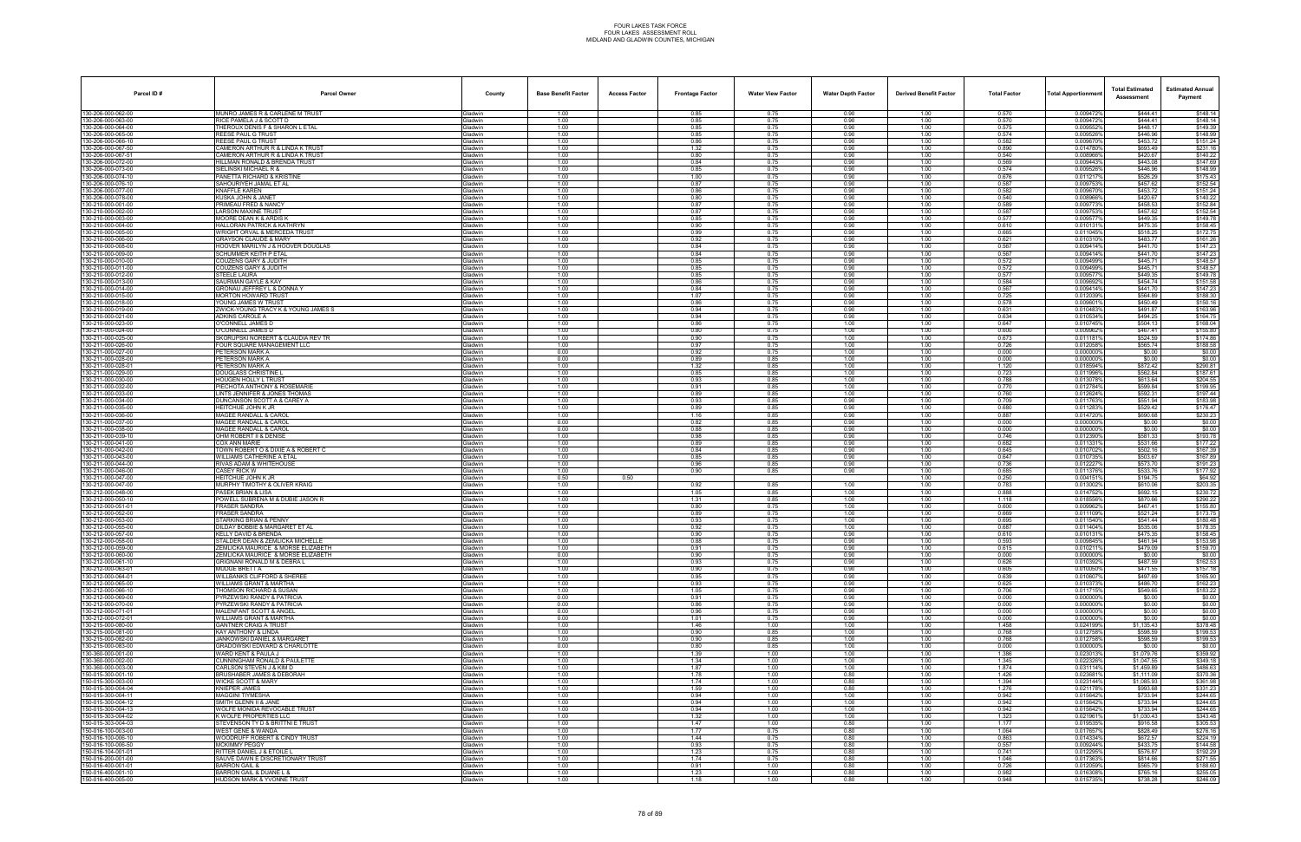| Parcel ID#                               | <b>Parcel Owner</b>                                                    | County                    | <b>Base Benefit Factor</b> | <b>Access Factor</b> | <b>Frontage Factor</b> | <b>Water View Factor</b> | <b>Water Depth Factor</b> | <b>Derived Benefit Factor</b> | <b>Total Factor</b> | <b>Total Apportionmen</b> | <b>Total Estimated</b><br>Assessment | <b>Estimated Annual</b><br>Payment |
|------------------------------------------|------------------------------------------------------------------------|---------------------------|----------------------------|----------------------|------------------------|--------------------------|---------------------------|-------------------------------|---------------------|---------------------------|--------------------------------------|------------------------------------|
| 130-206-000-062-00                       | MUNRO JAMES R & CARLENE M TRUST                                        | Gladwin                   | 1.00                       |                      | 0.85                   | 0.75                     | 0.90                      | 1.00                          | 0.570               | 0.009472%                 | \$444.41                             | \$148.14                           |
| 130-206-000-063-00                       | RICE PAMELA J & SCOTT D                                                | Gladwin                   | 1.00<br>1.00               |                      | 0.85                   | 0.75<br>0.75             | 0.90                      | 1.00                          | 0.570<br>0.575      | 0.009472%                 | \$444.41                             | \$148.14                           |
| 130-206-000-064-00<br>130-206-000-065-00 | THEROUX DENIS F & SHARON L ETAL<br>REESE PAUL G TRUST                  | Gladwin<br>Gladwin        | 1.00                       |                      | 0.85<br>0.85           | 0.75                     | 0.90<br>0.90              | 1.00<br>1.00                  | 0.574               | 0.0095529<br>0.009526%    | \$448.17<br>\$446.96                 | \$149.39<br>\$148.99               |
| 130-206-000-066-10                       | <b>REESE PAUL G TRUST</b>                                              | Gladwin                   | 1.00                       |                      | 0.86                   | 0.75                     | 0.90                      | 1.00                          | 0.582               | 0.0096709                 | \$453.72                             | \$151.24                           |
| 130-206-000-067-50                       | CAMERON ARTHUR R & LINDA K TRUST                                       | Gladwin                   | 1.00                       |                      | 1.32                   | 0.75                     | 0.90                      | 1.00                          | 0.890               | 0.0147809                 | \$693.49                             | \$231.16                           |
| 130-206-000-067-51                       | CAMERON ARTHUR R & LINDA K TRUST                                       | Gladwin                   | 1.00                       |                      | 0.80                   | 0.75                     | 0.90                      | 1.00                          | 0.540               | 0.008966%                 | \$420.67                             | \$140.22                           |
| 130-206-000-072-00                       | HILLMAN RONALD & BRENDA TRUST                                          | <b>Gladwin</b>            | 1.00                       |                      | 0.84                   | 0.75                     | 0.90                      | 1.00                          | 0.569               | 0.009443%                 | \$443.08<br>\$446.96                 | \$147.69                           |
| 130-206-000-073-00<br>130-206-000-074-10 | SIELINSKI MICHAEL R &<br>PANETTA RICHARD & KRISTINE                    | Gladwin<br>Gladwin        | 1.00<br>1.00               |                      | 0.85<br>1.00           | 0.75<br>0.75             | 0.90<br>0.90              | 1.00<br>1.00                  | 0.574<br>0.676      | 0.0095269<br>0.011217     | \$526.29                             | \$148.99<br>\$175.43               |
| 130-206-000-076-10                       | SAHOURIYEH JAMAL ET AL                                                 | Gladwin                   | 1.00                       |                      | 0.87                   | 0.75                     | 0.90                      | 1.00                          | 0.587               | 0.0097539                 | \$457.62                             | \$152.54                           |
| 130-206-000-077-00                       | <b>KNAFFLE KAREN</b>                                                   | Gladwin                   | 1.00                       |                      | 0.86                   | 0.75                     | 0.90                      | 1.00                          | 0.582               | 0.009670%                 | \$453.72                             | \$151.24                           |
| 130-206-000-078-00                       | KUSKA JOHN & JANET                                                     | Gladwin                   | 1.00                       |                      | 0.80                   | 0.75                     | 0.90                      | 1.00                          | 0.540               | 0.008966%                 | \$420.67                             | \$140.22                           |
| 130-210-000-001-00<br>130-210-000-002-00 | PRIMEAU FRED & NANCY<br><b>LARSON MAXINE TRUST</b>                     | Gladwin<br>Gladwin        | 1.00<br>1.00               |                      | 0.87<br>0.87           | 0.75<br>0.75             | 0.90<br>0.90              | 1.00<br>1.00                  | 0.589<br>0.587      | 0.0097739<br>0.009753     | \$458.53<br>\$457.62                 | \$152.84<br>\$152.54               |
| 130-210-000-003-00                       | MOORE DEAN K & ARDIS K                                                 | Gladwin                   | 1.00                       |                      | 0.85                   | 0.75                     | 0.90                      | 1.00                          | 0.577               | 0.0095779                 | \$449.35                             | \$149.78                           |
| 130-210-000-004-00                       | HALLORAN PATRICK & KATHRYN                                             | Gladwin                   | 1.00                       |                      | 0.90                   | 0.75                     | 0.90                      | 1.00                          | 0.610               | 0.0101319                 | \$475.35                             | \$158.45                           |
| 130-210-000-005-00                       | WRIGHT ORVAL & MERCEDA TRUST                                           | <b>Gladwin</b>            | 1.00                       |                      | 0.99                   | 0.75                     | 0.90                      | 1.00                          | 0.665               | 0.011045%                 | \$518.25                             | \$172.75                           |
| 130-210-000-006-00                       | <b>GRAYSON CLAUDE &amp; MARY</b>                                       | Gladwin                   | 1.00                       |                      | 0.92                   | 0.75                     | 0.90                      | 1.00                          | 0.621               | 0.010310                  | \$483.77                             | \$161.26                           |
| 130-210-000-008-00<br>130-210-000-009-00 | HOOVER MARILYN J & HOOVER DOUGLAS<br><b>SCHUMMER KEITH P ETAL</b>      | Gladwin<br>Gladwin        | 1.00<br>1.00               |                      | 0.84<br>0.84           | 0.75<br>0.75             | 0.90<br>0.90              | 1.00<br>1.00                  | 0.567<br>0.567      | 0.009414%<br>0.009414%    | \$441.70<br>\$441.70                 | \$147.23<br>\$147.23               |
| 130-210-000-010-00                       | COUZENS GARY & JUDITH                                                  | Gladwin                   | 1.00                       |                      | 0.85                   | 0.75                     | 0.90                      | 1.00                          | 0.572               | 0.009499%                 | \$445.71                             | \$148.57                           |
| 130-210-000-011-00                       | COUZENS GARY & JUDITH                                                  | Gladwin                   | 1.00                       |                      | 0.85                   | 0.75                     | 0.90                      | 1.00                          | 0.572               | 0.009499%                 | \$445.71                             | \$148.57                           |
| 130-210-000-012-00                       | STEELE LAURA                                                           | Gladwin                   | 1.00                       |                      | 0.85                   | 0.75                     | 0.90                      | 1.00                          | 0.577               | 0.009577                  | \$449.35                             | \$149.78                           |
| 130-210-000-013-00                       | SAURMAN GAYLE & KAY                                                    | Gladwin                   | 1.00                       |                      | 0.86                   | 0.75                     | 0.90                      | 1.00                          | 0.584               | 0.009692                  | \$454.74                             | \$151.58                           |
| 130-210-000-014-00<br>130-210-000-015-00 | GRONAU JEFFREY L & DONNA Y                                             | Gladwin                   | 1.00<br>1.00               |                      | 0.84<br>1.07           | 0.75<br>0.75             | 0.90<br>0.90              | 1.00<br>1.00                  | 0.567<br>0.725      | 0.009414%<br>0.012039%    | \$441.70<br>\$564.89                 | \$147.23<br>\$188.30               |
| 130-210-000-018-00                       | <b>MORTON HOWARD TRUST</b><br>YOUNG JAMES W TRUST                      | Gladwin<br><b>Gladwin</b> | 1.00                       |                      | 0.86                   | 0.75                     | 0.90                      | 1.00                          | 0.578               | 0.009601                  | \$450.49                             | \$150.16                           |
| 130-210-000-019-00                       | ZWICK-YOUNG TRACY K & YOUNG JAMES S                                    | Gladwin                   | 1.00                       |                      | 0.94                   | 0.75                     | 0.90                      | 1.00                          | 0.631               | 0.0104839                 | \$491.87                             | \$163.96                           |
| 130-210-000-021-00                       | ADKINS CAROLE A                                                        | Gladwin                   | 1.00                       |                      | 0.94                   | 0.75                     | 0.90                      | 1.00                          | 0.634               | 0.010534%                 | \$494.25                             | \$164.75                           |
| 130-210-000-023-00                       | O'CONNELL JAMES D                                                      | Gladwin                   | 1.00                       |                      | 0.86                   | 0.75                     | 1.00                      | 1.00                          | 0.647               | 0.010745%                 | \$504.13                             | \$168.04                           |
| 130-211-000-024-00                       | O'CONNELL JAMES D<br>SKORUPSKI NORBERT & CLAUDIA REV TR                | Gladwin                   | 1.00<br>1.00               |                      | 0.80                   | 0.75<br>0.75             | 1.00                      | 1.00<br>1.00                  | 0.600<br>0.673      | 0.009962%                 | \$467.41                             | \$155.80<br>\$174.86               |
| 130-211-000-025-00<br>130-211-000-026-00 | FOUR SQUARE MANAGEMENT LLC                                             | Gladwin<br>Gladwin        | 1.00                       |                      | 0.90<br>0.97           | 0.75                     | 1.00<br>1.00              | 1.00                          | 0.726               | 0.011181<br>0.0120589     | \$524.59<br>\$565.74                 | \$188.58                           |
| 130-211-000-027-00                       | PETERSON MARK A                                                        | Gladwin                   | 0.00                       |                      | 0.92                   | 0.75                     | 1.00                      | 1.00                          | 0.000               | 0.0000009                 | \$0.00                               | \$0.00                             |
| 130-211-000-028-00                       | PETERSON MARK A                                                        | Gladwin                   | 0.00                       |                      | 0.89                   | 0.85                     | 1.00                      | 1.00                          | 0.000               | 0.000000%                 | \$0.00                               | \$0.00                             |
| 130-211-000-028-01                       | PETERSON MARK A                                                        | Gladwin                   | 1.00                       |                      | 1.32                   | 0.85                     | 1.00                      | 1.00                          | 1.120               | 0.018594%                 | \$872.42                             | \$290.81                           |
| 130-211-000-029-00                       | DOUGLASS CHRISTINE I                                                   | <b>Gladwin</b>            | 1.00                       |                      | 0.85                   | 0.85                     | 1.00                      | 1.00                          | 0.723               | 0.011996%                 | \$562.84                             | \$187.61                           |
| 130-211-000-030-00<br>130-211-000-032-00 | <b>HOUGEN HOLLY L TRUST</b><br>PIECHOTA ANTHONY & ROSEMARIE            | Gladwin<br>Gladwin        | 1.00<br>1.00               |                      | 0.93<br>0.91           | 0.85<br>0.85             | 1.00<br>1.00              | 1.00<br>1.00                  | 0.788<br>0.770      | 0.013078%<br>0.012784%    | \$613.64<br>\$599.84                 | \$204.55<br>\$199.95               |
| 130-211-000-033-00                       | LINTS JENNIFER & JONES THOMAS                                          | Gladwin                   | 1.00                       |                      | 0.89                   | 0.85                     | 1.00                      | 1.00                          | 0.760               | 0.012624%                 | \$592.31                             | \$197.44                           |
| 130-211-000-034-00                       | DUNCANSON SCOTT A & CAREY A                                            | Gladwin                   | 1.00                       |                      | 0.93                   | 0.85                     | 0.90                      | 1.00                          | 0.709               | 0.0117639                 | \$551.94                             | \$183.98                           |
| 130-211-000-035-00                       | HEITCHUE JOHN K JR                                                     | Gladwin                   | 1.00                       |                      | 0.89                   | 0.85                     | 0.90                      | 1.00                          | 0.680               | 0.0112839                 | \$529.42                             | \$176.47                           |
| 130-211-000-036-00                       | <b>MAGEE RANDALL &amp; CAROL</b>                                       | Gladwin                   | 1.00                       |                      | 1.16                   | 0.85                     | 0.90                      | 1.00                          | 0.887               | 0.014720%                 | \$690.68                             | \$230.23                           |
| 130-211-000-037-00<br>130-211-000-038-00 | MAGEE RANDALL & CAROL<br><b>MAGEE RANDALL &amp; CAROL</b>              | Gladwin<br>Gladwin        | 0.00<br>0.00               |                      | 0.82<br>0.88           | 0.85<br>0.85             | 0.90<br>0.90              | 1.00<br>1.00                  | 0.000<br>0.000      | 0.0000009<br>0.000000%    | \$0.00<br>\$0.00                     | \$0.00<br>\$0.00                   |
| 130-211-000-039-10                       | OHM ROBERT II & DENISE                                                 | Gladwin                   | 1.00                       |                      | 0.98                   | 0.85                     | 0.90                      | 1.00                          | 0.746               | 0.0123909                 | \$581.33                             | \$193.78                           |
| 130-211-000-041-00                       | COX ANN MARIE                                                          | <b>Gladwin</b>            | 1.00                       |                      | 0.89                   | 0.85                     | 0.90                      | 1.00                          | 0.682               | 0.011331                  | \$531.66                             | \$177.22                           |
| 130-211-000-042-00                       | TOWN ROBERT O & DIXIE A & ROBERT C                                     | Gladwin                   | 1.00                       |                      | 0.84                   | 0.85                     | 0.90                      | 1.00                          | 0.645               | 0.010702%                 | \$502.16                             | \$167.39                           |
| 130-211-000-043-00                       | <b>WILLIAMS CATHERINE A ETAL</b><br>RIVAS ADAM & WHITEHOUSE            | Gladwin                   | 1.00<br>1.00               |                      | 0.85<br>0.96           | 0.85<br>0.85             | 0.90                      | 1.00                          | 0.647<br>0.736      | 0.0107359<br>0.012227%    | \$503.67                             | \$167.89                           |
| 130-211-000-044-00<br>130-211-000-046-00 | <b>CASEY RICK W</b>                                                    | Gladwin<br>Gladwin        | 1.00                       |                      | 0.90                   | 0.85                     | 0.90<br>0.90              | 1.00<br>1.00                  | 0.685               | 0.0113769                 | \$573.70<br>\$533.76                 | \$191.23<br>\$177.92               |
| 130-211-000-047-00                       | HEITCHUE JOHN K JR                                                     | Gladwin                   | 0.50                       | 0.50                 |                        |                          |                           | 1.00                          | 0.250               | 0.004151                  | \$194.75                             | \$64.92                            |
| 130-212-000-047-00                       | MURPHY TIMOTHY & OLIVER KRAIG                                          | Gladwin                   | 1.00                       |                      | 0.92                   | 0.85                     | 1.00                      | 1.00                          | 0.783               | 0.013002%                 | \$610.06                             | \$203.35                           |
| 130-212-000-048-00                       | PASEK BRIAN & LISA                                                     | Gladwin                   | 1.00                       |                      | 1.05                   | 0.85                     | 1.00                      | 1.00                          | 0.888               | 0.0147529                 | \$692.15                             | \$230.72                           |
| 130-212-000-050-10<br>130-212-000-051-01 | POWELL SUBRENA M & DUBIE JASON R<br><b>FRASER SANDRA</b>               | Gladwin                   | 1.00<br>1.00               |                      | 1.31<br>0.80           | 0.85<br>0.75             | 1.00<br>1.00              | 1.00<br>1.00                  | 1.118<br>0.600      | 0.018556%<br>0.0099629    | \$870.66<br>\$467.41                 | \$290.22<br>\$155.80               |
| 130-212-000-052-00                       | FRASER SANDRA                                                          | Gladwin<br>Gladwin        | 1.00                       |                      | 0.89                   | 0.75                     | 1.00                      | 1.00                          | 0.669               | 0.0111099                 | \$521.24                             | \$173.75                           |
| 130-212-000-053-00                       | <b>STARKING BRIAN &amp; PENNY</b>                                      | Gladwin                   | 1.00                       |                      | 0.93                   | 0.75                     | 1.00                      | 1.00                          | 0.695               | 0.011540%                 | \$541.44                             | \$180.48                           |
| 130-212-000-055-00                       | DILDAY BOBBIE & MARGARET ET AL                                         | Gladwin                   | 1.00                       |                      | 0.92                   | 0.75                     | 1.00                      | 1.00                          | 0.687               | 0.011404%                 | \$535.06                             | \$178.35                           |
| 130-212-000-057-00                       | KELLY DAVID & BRENDA                                                   | Gladwin                   | 1.00                       |                      | 0.90                   | 0.75                     | 0.90                      | 1.00                          | 0.610               | 0.0101319                 | \$475.35                             | \$158.45                           |
| 130-212-000-058-00                       | STALDER DEAN & ZEMLICKA MICHELLE<br>ZEMLICKA MAURICE & MORSE ELIZABETH | Gladwin<br>Gladwin        | 1.00                       |                      | 0.88<br>0.91           | 0.75                     | 0.90                      | 1.00                          | 0.593               | 0.0098459                 | \$461.94                             | \$153.98                           |
| 130-212-000-059-00<br>130-212-000-060-00 | ZEMLICKA MAURICE & MORSE ELIZABETH                                     | Gladwin                   | 1.00<br>0.00               |                      | 0.90                   | 0.75<br>0.75             | 0.90<br>0.90              | 1.00<br>1.00                  | 0.615<br>0.000      | 0.010211<br>0.000000%     | \$479.09<br>\$0.00                   | \$159.70<br>\$0.00                 |
| 130-212-000-061-10                       | GRIGNANI RONALD M & DEBRA L                                            | Gladwin                   | 1.00                       |                      | 0.93                   | 0.75                     | 0.90                      | 1.00                          | 0.626               | 0.010392%                 | \$487.59                             | \$162.53                           |
| 130-212-000-063-01                       | MUDGE BRETT A                                                          | Gladwin                   | 1.00                       |                      | 0.90                   | 0.75                     | 0.90                      | 1.00                          | 0.605               | 0.010050%                 | \$471.55                             | \$157.18                           |
| 130-212-000-064-01                       | WILLBANKS CLIFFORD & SHEREE                                            | Gladwin                   | 1.00                       |                      | 0.95                   | 0.75                     | 0.90                      | 1.00                          | 0.639               | 0.0106079                 | \$497.69                             | \$165.90                           |
| 130-212-000-065-00                       | WILLIAMS GRANT & MARTHA                                                | Gladwin                   | 1.00                       |                      | 0.93                   | 0.75                     | 0.90                      | 1.00                          | 0.625               | 0.0103739                 | \$486.70                             | \$162.23                           |
| 130-212-000-066-10<br>130-212-000-069-00 | THOMSON RICHARD & SUSAN<br>PYRZEWSKI RANDY & PATRICIA                  | Gladwin<br>Gladwin        | 1.00<br>0.00               |                      | 1.05<br>0.91           | 0.75<br>0.75             | 0.90<br>0.90              | 1.00<br>1.00                  | 0.706<br>0.000      | 0.011715%<br>0.000000%    | \$549.65<br>\$0.00                   | \$183.22<br>\$0.00                 |
| 130-212-000-070-00                       | PYRZEWSKI RANDY & PATRICIA                                             | Gladwin                   | 0.00                       |                      | 0.86                   | 0.75                     | 0.90                      | 1.00                          | 0.000               | 0.000000%                 | \$0.00                               | \$0.00                             |
| 130-212-000-071-01                       | MALENFANT SCOTT & ANGEL                                                | Gladwin                   | 0.00                       |                      | 0.96                   | 0.75                     | 0.90                      | 1.00                          | 0.000               | 0.0000009                 | \$0.00                               | \$0.00                             |
| 130-212-000-072-01                       | WILLIAMS GRANT & MARTHA                                                | Gladwin                   | 0.00                       |                      | 1.01                   | 0.75                     | 0.90                      | 1.00                          | 0.000               | 0.0000009                 | \$0.00                               | \$0.00                             |
| 130-215-000-080-00                       | <b>GANTNER CRAIG A TRUST</b>                                           | Gladwin                   | 1.00                       |                      | 1.46                   | 1.00                     | 1.00                      | 1.00                          | 1.458               | 0.024199%                 | \$1.135.43                           | \$378.48                           |
| 130-215-000-081-00<br>130-215-000-082-00 | KAY ANTHONY & LINDA<br>JANKOWSKI DANIEL & MARGARET                     | Gladwin<br>Gladwin        | 1.00<br>1.00               |                      | 0.90<br>0.90           | 0.85<br>0.85             | 1.00<br>1.00              | 1.00<br>1.00                  | 0.768<br>0.768      | 0.012758%<br>0.012758%    | \$598.59<br>\$598.59                 | \$199.53<br>\$199.53               |
| 130-215-000-083-00                       | <b>GRADOWSKI EDWARD &amp; CHARLOTTE</b>                                | Gladwin                   | 0.00                       |                      | 0.80                   | 0.85                     | 1.00                      | 1.00                          | 0.000               | 0.0000009                 | \$0.00                               | \$0.00                             |
| 130-360-000-001-00                       | WARD KENT & PAULA J                                                    | Gladwin                   | 1.00                       |                      | 1.39                   | 1.00                     | 1.00                      | 1.00                          | 1.386               | 0.023013                  | \$1,079.76                           | \$359.92                           |
| 130-360-000-002-00                       | CUNNINGHAM RONALD & PAULETTE                                           | Gladwin                   | 1.00                       |                      | 1.34                   | 1.00                     | 1.00                      | 1.00                          | 1.345               | 0.022326%                 | \$1.047.55                           | \$349.18                           |
| 130-360-000-003-00                       | CARLSON STEVEN J & KIM D                                               | Gladwin                   | 1.00                       |                      | 1.87                   | 1.00                     | 1.00                      | 1.00                          | 1.874               | 0.031114%                 | \$1,459.89                           | \$486.63                           |
| 150-015-300-001-10<br>150-015-300-003-00 | BRUSHABER JAMES & DEBORAH<br>WICKE SCOTT & MARY                        | Gladwin<br>Gladwin        | 1.00<br>1.00               |                      | 1.78<br>1.74           | 1.00<br>1.00             | 0.80<br>0.80              | 1.00<br>1.00                  | 1.426<br>1.394      | 0.023681%<br>0.023144%    | \$1,111.09<br>\$1,085.93             | \$370.36<br>\$361.98               |
| 150-015-300-004-04                       | KNIEPER JAMES                                                          | Gladwin                   | 1.00                       |                      | 1.59                   | 1.00                     | 0.80                      | 1.00                          | 1.276               | 0.0211789                 | \$993.68                             | \$331.23                           |
| 150-015-300-004-11                       | <b>MAGGINI TIYMESHA</b>                                                | Gladwin                   | 1.00                       |                      | 0.94                   | 1.00                     | 1.00                      | 1.00                          | 0.942               | 0.015642%                 | \$733.94                             | \$244.65                           |
| 150-015-300-004-12                       | SMITH GLENN II & JANE                                                  | Gladwin                   | 1.00                       |                      | 0.94                   | 1.00                     | 1.00                      | 1.00                          | 0.942               | 0.015642%                 | \$733.94                             | \$244.65                           |
| 150-015-300-004-13                       | WOLFE MONIDA REVOCABLE TRUST                                           | Gladwin                   | 1.00                       |                      | 0.94                   | 1.00                     | 1.00                      | 1.00                          | 0.942               | 0.015642%                 | \$733.94                             | \$244.65                           |
| 150-015-303-004-02<br>150-015-303-004-03 | K WOLFE PROPERTIES LLC<br>STEVENSON TY D & BRITTNI E TRUST             | Gladwin<br>Gladwin        | 1.00<br>1.00               |                      | 1.32<br>1.47           | 1.00<br>1.00             | 1.00<br>0.80              | 1.00<br>1.00                  | 1.323<br>1.177      | 0.0219619                 | \$1,030.43                           | \$343.48                           |
| 150-016-100-003-00                       | <b>WEST GENE &amp; WANDA</b>                                           | Gladwin                   | 1.00                       |                      | 1.77                   | 0.75                     | 0.80                      | 1.00                          | 1.064               | 0.019535<br>0.017657%     | \$916.58<br>\$828.49                 | \$305.53<br>\$276.16               |
| 150-016-100-006-10                       | WOODRUFF ROBERT & CINDY TRUST                                          | Gladwin                   | 1.00                       |                      | 1.44                   | 0.75                     | 0.80                      | 1.00                          | 0.863               | 0.014334%                 | \$672.57                             | \$224.19                           |
| 150-016-100-006-50                       | <b>MCKIMMY PEGGY</b>                                                   | Gladwin                   | 1.00                       |                      | 0.93                   | 0.75                     | 0.80                      | 1.00                          | 0.557               | 0.009244%                 | \$433.75                             | \$144.58                           |
| 150-016-104-001-01                       | RITTER DANIEL J & ETOILE L                                             | Gladwin                   | 1.00                       |                      | 1.23                   | 0.75                     | 0.80                      | 1.00                          | 0.741               | 0.012295%                 | \$576.87                             | \$192.29                           |
| 150-016-200-001-00                       | SAUVE DAWN E DISCRETIONARY TRUST<br><b>BARRON GAIL &amp;</b>           | Gladwin<br>Gladwin        | 1.00<br>1.00               |                      | 1.74<br>0.91           | 0.75                     | 0.80<br>0.80              | 1.00                          | 1.046               | 0.0173639<br>0.012059%    | \$814.66                             | \$271.55<br>\$188.60               |
| 150-016-400-001-01<br>150-016-400-001-10 | BARRON GAIL & DUANE L &                                                | Gladwin                   | 1.00                       |                      | 1.23                   | 1.00<br>1.00             | 0.80                      | 1.00<br>1.00                  | 0.726<br>0.982      | 0.016308%                 | \$565.79<br>\$765.16                 | \$255.05                           |
| 150-016-400-005-00                       | HUDSON MARK & YVONNE TRUST                                             | Gladwin                   | 1.00                       |                      | 1.18                   | 1.00                     | 0.80                      | 1.00                          | 0.948               | 0.015735%                 | \$738.28                             | \$246.09                           |
|                                          |                                                                        |                           |                            |                      |                        |                          |                           |                               |                     |                           |                                      |                                    |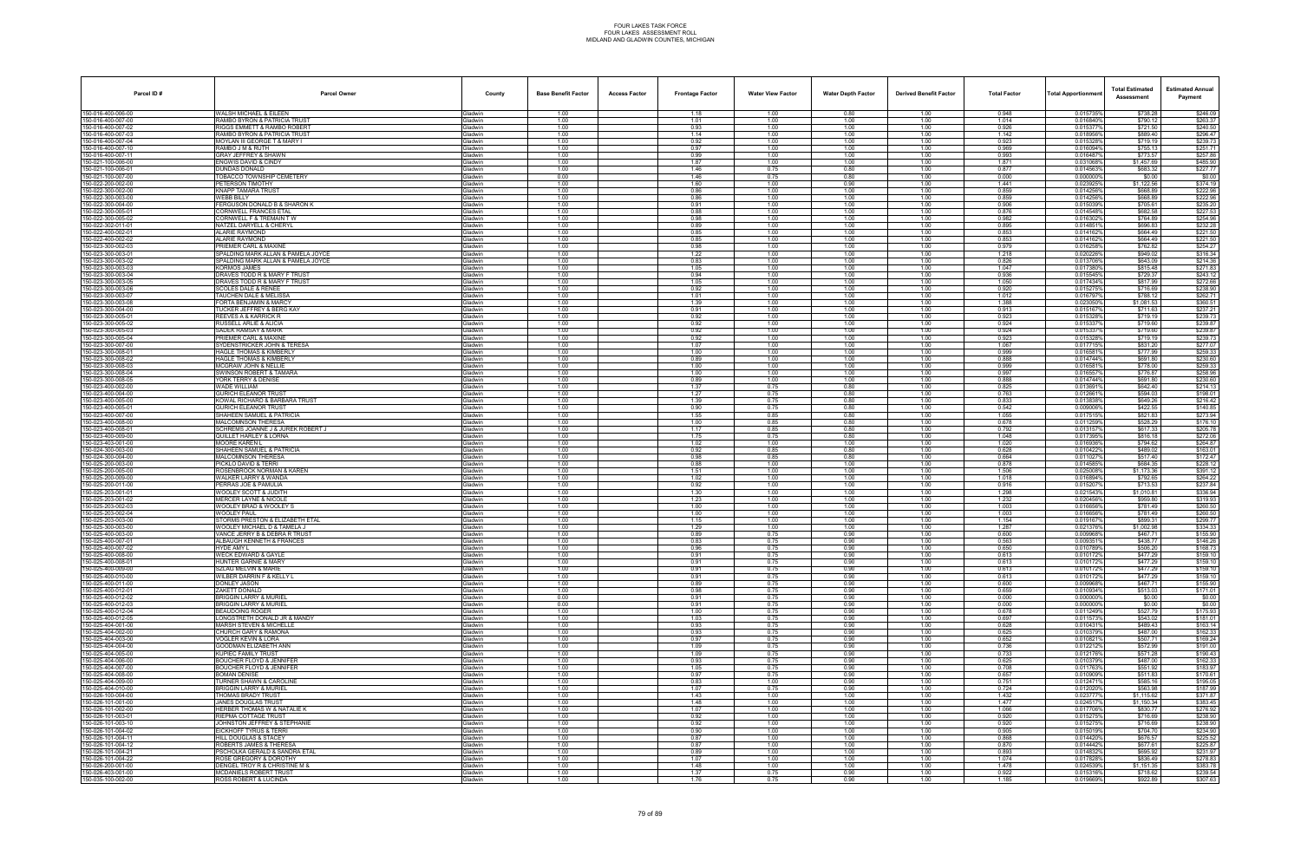| Parcel ID#                              | <b>Parcel Owner</b>                                                    | County                           | <b>Base Benefit Factor</b> | <b>Access Factor</b> | <b>Frontage Factor</b> | <b>Water View Factor</b> | <b>Water Depth Factor</b> | <b>Derived Benefit Factor</b> | <b>Total Factor</b> | Total Apportionmen     | <b>Total Estimated</b><br>Assessment | <b>Estimated Annual</b><br>Payment |
|-----------------------------------------|------------------------------------------------------------------------|----------------------------------|----------------------------|----------------------|------------------------|--------------------------|---------------------------|-------------------------------|---------------------|------------------------|--------------------------------------|------------------------------------|
| 150-016-400-006-00                      | WALSH MICHAEL & EILEEN                                                 | Gladwin                          | 1.00                       |                      | 1.18                   | 1.00                     | 0.80                      | 1.00                          | 0.948               | 0.015735%              | \$738.28                             | \$246.09                           |
| 150-016-400-007-00<br>50-016-400-007-02 | RAMBO BYRON & PATRICIA TRUST<br>IGGS EMMETT & RAMBO ROBERT             | Gladwin<br><b>Gladwin</b>        | 1.00<br>1.00               |                      | 1.01<br>0.93           | 1.00<br>1.00             | 1.00<br>1.00              | 1.00<br>1.00                  | 1.014<br>0.926      | 0.016840%<br>0.015377% | \$790.12<br>\$721.50                 | \$263.37<br>\$240.50               |
| 50-016-400-007-03                       | RAMBO BYRON & PATRICIA TRUST                                           | Gladwin                          | 1.00                       |                      | 1.14                   | 1.00                     | 1.00                      | 1.00                          | 1.142               | 0.018956%              | \$889.40                             | \$296.47                           |
| 150-016-400-007-04                      | MOYLAN III GEORGE T & MARY I                                           | Gladwin                          | 1.00                       |                      | 0.92                   | 1.00                     | 1.00                      | 1.00                          | 0.923               | 0.015328%              | \$719.19                             | \$239.73                           |
| 50-016-400-007-10<br>150-016-400-007-11 | RAMBO J M & RUTH<br>GRAY JEFFREY & SHAWN                               | Gladwin<br>Gladwin               | 1.00<br>1.00               |                      | 0.97<br>0.99           | 1.00<br>1.00             | 1.00<br>1.00              | 1.00<br>1.00                  | 0.969<br>0.993      | 0.016094%<br>0.016487% | \$755.13<br>\$773.57                 | \$251.71<br>\$257.86               |
| 50-021-100-006-00                       | NGWIS DAVID & CINDY                                                    | <b>Gladwin</b>                   | 1.00                       |                      | 1.87                   | 1.00                     | 1.00                      | 1.00                          | 1.871               | 0.031068%              | \$1.457.69                           | \$485.90                           |
| 50-021-100-006-01                       | DUNDAS DONALD                                                          | Gladwin                          | 1.00                       |                      | 1.46                   | 0.75                     | 0.80                      | 1.00                          | 0.877               | 0.014563%              | \$683.32                             | \$227.77                           |
| 50-021-100-007-00<br>50-022-200-002-00  | TOBACCO TOWNSHIP CEMETERY<br>PETERSON TIMOTHY                          | Gladwin<br>Gladwin               | 0.00<br>1.00               |                      | 1.46<br>1.60           | 0.75<br>1.00             | 0.80<br>0.90              | 1.00<br>1.00                  | 0.000<br>1.441      | 0.0000009<br>0.023925% | \$0.00<br>\$1,122.56                 | \$0.00<br>\$374.19                 |
| 50-022-300-002-00                       | KNAPP TAMARA TRUST                                                     | Gladwin                          | 1.00                       |                      | 0.86                   | 1.00                     | 1.00                      | 1.00                          | 0.859               | 0.014256%              | \$668.89                             | \$222.96                           |
| 50-022-300-003-00                       | WEBB BILLY                                                             | Gladwin                          | 1.00                       |                      | 0.86                   | 1.00                     | 1.00                      | 1.00                          | 0.859               | 0.014256%              | \$668.89                             | \$222.96                           |
| 50-022-300-004-00<br>50-022-300-005-0   | FERGUSON DONALD B & SHARON K<br>CORNWELL FRANCES ETAL                  | Gladwin<br>Gladwin               | 1.00<br>1.00               |                      | 0.91                   | 1.00                     | 1.00<br>1.00              | 1.00                          | 0.906<br>0.876      | 0.015039%<br>0.014548% | \$705.61<br>\$682.58                 | \$235.20<br>\$227.53               |
| 50-022-300-005-02                       | CORNWELL F & TREMAIN T W                                               | Gladwin                          | 1.00                       |                      | 0.88<br>0.98           | 1.00<br>1.00             | 1.00                      | 1.00<br>1.00                  | 0.982               | 0.016302%              | \$764.89                             | \$254.96                           |
| 150-022-302-011-01                      | NATZEL DARYELL & CHERYL                                                | Gladwin                          | 1.00                       |                      | 0.89                   | 1.00                     | 1.00                      | 1.00                          | 0.895               | 0.014851%              | \$696.83                             | \$232.28                           |
| 50-022-400-002-0                        | ALARIE RAYMOND                                                         | <b>Gladwin</b>                   | 1.00                       |                      | 0.85                   | 1.00                     | 1.00                      | 1.00                          | 0.853               | 0.014162%              | \$664.49<br>\$664.49                 | \$221.50                           |
| 50-022-400-002-02<br>50-023-300-002-03  | ALARIE RAYMOND<br>PRIEMER CARL & MAXINE                                | Gladwin<br>Gladwin               | 1.00<br>1.00               |                      | 0.85<br>0.98           | 1.00<br>1.00             | 1.00<br>1.00              | 1.00<br>1.00                  | 0.853<br>0.979      | 0.014162%<br>0.0162589 | \$762.82                             | \$221.50<br>\$254.27               |
| 50-023-300-003-01                       | SPALDING MARK ALLAN & PAMELA JOYCE                                     | Gladwin                          | 1.00                       |                      | 1.22                   | 1.00                     | 1.00                      | 1.00                          | 1.218               | 0.020226%              | \$949.02                             | \$316.34                           |
| 150-023-300-003-02                      | SPALDING MARK ALLAN & PAMELA JOYCE                                     | Gladwin                          | 1.00                       |                      | 0.83                   | 1.00                     | 1.00                      | 1.00                          | 0.826               | 0.013706%              | \$643.09                             | \$214.36                           |
| 50-023-300-003-03<br>50-023-300-003-04  | (ORMOS JAMES<br><b>DRAVES TODD R &amp; MARY F TRUST</b>                | <b>Gladwin</b><br>Gladwin        | 1.00<br>1.00               |                      | 1.05<br>0.94           | 1.00<br>1.00             | 1.00<br>1.00              | 1.00<br>1.00                  | 1.047<br>0.936      | 0.0173809<br>0.015545% | \$815.48<br>\$729.37                 | \$271.83<br>\$243.12               |
| 50-023-300-003-05                       | DRAVES TODD R & MARY F TRUST                                           | Gladwin                          | 1.00                       |                      | 1.05                   | 1.00                     | 1.00                      | 1.00                          | 1.050               | 0.017434%              | \$817.99                             | \$272.66                           |
| 50-023-300-003-06                       | <b>SCOLES DALE &amp; RENEE</b>                                         | Gladwin                          | 1.00                       |                      | 0.92                   | 1.00                     | 1.00                      | 1.00                          | 0.920               | 0.015275%              | \$716.69                             | \$238.90                           |
| 50-023-300-003-07<br>50-023-300-003-08  | TAUCHEN DALE & MELISSA<br>ORTA BENJAMIN & MARCY                        | Gladwin<br><b>Gladwin</b>        | 1.00<br>1.00               |                      | 1.01<br>1.39           | 1.00<br>1.00             | 1.00<br>1.00              | 1.00<br>1.00                  | 1.012<br>1.388      | 0.0167979<br>0.0230509 | \$788.12<br>\$1,081.53               | \$262.71<br>\$360.51               |
| 50-023-300-004-00                       | UCKER JEFFREY & BERG KAY                                               | Gladwin                          | 1.00                       |                      | 0.91                   | 1.00                     | 1.00                      | 1.00                          | 0.913               | 0.015167%              | \$711.63                             | \$237.21                           |
| 50-023-300-005-01                       | REEVES A & KARRICK R                                                   | Gladwin                          | 1.00                       |                      | 0.92                   | 1.00                     | 1.00                      | 1.00                          | 0.923               | 0.0153289              | \$719.19                             | \$239.73                           |
| 50-023-300-005-02                       | RUSSELL ARLIE & ALICIA                                                 | Gladwin                          | 1.00                       |                      | 0.92                   | 1.00                     | 1.00                      | 1.00                          | 0.924               | 0.015337%              | \$719.60                             | \$239.87                           |
| 50-023-300-005-03<br>50-023-300-005-04  | SADEK RAMSAY & MARK<br>RIEMER CARL & MAXINE                            | Gladwin<br><b>Gladwin</b>        | 1.00<br>1.00               |                      | 0.92<br>0.92           | 1.00<br>1.00             | 1.00<br>1.00              | 1.00<br>1.00                  | 0.924<br>0.923      | 0.015337%<br>0.015328% | \$719.60<br>\$719.19                 | \$239.87<br>\$239.73               |
| 50-023-300-007-00                       | SYDENSTRICKER JOHN & TERESA                                            | Gladwin                          | 1.00                       |                      | 1.07                   | 1.00                     | 1.00                      | 1.00                          | 1.067               | 0.017715%              | \$831.20                             | \$277.07                           |
| 50-023-300-008-0                        | HAGLE THOMAS & KIMBERLY                                                | Gladwin                          | 1.00                       |                      | 1.00                   | 1.00                     | 1.00                      | 1.00                          | 0.999               | 0.016581%              | \$777.99                             | \$259.33                           |
| 50-023-300-008-02<br>50-023-300-008-03  | <b>HAGLE THOMAS &amp; KIMBERLY</b><br>MCGRAW JOHN & NELLIE             | Gladwin<br>Gladwin               | 1.00<br>1.00               |                      | 0.89<br>1.00           | 1.00<br>1.00             | 1.00<br>1.00              | 1.00<br>1.00                  | 0.888<br>0.999      | 0.014744%<br>0.016581% | \$691.80<br>\$778.00                 | \$230.60<br>\$259.33               |
| 50-023-300-008-04                       | SWINSON ROBERT & TAMARA                                                | <b>Gladwin</b>                   | 1.00                       |                      | 1.00                   | 1.00                     | 1.00                      | 1.00                          | 0.997               | 0.0165579              | \$776.87                             | \$258.96                           |
| 50-023-300-008-05                       | YORK TERRY & DENISE                                                    | Gladwin                          | 1.00                       |                      | 0.89                   | 1.00                     | 1.00                      | 1.00                          | 0.888               | 0.014744%              | \$691.80                             | \$230.60                           |
| 50-023-400-002-00<br>50-023-400-004-00  | WADE WILLIAM<br>GURICH ELEANOR TRUST                                   | Gladwin<br>Gladwin               | 1.00<br>1.00               |                      | 1.37<br>1.27           | 0.75<br>0.75             | 0.80<br>0.80              | 1.00<br>1.00                  | 0.825<br>0.763      | 0.013691%<br>0.012661% | \$642.40<br>\$594.03                 | \$214.13<br>\$198.01               |
| 50-023-400-005-00                       | <b>KOWAL RICHARD &amp; BARBARA TRUST</b>                               | Gladwin                          | 1.00                       |                      | 1.39                   | 0.75                     | 0.80                      | 1.00                          | 0.833               | 0.013838%              | \$649.26                             | \$216.42                           |
| 50-023-400-005-0                        | URICH ELEANOR TRUST                                                    | <b>Gladwin</b>                   | 1.00                       |                      | 0.90                   | 0.75                     | 0.80                      | 1.00                          | 0.542               | 0.009006%              | \$422.55                             | \$140.85                           |
| 50-023-400-007-00<br>50-023-400-008-00  | SHAHEEN SAMUEL & PATRICIA                                              | Gladwin                          | 1.00                       |                      | 1.55                   | 0.85                     | 0.80                      | 1.00                          | 1.055               | 0.017515%              | \$821.83                             | \$273.94                           |
| 50-023-400-008-01                       | MALCOMNSON THERESA<br>SCHREMS JOANNE J & JUREK ROBERT J                | Gladwin<br>Gladwin               | 1.00<br>1.00               |                      | 1.00<br>1.17           | 0.85<br>0.85             | 0.80<br>0.80              | 1.00<br>1.00                  | 0.678<br>0.792      | 0.0112599<br>0.013157% | \$528.29<br>\$617.33                 | \$176.10<br>\$205.78               |
| 50-023-400-009-00                       | QUILLET HARLEY & LORNA                                                 | <b>Gladwin</b>                   | 1.00                       |                      | 1.75                   | 0.75                     | 0.80                      | 1.00                          | 1.048               | 0.0173959              | \$816.18                             | \$272.06                           |
| 50-023-403-001-00                       | MOORE KAREN L                                                          | <b>Gladwin</b>                   | 1.00                       |                      | 1.02                   | 1.00                     | 1.00                      | 1.00                          | 1.020               | 0.0169369              | \$794.62                             | \$264.87                           |
| 50-024-300-003-00<br>50-024-300-004-00  | SHAHEEN SAMUEL & PATRICIA<br>MALCOMNSON THERESA                        | Gladwin<br>Gladwin               | 1.00<br>1.00               |                      | 0.92<br>0.98           | 0.85<br>0.85             | 0.80<br>0.80              | 1.00<br>1.00                  | 0.628<br>0.664      | 0.010422%<br>0.0110279 | \$489.02<br>\$517.40                 | \$163.01<br>\$172.47               |
| 50-025-200-003-00                       | <b>PICKLO DAVID &amp; TERRI</b>                                        | Gladwin                          | 1.00                       |                      | 0.88                   | 1.00                     | 1.00                      | 1.00                          | 0.878               | 0.014585%              | \$684.35                             | \$228.12                           |
| 50-025-200-005-00                       | ROSENBROCK NORMAN & KAREN                                              | Gladwin                          | 1.00                       |                      | 1.51                   | 1.00                     | 1.00                      | 1.00                          | 1.506               | 0.025008%              | \$1,173.36                           | \$391.12                           |
| 50-025-200-009-00<br>50-025-200-011-00  | VALKER LARRY & WANDA<br>PERRAS JOE & PAMULIA                           | <b>Gladwin</b><br>Gladwin        | 1.00<br>1.00               |                      | 1.02<br>0.92           | 1.00<br>1.00             | 1.00<br>1.00              | 1.00<br>1.00                  | 1.018<br>0.916      | 0.016894%<br>0.015207% | \$792.65<br>\$713.53                 | \$264.22<br>\$237.84               |
| 50-025-203-001-01                       | <b>WOOLEY SCOTT &amp; JUDITH</b>                                       | Gladwin                          | 1.00                       |                      | 1.30                   | 1.00                     | 1.00                      | 1.00                          | 1.298               | 0.021543%              | \$1,010.81                           | \$336.94                           |
| 150-025-203-001-02                      | MERCER LAYNE & NICOLE                                                  | Gladwin                          | 1.00                       |                      | 1.23                   | 1.00                     | 1.00                      | 1.00                          | 1.232               | 0.020456%              | \$959.80                             | \$319.93                           |
| 50-025-203-002-03<br>50-025-203-002-04  | WOOLEY BRAD & WOOLEY S<br>NOOLEY PAUL                                  | <b>Gladwin</b><br><b>Gladwin</b> | 1.00<br>1.00               |                      | 1.00<br>1.00           | 1.00<br>1.00             | 1.00<br>1.00              | 1.00<br>1.00                  | 1.003<br>1.003      | 0.0166569<br>0.0166569 | \$781.49<br>\$781.49                 | \$260.50<br>\$260.50               |
| 50-025-203-003-00                       | STORMS PRESTON & ELIZABETH ETAL                                        | Gladwin                          | 1.00                       |                      | 1.15                   | 1.00                     | 1.00                      | 1.00                          | 1.154               | 0.019167%              | \$899.31                             | \$299.77                           |
| 50-025-300-003-00                       | <b>NOOLEY MICHAEL D &amp; TAMELA J</b>                                 | Gladwin                          | 1.00                       |                      | 1.29                   | 1.00                     | 1.00                      | 1.00                          | 1.287               | 0.021376               | \$1,002.98                           | \$334.33                           |
| 50-025-400-003-00<br>50-025-400-007-01  | VANCE JERRY B & DEBRA R TRUST                                          | Gladwin                          | 1.00                       |                      | 0.89                   | 0.75<br>0.75             | 0.90                      | 1.00<br>1.00                  | 0.600               | 0.009968%              | \$467.71<br>\$438.77                 | \$155.90<br>\$146.26               |
| 150-025-400-007-02                      | ALBAUGH KENNETH & FRANCES<br>IYDE AMY L                                | <b>Gladwin</b><br>Gladwin        | 1.00<br>1.00               |                      | 0.83<br>0.96           | 0.75                     | 0.90<br>0.90              | 1.00                          | 0.563<br>0.650      | 0.0093519<br>0.010789% | \$506.20                             | \$168.73                           |
| 50-025-400-008-00                       | WECK EDWARD & GAYLE                                                    | Gladwin                          | 1.00                       |                      | 0.91                   | 0.75                     | 0.90                      | 1.00                          | 0.613               | 0.010172%              | \$477.29                             | \$159.10                           |
| 50-025-400-008-01                       | HUNTER GARNIE & MARY                                                   | Gladwin                          | 1.00                       |                      | 0.91                   | 0.75                     | 0.90                      | 1.00                          | 0.613               | 0.010172%              | \$477.29                             | \$159.10                           |
| 50-025-400-009-00<br>50-025-400-010-00  | <b>SZLAG MELVIN &amp; MARIE</b><br>WILBER DARRIN F & KELLY L           | Gladwin<br>Gladwin               | 1.00<br>1.00               |                      | 0.91<br>0.91           | 0.75<br>0.75             | 0.90<br>0.90              | 1.00<br>1.00                  | 0.613<br>0.613      | 0.010172%<br>0.010172% | \$477.29<br>\$477.29                 | \$159.10<br>\$159.10               |
| 50-025-400-011-00                       | DONLEY JASON                                                           | Gladwin                          | 1.00                       |                      | 0.89                   | 0.75                     | 0.90                      | 1.00                          | 0.600               | 0.009968%              | \$467.71                             | \$155.90                           |
| 50-025-400-012-01                       | ZAKETT DONALD                                                          | Gladwin                          | 1.00                       |                      | 0.98                   | 0.75                     | 0.90                      | 1.00                          | 0.659               | 0.010934%              | \$513.03                             | \$171.01                           |
| 50-025-400-012-02<br>150-025-400-012-03 | <b>BRIGGIN LARRY &amp; MURIEL</b><br><b>BRIGGIN LARRY &amp; MURIEL</b> | Gladwin<br>Gladwin               | 0.00<br>0.00               |                      | 0.91<br>0.91           | 0.75<br>0.75             | 0.90<br>0.90              | 1.00<br>1.00                  | 0.000<br>0.000      | 0.000000%<br>0.000000% | \$0.00<br>\$0.00                     | \$0.00<br>\$0.00                   |
| 50-025-400-012-04                       | BEAUDOING ROGER                                                        | Gladwin                          | 1.00                       |                      | 1.00                   | 0.75                     | 0.90                      | 1.00                          | 0.678               | 0.011249%              | \$527.79                             | \$175.93                           |
| 50-025-400-012-05                       | ONGSTRETH DONALD JR & MANDY                                            | Gladwin                          | 1.00                       |                      | 1.03                   | 0.75                     | 0.90                      | 1.00                          | 0.697               | 0.011573%              | \$543.02                             | \$181.01                           |
| 50-025-404-001-00<br>50-025-404-002-00  | <b>MARSH STEVEN &amp; MICHELLE</b><br><b>CHURCH GARY &amp; RAMONA</b>  | Gladwin<br>Gladwin               | 1.00<br>1.00               |                      | 0.93<br>0.93           | 0.75<br>0.75             | 0.90<br>0.90              | 1.00<br>1.00                  | 0.628<br>0.625      | 0.010431%<br>0.010379% | \$489.43<br>\$487.00                 | \$163.14<br>\$162.33               |
| 150-025-404-003-00                      | <b>VOGLER KEVIN &amp; LORA</b>                                         | Gladwin                          | 1.00                       |                      | 0.97                   | 0.75                     | 0.90                      | 1.00                          | 0.652               | 0.010821%              | \$507.71                             | \$169.24                           |
| 50-025-404-004-00                       | GOODMAN ELIZABETH ANN                                                  | Gladwin                          | 1.00                       |                      | 1.09                   | 0.75                     | 0.90                      | 1.00                          | 0.736               | 0.012212%              | \$572.99                             | \$191.00                           |
| 50-025-404-005-00                       | (UPIEC FAMILY TRUST                                                    | Gladwin                          | 1.00                       |                      | 1.09                   | 0.75                     | 0.90                      | 1.00                          | 0.733               | 0.012176%              | \$571.28                             | \$190.43                           |
| 50-025-404-006-00<br>50-025-404-007-00  | BOUCHER FLOYD & JENNIFER<br>BOUCHER FLOYD & JENNIFER                   | Gladwin<br>Gladwin               | 1.00<br>1.00               |                      | 0.93<br>1.05           | 0.75<br>0.75             | 0.90<br>0.90              | 1.00<br>1.00                  | 0.625<br>0.708      | 0.010379%<br>0.011763% | \$487.00<br>\$551.92                 | \$162.33<br>\$183.97               |
| 150-025-404-008-00                      | <b>BOMAN DENISE</b>                                                    | Gladwin                          | 1.00                       |                      | 0.97                   | 0.75                     | 0.90                      | 1.00                          | 0.657               | 0.010909%              | \$511.83                             | \$170.61                           |
| 50-025-404-009-00                       | <b>TURNER SHAWN &amp; CAROLINE</b>                                     | Gladwin                          | 1.00                       |                      | 0.83                   | 1.00                     | 0.90                      | 1.00                          | 0.751               | 0.012471%              | \$585.16                             | \$195.05                           |
| 50-025-404-010-00<br>50-026-100-004-00  | RIGGIN LARRY & MURIEL<br>THOMAS BRADY TRUST                            | Gladwin<br>Gladwin               | 1.00<br>1.00               |                      | 1.07<br>1.43           | 0.75<br>1.00             | 0.90<br>1.00              | 1.00<br>1.00                  | 0.724<br>1.432      | 0.012020%<br>0.023777% | \$563.98<br>\$1.115.62               | \$187.99<br>\$371.87               |
| 50-026-101-001-00                       | <b>JANES DOUGLAS TRUST</b>                                             | Gladwin                          | 1.00                       |                      | 1.48                   | 1.00                     | 1.00                      | 1.00                          | 1.477               | 0.024517%              | \$1,150.34                           | \$383.45                           |
| 50-026-101-002-00                       | HERBER THOMAS W & NATALIE K                                            | Gladwin                          | 1.00                       |                      | 1.07                   | 1.00                     | 1.00                      | 1.00                          | 1.066               | 0.017706%              | \$830.77                             | \$276.92                           |
| 50-026-101-003-01<br>50-026-101-003-10  | RIEPMA COTTAGE TRUST<br>JOHNSTON JEFFREY & STEPHANIE                   | Gladwin<br>Gladwin               | 1.00<br>1.00               |                      | 0.92<br>0.92           | 1.00<br>1.00             | 1.00<br>1.00              | 1.00                          | 0.920               | 0.015275%              | \$716.69<br>\$716.69                 | \$238.90<br>\$238.90               |
| 50-026-101-004-02                       | <b>EICKHOFF TYRUS &amp; TERRI</b>                                      | Gladwin                          | 1.00                       |                      | 0.90                   | 1.00                     | 1.00                      | 1.00<br>1.00                  | 0.920<br>0.905      | 0.015275%<br>0.015019% | \$704.70                             | \$234.90                           |
| 50-026-101-004-11                       | <b>HILL DOUGLAS &amp; STACEY</b>                                       | Gladwin                          | 1.00                       |                      | 0.87                   | 1.00                     | 1.00                      | 1.00                          | 0.868               | 0.014420%              | \$676.57                             | \$225.52                           |
| 50-026-101-004-12                       | ROBERTS JAMES & THERESA                                                | Gladwin                          | 1.00                       |                      | 0.87                   | 1.00                     | 1.00                      | 1.00                          | 0.870               | 0.014442%              | \$677.61                             | \$225.87                           |
| 50-026-101-004-21<br>50-026-101-004-22  | PSCHOLKA GERALD & SANDRA ETAL<br>OSE GREGORY & DOROTHY                 | Gladwin<br>Gladwin               | 1.00<br>1.00               |                      | 0.89<br>1.07           | 1.00<br>1.00             | 1.00<br>1.00              | 1.00<br>1.00                  | 0.893<br>1.074      | 0.014832%<br>0.017828% | \$695.92<br>\$836.49                 | \$231.97<br>\$278.83               |
| 50-026-200-001-00                       | DENGEL TROY R & CHRISTINE M &                                          | Gladwin                          | 1.00                       |                      | 1.48                   | 1.00                     | 1.00                      | 1.00                          | 1.478               | 0.024539%              | \$1,151.35                           | \$383.78                           |
| 50-026-403-001-00                       | <b>MCDANIELS ROBERT TRUST</b>                                          | Gladwin                          | 1.00                       |                      | 1.37                   | 0.75                     | 0.90                      | 1.00                          | 0.922               | 0.015316%              | \$718.62                             | \$239.54                           |
| 50-035-100-002-00                       | ROSS ROBERT & LUCINDA                                                  | Gladwin                          | 1.00                       |                      | 1.76                   | 0.75                     | 0.90                      | 1.00                          | 1.185               | 0.019669%              | \$922.89                             | \$307.63                           |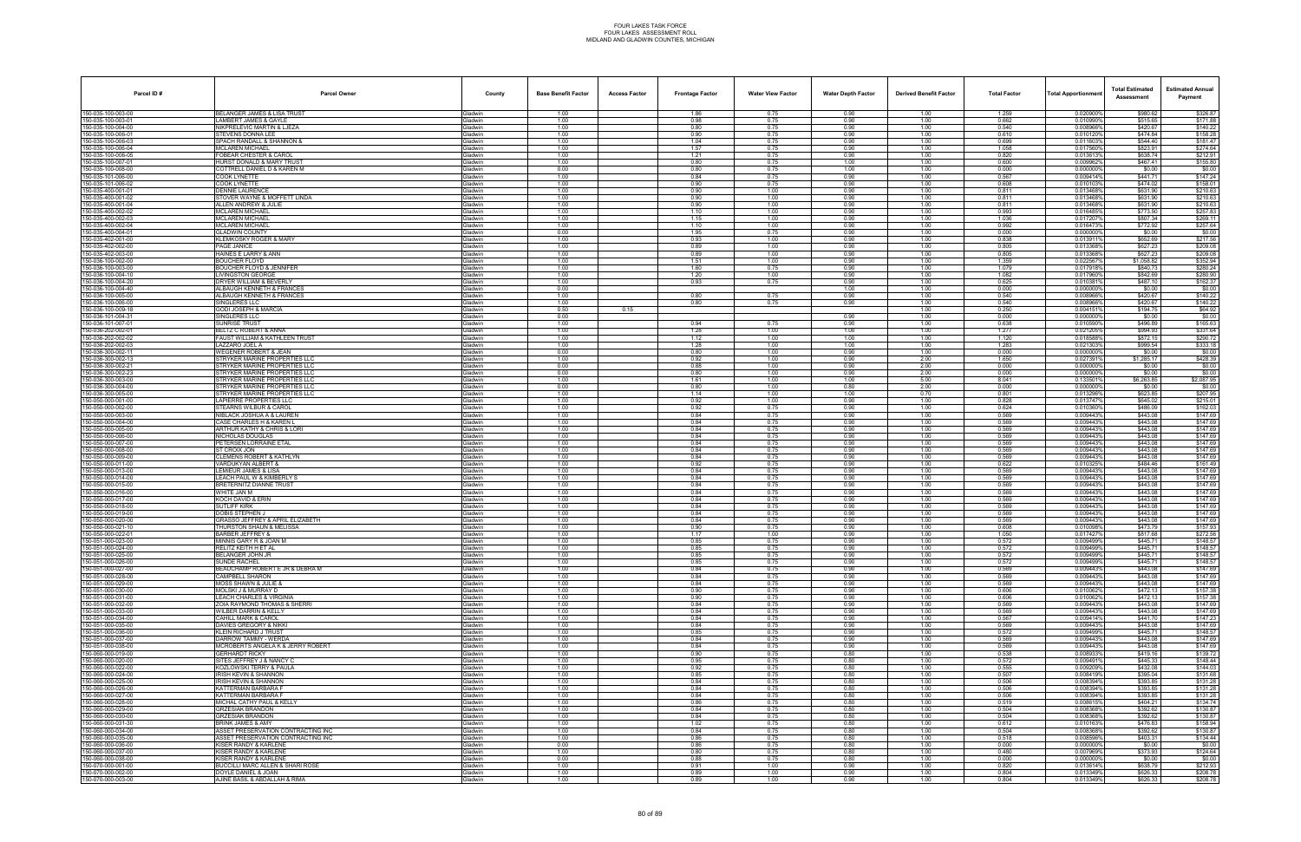| Parcel ID#                              | <b>Parcel Owner</b>                                                  | County                           | <b>Base Benefit Factor</b> | <b>Access Factor</b> | <b>Frontage Factor</b> | <b>Water View Factor</b> | <b>Water Depth Factor</b> | <b>Derived Benefit Factor</b> | <b>Total Factor</b> | <b>Total Apportionmer</b> | <b>Total Estimated</b><br>Assessment | <b>Estimated Annual</b><br>Payment |
|-----------------------------------------|----------------------------------------------------------------------|----------------------------------|----------------------------|----------------------|------------------------|--------------------------|---------------------------|-------------------------------|---------------------|---------------------------|--------------------------------------|------------------------------------|
| 150-035-100-003-00                      | <b>BELANGER JAMES &amp; LISA TRUST</b>                               | Gladwin                          | 1.00                       |                      | 1.86                   | 0.75                     | 0.90                      | 1.00                          | 1.259               | 0.020900%                 | \$980.62                             | \$326.87                           |
| 50-035-100-003-01<br>50-035-100-004-00  | LAMBERT JAMES & GAYLE<br>NIKPRELEVIC MARTIN & LJEZA                  | <b>Gladwin</b><br><b>Gladwin</b> | 1.00<br>1.00               |                      | 0.98<br>0.80           | 0.75<br>0.75             | 0.90<br>0.90              | 1.00<br>1.00                  | 0.662<br>0.540      | 0.0109909<br>0.008966%    | \$515.65<br>\$420.67                 | \$171.88<br>\$140.22               |
| 150-035-100-006-01                      | STEVENS DONNA LEE                                                    | Gladwin                          | 1.00                       |                      | 0.90                   | 0.75                     | 0.90                      | 1.00                          | 0.610               | 0.010120%                 | \$474.84                             | \$158.28                           |
| 50-035-100-006-03<br>150-035-100-006-04 | SPACH RANDALL & SHANNON &<br>MCLAREN MICHAEL                         | Gladwin<br>Gladwin               | 1.00<br>1.00               |                      | 1.04<br>1.57           | 0.75<br>0.75             | 0.90<br>0.90              | 1.00<br>1.00                  | 0.699<br>1.058      | 0.0116039<br>0.017560%    | \$544.40<br>\$823.91                 | \$181.47<br>\$274.64               |
| 50-035-100-006-05                       | FOBEAR CHESTER & CAROL                                               | <b>Gladwin</b>                   | 1.00                       |                      | 1.21                   | 0.75                     | 0.90                      | 1.00                          | 0.820               | 0.0136139                 | \$638.74                             | \$212.91                           |
| 50-035-100-007-0                        | HURST DONALD & MARY TRUST                                            | <b>Gladwin</b>                   | 1.00                       |                      | 0.80                   | 0.75                     | 1.00                      | 1.00                          | 0.600               | 0.0099629                 | \$467.41                             | \$155.80                           |
| 150-035-100-008-00<br>50-035-101-006-00 | COTTRELL DANIEL D & KAREN M<br>COOK LYNETTE                          | Gladwin<br><b>Gladwin</b>        | 0.00<br>1.00               |                      | 0.80<br>0.84           | 0.75<br>0.75             | 1.00<br>0.90              | 1.00<br>1.00                  | 0.000<br>0.567      | 0.000000%<br>0.009414%    | \$0.00<br>\$441.71                   | \$0.00<br>\$147.24                 |
| 150-035-101-006-02                      | <b>COOK LYNETTE</b>                                                  | Gladwin                          | 1.00                       |                      | 0.90                   | 0.75                     | 0.90                      | 1.00                          | 0.608               | 0.0101039                 | \$474.02                             | \$158.01                           |
| 50-035-400-001-01<br>50-035-400-001-02  | DENNIE LAURENCE<br>STOVER WAYNE & MOFFETT LINDA                      | <b>Gladwin</b><br><b>Gladwin</b> | 1.00<br>1.00               |                      | 0.90<br>0.90           | 1.00<br>1.00             | 0.90<br>0.90              | 1.00<br>1.00                  | 0.811<br>0.811      | 0.0134689<br>0.0134689    | \$631.90<br>\$631.90                 | \$210.63<br>\$210.63               |
| 150-035-400-001-04                      | ALLEN ANDREW & JULIE                                                 | Gladwin                          | 1.00                       |                      | 0.90                   | 1.00                     | 0.90                      | 1.00                          | 0.811               | 0.013468%                 | \$631.90                             | \$210.63                           |
| 50-035-400-002-02<br>150-035-400-002-03 | MCLAREN MICHAEL<br><b>MCLAREN MICHAEL</b>                            | Gladwin<br>Gladwin               | 1.00<br>1.00               |                      | 1.10<br>1.15           | 1.00<br>1.00             | 0.90<br>0.90              | 1.00<br>1.00                  | 0.993<br>1.036      | 0.016485%<br>0.017207     | \$773.50<br>\$807.34                 | \$257.83<br>\$269.11               |
| 50-035-400-002-04                       | <b>MCLAREN MICHAEL</b>                                               | <b>Gladwin</b>                   | 1.00                       |                      | 1.10                   | 1.00                     | 0.90                      | 1.00                          | 0.992               | 0.0164739                 | \$772.92                             | \$257.64                           |
| 50-035-400-004-01                       | <b>GLADWIN COUNTY</b>                                                | <b>Gladwin</b>                   | 0.00                       |                      | 1.95                   | 0.75                     | 0.90                      | 1.00                          | 0.000               | 0.0000009                 | \$0.00                               | \$0.00                             |
| 150-035-402-001-00<br>50-035-402-002-00 | KLEMKOSKY ROGER & MARY<br>PAGE JANICE                                | Gladwin<br><b>Gladwin</b>        | 1.00<br>1.00               |                      | 0.93<br>0.89           | 1.00<br>1.00             | 0.90<br>0.90              | 1.00<br>1.00                  | 0.838<br>0.805      | 0.0139119<br>0.013368%    | \$652.69<br>\$627.23                 | \$217.56<br>\$209.08               |
| 50-035-402-003-00                       | HAINES E LARRY & ANN                                                 | Gladwin                          | 1.00                       |                      | 0.89                   | 1.00                     | 0.90                      | 1.00                          | 0.805               | 0.013368%                 | \$627.23                             | \$209.08                           |
| 50-036-100-002-00<br>50-036-100-003-00  | BOUCHER FLOYD<br><b>BOUCHER FLOYD &amp; JENNIFER</b>                 | <b>Gladwin</b><br><b>Gladwin</b> | 1.00<br>1.00               |                      | 1.51<br>1.60           | 1.00<br>0.75             | 0.90<br>0.90              | 1.00<br>1.00                  | 1.359<br>1.079      | 0.0225679<br>0.0179189    | \$1,058.82<br>\$840.73               | \$352.94<br>\$280.24               |
| 150-036-100-004-10                      | LIVINGSTON GEORGE                                                    | Gladwin                          | 1.00                       |                      | 1.20                   | 1.00                     | 0.90                      | 1.00                          | 1.082               | 0.017960%                 | \$842.69                             | \$280.90                           |
| 50-036-100-004-20<br>50-036-100-004-40  | DRYER WILLIAM & BEVERLY<br>ALBAUGH KENNETH & FRANCES                 | Gladwin<br><b>Gladwin</b>        | 1.00<br>0.00               |                      | 0.93                   | 0.75                     | 0.90<br>1.00              | 1.00<br>1.00                  | 0.625<br>0.000      | 0.0103819<br>0.0000009    | \$487.10<br>\$0.00                   | \$162.37<br>\$0.00                 |
| 50-036-100-005-00                       | ALBAUGH KENNETH & FRANCES                                            | <b>Gladwin</b>                   | 1.00                       |                      | 0.80                   | 0.75                     | 0.90                      | 1.00                          | 0.540               | 0.008966%                 | \$420.67                             | \$140.22                           |
| 50-036-100-006-00                       | SINGLERES LLC                                                        | <b>Gladwin</b>                   | 1.00                       |                      | 0.80                   | 0.75                     | 0.90                      | 1.00                          | 0.540               | 0.008966%                 | \$420.67                             | \$140.22                           |
| 150-036-100-009-18<br>50-036-101-004-31 | GODI JOSEPH & MARCIA<br>SINGLERES LLC                                | Gladwin<br><b>Gladwin</b>        | 0.50<br>0.00               | 0.15                 |                        |                          | 0.90                      | 1.00<br>1.00                  | 0.250<br>0.000      | 0.004151%<br>0.0000009    | \$194.75<br>\$0.00                   | \$64.92<br>\$0.00                  |
| 50-036-101-007-01                       | <b>SUNRISE TRUST</b>                                                 | Gladwin                          | 1.00                       |                      | 0.94                   | 0.75                     | 0.90                      | 1.00                          | 0.638               | 0.010590%                 | \$496.89                             | \$165.63                           |
| 50-036-202-002-01<br>50-036-202-002-02  | BELTZ C ROBERT & ANNA<br>FAUST WILLIAM & KATHLEEN TRUST              | <b>Gladwin</b><br><b>Gladwin</b> | 1.00<br>1.00               |                      | 1.28<br>1.12           | 1.00<br>1.00             | 1.00<br>1.00              | 1.00<br>1.00                  | 1.277<br>1.120      | 0.021205%<br>0.0185889    | \$994.93<br>\$872.15                 | \$331.64<br>\$290.72               |
| 50-036-202-002-03                       | LAZZARO JOEL A                                                       | Gladwin                          | 1.00                       |                      | 1.28                   | 1.00                     | 1.00                      | 1.00                          | 1.283               | 0.021303%                 | \$999.54                             | \$333.18                           |
| 50-036-300-002-11                       | WEGENER ROBERT & JEAN                                                | Gladwin                          | 0.00                       |                      | 0.80                   | 1.00                     | 0.90                      | 1.00                          | 0.000               | 0.0000009                 | \$0.00                               | \$0.00                             |
| 50-036-300-002-13<br>50-036-300-002-21  | STRYKER MARINE PROPERTIES LLC<br>STRYKER MARINE PROPERTIES LLC       | <b>Gladwin</b><br><b>Gladwin</b> | 1.00<br>0.00               |                      | 0.92<br>0.88           | 1.00<br>1.00             | 0.90<br>0.90              | 2.00<br>2.00                  | 1.650<br>0.000      | 0.027391<br>0.000000%     | \$1,285.17<br>\$0.00                 | \$428.39<br>\$0.00                 |
| 50-036-300-002-23                       | STRYKER MARINE PROPERTIES LLC                                        | <b>Gladwin</b>                   | 0.00                       |                      | 0.80                   | 1.00                     | 0.90                      | 2.00                          | 0.000               | 0.0000009                 | \$0.00                               | \$0.00                             |
| 50-036-300-003-00<br>50-036-300-004-00  | STRYKER MARINE PROPERTIES LLC<br>STRYKER MARINE PROPERTIES LLC       | Gladwin<br><b>Gladwin</b>        | 1.00<br>0.00               |                      | 1.61<br>0.80           | 1.00<br>1.00             | 1.00<br>0.80              | 5.00<br>2.00                  | 8.041<br>0.000      | 0.1335019<br>0.0000009    | \$6,263.85<br>\$0.00                 | \$2,087.95<br>\$0.00               |
| 50-036-300-005-00                       | STRYKER MARINE PROPERTIES LLC                                        | <b>Gladwin</b>                   | 1.00                       |                      | 1.14                   | 1.00                     | 1.00                      | 0.70                          | 0.801               | 0.013296%                 | \$623.85                             | \$207.95                           |
| 50-050-000-001-00                       | LAPIERRE PROPERTIES LLC                                              | <b>Gladwin</b>                   | 1.00                       |                      | 0.92                   | 1.00                     | 0.90                      | 1.00                          | 0.828               | 0.013747%                 | \$645.02                             | \$215.01                           |
| 50-050-000-002-00<br>50-050-000-003-00  | STEARNS WILBUR & CAROL<br>NIBLACK JOSHUA A & LAUREN                  | <b>Gladwin</b><br>Gladwin        | 1.00<br>1.00               |                      | 0.92<br>0.84           | 0.75<br>0.75             | 0.90<br>0.90              | 1.00<br>1.00                  | 0.624<br>0.569      | 0.010360%<br>0.009443%    | \$486.09<br>\$443.08                 | \$162.03<br>\$147.69               |
| 50-050-000-004-00                       | CASE CHARLES H & KAREN I                                             | Gladwin                          | 1.00                       |                      | 0.84                   | 0.75                     | 0.90                      | 1.00                          | 0.569               | 0.0094439                 | \$443.08                             | \$147.69                           |
| 50-050-000-005-00<br>50-050-000-006-00  | ARTHUR KATHY & CHRIS & LOR<br>NICHOLAS DOUGLAS                       | <b>Gladwin</b><br><b>Gladwin</b> | 1.00<br>1.00               |                      | 0.84<br>0.84           | 0.75<br>0.75             | 0.90<br>0.90              | 1.00<br>1.00                  | 0.569<br>0.569      | 0.0094439<br>0.009443%    | \$443.08<br>\$443.08                 | \$147.69<br>\$147.69               |
| 50-050-000-007-00                       | <b>PETERSEN LORRAINE ETAL</b>                                        | <b>Gladwin</b>                   | 1.00                       |                      | 0.84                   | 0.75                     | 0.90                      | 1.00                          | 0.569               | 0.009443%                 | \$443.08                             | \$147.69                           |
| 50-050-000-008-00<br>50-050-000-009-00  | <b>ST CROIX JON</b><br>CLEMENS ROBERT & KATHLYN                      | Gladwin<br><b>Gladwin</b>        | 1.00<br>1.00               |                      | 0.84<br>0.84           | 0.75<br>0.75             | 0.90<br>0.90              | 1.00<br>1.00                  | 0.569<br>0.569      | 0.0094439<br>0.0094439    | \$443.08<br>\$443.08                 | \$147.69<br>\$147.69               |
| 50-050-000-011-00                       | <b>VARDUKYAN ALBERT &amp;</b>                                        | <b>Gladwin</b>                   | 1.00                       |                      | 0.92                   | 0.75                     | 0.90                      | 1.00                          | 0.622               | 0.0103259                 | \$484.46                             | \$161.49                           |
| 50-050-000-013-00                       | LEMIEUR JAMES & LISA                                                 | <b>Gladwin</b>                   | 1.00                       |                      | 0.84                   | 0.75                     | 0.90                      | 1.00                          | 0.569               | 0.009443%                 | \$443.08                             | \$147.69                           |
| 50-050-000-014-00<br>50-050-000-015-00  | EACH PAUL W & KIMBERLY S.<br>BRETERNITZ DIANNE TRUST                 | <b>Gladwin</b><br>Gladwin        | 1.00<br>1.00               |                      | 0.84<br>0.84           | 0.75<br>0.75             | 0.90<br>0.90              | 1.00<br>1.00                  | 0.569<br>0.569      | 0.009443%<br>0.009443%    | \$443.08<br>\$443.08                 | \$147.69<br>\$147.69               |
| 50-050-000-016-00                       | WHITE JAN M                                                          | <b>Gladwin</b>                   | 1.00                       |                      | 0.84                   | 0.75                     | 0.90                      | 1.00                          | 0.569               | 0.0094439                 | \$443.08                             | \$147.69                           |
| 50-050-000-017-00<br>50-050-000-018-00  | KOCH DAVID & ERIN<br>SUTLIFF KIRK                                    | Gladwin<br><b>Gladwin</b>        | 1.00<br>1.00               |                      | 0.84<br>0.84           | 0.75<br>0.75             | 0.90<br>0.90              | 1.00<br>1.00                  | 0.569<br>0.569      | 0.0094439<br>0.009443%    | \$443.08<br>\$443.08                 | \$147.69<br>\$147.69               |
| 50-050-000-019-00                       | DOBIS STEPHEN J                                                      | <b>Gladwin</b>                   | 1.00                       |                      | 0.84                   | 0.75                     | 0.90                      | 1.00                          | 0.569               | 0.009443%                 | \$443.08                             | \$147.69                           |
| 50-050-000-020-00<br>50-050-000-021-10  | GRASSO JEFFREY & APRIL ELIZABETH<br>THURSTON SHAUN & MELISSA         | Gladwin                          | 1.00<br>1.00               |                      | 0.84<br>0.90           | 0.75<br>0.75             | 0.90<br>0.90              | 1.00<br>1.00                  | 0.569<br>0.608      | 0.0094439<br>0.010098     | \$443.08<br>\$473.79                 | \$147.69<br>\$157.93               |
| 50-050-000-022-01                       | BARBER JEFFREY &                                                     | Gladwin<br><b>Gladwin</b>        | 1.00                       |                      | 1.17                   | 1.00                     | 0.90                      | 1.00                          | 1.050               | 0.0174279                 | \$817.68                             | \$272.56                           |
| 50-051-000-023-00                       | MINNIS GARY R & JOAN M                                               | <b>Gladwin</b>                   | 1.00                       |                      | 0.85                   | 0.75                     | 0.90                      | 1.00                          | 0.572               | 0.009499%                 | \$445.71                             | \$148.57                           |
| 150-051-000-024-00<br>50-051-000-025-00 | RELITZ KEITH H ET AL<br>BELANGER JOHN JR                             | <b>Gladwin</b><br>Gladwin        | 1.00<br>1.00               |                      | 0.85<br>0.85           | 0.75<br>0.75             | 0.90<br>0.90              | 1.00<br>1.00                  | 0.572<br>0.572      | 0.009499%<br>0.009499%    | \$445.71<br>\$445.71                 | \$148.57<br>\$148.57               |
| 50-051-000-026-00                       | SUNDE RACHEL                                                         | Gladwin                          | 1.00                       |                      | 0.85                   | 0.75                     | 0.90                      | 1.00                          | 0.572               | 0.0094999                 | \$445.71                             | \$148.57                           |
| 50-051-000-027-00<br>50-051-000-028-00  | BEAUCHAMP ROBERT E JR & DEBRA M<br>CAMPBELL SHARON                   | Gladwin<br><b>Gladwin</b>        | 1.00<br>1.00               |                      | 0.84<br>0.84           | 0.75<br>0.75             | 0.90<br>0.90              | 1.00<br>1.00                  | 0.569<br>0.569      | 0.009443%<br>0.009443%    | \$443.08<br>\$443.08                 | \$147.69<br>\$147.69               |
| 50-051-000-029-00                       | MOSS SHAWN & JULIE &                                                 | Gladwin                          | 1.00                       |                      | 0.84                   | 0.75                     | 0.90                      | 1.00                          | 0.569               | 0.009443%                 | \$443.08                             | \$147.69                           |
| 50-051-000-030-00                       | MOLSKI J & MURRAY D                                                  | <b>Gladwin</b>                   | 1.00                       |                      | 0.90                   | 0.75                     | 0.90                      | 1.00                          | 0.606               | 0.0100629                 | \$472.13                             | \$157.38                           |
| 50-051-000-031-00<br>50-051-000-032-00  | LEACH CHARLES & VIRGINIA<br>ZOIA RAYMOND THOMAS & SHERRI             | <b>Gladwin</b><br>Gladwin        | 1.00<br>1.00               |                      | 0.90<br>0.84           | 0.75<br>0.75             | 0.90<br>0.90              | 1.00<br>1.00                  | 0.606<br>0.569      | 0.0100629<br>0.009443%    | \$472.13<br>\$443.08                 | \$157.38<br>\$147.69               |
| 50-051-000-033-00                       | WILBER DARRIN & KELLY                                                | <b>Gladwin</b>                   | 1.00                       |                      | 0.84                   | 0.75                     | 0.90                      | 1.00                          | 0.569               | 0.009443%                 | \$443.08                             | \$147.69                           |
| 50-051-000-034-00<br>50-051-000-035-00  | CAHILL MARK & CAROL<br>DAVIES GREGORY & NIKKI                        | Gladwin<br><b>Gladwin</b>        | 1.00<br>1.00               |                      | 0.84<br>0.84           | 0.75<br>0.75             | 0.90<br>0.90              | 1.00<br>1.00                  | 0.567<br>0.569      | 0.009414%<br>0.009443%    | \$441.70<br>\$443.08                 | \$147.23<br>\$147.69               |
| 50-051-000-036-00                       | KLEIN RICHARD J TRUST                                                | <b>Gladwin</b>                   | 1.00                       |                      | 0.85                   | 0.75                     | 0.90                      | 1.00                          | 0.572               | 0.009499                  | \$445.71                             | \$148.57                           |
| 50-051-000-037-00<br>50-051-000-038-00  | DARROW TAMMY - WERDA<br>MCROBERTS ANGELA K & JERRY ROBERT            | Gladwin<br><b>Jadwin</b>         | 1.00<br>1.00               |                      | 0.84<br>0.84           | 0.75<br>0.75             | 0.90<br>0.90              | 1.00<br>1.00                  | 0.569<br>0.569      | 0.009443%<br>0.009443%    | \$443.08<br>\$443.08                 | \$147.69<br>\$147.69               |
| 50-060-000-019-00                       | GERHARDT RICKY                                                       | Gladwin                          | 1.00                       |                      | 0.90                   | 0.75                     | 0.80                      | 1.00                          | 0.538               | 0.008933%                 | \$419.16                             | \$139.72                           |
| 50-060-000-020-00                       | SITES JEFFREY J & NANCY C<br>KOZLOWSKI TERRY & PAULA                 | <b>Gladwin</b>                   | 1.00                       |                      | 0.95                   | 0.75                     | 0.80                      | 1.00                          | 0.572               | 0.009491%                 | \$445.33                             | \$148.44                           |
| 50-060-000-022-00<br>50-060-000-024-00  | IRISH KEVIN & SHANNON                                                | <b>Gladwin</b><br>Gladwin        | 1.00<br>1.00               |                      | 0.92<br>0.85           | 0.75<br>0.75             | 0.80<br>0.80              | 1.00<br>1.00                  | 0.555<br>0.507      | 0.009209<br>0.008419%     | \$432.08<br>\$395.04                 | \$144.03<br>\$131.68               |
| 50-060-000-025-00                       | RISH KEVIN & SHANNON                                                 | <b>Gladwin</b>                   | 1.00                       |                      | 0.84                   | 0.75                     | 0.80                      | 1.00                          | 0.506               | 0.008394%                 | \$393.85                             | \$131.28                           |
| 50-060-000-026-00<br>50-060-000-027-00  | KATTERMAN BARBARA F<br>KATTERMAN BARBARA F                           | Gladwin<br>Gladwin               | 1.00<br>1.00               |                      | 0.84<br>0.84           | 0.75<br>0.75             | 0.80<br>0.80              | 1.00<br>1.00                  | 0.506<br>0.506      | 0.008394%<br>0.008394%    | \$393.85<br>\$393.85                 | \$131.28<br>\$131.28               |
| 50-060-000-028-00                       | MICHAL CATHY PAUL & KELLY                                            | <b>Gladwin</b>                   | 1.00                       |                      | 0.86                   | 0.75                     | 0.80                      | 1.00                          | 0.519               | 0.008615                  | \$404.21                             | \$134.74                           |
| 50-060-000-029-00<br>50-060-000-030-00  | <b>GRZESIAK BRANDON</b><br>GRZESIAK BRANDON                          | Gladwin<br><b>Gladwin</b>        | 1.00<br>1.00               |                      | 0.84<br>0.84           | 0.75<br>0.75             | 0.80<br>0.80              | 1.00<br>1.00                  | 0.504<br>0.504      | 0.008368%<br>0.008368%    | \$392.62<br>\$392.62                 | \$130.87<br>\$130.87               |
| 50-060-000-031-30                       | BRINK JAMES & AMY                                                    | Gladwin                          | 1.00                       |                      | 1.02                   | 0.75                     | 0.80                      | 1.00                          | 0.612               | 0.010163%                 | \$476.83                             | \$158.94                           |
| 50-060-000-034-00                       | ASSET PRESERVATION CONTRACTING INC                                   | <b>Gladwin</b>                   | 1.00                       |                      | 0.84                   | 0.75                     | 0.80                      | 1.00                          | 0.504               | 0.008368%                 | \$392.62                             | \$130.87                           |
| 50-060-000-035-00<br>50-060-000-036-00  | ASSET PRESERVATION CONTRACTING INC<br>KISER RANDY & KARLENE          | <b>Gladwin</b><br>Gladwin        | 1.00<br>0.00               |                      | 0.86<br>0.86           | 0.75<br>0.75             | 0.80<br>0.80              | 1.00<br>1.00                  | 0.518<br>0.000      | 0.0085969<br>0.000000%    | \$403.31<br>\$0.00                   | \$134.44<br>\$0.00                 |
| 50-060-000-037-00                       | KISER RANDY & KARLENE                                                | <b>Gladwin</b>                   | 1.00                       |                      | 0.80                   | 0.75                     | 0.80                      | 1.00                          | 0.480               | 0.007969%                 | \$373.93                             | \$124.64                           |
| 50-060-000-038-00<br>50-070-000-001-00  | KISER RANDY & KARLENE<br><b>BUCCILLI MARC ALLEN &amp; SHARI ROSE</b> | Gladwin<br>Gladwin               | 0.00<br>1.00               |                      | 0.88<br>0.91           | 0.75<br>1.00             | 0.80<br>0.90              | 1.00<br>1.00                  | 0.000<br>0.820      | 0.000000%<br>0.013614%    | \$0.00<br>\$638.79                   | \$0.00<br>\$212.93                 |
| 50-070-000-002-00                       | DOYLE DANIEL & JOAN                                                  | Gladwin                          | 1.00                       |                      | 0.89                   | 1.00                     | 0.90                      | 1.00                          | 0.804               | 0.013349%                 | \$626.33                             | \$208.78                           |
| 150-070-000-003-00                      | AJINE BASIL & ABDALLAH & RIMA                                        | Gladwin                          | 1.00                       |                      | 0.89                   | 1.00                     | 0.90                      | 1.00                          | 0.804               | 0.013349%                 | \$626.33                             | \$208.78                           |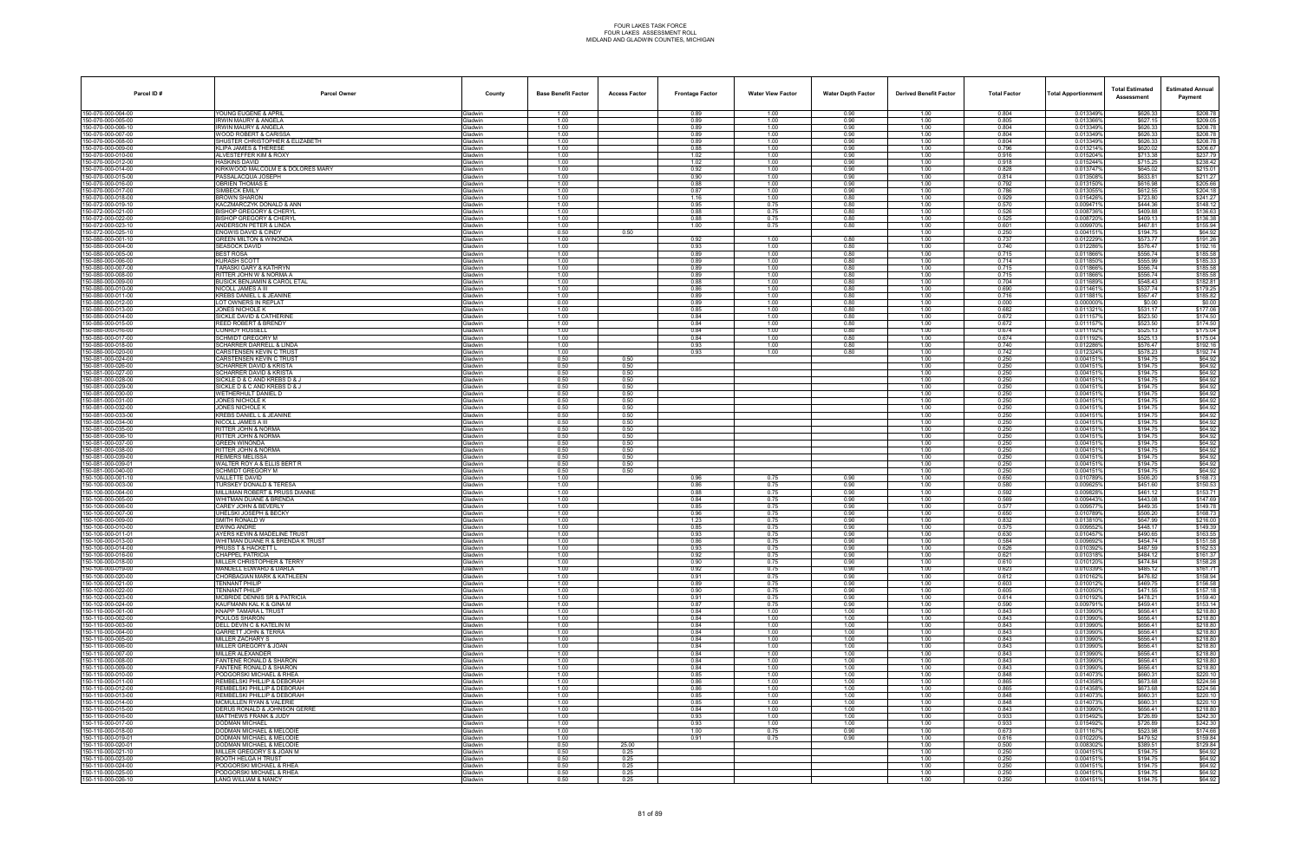| Parcel ID#                               | <b>Parcel Owner</b>                                                      | County                           | <b>Base Benefit Factor</b> | <b>Access Factor</b> | <b>Frontage Factor</b> | <b>Water View Factor</b> | <b>Water Depth Factor</b> | <b>Derived Benefit Factor</b> | <b>Total Factor</b> | <b>Total Apportionmer</b> | <b>Total Estimated</b><br>Assessment | <b>Estimated Annual</b><br>Payment |
|------------------------------------------|--------------------------------------------------------------------------|----------------------------------|----------------------------|----------------------|------------------------|--------------------------|---------------------------|-------------------------------|---------------------|---------------------------|--------------------------------------|------------------------------------|
| 150-070-000-004-00                       | YOUNG EUGENE & APRIL                                                     | <b>Gladwin</b>                   | 1.00                       |                      | 0.89                   | 1.00                     | 0.90                      | 1.00                          | 0.804               | 0.013349%                 | \$626.33                             | \$208.78                           |
| 150-070-000-005-00                       | IRWIN MAURY & ANGELA                                                     | Gladwin                          | 1.00                       |                      | 0.89                   | 1.00                     | 0.90                      | 1.00                          | 0.805               | 0.013366%                 | \$627.15                             | \$209.05                           |
| 50-070-000-006-10<br>50-070-000-007-00   | RWIN MAURY & ANGELA<br><b>WOOD ROBERT &amp; CARISSA</b>                  | <b>Gladwin</b><br>Gladwin        | 1.00<br>1.00               |                      | 0.89<br>0.89           | 1.00<br>1.00             | 0.90<br>0.90              | 1.00<br>1.00                  | 0.804<br>0.804      | 0.013349%<br>0.013349%    | \$626.33<br>\$626.33                 | \$208.78<br>\$208.78               |
| 150-070-000-008-00                       | SHUSTER CHRISTOPHER & ELIZABETH                                          | Gladwin                          | 1.00                       |                      | 0.89                   | 1.00                     | 0.90                      | 1.00                          | 0.804               | 0.013349%                 | \$626.33                             | \$208.78                           |
| 50-070-000-009-00                        | KLIPA JAMES & THERESE                                                    | Gladwin                          | 1.00                       |                      | 0.88                   | 1.00                     | 0.90                      | 1.00                          | 0.796               | 0.013214%                 | \$620.02                             | \$206.67                           |
| 50-070-000-010-00<br>50-070-000-012-00   | ALVESTEFFER KIM & ROXY<br>HASKINS DAVID                                  | Gladwin<br><b>Gladwin</b>        | 1.00<br>1.00               |                      | 1.02<br>1.02           | 1.00<br>1.00             | 0.90<br>0.90              | 1.00<br>1.00                  | 0.916<br>0.918      | 0.015204%<br>0.015244%    | \$713.38<br>\$715.25                 | \$237.79<br>\$238.42               |
| 50-070-000-014-00                        | <b>KIRKWOOD MALCOLM E &amp; DOLORES MARY</b>                             | Gladwin                          | 1.00                       |                      | 0.92                   | 1.00                     | 0.90                      | 1.00                          | 0.828               | 0.013747%                 | \$645.02                             | \$215.01                           |
| 50-070-000-015-00                        | PASSALACQUA JOSEPH                                                       | Gladwin                          | 1.00                       |                      | 0.90                   | 1.00                     | 0.90                      | 1.00                          | 0.814               | 0.013508%                 | \$633.81                             | \$211.27                           |
| 50-070-000-016-00<br>50-070-000-017-00   | <b>DBRIEN THOMAS E</b><br>SIMBECK EMILY                                  | <b>Gladwin</b><br>Gladwin        | 1.00<br>1.00               |                      | 0.88<br>0.87           | 1.00<br>1.00             | 0.90<br>0.90              | 1.00<br>1.00                  | 0.792<br>0.786      | 0.013150%<br>0.013055%    | \$616.98<br>\$612.55                 | \$205.66<br>\$204.18               |
| 50-070-000-018-00                        | ROWN SHARON                                                              | <b>Gladwin</b>                   | 1.00                       |                      | 1.16                   | 1.00                     | 0.80                      | 1.00                          | 0.929               | 0.015426%                 | \$723.80                             | \$241.27                           |
| 50-072-000-019-10                        | <b>KACZMARCZYK DONALD &amp; ANN</b>                                      | <b>Gladwin</b>                   | 1.00                       |                      | 0.95                   | 0.75                     | 0.80                      | 1.00                          | 0.570               | 0.0094719                 | \$444.36                             | \$148.12                           |
| 50-072-000-021-00<br>50-072-000-022-00   | <b>BISHOP GREGORY &amp; CHERYL</b><br><b>BISHOP GREGORY &amp; CHERYI</b> | Gladwin<br>Gladwin               | 1.00<br>1.00               |                      | 0.88<br>0.88           | 0.75<br>0.75             | 0.80<br>0.80              | 1.00<br>1.00                  | 0.526<br>0.525      | 0.0087369<br>0.0087209    | \$409.88<br>\$409.13                 | \$136.63<br>\$136.38               |
| 150-072-000-023-10                       | ANDERSON PETER & LINDA                                                   | Gladwin                          | 1.00                       |                      | 1.00                   | 0.75                     | 0.80                      | 1.00                          | 0.601               | 0.0099709                 | \$467.81                             | \$155.94                           |
| 50-072-000-025-10                        | NGWIS DAVID & CINDY                                                      | <b>Gladwin</b>                   | 0.50                       | 0.50                 |                        |                          |                           | 1.00                          | 0.250               | 0.004151                  | \$194.75                             | \$64.92                            |
| 50-080-000-001-10<br>50-080-000-004-00   | GREEN MILTON & WINONDA<br>SEASOCK DAVID                                  | Gladwin<br>Gladwin               | 1.00<br>1.00               |                      | 0.92<br>0.93           | 1.00<br>1.00             | 0.80<br>0.80              | 1.00<br>1.00                  | 0.737<br>0.740      | 0.012229%<br>0.0122869    | \$573.77<br>\$576.47                 | \$191.26<br>\$192.16               |
| 50-080-000-005-00                        | <b>BEST ROSA</b>                                                         | Gladwin                          | 1.00                       |                      | 0.89                   | 1.00                     | 0.80                      | 1.00                          | 0.715               | 0.011866%                 | \$556.74                             | \$185.58                           |
| 50-080-000-006-00                        | <b>KURASH SCOTT</b>                                                      | Gladwin                          | 1.00                       |                      | 0.89                   | 1.00                     | 0.80                      | 1.00                          | 0.714               | 0.011850%                 | \$555.99                             | \$185.33                           |
| 50-080-000-007-00                        | TARASKI GARY & KATHRYN<br>RITTER JOHN W & NORMA A                        | <b>Gladwin</b><br><b>Gladwin</b> | 1.00                       |                      | 0.89                   | 1.00<br>1.00             | 0.80                      | 1.00                          | 0.715<br>0.715      | 0.011866%<br>0.011866%    | \$556.74<br>\$556.74                 | \$185.58<br>\$185.58               |
| 50-080-000-008-00<br>50-080-000-009-00   | BUSICK BENJAMIN & CAROL ETAL                                             | Gladwin                          | 1.00<br>1.00               |                      | 0.89<br>0.88           | 1.00                     | 0.80<br>0.80              | 1.00<br>1.00                  | 0.704               | 0.011689%                 | \$548.43                             | \$182.81                           |
| 50-080-000-010-00                        | NICOLL JAMES A III                                                       | Gladwin                          | 1.00                       |                      | 0.86                   | 1.00                     | 0.80                      | 1.00                          | 0.690               | 0.0114619                 | \$537.74                             | \$179.25                           |
| 50-080-000-011-00                        | KREBS DANIEL L & JEANINE                                                 | <b>Gladwin</b>                   | 1.00                       |                      | 0.89                   | 1.00                     | 0.80                      | 1.00                          | 0.716               | 0.0118819                 | \$557.47                             | \$185.82                           |
| 50-080-000-012-00<br>50-080-000-013-00   | LOT OWNERS IN REPLAT<br>JONES NICHOLE K                                  | <b>Jadwin</b><br><b>Gladwin</b>  | 0.00<br>1.00               |                      | 0.89<br>0.85           | 1.00<br>1.00             | 0.80<br>0.80              | 1.00<br>1.00                  | 0.000<br>0.682      | 0.000000%<br>0.0113219    | \$0.00<br>\$531.17                   | \$0.00<br>\$177.06                 |
| 50-080-000-014-00                        | SICKLE DAVID & CATHERINE                                                 | Gladwin                          | 1.00                       |                      | 0.84                   | 1.00                     | 0.80                      | 1.00                          | 0.672               | 0.011157                  | \$523.50                             | \$174.50                           |
| 50-080-000-015-00                        | REED ROBERT & BRENDY                                                     | Gladwin                          | 1.00                       |                      | 0.84                   | 1.00                     | 0.80                      | 1.00                          | 0.672               | 0.011157%                 | \$523.50                             | \$174.50                           |
| 50-080-000-016-00<br>50-080-000-017-00   | CONROY RUSSELL<br><b>CHMIDT GREGORY M</b>                                | <b>Gladwin</b><br><b>Gladwin</b> | 1.00<br>1.00               |                      | 0.84<br>0.84           | 1.00<br>1.00             | 0.80<br>0.80              | 1.00<br>1.00                  | 0.674<br>0.674      | 0.011192%<br>0.011192%    | \$525.13<br>\$525.13                 | \$175.04<br>\$175.04               |
| 50-080-000-018-00                        | <b>SCHARRER DARRELL &amp; LINDA</b>                                      | <b>Gladwin</b>                   | 1.00                       |                      | 0.93                   | 1.00                     | 0.80                      | 1.00                          | 0.740               | 0.012286%                 | \$576.47                             | \$192.16                           |
| 50-080-000-020-00                        | <b>CARSTENSEN KEVIN C TRUST</b>                                          | Gladwin                          | 1.00                       |                      | 0.93                   | 1.00                     | 0.80                      | 1.00                          | 0.742               | 0.012324%                 | \$578.23                             | \$192.74                           |
| 50-081-000-024-00<br>50-081-000-026-00   | CARSTENSEN KEVIN C TRUST                                                 | Gladwin                          | 0.50<br>0.50               | 0.50                 |                        |                          |                           | 1.00                          | 0.250<br>0.250      | 0.0041519<br>0.0041519    | \$194.75<br>\$194.75                 | \$64.92<br>\$64.92                 |
| 50-081-000-027-00                        | <b>CHARRER DAVID &amp; KRISTA</b><br>CHARRER DAVID & KRISTA              | <b>Gladwin</b><br><b>Jadwin</b>  | 0.50                       | 0.50<br>0.50         |                        |                          |                           | 1.00<br>1.00                  | 0.250               | 0.004151                  | \$194.75                             | \$64.92                            |
| 50-081-000-028-00                        | SICKLE D & C AND KREBS D & J                                             | <b>Gladwin</b>                   | 0.50                       | 0.50                 |                        |                          |                           | 1.00                          | 0.250               | 0.0041519                 | \$194.75                             | \$64.92                            |
| 50-081-000-029-00                        | SICKLE D & C AND KREBS D & J                                             | Gladwin                          | 0.50                       | 0.50                 |                        |                          |                           | 1.00                          | 0.250               | 0.004151                  | \$194.75                             | \$64.92                            |
| 50-081-000-030-00<br>50-081-000-031-00   | WETHERHULT DANIEL D<br>JONES NICHOLE K                                   | Gladwin<br><b>Gladwin</b>        | 0.50<br>0.50               | 0.50<br>0.50         |                        |                          |                           | 1.00<br>1.00                  | 0.250<br>0.250      | 0.0041519<br>0.0041519    | \$194.75<br>\$194.75                 | \$64.92<br>\$64.92                 |
| 50-081-000-032-00                        | JONES NICHOLE K                                                          | <b>Gladwin</b>                   | 0.50                       | 0.50                 |                        |                          |                           | 1.00                          | 0.250               | 0.004151                  | \$194.75                             | \$64.92                            |
| 50-081-000-033-00                        | KREBS DANIEL L & JEANINE                                                 | <b>Gladwin</b>                   | 0.50                       | 0.50                 |                        |                          |                           | 1.00                          | 0.250               | 0.004151%                 | \$194.75                             | \$64.92                            |
| 50-081-000-034-00<br>50-081-000-035-00   | NICOLL JAMES A III<br>RITTER JOHN & NORMA                                | Gladwin<br>Gladwin               | 0.50<br>0.50               | 0.50<br>0.50         |                        |                          |                           | 1.00<br>1.00                  | 0.250<br>0.250      | 0.0041519<br>0.0041519    | \$194.75<br>\$194.75                 | \$64.92<br>\$64.92                 |
| 50-081-000-036-10                        | RITTER JOHN & NORMA                                                      | <b>Gladwin</b>                   | 0.50                       | 0.50                 |                        |                          |                           | 1.00                          | 0.250               | 0.0041519                 | \$194.75                             | \$64.92                            |
| 50-081-000-037-00                        | REEN WINONDA                                                             | iladwin                          | 0.50                       | 0.50                 |                        |                          |                           | 1.00                          | 0.250               | 0.004151                  | \$194.75                             | \$64.92                            |
| 50-081-000-038-00<br>50-081-000-039-00   | RITTER JOHN & NORMA<br>REIMERS MELISSA                                   | <b>Gladwin</b><br>Gladwin        | 0.50<br>0.50               | 0.50<br>0.50         |                        |                          |                           | 1.00<br>1.00                  | 0.250<br>0.250      | 0.004151%<br>0.004151     | \$194.75<br>\$194.75                 | \$64.92<br>\$64.92                 |
| 50-081-000-039-01                        | WALTER ROY A & ELLIS BERT R                                              | Gladwin                          | 0.50                       | 0.50                 |                        |                          |                           | 1.00                          | 0.250               | 0.0041519                 | \$194.75                             | \$64.92                            |
| 50-081-000-040-00                        | SCHMIDT GREGORY M                                                        | <b>Gladwin</b>                   | 0.50                       | 0.50                 |                        |                          |                           | 1.00                          | 0.250               | 0.0041519                 | \$194.75                             | \$64.92                            |
| 50-100-000-001-10<br>50-100-000-003-00   | <b>VALLETTE DAVID</b><br><b>TURSKEY DONALD &amp; TERESA</b>              | <b>Gladwin</b><br>Gladwin        | 1.00<br>1.00               |                      | 0.96<br>0.86           | 0.75<br>0.75             | 0.90<br>0.90              | 1.00<br>1.00                  | 0.650<br>0.580      | 0.0107899<br>0.009625%    | \$506.20<br>\$451.60                 | \$168.73<br>\$150.53               |
| 50-100-000-004-00                        | MILLIMAN ROBERT & PRUSS DIANNE                                           | Gladwin                          | 1.00                       |                      | 0.88                   | 0.75                     | 0.90                      | 1.00                          | 0.592               | 0.0098289                 | \$461.12                             | \$153.71                           |
| 50-100-000-005-00                        | WHITMAN DUANE & BRENDA                                                   | Gladwin                          | 1.00                       |                      | 0.84                   | 0.75                     | 0.90                      | 1.00                          | 0.569               | 0.009443%                 | \$443.08                             | \$147.69                           |
| 50-100-000-006-00<br>50-100-000-007-00   | CAREY JOHN & BEVERLY<br>JHELSKI JOSEPH & BECKY                           | <b>Gladwin</b><br>iladwin        | 1.00<br>1.00               |                      | 0.85<br>0.96           | 0.75<br>0.75             | 0.90<br>0.90              | 1.00<br>1.00                  | 0.577<br>0.650      | 0.009577<br>0.0107899     | \$449.35<br>\$506.20                 | \$149.78<br>\$168.73               |
| 50-100-000-009-00                        | SMITH RONALD W                                                           | <b>Gladwin</b>                   | 1.00                       |                      | 1.23                   | 0.75                     | 0.90                      | 1.00                          | 0.832               | 0.013810%                 | \$647.99                             | \$216.00                           |
| 50-100-000-010-00                        | EWING ANDRE                                                              | <b>Gladwin</b>                   | 1.00                       |                      | 0.85                   | 0.75                     | 0.90                      | 1.00                          | 0.575               | 0.009552                  | \$448.17                             | \$149.39                           |
| 50-100-000-011-01<br>50-100-000-013-00   | AYERS KEVIN & MADELINE TRUST<br>WHITMAN DUANE R & BRENDA K TRUST         | Gladwin<br><b>Gladwin</b>        | 1.00<br>1.00               |                      | 0.93<br>0.86           | 0.75<br>0.75             | 0.90<br>0.90              | 1.00<br>1.00                  | 0.630<br>0.584      | 0.010457%<br>0.0096929    | \$490.65<br>\$454.74                 | \$163.55<br>\$151.58               |
| 150-100-000-014-00                       | RUSS T & HACKETT L                                                       | <b>Gladwin</b>                   | 1.00                       |                      | 0.93                   | 0.75                     | 0.90                      | 1.00                          | 0.626               | 0.010392%                 | \$487.59                             | \$162.53                           |
| 50-100-000-016-00                        | CHAPPEL PATRICIA                                                         | Gladwin                          | 1.00                       |                      | 0.92                   | 0.75                     | 0.90                      | 1.00                          | 0.621               | 0.010318%                 | \$484.12                             | \$161.37                           |
| 50-100-000-018-00<br>50-100-000-019-00   | MILLER CHRISTOPHER & TERRY<br>MANDELL EDWARD & DARLA                     | Gladwin<br>Gladwin               | 1.00<br>1.00               |                      | 0.90<br>0.92           | 0.75<br>0.75             | 0.90<br>0.90              | 1.00<br>1.00                  | 0.610<br>0.623      | 0.0101209<br>0.010339%    | \$474.84<br>\$485.12                 | \$158.28<br>\$161.71               |
| 50-100-000-020-00                        | CHORBAGIAN MARK & KATHLEEN                                               | <b>Gladwin</b>                   | 1.00                       |                      | 0.91                   | 0.75                     | 0.90                      | 1.00                          | 0.612               | 0.0101629                 | \$476.82                             | \$158.94                           |
| 50-100-000-021-00                        | TENNANT PHILIP                                                           | <b>Gladwin</b>                   | 1.00                       |                      | 0.89                   | 0.75                     | 0.90                      | 1.00                          | 0.603               | 0.0100129                 | \$469.75                             | \$156.58                           |
| 50-102-000-022-00<br>50-102-000-023-00   | TENNANT PHILIP<br>MCBRIDE DENNIS SR & PATRICIA                           | Gladwin<br>Gladwin               | 1.00<br>1.00               |                      | 0.90<br>0.91           | 0.75<br>0.75             | 0.90<br>0.90              | 1.00<br>1.00                  | 0.605<br>0.614      | 0.010050%<br>0.010192%    | \$471.55<br>\$478.21                 | \$157.18<br>\$159.40               |
| 150-102-000-024-00                       | KAUFMANN KAL K & GINA M                                                  | Gladwin                          | 1.00                       |                      | 0.87                   | 0.75                     | 0.90                      | 1.00                          | 0.590               | 0.009791%                 | \$459.41                             | \$153.14                           |
| 50-110-000-001-00                        | KNAPP TAMARA L TRUST                                                     | <b>Gladwin</b>                   | 1.00                       |                      | 0.84                   | 1.00                     | 1.00                      | 1.00                          | 0.843               | 0.013990%                 | \$656.41                             | \$218.80                           |
| 50-110-000-002-00<br>50-110-000-003-00   | OULOS SHARON<br>DELL DEVIN C & KATELIN M                                 | <b>Gladwin</b><br>Gladwin        | 1.00<br>1.00               |                      | 0.84<br>0.84           | 1.00<br>1.00             | 1.00<br>1.00              | 1.00<br>1.00                  | 0.843<br>0.843      | 0.013990%<br>0.013990%    | \$656.41<br>\$656.41                 | \$218.80<br>\$218.80               |
| 50-110-000-004-00                        | GARRETT JOHN & TERRA                                                     | Gladwin                          | 1.00                       |                      | 0.84                   | 1.00                     | 1.00                      | 1.00                          | 0.843               | 0.013990%                 | \$656.41                             | \$218.80                           |
| 50-110-000-005-00                        | MILLER ZACHARY S                                                         | Gladwin                          | 1.00                       |                      | 0.84                   | 1.00                     | 1.00                      | 1.00                          | 0.843               | 0.013990%                 | \$656.41                             | \$218.80                           |
| 50-110-000-006-00<br>50-110-000-007-00   | MILLER GREGORY & JOAN<br><b>MILLER ALEXANDER</b>                         | <b>Gladwin</b><br><b>Gladwin</b> | 1.00<br>1.00               |                      | 0.84<br>0.84           | 1.00<br>1.00             | 1.00<br>1.00              | 1.00<br>1.00                  | 0.843<br>0.843      | 0.013990%<br>0.013990%    | \$656.41<br>\$656.41                 | \$218.80<br>\$218.80               |
| 50-110-000-008-00                        | <b>FANTENE RONALD &amp; SHARON</b>                                       | Gladwin                          | 1.00                       |                      | 0.84                   | 1.00                     | 1.00                      | 1.00                          | 0.843               | 0.013990%                 | \$656.41                             | \$218.80                           |
| 50-110-000-009-00                        | <b>FANTENE RONALD &amp; SHARON</b>                                       | Gladwin                          | 1.00                       |                      | 0.84                   | 1.00                     | 1.00                      | 1.00                          | 0.843               | 0.013990%                 | \$656.41                             | \$218.80                           |
| 150-110-000-010-00<br>150-110-000-011-00 | PODGORSKI MICHAEL & RHEA<br>REMBELSKI PHILLIP & DEBORAH                  | Gladwin<br><b>Gladwin</b>        | 1.00<br>1.00               |                      | 0.85<br>0.86           | 1.00<br>1.00             | 1.00<br>1.00              | 1.00<br>1.00                  | 0.848<br>0.865      | 0.014073%<br>0.014358%    | \$660.31<br>\$673.68                 | \$220.10<br>\$224.56               |
| 50-110-000-012-00                        | EMBELSKI PHILLIP & DEBORAH                                               | <b>Gladwin</b>                   | 1.00                       |                      | 0.86                   | 1.00                     | 1.00                      | 1.00                          | 0.865               | 0.0143589                 | \$673.68                             | \$224.56                           |
| 50-110-000-013-00                        | REMBELSKI PHILLIP & DEBORAH                                              | Gladwin                          | 1.00                       |                      | 0.85                   | 1.00                     | 1.00                      | 1.00                          | 0.848               | 0.014073%                 | \$660.31                             | \$220.10                           |
| 50-110-000-014-00                        | <b>MCMULLEN RYAN &amp; VALERIE</b>                                       | Gladwin                          | 1.00                       |                      | 0.85                   | 1.00                     | 1.00                      | 1.00                          | 0.848               | 0.014073%                 | \$660.31                             | \$220.10                           |
| 50-110-000-015-00<br>50-110-000-016-00   | DERUS RONALD & JOHNSON GERRE<br>MATTHEWS FRANK & JUDY                    | Gladwin<br>Gladwin               | 1.00<br>1.00               |                      | 0.84<br>0.93           | 1.00<br>1.00             | 1.00<br>1.00              | 1.00<br>1.00                  | 0.843<br>0.933      | 0.013990%<br>0.015492%    | \$656.41<br>\$726.89                 | \$218.80<br>\$242.30               |
| 50-110-000-017-00                        | DODMAN MICHAEL                                                           | <b>Gladwin</b>                   | 1.00                       |                      | 0.93                   | 1.00                     | 1.00                      | 1.00                          | 0.933               | 0.015492%                 | \$726.89                             | \$242.30                           |
| 50-110-000-018-00                        | <b>DODMAN MICHAEL &amp; MELODIE</b>                                      | Gladwin                          | 1.00                       |                      | 1.00                   | 0.75                     | 0.90                      | 1.00                          | 0.673               | 0.011167%                 | \$523.98                             | \$174.66                           |
| 50-110-000-019-01<br>50-110-000-020-01   | DODMAN MICHAEL & MELODIE<br>DODMAN MICHAEL & MELODIE                     | Gladwin<br>Gladwin               | 1.00<br>0.50               | 25.00                | 0.91                   | 0.75                     | 0.90                      | 1.00<br>1.00                  | 0.616<br>0.500      | 0.0102209<br>0.008302%    | \$479.52<br>\$389.51                 | \$159.84<br>\$129.84               |
| 150-110-000-021-10                       | MILLER GREGORY S & JOAN M                                                | Gladwin                          | 0.50                       | 0.25                 |                        |                          |                           | 1.00                          | 0.250               | 0.0041519                 | \$194.75                             | \$64.92                            |
| 50-110-000-023-00                        | OOTH HELGA H TRUST                                                       | <b>Gladwin</b>                   | 0.50                       | 0.25                 |                        |                          |                           | 1.00                          | 0.250               | 0.0041519                 | \$194.75                             | \$64.92                            |
| 50-110-000-024-00<br>50-110-000-025-00   | PODGORSKI MICHAEL & RHEA<br>PODGORSKI MICHAEL & RHEA                     | Gladwin<br>Gladwin               | 0.50<br>0.50               | 0.25<br>0.25         |                        |                          |                           | 1.00<br>1.00                  | 0.250<br>0.250      | 0.004151%<br>0.004151%    | \$194.75<br>\$194.75                 | \$64.92<br>\$64.92                 |
| 150-110-000-026-10                       | LANG WILLIAM & NANCY                                                     | Gladwin                          | 0.50                       | 0.25                 |                        |                          |                           | 1.00                          | 0.250               | 0.004151%                 | \$194.75                             | \$64.92                            |
|                                          |                                                                          |                                  |                            |                      |                        |                          |                           |                               |                     |                           |                                      |                                    |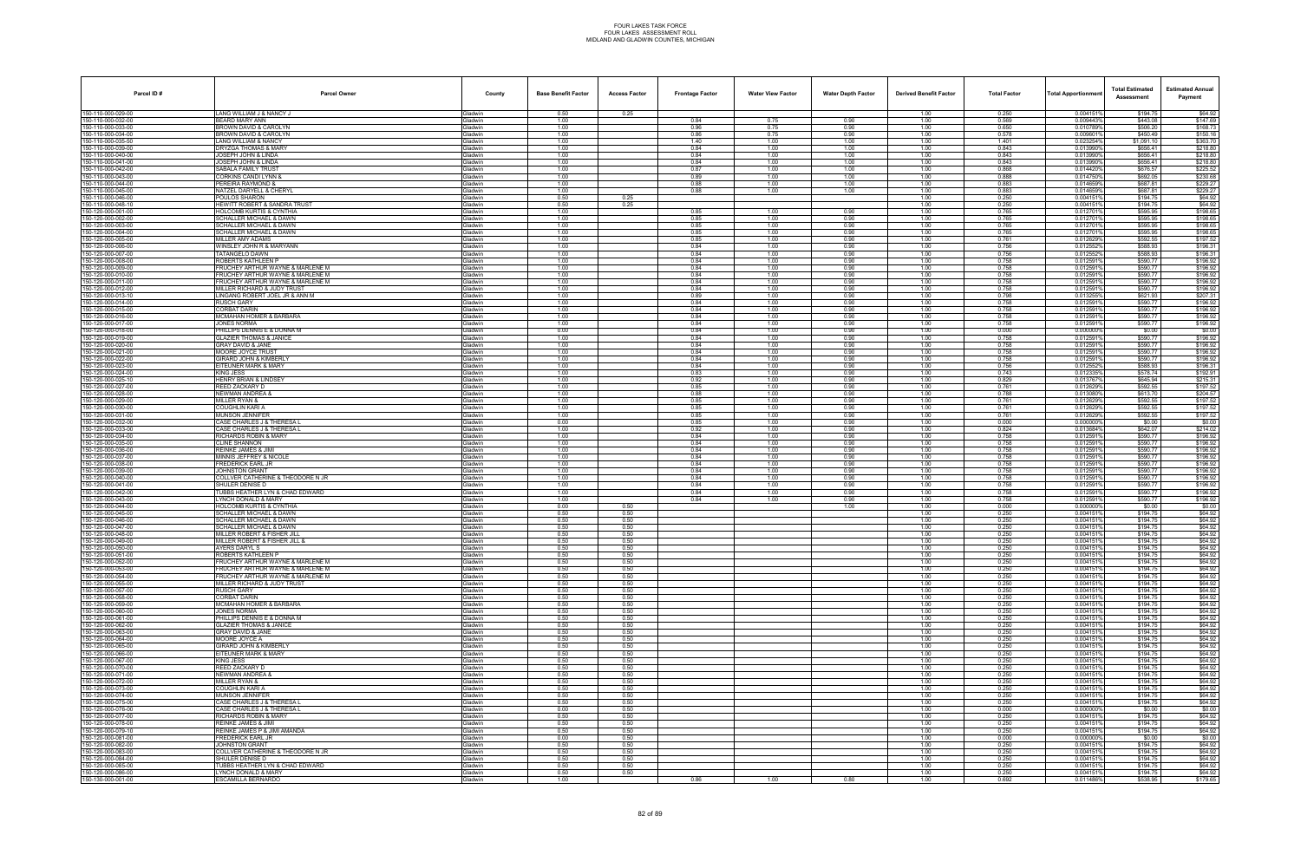| Parcel ID#                               | <b>Parcel Owner</b>                                                  | County                    | <b>Base Benefit Factor</b> | <b>Access Factor</b> | <b>Frontage Factor</b> | <b>Water View Factor</b> | <b>Water Depth Factor</b> | <b>Derived Benefit Factor</b> | <b>Total Factor</b> | Total Apportionmen     | <b>Total Estimated</b><br>Assessment | <b>Estimated Annual</b><br>Payment |
|------------------------------------------|----------------------------------------------------------------------|---------------------------|----------------------------|----------------------|------------------------|--------------------------|---------------------------|-------------------------------|---------------------|------------------------|--------------------------------------|------------------------------------|
| 150-110-000-029-00                       | LANG WILLIAM J & NANCY J                                             | Gladwin                   | 0.50                       | 0.25                 |                        |                          |                           | 1.00                          | 0.250               | 0.004151%              | \$194.75                             | \$64.92                            |
| 150-110-000-032-00                       | BEARD MARY ANN                                                       | Gladwin                   | 1.00                       |                      | 0.84                   | 0.75                     | 0.90                      | 1.00                          | 0.569               | 0.009443%              | \$443.08                             | \$147.69                           |
| 150-110-000-033-00<br>150-110-000-034-00 | ROWN DAVID & CAROLYN<br>BROWN DAVID & CAROLYN                        | Gladwin<br>Gladwin        | 1.00<br>1.00               |                      | 0.96<br>0.86           | 0.75<br>0.75             | 0.90<br>0.90              | 1.00<br>1.00                  | 0.650<br>0.578      | 0.010789%<br>0.0096019 | \$506.20<br>\$450.49                 | \$168.73<br>\$150.16               |
| 150-110-000-035-50                       | LANG WILLIAM & NANCY                                                 | Gladwin                   | 1.00                       |                      | 1.40                   | 1.00                     | 1.00                      | 1.00                          | 1.401               | 0.023254%              | \$1,091.10                           | \$363.70                           |
| 150-110-000-039-00                       | DRYZGA THOMAS & MARY                                                 | Gladwin                   | 1.00                       |                      | 0.84                   | 1.00                     | 1.00                      | 1.00                          | 0.843               | 0.0139909              | \$656.41                             | \$218.80                           |
| 150-110-000-040-00<br>150-110-000-041-00 | JOSEPH JOHN & LINDA<br>JOSEPH JOHN & LINDA                           | Gladwin<br>Gladwin        | 1.00<br>1.00               |                      | 0.84<br>0.84           | 1.00<br>1.00             | 1.00<br>1.00              | 1.00<br>1.00                  | 0.843<br>0.843      | 0.013990%<br>0.013990% | \$656.41<br>\$656.41                 | \$218.80<br>\$218.80               |
| 150-110-000-042-00                       | SABALA FAMILY TRUST                                                  | Gladwin                   | 1.00                       |                      | 0.87                   | 1.00                     | 1.00                      | 1.00                          | 0.868               | 0.0144209              | \$676.57                             | \$225.52                           |
| 150-110-000-043-00                       | <b>CORKINS CANDI LYNN &amp;</b>                                      | Gladwin                   | 1.00                       |                      | 0.89                   | 1.00                     | 1.00                      | 1.00                          | 0.888               | 0.0147509              | \$692.05                             | \$230.68                           |
| 150-110-000-044-00                       | PEREIRA RAYMOND &                                                    | Gladwin                   | 1.00<br>1.00               |                      | 0.88                   | 1.00<br>1.00             | 1.00<br>1.00              | 1.00<br>1.00                  | 0.883<br>0.883      | 0.014659%<br>0.014659% | \$687.81<br>\$687.81                 | \$229.27<br>\$229.27               |
| 150-110-000-045-00<br>150-110-000-046-00 | NATZEL DARYELL & CHERYL<br>POULOS SHARON                             | Gladwin<br>Gladwin        | 0.50                       | 0.25                 | 0.88                   |                          |                           | 1.00                          | 0.250               | 0.0041519              | \$194.75                             | \$64.92                            |
| 150-110-000-048-10                       | <b>HEWITT ROBERT &amp; SANDRA TRUST</b>                              | Gladwin                   | 0.50                       | 0.25                 |                        |                          |                           | 1.00                          | 0.250               | 0.0041519              | \$194.75                             | \$64.92                            |
| 150-120-000-001-00                       | <b>HOLCOMB KURTIS &amp; CYNTHIA</b>                                  | Gladwin                   | 1.00                       |                      | 0.85                   | 1.00                     | 0.90                      | 1.00                          | 0.765               | 0.012701               | \$595.95                             | \$198.65                           |
| 150-120-000-002-00<br>150-120-000-003-00 | <b>SCHALLER MICHAEL &amp; DAWN</b><br>SCHALLER MICHAEL & DAWN        | Gladwin<br>Gladwin        | 1.00<br>1.00               |                      | 0.85<br>0.85           | 1.00<br>1.00             | 0.90<br>0.90              | 1.00<br>1.00                  | 0.765<br>0.765      | 0.0127019<br>0.0127019 | \$595.95<br>\$595.95                 | \$198.65<br>\$198.65               |
| 150-120-000-004-00                       | SCHALLER MICHAEL & DAWN                                              | <b>Gladwin</b>            | 1.00                       |                      | 0.85                   | 1.00                     | 0.90                      | 1.00                          | 0.765               | 0.012701               | \$595.95                             | \$198.65                           |
| 150-120-000-005-00                       | MILLER AMY ADAMS                                                     | Gladwin                   | 1.00                       |                      | 0.85                   | 1.00                     | 0.90                      | 1.00                          | 0.761               | 0.012629%              | \$592.55                             | \$197.52                           |
| 150-120-000-006-00<br>150-120-000-007-00 | WINSLEY JOHN R & MARYANN<br>TATANGELO DAWN                           | Gladwin<br>Gladwin        | 1.00<br>1.00               |                      | 0.84<br>0.84           | 1.00<br>1.00             | 0.90<br>0.90              | 1.00<br>1.00                  | 0.756<br>0.756      | 0.0125529<br>0.012552% | \$588.93<br>\$588.93                 | \$196.31<br>\$196.31               |
| 150-120-000-008-00                       | ROBERTS KATHLEEN P                                                   | Gladwin                   | 1.00                       |                      | 0.84                   | 1.00                     | 0.90                      | 1.00                          | 0.758               | 0.012591%              | \$590.77                             | \$196.92                           |
| 150-120-000-009-00                       | RUCHEY ARTHUR WAYNE & MARLENE M                                      | Gladwin                   | 1.00                       |                      | 0.84                   | 1.00                     | 0.90                      | 1.00                          | 0.758               | 0.012591               | \$590.77                             | \$196.92                           |
| 150-120-000-010-00                       | FRUCHEY ARTHUR WAYNE & MARLENE M                                     | Gladwin                   | 1.00                       |                      | 0.84                   | 1.00                     | 0.90                      | 1.00                          | 0.758               | 0.0125919              | \$590.77                             | \$196.92                           |
| 150-120-000-011-00<br>150-120-000-012-00 | FRUCHEY ARTHUR WAYNE & MARLENE M<br>MILLER RICHARD & JUDY TRUST      | Gladwin<br>Gladwin        | 1.00<br>1.00               |                      | 0.84<br>0.84           | 1.00<br>1.00             | 0.90<br>0.90              | 1.00<br>1.00                  | 0.758<br>0.758      | 0.0125919<br>0.0125919 | \$590.77<br>\$590.77                 | \$196.92<br>\$196.92               |
| 150-120-000-013-10                       | LINGANG ROBERT JOEL JR & ANN M                                       | Gladwin                   | 1.00                       |                      | 0.89                   | 1.00                     | 0.90                      | 1.00                          | 0.798               | 0.013255%              | \$621.93                             | \$207.31                           |
| 150-120-000-014-00                       | RUSCH GARY                                                           | <b>Gladwin</b>            | 1.00                       |                      | 0.84                   | 1.00                     | 0.90                      | 1.00                          | 0.758               | 0.012591               | \$590.77                             | \$196.92                           |
| 150-120-000-015-00<br>150-120-000-016-00 | <b>CORBAT DARIN</b><br>MCMAHAN HOMER & BARBARA                       | Gladwin<br>Gladwin        | 1.00<br>1.00               |                      | 0.84<br>0.84           | 1.00<br>1.00             | 0.90<br>0.90              | 1.00<br>1.00                  | 0.758<br>0.758      | 0.0125919<br>0.012591  | \$590.77<br>\$590.77                 | \$196.92<br>\$196.92               |
| 150-120-000-017-00                       | JONES NORMA                                                          | Gladwin                   | 1.00                       |                      | 0.84                   | 1.00                     | 0.90                      | 1.00                          | 0.758               | 0.012591%              | \$590.77                             | \$196.92                           |
| 150-120-000-018-00                       | PHILLIPS DENNIS E & DONNA M                                          | Gladwin                   | 0.00                       |                      | 0.84                   | 1.00                     | 0.90                      | 1.00                          | 0.000               | 0.0000009              | \$0.00                               | \$0.00                             |
| 150-120-000-019-00                       | <b>GLAZIER THOMAS &amp; JANICE</b>                                   | Gladwin                   | 1.00                       |                      | 0.84                   | 1.00                     | 0.90                      | 1.00                          | 0.758               | 0.012591               | \$590.77                             | \$196.92                           |
| 150-120-000-020-00<br>150-120-000-021-00 | <b>GRAY DAVID &amp; JANE</b><br><b>MOORE JOYCE TRUST</b>             | Gladwin<br>Gladwin        | 1.00<br>1.00               |                      | 0.84<br>0.84           | 1.00<br>1.00             | 0.90<br>0.90              | 1.00<br>1.00                  | 0.758<br>0.758      | 0.0125919<br>0.0125919 | \$590.77<br>\$590.77                 | \$196.92<br>\$196.92               |
| 150-120-000-022-00                       | <b>GIRARD JOHN &amp; KIMBERLY</b>                                    | Gladwin                   | 1.00                       |                      | 0.84                   | 1.00                     | 0.90                      | 1.00                          | 0.758               | 0.0125919              | \$590.77                             | \$196.92                           |
| 150-120-000-023-00                       | EITEUNER MARK & MARY                                                 | Gladwin                   | 1.00                       |                      | 0.84                   | 1.00                     | 0.90                      | 1.00                          | 0.756               | 0.0125529              | \$588.93                             | \$196.31                           |
| 150-120-000-024-00<br>150-120-000-025-10 | KING JESS<br><b>HENRY BRIAN &amp; LINDSEY</b>                        | <b>Gladwin</b><br>Gladwin | 1.00<br>1.00               |                      | 0.83<br>0.92           | 1.00<br>1.00             | 0.90<br>0.90              | 1.00<br>1.00                  | 0.743<br>0.829      | 0.0123359<br>0.0137679 | \$578.74<br>\$645.94                 | \$192.91<br>\$215.31               |
| 150-120-000-027-00                       | REED ZACKARY D                                                       | Gladwin                   | 1.00                       |                      | 0.85                   | 1.00                     | 0.90                      | 1.00                          | 0.761               | 0.0126299              | \$592.55                             | \$197.52                           |
| 150-120-000-028-00                       | <b>NEWMAN ANDREA &amp;</b>                                           | Gladwin                   | 1.00                       |                      | 0.88                   | 1.00                     | 0.90                      | 1.00                          | 0.788               | 0.013080%              | \$613.70                             | \$204.57                           |
| 150-120-000-029-00                       | <b>MILLER RYAN &amp;</b>                                             | Gladwin                   | 1.00<br>1.00               |                      | 0.85                   | 1.00                     | 0.90                      | 1.00                          | 0.761<br>0.761      | 0.012629%              | \$592.55                             | \$197.52<br>\$197.52               |
| 150-120-000-030-00<br>150-120-000-031-00 | COUGHLIN KARI A<br><b>MUNSON JENNIFER</b>                            | Gladwin<br>Gladwin        | 1.00                       |                      | 0.85<br>0.85           | 1.00<br>1.00             | 0.90<br>0.90              | 1.00<br>1.00                  | 0.761               | 0.012629%<br>0.012629% | \$592.55<br>\$592.55                 | \$197.52                           |
| 150-120-000-032-00                       | CASE CHARLES J & THERESA L                                           | Gladwin                   | 0.00                       |                      | 0.85                   | 1.00                     | 0.90                      | 1.00                          | 0.000               | 0.0000009              | \$0.00                               | \$0.00                             |
| 150-120-000-033-00                       | CASE CHARLES J & THERESA L                                           | Gladwin                   | 1.00                       |                      | 0.92                   | 1.00                     | 0.90                      | 1.00                          | 0.824               | 0.013684%              | \$642.07                             | \$214.02                           |
| 150-120-000-034-00<br>150-120-000-035-00 | RICHARDS ROBIN & MARY<br>CLINE SHANNON                               | Gladwin<br><b>Gladwin</b> | 1.00<br>1.00               |                      | 0.84<br>0.84           | 1.00<br>1.00             | 0.90<br>0.90              | 1.00<br>1.00                  | 0.758<br>0.758      | 0.0125919<br>0.012591  | \$590.77<br>\$590.77                 | \$196.92<br>\$196.92               |
| 150-120-000-036-00                       | REINKE JAMES & JIMI                                                  | Gladwin                   | 1.00                       |                      | 0.84                   | 1.00                     | 0.90                      | 1.00                          | 0.758               | 0.012591%              | \$590.77                             | \$196.92                           |
| 150-120-000-037-00                       | MINNIS JEFFREY & NICOLE                                              | Gladwin                   | 1.00                       |                      | 0.84                   | 1.00                     | 0.90                      | 1.00                          | 0.758               | 0.0125919              | \$590.77                             | \$196.92                           |
| 150-120-000-038-00                       | <b>FREDERICK EARL JR</b><br>JOHNSTON GRANT                           | Gladwin                   | 1.00<br>1.00               |                      | 0.84<br>0.84           | 1.00<br>1.00             | 0.90<br>0.90              | 1.00<br>1.00                  | 0.758<br>0.758      | 0.012591%<br>0.0125919 | \$590.77<br>\$590.77                 | \$196.92<br>\$196.92               |
| 150-120-000-039-00<br>150-120-000-040-00 | COLLVER CATHERINE & THEODORE N JR                                    | Gladwin<br>Gladwin        | 1.00                       |                      | 0.84                   | 1.00                     | 0.90                      | 1.00                          | 0.758               | 0.012591               | \$590.77                             | \$196.92                           |
| 150-120-000-041-00                       | SHULER DENISE D                                                      | Gladwin                   | 1.00                       |                      | 0.84                   | 1.00                     | 0.90                      | 1.00                          | 0.758               | 0.012591%              | \$590.77                             | \$196.92                           |
| 150-120-000-042-00                       | TUBBS HEATHER LYN & CHAD EDWARD                                      | Gladwin                   | 1.00                       |                      | 0.84                   | 1.00                     | 0.90                      | 1.00                          | 0.758               | 0.0125919              | \$590.77                             | \$196.92                           |
| 150-120-000-043-00<br>150-120-000-044-00 | LYNCH DONALD & MARY<br>HOLCOMB KURTIS & CYNTHIA                      | Gladwin<br>Gladwin        | 1.00<br>0.00               | 0.50                 | 0.84                   | 1.00                     | 0.90<br>1.00              | 1.00<br>1.00                  | 0.758<br>0.000      | 0.0125919<br>0.0000009 | \$590.77<br>\$0.00                   | \$196.92<br>\$0.00                 |
| 150-120-000-045-00                       | SCHALLER MICHAEL & DAWN                                              | <b>Gladwin</b>            | 0.50                       | 0.50                 |                        |                          |                           | 1.00                          | 0.250               | 0.004151               | \$194.75                             | \$64.92                            |
| 150-120-000-046-00                       | <b>SCHALLER MICHAEL &amp; DAWN</b>                                   | Gladwin                   | 0.50                       | 0.50                 |                        |                          |                           | 1.00                          | 0.250               | 0.004151%              | \$194.75                             | \$64.92                            |
| 150-120-000-047-00<br>150-120-000-048-00 | <b>SCHALLER MICHAEL &amp; DAWN</b><br>MILLER ROBERT & FISHER JILL    | Gladwin<br>Gladwin        | 0.50<br>0.50               | 0.50<br>0.50         |                        |                          |                           | 1.00<br>1.00                  | 0.250<br>0.250      | 0.004151<br>0.004151   | \$194.75<br>\$194.75                 | \$64.92<br>\$64.92                 |
| 150-120-000-049-00                       | MILLER ROBERT & FISHER JILL &                                        | Gladwin                   | 0.50                       | 0.50                 |                        |                          |                           | 1.00                          | 0.250               | 0.004151               | \$194.75                             | \$64.92                            |
| 150-120-000-050-00                       | AYERS DARYL S                                                        | Gladwin                   | 0.50                       | 0.50                 |                        |                          |                           | 1.00                          | 0.250               | 0.004151               | \$194.75                             | \$64.92                            |
| 150-120-000-051-00<br>150-120-000-052-00 | ROBERTS KATHLEEN P                                                   | Gladwin                   | 0.50<br>0.50               | 0.50                 |                        |                          |                           | 1.00                          | 0.250               | 0.004151%<br>0.0041519 | \$194.75<br>\$194.75                 | \$64.92<br>\$64.92                 |
| 150-120-000-053-00                       | FRUCHEY ARTHUR WAYNE & MARLENE M<br>FRUCHEY ARTHUR WAYNE & MARLENE M | Gladwin<br>Gladwin        | 0.50                       | 0.50<br>0.50         |                        |                          |                           | 1.00<br>1.00                  | 0.250<br>0.250      | 0.0041519              | \$194.75                             | \$64.92                            |
| 150-120-000-054-00                       | FRUCHEY ARTHUR WAYNE & MARLENE M                                     | Gladwin                   | 0.50                       | 0.50                 |                        |                          |                           | 1.00                          | 0.250               | 0.0041519              | \$194.75                             | \$64.92                            |
| 150-120-000-055-00                       | MILLER RICHARD & JUDY TRUST                                          | Gladwin                   | 0.50                       | 0.50                 |                        |                          |                           | 1.00                          | 0.250               | 0.004151               | \$194.75                             | \$64.92                            |
| 150-120-000-057-00<br>150-120-000-058-00 | RUSCH GARY<br><b>CORBAT DARIN</b>                                    | Gladwin<br>Gladwin        | 0.50<br>0.50               | 0.50<br>0.50         |                        |                          |                           | 1.00<br>1.00                  | 0.250<br>0.250      | 0.004151%<br>0.0041519 | \$194.75<br>\$194.75                 | \$64.92<br>\$64.92                 |
| 150-120-000-059-00                       | <b>MCMAHAN HOMER &amp; BARBARA</b>                                   | Gladwin                   | 0.50                       | 0.50                 |                        |                          |                           | 1.00                          | 0.250               | 0.0041519              | \$194.75                             | \$64.92                            |
| 150-120-000-060-00                       | JONES NORMA                                                          | Gladwin                   | 0.50                       | 0.50                 |                        |                          |                           | 1.00                          | 0.250               | 0.0041519              | \$194.75                             | \$64.92                            |
| 150-120-000-061-00<br>150-120-000-062-00 | PHILLIPS DENNIS E & DONNA M<br><b>GLAZIER THOMAS &amp; JANICE</b>    | Gladwin<br>Gladwin        | 0.50<br>0.50               | 0.50<br>0.50         |                        |                          |                           | 1.00<br>1.00                  | 0.250<br>0.250      | 0.004151<br>0.004151%  | \$194.75<br>\$194.75                 | \$64.92<br>\$64.92                 |
| 150-120-000-063-00                       | GRAY DAVID & JANE                                                    | Gladwin                   | 0.50                       | 0.50                 |                        |                          |                           | 1.00                          | 0.250               | 0.0041519              | \$194.75                             | \$64.92                            |
| 150-120-000-064-00                       | MOORE JOYCE A                                                        | Gladwin                   | 0.50                       | 0.50                 |                        |                          |                           | 1.00                          | 0.250               | 0.0041519              | \$194.75                             | \$64.92                            |
| 150-120-000-065-00                       | GIRARD JOHN & KIMBERLY                                               | Gladwin                   | 0.50                       | 0.50                 |                        |                          |                           | 1.00                          | 0.250               | 0.0041519              | \$194.75                             | \$64.92                            |
| 150-120-000-066-00<br>150-120-000-067-00 | EITEUNER MARK & MARY<br><b>KING JESS</b>                             | Gladwin<br>Gladwin        | 0.50<br>0.50               | 0.50<br>0.50         |                        |                          |                           | 1.00<br>1.00                  | 0.250<br>0.250      | 0.004151<br>0.004151%  | \$194.75<br>\$194.75                 | \$64.92<br>\$64.92                 |
| 150-120-000-070-00                       | <b>REED ZACKARY D</b>                                                | Gladwin                   | 0.50                       | 0.50                 |                        |                          |                           | 1.00                          | 0.250               | 0.0041519              | \$194.75                             | \$64.92                            |
| 150-120-000-071-00                       | <b>NEWMAN ANDREA &amp;</b>                                           | Gladwin                   | 0.50                       | 0.50                 |                        |                          |                           | 1.00                          | 0.250               | 0.0041519              | \$194.75                             | \$64.92                            |
| 150-120-000-072-00                       | MILLER RYAN &                                                        | Gladwin                   | 0.50<br>0.50               | 0.50                 |                        |                          |                           | 1.00                          | 0.250               | 0.0041519              | \$194.75<br>\$194.75                 | \$64.92                            |
| 150-120-000-073-00<br>150-120-000-074-00 | COUGHLIN KARI A<br><b>MUNSON JENNIFER</b>                            | Gladwin<br>Gladwin        | 0.50                       | 0.50<br>0.50         |                        |                          |                           | 1.00<br>1.00                  | 0.250<br>0.250      | 0.004151<br>0.004151%  | \$194.75                             | \$64.92<br>\$64.92                 |
| 150-120-000-075-00                       | CASE CHARLES J & THERESA L                                           | Gladwin                   | 0.50                       | 0.50                 |                        |                          |                           | 1.00                          | 0.250               | 0.0041519              | \$194.75                             | \$64.92                            |
| 150-120-000-076-00                       | CASE CHARLES J & THERESA L                                           | Gladwin                   | 0.00                       | 0.50                 |                        |                          |                           | 1.00                          | 0.000               | 0.000000%              | \$0.00                               | \$0.00                             |
| 150-120-000-077-00<br>150-120-000-078-00 | RICHARDS ROBIN & MARY<br>REINKE JAMES & JIMI                         | Gladwin<br>Gladwin        | 0.50<br>0.50               | 0.50<br>0.50         |                        |                          |                           | 1.00<br>1.00                  | 0.250<br>0.250      | 0.0041519<br>0.004151  | \$194.75<br>\$194.75                 | \$64.92<br>\$64.92                 |
| 150-120-000-079-10                       | REINKE JAMES P & JIMI AMANDA                                         | Gladwin                   | 0.50                       | 0.50                 |                        |                          |                           | 1.00                          | 0.250               | 0.0041519              | \$194.75                             | \$64.92                            |
| 150-120-000-081-00                       | <b>FREDERICK EARL JR</b>                                             | Gladwin                   | 0.00                       | 0.50                 |                        |                          |                           | 1.00                          | 0.000               | 0.0000009              | \$0.00                               | \$0.00                             |
| 150-120-000-082-00<br>150-120-000-083-00 | <b>JOHNSTON GRANT</b><br>COLLVER CATHERINE & THEODORE N JR           | Gladwin<br>Gladwin        | 0.50<br>0.50               | 0.50<br>0.50         |                        |                          |                           | 1.00<br>1.00                  | 0.250<br>0.250      | 0.0041519<br>0.0041519 | \$194.75<br>\$194.75                 | \$64.92<br>\$64.92                 |
| 150-120-000-084-00                       | SHULER DENISE D                                                      | Gladwin                   | 0.50                       | 0.50                 |                        |                          |                           | 1.00                          | 0.250               | 0.0041519              | \$194.75                             | \$64.92                            |
| 150-120-000-085-00                       | TUBBS HEATHER LYN & CHAD EDWARD                                      | Gladwin                   | 0.50                       | 0.50                 |                        |                          |                           | 1.00                          | 0.250               | 0.004151%              | \$194.75                             | \$64.92                            |
| 150-120-000-086-00                       | LYNCH DONALD & MARY                                                  | Gladwin                   | 0.50                       | 0.50                 |                        |                          |                           | 1.00                          | 0.250               | 0.0041519              | \$194.75                             | \$64.92                            |
| 150-130-000-001-00                       | ESCAMILLA BERNARDO                                                   | Gladwin                   | 1.00                       |                      | 0.86                   | 1.00                     | 0.80                      | 1.00                          | 0.692               | 0.011486%              | \$538.95                             | \$179.65                           |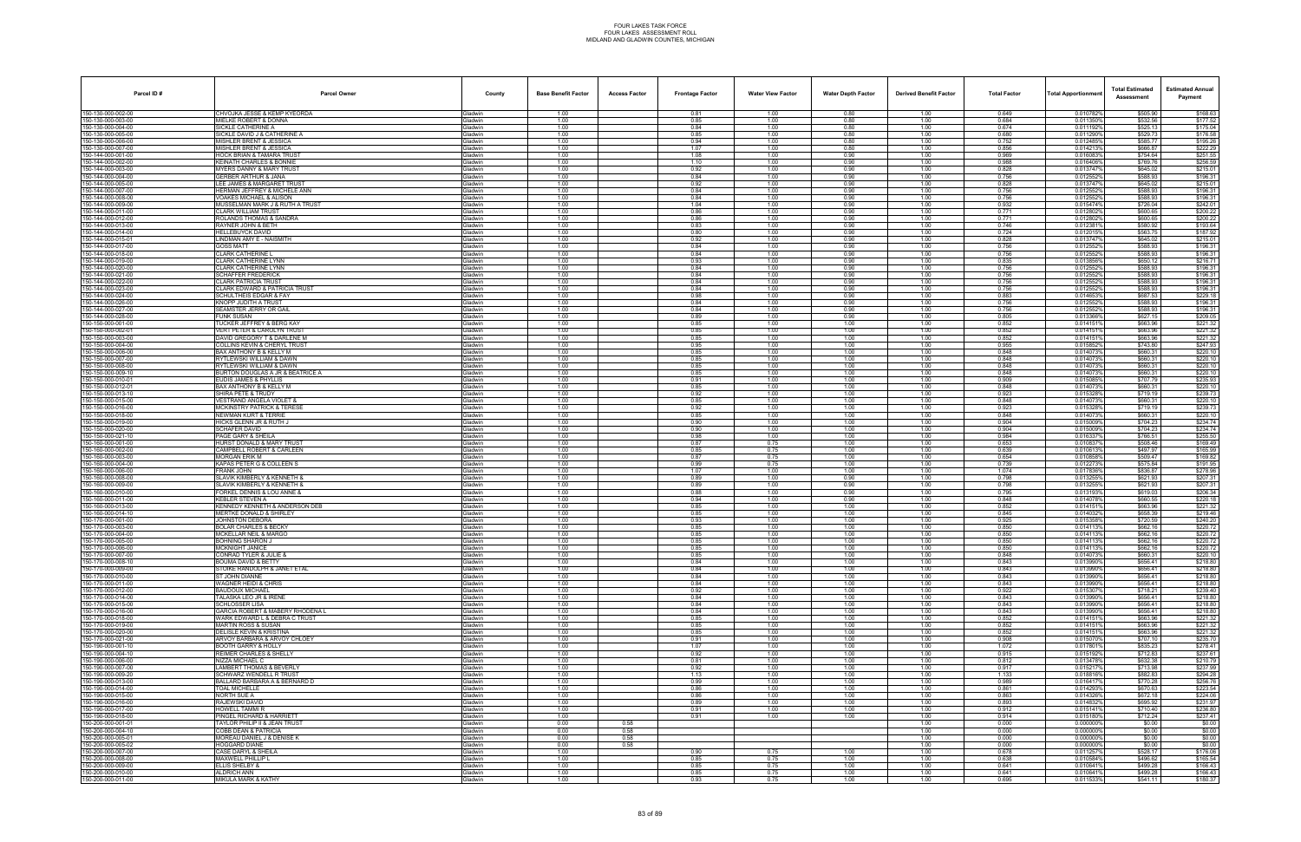| Parcel ID#                               | <b>Parcel Owner</b>                                                   | County                           | <b>Base Benefit Factor</b> | <b>Access Factor</b> | <b>Frontage Factor</b> | <b>Water View Factor</b> | <b>Water Depth Factor</b> | <b>Derived Benefit Factor</b> | <b>Total Factor</b> | <b>Total Apportionmer</b> | <b>Total Estimated</b><br>Assessment | <b>Estimated Annual</b><br>Payment |
|------------------------------------------|-----------------------------------------------------------------------|----------------------------------|----------------------------|----------------------|------------------------|--------------------------|---------------------------|-------------------------------|---------------------|---------------------------|--------------------------------------|------------------------------------|
| 150-130-000-002-00                       | CHVOJKA JESSE & KEMP KYEORDA                                          | Gladwin                          | 1.00                       |                      | 0.81                   | 1.00                     | 0.80                      | 1.00                          | 0.649               | 0.010782%                 | \$505.90                             | \$168.63                           |
| 150-130-000-003-00                       | MIELKE ROBERT & DONNA                                                 | <b>Gladwin</b>                   | 1.00                       |                      | 0.85                   | 1.00                     | 0.80                      | 1.00                          | 0.684<br>0.674      | 0.0113509                 | \$532.56                             | \$177.52                           |
| 50-130-000-004-00<br>50-130-000-005-00   | SICKLE CATHERINE A<br>SICKLE DAVID J & CATHERINE A                    | Gladwin<br><b>Gladwin</b>        | 1.00<br>1.00               |                      | 0.84<br>0.85           | 1.00<br>1.00             | 0.80<br>0.80              | 1.00<br>1.00                  | 0.680               | 0.0111929<br>0.011290%    | \$525.13<br>\$529.73                 | \$175.04<br>\$176.58               |
| 50-130-000-006-00                        | <b>MISHLER BRENT &amp; JESSICA</b>                                    | <b>Gladwin</b>                   | 1.00                       |                      | 0.94                   | 1.00                     | 0.80                      | 1.00                          | 0.752               | 0.012485%                 | \$585.77                             | \$195.26                           |
| 150-130-000-007-00                       | MISHLER BRENT & JESSICA                                               | Gladwin                          | 1.00                       |                      | 1.07                   | 1.00                     | 0.80                      | 1.00                          | 0.856               | 0.014213%                 | \$666.87                             | \$222.29                           |
| 50-144-000-001-00<br>50-144-000-002-00   | <b>HOCK BRIAN &amp; TAMARA TRUS</b><br>KEINATH CHARLES & BONNIE       | <b>Gladwin</b><br><b>Gladwin</b> | 1.00<br>1.00               |                      | 1.08<br>1.10           | 1.00<br>1.00             | 0.90<br>0.90              | 1.00<br>1.00                  | 0.969<br>0.988      | 0.0160839<br>0.016406%    | \$754.64<br>\$769.76                 | \$251.55<br>\$256.59               |
| 50-144-000-003-00                        | <b>MYERS DANNY &amp; MARY TRUST</b>                                   | <b>Gladwin</b>                   | 1.00                       |                      | 0.92                   | 1.00                     | 0.90                      | 1.00                          | 0.828               | 0.013747%                 | \$645.02                             | \$215.01                           |
| 50-144-000-004-00                        | <b>GERBER ARTHUR &amp; JANA</b>                                       | <b>Gladwin</b>                   | 1.00                       |                      | 0.84                   | 1.00                     | 0.90                      | 1.00                          | 0.756               | 0.012552%                 | \$588.93                             | \$196.31                           |
| 50-144-000-005-00<br>50-144-000-007-00   | LEE JAMES & MARGARET TRUST<br><b>HERMAN JEFFREY &amp; MICHELE ANN</b> | <b>Gladwin</b><br><b>Gladwin</b> | 1.00<br>1.00               |                      | 0.92<br>0.84           | 1.00<br>1.00             | 0.90<br>0.90              | 1.00<br>1.00                  | 0.828<br>0.756      | 0.013747%<br>0.012552%    | \$645.02<br>\$588.93                 | \$215.01<br>\$196.31               |
| 50-144-000-008-00                        | VOAKES MICHAEL & ALISON                                               | <b>Gladwin</b>                   | 1.00                       |                      | 0.84                   | 1.00                     | 0.90                      | 1.00                          | 0.756               | 0.0125529                 | \$588.93                             | \$196.31                           |
| 50-144-000-009-00                        | <b>MUSSELMAN MARK J &amp; RUTH A TRUST</b>                            | <b>Gladwin</b>                   | 1.00                       |                      | 1.04                   | 1.00                     | 0.90                      | 1.00                          | 0.932               | 0.015474%                 | \$726.04                             | \$242.01                           |
| 50-144-000-011-00                        | CLARK WILLIAM TRUST                                                   | <b>Gladwin</b>                   | 1.00                       |                      | 0.86                   | 1.00                     | 0.90                      | 1.00                          | 0.771               | 0.012802%                 | \$600.65                             | \$200.22                           |
| 50-144-000-012-00<br>50-144-000-013-00   | ROLANDS THOMAS & SANDRA<br>RAYNER JOHN & BETH                         | <b>Gladwin</b><br>Gladwin        | 1.00<br>1.00               |                      | 0.86<br>0.83           | 1.00<br>1.00             | 0.90<br>0.90              | 1.00<br>1.00                  | 0.771<br>0.746      | 0.012802%<br>0.0123819    | \$600.65<br>\$580.92                 | \$200.22<br>\$193.64               |
| 50-144-000-014-00                        | HELLEBUYCK DAVID                                                      | <b>Gladwin</b>                   | 1.00                       |                      | 0.80                   | 1.00                     | 0.90                      | 1.00                          | 0.724               | 0.012015                  | \$563.75                             | \$187.92                           |
| 50-144-000-015-01                        | INDMAN AMY E - NAISMITH                                               | <b>Gladwin</b>                   | 1.00                       |                      | 0.92                   | 1.00                     | 0.90                      | 1.00                          | 0.828               | 0.013747%                 | \$645.02                             | \$215.01                           |
| 50-144-000-017-00<br>50-144-000-018-00   | <b>GOSS MATT</b><br>CLARK CATHERINE I                                 | <b>Gladwin</b><br><b>Gladwin</b> | 1.00<br>1.00               |                      | 0.84<br>0.84           | 1.00<br>1.00             | 0.90<br>0.90              | 1.00<br>1.00                  | 0.756<br>0.756      | 0.0125529<br>0.0125529    | \$588.93<br>\$588.93                 | \$196.31<br>\$196.31               |
| 50-144-000-019-00                        | LARK CATHERINE LYNN                                                   | <b>Gladwin</b>                   | 1.00                       |                      | 0.93                   | 1.00                     | 0.90                      | 1.00                          | 0.835               | 0.013856%                 | \$650.12                             | \$216.71                           |
| 50-144-000-020-00                        | CLARK CATHERINE LYNN                                                  | <b>Gladwin</b>                   | 1.00                       |                      | 0.84                   | 1.00                     | 0.90                      | 1.00                          | 0.756               | 0.0125529                 | \$588.93                             | \$196.31                           |
| 50-144-000-021-00                        | SCHAFFER FREDERICK                                                    | <b>Gladwin</b>                   | 1.00                       |                      | 0.84                   | 1.00                     | 0.90                      | 1.00                          | 0.756               | 0.012552%                 | \$588.93                             | \$196.31                           |
| 50-144-000-022-00<br>50-144-000-023-00   | CLARK PATRICIA TRUST<br>CLARK EDWARD & PATRICIA TRUST                 | Gladwin<br><b>Gladwin</b>        | 1.00<br>1.00               |                      | 0.84<br>0.84           | 1.00<br>1.00             | 0.90<br>0.90              | 1.00<br>1.00                  | 0.756<br>0.756      | 0.012552%<br>0.0125529    | \$588.93<br>\$588.93                 | \$196.31<br>\$196.31               |
| 50-144-000-024-00                        | <b>SCHULTHEIS EDGAR &amp; FAY</b>                                     | Gladwin                          | 1.00                       |                      | 0.98                   | 1.00                     | 0.90                      | 1.00                          | 0.883               | 0.014653%                 | \$687.53                             | \$229.18                           |
| 50-144-000-026-00                        | KNOPP JUDITH A TRUST                                                  | <b>Gladwin</b>                   | 1.00                       |                      | 0.84                   | 1.00                     | 0.90                      | 1.00                          | 0.756               | 0.012552                  | \$588.93                             | \$196.31                           |
| 50-144-000-027-00<br>50-144-000-028-00   | SEAMSTER JERRY OR GAIL<br>FUNK SUSAN                                  | <b>Gladwin</b><br><b>Gladwin</b> | 1.00<br>1.00               |                      | 0.84<br>0.89           | 1.00<br>1.00             | 0.90<br>0.90              | 1.00<br>1.00                  | 0.756<br>0.805      | 0.012552%<br>0.013366%    | \$588.93<br>\$627.15                 | \$196.31<br>\$209.05               |
| 150-150-000-001-00                       | TUCKER JEFFREY & BERG KAY                                             | <b>Gladwin</b>                   | 1.00                       |                      | 0.85                   | 1.00                     | 1.00                      | 1.00                          | 0.852               | 0.0141519                 | \$663.96                             | \$221.32                           |
| 50-150-000-002-01                        | <b>VERT PETER &amp; CAROLYN TRUST</b>                                 | <b>Gladwin</b>                   | 1.00                       |                      | 0.85                   | 1.00                     | 1.00                      | 1.00                          | 0.852               | 0.0141519                 | \$663.96                             | \$221.32                           |
| 50-150-000-003-00                        | DAVID GREGORY T & DARLENE M                                           | <b>Gladwin</b>                   | 1.00                       |                      | 0.85                   | 1.00                     | 1.00                      | 1.00                          | 0.852               | 0.0141519                 | \$663.96                             | \$221.32                           |
| 50-150-000-004-00<br>50-150-000-006-00   | COLLINS KEVIN & CHERYL TRUST<br>BAX ANTHONY B & KELLY M               | Gladwin<br>Gladwin               | 1.00<br>1.00               |                      | 0.95<br>0.85           | 1.00<br>1.00             | 1.00<br>1.00              | 1.00<br>1.00                  | 0.955<br>0.848      | 0.015852%<br>0.0140739    | \$743.80<br>\$660.31                 | \$247.93<br>\$220.10               |
| 50-150-000-007-00                        | RYTLEWSKI WILLIAM & DAWN                                              | <b>Gladwin</b>                   | 1.00                       |                      | 0.85                   | 1.00                     | 1.00                      | 1.00                          | 0.848               | 0.014073                  | \$660.31                             | \$220.10                           |
| 50-150-000-008-00                        | RYTLEWSKI WILLIAM & DAWN                                              | Gladwin                          | 1.00                       |                      | 0.85                   | 1.00                     | 1.00                      | 1.00                          | 0.848               | 0.014073%                 | \$660.31                             | \$220.10                           |
| 50-150-000-009-10<br>50-150-000-010-01   | BURTON DOUGLAS A JR & BEATRICE A<br>UDIS JAMES & PHYLLIS              | <b>Gladwin</b><br><b>Gladwin</b> | 1.00<br>1.00               |                      | 0.85<br>0.91           | 1.00<br>1.00             | 1.00<br>1.00              | 1.00<br>1.00                  | 0.848<br>0.909      | 0.014073<br>0.015085%     | \$660.31<br>\$707.79                 | \$220.10<br>\$235.93               |
| 50-150-000-012-01                        | BAX ANTHONY B & KELLY M                                               | <b>Gladwin</b>                   | 1.00                       |                      | 0.85                   | 1.00                     | 1.00                      | 1.00                          | 0.848               | 0.0140739                 | \$660.31                             | \$220.10                           |
| 50-150-000-013-10                        | SHIRA PETE & TRUDY                                                    | <b>Gladwin</b>                   | 1.00                       |                      | 0.92                   | 1.00                     | 1.00                      | 1.00                          | 0.923               | 0.015328                  | \$719.19                             | \$239.73                           |
| 50-150-000-015-00                        | <b>VESTRAND ANGELA VIOLET &amp;</b>                                   | Gladwin                          | 1.00                       |                      | 0.85                   | 1.00<br>1.00             | 1.00                      | 1.00                          | 0.848               | 0.014073%                 | \$660.31                             | \$220.10                           |
| 50-150-000-016-00<br>50-150-000-018-00   | <b>MCKINSTRY PATRICK &amp; TERESI</b><br>NEWMAN KURT & TERRIE         | <b>Gladwin</b><br>Gladwin        | 1.00<br>1.00               |                      | 0.92<br>0.85           | 1.00                     | 1.00<br>1.00              | 1.00<br>1.00                  | 0.923<br>0.848      | 0.0153289<br>0.014073%    | \$719.19<br>\$660.31                 | \$239.73<br>\$220.10               |
| 50-150-000-019-00                        | HICKS GLENN JR & RUTH J                                               | Gladwin                          | 1.00                       |                      | 0.90                   | 1.00                     | 1.00                      | 1.00                          | 0.904               | 0.015009%                 | \$704.23                             | \$234.74                           |
| 50-150-000-020-00                        | SCHAFER DAVID                                                         | <b>Gladwin</b>                   | 1.00                       |                      | 0.90                   | 1.00                     | 1.00                      | 1.00                          | 0.904               | 0.0150099                 | \$704.23                             | \$234.74                           |
| 50-150-000-021-10<br>50-160-000-001-00   | PAGE GARY & SHEILA<br>HURST DONALD & MARY TRUST                       | Gladwin<br><b>Gladwin</b>        | 1.00<br>1.00               |                      | 0.98<br>0.87           | 1.00<br>0.75             | 1.00<br>1.00              | 1.00<br>1.00                  | 0.984<br>0.653      | 0.016337%<br>0.010837     | \$766.51<br>\$508.46                 | \$255.50<br>\$169.49               |
| 50-160-000-002-00                        | CAMPBELL ROBERT & CARLEEN                                             | <b>Gladwin</b>                   | 1.00                       |                      | 0.85                   | 0.75                     | 1.00                      | 1.00                          | 0.639               | 0.010613%                 | \$497.97                             | \$165.99                           |
| 50-160-000-003-00                        | MORGAN ERIK M                                                         | Gladwin                          | 1.00                       |                      | 0.87                   | 0.75                     | 1.00                      | 1.00                          | 0.654               | 0.010858%                 | \$509.47                             | \$169.82                           |
| 150-160-000-004-00<br>150-160-000-006-00 | KAPAS PETER G & COLLEEN S<br><b>FRANK JOHN</b>                        | <b>Gladwin</b><br>Gladwin        | 1.00<br>1.00               |                      | 0.99<br>1.07           | 0.75<br>1.00             | 1.00<br>1.00              | 1.00<br>1.00                  | 0.739<br>1.074      | 0.012273<br>0.017836%     | \$575.84<br>\$836.87                 | \$191.95<br>\$278.96               |
| 50-160-000-008-00                        | SLAVIK KIMBERLY & KENNETH &                                           | <b>Gladwin</b>                   | 1.00                       |                      | 0.89                   | 1.00                     | 0.90                      | 1.00                          | 0.798               | 0.013255%                 | \$621.93                             | \$207.31                           |
| 50-160-000-009-00                        | SLAVIK KIMBERLY & KENNETH &                                           | Gladwin                          | 1.00                       |                      | 0.89                   | 1.00                     | 0.90                      | 1.00                          | 0.798               | 0.013255%                 | \$621.93                             | \$207.31                           |
| 50-160-000-010-00                        | FORKEL DENNIS & LOU ANNE &                                            | Gladwin                          | 1.00                       |                      | 0.88                   | 1.00                     | 0.90                      | 1.00                          | 0.795               | 0.013193%                 | \$619.03                             | \$206.34                           |
| 150-160-000-011-00<br>50-160-000-013-00  | KEBLER STEVEN A<br>KENNEDY KENNETH & ANDERSON DEB                     | Gladwin<br>Gladwin               | 1.00<br>1.00               |                      | 0.94<br>0.85           | 1.00<br>1.00             | 0.90<br>1.00              | 1.00<br>1.00                  | 0.848<br>0.852      | 0.0140789<br>0.0141519    | \$660.55<br>\$663.96                 | \$220.18<br>\$221.32               |
| 50-160-000-014-10                        | <b>MERTKE DONALD &amp; SHIRLEY</b>                                    | <b>Gladwin</b>                   | 1.00                       |                      | 0.85                   | 1.00                     | 1.00                      | 1.00                          | 0.845               | 0.014032                  | \$658.39                             | \$219.46                           |
| 50-170-000-001-00                        | JOHNSTON DEBORA                                                       | <b>Gladwin</b>                   | 1.00                       |                      | 0.93                   | 1.00                     | 1.00                      | 1.00                          | 0.925               | 0.015358%                 | \$720.59                             | \$240.20                           |
| 50-170-000-003-00<br>50-170-000-004-00   | <b>BOLAR CHARLES &amp; BECKY</b><br>MCKELLAR NEIL & MARGO             | Gladwin<br><b>Gladwin</b>        | 1.00<br>1.00               |                      | 0.85<br>0.85           | 1.00<br>1.00             | 1.00<br>1.00              | 1.00<br>1.00                  | 0.850<br>0.850      | 0.0141139<br>0.014113     | \$662.16<br>\$662.16                 | \$220.72<br>\$220.72               |
| 150-170-000-005-00                       | BOHNING SHARON J                                                      | Gladwin                          | 1.00                       |                      | 0.85                   | 1.00                     | 1.00                      | 1.00                          | 0.850               | 0.0141139                 | \$662.16                             | \$220.72                           |
| 150-170-000-006-00                       | MCKNIGHT JANICE                                                       | <b>Gladwin</b>                   | 1.00                       |                      | 0.85                   | 1.00                     | 1.00                      | 1.00                          | 0.850               | 0.014113%                 | \$662.16                             | \$220.72                           |
| 50-170-000-007-00                        | ONRAD TYLER & JULIE &                                                 | Gladwin                          | 1.00                       |                      | 0.85                   | 1.00                     | 1.00                      | 1.00                          | 0.848               | 0.014073%                 | \$660.31                             | \$220.10                           |
| 150-170-000-008-10<br>50-170-000-009-00  | BOUMA DAVID & BETTY<br>STOIKE RANDOLPH & JANET ETAL                   | Gladwin<br>Gladwin               | 1.00<br>1.00               |                      | 0.84<br>0.84           | 1.00<br>1.00             | 1.00<br>1.00              | 1.00<br>1.00                  | 0.843<br>0.843      | 0.013990%<br>0.013990%    | \$656.41<br>\$656.41                 | \$218.80<br>\$218.80               |
| 150-170-000-010-00                       | ST JOHN DIANNE                                                        | Gladwin                          | 1.00                       |                      | 0.84                   | 1.00                     | 1.00                      | 1.00                          | 0.843               | 0.013990%                 | \$656.41                             | \$218.80                           |
| 50-170-000-011-00                        | WAGNER HEIDI & CHRIS                                                  | Gladwin                          | 1.00                       |                      | 0.84                   | 1.00                     | 1.00                      | 1.00                          | 0.843               | 0.013990%                 | \$656.41                             | \$218.80                           |
| 50-170-000-012-00<br>150-170-000-014-00  | BAUDOUX MICHAEL<br>TALASKA LEO JR & IRENE                             | Gladwin<br>Gladwin               | 1.00<br>1.00               |                      | 0.92<br>0.84           | 1.00<br>1.00             | 1.00<br>1.00              | 1.00<br>1.00                  | 0.922<br>0.843      | 0.015307%<br>0.013990%    | \$718.21<br>\$656.41                 | \$239.40<br>\$218.80               |
| 150-170-000-015-00                       | SCHLOSSER LISA                                                        | Gladwin                          | 1.00                       |                      | 0.84                   | 1.00                     | 1.00                      | 1.00                          | 0.843               | 0.013990%                 | \$656.41                             | \$218.80                           |
| 150-170-000-016-00                       | GARCIA ROBERT & MABERY RHODENA L                                      | Gladwin                          | 1.00                       |                      | 0.84                   | 1.00                     | 1.00                      | 1.00                          | 0.843               | 0.013990%                 | \$656.41                             | \$218.80                           |
| 150-170-000-018-00                       | WARK EDWARD L & DEBRA C TRUST<br><b>MARTIN ROSS &amp; SUSAN</b>       | Gladwin                          | 1.00                       |                      | 0.85                   | 1.00                     | 1.00                      | 1.00                          | 0.852               | 0.014151%                 | \$663.96                             | \$221.32                           |
| 50-170-000-019-00<br>50-170-000-020-00   | DELISLE KEVIN & KRISTINA                                              | Gladwin<br>Gladwin               | 1.00<br>1.00               |                      | 0.85<br>0.85           | 1.00<br>1.00             | 1.00<br>1.00              | 1.00<br>1.00                  | 0.852<br>0.852      | 0.014151%<br>0.014151%    | \$663.96<br>\$663.96                 | \$221.32<br>\$221.32               |
| 150-170-000-021-00                       | ARVOY BARBARA & ARVOY CHLOEY                                          | Gladwin                          | 1.00                       |                      | 0.91                   | 1.00                     | 1.00                      | 1.00                          | 0.908               | 0.015070%                 | \$707.10                             | \$235.70                           |
| 150-190-000-001-10                       | BOOTH GARRY & HOLLY                                                   | Gladwin                          | 1.00                       |                      | 1.07                   | 1.00                     | 1.00                      | 1.00                          | 1.072               | 0.017801%                 | \$835.23                             | \$278.41                           |
| 50-190-000-004-10<br>50-190-000-006-00   | REIMER CHARLES & SHELLY<br>NIZZA MICHAEL C                            | Gladwin<br><b>Gladwin</b>        | 1.00<br>1.00               |                      | 0.92<br>0.81           | 1.00<br>1.00             | 1.00<br>1.00              | 1.00<br>1.00                  | 0.915<br>0.812      | 0.015192%<br>0.013478%    | \$712.83<br>\$632.38                 | \$237.61<br>\$210.79               |
| 150-190-000-007-00                       | LAMBERT THOMAS & BEVERLY                                              | Gladwin                          | 1.00                       |                      | 0.92                   | 1.00                     | 1.00                      | 1.00                          | 0.917               | 0.015217%                 | \$713.98                             | \$237.99                           |
| 150-190-000-009-20                       | SCHWARZ WENDELL R TRUST                                               | Gladwin                          | 1.00                       |                      | 1.13                   | 1.00                     | 1.00                      | 1.00                          | 1.133               | 0.018816%                 | \$882.83                             | \$294.28                           |
| 150-190-000-013-00<br>50-190-000-014-00  | BALLARD BARBARA A & BERNARD D                                         | Gladwin                          | 1.00<br>1.00               |                      | 0.99                   | 1.00<br>1.00             | 1.00<br>1.00              | 1.00<br>1.00                  | 0.989<br>0.861      | 0.016417%<br>0.014293%    | \$770.28<br>\$670.63                 | \$256.76<br>\$223.54               |
| 50-190-000-015-00                        | <b>TOAL MICHELLE</b><br>NORTH SUE A                                   | Gladwin<br>Gladwin               | 1.00                       |                      | 0.86<br>0.86           | 1.00                     | 1.00                      | 1.00                          | 0.863               | 0.014326%                 | \$672.18                             | \$224.06                           |
| 150-190-000-016-00                       | RAJEWSKI DAVID                                                        | Gladwin                          | 1.00                       |                      | 0.89                   | 1.00                     | 1.00                      | 1.00                          | 0.893               | 0.014832%                 | \$695.92                             | \$231.97                           |
| 150-190-000-017-00                       | <b>HOWELL TAMMIR</b>                                                  | Gladwin                          | 1.00                       |                      | 0.91                   | 1.00                     | 1.00                      | 1.00                          | 0.912               | 0.015141%                 | \$710.40                             | \$236.80                           |
| 150-190-000-018-00<br>50-200-000-001-01  | PINGEL RICHARD & HARRIETT<br>TAYLOR PHILIP II & JEAN TRUST            | Gladwin<br>Gladwin               | 1.00<br>0.00               | 0.58                 | 0.91                   | 1.00                     | 1.00                      | 1.00<br>1.00                  | 0.914<br>0.000      | 0.015180%<br>0.000000%    | \$712.24<br>\$0.00                   | \$237.41<br>\$0.00                 |
| 50-200-000-004-10                        | COBB DEAN & PATRICIA                                                  | <b>Gladwin</b>                   | 0.00                       | 0.58                 |                        |                          |                           | 1.00                          | 0.000               | 0.000000%                 | \$0.00                               | \$0.00                             |
| 50-200-000-005-01                        | MOREAU DANIEL J & DENISE K                                            | Gladwin                          | 0.00                       | 0.58                 |                        |                          |                           | 1.00                          | 0.000               | 0.000000%                 | \$0.00                               | \$0.00                             |
| 50-200-000-005-02                        | HOGGARD DIANE                                                         | Gladwin                          | 0.00                       | 0.58                 | 0.90                   |                          |                           | 1.00                          | 0.000<br>0.678      | 0.000000%                 | \$0.00<br>\$528.17                   | \$0.00                             |
| 150-200-000-007-00<br>50-200-000-008-00  | CASE DARYL & SHEILA<br>MAXWELL PHILLIP L                              | Gladwin<br>Gladwin               | 1.00<br>1.00               |                      | 0.85                   | 0.75<br>0.75             | 1.00<br>1.00              | 1.00<br>1.00                  | 0.638               | 0.011257%<br>0.010584%    | \$496.62                             | \$176.06<br>\$165.54               |
| 50-200-000-009-00                        | ELLIS SHELBY &                                                        | <b>Gladwin</b>                   | 1.00                       |                      | 0.85                   | 0.75                     | 1.00                      | 1.00                          | 0.641               | 0.010641%                 | \$499.28                             | \$166.43                           |
| 50-200-000-010-00                        | ALDRICH ANN                                                           | Gladwin                          | 1.00                       |                      | 0.85                   | 0.75                     | 1.00                      | 1.00                          | 0.641               | 0.010641%                 | \$499.28                             | \$166.43                           |
| 150-200-000-011-00                       | MIKULA MARK & KATHY                                                   | Gladwin                          | 1.00                       |                      | 0.93                   | 0.75                     | 1.00                      | 1.00                          | 0.695               | 0.011533%                 | \$541.11                             | \$180.37                           |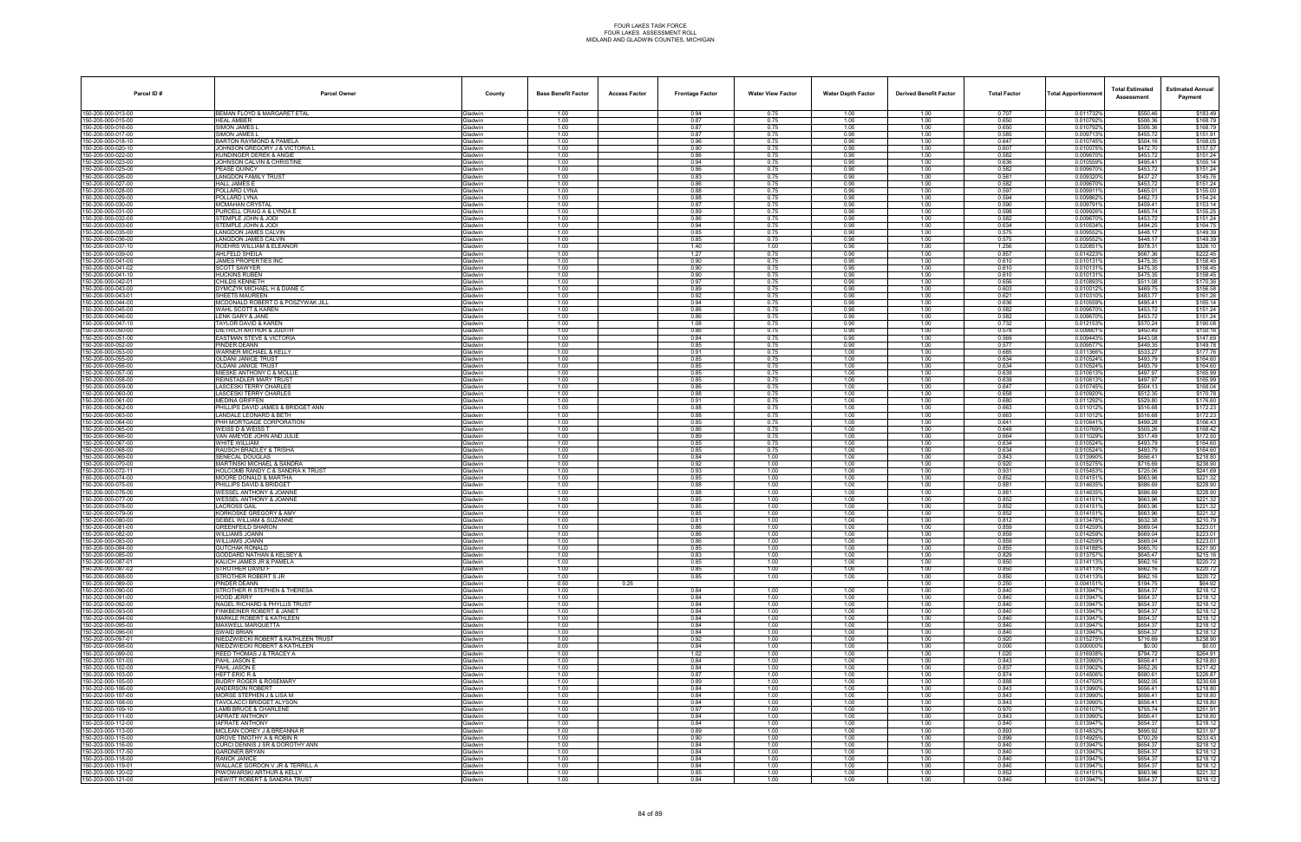| Parcel ID#                               | <b>Parcel Owner</b>                                                       | County                           | <b>Base Benefit Factor</b> | <b>Access Factor</b> | <b>Frontage Factor</b> | <b>Water View Factor</b> | <b>Water Depth Factor</b> | <b>Derived Benefit Factor</b> | <b>Total Factor</b> | <b>Total Apportionmer</b> | <b>Total Estimated</b><br>Assessment | <b>Estimated Annual</b><br>Payment |
|------------------------------------------|---------------------------------------------------------------------------|----------------------------------|----------------------------|----------------------|------------------------|--------------------------|---------------------------|-------------------------------|---------------------|---------------------------|--------------------------------------|------------------------------------|
| 150-200-000-013-00                       | BEMAN FLOYD & MARGARET ETAL                                               | Gladwin                          | 1.00                       |                      | 0.94                   | 0.75                     | 1.00                      | 1.00                          | 0.707               | 0.011732%                 | \$550.46                             | \$183.49                           |
| 50-200-000-015-00                        | <b>HEAL AMBER</b>                                                         | <b>Gladwin</b>                   | 1.00                       |                      | 0.87                   | 0.75                     | 1.00                      | 1.00                          | 0.650               | 0.0107929                 | \$506.36                             | \$168.79                           |
| 50-200-000-016-00<br>50-200-000-017-00   | SIMON JAMES I<br>SIMON JAMES I                                            | Gladwin<br><b>Gladwin</b>        | 1.00<br>1.00               |                      | 0.87<br>0.87           | 0.75<br>0.75             | 1.00<br>0.90              | 1.00<br>1.00                  | 0.650<br>0.585      | 0.010792%<br>0.009713%    | \$506.36<br>\$455.72                 | \$168.79<br>\$151.91               |
| 50-200-000-018-10                        | BARTON RAYMOND & PAMELA                                                   | <b>Gladwin</b>                   | 1.00                       |                      | 0.96                   | 0.75                     | 0.90                      | 1.00                          | 0.647               | 0.010745%                 | \$504.16                             | \$168.05                           |
| 150-200-000-020-10                       | JOHNSON GREGORY J & VICTORIA L                                            | Gladwin                          | 1.00                       |                      | 0.90                   | 0.75                     | 0.90                      | 1.00                          | 0.607               | 0.010075%                 | \$472.70                             | \$157.57                           |
| 50-200-000-022-00<br>50-200-000-023-00   | <b>KUNDINGER DEREK &amp; ANGIE</b><br>JOHNSON CALVIN & CHRISTINE          | Gladwin<br>Gladwin               | 1.00<br>1.00               |                      | 0.86<br>0.94           | 0.75<br>0.75             | 0.90<br>0.90              | 1.00<br>1.00                  | 0.582<br>0.636      | 0.0096709<br>0.010559     | \$453.72<br>\$495.41                 | \$151.24<br>\$165.14               |
| 50-200-000-025-00                        | <b>PEASE QUINCY</b>                                                       | <b>Gladwin</b>                   | 1.00                       |                      | 0.86                   | 0.75                     | 0.90                      | 1.00                          | 0.582               | 0.0096709                 | \$453.72                             | \$151.24                           |
| 50-200-000-026-00                        | <b>ANGDON FAMILY TRUST</b>                                                | <b>Gladwin</b>                   | 1.00                       |                      | 0.83                   | 0.75                     | 0.90                      | 1.00                          | 0.561               | 0.0093209                 | \$437.27                             | \$145.76                           |
| 50-200-000-027-00<br>50-200-000-028-00   | HALL JAMES E<br>OLLARD LYNA                                               | <b>Gladwin</b><br><b>Gladwin</b> | 1.00<br>1.00               |                      | 0.86<br>0.88           | 0.75<br>0.75             | 0.90<br>0.90              | 1.00<br>1.00                  | 0.582<br>0.597      | 0.0096709<br>0.0099119    | \$453.72<br>\$465.01                 | \$151.24<br>\$155.00               |
| 50-200-000-029-00                        | POLLARD LYNA                                                              | Gladwin                          | 1.00                       |                      | 0.88                   | 0.75                     | 0.90                      | 1.00                          | 0.594               | 0.009862                  | \$462.73                             | \$154.24                           |
| 50-200-000-030-00                        | <b>MCMAHAN CRYSTAL</b>                                                    | <b>Gladwin</b>                   | 1.00                       |                      | 0.87                   | 0.75                     | 0.90                      | 1.00                          | 0.590               | 0.009791%                 | \$459.41                             | \$153.14                           |
| 50-200-000-031-00<br>50-200-000-032-00   | <b>URCELL CRAIG A &amp; LYNDA E</b><br>STEMPLE JOHN & JODI                | Gladwin<br><b>Gladwin</b>        | 1.00<br>1.00               |                      | 0.89<br>0.86           | 0.75<br>0.75             | 0.90<br>0.90              | 1.00<br>1.00                  | 0.598<br>0.582      | 0.009926%<br>0.0096709    | \$465.74<br>\$453.72                 | \$155.25<br>\$151.24               |
| 50-200-000-033-00                        | STEMPLE JOHN & JODI                                                       | Gladwin                          | 1.00                       |                      | 0.94                   | 0.75                     | 0.90                      | 1.00                          | 0.634               | 0.010534%                 | \$494.25                             | \$164.75                           |
| 50-200-000-035-00                        | ANGDON JAMES CALVIN                                                       | <b>Gladwin</b>                   | 1.00                       |                      | 0.85                   | 0.75                     | 0.90                      | 1.00                          | 0.575               | 0.009552                  | \$448.17                             | \$149.39                           |
| 50-200-000-036-00<br>50-200-000-037-10   | <b>LANGDON JAMES CALVIN</b><br>ROEHRS WILLIAM & ELEANOR                   | <b>Gladwin</b><br><b>Gladwin</b> | 1.00<br>1.00               |                      | 0.85<br>1.40           | 0.75<br>1.00             | 0.90<br>0.90              | 1.00<br>1.00                  | 0.575<br>1.256      | 0.009552%<br>0.0208519    | \$448.17<br>\$978.31                 | \$149.39<br>\$326.10               |
| 50-200-000-039-00                        | AHLFELD SHEILA                                                            | <b>Gladwin</b>                   | 1.00                       |                      | 1.27                   | 0.75                     | 0.90                      | 1.00                          | 0.857               | 0.014223                  | \$667.36                             | \$222.45                           |
| 50-200-000-041-00                        | JAMES PROPERTIES INC                                                      | <b>Gladwin</b>                   | 1.00                       |                      | 0.90                   | 0.75                     | 0.90                      | 1.00                          | 0.610               | 0.010131%                 | \$475.35                             | \$158.45                           |
| 50-200-000-041-02                        | SCOTT SAWYER                                                              | <b>Gladwin</b>                   | 1.00                       |                      | 0.90                   | 0.75                     | 0.90                      | 1.00                          | 0.610               | 0.010131                  | \$475.35                             | \$158.45                           |
| 50-200-000-041-10<br>50-200-000-042-01   | HUCKINS RUBEN<br>CHILDS KENNETH                                           | <b>Gladwin</b><br><b>Gladwin</b> | 1.00<br>1.00               |                      | 0.90<br>0.97           | 0.75<br>0.75             | 0.90<br>0.90              | 1.00<br>1.00                  | 0.610<br>0.656      | 0.010131%<br>0.010893%    | \$475.35<br>\$511.08                 | \$158.45<br>\$170.36               |
| 50-200-000-043-00                        | DYMCZYK MICHAEL H & DIANE C                                               | <b>Gladwin</b>                   | 1.00                       |                      | 0.89                   | 0.75                     | 0.90                      | 1.00                          | 0.603               | 0.0100129                 | \$469.75                             | \$156.58                           |
| 50-200-000-043-01                        | SHEETS MAUREEN                                                            | Gladwin                          | 1.00                       |                      | 0.92                   | 0.75                     | 0.90                      | 1.00                          | 0.621               | 0.010310%                 | \$483.77                             | \$161.26                           |
| 50-200-000-044-00<br>50-200-000-045-00   | MCDONALD ROBERT D & POSZYWAK JILL<br><b><i>NAHL SCOTT &amp; KAREN</i></b> | <b>Gladwin</b><br><b>Gladwin</b> | 1.00<br>1.00               |                      | 0.94<br>0.86           | 0.75<br>0.75             | 0.90<br>0.90              | 1.00<br>1.00                  | 0.636<br>0.582      | 0.010559<br>0.009670%     | \$495.41<br>\$453.72                 | \$165.14<br>\$151.24               |
| 50-200-000-046-00                        | <b>LENK GARY &amp; JANE</b>                                               | <b>Gladwin</b>                   | 1.00                       |                      | 0.86                   | 0.75                     | 0.90                      | 1.00                          | 0.582               | 0.0096709                 | \$453.72                             | \$151.24                           |
| 150-200-000-047-10                       | TAYLOR DAVID & KAREN                                                      | <b>Gladwin</b>                   | 1.00                       |                      | 1.08                   | 0.75                     | 0.90                      | 1.00                          | 0.732               | 0.012153                  | \$570.24                             | \$190.08                           |
| 50-200-000-050-00                        | DIETRICH ARTHUR & JUDITH                                                  | Gladwin                          | 1.00                       |                      | 0.86                   | 0.75                     | 0.90                      | 1.00                          | 0.578               | 0.0096019                 | \$450.49                             | \$150.16                           |
| 50-200-000-051-00<br>50-200-000-052-00   | EASTMAN STEVE & VICTORIA<br>PINDER DEANN                                  | <b>Gladwin</b><br>Gladwin        | 1.00<br>1.00               |                      | 0.84<br>0.85           | 0.75<br>0.75             | 0.90<br>0.90              | 1.00<br>1.00                  | 0.569<br>0.577      | 0.0094439<br>0.009577%    | \$443.08<br>\$449.35                 | \$147.69<br>\$149.78               |
| 50-200-000-053-00                        | <b>WARNER MICHAEL &amp; KELLY</b>                                         | Gladwin                          | 1.00                       |                      | 0.91                   | 0.75                     | 1.00                      | 1.00                          | 0.685               | 0.011366%                 | \$533.27                             | \$177.76                           |
| 50-200-000-055-00                        | <b>OLDANI JANICE TRUST</b>                                                | <b>Gladwin</b>                   | 1.00                       |                      | 0.85                   | 0.75                     | 1.00                      | 1.00                          | 0.634               | 0.010524%                 | \$493.79                             | \$164.60                           |
| 50-200-000-056-00<br>50-200-000-057-00   | <b>OLDANI JANICE TRUST</b><br><b>MIESKE ANTHONY C &amp; MOLLIE</b>        | Gladwin<br><b>Gladwin</b>        | 1.00<br>1.00               |                      | 0.85<br>0.85           | 0.75<br>0.75             | 1.00<br>1.00              | 1.00<br>1.00                  | 0.634<br>0.639      | 0.010524%<br>0.010613     | \$493.79<br>\$497.97                 | \$164.60<br>\$165.99               |
| 50-200-000-058-00                        | REINSTADLER MARY TRUST                                                    | <b>Gladwin</b>                   | 1.00                       |                      | 0.85                   | 0.75                     | 1.00                      | 1.00                          | 0.639               | 0.010613%                 | \$497.97                             | \$165.99                           |
| 50-200-000-059-00                        | <b>ASCESKI TERRY CHARLES</b>                                              | <b>Gladwin</b>                   | 1.00                       |                      | 0.86                   | 0.75                     | 1.00                      | 1.00                          | 0.647               | 0.010745%                 | \$504.13                             | \$168.04                           |
| 50-200-000-060-00                        | LASCESKI TERRY CHARLES                                                    | <b>Gladwin</b>                   | 1.00                       |                      | 0.88                   | 0.75                     | 1.00                      | 1.00                          | 0.658               | 0.010920                  | \$512.35                             | \$170.78                           |
| 50-200-000-061-00<br>50-200-000-062-00   | MEDINA GRIFFEN<br>HILLIPS DAVID JAMES & BRIDGET ANN                       | Gladwin<br><b>Gladwin</b>        | 1.00<br>1.00               |                      | 0.91<br>0.88           | 0.75<br>0.75             | 1.00<br>1.00              | 1.00<br>1.00                  | 0.680<br>0.663      | 0.011292%<br>0.0110129    | \$529.80<br>\$516.68                 | \$176.60<br>\$172.23               |
| 50-200-000-063-00                        | ANDALE LEONARD & BETH                                                     | Gladwin                          | 1.00                       |                      | 0.88                   | 0.75                     | 1.00                      | 1.00                          | 0.663               | 0.011012%                 | \$516.68                             | \$172.23                           |
| 50-200-000-064-00                        | PHH MORTGAGE CORPORATION                                                  | Gladwin                          | 1.00                       |                      | 0.85                   | 0.75                     | 1.00                      | 1.00                          | 0.641               | 0.010641%                 | \$499.28                             | \$166.43                           |
| 50-200-000-065-00<br>50-200-000-066-00   | WEISS D & WEISS T<br>VAN AMEYDE JOHN AND JULIE                            | <b>Gladwin</b><br>Gladwin        | 1.00<br>1.00               |                      | 0.86<br>0.89           | 0.75<br>0.75             | 1.00<br>1.00              | 1.00<br>1.00                  | 0.649<br>0.664      | 0.0107699<br>0.011029%    | \$505.26<br>\$517.49                 | \$168.42<br>\$172.50               |
| 50-200-000-067-00                        | WHITE WILLIAM                                                             | <b>Gladwin</b>                   | 1.00                       |                      | 0.85                   | 0.75                     | 1.00                      | 1.00                          | 0.634               | 0.010524%                 | \$493.79                             | \$164.60                           |
| 50-200-000-068-00                        | RAUSCH BRADLEY & TRISHA                                                   | <b>Gladwin</b>                   | 1.00                       |                      | 0.85                   | 0.75                     | 1.00                      | 1.00                          | 0.634               | 0.010524%                 | \$493.79                             | \$164.60                           |
| 50-200-000-069-00                        | SENECAL DOUGLAS                                                           | Gladwin                          | 1.00                       |                      | 0.84                   | 1.00                     | 1.00                      | 1.00                          | 0.843               | 0.013990%                 | \$656.41                             | \$218.80                           |
| 50-200-000-070-00<br>50-200-000-072-11   | MARTINSKI MICHAEL & SANDRA<br>HOLCOMB RANDY C & SANDRA K TRUST            | <b>Gladwin</b><br>Gladwin        | 1.00<br>1.00               |                      | 0.92<br>0.93           | 1.00<br>1.00             | 1.00<br>1.00              | 1.00<br>1.00                  | 0.920<br>0.931      | 0.015275<br>0.015453%     | \$716.69<br>\$725.06                 | \$238.90<br>\$241.69               |
| 50-200-000-074-00                        | <b>MOORE DONALD &amp; MARTHA</b>                                          | <b>Gladwin</b>                   | 1.00                       |                      | 0.85                   | 1.00                     | 1.00                      | 1.00                          | 0.852               | 0.0141519                 | \$663.96                             | \$221.32                           |
| 50-200-000-075-00                        | HILLIPS DAVID & BRIDGET                                                   | Gladwin                          | 1.00                       |                      | 0.88                   | 1.00                     | 1.00                      | 1.00                          | 0.881               | 0.014635%                 | \$686.69                             | \$228.90                           |
| 50-200-000-076-00<br>50-200-000-077-00   | <b>WESSEL ANTHONY &amp; JOANNE</b><br><b>WESSEL ANTHONY &amp; JOANNE</b>  | Gladwin<br><b>Gladwin</b>        | 1.00<br>1.00               |                      | 0.88<br>0.85           | 1.00<br>1.00             | 1.00<br>1.00              | 1.00<br>1.00                  | 0.881<br>0.852      | 0.014635%<br>0.0141519    | \$686.69<br>\$663.96                 | \$228.90<br>\$221.32               |
| 50-200-000-078-00                        | <b>LACROSS GAIL</b>                                                       | Gladwin                          | 1.00                       |                      | 0.85                   | 1.00                     | 1.00                      | 1.00                          | 0.852               | 0.0141519                 | \$663.96                             | \$221.32                           |
| 50-200-000-079-00                        | KORKOSKE GREGORY & AMY                                                    | <b>Gladwin</b>                   | 1.00                       |                      | 0.85                   | 1.00                     | 1.00                      | 1.00                          | 0.852               | 0.0141519                 | \$663.96                             | \$221.32                           |
| 50-200-000-080-00<br>50-200-000-081-00   | SEIBEL WILLIAM & SUZANNE<br><b>GREENFEILD SHARON</b>                      | <b>Gladwin</b><br>Gladwin        | 1.00<br>1.00               |                      | 0.81<br>0.86           | 1.00<br>1.00             | 1.00<br>1.00              | 1.00<br>1.00                  | 0.812<br>0.859      | 0.013478%<br>0.0142599    | \$632.38<br>\$669.04                 | \$210.79<br>\$223.01               |
| 50-200-000-082-00                        | WILLIAMS JOANN                                                            | <b>Gladwin</b>                   | 1.00                       |                      | 0.86                   | 1.00                     | 1.00                      | 1.00                          | 0.859               | 0.0142599                 | \$669.04                             | \$223.01                           |
| 150-200-000-083-00                       | WILLIAMS JOANN                                                            | Gladwin                          | 1.00                       |                      | 0.86                   | 1.00                     | 1.00                      | 1.00                          | 0.859               | 0.014259%                 | \$669.04                             | \$223.01                           |
| 150-200-000-084-00                       | <b>GUTCHAK RONALD</b>                                                     | <b>Gladwin</b>                   | 1.00                       |                      | 0.85                   | 1.00                     | 1.00                      | 1.00                          | 0.855               | 0.014188%                 | \$665.70                             | \$221.90                           |
| 50-200-000-085-00<br>50-200-000-087-01   | <b>GODDARD NATHAN &amp; KELSEY &amp;</b><br>KALICH JAMES JR & PAMELA      | Gladwin<br>Gladwin               | 1.00<br>1.00               |                      | 0.83<br>0.85           | 1.00<br>1.00             | 1.00<br>1.00              | 1.00<br>1.00                  | 0.829<br>0.850      | 0.013757%<br>0.014113%    | \$645.47<br>\$662.16                 | \$215.16<br>\$220.72               |
| 50-200-000-087-02                        | STROTHER DAVID F                                                          | Gladwin                          | 1.00                       |                      | 0.85                   | 1.00                     | 1.00                      | 1.00                          | 0.850               | 0.0141139                 | \$662.16                             | \$220.72                           |
| 150-200-000-088-00                       | STROTHER ROBERT S JR                                                      | Gladwin                          | 1.00                       |                      | 0.85                   | 1.00                     | 1.00                      | 1.00                          | 0.850               | 0.0141139                 | \$662.16<br>\$194.75                 | \$220.72                           |
| 50-200-000-089-00<br>50-202-000-090-00   | PINDER DEANN<br>STROTHER R STEPHEN & THERESA                              | Gladwin<br>Gladwin               | 0.50<br>1.00               | 0.25                 | 0.84                   | 1.00                     | 1.00                      | 1.00<br>1.00                  | 0.250<br>0.840      | 0.0041519<br>0.013947%    | \$654.37                             | \$64.92<br>\$218.12                |
| 50-202-000-091-00                        | HOOD JERRY                                                                | Gladwin                          | 1.00                       |                      | 0.84                   | 1.00                     | 1.00                      | 1.00                          | 0.840               | 0.013947%                 | \$654.37                             | \$218.12                           |
| 50-202-000-092-00                        | NAGEL RICHARD & PHYLLIS TRUST                                             | <b>Gladwin</b>                   | 1.00                       |                      | 0.84                   | 1.00                     | 1.00                      | 1.00                          | 0.840               | 0.013947%                 | \$654.37                             | \$218.12                           |
| 150-202-000-093-00<br>50-202-000-094-00  | FINKBEINER ROBERT & JANET<br><b>MARKLE ROBERT &amp; KATHLEEN</b>          | Gladwin<br>Gladwin               | 1.00<br>1.00               |                      | 0.84<br>0.84           | 1.00<br>1.00             | 1.00<br>1.00              | 1.00<br>1.00                  | 0.840<br>0.840      | 0.013947%<br>0.013947%    | \$654.37<br>\$654.37                 | \$218.12<br>\$218.12               |
| 50-202-000-095-00                        | <b>MAXWELL MARQUETTA</b>                                                  | Gladwin                          | 1.00                       |                      | 0.84                   | 1.00                     | 1.00                      | 1.00                          | 0.840               | 0.013947%                 | \$654.37                             | \$218.12                           |
| 150-202-000-096-00                       | SWAID BRIAN                                                               | Gladwin                          | 1.00                       |                      | 0.84                   | 1.00                     | 1.00                      | 1.00                          | 0.840               | 0.013947%                 | \$654.37                             | \$218.12                           |
| 150-202-000-097-01                       | NIEDZWIECKI ROBERT & KATHLEEN TRUST                                       | Gladwin                          | 1.00                       |                      | 0.92                   | 1.00                     | 1.00                      | 1.00                          | 0.920               | 0.0152759                 | \$716.69                             | \$238.90                           |
| 150-202-000-098-00<br>50-202-000-099-00  | NIEDZWIECKI ROBERT & KATHLEEN<br>REED THOMAS J & TRACEY A                 | Gladwin<br>Gladwin               | 0.00<br>1.00               |                      | 0.84<br>1.02           | 1.00<br>1.00             | 1.00<br>1.00              | 1.00<br>1.00                  | 0.000<br>1.020      | 0.000000%<br>0.016938%    | \$0.00<br>\$794.72                   | \$0.00<br>\$264.91                 |
| 50-202-000-101-00                        | PAHL JASON E                                                              | <b>Gladwin</b>                   | 1.00                       |                      | 0.84                   | 1.00                     | 1.00                      | 1.00                          | 0.843               | 0.013990%                 | \$656.41                             | \$218.80                           |
| 50-202-000-102-00                        | PAHL JASON E                                                              | Gladwin                          | 1.00                       |                      | 0.84                   | 1.00                     | 1.00                      | 1.00                          | 0.837               | 0.013902%                 | \$652.26                             | \$217.42                           |
| 50-202-000-103-00<br>150-202-000-105-00  | HEFT ERIC R &<br><b>BUDRY ROGER &amp; ROSEMARY</b>                        | Gladwin<br>Gladwin               | 1.00<br>1.00               |                      | 0.87<br>0.89           | 1.00<br>1.00             | 1.00<br>1.00              | 1.00<br>1.00                  | 0.874<br>0.888      | 0.014506%<br>0.014750%    | \$680.61<br>\$692.05                 | \$226.87<br>\$230.68               |
| 50-202-000-106-00                        | <b>ANDERSON ROBERT</b>                                                    | Gladwin                          | 1.00                       |                      | 0.84                   | 1.00                     | 1.00                      | 1.00                          | 0.843               | 0.013990%                 | \$656.41                             | \$218.80                           |
| 50-202-000-107-00                        | MORSE STEPHEN J & LISA M                                                  | <b>Gladwin</b>                   | 1.00                       |                      | 0.84                   | 1.00                     | 1.00                      | 1.00                          | 0.843               | 0.013990%                 | \$656.41                             | \$218.80                           |
| 150-202-000-108-00<br>150-202-000-109-10 | TAVOLACCI BRIDGET ALYSON<br>LAMB BRUCE & CHARLENE                         | Gladwin<br>Gladwin               | 1.00<br>1.00               |                      | 0.84<br>0.97           | 1.00<br>1.00             | 1.00<br>1.00              | 1.00<br>1.00                  | 0.843<br>0.970      | 0.013990%<br>0.016107%    | \$656.41<br>\$755.74                 | \$218.80<br>\$251.91               |
| 150-202-000-111-00                       | <b>IAFRATE ANTHONY</b>                                                    | Gladwin                          | 1.00                       |                      | 0.84                   | 1.00                     | 1.00                      | 1.00                          | 0.843               | 0.013990%                 | \$656.41                             | \$218.80                           |
| 150-203-000-112-00                       | <b>IAFRATE ANTHONY</b>                                                    | Gladwin                          | 1.00                       |                      | 0.84                   | 1.00                     | 1.00                      | 1.00                          | 0.840               | 0.013947%                 | \$654.37                             | \$218.12                           |
| 50-203-000-113-00                        | <b>MCLEAN COREY J &amp; BREANNA R</b>                                     | <b>Gladwin</b>                   | 1.00                       |                      | 0.89                   | 1.00                     | 1.00                      | 1.00                          | 0.893               | 0.014832%                 | \$695.92                             | \$231.97                           |
| 150-203-000-115-00<br>150-203-000-116-00 | GROVE TIMOTHY A & ROBIN R<br>CURCI DENNIS J SR & DOROTHY ANN              | Gladwin<br>Gladwin               | 1.00<br>1.00               |                      | 0.90<br>0.84           | 1.00<br>1.00             | 1.00<br>1.00              | 1.00<br>1.00                  | 0.899<br>0.840      | 0.014925%<br>0.013947%    | \$700.29<br>\$654.37                 | \$233.43<br>\$218.12               |
| 150-203-000-117-50                       | GARDNER BRYAN                                                             | Gladwin                          | 1.00                       |                      | 0.84                   | 1.00                     | 1.00                      | 1.00                          | 0.840               | 0.013947%                 | \$654.37                             | \$218.12                           |
| 150-203-000-118-00                       | RANCK JANICE                                                              | Gladwin                          | 1.00                       |                      | 0.84                   | 1.00                     | 1.00                      | 1.00                          | 0.840               | 0.013947%                 | \$654.37                             | \$218.12                           |
| 50-203-000-119-01<br>150-203-000-120-02  | <b>NALLACE GORDON V JR &amp; TERRILL A</b><br>PIWOWARSKI ARTHUR & KELLY   | <b>Gladwin</b><br>Gladwin        | 1.00<br>1.00               |                      | 0.84<br>0.85           | 1.00<br>1.00             | 1.00<br>1.00              | 1.00<br>1.00                  | 0.840<br>0.852      | 0.013947%<br>0.0141519    | \$654.37<br>\$663.96                 | \$218.12<br>\$221.32               |
| 150-203-000-121-00                       | HEWITT ROBERT & SANDRA TRUST                                              | Gladwin                          | 1.00                       |                      | 0.84                   | 1.00                     | 1.00                      | 1.00                          | 0.840               | 0.013947%                 | \$654.37                             | \$218.12                           |
|                                          |                                                                           |                                  |                            |                      |                        |                          |                           |                               |                     |                           |                                      |                                    |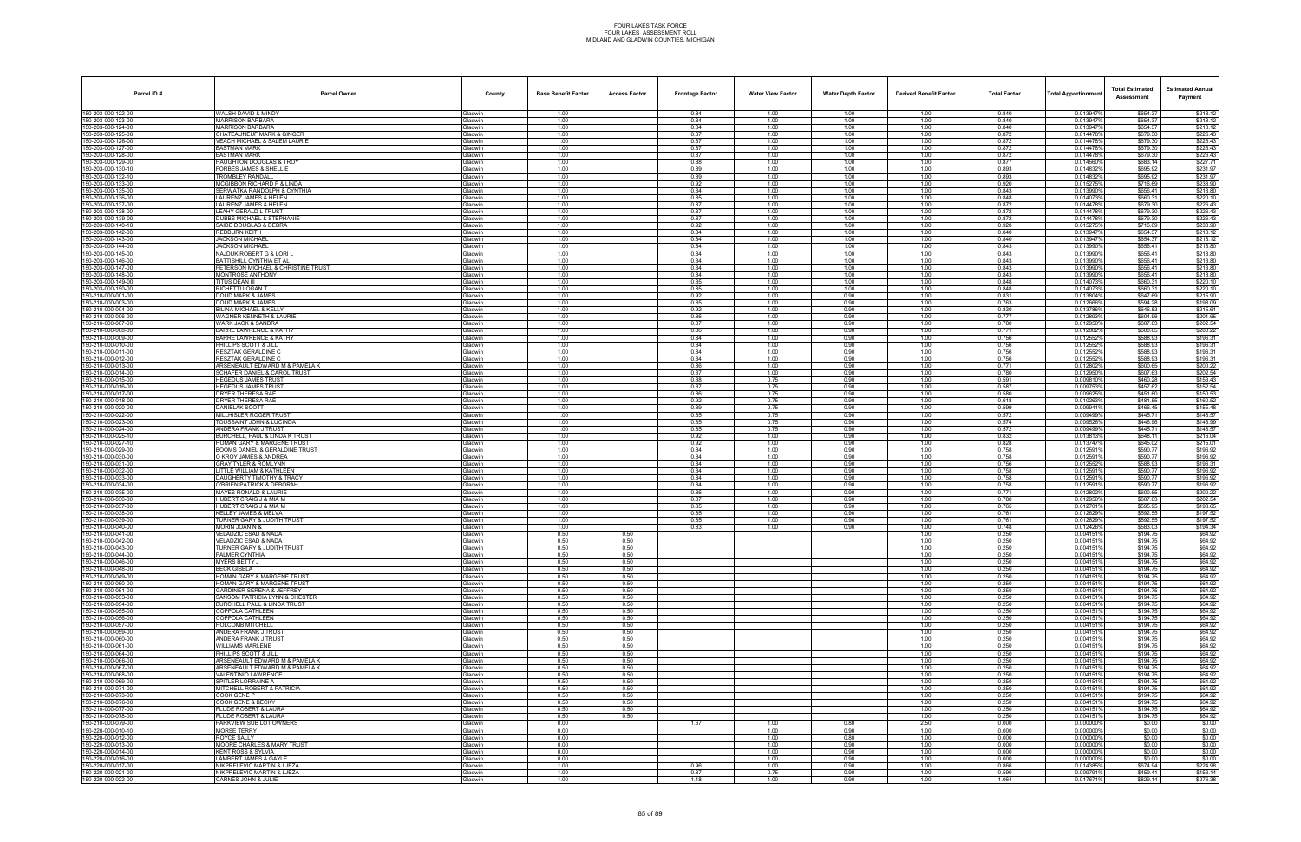| Parcel ID#                               | <b>Parcel Owner</b>                                                 | County                           | <b>Base Benefit Factor</b> | <b>Access Factor</b> | <b>Frontage Factor</b> | <b>Water View Factor</b> | <b>Water Depth Factor</b> | <b>Derived Benefit Factor</b> | <b>Total Factor</b> | <b>Total Apportionmen</b> | <b>Total Estimated</b><br>Assessment | <b>Estimated Annual</b><br>Payment |
|------------------------------------------|---------------------------------------------------------------------|----------------------------------|----------------------------|----------------------|------------------------|--------------------------|---------------------------|-------------------------------|---------------------|---------------------------|--------------------------------------|------------------------------------|
| 150-203-000-122-00                       | WALSH DAVID & MINDY                                                 | Gladwin                          | 1.00                       |                      | 0.84                   | 1.00                     | 1.00                      | 1.00                          | 0.840               | 0.013947%                 | \$654.37                             | \$218.12                           |
| 150-203-000-123-00<br>150-203-000-124-00 | <b>MARRISON BARBARA</b><br><b>MARRISON BARBARA</b>                  | <b>Gladwin</b>                   | 1.00<br>1.00               |                      | 0.84<br>0.84           | 1.00<br>1.00             | 1.00<br>1.00              | 1.00<br>1.00                  | 0.840<br>0.840      | 0.013947%<br>0.0139479    | \$654.37<br>\$654.37                 | \$218.12<br>\$218.12               |
| 150-203-000-125-00                       | <b>CHATEAUNEUF MARK &amp; GINGER</b>                                | ladwin<br><b>Gladwin</b>         | 1.00                       |                      | 0.87                   | 1.00                     | 1.00                      | 1.00                          | 0.872               | 0.0144789                 | \$679.30                             | \$226.43                           |
| 150-203-000-126-00                       | VEACH MICHAEL & SALEM LAURIE                                        | Gladwin                          | 1.00                       |                      | 0.87                   | 1.00                     | 1.00                      | 1.00                          | 0.872               | 0.0144789                 | \$679.30                             | \$226.43                           |
| 150-203-000-127-00                       | <b>EASTMAN MARK</b>                                                 | Gladwin                          | 1.00                       |                      | 0.87<br>0.87           | 1.00<br>1.00             | 1.00                      | 1.00                          | 0.872<br>0.872      | 0.014478%                 | \$679.30                             | \$226.43                           |
| 150-203-000-128-00<br>150-203-000-129-00 | <b>EASTMAN MARK</b><br>HAUGHTON DOUGLAS & TROY                      | <b>Gladwin</b><br>ladwin         | 1.00<br>1.00               |                      | 0.88                   | 1.00                     | 1.00<br>1.00              | 1.00<br>1.00                  | 0.877               | 0.0144789<br>0.014560%    | \$679.30<br>\$683.14                 | \$226.43<br>\$227.71               |
| 150-203-000-130-10                       | <b>FORBES JAMES &amp; SHELLIE</b>                                   | <b>Gladwin</b>                   | 1.00                       |                      | 0.89                   | 1.00                     | 1.00                      | 1.00                          | 0.893               | 0.014832%                 | \$695.92                             | \$231.97                           |
| 150-203-000-132-10<br>150-203-000-133-00 | TROMBLEY RANDALL<br>MCGIBBON RICHARD P & LINDA                      | <b>Gladwin</b><br>Gladwin        | 1.00<br>1.00               |                      | 0.89<br>0.92           | 1.00<br>1.00             | 1.00<br>1.00              | 1.00<br>1.00                  | 0.893<br>0.920      | 0.014832%<br>0.015275%    | \$695.92<br>\$716.69                 | \$231.97<br>\$238.90               |
| 150-203-000-135-00                       | SERWATKA RANDOLPH & CYNTHIA                                         | <b>Gladwin</b>                   | 1.00                       |                      | 0.84                   | 1.00                     | 1.00                      | 1.00                          | 0.843               | 0.013990%                 | \$656.41                             | \$218.80                           |
| 150-203-000-136-00                       | LAURENZ JAMES & HELEN                                               | <b>Gladwin</b>                   | 1.00                       |                      | 0.85                   | 1.00                     | 1.00                      | 1.00                          | 0.848               | 0.0140739                 | \$660.31                             | \$220.10                           |
| 150-203-000-137-00<br>150-203-000-138-00 | LAURENZ JAMES & HELEN<br>LEAHY GERALD L TRUST                       | <b>Gladwin</b>                   | 1.00                       |                      | 0.87<br>0.87           | 1.00<br>1.00             | 1.00                      | 1.00                          | 0.872               | 0.014478%<br>0.0144789    | \$679.30                             | \$226.43                           |
| 150-203-000-139-00                       | <b>DUBBS MICHAEL &amp; STEPHANIE</b>                                | <b>Gladwin</b><br>Gladwin        | 1.00<br>1.00               |                      | 0.87                   | 1.00                     | 1.00<br>1.00              | 1.00<br>1.00                  | 0.872<br>0.872      | 0.014478%                 | \$679.30<br>\$679.30                 | \$226.43<br>\$226.43               |
| 150-203-000-140-10                       | SAIDE DOUGLAS & DEBRA                                               | <b>Gladwin</b>                   | 1.00                       |                      | 0.92                   | 1.00                     | 1.00                      | 1.00                          | 0.920               | 0.015275                  | \$716.69                             | \$238.90                           |
| 150-203-000-142-00<br>150-203-000-143-00 | REDBURN KEITH<br><b>JACKSON MICHAEL</b>                             | 3ladwin<br><b>Gladwin</b>        | 1.00<br>1.00               |                      | 0.84<br>0.84           | 1.00<br>1.00             | 1.00<br>1.00              | 1.00<br>1.00                  | 0.840<br>0.840      | 0.013947<br>0.013947%     | \$654.37<br>\$654.37                 | \$218.12<br>\$218.12               |
| 150-203-000-144-00                       | <b>JACKSON MICHAEL</b>                                              | <b>Gladwin</b>                   | 1.00                       |                      | 0.84                   | 1.00                     | 1.00                      | 1.00                          | 0.843               | 0.013990%                 | \$656.41                             | \$218.80                           |
| 150-203-000-145-00                       | NAJDUK ROBERT G & LORI L                                            | Gladwin                          | 1.00                       |                      | 0.84                   | 1.00                     | 1.00                      | 1.00                          | 0.843               | 0.013990%                 | \$656.41                             | \$218.80                           |
| 150-203-000-146-00<br>150-203-000-147-00 | BATTISHILL CYNTHIA ET AL<br>PETERSON MICHAEL & CHRISTINE TRUST      | <b>Gladwin</b><br><b>Gladwin</b> | 1.00<br>1.00               |                      | 0.84<br>0.84           | 1.00<br>1.00             | 1.00<br>1.00              | 1.00<br>1.00                  | 0.843<br>0.843      | 0.013990%<br>0.013990%    | \$656.41<br>\$656.41                 | \$218.80<br>\$218.80               |
| 150-203-000-148-00                       | MONTROSE ANTHONY                                                    | Gladwin                          | 1.00                       |                      | 0.84                   | 1.00                     | 1.00                      | 1.00                          | 0.843               | 0.013990%                 | \$656.41                             | \$218.80                           |
| 150-203-000-149-00                       | <b>TITUS DEAN III</b>                                               | Gladwin                          | 1.00                       |                      | 0.85                   | 1.00                     | 1.00                      | 1.00                          | 0.848               | 0.0140739                 | \$660.31                             | \$220.10                           |
| 150-203-000-150-00<br>150-210-000-001-00 | RICHETTI LOGAN T<br><b>DOUD MARK &amp; JAMES</b>                    | Gladwin<br>Gladwin               | 1.00<br>1.00               |                      | 0.85<br>0.92           | 1.00<br>1.00             | 1.00<br>0.90              | 1.00<br>1.00                  | 0.848<br>0.831      | 0.014073%<br>0.013804%    | \$660.31<br>\$647.69                 | \$220.10<br>\$215.90               |
| 150-210-000-003-00                       | DOUD MARK & JAMES                                                   | <b>Gladwin</b>                   | 1.00                       |                      | 0.85                   | 1.00                     | 0.90                      | 1.00                          | 0.763               | 0.0126669                 | \$594.28                             | \$198.09                           |
| 150-210-000-004-00                       | BILINA MICHAEL & KELLY                                              | Gladwin                          | 1.00                       |                      | 0.92                   | 1.00                     | 0.90                      | 1.00                          | 0.830               | 0.013786%                 | \$646.83                             | \$215.61                           |
| 150-210-000-006-00<br>150-210-000-007-00 | <b>WAGNER KENNETH &amp; LAURIE</b><br><b>WARK JACK &amp; SANDRA</b> | Gladwin<br>Gladwin               | 1.00<br>1.00               |                      | 0.86<br>0.87           | 1.00<br>1.00             | 0.90<br>0.90              | 1.00<br>1.00                  | 0.777<br>0.780      | 0.012893%<br>0.012950%    | \$604.96<br>\$607.63                 | \$201.65<br>\$202.54               |
| 150-210-000-008-00                       | <b>BARRE LAWRENCE &amp; KATHY</b>                                   | Gladwin                          | 1.00                       |                      | 0.86                   | 1.00                     | 0.90                      | 1.00                          | 0.771               | 0.012802%                 | \$600.65                             | \$200.22                           |
| 150-210-000-009-00                       | <b>BARRE LAWRENCE &amp; KATHY</b>                                   | <b>Gladwin</b>                   | 1.00                       |                      | 0.84                   | 1.00                     | 0.90                      | 1.00                          | 0.756               | 0.012552%                 | \$588.93                             | \$196.31                           |
| 150-210-000-010-00<br>150-210-000-011-00 | PHILLIPS SCOTT & JILL<br>RESZTAK GERALDINE C                        | Gladwin<br>Gladwin               | 1.00<br>1.00               |                      | 0.84<br>0.84           | 1.00<br>1.00             | 0.90<br>0.90              | 1.00<br>1.00                  | 0.756<br>0.756      | 0.012552%<br>0.012552%    | \$588.93<br>\$588.93                 | \$196.31<br>\$196.31               |
| 150-210-000-012-00                       | RESZTAK GERALDINE C                                                 | Gladwin                          | 1.00                       |                      | 0.84                   | 1.00                     | 0.90                      | 1.00                          | 0.756               | 0.0125529                 | \$588.93                             | \$196.31                           |
| 150-210-000-013-00                       | ARSENEAULT EDWARD M & PAMELA K                                      | Gladwin                          | 1.00                       |                      | 0.86                   | 1.00                     | 0.90                      | 1.00                          | 0.771               | 0.012802%                 | \$600.65                             | \$200.22                           |
| 150-210-000-014-00<br>150-210-000-015-00 | SCHAFER DANIEL & CAROL TRUST<br><b>HEGEDUS JAMES TRUST</b>          | <b>Gladwin</b><br><b>Gladwin</b> | 1.00<br>1.00               |                      | 0.87<br>0.88           | 1.00<br>0.75             | 0.90<br>0.90              | 1.00<br>1.00                  | 0.780<br>0.591      | 0.012950%<br>0.009810%    | \$607.63<br>\$460.28                 | \$202.54<br>\$153.43               |
| 150-210-000-016-00                       | <b>HEGEDUS JAMES TRUST</b>                                          | Gladwin                          | 1.00                       |                      | 0.87                   | 0.75                     | 0.90                      | 1.00                          | 0.587               | 0.009753%                 | \$457.62                             | \$152.54                           |
| 150-210-000-017-00                       | DRYER THERESA RAE                                                   | <b>Gladwin</b>                   | 1.00                       |                      | 0.86                   | 0.75                     | 0.90                      | 1.00                          | 0.580               | 0.0096259                 | \$451.60                             | \$150.53                           |
| 150-210-000-018-00<br>150-210-000-020-00 | DRYER THERESA RAE<br>DANIELAK SCOTT                                 | Gladwin<br><b>Gladwin</b>        | 1.00<br>1.00               |                      | 0.92<br>0.89           | 0.75<br>0.75             | 0.90<br>0.90              | 1.00<br>1.00                  | 0.618<br>0.599      | 0.010263%<br>0.0099419    | \$481.55<br>\$466.45                 | \$160.52<br>\$155.48               |
| 150-210-000-022-00                       | MILLHISLER ROGER TRUST                                              | <b>Gladwin</b>                   | 1.00                       |                      | 0.85                   | 0.75                     | 0.90                      | 1.00                          | 0.572               | 0.009499%                 | \$445.71                             | \$148.57                           |
| 150-210-000-023-00                       | TOUSSAINT JOHN & LUCINDA                                            | Gladwin                          | 1.00                       |                      | 0.85                   | 0.75                     | 0.90                      | 1.00                          | 0.574               | 0.0095269                 | \$446.96                             | \$148.99                           |
| 150-210-000-024-00<br>150-210-000-025-10 | ANDERA FRANK J TRUST<br>BURCHELL, PAUL & LINDA K TRUST              | Gladwin<br>Gladwin               | 1.00<br>1.00               |                      | 0.85<br>0.92           | 0.75<br>1.00             | 0.90<br>0.90              | 1.00<br>1.00                  | 0.572<br>0.832      | 0.009499%<br>0.0138139    | \$445.71<br>\$648.11                 | \$148.57<br>\$216.04               |
| 150-210-000-027-10                       | HOMAN GARY & MARGENE TRUST                                          | ladwin                           | 1.00                       |                      | 0.92                   | 1.00                     | 0.90                      | 1.00                          | 0.828               | 0.0137479                 | \$645.02                             | \$215.01                           |
| 150-210-000-029-00                       | BOOMS DANIEL & GERALDINE TRUST                                      | <b>Gladwin</b>                   | 1.00                       |                      | 0.84                   | 1.00                     | 0.90                      | 1.00                          | 0.758               | 0.0125919                 | \$590.77                             | \$196.92                           |
| 150-210-000-030-00<br>150-210-000-031-00 | O KROY JAMES & ANDREA<br><b>GRAY TYLER &amp; ROMLYNN</b>            | Gladwin<br>Gladwin               | 1.00<br>1.00               |                      | 0.84<br>0.84           | 1.00<br>1.00             | 0.90<br>0.90              | 1.00<br>1.00                  | 0.758<br>0.756      | 0.012591<br>0.012552%     | \$590.77<br>\$588.93                 | \$196.92<br>\$196.31               |
| 150-210-000-032-00                       | LITTLE WILLIAM & KATHLEEN                                           | <b>Gladwin</b>                   | 1.00                       |                      | 0.84                   | 1.00                     | 0.90                      | 1.00                          | 0.758               | 0.012591%                 | \$590.77                             | \$196.92                           |
| 150-210-000-033-00                       | DAUGHERTY TIMOTHY & TRACY                                           | ladwin                           | 1.00                       |                      | 0.84                   | 1.00                     | 0.90                      | 1.00                          | 0.758               | 0.012591                  | \$590.77                             | \$196.92                           |
| 150-210-000-034-00<br>150-210-000-035-00 | O'BRIEN PATRICK & DEBORAH<br><b>MAYES RONALD &amp; LAURIE</b>       | <b>Gladwin</b><br>Gladwin        | 1.00<br>1.00               |                      | 0.84<br>0.86           | 1.00<br>1.00             | 0.90<br>0.90              | 1.00<br>1.00                  | 0.758<br>0.771      | 0.012591%<br>0.0128029    | \$590.77<br>\$600.65                 | \$196.92<br>\$200.22               |
| 150-210-000-036-00                       | HUBERT CRAIG J & MIA M                                              | Gladwin                          | 1.00                       |                      | 0.87                   | 1.00                     | 0.90                      | 1.00                          | 0.780               | 0.012950%                 | \$607.63                             | \$202.54                           |
| 150-210-000-037-00                       | HUBERT CRAIG J & MIA M                                              | <b>Gladwin</b>                   | 1.00                       |                      | 0.85                   | 1.00                     | 0.90                      | 1.00                          | 0.765               | 0.0127019                 | \$595.95                             | \$198.65                           |
| 150-210-000-038-00<br>150-210-000-039-00 | KELLEY JAMES & MELVA<br>TURNER GARY & JUDITH TRUST                  | 3ladwin<br><b>Gladwin</b>        | 1.00<br>1.00               |                      | 0.85<br>0.85           | 1.00<br>1.00             | 0.90<br>0.90              | 1.00<br>1.00                  | 0.761<br>0.761      | 0.012629%<br>0.012629%    | \$592.55<br>\$592.55                 | \$197.52<br>\$197.52               |
| 150-210-000-040-00                       | MORIN JOAN N &                                                      | 3ladwin                          | 1.00                       |                      | 0.83                   | 1.00                     | 0.90                      | 1.00                          | 0.748               | 0.0124269                 | \$583.03                             | \$194.34                           |
| 150-210-000-041-00                       | <b>VELADZIC ESAD &amp; NADA</b>                                     | Gladwin                          | 0.50                       | 0.50                 |                        |                          |                           | 1.00                          | 0.250               | 0.0041519                 | \$194.75                             | \$64.92                            |
| 150-210-000-042-00<br>150-210-000-043-00 | <b>VELADZIC ESAD &amp; NADA</b><br>TURNER GARY & JUDITH TRUST       | <b>Gladwin</b><br><b>Sladwin</b> | 0.50<br>0.50               | 0.50<br>0.50         |                        |                          |                           | 1.00<br>1.00                  | 0.250<br>0.250      | 0.0041519<br>0.0041519    | \$194.75<br>\$194.75                 | \$64.92<br>\$64.92                 |
| 150-210-000-044-00                       | PALMER CYNTHIA                                                      | Gladwin                          | 0.50                       | 0.50                 |                        |                          |                           | 1.00                          | 0.250               | 0.004151%                 | \$194.75                             | \$64.92                            |
| 150-210-000-046-00                       | MYERS BETTY J                                                       | <b>Gladwin</b>                   | 0.50                       | 0.50                 |                        |                          |                           | 1.00                          | 0.250               | 0.0041519                 | \$194.75                             | \$64.92                            |
| 150-210-000-048-00<br>150-210-000-049-00 | <b>BECK GISELA</b><br>HOMAN GARY & MARGENE TRUST                    | Gladwin<br>Gladwin               | 0.50<br>0.50               | 0.50<br>0.50         |                        |                          |                           | 1.00<br>1.00                  | 0.250<br>0.250      | 0.0041519<br>0.0041519    | \$194.75<br>\$194.75                 | \$64.92<br>\$64.92                 |
| 150-210-000-050-00                       | HOMAN GARY & MARGENE TRUST                                          | <b>Gladwin</b>                   | 0.50                       | 0.50                 |                        |                          |                           | 1.00                          | 0.250               | 0.004151                  | \$194.75                             | \$64.92                            |
| 150-210-000-051-00<br>150-210-000-053-00 | <b>GARDINER SERENA &amp; JEFFREY</b>                                | Gladwin                          | 0.50                       | 0.50                 |                        |                          |                           | 1.00                          | 0.250               | 0.004151%<br>0.0041519    | \$194.75<br>\$194.75                 | \$64.92<br>\$64.92                 |
| 150-210-000-054-00                       | SANSOM PATRICIA LYNN & CHESTER<br>BURCHELL PAUL & LINDA TRUST       | <b>Gladwin</b><br>Gladwin        | 0.50<br>0.50               | 0.50<br>0.50         |                        |                          |                           | 1.00<br>1.00                  | 0.250<br>0.250      | 0.0041519                 | \$194.75                             | \$64.92                            |
| 150-210-000-055-00                       | COPPOLA CATHLEEN                                                    | Gladwin                          | 0.50                       | 0.50                 |                        |                          |                           | 1.00                          | 0.250               | 0.0041519                 | \$194.75                             | \$64.92                            |
| 150-210-000-056-00                       | COPPOLA CATHLEEN<br><b>HOLCOMB MITCHELL</b>                         | <b>Gladwin</b><br>Gladwin        | 0.50<br>0.50               | 0.50<br>0.50         |                        |                          |                           | 1.00                          | 0.250               | 0.0041519<br>0.004151%    | \$194.75                             | \$64.92<br>\$64.92                 |
| 150-210-000-057-00<br>150-210-000-059-00 | ANDERA FRANK J TRUST                                                | Gladwin                          | 0.50                       | 0.50                 |                        |                          |                           | 1.00<br>1.00                  | 0.250<br>0.250      | 0.0041519                 | \$194.75<br>\$194.75                 | \$64.92                            |
| 150-210-000-060-00                       | ANDERA FRANK J TRUST                                                | Gladwin                          | 0.50                       | 0.50                 |                        |                          |                           | 1.00                          | 0.250               | 0.0041519                 | \$194.75                             | \$64.92                            |
| 150-210-000-061-00<br>150-210-000-064-00 | <b>WILLIAMS MARLENE</b><br>PHILLIPS SCOTT & JILL                    | Gladwin<br><b>Gladwin</b>        | 0.50<br>0.50               | 0.50<br>0.50         |                        |                          |                           | 1.00<br>1.00                  | 0.250<br>0.250      | 0.0041519<br>0.0041519    | \$194.75<br>\$194.75                 | \$64.92<br>\$64.92                 |
| 150-210-000-066-00                       | ARSENEAULT EDWARD M & PAMELA K                                      | Gladwin                          | 0.50                       | 0.50                 |                        |                          |                           | 1.00                          | 0.250               | 0.004151%                 | \$194.75                             | \$64.92                            |
| 150-210-000-067-00                       | ARSENEAULT EDWARD M & PAMELA K                                      | Gladwin                          | 0.50                       | 0.50                 |                        |                          |                           | 1.00                          | 0.250               | 0.004151%                 | \$194.75                             | \$64.92                            |
| 150-210-000-068-00<br>150-210-000-069-00 | VALENTINIO LAWRENCE<br>SPITLER LORRAINE A                           | Gladwin<br>Gladwin               | 0.50<br>0.50               | 0.50<br>0.50         |                        |                          |                           | 1.00<br>1.00                  | 0.250<br>0.250      | 0.0041519<br>0.004151%    | \$194.75<br>\$194.75                 | \$64.92<br>\$64.92                 |
| 150-210-000-071-00                       | MITCHELL ROBERT & PATRICIA                                          | <b>Sladwin</b>                   | 0.50                       | 0.50                 |                        |                          |                           | 1.00                          | 0.250               | 0.0041519                 | \$194.75                             | \$64.92                            |
| 150-210-000-073-00                       | COOK GENE P                                                         | Gladwin                          | 0.50                       | 0.50                 |                        |                          |                           | 1.00                          | 0.250               | 0.0041519                 | \$194.75                             | \$64.92                            |
| 150-210-000-076-00<br>150-210-000-077-00 | COOK GENE & BECKY<br>PLUDE ROBERT & LAURA                           | Gladwin<br>Gladwin               | 0.50<br>0.50               | 0.50<br>0.50         |                        |                          |                           | 1.00<br>1.00                  | 0.250<br>0.250      | 0.004151%<br>0.0041519    | \$194.75<br>\$194.75                 | \$64.92<br>\$64.92                 |
| 150-210-000-078-00                       | PLUDE ROBERT & LAURA                                                | Gladwin                          | 0.50                       | 0.50                 |                        |                          |                           | 1.00                          | 0.250               | 0.0041519                 | \$194.75                             | \$64.92                            |
| 150-210-000-079-00                       | PARKVIEW SUB LOT OWNERS                                             | <b>Sladwin</b>                   | 0.00                       |                      | 1.67                   | 1.00                     | 0.80                      | 2.50                          | 0.000               | 0.000000%                 | \$0.00                               | \$0.00                             |
| 150-220-000-010-10<br>150-220-000-012-00 | <b>MORSE TERRY</b><br>ROYCE SALLY                                   | <b>Gladwin</b><br>Gladwin        | 0.00<br>0.00               |                      |                        | 1.00<br>1.00             | 0.90<br>0.80              | 1.00<br>1.00                  | 0.000<br>0.000      | 0.000000%<br>0.000000%    | \$0.00<br>\$0.00                     | \$0.00<br>\$0.00                   |
| 150-220-000-013-00                       | <b>MOORE CHARLES &amp; MARY TRUST</b>                               | Gladwin                          | 0.00                       |                      |                        | 1.00                     | 0.90                      | 1.00                          | 0.000               | 0.000000%                 | \$0.00                               | \$0.00                             |
| 150-220-000-014-00                       | <b>KENT ROSS &amp; SYLVIA</b>                                       | Gladwin                          | 0.00                       |                      |                        | 1.00                     | 0.90                      | 1.00                          | 0.000               | 0.000000%                 | \$0.00                               | \$0.00                             |
| 150-220-000-016-00<br>150-220-000-017-00 | LAMBERT JAMES & GAYLE<br>NIKPRELEVIC MARTIN & LJEZA                 | <b>Gladwin</b><br><b>Gladwin</b> | 0.00<br>1.00               |                      | 0.96                   | 1.00<br>1.00             | 0.90<br>0.90              | 1.00<br>1.00                  | 0.000<br>0.866      | 0.000000%<br>0.014385%    | \$0.00<br>\$674.94                   | \$0.00<br>\$224.98                 |
| 150-220-000-021-00                       | NIKPRELEVIC MARTIN & LJEZA                                          | Gladwin                          | 1.00                       |                      | 0.87                   | 0.75                     | 0.90                      | 1.00                          | 0.590               | 0.0097919                 | \$459.41                             | \$153.14                           |
| 150-220-000-022-00                       | CARNES JOHN & JULIE                                                 | Gladwin                          | 1.00                       |                      | 1.18                   | 1.00                     | 0.90                      | 1.00                          | 1.064               | 0.017671%                 | \$829.14                             | \$276.38                           |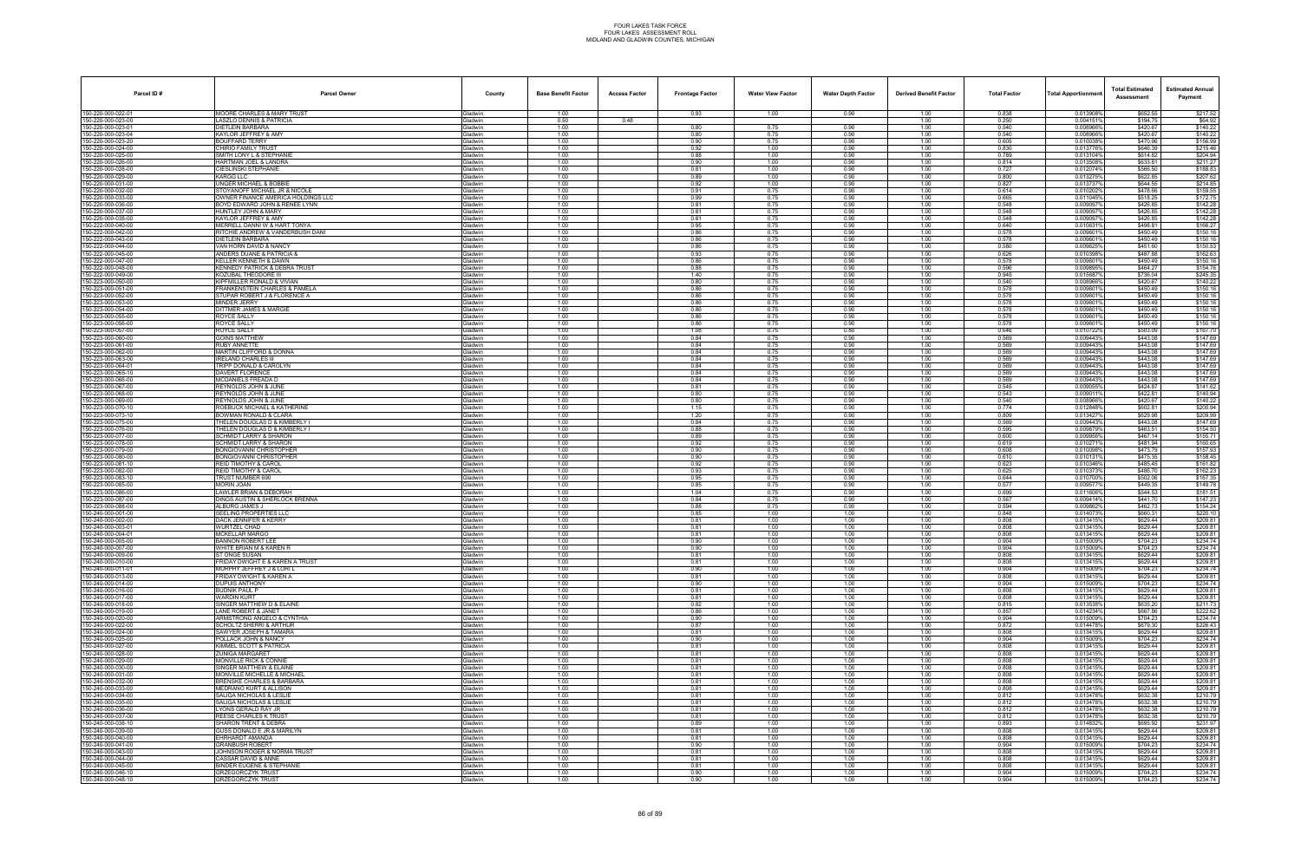| Parcel ID#                              | <b>Parcel Owner</b>                                                    | County                           | <b>Base Benefit Factor</b> | <b>Access Factor</b> | <b>Frontage Factor</b> | <b>Water View Factor</b> | <b>Water Depth Factor</b> | <b>Derived Benefit Factor</b> | <b>Total Factor</b> | Total Apportionmer     | <b>Total Estimated</b><br>Assessment | <b>Estimated Annual</b><br>Payment |
|-----------------------------------------|------------------------------------------------------------------------|----------------------------------|----------------------------|----------------------|------------------------|--------------------------|---------------------------|-------------------------------|---------------------|------------------------|--------------------------------------|------------------------------------|
| 150-220-000-022-01                      | <b>MOORE CHARLES &amp; MARY TRUST</b>                                  | <b>Gladwin</b>                   | 1.00                       |                      | 0.93                   | 1.00                     | 0.90                      | 1.00                          | 0.838               | 0.013908%              | \$652.55                             | \$217.52                           |
| 150-220-000-023-00<br>50-220-000-023-01 | LASZLO DENNIS & PATRICIA<br>DIETLEIN BARBARA                           | Gladwin<br><b>Gladwin</b>        | 0.50<br>1.00               | 0.48                 | 0.80                   | 0.75                     | 0.90                      | 1.00<br>1.00                  | 0.250<br>0.540      | 0.004151%<br>0.008966% | \$194.75<br>\$420.67                 | \$64.92<br>\$140.22                |
| 50-220-000-023-04                       | KAYLOR JEFFREY & AMY                                                   | Gladwin                          | 1.00                       |                      | 0.80                   | 0.75                     | 0.90                      | 1.00                          | 0.540               | 0.008966%              | \$420.67                             | \$140.22                           |
| 50-220-000-023-20<br>50-220-000-024-00  | BOUFFARD TERRY<br>CHIRIO FAMILY TRUST                                  | Gladwin<br>Gladwin               | 1.00<br>1.00               |                      | 0.90<br>0.92           | 0.75<br>1.00             | 0.90<br>0.90              | 1.00<br>1.00                  | 0.605<br>0.830      | 0.010038%<br>0.0137769 | \$470.96<br>\$646.39                 | \$156.99<br>\$215.46               |
| 50-220-000-025-00                       | SMITH LONY L & STEPHANIE                                               | Gladwin                          | 1.00                       |                      | 0.88                   | 1.00                     | 0.90                      | 1.00                          | 0.789               | 0.013104%              | \$614.82                             | \$204.94                           |
| 50-220-000-026-00                       | HARTMAN JOEL & LANDRA                                                  | <b>Gladwin</b>                   | 1.00                       |                      | 0.90                   | 1.00                     | 0.90                      | 1.00                          | 0.814               | 0.013508%              | \$633.81                             | \$211.27                           |
| 50-220-000-028-00<br>50-220-000-029-00  | CIESLINSKI STEPHANIE<br>KARGG LLC                                      | <b>Gladwin</b><br>Gladwin        | 1.00<br>1.00               |                      | 0.81<br>0.89           | 1.00<br>1.00             | 0.90<br>0.90              | 1.00<br>1.00                  | 0.727<br>0.800      | 0.012074%<br>0.0132759 | \$566.50<br>\$622.85                 | \$188.83<br>\$207.62               |
| 50-220-000-031-00                       | <b>JNGER MICHAEL &amp; BOBBIE</b>                                      | <b>Gladwin</b>                   | 1.00                       |                      | 0.92                   | 1.00                     | 0.90                      | 1.00                          | 0.827               | 0.0137379              | \$644.55                             | \$214.85                           |
| 50-220-000-032-00<br>50-220-000-033-00  | STOYANOFF MICHAEL JR & NICOLE<br>OWNER FINANCE AMERICA HOLDINGS LLC    | Gladwin<br><b>Gladwin</b>        | 1.00<br>1.00               |                      | 0.91<br>0.99           | 0.75<br>0.75             | 0.90<br>0.90              | 1.00<br>1.00                  | 0.614<br>0.665      | 0.010202%<br>0.011045% | \$478.66<br>\$518.25                 | \$159.55<br>\$172.75               |
| 50-220-000-036-00                       | BOYD EDWARD JOHN & RENEE LYNN                                          | <b>Gladwin</b>                   | 1.00                       |                      | 0.81                   | 0.75                     | 0.90                      | 1.00                          | 0.548               | 0.009097               | \$426.85                             | \$142.28                           |
| 50-220-000-037-00<br>50-220-000-038-00  | <b>HUNTLEY JOHN &amp; MARY</b><br>KAYLOR JEFFREY & AMY                 | Gladwin<br>Gladwin               | 1.00<br>1.00               |                      | 0.81<br>0.81           | 0.75<br>0.75             | 0.90<br>0.90              | 1.00<br>1.00                  | 0.548<br>0.548      | 0.009097<br>0.009097   | \$426.85<br>\$426.85                 | \$142.28<br>\$142.28               |
| 50-222-000-040-00                       | MERRELL DANNI W & HART TONYA                                           | Gladwin                          | 1.00                       |                      | 0.95                   | 0.75                     | 0.90                      | 1.00                          | 0.640               | 0.0106319              | \$498.81                             | \$166.27                           |
| 50-222-000-042-00                       | RITCHIE ANDREW & VANDERBUSH DANI<br><b>DIETLEIN BARBARA</b>            | <b>Gladwin</b>                   | 1.00                       |                      | 0.86                   | 0.75                     | 0.90                      | 1.00                          | 0.578               | 0.009601               | \$450.49                             | \$150.16                           |
| 50-222-000-043-00<br>50-222-000-044-00  | VAN HORN DAVID & NANCY                                                 | <b>Gladwin</b><br>Gladwin        | 1.00<br>1.00               |                      | 0.86<br>0.86           | 0.75<br>0.75             | 0.90<br>0.90              | 1.00<br>1.00                  | 0.578<br>0.580      | 0.009601<br>0.009625   | \$450.49<br>\$451.60                 | \$150.16<br>\$150.53               |
| 50-222-000-045-00                       | <b>ANDERS DUANE &amp; PATRICIA &amp;</b>                               | <b>Gladwin</b>                   | 1.00                       |                      | 0.93                   | 0.75                     | 0.90                      | 1.00                          | 0.626               | 0.010398%              | \$487.88                             | \$162.63                           |
| 50-222-000-047-00<br>50-222-000-048-00  | KELLER KENNETH & DAWN<br>KENNEDY PATRICK & DEBRA TRUST                 | Gladwin<br><b>Gladwin</b>        | 1.00<br>1.00               |                      | 0.86<br>0.88           | 0.75<br>0.75             | 0.90<br>0.90              | 1.00<br>1.00                  | 0.578<br>0.596      | 0.009601%<br>0.009895% | \$450.49<br>\$464.27                 | \$150.16<br>\$154.76               |
| 50-222-000-049-00                       | KOZUBAL THEODORE III                                                   | <b>Gladwin</b>                   | 1.00                       |                      | 1.40                   | 0.75                     | 0.90                      | 1.00                          | 0.945               | 0.0156879              | \$736.04                             | \$245.35                           |
| 50-223-000-050-00<br>50-223-000-051-00  | KIPFMILLER RONALD & VIVIAN<br><b>FRANKENSTEIN CHARLES &amp; PAMELA</b> | Gladwin<br>Gladwin               | 1.00<br>1.00               |                      | 0.80<br>0.86           | 0.75<br>0.75             | 0.90<br>0.90              | 1.00<br>1.00                  | 0.540<br>0.578      | 0.0089669<br>0.0096019 | \$420.67<br>\$450.49                 | \$140.22<br>\$150.16               |
| 50-223-000-052-00                       | STUPAR ROBERT J & FLORENCE A                                           | <b>Gladwin</b>                   | 1.00                       |                      | 0.86                   | 0.75                     | 0.90                      | 1.00                          | 0.578               | 0.0096019              | \$450.49                             | \$150.16                           |
| 50-223-000-053-00                       | <b><i>INDER JERRY</i></b><br>DITTMER JAMES & MARGIE                    | <b>Jadwin</b><br><b>Gladwin</b>  | 1.00                       |                      | 0.86                   | 0.75                     | 0.90                      | 1.00                          | 0.578<br>0.578      | 0.009601<br>0.009601   | \$450.49<br>\$450.49                 | \$150.16<br>\$150.16               |
| 50-223-000-054-00<br>50-223-000-055-00  | ROYCE SALLY                                                            | Gladwin                          | 1.00<br>1.00               |                      | 0.86<br>0.86           | 0.75<br>0.75             | 0.90<br>0.90              | 1.00<br>1.00                  | 0.578               | 0.009601               | \$450.49                             | \$150.16                           |
| 50-223-000-056-00                       | ROYCE SALLY                                                            | Gladwin                          | 1.00                       |                      | 0.86                   | 0.75                     | 0.90                      | 1.00                          | 0.578               | 0.0096019              | \$450.49                             | \$150.16                           |
| 50-223-000-057-00<br>50-223-000-060-00  | ROYCE SALLY<br><b>GOINS MATTHEW</b>                                    | <b>Gladwin</b><br><b>Gladwin</b> | 1.00<br>1.00               |                      | 1.08<br>0.84           | 0.75<br>0.75             | 0.80<br>0.90              | 1.00<br>1.00                  | 0.646<br>0.569      | 0.0107229<br>0.0094439 | \$503.09<br>\$443.08                 | \$167.70<br>\$147.69               |
| 50-223-000-061-00                       | <b>RUBY ANNETTE</b>                                                    | <b>Gladwin</b>                   | 1.00                       |                      | 0.84                   | 0.75                     | 0.90                      | 1.00                          | 0.569               | 0.009443%              | \$443.08                             | \$147.69                           |
| 50-223-000-062-00<br>50-223-000-063-00  | MARTIN CLIFFORD & DONNA<br><b>IRELAND CHARLES III</b>                  | Gladwin<br>Gladwin               | 1.00<br>1.00               |                      | 0.84<br>0.84           | 0.75<br>0.75             | 0.90<br>0.90              | 1.00<br>1.00                  | 0.569<br>0.569      | 0.0094439<br>0.009443% | \$443.08<br>\$443.08                 | \$147.69<br>\$147.69               |
| 50-223-000-064-01                       | TRIPP DONALD & CAROLYN                                                 | <b>Gladwin</b>                   | 1.00                       |                      | 0.84                   | 0.75                     | 0.90                      | 1.00                          | 0.569               | 0.0094439              | \$443.08                             | \$147.69                           |
| 50-223-000-065-10<br>50-223-000-066-00  | DAVERT FLORENCE<br><b>MCDANIELS FREADA D</b>                           | <b>Jadwin</b><br><b>Gladwin</b>  | 1.00<br>1.00               |                      | 0.84<br>0.84           | 0.75                     | 0.90                      | 1.00<br>1.00                  | 0.569<br>0.569      | 0.0094439<br>0.009443% | \$443.08<br>\$443.08                 | \$147.69<br>\$147.69               |
| 50-223-000-067-00                       | REYNOLDS JOHN & JUNE                                                   | <b>Gladwin</b>                   | 1.00                       |                      | 0.81                   | 0.75<br>0.75             | 0.90<br>0.90              | 1.00                          | 0.545               | 0.009055               | \$424.87                             | \$141.62                           |
| 50-223-000-068-00                       | REYNOLDS JOHN & JUNE                                                   | Gladwin                          | 1.00                       |                      | 0.80                   | 0.75                     | 0.90                      | 1.00                          | 0.543               | 0.0090119              | \$422.81                             | \$140.94                           |
| 50-223-000-069-00<br>50-223-000-070-10  | REYNOLDS JOHN & JUNE<br>OEBUCK MICHAEL & KATHERINE                     | <b>Gladwin</b><br><b>Gladwin</b> | 1.00<br>1.00               |                      | 0.80<br>1.15           | 0.75<br>0.75             | 0.90<br>0.90              | 1.00<br>1.00                  | 0.540<br>0.774      | 0.008966%<br>0.0128489 | \$420.67<br>\$602.81                 | \$140.22<br>\$200.94               |
| 50-223-000-073-10                       | <b>BOWMAN RONALD &amp; CLARA</b>                                       | <b>Gladwin</b>                   | 1.00                       |                      | 1.20                   | 0.75                     | 0.90                      | 1.00                          | 0.809               | 0.013427%              | \$629.98                             | \$209.99                           |
| 50-223-000-075-00<br>50-223-000-076-00  | THELEN DOUGLAS D & KIMBERLY I<br>THELEN DOUGLAS D & KIMBERLY I         | Gladwin<br>Gladwin               | 1.00<br>1.00               |                      | 0.84<br>0.88           | 0.75<br>0.75             | 0.90<br>0.90              | 1.00<br>1.00                  | 0.569<br>0.595      | 0.0094439<br>0.009879% | \$443.08<br>\$463.51                 | \$147.69<br>\$154.50               |
| 50-223-000-077-00                       | <b>CHMIDT LARRY &amp; SHARON</b>                                       | <b>Gladwin</b>                   | 1.00                       |                      | 0.89                   | 0.75                     | 0.90                      | 1.00                          | 0.600               | 0.0099569              | \$467.14                             | \$155.71                           |
| 50-223-000-078-00<br>50-223-000-079-00  | CHMIDT LARRY & SHARON<br><b>BONGIOVANNI CHRISTOPHER</b>                | iladwin<br><b>Gladwin</b>        | 1.00<br>1.00               |                      | 0.92<br>0.90           | 0.75<br>0.75             | 0.90<br>0.90              | 1.00<br>1.00                  | 0.619<br>0.608      | 0.010271<br>0.010098%  | \$481.94<br>\$473.79                 | \$160.65<br>\$157.93               |
| 50-223-000-080-00                       | BONGIOVANNI CHRISTOPHER                                                | <b>Gladwin</b>                   | 1.00                       |                      | 0.90                   | 0.75                     | 0.90                      | 1.00                          | 0.610               | 0.0101319              | \$475.35                             | \$158.45                           |
| 150-223-000-081-10<br>50-223-000-082-00 | REID TIMOTHY & CAROL<br><b>REID TIMOTHY &amp; CAROL</b>                | Gladwin<br><b>Gladwin</b>        | 1.00<br>1.00               |                      | 0.92<br>0.93           | 0.75<br>0.75             | 0.90<br>0.90              | 1.00<br>1.00                  | 0.623<br>0.625      | 0.010346%<br>0.0103739 | \$485.45<br>\$486.70                 | \$161.82<br>\$162.23               |
| 50-223-000-083-10                       | TRUST NUMBER 690                                                       | <b>Gladwin</b>                   | 1.00                       |                      | 0.95                   | 0.75                     | 0.90                      | 1.00                          | 0.644               | 0.010700%              | \$502.06                             | \$167.35                           |
| 50-223-000-085-00                       | MORIN JOAN                                                             | Gladwin                          | 1.00                       |                      | 0.85                   | 0.75                     | 0.90                      | 1.00                          | 0.577               | 0.009577%              | \$449.35                             | \$149.78                           |
| 50-223-000-086-00<br>50-223-000-087-00  | LAWLER BRIAN & DEBORAH<br>DINGS AUSTIN & SHERLOCK BRENNA               | Gladwin<br>Gladwin               | 1.00<br>1.00               |                      | 1.04<br>0.84           | 0.75<br>0.75             | 0.90<br>0.90              | 1.00<br>1.00                  | 0.699<br>0.567      | 0.011606%<br>0.009414% | \$544.53<br>\$441.70                 | \$181.51<br>\$147.23               |
| 50-223-000-088-00                       | ALBURG JAMES J                                                         | <b>Gladwin</b>                   | 1.00                       |                      | 0.88                   | 0.75                     | 0.90                      | 1.00                          | 0.594               | 0.009862               | \$462.73                             | \$154.24                           |
| 50-240-000-001-00<br>50-240-000-002-00  | SEELING PROPERTIES LLC<br>DACK JENNIFER & KERRY                        | iladwin<br><b>Gladwin</b>        | 1.00<br>1.00               |                      | 0.85<br>0.81           | 1.00<br>1.00             | 1.00<br>1.00              | 1.00<br>1.00                  | 0.848<br>0.808      | 0.014073<br>0.013415%  | \$660.31<br>\$629.44                 | \$220.10<br>\$209.81               |
| 50-240-000-003-01                       | WURTZEL CHAD                                                           | <b>Gladwin</b>                   | 1.00                       |                      | 0.81                   | 1.00                     | 1.00                      | 1.00                          | 0.808               | 0.013415               | \$629.44                             | \$209.81                           |
| 50-240-000-004-01<br>50-240-000-005-00  | MCKELLAR MARGO<br><b>BANNON ROBERT LEI</b>                             | Gladwin<br><b>Gladwin</b>        | 1.00<br>1.00               |                      | 0.81<br>0.90           | 1.00<br>1.00             | 1.00<br>1.00              | 1.00<br>1.00                  | 0.808<br>0.904      | 0.013415%<br>0.0150099 | \$629.44<br>\$704.23                 | \$209.81<br>\$234.74               |
| 150-240-000-007-00                      | WHITE BRIAN M & KAREN R                                                | <b>i</b> ladwin                  | 1.00                       |                      | 0.90                   | 1.00                     | 1.00                      | 1.00                          | 0.904               | 0.015009%              | \$704.23                             | \$234.74                           |
| 50-240-000-009-00<br>50-240-000-010-00  | ST ONGE SUSAN<br>FRIDAY DWIGHT E & KAREN A TRUST                       | Gladwin<br><b>Gladwin</b>        | 1.00<br>1.00               |                      | 0.81<br>0.81           | 1.00<br>1.00             | 1.00<br>1.00              | 1.00<br>1.00                  | 0.808<br>0.808      | 0.013415%<br>0.013415% | \$629.44<br>\$629.44                 | \$209.81<br>\$209.81               |
| 50-240-000-011-01                       | MURPHY JEFFREY J & LORI L                                              | Gladwin                          | 1.00                       |                      | 0.90                   | 1.00                     | 1.00                      | 1.00                          | 0.904               | 0.015009%              | \$704.23                             | \$234.74                           |
| 50-240-000-013-00                       | FRIDAY DWIGHT & KAREN A                                                | <b>Gladwin</b>                   | 1.00                       |                      | 0.81                   | 1.00                     | 1.00                      | 1.00                          | 0.808               | 0.0134159              | \$629.44                             | \$209.81                           |
| 50-240-000-014-00<br>50-240-000-016-00  | DUPUIS ANTHONY<br>RUDNIK PAUL P                                        | <b>Gladwin</b><br>Gladwin        | 1.00<br>1.00               |                      | 0.90<br>0.81           | 1.00<br>1.00             | 1.00<br>1.00              | 1.00<br>1.00                  | 0.904<br>0.808      | 0.015009%<br>0.013415% | \$704.23<br>\$629.44                 | \$234.74<br>\$209.81               |
| 50-240-000-017-00                       | <b>WARDIN KURT</b>                                                     | Gladwin                          | 1.00                       |                      | 0.81                   | 1.00                     | 1.00                      | 1.00                          | 0.808               | 0.013415%              | \$629.44                             | \$209.81                           |
| 50-240-000-018-00<br>50-240-000-019-00  | SINGER MATTHEW D & ELAINE<br>LANE ROBERT & JANET                       | Gladwin<br><b>Gladwin</b>        | 1.00<br>1.00               |                      | 0.82<br>0.86           | 1.00<br>1.00             | 1.00<br>1.00              | 1.00<br>1.00                  | 0.815<br>0.857      | 0.013538%<br>0.014234% | \$635.20<br>\$667.86                 | \$211.73<br>\$222.62               |
| 50-240-000-020-00                       | ARMSTRONG ANGELO & CYNTHIA                                             | <b>Gladwin</b>                   | 1.00                       |                      | 0.90                   | 1.00                     | 1.00                      | 1.00                          | 0.904               | 0.015009%              | \$704.23                             | \$234.74                           |
| 50-240-000-022-00<br>50-240-000-024-00  | SCHOLTZ SHERRI & ARTHUR<br>SAWYER JOSEPH & TAMARA                      | Gladwin<br>Gladwin               | 1.00<br>1.00               |                      | 0.87<br>0.81           | 1.00<br>1.00             | 1.00<br>1.00              | 1.00<br>1.00                  | 0.872<br>0.808      | 0.014478%<br>0.0134159 | \$679.30<br>\$629.44                 | \$226.43<br>\$209.81               |
| 50-240-000-025-00                       | POLLACK JOHN & NANCY                                                   | Gladwin                          | 1.00                       |                      | 0.90                   | 1.00                     | 1.00                      | 1.00                          | 0.904               | 0.015009%              | \$704.23                             | \$234.74                           |
| 50-240-000-027-00<br>50-240-000-028-00  | KIMMEL SCOTT & PATRICIA<br>ZUNIGA MARGARET                             | <b>Gladwin</b><br><b>Gladwin</b> | 1.00<br>1.00               |                      | 0.81<br>0.81           | 1.00<br>1.00             | 1.00<br>1.00              | 1.00<br>1.00                  | 0.808<br>0.808      | 0.0134159<br>0.0134159 | \$629.44<br>\$629.44                 | \$209.81<br>\$209.81               |
| 50-240-000-029-00                       | MONVILLE RICK & CONNIE                                                 | Gladwin                          | 1.00                       |                      | 0.81                   | 1.00                     | 1.00                      | 1.00                          | 0.808               | 0.013415%              | \$629.44                             | \$209.81                           |
| 50-240-000-030-00<br>50-240-000-031-00  | SINGER MATTHEW & ELAINE                                                | Gladwin                          | 1.00                       |                      | 0.81                   | 1.00                     | 1.00                      | 1.00                          | 0.808               | 0.013415%              | \$629.44                             | \$209.81                           |
| 50-240-000-032-00                       | <b>MONVILLE MICHELLE &amp; MICHAEL</b><br>BRENSKE CHARLES & BARBARA    | Gladwin<br>Gladwin               | 1.00<br>1.00               |                      | 0.81<br>0.81           | 1.00<br>1.00             | 1.00<br>1.00              | 1.00<br>1.00                  | 0.808<br>0.808      | 0.013415%<br>0.0134159 | \$629.44<br>\$629.44                 | \$209.81<br>\$209.81               |
| 50-240-000-033-00                       | <b><i>IEDRANO KURT &amp; ALLISON</i></b>                               | <b>Gladwin</b>                   | 1.00                       |                      | 0.81                   | 1.00                     | 1.00                      | 1.00                          | 0.808               | 0.0134159              | \$629.44                             | \$209.81                           |
| 150-240-000-034-00<br>50-240-000-035-00 | <b>SALIGA NICHOLAS &amp; LESLIE</b><br>SALIGA NICHOLAS & LESLIE        | Gladwin<br>Gladwin               | 1.00<br>1.00               |                      | 0.81<br>0.81           | 1.00<br>1.00             | 1.00<br>1.00              | 1.00<br>1.00                  | 0.812<br>0.812      | 0.013478%<br>0.013478% | \$632.38<br>\$632.38                 | \$210.79<br>\$210.79               |
| 50-240-000-036-00                       | LYONS GERALD RAY JR                                                    | Gladwin                          | 1.00                       |                      | 0.81                   | 1.00                     | 1.00                      | 1.00                          | 0.812               | 0.013478%              | \$632.38                             | \$210.79                           |
| 50-240-000-037-00<br>50-240-000-038-10  | REESE CHARLES K TRUST<br>SHARON TRENT & DEBRA                          | Gladwin<br><b>Gladwin</b>        | 1.00<br>1.00               |                      | 0.81<br>0.89           | 1.00<br>1.00             | 1.00<br>1.00              | 1.00<br>1.00                  | 0.812<br>0.893      | 0.013478%<br>0.014832% | \$632.38<br>\$695.92                 | \$210.79<br>\$231.97               |
| 50-240-000-039-00                       | GUSS DONALD E JR & MARILYN                                             | Gladwin                          | 1.00                       |                      | 0.81                   | 1.00                     | 1.00                      | 1.00                          | 0.808               | 0.013415%              | \$629.44                             | \$209.81                           |
| 50-240-000-040-00<br>50-240-000-041-00  | EHRHARDT AMANDA<br><b>GRANBUSH ROBERT</b>                              | Gladwin<br>Gladwin               | 1.00<br>1.00               |                      | 0.81<br>0.90           | 1.00<br>1.00             | 1.00<br>1.00              | 1.00<br>1.00                  | 0.808<br>0.904      | 0.013415%<br>0.015009% | \$629.44<br>\$704.23                 | \$209.81<br>\$234.74               |
| 50-240-000-043-00                       | JOHNSON ROGER & NORMA TRUST                                            | Gladwin                          | 1.00                       |                      | 0.81                   | 1.00                     | 1.00                      | 1.00                          | 0.808               | 0.013415%              | \$629.44                             | \$209.81                           |
| 50-240-000-044-00                       | ASSAR DAVID & ANNE:                                                    | <b>Gladwin</b>                   | 1.00                       |                      | 0.81                   | 1.00                     | 1.00                      | 1.00                          | 0.808               | 0.0134159              | \$629.44                             | \$209.81                           |
| 50-240-000-045-00<br>50-240-000-046-10  | BINDER EUGENE & STEPHANIE<br><b>GRZEGORCZYK TRUST</b>                  | Gladwin<br>Gladwin               | 1.00<br>1.00               |                      | 0.81<br>0.90           | 1.00<br>1.00             | 1.00<br>1.00              | 1.00<br>1.00                  | 0.808<br>0.904      | 0.013415%<br>0.015009% | \$629.44<br>\$704.23                 | \$209.81<br>\$234.74               |
| 150-240-000-048-10                      | <b>GRZEGORCZYK TRUST</b>                                               | Gladwin                          | 1.00                       |                      | 0.90                   | 1.00                     | 1.00                      | 1.00                          | 0.904               | 0.015009%              | \$704.23                             | \$234.74                           |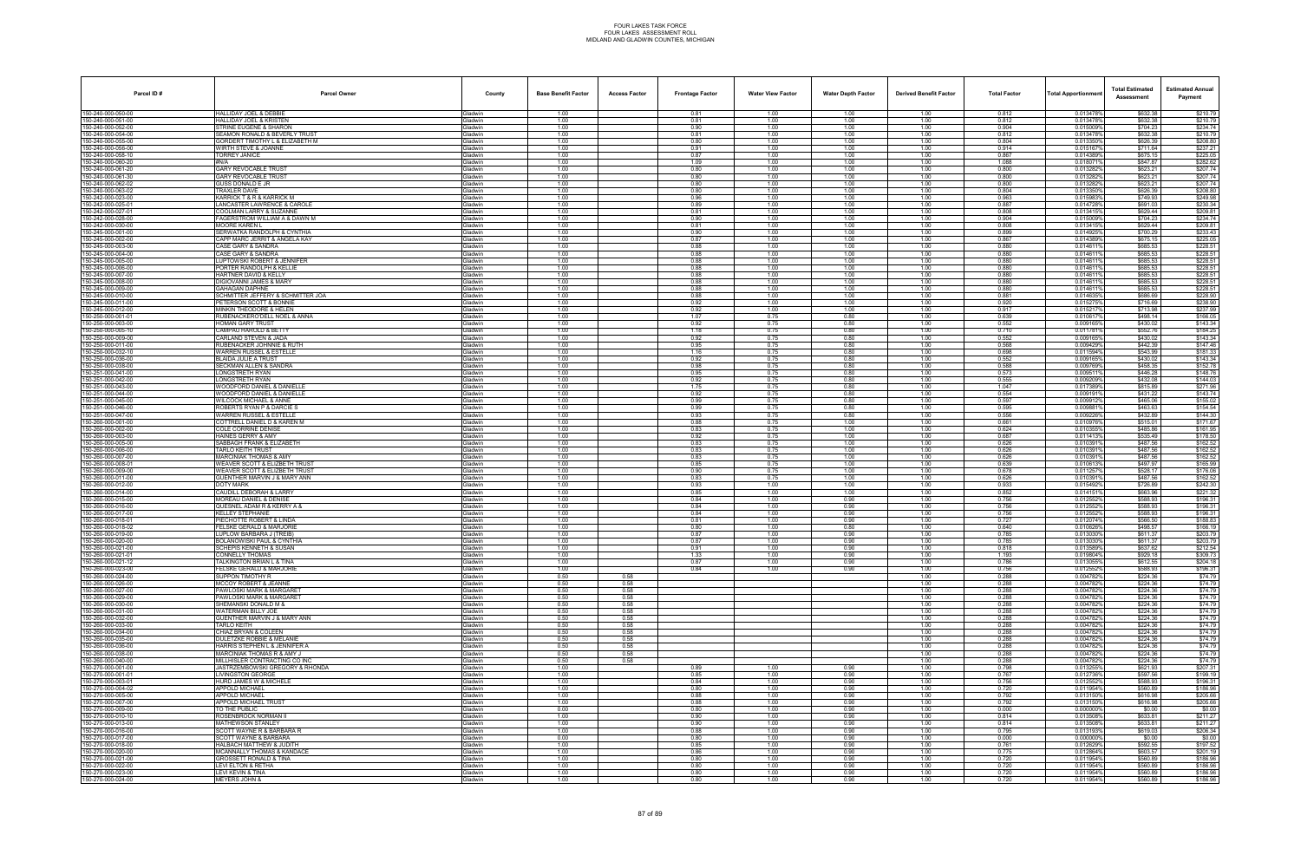| Parcel ID#                               | <b>Parcel Owner</b>                                                     | County                           | <b>Base Benefit Factor</b> | <b>Access Factor</b> | <b>Frontage Factor</b> | <b>Water View Factor</b> | <b>Water Depth Factor</b> | <b>Derived Benefit Factor</b> | <b>Total Factor</b> | Total Apportionmer     | <b>Total Estimated</b><br>Assessment | <b>Estimated Annual</b><br>Payment |
|------------------------------------------|-------------------------------------------------------------------------|----------------------------------|----------------------------|----------------------|------------------------|--------------------------|---------------------------|-------------------------------|---------------------|------------------------|--------------------------------------|------------------------------------|
| 150-240-000-050-00                       | <b>HALLIDAY JOEL &amp; DEBBIE</b>                                       | <b>Gladwin</b>                   | 1.00                       |                      | 0.81                   | 1.00                     | 1.00                      | 1.00                          | 0.812               | 0.013478%              | \$632.38                             | \$210.79                           |
| 150-240-000-051-00                       | HALLIDAY JOEL & KRISTEN                                                 | Gladwin                          | 1.00                       |                      | 0.81                   | 1.00                     | 1.00                      | 1.00                          | 0.812               | 0.013478%              | \$632.38                             | \$210.79                           |
| 50-240-000-052-00<br>50-240-000-054-00   | STRINE EUGENE & SHARON<br>SEAMON RONALD & BEVERLY TRUST                 | <b>Gladwin</b><br>Gladwin        | 1.00<br>1.00               |                      | 0.90<br>0.81           | 1.00<br>1.00             | 1.00<br>1.00              | 1.00<br>1.00                  | 0.904<br>0.812      | 0.015009%<br>0.013478% | \$704.23<br>\$632.38                 | \$234.74<br>\$210.79               |
| 50-240-000-055-00                        | GORDERT TIMOTHY L & ELIZABETH M                                         | Gladwin                          | 1.00                       |                      | 0.80                   | 1.00                     | 1.00                      | 1.00                          | 0.804               | 0.0133509              | \$626.39                             | \$208.80                           |
| 50-240-000-056-00                        | WIRTH STEVE & JOANNE                                                    | Gladwin                          | 1.00                       |                      | 0.91                   | 1.00                     | 1.00                      | 1.00                          | 0.914               | 0.015167               | \$711.64                             | \$237.21                           |
| 50-240-000-058-10<br>50-240-000-060-20   | TORREY JANICE                                                           | Gladwin<br><b>Gladwin</b>        | 1.00<br>1.00               |                      | 0.87<br>1.09           | 1.00<br>1.00             | 1.00<br>1.00              | 1.00<br>1.00                  | 0.867<br>1.088      | 0.014389%<br>0.0180719 | \$675.15<br>\$847.87                 | \$225.05<br>\$282.62               |
| 50-240-000-061-20                        | <b>GARY REVOCABLE TRUST</b>                                             | Gladwin                          | 1.00                       |                      | 0.80                   | 1.00                     | 1.00                      | 1.00                          | 0.800               | 0.0132829              | \$623.21                             | \$207.74                           |
| 50-240-000-061-30                        | GARY REVOCABLE TRUST                                                    | Gladwin                          | 1.00                       |                      | 0.80                   | 1.00                     | 1.00                      | 1.00                          | 0.800               | 0.013282%              | \$623.21                             | \$207.74                           |
| 50-240-000-062-02<br>50-240-000-063-02   | <b>GUSS DONALD E JR</b><br>TRAXLER DAVE                                 | <b>Gladwin</b><br>Gladwin        | 1.00<br>1.00               |                      | 0.80<br>0.80           | 1.00<br>1.00             | 1.00<br>1.00              | 1.00<br>1.00                  | 0.800<br>0.804      | 0.013282%<br>0.013350% | \$623.21<br>\$626.39                 | \$207.74<br>\$208.80               |
| 50-242-000-023-00                        | KARRICK T & R & KARRICK M                                               | <b>Gladwin</b>                   | 1.00                       |                      | 0.96                   | 1.00                     | 1.00                      | 1.00                          | 0.963               | 0.0159839              | \$749.93                             | \$249.98                           |
| 50-242-000-025-0                         | <b>ANCASTER LAWRENCE &amp; CAROLE</b>                                   | <b>Gladwin</b>                   | 1.00                       |                      | 0.89                   | 1.00                     | 1.00                      | 1.00                          | 0.887               | 0.0147289              | \$691.03                             | \$230.34                           |
| 50-242-000-027-01<br>50-242-000-028-00   | <b>COOLMAN LARRY &amp; SUZANNE</b><br>FAGERSTROM WILLIAM A & DAWN M     | Gladwin<br>Gladwin               | 1.00<br>1.00               |                      | 0.81<br>0.90           | 1.00<br>1.00             | 1.00<br>1.00              | 1.00<br>1.00                  | 0.808<br>0.904      | 0.0134159<br>0.015009% | \$629.44<br>\$704.23                 | \$209.81<br>\$234.74               |
| 50-242-000-030-00                        | MOORE KAREN L                                                           | Gladwin                          | 1.00                       |                      | 0.81                   | 1.00                     | 1.00                      | 1.00                          | 0.808               | 0.013415%              | \$629.44                             | \$209.81                           |
| 50-245-000-001-00                        | SERWATKA RANDOLPH & CYNTHIA                                             | <b>Jadwin</b>                    | 1.00                       |                      | 0.90                   | 1.00                     | 1.00                      | 1.00                          | 0.899               | 0.0149259              | \$700.29                             | \$233.43                           |
| 50-245-000-002-00<br>50-245-000-003-00   | CAPP MARC JERRIT & ANGELA KAY<br>CASE GARY & SANDRA                     | Gladwin<br>Gladwin               | 1.00<br>1.00               |                      | 0.87<br>0.88           | 1.00<br>1.00             | 1.00<br>1.00              | 1.00<br>1.00                  | 0.867<br>0.880      | 0.014389%<br>0.014611  | \$675.15<br>\$685.53                 | \$225.05<br>\$228.51               |
| 50-245-000-004-00                        | CASE GARY & SANDRA                                                      | Gladwin                          | 1.00                       |                      | 0.88                   | 1.00                     | 1.00                      | 1.00                          | 0.880               | 0.0146119              | \$685.53                             | \$228.51                           |
| 50-245-000-005-00                        | LUPTOWSKI ROBERT & JENNIFER                                             | <b>Gladwin</b>                   | 1.00                       |                      | 0.88                   | 1.00                     | 1.00                      | 1.00                          | 0.880               | 0.014611%              | \$685.53                             | \$228.51                           |
| 50-245-000-006-00                        | ORTER RANDOLPH & KELLIE<br>HARTNER DAVID & KELLY                        | <b>Gladwin</b><br><b>Gladwin</b> | 1.00<br>1.00               |                      | 0.88                   | 1.00<br>1.00             | 1.00                      | 1.00                          | 0.880<br>0.880      | 0.0146119<br>0.014611  | \$685.53                             | \$228.51<br>\$228.51               |
| 50-245-000-007-00<br>50-245-000-008-00   | DIGIOVANNI JAMES & MARY                                                 | Gladwin                          | 1.00                       |                      | 0.88<br>0.88           | 1.00                     | 1.00<br>1.00              | 1.00<br>1.00                  | 0.880               | 0.0146119              | \$685.53<br>\$685.53                 | \$228.51                           |
| 50-245-000-009-00                        | <b>GAHAGAN DAPHNE</b>                                                   | Gladwin                          | 1.00                       |                      | 0.88                   | 1.00                     | 1.00                      | 1.00                          | 0.880               | 0.0146119              | \$685.53                             | \$228.51                           |
| 50-245-000-010-00                        | SCHMITTER JEFFERY & SCHMITTER JOA                                       | <b>Gladwin</b>                   | 1.00                       |                      | 0.88                   | 1.00                     | 1.00                      | 1.00                          | 0.881               | 0.0146359              | \$686.69                             | \$228.90                           |
| 50-245-000-011-00<br>50-245-000-012-00   | <b>ETERSON SCOTT &amp; BONNIE</b><br><b>MINKIN THEODORE &amp; HELEN</b> | <b>Jadwin</b><br>Gladwin         | 1.00<br>1.00               |                      | 0.92<br>0.92           | 1.00<br>1.00             | 1.00<br>1.00              | 1.00<br>1.00                  | 0.920<br>0.917      | 0.0152759<br>0.015217  | \$716.69<br>\$713.98                 | \$238.90<br>\$237.99               |
| 50-250-000-001-01                        | <b>RUBENACKERO'DELL NOEL &amp; ANNA</b>                                 | Gladwin                          | 1.00                       |                      | 1.07                   | 0.75                     | 0.80                      | 1.00                          | 0.639               | 0.010617               | \$498.14                             | \$166.05                           |
| 50-250-000-003-00                        | HOMAN GARY TRUST                                                        | Gladwin                          | 1.00                       |                      | 0.92                   | 0.75                     | 0.80                      | 1.00                          | 0.552               | 0.009165%              | \$430.02                             | \$143.34                           |
| 50-250-000-005-10<br>50-250-000-009-00   | <b>CAMPAU HAROLD &amp; BETTY</b><br>CARLAND STEVEN & JADA               | <b>Gladwin</b><br><b>Gladwin</b> | 1.00<br>1.00               |                      | 1.18<br>0.92           | 0.75<br>0.75             | 0.80<br>0.80              | 1.00<br>1.00                  | 0.710<br>0.552      | 0.0117819<br>0.0091659 | \$552.76<br>\$430.02                 | \$184.25<br>\$143.34               |
| 50-250-000-011-00                        | <b>RUBENACKER JOHNNIE &amp; RUTH</b>                                    | <b>Gladwin</b>                   | 1.00                       |                      | 0.95                   | 0.75                     | 0.80                      | 1.00                          | 0.568               | 0.009429%              | \$442.39                             | \$147.46                           |
| 50-250-000-032-10                        | WARREN RUSSEL & ESTELLE                                                 | Gladwin                          | 1.00                       |                      | 1.16                   | 0.75                     | 0.80                      | 1.00                          | 0.698               | 0.011594%              | \$543.99                             | \$181.33                           |
| 50-250-000-036-00                        | BLAIDA JULIE A TRUST                                                    | Gladwin                          | 1.00                       |                      | 0.92<br>0.98           | 0.75<br>0.75             | 0.80<br>0.80              | 1.00                          | 0.552<br>0.588      | 0.009165%<br>0.0097699 | \$430.02<br>\$458.35                 | \$143.34<br>\$152.78               |
| 50-250-000-038-00<br>50-251-000-041-00   | SECKMAN ALLEN & SANDRA<br>ONGSTRETH RYAN                                | Gladwin<br><b>Jadwin</b>         | 1.00<br>1.00               |                      | 0.95                   | 0.75                     | 0.80                      | 1.00<br>1.00                  | 0.573               | 0.009511               | \$446.28                             | \$148.76                           |
| 50-251-000-042-00                        | <b>ONGSTRETH RYAN</b>                                                   | <b>Gladwin</b>                   | 1.00                       |                      | 0.92                   | 0.75                     | 0.80                      | 1.00                          | 0.555               | 0.009209%              | \$432.08                             | \$144.03                           |
| 50-251-000-043-00                        | WOODFORD DANIEL & DANIELLE                                              | <b>Gladwin</b>                   | 1.00                       |                      | 1.75                   | 0.75                     | 0.80                      | 1.00                          | 1.047               | 0.0173899              | \$815.89                             | \$271.96                           |
| 150-251-000-044-00<br>50-251-000-045-00  | WOODFORD DANIEL & DANIELLE<br>WILCOCK MICHAEL & ANNE                    | Gladwin<br><b>Gladwin</b>        | 1.00<br>1.00               |                      | 0.92<br>0.99           | 0.75<br>0.75             | 0.80<br>0.80              | 1.00<br>1.00                  | 0.554<br>0.597      | 0.0091919<br>0.0099129 | \$431.22<br>\$465.06                 | \$143.74<br>\$155.02               |
| 50-251-000-046-00                        | ROBERTS RYAN P & DARCIE S                                               | <b>Gladwin</b>                   | 1.00                       |                      | 0.99                   | 0.75                     | 0.80                      | 1.00                          | 0.595               | 0.009881               | \$463.63                             | \$154.54                           |
| 50-251-000-047-00                        | <b>WARREN RUSSEL &amp; ESTELLE</b>                                      | <b>Gladwin</b>                   | 1.00                       |                      | 0.93                   | 0.75                     | 0.80                      | 1.00                          | 0.556               | 0.009226%              | \$432.89                             | \$144.30                           |
| 50-260-000-001-00<br>50-260-000-002-00   | COTTRELL DANIEL D & KAREN M<br>COLE CORRINE DENISE                      | Gladwin<br>Gladwin               | 1.00<br>1.00               |                      | 0.88<br>0.83           | 0.75<br>0.75             | 1.00<br>1.00              | 1.00<br>1.00                  | 0.661<br>0.624      | 0.0109769<br>0.010355% | \$515.01<br>\$485.86                 | \$171.67<br>\$161.95               |
| 50-260-000-003-00                        | HAINES GERRY & AMY                                                      | <b>Gladwin</b>                   | 1.00                       |                      | 0.92                   | 0.75                     | 1.00                      | 1.00                          | 0.687               | 0.0114139              | \$535.49                             | \$178.50                           |
| 50-260-000-005-00                        | SABBAGH FRANK & ELIZABETH                                               | iladwin                          | 1.00                       |                      | 0.83                   | 0.75                     | 1.00                      | 1.00                          | 0.626               | 0.010391               | \$487.56                             | \$162.52                           |
| 50-260-000-006-00<br>50-260-000-007-00   | TARLO KEITH TRUST<br>MARCINIAK THOMAS & AMY                             | <b>Gladwin</b><br><b>Gladwin</b> | 1.00<br>1.00               |                      | 0.83<br>0.83           | 0.75<br>0.75             | 1.00<br>1.00              | 1.00<br>1.00                  | 0.626<br>0.626      | 0.010391%<br>0.0103919 | \$487.56<br>\$487.56                 | \$162.52<br>\$162.52               |
| 150-260-000-008-01                       | WEAVER SCOTT & ELIZBETH TRUST                                           | Gladwin                          | 1.00                       |                      | 0.85                   | 0.75                     | 1.00                      | 1.00                          | 0.639               | 0.010613%              | \$497.97                             | \$165.99                           |
| 50-260-000-009-00                        | <b>WEAVER SCOTT &amp; ELIZBETH TRUST</b>                                | <b>Gladwin</b>                   | 1.00                       |                      | 0.90                   | 0.75                     | 1.00                      | 1.00                          | 0.678               | 0.0112579              | \$528.17                             | \$176.06                           |
| 50-260-000-011-00<br>50-260-000-012-00   | <b>GUENTHER MARVIN J &amp; MARY ANN</b><br>DOTY MARK                    | <b>Gladwin</b><br>Gladwin        | 1.00<br>1.00               |                      | 0.83<br>0.93           | 0.75<br>1.00             | 1.00<br>1.00              | 1.00<br>1.00                  | 0.626<br>0.933      | 0.010391<br>0.015492%  | \$487.56<br>\$726.89                 | \$162.52<br>\$242.30               |
| 50-260-000-014-00                        | CAUDILL DEBORAH & LARRY                                                 | Gladwin                          | 1.00                       |                      | 0.85                   | 1.00                     | 1.00                      | 1.00                          | 0.852               | 0.0141519              | \$663.96                             | \$221.32                           |
| 50-260-000-015-00                        | MOREAU DANIEL & DENISE                                                  | Gladwin                          | 1.00                       |                      | 0.84                   | 1.00                     | 0.90                      | 1.00                          | 0.756               | 0.012552%              | \$588.93                             | \$196.31                           |
| 50-260-000-016-00<br>50-260-000-017-00   | QUESNEL ADAM R & KERRY A 8<br><b>KELLEY STEPHANIE</b>                   | <b>Gladwin</b><br><b>Gladwin</b> | 1.00<br>1.00               |                      | 0.84<br>0.84           | 1.00<br>1.00             | 0.90<br>0.90              | 1.00<br>1.00                  | 0.756<br>0.756      | 0.0125529<br>0.0125529 | \$588.93<br>\$588.93                 | \$196.3<br>\$196.31                |
| 50-260-000-018-01                        | PIECHOTTE ROBERT & LINDA                                                | <b>Gladwin</b>                   | 1.00                       |                      | 0.81                   | 1.00                     | 0.90                      | 1.00                          | 0.727               | 0.012074%              | \$566.50                             | \$188.83                           |
| 50-260-000-018-02                        | ELSKE GERALD & MARJORIE                                                 | <b>Gladwin</b>                   | 1.00                       |                      | 0.80                   | 1.00                     | 0.80                      | 1.00                          | 0.640               | 0.0106269              | \$498.57                             | \$166.19                           |
| 50-260-000-019-00<br>50-260-000-020-00   | LUPLOW BARBARA J (TREIB)<br><b>BOLANOWISKI PAUL &amp; CYNTHIA</b>       | Gladwin<br><b>Jadwin</b>         | 1.00<br>1.00               |                      | 0.87<br>0.87           | 1.00<br>1.00             | 0.90<br>0.90              | 1.00<br>1.00                  | 0.785<br>0.785      | 0.013030%<br>0.0130309 | \$611.37<br>\$611.37                 | \$203.79<br>\$203.79               |
| 150-260-000-021-00                       | SCHEPIS KENNETH & SUSAN                                                 | <b>i</b> ladwin                  | 1.00                       |                      | 0.91                   | 1.00                     | 0.90                      | 1.00                          | 0.818               | 0.013589%              | \$637.62                             | \$212.54                           |
| 50-260-000-021-01                        | CONNELLY THOMAS                                                         | Gladwin                          | 1.00                       |                      | 1.33                   | 1.00                     | 0.90                      | 1.00                          | 1.193               | 0.019804%              | \$929.18                             | \$309.73                           |
| 50-260-000-021-12<br>50-260-000-023-00   | <b>TALKINGTON BRIAN L &amp; TINA</b><br>FELSKE GERALD & MARJORIE        | <b>Gladwin</b><br>Gladwin        | 1.00<br>1.00               |                      | 0.87<br>0.84           | 1.00<br>1.00             | 0.90<br>0.90              | 1.00<br>1.00                  | 0.786<br>0.756      | 0.013055%<br>0.012552% | \$612.55<br>\$588.93                 | \$204.18<br>\$196.31               |
| 50-260-000-024-00                        | SUPPON TIMOTHY R                                                        | <b>Gladwin</b>                   | 0.50                       | 0.58                 |                        |                          |                           | 1.00                          | 0.288               | 0.0047829              | \$224.36                             | \$74.79                            |
| 50-260-000-026-00                        | <b>MCCOY ROBERT &amp; JEANNE</b>                                        | <b>Gladwin</b>                   | 0.50                       | 0.58                 |                        |                          |                           | 1.00                          | 0.288               | 0.004782%              | \$224.36                             | \$74.79                            |
| 50-260-000-027-00<br>50-260-000-029-00   | PAWLOSKI MARK & MARGARET<br>PAWLOSKI MARK & MARGARET                    | Gladwin<br>Gladwin               | 0.50<br>0.50               | 0.58<br>0.58         |                        |                          |                           | 1.00<br>1.00                  | 0.288<br>0.288      | 0.004782%<br>0.004782% | \$224.36<br>\$224.36                 | \$74.79<br>\$74.79                 |
| 150-260-000-030-00                       | SHEMANSKI DONALD M &                                                    | Gladwin                          | 0.50                       | 0.58                 |                        |                          |                           | 1.00                          | 0.288               | 0.004782%              | \$224.36                             | \$74.79                            |
| 50-260-000-031-00                        | WATERMAN BILLY JOE                                                      | <b>Gladwin</b>                   | 0.50                       | 0.58                 |                        |                          |                           | 1.00                          | 0.288               | 0.0047829              | \$224.36                             | \$74.79                            |
| 50-260-000-032-00<br>50-260-000-033-00   | SUENTHER MARVIN J & MARY ANN<br>TARLO KEITH                             | <b>Gladwin</b><br>Gladwin        | 0.50<br>0.50               | 0.58<br>0.58         |                        |                          |                           | 1.00<br>1.00                  | 0.288<br>0.288      | 0.004782%<br>0.004782% | \$224.36<br>\$224.36                 | \$74.79<br>\$74.79                 |
| 50-260-000-034-00                        | CHIAZ BRYAN & COLEEN                                                    | Gladwin                          | 0.50                       | 0.58                 |                        |                          |                           | 1.00                          | 0.288               | 0.0047829              | \$224.36                             | \$74.79                            |
| 150-260-000-035-00                       | <b>DULETZKE ROBBIE &amp; MELANIE</b>                                    | Gladwin                          | 0.50                       | 0.58                 |                        |                          |                           | 1.00                          | 0.288               | 0.004782%              | \$224.36                             | \$74.79                            |
| 50-260-000-036-00<br>50-260-000-038-00   | HARRIS STEPHEN L & JENNIFER A<br>MARCINIAK THOMAS R & AMY J             | <b>Gladwin</b><br><b>Gladwin</b> | 0.50<br>0.50               | 0.58<br>0.58         |                        |                          |                           | 1.00<br>1.00                  | 0.288               | 0.0047829<br>0.0047829 | \$224.36<br>\$224.36                 | \$74.79<br>\$74.79                 |
| 50-260-000-040-00                        | MILLHISLER CONTRACTING CO INC                                           | Gladwin                          | 0.50                       | 0.58                 |                        |                          |                           | 1.00                          | 0.288<br>0.288      | 0.004782%              | \$224.36                             | \$74.79                            |
| 50-270-000-001-00                        | JASTRZEMBOWSKI GREGORY & RHONDA                                         | Gladwin                          | 1.00                       |                      | 0.89                   | 1.00                     | 0.90                      | 1.00                          | 0.798               | 0.013255%              | \$621.93                             | \$207.31                           |
| 150-270-000-001-01                       | <b>LIVINGSTON GEORGE</b>                                                | Gladwin                          | 1.00                       |                      | 0.85                   | 1.00                     | 0.90                      | 1.00                          | 0.767               | 0.012736%              | \$597.56                             | \$199.19                           |
| 50-270-000-003-01<br>50-270-000-004-02   | HURD JAMES W & MICHELE<br><b>PPOLD MICHAEL</b>                          | Gladwin<br><b>Gladwin</b>        | 1.00<br>1.00               |                      | 0.84<br>0.80           | 1.00<br>1.00             | 0.90<br>0.90              | 1.00<br>1.00                  | 0.756<br>0.720      | 0.012552%<br>0.011954% | \$588.93<br>\$560.89                 | \$196.31<br>\$186.96               |
| 150-270-000-005-00                       | <b>APPOLD MICHAEL</b>                                                   | Gladwin                          | 1.00                       |                      | 0.88                   | 1.00                     | 0.90                      | 1.00                          | 0.792               | 0.013150%              | \$616.98                             | \$205.66                           |
| 50-270-000-007-00                        | <b>APPOLD MICHAEL TRUST</b>                                             | Gladwin                          | 1.00                       |                      | 0.88                   | 1.00                     | 0.90                      | 1.00                          | 0.792               | 0.013150%              | \$616.98                             | \$205.66                           |
| 150-270-000-009-00<br>50-270-000-010-10  | TO THE PUBLIC<br>ROSENBROCK NORMAN II                                   | Gladwin<br>Gladwin               | 0.00<br>1.00               |                      | 0.80<br>0.90           | 1.00<br>1.00             | 0.90<br>0.90              | 1.00<br>1.00                  | 0.000<br>0.814      | 0.000000%<br>0.013508% | \$0.00<br>\$633.81                   | \$0.00<br>\$211.27                 |
| 50-270-000-013-00                        | MATHEWSON STANLEY                                                       | <b>Gladwin</b>                   | 1.00                       |                      | 0.90                   | 1.00                     | 0.90                      | 1.00                          | 0.814               | 0.013508%              | \$633.81                             | \$211.27                           |
| 50-270-000-016-00                        | SCOTT WAYNE R & BARBARA R                                               | Gladwin                          | 1.00                       |                      | 0.88                   | 1.00                     | 0.90                      | 1.00                          | 0.795               | 0.013193%              | \$619.03                             | \$206.34                           |
| 50-270-000-017-00<br>50-270-000-018-00   | <b>SCOTT WAYNE &amp; BARBARA</b><br>HALBACH MATTHEW & JUDITH            | Gladwin<br>Gladwin               | 0.00<br>1.00               |                      | 0.80<br>0.85           | 1.00<br>1.00             | 0.90<br>0.90              | 1.00<br>1.00                  | 0.000<br>0.761      | 0.000000%<br>0.012629% | \$0.00<br>\$592.55                   | \$0.00<br>\$197.52                 |
| 50-270-000-020-00                        | MCANNALLY THOMAS & KANDACE                                              | Gladwin                          | 1.00                       |                      | 0.86                   | 1.00                     | 0.90                      | 1.00                          | 0.775               | 0.012864%              | \$603.57                             | \$201.19                           |
| 50-270-000-021-00                        | ROSSETT RONALD & TINA                                                   | <b>Gladwin</b>                   | 1.00                       |                      | 0.80                   | 1.00                     | 0.90                      | 1.00                          | 0.720               | 0.011954%              | \$560.89                             | \$186.96                           |
| 150-270-000-022-00<br>150-270-000-023-00 | LEVI ELTON & RETHA<br>LEVI KEVIN & TINA                                 | Gladwin<br>Gladwin               | 1.00<br>1.00               |                      | 0.80<br>0.80           | 1.00<br>1.00             | 0.90<br>0.90              | 1.00<br>1.00                  | 0.720<br>0.720      | 0.011954%<br>0.011954% | \$560.89<br>\$560.89                 | \$186.96<br>\$186.96               |
| 150-270-000-024-00                       | <b>MEYERS JOHN &amp;</b>                                                | Gladwin                          | 1.00                       |                      | 0.80                   | 1.00                     | 0.90                      | 1.00                          | 0.720               | 0.011954%              | \$560.89                             | \$186.96                           |
|                                          |                                                                         |                                  |                            |                      |                        |                          |                           |                               |                     |                        |                                      |                                    |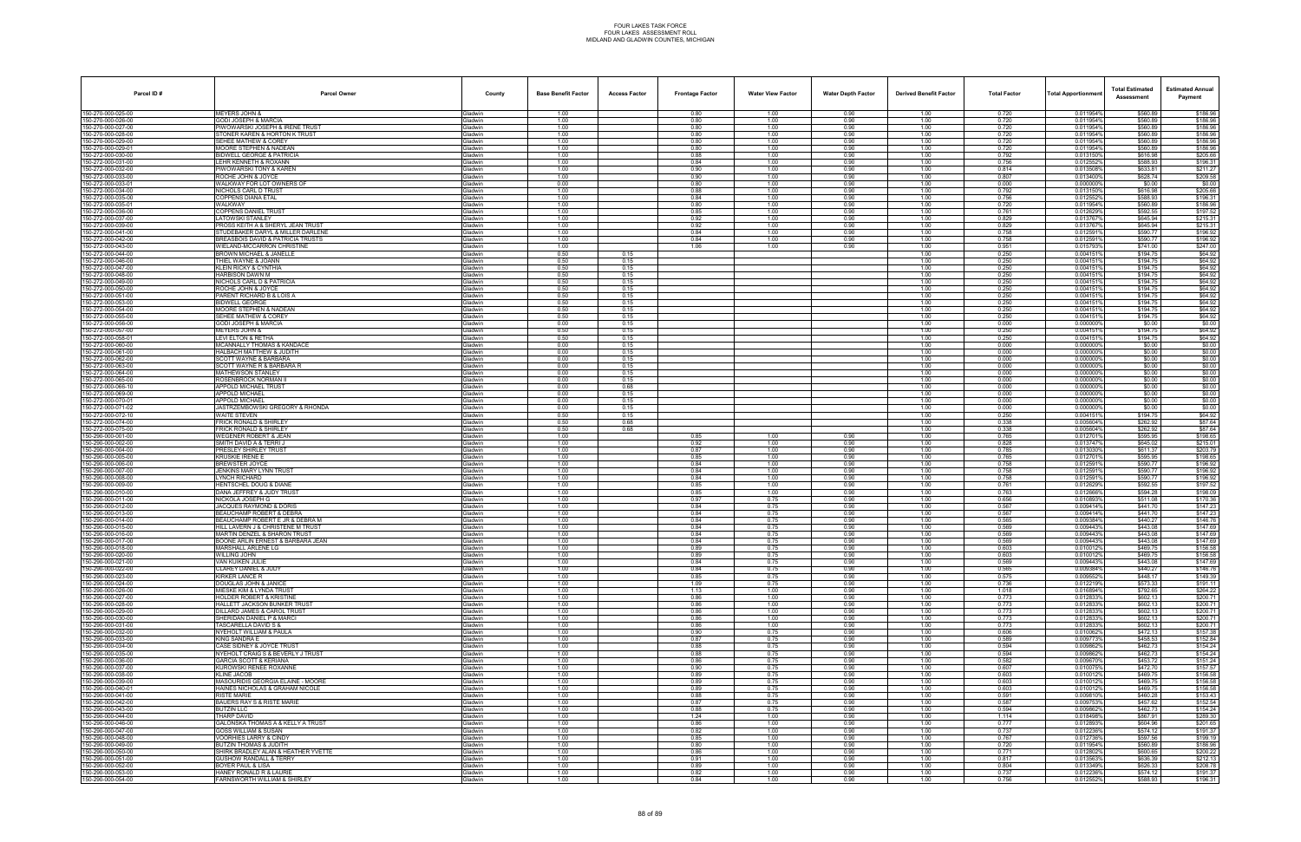| Parcel ID#                              | <b>Parcel Owner</b>                                                          | County                           | <b>Base Benefit Factor</b> | <b>Access Factor</b> | <b>Frontage Factor</b> | <b>Water View Factor</b> | <b>Water Depth Factor</b> | <b>Derived Benefit Factor</b> | <b>Total Factor</b> | <b>Total Apportionmer</b> | <b>Total Estimated</b><br>Assessment | <b>Estimated Annual</b><br>Payment |
|-----------------------------------------|------------------------------------------------------------------------------|----------------------------------|----------------------------|----------------------|------------------------|--------------------------|---------------------------|-------------------------------|---------------------|---------------------------|--------------------------------------|------------------------------------|
| 150-270-000-025-00                      | <b>MEYERS JOHN &amp;</b>                                                     | Gladwin                          | 1.00                       |                      | 0.80                   | 1.00                     | 0.90                      | 1.00                          | 0.720               | 0.011954%                 | \$560.89                             | \$186.96                           |
| 150-270-000-026-00<br>50-270-000-027-00 | <b>GODI JOSEPH &amp; MARCIA</b><br>IWOWARSKI JOSEPH & IRENE TRUST            | Gladwin<br><b>Gladwin</b>        | 1.00<br>1.00               |                      | 0.80<br>0.80           | 1.00<br>1.00             | 0.90<br>0.90              | 1.00<br>1.00                  | 0.720<br>0.720      | 0.011954%<br>0.011954%    | \$560.89<br>\$560.89                 | \$186.96<br>\$186.96               |
| 50-270-000-028-00                       | STONER KAREN & HORTON K TRUST                                                | Gladwin                          | 1.00                       |                      | 0.80                   | 1.00                     | 0.90                      | 1.00                          | 0.720               | 0.011954%                 | \$560.89                             | \$186.96                           |
| 50-270-000-029-00<br>50-270-000-029-01  | SEHEE MATHEW & COREY<br>MOORE STEPHEN & NADEAN                               | Gladwin                          | 1.00<br>1.00               |                      | 0.80<br>0.80           | 1.00<br>1.00             | 0.90<br>0.90              | 1.00<br>1.00                  | 0.720<br>0.720      | 0.011954%<br>0.011954%    | \$560.89<br>\$560.89                 | \$186.96<br>\$186.96               |
| 50-272-000-030-00                       | BIDWELL GEORGE & PATRICIA                                                    | Gladwin<br>Gladwin               | 1.00                       |                      | 0.88                   | 1.00                     | 0.90                      | 1.00                          | 0.792               | 0.013150%                 | \$616.98                             | \$205.66                           |
| 50-272-000-031-00                       | EHR KENNETH & ROXANN.                                                        | <b>Gladwin</b>                   | 1.00                       |                      | 0.84                   | 1.00                     | 0.90                      | 1.00                          | 0.756               | 0.012552%                 | \$588.93                             | \$196.31                           |
| 50-272-000-032-00<br>50-272-000-033-00  | PIWOWARSKI TONY & KAREN<br>ROCHE JOHN & JOYCE                                | Gladwin<br>Gladwin               | 1.00<br>1.00               |                      | 0.90<br>0.90           | 1.00<br>1.00             | 0.90<br>0.90              | 1.00<br>1.00                  | 0.814<br>0.807      | 0.013508%<br>0.013400%    | \$633.81<br>\$628.74                 | \$211.27<br>\$209.58               |
| 50-272-000-033-01                       | WALKWAY FOR LOT OWNERS OF                                                    | <b>Gladwin</b>                   | 0.00                       |                      | 0.80                   | 1.00                     | 0.90                      | 1.00                          | 0.000               | 0.0000009                 | \$0.00                               | \$0.00                             |
| 150-272-000-034-00<br>50-272-000-035-00 | NICHOLS CARL D TRUST<br>OPPENS DIANA ETAL                                    | Gladwin<br><b>Gladwin</b>        | 1.00<br>1.00               |                      | 0.88<br>0.84           | 1.00<br>1.00             | 0.90<br>0.90              | 1.00<br>1.00                  | 0.792<br>0.756      | 0.013150%<br>0.012552%    | \$616.98<br>\$588.93                 | \$205.66<br>\$196.31               |
| 150-272-000-035-0                       | <b>NALKWAY</b>                                                               | Gladwin                          | 1.00                       |                      | 0.80                   | 1.00                     | 0.90                      | 1.00                          | 0.720               | 0.011954%                 | \$560.89                             | \$186.96                           |
| 50-272-000-036-00<br>50-272-000-037-00  | COPPENS DANIEL TRUST<br><b>ATOWSKI STANLEY</b>                               | Gladwin<br>Gladwin               | 1.00<br>1.00               |                      | 0.85<br>0.92           | 1.00<br>1.00             | 0.90<br>0.90              | 1.00<br>1.00                  | 0.761<br>0.829      | 0.012629%<br>0.0137679    | \$592.55<br>\$645.94                 | \$197.52<br>\$215.31               |
| 50-272-000-039-00                       | PROSS KEITH A & SHERYL JEAN TRUST                                            | Gladwin                          | 1.00                       |                      | 0.92                   | 1.00                     | 0.90                      | 1.00                          | 0.829               | 0.0137679                 | \$645.94                             | \$215.31                           |
| 50-272-000-041-00                       | STUDEBAKER DARYL & MILLER DARLENE<br>BREASBOIS DAVID & PATRICIA TRUSTS       | <b>Jadwin</b>                    | 1.00                       |                      | 0.84                   | 1.00                     | 0.90                      | 1.00                          | 0.758               | 0.012591                  | \$590.77                             | \$196.92                           |
| 50-272-000-042-00<br>50-272-000-043-00  | WIELAND-MCCARRON CHRISTINE                                                   | Gladwin<br>Gladwin               | 1.00<br>1.00               |                      | 0.84<br>1.06           | 1.00<br>1.00             | 0.90<br>0.90              | 1.00<br>1.00                  | 0.758<br>0.951      | 0.0125919<br>0.015793     | \$590.77<br>\$741.00                 | \$196.92<br>\$247.00               |
| 50-272-000-044-00                       | <b>BROWN MICHAEL &amp; JANELLE</b>                                           | <b>Gladwin</b>                   | 0.50                       | 0.15                 |                        |                          |                           | 1.00                          | 0.250               | 0.0041519                 | \$194.75                             | \$64.92                            |
| 50-272-000-046-00<br>50-272-000-047-00  | THIEL WAYNE & JOANN<br>KLEIN RICKY & CYNTHIA                                 | Gladwin<br><b>Gladwin</b>        | 0.50<br>0.50               | 0.15<br>0.15         |                        |                          |                           | 1.00<br>1.00                  | 0.250<br>0.250      | 0.0041519<br>0.004151     | \$194.75<br>\$194.75                 | \$64.92<br>\$64.92                 |
| 50-272-000-048-00                       | <b>HARBISON DAWN M</b>                                                       | <b>Gladwin</b>                   | 0.50                       | 0.15                 |                        |                          |                           | 1.00                          | 0.250               | 0.0041519                 | \$194.75                             | \$64.92                            |
| 50-272-000-049-00<br>150-272-000-050-00 | NICHOLS CARL D & PATRICIA<br>ROCHE JOHN & JOYCE                              | Gladwin<br>Gladwin               | 0.50<br>0.50               | 0.15<br>0.15         |                        |                          |                           | 1.00<br>1.00                  | 0.250<br>0.250      | 0.0041519<br>0.004151     | \$194.75<br>\$194.75                 | \$64.92<br>\$64.92                 |
| 50-272-000-051-00                       | PARENT RICHARD B & LOIS A                                                    | <b>Gladwin</b>                   | 0.50                       | 0.15                 |                        |                          |                           | 1.00                          | 0.250               | 0.0041519                 | \$194.75                             | \$64.92                            |
| 50-272-000-053-00                       | <b>SIDWELL GEORGE</b>                                                        | <b>Gladwin</b>                   | 0.50                       | 0.15                 |                        |                          |                           | 1.00                          | 0.250               | 0.004151                  | \$194.75                             | \$64.92                            |
| 50-272-000-054-00<br>50-272-000-055-00  | <b>MOORE STEPHEN &amp; NADEAN</b><br>SEHEE MATHEW & COREY                    | Gladwin<br>Gladwin               | 0.50<br>0.50               | 0.15<br>0.15         |                        |                          |                           | 1.00<br>1.00                  | 0.250<br>0.250      | 0.0041519<br>0.004151     | \$194.75<br>\$194.75                 | \$64.92<br>\$64.92                 |
| 50-272-000-056-00                       | <b>GODI JOSEPH &amp; MARCIA</b>                                              | Gladwin                          | 0.00                       | 0.15                 |                        |                          |                           | 1.00                          | 0.000               | 0.0000009                 | \$0.00                               | \$0.00                             |
| 50-272-000-057-00<br>50-272-000-058-01  | <b>MEYERS JOHN &amp;</b><br>LEVI ELTON & RETHA                               | <b>Gladwin</b><br><b>Gladwin</b> | 0.50<br>0.50               | 0.15<br>0.15         |                        |                          |                           | 1.00<br>1.00                  | 0.250<br>0.250      | 0.0041519<br>0.004151     | \$194.75<br>\$194.75                 | \$64.92<br>\$64.92                 |
| 50-272-000-060-00                       | <b>MCANNALLY THOMAS &amp; KANDACE</b>                                        | <b>Gladwin</b>                   | 0.00                       | 0.15                 |                        |                          |                           | 1.00                          | 0.000               | 0.0000009                 | \$0.00                               | \$0.00                             |
| 50-272-000-061-00<br>50-272-000-062-00  | HALBACH MATTHEW & JUDITH<br><b>SCOTT WAYNE &amp; BARBARA</b>                 | Gladwin<br>Gladwin               | 0.00<br>0.00               | 0.15<br>0.15         |                        |                          |                           | 1.00<br>1.00                  | 0.000<br>0.000      | 0.0000009<br>0.000000%    | \$0.00<br>\$0.00                     | \$0.00<br>\$0.00                   |
| 50-272-000-063-00                       | SCOTT WAYNE R & BARBARA R                                                    | <b>Gladwin</b>                   | 0.00                       | 0.15                 |                        |                          |                           | 1.00                          | 0.000               | 0.0000009                 | \$0.00                               | \$0.00                             |
| 50-272-000-064-00                       | <b>MATHEWSON STANLEY</b>                                                     | <b>Gladwin</b>                   | 0.00                       | 0.15                 |                        |                          |                           | 1.00                          | 0.000               | 0.0000009                 | \$0.00                               | \$0.00                             |
| 50-272-000-065-00<br>50-272-000-066-10  | ROSENBROCK NORMAN II<br>APPOLD MICHAEL TRUST                                 | <b>Gladwin</b><br>Gladwin        | 0.00<br>0.00               | 0.15<br>0.68         |                        |                          |                           | 1.00<br>1.00                  | 0.000<br>0.000      | 0.0000009<br>0.000000     | \$0.00<br>\$0.00                     | \$0.00<br>\$0.00                   |
| 50-272-000-069-00                       | <b>APPOLD MICHAEL</b>                                                        | Gladwin                          | 0.00                       | 0.15                 |                        |                          |                           | 1.00                          | 0.000               | 0.000000%                 | \$0.00                               | \$0.00                             |
| 50-272-000-070-01<br>50-272-000-071-02  | <b>APPOLD MICHAEL</b><br>JASTRZEMBOWSKI GREGORY & RHONDA                     | <b>Gladwin</b><br><b>Gladwin</b> | 0.00<br>0.00               | 0.15<br>0.15         |                        |                          |                           | 1.00<br>1.00                  | 0.000<br>0.000      | 0.0000009<br>0.000000%    | \$0.00<br>\$0.00                     | \$0.00<br>\$0.00                   |
| 50-272-000-072-10                       | WAITE STEVEN                                                                 | <b>Gladwin</b>                   | 0.50                       | 0.15                 |                        |                          |                           | 1.00                          | 0.250               | 0.004151%                 | \$194.75                             | \$64.92                            |
| 50-272-000-074-00<br>50-272-000-075-00  | FRICK RONALD & SHIRLEY<br>FRICK RONALD & SHIRLEY                             | Gladwin<br>Gladwin               | 0.50<br>0.50               | 0.68<br>0.68         |                        |                          |                           | 1.00<br>1.00                  | 0.338<br>0.338      | 0.005604%<br>0.005604%    | \$262.92<br>\$262.92                 | \$87.64<br>\$87.64                 |
| 50-290-000-001-00                       | <b>WEGENER ROBERT &amp; JEAN</b>                                             | <b>Gladwin</b>                   | 1.00                       |                      | 0.85                   | 1.00                     | 0.90                      | 1.00                          | 0.765               | 0.012701                  | \$595.95                             | \$198.65                           |
| 50-290-000-002-00<br>50-290-000-004-00  | SMITH DAVID A & TERRI J<br>PRESLEY SHIRLEY TRUST                             | iladwin<br><b>Gladwin</b>        | 1.00<br>1.00               |                      | 0.92<br>0.87           | 1.00<br>1.00             | 0.90<br>0.90              | 1.00<br>1.00                  | 0.828<br>0.785      | 0.0137479<br>0.013030%    | \$645.02<br>\$611.37                 | \$215.01<br>\$203.79               |
| 50-290-000-005-00                       | (RUSKIE IRENE E                                                              | <b>Gladwin</b>                   | 1.00                       |                      | 0.85                   | 1.00                     | 0.90                      | 1.00                          | 0.765               | 0.012701                  | \$595.95                             | \$198.65                           |
| 50-290-000-006-00                       | <b>BREWSTER JOYCE</b>                                                        | Gladwin                          | 1.00                       |                      | 0.84                   | 1.00                     | 0.90                      | 1.00                          | 0.758               | 0.0125919                 | \$590.77                             | \$196.92                           |
| 50-290-000-007-00<br>50-290-000-008-00  | ENKINS MARY LYNN TRUST<br>YNCH RICHARD                                       | <b>Gladwin</b><br><b>Gladwin</b> | 1.00<br>1.00               |                      | 0.84<br>0.84           | 1.00<br>1.00             | 0.90<br>0.90              | 1.00<br>1.00                  | 0.758<br>0.758      | 0.0125919<br>0.012591     | \$590.77<br>\$590.77                 | \$196.92<br>\$196.92               |
| 50-290-000-009-00                       | <b>HENTSCHEL DOUG &amp; DIANE</b>                                            | Gladwin                          | 1.00                       |                      | 0.85                   | 1.00                     | 0.90                      | 1.00                          | 0.761               | 0.012629%                 | \$592.55                             | \$197.52                           |
| 50-290-000-010-00<br>150-290-000-011-00 | DANA JEFFREY & JUDY TRUST<br>NICKOLA JOSEPH G                                | Gladwin<br>Gladwin               | 1.00<br>1.00               |                      | 0.85<br>0.97           | 1.00<br>0.75             | 0.90<br>0.90              | 1.00<br>1.00                  | 0.763<br>0.656      | 0.012666%<br>0.010893%    | \$594.28<br>\$511.08                 | \$198.09<br>\$170.36               |
| 50-290-000-012-00                       | <b>JACQUES RAYMOND &amp; DORIS</b>                                           | <b>Gladwin</b>                   | 1.00                       |                      | 0.84                   | 0.75                     | 0.90                      | 1.00                          | 0.567               | 0.009414%                 | \$441.70                             | \$147.23                           |
| 50-290-000-013-00<br>50-290-000-014-00  | BEAUCHAMP ROBERT & DEBRA<br>BEAUCHAMP ROBERT E JR & DEBRA M                  | <b>Gladwin</b><br><b>Gladwin</b> | 1.00<br>1.00               |                      | 0.84<br>0.84           | 0.75<br>0.75             | 0.90<br>0.90              | 1.00<br>1.00                  | 0.567<br>0.565      | 0.009414%<br>0.009384%    | \$441.70<br>\$440.27                 | \$147.23<br>\$146.76               |
| 50-290-000-015-00                       | HILL LAVERN J & CHRISTENE M TRUST                                            | <b>Gladwin</b>                   | 1.00                       |                      | 0.84                   | 0.75                     | 0.90                      | 1.00                          | 0.569               | 0.0094439                 | \$443.08                             | \$147.69                           |
| 50-290-000-016-00                       | <b>MARTIN DENZEL &amp; SHARON TRUST</b><br>BOONE ARLIN ERNEST & BARBARA JEAN | Gladwin                          | 1.00<br>1.00               |                      | 0.84<br>0.84           | 0.75<br>0.75             | 0.90<br>0.90              | 1.00<br>1.00                  | 0.569<br>0.569      | 0.009443%<br>0.0094439    | \$443.08<br>\$443.08                 | \$147.69<br>\$147.69               |
| 50-290-000-017-00<br>150-290-000-018-00 | MARSHALL ARLENE LG                                                           | <b>Jadwin</b><br><b>Gladwin</b>  | 1.00                       |                      | 0.89                   | 0.75                     | 0.90                      | 1.00                          | 0.603               | 0.010012%                 | \$469.75                             | \$156.58                           |
| 50-290-000-020-00                       | WILLING JOHN                                                                 | Gladwin                          | 1.00                       |                      | 0.89                   | 0.75                     | 0.90                      | 1.00                          | 0.603               | 0.010012%                 | \$469.75                             | \$156.58                           |
| 50-290-000-021-00<br>50-290-000-022-00  | VAN KUIKEN JULIE<br><b>CLAREY DANIEL &amp; JUDY</b>                          | Gladwin<br>Gladwin               | 1.00<br>1.00               |                      | 0.84<br>0.84           | 0.75<br>0.75             | 0.90<br>0.90              | 1.00<br>1.00                  | 0.569<br>0.565      | 0.009443%<br>0.009384%    | \$443.08<br>\$440.27                 | \$147.69<br>\$146.76               |
| 50-290-000-023-00                       | KIRKER LANCE R                                                               | <b>Gladwin</b>                   | 1.00                       |                      | 0.85                   | 0.75                     | 0.90                      | 1.00                          | 0.575               | 0.0095529                 | \$448.17                             | \$149.39                           |
| 50-290-000-024-00<br>50-290-000-026-00  | DOUGLAS JOHN & JANICE<br>MIESKE KIM & LYNDA TRUST                            | <b>Gladwin</b><br>Gladwin        | 1.00<br>1.00               |                      | 1.09<br>1.13           | 0.75<br>1.00             | 0.90<br>0.90              | 1.00<br>1.00                  | 0.736<br>1.018      | 0.012219%<br>0.016894%    | \$573.33<br>\$792.65                 | \$191.11<br>\$264.22               |
| 50-290-000-027-00                       | <b>HOLDER ROBERT &amp; KRISTINE</b>                                          | Gladwin                          | 1.00                       |                      | 0.86                   | 1.00                     | 0.90                      | 1.00                          | 0.773               | 0.012833%                 | \$602.13                             | \$200.71                           |
| 50-290-000-028-00<br>50-290-000-029-00  | HALLETT JACKSON BUNKER TRUST<br>DILLARD JAMES & CAROL TRUST                  | Gladwin<br><b>Gladwin</b>        | 1.00<br>1.00               |                      | 0.86<br>0.86           | 1.00<br>1.00             | 0.90<br>0.90              | 1.00<br>1.00                  | 0.773<br>0.773      | 0.012833%<br>0.012833%    | \$602.13<br>\$602.13                 | \$200.71<br>\$200.71               |
| 50-290-000-030-00                       | SHERIDAN DANIEL P & MARCI                                                    | <b>Gladwin</b>                   | 1.00                       |                      | 0.86                   | 1.00                     | 0.90                      | 1.00                          | 0.773               | 0.0128339                 | \$602.13                             | \$200.71                           |
| 50-290-000-031-00                       | <b>TASCARELLA DAVID S &amp;</b>                                              | Gladwin                          | 1.00                       |                      | 0.86                   | 1.00                     | 0.90                      | 1.00                          | 0.773               | 0.012833%                 | \$602.13                             | \$200.71                           |
| 50-290-000-032-00<br>50-290-000-033-00  | NYEHOLT WILLIAM & PAULA<br>KING SANDRA E                                     | Gladwin<br>Gladwin               | 1.00<br>1.00               |                      | 0.90<br>0.87           | 0.75<br>0.75             | 0.90<br>0.90              | 1.00<br>1.00                  | 0.606<br>0.589      | 0.010062%<br>0.009773%    | \$472.13<br>\$458.53                 | \$157.38<br>\$152.84               |
| 50-290-000-034-00                       | CASE SIDNEY & JOYCE TRUST                                                    | <b>Gladwin</b>                   | 1.00                       |                      | 0.88                   | 0.75                     | 0.90                      | 1.00                          | 0.594               | 0.0098629                 | \$462.73                             | \$154.24                           |
| 50-290-000-035-00<br>50-290-000-036-00  | NYEHOLT CRAIG S & BEVERLY J TRUST<br><b>GARCIA SCOTT &amp; KERIANA</b>       | <b>Gladwin</b><br>Gladwin        | 1.00<br>1.00               |                      | 0.88<br>0.86           | 0.75<br>0.75             | 0.90<br>0.90              | 1.00<br>1.00                  | 0.594<br>0.582      | 0.0098629<br>0.009670%    | \$462.73<br>\$453.72                 | \$154.24<br>\$151.24               |
| 50-290-000-037-00                       | KUROWSKI RENEE ROXANNE                                                       | Gladwin                          | 1.00                       |                      | 0.90                   | 0.75                     | 0.90                      | 1.00                          | 0.607               | 0.0100759                 | \$472.70                             | \$157.57                           |
| 50-290-000-038-00<br>50-290-000-039-00  | KLINE JACOB<br>MASOURIDIS GEORGIA ELAINE - MOORE                             | Gladwin<br><b>Gladwin</b>        | 1.00<br>1.00               |                      | 0.89<br>0.89           | 0.75<br>0.75             | 0.90<br>0.90              | 1.00<br>1.00                  | 0.603<br>0.603      | 0.010012%<br>0.010012%    | \$469.75<br>\$469.75                 | \$156.58<br>\$156.58               |
| 50-290-000-040-01                       | HAINES NICHOLAS & GRAHAM NICOLE                                              | <b>Gladwin</b>                   | 1.00                       |                      | 0.89                   | 0.75                     | 0.90                      | 1.00                          | 0.603               | 0.0100129                 | \$469.75                             | \$156.58                           |
| 50-290-000-041-00                       | RISTE MARIE                                                                  | Gladwin                          | 1.00                       |                      | 0.88                   | 0.75                     | 0.90                      | 1.00                          | 0.591               | 0.009810%                 | \$460.28                             | \$153.43                           |
| 50-290-000-042-00<br>50-290-000-043-00  | <b>BAUERS RAY S &amp; RISTE MARIE</b><br><b>BUTZIN LLC</b>                   | Gladwin<br>Gladwin               | 1.00<br>1.00               |                      | 0.87<br>0.88           | 0.75<br>0.75             | 0.90<br>0.90              | 1.00<br>1.00                  | 0.587<br>0.594      | 0.009753%<br>0.009862%    | \$457.62<br>\$462.73                 | \$152.54<br>\$154.24               |
| 50-290-000-044-00                       | THARP DAVID                                                                  | Gladwin                          | 1.00                       |                      | 1.24                   | 1.00                     | 0.90                      | 1.00                          | 1.114               | 0.018498%                 | \$867.91                             | \$289.30                           |
| 50-290-000-046-00<br>50-290-000-047-00  | GALONSKA THOMAS A & KELLY A TRUST<br>GOSS WILLIAM & SUSAN                    | <b>Gladwin</b><br>Gladwin        | 1.00<br>1.00               |                      | 0.86<br>0.82           | 1.00<br>1.00             | 0.90<br>0.90              | 1.00<br>1.00                  | 0.777<br>0.737      | 0.0128939<br>0.012236%    | \$604.96<br>\$574.12                 | \$201.65<br>\$191.37               |
| 50-290-000-048-00                       | <b>VOORHIES LARRY &amp; CINDY</b>                                            | Gladwin                          | 1.00                       |                      | 0.85                   | 1.00                     | 0.90                      | 1.00                          | 0.767               | 0.012736%                 | \$597.56                             | \$199.19                           |
| 50-290-000-049-00<br>50-290-000-050-00  | <b>BUTZIN THOMAS &amp; JUDITH</b><br>SHIRK BRADLEY ALAN & HEATHER YVETTE     | Gladwin<br>Gladwin               | 1.00<br>1.00               |                      | 0.80<br>0.86           | 1.00<br>1.00             | 0.90<br>0.90              | 1.00<br>1.00                  | 0.720<br>0.771      | 0.011954%<br>0.012802%    | \$560.89<br>\$600.65                 | \$186.96<br>\$200.22               |
| 50-290-000-051-00                       | USHOW RANDALL & TERRY                                                        | <b>Gladwin</b>                   | 1.00                       |                      | 0.91                   | 1.00                     | 0.90                      | 1.00                          | 0.817               | 0.013563%                 | \$636.39                             | \$212.13                           |
| 50-290-000-052-00                       | BOYER PAUL & LISA                                                            | Gladwin                          | 1.00                       |                      | 0.89                   | 1.00                     | 0.90                      | 1.00                          | 0.804               | 0.013349%                 | \$626.33                             | \$208.78                           |
| 50-290-000-053-00<br>50-290-000-054-00  | HANEY RONALD R & LAURIE<br>FARNSWORTH WILLIAM & SHIRLEY                      | Gladwin<br>Gladwin               | 1.00<br>1.00               |                      | 0.82<br>0.84           | 1.00<br>1.00             | 0.90<br>0.90              | 1.00<br>1.00                  | 0.737<br>0.756      | 0.012236%<br>0.012552%    | \$574.12<br>\$588.93                 | \$191.37<br>\$196.31               |
|                                         |                                                                              |                                  |                            |                      |                        |                          |                           |                               |                     |                           |                                      |                                    |